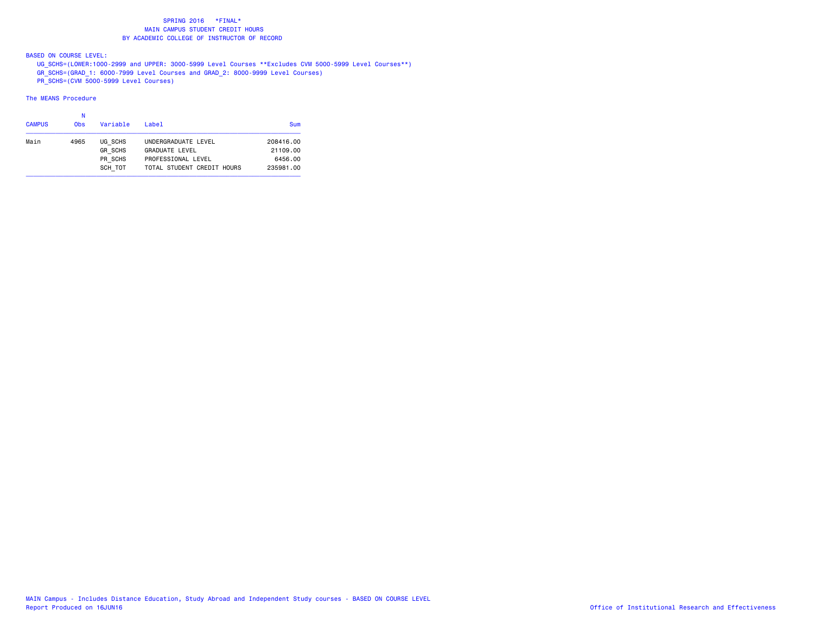BASED ON COURSE LEVEL:

 UG\_SCHS=(LOWER:1000-2999 and UPPER: 3000-5999 Level Courses \*\*Excludes CVM 5000-5999 Level Courses\*\*) GR\_SCHS=(GRAD\_1: 6000-7999 Level Courses and GRAD\_2: 8000-9999 Level Courses)

PR\_SCHS=(CVM 5000-5999 Level Courses)

| <b>CAMPUS</b> | <b>Obs</b> | Variable                                        | Label                                                                                            | Sum                                           |
|---------------|------------|-------------------------------------------------|--------------------------------------------------------------------------------------------------|-----------------------------------------------|
| Main          | 4965       | UG SCHS<br><b>GR SCHS</b><br>PR SCHS<br>SCH TOT | UNDERGRADUATE LEVEL<br><b>GRADUATE LEVEL</b><br>PROFESSIONAL LEVEL<br>TOTAL STUDENT CREDIT HOURS | 208416.00<br>21109.00<br>6456.00<br>235981.00 |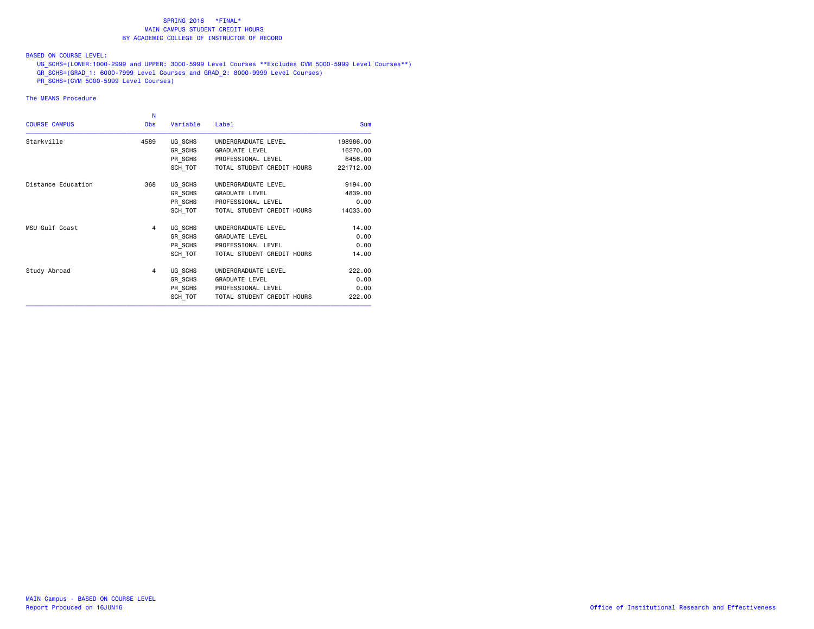## BASED ON COURSE LEVEL:

 UG\_SCHS=(LOWER:1000-2999 and UPPER: 3000-5999 Level Courses \*\*Excludes CVM 5000-5999 Level Courses\*\*) GR\_SCHS=(GRAD\_1: 6000-7999 Level Courses and GRAD\_2: 8000-9999 Level Courses)

PR\_SCHS=(CVM 5000-5999 Level Courses)

| N          |          |                            |                                          |
|------------|----------|----------------------------|------------------------------------------|
| <b>Obs</b> | Variable | Label                      | Sum                                      |
| 4589       | UG SCHS  | UNDERGRADUATE LEVEL        | 198986.00                                |
|            | GR SCHS  | <b>GRADUATE LEVEL</b>      | 16270.00                                 |
|            | PR_SCHS  | PROFESSIONAL LEVEL         | 6456.00                                  |
|            |          | TOTAL STUDENT CREDIT HOURS | 221712.00                                |
| 368        | UG SCHS  | UNDERGRADUATE LEVEL        | 9194.00                                  |
|            | GR SCHS  | <b>GRADUATE LEVEL</b>      | 4839.00                                  |
|            |          | PROFESSIONAL LEVEL         | 0.00                                     |
|            | SCH TOT  | TOTAL STUDENT CREDIT HOURS | 14033,00                                 |
| 4          | UG SCHS  | UNDERGRADUATE LEVEL        | 14.00                                    |
|            | GR SCHS  | <b>GRADUATE LEVEL</b>      | 0.00                                     |
|            |          | PROFESSIONAL LEVEL         | 0.00                                     |
|            | SCH TOT  | TOTAL STUDENT CREDIT HOURS | 14.00                                    |
| 4          | UG SCHS  | UNDERGRADUATE LEVEL        | 222,00                                   |
|            | GR SCHS  | <b>GRADUATE LEVEL</b>      | 0.00                                     |
|            |          | PROFESSIONAL LEVEL         | 0.00                                     |
|            | SCH TOT  | TOTAL STUDENT CREDIT HOURS | 222.00                                   |
|            |          |                            | SCH TOT<br>PR_SCHS<br>PR_SCHS<br>PR_SCHS |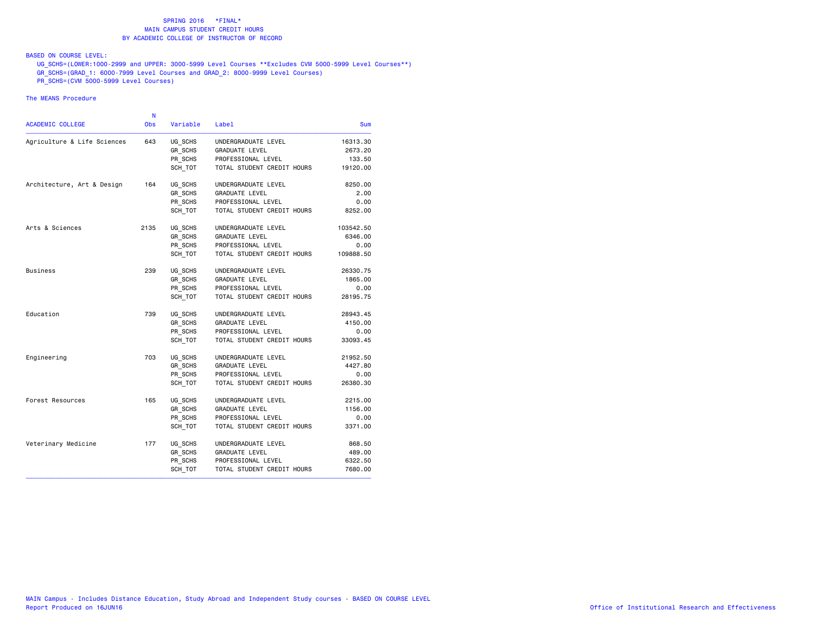## BASED ON COURSE LEVEL:

 UG\_SCHS=(LOWER:1000-2999 and UPPER: 3000-5999 Level Courses \*\*Excludes CVM 5000-5999 Level Courses\*\*) GR\_SCHS=(GRAD\_1: 6000-7999 Level Courses and GRAD\_2: 8000-9999 Level Courses)

PR\_SCHS=(CVM 5000-5999 Level Courses)

|                             | N          |          |                            |           |
|-----------------------------|------------|----------|----------------------------|-----------|
| <b>ACADEMIC COLLEGE</b>     | <b>Obs</b> | Variable | Label                      | Sum       |
| Agriculture & Life Sciences | 643        | UG SCHS  | UNDERGRADUATE LEVEL        | 16313.30  |
|                             |            | GR SCHS  | <b>GRADUATE LEVEL</b>      | 2673.20   |
|                             |            | PR SCHS  | PROFESSIONAL LEVEL         | 133.50    |
|                             |            | SCH TOT  | TOTAL STUDENT CREDIT HOURS | 19120.00  |
| Architecture, Art & Design  | 164        | UG SCHS  | UNDERGRADUATE LEVEL        | 8250.00   |
|                             |            | GR SCHS  | <b>GRADUATE LEVEL</b>      | 2.00      |
|                             |            | PR_SCHS  | PROFESSIONAL LEVEL         | 0.00      |
|                             |            | SCH TOT  | TOTAL STUDENT CREDIT HOURS | 8252.00   |
| Arts & Sciences             | 2135       | UG SCHS  | UNDERGRADUATE LEVEL        | 103542.50 |
|                             |            | GR SCHS  | <b>GRADUATE LEVEL</b>      | 6346.00   |
|                             |            | PR SCHS  | PROFESSIONAL LEVEL         | 0.00      |
|                             |            | SCH TOT  | TOTAL STUDENT CREDIT HOURS | 109888.50 |
| <b>Business</b>             | 239        | UG SCHS  | UNDERGRADUATE LEVEL        | 26330.75  |
|                             |            | GR_SCHS  | <b>GRADUATE LEVEL</b>      | 1865.00   |
|                             |            | PR_SCHS  | PROFESSIONAL LEVEL         | 0.00      |
|                             |            | SCH TOT  | TOTAL STUDENT CREDIT HOURS | 28195.75  |
| Education                   | 739        | UG_SCHS  | UNDERGRADUATE LEVEL        | 28943.45  |
|                             |            | GR SCHS  | <b>GRADUATE LEVEL</b>      | 4150.00   |
|                             |            | PR SCHS  | PROFESSIONAL LEVEL         | 0.00      |
|                             |            | SCH TOT  | TOTAL STUDENT CREDIT HOURS | 33093.45  |
| Engineering                 | 703        | UG_SCHS  | UNDERGRADUATE LEVEL        | 21952.50  |
|                             |            | GR_SCHS  | <b>GRADUATE LEVEL</b>      | 4427.80   |
|                             |            | PR_SCHS  | PROFESSIONAL LEVEL         | 0.00      |
|                             |            | SCH TOT  | TOTAL STUDENT CREDIT HOURS | 26380.30  |
| Forest Resources            | 165        | UG SCHS  | UNDERGRADUATE LEVEL        | 2215.00   |
|                             |            | GR SCHS  | <b>GRADUATE LEVEL</b>      | 1156.00   |
|                             |            | PR SCHS  | PROFESSIONAL LEVEL         | 0.00      |
|                             |            | SCH TOT  | TOTAL STUDENT CREDIT HOURS | 3371.00   |
| Veterinary Medicine         | 177        | UG SCHS  | UNDERGRADUATE LEVEL        | 868.50    |
|                             |            | GR_SCHS  | <b>GRADUATE LEVEL</b>      | 489.00    |
|                             |            | PR SCHS  | PROFESSIONAL LEVEL         | 6322.50   |
|                             |            | SCH TOT  | TOTAL STUDENT CREDIT HOURS | 7680.00   |
|                             |            |          |                            |           |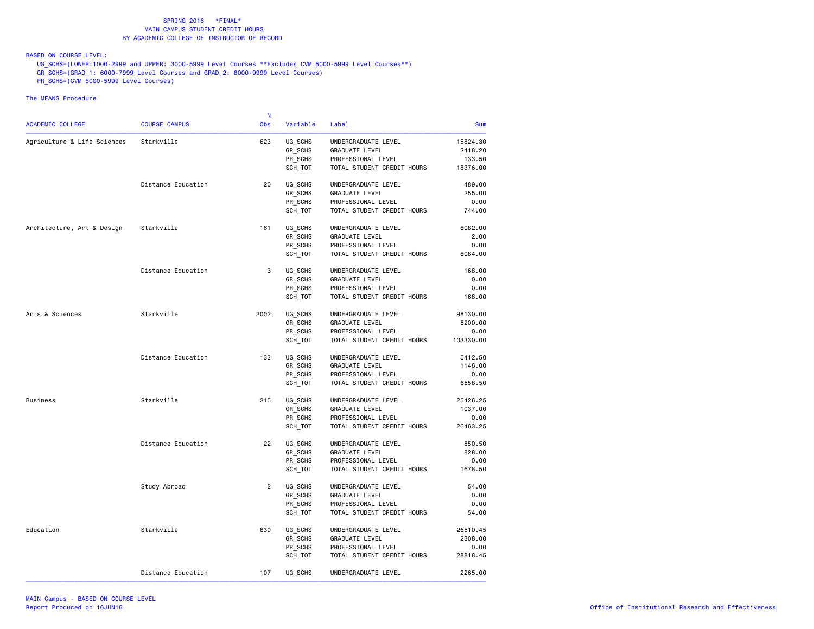BASED ON COURSE LEVEL:

 UG\_SCHS=(LOWER:1000-2999 and UPPER: 3000-5999 Level Courses \*\*Excludes CVM 5000-5999 Level Courses\*\*) GR\_SCHS=(GRAD\_1: 6000-7999 Level Courses and GRAD\_2: 8000-9999 Level Courses)

PR\_SCHS=(CVM 5000-5999 Level Courses)

|                             |                      | N              |          |                            |            |
|-----------------------------|----------------------|----------------|----------|----------------------------|------------|
| ACADEMIC COLLEGE            | <b>COURSE CAMPUS</b> | <b>Obs</b>     | Variable | Label                      | <b>Sum</b> |
| Agriculture & Life Sciences | Starkville           | 623            | UG SCHS  | UNDERGRADUATE LEVEL        | 15824.30   |
|                             |                      |                | GR_SCHS  | GRADUATE LEVEL             | 2418.20    |
|                             |                      |                | PR_SCHS  | PROFESSIONAL LEVEL         | 133.50     |
|                             |                      |                | SCH_TOT  | TOTAL STUDENT CREDIT HOURS | 18376.00   |
|                             | Distance Education   | 20             | UG SCHS  | UNDERGRADUATE LEVEL        | 489,00     |
|                             |                      |                | GR_SCHS  | GRADUATE LEVEL             | 255.00     |
|                             |                      |                | PR_SCHS  | PROFESSIONAL LEVEL         | 0.00       |
|                             |                      |                | SCH_TOT  | TOTAL STUDENT CREDIT HOURS | 744.00     |
| Architecture, Art & Design  | Starkville           | 161            | UG_SCHS  | UNDERGRADUATE LEVEL        | 8082.00    |
|                             |                      |                | GR_SCHS  | GRADUATE LEVEL             | 2.00       |
|                             |                      |                | PR_SCHS  | PROFESSIONAL LEVEL         | 0.00       |
|                             |                      |                | SCH_TOT  | TOTAL STUDENT CREDIT HOURS | 8084.00    |
|                             | Distance Education   | 3              | UG_SCHS  | UNDERGRADUATE LEVEL        | 168.00     |
|                             |                      |                | GR_SCHS  | <b>GRADUATE LEVEL</b>      | 0.00       |
|                             |                      |                | PR_SCHS  | PROFESSIONAL LEVEL         | 0.00       |
|                             |                      |                | SCH_TOT  | TOTAL STUDENT CREDIT HOURS | 168.00     |
| Arts & Sciences             | Starkville           | 2002           | UG_SCHS  | UNDERGRADUATE LEVEL        | 98130.00   |
|                             |                      |                | GR SCHS  | GRADUATE LEVEL             | 5200.00    |
|                             |                      |                | PR_SCHS  | PROFESSIONAL LEVEL         | 0.00       |
|                             |                      |                | SCH_TOT  | TOTAL STUDENT CREDIT HOURS | 103330.00  |
|                             | Distance Education   | 133            | UG_SCHS  | UNDERGRADUATE LEVEL        | 5412.50    |
|                             |                      |                | GR_SCHS  | GRADUATE LEVEL             | 1146.00    |
|                             |                      |                | PR_SCHS  | PROFESSIONAL LEVEL         | 0.00       |
|                             |                      |                | SCH_TOT  | TOTAL STUDENT CREDIT HOURS | 6558.50    |
| Business                    | Starkville           | 215            | UG SCHS  | UNDERGRADUATE LEVEL        | 25426.25   |
|                             |                      |                | GR_SCHS  | GRADUATE LEVEL             | 1037.00    |
|                             |                      |                | PR SCHS  | PROFESSIONAL LEVEL         | 0.00       |
|                             |                      |                | SCH_TOT  | TOTAL STUDENT CREDIT HOURS | 26463.25   |
|                             | Distance Education   | 22             | UG SCHS  | UNDERGRADUATE LEVEL        | 850.50     |
|                             |                      |                | GR SCHS  | GRADUATE LEVEL             | 828.00     |
|                             |                      |                | PR_SCHS  | PROFESSIONAL LEVEL         | 0.00       |
|                             |                      |                | SCH_TOT  | TOTAL STUDENT CREDIT HOURS | 1678.50    |
|                             | Study Abroad         | $\overline{2}$ | UG SCHS  | UNDERGRADUATE LEVEL        | 54.00      |
|                             |                      |                | GR SCHS  | GRADUATE LEVEL             | 0.00       |
|                             |                      |                | PR_SCHS  | PROFESSIONAL LEVEL         | 0.00       |
|                             |                      |                | SCH_TOT  | TOTAL STUDENT CREDIT HOURS | 54.00      |
| Education                   | Starkville           | 630            | UG SCHS  | UNDERGRADUATE LEVEL        | 26510.45   |
|                             |                      |                | GR_SCHS  | <b>GRADUATE LEVEL</b>      | 2308.00    |
|                             |                      |                | PR_SCHS  | PROFESSIONAL LEVEL         | 0.00       |
|                             |                      |                | SCH_TOT  | TOTAL STUDENT CREDIT HOURS | 28818.45   |
|                             | Distance Education   | 107            | UG SCHS  | UNDERGRADUATE LEVEL        | 2265.00    |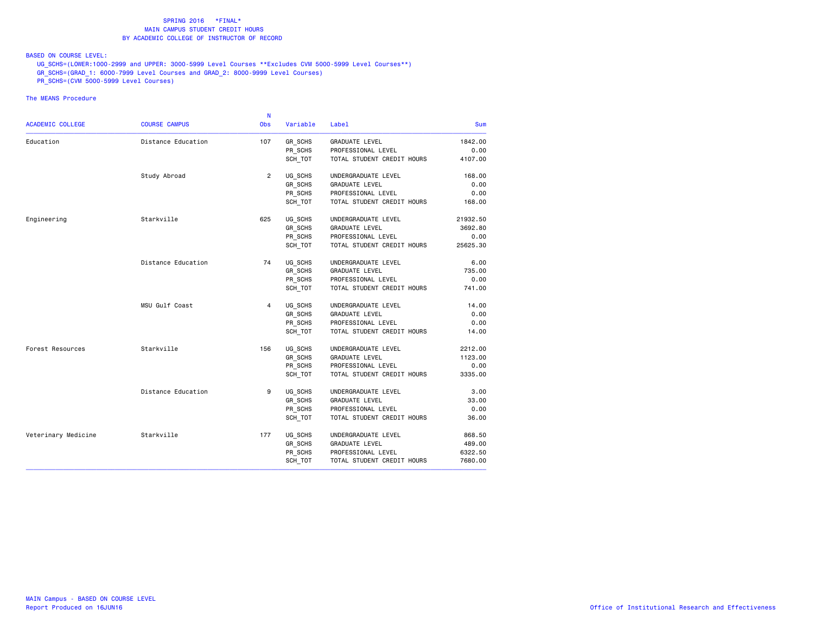### BASED ON COURSE LEVEL:

 UG\_SCHS=(LOWER:1000-2999 and UPPER: 3000-5999 Level Courses \*\*Excludes CVM 5000-5999 Level Courses\*\*) GR\_SCHS=(GRAD\_1: 6000-7999 Level Courses and GRAD\_2: 8000-9999 Level Courses)

PR\_SCHS=(CVM 5000-5999 Level Courses)

|                     |                      | <b>N</b>       |                |                            |            |
|---------------------|----------------------|----------------|----------------|----------------------------|------------|
| ACADEMIC COLLEGE    | <b>COURSE CAMPUS</b> | <b>Obs</b>     | Variable       | Label                      | <b>Sum</b> |
| Education           | Distance Education   | 107            | GR SCHS        | GRADUATE LEVEL             | 1842.00    |
|                     |                      |                | PR_SCHS        | PROFESSIONAL LEVEL         | 0.00       |
|                     |                      |                | SCH_TOT        | TOTAL STUDENT CREDIT HOURS | 4107.00    |
|                     | Study Abroad         | $\overline{2}$ | UG_SCHS        | UNDERGRADUATE LEVEL        | 168.00     |
|                     |                      |                | GR_SCHS        | <b>GRADUATE LEVEL</b>      | 0.00       |
|                     |                      |                | PR_SCHS        | PROFESSIONAL LEVEL         | 0.00       |
|                     |                      |                | SCH TOT        | TOTAL STUDENT CREDIT HOURS | 168.00     |
| Engineering         | Starkville           | 625            | UG_SCHS        | UNDERGRADUATE LEVEL        | 21932.50   |
|                     |                      |                | GR_SCHS        | <b>GRADUATE LEVEL</b>      | 3692.80    |
|                     |                      |                | PR SCHS        | PROFESSIONAL LEVEL         | 0.00       |
|                     |                      |                | SCH TOT        | TOTAL STUDENT CREDIT HOURS | 25625.30   |
|                     | Distance Education   | 74             | UG SCHS        | UNDERGRADUATE LEVEL        | 6.00       |
|                     |                      |                | GR_SCHS        | <b>GRADUATE LEVEL</b>      | 735.00     |
|                     |                      |                | PR_SCHS        | PROFESSIONAL LEVEL         | 0.00       |
|                     |                      |                | SCH TOT        | TOTAL STUDENT CREDIT HOURS | 741.00     |
|                     | MSU Gulf Coast       | $\overline{4}$ | UG_SCHS        | UNDERGRADUATE LEVEL        | 14.00      |
|                     |                      |                | <b>GR SCHS</b> | <b>GRADUATE LEVEL</b>      | 0.00       |
|                     |                      |                | PR SCHS        | PROFESSIONAL LEVEL         | 0.00       |
|                     |                      |                | SCH TOT        | TOTAL STUDENT CREDIT HOURS | 14.00      |
| Forest Resources    | Starkville           | 156            | UG_SCHS        | UNDERGRADUATE LEVEL        | 2212.00    |
|                     |                      |                | GR_SCHS        | <b>GRADUATE LEVEL</b>      | 1123.00    |
|                     |                      |                | PR SCHS        | PROFESSIONAL LEVEL         | 0.00       |
|                     |                      |                | SCH TOT        | TOTAL STUDENT CREDIT HOURS | 3335.00    |
|                     | Distance Education   | 9              | UG_SCHS        | UNDERGRADUATE LEVEL        | 3.00       |
|                     |                      |                | GR_SCHS        | GRADUATE LEVEL             | 33.00      |
|                     |                      |                | PR_SCHS        | PROFESSIONAL LEVEL         | 0.00       |
|                     |                      |                | SCH_TOT        | TOTAL STUDENT CREDIT HOURS | 36.00      |
| Veterinary Medicine | Starkville           | 177            | UG SCHS        | UNDERGRADUATE LEVEL        | 868.50     |
|                     |                      |                | GR_SCHS        | <b>GRADUATE LEVEL</b>      | 489.00     |
|                     |                      |                | PR_SCHS        | PROFESSIONAL LEVEL         | 6322.50    |
|                     |                      |                | SCH_TOT        | TOTAL STUDENT CREDIT HOURS | 7680.00    |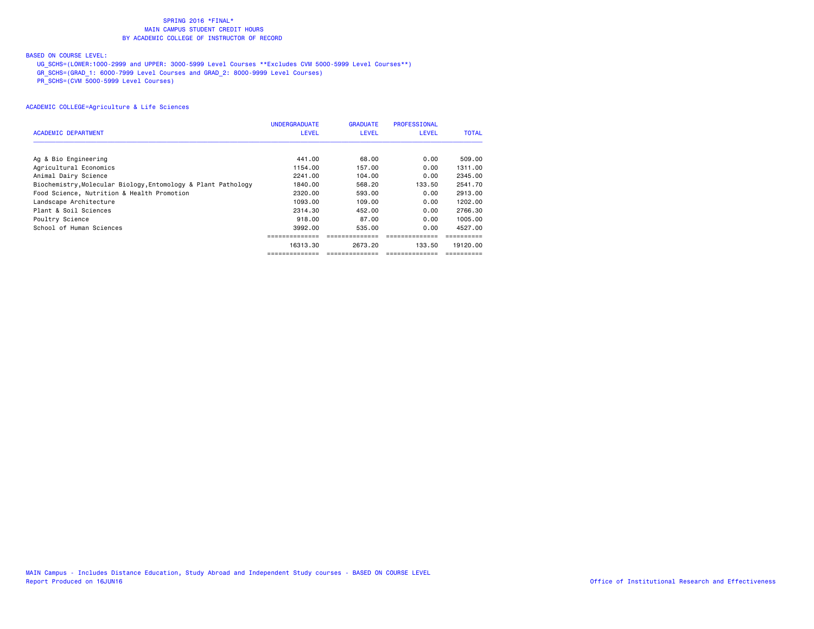# BASED ON COURSE LEVEL:

UG\_SCHS=(LOWER:1000-2999 and UPPER: 3000-5999 Level Courses \*\*Excludes CVM 5000-5999 Level Courses\*\*)

GR\_SCHS=(GRAD\_1: 6000-7999 Level Courses and GRAD\_2: 8000-9999 Level Courses)

PR\_SCHS=(CVM 5000-5999 Level Courses)

|                                                               | <b>UNDERGRADUATE</b> | <b>GRADUATE</b> | <b>PROFESSIONAL</b> |              |
|---------------------------------------------------------------|----------------------|-----------------|---------------------|--------------|
| ACADEMIC DEPARTMENT                                           | <b>LEVEL</b>         | <b>LEVEL</b>    | <b>LEVEL</b>        | <b>TOTAL</b> |
|                                                               |                      |                 |                     |              |
| Ag & Bio Engineering                                          | 441.00               | 68.00           | 0.00                | 509,00       |
| Agricultural Economics                                        | 1154.00              | 157.00          | 0.00                | 1311.00      |
| Animal Dairy Science                                          | 2241.00              | 104.00          | 0.00                | 2345.00      |
| Biochemistry, Molecular Biology, Entomology & Plant Pathology | 1840.00              | 568.20          | 133.50              | 2541.70      |
| Food Science, Nutrition & Health Promotion                    | 2320.00              | 593.00          | 0.00                | 2913.00      |
| Landscape Architecture                                        | 1093.00              | 109,00          | 0.00                | 1202.00      |
| Plant & Soil Sciences                                         | 2314.30              | 452.00          | 0.00                | 2766.30      |
| Poultry Science                                               | 918.00               | 87.00           | 0.00                | 1005.00      |
| School of Human Sciences                                      | 3992.00              | 535.00          | 0.00                | 4527.00      |
|                                                               |                      |                 |                     |              |
|                                                               | 16313.30             | 2673.20         | 133.50              | 19120.00     |
|                                                               |                      |                 |                     |              |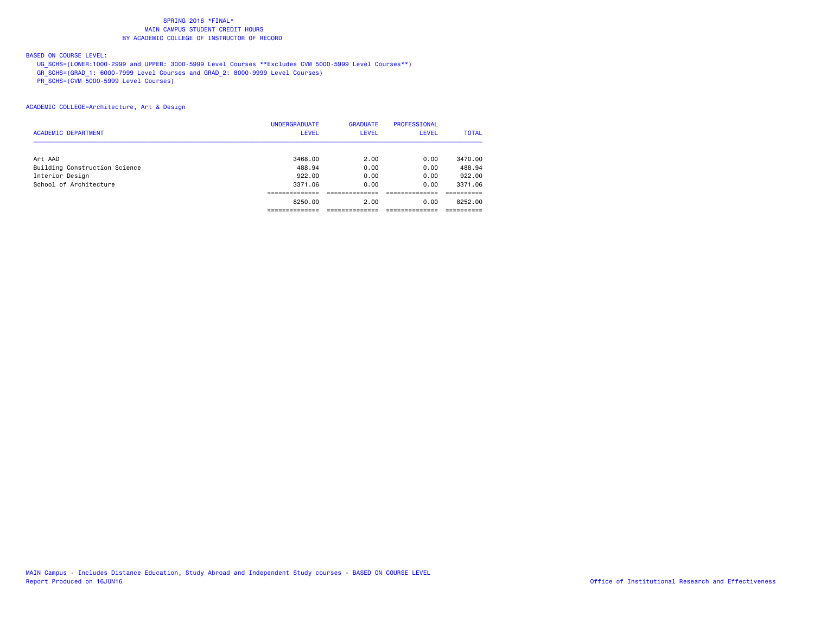# BASED ON COURSE LEVEL:

 UG\_SCHS=(LOWER:1000-2999 and UPPER: 3000-5999 Level Courses \*\*Excludes CVM 5000-5999 Level Courses\*\*) GR\_SCHS=(GRAD\_1: 6000-7999 Level Courses and GRAD\_2: 8000-9999 Level Courses)

PR\_SCHS=(CVM 5000-5999 Level Courses)

## ACADEMIC COLLEGE=Architecture, Art & Design

|                               | <b>UNDERGRADUATE</b> | <b>GRADUATE</b> | <b>PROFESSIONAL</b> |              |
|-------------------------------|----------------------|-----------------|---------------------|--------------|
| <b>ACADEMIC DEPARTMENT</b>    | <b>LEVEL</b>         | <b>LEVEL</b>    | <b>LEVEL</b>        | <b>TOTAL</b> |
| Art AAD                       | 3468.00              | 2.00            | 0.00                | 3470.00      |
| Building Construction Science | 488.94               | 0.00            | 0.00                | 488.94       |
| Interior Design               | 922.00               | 0.00            | 0.00                | 922,00       |
| School of Architecture        | 3371.06              | 0.00            | 0.00                | 3371.06      |
|                               |                      |                 |                     |              |
|                               | 8250.00              | 2.00            | 0.00                | 8252.00      |
|                               |                      |                 |                     |              |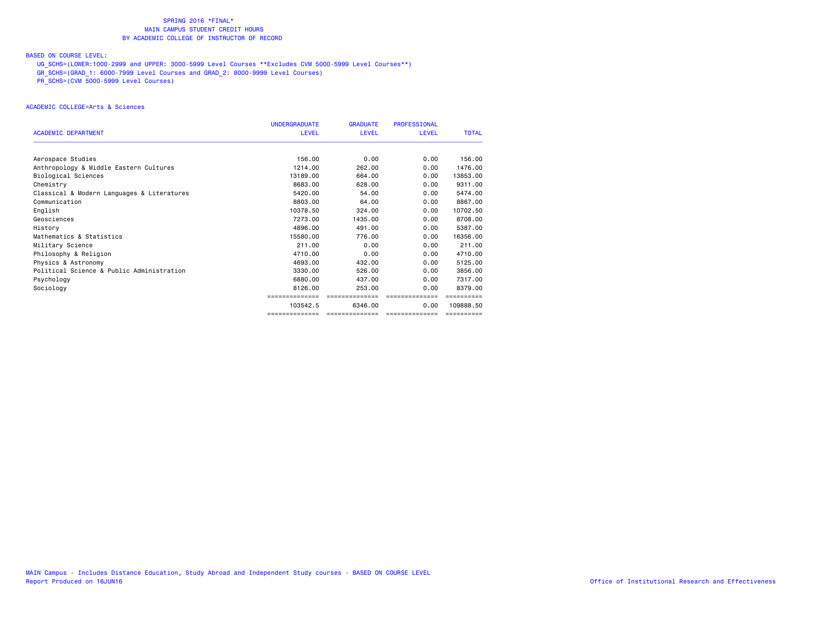# BASED ON COURSE LEVEL:

UG\_SCHS=(LOWER:1000-2999 and UPPER: 3000-5999 Level Courses \*\*Excludes CVM 5000-5999 Level Courses\*\*)

GR\_SCHS=(GRAD\_1: 6000-7999 Level Courses and GRAD\_2: 8000-9999 Level Courses)

PR\_SCHS=(CVM 5000-5999 Level Courses)

### ACADEMIC COLLEGE=Arts & Sciences

|                                            | <b>UNDERGRADUATE</b> | <b>GRADUATE</b> | <b>PROFESSIONAL</b> |              |
|--------------------------------------------|----------------------|-----------------|---------------------|--------------|
| <b>ACADEMIC DEPARTMENT</b>                 | <b>LEVEL</b>         | <b>LEVEL</b>    | <b>LEVEL</b>        | <b>TOTAL</b> |
| Aerospace Studies                          | 156.00               | 0.00            | 0.00                | 156.00       |
| Anthropology & Middle Eastern Cultures     | 1214.00              | 262,00          | 0.00                | 1476.00      |
| Biological Sciences                        | 13189.00             | 664.00          | 0.00                | 13853.00     |
| Chemistry                                  | 8683.00              | 628.00          | 0.00                | 9311.00      |
| Classical & Modern Languages & Literatures | 5420.00              | 54.00           | 0.00                | 5474.00      |
| Communication                              | 8803.00              | 64.00           | 0.00                | 8867.00      |
| English                                    | 10378.50             | 324,00          | 0.00                | 10702.50     |
| Geosciences                                | 7273.00              | 1435,00         | 0.00                | 8708.00      |
| History                                    | 4896.00              | 491.00          | 0.00                | 5387.00      |
| Mathematics & Statistics                   | 15580.00             | 776.00          | 0.00                | 16356.00     |
| Military Science                           | 211.00               | 0.00            | 0.00                | 211.00       |
| Philosophy & Religion                      | 4710.00              | 0.00            | 0.00                | 4710.00      |
| Physics & Astronomy                        | 4693.00              | 432,00          | 0.00                | 5125.00      |
| Political Science & Public Administration  | 3330.00              | 526,00          | 0.00                | 3856.00      |
| Psychology                                 | 6880,00              | 437.00          | 0.00                | 7317,00      |
| Sociology                                  | 8126.00              | 253.00          | 0.00                | 8379.00      |
|                                            |                      |                 |                     |              |
|                                            | 103542.5             | 6346.00         | 0.00                | 109888.50    |
|                                            | ==============       | ==============  | ==============      | ==========   |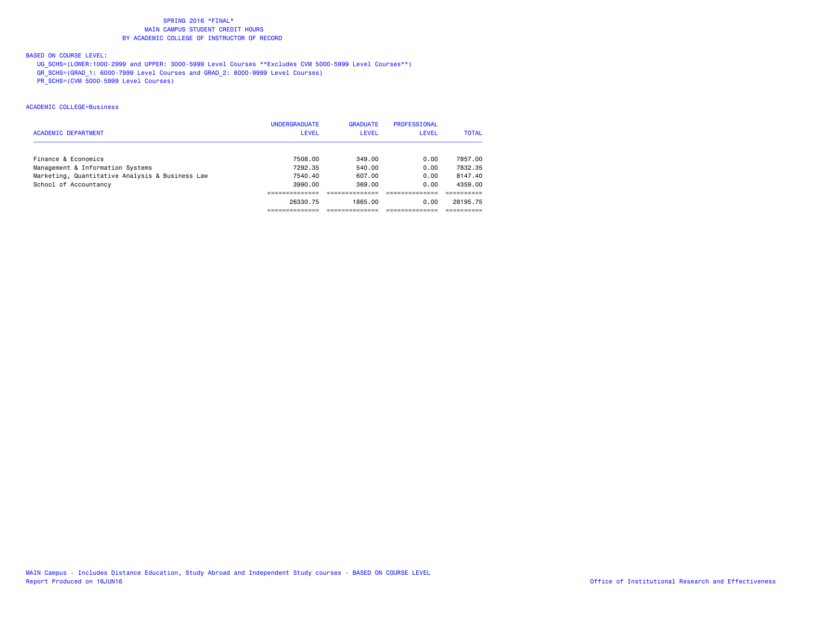# BASED ON COURSE LEVEL:

UG\_SCHS=(LOWER:1000-2999 and UPPER: 3000-5999 Level Courses \*\*Excludes CVM 5000-5999 Level Courses\*\*)

GR\_SCHS=(GRAD\_1: 6000-7999 Level Courses and GRAD\_2: 8000-9999 Level Courses)

PR\_SCHS=(CVM 5000-5999 Level Courses)

### ACADEMIC COLLEGE=Business

| <b>ACADEMIC DEPARTMENT</b>                      | <b>UNDERGRADUATE</b><br><b>LEVEL</b> | <b>GRADUATE</b><br><b>LEVEL</b> | PROFESSIONAL<br>LEVEL | <b>TOTAL</b> |
|-------------------------------------------------|--------------------------------------|---------------------------------|-----------------------|--------------|
| Finance & Economics                             | 7508.00                              | 349.00                          | 0.00                  | 7857.00      |
| Management & Information Systems                | 7292.35                              | 540.00                          | 0.00                  | 7832.35      |
| Marketing, Quantitative Analysis & Business Law | 7540.40                              | 607.00                          | 0.00                  | 8147.40      |
| School of Accountancy                           | 3990.00                              | 369.00                          | 0.00                  | 4359.00      |
|                                                 |                                      |                                 |                       |              |
|                                                 | 26330.75                             | 1865.00                         | 0.00                  | 28195.75     |
|                                                 |                                      |                                 |                       |              |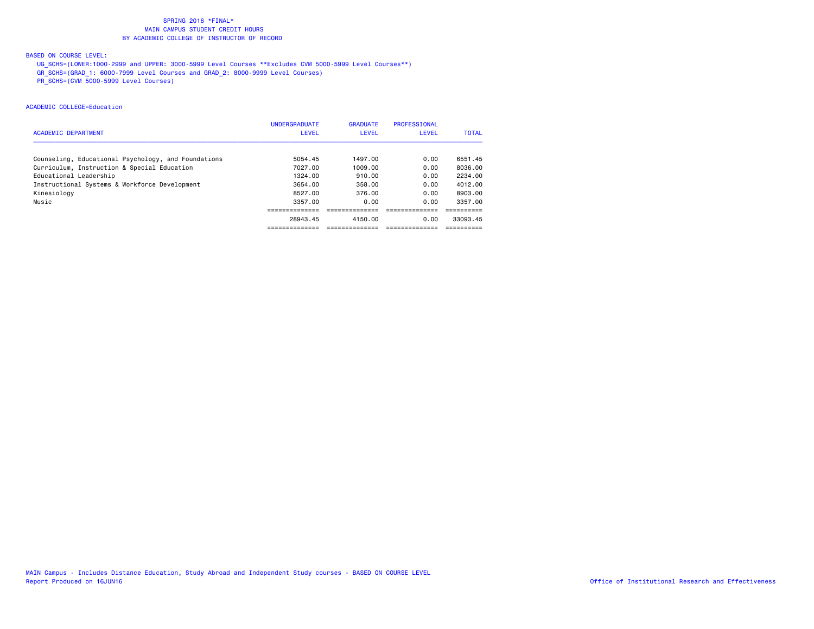# BASED ON COURSE LEVEL:

UG\_SCHS=(LOWER:1000-2999 and UPPER: 3000-5999 Level Courses \*\*Excludes CVM 5000-5999 Level Courses\*\*)

GR\_SCHS=(GRAD\_1: 6000-7999 Level Courses and GRAD\_2: 8000-9999 Level Courses)

PR\_SCHS=(CVM 5000-5999 Level Courses)

## ACADEMIC COLLEGE=Education

| <b>ACADEMIC DEPARTMENT</b>                          | <b>UNDERGRADUATE</b><br><b>LEVEL</b> | <b>GRADUATE</b><br><b>LEVEL</b> | <b>PROFESSIONAL</b><br><b>LEVEL</b> | <b>TOTAL</b> |
|-----------------------------------------------------|--------------------------------------|---------------------------------|-------------------------------------|--------------|
| Counseling, Educational Psychology, and Foundations | 5054.45                              | 1497.00                         | 0.00                                | 6551.45      |
| Curriculum, Instruction & Special Education         | 7027.00                              | 1009.00                         | 0.00                                | 8036.00      |
| Educational Leadership                              | 1324.00                              | 910.00                          | 0.00                                | 2234.00      |
| Instructional Systems & Workforce Development       | 3654.00                              | 358.00                          | 0.00                                | 4012.00      |
| Kinesiology                                         | 8527.00                              | 376.00                          | 0.00                                | 8903.00      |
| Music                                               | 3357.00                              | 0.00                            | 0.00                                | 3357.00      |
|                                                     |                                      |                                 |                                     |              |
|                                                     | 28943.45                             | 4150.00                         | 0.00                                | 33093.45     |
|                                                     |                                      |                                 |                                     |              |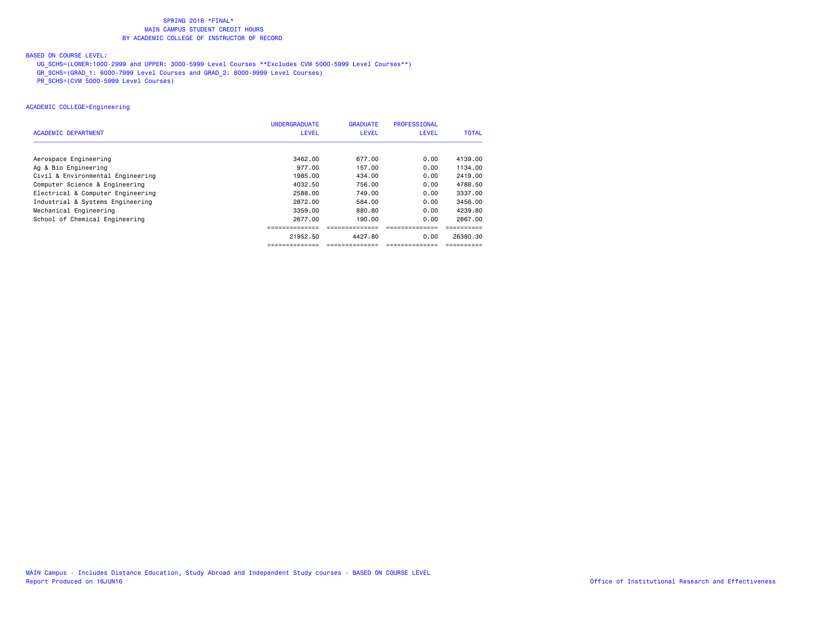# BASED ON COURSE LEVEL:

UG\_SCHS=(LOWER:1000-2999 and UPPER: 3000-5999 Level Courses \*\*Excludes CVM 5000-5999 Level Courses\*\*)

GR\_SCHS=(GRAD\_1: 6000-7999 Level Courses and GRAD\_2: 8000-9999 Level Courses)

PR\_SCHS=(CVM 5000-5999 Level Courses)

### ACADEMIC COLLEGE=Engineering

|                                   | <b>UNDERGRADUATE</b> | <b>GRADUATE</b> | <b>PROFESSIONAL</b> |              |
|-----------------------------------|----------------------|-----------------|---------------------|--------------|
| ACADEMIC DEPARTMENT               | <b>LEVEL</b>         | <b>LEVEL</b>    | <b>LEVEL</b>        | <b>TOTAL</b> |
|                                   |                      |                 |                     |              |
| Aerospace Engineering             | 3462.00              | 677.00          | 0.00                | 4139.00      |
| Ag & Bio Engineering              | 977.00               | 157.00          | 0.00                | 1134.00      |
| Civil & Environmental Engineering | 1985,00              | 434,00          | 0.00                | 2419,00      |
| Computer Science & Engineering    | 4032.50              | 756.00          | 0.00                | 4788.50      |
| Electrical & Computer Engineering | 2588.00              | 749.00          | 0.00                | 3337.00      |
| Industrial & Systems Engineering  | 2872.00              | 584.00          | 0.00                | 3456.00      |
| Mechanical Engineering            | 3359.00              | 880.80          | 0.00                | 4239.80      |
| School of Chemical Engineering    | 2677.00              | 190.00          | 0.00                | 2867.00      |
|                                   |                      |                 |                     |              |
|                                   | 21952.50             | 4427.80         | 0.00                | 26380.30     |
|                                   | ==============       | -------------   |                     |              |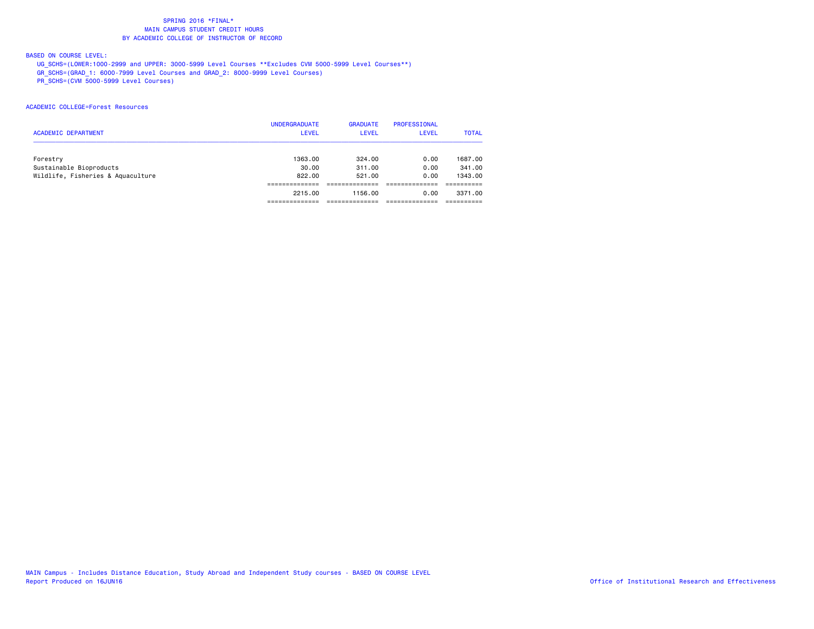# BASED ON COURSE LEVEL:

 UG\_SCHS=(LOWER:1000-2999 and UPPER: 3000-5999 Level Courses \*\*Excludes CVM 5000-5999 Level Courses\*\*) GR\_SCHS=(GRAD\_1: 6000-7999 Level Courses and GRAD\_2: 8000-9999 Level Courses)

PR\_SCHS=(CVM 5000-5999 Level Courses)

### ACADEMIC COLLEGE=Forest Resources

| <b>ACADEMIC DEPARTMENT</b>        | <b>UNDERGRADUATE</b><br><b>LEVEL</b> | <b>GRADUATE</b><br>LEVEL | PROFESSIONAL<br>LEVEL | <b>TOTAL</b> |
|-----------------------------------|--------------------------------------|--------------------------|-----------------------|--------------|
| Forestry                          | 1363.00                              | 324.00                   | 0.00                  | 1687.00      |
| Sustainable Bioproducts           | 30.00                                | 311,00                   | 0.00                  | 341,00       |
| Wildlife, Fisheries & Aquaculture | 822,00                               | 521.00                   | 0.00                  | 1343.00      |
|                                   |                                      |                          |                       |              |
|                                   | 2215.00                              | 1156.00                  | 0.00                  | 3371.00      |
|                                   |                                      |                          |                       |              |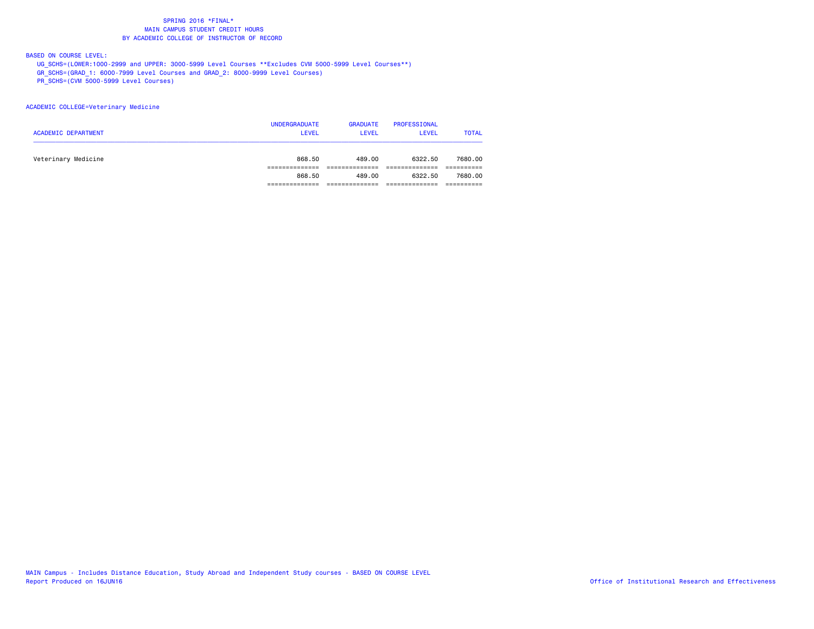# BASED ON COURSE LEVEL:

UG\_SCHS=(LOWER:1000-2999 and UPPER: 3000-5999 Level Courses \*\*Excludes CVM 5000-5999 Level Courses\*\*)

GR\_SCHS=(GRAD\_1: 6000-7999 Level Courses and GRAD\_2: 8000-9999 Level Courses)

PR\_SCHS=(CVM 5000-5999 Level Courses)

### ACADEMIC COLLEGE=Veterinary Medicine

| <b>ACADEMIC DEPARTMENT</b> | <b>UNDERGRADUATE</b><br><b>LEVEL</b> | <b>GRADUATE</b><br><b>LEVEL</b> | <b>PROFESSIONAL</b><br><b>LEVEL</b> | <b>TOTAL</b> |
|----------------------------|--------------------------------------|---------------------------------|-------------------------------------|--------------|
| Veterinary Medicine        | 868.50                               | 489.00                          | 6322.50                             | 7680.00      |
|                            |                                      |                                 |                                     |              |
|                            | 868,50                               | 489.00                          | 6322.50                             | 7680.00      |
|                            |                                      |                                 |                                     |              |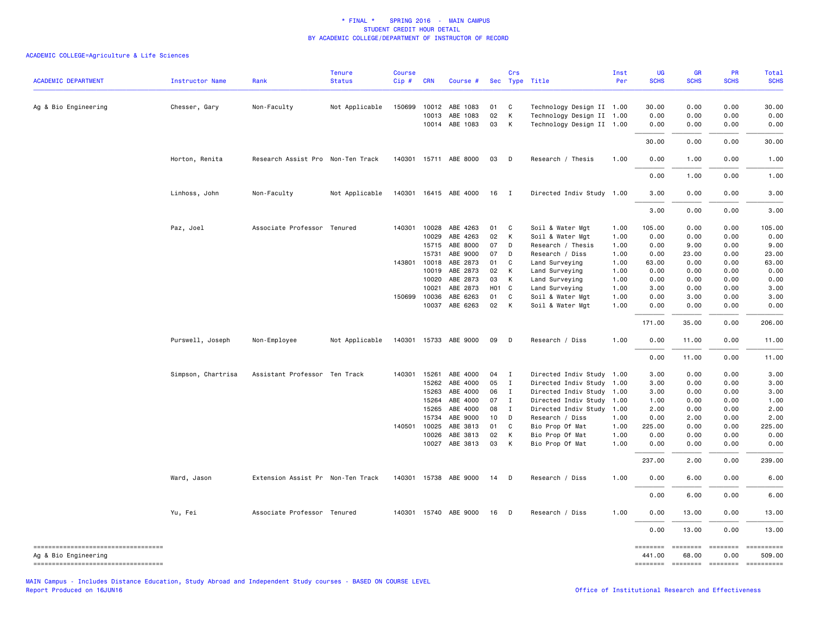## ACADEMIC COLLEGE=Agriculture & Life Sciences

| <b>ACADEMIC DEPARTMENT</b>                                                                          | Instructor Name    | Rank                              | <b>Tenure</b><br><b>Status</b> | <b>Course</b><br>Cip# | <b>CRN</b>                     | Course #                               |                 | Crs                    | Sec Type Title                                                                      | Inst<br>Per          | <b>UG</b><br><b>SCHS</b> | <b>GR</b><br><b>SCHS</b> | PR<br><b>SCHS</b>                                  | <b>Total</b><br><b>SCHS</b>        |
|-----------------------------------------------------------------------------------------------------|--------------------|-----------------------------------|--------------------------------|-----------------------|--------------------------------|----------------------------------------|-----------------|------------------------|-------------------------------------------------------------------------------------|----------------------|--------------------------|--------------------------|----------------------------------------------------|------------------------------------|
| Ag & Bio Engineering                                                                                | Chesser, Gary      | Non-Faculty                       | Not Applicable                 | 150699                | 10012<br>10013                 | ABE 1083<br>ABE 1083<br>10014 ABE 1083 | 01<br>02<br>03  | C<br>К<br>$\mathsf{K}$ | Technology Design II 1.00<br>Technology Design II 1.00<br>Technology Design II 1.00 |                      | 30.00<br>0.00<br>0.00    | 0.00<br>0.00<br>0.00     | 0.00<br>0.00<br>0.00                               | 30.00<br>0.00<br>0.00              |
|                                                                                                     |                    |                                   |                                |                       |                                |                                        |                 |                        |                                                                                     |                      | 30.00                    | 0.00                     | 0.00                                               | 30.00                              |
|                                                                                                     | Horton, Renita     | Research Assist Pro Non-Ten Track |                                |                       |                                | 140301 15711 ABE 8000                  | 03              | $\Box$                 | Research / Thesis                                                                   | 1.00                 | 0.00                     | 1.00                     | 0.00                                               | 1.00                               |
|                                                                                                     |                    |                                   |                                |                       |                                |                                        |                 |                        |                                                                                     |                      | 0.00                     | 1.00                     | 0.00                                               | 1.00                               |
|                                                                                                     | Linhoss, John      | Non-Faculty                       | Not Applicable                 |                       |                                | 140301 16415 ABE 4000                  | 16              | $\blacksquare$         | Directed Indiv Study 1.00                                                           |                      | 3.00                     | 0.00                     | 0.00                                               | 3.00                               |
|                                                                                                     |                    |                                   |                                |                       |                                |                                        |                 |                        |                                                                                     |                      | 3.00                     | 0.00                     | 0.00                                               | 3.00                               |
|                                                                                                     | Paz, Joel          | Associate Professor Tenured       |                                |                       | 140301 10028<br>10029<br>15715 | ABE 4263<br>ABE 4263<br>ABE 8000       | 01<br>02<br>07  | C<br>K<br>D            | Soil & Water Mgt<br>Soil & Water Mgt<br>Research / Thesis                           | 1.00<br>1.00<br>1.00 | 105.00<br>0.00<br>0.00   | 0.00<br>0.00<br>9.00     | 0.00<br>0.00<br>0.00                               | 105.00<br>0.00<br>9.00             |
|                                                                                                     |                    |                                   |                                |                       | 15731<br>143801 10018          | ABE 9000<br>ABE 2873                   | 07<br>01        | D<br>C                 | Research / Diss<br>Land Surveying                                                   | 1.00<br>1.00         | 0.00<br>63.00            | 23.00<br>0.00            | 0.00<br>0.00                                       | 23.00<br>63.00                     |
|                                                                                                     |                    |                                   |                                |                       | 10019                          | ABE 2873                               | 02              | К                      | Land Surveying                                                                      | 1.00                 | 0.00                     | 0.00                     | 0.00                                               | 0.00                               |
|                                                                                                     |                    |                                   |                                |                       | 10020                          | ABE 2873                               | 03              | K                      | Land Surveying                                                                      | 1.00                 | 0.00                     | 0.00                     | 0.00                                               | 0.00                               |
|                                                                                                     |                    |                                   |                                |                       | 10021                          | ABE 2873                               | HO1 C           |                        | Land Surveying                                                                      | 1.00                 | 3.00                     | 0.00                     | 0.00                                               | 3.00                               |
|                                                                                                     |                    |                                   |                                |                       | 150699 10036                   | ABE 6263                               | 01              | C                      | Soil & Water Mgt                                                                    | 1.00                 | 0.00                     | 3.00                     | 0.00                                               | 3.00                               |
|                                                                                                     |                    |                                   |                                |                       | 10037                          | ABE 6263                               | 02 K            |                        | Soil & Water Mgt                                                                    | 1.00                 | 0.00                     | 0.00                     | 0.00                                               | 0.00                               |
|                                                                                                     |                    |                                   |                                |                       |                                |                                        |                 |                        |                                                                                     |                      | 171.00                   | 35.00                    | 0.00                                               | 206.00                             |
|                                                                                                     | Purswell, Joseph   | Non-Employee                      | Not Applicable                 |                       |                                | 140301 15733 ABE 9000                  | 09              | $\mathsf{D}$           | Research / Diss                                                                     | 1.00                 | 0.00                     | 11.00                    | 0.00                                               | 11.00                              |
|                                                                                                     |                    |                                   |                                |                       |                                |                                        |                 |                        |                                                                                     |                      | 0.00                     | 11.00                    | 0.00                                               | 11.00                              |
|                                                                                                     | Simpson, Chartrisa | Assistant Professor Ten Track     |                                |                       | 140301 15261                   | ABE 4000                               | 04              | $\blacksquare$         | Directed Indiv Study 1.00                                                           |                      | 3.00                     | 0.00                     | 0.00                                               | 3.00                               |
|                                                                                                     |                    |                                   |                                |                       | 15262                          | ABE 4000                               | 05              | $\mathbf{I}$           | Directed Indiv Study 1.00                                                           |                      | 3.00                     | 0.00                     | 0.00                                               | 3.00                               |
|                                                                                                     |                    |                                   |                                |                       | 15263                          | ABE 4000                               | 06              | $\mathbf{I}$           | Directed Indiv Study 1.00                                                           |                      | 3.00                     | 0.00                     | 0.00                                               | 3.00                               |
|                                                                                                     |                    |                                   |                                |                       | 15264                          | ABE 4000                               | 07              | $\mathbf{I}$           | Directed Indiv Study 1.00                                                           |                      | 1.00                     | 0.00                     | 0.00                                               | 1.00                               |
|                                                                                                     |                    |                                   |                                |                       | 15265                          | ABE 4000                               | 08              | $\mathbf{I}$           | Directed Indiv Study                                                                | 1.00                 | 2.00                     | 0.00                     | 0.00                                               | 2.00                               |
|                                                                                                     |                    |                                   |                                |                       | 15734                          | ABE 9000                               | 10 <sub>1</sub> | D                      | Research / Diss                                                                     | 1.00                 | 0.00                     | 2.00                     | 0.00                                               | 2.00                               |
|                                                                                                     |                    |                                   |                                |                       | 140501 10025                   | ABE 3813                               | 01              | C                      | Bio Prop Of Mat                                                                     | 1.00                 | 225.00                   | 0.00                     | 0.00                                               | 225.00                             |
|                                                                                                     |                    |                                   |                                |                       | 10026<br>10027                 | ABE 3813<br>ABE 3813                   | 02<br>03        | K<br>K                 | Bio Prop Of Mat<br>Bio Prop Of Mat                                                  | 1.00<br>1.00         | 0.00<br>0.00             | 0.00<br>0.00             | 0.00<br>0.00                                       | 0.00<br>0.00                       |
|                                                                                                     |                    |                                   |                                |                       |                                |                                        |                 |                        |                                                                                     |                      | 237.00                   | 2.00                     | 0.00                                               | 239.00                             |
|                                                                                                     | Ward, Jason        | Extension Assist Pr Non-Ten Track |                                |                       |                                | 140301 15738 ABE 9000                  | 14              | $\mathsf{D}$           | Research / Diss                                                                     | 1.00                 | 0.00                     | 6.00                     | 0.00                                               | 6.00                               |
|                                                                                                     |                    |                                   |                                |                       |                                |                                        |                 |                        |                                                                                     |                      | 0.00                     | 6.00                     | 0.00                                               | 6.00                               |
|                                                                                                     | Yu, Fei            | Associate Professor Tenured       |                                |                       |                                | 140301 15740 ABE 9000                  | 16              | $\mathsf{D}$           | Research / Diss                                                                     | 1.00                 | 0.00                     | 13.00                    | 0.00                                               | 13.00                              |
|                                                                                                     |                    |                                   |                                |                       |                                |                                        |                 |                        |                                                                                     |                      | 0.00                     | 13.00                    | 0.00                                               | 13.00                              |
| =====================================<br>Ag & Bio Engineering<br>---------------------------------- |                    |                                   |                                |                       |                                |                                        |                 |                        |                                                                                     |                      | 441.00                   | 68.00<br><b>COORDING</b> | ======== ======== ========<br>0.00<br>$=$ ======== | ==========<br>509.00<br>========== |

MAIN Campus - Includes Distance Education, Study Abroad and Independent Study courses - BASED ON COURSE LEVEL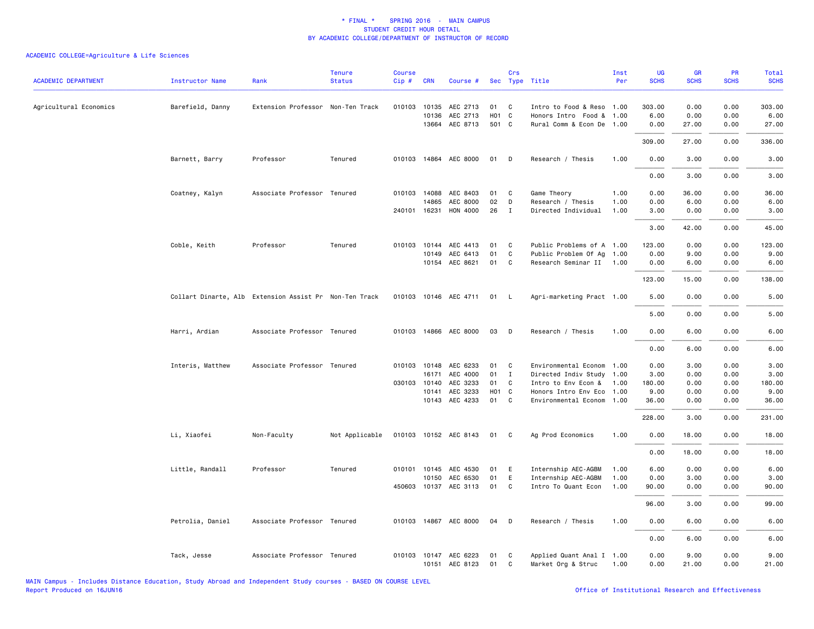| <b>ACADEMIC DEPARTMENT</b> | <b>Instructor Name</b> | Rank                                                   | <b>Tenure</b><br><b>Status</b> | <b>Course</b><br>Cip# | <b>CRN</b>   | Course #                 |                   | Crs            | Sec Type Title            | Inst<br>Per | <b>UG</b><br><b>SCHS</b> | <b>GR</b><br><b>SCHS</b> | <b>PR</b><br><b>SCHS</b> | <b>Total</b><br><b>SCHS</b> |
|----------------------------|------------------------|--------------------------------------------------------|--------------------------------|-----------------------|--------------|--------------------------|-------------------|----------------|---------------------------|-------------|--------------------------|--------------------------|--------------------------|-----------------------------|
|                            |                        |                                                        |                                |                       |              |                          |                   |                |                           |             |                          |                          |                          |                             |
| Agricultural Economics     | Barefield, Danny       | Extension Professor Non-Ten Track                      |                                |                       | 010103 10135 | AEC 2713                 | 01                | C              | Intro to Food & Reso 1.00 |             | 303.00                   | 0.00                     | 0.00                     | 303.00                      |
|                            |                        |                                                        |                                |                       | 10136        | AEC 2713                 | H <sub>01</sub> C |                | Honors Intro Food & 1.00  |             | 6.00                     | 0.00                     | 0.00                     | 6.00                        |
|                            |                        |                                                        |                                |                       |              | 13664 AEC 8713           | 501 C             |                | Rural Comm & Econ De 1.00 |             | 0.00                     | 27.00                    | 0.00                     | 27.00                       |
|                            |                        |                                                        |                                |                       |              |                          |                   |                |                           |             | 309.00                   | 27.00                    | 0.00                     | 336.00                      |
|                            | Barnett, Barry         | Professor                                              | Tenured                        |                       |              | 010103 14864 AEC 8000    | 01                | D              | Research / Thesis         | 1.00        | 0.00                     | 3.00                     | 0.00                     | 3.00                        |
|                            |                        |                                                        |                                |                       |              |                          |                   |                |                           |             | 0.00                     | 3.00                     | 0.00                     | 3.00                        |
|                            | Coatney, Kalyn         | Associate Professor Tenured                            |                                |                       | 010103 14088 | AEC 8403                 | 01                | C              | Game Theory               | 1.00        | 0.00                     | 36.00                    | 0.00                     | 36.00                       |
|                            |                        |                                                        |                                |                       | 14865        | AEC 8000                 | 02                | D              | Research / Thesis         | 1.00        | 0.00                     | 6.00                     | 0.00                     | 6.00                        |
|                            |                        |                                                        |                                |                       |              | 240101 16231 HON 4000    | 26                | $\mathbf{I}$   | Directed Individual       | 1.00        | 3.00                     | 0.00                     | 0.00                     | 3.00                        |
|                            |                        |                                                        |                                |                       |              |                          |                   |                |                           |             | 3.00                     | 42.00                    | 0.00                     | 45.00                       |
|                            |                        |                                                        |                                |                       |              |                          |                   |                |                           |             |                          |                          |                          |                             |
|                            | Coble, Keith           | Professor                                              | Tenured                        |                       | 010103 10144 | AEC 4413                 | 01                | C              | Public Problems of A 1.00 |             | 123.00                   | 0.00                     | 0.00                     | 123.00                      |
|                            |                        |                                                        |                                |                       | 10149        | AEC 6413                 | 01                | C              | Public Problem Of Ag 1.00 |             | 0.00                     | 9.00                     | 0.00                     | 9.00                        |
|                            |                        |                                                        |                                |                       |              | 10154 AEC 8621           | 01                | C              | Research Seminar II 1.00  |             | 0.00                     | 6.00                     | 0.00                     | 6.00                        |
|                            |                        |                                                        |                                |                       |              |                          |                   |                |                           |             | 123.00                   | 15.00                    | 0.00                     | 138.00                      |
|                            |                        | Collart Dinarte, Alb Extension Assist Pr Non-Ten Track |                                |                       |              | 010103 10146 AEC 4711 01 |                   | - L            | Agri-marketing Pract 1.00 |             | 5.00                     | 0.00                     | 0.00                     | 5.00                        |
|                            |                        |                                                        |                                |                       |              |                          |                   |                |                           |             | 5.00                     | 0.00                     | 0.00                     | 5.00                        |
|                            | Harri, Ardian          | Associate Professor Tenured                            |                                |                       |              | 010103 14866 AEC 8000    | 03                | D              | Research / Thesis         | 1.00        | 0.00                     | 6.00                     | 0.00                     | 6.00                        |
|                            |                        |                                                        |                                |                       |              |                          |                   |                |                           |             | 0.00                     | 6.00                     | 0.00                     | 6.00                        |
|                            | Interis, Matthew       | Associate Professor Tenured                            |                                |                       | 010103 10148 | AEC 6233                 | 01                | C              | Environmental Econom      | 1.00        | 0.00                     | 3.00                     | 0.00                     | 3.00                        |
|                            |                        |                                                        |                                |                       |              | 16171 AEC 4000           | 01                | $\mathbf{I}$   | Directed Indiv Study 1.00 |             | 3.00                     | 0.00                     | 0.00                     | 3.00                        |
|                            |                        |                                                        |                                |                       | 030103 10140 | AEC 3233                 | 01                | C              | Intro to Env Econ &       | 1.00        | 180.00                   | 0.00                     | 0.00                     | 180.00                      |
|                            |                        |                                                        |                                |                       | 10141        | AEC 3233                 | H <sub>01</sub> C |                | Honors Intro Env Eco 1.00 |             | 9.00                     | 0.00                     | 0.00                     | 9.00                        |
|                            |                        |                                                        |                                |                       | 10143        | AEC 4233                 | 01                | C              | Environmental Econom 1.00 |             | 36.00                    | 0.00                     | 0.00                     | 36.00                       |
|                            |                        |                                                        |                                |                       |              |                          |                   |                |                           |             | 228.00                   | 3.00                     | 0.00                     | 231.00                      |
|                            | Li, Xiaofei            | Non-Faculty                                            | Not Applicable                 |                       |              | 010103 10152 AEC 8143    | 01                | C <sub>c</sub> | Ag Prod Economics         | 1.00        | 0.00                     | 18.00                    | 0.00                     | 18.00                       |
|                            |                        |                                                        |                                |                       |              |                          |                   |                |                           |             | 0.00                     | 18.00                    | 0.00                     | 18.00                       |
|                            | Little, Randall        | Professor                                              | Tenured                        |                       | 010101 10145 | AEC 4530                 | 01                | Ε              | Internship AEC-AGBM       | 1.00        | 6.00                     | 0.00                     | 0.00                     | 6.00                        |
|                            |                        |                                                        |                                |                       |              | 10150 AEC 6530           | 01                | E              | Internship AEC-AGBM       | 1.00        | 0.00                     | 3.00                     | 0.00                     | 3.00                        |
|                            |                        |                                                        |                                |                       |              | 450603 10137 AEC 3113    | 01                | C              | Intro To Quant Econ       | 1.00        | 90.00                    | 0.00                     | 0.00                     | 90.00                       |
|                            |                        |                                                        |                                |                       |              |                          |                   |                |                           |             |                          |                          |                          |                             |
|                            |                        |                                                        |                                |                       |              |                          |                   |                |                           |             | 96.00                    | 3.00                     | 0.00                     | 99.00                       |
|                            | Petrolia, Daniel       | Associate Professor Tenured                            |                                |                       |              | 010103 14867 AEC 8000    | 04                | D              | Research / Thesis         | 1.00        | 0.00                     | 6.00                     | 0.00                     | 6.00                        |
|                            |                        |                                                        |                                |                       |              |                          |                   |                |                           |             | 0.00                     | 6.00                     | 0.00                     | 6.00                        |
|                            | Tack, Jesse            | Associate Professor Tenured                            |                                |                       |              | 010103 10147 AEC 6223    | 01                | C              | Applied Quant Anal I 1.00 |             | 0.00                     | 9.00                     | 0.00                     | 9.00                        |
|                            |                        |                                                        |                                |                       |              | 10151 AEC 8123           | 01                | C              | Market Org & Struc        | 1.00        | 0.00                     | 21.00                    | 0.00                     | 21.00                       |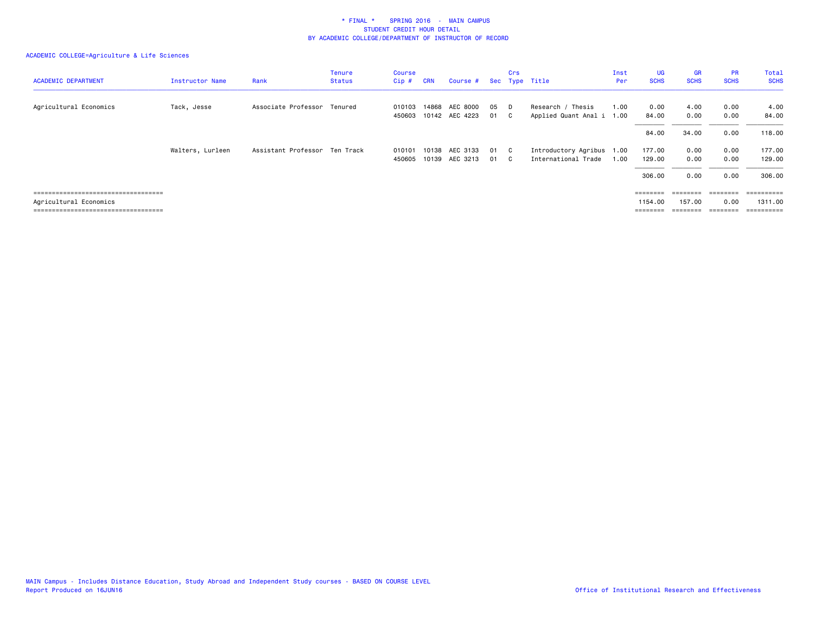| <b>ACADEMIC DEPARTMENT</b>            | <b>Instructor Name</b> | Rank                          | Tenure<br><b>Status</b> | Course<br>Cip #  | <b>CRN</b>     | Course #                   |          | Crs       | Sec Type Title                                   | Inst<br>Per  | UG<br><b>SCHS</b>                                                       | <b>GR</b><br><b>SCHS</b> | <b>PR</b><br><b>SCHS</b> | Total<br><b>SCHS</b>  |
|---------------------------------------|------------------------|-------------------------------|-------------------------|------------------|----------------|----------------------------|----------|-----------|--------------------------------------------------|--------------|-------------------------------------------------------------------------|--------------------------|--------------------------|-----------------------|
| Agricultural Economics                | Tack, Jesse            | Associate Professor Tenured   |                         | 010103<br>450603 | 14868          | AEC 8000<br>10142 AEC 4223 | 05<br>01 | - D<br>C. | Research / Thesis<br>Applied Quant Anal i        | 1.00<br>1.00 | 0.00<br>84.00                                                           | 4.00<br>0.00             | 0.00<br>0.00             | 4.00<br>84.00         |
|                                       |                        |                               |                         |                  |                |                            |          |           |                                                  |              | 84.00                                                                   | 34.00                    | 0.00                     | 118,00                |
|                                       | Walters, Lurleen       | Assistant Professor Ten Track |                         | 010101<br>450605 | 10138<br>10139 | AEC 3133<br>AEC 3213       | 01<br>01 | C.        | Introductory Agribus 1.00<br>International Trade | 1.00         | 177.00<br>129.00                                                        | 0.00<br>0.00             | 0.00<br>0.00             | 177.00<br>129.00      |
|                                       |                        |                               |                         |                  |                |                            |          |           |                                                  |              | 306,00                                                                  | 0.00                     | 0.00                     | 306.00                |
| ====================================  |                        |                               |                         |                  |                |                            |          |           |                                                  |              | ========                                                                |                          |                          | $=$ = = = = = = = = = |
| Agricultural Economics                |                        |                               |                         |                  |                |                            |          |           |                                                  |              | 1154.00                                                                 | 157.00                   | 0.00                     | 1311.00               |
| ===================================== |                        |                               |                         |                  |                |                            |          |           |                                                  |              | $\qquad \qquad \equiv \equiv \equiv \equiv \equiv \equiv \equiv \equiv$ | ========                 | ========                 | ==========            |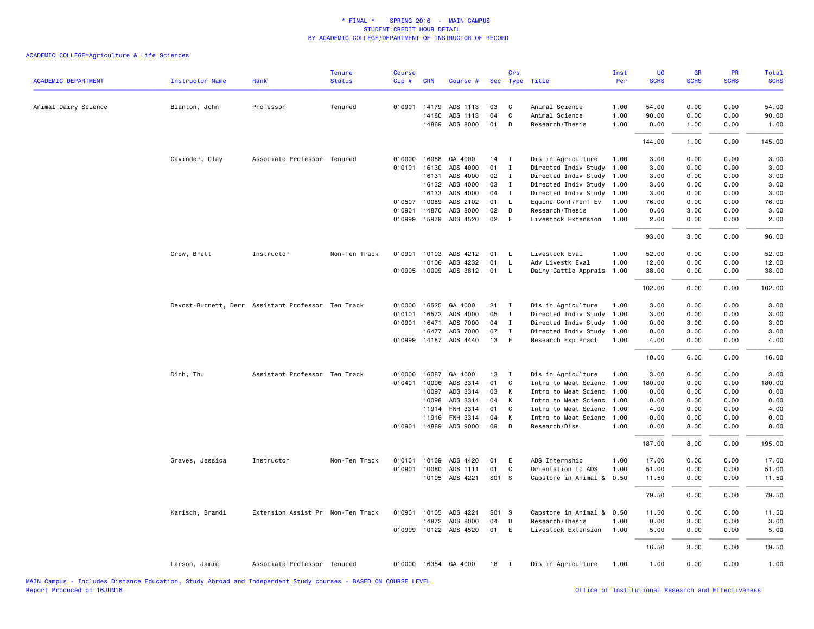| <b>ACADEMIC DEPARTMENT</b> | <b>Instructor Name</b> | Rank                                               | <b>Tenure</b><br><b>Status</b> | <b>Course</b><br>Cip# | <b>CRN</b>   | Course #              |       | Crs            | Sec Type Title            | Inst<br>Per | <b>UG</b><br><b>SCHS</b> | <b>GR</b><br><b>SCHS</b> | <b>PR</b><br><b>SCHS</b> | Total<br><b>SCHS</b> |
|----------------------------|------------------------|----------------------------------------------------|--------------------------------|-----------------------|--------------|-----------------------|-------|----------------|---------------------------|-------------|--------------------------|--------------------------|--------------------------|----------------------|
|                            |                        |                                                    |                                |                       |              |                       |       |                |                           |             |                          |                          |                          |                      |
| Animal Dairy Science       | Blanton, John          | Professor                                          | Tenured                        | 010901                | 14179        | ADS 1113              | 03    | C              | Animal Science            | 1.00        | 54.00                    | 0.00                     | 0.00                     | 54.00                |
|                            |                        |                                                    |                                |                       | 14180        | ADS 1113              | 04    | C              | Animal Science            | 1.00        | 90.00                    | 0.00                     | 0.00                     | 90.00                |
|                            |                        |                                                    |                                |                       | 14869        | ADS 8000              | 01    | D              | Research/Thesis           | 1.00        | 0.00                     | 1.00                     | 0.00                     | 1.00                 |
|                            |                        |                                                    |                                |                       |              |                       |       |                |                           |             | 144.00                   | 1.00                     | 0.00                     | 145.00               |
|                            | Cavinder, Clay         | Associate Professor Tenured                        |                                | 010000                | 16088        | GA 4000               | 14    | $\mathbf{I}$   | Dis in Agriculture        | 1.00        | 3.00                     | 0.00                     | 0.00                     | 3.00                 |
|                            |                        |                                                    |                                | 010101                | 16130        | ADS 4000              | 01    | $\mathbf{I}$   | Directed Indiv Study      | 1.00        | 3.00                     | 0.00                     | 0.00                     | 3.00                 |
|                            |                        |                                                    |                                |                       | 16131        | ADS 4000              | 02    | $\mathbf{I}$   | Directed Indiv Study      | 1.00        | 3.00                     | 0.00                     | 0.00                     | 3.00                 |
|                            |                        |                                                    |                                |                       | 16132        | ADS 4000              | 03    | $\mathbf I$    | Directed Indiv Study 1.00 |             | 3.00                     | 0.00                     | 0.00                     | 3.00                 |
|                            |                        |                                                    |                                |                       | 16133        | ADS 4000              | 04    | $\mathbf{I}$   | Directed Indiv Study      | 1.00        | 3.00                     | 0.00                     | 0.00                     | 3.00                 |
|                            |                        |                                                    |                                | 010507                | 10089        | ADS 2102              | 01    | L              | Equine Conf/Perf Ev       | 1.00        | 76.00                    | 0.00                     | 0.00                     | 76.00                |
|                            |                        |                                                    |                                | 010901                | 14870        | ADS 8000              | 02    | D              | Research/Thesis           | 1.00        | 0.00                     | 3.00                     | 0.00                     | 3.00                 |
|                            |                        |                                                    |                                |                       | 010999 15979 | ADS 4520              | 02    | E              | Livestock Extension       | 1.00        | 2.00                     | 0.00                     | 0.00                     | 2.00                 |
|                            |                        |                                                    |                                |                       |              |                       |       |                |                           |             | 93.00                    | 3.00                     | 0.00                     | 96.00                |
|                            | Crow, Brett            | Instructor                                         | Non-Ten Track                  | 010901                | 10103        | ADS 4212              | 01    | L              | Livestock Eval            | 1.00        | 52.00                    | 0.00                     | 0.00                     | 52.00                |
|                            |                        |                                                    |                                |                       | 10106        | ADS 4232              | 01    | L              | Adv Livestk Eval          | 1.00        | 12.00                    | 0.00                     | 0.00                     | 12.00                |
|                            |                        |                                                    |                                |                       | 010905 10099 | ADS 3812              | 01    | L              | Dairy Cattle Apprais      | 1.00        | 38.00                    | 0.00                     | 0.00                     | 38.00                |
|                            |                        |                                                    |                                |                       |              |                       |       |                |                           |             | 102.00                   | 0.00                     | 0.00                     | 102.00               |
|                            |                        | Devost-Burnett, Derr Assistant Professor Ten Track |                                | 010000                | 16525        | GA 4000               | 21    | $\mathbf{I}$   | Dis in Agriculture        | 1.00        | 3.00                     | 0.00                     | 0.00                     | 3.00                 |
|                            |                        |                                                    |                                | 010101                | 16572        | ADS 4000              | 05    | $\mathbf I$    | Directed Indiv Study      | 1.00        | 3.00                     | 0.00                     | 0.00                     | 3.00                 |
|                            |                        |                                                    |                                | 010901                | 16471        | ADS 7000              | 04    | $\mathbf{I}$   | Directed Indiv Study      | 1.00        | 0.00                     | 3.00                     | 0.00                     | 3.00                 |
|                            |                        |                                                    |                                |                       | 16477        | ADS 7000              | 07    | $\mathbf{I}$   | Directed Indiv Study 1.00 |             | 0.00                     | 3.00                     | 0.00                     | 3.00                 |
|                            |                        |                                                    |                                |                       |              | 010999 14187 ADS 4440 | 13    | E              | Research Exp Pract        | 1.00        | 4.00                     | 0.00                     | 0.00                     | 4.00                 |
|                            |                        |                                                    |                                |                       |              |                       |       |                |                           |             | 10.00                    | 6.00                     | 0.00                     | 16.00                |
|                            | Dinh, Thu              | Assistant Professor Ten Track                      |                                |                       | 010000 16087 | GA 4000               | 13    | $\mathbf{I}$   | Dis in Agriculture        | 1.00        | 3.00                     | 0.00                     | 0.00                     | 3.00                 |
|                            |                        |                                                    |                                | 010401                | 10096        | ADS 3314              | 01    | C              | Intro to Meat Scienc      | 1.00        | 180.00                   | 0.00                     | 0.00                     | 180.00               |
|                            |                        |                                                    |                                |                       | 10097        | ADS 3314              | 03    | К              | Intro to Meat Scienc      | 1.00        | 0.00                     | 0.00                     | 0.00                     | 0.00                 |
|                            |                        |                                                    |                                |                       | 10098        | ADS 3314              | 04    | К              | Intro to Meat Scienc      | 1.00        | 0.00                     | 0.00                     | 0.00                     | 0.00                 |
|                            |                        |                                                    |                                |                       | 11914        | FNH 3314              | 01    | C              | Intro to Meat Scienc      | 1.00        | 4.00                     | 0.00                     | 0.00                     | 4.00                 |
|                            |                        |                                                    |                                |                       | 11916        | FNH 3314              | 04    | К              | Intro to Meat Scienc      | 1.00        | 0.00                     | 0.00                     | 0.00                     | 0.00                 |
|                            |                        |                                                    |                                |                       | 010901 14889 | ADS 9000              | 09    | D              | Research/Diss             | 1.00        | 0.00                     | 8.00                     | 0.00                     | 8.00                 |
|                            |                        |                                                    |                                |                       |              |                       |       |                |                           |             | 187.00                   | 8.00                     | 0.00                     | 195.00               |
|                            | Graves, Jessica        | Instructor                                         | Non-Ten Track                  | 010101                | 10109        | ADS 4420              | 01    | E              | ADS Internship            | 1.00        | 17.00                    | 0.00                     | 0.00                     | 17.00                |
|                            |                        |                                                    |                                | 010901                | 10080        | ADS 1111              | 01    | C              | Orientation to ADS        | 1.00        | 51.00                    | 0.00                     | 0.00                     | 51.00                |
|                            |                        |                                                    |                                |                       | 10105        | ADS 4221              | S01 S |                | Capstone in Animal &      | 0.50        | 11.50                    | 0.00                     | 0.00                     | 11.50                |
|                            |                        |                                                    |                                |                       |              |                       |       |                |                           |             | 79.50                    | 0.00                     | 0.00                     | 79.50                |
|                            | Karisch, Brandi        | Extension Assist Pr Non-Ten Track                  |                                | 010901                | 10105        | ADS 4221              | S01 S |                | Capstone in Animal &      | 0.50        | 11.50                    | 0.00                     | 0.00                     | 11.50                |
|                            |                        |                                                    |                                |                       | 14872        | ADS 8000              | 04    | D              | Research/Thesis           | 1.00        | 0.00                     | 3.00                     | 0.00                     | 3.00                 |
|                            |                        |                                                    |                                |                       |              | 010999 10122 ADS 4520 | 01    | E              | Livestock Extension       | 1.00        | 5.00                     | 0.00                     | 0.00                     | 5.00                 |
|                            |                        |                                                    |                                |                       |              |                       |       |                |                           |             | 16.50                    | 3.00                     | 0.00                     | 19.50                |
|                            | Larson, Jamie          | Associate Professor Tenured                        |                                |                       |              | 010000 16384 GA 4000  | 18    | $\blacksquare$ | Dis in Agriculture        | 1.00        | 1.00                     | 0.00                     | 0.00                     | 1.00                 |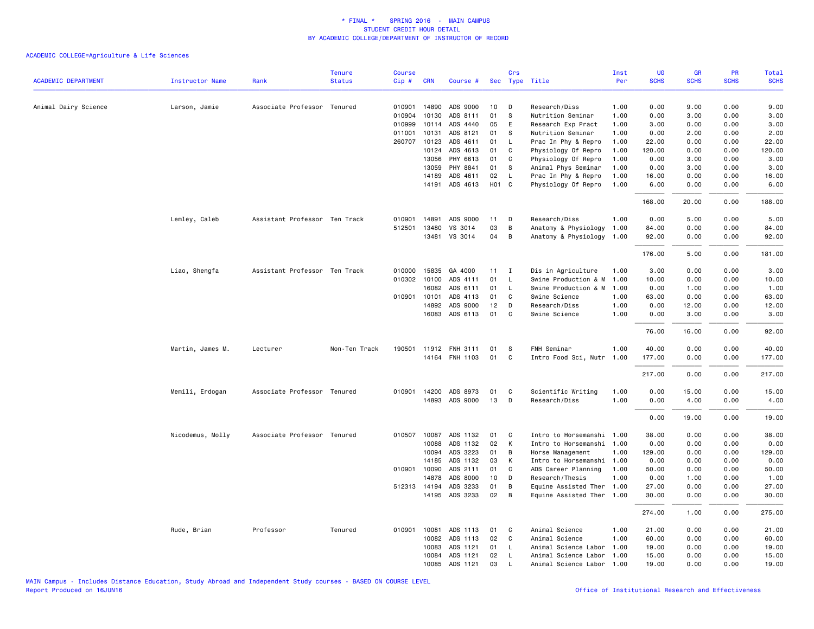|                            |                        |                               | <b>Tenure</b> | Course |              |                |                   | Crs            |                           | Inst | UG          | GR          | PR          | <b>Total</b> |
|----------------------------|------------------------|-------------------------------|---------------|--------|--------------|----------------|-------------------|----------------|---------------------------|------|-------------|-------------|-------------|--------------|
| <b>ACADEMIC DEPARTMENT</b> | <b>Instructor Name</b> | Rank                          | <b>Status</b> | Cip#   | <b>CRN</b>   | Course #       |                   | Sec Type Title |                           | Per  | <b>SCHS</b> | <b>SCHS</b> | <b>SCHS</b> | <b>SCHS</b>  |
| Animal Dairy Science       | Larson, Jamie          | Associate Professor Tenured   |               | 010901 | 14890        | ADS 9000       | 10                | D              | Research/Diss             | 1.00 | 0.00        | 9.00        | 0.00        | 9.00         |
|                            |                        |                               |               | 010904 | 10130        | ADS 8111       | 01                | S              | Nutrition Seminar         | 1.00 | 0.00        | 3.00        | 0.00        | 3.00         |
|                            |                        |                               |               | 010999 | 10114        | ADS 4440       | 05                | E              | Research Exp Pract        | 1.00 | 3.00        | 0.00        | 0.00        | 3.00         |
|                            |                        |                               |               | 011001 | 10131        | ADS 8121       | 01                | s              | Nutrition Seminar         | 1.00 | 0.00        | 2.00        | 0.00        | 2.00         |
|                            |                        |                               |               |        | 260707 10123 | ADS 4611       | 01                | L              | Prac In Phy & Repro       | 1.00 | 22.00       | 0.00        | 0.00        | 22.00        |
|                            |                        |                               |               |        | 10124        | ADS 4613       | 01                | C              | Physiology Of Repro       | 1.00 | 120.00      | 0.00        | 0.00        | 120.00       |
|                            |                        |                               |               |        | 13056        | PHY 6613       | 01                | C              | Physiology Of Repro       | 1.00 | 0.00        | 3.00        | 0.00        | 3.00         |
|                            |                        |                               |               |        | 13059        | PHY 8841       | 01                | S              | Animal Phys Seminar       | 1.00 | 0.00        | 3.00        | 0.00        | 3.00         |
|                            |                        |                               |               |        | 14189        | ADS 4611       | 02                | L              | Prac In Phy & Repro       | 1.00 | 16.00       | 0.00        | 0.00        | 16.00        |
|                            |                        |                               |               |        | 14191        | ADS 4613       | H <sub>01</sub> C |                | Physiology Of Repro       | 1.00 | 6.00        | 0.00        | 0.00        | 6.00         |
|                            |                        |                               |               |        |              |                |                   |                |                           |      | 168.00      | 20.00       | 0.00        | 188.00       |
|                            | Lemley, Caleb          | Assistant Professor Ten Track |               | 010901 | 14891        | ADS 9000       | 11                | D              | Research/Diss             | 1.00 | 0.00        | 5.00        | 0.00        | 5.00         |
|                            |                        |                               |               | 512501 | 13480        | VS 3014        | 03                | B              | Anatomy & Physiology      | 1.00 | 84.00       | 0.00        | 0.00        | 84.00        |
|                            |                        |                               |               |        | 13481        | VS 3014        | 04                | B              | Anatomy & Physiology      | 1.00 | 92.00       | 0.00        | 0.00        | 92.00        |
|                            |                        |                               |               |        |              |                |                   |                |                           |      | 176.00      | 5.00        | 0.00        | 181.00       |
|                            | Liao, Shengfa          | Assistant Professor Ten Track |               | 010000 | 15835        | GA 4000        | 11                | $\mathbf{I}$   | Dis in Agriculture        | 1.00 | 3.00        | 0.00        | 0.00        | 3.00         |
|                            |                        |                               |               | 010302 | 10100        | ADS 4111       | 01                | L              | Swine Production & M      | 1.00 | 10.00       | 0.00        | 0.00        | 10.00        |
|                            |                        |                               |               |        | 16082        | ADS 6111       | 01                | <b>L</b>       | Swine Production & M      | 1.00 | 0.00        | 1.00        | 0.00        | 1.00         |
|                            |                        |                               |               |        | 010901 10101 | ADS 4113       | 01                | C              | Swine Science             | 1.00 | 63.00       | 0.00        | 0.00        | 63.00        |
|                            |                        |                               |               |        | 14892        | ADS 9000       | 12                | D              | Research/Diss             | 1.00 | 0.00        | 12.00       | 0.00        | 12.00        |
|                            |                        |                               |               |        | 16083        | ADS 6113       | 01                | C              | Swine Science             | 1.00 | 0.00        | 3.00        | 0.00        | 3.00         |
|                            |                        |                               |               |        |              |                |                   |                |                           |      | 76.00       | 16.00       | 0.00        | 92.00        |
|                            | Martin, James M.       | Lecturer                      | Non-Ten Track | 190501 |              | 11912 FNH 3111 | 01                | S              | FNH Seminar               | 1.00 | 40.00       | 0.00        | 0.00        | 40.00        |
|                            |                        |                               |               |        |              | 14164 FNH 1103 | 01                | C              | Intro Food Sci, Nutr 1.00 |      | 177.00      | 0.00        | 0.00        | 177.00       |
|                            |                        |                               |               |        |              |                |                   |                |                           |      | 217.00      | 0.00        | 0.00        | 217.00       |
|                            | Memili, Erdogan        | Associate Professor Tenured   |               | 010901 | 14200        | ADS 8973       | 01                | C              | Scientific Writing        | 1.00 | 0.00        | 15.00       | 0.00        | 15.00        |
|                            |                        |                               |               |        | 14893        | ADS 9000       | 13                | D              | Research/Diss             | 1.00 | 0.00        | 4.00        | 0.00        | 4.00         |
|                            |                        |                               |               |        |              |                |                   |                |                           |      | 0.00        | 19.00       | 0.00        | 19.00        |
|                            | Nicodemus, Molly       | Associate Professor Tenured   |               |        | 010507 10087 | ADS 1132       | 01                | C              | Intro to Horsemanshi 1.00 |      | 38.00       | 0.00        | 0.00        | 38.00        |
|                            |                        |                               |               |        | 10088        | ADS 1132       | 02                | К              | Intro to Horsemanshi 1.00 |      | 0.00        | 0.00        | 0.00        | 0.00         |
|                            |                        |                               |               |        | 10094        | ADS 3223       | 01                | B              | Horse Management          | 1.00 | 129.00      | 0.00        | 0.00        | 129.00       |
|                            |                        |                               |               |        | 14185        | ADS 1132       | 03                | К              | Intro to Horsemanshi      | 1.00 | 0.00        | 0.00        | 0.00        | 0.00         |
|                            |                        |                               |               | 010901 | 10090        | ADS 2111       | 01                | C              | ADS Career Planning       | 1.00 | 50.00       | 0.00        | 0.00        | 50.00        |
|                            |                        |                               |               |        | 14878        | ADS 8000       | 10                | D              | Research/Thesis           | 1.00 | 0.00        | 1.00        | 0.00        | 1.00         |
|                            |                        |                               |               |        | 512313 14194 | ADS 3233       | 01                | B              | Equine Assisted Ther 1.00 |      | 27.00       | 0.00        | 0.00        | 27.00        |
|                            |                        |                               |               |        |              | 14195 ADS 3233 | 02                | B              | Equine Assisted Ther      | 1.00 | 30.00       | 0.00        | 0.00        | 30.00        |
|                            |                        |                               |               |        |              |                |                   |                |                           |      | 274.00      | 1.00        | 0.00        | 275.00       |
|                            | Rude, Brian            | Professor                     | Tenured       | 010901 | 10081        | ADS 1113       | 01                | C              | Animal Science            | 1.00 | 21.00       | 0.00        | 0.00        | 21.00        |
|                            |                        |                               |               |        | 10082        | ADS 1113       | 02                | C              | Animal Science            | 1.00 | 60.00       | 0.00        | 0.00        | 60.00        |
|                            |                        |                               |               |        | 10083        | ADS 1121       | 01                | L              | Animal Science Labor      | 1.00 | 19.00       | 0.00        | 0.00        | 19.00        |
|                            |                        |                               |               |        | 10084        | ADS 1121       | 02                | L              | Animal Science Labor      | 1.00 | 15.00       | 0.00        | 0.00        | 15.00        |
|                            |                        |                               |               |        | 10085        | ADS 1121       | 03                | $\mathsf{L}$   | Animal Science Labor 1.00 |      | 19.00       | 0.00        | 0.00        | 19.00        |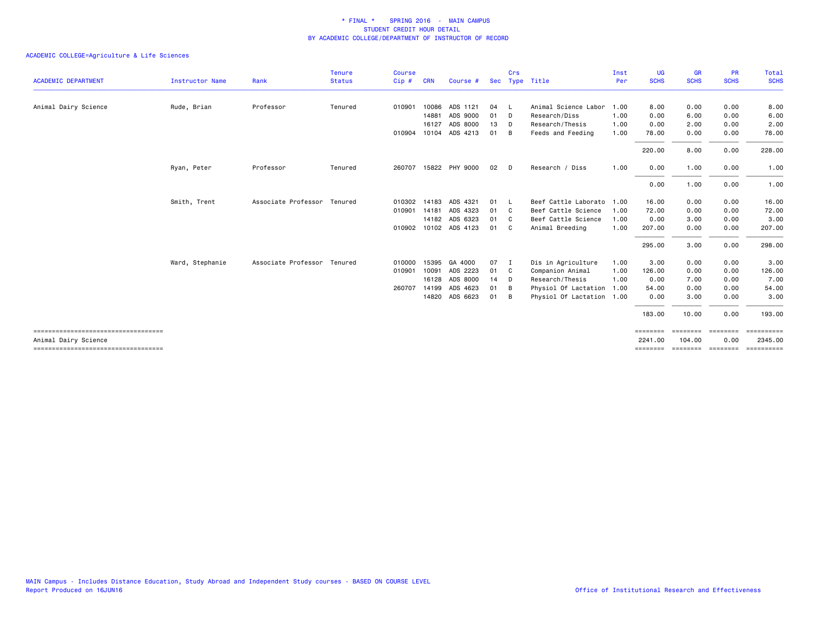|                                      |                        |                             | <b>Tenure</b> | <b>Course</b> |            |                       |      | Crs          |                           | Inst | UG          | <b>GR</b>   | <b>PR</b>      | Total       |
|--------------------------------------|------------------------|-----------------------------|---------------|---------------|------------|-----------------------|------|--------------|---------------------------|------|-------------|-------------|----------------|-------------|
| <b>ACADEMIC DEPARTMENT</b>           | <b>Instructor Name</b> | Rank                        | <b>Status</b> | Cip#          | <b>CRN</b> | Course #              |      |              | Sec Type Title            | Per  | <b>SCHS</b> | <b>SCHS</b> | <b>SCHS</b>    | <b>SCHS</b> |
| Animal Dairy Science                 | Rude, Brian            | Professor                   | Tenured       | 010901        | 10086      | ADS 1121              | 04   | - L          | Animal Science Labor      | 1.00 | 8.00        | 0.00        | 0.00           | 8.00        |
|                                      |                        |                             |               |               | 14881      | ADS 9000              | 01   | D            | Research/Diss             | 1.00 | 0.00        | 6.00        | 0.00           | 6.00        |
|                                      |                        |                             |               |               | 16127      | ADS 8000              | 13   | D            | Research/Thesis           | 1.00 | 0.00        | 2.00        | 0.00           | 2.00        |
|                                      |                        |                             |               |               |            | 010904 10104 ADS 4213 | 01   | B            | Feeds and Feeding         | 1.00 | 78.00       | 0.00        | 0.00           | 78.00       |
|                                      |                        |                             |               |               |            |                       |      |              |                           |      | 220.00      | 8.00        | 0.00           | 228.00      |
|                                      | Ryan, Peter            | Professor                   | Tenured       |               |            | 260707 15822 PHY 9000 | 02   | - D          | Research / Diss           | 1.00 | 0.00        | 1.00        | 0.00           | 1.00        |
|                                      |                        |                             |               |               |            |                       |      |              |                           |      | 0.00        | 1.00        | 0.00           | 1.00        |
|                                      | Smith, Trent           | Associate Professor Tenured |               | 010302        |            | 14183 ADS 4321        | 01   | - L          | Beef Cattle Laborato 1.00 |      | 16.00       | 0.00        | 0.00           | 16.00       |
|                                      |                        |                             |               | 010901        | 14181      | ADS 4323              | 01   | C.           | Beef Cattle Science       | 1.00 | 72.00       | 0.00        | 0.00           | 72.00       |
|                                      |                        |                             |               |               |            | 14182 ADS 6323        | 01   | $\mathbf{C}$ | Beef Cattle Science       | 1.00 | 0.00        | 3.00        | 0.00           | 3.00        |
|                                      |                        |                             |               |               |            | 010902 10102 ADS 4123 | 01   | C.           | Animal Breeding           | 1.00 | 207.00      | 0.00        | 0.00           | 207.00      |
|                                      |                        |                             |               |               |            |                       |      |              |                           |      | 295.00      | 3.00        | 0.00           | 298.00      |
|                                      | Ward, Stephanie        | Associate Professor         | Tenured       | 010000        | 15395      | GA 4000               | 07 I |              | Dis in Agriculture        | 1.00 | 3.00        | 0.00        | 0.00           | 3.00        |
|                                      |                        |                             |               | 010901        | 10091      | ADS 2223              | 01 C |              | Companion Animal          | 1.00 | 126,00      | 0.00        | 0.00           | 126.00      |
|                                      |                        |                             |               |               | 16128      | ADS 8000              | 14   | D            | Research/Thesis           | 1.00 | 0.00        | 7.00        | 0.00           | 7.00        |
|                                      |                        |                             |               | 260707        | 14199      | ADS 4623              | 01   | B            | Physiol Of Lactation      | 1.00 | 54.00       | 0.00        | 0.00           | 54.00       |
|                                      |                        |                             |               |               |            | 14820 ADS 6623        | 01   | - B          | Physiol Of Lactation 1.00 |      | 0.00        | 3.00        | 0.00           | 3.00        |
|                                      |                        |                             |               |               |            |                       |      |              |                           |      | 183.00      | 10.00       | 0.00           | 193.00      |
|                                      |                        |                             |               |               |            |                       |      |              |                           |      | --------    | --------    | <b>EBBEERE</b> | ==========  |
| Animal Dairy Science                 |                        |                             |               |               |            |                       |      |              |                           |      | 2241.00     | 104.00      | 0.00           | 2345.00     |
| ------------------------------------ |                        |                             |               |               |            |                       |      |              |                           |      | ========    | ========    | ========       | ==========  |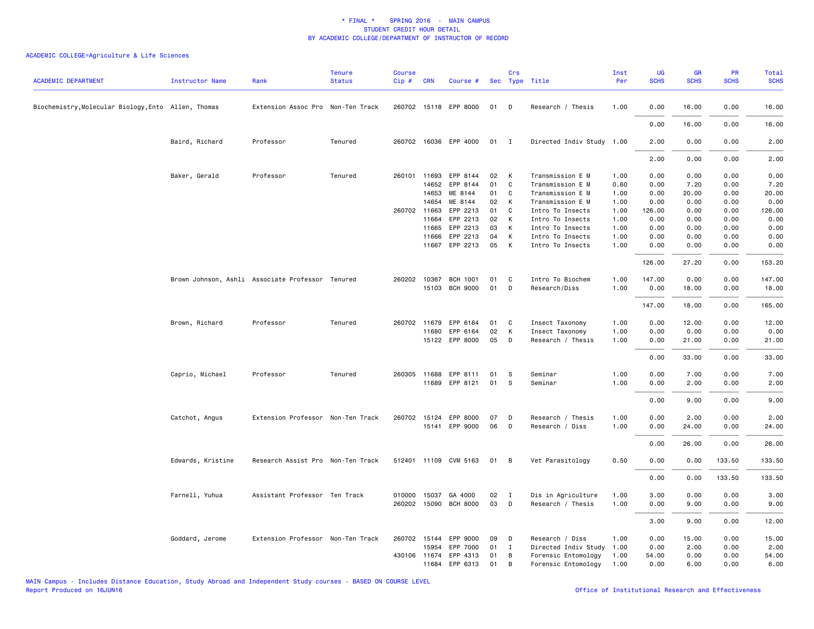| <b>ACADEMIC DEPARTMENT</b>                          | <b>Instructor Name</b> | Rank                                             | <b>Tenure</b><br><b>Status</b> | <b>Course</b><br>Cip# | <b>CRN</b>   | Course #                          |          | Crs            | Sec Type Title                    | Inst<br>Per  | UG<br><b>SCHS</b> | GR<br><b>SCHS</b> | PR<br><b>SCHS</b> | Total<br><b>SCHS</b> |
|-----------------------------------------------------|------------------------|--------------------------------------------------|--------------------------------|-----------------------|--------------|-----------------------------------|----------|----------------|-----------------------------------|--------------|-------------------|-------------------|-------------------|----------------------|
|                                                     |                        |                                                  |                                |                       |              |                                   |          |                |                                   |              |                   |                   |                   |                      |
| Biochemistry, Molecular Biology, Ento Allen, Thomas |                        | Extension Assoc Pro Non-Ten Track                |                                |                       |              | 260702 15118 EPP 8000             | 01       | D              | Research / Thesis                 | 1.00         | 0.00              | 16.00             | 0.00              | 16.00                |
|                                                     |                        |                                                  |                                |                       |              |                                   |          |                |                                   |              | 0.00              | 16.00             | 0.00              | 16.00                |
|                                                     | Baird, Richard         | Professor                                        | Tenured                        |                       |              | 260702 16036 EPP 4000             | $01$ I   |                | Directed Indiv Study 1.00         |              | 2.00              | 0.00              | 0.00              | 2.00                 |
|                                                     |                        |                                                  |                                |                       |              |                                   |          |                |                                   |              | 2.00              | 0.00              | 0.00              | 2.00                 |
|                                                     | Baker, Gerald          | Professor                                        | Tenured                        |                       | 260101 11693 | EPP 8144                          | 02       | K              | Transmission E M                  | 1.00         | 0.00              | 0.00              | 0.00              | 0.00                 |
|                                                     |                        |                                                  |                                |                       | 14652        | EPP 8144                          | 01       | $\mathbf c$    | Transmission E M                  | 0.60         | 0.00              | 7.20              | 0.00              | 7.20                 |
|                                                     |                        |                                                  |                                |                       | 14653        | ME 8144                           | 01       | C              | Transmission E M                  | 1.00         | 0.00              | 20.00             | 0.00              | 20.00                |
|                                                     |                        |                                                  |                                |                       | 14654        | ME 8144                           | 02       | K              | Transmission E M                  | 1.00         | 0.00              | 0.00              | 0.00              | 0.00                 |
|                                                     |                        |                                                  |                                |                       | 260702 11663 | EPP 2213                          | 01       | C              | Intro To Insects                  | 1.00         | 126.00            | 0.00              | 0.00              | 126.00               |
|                                                     |                        |                                                  |                                |                       | 11664        | EPP 2213                          | 02       | K              | Intro To Insects                  | 1.00         | 0.00              | 0.00              | 0.00              | 0.00                 |
|                                                     |                        |                                                  |                                |                       | 11665        | EPP 2213                          | 03       | K              | Intro To Insects                  | 1.00         | 0.00              | 0.00              | 0.00              | 0.00                 |
|                                                     |                        |                                                  |                                |                       | 11666        | EPP 2213                          | 04       | K              | Intro To Insects                  | 1.00         | 0.00              | 0.00              | 0.00              | 0.00                 |
|                                                     |                        |                                                  |                                |                       | 11667        | EPP 2213                          | 05       | K              | Intro To Insects                  | 1.00         | 0.00              | 0.00              | 0.00              | 0.00                 |
|                                                     |                        |                                                  |                                |                       |              |                                   |          |                |                                   |              | 126.00            | 27.20             | 0.00              | 153.20               |
|                                                     |                        |                                                  |                                |                       |              |                                   |          |                |                                   |              |                   |                   |                   |                      |
|                                                     |                        | Brown Johnson, Ashli Associate Professor Tenured |                                |                       | 260202 10367 | <b>BCH 1001</b><br>15103 BCH 9000 | 01<br>01 | C<br>D         | Intro To Biochem<br>Research/Diss | 1.00<br>1.00 | 147.00<br>0.00    | 0.00<br>18.00     | 0.00<br>0.00      | 147.00<br>18.00      |
|                                                     |                        |                                                  |                                |                       |              |                                   |          |                |                                   |              | 147.00            | 18.00             | 0.00              | 165.00               |
|                                                     |                        |                                                  |                                | 260702 11679          |              | EPP 6164                          |          | C              |                                   | 1.00         | 0.00              | 12.00             | 0.00              | 12.00                |
|                                                     | Brown, Richard         | Professor                                        | Tenured                        |                       |              |                                   | 01       |                | Insect Taxonomy                   |              |                   |                   |                   |                      |
|                                                     |                        |                                                  |                                |                       | 11680        | EPP 6164                          | 02       | K              | Insect Taxonomy                   | 1.00         | 0.00              | 0.00              | 0.00              | 0.00                 |
|                                                     |                        |                                                  |                                |                       |              | 15122 EPP 8000                    | 05       | $\mathsf{D}$   | Research / Thesis                 | 1.00         | 0.00              | 21.00             | 0.00              | 21.00                |
|                                                     |                        |                                                  |                                |                       |              |                                   |          |                |                                   |              | 0.00              | 33.00             | 0.00              | 33.00                |
|                                                     | Caprio, Michael        | Professor                                        | Tenured                        |                       | 260305 11688 | EPP 8111                          | 01       | - S            | Seminar                           | 1.00         | 0.00              | 7.00              | 0.00              | 7.00                 |
|                                                     |                        |                                                  |                                |                       | 11689        | EPP 8121                          | 01       | - S            | Seminar                           | 1.00         | 0.00              | 2.00              | 0.00              | 2.00                 |
|                                                     |                        |                                                  |                                |                       |              |                                   |          |                |                                   |              | 0.00              | 9.00              | 0.00              | 9.00                 |
|                                                     | Catchot, Angus         | Extension Professor Non-Ten Track                |                                |                       |              | 260702 15124 EPP 8000             | 07       | D              | Research / Thesis                 | 1.00         | 0.00              | 2.00              | 0.00              | 2.00                 |
|                                                     |                        |                                                  |                                |                       |              | 15141 EPP 9000                    | 06       | D              | Research / Diss                   | 1.00         | 0.00              | 24.00             | 0.00              | 24.00                |
|                                                     |                        |                                                  |                                |                       |              |                                   |          |                |                                   |              | 0.00              | 26.00             | 0.00              | 26.00                |
|                                                     | Edwards, Kristine      | Research Assist Pro Non-Ten Track                |                                |                       |              | 512401 11109 CVM 5163             | 01       | $\overline{B}$ | Vet Parasitology                  | 0.50         | 0.00              | 0.00              | 133.50            | 133.50               |
|                                                     |                        |                                                  |                                |                       |              |                                   |          |                |                                   |              | 0.00              | 0.00              | 133.50            | 133.50               |
|                                                     |                        |                                                  |                                |                       |              |                                   |          |                |                                   |              |                   |                   |                   |                      |
|                                                     | Farnell, Yuhua         | Assistant Professor Ten Track                    |                                |                       | 010000 15037 | GA 4000                           | 02       | $\mathbf{I}$   | Dis in Agriculture                | 1.00         | 3.00              | 0.00              | 0.00              | 3.00                 |
|                                                     |                        |                                                  |                                |                       |              | 260202 15090 BCH 8000             | 03       | $\mathsf{D}$   | Research / Thesis                 | 1.00         | 0.00              | 9.00              | 0.00              | 9.00                 |
|                                                     |                        |                                                  |                                |                       |              |                                   |          |                |                                   |              | 3.00              | 9.00              | 0.00              | 12.00                |
|                                                     | Goddard, Jerome        | Extension Professor Non-Ten Track                |                                |                       | 260702 15144 | EPP 9000                          | 09       | $\mathsf{D}$   | Research / Diss                   | 1.00         | 0.00              | 15.00             | 0.00              | 15.00                |
|                                                     |                        |                                                  |                                |                       | 15954        | EPP 7000                          | 01       | $\mathbf{I}$   | Directed Indiv Study              | 1.00         | 0.00              | 2.00              | 0.00              | 2.00                 |
|                                                     |                        |                                                  |                                |                       | 430106 11674 | EPP 4313                          | 01       | B              | Forensic Entomology               | 1.00         | 54.00             | 0.00              | 0.00              | 54.00                |
|                                                     |                        |                                                  |                                |                       | 11684        | EPP 6313                          | 01       | B              | Forensic Entomology               | 1.00         | 0.00              | 6.00              | 0.00              | 6.00                 |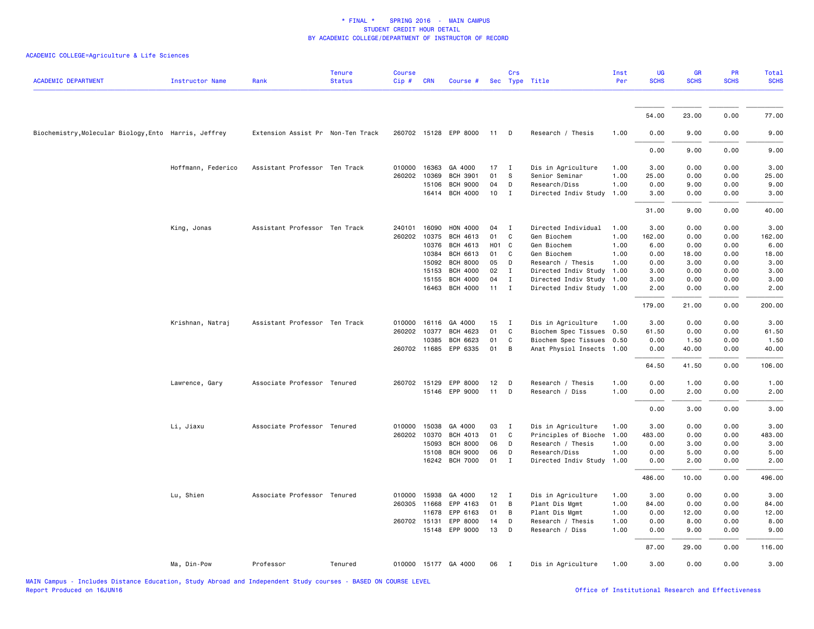| <b>ACADEMIC DEPARTMENT</b>                            | <b>Instructor Name</b> | Rank                              | <b>Tenure</b><br><b>Status</b> | <b>Course</b><br>Cip# | <b>CRN</b> | Course #              |       | Crs            | Sec Type Title            | Inst<br>Per | UG<br><b>SCHS</b> | <b>GR</b><br><b>SCHS</b> | <b>PR</b><br><b>SCHS</b> | Total<br><b>SCHS</b> |
|-------------------------------------------------------|------------------------|-----------------------------------|--------------------------------|-----------------------|------------|-----------------------|-------|----------------|---------------------------|-------------|-------------------|--------------------------|--------------------------|----------------------|
|                                                       |                        |                                   |                                |                       |            |                       |       |                |                           |             |                   |                          |                          |                      |
|                                                       |                        |                                   |                                |                       |            |                       |       |                |                           |             | 54.00             | 23.00                    | 0.00                     | 77.00                |
| Biochemistry, Molecular Biology, Ento Harris, Jeffrey |                        | Extension Assist Pr Non-Ten Track |                                |                       |            | 260702 15128 EPP 8000 | 11    | $\Box$         | Research / Thesis         | 1.00        | 0.00              | 9.00                     | 0.00                     | 9.00                 |
|                                                       |                        |                                   |                                |                       |            |                       |       |                |                           |             | 0.00              | 9.00                     | 0.00                     | 9.00                 |
|                                                       | Hoffmann, Federico     | Assistant Professor Ten Track     |                                | 010000                | 16363      | GA 4000               | 17    | $\mathbf{I}$   | Dis in Agriculture        | 1.00        | 3.00              | 0.00                     | 0.00                     | 3.00                 |
|                                                       |                        |                                   |                                | 260202                | 10369      | <b>BCH 3901</b>       | 01    | - S            | Senior Seminar            | 1.00        | 25.00             | 0.00                     | 0.00                     | 25.00                |
|                                                       |                        |                                   |                                |                       | 15106      | <b>BCH 9000</b>       | 04    | D              | Research/Diss             | 1.00        | 0.00              | 9.00                     | 0.00                     | 9.00                 |
|                                                       |                        |                                   |                                |                       | 16414      | <b>BCH 4000</b>       | 10    | $\mathbf{I}$   | Directed Indiv Study      | 1.00        | 3.00              | 0.00                     | 0.00                     | 3.00                 |
|                                                       |                        |                                   |                                |                       |            |                       |       |                |                           |             | 31.00             | 9.00                     | 0.00                     | 40.00                |
|                                                       | King, Jonas            | Assistant Professor Ten Track     |                                | 240101                | 16090      | <b>HON 4000</b>       | 04    | $\mathbf{I}$   | Directed Individual       | 1.00        | 3.00              | 0.00                     | 0.00                     | 3.00                 |
|                                                       |                        |                                   |                                | 260202                | 10375      | BCH 4613              | 01    | C              | Gen Biochem               | 1.00        | 162.00            | 0.00                     | 0.00                     | 162.00               |
|                                                       |                        |                                   |                                |                       | 10376      | BCH 4613              | H01 C |                | Gen Biochem               | 1.00        | 6.00              | 0.00                     | 0.00                     | 6.00                 |
|                                                       |                        |                                   |                                |                       | 10384      | BCH 6613              | 01    | C              | Gen Biochem               | 1.00        | 0.00              | 18.00                    | 0.00                     | 18.00                |
|                                                       |                        |                                   |                                |                       | 15092      | <b>BCH 8000</b>       | 05    | D              | Research / Thesis         | 1.00        | 0.00              | 3.00                     | 0.00                     | 3.00                 |
|                                                       |                        |                                   |                                |                       | 15153      | <b>BCH 4000</b>       | 02    | $\mathbf I$    | Directed Indiv Study      | 1.00        | 3.00              | 0.00                     | 0.00                     | 3.00                 |
|                                                       |                        |                                   |                                |                       | 15155      | <b>BCH 4000</b>       | 04    | $\mathbf I$    | Directed Indiv Study 1.00 |             | 3.00              | 0.00                     | 0.00                     | 3.00                 |
|                                                       |                        |                                   |                                |                       | 16463      | <b>BCH 4000</b>       | 11    | $\mathbf{I}$   | Directed Indiv Study 1.00 |             | 2.00              | 0.00                     | 0.00                     | 2.00                 |
|                                                       |                        |                                   |                                |                       |            |                       |       |                |                           |             | 179.00            | 21.00                    | 0.00                     | 200.00               |
|                                                       | Krishnan, Natraj       | Assistant Professor Ten Track     |                                | 010000                | 16116      | GA 4000               | 15    | $\mathbf{I}$   | Dis in Agriculture        | 1.00        | 3.00              | 0.00                     | 0.00                     | 3.00                 |
|                                                       |                        |                                   |                                | 260202 10377          |            | BCH 4623              | 01    | C              | Biochem Spec Tissues 0.50 |             | 61.50             | 0.00                     | 0.00                     | 61.50                |
|                                                       |                        |                                   |                                |                       | 10385      | <b>BCH 6623</b>       | 01    | C              | Biochem Spec Tissues 0.50 |             | 0.00              | 1.50                     | 0.00                     | 1.50                 |
|                                                       |                        |                                   |                                | 260702 11685          |            | EPP 6335              | 01    | B              | Anat Physiol Insects 1.00 |             | 0.00              | 40.00                    | 0.00                     | 40.00                |
|                                                       |                        |                                   |                                |                       |            |                       |       |                |                           |             | 64.50             | 41.50                    | 0.00                     | 106.00               |
|                                                       | Lawrence, Gary         | Associate Professor Tenured       |                                | 260702 15129          |            | EPP 8000              | 12    | D              | Research / Thesis         | 1.00        | 0.00              | 1.00                     | 0.00                     | 1.00                 |
|                                                       |                        |                                   |                                |                       | 15146      | EPP 9000              | 11    | D              | Research / Diss           | 1.00        | 0.00              | 2.00                     | 0.00                     | 2.00                 |
|                                                       |                        |                                   |                                |                       |            |                       |       |                |                           |             | 0.00              | 3.00                     | 0.00                     | 3.00                 |
|                                                       | Li, Jiaxu              | Associate Professor Tenured       |                                | 010000 15038          |            | GA 4000               | 03    | $\mathbf{I}$   | Dis in Agriculture        | 1.00        | 3.00              | 0.00                     | 0.00                     | 3.00                 |
|                                                       |                        |                                   |                                | 260202 10370          |            | <b>BCH 4013</b>       | 01    | C              | Principles of Bioche      | 1.00        | 483.00            | 0.00                     | 0.00                     | 483.00               |
|                                                       |                        |                                   |                                |                       | 15093      | <b>BCH 8000</b>       | 06    | D              | Research / Thesis         | 1.00        | 0.00              | 3.00                     | 0.00                     | 3.00                 |
|                                                       |                        |                                   |                                |                       | 15108      | <b>BCH 9000</b>       | 06    | D              | Research/Diss             | 1.00        | 0.00              | 5.00                     | 0.00                     | 5.00                 |
|                                                       |                        |                                   |                                |                       |            | 16242 BCH 7000        | 01    | $\mathbf{I}$   | Directed Indiv Study      | 1.00        | 0.00              | 2.00                     | 0.00                     | 2.00                 |
|                                                       |                        |                                   |                                |                       |            |                       |       |                |                           |             | 486.00            | 10.00                    | 0.00                     | 496.00               |
|                                                       | Lu, Shien              | Associate Professor Tenured       |                                | 010000 15938          |            | GA 4000               | 12    | $\blacksquare$ | Dis in Agriculture        | 1.00        | 3.00              | 0.00                     | 0.00                     | 3.00                 |
|                                                       |                        |                                   |                                | 260305 11668          |            | EPP 4163              | 01    | B              | Plant Dis Mgmt            | 1.00        | 84.00             | 0.00                     | 0.00                     | 84.00                |
|                                                       |                        |                                   |                                |                       | 11678      | EPP 6163              | 01    | B              | Plant Dis Mgmt            | 1.00        | 0.00              | 12.00                    | 0.00                     | 12.00                |
|                                                       |                        |                                   |                                | 260702 15131          |            | EPP 8000              | 14    | D              | Research / Thesis         | 1.00        | 0.00              | 8.00                     | 0.00                     | 8.00                 |
|                                                       |                        |                                   |                                |                       | 15148      | EPP 9000              | 13    | $\mathsf{D}$   | Research / Diss           | 1.00        | 0.00              | 9.00                     | 0.00                     | 9.00                 |
|                                                       |                        |                                   |                                |                       |            |                       |       |                |                           |             | 87.00             | 29.00                    | 0.00                     | 116.00               |
|                                                       | Ma, Din-Pow            | Professor                         | Tenured                        |                       |            | 010000 15177 GA 4000  | 06    | $\blacksquare$ | Dis in Agriculture        | 1.00        | 3.00              | 0.00                     | 0.00                     | 3.00                 |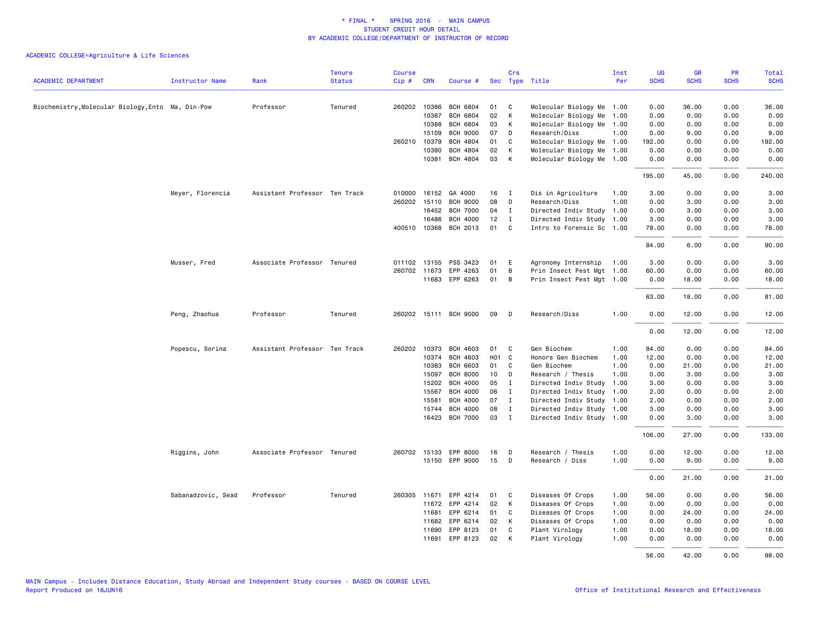| <b>ACADEMIC DEPARTMENT</b>                        | Instructor Name    | Rank                          | <b>Tenure</b><br><b>Status</b> | <b>Course</b><br>Cip# | <b>CRN</b>   | Course #              |       | Crs          | Sec Type Title            | Inst<br>Per | <b>UG</b><br><b>SCHS</b> | <b>GR</b><br><b>SCHS</b> | PR<br><b>SCHS</b> | Total<br><b>SCHS</b> |
|---------------------------------------------------|--------------------|-------------------------------|--------------------------------|-----------------------|--------------|-----------------------|-------|--------------|---------------------------|-------------|--------------------------|--------------------------|-------------------|----------------------|
|                                                   |                    |                               |                                |                       |              |                       |       |              |                           |             |                          |                          |                   |                      |
| Biochemistry, Molecular Biology, Ento Ma, Din-Pow |                    | Professor                     | Tenured                        |                       | 260202 10386 | BCH 6804              | 01    | C            | Molecular Biology Me 1.00 |             | 0.00                     | 36.00                    | 0.00              | 36.00                |
|                                                   |                    |                               |                                |                       | 10387        | <b>BCH 6804</b>       | 02    | K            | Molecular Biology Me 1.00 |             | 0.00                     | 0.00                     | 0.00              | 0.00                 |
|                                                   |                    |                               |                                |                       | 10388        | <b>BCH 6804</b>       | 03    | K            | Molecular Biology Me 1.00 |             | 0.00                     | 0.00                     | 0.00              | 0.00                 |
|                                                   |                    |                               |                                |                       | 15109        | <b>BCH 9000</b>       | 07    | D            | Research/Diss             | 1.00        | 0.00                     | 9.00                     | 0.00              | 9.00                 |
|                                                   |                    |                               |                                |                       | 260210 10379 | <b>BCH 4804</b>       | 01    | C            | Molecular Biology Me 1.00 |             | 192.00                   | 0.00                     | 0.00              | 192.00               |
|                                                   |                    |                               |                                |                       | 10380        | BCH 4804              | 02    | K            | Molecular Biology Me 1.00 |             | 0.00                     | 0.00                     | 0.00              | 0.00                 |
|                                                   |                    |                               |                                |                       | 10381        | BCH 4804              | 03    | K            | Molecular Biology Me 1.00 |             | 0.00                     | 0.00                     | 0.00              | 0.00                 |
|                                                   |                    |                               |                                |                       |              |                       |       |              |                           |             | 195.00                   | 45.00                    | 0.00              | 240.00               |
|                                                   | Meyer, Florencia   | Assistant Professor Ten Track |                                |                       |              | 010000 16152 GA 4000  | 16    | I            | Dis in Agriculture        | 1.00        | 3.00                     | 0.00                     | 0.00              | 3.00                 |
|                                                   |                    |                               |                                |                       | 260202 15110 | <b>BCH 9000</b>       | 08    | D            | Research/Diss             | 1.00        | 0.00                     | 3.00                     | 0.00              | 3.00                 |
|                                                   |                    |                               |                                |                       | 16452        | <b>BCH 7000</b>       | 04    | $\mathbf{I}$ | Directed Indiv Study 1.00 |             | 0.00                     | 3.00                     | 0.00              | 3.00                 |
|                                                   |                    |                               |                                |                       | 16486        | <b>BCH 4000</b>       | 12    | $\mathbf I$  | Directed Indiv Study 1.00 |             | 3.00                     | 0.00                     | 0.00              | 3.00                 |
|                                                   |                    |                               |                                |                       |              | 400510 10368 BCH 2013 | 01    | C            | Intro to Forensic Sc 1.00 |             | 78.00                    | 0.00                     | 0.00              | 78.00                |
|                                                   |                    |                               |                                |                       |              |                       |       |              |                           |             | 84.00                    | 6.00                     | 0.00              | 90.00                |
|                                                   | Musser, Fred       | Associate Professor Tenured   |                                |                       | 011102 13155 | PSS 3423              | 01    | E            | Agronomy Internship       | 1.00        | 3.00                     | 0.00                     | 0.00              | 3.00                 |
|                                                   |                    |                               |                                |                       | 260702 11673 | EPP 4263              | 01    | B            | Prin Insect Pest Mgt 1.00 |             | 60.00                    | 0.00                     | 0.00              | 60.00                |
|                                                   |                    |                               |                                |                       |              | 11683 EPP 6263        | 01    | B            | Prin Insect Pest Mgt 1.00 |             | 0.00                     | 18.00                    | 0.00              | 18.00                |
|                                                   |                    |                               |                                |                       |              |                       |       |              |                           |             | 63.00                    | 18.00                    | 0.00              | 81.00                |
|                                                   | Peng, Zhaohua      | Professor                     | Tenured                        |                       |              | 260202 15111 BCH 9000 | 09    | D            | Research/Diss             | 1.00        | 0.00                     | 12.00                    | 0.00              | 12.00                |
|                                                   |                    |                               |                                |                       |              |                       |       |              |                           |             | 0.00                     | 12.00                    | 0.00              | 12.00                |
|                                                   | Popescu, Sorina    | Assistant Professor Ten Track |                                |                       |              | 260202 10373 BCH 4603 | 01    | C.           | Gen Biochem               | 1.00        | 84.00                    | 0.00                     | 0.00              | 84.00                |
|                                                   |                    |                               |                                |                       | 10374        | <b>BCH 4603</b>       | HO1 C |              | Honors Gen Biochem        | 1.00        | 12.00                    | 0.00                     | 0.00              | 12.00                |
|                                                   |                    |                               |                                |                       | 10383        | <b>BCH 6603</b>       | 01    | C.           | Gen Biochem               | 1.00        | 0.00                     | 21.00                    | 0.00              | 21.00                |
|                                                   |                    |                               |                                |                       | 15097        | <b>BCH 8000</b>       | 10    | D            | Research / Thesis         | 1.00        | 0.00                     | 3.00                     | 0.00              | 3.00                 |
|                                                   |                    |                               |                                |                       | 15202        | <b>BCH 4000</b>       | 05    | $\mathbf I$  | Directed Indiv Study      | 1.00        | 3.00                     | 0.00                     | 0.00              | 3.00                 |
|                                                   |                    |                               |                                |                       | 15567        | <b>BCH 4000</b>       | 06    | $\mathbf{I}$ | Directed Indiv Study      | 1.00        | 2.00                     | 0.00                     | 0.00              | 2.00                 |
|                                                   |                    |                               |                                |                       | 15581        | <b>BCH 4000</b>       | 07    | $\mathbf{I}$ | Directed Indiv Study 1.00 |             | 2.00                     | 0.00                     | 0.00              | 2.00                 |
|                                                   |                    |                               |                                |                       | 15744        | <b>BCH 4000</b>       | 08    | $\mathbf{I}$ | Directed Indiv Study 1.00 |             | 3.00                     | 0.00                     | 0.00              | 3.00                 |
|                                                   |                    |                               |                                |                       |              | 16423 BCH 7000        | 03    | $\mathbf{I}$ | Directed Indiv Study 1.00 |             | 0.00                     | 3.00                     | 0.00              | 3.00                 |
|                                                   |                    |                               |                                |                       |              |                       |       |              |                           |             | 106.00                   | 27.00                    | 0.00              | 133.00               |
|                                                   | Riggins, John      | Associate Professor Tenured   |                                |                       | 260702 15133 | EPP 8000              | 16    | D            | Research / Thesis         | 1.00        | 0.00                     | 12.00                    | 0.00              | 12.00                |
|                                                   |                    |                               |                                |                       |              | 15150 EPP 9000        | 15    | D            | Research / Diss           | 1.00        | 0.00                     | 9.00                     | 0.00              | 9.00                 |
|                                                   |                    |                               |                                |                       |              |                       |       |              |                           |             | 0.00                     | 21.00                    | 0.00              | 21.00                |
|                                                   | Sabanadzovic, Sead | Professor                     | Tenured                        |                       | 260305 11671 | EPP 4214              | 01    | C            | Diseases Of Crops         | 1.00        | 56.00                    | 0.00                     | 0.00              | 56.00                |
|                                                   |                    |                               |                                |                       |              | 11672 EPP 4214        | 02    | K            | Diseases Of Crops         | 1.00        | 0.00                     | 0.00                     | 0.00              | 0.00                 |
|                                                   |                    |                               |                                |                       | 11681        | EPP 6214              | 01    | C            | Diseases Of Crops         | 1.00        | 0.00                     | 24.00                    | 0.00              | 24.00                |
|                                                   |                    |                               |                                |                       | 11682        | EPP 6214              | 02    | K            | Diseases Of Crops         | 1.00        | 0.00                     | 0.00                     | 0.00              | 0.00                 |
|                                                   |                    |                               |                                |                       | 11690        | EPP 8123              | 01    | C.           | Plant Virology            | 1.00        | 0.00                     | 18,00                    | 0.00              | 18.00                |
|                                                   |                    |                               |                                |                       | 11691        | EPP 8123              | 02    | K            | Plant Virology            | 1.00        | 0.00                     | 0.00                     | 0.00              | 0.00                 |
|                                                   |                    |                               |                                |                       |              |                       |       |              |                           |             | 56.00                    | 42.00                    | 0.00              | 98.00                |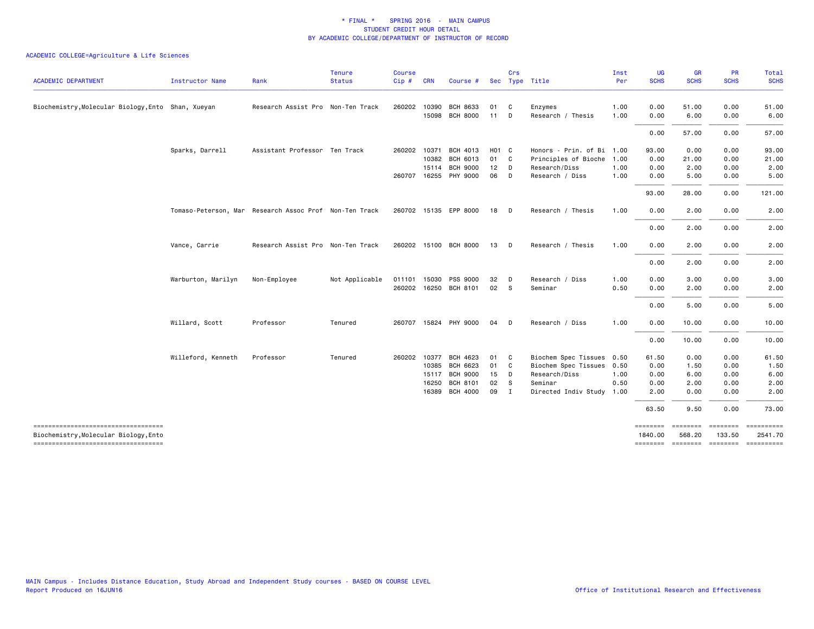| <b>ACADEMIC DEPARTMENT</b>                                                   | <b>Instructor Name</b> | Rank                                                   | <b>Tenure</b><br><b>Status</b> | <b>Course</b><br>Cip # CRN |              | Course #              |        | Crs            | Sec Type Title            | Inst<br>Per | <b>UG</b><br><b>SCHS</b> | <b>GR</b><br><b>SCHS</b> | <b>PR</b><br><b>SCHS</b> | Total<br><b>SCHS</b> |
|------------------------------------------------------------------------------|------------------------|--------------------------------------------------------|--------------------------------|----------------------------|--------------|-----------------------|--------|----------------|---------------------------|-------------|--------------------------|--------------------------|--------------------------|----------------------|
|                                                                              |                        |                                                        |                                |                            |              |                       |        |                |                           |             |                          |                          |                          |                      |
| Biochemistry, Molecular Biology, Ento Shan, Xueyan                           |                        | Research Assist Pro Non-Ten Track                      |                                | 260202 10390               |              | <b>BCH 8633</b>       | 01     | $\mathbf{C}$   | Enzymes                   | 1.00        | 0.00                     | 51.00                    | 0.00                     | 51.00                |
|                                                                              |                        |                                                        |                                |                            | 15098        | <b>BCH 8000</b>       | 11     | D              | Research / Thesis         | 1.00        | 0.00                     | 6.00                     | 0.00                     | 6.00                 |
|                                                                              |                        |                                                        |                                |                            |              |                       |        |                |                           |             | 0.00                     | 57.00                    | 0.00                     | 57.00                |
|                                                                              | Sparks, Darrell        | Assistant Professor Ten Track                          |                                |                            | 260202 10371 | BCH 4013              | H01 C  |                | Honors - Prin. of Bi 1.00 |             | 93.00                    | 0.00                     | 0.00                     | 93.00                |
|                                                                              |                        |                                                        |                                |                            | 10382        | BCH 6013              | 01 C   |                | Principles of Bioche 1.00 |             | 0.00                     | 21.00                    | 0.00                     | 21.00                |
|                                                                              |                        |                                                        |                                |                            | 15114        | <b>BCH 9000</b>       | $12$ D |                | Research/Diss             | 1.00        | 0.00                     | 2.00                     | 0.00                     | 2.00                 |
|                                                                              |                        |                                                        |                                |                            |              | 260707 16255 PHY 9000 | 06 D   |                | Research / Diss           | 1.00        | 0.00                     | 5.00                     | 0.00                     | 5.00                 |
|                                                                              |                        |                                                        |                                |                            |              |                       |        |                |                           |             | 93.00                    | 28.00                    | 0.00                     | 121.00               |
|                                                                              |                        | Tomaso-Peterson, Mar Research Assoc Prof Non-Ten Track |                                |                            |              | 260702 15135 EPP 8000 | 18     | $\Box$         | Research / Thesis         | 1.00        | 0.00                     | 2.00                     | 0.00                     | 2.00                 |
|                                                                              |                        |                                                        |                                |                            |              |                       |        |                |                           |             | 0.00                     | 2.00                     | 0.00                     | 2.00                 |
|                                                                              | Vance, Carrie          | Research Assist Pro Non-Ten Track                      |                                |                            |              | 260202 15100 BCH 8000 | 13     | $\Box$         | Research / Thesis         | 1.00        | 0.00                     | 2.00                     | 0.00                     | 2.00                 |
|                                                                              |                        |                                                        |                                |                            |              |                       |        |                |                           |             | 0.00                     | 2.00                     | 0.00                     | 2.00                 |
|                                                                              | Warburton, Marilyn     | Non-Employee                                           | Not Applicable                 |                            | 011101 15030 | PSS 9000              | 32     | $\Box$         | Research / Diss           | 1.00        | 0.00                     | 3.00                     | 0.00                     | 3.00                 |
|                                                                              |                        |                                                        |                                |                            |              | 260202 16250 BCH 8101 | 02     | $^{\circ}$ S   | Seminar                   | 0.50        | 0.00                     | 2.00                     | 0.00                     | 2.00                 |
|                                                                              |                        |                                                        |                                |                            |              |                       |        |                |                           |             | 0.00                     | 5.00                     | 0.00                     | 5.00                 |
|                                                                              | Willard, Scott         | Professor                                              | Tenured                        |                            |              | 260707 15824 PHY 9000 | 04     | D              | Research / Diss           | 1.00        | 0.00                     | 10.00                    | 0.00                     | 10.00                |
|                                                                              |                        |                                                        |                                |                            |              |                       |        |                |                           |             | 0.00                     | 10.00                    | 0.00                     | 10.00                |
|                                                                              | Willeford, Kenneth     | Professor                                              | Tenured                        | 260202 10377               |              | BCH 4623              | 01     | $\mathbf{C}$   | Biochem Spec Tissues 0.50 |             | 61.50                    | 0.00                     | 0.00                     | 61.50                |
|                                                                              |                        |                                                        |                                |                            | 10385        | BCH 6623              | 01     | $\mathbf{C}$   | Biochem Spec Tissues      | 0.50        | 0.00                     | 1.50                     | 0.00                     | 1.50                 |
|                                                                              |                        |                                                        |                                |                            | 15117        | <b>BCH 9000</b>       | 15     | $\mathsf{D}$   | Research/Diss             | 1.00        | 0.00                     | 6.00                     | 0.00                     | 6.00                 |
|                                                                              |                        |                                                        |                                |                            | 16250        | <b>BCH 8101</b>       | 02 S   |                | Seminar                   | 0.50        | 0.00                     | 2.00                     | 0.00                     | 2.00                 |
|                                                                              |                        |                                                        |                                |                            | 16389        | <b>BCH 4000</b>       | 09     | $\blacksquare$ | Directed Indiv Study      | 1.00        | 2.00                     | 0.00                     | 0.00                     | 2.00                 |
|                                                                              |                        |                                                        |                                |                            |              |                       |        |                |                           |             | 63.50                    | 9.50                     | 0.00                     | 73.00                |
| ======================================                                       |                        |                                                        |                                |                            |              |                       |        |                |                           |             | ========                 | eeeeeee                  | ========                 |                      |
| Biochemistry, Molecular Biology, Ento<br>----------------------------------- |                        |                                                        |                                |                            |              |                       |        |                |                           |             | 1840.00                  | 568.20                   | 133.50                   | 2541.70              |
|                                                                              |                        |                                                        |                                |                            |              |                       |        |                |                           |             |                          |                          |                          |                      |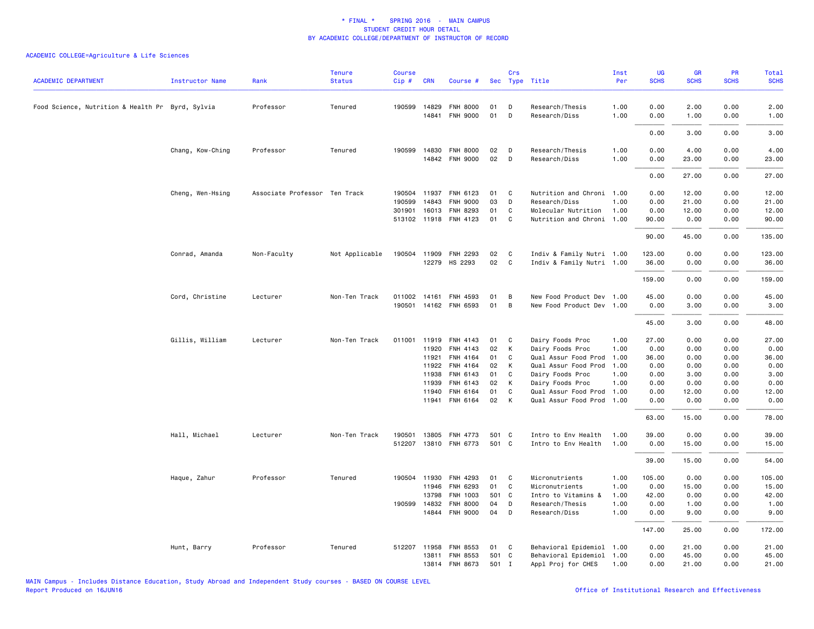| <b>ACADEMIC DEPARTMENT</b>                       | <b>Instructor Name</b> | Rank                          | <b>Tenure</b><br><b>Status</b> | Course<br>Cip#   | <b>CRN</b>     | Course #                    |       | Crs          | Sec Type Title                             | Inst<br>Per | <b>UG</b><br><b>SCHS</b> | <b>GR</b><br><b>SCHS</b> | PR<br><b>SCHS</b> | Total<br><b>SCHS</b> |
|--------------------------------------------------|------------------------|-------------------------------|--------------------------------|------------------|----------------|-----------------------------|-------|--------------|--------------------------------------------|-------------|--------------------------|--------------------------|-------------------|----------------------|
| Food Science, Nutrition & Health Pr Byrd, Sylvia |                        | Professor                     | Tenured                        |                  | 190599 14829   | <b>FNH 8000</b>             | 01    | D            | Research/Thesis                            | 1.00        | 0.00                     | 2.00                     | 0.00              | 2.00                 |
|                                                  |                        |                               |                                |                  | 14841          | FNH 9000                    | 01    | D            | Research/Diss                              | 1.00        | 0.00                     | 1.00                     | 0.00              | 1.00                 |
|                                                  |                        |                               |                                |                  |                |                             |       |              |                                            |             | 0.00                     | 3.00                     | 0.00              | 3.00                 |
|                                                  | Chang, Kow-Ching       | Professor                     | Tenured                        |                  | 190599 14830   | <b>FNH 8000</b>             | 02    | D            | Research/Thesis                            | 1.00        | 0.00                     | 4.00                     | 0.00              | 4.00                 |
|                                                  |                        |                               |                                |                  |                | 14842 FNH 9000              | 02    | D            | Research/Diss                              | 1.00        | 0.00                     | 23.00                    | 0.00              | 23.00                |
|                                                  |                        |                               |                                |                  |                |                             |       |              |                                            |             | 0.00                     | 27.00                    | 0.00              | 27.00                |
|                                                  |                        |                               |                                |                  |                |                             | 01    |              |                                            |             |                          |                          |                   |                      |
|                                                  | Cheng, Wen-Hsing       | Associate Professor Ten Track |                                | 190504<br>190599 | 11937<br>14843 | FNH 6123<br><b>FNH 9000</b> | 03    | C<br>D       | Nutrition and Chroni 1.00<br>Research/Diss | 1.00        | 0.00<br>0.00             | 12.00<br>21.00           | 0.00<br>0.00      | 12.00<br>21.00       |
|                                                  |                        |                               |                                | 301901           | 16013          | FNH 8293                    | 01    | $\mathsf{C}$ | Molecular Nutrition                        | 1.00        | 0.00                     | 12.00                    | 0.00              | 12.00                |
|                                                  |                        |                               |                                |                  |                | 513102 11918 FNH 4123       | 01    | $\mathsf{C}$ | Nutrition and Chroni 1.00                  |             | 90.00                    | 0.00                     | 0.00              | 90.00                |
|                                                  |                        |                               |                                |                  |                |                             |       |              |                                            |             |                          |                          |                   |                      |
|                                                  |                        |                               |                                |                  |                |                             |       |              |                                            |             | 90.00                    | 45.00                    | 0.00              | 135.00               |
|                                                  | Conrad, Amanda         | Non-Faculty                   | Not Applicable                 |                  | 190504 11909   | FNH 2293                    | 02    | C            | Indiv & Family Nutri 1.00                  |             | 123.00                   | 0.00                     | 0.00              | 123.00               |
|                                                  |                        |                               |                                |                  |                | 12279 HS 2293               | 02    | C            | Indiv & Family Nutri 1.00                  |             | 36.00                    | 0.00                     | 0.00              | 36.00                |
|                                                  |                        |                               |                                |                  |                |                             |       |              |                                            |             | 159.00                   | 0.00                     | 0.00              | 159.00               |
|                                                  | Cord, Christine        | Lecturer                      | Non-Ten Track                  | 011002           | 14161          | FNH 4593                    | 01    | B            | New Food Product Dev 1.00                  |             | 45.00                    | 0.00                     | 0.00              | 45.00                |
|                                                  |                        |                               |                                | 190501           |                | 14162 FNH 6593              | 01    | B            | New Food Product Dev 1.00                  |             | 0.00                     | 3.00                     | 0.00              | 3.00                 |
|                                                  |                        |                               |                                |                  |                |                             |       |              |                                            |             | 45.00                    | 3.00                     | 0.00              | 48.00                |
|                                                  | Gillis, William        | Lecturer                      | Non-Ten Track                  | 011001           | 11919          | FNH 4143                    | 01    | C            | Dairy Foods Proc                           | 1.00        | 27.00                    | 0.00                     | 0.00              | 27.00                |
|                                                  |                        |                               |                                |                  | 11920          | FNH 4143                    | 02    | К            | Dairy Foods Proc                           | 1.00        | 0.00                     | 0.00                     | 0.00              | 0.00                 |
|                                                  |                        |                               |                                |                  | 11921          | FNH 4164                    | 01    | C            | Qual Assur Food Prod                       | 1.00        | 36.00                    | 0.00                     | 0.00              | 36.00                |
|                                                  |                        |                               |                                |                  | 11922          | FNH 4164                    | 02    | К            | Qual Assur Food Prod                       | 1.00        | 0.00                     | 0.00                     | 0.00              | 0.00                 |
|                                                  |                        |                               |                                |                  | 11938          | FNH 6143                    | 01    | C            | Dairy Foods Proc                           | 1.00        | 0.00                     | 3.00                     | 0.00              | 3.00                 |
|                                                  |                        |                               |                                |                  | 11939          | FNH 6143                    | 02    | К            | Dairy Foods Proc                           | 1.00        | 0.00                     | 0.00                     | 0.00              | 0.00                 |
|                                                  |                        |                               |                                |                  | 11940          | FNH 6164                    | 01    | C            | Qual Assur Food Prod 1.00                  |             | 0.00                     | 12.00                    | 0.00              | 12.00                |
|                                                  |                        |                               |                                |                  | 11941          | FNH 6164                    | 02    | К            | Qual Assur Food Prod                       | 1.00        | 0.00                     | 0.00                     | 0.00              | 0.00                 |
|                                                  |                        |                               |                                |                  |                |                             |       |              |                                            |             | 63.00                    | 15.00                    | 0.00              | 78.00                |
|                                                  | Hall, Michael          | Lecturer                      | Non-Ten Track                  | 190501           | 13805          | FNH 4773                    | 501 C |              | Intro to Env Health                        | 1.00        | 39.00                    | 0.00                     | 0.00              | 39.00                |
|                                                  |                        |                               |                                |                  |                | 512207 13810 FNH 6773       | 501 C |              | Intro to Env Health                        | 1.00        | 0.00                     | 15.00                    | 0.00              | 15.00                |
|                                                  |                        |                               |                                |                  |                |                             |       |              |                                            |             | 39.00                    | 15.00                    | 0.00              | 54.00                |
|                                                  | Haque, Zahur           | Professor                     | Tenured                        |                  | 190504 11930   | <b>FNH 4293</b>             | 01    | C            | Micronutrients                             | 1.00        | 105.00                   | 0.00                     | 0.00              | 105.00               |
|                                                  |                        |                               |                                |                  | 11946          | FNH 6293                    | 01    | C            | Micronutrients                             | 1.00        | 0.00                     | 15.00                    | 0.00              | 15.00                |
|                                                  |                        |                               |                                |                  | 13798          | FNH 1003                    | 501 C |              | Intro to Vitamins &                        | 1.00        | 42.00                    | 0.00                     | 0.00              | 42.00                |
|                                                  |                        |                               |                                |                  | 190599 14832   | <b>FNH 8000</b>             | 04    | D            | Research/Thesis                            | 1.00        | 0.00                     | 1.00                     | 0.00              | 1.00                 |
|                                                  |                        |                               |                                |                  |                | 14844 FNH 9000              | 04    | D            | Research/Diss                              | 1.00        | 0.00                     | 9.00                     | 0.00              | 9.00                 |
|                                                  |                        |                               |                                |                  |                |                             |       |              |                                            |             | 147.00                   | 25.00                    | 0.00              | 172.00               |
|                                                  | Hunt, Barry            | Professor                     | Tenured                        |                  | 512207 11958   | FNH 8553                    | 01    | C            | Behavioral Epidemiol 1.00                  |             | 0.00                     | 21.00                    | 0.00              | 21.00                |
|                                                  |                        |                               |                                |                  |                | 13811 FNH 8553              | 501 C |              | Behavioral Epidemiol 1.00                  |             | 0.00                     | 45.00                    | 0.00              | 45.00                |
|                                                  |                        |                               |                                |                  |                | 13814 FNH 8673              | 501   | $\mathbf{I}$ | Appl Proj for CHES                         | 1.00        | 0.00                     | 21.00                    | 0.00              | 21.00                |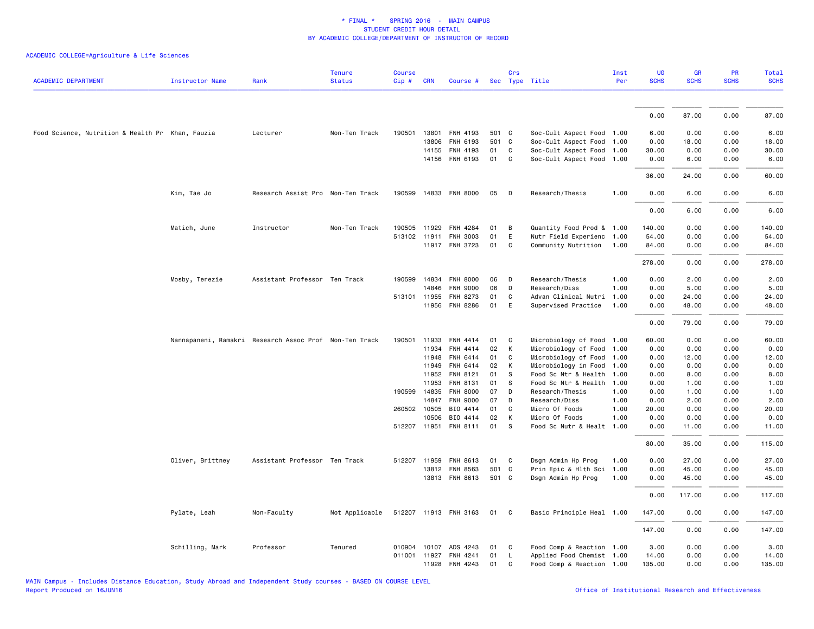|                                                  |                  |                                                        | <b>Tenure</b>  | <b>Course</b> |              |                             |          | Crs          |                                  | Inst         | UG           | <b>GR</b>    | PR           | Total        |
|--------------------------------------------------|------------------|--------------------------------------------------------|----------------|---------------|--------------|-----------------------------|----------|--------------|----------------------------------|--------------|--------------|--------------|--------------|--------------|
| <b>ACADEMIC DEPARTMENT</b>                       | Instructor Name  | Rank                                                   | <b>Status</b>  | Cip#          | <b>CRN</b>   | Course #                    |          |              | Sec Type Title                   | Per          | <b>SCHS</b>  | <b>SCHS</b>  | <b>SCHS</b>  | <b>SCHS</b>  |
|                                                  |                  |                                                        |                |               |              |                             |          |              |                                  |              |              |              |              |              |
|                                                  |                  |                                                        |                |               |              |                             |          |              |                                  |              | 0.00         | 87.00        | 0.00         | 87.00        |
| Food Science, Nutrition & Health Pr Khan, Fauzia |                  | Lecturer                                               | Non-Ten Track  | 190501        | 13801        | FNH 4193                    | 501 C    |              | Soc-Cult Aspect Food 1.00        |              | 6.00         | 0.00         | 0.00         | 6.00         |
|                                                  |                  |                                                        |                |               | 13806        | FNH 6193                    | 501 C    |              | Soc-Cult Aspect Food 1.00        |              | 0.00         | 18.00        | 0.00         | 18.00        |
|                                                  |                  |                                                        |                |               | 14155        | FNH 4193                    | 01       | $\mathtt{C}$ | Soc-Cult Aspect Food 1.00        |              | 30.00        | 0.00         | 0.00         | 30.00        |
|                                                  |                  |                                                        |                |               |              | 14156 FNH 6193              | 01       | $\mathsf{C}$ | Soc-Cult Aspect Food 1.00        |              | 0.00         | 6.00         | 0.00         | 6.00         |
|                                                  |                  |                                                        |                |               |              |                             |          |              |                                  |              | 36.00        | 24.00        | 0.00         | 60.00        |
|                                                  | Kim, Tae Jo      | Research Assist Pro Non-Ten Track                      |                |               |              | 190599 14833 FNH 8000       | 05       | D            | Research/Thesis                  | 1.00         | 0.00         | 6.00         | 0.00         | 6.00         |
|                                                  |                  |                                                        |                |               |              |                             |          |              |                                  |              | 0.00         | 6.00         | 0.00         | 6.00         |
|                                                  | Matich, June     | Instructor                                             | Non-Ten Track  |               | 190505 11929 | <b>FNH 4284</b>             | 01       | В            | Quantity Food Prod & 1.00        |              | 140.00       | 0.00         | 0.00         | 140.00       |
|                                                  |                  |                                                        |                |               |              | 513102 11911 FNH 3003       | 01       | E            | Nutr Field Experienc 1.00        |              | 54.00        | 0.00         | 0.00         | 54.00        |
|                                                  |                  |                                                        |                |               |              | 11917 FNH 3723              | 01       | C            | Community Nutrition              | 1.00         | 84.00        | 0.00         | 0.00         | 84.00        |
|                                                  |                  |                                                        |                |               |              |                             |          |              |                                  |              | 278.00       | 0.00         | 0.00         | 278.00       |
|                                                  | Mosby, Terezie   | Assistant Professor Ten Track                          |                |               | 190599 14834 | <b>FNH 8000</b>             | 06       | D            | Research/Thesis                  | 1.00         | 0.00         | 2.00         | 0.00         | 2.00         |
|                                                  |                  |                                                        |                |               | 14846        | <b>FNH 9000</b>             | 06       | D            | Research/Diss                    | 1.00         | 0.00         | 5.00         | 0.00         | 5.00         |
|                                                  |                  |                                                        |                | 513101 11955  |              | FNH 8273                    | 01       | C            | Advan Clinical Nutri             | 1.00         | 0.00         | 24.00        | 0.00         | 24.00        |
|                                                  |                  |                                                        |                |               | 11956        | FNH 8286                    | 01       | E            | Supervised Practice              | 1.00         | 0.00         | 48.00        | 0.00         | 48.00        |
|                                                  |                  |                                                        |                |               |              |                             |          |              |                                  |              | 0.00         | 79.00        | 0.00         | 79.00        |
|                                                  |                  | Nannapaneni, Ramakri Research Assoc Prof Non-Ten Track |                | 190501        | 11933        | FNH 4414                    | 01       | C            | Microbiology of Food 1.00        |              | 60.00        | 0.00         | 0.00         | 60.00        |
|                                                  |                  |                                                        |                |               | 11934        | FNH 4414                    | 02       | К            | Microbiology of Food             | 1.00         | 0.00         | 0.00         | 0.00         | 0.00         |
|                                                  |                  |                                                        |                |               | 11948        | FNH 6414                    | 01       | C            | Microbiology of Food 1.00        |              | 0.00         | 12.00        | 0.00         | 12.00        |
|                                                  |                  |                                                        |                |               | 11949        | FNH 6414                    | 02       | К            | Microbiology in Food             | 1.00         | 0.00         | 0.00         | 0.00         | 0.00         |
|                                                  |                  |                                                        |                |               | 11952        | FNH 8121                    | 01       | s            | Food Sc Ntr & Health             | 1.00         | 0.00         | 8.00         | 0.00         | 8.00         |
|                                                  |                  |                                                        |                |               | 11953        | FNH 8131                    | 01       | s            | Food Sc Ntr & Health             | 1.00         | 0.00         | 1.00         | 0.00         | 1.00         |
|                                                  |                  |                                                        |                |               | 190599 14835 | <b>FNH 8000</b><br>FNH 9000 | 07<br>07 | D<br>D       | Research/Thesis<br>Research/Diss | 1.00         | 0.00<br>0.00 | 1.00         | 0.00         | 1.00<br>2.00 |
|                                                  |                  |                                                        |                | 260502 10505  | 14847        | BIO 4414                    | 01       | C            | Micro Of Foods                   | 1.00<br>1.00 | 20.00        | 2.00<br>0.00 | 0.00<br>0.00 | 20.00        |
|                                                  |                  |                                                        |                |               | 10506        | BIO 4414                    | 02       | К            | Micro Of Foods                   | 1.00         | 0.00         | 0.00         | 0.00         | 0.00         |
|                                                  |                  |                                                        |                | 512207 11951  |              | FNH 8111                    | 01       | S            | Food Sc Nutr & Healt             | 1.00         | 0.00         | 11.00        | 0.00         | 11.00        |
|                                                  |                  |                                                        |                |               |              |                             |          |              |                                  |              | 80.00        | 35.00        | 0.00         | 115.00       |
|                                                  | Oliver, Brittney | Assistant Professor Ten Track                          |                |               | 512207 11959 | FNH 8613                    | 01       | C            | Dsgn Admin Hp Prog               | 1.00         | 0.00         | 27.00        | 0.00         | 27.00        |
|                                                  |                  |                                                        |                |               | 13812        | FNH 8563                    | 501 C    |              | Prin Epic & Hlth Sci             | 1.00         | 0.00         | 45.00        | 0.00         | 45.00        |
|                                                  |                  |                                                        |                |               |              | 13813 FNH 8613              | 501 C    |              | Dsgn Admin Hp Prog               | 1.00         | 0.00         | 45.00        | 0.00         | 45.00        |
|                                                  |                  |                                                        |                |               |              |                             |          |              |                                  |              | 0.00         | 117.00       | 0.00         | 117.00       |
|                                                  | Pylate, Leah     | Non-Faculty                                            | Not Applicable |               |              | 512207 11913 FNH 3163       | 01       | C            | Basic Principle Heal 1.00        |              | 147.00       | 0.00         | 0.00         | 147.00       |
|                                                  |                  |                                                        |                |               |              |                             |          |              |                                  |              | 147.00       | 0.00         | 0.00         | 147.00       |
|                                                  | Schilling, Mark  | Professor                                              | Tenured        | 010904        |              | 10107 ADS 4243              | 01       | C            | Food Comp & Reaction 1.00        |              | 3.00         | 0.00         | 0.00         | 3.00         |
|                                                  |                  |                                                        |                |               |              | 011001 11927 FNH 4241       | 01       | <b>L</b>     | Applied Food Chemist 1.00        |              | 14.00        | 0.00         | 0.00         | 14.00        |
|                                                  |                  |                                                        |                |               |              | 11928 FNH 4243              | 01       | C            | Food Comp & Reaction 1.00        |              | 135.00       | 0.00         | 0.00         | 135.00       |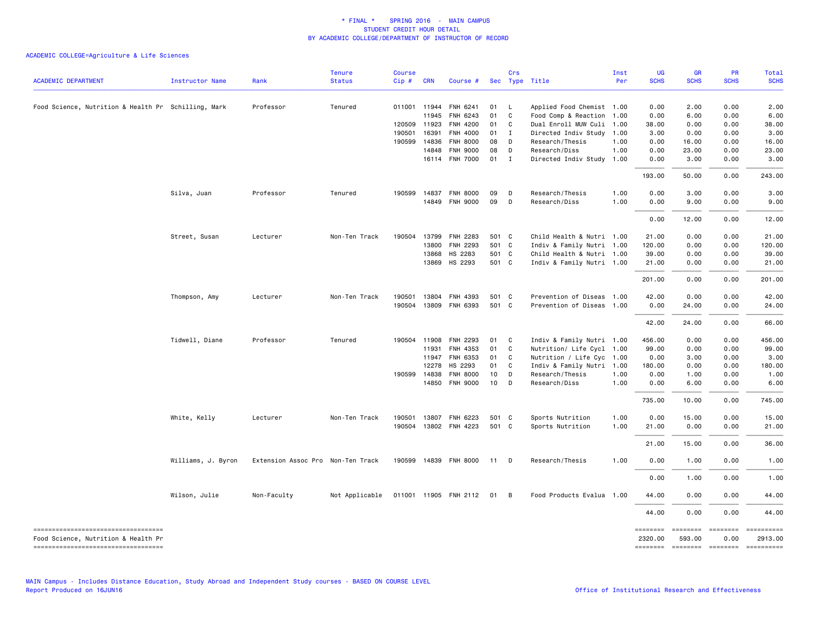| <b>ACADEMIC DEPARTMENT</b>                                                   | <b>Instructor Name</b> | Rank                              | <b>Tenure</b><br><b>Status</b> | <b>Course</b><br>Cip# | <b>CRN</b>   | Course #              |       | Crs | Sec Type Title            | Inst<br>Per | UG<br><b>SCHS</b> | <b>GR</b><br><b>SCHS</b> | <b>PR</b><br><b>SCHS</b> | <b>Total</b><br><b>SCHS</b>                    |
|------------------------------------------------------------------------------|------------------------|-----------------------------------|--------------------------------|-----------------------|--------------|-----------------------|-------|-----|---------------------------|-------------|-------------------|--------------------------|--------------------------|------------------------------------------------|
|                                                                              |                        |                                   |                                |                       |              |                       |       |     |                           |             |                   |                          |                          |                                                |
| Food Science, Nutrition & Health Pr Schilling, Mark                          |                        | Professor                         | Tenured                        |                       |              | 011001 11944 FNH 6241 | 01    | L   | Applied Food Chemist 1.00 |             | 0.00              | 2.00                     | 0.00                     | 2.00                                           |
|                                                                              |                        |                                   |                                |                       | 11945        | FNH 6243              | 01    | C   | Food Comp & Reaction 1.00 |             | 0.00              | 6.00                     | 0.00                     | 6.00                                           |
|                                                                              |                        |                                   |                                |                       | 120509 11923 | FNH 4200              | 01    | C   | Dual Enroll MUW Culi      | 1.00        | 38.00             | 0.00                     | 0.00                     | 38.00                                          |
|                                                                              |                        |                                   |                                | 190501                | 16391        | FNH 4000              | 01    | I   | Directed Indiv Study 1.00 |             | 3.00              | 0.00                     | 0.00                     | 3.00                                           |
|                                                                              |                        |                                   |                                | 190599                | 14836        | <b>FNH 8000</b>       | 08    | D   | Research/Thesis           | 1.00        | 0.00              | 16.00                    | 0.00                     | 16.00                                          |
|                                                                              |                        |                                   |                                |                       | 14848        | <b>FNH 9000</b>       | 08    | D   | Research/Diss             | 1.00        | 0.00              | 23.00                    | 0.00                     | 23.00                                          |
|                                                                              |                        |                                   |                                |                       |              | 16114 FNH 7000        | 01    | I   | Directed Indiv Study      | 1.00        | 0.00              | 3.00                     | 0.00                     | 3.00                                           |
|                                                                              |                        |                                   |                                |                       |              |                       |       |     |                           |             | 193.00            | 50.00                    | 0.00                     | 243.00                                         |
|                                                                              | Silva, Juan            | Professor                         | Tenured                        |                       |              | 190599 14837 FNH 8000 | 09    | D   | Research/Thesis           | 1.00        | 0.00              | 3.00                     | 0.00                     | 3.00                                           |
|                                                                              |                        |                                   |                                |                       |              | 14849 FNH 9000        | 09    | D   | Research/Diss             | 1.00        | 0.00              | 9.00                     | 0.00                     | 9.00                                           |
|                                                                              |                        |                                   |                                |                       |              |                       |       |     |                           |             | 0.00              | 12.00                    | 0.00                     | 12.00                                          |
|                                                                              | Street, Susan          | Lecturer                          | Non-Ten Track                  | 190504                |              | 13799 FNH 2283        | 501 C |     | Child Health & Nutri 1.00 |             | 21.00             | 0.00                     | 0.00                     | 21.00                                          |
|                                                                              |                        |                                   |                                |                       | 13800        | FNH 2293              | 501 C |     | Indiv & Family Nutri 1.00 |             | 120.00            | 0.00                     | 0.00                     | 120.00                                         |
|                                                                              |                        |                                   |                                |                       | 13868        | HS 2283               | 501 C |     | Child Health & Nutri 1.00 |             | 39.00             | 0.00                     | 0.00                     | 39.00                                          |
|                                                                              |                        |                                   |                                |                       | 13869        | HS 2293               | 501 C |     | Indiv & Family Nutri 1.00 |             | 21.00             | 0.00                     | 0.00                     | 21.00                                          |
|                                                                              |                        |                                   |                                |                       |              |                       |       |     |                           |             | 201.00            | 0.00                     | 0.00                     | 201.00                                         |
|                                                                              | Thompson, Amy          | Lecturer                          | Non-Ten Track                  | 190501                |              | 13804 FNH 4393        | 501 C |     | Prevention of Diseas 1.00 |             | 42.00             | 0.00                     | 0.00                     | 42.00                                          |
|                                                                              |                        |                                   |                                | 190504                |              | 13809 FNH 6393        | 501 C |     | Prevention of Diseas 1.00 |             | 0.00              | 24.00                    | 0.00                     | 24.00                                          |
|                                                                              |                        |                                   |                                |                       |              |                       |       |     |                           |             | 42.00             | 24.00                    | 0.00                     | 66.00                                          |
|                                                                              | Tidwell, Diane         | Professor                         | Tenured                        |                       | 190504 11908 | FNH 2293              | 01    | C   | Indiv & Family Nutri 1.00 |             | 456.00            | 0.00                     | 0.00                     | 456.00                                         |
|                                                                              |                        |                                   |                                |                       | 11931        | FNH 4353              | 01    | C   | Nutrition/ Life Cycl 1.00 |             | 99.00             | 0.00                     | 0.00                     | 99.00                                          |
|                                                                              |                        |                                   |                                |                       | 11947        | FNH 6353              | 01    | C   | Nutrition / Life Cyc 1.00 |             | 0.00              | 3.00                     | 0.00                     | 3.00                                           |
|                                                                              |                        |                                   |                                |                       | 12278        | HS 2293               | 01    | C   | Indiv & Family Nutri      | 1.00        | 180.00            | 0.00                     | 0.00                     | 180.00                                         |
|                                                                              |                        |                                   |                                |                       | 190599 14838 | <b>FNH 8000</b>       | 10    | D   | Research/Thesis           | 1.00        | 0.00              | 1.00                     | 0.00                     | 1.00                                           |
|                                                                              |                        |                                   |                                |                       |              | 14850 FNH 9000        | 10    | D   | Research/Diss             | 1.00        | 0.00              | 6.00                     | 0.00                     | 6.00                                           |
|                                                                              |                        |                                   |                                |                       |              |                       |       |     |                           |             | 735.00            | 10.00                    | 0.00                     | 745.00                                         |
|                                                                              | White, Kelly           | Lecturer                          | Non-Ten Track                  | 190501                |              | 13807 FNH 6223        | 501 C |     | Sports Nutrition          | 1.00        | 0.00              | 15.00                    | 0.00                     | 15.00                                          |
|                                                                              |                        |                                   |                                |                       |              | 190504 13802 FNH 4223 | 501 C |     | Sports Nutrition          | 1.00        | 21.00             | 0.00                     | 0.00                     | 21.00                                          |
|                                                                              |                        |                                   |                                |                       |              |                       |       |     |                           |             | 21.00             | 15.00                    | 0.00                     | 36.00                                          |
|                                                                              | Williams, J. Byron     | Extension Assoc Pro Non-Ten Track |                                |                       |              | 190599 14839 FNH 8000 | 11    | D   | Research/Thesis           | 1.00        | 0.00              | 1.00                     | 0.00                     | 1.00                                           |
|                                                                              |                        |                                   |                                |                       |              |                       |       |     |                           |             | 0.00              | 1.00                     | 0.00                     | 1.00                                           |
|                                                                              | Wilson, Julie          | Non-Faculty                       | Not Applicable                 |                       |              | 011001 11905 FNH 2112 | 01    | B   | Food Products Evalua 1.00 |             | 44.00             | 0.00                     | 0.00                     | 44.00                                          |
|                                                                              |                        |                                   |                                |                       |              |                       |       |     |                           |             | 44.00             | 0.00                     | 0.00                     | 44.00                                          |
| ----------------------------------                                           |                        |                                   |                                |                       |              |                       |       |     |                           |             | ========          |                          | $=$                      | ==========                                     |
| Food Science, Nutrition & Health Pr<br>===================================== |                        |                                   |                                |                       |              |                       |       |     |                           |             | 2320.00           | 593.00                   | 0.00                     | 2913.00<br>-------- ------- -------- --------- |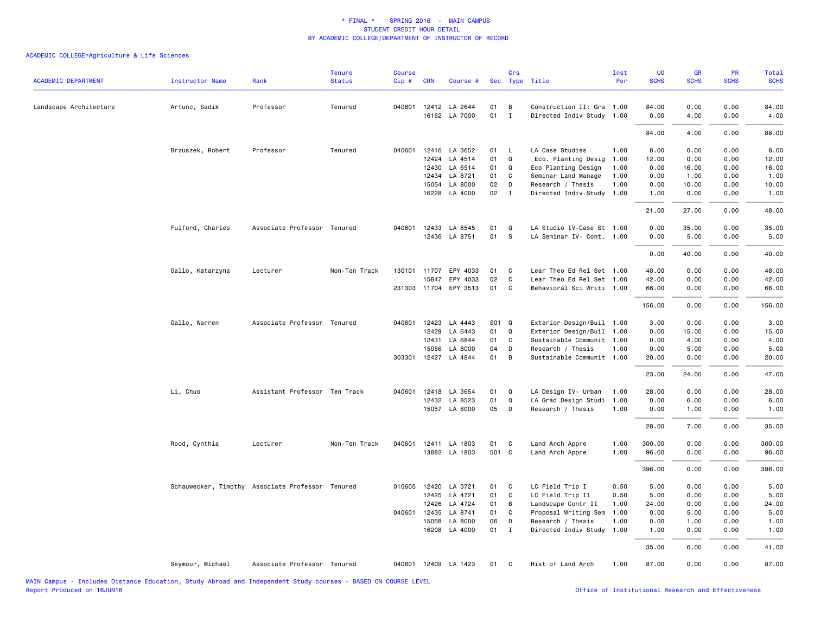| <b>ACADEMIC DEPARTMENT</b> | <b>Instructor Name</b>                           | Rank                          | <b>Tenure</b><br><b>Status</b> | <b>Course</b><br>$Cip \#$ | <b>CRN</b>   | Course #                              |          | Crs               | Sec Type Title                                         | Inst<br>Per | UG<br><b>SCHS</b> | GR<br><b>SCHS</b> | PR<br><b>SCHS</b> | Total<br><b>SCHS</b> |
|----------------------------|--------------------------------------------------|-------------------------------|--------------------------------|---------------------------|--------------|---------------------------------------|----------|-------------------|--------------------------------------------------------|-------------|-------------------|-------------------|-------------------|----------------------|
|                            |                                                  |                               |                                |                           |              |                                       |          |                   |                                                        |             |                   |                   |                   |                      |
| Landscape Architecture     | Artunc, Sadik                                    | Professor                     | Tenured                        |                           |              | 040601 12412 LA 2644<br>16162 LA 7000 | 01<br>01 | B<br>$\mathbf{I}$ | Construction II: Gra 1.00<br>Directed Indiv Study 1.00 |             | 84.00<br>0.00     | 0.00<br>4.00      | 0.00<br>0.00      | 84.00<br>4.00        |
|                            |                                                  |                               |                                |                           |              |                                       |          |                   |                                                        |             | 84.00             | 4.00              | 0.00              | 88.00                |
|                            | Brzuszek, Robert                                 | Professor                     | Tenured                        |                           |              | 040601 12416 LA 3652                  | 01       | <b>L</b>          | LA Case Studies                                        | 1.00        | 8.00              | 0.00              | 0.00              | 8.00                 |
|                            |                                                  |                               |                                |                           | 12424        | LA 4514                               | 01       | Q                 | Eco. Planting Desig                                    | 1.00        | 12.00             | 0.00              | 0.00              | 12.00                |
|                            |                                                  |                               |                                |                           | 12430        | LA 6514                               | 01       | Q                 | Eco Planting Design                                    | 1.00        | 0.00              | 16.00             | 0.00              | 16.00                |
|                            |                                                  |                               |                                |                           | 12434        | LA 8721                               | 01       | C                 | Seminar Land Manage                                    | 1.00        | 0.00              | 1.00              | 0.00              | 1.00                 |
|                            |                                                  |                               |                                |                           | 15054        | LA 8000                               | 02       | D                 | Research / Thesis                                      | 1.00        | 0.00              | 10.00             | 0.00              | 10.00                |
|                            |                                                  |                               |                                |                           | 16228        | LA 4000                               | 02       | $\mathbf{I}$      | Directed Indiv Study                                   | 1.00        | 1.00              | 0.00              | 0.00              | 1.00                 |
|                            |                                                  |                               |                                |                           |              |                                       |          |                   |                                                        |             | 21.00             | 27.00             | 0.00              | 48.00                |
|                            | Fulford, Charles                                 | Associate Professor Tenured   |                                |                           |              | 040601 12433 LA 8545                  | 01       | Q                 | LA Studio IV-Case St 1.00                              |             | 0.00              | 35.00             | 0.00              | 35.00                |
|                            |                                                  |                               |                                |                           |              | 12436 LA 8751                         | 01       | <b>S</b>          | LA Seminar IV- Cont. 1.00                              |             | 0.00              | 5.00              | 0.00              | 5.00                 |
|                            |                                                  |                               |                                |                           |              |                                       |          |                   |                                                        |             | 0.00              | 40.00             | 0.00              | 40.00                |
|                            | Gallo, Katarzyna                                 | Lecturer                      | Non-Ten Track                  |                           | 130101 11707 | EPY 4033                              | 01       | C                 | Lear Theo Ed Rel Set 1.00                              |             | 48.00             | 0.00              | 0.00              | 48.00                |
|                            |                                                  |                               |                                |                           | 15847        | EPY 4033                              | 02       | $\mathtt{C}$      | Lear Theo Ed Rel Set 1.00                              |             | 42.00             | 0.00              | 0.00              | 42.00                |
|                            |                                                  |                               |                                |                           |              | 231303 11704 EPY 3513                 | 01       | C                 | Behavioral Sci Writi 1.00                              |             | 66.00             | 0.00              | 0.00              | 66.00                |
|                            |                                                  |                               |                                |                           |              |                                       |          |                   |                                                        |             | 156.00            | 0.00              | 0.00              | 156.00               |
|                            | Gallo, Warren                                    | Associate Professor Tenured   |                                |                           | 040601 12423 | LA 4443                               | S01 Q    |                   | Exterior Design/Buil 1.00                              |             | 3.00              | 0.00              | 0.00              | 3.00                 |
|                            |                                                  |                               |                                |                           | 12429        | LA 6443                               | 01       | Q                 | Exterior Design/Buil 1.00                              |             | 0.00              | 15.00             | 0.00              | 15.00                |
|                            |                                                  |                               |                                |                           | 12431        | LA 6844                               | 01       | C                 | Sustainable Communit 1.00                              |             | 0.00              | 4.00              | 0.00              | 4.00                 |
|                            |                                                  |                               |                                |                           | 15056        | LA 8000                               | 04       | D                 | Research / Thesis                                      | 1.00        | 0.00              | 5.00              | 0.00              | 5.00                 |
|                            |                                                  |                               |                                |                           |              | 303301 12427 LA 4844                  | 01       | B                 | Sustainable Communit 1.00                              |             | 20.00             | 0.00              | 0.00              | 20.00                |
|                            |                                                  |                               |                                |                           |              |                                       |          |                   |                                                        |             | 23.00             | 24.00             | 0.00              | 47.00                |
|                            | Li, Chuo                                         | Assistant Professor Ten Track |                                | 040601                    |              | 12418 LA 3654                         | 01       | Q                 | LA Design IV- Urban                                    | 1.00        | 28.00             | 0.00              | 0.00              | 28.00                |
|                            |                                                  |                               |                                |                           | 12432        | LA 8523                               | 01       | Q                 | LA Grad Design Studi                                   | 1.00        | 0.00              | 6.00              | 0.00              | 6.00                 |
|                            |                                                  |                               |                                |                           |              | 15057 LA 8000                         | 05       | D                 | Research / Thesis                                      | 1.00        | 0.00              | 1.00              | 0.00              | 1.00                 |
|                            |                                                  |                               |                                |                           |              |                                       |          |                   |                                                        |             | 28.00             | 7.00              | 0.00              | 35.00                |
|                            | Rood, Cynthia                                    | Lecturer                      | Non-Ten Track                  | 040601                    |              | 12411 LA 1803                         | 01       | C                 | Land Arch Appre                                        | 1.00        | 300.00            | 0.00              | 0.00              | 300.00               |
|                            |                                                  |                               |                                |                           |              | 13882 LA 1803                         | 501 C    |                   | Land Arch Appre                                        | 1.00        | 96.00             | 0.00              | 0.00              | 96.00                |
|                            |                                                  |                               |                                |                           |              |                                       |          |                   |                                                        |             | 396.00            | 0.00              | 0.00              | 396.00               |
|                            | Schauwecker, Timothy Associate Professor Tenured |                               |                                |                           | 010605 12420 | LA 3721                               | 01       | C                 | LC Field Trip I                                        | 0.50        | 5.00              | 0.00              | 0.00              | 5.00                 |
|                            |                                                  |                               |                                |                           | 12425        | LA 4721                               | 01       | C                 | LC Field Trip II                                       | 0.50        | 5.00              | 0.00              | 0.00              | 5.00                 |
|                            |                                                  |                               |                                |                           | 12426        | LA 4724                               | 01       | B                 | Landscape Contr II                                     | 1.00        | 24.00             | 0.00              | 0.00              | 24.00                |
|                            |                                                  |                               |                                | 040601                    | 12435        | LA 8741                               | 01       | C                 | Proposal Writing Sem                                   | 1.00        | 0.00              | 5.00              | 0.00              | 5.00                 |
|                            |                                                  |                               |                                |                           | 15058        | LA 8000                               | 06       | D                 | Research / Thesis                                      | 1.00        | 0.00              | 1.00              | 0.00              | 1.00                 |
|                            |                                                  |                               |                                |                           |              | 16208 LA 4000                         | 01 I     |                   | Directed Indiv Study 1.00                              |             | 1.00              | 0.00              | 0.00              | 1.00                 |
|                            |                                                  |                               |                                |                           |              |                                       |          |                   |                                                        |             | 35.00             | 6.00              | 0.00              | 41.00                |
|                            | Seymour, Michael                                 | Associate Professor Tenured   |                                |                           |              | 040601 12409 LA 1423                  | 01       | $\mathbf{C}$      | Hist of Land Arch                                      | 1.00        | 87.00             | 0.00              | 0.00              | 87.00                |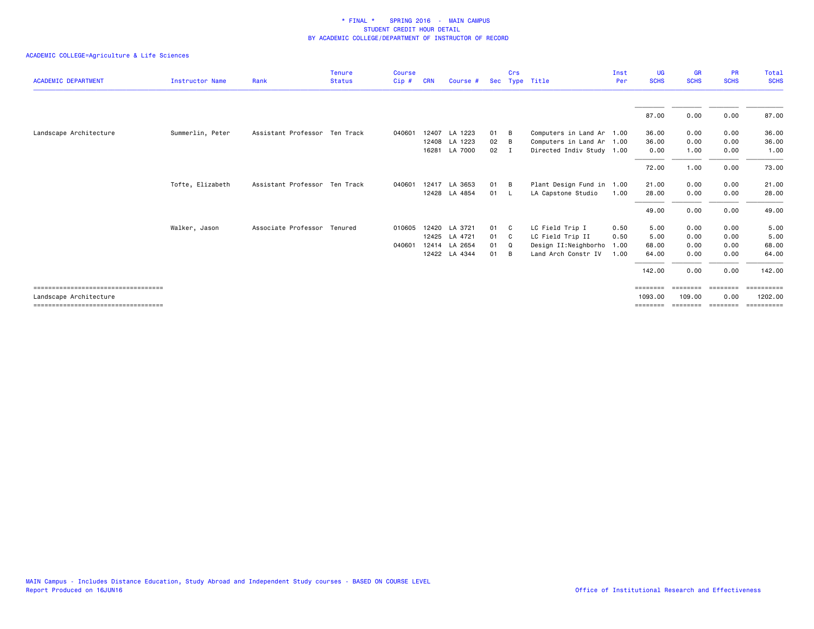|                                        |                        |                               | <b>Tenure</b> | <b>Course</b> |            |               |      | Crs |                           | Inst | UG          | <b>GR</b>   | <b>PR</b>   | Total          |
|----------------------------------------|------------------------|-------------------------------|---------------|---------------|------------|---------------|------|-----|---------------------------|------|-------------|-------------|-------------|----------------|
| <b>ACADEMIC DEPARTMENT</b>             | <b>Instructor Name</b> | Rank                          | <b>Status</b> | Cip#          | <b>CRN</b> | Course #      | Sec  |     | Type Title                | Per  | <b>SCHS</b> | <b>SCHS</b> | <b>SCHS</b> | <b>SCHS</b>    |
|                                        |                        |                               |               |               |            |               |      |     |                           |      | 87.00       | 0.00        | 0.00        | 87.00          |
| Landscape Architecture                 | Summerlin, Peter       | Assistant Professor Ten Track |               | 040601        |            | 12407 LA 1223 | 01   | B   | Computers in Land Ar 1.00 |      | 36.00       | 0.00        | 0.00        | 36.00          |
|                                        |                        |                               |               |               |            | 12408 LA 1223 | 02   | B   | Computers in Land Ar 1.00 |      | 36.00       | 0.00        | 0.00        | 36.00          |
|                                        |                        |                               |               |               |            | 16281 LA 7000 | 02   | I   | Directed Indiv Study 1.00 |      | 0.00        | 1.00        | 0.00        | 1.00           |
|                                        |                        |                               |               |               |            |               |      |     |                           |      | 72.00       | 1.00        | 0.00        | 73.00          |
|                                        | Tofte, Elizabeth       | Assistant Professor Ten Track |               | 040601        |            | 12417 LA 3653 | 01 B |     | Plant Design Fund in      | 1.00 | 21.00       | 0.00        | 0.00        | 21.00          |
|                                        |                        |                               |               |               |            | 12428 LA 4854 | 01 L |     | LA Capstone Studio        | 1.00 | 28.00       | 0.00        | 0.00        | 28.00          |
|                                        |                        |                               |               |               |            |               |      |     |                           |      | 49.00       | 0.00        | 0.00        | 49.00          |
|                                        | Walker, Jason          | Associate Professor Tenured   |               | 010605        |            | 12420 LA 3721 | 01 C |     | LC Field Trip I           | 0.50 | 5.00        | 0.00        | 0.00        | 5.00           |
|                                        |                        |                               |               |               |            | 12425 LA 4721 | 01   | C.  | LC Field Trip II          | 0.50 | 5.00        | 0.00        | 0.00        | 5.00           |
|                                        |                        |                               |               | 040601        |            | 12414 LA 2654 | 01   | Q   | Design II:Neighborho      | 1.00 | 68.00       | 0.00        | 0.00        | 68.00          |
|                                        |                        |                               |               |               |            | 12422 LA 4344 | 01   | B   | Land Arch Constr IV       | 1.00 | 64.00       | 0.00        | 0.00        | 64.00          |
|                                        |                        |                               |               |               |            |               |      |     |                           |      | 142.00      | 0.00        | 0.00        | 142.00         |
| ====================================== |                        |                               |               |               |            |               |      |     |                           |      | ========    | ========    | ========    | $=$ ========== |
| Landscape Architecture                 |                        |                               |               |               |            |               |      |     |                           |      | 1093.00     | 109,00      | 0.00        | 1202.00        |
| ====================================== |                        |                               |               |               |            |               |      |     |                           |      | ========    | ========    | ========    | ==========     |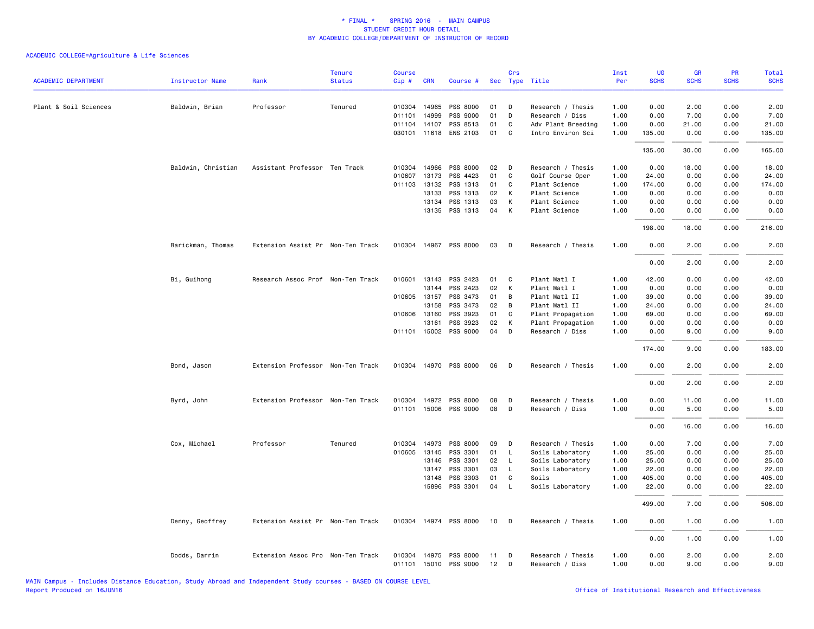| <b>ACADEMIC DEPARTMENT</b> | <b>Instructor Name</b> | Rank                              | <b>Tenure</b><br><b>Status</b> | <b>Course</b><br>Cip# | <b>CRN</b>   | Course #              |      | Crs          | Sec Type Title     | Inst<br>Per | UG<br><b>SCHS</b> | <b>GR</b><br><b>SCHS</b> | PR<br><b>SCHS</b> | Total<br><b>SCHS</b> |
|----------------------------|------------------------|-----------------------------------|--------------------------------|-----------------------|--------------|-----------------------|------|--------------|--------------------|-------------|-------------------|--------------------------|-------------------|----------------------|
|                            |                        |                                   |                                |                       |              |                       |      |              |                    |             |                   |                          |                   |                      |
| Plant & Soil Sciences      | Baldwin, Brian         | Professor                         | Tenured                        |                       | 010304 14965 | PSS 8000              | 01   | D            | Research / Thesis  | 1.00        | 0.00              | 2.00                     | 0.00              | 2.00                 |
|                            |                        |                                   |                                |                       | 011101 14999 | PSS 9000              | 01   | D            | Research / Diss    | 1.00        | 0.00              | 7.00                     | 0.00              | 7.00                 |
|                            |                        |                                   |                                |                       | 011104 14107 | PSS 8513              | 01   | C            | Adv Plant Breeding | 1.00        | 0.00              | 21.00                    | 0.00              | 21.00                |
|                            |                        |                                   |                                |                       | 030101 11618 | <b>ENS 2103</b>       | 01   | $\mathbf{C}$ | Intro Environ Sci  | 1.00        | 135.00            | 0.00                     | 0.00              | 135.00               |
|                            |                        |                                   |                                |                       |              |                       |      |              |                    |             | 135.00            | 30.00                    | 0.00              | 165.00               |
|                            | Baldwin, Christian     | Assistant Professor Ten Track     |                                |                       | 010304 14966 | PSS 8000              | 02   | D            | Research / Thesis  | 1.00        | 0.00              | 18.00                    | 0.00              | 18.00                |
|                            |                        |                                   |                                | 010607                | 13173        | PSS 4423              | 01   | C            | Golf Course Oper   | 1.00        | 24.00             | 0.00                     | 0.00              | 24.00                |
|                            |                        |                                   |                                | 011103                | 13132        | PSS 1313              | 01   | $\mathbf{C}$ | Plant Science      | 1.00        | 174.00            | 0.00                     | 0.00              | 174.00               |
|                            |                        |                                   |                                |                       | 13133        | PSS 1313              | 02   | K            | Plant Science      | 1.00        | 0.00              | 0.00                     | 0.00              | 0.00                 |
|                            |                        |                                   |                                |                       | 13134        | PSS 1313              | 03   | K            | Plant Science      | 1.00        | 0.00              | 0.00                     | 0.00              | 0.00                 |
|                            |                        |                                   |                                |                       |              | 13135 PSS 1313        | 04   | K            | Plant Science      | 1.00        | 0.00              | 0.00                     | 0.00              | 0.00                 |
|                            |                        |                                   |                                |                       |              |                       |      |              |                    |             | 198.00            | 18.00                    | 0.00              | 216.00               |
|                            | Barickman, Thomas      | Extension Assist Pr Non-Ten Track |                                |                       | 010304 14967 | PSS 8000              | 03   | D            | Research / Thesis  | 1.00        | 0.00              | 2.00                     | 0.00              | 2.00                 |
|                            |                        |                                   |                                |                       |              |                       |      |              |                    |             | 0.00              | 2.00                     | 0.00              | 2.00                 |
|                            | Bi, Guihong            | Research Assoc Prof Non-Ten Track |                                |                       | 010601 13143 | PSS 2423              | 01   | $\mathbf{C}$ | Plant Matl I       | 1.00        | 42.00             | 0.00                     | 0.00              | 42.00                |
|                            |                        |                                   |                                |                       | 13144        | PSS 2423              | 02   | K            | Plant Matl I       | 1.00        | 0.00              | 0.00                     | 0.00              | 0.00                 |
|                            |                        |                                   |                                |                       | 010605 13157 | PSS 3473              | 01   | B            | Plant Matl II      | 1.00        | 39.00             | 0.00                     | 0.00              | 39.00                |
|                            |                        |                                   |                                |                       | 13158        | PSS 3473              | 02   | B            | Plant Matl II      | 1.00        | 24.00             | 0.00                     | 0.00              | 24.00                |
|                            |                        |                                   |                                |                       | 010606 13160 | PSS 3923              | 01   | C            | Plant Propagation  | 1.00        | 69.00             | 0.00                     | 0.00              | 69.00                |
|                            |                        |                                   |                                |                       | 13161        | PSS 3923              | 02   | K            | Plant Propagation  | 1.00        | 0.00              | 0.00                     | 0.00              | 0.00                 |
|                            |                        |                                   |                                |                       |              | 011101 15002 PSS 9000 | 04 D |              | Research / Diss    | 1.00        | 0.00              | 9.00                     | 0.00              | 9.00                 |
|                            |                        |                                   |                                |                       |              |                       |      |              |                    |             | 174.00            | 9.00                     | 0.00              | 183.00               |
|                            | Bond, Jason            | Extension Professor Non-Ten Track |                                |                       |              | 010304 14970 PSS 8000 | 06   | $\mathsf{D}$ | Research / Thesis  | 1.00        | 0.00              | 2.00                     | 0.00              | 2.00                 |
|                            |                        |                                   |                                |                       |              |                       |      |              |                    |             | 0.00              | 2.00                     | 0.00              | 2.00                 |
|                            | Byrd, John             | Extension Professor Non-Ten Track |                                |                       | 010304 14972 | PSS 8000              | 08   | D            | Research / Thesis  | 1.00        | 0.00              | 11.00                    | 0.00              | 11.00                |
|                            |                        |                                   |                                |                       |              | 011101 15006 PSS 9000 | 08   | $\mathsf{D}$ | Research / Diss    | 1.00        | 0.00              | 5.00                     | 0.00              | 5.00                 |
|                            |                        |                                   |                                |                       |              |                       |      |              |                    |             | 0.00              | 16.00                    | 0.00              | 16.00                |
|                            | Cox, Michael           | Professor                         | Tenured                        | 010304                | 14973        | PSS 8000              | 09   | D            | Research / Thesis  | 1.00        | 0.00              | 7.00                     | 0.00              | 7.00                 |
|                            |                        |                                   |                                |                       | 010605 13145 | PSS 3301              | 01   | L.           | Soils Laboratory   | 1.00        | 25.00             | 0.00                     | 0.00              | 25.00                |
|                            |                        |                                   |                                |                       | 13146        | PSS 3301              | 02   | $\mathsf{L}$ | Soils Laboratory   | 1.00        | 25.00             | 0.00                     | 0.00              | 25.00                |
|                            |                        |                                   |                                |                       | 13147        | PSS 3301              | 03   | L.           | Soils Laboratory   | 1.00        | 22.00             | 0.00                     | 0.00              | 22.00                |
|                            |                        |                                   |                                |                       | 13148        | PSS 3303              | 01   | C            | Soils              | 1.00        | 405.00            | 0.00                     | 0.00              | 405.00               |
|                            |                        |                                   |                                |                       | 15896        | PSS 3301              | 04   | $\mathsf{L}$ | Soils Laboratory   | 1.00        | 22.00             | 0.00                     | 0.00              | 22.00                |
|                            |                        |                                   |                                |                       |              |                       |      |              |                    |             | 499.00            | 7.00                     | 0.00              | 506.00               |
|                            | Denny, Geoffrey        | Extension Assist Pr Non-Ten Track |                                |                       |              | 010304 14974 PSS 8000 | 10   | $\Box$       | Research / Thesis  | 1.00        | 0.00              | 1.00                     | 0.00              | 1.00                 |
|                            |                        |                                   |                                |                       |              |                       |      |              |                    |             | 0.00              | 1.00                     | 0.00              | 1.00                 |
|                            | Dodds, Darrin          | Extension Assoc Pro Non-Ten Track |                                |                       | 010304 14975 | PSS 8000              | 11   | D            | Research / Thesis  | 1.00        | 0.00              | 2.00                     | 0.00              | 2.00                 |
|                            |                        |                                   |                                |                       |              | 011101 15010 PSS 9000 | 12   | D            | Research / Diss    | 1.00        | 0.00              | 9.00                     | 0.00              | 9.00                 |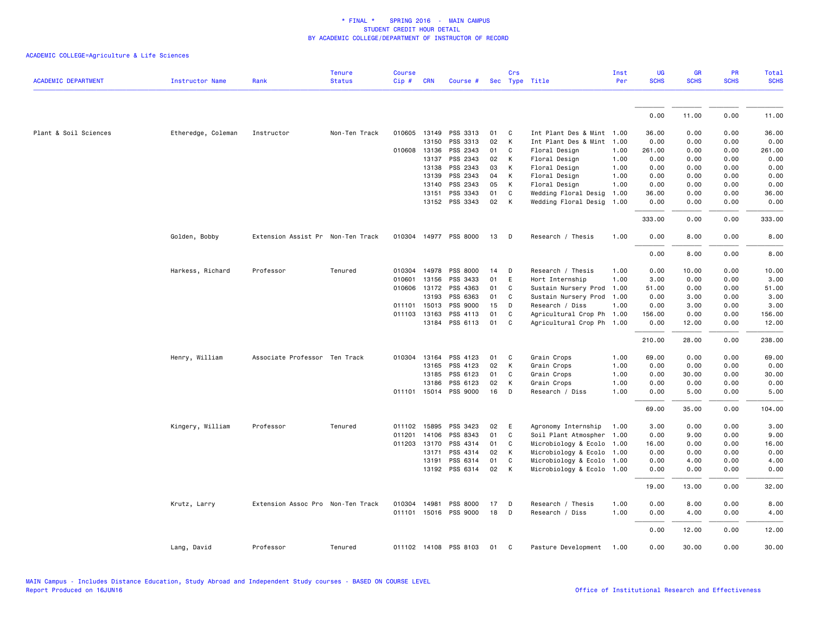|                            |                    |                                   | <b>Tenure</b> | <b>Course</b> |              |                       |    | Crs |                           | Inst | UG          | <b>GR</b>   | <b>PR</b>   | Total       |
|----------------------------|--------------------|-----------------------------------|---------------|---------------|--------------|-----------------------|----|-----|---------------------------|------|-------------|-------------|-------------|-------------|
| <b>ACADEMIC DEPARTMENT</b> | Instructor Name    | Rank                              | <b>Status</b> | Cip#          | <b>CRN</b>   | Course #              |    |     | Sec Type Title            | Per  | <b>SCHS</b> | <b>SCHS</b> | <b>SCHS</b> | <b>SCHS</b> |
|                            |                    |                                   |               |               |              |                       |    |     |                           |      |             |             |             |             |
|                            |                    |                                   |               |               |              |                       |    |     |                           |      | 0.00        | 11.00       | 0.00        | 11.00       |
| Plant & Soil Sciences      | Etheredge, Coleman | Instructor                        | Non-Ten Track |               | 010605 13149 | PSS 3313              | 01 | C   | Int Plant Des & Mint 1.00 |      | 36.00       | 0.00        | 0.00        | 36.00       |
|                            |                    |                                   |               |               | 13150        | PSS 3313              | 02 | K   | Int Plant Des & Mint      | 1.00 | 0.00        | 0.00        | 0.00        | 0.00        |
|                            |                    |                                   |               |               | 010608 13136 | PSS 2343              | 01 | C   | Floral Design             | 1.00 | 261.00      | 0.00        | 0.00        | 261.00      |
|                            |                    |                                   |               |               | 13137        | PSS 2343              | 02 | К   | Floral Design             | 1.00 | 0.00        | 0.00        | 0.00        | 0.00        |
|                            |                    |                                   |               |               | 13138        | PSS 2343              | 03 | К   | Floral Design             | 1.00 | 0.00        | 0.00        | 0.00        | 0.00        |
|                            |                    |                                   |               |               | 13139        | PSS 2343              | 04 | K   | Floral Design             | 1.00 | 0.00        | 0.00        | 0.00        | 0.00        |
|                            |                    |                                   |               |               | 13140        | PSS 2343              | 05 | К   | Floral Design             | 1.00 | 0.00        | 0.00        | 0.00        | 0.00        |
|                            |                    |                                   |               |               | 13151        | PSS 3343              | 01 | C   | Wedding Floral Desig      | 1.00 | 36.00       | 0.00        | 0.00        | 36.00       |
|                            |                    |                                   |               |               |              | 13152 PSS 3343        | 02 | K   | Wedding Floral Desig      | 1.00 | 0.00        | 0.00        | 0.00        | 0.00        |
|                            |                    |                                   |               |               |              |                       |    |     |                           |      | 333.00      | 0.00        | 0.00        | 333.00      |
|                            | Golden, Bobby      | Extension Assist Pr Non-Ten Track |               |               |              | 010304 14977 PSS 8000 | 13 | D   | Research / Thesis         | 1.00 | 0.00        | 8.00        | 0.00        | 8.00        |
|                            |                    |                                   |               |               |              |                       |    |     |                           |      | 0.00        | 8.00        | 0.00        | 8.00        |
|                            | Harkess, Richard   | Professor                         | Tenured       |               |              | 010304 14978 PSS 8000 | 14 | D   | Research / Thesis         | 1.00 | 0.00        | 10.00       | 0.00        | 10.00       |
|                            |                    |                                   |               |               | 010601 13156 | PSS 3433              | 01 | E   | Hort Internship           | 1.00 | 3.00        | 0.00        | 0.00        | 3.00        |
|                            |                    |                                   |               |               | 010606 13172 | PSS 4363              | 01 | C   | Sustain Nursery Prod      | 1.00 | 51.00       | 0.00        | 0.00        | 51.00       |
|                            |                    |                                   |               |               | 13193        | PSS 6363              | 01 | C   | Sustain Nursery Prod      | 1.00 | 0.00        | 3.00        | 0.00        | 3.00        |
|                            |                    |                                   |               |               | 011101 15013 | PSS 9000              | 15 | D   | Research / Diss           | 1.00 | 0.00        | 3.00        | 0.00        | 3.00        |
|                            |                    |                                   |               |               | 011103 13163 | PSS 4113              | 01 | C   | Agricultural Crop Ph      | 1.00 | 156.00      | 0.00        | 0.00        | 156.00      |
|                            |                    |                                   |               |               |              | 13184 PSS 6113        | 01 | C   | Agricultural Crop Ph 1.00 |      | 0.00        | 12.00       | 0.00        | 12.00       |
|                            |                    |                                   |               |               |              |                       |    |     |                           |      | 210.00      | 28,00       | 0.00        | 238.00      |
|                            | Henry, William     | Associate Professor Ten Track     |               |               | 010304 13164 | PSS 4123              | 01 | C   | Grain Crops               | 1.00 | 69.00       | 0.00        | 0.00        | 69.00       |
|                            |                    |                                   |               |               | 13165        | PSS 4123              | 02 | К   | Grain Crops               | 1.00 | 0.00        | 0.00        | 0.00        | 0.00        |
|                            |                    |                                   |               |               | 13185        | PSS 6123              | 01 | C   | Grain Crops               | 1.00 | 0.00        | 30.00       | 0.00        | 30.00       |
|                            |                    |                                   |               |               | 13186        | PSS 6123              | 02 | К   | Grain Crops               | 1.00 | 0.00        | 0.00        | 0.00        | 0.00        |
|                            |                    |                                   |               |               |              | 011101 15014 PSS 9000 | 16 | D   | Research / Diss           | 1.00 | 0.00        | 5.00        | 0.00        | 5.00        |
|                            |                    |                                   |               |               |              |                       |    |     |                           |      | 69.00       | 35.00       | 0.00        | 104.00      |
|                            | Kingery, William   | Professor                         | Tenured       |               | 011102 15895 | PSS 3423              | 02 | E   | Agronomy Internship       | 1.00 | 3.00        | 0.00        | 0.00        | 3.00        |
|                            |                    |                                   |               | 011201        | 14106        | PSS 8343              | 01 | C   | Soil Plant Atmospher      | 1.00 | 0.00        | 9.00        | 0.00        | 9.00        |
|                            |                    |                                   |               |               | 011203 13170 | PSS 4314              | 01 | C   | Microbiology & Ecolo      | 1.00 | 16.00       | 0.00        | 0.00        | 16.00       |
|                            |                    |                                   |               |               | 13171        | PSS 4314              | 02 | K   | Microbiology & Ecolo      | 1.00 | 0.00        | 0.00        | 0.00        | 0.00        |
|                            |                    |                                   |               |               | 13191        | PSS 6314              | 01 | C   | Microbiology & Ecolo 1.00 |      | 0.00        | 4.00        | 0.00        | 4.00        |
|                            |                    |                                   |               |               |              | 13192 PSS 6314        | 02 | K   | Microbiology & Ecolo 1.00 |      | 0.00        | 0.00        | 0.00        | 0.00        |
|                            |                    |                                   |               |               |              |                       |    |     |                           |      | 19.00       | 13.00       | 0.00        | 32.00       |
|                            | Krutz, Larry       | Extension Assoc Pro Non-Ten Track |               |               | 010304 14981 | PSS 8000              | 17 | D   | Research / Thesis         | 1.00 | 0.00        | 8.00        | 0.00        | 8.00        |
|                            |                    |                                   |               |               |              | 011101 15016 PSS 9000 | 18 | D   | Research / Diss           | 1.00 | 0.00        | 4.00        | 0.00        | 4.00        |
|                            |                    |                                   |               |               |              |                       |    |     |                           |      | 0.00        | 12.00       | 0.00        | 12.00       |
|                            | Lang, David        | Professor                         | Tenured       |               |              | 011102 14108 PSS 8103 | 01 | C   | Pasture Development       | 1.00 | 0.00        | 30.00       | 0.00        | 30,00       |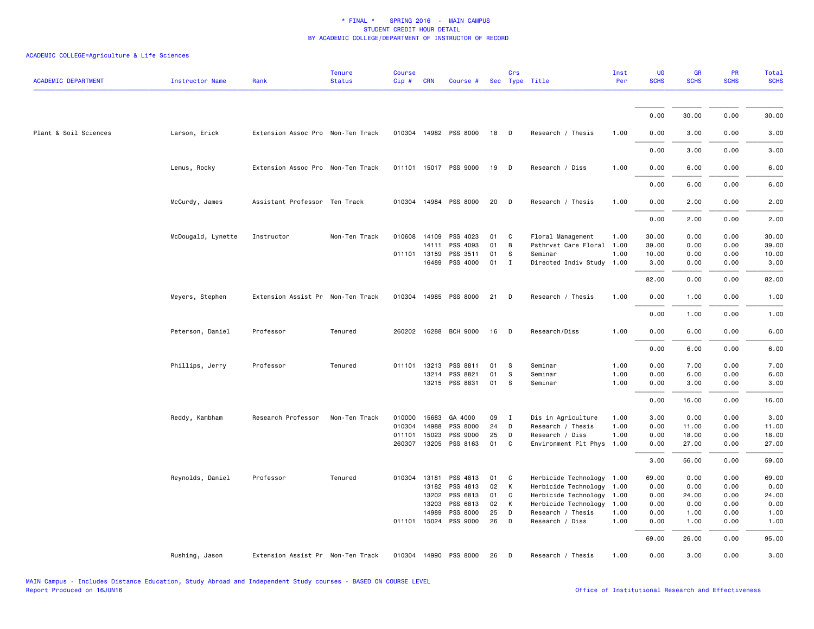| <b>ACADEMIC DEPARTMENT</b> | <b>Instructor Name</b> | Rank                              | <b>Tenure</b><br><b>Status</b> | <b>Course</b><br>Cip# | <b>CRN</b>   | Course # Sec Type Title |    | Crs          |                           | Inst<br>Per | <b>UG</b><br><b>SCHS</b> | <b>GR</b><br><b>SCHS</b> | PR<br><b>SCHS</b> | Total<br><b>SCHS</b> |
|----------------------------|------------------------|-----------------------------------|--------------------------------|-----------------------|--------------|-------------------------|----|--------------|---------------------------|-------------|--------------------------|--------------------------|-------------------|----------------------|
|                            |                        |                                   |                                |                       |              |                         |    |              |                           |             | 0.00                     | 30.00                    | 0.00              | 30.00                |
| Plant & Soil Sciences      | Larson, Erick          | Extension Assoc Pro Non-Ten Track |                                |                       |              | 010304 14982 PSS 8000   | 18 | D            | Research / Thesis         | 1.00        | 0.00                     | 3.00                     | 0.00              | 3.00                 |
|                            |                        |                                   |                                |                       |              |                         |    |              |                           |             | 0.00                     | 3.00                     | 0.00              | 3.00                 |
|                            | Lemus, Rocky           | Extension Assoc Pro Non-Ten Track |                                |                       |              | 011101 15017 PSS 9000   | 19 | $\mathsf{D}$ | Research / Diss           | 1.00        | 0.00                     | 6.00                     | 0.00              | 6.00                 |
|                            |                        |                                   |                                |                       |              |                         |    |              |                           |             | 0.00                     | 6.00                     | 0.00              | 6.00                 |
|                            | McCurdy, James         | Assistant Professor Ten Track     |                                |                       |              | 010304 14984 PSS 8000   | 20 | D            | Research / Thesis         | 1.00        | 0.00                     | 2.00                     | 0.00              | 2.00                 |
|                            |                        |                                   |                                |                       |              |                         |    |              |                           |             | 0.00                     | 2.00                     | 0.00              | 2.00                 |
|                            | McDougald, Lynette     | Instructor                        | Non-Ten Track                  |                       |              | 010608 14109 PSS 4023   | 01 | C            | Floral Management         | 1.00        | 30.00                    | 0.00                     | 0.00              | 30.00                |
|                            |                        |                                   |                                |                       | 14111        | PSS 4093                | 01 | B            | Psthrvst Care Floral      | 1.00        | 39.00                    | 0.00                     | 0.00              | 39.00                |
|                            |                        |                                   |                                |                       | 011101 13159 | PSS 3511                | 01 | s            | Seminar                   | 1.00        | 10.00                    | 0.00                     | 0.00              | 10.00                |
|                            |                        |                                   |                                |                       | 16489        | PSS 4000                | 01 | $\mathbf{I}$ | Directed Indiv Study 1.00 |             | 3.00                     | 0.00                     | 0.00              | 3.00                 |
|                            |                        |                                   |                                |                       |              |                         |    |              |                           |             | 82.00                    | 0.00                     | 0.00              | 82.00                |
|                            | Meyers, Stephen        | Extension Assist Pr Non-Ten Track |                                |                       |              | 010304 14985 PSS 8000   | 21 | D            | Research / Thesis         | 1.00        | 0.00                     | 1.00                     | 0.00              | 1.00                 |
|                            |                        |                                   |                                |                       |              |                         |    |              |                           |             | 0.00                     | 1.00                     | 0.00              | 1.00                 |
|                            | Peterson, Daniel       | Professor                         | Tenured                        |                       |              | 260202 16288 BCH 9000   | 16 | D            | Research/Diss             | 1.00        | 0.00                     | 6.00                     | 0.00              | 6.00                 |
|                            |                        |                                   |                                |                       |              |                         |    |              |                           |             | 0.00                     | 6.00                     | 0.00              | 6.00                 |
|                            | Phillips, Jerry        | Professor                         | Tenured                        |                       |              | 011101 13213 PSS 8811   | 01 | S            | Seminar                   | 1.00        | 0.00                     | 7.00                     | 0.00              | 7.00                 |
|                            |                        |                                   |                                |                       |              | 13214 PSS 8821          | 01 | S            | Seminar                   | 1.00        | 0.00                     | 6.00                     | 0.00              | 6.00                 |
|                            |                        |                                   |                                |                       |              | 13215 PSS 8831          | 01 | s            | Seminar                   | 1.00        | 0.00                     | 3.00                     | 0.00              | 3.00                 |
|                            |                        |                                   |                                |                       |              |                         |    |              |                           |             | 0.00                     | 16.00                    | 0.00              | 16.00                |
|                            | Reddy, Kambham         | Research Professor                | Non-Ten Track                  |                       | 010000 15683 | GA 4000                 | 09 | $\mathbf{I}$ | Dis in Agriculture        | 1.00        | 3.00                     | 0.00                     | 0.00              | 3.00                 |
|                            |                        |                                   |                                | 010304                | 14988        | PSS 8000                | 24 | D            | Research / Thesis         | 1.00        | 0.00                     | 11.00                    | 0.00              | 11.00                |
|                            |                        |                                   |                                | 011101                | 15023        | PSS 9000                | 25 | D            | Research / Diss           | 1.00        | 0.00                     | 18.00                    | 0.00              | 18.00                |
|                            |                        |                                   |                                |                       |              | 260307 13205 PSS 8163   | 01 | $\mathbf{C}$ | Environment Plt Phys 1.00 |             | 0.00                     | 27.00                    | 0.00              | 27.00                |
|                            |                        |                                   |                                |                       |              |                         |    |              |                           |             | 3.00                     | 56.00                    | 0.00              | 59.00                |
|                            | Reynolds, Daniel       | Professor                         | Tenured                        |                       | 010304 13181 | PSS 4813                | 01 | C            | Herbicide Technology 1.00 |             | 69.00                    | 0.00                     | 0.00              | 69.00                |
|                            |                        |                                   |                                |                       |              | 13182 PSS 4813          | 02 | K            | Herbicide Technology 1.00 |             | 0.00                     | 0.00                     | 0.00              | 0.00                 |
|                            |                        |                                   |                                |                       | 13202        | PSS 6813                | 01 | C            | Herbicide Technology      | 1.00        | 0.00                     | 24.00                    | 0.00              | 24.00                |
|                            |                        |                                   |                                |                       | 13203        | PSS 6813                | 02 | К            | Herbicide Technology 1.00 |             | 0.00                     | 0.00                     | 0.00              | 0.00                 |
|                            |                        |                                   |                                |                       | 14989        | PSS 8000                | 25 | D            | Research / Thesis         | 1.00        | 0.00                     | 1.00                     | 0.00              | 1.00                 |
|                            |                        |                                   |                                |                       |              | 011101 15024 PSS 9000   | 26 | D            | Research / Diss           | 1.00        | 0.00                     | 1.00                     | 0.00              | 1.00                 |
|                            |                        |                                   |                                |                       |              |                         |    |              |                           |             | 69.00                    | 26.00                    | 0.00              | 95.00                |
|                            | Rushing, Jason         | Extension Assist Pr Non-Ten Track |                                |                       |              | 010304 14990 PSS 8000   | 26 | D            | Research / Thesis         | 1.00        | 0.00                     | 3.00                     | 0.00              | 3.00                 |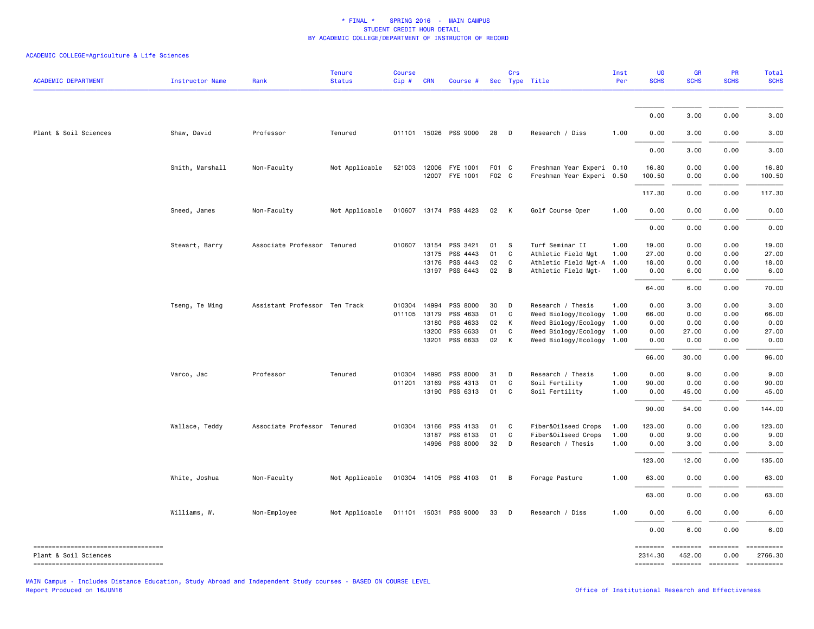# ACADEMIC COLLEGE=Agriculture & Life Sciences

| <b>ACADEMIC DEPARTMENT</b>                                     | <b>Instructor Name</b> | Rank                          | <b>Tenure</b><br><b>Status</b> | <b>Course</b><br>Cip#        | <b>CRN</b>              | Course #                                     |                      | Crs                                      | Sec Type Title                                                                            | Inst<br>Per          | UG<br><b>SCHS</b>               | <b>GR</b><br><b>SCHS</b>     | PR<br><b>SCHS</b>            | Total<br><b>SCHS</b>                                          |
|----------------------------------------------------------------|------------------------|-------------------------------|--------------------------------|------------------------------|-------------------------|----------------------------------------------|----------------------|------------------------------------------|-------------------------------------------------------------------------------------------|----------------------|---------------------------------|------------------------------|------------------------------|---------------------------------------------------------------|
|                                                                |                        |                               |                                |                              |                         |                                              |                      |                                          |                                                                                           |                      |                                 |                              |                              |                                                               |
|                                                                |                        |                               |                                |                              |                         |                                              |                      |                                          |                                                                                           |                      | 0.00                            | 3.00                         | 0.00                         | 3.00                                                          |
| Plant & Soil Sciences                                          | Shaw, David            | Professor                     | Tenured                        |                              |                         | 011101 15026 PSS 9000                        | 28                   | $\Box$                                   | Research / Diss                                                                           | 1.00                 | 0.00                            | 3.00                         | 0.00                         | 3.00                                                          |
|                                                                |                        |                               |                                |                              |                         |                                              |                      |                                          |                                                                                           |                      | 0.00                            | 3.00                         | 0.00                         | 3.00                                                          |
|                                                                | Smith, Marshall        | Non-Faculty                   | Not Applicable                 | 521003                       | 12006                   | FYE 1001<br>12007 FYE 1001                   | F01 C<br>F02 C       |                                          | Freshman Year Experi 0.10<br>Freshman Year Experi 0.50                                    |                      | 16.80<br>100.50                 | 0.00<br>0.00                 | 0.00<br>0.00                 | 16.80<br>100.50                                               |
|                                                                |                        |                               |                                |                              |                         |                                              |                      |                                          |                                                                                           |                      | 117.30                          | 0.00                         | 0.00                         | 117.30                                                        |
|                                                                | Sneed, James           | Non-Faculty                   | Not Applicable                 |                              |                         | 010607 13174 PSS 4423                        | 02                   | K                                        | Golf Course Oper                                                                          | 1.00                 | 0.00                            | 0.00                         | 0.00                         | 0.00                                                          |
|                                                                |                        |                               |                                |                              |                         |                                              |                      |                                          |                                                                                           |                      | 0.00                            | 0.00                         | 0.00                         | 0.00                                                          |
|                                                                | Stewart, Barry         | Associate Professor Tenured   |                                | 010607 13154                 | 13175<br>13176<br>13197 | PSS 3421<br>PSS 4443<br>PSS 4443<br>PSS 6443 | 01<br>01<br>02<br>02 | s<br>$\mathbf{C}$<br>C<br>$\overline{B}$ | Turf Seminar II<br>Athletic Field Mgt<br>Athletic Field Mgt-A 1.00<br>Athletic Field Mgt- | 1.00<br>1.00<br>1.00 | 19.00<br>27.00<br>18.00<br>0.00 | 0.00<br>0.00<br>0.00<br>6.00 | 0.00<br>0.00<br>0.00<br>0.00 | 19.00<br>27.00<br>18.00<br>6.00                               |
|                                                                |                        |                               |                                |                              |                         |                                              |                      |                                          |                                                                                           |                      | 64.00                           | 6.00                         | 0.00                         | 70.00                                                         |
|                                                                | Tseng, Te Ming         | Assistant Professor Ten Track |                                | 010304 14994<br>011105 13179 | 13180                   | PSS 8000<br>PSS 4633<br>PSS 4633             | 30<br>01<br>02       | D<br>C<br>$\mathsf{K}$                   | Research / Thesis<br>Weed Biology/Ecology 1.00<br>Weed Biology/Ecology 1.00               | 1.00                 | 0.00<br>66.00<br>0.00           | 3.00<br>0.00<br>0.00         | 0.00<br>0.00<br>0.00         | 3.00<br>66.00<br>0.00                                         |
|                                                                |                        |                               |                                |                              | 13200<br>13201          | PSS 6633<br>PSS 6633                         | 01<br>02             | C<br>K                                   | Weed Biology/Ecology 1.00<br>Weed Biology/Ecology 1.00                                    |                      | 0.00<br>0.00                    | 27.00<br>0.00                | 0.00<br>0.00                 | 27.00<br>0.00                                                 |
|                                                                |                        |                               |                                |                              |                         |                                              |                      |                                          |                                                                                           |                      | 66.00                           | 30.00                        | 0.00                         | 96.00                                                         |
|                                                                | Varco, Jac             | Professor                     | Tenured                        | 010304 14995<br>011201 13169 |                         | PSS 8000<br>PSS 4313                         | 31<br>01             | D<br>C                                   | Research / Thesis<br>Soil Fertility                                                       | 1.00<br>1.00         | 0.00<br>90.00                   | 9.00<br>0.00                 | 0.00<br>0.00                 | 9.00<br>90.00                                                 |
|                                                                |                        |                               |                                |                              | 13190                   | PSS 6313                                     | 01                   | C                                        | Soil Fertility                                                                            | 1.00                 | 0.00                            | 45.00                        | 0.00                         | 45.00                                                         |
|                                                                |                        |                               |                                |                              |                         |                                              |                      |                                          |                                                                                           |                      | 90.00                           | 54.00                        | 0.00                         | 144.00                                                        |
|                                                                | Wallace, Teddy         | Associate Professor Tenured   |                                | 010304 13166                 | 13187<br>14996          | PSS 4133<br>PSS 6133<br>PSS 8000             | 01<br>01<br>32       | $\mathbf{C}$<br>C<br>D                   | Fiber&Oilseed Crops<br>Fiber&Oilseed Crops<br>Research / Thesis                           | 1.00<br>1.00<br>1.00 | 123.00<br>0.00<br>0.00          | 0.00<br>9.00<br>3.00         | 0.00<br>0.00<br>0.00         | 123.00<br>9.00<br>3.00                                        |
|                                                                |                        |                               |                                |                              |                         |                                              |                      |                                          |                                                                                           |                      | 123.00                          | 12.00                        | 0.00                         | 135.00                                                        |
|                                                                | White, Joshua          | Non-Faculty                   | Not Applicable                 |                              |                         | 010304 14105 PSS 4103                        | 01 B                 |                                          | Forage Pasture                                                                            | 1.00                 | 63.00                           | 0.00                         | 0.00                         | 63.00                                                         |
|                                                                |                        |                               |                                |                              |                         |                                              |                      |                                          |                                                                                           |                      | 63.00                           | 0.00                         | 0.00                         | 63.00                                                         |
|                                                                | Williams, W.           | Non-Employee                  | Not Applicable                 |                              |                         | 011101 15031 PSS 9000                        | 33                   | $\mathsf{D}$                             | Research / Diss                                                                           | 1.00                 | 0.00                            | 6.00                         | 0.00                         | 6.00                                                          |
|                                                                |                        |                               |                                |                              |                         |                                              |                      |                                          |                                                                                           |                      | 0.00                            | 6.00                         | 0.00                         | 6.00                                                          |
| Plant & Soil Sciences<br>===================================== |                        |                               |                                |                              |                         |                                              |                      |                                          |                                                                                           |                      | ========<br>2314.30             | ========<br>452.00           | 0.00                         | ==========<br>2766.30<br>======== ======== ======== ========= |

MAIN Campus - Includes Distance Education, Study Abroad and Independent Study courses - BASED ON COURSE LEVEL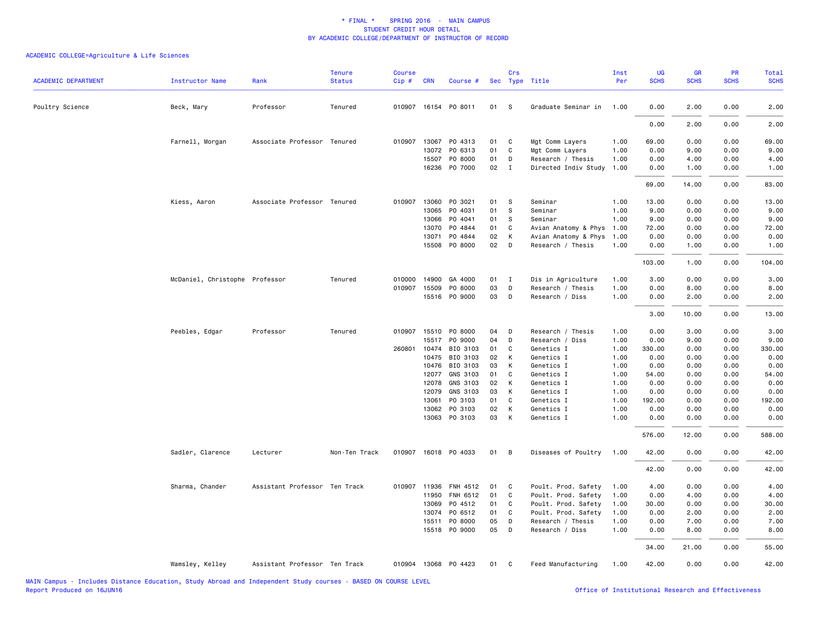| <b>ACADEMIC DEPARTMENT</b> | <b>Instructor Name</b>         | Rank                          | <b>Tenure</b><br><b>Status</b> | <b>Course</b><br>Cip# | <b>CRN</b>     | Course #             |          | Crs               | Sec Type Title                       | Inst<br>Per  | <b>UG</b><br><b>SCHS</b> | <b>GR</b><br><b>SCHS</b> | PR<br><b>SCHS</b> | Total<br><b>SCHS</b> |
|----------------------------|--------------------------------|-------------------------------|--------------------------------|-----------------------|----------------|----------------------|----------|-------------------|--------------------------------------|--------------|--------------------------|--------------------------|-------------------|----------------------|
| Poultry Science            | Beck, Mary                     | Professor                     | Tenured                        |                       |                | 010907 16154 PO 8011 | 01       | <b>S</b>          | Graduate Seminar in                  | 1.00         | 0.00                     | 2.00                     | 0.00              | 2.00                 |
|                            |                                |                               |                                |                       |                |                      |          |                   |                                      |              | 0.00                     | 2.00                     | 0.00              | 2.00                 |
|                            |                                |                               |                                |                       |                |                      |          |                   |                                      |              |                          |                          |                   |                      |
|                            | Farnell, Morgan                | Associate Professor Tenured   |                                |                       | 010907 13067   | PO 4313              | 01       | C                 | Mgt Comm Layers                      | 1.00         | 69.00                    | 0.00                     | 0.00              | 69.00                |
|                            |                                |                               |                                |                       | 13072<br>15507 | PO 6313<br>PO 8000   | 01<br>01 | C<br>D            | Mgt Comm Layers<br>Research / Thesis | 1.00<br>1.00 | 0.00<br>0.00             | 9.00<br>4.00             | 0.00<br>0.00      | 9.00<br>4.00         |
|                            |                                |                               |                                |                       |                | 16236 PO 7000        | 02       | $\mathbf{I}$      | Directed Indiv Study                 | 1.00         | 0.00                     | 1.00                     | 0.00              | 1.00                 |
|                            |                                |                               |                                |                       |                |                      |          |                   |                                      |              | 69.00                    | 14.00                    | 0.00              | 83.00                |
|                            | Kiess, Aaron                   | Associate Professor Tenured   |                                |                       | 010907 13060   | PO 3021              | 01       | S                 | Seminar                              | 1.00         | 13.00                    | 0.00                     | 0.00              | 13.00                |
|                            |                                |                               |                                |                       | 13065          | P0 4031              | 01       | S                 | Seminar                              | 1.00         | 9.00                     | 0.00                     | 0.00              | 9.00                 |
|                            |                                |                               |                                |                       | 13066          | P0 4041              | 01       | S                 | Seminar                              | 1.00         | 9.00                     | 0.00                     | 0.00              | 9.00                 |
|                            |                                |                               |                                |                       | 13070          | PO 4844              | 01       | C                 | Avian Anatomy & Phys                 | 1.00         | 72.00                    | 0.00                     | 0.00              | 72.00                |
|                            |                                |                               |                                |                       | 13071          | PO 4844              | 02       | К                 | Avian Anatomy & Phys                 | 1.00         | 0.00                     | 0.00                     | 0.00              | 0.00                 |
|                            |                                |                               |                                |                       |                | 15508 PO 8000        | 02       | D                 | Research / Thesis                    | 1.00         | 0.00                     | 1.00                     | 0.00              | 1.00                 |
|                            |                                |                               |                                |                       |                |                      |          |                   |                                      |              | 103.00                   | 1.00                     | 0.00              | 104.00               |
|                            | McDaniel, Christophe Professor |                               | Tenured                        |                       |                | 010000 14900 GA 4000 | 01 I     |                   | Dis in Agriculture                   | 1.00         | 3.00                     | 0.00                     | 0.00              | 3.00                 |
|                            |                                |                               |                                |                       | 010907 15509   | PO 8000              | 03       | D                 | Research / Thesis                    | 1.00         | 0.00                     | 8.00                     | 0.00              | 8.00                 |
|                            |                                |                               |                                |                       |                | 15516 PO 9000        | 03       | D                 | Research / Diss                      | 1.00         | 0.00                     | 2.00                     | 0.00              | 2.00                 |
|                            |                                |                               |                                |                       |                |                      |          |                   |                                      |              | 3.00                     | 10.00                    | 0.00              | 13.00                |
|                            | Peebles, Edgar                 | Professor                     | Tenured                        |                       |                | 010907 15510 P0 8000 | 04       | D                 | Research / Thesis                    | 1.00         | 0.00                     | 3.00                     | 0.00              | 3.00                 |
|                            |                                |                               |                                |                       | 15517          | PO 9000              | 04       | D                 | Research / Diss                      | 1.00         | 0.00                     | 9.00                     | 0.00              | 9.00                 |
|                            |                                |                               |                                |                       | 260801 10474   | BIO 3103             | 01       | C                 | Genetics I                           | 1.00         | 330.00                   | 0.00                     | 0.00              | 330.00               |
|                            |                                |                               |                                |                       | 10475          | BIO 3103             | 02       | К                 | Genetics I                           | 1.00         | 0.00                     | 0.00                     | 0.00              | 0.00                 |
|                            |                                |                               |                                |                       | 10476          | BIO 3103             | 03       | K                 | Genetics I                           | 1.00         | 0.00                     | 0.00                     | 0.00              | 0.00                 |
|                            |                                |                               |                                |                       | 12077          | GNS 3103             | 01       | C                 | Genetics I                           | 1.00         | 54.00                    | 0.00                     | 0.00              | 54.00                |
|                            |                                |                               |                                |                       | 12078          | GNS 3103             | 02       | К                 | Genetics I                           | 1.00         | 0.00                     | 0.00                     | 0.00              | 0.00                 |
|                            |                                |                               |                                |                       | 12079          | GNS 3103<br>PO 3103  | 03<br>01 | К<br>$\mathsf{C}$ | Genetics I<br>Genetics I             | 1.00<br>1.00 | 0.00<br>192.00           | 0.00<br>0.00             | 0.00<br>0.00      | 0.00<br>192.00       |
|                            |                                |                               |                                |                       | 13061<br>13062 | PO 3103              | 02       | К                 | Genetics I                           | 1.00         | 0.00                     | 0.00                     | 0.00              | 0.00                 |
|                            |                                |                               |                                |                       | 13063          | PO 3103              | 03       | К                 | Genetics I                           | 1.00         | 0.00                     | 0.00                     | 0.00              | 0.00                 |
|                            |                                |                               |                                |                       |                |                      |          |                   |                                      |              | 576.00                   | 12.00                    | 0.00              | 588.00               |
|                            | Sadler, Clarence               | Lecturer                      | Non-Ten Track                  |                       |                | 010907 16018 PO 4033 | 01       | B                 | Diseases of Poultry                  | 1.00         | 42.00                    | 0.00                     | 0.00              | 42.00                |
|                            |                                |                               |                                |                       |                |                      |          |                   |                                      |              | 42.00                    | 0.00                     | 0.00              | 42.00                |
|                            | Sharma, Chander                | Assistant Professor Ten Track |                                |                       | 010907 11936   | FNH 4512             | 01       | C                 | Poult. Prod. Safety                  | 1.00         | 4.00                     | 0.00                     | 0.00              | 4.00                 |
|                            |                                |                               |                                |                       | 11950          | FNH 6512             | 01       | $\mathsf{C}$      | Poult. Prod. Safety                  | 1.00         | 0.00                     | 4.00                     | 0.00              | 4.00                 |
|                            |                                |                               |                                |                       | 13069          | PO 4512              | 01       | C                 | Poult. Prod. Safety                  | 1.00         | 30.00                    | 0.00                     | 0.00              | 30.00                |
|                            |                                |                               |                                |                       | 13074          | PO 6512              | 01       | C                 | Poult. Prod. Safety                  | 1.00         | 0.00                     | 2.00                     | 0.00              | 2.00                 |
|                            |                                |                               |                                |                       | 15511          | PO 8000              | 05       | D                 | Research / Thesis                    | 1.00         | 0.00                     | 7.00                     | 0.00              | 7.00                 |
|                            |                                |                               |                                |                       |                | 15518 PO 9000        | 05       | D                 | Research / Diss                      | 1.00         | 0.00                     | 8.00                     | 0.00              | 8.00                 |
|                            |                                |                               |                                |                       |                |                      |          |                   |                                      |              | 34.00                    | 21.00                    | 0.00              | 55.00                |
|                            | Wamsley, Kelley                | Assistant Professor Ten Track |                                |                       |                | 010904 13068 PO 4423 | 01       | C                 | Feed Manufacturing                   | 1.00         | 42.00                    | 0.00                     | 0.00              | 42.00                |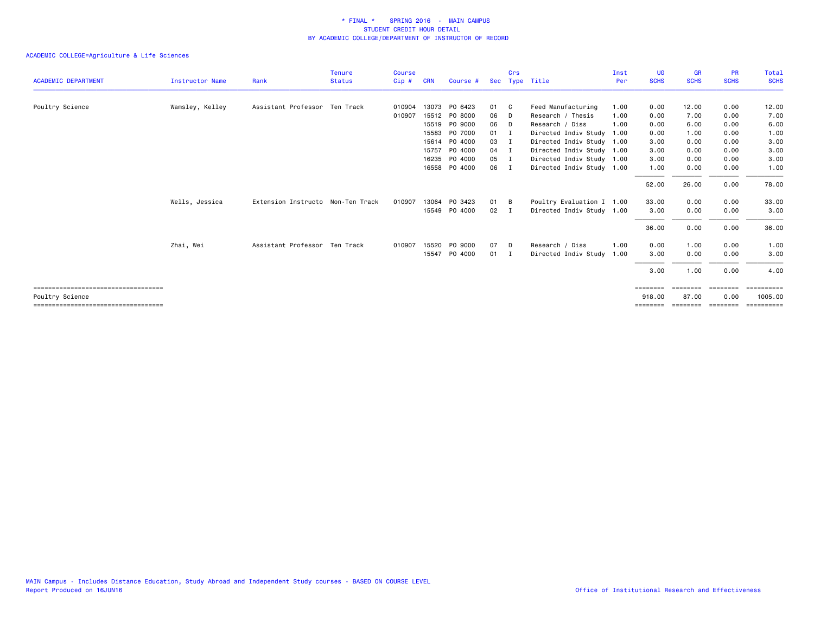|                                       |                 |                                   | <b>Tenure</b> | <b>Course</b> |            |               |              | Crs            |                           | Inst | UG          | <b>GR</b>   | <b>PR</b>   | Total          |
|---------------------------------------|-----------------|-----------------------------------|---------------|---------------|------------|---------------|--------------|----------------|---------------------------|------|-------------|-------------|-------------|----------------|
| <b>ACADEMIC DEPARTMENT</b>            | Instructor Name | Rank                              | <b>Status</b> | Cip#          | <b>CRN</b> | Course #      | Sec          | Type           | Title                     | Per  | <b>SCHS</b> | <b>SCHS</b> | <b>SCHS</b> | <b>SCHS</b>    |
| Poultry Science                       | Wamsley, Kelley | Assistant Professor Ten Track     |               | 010904        |            | 13073 PO 6423 | 01 C         |                | Feed Manufacturing        | 1.00 | 0.00        | 12.00       | 0.00        | 12.00          |
|                                       |                 |                                   |               | 010907        |            | 15512 PO 8000 | 06           | D              | Research / Thesis         | 1.00 | 0.00        | 7.00        | 0.00        | 7.00           |
|                                       |                 |                                   |               |               |            | 15519 PO 9000 | 06           | D              | Research / Diss           | 1.00 | 0.00        | 6.00        | 0.00        | 6.00           |
|                                       |                 |                                   |               |               | 15583      | PO 7000       | $01 \quad I$ |                | Directed Indiv Study      | 1.00 | 0.00        | 1.00        | 0.00        | 1.00           |
|                                       |                 |                                   |               |               |            | 15614 PO 4000 | 03           | $\blacksquare$ | Directed Indiv Study 1.00 |      | 3.00        | 0.00        | 0.00        | 3.00           |
|                                       |                 |                                   |               |               |            | 15757 PO 4000 | $04$ I       |                | Directed Indiv Study 1.00 |      | 3.00        | 0.00        | 0.00        | 3.00           |
|                                       |                 |                                   |               |               | 16235      | PO 4000       | 05           | $\blacksquare$ | Directed Indiv Study 1.00 |      | 3.00        | 0.00        | 0.00        | 3.00           |
|                                       |                 |                                   |               |               |            | 16558 PO 4000 | 06           | $\mathbf I$    | Directed Indiv Study 1.00 |      | 1.00        | 0.00        | 0.00        | 1.00           |
|                                       |                 |                                   |               |               |            |               |              |                |                           |      | 52.00       | 26.00       | 0.00        | 78.00          |
|                                       | Wells, Jessica  | Extension Instructo Non-Ten Track |               | 010907        | 13064      | PO 3423       | 01 B         |                | Poultry Evaluation I 1.00 |      | 33.00       | 0.00        | 0.00        | 33.00          |
|                                       |                 |                                   |               |               |            | 15549 PO 4000 | 02           | $\mathbf{I}$   | Directed Indiv Study 1.00 |      | 3.00        | 0.00        | 0.00        | 3.00           |
|                                       |                 |                                   |               |               |            |               |              |                |                           |      | 36.00       | 0.00        | 0.00        | 36.00          |
|                                       | Zhai, Wei       | Assistant Professor Ten Track     |               | 010907        |            | 15520 PO 9000 | 07           | D              | Research / Diss           | 1.00 | 0.00        | 1.00        | 0.00        | 1.00           |
|                                       |                 |                                   |               |               |            | 15547 PO 4000 | $01 \quad I$ |                | Directed Indiv Study      | 1.00 | 3.00        | 0.00        | 0.00        | 3.00           |
|                                       |                 |                                   |               |               |            |               |              |                |                           |      | 3.00        | 1.00        | 0.00        | 4.00           |
| ===================================== |                 |                                   |               |               |            |               |              |                |                           |      | ========    | ========    | ========    | ==========     |
| Poultry Science                       |                 |                                   |               |               |            |               |              |                |                           |      | 918.00      | 87.00       | 0.00        | 1005.00        |
| ===================================== |                 |                                   |               |               |            |               |              |                |                           |      | ========    | ========    | ========    | $=$ ========== |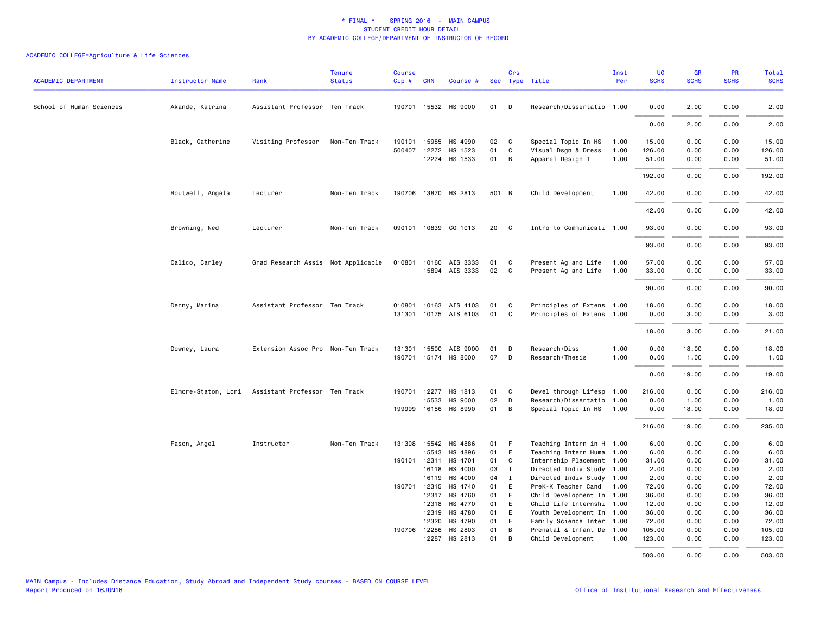| <b>ACADEMIC DEPARTMENT</b> | Instructor Name     | Rank                               | <b>Tenure</b><br><b>Status</b> | <b>Course</b><br>Cip# | <b>CRN</b>            | Course #              |          | Crs            | Sec Type Title                                 | Inst<br>Per | <b>UG</b><br><b>SCHS</b> | <b>GR</b><br><b>SCHS</b> | PR<br><b>SCHS</b> | Total<br><b>SCHS</b> |
|----------------------------|---------------------|------------------------------------|--------------------------------|-----------------------|-----------------------|-----------------------|----------|----------------|------------------------------------------------|-------------|--------------------------|--------------------------|-------------------|----------------------|
| School of Human Sciences   | Akande, Katrina     | Assistant Professor Ten Track      |                                |                       |                       | 190701 15532 HS 9000  | 01       | D              | Research/Dissertatio 1.00                      |             | 0.00                     | 2.00                     | 0.00              | 2.00                 |
|                            |                     |                                    |                                |                       |                       |                       |          |                |                                                |             | 0.00                     | 2.00                     | 0.00              | 2.00                 |
|                            | Black, Catherine    | Visiting Professor                 | Non-Ten Track                  |                       |                       | 190101 15985 HS 4990  | 02       | C              | Special Topic In HS                            | 1.00        | 15.00                    | 0.00                     | 0.00              | 15.00                |
|                            |                     |                                    |                                |                       |                       | 500407 12272 HS 1523  | 01       | $\mathsf{C}$   | Visual Dsgn & Dress                            | 1.00        | 126.00                   | 0.00                     | 0.00              | 126.00               |
|                            |                     |                                    |                                |                       |                       | 12274 HS 1533         | 01       | B              | Apparel Design I                               | 1.00        | 51.00                    | 0.00                     | 0.00              | 51.00                |
|                            |                     |                                    |                                |                       |                       |                       |          |                |                                                |             | 192.00                   | 0.00                     | 0.00              | 192.00               |
|                            | Boutwell, Angela    | Lecturer                           | Non-Ten Track                  |                       |                       | 190706 13870 HS 2813  | 501 B    |                | Child Development                              | 1.00        | 42.00                    | 0.00                     | 0.00              | 42.00                |
|                            |                     |                                    |                                |                       |                       |                       |          |                |                                                |             | 42.00                    | 0.00                     | 0.00              | 42.00                |
|                            | Browning, Ned       | Lecturer                           | Non-Ten Track                  |                       |                       | 090101 10839 CO 1013  | 20       | C              | Intro to Communicati 1.00                      |             | 93.00                    | 0.00                     | 0.00              | 93.00                |
|                            |                     |                                    |                                |                       |                       |                       |          |                |                                                |             | 93.00                    | 0.00                     | 0.00              | 93.00                |
|                            | Calico, Carley      | Grad Research Assis Not Applicable |                                | 010801                | 10160                 | AIS 3333              | 01       | C              | Present Ag and Life                            | 1.00        | 57.00                    | 0.00                     | 0.00              | 57.00                |
|                            |                     |                                    |                                |                       |                       | 15894 AIS 3333        | 02       | C <sub>c</sub> | Present Ag and Life                            | 1.00        | 33.00                    | 0.00                     | 0.00              | 33.00                |
|                            |                     |                                    |                                |                       |                       |                       |          |                |                                                |             |                          |                          |                   |                      |
|                            |                     |                                    |                                |                       |                       |                       |          |                |                                                |             | 90.00                    | 0.00                     | 0.00              | 90.00                |
|                            | Denny, Marina       | Assistant Professor Ten Track      |                                | 010801                |                       | 10163 AIS 4103        | 01       | C              | Principles of Extens 1.00                      |             | 18.00                    | 0.00                     | 0.00              | 18.00                |
|                            |                     |                                    |                                |                       |                       | 131301 10175 AIS 6103 | 01       | C              | Principles of Extens 1.00                      |             | 0.00                     | 3.00                     | 0.00              | 3.00                 |
|                            |                     |                                    |                                |                       |                       |                       |          |                |                                                |             | 18.00                    | 3.00                     | 0.00              | 21.00                |
|                            |                     |                                    |                                |                       |                       |                       |          |                |                                                |             |                          |                          |                   |                      |
|                            | Downey, Laura       | Extension Assoc Pro Non-Ten Track  |                                |                       |                       | 131301 15500 AIS 9000 | 01       | D              | Research/Diss                                  | 1.00        | 0.00                     | 18.00                    | 0.00              | 18.00                |
|                            |                     |                                    |                                |                       |                       | 190701 15174 HS 8000  | 07       | D              | Research/Thesis                                | 1.00        | 0.00                     | 1.00                     | 0.00              | 1.00                 |
|                            |                     |                                    |                                |                       |                       |                       |          |                |                                                |             | 0.00                     | 19.00                    | 0.00              | 19.00                |
|                            | Elmore-Staton, Lori | Assistant Professor Ten Track      |                                |                       |                       | 190701 12277 HS 1813  | 01       | C              | Devel through Lifesp 1.00                      |             | 216.00                   | 0.00                     | 0.00              | 216.00               |
|                            |                     |                                    |                                |                       | 15533                 | HS 9000               | 02       | D              | Research/Dissertatio                           | 1.00        | 0.00                     | 1.00                     | 0.00              | 1.00                 |
|                            |                     |                                    |                                |                       |                       | 199999 16156 HS 8990  | 01       | B              | Special Topic In HS                            | 1.00        | 0.00                     | 18.00                    | 0.00              | 18.00                |
|                            |                     |                                    |                                |                       |                       |                       |          |                |                                                |             | 216.00                   | 19,00                    | 0.00              | 235.00               |
|                            | Fason, Angel        | Instructor                         | Non-Ten Track                  |                       |                       | 131308 15542 HS 4886  | 01       | - F            | Teaching Intern in H 1.00                      |             | 6.00                     | 0.00                     | 0.00              | 6.00                 |
|                            |                     |                                    |                                |                       | 15543                 | HS 4896               | 01       | - F            | Teaching Intern Huma 1.00                      |             | 6.00                     | 0.00                     | 0.00              | 6.00                 |
|                            |                     |                                    |                                |                       |                       | 190101 12311 HS 4701  | 01       | C              | Internship Placement 1.00                      |             | 31.00                    | 0.00                     | 0.00              | 31.00                |
|                            |                     |                                    |                                |                       |                       | 16118 HS 4000         | 03       | $\mathbf{I}$   | Directed Indiv Study 1.00                      |             | 2.00                     | 0.00                     | 0.00              | 2.00                 |
|                            |                     |                                    |                                |                       | 16119                 | HS 4000               | 04       | $\mathbf{I}$   | Directed Indiv Study 1.00                      |             | 2.00                     | 0.00                     | 0.00              | 2.00                 |
|                            |                     |                                    |                                | 190701                | 12315                 | HS 4740               | 01       | E              | PreK-K Teacher Cand                            | 1.00        | 72.00                    | 0.00                     | 0.00              | 72.00                |
|                            |                     |                                    |                                |                       |                       | 12317 HS 4760         | 01       | E              | Child Development In 1.00                      |             | 36.00                    | 0.00                     | 0.00              | 36.00                |
|                            |                     |                                    |                                |                       | 12318                 | HS 4770               | 01       | E              | Child Life Internshi 1.00                      |             | 12.00                    | 0.00                     | 0.00              | 12.00                |
|                            |                     |                                    |                                |                       | 12319                 | HS 4780               | 01       | E              | Youth Development In 1.00                      |             | 36.00                    | 0.00                     | 0.00              | 36.00                |
|                            |                     |                                    |                                |                       | 12320                 | HS 4790               | 01       | E              | Family Science Inter 1.00                      |             | 72.00                    | 0.00                     | 0.00              | 72.00                |
|                            |                     |                                    |                                |                       | 190706 12286<br>12287 | HS 2803<br>HS 2813    | 01<br>01 | B<br>B         | Prenatal & Infant De 1.00<br>Child Development | 1.00        | 105.00<br>123.00         | 0.00<br>0.00             | 0.00<br>0.00      | 105.00<br>123.00     |
|                            |                     |                                    |                                |                       |                       |                       |          |                |                                                |             | 503 00                   | 0.00                     | n nn              | 503.00               |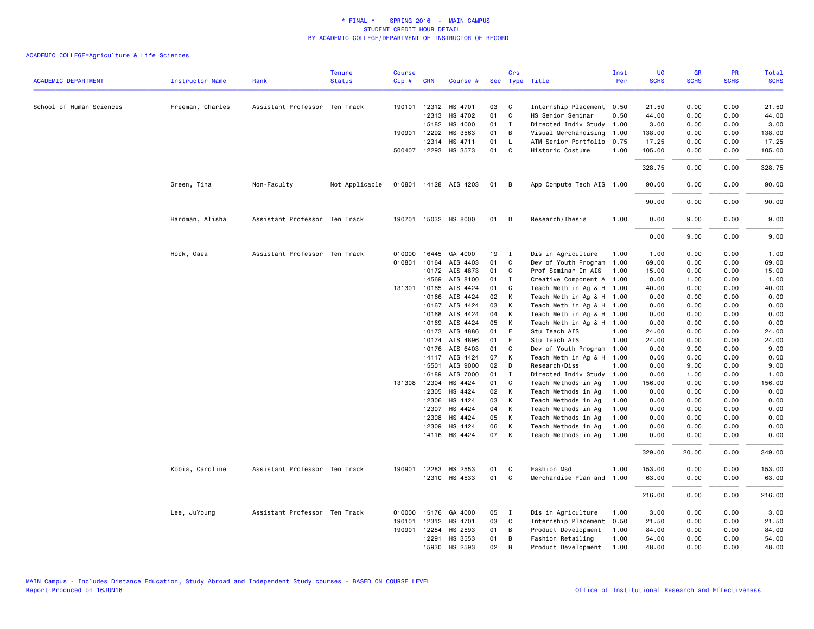|                            |                        |                               | <b>Tenure</b>  | Course |              |                                       |          | Crs          |                                                | Inst | <b>UG</b>      | <b>GR</b>    | <b>PR</b>    | Total          |
|----------------------------|------------------------|-------------------------------|----------------|--------|--------------|---------------------------------------|----------|--------------|------------------------------------------------|------|----------------|--------------|--------------|----------------|
| <b>ACADEMIC DEPARTMENT</b> | <b>Instructor Name</b> | Rank                          | <b>Status</b>  | Cip#   | <b>CRN</b>   | Course #                              |          |              | Sec Type Title                                 | Per  | <b>SCHS</b>    | <b>SCHS</b>  | <b>SCHS</b>  | <b>SCHS</b>    |
|                            |                        | Assistant Professor Ten Track |                |        |              |                                       |          | C            |                                                |      |                |              |              |                |
| School of Human Sciences   | Freeman, Charles       |                               |                |        |              | 190101 12312 HS 4701<br>12313 HS 4702 | 03<br>01 | C            | Internship Placement 0.50<br>HS Senior Seminar | 0.50 | 21.50<br>44.00 | 0.00<br>0.00 | 0.00<br>0.00 | 21.50<br>44.00 |
|                            |                        |                               |                |        |              |                                       |          |              |                                                |      |                |              |              |                |
|                            |                        |                               |                |        | 15182        | HS 4000                               | 01       | $\mathbf{I}$ | Directed Indiv Study                           | 1.00 | 3.00           | 0.00         | 0.00         | 3.00           |
|                            |                        |                               |                |        | 190901 12292 | HS 3563                               | 01       | В            | Visual Merchandising                           | 1.00 | 138.00         | 0.00         | 0.00         | 138.00         |
|                            |                        |                               |                |        | 12314        | HS 4711                               | 01       | $\mathsf{L}$ | ATM Senior Portfolio                           | 0.75 | 17.25          | 0.00         | 0.00         | 17.25          |
|                            |                        |                               |                |        |              | 500407 12293 HS 3573                  | 01       | C            | Historic Costume                               | 1.00 | 105.00         | 0.00         | 0.00         | 105.00         |
|                            |                        |                               |                |        |              |                                       |          |              |                                                |      | 328.75         | 0.00         | 0.00         | 328.75         |
|                            | Green, Tina            | Non-Faculty                   | Not Applicable |        |              | 010801 14128 AIS 4203                 | 01       | B            | App Compute Tech AIS 1.00                      |      | 90.00          | 0.00         | 0.00         | 90.00          |
|                            |                        |                               |                |        |              |                                       |          |              |                                                |      | 90.00          | 0.00         | 0.00         | 90.00          |
|                            | Hardman, Alisha        | Assistant Professor Ten Track |                |        |              | 190701 15032 HS 8000                  | 01       | D            | Research/Thesis                                | 1.00 | 0.00           | 9.00         | 0.00         | 9.00           |
|                            |                        |                               |                |        |              |                                       |          |              |                                                |      | 0.00           | 9.00         | 0.00         | 9.00           |
|                            | Hock, Gaea             | Assistant Professor Ten Track |                | 010000 | 16445        | GA 4000                               | 19       | $\mathbf{I}$ | Dis in Agriculture                             | 1.00 | 1.00           | 0.00         | 0.00         | 1.00           |
|                            |                        |                               |                | 010801 |              | 10164 AIS 4403                        | 01       | C            | Dev of Youth Program                           | 1.00 | 69.00          | 0.00         | 0.00         | 69.00          |
|                            |                        |                               |                |        | 10172        | AIS 4873                              | 01       | C            | Prof Seminar In AIS                            | 1.00 | 15.00          | 0.00         | 0.00         | 15.00          |
|                            |                        |                               |                |        | 14569        | AIS 8100                              | 01       | I            | Creative Component A                           | 1.00 | 0.00           | 1.00         | 0.00         | 1.00           |
|                            |                        |                               |                |        | 131301 10165 | AIS 4424                              | 01       | C            | Teach Meth in Ag & H 1.00                      |      | 40.00          | 0.00         | 0.00         | 40.00          |
|                            |                        |                               |                |        | 10166        | AIS 4424                              | 02       | К            | Teach Meth in Ag & H 1.00                      |      | 0.00           | 0.00         | 0.00         | 0.00           |
|                            |                        |                               |                |        | 10167        | AIS 4424                              | 03       | К            | Teach Meth in Ag & H 1.00                      |      | 0.00           | 0.00         | 0.00         | 0.00           |
|                            |                        |                               |                |        | 10168        | AIS 4424                              | 04       | К            | Teach Meth in Ag & H 1.00                      |      | 0.00           | 0.00         | 0.00         | 0.00           |
|                            |                        |                               |                |        | 10169        | AIS 4424                              | 05       | К            | Teach Meth in Ag & H 1.00                      |      | 0.00           | 0.00         | 0.00         | 0.00           |
|                            |                        |                               |                |        | 10173        | AIS 4886                              | 01       | F.           | Stu Teach AIS                                  | 1.00 | 24.00          | 0.00         | 0.00         | 24.00          |
|                            |                        |                               |                |        | 10174        | AIS 4896                              | 01       | F            | Stu Teach AIS                                  | 1.00 | 24.00          | 0.00         | 0.00         | 24.00          |
|                            |                        |                               |                |        | 10176        | AIS 6403                              | 01       | C            | Dev of Youth Program                           | 1.00 | 0.00           | 9.00         | 0.00         | 9.00           |
|                            |                        |                               |                |        |              | 14117 AIS 4424                        | 07       | К            | Teach Meth in Ag & H 1.00                      |      | 0.00           | 0.00         | 0.00         | 0.00           |
|                            |                        |                               |                |        | 15501        | AIS 9000                              | 02       | D            | Research/Diss                                  | 1.00 | 0.00           | 9.00         | 0.00         | 9.00           |
|                            |                        |                               |                |        | 16189        | AIS 7000                              | 01       | $\mathbf{I}$ | Directed Indiv Study                           | 1.00 | 0.00           | 1.00         | 0.00         | 1.00           |
|                            |                        |                               |                |        | 131308 12304 | HS 4424                               | 01       | C            | Teach Methods in Ag                            | 1.00 | 156.00         | 0.00         | 0.00         | 156.00         |
|                            |                        |                               |                |        | 12305        | HS 4424                               | 02       | К            | Teach Methods in Ag                            | 1.00 | 0.00           | 0.00         | 0.00         | 0.00           |
|                            |                        |                               |                |        | 12306        | HS 4424                               | 03       | К            | Teach Methods in Ag                            | 1.00 | 0.00           | 0.00         | 0.00         | 0.00           |
|                            |                        |                               |                |        | 12307        | HS 4424                               | 04       | К            | Teach Methods in Ag                            | 1.00 | 0.00           | 0.00         | 0.00         | 0.00           |
|                            |                        |                               |                |        | 12308        | HS 4424                               | 05       | К            | Teach Methods in Ag                            | 1.00 | 0.00           | 0.00         | 0.00         | 0.00           |
|                            |                        |                               |                |        | 12309        | HS 4424                               | 06       | К            | Teach Methods in Ag                            | 1.00 | 0.00           | 0.00         | 0.00         | 0.00           |
|                            |                        |                               |                |        |              | 14116 HS 4424                         | 07       | K            | Teach Methods in Ag                            | 1.00 | 0.00           | 0.00         | 0.00         | 0.00           |
|                            |                        |                               |                |        |              |                                       |          |              |                                                |      | 329.00         | 20.00        | 0.00         | 349.00         |
|                            | Kobia, Caroline        | Assistant Professor Ten Track |                | 190901 | 12283        | HS 2553                               | 01       | C            | Fashion Msd                                    | 1.00 | 153.00         | 0.00         | 0.00         | 153.00         |
|                            |                        |                               |                |        |              | 12310 HS 4533                         | 01       | C            | Merchandise Plan and                           | 1.00 | 63.00          | 0.00         | 0.00         | 63.00          |
|                            |                        |                               |                |        |              |                                       |          |              |                                                |      | 216.00         | 0.00         | 0.00         | 216.00         |
|                            | Lee, JuYoung           | Assistant Professor Ten Track |                |        |              | 010000 15176 GA 4000                  | 05       | $\mathbf{I}$ | Dis in Agriculture                             | 1.00 | 3.00           | 0.00         | 0.00         | 3.00           |
|                            |                        |                               |                | 190101 | 12312        | HS 4701                               | 03       | C            | Internship Placement                           | 0.50 | 21.50          | 0.00         | 0.00         | 21.50          |
|                            |                        |                               |                | 190901 | 12284        | HS 2593                               | 01       | В            | Product Development                            | 1.00 | 84.00          | 0.00         | 0.00         | 84.00          |
|                            |                        |                               |                |        | 12291        | HS 3553                               | 01       | B            | Fashion Retailing                              | 1.00 | 54.00          | 0.00         | 0.00         | 54.00          |
|                            |                        |                               |                |        | 15930        | HS 2593                               | 02       | B            | Product Development                            | 1.00 | 48.00          | 0.00         | 0.00         | 48.00          |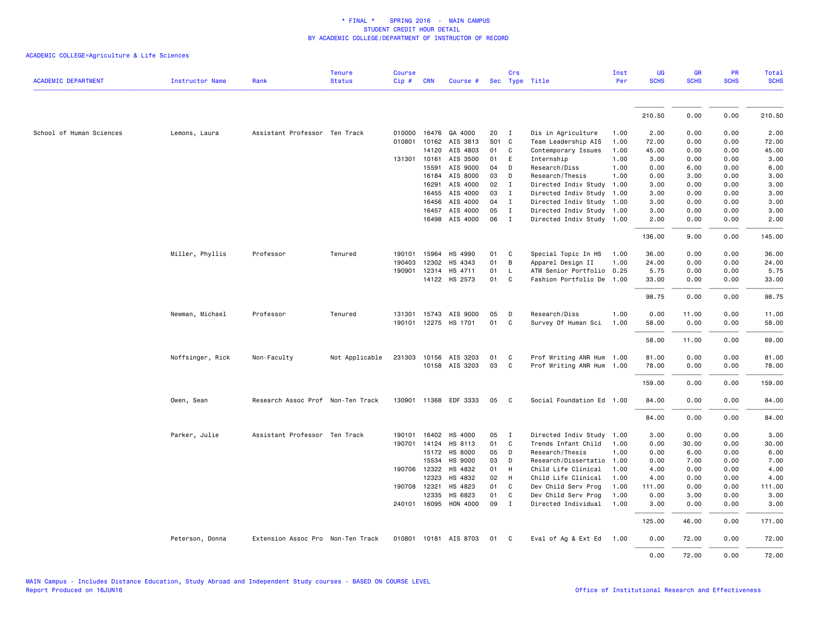# ACADEMIC COLLEGE=Agriculture & Life Sciences

| <b>ACADEMIC DEPARTMENT</b> | <b>Instructor Name</b> | Rank                              | <b>Tenure</b><br><b>Status</b> | <b>Course</b><br>Cip# | <b>CRN</b>   | Course #              |    | Crs          | Sec Type Title            | Inst<br>Per | <b>UG</b><br><b>SCHS</b> | <b>GR</b><br><b>SCHS</b> | <b>PR</b><br><b>SCHS</b> | Total<br><b>SCHS</b> |
|----------------------------|------------------------|-----------------------------------|--------------------------------|-----------------------|--------------|-----------------------|----|--------------|---------------------------|-------------|--------------------------|--------------------------|--------------------------|----------------------|
|                            |                        |                                   |                                |                       |              |                       |    |              |                           |             |                          |                          |                          |                      |
|                            |                        |                                   |                                |                       |              |                       |    |              |                           |             | 210.50                   | 0.00                     | 0.00                     | 210.50               |
|                            |                        |                                   |                                |                       |              |                       |    |              |                           |             |                          |                          |                          |                      |
| School of Human Sciences   | Lemons, Laura          | Assistant Professor Ten Track     |                                |                       |              | 010000 16476 GA 4000  | 20 | $\mathbf{I}$ | Dis in Agriculture        | 1.00        | 2.00                     | 0.00                     | 0.00                     | 2.00                 |
|                            |                        |                                   |                                | 010801                | 10162        | AIS 3813              |    | S01 C        | Team Leadership AIS       | 1.00        | 72.00                    | 0.00                     | 0.00                     | 72.00                |
|                            |                        |                                   |                                |                       | 14120        | AIS 4803              | 01 | C            | Contemporary Issues       | 1.00        | 45.00                    | 0.00                     | 0.00                     | 45.00                |
|                            |                        |                                   |                                | 131301                | 10161        | AIS 3500              | 01 | E            | Internship                | 1.00        | 3.00                     | 0.00                     | 0.00                     | 3.00                 |
|                            |                        |                                   |                                |                       | 15591        | AIS 9000              | 04 | D            | Research/Diss             | 1.00        | 0.00                     | 6.00                     | 0.00                     | 6.00                 |
|                            |                        |                                   |                                |                       | 16184        | AIS 8000              | 03 | D            | Research/Thesis           | 1.00        | 0.00                     | 3.00                     | 0.00                     | 3.00                 |
|                            |                        |                                   |                                |                       | 16291        | AIS 4000              | 02 | $\mathbf{I}$ | Directed Indiv Study      | 1.00        | 3.00                     | 0.00                     | 0.00                     | 3.00                 |
|                            |                        |                                   |                                |                       | 16455        | AIS 4000              | 03 | $\mathbf{I}$ | Directed Indiv Study      | 1.00        | 3.00                     | 0.00                     | 0.00                     | 3.00                 |
|                            |                        |                                   |                                |                       | 16456        | AIS 4000              | 04 | $\mathbf{I}$ | Directed Indiv Study 1.00 |             | 3.00                     | 0.00                     | 0.00                     | 3.00                 |
|                            |                        |                                   |                                |                       | 16457        | AIS 4000              | 05 | $\mathbf{I}$ | Directed Indiv Study 1.00 |             | 3.00                     | 0.00                     | 0.00                     | 3.00                 |
|                            |                        |                                   |                                |                       |              | 16498 AIS 4000        | 06 | $\mathbf{I}$ | Directed Indiv Study 1.00 |             | 2.00                     | 0.00                     | 0.00                     | 2.00                 |
|                            |                        |                                   |                                |                       |              |                       |    |              |                           |             | 136.00                   | 9.00                     | 0.00                     | 145.00               |
|                            | Miller, Phyllis        | Professor                         | Tenured                        | 190101                | 15964        | HS 4990               | 01 | C            | Special Topic In HS       | 1.00        | 36.00                    | 0.00                     | 0.00                     | 36.00                |
|                            |                        |                                   |                                | 190403                | 12302        | HS 4343               | 01 | B            | Apparel Design II         | 1.00        | 24.00                    | 0.00                     | 0.00                     | 24.00                |
|                            |                        |                                   |                                | 190901                | 12314        | HS 4711               | 01 | $\mathsf{L}$ | ATM Senior Portfolio 0.25 |             | 5.75                     | 0.00                     | 0.00                     | 5.75                 |
|                            |                        |                                   |                                |                       |              | 14122 HS 2573         | 01 | C            | Fashion Portfolio De 1.00 |             | 33.00                    | 0.00                     | 0.00                     | 33.00                |
|                            |                        |                                   |                                |                       |              |                       |    |              |                           |             | 98.75                    | 0.00                     | 0.00                     | 98.75                |
|                            | Newman, Michael        | Professor                         | Tenured                        | 131301                |              | 15743 AIS 9000        | 05 | D            | Research/Diss             | 1.00        | 0.00                     | 11.00                    | 0.00                     | 11.00                |
|                            |                        |                                   |                                |                       |              | 190101 12275 HS 1701  | 01 | C            | Survey Of Human Sci       | 1.00        | 58.00                    | 0.00                     | 0.00                     | 58.00                |
|                            |                        |                                   |                                |                       |              |                       |    |              |                           |             | 58.00                    | 11.00                    | 0.00                     | 69.00                |
|                            | Noffsinger, Rick       | Non-Faculty                       | Not Applicable                 | 231303                |              | 10156 AIS 3203        | 01 | C            | Prof Writing ANR Hum 1.00 |             | 81.00                    | 0.00                     | 0.00                     | 81.00                |
|                            |                        |                                   |                                |                       |              | 10158 AIS 3203        | 03 | C            | Prof Writing ANR Hum 1.00 |             | 78.00                    | 0.00                     | 0.00                     | 78.00                |
|                            |                        |                                   |                                |                       |              |                       |    |              |                           |             | 159.00                   | 0.00                     | 0.00                     | 159.00               |
|                            | Owen, Sean             | Research Assoc Prof Non-Ten Track |                                |                       |              | 130901 11368 EDF 3333 | 05 | C            | Social Foundation Ed 1.00 |             | 84.00                    | 0.00                     | 0.00                     | 84.00                |
|                            |                        |                                   |                                |                       |              |                       |    |              |                           |             | 84.00                    | 0.00                     | 0.00                     | 84.00                |
|                            | Parker, Julie          | Assistant Professor Ten Track     |                                | 190101                | 16402        | HS 4000               | 05 | $\mathbf{I}$ | Directed Indiv Study      | 1.00        | 3.00                     | 0.00                     | 0.00                     | 3.00                 |
|                            |                        |                                   |                                |                       |              | 190701 14124 HS 8113  | 01 | C            | Trends Infant Child       | 1.00        | 0.00                     | 30.00                    | 0.00                     | 30.00                |
|                            |                        |                                   |                                |                       | 15172        | HS 8000               | 05 | D            | Research/Thesis           | 1.00        | 0.00                     | 6.00                     | 0.00                     | 6.00                 |
|                            |                        |                                   |                                |                       | 15534        | HS 9000               | 03 | D            | Research/Dissertatio      | 1.00        | 0.00                     | 7.00                     | 0.00                     | 7.00                 |
|                            |                        |                                   |                                |                       | 190706 12322 | HS 4832               | 01 | H            | Child Life Clinical       | 1.00        | 4.00                     | 0.00                     | 0.00                     | 4.00                 |
|                            |                        |                                   |                                |                       | 12323        | HS 4832               | 02 | H            | Child Life Clinical       | 1.00        | 4.00                     | 0.00                     | 0.00                     | 4.00                 |
|                            |                        |                                   |                                |                       | 190708 12321 | HS 4823               | 01 | $\mathbf{C}$ | Dev Child Serv Prog       | 1.00        | 111.00                   | 0.00                     | 0.00                     | 111.00               |
|                            |                        |                                   |                                |                       | 12335        | HS 6823               | 01 | C            | Dev Child Serv Prog       | 1.00        | 0.00                     | 3.00                     | 0.00                     | 3.00                 |
|                            |                        |                                   |                                |                       |              | 240101 16095 HON 4000 | 09 | $\mathbf{I}$ | Directed Individual       | 1.00        | 3.00                     | 0.00                     | 0.00                     | 3.00                 |
|                            |                        |                                   |                                |                       |              |                       |    |              |                           |             | 125.00                   | 46.00                    | 0.00                     | 171.00               |
|                            | Peterson, Donna        | Extension Assoc Pro Non-Ten Track |                                | 010801                |              | 10181 AIS 8703        | 01 | C.           | Eval of Ag & Ext Ed 1.00  |             | 0.00                     | 72.00                    | 0.00                     | 72.00                |
|                            |                        |                                   |                                |                       |              |                       |    |              |                           |             | 0.00                     | 72.00                    | 0.00                     | 72.00                |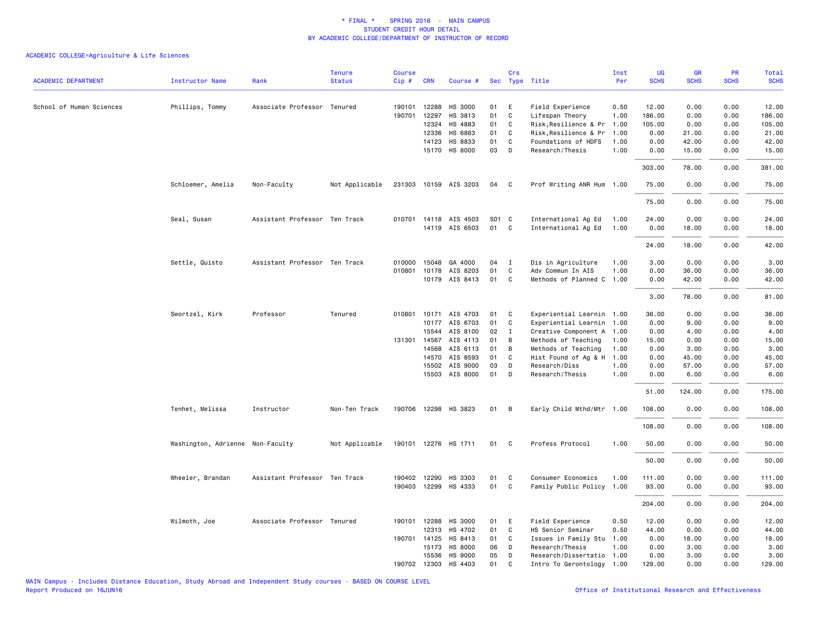# ACADEMIC COLLEGE=Agriculture & Life Sciences

|                            |                                  |                               | <b>Tenure</b>  | <b>Course</b> |              |                       |       | Crs            |                           | Inst | UG          | <b>GR</b>   | PR          | Total       |
|----------------------------|----------------------------------|-------------------------------|----------------|---------------|--------------|-----------------------|-------|----------------|---------------------------|------|-------------|-------------|-------------|-------------|
| <b>ACADEMIC DEPARTMENT</b> | <b>Instructor Name</b>           | Rank                          | <b>Status</b>  | Cip#          | <b>CRN</b>   | Course #              |       |                | Sec Type Title            | Per  | <b>SCHS</b> | <b>SCHS</b> | <b>SCHS</b> | <b>SCHS</b> |
| School of Human Sciences   | Phillips, Tommy                  | Associate Professor Tenured   |                |               | 190101 12288 | HS 3000               | 01    | E              | Field Experience          | 0.50 | 12.00       | 0.00        | 0.00        | 12.00       |
|                            |                                  |                               |                |               | 190701 12297 | HS 3813               | 01    | $\mathtt{C}$   | Lifespan Theory           | 1.00 | 186.00      | 0.00        | 0.00        | 186.00      |
|                            |                                  |                               |                |               | 12324        | HS 4883               | 01    | C              | Risk, Resilience & Pr     | 1.00 | 105.00      | 0.00        | 0.00        | 105.00      |
|                            |                                  |                               |                |               | 12336        | HS 6883               | 01    | C              | Risk, Resilience & Pr     | 1.00 | 0.00        | 21.00       | 0.00        | 21.00       |
|                            |                                  |                               |                |               | 14123        | HS 8833               | 01    | C              | Foundations of HDFS       | 1.00 | 0.00        | 42.00       | 0.00        | 42.00       |
|                            |                                  |                               |                |               |              | 15170 HS 8000         | 03    | D              | Research/Thesis           | 1.00 | 0.00        | 15.00       | 0.00        | 15.00       |
|                            |                                  |                               |                |               |              |                       |       |                |                           |      | 303.00      | 78.00       | 0.00        | 381.00      |
|                            | Schloemer, Amelia                | Non-Faculty                   | Not Applicable |               |              | 231303 10159 AIS 3203 | 04    | C.             | Prof Writing ANR Hum 1.00 |      | 75.00       | 0.00        | 0.00        | 75.00       |
|                            |                                  |                               |                |               |              |                       |       |                |                           |      | 75.00       | 0.00        | 0.00        | 75.00       |
|                            | Seal, Susan                      | Assistant Professor Ten Track |                |               |              | 010701 14118 AIS 4503 | S01 C |                | International Ag Ed       | 1.00 | 24.00       | 0.00        | 0.00        | 24.00       |
|                            |                                  |                               |                |               |              | 14119 AIS 6503        | 01    | $\mathbf{C}$   | International Ag Ed       | 1.00 | 0.00        | 18.00       | 0.00        | 18.00       |
|                            |                                  |                               |                |               |              |                       |       |                |                           |      | 24.00       | 18.00       | 0.00        | 42.00       |
|                            | Settle, Quisto                   | Assistant Professor Ten Track |                |               | 010000 15048 | GA 4000               | 04    | $\mathbf I$    | Dis in Agriculture        | 1.00 | 3.00        | 0.00        | 0.00        | 3.00        |
|                            |                                  |                               |                |               | 010801 10178 | AIS 8203              | 01    | $\mathtt{C}$   | Adv Commun In AIS         | 1.00 | 0.00        | 36.00       | 0.00        | 36.00       |
|                            |                                  |                               |                |               | 10179        | AIS 8413              | 01    | C              | Methods of Planned C      | 1.00 | 0.00        | 42.00       | 0.00        | 42.00       |
|                            |                                  |                               |                |               |              |                       |       |                |                           |      | 3.00        | 78.00       | 0.00        | 81.00       |
|                            | Swortzel, Kirk                   | Professor                     | Tenured        |               |              | 010801 10171 AIS 4703 | 01    | C              | Experiential Learnin 1.00 |      | 36.00       | 0.00        | 0.00        | 36.00       |
|                            |                                  |                               |                |               |              | 10177 AIS 6703        | 01    | C              | Experiential Learnin 1.00 |      | 0.00        | 9.00        | 0.00        | 9.00        |
|                            |                                  |                               |                |               | 15544        | AIS 8100              | 02    | $\mathbf I$    | Creative Component A 1.00 |      | 0.00        | 4.00        | 0.00        | 4.00        |
|                            |                                  |                               |                |               | 131301 14567 | AIS 4113              | 01    | B              | Methods of Teaching       | 1.00 | 15.00       | 0.00        | 0.00        | 15.00       |
|                            |                                  |                               |                |               | 14568        | AIS 6113              | 01    | B              | Methods of Teaching       | 1.00 | 0.00        | 3.00        | 0.00        | 3.00        |
|                            |                                  |                               |                |               | 14570        | AIS 8593              | 01    | C              | Hist Found of Ag & H      | 1.00 | 0.00        | 45.00       | 0.00        | 45.00       |
|                            |                                  |                               |                |               | 15502        | AIS 9000              | 03    | D              | Research/Diss             | 1.00 | 0.00        | 57.00       | 0.00        | 57.00       |
|                            |                                  |                               |                |               | 15503        | AIS 8000              | 01    | D              | Research/Thesis           | 1.00 | 0.00        | 6.00        | 0.00        | 6.00        |
|                            |                                  |                               |                |               |              |                       |       |                |                           |      | 51.00       | 124.00      | 0.00        | 175.00      |
|                            | Tenhet, Melissa                  | Instructor                    | Non-Ten Track  |               |              | 190706 12298 HS 3823  | 01    | $\overline{B}$ | Early Child Mthd/Mtr 1.00 |      | 108,00      | 0.00        | 0.00        | 108.00      |
|                            |                                  |                               |                |               |              |                       |       |                |                           |      | 108.00      | 0.00        | 0.00        | 108.00      |
|                            | Washington, Adrienne Non-Faculty |                               | Not Applicable |               |              | 190101 12276 HS 1711  | 01    | $\mathbf{C}$   | Profess Protocol          | 1.00 | 50.00       | 0.00        | 0.00        | 50.00       |
|                            |                                  |                               |                |               |              |                       |       |                |                           |      | 50.00       | 0.00        | 0.00        | 50.00       |
|                            | Wheeler, Brandan                 | Assistant Professor Ten Track |                |               |              | 190402 12290 HS 3303  | 01    | C              | Consumer Economics        | 1.00 | 111.00      | 0.00        | 0.00        | 111.00      |
|                            |                                  |                               |                |               | 190403 12299 | HS 4333               | 01    | C              | Family Public Policy 1.00 |      | 93.00       | 0.00        | 0.00        | 93.00       |
|                            |                                  |                               |                |               |              |                       |       |                |                           |      | 204.00      | 0.00        | 0.00        | 204.00      |
|                            | Wilmoth, Joe                     | Associate Professor Tenured   |                |               | 190101 12288 | HS 3000               | 01    | E              | Field Experience          | 0.50 | 12.00       | 0.00        | 0.00        | 12.00       |
|                            |                                  |                               |                |               | 12313        | HS 4702               | 01    | C              | HS Senior Seminar         | 0.50 | 44.00       | 0.00        | 0.00        | 44.00       |
|                            |                                  |                               |                |               | 190701 14125 | HS 8413               | 01    | C              | Issues in Family Stu      | 1.00 | 0.00        | 18.00       | 0.00        | 18.00       |
|                            |                                  |                               |                |               | 15173        | HS 8000               | 06    | D              | Research/Thesis           | 1.00 | 0.00        | 3.00        | 0.00        | 3.00        |
|                            |                                  |                               |                |               | 15536        | HS 9000               | 05    | D              | Research/Dissertatio 1.00 |      | 0.00        | 3.00        | 0.00        | 3.00        |
|                            |                                  |                               |                | 190702        | 12303        | HS 4403               | 01    | C              | Intro To Gerontology 1.00 |      | 129.00      | 0.00        | 0.00        | 129.00      |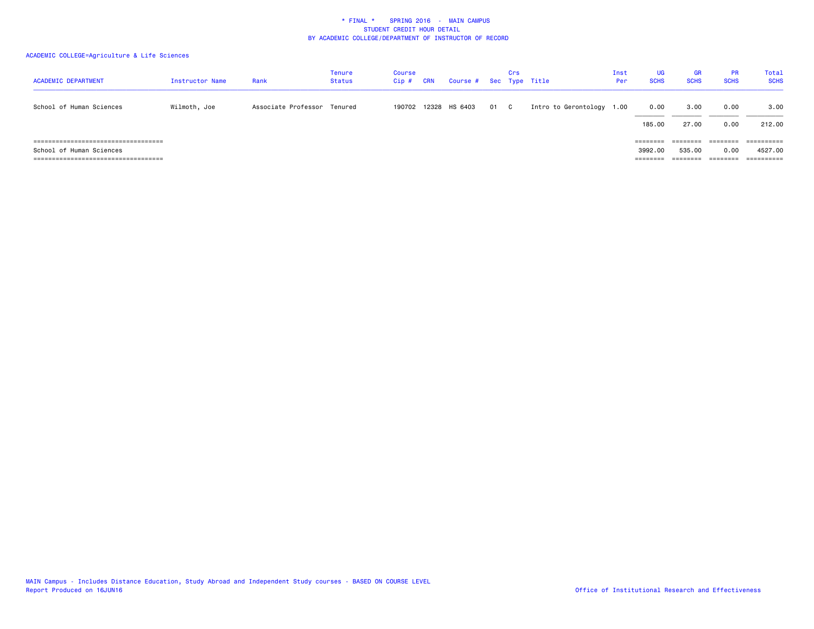# ACADEMIC COLLEGE=Agriculture & Life Sciences

| <b>ACADEMIC DEPARTMENT</b>                                         | Instructor Name | Rank                | Tenure<br><b>Status</b> | Course<br>Cip# | <b>CRN</b> | Course # Sec Type Title |    | Crs          |                           | Inst<br>Per | UG<br><b>SCHS</b>               | <b>GR</b><br><b>SCHS</b>       | <b>PR</b><br><b>SCHS</b>     | Total<br><b>SCHS</b>                              |
|--------------------------------------------------------------------|-----------------|---------------------|-------------------------|----------------|------------|-------------------------|----|--------------|---------------------------|-------------|---------------------------------|--------------------------------|------------------------------|---------------------------------------------------|
| School of Human Sciences                                           | Wilmoth, Joe    | Associate Professor | Tenured                 |                |            | 190702 12328 HS 6403    | 01 | $\mathbf{C}$ | Intro to Gerontology 1.00 |             | 0.00<br>185,00                  | 3,00<br>27,00                  | 0.00<br>0.00                 | 3.00<br>212,00                                    |
| ======================================<br>School of Human Sciences |                 |                     |                         |                |            |                         |    |              |                           |             | ========<br>3992.00<br>======== | ========<br>535.00<br>======== | ========<br>0.00<br>======== | $=$ =========<br>4527.00<br>$=$ = = = = = = = = = |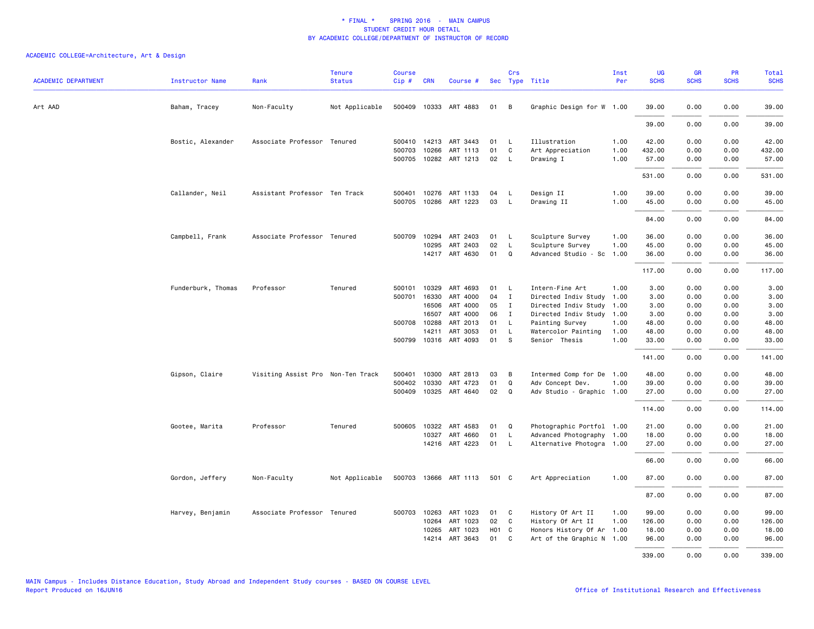| <b>ACADEMIC DEPARTMENT</b> | <b>Instructor Name</b> | Rank                              | <b>Tenure</b><br><b>Status</b> | <b>Course</b><br>$Cip \#$ | <b>CRN</b>   | Course #              |       | Crs            | Sec Type Title            | Inst<br>Per | UG<br><b>SCHS</b> | GR<br><b>SCHS</b> | PR<br><b>SCHS</b> | Total<br><b>SCHS</b> |
|----------------------------|------------------------|-----------------------------------|--------------------------------|---------------------------|--------------|-----------------------|-------|----------------|---------------------------|-------------|-------------------|-------------------|-------------------|----------------------|
| Art AAD                    | Baham, Tracey          | Non-Faculty                       | Not Applicable                 |                           |              | 500409 10333 ART 4883 | 01    | $\overline{B}$ | Graphic Design for W 1.00 |             | 39.00             | 0.00              | 0.00              | 39.00                |
|                            |                        |                                   |                                |                           |              |                       |       |                |                           |             | 39.00             | 0.00              | 0.00              | 39.00                |
|                            | Bostic, Alexander      | Associate Professor Tenured       |                                |                           |              | 500410 14213 ART 3443 | 01    | $\mathsf{L}$   | Illustration              | 1.00        | 42.00             | 0.00              | 0.00              | 42.00                |
|                            |                        |                                   |                                | 500703                    | 10266        | ART 1113              | 01    | C              | Art Appreciation          | 1.00        | 432.00            | 0.00              | 0.00              | 432.00               |
|                            |                        |                                   |                                |                           |              | 500705 10282 ART 1213 | 02    | L.             | Drawing I                 | 1.00        | 57.00             | 0.00              | 0.00              | 57.00                |
|                            |                        |                                   |                                |                           |              |                       |       |                |                           |             | 531.00            | 0.00              | 0.00              | 531.00               |
|                            | Callander, Neil        | Assistant Professor Ten Track     |                                | 500401                    |              | 10276 ART 1133        | 04    | <b>L</b>       | Design II                 | 1.00        | 39.00             | 0.00              | 0.00              | 39.00                |
|                            |                        |                                   |                                | 500705                    |              | 10286 ART 1223        | 03    | $\mathsf{L}$   | Drawing II                | 1.00        | 45.00             | 0.00              | 0.00              | 45.00                |
|                            |                        |                                   |                                |                           |              |                       |       |                |                           |             | 84.00             | 0.00              | 0.00              | 84.00                |
|                            | Campbell, Frank        | Associate Professor Tenured       |                                | 500709                    | 10294        | ART 2403              | 01    | $\mathsf{L}$   | Sculpture Survey          | 1.00        | 36.00             | 0.00              | 0.00              | 36.00                |
|                            |                        |                                   |                                |                           | 10295        | ART 2403              | 02    | L              | Sculpture Survey          | 1.00        | 45.00             | 0.00              | 0.00              | 45.00                |
|                            |                        |                                   |                                |                           |              | 14217 ART 4630        | 01    | $\mathbf Q$    | Advanced Studio - Sc      | 1.00        | 36.00             | 0.00              | 0.00              | 36.00                |
|                            |                        |                                   |                                |                           |              |                       |       |                |                           |             | 117.00            | 0.00              | 0.00              | 117.00               |
|                            | Funderburk, Thomas     | Professor                         | Tenured                        | 500101                    | 10329        | ART 4693              | 01    | L              | Intern-Fine Art           | 1.00        | 3.00              | 0.00              | 0.00              | 3.00                 |
|                            |                        |                                   |                                | 500701                    | 16330        | ART 4000              | 04    | $\mathbf I$    | Directed Indiv Study      | 1.00        | 3.00              | 0.00              | 0.00              | 3.00                 |
|                            |                        |                                   |                                |                           | 16506        | ART 4000              | 05    | I              | Directed Indiv Study      | 1.00        | 3.00              | 0.00              | 0.00              | 3.00                 |
|                            |                        |                                   |                                |                           | 16507        | ART 4000              | 06    | $\mathbf{I}$   | Directed Indiv Study 1.00 |             | 3.00              | 0.00              | 0.00              | 3.00                 |
|                            |                        |                                   |                                |                           | 500708 10288 | ART 2013              | 01    | $\mathsf{L}$   | Painting Survey           | 1.00        | 48.00             | 0.00              | 0.00              | 48.00                |
|                            |                        |                                   |                                |                           | 14211        | ART 3053              | 01    | $\mathsf{L}$   | Watercolor Painting       | 1.00        | 48.00             | 0.00              | 0.00              | 48.00                |
|                            |                        |                                   |                                | 500799                    |              | 10316 ART 4093        | 01    | <b>S</b>       | Senior Thesis             | 1.00        | 33.00             | 0.00              | 0.00              | 33.00                |
|                            |                        |                                   |                                |                           |              |                       |       |                |                           |             | 141.00            | 0.00              | 0.00              | 141.00               |
|                            | Gipson, Claire         | Visiting Assist Pro Non-Ten Track |                                | 500401                    | 10300        | ART 2813              | 03    | В              | Intermed Comp for De 1.00 |             | 48.00             | 0.00              | 0.00              | 48.00                |
|                            |                        |                                   |                                | 500402                    | 10330        | ART 4723              | 01    | Q              | Adv Concept Dev.          | 1.00        | 39.00             | 0.00              | 0.00              | 39.00                |
|                            |                        |                                   |                                | 500409                    |              | 10325 ART 4640        | 02    | Q              | Adv Studio - Graphic 1.00 |             | 27.00             | 0.00              | 0.00              | 27.00                |
|                            |                        |                                   |                                |                           |              |                       |       |                |                           |             | 114.00            | 0.00              | 0.00              | 114.00               |
|                            | Gootee, Marita         | Professor                         | Tenured                        | 500605                    | 10322        | ART 4583              | 01    | Q              | Photographic Portfol 1.00 |             | 21.00             | 0.00              | 0.00              | 21.00                |
|                            |                        |                                   |                                |                           | 10327        | ART 4660              | 01    | $\mathsf{L}$   | Advanced Photography 1.00 |             | 18.00             | 0.00              | 0.00              | 18.00                |
|                            |                        |                                   |                                |                           |              | 14216 ART 4223        | 01 L  |                | Alternative Photogra 1.00 |             | 27.00             | 0.00              | 0.00              | 27.00                |
|                            |                        |                                   |                                |                           |              |                       |       |                |                           |             | 66.00             | 0.00              | 0.00              | 66.00                |
|                            | Gordon, Jeffery        | Non-Faculty                       | Not Applicable                 |                           |              | 500703 13666 ART 1113 | 501 C |                | Art Appreciation          | 1.00        | 87.00             | 0.00              | 0.00              | 87.00                |
|                            |                        |                                   |                                |                           |              |                       |       |                |                           |             | 87.00             | 0.00              | 0.00              | 87.00                |
|                            | Harvey, Benjamin       | Associate Professor Tenured       |                                | 500703                    | 10263        | ART 1023              | 01    | C              | History Of Art II         | 1.00        | 99.00             | 0.00              | 0.00              | 99.00                |
|                            |                        |                                   |                                |                           | 10264        | ART 1023              | 02    | C.             | History Of Art II         | 1.00        | 126.00            | 0.00              | 0.00              | 126.00               |
|                            |                        |                                   |                                |                           | 10265        | ART 1023              | H01 C |                | Honors History Of Ar      | 1.00        | 18.00             | 0.00              | 0.00              | 18.00                |
|                            |                        |                                   |                                |                           | 14214        | ART 3643              | 01    | C.             | Art of the Graphic N 1.00 |             | 96.00             | 0.00              | 0.00              | 96.00                |
|                            |                        |                                   |                                |                           |              |                       |       |                |                           |             | 339.00            | 0.00              | 0.00              | 339.00               |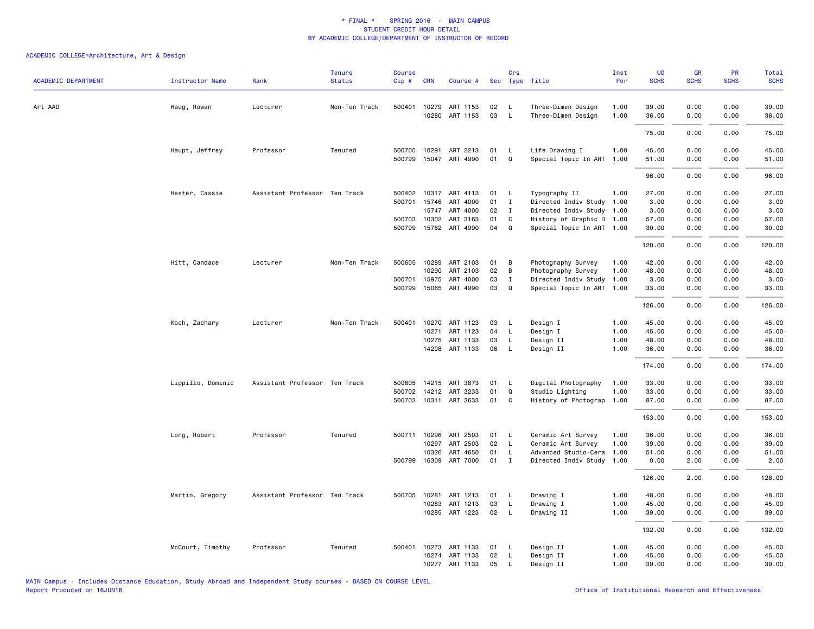| <b>ACADEMIC DEPARTMENT</b> | <b>Instructor Name</b> | Rank                          | <b>Tenure</b><br><b>Status</b> | <b>Course</b><br>Cip# | <b>CRN</b>   | Course #              |    | Crs          | Sec Type Title            | Inst<br>Per | <b>UG</b><br><b>SCHS</b> | GR<br><b>SCHS</b> | PR<br><b>SCHS</b> | <b>Total</b><br><b>SCHS</b> |
|----------------------------|------------------------|-------------------------------|--------------------------------|-----------------------|--------------|-----------------------|----|--------------|---------------------------|-------------|--------------------------|-------------------|-------------------|-----------------------------|
|                            |                        |                               |                                |                       |              |                       |    |              |                           |             |                          |                   |                   |                             |
| Art AAD                    | Haug, Rowan            | Lecturer                      | Non-Ten Track                  | 500401                | 10279        | ART 1153              | 02 | $\mathsf{L}$ | Three-Dimen Design        | 1.00        | 39.00                    | 0.00              | 0.00              | 39.00                       |
|                            |                        |                               |                                |                       | 10280        | ART 1153              | 03 | $\mathsf{L}$ | Three-Dimen Design        | 1.00        | 36.00                    | 0.00              | 0.00              | 36.00                       |
|                            |                        |                               |                                |                       |              |                       |    |              |                           |             | 75.00                    | 0.00              | 0.00              | 75.00                       |
|                            | Haupt, Jeffrey         | Professor                     | Tenured                        | 500705                |              | 10291 ART 2213        | 01 | L            | Life Drawing I            | 1.00        | 45.00                    | 0.00              | 0.00              | 45.00                       |
|                            |                        |                               |                                | 500799                |              | 15047 ART 4990        | 01 | Q            | Special Topic In ART      | 1.00        | 51.00                    | 0.00              | 0.00              | 51.00                       |
|                            |                        |                               |                                |                       |              |                       |    |              |                           |             | 96.00                    | 0.00              | 0.00              | 96.00                       |
|                            | Hester, Cassie         | Assistant Professor Ten Track |                                | 500402                |              | 10317 ART 4113        | 01 | $\mathsf{L}$ | Typography II             | 1.00        | 27.00                    | 0.00              | 0.00              | 27.00                       |
|                            |                        |                               |                                | 500701                | 15746        | ART 4000              | 01 | $\mathbf{I}$ | Directed Indiv Study      | 1.00        | 3.00                     | 0.00              | 0.00              | 3.00                        |
|                            |                        |                               |                                |                       |              | 15747 ART 4000        | 02 | $\mathbf{I}$ | Directed Indiv Study 1.00 |             | 3.00                     | 0.00              | 0.00              | 3.00                        |
|                            |                        |                               |                                |                       | 500703 10302 | ART 3163              | 01 | C            | History of Graphic D 1.00 |             | 57.00                    | 0.00              | 0.00              | 57.00                       |
|                            |                        |                               |                                |                       |              | 500799 15762 ART 4990 | 04 | Q            | Special Topic In ART 1.00 |             | 30.00                    | 0.00              | 0.00              | 30.00                       |
|                            |                        |                               |                                |                       |              |                       |    |              |                           |             | 120.00                   | 0.00              | 0.00              | 120.00                      |
|                            | Hitt, Candace          | Lecturer                      | Non-Ten Track                  |                       | 500605 10289 | ART 2103              | 01 | В            | Photography Survey        | 1.00        | 42.00                    | 0.00              | 0.00              | 42.00                       |
|                            |                        |                               |                                |                       | 10290        | ART 2103              | 02 | B            | Photography Survey        | 1.00        | 48.00                    | 0.00              | 0.00              | 48.00                       |
|                            |                        |                               |                                | 500701                | 15975        | ART 4000              | 03 | $\mathbf I$  | Directed Indiv Study      | 1.00        | 3.00                     | 0.00              | 0.00              | 3.00                        |
|                            |                        |                               |                                |                       | 500799 15065 | ART 4990              | 03 | Q            | Special Topic In ART 1.00 |             | 33.00                    | 0.00              | 0.00              | 33.00                       |
|                            |                        |                               |                                |                       |              |                       |    |              |                           |             | 126.00                   | 0.00              | 0.00              | 126.00                      |
|                            | Koch, Zachary          | Lecturer                      | Non-Ten Track                  | 500401                |              | 10270 ART 1123        | 03 | L            | Design I                  | 1.00        | 45.00                    | 0.00              | 0.00              | 45.00                       |
|                            |                        |                               |                                |                       |              | 10271 ART 1123        | 04 | $\mathsf{L}$ | Design I                  | 1.00        | 45.00                    | 0.00              | 0.00              | 45.00                       |
|                            |                        |                               |                                |                       | 10275        | ART 1133              | 03 | L            | Design II                 | 1.00        | 48.00                    | 0.00              | 0.00              | 48.00                       |
|                            |                        |                               |                                |                       |              | 14208 ART 1133        | 06 | L            | Design II                 | 1.00        | 36.00                    | 0.00              | 0.00              | 36.00                       |
|                            |                        |                               |                                |                       |              |                       |    |              |                           |             | 174.00                   | 0.00              | 0.00              | 174.00                      |
|                            | Lippillo, Dominic      | Assistant Professor Ten Track |                                |                       |              | 500605 14215 ART 3873 | 01 | L            | Digital Photography       | 1.00        | 33.00                    | 0.00              | 0.00              | 33.00                       |
|                            |                        |                               |                                |                       |              | 500702 14212 ART 3233 | 01 | $\Omega$     | Studio Lighting           | 1.00        | 33.00                    | 0.00              | 0.00              | 33.00                       |
|                            |                        |                               |                                | 500703                |              | 10311 ART 3633        | 01 | C            | History of Photograp      | 1.00        | 87.00                    | 0.00              | 0.00              | 87.00                       |
|                            |                        |                               |                                |                       |              |                       |    |              |                           |             | 153.00                   | 0.00              | 0.00              | 153.00                      |
|                            | Long, Robert           | Professor                     | Tenured                        |                       | 500711 10296 | ART 2503              | 01 | $\mathsf{L}$ | Ceramic Art Survey        | 1.00        | 36.00                    | 0.00              | 0.00              | 36.00                       |
|                            |                        |                               |                                |                       | 10297        | ART 2503              | 02 | L            | Ceramic Art Survey        | 1.00        | 39.00                    | 0.00              | 0.00              | 39.00                       |
|                            |                        |                               |                                |                       | 10326        | ART 4650              | 01 | L            | Advanced Studio-Cera      | 1.00        | 51.00                    | 0.00              | 0.00              | 51.00                       |
|                            |                        |                               |                                |                       | 500799 16309 | ART 7000              | 01 | $\mathbf{I}$ | Directed Indiv Study 1.00 |             | 0.00                     | 2.00              | 0.00              | 2.00                        |
|                            |                        |                               |                                |                       |              |                       |    |              |                           |             | 126.00                   | 2.00              | 0.00              | 128.00                      |
|                            | Martin, Gregory        | Assistant Professor Ten Track |                                | 500705                | 10281        | ART 1213              | 01 | L            | Drawing I                 | 1.00        | 48.00                    | 0.00              | 0.00              | 48.00                       |
|                            |                        |                               |                                |                       | 10283        | ART 1213              | 03 | L            | Drawing I                 | 1.00        | 45.00                    | 0.00              | 0.00              | 45.00                       |
|                            |                        |                               |                                |                       |              | 10285 ART 1223        | 02 | L            | Drawing II                | 1.00        | 39.00                    | 0.00              | 0.00              | 39.00                       |
|                            |                        |                               |                                |                       |              |                       |    |              |                           |             | 132.00                   | 0.00              | 0.00              | 132.00                      |
|                            | McCourt, Timothy       | Professor                     | Tenured                        | 500401                | 10273        | ART 1133              | 01 | L            | Design II                 | 1.00        | 45.00                    | 0.00              | 0.00              | 45.00                       |
|                            |                        |                               |                                |                       |              | 10274 ART 1133        | 02 | L            | Design II                 | 1.00        | 45.00                    | 0.00              | 0.00              | 45.00                       |
|                            |                        |                               |                                |                       |              | 10277 ART 1133        | 05 | L            | Design II                 | 1.00        | 39.00                    | 0.00              | 0.00              | 39.00                       |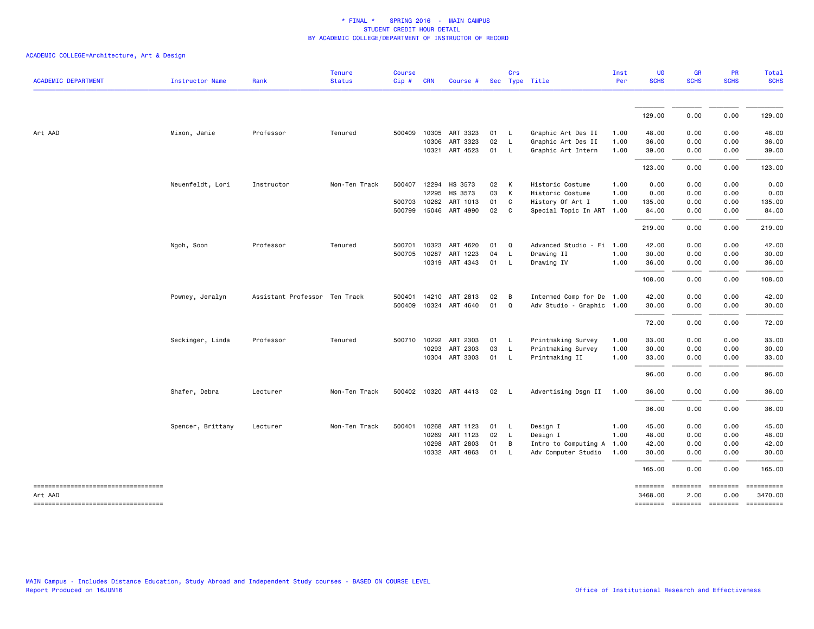|                                     |                        |                               | <b>Tenure</b> | <b>Course</b> |              |                          |      | Crs            |                           | Inst | <b>UG</b>   | <b>GR</b>   | <b>PR</b>         | Total                                                                                         |
|-------------------------------------|------------------------|-------------------------------|---------------|---------------|--------------|--------------------------|------|----------------|---------------------------|------|-------------|-------------|-------------------|-----------------------------------------------------------------------------------------------|
| <b>ACADEMIC DEPARTMENT</b>          | <b>Instructor Name</b> | Rank                          | <b>Status</b> | Cip#          | <b>CRN</b>   | Course #                 |      |                | Sec Type Title            | Per  | <b>SCHS</b> | <b>SCHS</b> | <b>SCHS</b>       | <b>SCHS</b>                                                                                   |
|                                     |                        |                               |               |               |              |                          |      |                |                           |      | 129.00      | 0.00        | 0.00              | 129.00                                                                                        |
| Art AAD                             | Mixon, Jamie           | Professor                     | Tenured       |               |              | 500409 10305 ART 3323    | 01   | $\mathsf{L}$   | Graphic Art Des II        | 1.00 | 48.00       | 0.00        | 0.00              | 48.00                                                                                         |
|                                     |                        |                               |               |               |              | 10306 ART 3323           | 02   | - L            | Graphic Art Des II        | 1.00 | 36.00       | 0.00        | 0.00              | 36.00                                                                                         |
|                                     |                        |                               |               |               |              | 10321 ART 4523           | 01 L |                | Graphic Art Intern        | 1.00 | 39.00       | 0.00        | 0.00              | 39.00                                                                                         |
|                                     |                        |                               |               |               |              |                          |      |                |                           |      | 123.00      | 0.00        | 0.00              | 123.00                                                                                        |
|                                     | Neuenfeldt, Lori       | Instructor                    | Non-Ten Track |               | 500407 12294 | HS 3573                  | 02   | <b>K</b>       | Historic Costume          | 1.00 | 0.00        | 0.00        | 0.00              | 0.00                                                                                          |
|                                     |                        |                               |               |               | 12295        | HS 3573                  | 03   | $\mathsf{K}$   | Historic Costume          | 1.00 | 0.00        | 0.00        | 0.00              | 0.00                                                                                          |
|                                     |                        |                               |               |               | 500703 10262 | ART 1013                 | 01   | C              | History Of Art I          | 1.00 | 135.00      | 0.00        | 0.00              | 135.00                                                                                        |
|                                     |                        |                               |               |               | 500799 15046 | ART 4990                 | 02   | C              | Special Topic In ART      | 1.00 | 84.00       | 0.00        | 0.00              | 84.00                                                                                         |
|                                     |                        |                               |               |               |              |                          |      |                |                           |      | 219.00      | 0.00        | 0.00              | 219.00                                                                                        |
|                                     | Ngoh, Soon             | Professor                     | Tenured       | 500701        | 10323        | ART 4620                 | 01   | Q              | Advanced Studio - Fi 1.00 |      | 42.00       | 0.00        | 0.00              | 42.00                                                                                         |
|                                     |                        |                               |               | 500705        | 10287        | ART 1223                 | 04   | $\mathsf{L}$   | Drawing II                | 1.00 | 30.00       | 0.00        | 0.00              | 30.00                                                                                         |
|                                     |                        |                               |               |               |              | 10319 ART 4343           | 01   | - L            | Drawing IV                | 1.00 | 36.00       | 0.00        | 0.00              | 36.00                                                                                         |
|                                     |                        |                               |               |               |              |                          |      |                |                           |      | 108.00      | 0.00        | 0.00              | 108.00                                                                                        |
|                                     | Powney, Jeralyn        | Assistant Professor Ten Track |               |               |              | 500401 14210 ART 2813    | 02   | B              | Intermed Comp for De 1.00 |      | 42.00       | 0.00        | 0.00              | 42.00                                                                                         |
|                                     |                        |                               |               |               |              | 500409 10324 ART 4640    | 01   | $\mathbf Q$    | Adv Studio - Graphic 1.00 |      | 30.00       | 0.00        | 0.00              | 30.00                                                                                         |
|                                     |                        |                               |               |               |              |                          |      |                |                           |      | 72.00       | 0.00        | 0.00              | 72.00                                                                                         |
|                                     | Seckinger, Linda       | Professor                     | Tenured       |               | 500710 10292 | ART 2303                 | 01   | $\mathsf{L}$   | Printmaking Survey        | 1.00 | 33.00       | 0.00        | 0.00              | 33.00                                                                                         |
|                                     |                        |                               |               |               | 10293        | ART 2303                 | 03   | L.             | Printmaking Survey        | 1.00 | 30.00       | 0.00        | 0.00              | 30.00                                                                                         |
|                                     |                        |                               |               |               |              | 10304 ART 3303           | 01   | $\mathsf{L}$   | Printmaking II            | 1.00 | 33.00       | 0.00        | 0.00              | 33.00                                                                                         |
|                                     |                        |                               |               |               |              |                          |      |                |                           |      | 96.00       | 0.00        | 0.00              | 96.00                                                                                         |
|                                     | Shafer, Debra          | Lecturer                      | Non-Ten Track |               |              | 500402 10320 ART 4413 02 |      | $\mathsf{L}$   | Advertising Dsgn II 1.00  |      | 36.00       | 0.00        | 0.00              | 36.00                                                                                         |
|                                     |                        |                               |               |               |              |                          |      |                |                           |      | 36.00       | 0.00        | 0.00              | 36.00                                                                                         |
|                                     | Spencer, Brittany      | Lecturer                      | Non-Ten Track | 500401        |              | 10268 ART 1123           | 01   | $\mathsf{L}$   | Design I                  | 1.00 | 45.00       | 0.00        | 0.00              | 45.00                                                                                         |
|                                     |                        |                               |               |               | 10269        | ART 1123                 | 02   | $\overline{L}$ | Design I                  | 1.00 | 48.00       | 0.00        | 0.00              | 48.00                                                                                         |
|                                     |                        |                               |               |               | 10298        | ART 2803                 | 01   | $\overline{B}$ | Intro to Computing A      | 1.00 | 42.00       | 0.00        | 0.00              | 42.00                                                                                         |
|                                     |                        |                               |               |               |              | 10332 ART 4863           | 01   | - L            | Adv Computer Studio       | 1.00 | 30.00       | 0.00        | 0.00              | 30.00                                                                                         |
|                                     |                        |                               |               |               |              |                          |      |                |                           |      | 165.00      | 0.00        | 0.00              | 165.00                                                                                        |
| ----------------------------------- |                        |                               |               |               |              |                          |      |                |                           |      | ========    |             | ======== ======== | $\begin{array}{c} \texttt{m} = \texttt{m} = \texttt{m} = \texttt{m} = \texttt{m} \end{array}$ |
| Art AAD                             |                        |                               |               |               |              |                          |      |                |                           |      | 3468.00     | 2.00        | 0.00              | 3470.00                                                                                       |
| ----------------------------------- |                        |                               |               |               |              |                          |      |                |                           |      |             |             |                   | ======== ======== ======== ==========                                                         |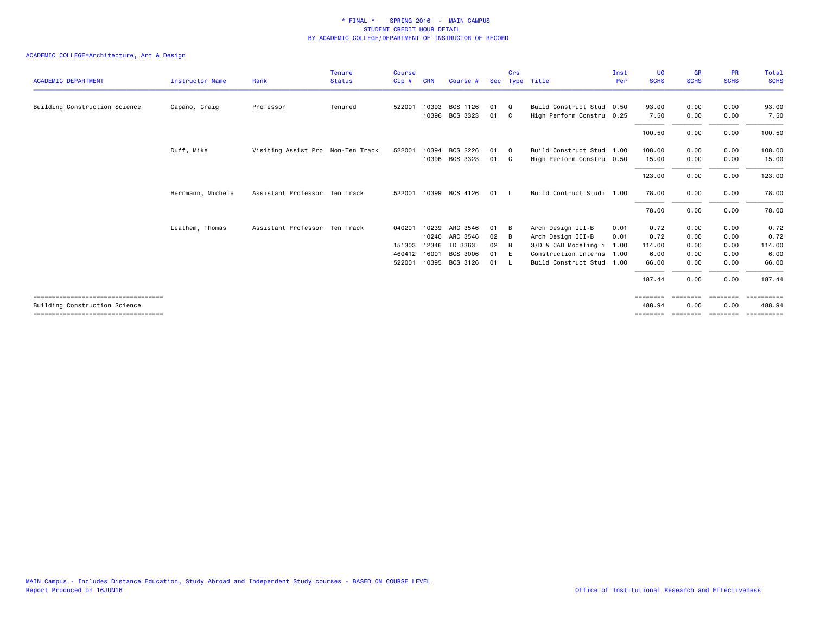|                                       |                        |                                   | <b>Tenure</b> | <b>Course</b> |            |                       |            | Crs      |                           | Inst | UG          | <b>GR</b>   | <b>PR</b>   | Total       |
|---------------------------------------|------------------------|-----------------------------------|---------------|---------------|------------|-----------------------|------------|----------|---------------------------|------|-------------|-------------|-------------|-------------|
| <b>ACADEMIC DEPARTMENT</b>            | <b>Instructor Name</b> | Rank                              | <b>Status</b> | Cip#          | <b>CRN</b> | Course #              | <b>Sec</b> |          | Type Title                | Per  | <b>SCHS</b> | <b>SCHS</b> | <b>SCHS</b> | <b>SCHS</b> |
| Building Construction Science         | Capano, Craig          | Professor                         | Tenured       | 522001        | 10393      | BCS 1126              | 01         | $\Omega$ | Build Construct Stud 0.50 |      | 93.00       | 0.00        | 0.00        | 93.00       |
|                                       |                        |                                   |               |               |            | 10396 BCS 3323        | 01 C       |          | High Perform Constru 0.25 |      | 7.50        | 0.00        | 0.00        | 7.50        |
|                                       |                        |                                   |               |               |            |                       |            |          |                           |      | 100.50      | 0.00        | 0.00        | 100.50      |
|                                       | Duff, Mike             | Visiting Assist Pro Non-Ten Track |               | 522001        | 10394      | BCS 2226              | 01 Q       |          | Build Construct Stud 1.00 |      | 108,00      | 0.00        | 0.00        | 108.00      |
|                                       |                        |                                   |               |               |            | 10396 BCS 3323        | 01 C       |          | High Perform Constru 0.50 |      | 15.00       | 0.00        | 0.00        | 15.00       |
|                                       |                        |                                   |               |               |            |                       |            |          |                           |      | 123.00      | 0.00        | 0.00        | 123.00      |
|                                       | Herrmann, Michele      | Assistant Professor Ten Track     |               |               |            | 522001 10399 BCS 4126 | 01 L       |          | Build Contruct Studi 1.00 |      | 78.00       | 0.00        | 0.00        | 78.00       |
|                                       |                        |                                   |               |               |            |                       |            |          |                           |      | 78.00       | 0.00        | 0.00        | 78.00       |
|                                       | Leathem, Thomas        | Assistant Professor Ten Track     |               | 040201        | 10239      | ARC 3546              | 01         | B        | Arch Design III-B         | 0.01 | 0.72        | 0.00        | 0.00        | 0.72        |
|                                       |                        |                                   |               |               |            | 10240 ARC 3546        | 02         | B        | Arch Design III-B         | 0.01 | 0.72        | 0.00        | 0.00        | 0.72        |
|                                       |                        |                                   |               | 151303        | 12346      | ID 3363               | 02         | B        | 3/D & CAD Modeling i      | 1.00 | 114.00      | 0.00        | 0.00        | 114.00      |
|                                       |                        |                                   |               | 460412        | 16001      | <b>BCS 3006</b>       | 01 E       |          | Construction Interns 1.00 |      | 6.00        | 0.00        | 0.00        | 6.00        |
|                                       |                        |                                   |               | 522001        |            | 10395 BCS 3126        | 01 L       |          | Build Construct Stud 1.00 |      | 66.00       | 0.00        | 0.00        | 66.00       |
|                                       |                        |                                   |               |               |            |                       |            |          |                           |      | 187.44      | 0.00        | 0.00        | 187.44      |
| ===================================== |                        |                                   |               |               |            |                       |            |          |                           |      | ========    | ========    | ========    | ==========  |
| Building Construction Science         |                        |                                   |               |               |            |                       |            |          |                           |      | 488.94      | 0.00        | 0.00        | 488.94      |
| ====================================  |                        |                                   |               |               |            |                       |            |          |                           |      | ========    | ========    | ========    | ==========  |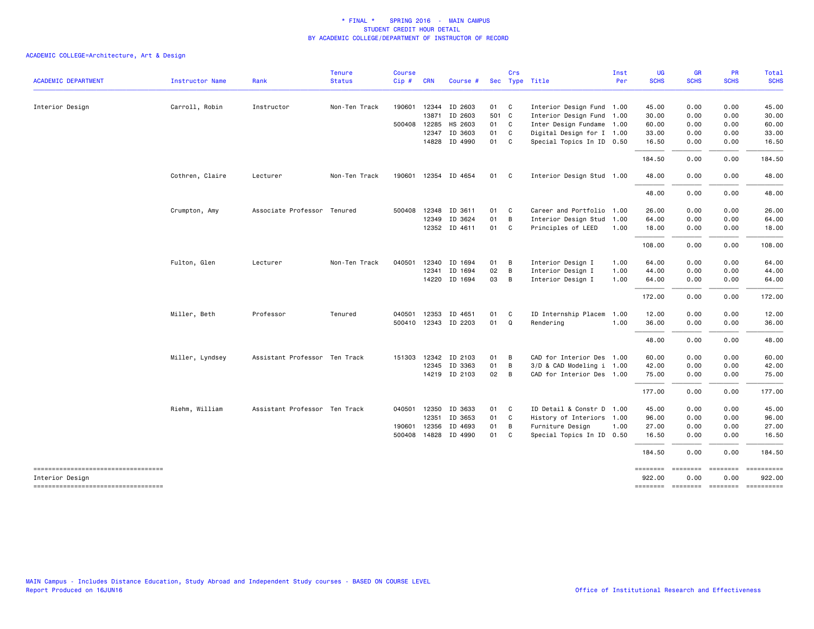|                                     |                        |                               | <b>Tenure</b> | <b>Course</b> |              |                      |       | Crs                        |                           | Inst | <b>UG</b>          | <b>GR</b>   | <b>PR</b>                            | Total       |
|-------------------------------------|------------------------|-------------------------------|---------------|---------------|--------------|----------------------|-------|----------------------------|---------------------------|------|--------------------|-------------|--------------------------------------|-------------|
| <b>ACADEMIC DEPARTMENT</b>          | <b>Instructor Name</b> | Rank                          | <b>Status</b> | Cip#          | <b>CRN</b>   | Course #             |       |                            | Sec Type Title            | Per  | <b>SCHS</b>        | <b>SCHS</b> | <b>SCHS</b>                          | <b>SCHS</b> |
| Interior Design                     | Carroll, Robin         | Instructor                    | Non-Ten Track |               |              | 190601 12344 ID 2603 | 01 C  |                            | Interior Design Fund 1.00 |      | 45.00              | 0.00        | 0.00                                 | 45.00       |
|                                     |                        |                               |               |               |              | 13871 ID 2603        | 501 C |                            | Interior Design Fund 1.00 |      | 30.00              | 0.00        | 0.00                                 | 30.00       |
|                                     |                        |                               |               | 500408        | 12285        | HS 2603              | 01 C  |                            | Inter Design Fundame 1.00 |      | 60.00              | 0.00        | 0.00                                 | 60.00       |
|                                     |                        |                               |               |               | 12347        | ID 3603              | 01 C  |                            | Digital Design for I 1.00 |      | 33.00              | 0.00        | 0.00                                 | 33.00       |
|                                     |                        |                               |               |               |              | 14828 ID 4990        | 01 C  |                            | Special Topics In ID 0.50 |      | 16.50              | 0.00        | 0.00                                 | 16.50       |
|                                     |                        |                               |               |               |              |                      |       |                            |                           |      | 184.50             | 0.00        | 0.00                                 | 184.50      |
|                                     | Cothren, Claire        | Lecturer                      | Non-Ten Track |               |              | 190601 12354 ID 4654 | 01 C  |                            | Interior Design Stud 1.00 |      | 48.00              | 0.00        | 0.00                                 | 48.00       |
|                                     |                        |                               |               |               |              |                      |       |                            |                           |      | 48.00              | 0.00        | 0.00                                 | 48.00       |
|                                     | Crumpton, Amy          | Associate Professor Tenured   |               |               | 500408 12348 | ID 3611              | 01 C  |                            | Career and Portfolio 1.00 |      | 26.00              | 0.00        | 0.00                                 | 26.00       |
|                                     |                        |                               |               |               | 12349        | ID 3624              | 01    | $\overline{B}$             | Interior Design Stud 1.00 |      | 64.00              | 0.00        | 0.00                                 | 64.00       |
|                                     |                        |                               |               |               |              | 12352 ID 4611        | 01 C  |                            | Principles of LEED        | 1.00 | 18.00              | 0.00        | 0.00                                 | 18.00       |
|                                     |                        |                               |               |               |              |                      |       |                            |                           |      | 108.00             | 0.00        | 0.00                                 | 108.00      |
|                                     | Fulton, Glen           | Lecturer                      | Non-Ten Track | 040501        | 12340        | ID 1694              | 01 B  |                            | Interior Design I         | 1.00 | 64.00              | 0.00        | 0.00                                 | 64.00       |
|                                     |                        |                               |               |               | 12341        | ID 1694              | 02    | B                          | Interior Design I         | 1.00 | 44.00              | 0.00        | 0.00                                 | 44.00       |
|                                     |                        |                               |               |               |              | 14220 ID 1694        | 03 B  |                            | Interior Design I         | 1.00 | 64.00              | 0.00        | 0.00                                 | 64.00       |
|                                     |                        |                               |               |               |              |                      |       |                            |                           |      | 172.00             | 0.00        | 0.00                                 | 172.00      |
|                                     | Miller, Beth           | Professor                     | Tenured       | 040501        | 12353        | ID 4651              | 01    | $\mathbf{C}$               | ID Internship Placem      | 1.00 | 12.00              | 0.00        | 0.00                                 | 12.00       |
|                                     |                        |                               |               |               |              | 500410 12343 ID 2203 | 01 Q  |                            | Rendering                 | 1.00 | 36.00              | 0.00        | 0.00                                 | 36.00       |
|                                     |                        |                               |               |               |              |                      |       |                            |                           |      | 48.00              | 0.00        | 0.00                                 | 48.00       |
|                                     | Miller, Lyndsey        | Assistant Professor Ten Track |               |               |              | 151303 12342 ID 2103 | 01    | B                          | CAD for Interior Des 1.00 |      | 60.00              | 0.00        | 0.00                                 | 60.00       |
|                                     |                        |                               |               |               |              | 12345 ID 3363        | 01    | B                          | 3/D & CAD Modeling i 1.00 |      | 42.00              | 0.00        | 0.00                                 | 42.00       |
|                                     |                        |                               |               |               |              | 14219 ID 2103        | 02 B  |                            | CAD for Interior Des 1.00 |      | 75.00              | 0.00        | 0.00                                 | 75.00       |
|                                     |                        |                               |               |               |              |                      |       |                            |                           |      | 177.00             | 0.00        | 0.00                                 | 177.00      |
|                                     | Riehm, William         | Assistant Professor Ten Track |               |               | 040501 12350 | ID 3633              | 01    | $\overline{\phantom{a}}$ C | ID Detail & Constr D 1.00 |      | 45.00              | 0.00        | 0.00                                 | 45.00       |
|                                     |                        |                               |               |               |              | 12351 ID 3653        | 01 C  |                            | History of Interiors 1.00 |      | 96.00              | 0.00        | 0.00                                 | 96.00       |
|                                     |                        |                               |               | 190601        | 12356        | ID 4693              | 01 B  |                            | Furniture Design          | 1.00 | 27.00              | 0.00        | 0.00                                 | 27.00       |
|                                     |                        |                               |               | 500408        |              | 14828 ID 4990        | 01 C  |                            | Special Topics In ID 0.50 |      | 16.50              | 0.00        | 0.00                                 | 16.50       |
|                                     |                        |                               |               |               |              |                      |       |                            |                           |      | 184.50             | 0.00        | 0.00                                 | 184.50      |
| Interior Design                     |                        |                               |               |               |              |                      |       |                            |                           |      | ========<br>922.00 | 0.00        | ======== ======== ==========<br>0.00 | 922.00      |
| ----------------------------------- |                        |                               |               |               |              |                      |       |                            |                           |      |                    |             | -------- ------- ------- ---------   |             |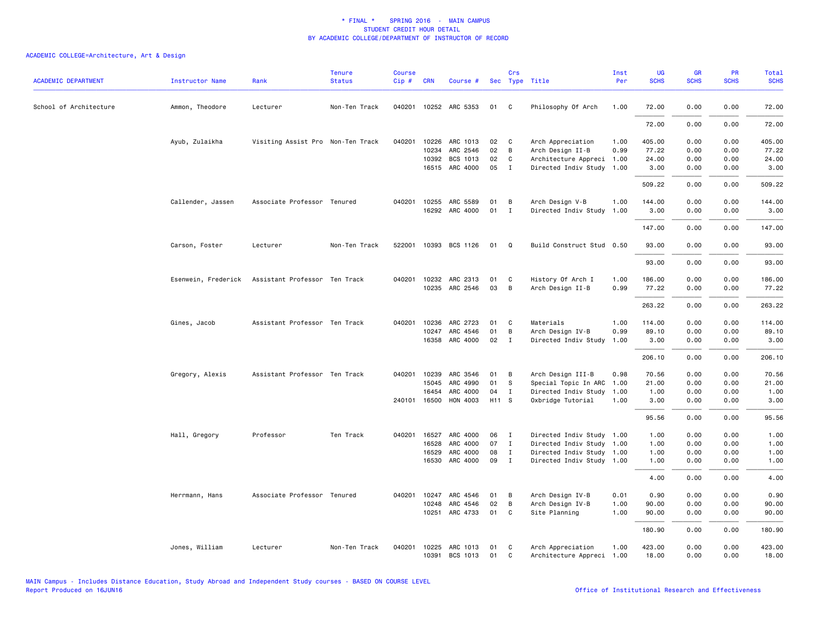| <b>ACADEMIC DEPARTMENT</b> | <b>Instructor Name</b> | Rank                              | <b>Tenure</b><br><b>Status</b> | <b>Course</b><br>Cip# | <b>CRN</b>   | Course #                   |          | Crs               | Sec Type Title                        | Inst<br>Per  | <b>UG</b><br><b>SCHS</b> | <b>GR</b><br><b>SCHS</b> | <b>PR</b><br><b>SCHS</b> | Total<br><b>SCHS</b> |
|----------------------------|------------------------|-----------------------------------|--------------------------------|-----------------------|--------------|----------------------------|----------|-------------------|---------------------------------------|--------------|--------------------------|--------------------------|--------------------------|----------------------|
| School of Architecture     | Ammon, Theodore        | Lecturer                          | Non-Ten Track                  |                       |              | 040201 10252 ARC 5353      | 01       | $\mathbf{C}$      | Philosophy Of Arch                    | 1.00         | 72.00                    | 0.00                     | 0.00                     | 72.00                |
|                            |                        |                                   |                                |                       |              |                            |          |                   |                                       |              | 72.00                    | 0.00                     | 0.00                     | 72.00                |
|                            |                        |                                   |                                |                       |              |                            |          |                   |                                       |              |                          |                          |                          |                      |
|                            | Ayub, Zulaikha         | Visiting Assist Pro Non-Ten Track |                                | 040201                | 10234        | 10226 ARC 1013<br>ARC 2546 | 02<br>02 | $\mathbf{C}$<br>B | Arch Appreciation<br>Arch Design II-B | 1.00<br>0.99 | 405.00<br>77.22          | 0.00<br>0.00             | 0.00<br>0.00             | 405.00<br>77.22      |
|                            |                        |                                   |                                |                       | 10392        | BCS 1013                   | 02       | C                 | Architecture Appreci 1.00             |              | 24.00                    | 0.00                     | 0.00                     | 24.00                |
|                            |                        |                                   |                                |                       |              | 16515 ARC 4000             | 05       | $\mathbf{I}$      | Directed Indiv Study 1.00             |              | 3.00                     | 0.00                     | 0.00                     | 3.00                 |
|                            |                        |                                   |                                |                       |              |                            |          |                   |                                       |              | 509.22                   | 0.00                     | 0.00                     | 509.22               |
|                            |                        |                                   |                                |                       |              |                            |          |                   |                                       |              |                          |                          |                          |                      |
|                            | Callender, Jassen      | Associate Professor Tenured       |                                | 040201                | 10255        | ARC 5589                   | 01       | B                 | Arch Design V-B                       | 1.00         | 144.00                   | 0.00                     | 0.00                     | 144.00               |
|                            |                        |                                   |                                |                       |              | 16292 ARC 4000             | 01       | $\mathbf{I}$      | Directed Indiv Study                  | 1.00         | 3.00                     | 0.00                     | 0.00                     | 3.00                 |
|                            |                        |                                   |                                |                       |              |                            |          |                   |                                       |              | 147.00                   | 0.00                     | 0.00                     | 147.00               |
|                            | Carson, Foster         | Lecturer                          | Non-Ten Track                  | 522001                |              | 10393 BCS 1126             | 01       | Q                 | Build Construct Stud 0.50             |              | 93.00                    | 0.00                     | 0.00                     | 93.00                |
|                            |                        |                                   |                                |                       |              |                            |          |                   |                                       |              | 93.00                    | 0.00                     | 0.00                     | 93.00                |
|                            |                        |                                   |                                |                       |              |                            |          |                   |                                       |              |                          |                          |                          |                      |
|                            | Esenwein, Frederick    | Assistant Professor Ten Track     |                                | 040201                | 10232        | ARC 2313                   | 01       | C                 | History Of Arch I                     | 1.00         | 186.00                   | 0.00                     | 0.00                     | 186.00               |
|                            |                        |                                   |                                |                       |              | 10235 ARC 2546             | 03       | B                 | Arch Design II-B                      | 0.99         | 77.22                    | 0.00                     | 0.00                     | 77.22                |
|                            |                        |                                   |                                |                       |              |                            |          |                   |                                       |              | 263.22                   | 0.00                     | 0.00                     | 263.22               |
|                            | Gines, Jacob           | Assistant Professor Ten Track     |                                | 040201                | 10236        | ARC 2723                   | 01       | C                 | Materials                             | 1.00         | 114.00                   | 0.00                     | 0.00                     | 114.00               |
|                            |                        |                                   |                                |                       | 10247        | ARC 4546                   | 01       | B                 | Arch Design IV-B                      | 0.99         | 89.10                    | 0.00                     | 0.00                     | 89.10                |
|                            |                        |                                   |                                |                       |              | 16358 ARC 4000             | 02       | $\mathbf{I}$      | Directed Indiv Study                  | 1.00         | 3.00                     | 0.00                     | 0.00                     | 3.00                 |
|                            |                        |                                   |                                |                       |              |                            |          |                   |                                       |              | 206.10                   | 0.00                     | 0.00                     | 206,10               |
|                            | Gregory, Alexis        | Assistant Professor Ten Track     |                                | 040201                | 10239        | ARC 3546                   | 01       | B                 | Arch Design III-B                     | 0.98         | 70.56                    | 0.00                     | 0.00                     | 70.56                |
|                            |                        |                                   |                                |                       | 15045        | ARC 4990                   | 01       | -S                | Special Topic In ARC                  | 1.00         | 21.00                    | 0.00                     | 0.00                     | 21.00                |
|                            |                        |                                   |                                |                       | 16454        | ARC 4000                   | 04       | $\mathbf{I}$      | Directed Indiv Study                  | 1.00         | 1.00                     | 0.00                     | 0.00                     | 1.00                 |
|                            |                        |                                   |                                |                       | 240101 16500 | HON 4003                   | H11 S    |                   | Oxbridge Tutorial                     | 1.00         | 3.00                     | 0.00                     | 0.00                     | 3.00                 |
|                            |                        |                                   |                                |                       |              |                            |          |                   |                                       |              | 95.56                    | 0.00                     | 0.00                     | 95.56                |
|                            | Hall, Gregory          | Professor                         | Ten Track                      | 040201                | 16527        | ARC 4000                   | 06       | $\mathbf{I}$      | Directed Indiv Study 1.00             |              | 1.00                     | 0.00                     | 0.00                     | 1.00                 |
|                            |                        |                                   |                                |                       | 16528        | ARC 4000                   | 07       | $\mathbf{I}$      | Directed Indiv Study 1.00             |              | 1.00                     | 0.00                     | 0.00                     | 1.00                 |
|                            |                        |                                   |                                |                       | 16529        | ARC 4000                   | 08       | $\mathbf I$       | Directed Indiv Study 1.00             |              | 1.00                     | 0.00                     | 0.00                     | 1.00                 |
|                            |                        |                                   |                                |                       | 16530        | ARC 4000                   | 09       | $\mathbf{I}$      | Directed Indiv Study 1.00             |              | 1.00                     | 0.00                     | 0.00                     | 1.00                 |
|                            |                        |                                   |                                |                       |              |                            |          |                   |                                       |              | 4.00                     | 0.00                     | 0.00                     | 4.00                 |
|                            | Herrmann, Hans         | Associate Professor Tenured       |                                | 040201                | 10247        | ARC 4546                   | 01       | B                 | Arch Design IV-B                      | 0.01         | 0.90                     | 0.00                     | 0.00                     | 0.90                 |
|                            |                        |                                   |                                |                       | 10248        | ARC 4546                   | 02       | B                 | Arch Design IV-B                      | 1.00         | 90.00                    | 0.00                     | 0.00                     | 90.00                |
|                            |                        |                                   |                                |                       | 10251        | ARC 4733                   | 01       | C                 | Site Planning                         | 1.00         | 90.00                    | 0.00                     | 0.00                     | 90.00                |
|                            |                        |                                   |                                |                       |              |                            |          |                   |                                       |              | 180.90                   | 0.00                     | 0.00                     | 180.90               |
|                            | Jones, William         | Lecturer                          | Non-Ten Track                  | 040201                | 10225        | ARC 1013                   | 01       | C                 | Arch Appreciation                     | 1.00         | 423.00                   | 0.00                     | 0.00                     | 423.00               |
|                            |                        |                                   |                                |                       |              | 10391 BCS 1013             | 01       | $\mathbf{C}$      | Architecture Appreci 1.00             |              | 18.00                    | 0.00                     | 0.00                     | 18.00                |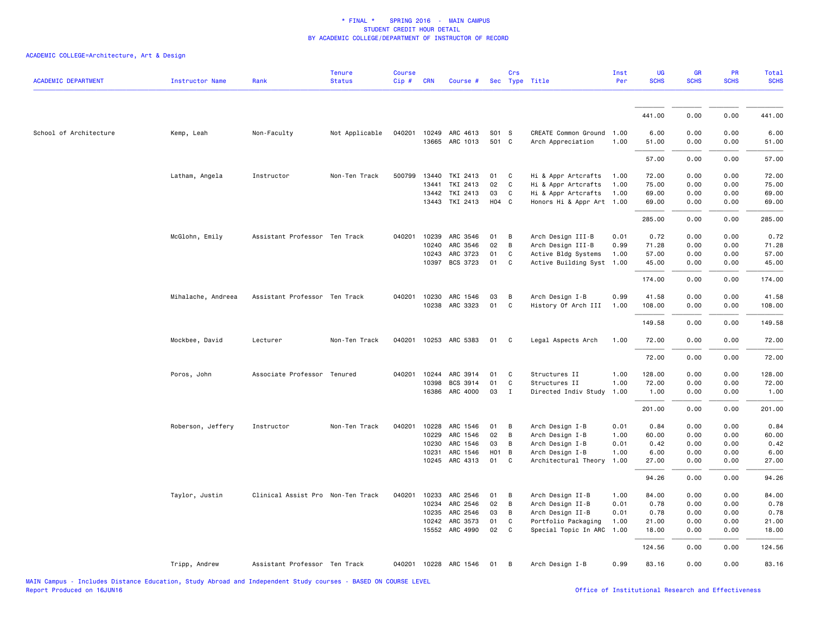| <b>ACADEMIC DEPARTMENT</b> | Instructor Name    | Rank                              | <b>Tenure</b><br><b>Status</b> | <b>Course</b><br>Cip# | <b>CRN</b> | Course #                         |                       | Crs          | Sec Type Title                              | Inst<br>Per  | UG<br><b>SCHS</b> | GR<br><b>SCHS</b> | PR<br><b>SCHS</b> | <b>Total</b><br><b>SCHS</b> |
|----------------------------|--------------------|-----------------------------------|--------------------------------|-----------------------|------------|----------------------------------|-----------------------|--------------|---------------------------------------------|--------------|-------------------|-------------------|-------------------|-----------------------------|
|                            |                    |                                   |                                |                       |            |                                  |                       |              |                                             |              |                   |                   |                   |                             |
|                            |                    |                                   |                                |                       |            |                                  |                       |              |                                             |              | 441.00            | 0.00              | 0.00              | 441.00                      |
| School of Architecture     | Kemp, Leah         | Non-Faculty                       | Not Applicable                 | 040201                |            | 10249 ARC 4613<br>13665 ARC 1013 | S01 S<br>501 C        |              | CREATE Common Ground<br>Arch Appreciation   | 1.00<br>1.00 | 6.00<br>51.00     | 0.00<br>0.00      | 0.00<br>0.00      | 6.00<br>51.00               |
|                            |                    |                                   |                                |                       |            |                                  |                       |              |                                             |              | 57.00             | 0.00              | 0.00              | 57.00                       |
|                            | Latham, Angela     | Instructor                        | Non-Ten Track                  | 500799                | 13440      | TKI 2413                         | 01                    | C            | Hi & Appr Artcrafts                         | 1.00         | 72.00             | 0.00              | 0.00              | 72.00                       |
|                            |                    |                                   |                                |                       | 13441      | TKI 2413                         | 02                    | C            | Hi & Appr Artcrafts                         | 1.00         | 75.00             | 0.00              | 0.00              | 75.00                       |
|                            |                    |                                   |                                |                       |            | 13442 TKI 2413                   | 03                    | C            | Hi & Appr Artcrafts                         | 1.00         | 69.00             | 0.00              | 0.00              | 69.00                       |
|                            |                    |                                   |                                |                       |            | 13443 TKI 2413                   | $H04$ C               |              | Honors Hi & Appr Art 1.00                   |              | 69.00             | 0.00              | 0.00              | 69.00                       |
|                            |                    |                                   |                                |                       |            |                                  |                       |              |                                             |              | 285.00            | 0.00              | 0.00              | 285.00                      |
|                            | McGlohn, Emily     | Assistant Professor Ten Track     |                                | 040201                | 10239      | ARC 3546                         | 01                    | В            | Arch Design III-B                           | 0.01         | 0.72              | 0.00              | 0.00              | 0.72                        |
|                            |                    |                                   |                                |                       | 10240      | ARC 3546                         | 02                    | B            | Arch Design III-B                           | 0.99         | 71.28             | 0.00              | 0.00              | 71.28                       |
|                            |                    |                                   |                                |                       | 10243      | ARC 3723                         | 01                    | C            | Active Bldg Systems                         | 1.00         | 57.00             | 0.00              | 0.00              | 57.00                       |
|                            |                    |                                   |                                |                       | 10397      | BCS 3723                         | 01                    | C            | Active Building Syst                        | 1.00         | 45.00             | 0.00              | 0.00              | 45.00                       |
|                            |                    |                                   |                                |                       |            |                                  |                       |              |                                             |              | 174.00            | 0.00              | 0.00              | 174.00                      |
|                            | Mihalache, Andreea | Assistant Professor Ten Track     |                                |                       |            | 040201 10230 ARC 1546            | 03                    | B            | Arch Design I-B                             | 0.99         | 41.58             | 0.00              | 0.00              | 41.58                       |
|                            |                    |                                   |                                |                       |            | 10238 ARC 3323                   | 01                    | $\mathbf c$  | History Of Arch III                         | 1.00         | 108.00            | 0.00              | 0.00              | 108.00                      |
|                            |                    |                                   |                                |                       |            |                                  |                       |              |                                             |              | 149.58            | 0.00              | 0.00              | 149.58                      |
|                            | Mockbee, David     | Lecturer                          | Non-Ten Track                  |                       |            | 040201 10253 ARC 5383            | 01                    | C            | Legal Aspects Arch                          | 1.00         | 72.00             | 0.00              | 0.00              | 72.00                       |
|                            |                    |                                   |                                |                       |            |                                  |                       |              |                                             |              | 72.00             | 0.00              | 0.00              | 72.00                       |
|                            | Poros, John        | Associate Professor Tenured       |                                |                       |            | 040201 10244 ARC 3914            | 01                    | C            | Structures II                               | 1.00         | 128.00            | 0.00              | 0.00              | 128.00                      |
|                            |                    |                                   |                                |                       | 10398      | BCS 3914                         | 01                    | C            | Structures II                               | 1.00         | 72.00             | 0.00              | 0.00              | 72.00                       |
|                            |                    |                                   |                                |                       | 16386      | ARC 4000                         | 03                    | $\mathbf{I}$ | Directed Indiv Study                        | 1.00         | 1.00              | 0.00              | 0.00              | 1.00                        |
|                            |                    |                                   |                                |                       |            |                                  |                       |              |                                             |              | 201.00            | 0.00              | 0.00              | 201.00                      |
|                            | Roberson, Jeffery  | Instructor                        | Non-Ten Track                  | 040201                | 10228      | ARC 1546                         | 01                    | В            | Arch Design I-B                             | 0.01         | 0.84              | 0.00              | 0.00              | 0.84                        |
|                            |                    |                                   |                                |                       | 10229      | ARC 1546                         | 02                    | B            | Arch Design I-B                             | 1.00         | 60.00             | 0.00              | 0.00              | 60.00                       |
|                            |                    |                                   |                                |                       | 10230      | ARC 1546                         | 03                    | B            | Arch Design I-B                             | 0.01         | 0.42              | 0.00              | 0.00              | 0.42                        |
|                            |                    |                                   |                                |                       | 10231      | ARC 1546<br>10245 ARC 4313       | HO <sub>1</sub><br>01 | B<br>C       | Arch Design I-B<br>Architectural Theory     | 1.00<br>1.00 | 6.00<br>27.00     | 0.00<br>0.00      | 0.00<br>0.00      | 6.00<br>27.00               |
|                            |                    |                                   |                                |                       |            |                                  |                       |              |                                             |              | 94.26             | 0.00              | 0.00              | 94.26                       |
|                            |                    |                                   |                                |                       |            |                                  |                       |              |                                             |              |                   |                   |                   |                             |
|                            | Taylor, Justin     | Clinical Assist Pro Non-Ten Track |                                | 040201                |            | 10233 ARC 2546                   | 01                    | B            | Arch Design II-B                            | 1.00         | 84.00             | 0.00              | 0.00              | 84.00                       |
|                            |                    |                                   |                                |                       | 10234      | ARC 2546                         | 02                    | B            | Arch Design II-B                            | 0.01         | 0.78              | 0.00              | 0.00              | 0.78                        |
|                            |                    |                                   |                                |                       | 10235      | ARC 2546                         | 03                    | B            | Arch Design II-B                            | 0.01         | 0.78              | 0.00              | 0.00              | 0.78                        |
|                            |                    |                                   |                                |                       | 10242      | ARC 3573<br>15552 ARC 4990       | 01<br>02              | C<br>C       | Portfolio Packaging<br>Special Topic In ARC | 1.00<br>1.00 | 21.00<br>18.00    | 0.00<br>0.00      | 0.00<br>0.00      | 21.00<br>18.00              |
|                            |                    |                                   |                                |                       |            |                                  |                       |              |                                             |              | 124.56            | 0.00              | 0.00              | 124.56                      |
|                            | Tripp, Andrew      | Assistant Professor Ten Track     |                                |                       |            | 040201 10228 ARC 1546            | 01                    | В            | Arch Design I-B                             | 0.99         | 83.16             | 0.00              | 0.00              | 83.16                       |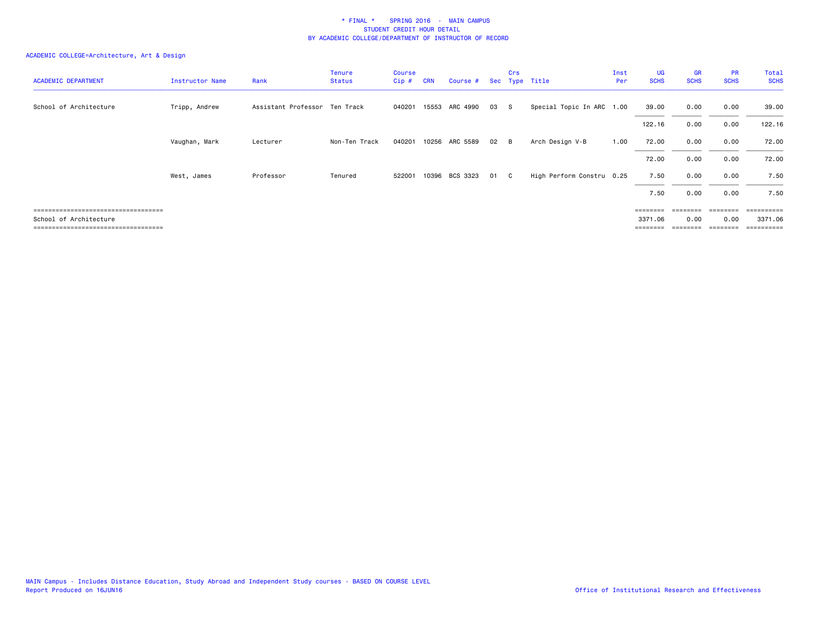| <b>ACADEMIC DEPARTMENT</b>            | Instructor Name | Rank                          | Tenure<br><b>Status</b> | <b>Course</b><br>Cip# | <b>CRN</b> | Course # |    | Crs            | Sec Type Title            | Inst<br>Per | UG<br><b>SCHS</b> | GR<br><b>SCHS</b> | <b>PR</b><br><b>SCHS</b> | Total<br><b>SCHS</b> |
|---------------------------------------|-----------------|-------------------------------|-------------------------|-----------------------|------------|----------|----|----------------|---------------------------|-------------|-------------------|-------------------|--------------------------|----------------------|
| School of Architecture                | Tripp, Andrew   | Assistant Professor Ten Track |                         | 040201                | 15553      | ARC 4990 | 03 | - S            | Special Topic In ARC 1.00 |             | 39.00             | 0.00              | 0.00                     | 39.00                |
|                                       |                 |                               |                         |                       |            |          |    |                |                           |             | 122.16            | 0.00              | 0.00                     | 122.16               |
|                                       | Vaughan, Mark   | Lecturer                      | Non-Ten Track           | 040201                | 10256      | ARC 5589 | 02 | $\overline{B}$ | Arch Design V-B           | 1.00        | 72.00             | 0.00              | 0.00                     | 72.00                |
|                                       |                 |                               |                         |                       |            |          |    |                |                           |             | 72.00             | 0.00              | 0.00                     | 72.00                |
|                                       | West, James     | Professor                     | Tenured                 | 522001                | 10396      | BCS 3323 | 01 | C.             | High Perform Constru 0.25 |             | 7.50              | 0.00              | 0.00                     | 7.50                 |
|                                       |                 |                               |                         |                       |            |          |    |                |                           |             | 7.50              | 0.00              | 0.00                     | 7.50                 |
| ====================================  |                 |                               |                         |                       |            |          |    |                |                           |             | ========          |                   | ========                 | =========            |
| School of Architecture                |                 |                               |                         |                       |            |          |    |                |                           |             | 3371.06           | 0.00              | 0.00                     | 3371.06              |
| _____________________________________ |                 |                               |                         |                       |            |          |    |                |                           |             | $=$ = = = = = = = |                   |                          | <b>EEEEEEEE</b>      |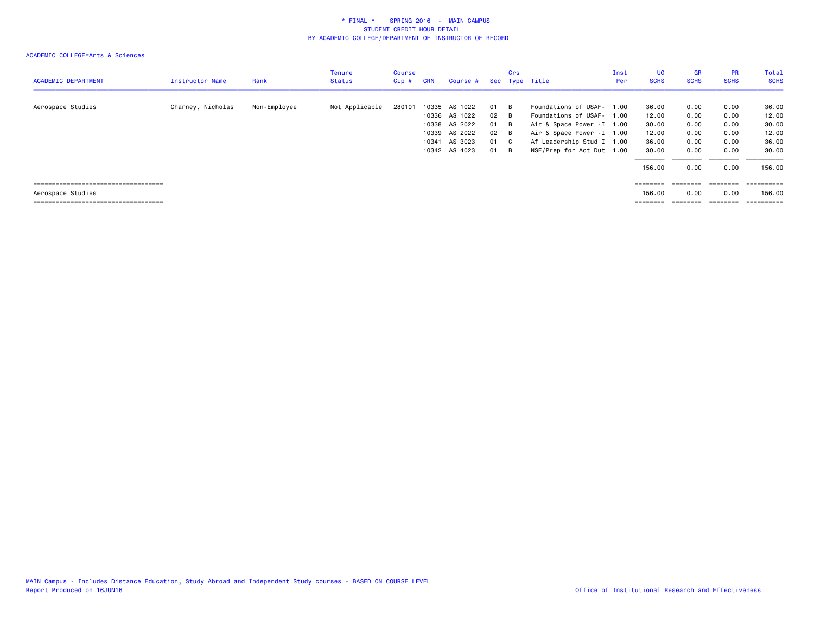| <b>ACADEMIC DEPARTMENT</b>                                                                           | Instructor Name   | Rank         | <b>Tenure</b><br><b>Status</b> | Course<br>$Cip$ # | <b>CRN</b>              | Course #                                                        |                            | Crs                        | Sec Type Title                                                                                                                                  | Inst<br>Per | UG<br><b>SCHS</b>                         | <b>GR</b><br><b>SCHS</b>             | <b>PR</b><br><b>SCHS</b>              | Total<br><b>SCHS</b>                      |
|------------------------------------------------------------------------------------------------------|-------------------|--------------|--------------------------------|-------------------|-------------------------|-----------------------------------------------------------------|----------------------------|----------------------------|-------------------------------------------------------------------------------------------------------------------------------------------------|-------------|-------------------------------------------|--------------------------------------|---------------------------------------|-------------------------------------------|
| Aerospace Studies                                                                                    | Charney, Nicholas | Non-Employee | Not Applicable                 | 280101            | 10335<br>10339<br>10341 | AS 1022<br>10336 AS 1022<br>10338 AS 2022<br>AS 2022<br>AS 3023 | 01<br>02<br>01<br>02<br>01 | - B<br>- B<br>B<br>B<br>C. | Foundations of USAF- 1.00<br>Foundations of USAF- 1.00<br>Air & Space Power - I 1.00<br>Air & Space Power - I 1.00<br>Af Leadership Stud I 1.00 |             | 36.00<br>12.00<br>30.00<br>12.00<br>36.00 | 0.00<br>0.00<br>0.00<br>0.00<br>0.00 | 0.00<br>0.00<br>0.00<br>0.00<br>0.00  | 36.00<br>12.00<br>30.00<br>12.00<br>36.00 |
|                                                                                                      |                   |              |                                |                   |                         | 10342 AS 4023                                                   | 01                         | B                          | NSE/Prep for Act Dut 1.00                                                                                                                       |             | 30.00<br>156.00                           | 0.00<br>0.00                         | 0.00<br>0.00                          | 30.00<br>156.00                           |
| ======================================<br>Aerospace Studies<br>===================================== |                   |              |                                |                   |                         |                                                                 |                            |                            |                                                                                                                                                 |             | $=$ = = = = = = =<br>156.00<br>========   | ========<br>0.00                     | ========<br>0.00<br>$=$ = = = = = = = | $=$ ==========<br>156.00<br>==========    |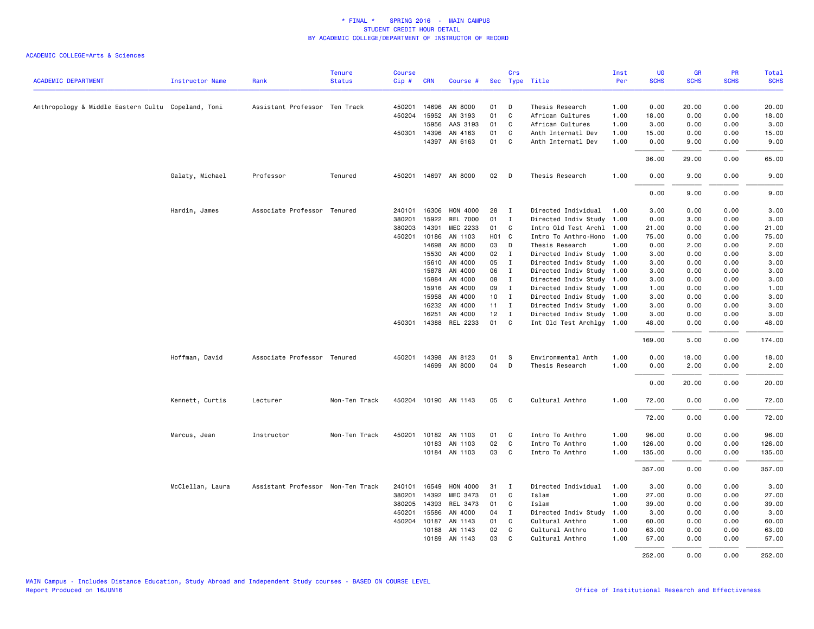|                                                    |                        |                                   | <b>Tenure</b> | <b>Course</b> |              |                       |                 | Crs          |                           | Inst | UG          | <b>GR</b>   | PR          | Total       |
|----------------------------------------------------|------------------------|-----------------------------------|---------------|---------------|--------------|-----------------------|-----------------|--------------|---------------------------|------|-------------|-------------|-------------|-------------|
| <b>ACADEMIC DEPARTMENT</b>                         | <b>Instructor Name</b> | Rank                              | <b>Status</b> | Cip#          | <b>CRN</b>   | Course #              |                 |              | Sec Type Title            | Per  | <b>SCHS</b> | <b>SCHS</b> | <b>SCHS</b> | <b>SCHS</b> |
| Anthropology & Middle Eastern Cultu Copeland, Toni |                        | Assistant Professor Ten Track     |               | 450201        | 14696        | AN 8000               | 01              | D            | Thesis Research           | 1.00 | 0.00        | 20.00       | 0.00        | 20.00       |
|                                                    |                        |                                   |               |               | 450204 15952 | AN 3193               | 01              | C.           | African Cultures          | 1.00 | 18.00       | 0.00        | 0.00        | 18.00       |
|                                                    |                        |                                   |               |               | 15956        | AAS 3193              | 01              | C            | African Cultures          | 1.00 | 3.00        | 0.00        | 0.00        | 3.00        |
|                                                    |                        |                                   |               | 450301        | 14396        | AN 4163               | 01              | C            | Anth Internatl Dev        | 1.00 | 15.00       | 0.00        | 0.00        | 15.00       |
|                                                    |                        |                                   |               |               |              | 14397 AN 6163         | 01              | C.           | Anth Internatl Dev        | 1.00 | 0.00        | 9.00        | 0.00        | 9.00        |
|                                                    |                        |                                   |               |               |              |                       |                 |              |                           |      | 36.00       | 29.00       | 0.00        | 65.00       |
|                                                    | Galaty, Michael        | Professor                         | Tenured       | 450201        |              | 14697 AN 8000         | 02              | $\mathsf{D}$ | Thesis Research           | 1.00 | 0.00        | 9.00        | 0.00        | 9.00        |
|                                                    |                        |                                   |               |               |              |                       |                 |              |                           |      |             |             |             |             |
|                                                    |                        |                                   |               |               |              |                       |                 |              |                           |      | 0.00        | 9.00        | 0.00        | 9.00        |
|                                                    | Hardin, James          | Associate Professor Tenured       |               | 240101        | 16306        | HON 4000              | 28              | I            | Directed Individual       | 1.00 | 3.00        | 0.00        | 0.00        | 3.00        |
|                                                    |                        |                                   |               | 380201        | 15922        | <b>REL 7000</b>       | 01              | $\mathbf I$  | Directed Indiv Study      | 1.00 | 0.00        | 3.00        | 0.00        | 3.00        |
|                                                    |                        |                                   |               | 380203        | 14391        | MEC 2233              | 01              | C.           | Intro Old Test Archl      | 1.00 | 21.00       | 0.00        | 0.00        | 21.00       |
|                                                    |                        |                                   |               | 450201        | 10186        | AN 1103               | HO1 C           |              | Intro To Anthro-Hono 1.00 |      | 75.00       | 0.00        | 0.00        | 75.00       |
|                                                    |                        |                                   |               |               | 14698        | AN 8000               | 03              | D            | Thesis Research           | 1.00 | 0.00        | 2.00        | 0.00        | 2.00        |
|                                                    |                        |                                   |               |               | 15530        | AN 4000               | 02              | $\mathbf{I}$ | Directed Indiv Study 1.00 |      | 3.00        | 0.00        | 0.00        | 3.00        |
|                                                    |                        |                                   |               |               | 15610        | AN 4000               | 05              | $\mathbf{I}$ | Directed Indiv Study 1.00 |      | 3.00        | 0.00        | 0.00        | 3.00        |
|                                                    |                        |                                   |               |               | 15878        | AN 4000               | 06              | $\mathbf I$  | Directed Indiv Study 1.00 |      | 3.00        | 0.00        | 0.00        | 3.00        |
|                                                    |                        |                                   |               |               | 15884        | AN 4000               | 08              | $\mathbf I$  | Directed Indiv Study 1.00 |      | 3.00        | 0.00        | 0.00        | 3.00        |
|                                                    |                        |                                   |               |               | 15916        | AN 4000               | 09              | $\mathbf{I}$ | Directed Indiv Study 1.00 |      | 1.00        | 0.00        | 0.00        | 1.00        |
|                                                    |                        |                                   |               |               | 15958        | AN 4000               | 10 <sub>1</sub> | $\mathbf{I}$ | Directed Indiv Study 1.00 |      | 3.00        | 0.00        | 0.00        | 3.00        |
|                                                    |                        |                                   |               |               | 16232        | AN 4000               | $11 \quad I$    |              | Directed Indiv Study 1.00 |      | 3.00        | 0.00        | 0.00        | 3.00        |
|                                                    |                        |                                   |               |               | 16251        | AN 4000               | 12              | $\mathbf{I}$ | Directed Indiv Study 1.00 |      | 3.00        | 0.00        | 0.00        | 3.00        |
|                                                    |                        |                                   |               |               |              | 450301 14388 REL 2233 | 01 C            |              | Int Old Test Archlgy 1.00 |      | 48.00       | 0.00        | 0.00        | 48.00       |
|                                                    |                        |                                   |               |               |              |                       |                 |              |                           |      | 169.00      | 5.00        | 0.00        | 174.00      |
|                                                    | Hoffman, David         | Associate Professor Tenured       |               |               | 450201 14398 | AN 8123               | 01              | S            | Environmental Anth        | 1.00 | 0.00        | 18.00       | 0.00        | 18.00       |
|                                                    |                        |                                   |               |               |              | 14699 AN 8000         | 04              | D            | Thesis Research           | 1.00 | 0.00        | 2.00        | 0.00        | 2.00        |
|                                                    |                        |                                   |               |               |              |                       |                 |              |                           |      | 0.00        | 20.00       | 0.00        | 20.00       |
|                                                    | Kennett, Curtis        | Lecturer                          | Non-Ten Track |               |              | 450204 10190 AN 1143  | 05              | $\mathbf{C}$ | Cultural Anthro           | 1.00 | 72.00       | 0.00        | 0.00        | 72.00       |
|                                                    |                        |                                   |               |               |              |                       |                 |              |                           |      | 72.00       | 0.00        | 0.00        | 72.00       |
|                                                    | Marcus, Jean           | Instructor                        | Non-Ten Track | 450201        |              | 10182 AN 1103         | 01              | C.           | Intro To Anthro           | 1.00 | 96.00       | 0.00        | 0.00        | 96.00       |
|                                                    |                        |                                   |               |               | 10183        | AN 1103               | 02              | C            | Intro To Anthro           | 1.00 | 126.00      | 0.00        | 0.00        | 126.00      |
|                                                    |                        |                                   |               |               |              | 10184 AN 1103         | 03              | $\mathbf{C}$ | Intro To Anthro           | 1.00 | 135.00      | 0.00        | 0.00        | 135.00      |
|                                                    |                        |                                   |               |               |              |                       |                 |              |                           |      | 357.00      | 0.00        | 0.00        | 357.00      |
|                                                    | McClellan, Laura       | Assistant Professor Non-Ten Track |               | 240101        | 16549        | HON 4000              | 31              | I            | Directed Individual       | 1.00 | 3.00        | 0.00        | 0.00        | 3.00        |
|                                                    |                        |                                   |               | 380201        | 14392        | MEC 3473              | 01              | C            | Islam                     | 1.00 | 27.00       | 0.00        | 0.00        | 27.00       |
|                                                    |                        |                                   |               | 380205        | 14393        | REL 3473              | 01              | C            | Islam                     | 1.00 | 39.00       | 0.00        | 0.00        | 39.00       |
|                                                    |                        |                                   |               | 450201        | 15586        | AN 4000               | 04              | $\mathbf I$  | Directed Indiv Study      | 1.00 | 3.00        | 0.00        | 0.00        | 3.00        |
|                                                    |                        |                                   |               |               | 450204 10187 | AN 1143               | 01              | C            | Cultural Anthro           | 1.00 | 60.00       | 0.00        | 0.00        | 60.00       |
|                                                    |                        |                                   |               |               | 10188        | AN 1143               | 02              | C            | Cultural Anthro           | 1.00 | 63.00       | 0.00        | 0.00        | 63.00       |
|                                                    |                        |                                   |               |               | 10189        | AN 1143               | 03              | C            | Cultural Anthro           | 1.00 | 57.00       | 0.00        | 0.00        | 57.00       |
|                                                    |                        |                                   |               |               |              |                       |                 |              |                           |      | 252.00      | 0.00        | 0.00        | 252.00      |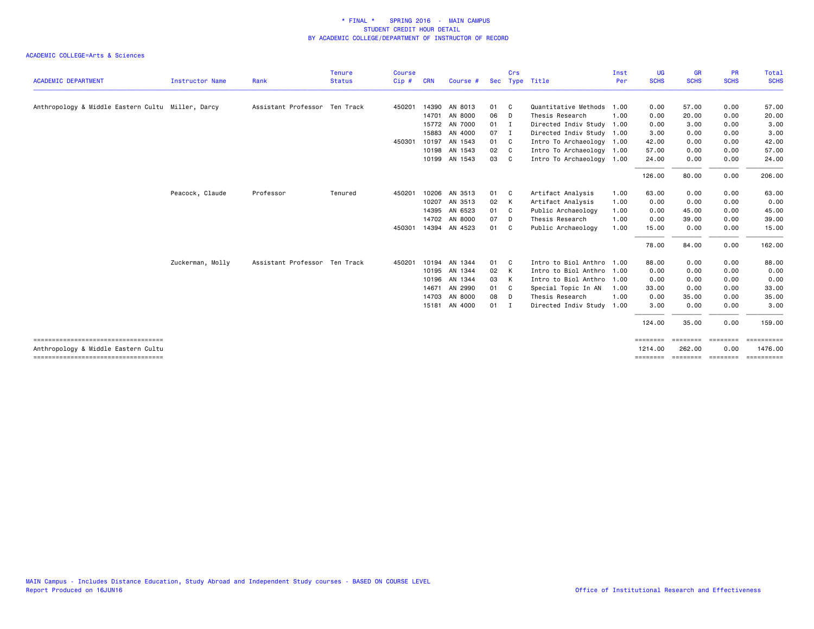|                                                                             |                  |                               | <b>Tenure</b> | <b>Course</b> |            |               |     | Crs          |                           | Inst | UG                  | <b>GR</b>          | <b>PR</b>        | <b>Total</b>          |
|-----------------------------------------------------------------------------|------------------|-------------------------------|---------------|---------------|------------|---------------|-----|--------------|---------------------------|------|---------------------|--------------------|------------------|-----------------------|
| <b>ACADEMIC DEPARTMENT</b>                                                  | Instructor Name  | Rank                          | <b>Status</b> | $Cip$ #       | <b>CRN</b> | Course #      | Sec |              | Type Title                | Per  | <b>SCHS</b>         | <b>SCHS</b>        | <b>SCHS</b>      | <b>SCHS</b>           |
| Anthropology & Middle Eastern Cultu Miller, Darcy                           |                  | Assistant Professor Ten Track |               | 450201        | 14390      | AN 8013       | 01  | C.           | Quantitative Methods 1.00 |      | 0.00                | 57.00              | 0.00             | 57.00                 |
|                                                                             |                  |                               |               |               | 14701      | AN 8000       | 06  | D            | Thesis Research           | 1.00 | 0.00                | 20.00              | 0.00             | 20.00                 |
|                                                                             |                  |                               |               |               | 15772      | AN 7000       | 01  | I            | Directed Indiv Study 1.00 |      | 0.00                | 3.00               | 0.00             | 3.00                  |
|                                                                             |                  |                               |               |               | 15883      | AN 4000       | 07  | $\mathbf I$  | Directed Indiv Study 1.00 |      | 3.00                | 0.00               | 0.00             | 3.00                  |
|                                                                             |                  |                               |               | 450301        | 10197      | AN 1543       | 01  | C            | Intro To Archaeology 1.00 |      | 42.00               | 0.00               | 0.00             | 42.00                 |
|                                                                             |                  |                               |               |               | 10198      | AN 1543       | 02  | C            | Intro To Archaeology 1.00 |      | 57.00               | 0.00               | 0.00             | 57.00                 |
|                                                                             |                  |                               |               |               | 10199      | AN 1543       | 03  | C.           | Intro To Archaeology 1.00 |      | 24.00               | 0.00               | 0.00             | 24.00                 |
|                                                                             |                  |                               |               |               |            |               |     |              |                           |      | 126.00              | 80.00              | 0.00             | 206.00                |
|                                                                             | Peacock, Claude  | Professor                     | Tenured       | 450201        | 10206      | AN 3513       | 01  | $\mathbf{C}$ | Artifact Analysis         | 1.00 | 63.00               | 0.00               | 0.00             | 63.00                 |
|                                                                             |                  |                               |               |               | 10207      | AN 3513       | 02  | K            | Artifact Analysis         | 1.00 | 0.00                | 0.00               | 0.00             | 0.00                  |
|                                                                             |                  |                               |               |               | 14395      | AN 6523       | 01  | C            | Public Archaeology        | 1.00 | 0.00                | 45.00              | 0.00             | 45.00                 |
|                                                                             |                  |                               |               |               | 14702      | AN 8000       | 07  | D            | Thesis Research           | 1.00 | 0.00                | 39.00              | 0.00             | 39.00                 |
|                                                                             |                  |                               |               | 450301        |            | 14394 AN 4523 | 01  | C.           | Public Archaeology        | 1.00 | 15.00               | 0.00               | 0.00             | 15.00                 |
|                                                                             |                  |                               |               |               |            |               |     |              |                           |      | 78.00               | 84.00              | 0.00             | 162.00                |
|                                                                             | Zuckerman, Molly | Assistant Professor Ten Track |               | 450201        | 10194      | AN 1344       | 01  | C.           | Intro to Biol Anthro 1.00 |      | 88.00               | 0.00               | 0.00             | 88.00                 |
|                                                                             |                  |                               |               |               | 10195      | AN 1344       | 02  | K            | Intro to Biol Anthro      | 1.00 | 0.00                | 0.00               | 0.00             | 0.00                  |
|                                                                             |                  |                               |               |               | 10196      | AN 1344       | 03  | K            | Intro to Biol Anthro 1.00 |      | 0.00                | 0.00               | 0.00             | 0.00                  |
|                                                                             |                  |                               |               |               | 14671      | AN 2990       | 01  | C            | Special Topic In AN       | 1.00 | 33.00               | 0.00               | 0.00             | 33.00                 |
|                                                                             |                  |                               |               |               | 14703      | AN 8000       | 08  | D            | Thesis Research           | 1.00 | 0.00                | 35.00              | 0.00             | 35.00                 |
|                                                                             |                  |                               |               |               | 15181      | AN 4000       | 01  | I            | Directed Indiv Study 1.00 |      | 3.00                | 0.00               | 0.00             | 3.00                  |
|                                                                             |                  |                               |               |               |            |               |     |              |                           |      | 124.00              | 35.00              | 0.00             | 159.00                |
| ====================================<br>Anthropology & Middle Eastern Cultu |                  |                               |               |               |            |               |     |              |                           |      | ========<br>1214.00 | ========<br>262,00 | ========<br>0.00 | ==========<br>1476.00 |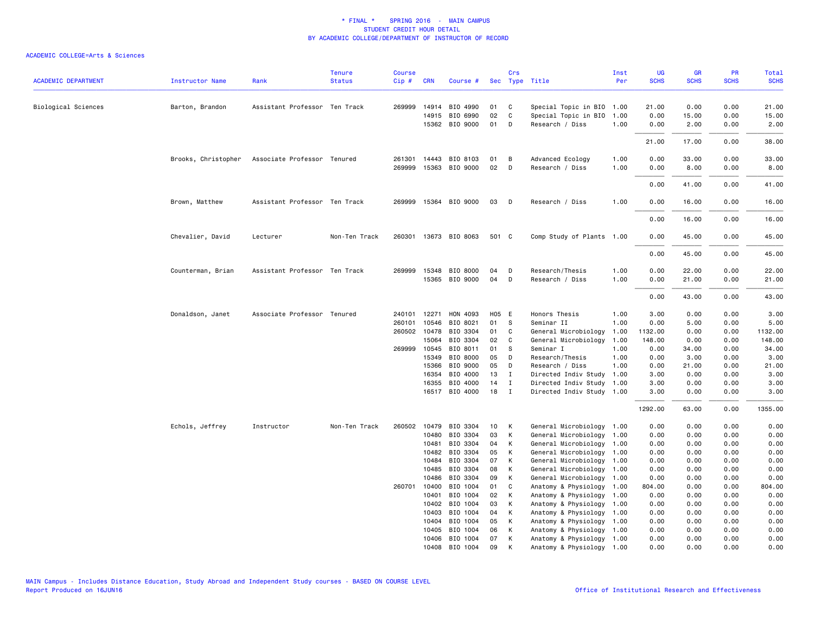| <b>ACADEMIC DEPARTMENT</b> | <b>Instructor Name</b> | Rank                          | <b>Tenure</b><br><b>Status</b> | <b>Course</b><br>Cip# | <b>CRN</b>     | Course #                          |          | Crs          | Sec Type Title                                    | Inst<br>Per  | <b>UG</b><br><b>SCHS</b> | <b>GR</b><br><b>SCHS</b> | PR<br><b>SCHS</b> | Total<br><b>SCHS</b> |
|----------------------------|------------------------|-------------------------------|--------------------------------|-----------------------|----------------|-----------------------------------|----------|--------------|---------------------------------------------------|--------------|--------------------------|--------------------------|-------------------|----------------------|
|                            |                        |                               |                                |                       |                |                                   | 01       | C            |                                                   |              |                          | 0.00                     | 0.00              | 21.00                |
| Biological Sciences        | Barton, Brandon        | Assistant Professor Ten Track |                                |                       | 14915          | 269999 14914 BIO 4990<br>BIO 6990 | 02       | $\mathsf{C}$ | Special Topic in BIO<br>Special Topic in BIO      | 1.00<br>1.00 | 21.00<br>0.00            | 15.00                    | 0.00              | 15.00                |
|                            |                        |                               |                                |                       |                | 15362 BIO 9000                    | 01       | D            | Research / Diss                                   | 1.00         | 0.00                     | 2.00                     | 0.00              | 2.00                 |
|                            |                        |                               |                                |                       |                |                                   |          |              |                                                   |              |                          |                          |                   |                      |
|                            |                        |                               |                                |                       |                |                                   |          |              |                                                   |              | 21.00                    | 17.00                    | 0.00              | 38.00                |
|                            | Brooks, Christopher    | Associate Professor Tenured   |                                |                       |                | 261301 14443 BIO 8103             | 01       | B            | Advanced Ecology                                  | 1.00         | 0.00                     | 33.00                    | 0.00              | 33.00                |
|                            |                        |                               |                                | 269999                |                | 15363 BIO 9000                    | 02       | D            | Research / Diss                                   | 1.00         | 0.00                     | 8.00                     | 0.00              | 8.00                 |
|                            |                        |                               |                                |                       |                |                                   |          |              |                                                   |              | 0.00                     | 41.00                    | 0.00              | 41.00                |
|                            | Brown, Matthew         | Assistant Professor Ten Track |                                |                       |                | 269999 15364 BIO 9000             | 03       | D            | Research / Diss                                   | 1.00         | 0.00                     | 16.00                    | 0.00              | 16.00                |
|                            |                        |                               |                                |                       |                |                                   |          |              |                                                   |              | 0.00                     | 16.00                    | 0.00              | 16.00                |
|                            | Chevalier, David       | Lecturer                      | Non-Ten Track                  |                       |                | 260301 13673 BIO 8063             | 501 C    |              | Comp Study of Plants 1.00                         |              | 0.00                     | 45.00                    | 0.00              | 45.00                |
|                            |                        |                               |                                |                       |                |                                   |          |              |                                                   |              | 0.00                     | 45.00                    | 0.00              | 45.00                |
|                            |                        |                               |                                |                       |                |                                   |          |              |                                                   |              |                          |                          |                   |                      |
|                            | Counterman, Brian      | Assistant Professor Ten Track |                                |                       |                | 269999 15348 BIO 8000             | 04       | D            | Research/Thesis                                   | 1.00         | 0.00                     | 22.00                    | 0.00              | 22.00                |
|                            |                        |                               |                                |                       |                | 15365 BIO 9000                    | 04       | D            | Research / Diss                                   | 1.00         | 0.00                     | 21.00                    | 0.00              | 21.00                |
|                            |                        |                               |                                |                       |                |                                   |          |              |                                                   |              | 0.00                     | 43.00                    | 0.00              | 43.00                |
|                            | Donaldson, Janet       | Associate Professor Tenured   |                                | 240101                | 12271          | HON 4093                          | H05 E    |              | Honors Thesis                                     | 1.00         | 3.00                     | 0.00                     | 0.00              | 3.00                 |
|                            |                        |                               |                                | 260101                | 10546          | BIO 8021                          | 01       | s            | Seminar II                                        | 1.00         | 0.00                     | 5.00                     | 0.00              | 5.00                 |
|                            |                        |                               |                                |                       | 260502 10478   | BIO 3304                          | 01       | C            | General Microbiology                              | 1.00         | 1132.00                  | 0.00                     | 0.00              | 1132.00              |
|                            |                        |                               |                                |                       | 15064          | BIO 3304                          | 02       | C            | General Microbiology                              | 1.00         | 148.00                   | 0.00                     | 0.00              | 148.00               |
|                            |                        |                               |                                |                       | 269999 10545   | BIO 8011                          | 01       | S            | Seminar I                                         | 1.00         | 0.00                     | 34.00                    | 0.00              | 34.00                |
|                            |                        |                               |                                |                       | 15349          | BIO 8000                          | 05       | D            | Research/Thesis                                   | 1.00         | 0.00                     | 3.00                     | 0.00              | 3.00                 |
|                            |                        |                               |                                |                       | 15366          | BIO 9000                          | 05       | D            | Research / Diss                                   | 1.00         | 0.00                     | 21.00                    | 0.00              | 21.00                |
|                            |                        |                               |                                |                       | 16354          | BIO 4000                          | 13       | $\mathbf{I}$ | Directed Indiv Study                              | 1.00         | 3.00                     | 0.00                     | 0.00              | 3.00                 |
|                            |                        |                               |                                |                       | 16355          | BIO 4000                          | 14       | $\mathbf{I}$ | Directed Indiv Study 1.00                         |              | 3.00                     | 0.00                     | 0.00              | 3.00                 |
|                            |                        |                               |                                |                       |                | 16517 BIO 4000                    | 18       | I            | Directed Indiv Study 1.00                         |              | 3.00                     | 0.00                     | 0.00              | 3.00                 |
|                            |                        |                               |                                |                       |                |                                   |          |              |                                                   |              | 1292.00                  | 63.00                    | 0.00              | 1355.00              |
|                            | Echols, Jeffrey        | Instructor                    | Non-Ten Track                  |                       | 260502 10479   | BIO 3304                          | 10       | К            | General Microbiology 1.00                         |              | 0.00                     | 0.00                     | 0.00              | 0.00                 |
|                            |                        |                               |                                |                       | 10480          | BIO 3304                          | 03       | К            | General Microbiology 1.00                         |              | 0.00                     | 0.00                     | 0.00              | 0.00                 |
|                            |                        |                               |                                |                       | 10481          | BIO 3304                          | 04       | К            | General Microbiology 1.00                         |              | 0.00                     | 0.00                     | 0.00              | 0.00                 |
|                            |                        |                               |                                |                       | 10482<br>10484 | BIO 3304<br>BIO 3304              | 05<br>07 | К<br>К       | General Microbiology<br>General Microbiology 1.00 | 1.00         | 0.00<br>0.00             | 0.00<br>0.00             | 0.00<br>0.00      | 0.00<br>0.00         |
|                            |                        |                               |                                |                       | 10485          | BIO 3304                          | 08       | К            | General Microbiology 1.00                         |              | 0.00                     | 0.00                     | 0.00              | 0.00                 |
|                            |                        |                               |                                |                       | 10486          | BIO 3304                          | 09       | К            | General Microbiology                              | 1.00         | 0.00                     | 0.00                     | 0.00              | 0.00                 |
|                            |                        |                               |                                | 260701                | 10400          | BIO 1004                          | 01       | C            | Anatomy & Physiology                              | 1.00         | 804.00                   | 0.00                     | 0.00              | 804.00               |
|                            |                        |                               |                                |                       | 10401          | BIO 1004                          | 02       | К            | Anatomy & Physiology                              | 1.00         | 0.00                     | 0.00                     | 0.00              | 0.00                 |
|                            |                        |                               |                                |                       | 10402          | BIO 1004                          | 03       | К            | Anatomy & Physiology                              | 1.00         | 0.00                     | 0.00                     | 0.00              | 0.00                 |
|                            |                        |                               |                                |                       | 10403          | BIO 1004                          | 04       | К            | Anatomy & Physiology                              | 1.00         | 0.00                     | 0.00                     | 0.00              | 0.00                 |
|                            |                        |                               |                                |                       | 10404          | BIO 1004                          | 05       | К            | Anatomy & Physiology                              | 1.00         | 0.00                     | 0.00                     | 0.00              | 0.00                 |
|                            |                        |                               |                                |                       | 10405          | BIO 1004                          | 06       | К            | Anatomy & Physiology                              | 1.00         | 0.00                     | 0.00                     | 0.00              | 0.00                 |
|                            |                        |                               |                                |                       | 10406          | BIO 1004                          | 07       | К            | Anatomy & Physiology 1.00                         |              | 0.00                     | 0.00                     | 0.00              | 0.00                 |
|                            |                        |                               |                                |                       | 10408          | BIO 1004                          | 09       | К            | Anatomy & Physiology 1.00                         |              | 0.00                     | 0.00                     | 0.00              | 0.00                 |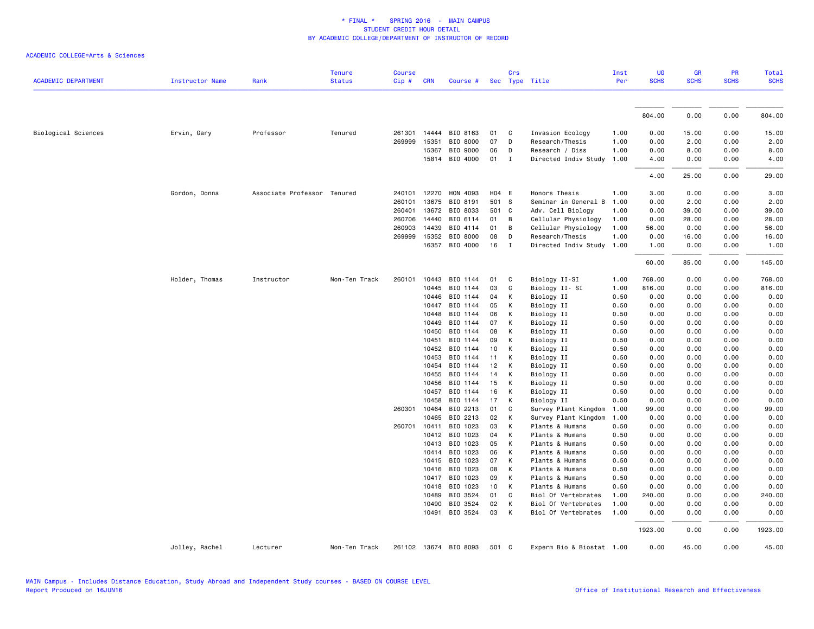| <b>ACADEMIC DEPARTMENT</b> | Instructor Name | Rank                        | <b>Tenure</b><br><b>Status</b> | <b>Course</b><br>Cip# | <b>CRN</b>     | Course #              |          | Crs            | Sec Type Title                             | Inst<br>Per  | UG<br><b>SCHS</b> | <b>GR</b><br><b>SCHS</b> | PR<br><b>SCHS</b> | Total<br><b>SCHS</b> |
|----------------------------|-----------------|-----------------------------|--------------------------------|-----------------------|----------------|-----------------------|----------|----------------|--------------------------------------------|--------------|-------------------|--------------------------|-------------------|----------------------|
|                            |                 |                             |                                |                       |                |                       |          |                |                                            |              |                   |                          |                   |                      |
|                            |                 |                             |                                |                       |                |                       |          |                |                                            |              | 804.00            | 0.00                     | 0.00              | 804.00               |
| Biological Sciences        | Ervin, Gary     | Professor                   | Tenured                        |                       | 261301 14444   | BIO 8163              | 01       | $\mathbf{C}$   | Invasion Ecology                           | 1.00         | 0.00              | 15.00                    | 0.00              | 15.00                |
|                            |                 |                             |                                | 269999 15351          |                | BIO 8000              | 07       | $\mathsf{D}$   | Research/Thesis                            | 1.00         | 0.00              | 2.00                     | 0.00              | 2.00                 |
|                            |                 |                             |                                |                       | 15367          | BIO 9000              | 06       | D              | Research / Diss                            | 1.00         | 0.00              | 8.00                     | 0.00              | 8.00                 |
|                            |                 |                             |                                |                       | 15814          | BIO 4000              | 01       | $\mathbf{I}$   | Directed Indiv Study                       | 1.00         | 4.00              | 0.00                     | 0.00              | 4.00                 |
|                            |                 |                             |                                |                       |                |                       |          |                |                                            |              | 4.00              | 25.00                    | 0.00              | 29.00                |
|                            | Gordon, Donna   | Associate Professor Tenured |                                | 240101                | 12270          | HON 4093              | H04 E    |                | Honors Thesis                              | 1.00         | 3.00              | 0.00                     | 0.00              | 3.00                 |
|                            |                 |                             |                                | 260101                | 13675          | BIO 8191              | 501 S    |                | Seminar in General B                       | 1.00         | 0.00              | 2.00                     | 0.00              | 2.00                 |
|                            |                 |                             |                                | 260401                | 13672          | BIO 8033              | 501 C    |                | Adv. Cell Biology                          | 1.00         | 0.00              | 39.00                    | 0.00              | 39.00                |
|                            |                 |                             |                                | 260706                | 14440          | BIO 6114              | 01 B     |                | Cellular Physiology                        | 1.00         | 0.00              | 28.00                    | 0.00              | 28.00                |
|                            |                 |                             |                                | 260903                | 14439          | BIO 4114              | 01       | $\overline{B}$ | Cellular Physiology                        | 1.00         | 56.00             | 0.00                     | 0.00              | 56.00                |
|                            |                 |                             |                                |                       | 269999 15352   | BIO 8000              | 08       | D              | Research/Thesis                            | 1.00         | 0.00              | 16.00                    | 0.00              | 16.00                |
|                            |                 |                             |                                |                       | 16357          | BIO 4000              | 16       | $\blacksquare$ | Directed Indiv Study                       | 1.00         | 1.00              | 0.00                     | 0.00              | 1.00                 |
|                            |                 |                             |                                |                       |                |                       |          |                |                                            |              | 60.00             | 85.00                    | 0.00              | 145.00               |
|                            | Holder, Thomas  | Instructor                  | Non-Ten Track                  | 260101                | 10443          | BIO 1144              | 01       | C              | Biology II-SI                              | 1.00         | 768.00            | 0.00                     | 0.00              | 768.00               |
|                            |                 |                             |                                |                       | 10445          | BIO 1144              | 03       | C              | Biology II- SI                             | 1.00         | 816.00            | 0.00                     | 0.00              | 816.00               |
|                            |                 |                             |                                |                       | 10446          | BIO 1144              | 04       | К              | Biology II                                 | 0.50         | 0.00              | 0.00                     | 0.00              | 0.00                 |
|                            |                 |                             |                                |                       | 10447          | BIO 1144              | 05       | K              | Biology II                                 | 0.50         | 0.00              | 0.00                     | 0.00              | 0.00                 |
|                            |                 |                             |                                |                       | 10448          | BIO 1144              | 06       | К              | Biology II                                 | 0.50         | 0.00              | 0.00                     | 0.00              | 0.00                 |
|                            |                 |                             |                                |                       | 10449          | BIO 1144              | 07       | К              | Biology II                                 | 0.50         | 0.00              | 0.00                     | 0.00              | 0.00                 |
|                            |                 |                             |                                |                       | 10450          | BIO 1144              | 08       | K              | Biology II                                 | 0.50         | 0.00              | 0.00                     | 0.00              | 0.00                 |
|                            |                 |                             |                                |                       | 10451          | BIO 1144              | 09       | K              | Biology II                                 | 0.50         | 0.00              | 0.00                     | 0.00              | 0.00                 |
|                            |                 |                             |                                |                       | 10452          | BIO 1144              | 10       | К              | Biology II                                 | 0.50         | 0.00              | 0.00                     | 0.00              | 0.00                 |
|                            |                 |                             |                                |                       | 10453          | BIO 1144              | 11       | K              | Biology II                                 | 0.50         | 0.00              | 0.00                     | 0.00              | 0.00                 |
|                            |                 |                             |                                |                       | 10454          | BIO 1144              | 12       | K              | Biology II                                 | 0.50         | 0.00              | 0.00                     | 0.00              | 0.00                 |
|                            |                 |                             |                                |                       | 10455          | BIO 1144              | 14       | К              | Biology II                                 | 0.50         | 0.00              | 0.00                     | 0.00              | 0.00                 |
|                            |                 |                             |                                |                       | 10456          | BIO 1144              | 15       | K              | Biology II                                 | 0.50         | 0.00              | 0.00                     | 0.00              | 0.00                 |
|                            |                 |                             |                                |                       | 10457          | BIO 1144              | 16       | K              | Biology II                                 | 0.50         | 0.00              | 0.00                     | 0.00              | 0.00                 |
|                            |                 |                             |                                |                       | 10458          | BIO 1144              | 17       | K              | Biology II                                 | 0.50         | 0.00              | 0.00                     | 0.00              | 0.00                 |
|                            |                 |                             |                                | 260301                | 10464          | BIO 2213              | 01       | C              | Survey Plant Kingdom                       | 1.00         | 99.00             | 0.00                     | 0.00              | 99.00                |
|                            |                 |                             |                                |                       | 10465          | BIO 2213              | 02       | K              | Survey Plant Kingdom                       | 1.00         | 0.00              | 0.00                     | 0.00              | 0.00                 |
|                            |                 |                             |                                |                       | 260701 10411   | BIO 1023              | 03       | K              | Plants & Humans                            | 0.50         | 0.00              | 0.00                     | 0.00              | 0.00                 |
|                            |                 |                             |                                |                       | 10412          | BIO 1023              | 04       | K              | Plants & Humans                            | 0.50         | 0.00              | 0.00                     | 0.00              | 0.00                 |
|                            |                 |                             |                                |                       | 10413          | BIO 1023              | 05       | K              | Plants & Humans                            | 0.50         | 0.00              | 0.00                     | 0.00              | 0.00                 |
|                            |                 |                             |                                |                       | 10414          | BIO 1023              | 06       | K              | Plants & Humans                            | 0.50         | 0.00              | 0.00                     | 0.00              | 0.00                 |
|                            |                 |                             |                                |                       | 10415          | BIO 1023              | 07       | K              | Plants & Humans                            | 0.50         | 0.00              | 0.00                     | 0.00              | 0.00                 |
|                            |                 |                             |                                |                       | 10416          | BIO 1023              | 08       | K              | Plants & Humans                            | 0.50         | 0.00              | 0.00                     | 0.00              | 0.00                 |
|                            |                 |                             |                                |                       | 10417          | BIO 1023              | 09       | K              | Plants & Humans                            | 0.50         | 0.00              | 0.00                     | 0.00              | 0.00                 |
|                            |                 |                             |                                |                       | 10418          | BIO 1023              | 10       | K              | Plants & Humans                            | 0.50         | 0.00              | 0.00                     | 0.00              | 0.00                 |
|                            |                 |                             |                                |                       | 10489          | BIO 3524              | 01       | C              | Biol Of Vertebrates                        | 1.00         | 240.00            | 0.00                     | 0.00              | 240.00               |
|                            |                 |                             |                                |                       | 10490<br>10491 | BIO 3524<br>BIO 3524  | 02<br>03 | K<br>K         | Biol Of Vertebrates<br>Biol Of Vertebrates | 1.00<br>1.00 | 0.00<br>0.00      | 0.00<br>0.00             | 0.00<br>0.00      | 0.00<br>0.00         |
|                            |                 |                             |                                |                       |                |                       |          |                |                                            |              | 1923.00           | 0.00                     | 0.00              | 1923.00              |
|                            | Jolley, Rachel  | Lecturer                    | Non-Ten Track                  |                       |                | 261102 13674 BIO 8093 | 501 C    |                | Experm Bio & Biostat 1.00                  |              | 0.00              | 45.00                    | 0.00              | 45.00                |
|                            |                 |                             |                                |                       |                |                       |          |                |                                            |              |                   |                          |                   |                      |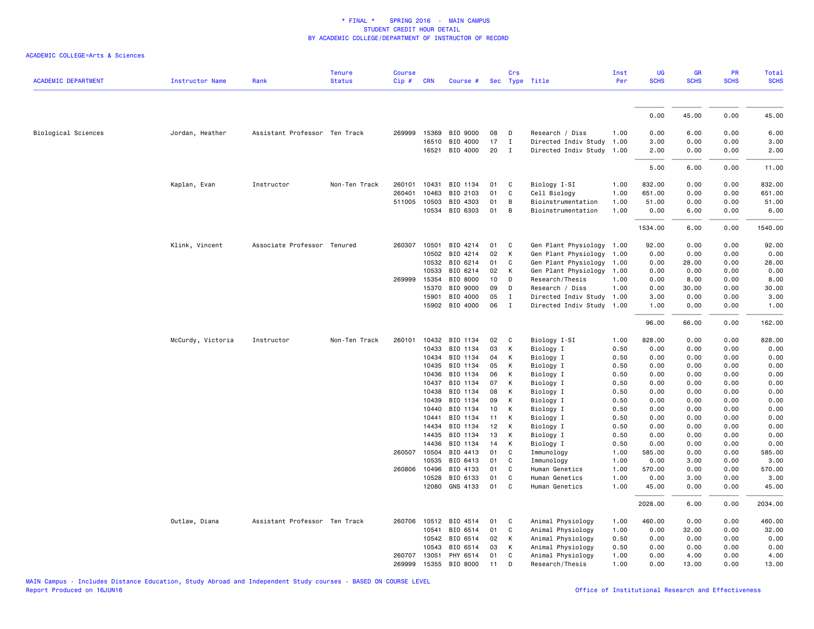| <b>ACADEMIC DEPARTMENT</b> |                   | Rank                          | <b>Tenure</b> | <b>Course</b> | <b>CRN</b>   |                            |          | Crs                        |                                                   | Inst<br>Per | <b>UG</b><br><b>SCHS</b> | <b>GR</b><br><b>SCHS</b> | PR<br><b>SCHS</b> | Total<br><b>SCHS</b> |
|----------------------------|-------------------|-------------------------------|---------------|---------------|--------------|----------------------------|----------|----------------------------|---------------------------------------------------|-------------|--------------------------|--------------------------|-------------------|----------------------|
|                            | Instructor Name   |                               | <b>Status</b> | Cip#          |              | Course #                   |          |                            | Sec Type Title                                    |             |                          |                          |                   |                      |
|                            |                   |                               |               |               |              |                            |          |                            |                                                   |             | 0.00                     | 45.00                    | 0.00              | 45.00                |
|                            |                   |                               |               | 269999        |              |                            |          |                            |                                                   | 1.00        |                          |                          |                   |                      |
| Biological Sciences        | Jordan, Heather   | Assistant Professor Ten Track |               |               | 15369        | BIO 9000                   | 08       | $\mathsf{D}$               | Research / Diss                                   |             | 0.00                     | 6.00                     | 0.00              | 6.00                 |
|                            |                   |                               |               |               | 16510        | BIO 4000<br>16521 BIO 4000 | 17<br>20 | $\mathbf I$<br>$\mathbf I$ | Directed Indiv Study<br>Directed Indiv Study 1.00 | 1.00        | 3.00<br>2.00             | 0.00<br>0.00             | 0.00<br>0.00      | 3.00<br>2.00         |
|                            |                   |                               |               |               |              |                            |          |                            |                                                   |             |                          |                          |                   |                      |
|                            |                   |                               |               |               |              |                            |          |                            |                                                   |             | 5.00                     | 6.00                     | 0.00              | 11.00                |
|                            | Kaplan, Evan      | Instructor                    | Non-Ten Track |               | 260101 10431 | BIO 1134                   | 01       | $\mathbf{C}$               | Biology I-SI                                      | 1.00        | 832.00                   | 0.00                     | 0.00              | 832.00               |
|                            |                   |                               |               | 260401        | 10463        | BIO 2103                   | 01       | C                          | Cell Biology                                      | 1.00        | 651.00                   | 0.00                     | 0.00              | 651.00               |
|                            |                   |                               |               | 511005        | 10503        | BIO 4303                   | 01       | B                          | Bioinstrumentation                                | 1.00        | 51.00                    | 0.00                     | 0.00              | 51.00                |
|                            |                   |                               |               |               | 10534        | BIO 6303                   | 01       | B                          | Bioinstrumentation                                | 1.00        | 0.00                     | 6.00                     | 0.00              | 6.00                 |
|                            |                   |                               |               |               |              |                            |          |                            |                                                   |             | 1534.00                  | 6.00                     | 0.00              | 1540.00              |
|                            | Klink, Vincent    | Associate Professor Tenured   |               | 260307        | 10501        | BIO 4214                   | 01       | C                          | Gen Plant Physiology 1.00                         |             | 92.00                    | 0.00                     | 0.00              | 92.00                |
|                            |                   |                               |               |               | 10502        | BIO 4214                   | 02       | K                          | Gen Plant Physiology 1.00                         |             | 0.00                     | 0.00                     | 0.00              | 0.00                 |
|                            |                   |                               |               |               | 10532        | BIO 6214                   | 01       | C                          | Gen Plant Physiology 1.00                         |             | 0.00                     | 28.00                    | 0.00              | 28.00                |
|                            |                   |                               |               |               | 10533        | BIO 6214                   | 02       | K                          | Gen Plant Physiology 1.00                         |             | 0.00                     | 0.00                     | 0.00              | 0.00                 |
|                            |                   |                               |               | 269999        | 15354        | BIO 8000                   | 10       | D                          | Research/Thesis                                   | 1.00        | 0.00                     | 8.00                     | 0.00              | 8.00                 |
|                            |                   |                               |               |               | 15370        | BIO 9000                   | 09       | D                          | Research / Diss                                   | 1.00        | 0.00                     | 30.00                    | 0.00              | 30.00                |
|                            |                   |                               |               |               | 15901        | BIO 4000                   | 05       | $\mathbf{I}$               | Directed Indiv Study 1.00                         |             | 3.00                     | 0.00                     | 0.00              | 3.00                 |
|                            |                   |                               |               |               | 15902        | BIO 4000                   | 06       | $\mathbf I$                | Directed Indiv Study 1.00                         |             | 1.00                     | 0.00                     | 0.00              | 1.00                 |
|                            |                   |                               |               |               |              |                            |          |                            |                                                   |             | 96.00                    | 66.00                    | 0.00              | 162.00               |
|                            | McCurdy, Victoria | Instructor                    | Non-Ten Track | 260101        | 10432        | BIO 1134                   | 02       | C                          | Biology I-SI                                      | 1.00        | 828.00                   | 0.00                     | 0.00              | 828.00               |
|                            |                   |                               |               |               | 10433        | BIO 1134                   | 03       | К                          | Biology I                                         | 0.50        | 0.00                     | 0.00                     | 0.00              | 0.00                 |
|                            |                   |                               |               |               | 10434        | BIO 1134                   | 04       | К                          | Biology I                                         | 0.50        | 0.00                     | 0.00                     | 0.00              | 0.00                 |
|                            |                   |                               |               |               | 10435        | BIO 1134                   | 05       | K                          | Biology I                                         | 0.50        | 0.00                     | 0.00                     | 0.00              | 0.00                 |
|                            |                   |                               |               |               | 10436        | BIO 1134                   | 06       | К                          | Biology I                                         | 0.50        | 0.00                     | 0.00                     | 0.00              | 0.00                 |
|                            |                   |                               |               |               | 10437        | BIO 1134                   | 07       | К                          | Biology I                                         | 0.50        | 0.00                     | 0.00                     | 0.00              | 0.00                 |
|                            |                   |                               |               |               | 10438        | BIO 1134                   | 08       | К                          | Biology I                                         | 0.50        | 0.00                     | 0.00                     | 0.00              | 0.00                 |
|                            |                   |                               |               |               | 10439        | BIO 1134                   | 09       | К                          | Biology I                                         | 0.50        | 0.00                     | 0.00                     | 0.00              | 0.00                 |
|                            |                   |                               |               |               | 10440        | BIO 1134                   | 10       | К                          | Biology I                                         | 0.50        | 0.00                     | 0.00                     | 0.00              | 0.00                 |
|                            |                   |                               |               |               | 10441        | BIO 1134                   | 11       | К                          | Biology I                                         | 0.50        | 0.00                     | 0.00                     | 0.00              | 0.00                 |
|                            |                   |                               |               |               | 14434        | BIO 1134                   | 12       | K                          | Biology I                                         | 0.50        | 0.00                     | 0.00                     | 0.00              | 0.00                 |
|                            |                   |                               |               |               | 14435        | BIO 1134                   | 13       | К                          | Biology I                                         | 0.50        | 0.00                     | 0.00                     | 0.00              | 0.00                 |
|                            |                   |                               |               |               | 14436        | BIO 1134                   | 14       | К                          | Biology I                                         | 0.50        | 0.00                     | 0.00                     | 0.00              | 0.00                 |
|                            |                   |                               |               |               | 260507 10504 | BIO 4413                   | 01       | C                          | Immunology                                        | 1.00        | 585.00                   | 0.00                     | 0.00              | 585.00               |
|                            |                   |                               |               |               | 10535        | BIO 6413                   | 01       | C                          | Immunology                                        | 1.00        | 0.00                     | 3.00                     | 0.00              | 3.00                 |
|                            |                   |                               |               | 260806        | 10496        | BIO 4133                   | 01       | C                          | Human Genetics                                    | 1.00        | 570.00                   | 0.00                     | 0.00              | 570.00               |
|                            |                   |                               |               |               | 10528        | BIO 6133                   | 01       | C                          | Human Genetics                                    | 1.00        | 0.00                     | 3.00                     | 0.00              | 3.00                 |
|                            |                   |                               |               |               | 12080        | GNS 4133                   | 01       | C                          | Human Genetics                                    | 1.00        | 45.00                    | 0.00                     | 0.00              | 45.00                |
|                            |                   |                               |               |               |              |                            |          |                            |                                                   |             | 2028.00                  | 6.00                     | 0.00              | 2034.00              |
|                            | Outlaw, Diana     | Assistant Professor Ten Track |               | 260706        | 10512        | BIO 4514                   | 01       | C                          | Animal Physiology                                 | 1.00        | 460.00                   | 0.00                     | 0.00              | 460.00               |
|                            |                   |                               |               |               | 10541        | BIO 6514                   | 01       | C                          | Animal Physiology                                 | 1.00        | 0.00                     | 32.00                    | 0.00              | 32.00                |
|                            |                   |                               |               |               | 10542        | BIO 6514                   | 02       | К                          | Animal Physiology                                 | 0.50        | 0.00                     | 0.00                     | 0.00              | 0.00                 |
|                            |                   |                               |               |               | 10543        | BIO 6514                   | 03       | K                          | Animal Physiology                                 | 0.50        | 0.00                     | 0.00                     | 0.00              | 0.00                 |
|                            |                   |                               |               | 260707        | 13051        | PHY 6514                   | 01       | C                          | Animal Physiology                                 | 1.00        | 0.00                     | 4.00                     | 0.00              | 4.00                 |
|                            |                   |                               |               | 269999        | 15355        | BIO 8000                   | 11       | D                          | Research/Thesis                                   | 1.00        | 0.00                     | 13,00                    | 0.00              | 13.00                |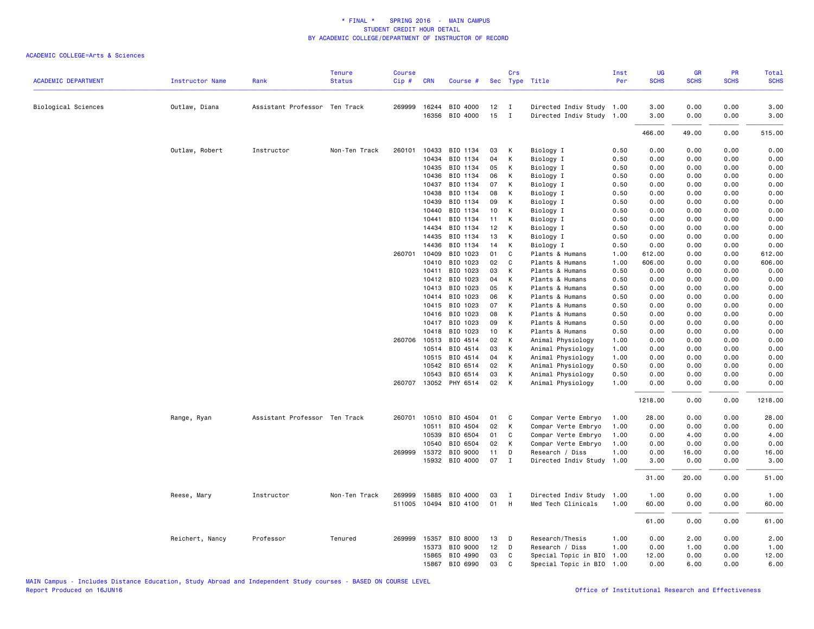| <b>ACADEMIC DEPARTMENT</b> | <b>Instructor Name</b> | Rank                          | <b>Tenure</b><br><b>Status</b> | <b>Course</b><br>Cip# | <b>CRN</b>   | Course #              |    | Crs          | Sec Type Title            | Inst<br>Per | UG<br><b>SCHS</b> | GR<br><b>SCHS</b> | PR<br><b>SCHS</b> | <b>Total</b><br><b>SCHS</b> |
|----------------------------|------------------------|-------------------------------|--------------------------------|-----------------------|--------------|-----------------------|----|--------------|---------------------------|-------------|-------------------|-------------------|-------------------|-----------------------------|
|                            |                        |                               |                                |                       |              |                       |    |              |                           |             |                   |                   |                   |                             |
| Biological Sciences        | Outlaw, Diana          | Assistant Professor Ten Track |                                |                       | 269999 16244 | BIO 4000              | 12 | $\mathbf{I}$ | Directed Indiv Study 1.00 |             | 3.00              | 0.00              | 0.00              | 3.00                        |
|                            |                        |                               |                                |                       | 16356        | BIO 4000              | 15 | $\mathbf{I}$ | Directed Indiv Study 1.00 |             | 3.00              | 0.00              | 0.00              | 3.00                        |
|                            |                        |                               |                                |                       |              |                       |    |              |                           |             | 466.00            | 49.00             | 0.00              | 515.00                      |
|                            | Outlaw, Robert         | Instructor                    | Non-Ten Track                  | 260101                | 10433        | BIO 1134              | 03 | К            | Biology I                 | 0.50        | 0.00              | 0.00              | 0.00              | 0.00                        |
|                            |                        |                               |                                |                       | 10434        | BIO 1134              | 04 | К            | Biology I                 | 0.50        | 0.00              | 0.00              | 0.00              | 0.00                        |
|                            |                        |                               |                                |                       | 10435        | BIO 1134              | 05 | К            | Biology I                 | 0.50        | 0.00              | 0.00              | 0.00              | 0.00                        |
|                            |                        |                               |                                |                       | 10436        | BIO 1134              | 06 | К            | Biology I                 | 0.50        | 0.00              | 0.00              | 0.00              | 0.00                        |
|                            |                        |                               |                                |                       | 10437        | BIO 1134              | 07 | К            | Biology I                 | 0.50        | 0.00              | 0.00              | 0.00              | 0.00                        |
|                            |                        |                               |                                |                       | 10438        | BIO 1134              | 08 | К            | Biology I                 | 0.50        | 0.00              | 0.00              | 0.00              | 0.00                        |
|                            |                        |                               |                                |                       | 10439        | BIO 1134              | 09 | К            | Biology I                 | 0.50        | 0.00              | 0.00              | 0.00              | 0.00                        |
|                            |                        |                               |                                |                       | 10440        | BIO 1134              | 10 | К            | Biology I                 | 0.50        | 0.00              | 0.00              | 0.00              | 0.00                        |
|                            |                        |                               |                                |                       | 10441        | BIO 1134              | 11 | К            | Biology I                 | 0.50        | 0.00              | 0.00              | 0.00              | 0.00                        |
|                            |                        |                               |                                |                       | 14434        | BIO 1134              | 12 | К            | Biology I                 | 0.50        | 0.00              | 0.00              | 0.00              | 0.00                        |
|                            |                        |                               |                                |                       | 14435        | BIO 1134              | 13 | K            | Biology I                 | 0.50        | 0.00              | 0.00              | 0.00              | 0.00                        |
|                            |                        |                               |                                |                       | 14436        | BIO 1134              | 14 | К            | Biology I                 | 0.50        | 0.00              | 0.00              | 0.00              | 0.00                        |
|                            |                        |                               |                                | 260701                | 10409        | BIO 1023              | 01 | C            | Plants & Humans           | 1.00        | 612.00            | 0.00              | 0.00              | 612.00                      |
|                            |                        |                               |                                |                       | 10410        | BIO 1023              | 02 | C            | Plants & Humans           | 1.00        | 606.00            | 0.00              | 0.00              | 606.00                      |
|                            |                        |                               |                                |                       | 10411        | BIO 1023              | 03 | K            | Plants & Humans           | 0.50        | 0.00              | 0.00              | 0.00              | 0.00                        |
|                            |                        |                               |                                |                       | 10412        | BIO 1023              | 04 | K            | Plants & Humans           | 0.50        | 0.00              | 0.00              | 0.00              | 0.00                        |
|                            |                        |                               |                                |                       | 10413        | BIO 1023              | 05 | K            | Plants & Humans           | 0.50        | 0.00              | 0.00              | 0.00              | 0.00                        |
|                            |                        |                               |                                |                       | 10414        | BIO 1023              | 06 | К            | Plants & Humans           | 0.50        | 0.00              | 0.00              | 0.00              | 0.00                        |
|                            |                        |                               |                                |                       | 10415        | BIO 1023              | 07 | К            | Plants & Humans           | 0.50        | 0.00              | 0.00              | 0.00              | 0.00                        |
|                            |                        |                               |                                |                       | 10416        | BIO 1023              | 08 | K            | Plants & Humans           | 0.50        | 0.00              | 0.00              | 0.00              | 0.00                        |
|                            |                        |                               |                                |                       | 10417        | BIO 1023              | 09 | К            | Plants & Humans           | 0.50        | 0.00              | 0.00              | 0.00              | 0.00                        |
|                            |                        |                               |                                |                       | 10418        | BIO 1023              | 10 | K            | Plants & Humans           | 0.50        | 0.00              | 0.00              | 0.00              | 0.00                        |
|                            |                        |                               |                                | 260706                | 10513        | BIO 4514              | 02 | К            | Animal Physiology         | 1.00        | 0.00              | 0.00              | 0.00              | 0.00                        |
|                            |                        |                               |                                |                       | 10514        | BIO 4514              | 03 | К            | Animal Physiology         | 1.00        | 0.00              | 0.00              | 0.00              | 0.00                        |
|                            |                        |                               |                                |                       | 10515        | BIO 4514              | 04 | K            | Animal Physiology         | 1.00        | 0.00              | 0.00              | 0.00              | 0.00                        |
|                            |                        |                               |                                |                       | 10542        | BIO 6514              | 02 | K            | Animal Physiology         | 0.50        | 0.00              | 0.00              | 0.00              | 0.00                        |
|                            |                        |                               |                                |                       | 10543        | BIO 6514              | 03 | К            | Animal Physiology         | 0.50        | 0.00              | 0.00              | 0.00              | 0.00                        |
|                            |                        |                               |                                |                       |              | 260707 13052 PHY 6514 | 02 | K            | Animal Physiology         | 1.00        | 0.00              | 0.00              | 0.00              | 0.00                        |
|                            |                        |                               |                                |                       |              |                       |    |              |                           |             | 1218.00           | 0.00              | 0.00              | 1218.00                     |
|                            | Range, Ryan            | Assistant Professor Ten Track |                                | 260701                | 10510        | BIO 4504              | 01 | C            | Compar Verte Embryo       | 1.00        | 28.00             | 0.00              | 0.00              | 28.00                       |
|                            |                        |                               |                                |                       | 10511        | BIO 4504              | 02 | К            | Compar Verte Embryo       | 1.00        | 0.00              | 0.00              | 0.00              | 0.00                        |
|                            |                        |                               |                                |                       | 10539        | BIO 6504              | 01 | C            | Compar Verte Embryo       | 1.00        | 0.00              | 4.00              | 0.00              | 4.00                        |
|                            |                        |                               |                                |                       | 10540        | BIO 6504              | 02 | К            | Compar Verte Embryo       | 1.00        | 0.00              | 0.00              | 0.00              | 0.00                        |
|                            |                        |                               |                                |                       | 269999 15372 | BIO 9000              | 11 | D            | Research / Diss           | 1.00        | 0.00              | 16.00             | 0.00              | 16.00                       |
|                            |                        |                               |                                |                       | 15932        | BIO 4000              | 07 | $\mathbf{I}$ | Directed Indiv Study      | 1.00        | 3.00              | 0.00              | 0.00              | 3.00                        |
|                            |                        |                               |                                |                       |              |                       |    |              |                           |             | 31.00             | 20.00             | 0.00              | 51.00                       |
|                            | Reese, Mary            | Instructor                    | Non-Ten Track                  | 269999                | 15885        | BIO 4000              | 03 | $\mathbf{I}$ | Directed Indiv Study      | 1.00        | 1.00              | 0.00              | 0.00              | 1.00                        |
|                            |                        |                               |                                | 511005                |              | 10494 BIO 4100        | 01 | H            | Med Tech Clinicals        | 1.00        | 60.00             | 0.00              | 0.00              | 60.00                       |
|                            |                        |                               |                                |                       |              |                       |    |              |                           |             | 61.00             | 0.00              | 0.00              | 61.00                       |
|                            | Reichert, Nancy        | Professor                     | Tenured                        | 269999                | 15357        | BIO 8000              | 13 | D            | Research/Thesis           | 1.00        | 0.00              | 2.00              | 0.00              | 2.00                        |
|                            |                        |                               |                                |                       | 15373        | BIO 9000              | 12 | D            | Research / Diss           | 1.00        | 0.00              | 1.00              | 0.00              | 1.00                        |
|                            |                        |                               |                                |                       | 15865        | BIO 4990              | 03 | C            | Special Topic in BIO      | 1.00        | 12.00             | 0.00              | 0.00              | 12.00                       |
|                            |                        |                               |                                |                       | 15867        | BIO 6990              | 03 | $\mathbf{C}$ | Special Topic in BIO      | 1.00        | 0.00              | 6.00              | 0.00              | 6.00                        |
|                            |                        |                               |                                |                       |              |                       |    |              |                           |             |                   |                   |                   |                             |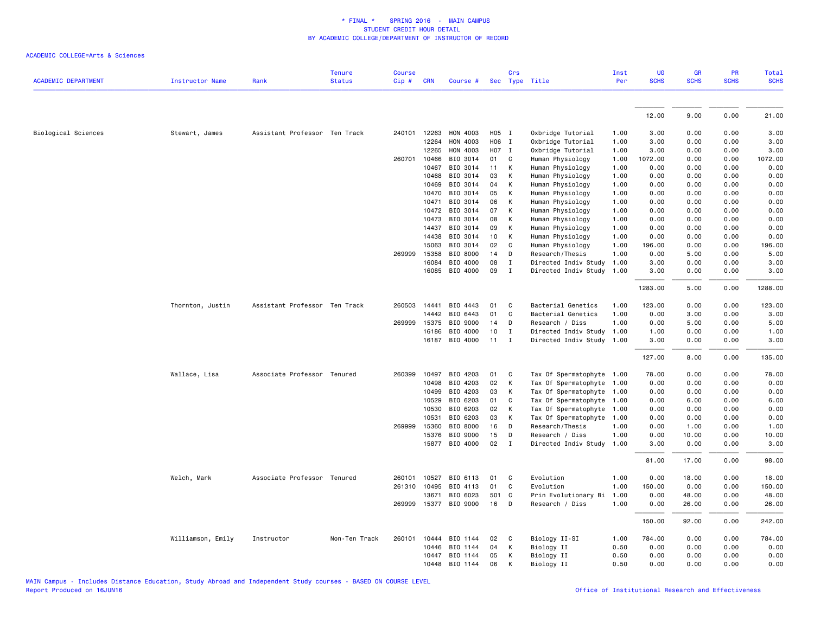|                            |                   |                               | <b>Tenure</b> | <b>Course</b> |              |                       |     | Crs          |                           | Inst | UG          | GR          | PR          | Total       |
|----------------------------|-------------------|-------------------------------|---------------|---------------|--------------|-----------------------|-----|--------------|---------------------------|------|-------------|-------------|-------------|-------------|
| <b>ACADEMIC DEPARTMENT</b> | Instructor Name   | Rank                          | <b>Status</b> | Cip#          | <b>CRN</b>   | Course #              |     |              | Sec Type Title            | Per  | <b>SCHS</b> | <b>SCHS</b> | <b>SCHS</b> | <b>SCHS</b> |
|                            |                   |                               |               |               |              |                       |     |              |                           |      |             |             |             |             |
|                            |                   |                               |               |               |              |                       |     |              |                           |      | 12.00       | 9.00        | 0.00        | 21.00       |
| Biological Sciences        | Stewart, James    | Assistant Professor Ten Track |               |               | 240101 12263 | HON 4003              |     | H05 I        | Oxbridge Tutorial         | 1.00 | 3.00        | 0.00        | 0.00        | 3.00        |
|                            |                   |                               |               |               | 12264        | HON 4003              |     | H06 I        | Oxbridge Tutorial         | 1.00 | 3.00        | 0.00        | 0.00        | 3.00        |
|                            |                   |                               |               |               | 12265        | HON 4003              |     | H07 I        | Oxbridge Tutorial         | 1.00 | 3.00        | 0.00        | 0.00        | 3.00        |
|                            |                   |                               |               |               | 260701 10466 | BIO 3014              | 01  | C            | Human Physiology          | 1.00 | 1072.00     | 0.00        | 0.00        | 1072.00     |
|                            |                   |                               |               |               | 10467        | BIO 3014              | 11  | К            | Human Physiology          | 1.00 | 0.00        | 0.00        | 0.00        | 0.00        |
|                            |                   |                               |               |               | 10468        | BIO 3014              | 03  | К            | Human Physiology          | 1.00 | 0.00        | 0.00        | 0.00        | 0.00        |
|                            |                   |                               |               |               | 10469        | BIO 3014              | 04  | К            | Human Physiology          | 1.00 | 0.00        | 0.00        | 0.00        | 0.00        |
|                            |                   |                               |               |               | 10470        | BIO 3014              | 05  | К            | Human Physiology          | 1.00 | 0.00        | 0.00        | 0.00        | 0.00        |
|                            |                   |                               |               |               | 10471        | BIO 3014              | 06  | K            | Human Physiology          | 1.00 | 0.00        | 0.00        | 0.00        | 0.00        |
|                            |                   |                               |               |               | 10472        | BIO 3014              | 07  | K            | Human Physiology          | 1.00 | 0.00        | 0.00        | 0.00        | 0.00        |
|                            |                   |                               |               |               | 10473        | BIO 3014              | 08  | К            | Human Physiology          | 1.00 | 0.00        | 0.00        | 0.00        | 0.00        |
|                            |                   |                               |               |               | 14437        | BIO 3014              | 09  | К            | Human Physiology          | 1.00 | 0.00        | 0.00        | 0.00        | 0.00        |
|                            |                   |                               |               |               | 14438        | BIO 3014              | 10  | К            | Human Physiology          | 1.00 | 0.00        | 0.00        | 0.00        | 0.00        |
|                            |                   |                               |               |               | 15063        | BIO 3014              | 02  | C            | Human Physiology          | 1.00 | 196.00      | 0.00        | 0.00        | 196.00      |
|                            |                   |                               |               | 269999        | 15358        | BIO 8000              | 14  | D            | Research/Thesis           | 1.00 | 0.00        | 5.00        | 0.00        | 5.00        |
|                            |                   |                               |               |               | 16084        | BIO 4000              | 08  | $\mathbf I$  | Directed Indiv Study      | 1.00 | 3.00        | 0.00        | 0.00        | 3.00        |
|                            |                   |                               |               |               |              | 16085 BIO 4000        | 09  | $\mathbf{I}$ | Directed Indiv Study 1.00 |      | 3.00        | 0.00        | 0.00        | 3.00        |
|                            |                   |                               |               |               |              |                       |     |              |                           |      | 1283.00     | 5.00        | 0.00        | 1288.00     |
|                            | Thornton, Justin  | Assistant Professor Ten Track |               |               | 260503 14441 | BIO 4443              | 01  | C            | Bacterial Genetics        | 1.00 | 123.00      | 0.00        | 0.00        | 123.00      |
|                            |                   |                               |               |               | 14442        | BIO 6443              | 01  | C            | Bacterial Genetics        | 1.00 | 0.00        | 3.00        | 0.00        | 3.00        |
|                            |                   |                               |               | 269999        | 15375        | BIO 9000              | 14  | D            | Research / Diss           | 1.00 | 0.00        | 5.00        | 0.00        | 5.00        |
|                            |                   |                               |               |               | 16186        | BIO 4000              | 10  | Ι.           | Directed Indiv Study      | 1.00 | 1.00        | 0.00        | 0.00        | 1.00        |
|                            |                   |                               |               |               |              | 16187 BIO 4000        | 11  | $\mathbf{I}$ | Directed Indiv Study 1.00 |      | 3.00        | 0.00        | 0.00        | 3.00        |
|                            |                   |                               |               |               |              |                       |     |              |                           |      | 127.00      | 8.00        | 0.00        | 135.00      |
|                            | Wallace, Lisa     | Associate Professor Tenured   |               | 260399        | 10497        | BIO 4203              | 01  | C            | Tax Of Spermatophyte 1.00 |      | 78.00       | 0.00        | 0.00        | 78.00       |
|                            |                   |                               |               |               | 10498        | BIO 4203              | 02  | К            | Tax Of Spermatophyte 1.00 |      | 0.00        | 0.00        | 0.00        | 0.00        |
|                            |                   |                               |               |               | 10499        | BIO 4203              | 03  | К            | Tax Of Spermatophyte 1.00 |      | 0.00        | 0.00        | 0.00        | 0.00        |
|                            |                   |                               |               |               | 10529        | BIO 6203              | 01  | C            | Tax Of Spermatophyte 1.00 |      | 0.00        | 6.00        | 0.00        | 6.00        |
|                            |                   |                               |               |               | 10530        | BIO 6203              | 02  | К            | Tax Of Spermatophyte      | 1.00 | 0.00        | 0.00        | 0.00        | 0.00        |
|                            |                   |                               |               |               | 10531        | BIO 6203              | 03  | К            | Tax Of Spermatophyte      | 1.00 | 0.00        | 0.00        | 0.00        | 0.00        |
|                            |                   |                               |               |               | 269999 15360 | BIO 8000              | 16  | D            | Research/Thesis           | 1.00 | 0.00        | 1.00        | 0.00        | 1.00        |
|                            |                   |                               |               |               | 15376        | BIO 9000              | 15  | D            | Research / Diss           | 1.00 | 0.00        | 10.00       | 0.00        | 10.00       |
|                            |                   |                               |               |               |              | 15877 BIO 4000        | 02  | $\mathbf{I}$ | Directed Indiv Study      | 1.00 | 3.00        | 0.00        | 0.00        | 3.00        |
|                            |                   |                               |               |               |              |                       |     |              |                           |      | 81.00       | 17.00       | 0.00        | 98.00       |
|                            | Welch, Mark       | Associate Professor Tenured   |               | 260101        | 10527        | BIO 6113              | 01  | C            | Evolution                 | 1.00 | 0.00        | 18.00       | 0.00        | 18.00       |
|                            |                   |                               |               |               | 261310 10495 | BIO 4113              | 01  | $\mathsf{C}$ | Evolution                 | 1.00 | 150.00      | 0.00        | 0.00        | 150.00      |
|                            |                   |                               |               |               | 13671        | BIO 6023              | 501 | C            | Prin Evolutionary Bi      | 1.00 | 0.00        | 48.00       | 0.00        | 48.00       |
|                            |                   |                               |               |               |              | 269999 15377 BIO 9000 | 16  | D            | Research / Diss           | 1.00 | 0.00        | 26.00       | 0.00        | 26.00       |
|                            |                   |                               |               |               |              |                       |     |              |                           |      | 150.00      | 92.00       | 0.00        | 242.00      |
|                            | Williamson, Emily | Instructor                    | Non-Ten Track | 260101        | 10444        | BIO 1144              | 02  | C            | Biology II-SI             | 1.00 | 784.00      | 0.00        | 0.00        | 784.00      |
|                            |                   |                               |               |               | 10446        | BIO 1144              | 04  | К            | Biology II                | 0.50 | 0.00        | 0.00        | 0.00        | 0.00        |
|                            |                   |                               |               |               | 10447        | BIO 1144              | 05  | К            | Biology II                | 0.50 | 0.00        | 0.00        | 0.00        | 0.00        |
|                            |                   |                               |               |               | 10448        | BIO 1144              | 06  | К            | Biology II                | 0.50 | 0.00        | 0.00        | 0.00        | 0.00        |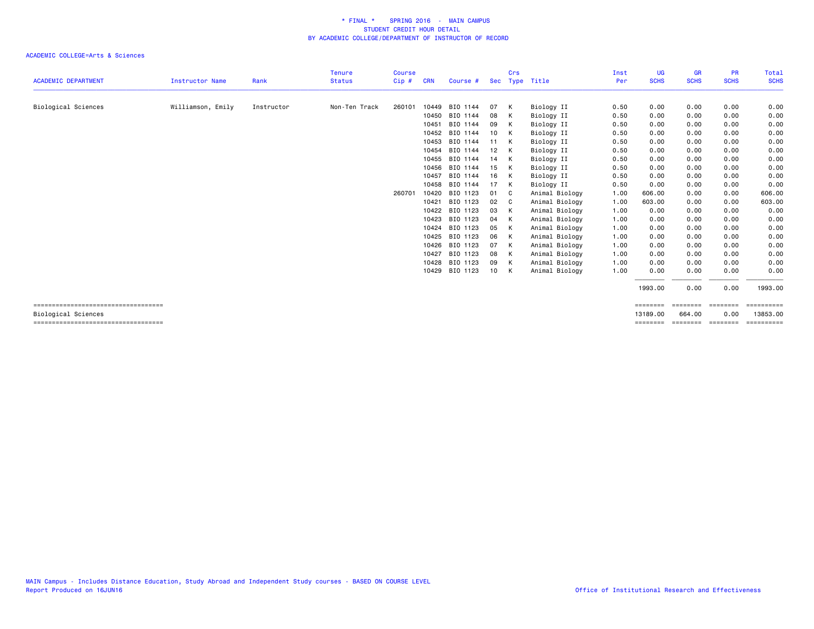|                                                               |                   |            | <b>Tenure</b> | Course |            |                |    | Crs |                | Inst | <b>UG</b>            | <b>GR</b>                 | <b>PR</b>   | Total                  |
|---------------------------------------------------------------|-------------------|------------|---------------|--------|------------|----------------|----|-----|----------------|------|----------------------|---------------------------|-------------|------------------------|
| <b>ACADEMIC DEPARTMENT</b>                                    | Instructor Name   | Rank       | <b>Status</b> | Cip#   | <b>CRN</b> | Course #       |    |     | Sec Type Title | Per  | <b>SCHS</b>          | <b>SCHS</b>               | <b>SCHS</b> | <b>SCHS</b>            |
| Biological Sciences                                           | Williamson, Emily | Instructor | Non-Ten Track | 260101 | 10449      | BIO 1144       | 07 | K   | Biology II     | 0.50 | 0.00                 | 0.00                      | 0.00        | 0.00                   |
|                                                               |                   |            |               |        |            | 10450 BIO 1144 | 08 | K   | Biology II     | 0.50 | 0.00                 | 0.00                      | 0.00        | 0.00                   |
|                                                               |                   |            |               |        | 10451      | BIO 1144       | 09 | K   | Biology II     | 0.50 | 0.00                 | 0.00                      | 0.00        | 0.00                   |
|                                                               |                   |            |               |        |            | 10452 BIO 1144 | 10 | K   | Biology II     | 0.50 | 0.00                 | 0.00                      | 0.00        | 0.00                   |
|                                                               |                   |            |               |        | 10453      | BIO 1144       | 11 | K   | Biology II     | 0.50 | 0.00                 | 0.00                      | 0.00        | 0.00                   |
|                                                               |                   |            |               |        | 10454      | BIO 1144       | 12 | K   | Biology II     | 0.50 | 0.00                 | 0.00                      | 0.00        | 0.00                   |
|                                                               |                   |            |               |        |            | 10455 BIO 1144 | 14 | K   | Biology II     | 0.50 | 0.00                 | 0.00                      | 0.00        | 0.00                   |
|                                                               |                   |            |               |        | 10456      | BIO 1144       | 15 | K   | Biology II     | 0.50 | 0.00                 | 0.00                      | 0.00        | 0.00                   |
|                                                               |                   |            |               |        | 10457      | BIO 1144       | 16 | K   | Biology II     | 0.50 | 0.00                 | 0.00                      | 0.00        | 0.00                   |
|                                                               |                   |            |               |        | 10458      | BIO 1144       | 17 | K   | Biology II     | 0.50 | 0.00                 | 0.00                      | 0.00        | 0.00                   |
|                                                               |                   |            |               | 260701 | 10420      | BIO 1123       | 01 | - C | Animal Biology | 1.00 | 606,00               | 0.00                      | 0.00        | 606.00                 |
|                                                               |                   |            |               |        | 10421      | BIO 1123       | 02 | C   | Animal Biology | 1.00 | 603.00               | 0.00                      | 0.00        | 603.00                 |
|                                                               |                   |            |               |        |            | 10422 BIO 1123 | 03 | K   | Animal Biology | 1.00 | 0.00                 | 0.00                      | 0.00        | 0.00                   |
|                                                               |                   |            |               |        | 10423      | BIO 1123       | 04 | K   | Animal Biology | 1.00 | 0.00                 | 0.00                      | 0.00        | 0.00                   |
|                                                               |                   |            |               |        | 10424      | BIO 1123       | 05 | K   | Animal Biology | 1.00 | 0.00                 | 0.00                      | 0.00        | 0.00                   |
|                                                               |                   |            |               |        |            | 10425 BIO 1123 | 06 | K   | Animal Biology | 1.00 | 0.00                 | 0.00                      | 0.00        | 0.00                   |
|                                                               |                   |            |               |        | 10426      | BIO 1123       | 07 | K   | Animal Biology | 1.00 | 0.00                 | 0.00                      | 0.00        | 0.00                   |
|                                                               |                   |            |               |        | 10427      | BIO 1123       | 08 | K   | Animal Biology | 1.00 | 0.00                 | 0.00                      | 0.00        | 0.00                   |
|                                                               |                   |            |               |        |            | 10428 BIO 1123 | 09 | K   | Animal Biology | 1.00 | 0.00                 | 0.00                      | 0.00        | 0.00                   |
|                                                               |                   |            |               |        |            | 10429 BIO 1123 | 10 | K   | Animal Biology | 1.00 | 0.00                 | 0.00                      | 0.00        | 0.00                   |
|                                                               |                   |            |               |        |            |                |    |     |                |      | 1993.00              | 0.00                      | 0.00        | 1993.00                |
| ======================================                        |                   |            |               |        |            |                |    |     |                |      | ========             | ========                  | ========    | ==========             |
| Biological Sciences<br>====================================== |                   |            |               |        |            |                |    |     |                |      | 13189.00<br>======== | 664.00<br>eccesse essesse | 0.00        | 13853.00<br>========== |
|                                                               |                   |            |               |        |            |                |    |     |                |      |                      |                           |             |                        |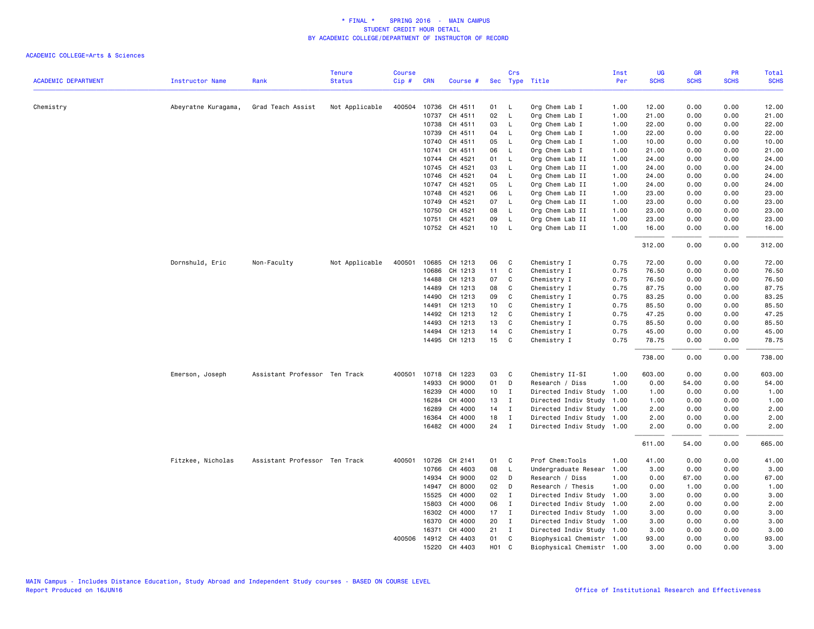| <b>SCHS</b><br><b>SCHS</b><br><b>SCHS</b><br><b>ACADEMIC DEPARTMENT</b><br><b>Status</b><br>Cip#<br>Sec Type Title<br>Per<br><b>Instructor Name</b><br>Rank<br><b>CRN</b><br>Course #<br>Chemistry<br>Grad Teach Assist<br>Not Applicable<br>400504<br>10736<br>CH 4511<br>Org Chem Lab I<br>1.00<br>12.00<br>0.00<br>0.00<br>Abeyratne Kuragama,<br>01<br>$\mathsf{L}$<br>10737<br>CH 4511<br>02<br>$\mathsf{L}$<br>Org Chem Lab I<br>1.00<br>21.00<br>0.00<br>0.00<br>10738<br>CH 4511<br>03<br>Org Chem Lab I<br>1.00<br>22.00<br>0.00<br>0.00<br><b>L</b><br>10739<br>CH 4511<br>04<br>$\mathsf{L}$<br>Org Chem Lab I<br>1.00<br>22.00<br>0.00<br>0.00<br>CH 4511<br>05<br>10740<br>$\mathsf{L}$<br>Org Chem Lab I<br>1.00<br>10.00<br>0.00<br>0.00<br>CH 4511<br>10741<br>06<br>$\mathsf{L}$<br>Org Chem Lab I<br>1.00<br>21.00<br>0.00<br>0.00<br>CH 4521<br>Org Chem Lab II<br>24.00<br>10744<br>01<br>L.<br>1.00<br>0.00<br>0.00<br>10745<br>CH 4521<br>03<br>$\mathsf{L}$<br>Org Chem Lab II<br>1.00<br>24.00<br>0.00<br>0.00<br>CH 4521<br>Org Chem Lab II<br>10746<br>04<br>- L<br>1.00<br>24.00<br>0.00<br>0.00<br>CH 4521<br>05<br>Org Chem Lab II<br>24.00<br>10747<br><b>L</b><br>1.00<br>0.00<br>0.00<br>10748<br>CH 4521<br>06<br>$\mathsf{L}$<br>Org Chem Lab II<br>1.00<br>23.00<br>0.00<br>0.00<br>CH 4521<br>07<br>Org Chem Lab II<br>23.00<br>10749<br>$\mathsf{L}$<br>1.00<br>0.00<br>0.00<br>10750<br>CH 4521<br>08<br>$\mathsf{L}$<br>Org Chem Lab II<br>1.00<br>23.00<br>0.00<br>0.00<br>CH 4521<br>09<br>$\mathsf{L}$<br>10751<br>Org Chem Lab II<br>1.00<br>23.00<br>0.00<br>0.00<br>10752 CH 4521<br>10<br>Org Chem Lab II<br>1.00<br>16.00<br>$\mathsf{L}$<br>0.00<br>0.00<br>312.00<br>0.00<br>0.00<br>Dornshuld, Eric<br>Non-Faculty<br>Not Applicable<br>400501<br>10685<br>CH 1213<br>06<br>C<br>Chemistry I<br>0.75<br>72.00<br>0.00<br>0.00<br>11<br>$\mathtt{C}$<br>10686<br>CH 1213<br>Chemistry I<br>0.75<br>76.50<br>0.00<br>0.00<br>14488<br>CH 1213<br>07<br>C<br>Chemistry I<br>0.75<br>76.50<br>0.00<br>0.00<br>C<br>14489<br>CH 1213<br>08<br>Chemistry I<br>0.75<br>87.75<br>0.00<br>0.00<br>C<br>14490<br>CH 1213<br>09<br>Chemistry I<br>0.75<br>83.25<br>0.00<br>0.00<br>0.75<br>85.50<br>14491<br>CH 1213<br>10<br>C<br>Chemistry I<br>0.00<br>0.00<br>CH 1213<br>12<br>$\mathbf{C}$<br>0.75<br>47.25<br>14492<br>Chemistry I<br>0.00<br>0.00<br>13<br>C<br>14493<br>CH 1213<br>Chemistry I<br>0.75<br>85.50<br>0.00<br>0.00<br>CH 1213<br>14<br>0.75<br>45.00<br>14494<br>C<br>Chemistry I<br>0.00<br>0.00<br>14495 CH 1213<br>15<br>C<br>78.75<br>Chemistry I<br>0.75<br>0.00<br>0.00<br>738.00<br>0.00<br>0.00<br>10718 CH 1223<br>Emerson, Joseph<br>Assistant Professor Ten Track<br>400501<br>03<br>C<br>Chemistry II-SI<br>1.00<br>603.00<br>0.00<br>0.00<br>14933<br>CH 9000<br>01<br>D<br>Research / Diss<br>1.00<br>0.00<br>54.00<br>0.00<br>16239<br>CH 4000<br>10<br>$\mathbf I$<br>Directed Indiv Study<br>0.00<br>0.00<br>1.00<br>1.00<br>1.00<br>16284<br>CH 4000<br>13<br>$\mathbf{I}$<br>Directed Indiv Study<br>1.00<br>0.00<br>0.00<br>1.00<br>16289<br>CH 4000<br>14<br>Directed Indiv Study 1.00<br>2.00<br>0.00<br>$\mathbf{I}$<br>0.00<br>18<br>16364<br>CH 4000<br>$\mathbf{I}$<br>Directed Indiv Study<br>2.00<br>0.00<br>0.00<br>1.00<br>24<br>16482 CH 4000<br>$\mathbf{I}$<br>Directed Indiv Study 1.00<br>2.00<br>0.00<br>0.00<br>611.00<br>54.00<br>0.00<br>Prof Chem:Tools<br>Fitzkee, Nicholas<br>Assistant Professor Ten Track<br>400501<br>10726<br>CH 2141<br>01<br>C<br>1.00<br>41.00<br>0.00<br>0.00<br>08<br>10766<br>CH 4603<br>$\mathsf{L}$<br>Undergraduate Resear<br>1.00<br>3.00<br>0.00<br>0.00<br>3.00<br>14934<br>CH 9000<br>02<br>D<br>Research / Diss<br>1.00<br>0.00<br>67.00<br>0.00<br>CH 8000<br>02<br>14947<br>Research / Thesis<br>1.00<br>0.00<br>1.00<br>0.00<br>D<br>CH 4000<br>02<br>15525<br>$\mathbf{I}$<br>Directed Indiv Study<br>1.00<br>3.00<br>0.00<br>0.00<br>3.00<br>15803<br>CH 4000<br>06<br>$\mathbf{I}$<br>Directed Indiv Study<br>1.00<br>2.00<br>0.00<br>0.00<br>CH 4000<br>17<br>Directed Indiv Study 1.00<br>16302<br>$\mathbf{I}$<br>3.00<br>0.00<br>0.00<br>16370<br>CH 4000<br>20<br>$\mathbf{I}$<br>Directed Indiv Study 1.00<br>3.00<br>0.00<br>0.00<br>CH 4000<br>21<br>3.00<br>0.00<br>16371<br>$\mathbf{I}$<br>Directed Indiv Study 1.00<br>0.00<br>400506 14912 CH 4403<br>01<br>C<br>Biophysical Chemistr 1.00<br>93.00<br>0.00<br>0.00<br>H <sub>0</sub> 1<br>15220 CH 4403<br>C<br>Biophysical Chemistr 1.00<br>3,00<br>0.00<br>0.00 |  | <b>Tenure</b> | <b>Course</b> |  | Crs | Inst | <b>UG</b> | <b>GR</b> | PR | Total       |
|-------------------------------------------------------------------------------------------------------------------------------------------------------------------------------------------------------------------------------------------------------------------------------------------------------------------------------------------------------------------------------------------------------------------------------------------------------------------------------------------------------------------------------------------------------------------------------------------------------------------------------------------------------------------------------------------------------------------------------------------------------------------------------------------------------------------------------------------------------------------------------------------------------------------------------------------------------------------------------------------------------------------------------------------------------------------------------------------------------------------------------------------------------------------------------------------------------------------------------------------------------------------------------------------------------------------------------------------------------------------------------------------------------------------------------------------------------------------------------------------------------------------------------------------------------------------------------------------------------------------------------------------------------------------------------------------------------------------------------------------------------------------------------------------------------------------------------------------------------------------------------------------------------------------------------------------------------------------------------------------------------------------------------------------------------------------------------------------------------------------------------------------------------------------------------------------------------------------------------------------------------------------------------------------------------------------------------------------------------------------------------------------------------------------------------------------------------------------------------------------------------------------------------------------------------------------------------------------------------------------------------------------------------------------------------------------------------------------------------------------------------------------------------------------------------------------------------------------------------------------------------------------------------------------------------------------------------------------------------------------------------------------------------------------------------------------------------------------------------------------------------------------------------------------------------------------------------------------------------------------------------------------------------------------------------------------------------------------------------------------------------------------------------------------------------------------------------------------------------------------------------------------------------------------------------------------------------------------------------------------------------------------------------------------------------------------------------------------------------------------------------------------------------------------------------------------------------------------------------------------------------------------------------------------------------------------------------------------------------------------------------------------------------------------------------------------------------------------------------------------------------------------------------------------------------------------------------------------------------------------------------------------------------------------------------------------------------------------------------------------------------------------------------------------------------------------------------------------------------------------------------------------------------------------------------------------------------|--|---------------|---------------|--|-----|------|-----------|-----------|----|-------------|
| 12.00<br>21.00<br>22.00<br>22.00<br>10.00<br>21.00<br>24.00<br>24.00<br>24.00<br>24.00<br>23.00<br>23.00<br>23.00<br>23.00<br>16.00<br>312.00<br>76.50<br>83.25<br>85.50<br>47.25<br>85.50<br>45.00<br>78.75<br>738.00<br>603.00<br>54.00<br>1.00<br>2.00<br>2.00<br>2.00<br>665.00<br>41.00<br>67.00<br>1.00<br>2.00<br>3.00<br>3.00<br>3.00<br>93.00                                                                                                                                                                                                                                                                                                                                                                                                                                                                                                                                                                                                                                                                                                                                                                                                                                                                                                                                                                                                                                                                                                                                                                                                                                                                                                                                                                                                                                                                                                                                                                                                                                                                                                                                                                                                                                                                                                                                                                                                                                                                                                                                                                                                                                                                                                                                                                                                                                                                                                                                                                                                                                                                                                                                                                                                                                                                                                                                                                                                                                                                                                                                                                                                                                                                                                                                                                                                                                                                                                                                                                                                                                                                                                                                                                                                                                                                                                                                                                                                                                                                                                                                                                                                                        |  |               |               |  |     |      |           |           |    | <b>SCHS</b> |
|                                                                                                                                                                                                                                                                                                                                                                                                                                                                                                                                                                                                                                                                                                                                                                                                                                                                                                                                                                                                                                                                                                                                                                                                                                                                                                                                                                                                                                                                                                                                                                                                                                                                                                                                                                                                                                                                                                                                                                                                                                                                                                                                                                                                                                                                                                                                                                                                                                                                                                                                                                                                                                                                                                                                                                                                                                                                                                                                                                                                                                                                                                                                                                                                                                                                                                                                                                                                                                                                                                                                                                                                                                                                                                                                                                                                                                                                                                                                                                                                                                                                                                                                                                                                                                                                                                                                                                                                                                                                                                                                                                               |  |               |               |  |     |      |           |           |    |             |
| 72.00<br>76.50<br>87.75<br>3.00                                                                                                                                                                                                                                                                                                                                                                                                                                                                                                                                                                                                                                                                                                                                                                                                                                                                                                                                                                                                                                                                                                                                                                                                                                                                                                                                                                                                                                                                                                                                                                                                                                                                                                                                                                                                                                                                                                                                                                                                                                                                                                                                                                                                                                                                                                                                                                                                                                                                                                                                                                                                                                                                                                                                                                                                                                                                                                                                                                                                                                                                                                                                                                                                                                                                                                                                                                                                                                                                                                                                                                                                                                                                                                                                                                                                                                                                                                                                                                                                                                                                                                                                                                                                                                                                                                                                                                                                                                                                                                                                               |  |               |               |  |     |      |           |           |    |             |
|                                                                                                                                                                                                                                                                                                                                                                                                                                                                                                                                                                                                                                                                                                                                                                                                                                                                                                                                                                                                                                                                                                                                                                                                                                                                                                                                                                                                                                                                                                                                                                                                                                                                                                                                                                                                                                                                                                                                                                                                                                                                                                                                                                                                                                                                                                                                                                                                                                                                                                                                                                                                                                                                                                                                                                                                                                                                                                                                                                                                                                                                                                                                                                                                                                                                                                                                                                                                                                                                                                                                                                                                                                                                                                                                                                                                                                                                                                                                                                                                                                                                                                                                                                                                                                                                                                                                                                                                                                                                                                                                                                               |  |               |               |  |     |      |           |           |    |             |
|                                                                                                                                                                                                                                                                                                                                                                                                                                                                                                                                                                                                                                                                                                                                                                                                                                                                                                                                                                                                                                                                                                                                                                                                                                                                                                                                                                                                                                                                                                                                                                                                                                                                                                                                                                                                                                                                                                                                                                                                                                                                                                                                                                                                                                                                                                                                                                                                                                                                                                                                                                                                                                                                                                                                                                                                                                                                                                                                                                                                                                                                                                                                                                                                                                                                                                                                                                                                                                                                                                                                                                                                                                                                                                                                                                                                                                                                                                                                                                                                                                                                                                                                                                                                                                                                                                                                                                                                                                                                                                                                                                               |  |               |               |  |     |      |           |           |    |             |
|                                                                                                                                                                                                                                                                                                                                                                                                                                                                                                                                                                                                                                                                                                                                                                                                                                                                                                                                                                                                                                                                                                                                                                                                                                                                                                                                                                                                                                                                                                                                                                                                                                                                                                                                                                                                                                                                                                                                                                                                                                                                                                                                                                                                                                                                                                                                                                                                                                                                                                                                                                                                                                                                                                                                                                                                                                                                                                                                                                                                                                                                                                                                                                                                                                                                                                                                                                                                                                                                                                                                                                                                                                                                                                                                                                                                                                                                                                                                                                                                                                                                                                                                                                                                                                                                                                                                                                                                                                                                                                                                                                               |  |               |               |  |     |      |           |           |    |             |
|                                                                                                                                                                                                                                                                                                                                                                                                                                                                                                                                                                                                                                                                                                                                                                                                                                                                                                                                                                                                                                                                                                                                                                                                                                                                                                                                                                                                                                                                                                                                                                                                                                                                                                                                                                                                                                                                                                                                                                                                                                                                                                                                                                                                                                                                                                                                                                                                                                                                                                                                                                                                                                                                                                                                                                                                                                                                                                                                                                                                                                                                                                                                                                                                                                                                                                                                                                                                                                                                                                                                                                                                                                                                                                                                                                                                                                                                                                                                                                                                                                                                                                                                                                                                                                                                                                                                                                                                                                                                                                                                                                               |  |               |               |  |     |      |           |           |    |             |
|                                                                                                                                                                                                                                                                                                                                                                                                                                                                                                                                                                                                                                                                                                                                                                                                                                                                                                                                                                                                                                                                                                                                                                                                                                                                                                                                                                                                                                                                                                                                                                                                                                                                                                                                                                                                                                                                                                                                                                                                                                                                                                                                                                                                                                                                                                                                                                                                                                                                                                                                                                                                                                                                                                                                                                                                                                                                                                                                                                                                                                                                                                                                                                                                                                                                                                                                                                                                                                                                                                                                                                                                                                                                                                                                                                                                                                                                                                                                                                                                                                                                                                                                                                                                                                                                                                                                                                                                                                                                                                                                                                               |  |               |               |  |     |      |           |           |    |             |
|                                                                                                                                                                                                                                                                                                                                                                                                                                                                                                                                                                                                                                                                                                                                                                                                                                                                                                                                                                                                                                                                                                                                                                                                                                                                                                                                                                                                                                                                                                                                                                                                                                                                                                                                                                                                                                                                                                                                                                                                                                                                                                                                                                                                                                                                                                                                                                                                                                                                                                                                                                                                                                                                                                                                                                                                                                                                                                                                                                                                                                                                                                                                                                                                                                                                                                                                                                                                                                                                                                                                                                                                                                                                                                                                                                                                                                                                                                                                                                                                                                                                                                                                                                                                                                                                                                                                                                                                                                                                                                                                                                               |  |               |               |  |     |      |           |           |    |             |
|                                                                                                                                                                                                                                                                                                                                                                                                                                                                                                                                                                                                                                                                                                                                                                                                                                                                                                                                                                                                                                                                                                                                                                                                                                                                                                                                                                                                                                                                                                                                                                                                                                                                                                                                                                                                                                                                                                                                                                                                                                                                                                                                                                                                                                                                                                                                                                                                                                                                                                                                                                                                                                                                                                                                                                                                                                                                                                                                                                                                                                                                                                                                                                                                                                                                                                                                                                                                                                                                                                                                                                                                                                                                                                                                                                                                                                                                                                                                                                                                                                                                                                                                                                                                                                                                                                                                                                                                                                                                                                                                                                               |  |               |               |  |     |      |           |           |    |             |
|                                                                                                                                                                                                                                                                                                                                                                                                                                                                                                                                                                                                                                                                                                                                                                                                                                                                                                                                                                                                                                                                                                                                                                                                                                                                                                                                                                                                                                                                                                                                                                                                                                                                                                                                                                                                                                                                                                                                                                                                                                                                                                                                                                                                                                                                                                                                                                                                                                                                                                                                                                                                                                                                                                                                                                                                                                                                                                                                                                                                                                                                                                                                                                                                                                                                                                                                                                                                                                                                                                                                                                                                                                                                                                                                                                                                                                                                                                                                                                                                                                                                                                                                                                                                                                                                                                                                                                                                                                                                                                                                                                               |  |               |               |  |     |      |           |           |    |             |
|                                                                                                                                                                                                                                                                                                                                                                                                                                                                                                                                                                                                                                                                                                                                                                                                                                                                                                                                                                                                                                                                                                                                                                                                                                                                                                                                                                                                                                                                                                                                                                                                                                                                                                                                                                                                                                                                                                                                                                                                                                                                                                                                                                                                                                                                                                                                                                                                                                                                                                                                                                                                                                                                                                                                                                                                                                                                                                                                                                                                                                                                                                                                                                                                                                                                                                                                                                                                                                                                                                                                                                                                                                                                                                                                                                                                                                                                                                                                                                                                                                                                                                                                                                                                                                                                                                                                                                                                                                                                                                                                                                               |  |               |               |  |     |      |           |           |    |             |
|                                                                                                                                                                                                                                                                                                                                                                                                                                                                                                                                                                                                                                                                                                                                                                                                                                                                                                                                                                                                                                                                                                                                                                                                                                                                                                                                                                                                                                                                                                                                                                                                                                                                                                                                                                                                                                                                                                                                                                                                                                                                                                                                                                                                                                                                                                                                                                                                                                                                                                                                                                                                                                                                                                                                                                                                                                                                                                                                                                                                                                                                                                                                                                                                                                                                                                                                                                                                                                                                                                                                                                                                                                                                                                                                                                                                                                                                                                                                                                                                                                                                                                                                                                                                                                                                                                                                                                                                                                                                                                                                                                               |  |               |               |  |     |      |           |           |    |             |
|                                                                                                                                                                                                                                                                                                                                                                                                                                                                                                                                                                                                                                                                                                                                                                                                                                                                                                                                                                                                                                                                                                                                                                                                                                                                                                                                                                                                                                                                                                                                                                                                                                                                                                                                                                                                                                                                                                                                                                                                                                                                                                                                                                                                                                                                                                                                                                                                                                                                                                                                                                                                                                                                                                                                                                                                                                                                                                                                                                                                                                                                                                                                                                                                                                                                                                                                                                                                                                                                                                                                                                                                                                                                                                                                                                                                                                                                                                                                                                                                                                                                                                                                                                                                                                                                                                                                                                                                                                                                                                                                                                               |  |               |               |  |     |      |           |           |    |             |
|                                                                                                                                                                                                                                                                                                                                                                                                                                                                                                                                                                                                                                                                                                                                                                                                                                                                                                                                                                                                                                                                                                                                                                                                                                                                                                                                                                                                                                                                                                                                                                                                                                                                                                                                                                                                                                                                                                                                                                                                                                                                                                                                                                                                                                                                                                                                                                                                                                                                                                                                                                                                                                                                                                                                                                                                                                                                                                                                                                                                                                                                                                                                                                                                                                                                                                                                                                                                                                                                                                                                                                                                                                                                                                                                                                                                                                                                                                                                                                                                                                                                                                                                                                                                                                                                                                                                                                                                                                                                                                                                                                               |  |               |               |  |     |      |           |           |    |             |
|                                                                                                                                                                                                                                                                                                                                                                                                                                                                                                                                                                                                                                                                                                                                                                                                                                                                                                                                                                                                                                                                                                                                                                                                                                                                                                                                                                                                                                                                                                                                                                                                                                                                                                                                                                                                                                                                                                                                                                                                                                                                                                                                                                                                                                                                                                                                                                                                                                                                                                                                                                                                                                                                                                                                                                                                                                                                                                                                                                                                                                                                                                                                                                                                                                                                                                                                                                                                                                                                                                                                                                                                                                                                                                                                                                                                                                                                                                                                                                                                                                                                                                                                                                                                                                                                                                                                                                                                                                                                                                                                                                               |  |               |               |  |     |      |           |           |    |             |
|                                                                                                                                                                                                                                                                                                                                                                                                                                                                                                                                                                                                                                                                                                                                                                                                                                                                                                                                                                                                                                                                                                                                                                                                                                                                                                                                                                                                                                                                                                                                                                                                                                                                                                                                                                                                                                                                                                                                                                                                                                                                                                                                                                                                                                                                                                                                                                                                                                                                                                                                                                                                                                                                                                                                                                                                                                                                                                                                                                                                                                                                                                                                                                                                                                                                                                                                                                                                                                                                                                                                                                                                                                                                                                                                                                                                                                                                                                                                                                                                                                                                                                                                                                                                                                                                                                                                                                                                                                                                                                                                                                               |  |               |               |  |     |      |           |           |    |             |
|                                                                                                                                                                                                                                                                                                                                                                                                                                                                                                                                                                                                                                                                                                                                                                                                                                                                                                                                                                                                                                                                                                                                                                                                                                                                                                                                                                                                                                                                                                                                                                                                                                                                                                                                                                                                                                                                                                                                                                                                                                                                                                                                                                                                                                                                                                                                                                                                                                                                                                                                                                                                                                                                                                                                                                                                                                                                                                                                                                                                                                                                                                                                                                                                                                                                                                                                                                                                                                                                                                                                                                                                                                                                                                                                                                                                                                                                                                                                                                                                                                                                                                                                                                                                                                                                                                                                                                                                                                                                                                                                                                               |  |               |               |  |     |      |           |           |    |             |
|                                                                                                                                                                                                                                                                                                                                                                                                                                                                                                                                                                                                                                                                                                                                                                                                                                                                                                                                                                                                                                                                                                                                                                                                                                                                                                                                                                                                                                                                                                                                                                                                                                                                                                                                                                                                                                                                                                                                                                                                                                                                                                                                                                                                                                                                                                                                                                                                                                                                                                                                                                                                                                                                                                                                                                                                                                                                                                                                                                                                                                                                                                                                                                                                                                                                                                                                                                                                                                                                                                                                                                                                                                                                                                                                                                                                                                                                                                                                                                                                                                                                                                                                                                                                                                                                                                                                                                                                                                                                                                                                                                               |  |               |               |  |     |      |           |           |    |             |
|                                                                                                                                                                                                                                                                                                                                                                                                                                                                                                                                                                                                                                                                                                                                                                                                                                                                                                                                                                                                                                                                                                                                                                                                                                                                                                                                                                                                                                                                                                                                                                                                                                                                                                                                                                                                                                                                                                                                                                                                                                                                                                                                                                                                                                                                                                                                                                                                                                                                                                                                                                                                                                                                                                                                                                                                                                                                                                                                                                                                                                                                                                                                                                                                                                                                                                                                                                                                                                                                                                                                                                                                                                                                                                                                                                                                                                                                                                                                                                                                                                                                                                                                                                                                                                                                                                                                                                                                                                                                                                                                                                               |  |               |               |  |     |      |           |           |    |             |
|                                                                                                                                                                                                                                                                                                                                                                                                                                                                                                                                                                                                                                                                                                                                                                                                                                                                                                                                                                                                                                                                                                                                                                                                                                                                                                                                                                                                                                                                                                                                                                                                                                                                                                                                                                                                                                                                                                                                                                                                                                                                                                                                                                                                                                                                                                                                                                                                                                                                                                                                                                                                                                                                                                                                                                                                                                                                                                                                                                                                                                                                                                                                                                                                                                                                                                                                                                                                                                                                                                                                                                                                                                                                                                                                                                                                                                                                                                                                                                                                                                                                                                                                                                                                                                                                                                                                                                                                                                                                                                                                                                               |  |               |               |  |     |      |           |           |    |             |
|                                                                                                                                                                                                                                                                                                                                                                                                                                                                                                                                                                                                                                                                                                                                                                                                                                                                                                                                                                                                                                                                                                                                                                                                                                                                                                                                                                                                                                                                                                                                                                                                                                                                                                                                                                                                                                                                                                                                                                                                                                                                                                                                                                                                                                                                                                                                                                                                                                                                                                                                                                                                                                                                                                                                                                                                                                                                                                                                                                                                                                                                                                                                                                                                                                                                                                                                                                                                                                                                                                                                                                                                                                                                                                                                                                                                                                                                                                                                                                                                                                                                                                                                                                                                                                                                                                                                                                                                                                                                                                                                                                               |  |               |               |  |     |      |           |           |    |             |
|                                                                                                                                                                                                                                                                                                                                                                                                                                                                                                                                                                                                                                                                                                                                                                                                                                                                                                                                                                                                                                                                                                                                                                                                                                                                                                                                                                                                                                                                                                                                                                                                                                                                                                                                                                                                                                                                                                                                                                                                                                                                                                                                                                                                                                                                                                                                                                                                                                                                                                                                                                                                                                                                                                                                                                                                                                                                                                                                                                                                                                                                                                                                                                                                                                                                                                                                                                                                                                                                                                                                                                                                                                                                                                                                                                                                                                                                                                                                                                                                                                                                                                                                                                                                                                                                                                                                                                                                                                                                                                                                                                               |  |               |               |  |     |      |           |           |    |             |
|                                                                                                                                                                                                                                                                                                                                                                                                                                                                                                                                                                                                                                                                                                                                                                                                                                                                                                                                                                                                                                                                                                                                                                                                                                                                                                                                                                                                                                                                                                                                                                                                                                                                                                                                                                                                                                                                                                                                                                                                                                                                                                                                                                                                                                                                                                                                                                                                                                                                                                                                                                                                                                                                                                                                                                                                                                                                                                                                                                                                                                                                                                                                                                                                                                                                                                                                                                                                                                                                                                                                                                                                                                                                                                                                                                                                                                                                                                                                                                                                                                                                                                                                                                                                                                                                                                                                                                                                                                                                                                                                                                               |  |               |               |  |     |      |           |           |    |             |
|                                                                                                                                                                                                                                                                                                                                                                                                                                                                                                                                                                                                                                                                                                                                                                                                                                                                                                                                                                                                                                                                                                                                                                                                                                                                                                                                                                                                                                                                                                                                                                                                                                                                                                                                                                                                                                                                                                                                                                                                                                                                                                                                                                                                                                                                                                                                                                                                                                                                                                                                                                                                                                                                                                                                                                                                                                                                                                                                                                                                                                                                                                                                                                                                                                                                                                                                                                                                                                                                                                                                                                                                                                                                                                                                                                                                                                                                                                                                                                                                                                                                                                                                                                                                                                                                                                                                                                                                                                                                                                                                                                               |  |               |               |  |     |      |           |           |    |             |
|                                                                                                                                                                                                                                                                                                                                                                                                                                                                                                                                                                                                                                                                                                                                                                                                                                                                                                                                                                                                                                                                                                                                                                                                                                                                                                                                                                                                                                                                                                                                                                                                                                                                                                                                                                                                                                                                                                                                                                                                                                                                                                                                                                                                                                                                                                                                                                                                                                                                                                                                                                                                                                                                                                                                                                                                                                                                                                                                                                                                                                                                                                                                                                                                                                                                                                                                                                                                                                                                                                                                                                                                                                                                                                                                                                                                                                                                                                                                                                                                                                                                                                                                                                                                                                                                                                                                                                                                                                                                                                                                                                               |  |               |               |  |     |      |           |           |    |             |
|                                                                                                                                                                                                                                                                                                                                                                                                                                                                                                                                                                                                                                                                                                                                                                                                                                                                                                                                                                                                                                                                                                                                                                                                                                                                                                                                                                                                                                                                                                                                                                                                                                                                                                                                                                                                                                                                                                                                                                                                                                                                                                                                                                                                                                                                                                                                                                                                                                                                                                                                                                                                                                                                                                                                                                                                                                                                                                                                                                                                                                                                                                                                                                                                                                                                                                                                                                                                                                                                                                                                                                                                                                                                                                                                                                                                                                                                                                                                                                                                                                                                                                                                                                                                                                                                                                                                                                                                                                                                                                                                                                               |  |               |               |  |     |      |           |           |    |             |
|                                                                                                                                                                                                                                                                                                                                                                                                                                                                                                                                                                                                                                                                                                                                                                                                                                                                                                                                                                                                                                                                                                                                                                                                                                                                                                                                                                                                                                                                                                                                                                                                                                                                                                                                                                                                                                                                                                                                                                                                                                                                                                                                                                                                                                                                                                                                                                                                                                                                                                                                                                                                                                                                                                                                                                                                                                                                                                                                                                                                                                                                                                                                                                                                                                                                                                                                                                                                                                                                                                                                                                                                                                                                                                                                                                                                                                                                                                                                                                                                                                                                                                                                                                                                                                                                                                                                                                                                                                                                                                                                                                               |  |               |               |  |     |      |           |           |    |             |
|                                                                                                                                                                                                                                                                                                                                                                                                                                                                                                                                                                                                                                                                                                                                                                                                                                                                                                                                                                                                                                                                                                                                                                                                                                                                                                                                                                                                                                                                                                                                                                                                                                                                                                                                                                                                                                                                                                                                                                                                                                                                                                                                                                                                                                                                                                                                                                                                                                                                                                                                                                                                                                                                                                                                                                                                                                                                                                                                                                                                                                                                                                                                                                                                                                                                                                                                                                                                                                                                                                                                                                                                                                                                                                                                                                                                                                                                                                                                                                                                                                                                                                                                                                                                                                                                                                                                                                                                                                                                                                                                                                               |  |               |               |  |     |      |           |           |    |             |
|                                                                                                                                                                                                                                                                                                                                                                                                                                                                                                                                                                                                                                                                                                                                                                                                                                                                                                                                                                                                                                                                                                                                                                                                                                                                                                                                                                                                                                                                                                                                                                                                                                                                                                                                                                                                                                                                                                                                                                                                                                                                                                                                                                                                                                                                                                                                                                                                                                                                                                                                                                                                                                                                                                                                                                                                                                                                                                                                                                                                                                                                                                                                                                                                                                                                                                                                                                                                                                                                                                                                                                                                                                                                                                                                                                                                                                                                                                                                                                                                                                                                                                                                                                                                                                                                                                                                                                                                                                                                                                                                                                               |  |               |               |  |     |      |           |           |    |             |
|                                                                                                                                                                                                                                                                                                                                                                                                                                                                                                                                                                                                                                                                                                                                                                                                                                                                                                                                                                                                                                                                                                                                                                                                                                                                                                                                                                                                                                                                                                                                                                                                                                                                                                                                                                                                                                                                                                                                                                                                                                                                                                                                                                                                                                                                                                                                                                                                                                                                                                                                                                                                                                                                                                                                                                                                                                                                                                                                                                                                                                                                                                                                                                                                                                                                                                                                                                                                                                                                                                                                                                                                                                                                                                                                                                                                                                                                                                                                                                                                                                                                                                                                                                                                                                                                                                                                                                                                                                                                                                                                                                               |  |               |               |  |     |      |           |           |    |             |
|                                                                                                                                                                                                                                                                                                                                                                                                                                                                                                                                                                                                                                                                                                                                                                                                                                                                                                                                                                                                                                                                                                                                                                                                                                                                                                                                                                                                                                                                                                                                                                                                                                                                                                                                                                                                                                                                                                                                                                                                                                                                                                                                                                                                                                                                                                                                                                                                                                                                                                                                                                                                                                                                                                                                                                                                                                                                                                                                                                                                                                                                                                                                                                                                                                                                                                                                                                                                                                                                                                                                                                                                                                                                                                                                                                                                                                                                                                                                                                                                                                                                                                                                                                                                                                                                                                                                                                                                                                                                                                                                                                               |  |               |               |  |     |      |           |           |    |             |
|                                                                                                                                                                                                                                                                                                                                                                                                                                                                                                                                                                                                                                                                                                                                                                                                                                                                                                                                                                                                                                                                                                                                                                                                                                                                                                                                                                                                                                                                                                                                                                                                                                                                                                                                                                                                                                                                                                                                                                                                                                                                                                                                                                                                                                                                                                                                                                                                                                                                                                                                                                                                                                                                                                                                                                                                                                                                                                                                                                                                                                                                                                                                                                                                                                                                                                                                                                                                                                                                                                                                                                                                                                                                                                                                                                                                                                                                                                                                                                                                                                                                                                                                                                                                                                                                                                                                                                                                                                                                                                                                                                               |  |               |               |  |     |      |           |           |    |             |
|                                                                                                                                                                                                                                                                                                                                                                                                                                                                                                                                                                                                                                                                                                                                                                                                                                                                                                                                                                                                                                                                                                                                                                                                                                                                                                                                                                                                                                                                                                                                                                                                                                                                                                                                                                                                                                                                                                                                                                                                                                                                                                                                                                                                                                                                                                                                                                                                                                                                                                                                                                                                                                                                                                                                                                                                                                                                                                                                                                                                                                                                                                                                                                                                                                                                                                                                                                                                                                                                                                                                                                                                                                                                                                                                                                                                                                                                                                                                                                                                                                                                                                                                                                                                                                                                                                                                                                                                                                                                                                                                                                               |  |               |               |  |     |      |           |           |    |             |
|                                                                                                                                                                                                                                                                                                                                                                                                                                                                                                                                                                                                                                                                                                                                                                                                                                                                                                                                                                                                                                                                                                                                                                                                                                                                                                                                                                                                                                                                                                                                                                                                                                                                                                                                                                                                                                                                                                                                                                                                                                                                                                                                                                                                                                                                                                                                                                                                                                                                                                                                                                                                                                                                                                                                                                                                                                                                                                                                                                                                                                                                                                                                                                                                                                                                                                                                                                                                                                                                                                                                                                                                                                                                                                                                                                                                                                                                                                                                                                                                                                                                                                                                                                                                                                                                                                                                                                                                                                                                                                                                                                               |  |               |               |  |     |      |           |           |    |             |
|                                                                                                                                                                                                                                                                                                                                                                                                                                                                                                                                                                                                                                                                                                                                                                                                                                                                                                                                                                                                                                                                                                                                                                                                                                                                                                                                                                                                                                                                                                                                                                                                                                                                                                                                                                                                                                                                                                                                                                                                                                                                                                                                                                                                                                                                                                                                                                                                                                                                                                                                                                                                                                                                                                                                                                                                                                                                                                                                                                                                                                                                                                                                                                                                                                                                                                                                                                                                                                                                                                                                                                                                                                                                                                                                                                                                                                                                                                                                                                                                                                                                                                                                                                                                                                                                                                                                                                                                                                                                                                                                                                               |  |               |               |  |     |      |           |           |    |             |
|                                                                                                                                                                                                                                                                                                                                                                                                                                                                                                                                                                                                                                                                                                                                                                                                                                                                                                                                                                                                                                                                                                                                                                                                                                                                                                                                                                                                                                                                                                                                                                                                                                                                                                                                                                                                                                                                                                                                                                                                                                                                                                                                                                                                                                                                                                                                                                                                                                                                                                                                                                                                                                                                                                                                                                                                                                                                                                                                                                                                                                                                                                                                                                                                                                                                                                                                                                                                                                                                                                                                                                                                                                                                                                                                                                                                                                                                                                                                                                                                                                                                                                                                                                                                                                                                                                                                                                                                                                                                                                                                                                               |  |               |               |  |     |      |           |           |    |             |
|                                                                                                                                                                                                                                                                                                                                                                                                                                                                                                                                                                                                                                                                                                                                                                                                                                                                                                                                                                                                                                                                                                                                                                                                                                                                                                                                                                                                                                                                                                                                                                                                                                                                                                                                                                                                                                                                                                                                                                                                                                                                                                                                                                                                                                                                                                                                                                                                                                                                                                                                                                                                                                                                                                                                                                                                                                                                                                                                                                                                                                                                                                                                                                                                                                                                                                                                                                                                                                                                                                                                                                                                                                                                                                                                                                                                                                                                                                                                                                                                                                                                                                                                                                                                                                                                                                                                                                                                                                                                                                                                                                               |  |               |               |  |     |      |           |           |    |             |
|                                                                                                                                                                                                                                                                                                                                                                                                                                                                                                                                                                                                                                                                                                                                                                                                                                                                                                                                                                                                                                                                                                                                                                                                                                                                                                                                                                                                                                                                                                                                                                                                                                                                                                                                                                                                                                                                                                                                                                                                                                                                                                                                                                                                                                                                                                                                                                                                                                                                                                                                                                                                                                                                                                                                                                                                                                                                                                                                                                                                                                                                                                                                                                                                                                                                                                                                                                                                                                                                                                                                                                                                                                                                                                                                                                                                                                                                                                                                                                                                                                                                                                                                                                                                                                                                                                                                                                                                                                                                                                                                                                               |  |               |               |  |     |      |           |           |    |             |
|                                                                                                                                                                                                                                                                                                                                                                                                                                                                                                                                                                                                                                                                                                                                                                                                                                                                                                                                                                                                                                                                                                                                                                                                                                                                                                                                                                                                                                                                                                                                                                                                                                                                                                                                                                                                                                                                                                                                                                                                                                                                                                                                                                                                                                                                                                                                                                                                                                                                                                                                                                                                                                                                                                                                                                                                                                                                                                                                                                                                                                                                                                                                                                                                                                                                                                                                                                                                                                                                                                                                                                                                                                                                                                                                                                                                                                                                                                                                                                                                                                                                                                                                                                                                                                                                                                                                                                                                                                                                                                                                                                               |  |               |               |  |     |      |           |           |    |             |
|                                                                                                                                                                                                                                                                                                                                                                                                                                                                                                                                                                                                                                                                                                                                                                                                                                                                                                                                                                                                                                                                                                                                                                                                                                                                                                                                                                                                                                                                                                                                                                                                                                                                                                                                                                                                                                                                                                                                                                                                                                                                                                                                                                                                                                                                                                                                                                                                                                                                                                                                                                                                                                                                                                                                                                                                                                                                                                                                                                                                                                                                                                                                                                                                                                                                                                                                                                                                                                                                                                                                                                                                                                                                                                                                                                                                                                                                                                                                                                                                                                                                                                                                                                                                                                                                                                                                                                                                                                                                                                                                                                               |  |               |               |  |     |      |           |           |    |             |
|                                                                                                                                                                                                                                                                                                                                                                                                                                                                                                                                                                                                                                                                                                                                                                                                                                                                                                                                                                                                                                                                                                                                                                                                                                                                                                                                                                                                                                                                                                                                                                                                                                                                                                                                                                                                                                                                                                                                                                                                                                                                                                                                                                                                                                                                                                                                                                                                                                                                                                                                                                                                                                                                                                                                                                                                                                                                                                                                                                                                                                                                                                                                                                                                                                                                                                                                                                                                                                                                                                                                                                                                                                                                                                                                                                                                                                                                                                                                                                                                                                                                                                                                                                                                                                                                                                                                                                                                                                                                                                                                                                               |  |               |               |  |     |      |           |           |    |             |
|                                                                                                                                                                                                                                                                                                                                                                                                                                                                                                                                                                                                                                                                                                                                                                                                                                                                                                                                                                                                                                                                                                                                                                                                                                                                                                                                                                                                                                                                                                                                                                                                                                                                                                                                                                                                                                                                                                                                                                                                                                                                                                                                                                                                                                                                                                                                                                                                                                                                                                                                                                                                                                                                                                                                                                                                                                                                                                                                                                                                                                                                                                                                                                                                                                                                                                                                                                                                                                                                                                                                                                                                                                                                                                                                                                                                                                                                                                                                                                                                                                                                                                                                                                                                                                                                                                                                                                                                                                                                                                                                                                               |  |               |               |  |     |      |           |           |    |             |
|                                                                                                                                                                                                                                                                                                                                                                                                                                                                                                                                                                                                                                                                                                                                                                                                                                                                                                                                                                                                                                                                                                                                                                                                                                                                                                                                                                                                                                                                                                                                                                                                                                                                                                                                                                                                                                                                                                                                                                                                                                                                                                                                                                                                                                                                                                                                                                                                                                                                                                                                                                                                                                                                                                                                                                                                                                                                                                                                                                                                                                                                                                                                                                                                                                                                                                                                                                                                                                                                                                                                                                                                                                                                                                                                                                                                                                                                                                                                                                                                                                                                                                                                                                                                                                                                                                                                                                                                                                                                                                                                                                               |  |               |               |  |     |      |           |           |    |             |
|                                                                                                                                                                                                                                                                                                                                                                                                                                                                                                                                                                                                                                                                                                                                                                                                                                                                                                                                                                                                                                                                                                                                                                                                                                                                                                                                                                                                                                                                                                                                                                                                                                                                                                                                                                                                                                                                                                                                                                                                                                                                                                                                                                                                                                                                                                                                                                                                                                                                                                                                                                                                                                                                                                                                                                                                                                                                                                                                                                                                                                                                                                                                                                                                                                                                                                                                                                                                                                                                                                                                                                                                                                                                                                                                                                                                                                                                                                                                                                                                                                                                                                                                                                                                                                                                                                                                                                                                                                                                                                                                                                               |  |               |               |  |     |      |           |           |    |             |
|                                                                                                                                                                                                                                                                                                                                                                                                                                                                                                                                                                                                                                                                                                                                                                                                                                                                                                                                                                                                                                                                                                                                                                                                                                                                                                                                                                                                                                                                                                                                                                                                                                                                                                                                                                                                                                                                                                                                                                                                                                                                                                                                                                                                                                                                                                                                                                                                                                                                                                                                                                                                                                                                                                                                                                                                                                                                                                                                                                                                                                                                                                                                                                                                                                                                                                                                                                                                                                                                                                                                                                                                                                                                                                                                                                                                                                                                                                                                                                                                                                                                                                                                                                                                                                                                                                                                                                                                                                                                                                                                                                               |  |               |               |  |     |      |           |           |    |             |
|                                                                                                                                                                                                                                                                                                                                                                                                                                                                                                                                                                                                                                                                                                                                                                                                                                                                                                                                                                                                                                                                                                                                                                                                                                                                                                                                                                                                                                                                                                                                                                                                                                                                                                                                                                                                                                                                                                                                                                                                                                                                                                                                                                                                                                                                                                                                                                                                                                                                                                                                                                                                                                                                                                                                                                                                                                                                                                                                                                                                                                                                                                                                                                                                                                                                                                                                                                                                                                                                                                                                                                                                                                                                                                                                                                                                                                                                                                                                                                                                                                                                                                                                                                                                                                                                                                                                                                                                                                                                                                                                                                               |  |               |               |  |     |      |           |           |    |             |
|                                                                                                                                                                                                                                                                                                                                                                                                                                                                                                                                                                                                                                                                                                                                                                                                                                                                                                                                                                                                                                                                                                                                                                                                                                                                                                                                                                                                                                                                                                                                                                                                                                                                                                                                                                                                                                                                                                                                                                                                                                                                                                                                                                                                                                                                                                                                                                                                                                                                                                                                                                                                                                                                                                                                                                                                                                                                                                                                                                                                                                                                                                                                                                                                                                                                                                                                                                                                                                                                                                                                                                                                                                                                                                                                                                                                                                                                                                                                                                                                                                                                                                                                                                                                                                                                                                                                                                                                                                                                                                                                                                               |  |               |               |  |     |      |           |           |    |             |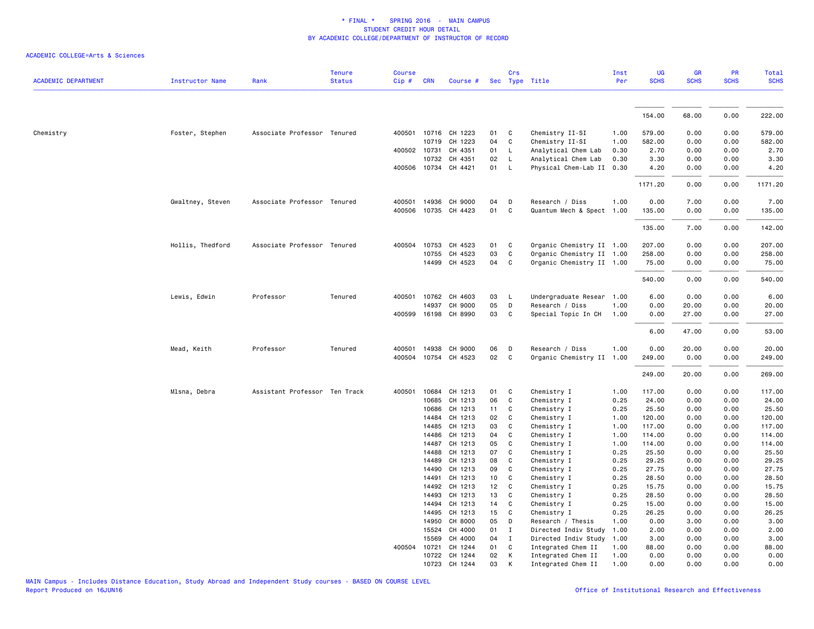|                            |                        |                               | <b>Tenure</b> | Course |              |                      |        | Crs          |                           | Inst | UG          | <b>GR</b><br><b>SCHS</b> | PR<br><b>SCHS</b> | Total       |
|----------------------------|------------------------|-------------------------------|---------------|--------|--------------|----------------------|--------|--------------|---------------------------|------|-------------|--------------------------|-------------------|-------------|
| <b>ACADEMIC DEPARTMENT</b> | <b>Instructor Name</b> | Rank                          | <b>Status</b> | Cip#   | <b>CRN</b>   | Course #             |        |              | Sec Type Title            | Per  | <b>SCHS</b> |                          |                   | <b>SCHS</b> |
|                            |                        |                               |               |        |              |                      |        |              |                           |      | 154.00      | 68.00                    | 0.00              | 222.00      |
| Chemistry                  | Foster, Stephen        | Associate Professor Tenured   |               |        |              | 400501 10716 CH 1223 | 01     | C            | Chemistry II-SI           | 1.00 | 579.00      | 0.00                     | 0.00              | 579.00      |
|                            |                        |                               |               |        | 10719        | CH 1223              | 04     | C            | Chemistry II-SI           | 1.00 | 582.00      | 0.00                     | 0.00              | 582.00      |
|                            |                        |                               |               |        | 400502 10731 | CH 4351              | 01     | L            | Analytical Chem Lab       | 0.30 | 2.70        | 0.00                     | 0.00              | 2.70        |
|                            |                        |                               |               |        | 10732        | CH 4351              | 02     | L            | Analytical Chem Lab       | 0.30 | 3.30        | 0.00                     | 0.00              | 3.30        |
|                            |                        |                               |               |        |              | 400506 10734 CH 4421 | 01     | $\mathsf{L}$ | Physical Chem-Lab II 0.30 |      | 4.20        | 0.00                     | 0.00              | 4.20        |
|                            |                        |                               |               |        |              |                      |        |              |                           |      | 1171.20     | 0.00                     | 0.00              | 1171.20     |
|                            | Gwaltney, Steven       | Associate Professor Tenured   |               | 400501 | 14936        | CH 9000              | 04     | D            | Research / Diss           | 1.00 | 0.00        | 7.00                     | 0.00              | 7.00        |
|                            |                        |                               |               | 400506 |              | 10735 CH 4423        | 01     | C            | Quantum Mech & Spect 1.00 |      | 135.00      | 0.00                     | 0.00              | 135.00      |
|                            |                        |                               |               |        |              |                      |        |              |                           |      | 135.00      | 7.00                     | 0.00              | 142.00      |
|                            | Hollis, Thedford       | Associate Professor Tenured   |               | 400504 | 10753        | CH 4523              | 01     | C            | Organic Chemistry II 1.00 |      | 207.00      | 0.00                     | 0.00              | 207.00      |
|                            |                        |                               |               |        | 10755        | CH 4523              | 03     | C            | Organic Chemistry II 1.00 |      | 258.00      | 0.00                     | 0.00              | 258.00      |
|                            |                        |                               |               |        |              | 14499 CH 4523        | 04     | C            | Organic Chemistry II 1.00 |      | 75.00       | 0.00                     | 0.00              | 75.00       |
|                            |                        |                               |               |        |              |                      |        |              |                           |      | 540.00      | 0.00                     | 0.00              | 540.00      |
|                            | Lewis, Edwin           | Professor                     | Tenured       | 400501 | 10762        | CH 4603              | 03     | L            | Undergraduate Resear 1.00 |      | 6.00        | 0.00                     | 0.00              | 6.00        |
|                            |                        |                               |               |        | 14937        | CH 9000              | 05     | D            | Research / Diss           | 1.00 | 0.00        | 20.00                    | 0.00              | 20.00       |
|                            |                        |                               |               | 400599 |              | 16198 CH 8990        | 03     | C            | Special Topic In CH       | 1.00 | 0.00        | 27.00                    | 0.00              | 27.00       |
|                            |                        |                               |               |        |              |                      |        |              |                           |      | 6.00        | 47.00                    | 0.00              | 53.00       |
|                            | Mead, Keith            | Professor                     | Tenured       | 400501 | 14938        | CH 9000              | 06     | D            | Research / Diss           | 1.00 | 0.00        | 20.00                    | 0.00              | 20.00       |
|                            |                        |                               |               |        |              | 400504 10754 CH 4523 | $02\,$ | C            | Organic Chemistry II 1.00 |      | 249.00      | 0.00                     | 0.00              | 249.00      |
|                            |                        |                               |               |        |              |                      |        |              |                           |      | 249.00      | 20.00                    | 0.00              | 269.00      |
|                            | Mlsna, Debra           | Assistant Professor Ten Track |               | 400501 | 10684        | CH 1213              | 01     | C            | Chemistry I               | 1.00 | 117.00      | 0.00                     | 0.00              | 117.00      |
|                            |                        |                               |               |        | 10685        | CH 1213              | 06     | C            | Chemistry I               | 0.25 | 24.00       | 0.00                     | 0.00              | 24.00       |
|                            |                        |                               |               |        | 10686        | CH 1213              | 11     | C            | Chemistry I               | 0.25 | 25.50       | 0.00                     | 0.00              | 25.50       |
|                            |                        |                               |               |        | 14484        | CH 1213              | 02     | C            | Chemistry I               | 1.00 | 120.00      | 0.00                     | 0.00              | 120.00      |
|                            |                        |                               |               |        | 14485        | CH 1213              | 03     | C            | Chemistry I               | 1.00 | 117.00      | 0.00                     | 0.00              | 117.00      |
|                            |                        |                               |               |        | 14486        | CH 1213              | 04     | C            | Chemistry I               | 1.00 | 114.00      | 0.00                     | 0.00              | 114.00      |
|                            |                        |                               |               |        | 14487        | CH 1213              | 05     | C            | Chemistry I               | 1.00 | 114.00      | 0.00                     | 0.00              | 114.00      |
|                            |                        |                               |               |        | 14488        | CH 1213              | 07     | C            | Chemistry I               | 0.25 | 25.50       | 0.00                     | 0.00              | 25.50       |
|                            |                        |                               |               |        | 14489        | CH 1213              | 08     | C            | Chemistry I               | 0.25 | 29.25       | 0.00                     | 0.00              | 29.25       |
|                            |                        |                               |               |        | 14490        | CH 1213              | 09     | C            | Chemistry I               | 0.25 | 27.75       | 0.00                     | 0.00              | 27.75       |
|                            |                        |                               |               |        | 14491        | CH 1213              | 10     | C            | Chemistry I               | 0.25 | 28.50       | 0.00                     | 0.00              | 28.50       |
|                            |                        |                               |               |        | 14492        | CH 1213              | 12     | C            | Chemistry I               | 0.25 | 15.75       | 0.00                     | 0.00              | 15.75       |
|                            |                        |                               |               |        | 14493        | CH 1213              | 13     | C            | Chemistry I               | 0.25 | 28.50       | 0.00                     | 0.00              | 28.50       |
|                            |                        |                               |               |        | 14494        | CH 1213              | 14     | C            | Chemistry I               | 0.25 | 15.00       | 0.00                     | 0.00              | 15.00       |
|                            |                        |                               |               |        | 14495        | CH 1213              | 15     | C            | Chemistry I               | 0.25 | 26.25       | 0.00                     | 0.00              | 26.25       |
|                            |                        |                               |               |        | 14950        | CH 8000              | 05     | D            | Research / Thesis         | 1.00 | 0.00        | 3.00                     | 0.00              | 3.00        |
|                            |                        |                               |               |        | 15524        | CH 4000              | 01     | $\mathbf I$  | Directed Indiv Study      | 1.00 | 2.00        | 0.00                     | 0.00              | 2.00        |
|                            |                        |                               |               |        | 15569        | CH 4000              | 04     | $\mathbf I$  | Directed Indiv Study      | 1.00 | 3.00        | 0.00                     | 0.00              | 3.00        |
|                            |                        |                               |               | 400504 | 10721        | CH 1244              | 01     | C            | Integrated Chem II        | 1.00 | 88.00       | 0.00                     | 0.00              | 88.00       |
|                            |                        |                               |               |        | 10722        | CH 1244              | 02     | К            | Integrated Chem II        | 1.00 | 0.00        | 0.00                     | 0.00              | 0.00        |
|                            |                        |                               |               |        | 10723        | CH 1244              | 03     | K            | Integrated Chem II        | 1.00 | 0.00        | 0.00                     | 0.00              | 0.00        |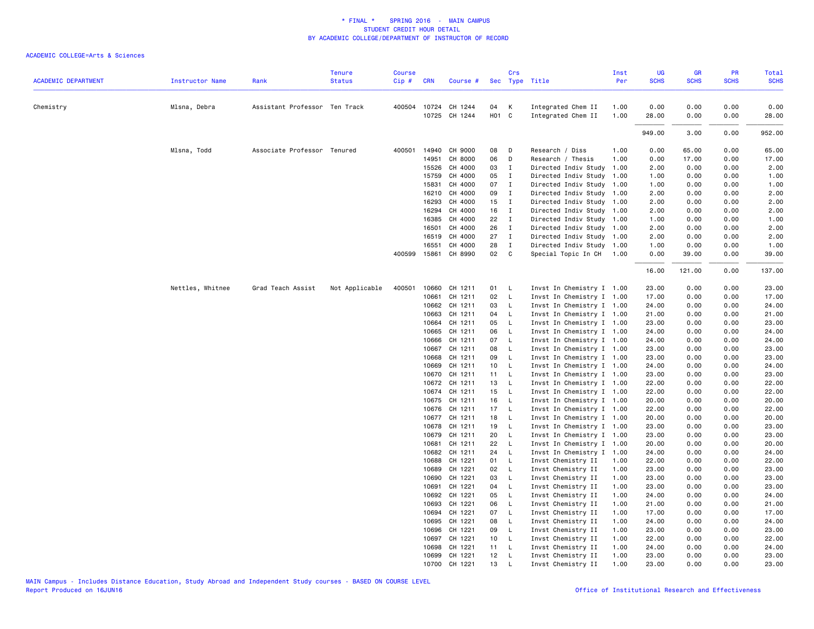| <b>ACADEMIC DEPARTMENT</b><br><b>Status</b><br>Cip#<br><b>CRN</b><br>Sec Type Title<br>Per<br>Instructor Name<br>Rank<br>Course #<br>Mlsna, Debra<br>Assistant Professor Ten Track<br>400504 10724 CH 1244<br>04<br>$\mathsf{K}$<br>Integrated Chem II<br>1.00<br>0.00<br>0.00<br>0.00<br>0.00<br>Chemistry<br>10725 CH 1244<br>H <sub>01</sub> C<br>0.00<br>Integrated Chem II<br>1.00<br>28.00<br>0.00<br>28.00<br>949.00<br>3.00<br>0.00<br>Mlsna, Todd<br>Associate Professor Tenured<br>400501<br>14940<br>CH 9000<br>08<br>D<br>Research / Diss<br>1.00<br>0.00<br>65.00<br>0.00<br>14951<br>CH 8000<br>06<br>$\mathsf{D}$<br>Research / Thesis<br>1.00<br>0.00<br>17.00<br>0.00<br>15526<br>CH 4000<br>03<br>I<br>Directed Indiv Study<br>1.00<br>2.00<br>0.00<br>0.00<br>15759<br>CH 4000<br>05<br>$\mathbf{I}$<br>Directed Indiv Study 1.00<br>1.00<br>0.00<br>0.00<br>CH 4000<br>07<br>15831<br>$\mathbf{I}$<br>Directed Indiv Study 1.00<br>1.00<br>0.00<br>0.00<br>CH 4000<br>09<br>2.00<br>0.00<br>16210<br>$\blacksquare$<br>Directed Indiv Study 1.00<br>0.00<br>CH 4000<br>15<br>0.00<br>16293<br>$\blacksquare$<br>Directed Indiv Study 1.00<br>2.00<br>0.00<br>16<br>$\mathbf{I}$<br>16294<br>CH 4000<br>Directed Indiv Study 1.00<br>2.00<br>0.00<br>0.00<br>16385<br>CH 4000<br>22<br>$\mathbf{I}$<br>Directed Indiv Study 1.00<br>1.00<br>0.00<br>0.00<br>26<br>16501<br>CH 4000<br>$\mathbf{I}$<br>Directed Indiv Study 1.00<br>2.00<br>0.00<br>0.00<br>2.00<br>27<br>16519<br>CH 4000<br>$\mathbf{I}$<br>Directed Indiv Study 1.00<br>2.00<br>0.00<br>0.00<br>16551<br>CH 4000<br>28<br>$\mathbf{I}$<br>Directed Indiv Study 1.00<br>1.00<br>0.00<br>0.00<br>02<br>15861 CH 8990<br>$\mathbf{C}$<br>Special Topic In CH 1.00<br>0.00<br>0.00<br>400599<br>39.00<br>16.00<br>121.00<br>0.00<br>23.00<br>Nettles, Whitnee<br>Grad Teach Assist<br>Not Applicable<br>400501<br>10660<br>CH 1211<br>01 L<br>Invst In Chemistry I 1.00<br>0.00<br>0.00<br>10661<br>CH 1211<br>02<br>$\mathsf{L}$<br>Invst In Chemistry I 1.00<br>0.00<br>0.00<br>17.00<br>17.00<br>10662<br>CH 1211<br>03<br>Invst In Chemistry I 1.00<br>0.00<br>24.00<br>$\mathsf{L}$<br>24.00<br>0.00<br>10663<br>CH 1211<br>04<br>- L<br>Invst In Chemistry I 1.00<br>21.00<br>0.00<br>0.00<br>21.00<br>CH 1211<br>05<br>$\mathsf{L}$<br>Invst In Chemistry I 1.00<br>23.00<br>0.00<br>23.00<br>10664<br>0.00<br>06<br>10665<br>CH 1211<br>$\mathsf{L}$<br>Invst In Chemistry I 1.00<br>24.00<br>0.00<br>0.00<br>10666<br>CH 1211<br>07<br>Invst In Chemistry I 1.00<br>0.00<br>24.00<br>$\mathsf{L}$<br>24.00<br>0.00<br>CH 1211<br>08<br>10667<br>- L<br>Invst In Chemistry I 1.00<br>23.00<br>0.00<br>0.00<br>23.00<br>10668<br>CH 1211<br>09<br>$\mathsf{L}$<br>Invst In Chemistry I 1.00<br>23.00<br>0.00<br>0.00<br>23.00<br>10669<br>CH 1211<br>10<br>$\mathsf{L}$<br>Invst In Chemistry I 1.00<br>24.00<br>0.00<br>0.00<br>24.00<br>10670<br>CH 1211<br>11<br>Invst In Chemistry I 1.00<br>23.00<br>0.00<br>0.00<br>23.00<br>$\mathsf{L}$<br>10672<br>CH 1211<br>13<br>$\mathsf{L}$<br>Invst In Chemistry I 1.00<br>22.00<br>0.00<br>0.00<br>22.00<br>10674 CH 1211<br>15<br>$\mathsf{L}$<br>Invst In Chemistry I 1.00<br>22.00<br>0.00<br>0.00<br>22.00<br>CH 1211<br>16<br>Invst In Chemistry I 1.00<br>20.00<br>10675<br>$\mathsf{L}$<br>20.00<br>0.00<br>0.00<br>17<br>10676<br>CH 1211<br>$\mathsf{L}$<br>Invst In Chemistry I 1.00<br>22.00<br>0.00<br>0.00<br>22.00<br>10677 CH 1211<br>18<br>$\mathsf{L}$<br>Invst In Chemistry I 1.00<br>20.00<br>0.00<br>0.00<br>20.00<br>10678<br>CH 1211<br>19<br>$\mathsf{L}$<br>Invst In Chemistry I 1.00<br>23.00<br>0.00<br>0.00<br>23.00<br>CH 1211<br>20<br>10679<br>- L<br>Invst In Chemistry I 1.00<br>23.00<br>0.00<br>0.00<br>23.00<br>22<br>L.<br>10681<br>CH 1211<br>Invst In Chemistry I 1.00<br>20.00<br>0.00<br>0.00<br>20.00<br>10682<br>CH 1211<br>24<br>$\mathsf{L}$<br>Invst In Chemistry I 1.00<br>24.00<br>0.00<br>0.00<br>24.00<br>10688<br>CH 1221<br>01<br>$\mathsf{L}$<br>Invst Chemistry II<br>22.00<br>0.00<br>0.00<br>22.00<br>1.00<br>10689<br>CH 1221<br>02<br>$\mathsf{L}$<br>Invst Chemistry II<br>1.00<br>23.00<br>0.00<br>0.00<br>23.00<br>10690<br>CH 1221<br>03<br>$\mathsf{L}$<br>Invst Chemistry II<br>1.00<br>23.00<br>0.00<br>0.00<br>23.00<br>10691<br>CH 1221<br>04<br>L<br>Invst Chemistry II<br>1.00<br>23.00<br>0.00<br>23.00<br>0.00<br>05<br>10692<br>CH 1221<br>- L<br>Invst Chemistry II<br>1.00<br>24.00<br>0.00<br>0.00<br>24.00<br>10693<br>CH 1221<br>06<br>$\mathsf{L}$<br>Invst Chemistry II<br>1.00<br>21.00<br>0.00<br>0.00<br>21.00<br>10694<br>CH 1221<br>07<br>$\overline{L}$<br>Invst Chemistry II<br>1.00<br>17.00<br>0.00<br>0.00<br>17.00<br>10695<br>CH 1221<br>08<br>L<br>Invst Chemistry II<br>1.00<br>24.00<br>0.00<br>0.00<br>24.00<br>10696<br>CH 1221<br>09<br>$\mathsf{L}$<br>Invst Chemistry II<br>1.00<br>23.00<br>0.00<br>0.00<br>23.00<br>CH 1221<br>10 L<br>Invst Chemistry II<br>22.00<br>0.00<br>10697<br>1.00<br>0.00<br>22.00<br>CH 1221<br>24.00<br>24.00<br>10698<br>11<br>$\mathsf{L}$<br>Invst Chemistry II<br>1.00<br>0.00<br>0.00<br>12<br>1.00<br>10699<br>CH 1221<br>$\mathsf{L}$<br>Invst Chemistry II<br>23.00<br>0.00<br>0.00<br>23.00 |  | <b>Tenure</b> | <b>Course</b> |       |         |    | Crs |                    | Inst | UG<br><b>SCHS</b> | GR<br><b>SCHS</b> | PR<br><b>SCHS</b> | <b>Total</b><br><b>SCHS</b> |
|------------------------------------------------------------------------------------------------------------------------------------------------------------------------------------------------------------------------------------------------------------------------------------------------------------------------------------------------------------------------------------------------------------------------------------------------------------------------------------------------------------------------------------------------------------------------------------------------------------------------------------------------------------------------------------------------------------------------------------------------------------------------------------------------------------------------------------------------------------------------------------------------------------------------------------------------------------------------------------------------------------------------------------------------------------------------------------------------------------------------------------------------------------------------------------------------------------------------------------------------------------------------------------------------------------------------------------------------------------------------------------------------------------------------------------------------------------------------------------------------------------------------------------------------------------------------------------------------------------------------------------------------------------------------------------------------------------------------------------------------------------------------------------------------------------------------------------------------------------------------------------------------------------------------------------------------------------------------------------------------------------------------------------------------------------------------------------------------------------------------------------------------------------------------------------------------------------------------------------------------------------------------------------------------------------------------------------------------------------------------------------------------------------------------------------------------------------------------------------------------------------------------------------------------------------------------------------------------------------------------------------------------------------------------------------------------------------------------------------------------------------------------------------------------------------------------------------------------------------------------------------------------------------------------------------------------------------------------------------------------------------------------------------------------------------------------------------------------------------------------------------------------------------------------------------------------------------------------------------------------------------------------------------------------------------------------------------------------------------------------------------------------------------------------------------------------------------------------------------------------------------------------------------------------------------------------------------------------------------------------------------------------------------------------------------------------------------------------------------------------------------------------------------------------------------------------------------------------------------------------------------------------------------------------------------------------------------------------------------------------------------------------------------------------------------------------------------------------------------------------------------------------------------------------------------------------------------------------------------------------------------------------------------------------------------------------------------------------------------------------------------------------------------------------------------------------------------------------------------------------------------------------------------------------------------------------------------------------------------------------------------------------------------------------------------------------------------------------------------------------------------------------------------------------------------------------------------------------------------------------------------------------------------------------------------------------------------------------------------------------------------------------------------------------------------------------------------------------------------------------------------------------------------------------------------------------------------------------------------------------------------------------------|--|---------------|---------------|-------|---------|----|-----|--------------------|------|-------------------|-------------------|-------------------|-----------------------------|
|                                                                                                                                                                                                                                                                                                                                                                                                                                                                                                                                                                                                                                                                                                                                                                                                                                                                                                                                                                                                                                                                                                                                                                                                                                                                                                                                                                                                                                                                                                                                                                                                                                                                                                                                                                                                                                                                                                                                                                                                                                                                                                                                                                                                                                                                                                                                                                                                                                                                                                                                                                                                                                                                                                                                                                                                                                                                                                                                                                                                                                                                                                                                                                                                                                                                                                                                                                                                                                                                                                                                                                                                                                                                                                                                                                                                                                                                                                                                                                                                                                                                                                                                                                                                                                                                                                                                                                                                                                                                                                                                                                                                                                                                                                                                                                                                                                                                                                                                                                                                                                                                                                                                                                                                                                                                              |  |               |               |       |         |    |     |                    |      |                   |                   |                   |                             |
|                                                                                                                                                                                                                                                                                                                                                                                                                                                                                                                                                                                                                                                                                                                                                                                                                                                                                                                                                                                                                                                                                                                                                                                                                                                                                                                                                                                                                                                                                                                                                                                                                                                                                                                                                                                                                                                                                                                                                                                                                                                                                                                                                                                                                                                                                                                                                                                                                                                                                                                                                                                                                                                                                                                                                                                                                                                                                                                                                                                                                                                                                                                                                                                                                                                                                                                                                                                                                                                                                                                                                                                                                                                                                                                                                                                                                                                                                                                                                                                                                                                                                                                                                                                                                                                                                                                                                                                                                                                                                                                                                                                                                                                                                                                                                                                                                                                                                                                                                                                                                                                                                                                                                                                                                                                                              |  |               |               |       |         |    |     |                    |      |                   |                   |                   |                             |
|                                                                                                                                                                                                                                                                                                                                                                                                                                                                                                                                                                                                                                                                                                                                                                                                                                                                                                                                                                                                                                                                                                                                                                                                                                                                                                                                                                                                                                                                                                                                                                                                                                                                                                                                                                                                                                                                                                                                                                                                                                                                                                                                                                                                                                                                                                                                                                                                                                                                                                                                                                                                                                                                                                                                                                                                                                                                                                                                                                                                                                                                                                                                                                                                                                                                                                                                                                                                                                                                                                                                                                                                                                                                                                                                                                                                                                                                                                                                                                                                                                                                                                                                                                                                                                                                                                                                                                                                                                                                                                                                                                                                                                                                                                                                                                                                                                                                                                                                                                                                                                                                                                                                                                                                                                                                              |  |               |               |       |         |    |     |                    |      |                   |                   |                   |                             |
|                                                                                                                                                                                                                                                                                                                                                                                                                                                                                                                                                                                                                                                                                                                                                                                                                                                                                                                                                                                                                                                                                                                                                                                                                                                                                                                                                                                                                                                                                                                                                                                                                                                                                                                                                                                                                                                                                                                                                                                                                                                                                                                                                                                                                                                                                                                                                                                                                                                                                                                                                                                                                                                                                                                                                                                                                                                                                                                                                                                                                                                                                                                                                                                                                                                                                                                                                                                                                                                                                                                                                                                                                                                                                                                                                                                                                                                                                                                                                                                                                                                                                                                                                                                                                                                                                                                                                                                                                                                                                                                                                                                                                                                                                                                                                                                                                                                                                                                                                                                                                                                                                                                                                                                                                                                                              |  |               |               |       |         |    |     |                    |      |                   |                   |                   |                             |
|                                                                                                                                                                                                                                                                                                                                                                                                                                                                                                                                                                                                                                                                                                                                                                                                                                                                                                                                                                                                                                                                                                                                                                                                                                                                                                                                                                                                                                                                                                                                                                                                                                                                                                                                                                                                                                                                                                                                                                                                                                                                                                                                                                                                                                                                                                                                                                                                                                                                                                                                                                                                                                                                                                                                                                                                                                                                                                                                                                                                                                                                                                                                                                                                                                                                                                                                                                                                                                                                                                                                                                                                                                                                                                                                                                                                                                                                                                                                                                                                                                                                                                                                                                                                                                                                                                                                                                                                                                                                                                                                                                                                                                                                                                                                                                                                                                                                                                                                                                                                                                                                                                                                                                                                                                                                              |  |               |               |       |         |    |     |                    |      |                   |                   |                   | 952.00                      |
|                                                                                                                                                                                                                                                                                                                                                                                                                                                                                                                                                                                                                                                                                                                                                                                                                                                                                                                                                                                                                                                                                                                                                                                                                                                                                                                                                                                                                                                                                                                                                                                                                                                                                                                                                                                                                                                                                                                                                                                                                                                                                                                                                                                                                                                                                                                                                                                                                                                                                                                                                                                                                                                                                                                                                                                                                                                                                                                                                                                                                                                                                                                                                                                                                                                                                                                                                                                                                                                                                                                                                                                                                                                                                                                                                                                                                                                                                                                                                                                                                                                                                                                                                                                                                                                                                                                                                                                                                                                                                                                                                                                                                                                                                                                                                                                                                                                                                                                                                                                                                                                                                                                                                                                                                                                                              |  |               |               |       |         |    |     |                    |      |                   |                   |                   | 65.00                       |
|                                                                                                                                                                                                                                                                                                                                                                                                                                                                                                                                                                                                                                                                                                                                                                                                                                                                                                                                                                                                                                                                                                                                                                                                                                                                                                                                                                                                                                                                                                                                                                                                                                                                                                                                                                                                                                                                                                                                                                                                                                                                                                                                                                                                                                                                                                                                                                                                                                                                                                                                                                                                                                                                                                                                                                                                                                                                                                                                                                                                                                                                                                                                                                                                                                                                                                                                                                                                                                                                                                                                                                                                                                                                                                                                                                                                                                                                                                                                                                                                                                                                                                                                                                                                                                                                                                                                                                                                                                                                                                                                                                                                                                                                                                                                                                                                                                                                                                                                                                                                                                                                                                                                                                                                                                                                              |  |               |               |       |         |    |     |                    |      |                   |                   |                   | 17.00                       |
|                                                                                                                                                                                                                                                                                                                                                                                                                                                                                                                                                                                                                                                                                                                                                                                                                                                                                                                                                                                                                                                                                                                                                                                                                                                                                                                                                                                                                                                                                                                                                                                                                                                                                                                                                                                                                                                                                                                                                                                                                                                                                                                                                                                                                                                                                                                                                                                                                                                                                                                                                                                                                                                                                                                                                                                                                                                                                                                                                                                                                                                                                                                                                                                                                                                                                                                                                                                                                                                                                                                                                                                                                                                                                                                                                                                                                                                                                                                                                                                                                                                                                                                                                                                                                                                                                                                                                                                                                                                                                                                                                                                                                                                                                                                                                                                                                                                                                                                                                                                                                                                                                                                                                                                                                                                                              |  |               |               |       |         |    |     |                    |      |                   |                   |                   | 2.00                        |
|                                                                                                                                                                                                                                                                                                                                                                                                                                                                                                                                                                                                                                                                                                                                                                                                                                                                                                                                                                                                                                                                                                                                                                                                                                                                                                                                                                                                                                                                                                                                                                                                                                                                                                                                                                                                                                                                                                                                                                                                                                                                                                                                                                                                                                                                                                                                                                                                                                                                                                                                                                                                                                                                                                                                                                                                                                                                                                                                                                                                                                                                                                                                                                                                                                                                                                                                                                                                                                                                                                                                                                                                                                                                                                                                                                                                                                                                                                                                                                                                                                                                                                                                                                                                                                                                                                                                                                                                                                                                                                                                                                                                                                                                                                                                                                                                                                                                                                                                                                                                                                                                                                                                                                                                                                                                              |  |               |               |       |         |    |     |                    |      |                   |                   |                   | 1.00                        |
|                                                                                                                                                                                                                                                                                                                                                                                                                                                                                                                                                                                                                                                                                                                                                                                                                                                                                                                                                                                                                                                                                                                                                                                                                                                                                                                                                                                                                                                                                                                                                                                                                                                                                                                                                                                                                                                                                                                                                                                                                                                                                                                                                                                                                                                                                                                                                                                                                                                                                                                                                                                                                                                                                                                                                                                                                                                                                                                                                                                                                                                                                                                                                                                                                                                                                                                                                                                                                                                                                                                                                                                                                                                                                                                                                                                                                                                                                                                                                                                                                                                                                                                                                                                                                                                                                                                                                                                                                                                                                                                                                                                                                                                                                                                                                                                                                                                                                                                                                                                                                                                                                                                                                                                                                                                                              |  |               |               |       |         |    |     |                    |      |                   |                   |                   | 1.00                        |
|                                                                                                                                                                                                                                                                                                                                                                                                                                                                                                                                                                                                                                                                                                                                                                                                                                                                                                                                                                                                                                                                                                                                                                                                                                                                                                                                                                                                                                                                                                                                                                                                                                                                                                                                                                                                                                                                                                                                                                                                                                                                                                                                                                                                                                                                                                                                                                                                                                                                                                                                                                                                                                                                                                                                                                                                                                                                                                                                                                                                                                                                                                                                                                                                                                                                                                                                                                                                                                                                                                                                                                                                                                                                                                                                                                                                                                                                                                                                                                                                                                                                                                                                                                                                                                                                                                                                                                                                                                                                                                                                                                                                                                                                                                                                                                                                                                                                                                                                                                                                                                                                                                                                                                                                                                                                              |  |               |               |       |         |    |     |                    |      |                   |                   |                   | 2.00                        |
|                                                                                                                                                                                                                                                                                                                                                                                                                                                                                                                                                                                                                                                                                                                                                                                                                                                                                                                                                                                                                                                                                                                                                                                                                                                                                                                                                                                                                                                                                                                                                                                                                                                                                                                                                                                                                                                                                                                                                                                                                                                                                                                                                                                                                                                                                                                                                                                                                                                                                                                                                                                                                                                                                                                                                                                                                                                                                                                                                                                                                                                                                                                                                                                                                                                                                                                                                                                                                                                                                                                                                                                                                                                                                                                                                                                                                                                                                                                                                                                                                                                                                                                                                                                                                                                                                                                                                                                                                                                                                                                                                                                                                                                                                                                                                                                                                                                                                                                                                                                                                                                                                                                                                                                                                                                                              |  |               |               |       |         |    |     |                    |      |                   |                   |                   | 2.00                        |
|                                                                                                                                                                                                                                                                                                                                                                                                                                                                                                                                                                                                                                                                                                                                                                                                                                                                                                                                                                                                                                                                                                                                                                                                                                                                                                                                                                                                                                                                                                                                                                                                                                                                                                                                                                                                                                                                                                                                                                                                                                                                                                                                                                                                                                                                                                                                                                                                                                                                                                                                                                                                                                                                                                                                                                                                                                                                                                                                                                                                                                                                                                                                                                                                                                                                                                                                                                                                                                                                                                                                                                                                                                                                                                                                                                                                                                                                                                                                                                                                                                                                                                                                                                                                                                                                                                                                                                                                                                                                                                                                                                                                                                                                                                                                                                                                                                                                                                                                                                                                                                                                                                                                                                                                                                                                              |  |               |               |       |         |    |     |                    |      |                   |                   |                   | 2.00                        |
|                                                                                                                                                                                                                                                                                                                                                                                                                                                                                                                                                                                                                                                                                                                                                                                                                                                                                                                                                                                                                                                                                                                                                                                                                                                                                                                                                                                                                                                                                                                                                                                                                                                                                                                                                                                                                                                                                                                                                                                                                                                                                                                                                                                                                                                                                                                                                                                                                                                                                                                                                                                                                                                                                                                                                                                                                                                                                                                                                                                                                                                                                                                                                                                                                                                                                                                                                                                                                                                                                                                                                                                                                                                                                                                                                                                                                                                                                                                                                                                                                                                                                                                                                                                                                                                                                                                                                                                                                                                                                                                                                                                                                                                                                                                                                                                                                                                                                                                                                                                                                                                                                                                                                                                                                                                                              |  |               |               |       |         |    |     |                    |      |                   |                   |                   | 1.00                        |
|                                                                                                                                                                                                                                                                                                                                                                                                                                                                                                                                                                                                                                                                                                                                                                                                                                                                                                                                                                                                                                                                                                                                                                                                                                                                                                                                                                                                                                                                                                                                                                                                                                                                                                                                                                                                                                                                                                                                                                                                                                                                                                                                                                                                                                                                                                                                                                                                                                                                                                                                                                                                                                                                                                                                                                                                                                                                                                                                                                                                                                                                                                                                                                                                                                                                                                                                                                                                                                                                                                                                                                                                                                                                                                                                                                                                                                                                                                                                                                                                                                                                                                                                                                                                                                                                                                                                                                                                                                                                                                                                                                                                                                                                                                                                                                                                                                                                                                                                                                                                                                                                                                                                                                                                                                                                              |  |               |               |       |         |    |     |                    |      |                   |                   |                   |                             |
|                                                                                                                                                                                                                                                                                                                                                                                                                                                                                                                                                                                                                                                                                                                                                                                                                                                                                                                                                                                                                                                                                                                                                                                                                                                                                                                                                                                                                                                                                                                                                                                                                                                                                                                                                                                                                                                                                                                                                                                                                                                                                                                                                                                                                                                                                                                                                                                                                                                                                                                                                                                                                                                                                                                                                                                                                                                                                                                                                                                                                                                                                                                                                                                                                                                                                                                                                                                                                                                                                                                                                                                                                                                                                                                                                                                                                                                                                                                                                                                                                                                                                                                                                                                                                                                                                                                                                                                                                                                                                                                                                                                                                                                                                                                                                                                                                                                                                                                                                                                                                                                                                                                                                                                                                                                                              |  |               |               |       |         |    |     |                    |      |                   |                   |                   | 2.00                        |
|                                                                                                                                                                                                                                                                                                                                                                                                                                                                                                                                                                                                                                                                                                                                                                                                                                                                                                                                                                                                                                                                                                                                                                                                                                                                                                                                                                                                                                                                                                                                                                                                                                                                                                                                                                                                                                                                                                                                                                                                                                                                                                                                                                                                                                                                                                                                                                                                                                                                                                                                                                                                                                                                                                                                                                                                                                                                                                                                                                                                                                                                                                                                                                                                                                                                                                                                                                                                                                                                                                                                                                                                                                                                                                                                                                                                                                                                                                                                                                                                                                                                                                                                                                                                                                                                                                                                                                                                                                                                                                                                                                                                                                                                                                                                                                                                                                                                                                                                                                                                                                                                                                                                                                                                                                                                              |  |               |               |       |         |    |     |                    |      |                   |                   |                   | 1.00                        |
|                                                                                                                                                                                                                                                                                                                                                                                                                                                                                                                                                                                                                                                                                                                                                                                                                                                                                                                                                                                                                                                                                                                                                                                                                                                                                                                                                                                                                                                                                                                                                                                                                                                                                                                                                                                                                                                                                                                                                                                                                                                                                                                                                                                                                                                                                                                                                                                                                                                                                                                                                                                                                                                                                                                                                                                                                                                                                                                                                                                                                                                                                                                                                                                                                                                                                                                                                                                                                                                                                                                                                                                                                                                                                                                                                                                                                                                                                                                                                                                                                                                                                                                                                                                                                                                                                                                                                                                                                                                                                                                                                                                                                                                                                                                                                                                                                                                                                                                                                                                                                                                                                                                                                                                                                                                                              |  |               |               |       |         |    |     |                    |      |                   |                   |                   | 39.00                       |
|                                                                                                                                                                                                                                                                                                                                                                                                                                                                                                                                                                                                                                                                                                                                                                                                                                                                                                                                                                                                                                                                                                                                                                                                                                                                                                                                                                                                                                                                                                                                                                                                                                                                                                                                                                                                                                                                                                                                                                                                                                                                                                                                                                                                                                                                                                                                                                                                                                                                                                                                                                                                                                                                                                                                                                                                                                                                                                                                                                                                                                                                                                                                                                                                                                                                                                                                                                                                                                                                                                                                                                                                                                                                                                                                                                                                                                                                                                                                                                                                                                                                                                                                                                                                                                                                                                                                                                                                                                                                                                                                                                                                                                                                                                                                                                                                                                                                                                                                                                                                                                                                                                                                                                                                                                                                              |  |               |               |       |         |    |     |                    |      |                   |                   |                   | 137.00                      |
|                                                                                                                                                                                                                                                                                                                                                                                                                                                                                                                                                                                                                                                                                                                                                                                                                                                                                                                                                                                                                                                                                                                                                                                                                                                                                                                                                                                                                                                                                                                                                                                                                                                                                                                                                                                                                                                                                                                                                                                                                                                                                                                                                                                                                                                                                                                                                                                                                                                                                                                                                                                                                                                                                                                                                                                                                                                                                                                                                                                                                                                                                                                                                                                                                                                                                                                                                                                                                                                                                                                                                                                                                                                                                                                                                                                                                                                                                                                                                                                                                                                                                                                                                                                                                                                                                                                                                                                                                                                                                                                                                                                                                                                                                                                                                                                                                                                                                                                                                                                                                                                                                                                                                                                                                                                                              |  |               |               |       |         |    |     |                    |      |                   |                   |                   | 23.00                       |
|                                                                                                                                                                                                                                                                                                                                                                                                                                                                                                                                                                                                                                                                                                                                                                                                                                                                                                                                                                                                                                                                                                                                                                                                                                                                                                                                                                                                                                                                                                                                                                                                                                                                                                                                                                                                                                                                                                                                                                                                                                                                                                                                                                                                                                                                                                                                                                                                                                                                                                                                                                                                                                                                                                                                                                                                                                                                                                                                                                                                                                                                                                                                                                                                                                                                                                                                                                                                                                                                                                                                                                                                                                                                                                                                                                                                                                                                                                                                                                                                                                                                                                                                                                                                                                                                                                                                                                                                                                                                                                                                                                                                                                                                                                                                                                                                                                                                                                                                                                                                                                                                                                                                                                                                                                                                              |  |               |               |       |         |    |     |                    |      |                   |                   |                   |                             |
|                                                                                                                                                                                                                                                                                                                                                                                                                                                                                                                                                                                                                                                                                                                                                                                                                                                                                                                                                                                                                                                                                                                                                                                                                                                                                                                                                                                                                                                                                                                                                                                                                                                                                                                                                                                                                                                                                                                                                                                                                                                                                                                                                                                                                                                                                                                                                                                                                                                                                                                                                                                                                                                                                                                                                                                                                                                                                                                                                                                                                                                                                                                                                                                                                                                                                                                                                                                                                                                                                                                                                                                                                                                                                                                                                                                                                                                                                                                                                                                                                                                                                                                                                                                                                                                                                                                                                                                                                                                                                                                                                                                                                                                                                                                                                                                                                                                                                                                                                                                                                                                                                                                                                                                                                                                                              |  |               |               |       |         |    |     |                    |      |                   |                   |                   |                             |
|                                                                                                                                                                                                                                                                                                                                                                                                                                                                                                                                                                                                                                                                                                                                                                                                                                                                                                                                                                                                                                                                                                                                                                                                                                                                                                                                                                                                                                                                                                                                                                                                                                                                                                                                                                                                                                                                                                                                                                                                                                                                                                                                                                                                                                                                                                                                                                                                                                                                                                                                                                                                                                                                                                                                                                                                                                                                                                                                                                                                                                                                                                                                                                                                                                                                                                                                                                                                                                                                                                                                                                                                                                                                                                                                                                                                                                                                                                                                                                                                                                                                                                                                                                                                                                                                                                                                                                                                                                                                                                                                                                                                                                                                                                                                                                                                                                                                                                                                                                                                                                                                                                                                                                                                                                                                              |  |               |               |       |         |    |     |                    |      |                   |                   |                   |                             |
|                                                                                                                                                                                                                                                                                                                                                                                                                                                                                                                                                                                                                                                                                                                                                                                                                                                                                                                                                                                                                                                                                                                                                                                                                                                                                                                                                                                                                                                                                                                                                                                                                                                                                                                                                                                                                                                                                                                                                                                                                                                                                                                                                                                                                                                                                                                                                                                                                                                                                                                                                                                                                                                                                                                                                                                                                                                                                                                                                                                                                                                                                                                                                                                                                                                                                                                                                                                                                                                                                                                                                                                                                                                                                                                                                                                                                                                                                                                                                                                                                                                                                                                                                                                                                                                                                                                                                                                                                                                                                                                                                                                                                                                                                                                                                                                                                                                                                                                                                                                                                                                                                                                                                                                                                                                                              |  |               |               |       |         |    |     |                    |      |                   |                   |                   |                             |
|                                                                                                                                                                                                                                                                                                                                                                                                                                                                                                                                                                                                                                                                                                                                                                                                                                                                                                                                                                                                                                                                                                                                                                                                                                                                                                                                                                                                                                                                                                                                                                                                                                                                                                                                                                                                                                                                                                                                                                                                                                                                                                                                                                                                                                                                                                                                                                                                                                                                                                                                                                                                                                                                                                                                                                                                                                                                                                                                                                                                                                                                                                                                                                                                                                                                                                                                                                                                                                                                                                                                                                                                                                                                                                                                                                                                                                                                                                                                                                                                                                                                                                                                                                                                                                                                                                                                                                                                                                                                                                                                                                                                                                                                                                                                                                                                                                                                                                                                                                                                                                                                                                                                                                                                                                                                              |  |               |               |       |         |    |     |                    |      |                   |                   |                   | 24.00                       |
|                                                                                                                                                                                                                                                                                                                                                                                                                                                                                                                                                                                                                                                                                                                                                                                                                                                                                                                                                                                                                                                                                                                                                                                                                                                                                                                                                                                                                                                                                                                                                                                                                                                                                                                                                                                                                                                                                                                                                                                                                                                                                                                                                                                                                                                                                                                                                                                                                                                                                                                                                                                                                                                                                                                                                                                                                                                                                                                                                                                                                                                                                                                                                                                                                                                                                                                                                                                                                                                                                                                                                                                                                                                                                                                                                                                                                                                                                                                                                                                                                                                                                                                                                                                                                                                                                                                                                                                                                                                                                                                                                                                                                                                                                                                                                                                                                                                                                                                                                                                                                                                                                                                                                                                                                                                                              |  |               |               |       |         |    |     |                    |      |                   |                   |                   |                             |
|                                                                                                                                                                                                                                                                                                                                                                                                                                                                                                                                                                                                                                                                                                                                                                                                                                                                                                                                                                                                                                                                                                                                                                                                                                                                                                                                                                                                                                                                                                                                                                                                                                                                                                                                                                                                                                                                                                                                                                                                                                                                                                                                                                                                                                                                                                                                                                                                                                                                                                                                                                                                                                                                                                                                                                                                                                                                                                                                                                                                                                                                                                                                                                                                                                                                                                                                                                                                                                                                                                                                                                                                                                                                                                                                                                                                                                                                                                                                                                                                                                                                                                                                                                                                                                                                                                                                                                                                                                                                                                                                                                                                                                                                                                                                                                                                                                                                                                                                                                                                                                                                                                                                                                                                                                                                              |  |               |               |       |         |    |     |                    |      |                   |                   |                   |                             |
|                                                                                                                                                                                                                                                                                                                                                                                                                                                                                                                                                                                                                                                                                                                                                                                                                                                                                                                                                                                                                                                                                                                                                                                                                                                                                                                                                                                                                                                                                                                                                                                                                                                                                                                                                                                                                                                                                                                                                                                                                                                                                                                                                                                                                                                                                                                                                                                                                                                                                                                                                                                                                                                                                                                                                                                                                                                                                                                                                                                                                                                                                                                                                                                                                                                                                                                                                                                                                                                                                                                                                                                                                                                                                                                                                                                                                                                                                                                                                                                                                                                                                                                                                                                                                                                                                                                                                                                                                                                                                                                                                                                                                                                                                                                                                                                                                                                                                                                                                                                                                                                                                                                                                                                                                                                                              |  |               |               |       |         |    |     |                    |      |                   |                   |                   |                             |
|                                                                                                                                                                                                                                                                                                                                                                                                                                                                                                                                                                                                                                                                                                                                                                                                                                                                                                                                                                                                                                                                                                                                                                                                                                                                                                                                                                                                                                                                                                                                                                                                                                                                                                                                                                                                                                                                                                                                                                                                                                                                                                                                                                                                                                                                                                                                                                                                                                                                                                                                                                                                                                                                                                                                                                                                                                                                                                                                                                                                                                                                                                                                                                                                                                                                                                                                                                                                                                                                                                                                                                                                                                                                                                                                                                                                                                                                                                                                                                                                                                                                                                                                                                                                                                                                                                                                                                                                                                                                                                                                                                                                                                                                                                                                                                                                                                                                                                                                                                                                                                                                                                                                                                                                                                                                              |  |               |               |       |         |    |     |                    |      |                   |                   |                   |                             |
|                                                                                                                                                                                                                                                                                                                                                                                                                                                                                                                                                                                                                                                                                                                                                                                                                                                                                                                                                                                                                                                                                                                                                                                                                                                                                                                                                                                                                                                                                                                                                                                                                                                                                                                                                                                                                                                                                                                                                                                                                                                                                                                                                                                                                                                                                                                                                                                                                                                                                                                                                                                                                                                                                                                                                                                                                                                                                                                                                                                                                                                                                                                                                                                                                                                                                                                                                                                                                                                                                                                                                                                                                                                                                                                                                                                                                                                                                                                                                                                                                                                                                                                                                                                                                                                                                                                                                                                                                                                                                                                                                                                                                                                                                                                                                                                                                                                                                                                                                                                                                                                                                                                                                                                                                                                                              |  |               |               |       |         |    |     |                    |      |                   |                   |                   |                             |
|                                                                                                                                                                                                                                                                                                                                                                                                                                                                                                                                                                                                                                                                                                                                                                                                                                                                                                                                                                                                                                                                                                                                                                                                                                                                                                                                                                                                                                                                                                                                                                                                                                                                                                                                                                                                                                                                                                                                                                                                                                                                                                                                                                                                                                                                                                                                                                                                                                                                                                                                                                                                                                                                                                                                                                                                                                                                                                                                                                                                                                                                                                                                                                                                                                                                                                                                                                                                                                                                                                                                                                                                                                                                                                                                                                                                                                                                                                                                                                                                                                                                                                                                                                                                                                                                                                                                                                                                                                                                                                                                                                                                                                                                                                                                                                                                                                                                                                                                                                                                                                                                                                                                                                                                                                                                              |  |               |               |       |         |    |     |                    |      |                   |                   |                   |                             |
|                                                                                                                                                                                                                                                                                                                                                                                                                                                                                                                                                                                                                                                                                                                                                                                                                                                                                                                                                                                                                                                                                                                                                                                                                                                                                                                                                                                                                                                                                                                                                                                                                                                                                                                                                                                                                                                                                                                                                                                                                                                                                                                                                                                                                                                                                                                                                                                                                                                                                                                                                                                                                                                                                                                                                                                                                                                                                                                                                                                                                                                                                                                                                                                                                                                                                                                                                                                                                                                                                                                                                                                                                                                                                                                                                                                                                                                                                                                                                                                                                                                                                                                                                                                                                                                                                                                                                                                                                                                                                                                                                                                                                                                                                                                                                                                                                                                                                                                                                                                                                                                                                                                                                                                                                                                                              |  |               |               |       |         |    |     |                    |      |                   |                   |                   |                             |
|                                                                                                                                                                                                                                                                                                                                                                                                                                                                                                                                                                                                                                                                                                                                                                                                                                                                                                                                                                                                                                                                                                                                                                                                                                                                                                                                                                                                                                                                                                                                                                                                                                                                                                                                                                                                                                                                                                                                                                                                                                                                                                                                                                                                                                                                                                                                                                                                                                                                                                                                                                                                                                                                                                                                                                                                                                                                                                                                                                                                                                                                                                                                                                                                                                                                                                                                                                                                                                                                                                                                                                                                                                                                                                                                                                                                                                                                                                                                                                                                                                                                                                                                                                                                                                                                                                                                                                                                                                                                                                                                                                                                                                                                                                                                                                                                                                                                                                                                                                                                                                                                                                                                                                                                                                                                              |  |               |               |       |         |    |     |                    |      |                   |                   |                   |                             |
|                                                                                                                                                                                                                                                                                                                                                                                                                                                                                                                                                                                                                                                                                                                                                                                                                                                                                                                                                                                                                                                                                                                                                                                                                                                                                                                                                                                                                                                                                                                                                                                                                                                                                                                                                                                                                                                                                                                                                                                                                                                                                                                                                                                                                                                                                                                                                                                                                                                                                                                                                                                                                                                                                                                                                                                                                                                                                                                                                                                                                                                                                                                                                                                                                                                                                                                                                                                                                                                                                                                                                                                                                                                                                                                                                                                                                                                                                                                                                                                                                                                                                                                                                                                                                                                                                                                                                                                                                                                                                                                                                                                                                                                                                                                                                                                                                                                                                                                                                                                                                                                                                                                                                                                                                                                                              |  |               |               |       |         |    |     |                    |      |                   |                   |                   |                             |
|                                                                                                                                                                                                                                                                                                                                                                                                                                                                                                                                                                                                                                                                                                                                                                                                                                                                                                                                                                                                                                                                                                                                                                                                                                                                                                                                                                                                                                                                                                                                                                                                                                                                                                                                                                                                                                                                                                                                                                                                                                                                                                                                                                                                                                                                                                                                                                                                                                                                                                                                                                                                                                                                                                                                                                                                                                                                                                                                                                                                                                                                                                                                                                                                                                                                                                                                                                                                                                                                                                                                                                                                                                                                                                                                                                                                                                                                                                                                                                                                                                                                                                                                                                                                                                                                                                                                                                                                                                                                                                                                                                                                                                                                                                                                                                                                                                                                                                                                                                                                                                                                                                                                                                                                                                                                              |  |               |               |       |         |    |     |                    |      |                   |                   |                   |                             |
|                                                                                                                                                                                                                                                                                                                                                                                                                                                                                                                                                                                                                                                                                                                                                                                                                                                                                                                                                                                                                                                                                                                                                                                                                                                                                                                                                                                                                                                                                                                                                                                                                                                                                                                                                                                                                                                                                                                                                                                                                                                                                                                                                                                                                                                                                                                                                                                                                                                                                                                                                                                                                                                                                                                                                                                                                                                                                                                                                                                                                                                                                                                                                                                                                                                                                                                                                                                                                                                                                                                                                                                                                                                                                                                                                                                                                                                                                                                                                                                                                                                                                                                                                                                                                                                                                                                                                                                                                                                                                                                                                                                                                                                                                                                                                                                                                                                                                                                                                                                                                                                                                                                                                                                                                                                                              |  |               |               |       |         |    |     |                    |      |                   |                   |                   |                             |
|                                                                                                                                                                                                                                                                                                                                                                                                                                                                                                                                                                                                                                                                                                                                                                                                                                                                                                                                                                                                                                                                                                                                                                                                                                                                                                                                                                                                                                                                                                                                                                                                                                                                                                                                                                                                                                                                                                                                                                                                                                                                                                                                                                                                                                                                                                                                                                                                                                                                                                                                                                                                                                                                                                                                                                                                                                                                                                                                                                                                                                                                                                                                                                                                                                                                                                                                                                                                                                                                                                                                                                                                                                                                                                                                                                                                                                                                                                                                                                                                                                                                                                                                                                                                                                                                                                                                                                                                                                                                                                                                                                                                                                                                                                                                                                                                                                                                                                                                                                                                                                                                                                                                                                                                                                                                              |  |               |               |       |         |    |     |                    |      |                   |                   |                   |                             |
|                                                                                                                                                                                                                                                                                                                                                                                                                                                                                                                                                                                                                                                                                                                                                                                                                                                                                                                                                                                                                                                                                                                                                                                                                                                                                                                                                                                                                                                                                                                                                                                                                                                                                                                                                                                                                                                                                                                                                                                                                                                                                                                                                                                                                                                                                                                                                                                                                                                                                                                                                                                                                                                                                                                                                                                                                                                                                                                                                                                                                                                                                                                                                                                                                                                                                                                                                                                                                                                                                                                                                                                                                                                                                                                                                                                                                                                                                                                                                                                                                                                                                                                                                                                                                                                                                                                                                                                                                                                                                                                                                                                                                                                                                                                                                                                                                                                                                                                                                                                                                                                                                                                                                                                                                                                                              |  |               |               |       |         |    |     |                    |      |                   |                   |                   |                             |
|                                                                                                                                                                                                                                                                                                                                                                                                                                                                                                                                                                                                                                                                                                                                                                                                                                                                                                                                                                                                                                                                                                                                                                                                                                                                                                                                                                                                                                                                                                                                                                                                                                                                                                                                                                                                                                                                                                                                                                                                                                                                                                                                                                                                                                                                                                                                                                                                                                                                                                                                                                                                                                                                                                                                                                                                                                                                                                                                                                                                                                                                                                                                                                                                                                                                                                                                                                                                                                                                                                                                                                                                                                                                                                                                                                                                                                                                                                                                                                                                                                                                                                                                                                                                                                                                                                                                                                                                                                                                                                                                                                                                                                                                                                                                                                                                                                                                                                                                                                                                                                                                                                                                                                                                                                                                              |  |               |               |       |         |    |     |                    |      |                   |                   |                   |                             |
|                                                                                                                                                                                                                                                                                                                                                                                                                                                                                                                                                                                                                                                                                                                                                                                                                                                                                                                                                                                                                                                                                                                                                                                                                                                                                                                                                                                                                                                                                                                                                                                                                                                                                                                                                                                                                                                                                                                                                                                                                                                                                                                                                                                                                                                                                                                                                                                                                                                                                                                                                                                                                                                                                                                                                                                                                                                                                                                                                                                                                                                                                                                                                                                                                                                                                                                                                                                                                                                                                                                                                                                                                                                                                                                                                                                                                                                                                                                                                                                                                                                                                                                                                                                                                                                                                                                                                                                                                                                                                                                                                                                                                                                                                                                                                                                                                                                                                                                                                                                                                                                                                                                                                                                                                                                                              |  |               |               |       |         |    |     |                    |      |                   |                   |                   |                             |
|                                                                                                                                                                                                                                                                                                                                                                                                                                                                                                                                                                                                                                                                                                                                                                                                                                                                                                                                                                                                                                                                                                                                                                                                                                                                                                                                                                                                                                                                                                                                                                                                                                                                                                                                                                                                                                                                                                                                                                                                                                                                                                                                                                                                                                                                                                                                                                                                                                                                                                                                                                                                                                                                                                                                                                                                                                                                                                                                                                                                                                                                                                                                                                                                                                                                                                                                                                                                                                                                                                                                                                                                                                                                                                                                                                                                                                                                                                                                                                                                                                                                                                                                                                                                                                                                                                                                                                                                                                                                                                                                                                                                                                                                                                                                                                                                                                                                                                                                                                                                                                                                                                                                                                                                                                                                              |  |               |               |       |         |    |     |                    |      |                   |                   |                   |                             |
|                                                                                                                                                                                                                                                                                                                                                                                                                                                                                                                                                                                                                                                                                                                                                                                                                                                                                                                                                                                                                                                                                                                                                                                                                                                                                                                                                                                                                                                                                                                                                                                                                                                                                                                                                                                                                                                                                                                                                                                                                                                                                                                                                                                                                                                                                                                                                                                                                                                                                                                                                                                                                                                                                                                                                                                                                                                                                                                                                                                                                                                                                                                                                                                                                                                                                                                                                                                                                                                                                                                                                                                                                                                                                                                                                                                                                                                                                                                                                                                                                                                                                                                                                                                                                                                                                                                                                                                                                                                                                                                                                                                                                                                                                                                                                                                                                                                                                                                                                                                                                                                                                                                                                                                                                                                                              |  |               |               |       |         |    |     |                    |      |                   |                   |                   |                             |
|                                                                                                                                                                                                                                                                                                                                                                                                                                                                                                                                                                                                                                                                                                                                                                                                                                                                                                                                                                                                                                                                                                                                                                                                                                                                                                                                                                                                                                                                                                                                                                                                                                                                                                                                                                                                                                                                                                                                                                                                                                                                                                                                                                                                                                                                                                                                                                                                                                                                                                                                                                                                                                                                                                                                                                                                                                                                                                                                                                                                                                                                                                                                                                                                                                                                                                                                                                                                                                                                                                                                                                                                                                                                                                                                                                                                                                                                                                                                                                                                                                                                                                                                                                                                                                                                                                                                                                                                                                                                                                                                                                                                                                                                                                                                                                                                                                                                                                                                                                                                                                                                                                                                                                                                                                                                              |  |               |               |       |         |    |     |                    |      |                   |                   |                   |                             |
|                                                                                                                                                                                                                                                                                                                                                                                                                                                                                                                                                                                                                                                                                                                                                                                                                                                                                                                                                                                                                                                                                                                                                                                                                                                                                                                                                                                                                                                                                                                                                                                                                                                                                                                                                                                                                                                                                                                                                                                                                                                                                                                                                                                                                                                                                                                                                                                                                                                                                                                                                                                                                                                                                                                                                                                                                                                                                                                                                                                                                                                                                                                                                                                                                                                                                                                                                                                                                                                                                                                                                                                                                                                                                                                                                                                                                                                                                                                                                                                                                                                                                                                                                                                                                                                                                                                                                                                                                                                                                                                                                                                                                                                                                                                                                                                                                                                                                                                                                                                                                                                                                                                                                                                                                                                                              |  |               |               |       |         |    |     |                    |      |                   |                   |                   |                             |
|                                                                                                                                                                                                                                                                                                                                                                                                                                                                                                                                                                                                                                                                                                                                                                                                                                                                                                                                                                                                                                                                                                                                                                                                                                                                                                                                                                                                                                                                                                                                                                                                                                                                                                                                                                                                                                                                                                                                                                                                                                                                                                                                                                                                                                                                                                                                                                                                                                                                                                                                                                                                                                                                                                                                                                                                                                                                                                                                                                                                                                                                                                                                                                                                                                                                                                                                                                                                                                                                                                                                                                                                                                                                                                                                                                                                                                                                                                                                                                                                                                                                                                                                                                                                                                                                                                                                                                                                                                                                                                                                                                                                                                                                                                                                                                                                                                                                                                                                                                                                                                                                                                                                                                                                                                                                              |  |               |               |       |         |    |     |                    |      |                   |                   |                   |                             |
|                                                                                                                                                                                                                                                                                                                                                                                                                                                                                                                                                                                                                                                                                                                                                                                                                                                                                                                                                                                                                                                                                                                                                                                                                                                                                                                                                                                                                                                                                                                                                                                                                                                                                                                                                                                                                                                                                                                                                                                                                                                                                                                                                                                                                                                                                                                                                                                                                                                                                                                                                                                                                                                                                                                                                                                                                                                                                                                                                                                                                                                                                                                                                                                                                                                                                                                                                                                                                                                                                                                                                                                                                                                                                                                                                                                                                                                                                                                                                                                                                                                                                                                                                                                                                                                                                                                                                                                                                                                                                                                                                                                                                                                                                                                                                                                                                                                                                                                                                                                                                                                                                                                                                                                                                                                                              |  |               |               |       |         |    |     |                    |      |                   |                   |                   |                             |
|                                                                                                                                                                                                                                                                                                                                                                                                                                                                                                                                                                                                                                                                                                                                                                                                                                                                                                                                                                                                                                                                                                                                                                                                                                                                                                                                                                                                                                                                                                                                                                                                                                                                                                                                                                                                                                                                                                                                                                                                                                                                                                                                                                                                                                                                                                                                                                                                                                                                                                                                                                                                                                                                                                                                                                                                                                                                                                                                                                                                                                                                                                                                                                                                                                                                                                                                                                                                                                                                                                                                                                                                                                                                                                                                                                                                                                                                                                                                                                                                                                                                                                                                                                                                                                                                                                                                                                                                                                                                                                                                                                                                                                                                                                                                                                                                                                                                                                                                                                                                                                                                                                                                                                                                                                                                              |  |               |               |       |         |    |     |                    |      |                   |                   |                   |                             |
|                                                                                                                                                                                                                                                                                                                                                                                                                                                                                                                                                                                                                                                                                                                                                                                                                                                                                                                                                                                                                                                                                                                                                                                                                                                                                                                                                                                                                                                                                                                                                                                                                                                                                                                                                                                                                                                                                                                                                                                                                                                                                                                                                                                                                                                                                                                                                                                                                                                                                                                                                                                                                                                                                                                                                                                                                                                                                                                                                                                                                                                                                                                                                                                                                                                                                                                                                                                                                                                                                                                                                                                                                                                                                                                                                                                                                                                                                                                                                                                                                                                                                                                                                                                                                                                                                                                                                                                                                                                                                                                                                                                                                                                                                                                                                                                                                                                                                                                                                                                                                                                                                                                                                                                                                                                                              |  |               |               |       |         |    |     |                    |      |                   |                   |                   |                             |
|                                                                                                                                                                                                                                                                                                                                                                                                                                                                                                                                                                                                                                                                                                                                                                                                                                                                                                                                                                                                                                                                                                                                                                                                                                                                                                                                                                                                                                                                                                                                                                                                                                                                                                                                                                                                                                                                                                                                                                                                                                                                                                                                                                                                                                                                                                                                                                                                                                                                                                                                                                                                                                                                                                                                                                                                                                                                                                                                                                                                                                                                                                                                                                                                                                                                                                                                                                                                                                                                                                                                                                                                                                                                                                                                                                                                                                                                                                                                                                                                                                                                                                                                                                                                                                                                                                                                                                                                                                                                                                                                                                                                                                                                                                                                                                                                                                                                                                                                                                                                                                                                                                                                                                                                                                                                              |  |               |               |       |         |    |     |                    |      |                   |                   |                   |                             |
|                                                                                                                                                                                                                                                                                                                                                                                                                                                                                                                                                                                                                                                                                                                                                                                                                                                                                                                                                                                                                                                                                                                                                                                                                                                                                                                                                                                                                                                                                                                                                                                                                                                                                                                                                                                                                                                                                                                                                                                                                                                                                                                                                                                                                                                                                                                                                                                                                                                                                                                                                                                                                                                                                                                                                                                                                                                                                                                                                                                                                                                                                                                                                                                                                                                                                                                                                                                                                                                                                                                                                                                                                                                                                                                                                                                                                                                                                                                                                                                                                                                                                                                                                                                                                                                                                                                                                                                                                                                                                                                                                                                                                                                                                                                                                                                                                                                                                                                                                                                                                                                                                                                                                                                                                                                                              |  |               |               |       |         |    |     |                    |      |                   |                   |                   |                             |
|                                                                                                                                                                                                                                                                                                                                                                                                                                                                                                                                                                                                                                                                                                                                                                                                                                                                                                                                                                                                                                                                                                                                                                                                                                                                                                                                                                                                                                                                                                                                                                                                                                                                                                                                                                                                                                                                                                                                                                                                                                                                                                                                                                                                                                                                                                                                                                                                                                                                                                                                                                                                                                                                                                                                                                                                                                                                                                                                                                                                                                                                                                                                                                                                                                                                                                                                                                                                                                                                                                                                                                                                                                                                                                                                                                                                                                                                                                                                                                                                                                                                                                                                                                                                                                                                                                                                                                                                                                                                                                                                                                                                                                                                                                                                                                                                                                                                                                                                                                                                                                                                                                                                                                                                                                                                              |  |               |               |       |         |    |     |                    |      |                   |                   |                   |                             |
|                                                                                                                                                                                                                                                                                                                                                                                                                                                                                                                                                                                                                                                                                                                                                                                                                                                                                                                                                                                                                                                                                                                                                                                                                                                                                                                                                                                                                                                                                                                                                                                                                                                                                                                                                                                                                                                                                                                                                                                                                                                                                                                                                                                                                                                                                                                                                                                                                                                                                                                                                                                                                                                                                                                                                                                                                                                                                                                                                                                                                                                                                                                                                                                                                                                                                                                                                                                                                                                                                                                                                                                                                                                                                                                                                                                                                                                                                                                                                                                                                                                                                                                                                                                                                                                                                                                                                                                                                                                                                                                                                                                                                                                                                                                                                                                                                                                                                                                                                                                                                                                                                                                                                                                                                                                                              |  |               |               | 10700 | CH 1221 | 13 | L   | Invst Chemistry II | 1.00 | 23,00             | 0.00              | 0.00              | 23.00                       |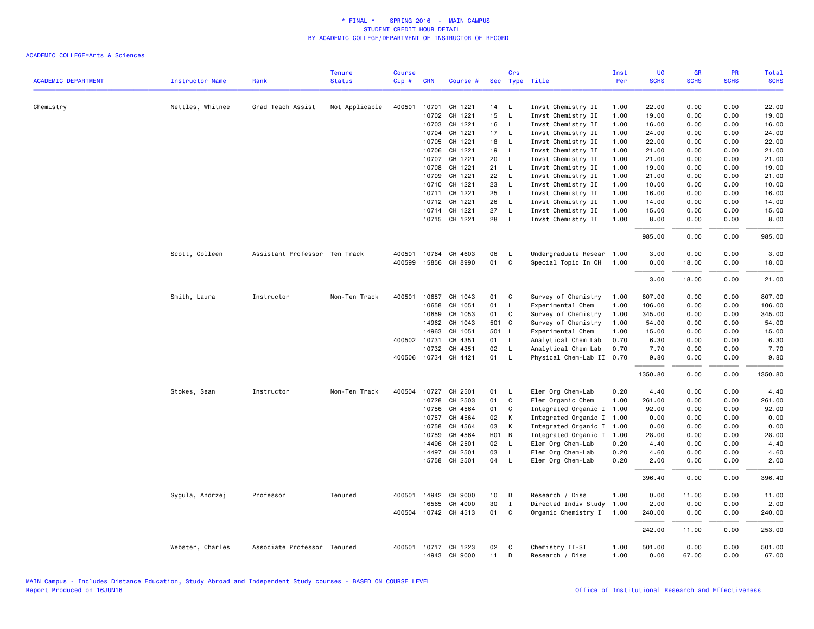|                            |                  |                               | <b>Tenure</b>  | <b>Course</b> |                |                      |                   | Crs                          |                                          | Inst         | UG             | <b>GR</b>    | PR           | Total          |
|----------------------------|------------------|-------------------------------|----------------|---------------|----------------|----------------------|-------------------|------------------------------|------------------------------------------|--------------|----------------|--------------|--------------|----------------|
| <b>ACADEMIC DEPARTMENT</b> | Instructor Name  | Rank                          | <b>Status</b>  | Cip#          | <b>CRN</b>     | Course #             |                   |                              | Sec Type Title                           | Per          | <b>SCHS</b>    | <b>SCHS</b>  | <b>SCHS</b>  | <b>SCHS</b>    |
|                            |                  |                               |                |               |                |                      |                   |                              |                                          |              |                |              |              |                |
| Chemistry                  | Nettles, Whitnee | Grad Teach Assist             | Not Applicable | 400501        | 10701<br>10702 | CH 1221<br>CH 1221   | 14<br>15          | $\mathsf{L}$<br>$\mathsf{L}$ | Invst Chemistry II<br>Invst Chemistry II | 1.00<br>1.00 | 22.00<br>19.00 | 0.00<br>0.00 | 0.00<br>0.00 | 22.00<br>19.00 |
|                            |                  |                               |                |               | 10703          | CH 1221              |                   |                              |                                          |              |                | 0.00         |              |                |
|                            |                  |                               |                |               | 10704          | CH 1221              | 16                | $\mathsf{L}$<br>$\mathsf{L}$ | Invst Chemistry II                       | 1.00         | 16.00<br>24.00 | 0.00         | 0.00<br>0.00 | 16.00          |
|                            |                  |                               |                |               |                | CH 1221              | 17                | $\mathsf{L}$                 | Invst Chemistry II                       | 1.00         |                |              | 0.00         | 24.00          |
|                            |                  |                               |                |               | 10705<br>10706 | CH 1221              | 18<br>19          |                              | Invst Chemistry II                       | 1.00         | 22.00<br>21.00 | 0.00         |              | 22.00<br>21.00 |
|                            |                  |                               |                |               | 10707          | CH 1221              | 20                | $\mathsf{L}$<br>$\mathsf{L}$ | Invst Chemistry II<br>Invst Chemistry II | 1.00<br>1.00 | 21.00          | 0.00<br>0.00 | 0.00<br>0.00 | 21,00          |
|                            |                  |                               |                |               | 10708          | CH 1221              | 21                | $\mathsf{L}$                 | Invst Chemistry II                       | 1.00         | 19.00          | 0.00         | 0.00         | 19.00          |
|                            |                  |                               |                |               | 10709          | CH 1221              | 22                | $\mathsf{L}$                 | Invst Chemistry II                       | 1.00         | 21.00          | 0.00         | 0.00         | 21.00          |
|                            |                  |                               |                |               |                | CH 1221              | 23                |                              |                                          |              |                |              |              | 10.00          |
|                            |                  |                               |                |               | 10710<br>10711 | CH 1221              | 25                | $\mathsf{L}$<br>$\mathsf{L}$ | Invst Chemistry II                       | 1.00<br>1.00 | 10.00<br>16.00 | 0.00<br>0.00 | 0.00<br>0.00 | 16.00          |
|                            |                  |                               |                |               |                | 10712 CH 1221        | 26                | $\mathsf{L}$                 | Invst Chemistry II                       |              |                |              | 0.00         | 14.00          |
|                            |                  |                               |                |               |                |                      |                   |                              | Invst Chemistry II                       | 1.00         | 14.00          | 0.00         |              |                |
|                            |                  |                               |                |               | 10714          | CH 1221              | 27                | $\mathsf{L}$                 | Invst Chemistry II                       | 1.00         | 15.00          | 0.00         | 0.00         | 15.00          |
|                            |                  |                               |                |               |                | 10715 CH 1221        | 28                | $\mathsf{L}$                 | Invst Chemistry II                       | 1.00         | 8.00           | 0.00         | 0.00         | 8.00           |
|                            |                  |                               |                |               |                |                      |                   |                              |                                          |              | 985.00         | 0.00         | 0.00         | 985.00         |
|                            | Scott, Colleen   | Assistant Professor Ten Track |                | 400501        | 10764          | CH 4603              | 06                | L                            | Undergraduate Resear                     | 1.00         | 3.00           | 0.00         | 0.00         | 3.00           |
|                            |                  |                               |                | 400599        | 15856          | CH 8990              | 01                | C                            | Special Topic In CH                      | 1.00         | 0.00           | 18.00        | 0.00         | 18.00          |
|                            |                  |                               |                |               |                |                      |                   |                              |                                          |              | 3.00           | 18.00        | 0.00         | 21.00          |
|                            | Smith, Laura     | Instructor                    | Non-Ten Track  | 400501        | 10657          | CH 1043              | 01                | C                            | Survey of Chemistry                      | 1.00         | 807.00         | 0.00         | 0.00         | 807.00         |
|                            |                  |                               |                |               | 10658          | CH 1051              | 01                | L                            | Experimental Chem                        | 1.00         | 106.00         | 0.00         | 0.00         | 106.00         |
|                            |                  |                               |                |               | 10659          | CH 1053              | 01                | $\mathsf{C}$                 | Survey of Chemistry                      | 1.00         | 345.00         | 0.00         | 0.00         | 345.00         |
|                            |                  |                               |                |               | 14962          | CH 1043              | 501               | C.                           | Survey of Chemistry                      | 1.00         | 54.00          | 0.00         | 0.00         | 54.00          |
|                            |                  |                               |                |               | 14963          | CH 1051              | 501 L             |                              | Experimental Chem                        | 1.00         | 15.00          | 0.00         | 0.00         | 15.00          |
|                            |                  |                               |                |               | 400502 10731   | CH 4351              | 01 L              |                              | Analytical Chem Lab                      | 0.70         | 6.30           | 0.00         | 0.00         | 6.30           |
|                            |                  |                               |                |               | 10732          | CH 4351              | 02                | $\mathsf{L}$                 | Analytical Chem Lab                      | 0.70         | 7.70           | 0.00         | 0.00         | 7.70           |
|                            |                  |                               |                |               |                | 400506 10734 CH 4421 | 01                | $\mathsf{L}$                 | Physical Chem-Lab II                     | 0.70         | 9.80           | 0.00         | 0.00         | 9.80           |
|                            |                  |                               |                |               |                |                      |                   |                              |                                          |              | 1350.80        | 0.00         | 0.00         | 1350.80        |
|                            | Stokes, Sean     | Instructor                    | Non-Ten Track  | 400504        | 10727          | CH 2501              | 01                | $\mathsf{L}$                 | Elem Org Chem-Lab                        | 0.20         | 4.40           | 0.00         | 0.00         | 4.40           |
|                            |                  |                               |                |               | 10728          | CH 2503              | 01                | $\mathbf c$                  | Elem Organic Chem                        | 1.00         | 261.00         | 0.00         | 0.00         | 261.00         |
|                            |                  |                               |                |               | 10756          | CH 4564              | 01                | C                            | Integrated Organic I                     | 1.00         | 92.00          | 0.00         | 0.00         | 92.00          |
|                            |                  |                               |                |               | 10757          | CH 4564              | 02                | К                            | Integrated Organic I                     | 1.00         | 0.00           | 0.00         | 0.00         | 0.00           |
|                            |                  |                               |                |               | 10758          | CH 4564              | 03                | К                            | Integrated Organic I                     | 1.00         | 0.00           | 0.00         | 0.00         | 0.00           |
|                            |                  |                               |                |               | 10759          | CH 4564              | H <sub>01</sub> B |                              | Integrated Organic I                     | 1.00         | 28.00          | 0.00         | 0.00         | 28.00          |
|                            |                  |                               |                |               | 14496          | CH 2501              | 02                | <b>L</b>                     | Elem Org Chem-Lab                        | 0.20         | 4.40           | 0.00         | 0.00         | 4.40           |
|                            |                  |                               |                |               | 14497          | CH 2501              | 03                | L                            | Elem Org Chem-Lab                        | 0.20         | 4.60           | 0.00         | 0.00         | 4.60           |
|                            |                  |                               |                |               | 15758          | CH 2501              | 04                | <b>L</b>                     | Elem Org Chem-Lab                        | 0.20         | 2.00           | 0.00         | 0.00         | 2.00           |
|                            |                  |                               |                |               |                |                      |                   |                              |                                          |              | 396.40         | 0.00         | 0.00         | 396.40         |
|                            | Sygula, Andrzej  | Professor                     | Tenured        |               |                | 400501 14942 CH 9000 | 10                | D                            | Research / Diss                          | 1.00         | 0.00           | 11.00        | 0.00         | 11.00          |
|                            |                  |                               |                |               | 16565          | CH 4000              | 30                | $\mathbf{I}$                 | Directed Indiv Study                     | 1.00         | 2.00           | 0.00         | 0.00         | 2.00           |
|                            |                  |                               |                |               |                | 400504 10742 CH 4513 | 01                | C                            | Organic Chemistry I                      | 1.00         | 240.00         | 0.00         | 0.00         | 240.00         |
|                            |                  |                               |                |               |                |                      |                   |                              |                                          |              | 242.00         | 11.00        | 0.00         | 253.00         |
|                            | Webster, Charles | Associate Professor Tenured   |                | 400501        |                | 10717 CH 1223        | 02                | C                            | Chemistry II-SI                          | 1.00         | 501.00         | 0.00         | 0.00         | 501.00         |
|                            |                  |                               |                |               |                | 14943 CH 9000        | 11                | D                            | Research / Diss                          | 1.00         | 0.00           | 67.00        | 0.00         | 67.00          |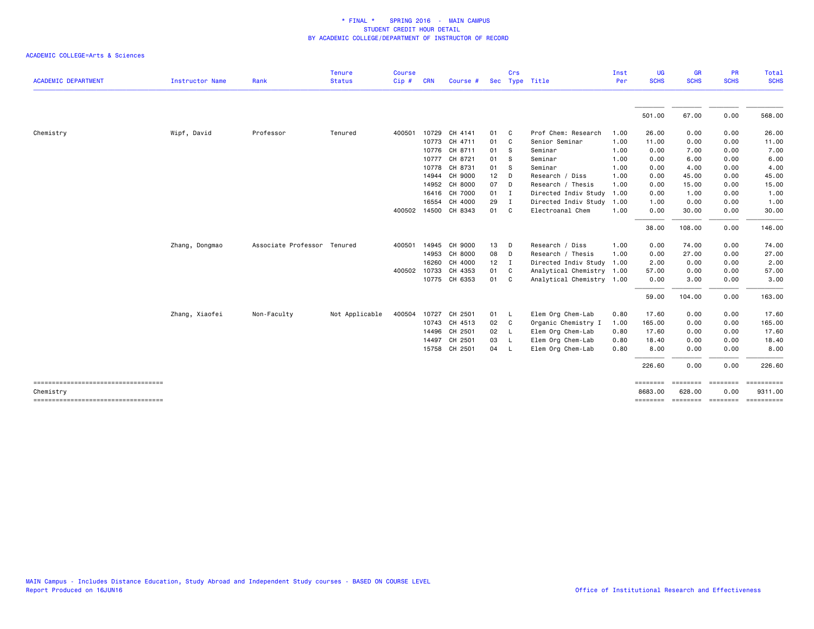|                                                 |                        |                             | <b>Tenure</b>  | Course       |            |               |        | Crs            |                           | Inst | UG                  | <b>GR</b>                   | <b>PR</b>       | Total                   |
|-------------------------------------------------|------------------------|-----------------------------|----------------|--------------|------------|---------------|--------|----------------|---------------------------|------|---------------------|-----------------------------|-----------------|-------------------------|
| <b>ACADEMIC DEPARTMENT</b>                      | <b>Instructor Name</b> | Rank                        | <b>Status</b>  | Cip#         | <b>CRN</b> | Course #      |        | Sec Type Title |                           | Per  | <b>SCHS</b>         | <b>SCHS</b>                 | <b>SCHS</b>     | <b>SCHS</b>             |
|                                                 |                        |                             |                |              |            |               |        |                |                           |      | 501.00              | 67.00                       | 0.00            | 568.00                  |
|                                                 |                        |                             |                |              |            |               |        |                |                           |      |                     |                             |                 |                         |
| Chemistry                                       | Wipf, David            | Professor                   | Tenured        | 400501       |            | 10729 CH 4141 | 01     | C              | Prof Chem: Research       | 1.00 | 26.00               | 0.00                        | 0.00            | 26.00                   |
|                                                 |                        |                             |                |              |            | 10773 CH 4711 | 01     | <b>C</b>       | Senior Seminar            | 1.00 | 11.00               | 0.00                        | 0.00            | 11.00                   |
|                                                 |                        |                             |                |              |            | 10776 CH 8711 | 01     | - S            | Seminar                   | 1.00 | 0.00                | 7.00                        | 0.00            | 7.00                    |
|                                                 |                        |                             |                |              |            | 10777 CH 8721 | 01     | S              | Seminar                   | 1.00 | 0.00                | 6.00                        | 0.00            | 6.00                    |
|                                                 |                        |                             |                |              | 10778      | CH 8731       | 01     | S              | Seminar                   | 1.00 | 0.00                | 4.00                        | 0.00            | 4.00                    |
|                                                 |                        |                             |                |              | 14944      | CH 9000       | 12     | D              | Research / Diss           | 1.00 | 0.00                | 45.00                       | 0.00            | 45.00                   |
|                                                 |                        |                             |                |              | 14952      | CH 8000       | 07     | D              | Research / Thesis         | 1.00 | 0.00                | 15.00                       | 0.00            | 15.00                   |
|                                                 |                        |                             |                |              | 16416      | CH 7000       | 01     | $\mathbf{I}$   | Directed Indiv Study      | 1.00 | 0.00                | 1.00                        | 0.00            | 1.00                    |
|                                                 |                        |                             |                |              | 16554      | CH 4000       | 29     | I              | Directed Indiv Study      | 1.00 | 1.00                | 0.00                        | 0.00            | 1.00                    |
|                                                 |                        |                             |                | 400502       |            | 14500 CH 8343 | 01     | C              | Electroanal Chem          | 1.00 | 0.00                | 30.00                       | 0.00            | 30.00                   |
|                                                 |                        |                             |                |              |            |               |        |                |                           |      | 38.00               | 108.00                      | 0.00            | 146.00                  |
|                                                 | Zhang, Dongmao         | Associate Professor Tenured |                | 400501       |            | 14945 CH 9000 | 13     | D              | Research / Diss           | 1.00 | 0.00                | 74.00                       | 0.00            | 74.00                   |
|                                                 |                        |                             |                |              |            | 14953 CH 8000 | 08     | D              | Research / Thesis         | 1.00 | 0.00                | 27.00                       | 0.00            | 27.00                   |
|                                                 |                        |                             |                |              | 16260      | CH 4000       | $12$ I |                | Directed Indiv Study 1.00 |      | 2.00                | 0.00                        | 0.00            | 2.00                    |
|                                                 |                        |                             |                | 400502 10733 |            | CH 4353       | 01     | C.             | Analytical Chemistry 1.00 |      | 57.00               | 0.00                        | 0.00            | 57.00                   |
|                                                 |                        |                             |                |              |            | 10775 CH 6353 | 01     | C.             | Analytical Chemistry 1.00 |      | 0.00                | 3.00                        | 0.00            | 3.00                    |
|                                                 |                        |                             |                |              |            |               |        |                |                           |      | 59.00               | 104.00                      | 0.00            | 163.00                  |
|                                                 | Zhang, Xiaofei         | Non-Faculty                 | Not Applicable | 400504       | 10727      | CH 2501       | 01     | L.             | Elem Org Chem-Lab         | 0.80 | 17.60               | 0.00                        | 0.00            | 17.60                   |
|                                                 |                        |                             |                |              |            | 10743 CH 4513 | 02     | - C            | Organic Chemistry I       | 1.00 | 165.00              | 0.00                        | 0.00            | 165.00                  |
|                                                 |                        |                             |                |              | 14496      | CH 2501       | 02     | $\mathsf{L}$   | Elem Org Chem-Lab         | 0.80 | 17.60               | 0.00                        | 0.00            | 17.60                   |
|                                                 |                        |                             |                |              | 14497      | CH 2501       | 03     | - L            | Elem Org Chem-Lab         | 0.80 | 18.40               | 0.00                        | 0.00            | 18.40                   |
|                                                 |                        |                             |                |              |            | 15758 CH 2501 | 04     | - L            | Elem Org Chem-Lab         | 0.80 | 8.00                | 0.00                        | 0.00            | 8.00                    |
|                                                 |                        |                             |                |              |            |               |        |                |                           |      | 226.60              | 0.00                        | 0.00            | 226.60                  |
| ====================================            |                        |                             |                |              |            |               |        |                |                           |      | ========            | ========                    | <b>ESSESSED</b> | $=$ = = = = = = = = = = |
| Chemistry<br>---------------------------------- |                        |                             |                |              |            |               |        |                |                           |      | 8683.00<br>======== | 628.00<br>--------- ------- | 0.00            | 9311.00<br>==========   |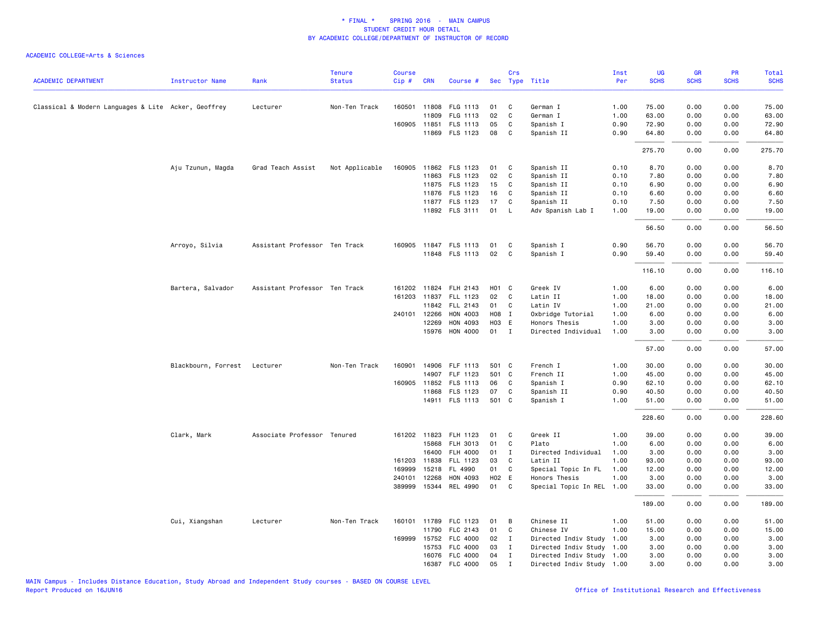|                                                     |                              |                               | <b>Tenure</b>  | <b>Course</b> |              |                       |                   | Crs          |                           | Inst | UG          | <b>GR</b>   | <b>PR</b>   | <b>Total</b> |
|-----------------------------------------------------|------------------------------|-------------------------------|----------------|---------------|--------------|-----------------------|-------------------|--------------|---------------------------|------|-------------|-------------|-------------|--------------|
| <b>ACADEMIC DEPARTMENT</b>                          | <b>Instructor Name</b>       | Rank                          | <b>Status</b>  | Cip#          | <b>CRN</b>   | Course #              |                   |              | Sec Type Title            | Per  | <b>SCHS</b> | <b>SCHS</b> | <b>SCHS</b> | <b>SCHS</b>  |
| Classical & Modern Languages & Lite Acker, Geoffrey |                              | Lecturer                      | Non-Ten Track  |               |              | 160501 11808 FLG 1113 | 01                | C            | German I                  | 1.00 | 75.00       | 0.00        | 0.00        | 75.00        |
|                                                     |                              |                               |                |               | 11809        | FLG 1113              | 02                | C            | German I                  | 1.00 | 63.00       | 0.00        | 0.00        | 63.00        |
|                                                     |                              |                               |                |               |              | 160905 11851 FLS 1113 | 05                | C            | Spanish I                 | 0.90 | 72.90       | 0.00        | 0.00        | 72.90        |
|                                                     |                              |                               |                |               |              | 11869 FLS 1123        | 08                | C            | Spanish II                | 0.90 | 64.80       | 0.00        | 0.00        | 64.80        |
|                                                     |                              |                               |                |               |              |                       |                   |              |                           |      | 275.70      | 0.00        | 0.00        | 275.70       |
|                                                     | Aju Tzunun, Magda            | Grad Teach Assist             | Not Applicable | 160905        |              | 11862 FLS 1123        | 01                | C            | Spanish II                | 0.10 | 8.70        | 0.00        | 0.00        | 8.70         |
|                                                     |                              |                               |                |               |              | 11863 FLS 1123        | 02                | C            | Spanish II                | 0.10 | 7.80        | 0.00        | 0.00        | 7.80         |
|                                                     |                              |                               |                |               |              | 11875 FLS 1123        | 15                | C            | Spanish II                | 0.10 | 6.90        | 0.00        | 0.00        | 6.90         |
|                                                     |                              |                               |                |               |              | 11876 FLS 1123        | 16                | C            | Spanish II                | 0.10 | 6.60        | 0.00        | 0.00        | 6.60         |
|                                                     |                              |                               |                |               |              | 11877 FLS 1123        | 17                | C            | Spanish II                | 0.10 | 7.50        | 0.00        | 0.00        | 7.50         |
|                                                     |                              |                               |                |               |              | 11892 FLS 3111        | 01                | L            | Adv Spanish Lab I         | 1.00 | 19.00       | 0.00        | 0.00        | 19.00        |
|                                                     |                              |                               |                |               |              |                       |                   |              |                           |      | 56.50       | 0.00        | 0.00        | 56.50        |
|                                                     | Arroyo, Silvia               | Assistant Professor Ten Track |                |               |              | 160905 11847 FLS 1113 | 01                | C            | Spanish I                 | 0.90 | 56.70       | 0.00        | 0.00        | 56.70        |
|                                                     |                              |                               |                |               |              | 11848 FLS 1113        | 02                | $\mathbf{C}$ | Spanish I                 | 0.90 | 59.40       | 0.00        | 0.00        | 59.40        |
|                                                     |                              |                               |                |               |              |                       |                   |              |                           |      | 116.10      | 0.00        | 0.00        | 116.10       |
|                                                     | Bartera, Salvador            | Assistant Professor Ten Track |                |               |              | 161202 11824 FLH 2143 | H <sub>01</sub> C |              | Greek IV                  | 1.00 | 6.00        | 0.00        | 0.00        | 6.00         |
|                                                     |                              |                               |                |               |              | 161203 11837 FLL 1123 | 02                | C            | Latin II                  | 1.00 | 18.00       | 0.00        | 0.00        | 18.00        |
|                                                     |                              |                               |                |               |              | 11842 FLL 2143        | 01                | C            | Latin IV                  | 1.00 | 21.00       | 0.00        | 0.00        | 21.00        |
|                                                     |                              |                               |                |               | 240101 12266 | HON 4003              | H08 I             |              | Oxbridge Tutorial         | 1.00 | 6.00        | 0.00        | 0.00        | 6.00         |
|                                                     |                              |                               |                |               | 12269        | HON 4093              | H03 E             |              | Honors Thesis             | 1.00 | 3.00        | 0.00        | 0.00        | 3.00         |
|                                                     |                              |                               |                |               |              | 15976 HON 4000        | $01$ I            |              | Directed Individual       | 1.00 | 3.00        | 0.00        | 0.00        | 3.00         |
|                                                     |                              |                               |                |               |              |                       |                   |              |                           |      | 57.00       | 0.00        | 0.00        | 57.00        |
|                                                     | Blackbourn, Forrest Lecturer |                               | Non-Ten Track  | 160901        |              | 14906 FLF 1113        | 501 C             |              | French I                  | 1.00 | 30.00       | 0.00        | 0.00        | 30.00        |
|                                                     |                              |                               |                |               |              | 14907 FLF 1123        | 501 C             |              | French II                 | 1.00 | 45.00       | 0.00        | 0.00        | 45.00        |
|                                                     |                              |                               |                |               |              | 160905 11852 FLS 1113 | 06                | C            | Spanish I                 | 0.90 | 62.10       | 0.00        | 0.00        | 62.10        |
|                                                     |                              |                               |                |               | 11868        | FLS 1123              | 07                | C            | Spanish II                | 0.90 | 40.50       | 0.00        | 0.00        | 40.50        |
|                                                     |                              |                               |                |               |              | 14911 FLS 1113        | 501 C             |              | Spanish I                 | 1.00 | 51.00       | 0.00        | 0.00        | 51.00        |
|                                                     |                              |                               |                |               |              |                       |                   |              |                           |      | 228.60      | 0.00        | 0.00        | 228.60       |
|                                                     | Clark, Mark                  | Associate Professor Tenured   |                |               |              | 161202 11823 FLH 1123 | 01                | C            | Greek II                  | 1.00 | 39.00       | 0.00        | 0.00        | 39.00        |
|                                                     |                              |                               |                |               |              | 15868 FLH 3013        | 01                | C            | Plato                     | 1.00 | 6.00        | 0.00        | 0.00        | 6.00         |
|                                                     |                              |                               |                |               | 16400        | FLH 4000              | 01                | $\mathbf{I}$ | Directed Individual       | 1.00 | 3.00        | 0.00        | 0.00        | 3.00         |
|                                                     |                              |                               |                |               | 161203 11838 | FLL 1123              | 03                | C            | Latin II                  | 1.00 | 93.00       | 0.00        | 0.00        | 93.00        |
|                                                     |                              |                               |                | 169999        | 15218        | FL 4990               | 01                | C            | Special Topic In FL       | 1.00 | 12.00       | 0.00        | 0.00        | 12.00        |
|                                                     |                              |                               |                | 240101        | 12268        | HON 4093              | H02 E             |              | Honors Thesis             | 1.00 | 3.00        | 0.00        | 0.00        | 3.00         |
|                                                     |                              |                               |                |               |              | 389999 15344 REL 4990 | 01                | C            | Special Topic In REL 1.00 |      | 33.00       | 0.00        | 0.00        | 33.00        |
|                                                     |                              |                               |                |               |              |                       |                   |              |                           |      | 189.00      | 0.00        | 0.00        | 189.00       |
|                                                     | Cui, Xiangshan               | Lecturer                      | Non-Ten Track  | 160101        | 11789        | FLC 1123              | 01                | B            | Chinese II                | 1.00 | 51.00       | 0.00        | 0.00        | 51.00        |
|                                                     |                              |                               |                |               |              | 11790 FLC 2143        | 01                | C            | Chinese IV                | 1.00 | 15.00       | 0.00        | 0.00        | 15.00        |
|                                                     |                              |                               |                |               |              | 169999 15752 FLC 4000 | 02                | $\mathbf{I}$ | Directed Indiv Study 1.00 |      | 3.00        | 0.00        | 0.00        | 3.00         |
|                                                     |                              |                               |                |               | 15753        | FLC 4000              | 03                | $\mathbf{I}$ | Directed Indiv Study 1.00 |      | 3.00        | 0.00        | 0.00        | 3.00         |
|                                                     |                              |                               |                |               |              | 16076 FLC 4000        | 04                | $\mathbf{I}$ | Directed Indiv Study 1.00 |      | 3.00        | 0.00        | 0.00        | 3.00         |
|                                                     |                              |                               |                |               |              | 16387 FLC 4000        | 05                | $\mathbf I$  | Directed Indiv Study 1.00 |      | 3.00        | 0.00        | 0.00        | 3.00         |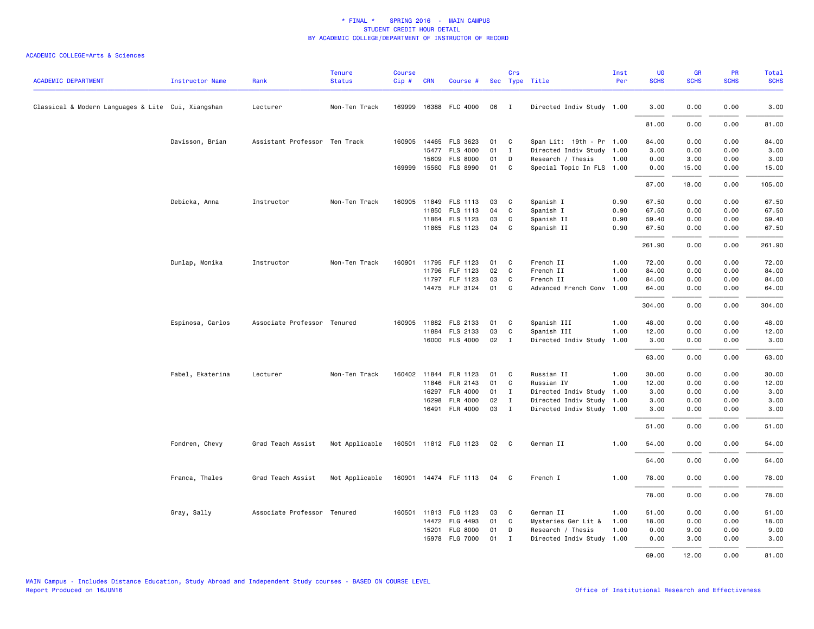| <b>ACADEMIC DEPARTMENT</b>                         | <b>Instructor Name</b> | Rank                          | <b>Tenure</b><br><b>Status</b> | <b>Course</b><br>Cip# | <b>CRN</b> | Course #                                |          | Crs               | Sec Type Title                                        | Inst<br>Per | <b>UG</b><br><b>SCHS</b> | <b>GR</b><br><b>SCHS</b> | <b>PR</b><br><b>SCHS</b> | <b>Total</b><br><b>SCHS</b> |
|----------------------------------------------------|------------------------|-------------------------------|--------------------------------|-----------------------|------------|-----------------------------------------|----------|-------------------|-------------------------------------------------------|-------------|--------------------------|--------------------------|--------------------------|-----------------------------|
| Classical & Modern Languages & Lite Cui, Xiangshan |                        |                               | Non-Ten Track                  |                       |            | 169999 16388 FLC 4000                   | 06       | $\blacksquare$    | Directed Indiv Study 1.00                             |             | 3.00                     | 0.00                     | 0.00                     | 3.00                        |
|                                                    |                        | Lecturer                      |                                |                       |            |                                         |          |                   |                                                       |             |                          |                          |                          |                             |
|                                                    |                        |                               |                                |                       |            |                                         |          |                   |                                                       |             | 81.00                    | 0.00                     | 0.00                     | 81.00                       |
|                                                    | Davisson, Brian        | Assistant Professor Ten Track |                                |                       |            | 160905 14465 FLS 3623<br>15477 FLS 4000 | 01<br>01 | C<br>$\mathbf{I}$ | Span Lit: 19th - Pr 1.00<br>Directed Indiv Study 1.00 |             | 84.00<br>3.00            | 0.00<br>0.00             | 0.00<br>0.00             | 84.00<br>3.00               |
|                                                    |                        |                               |                                |                       | 15609      | <b>FLS 8000</b>                         | 01       | D                 | Research / Thesis                                     | 1.00        | 0.00                     | 3.00                     | 0.00                     | 3.00                        |
|                                                    |                        |                               |                                |                       |            | 169999 15560 FLS 8990                   | 01       | C                 | Special Topic In FLS 1.00                             |             | 0.00                     | 15.00                    | 0.00                     | 15.00                       |
|                                                    |                        |                               |                                |                       |            |                                         |          |                   |                                                       |             | 87.00                    | 18.00                    | 0.00                     | 105.00                      |
|                                                    | Debicka, Anna          | Instructor                    | Non-Ten Track                  |                       |            | 160905 11849 FLS 1113                   | 03       | C                 | Spanish I                                             | 0.90        | 67.50                    | 0.00                     | 0.00                     | 67.50                       |
|                                                    |                        |                               |                                |                       | 11850      | FLS 1113                                | 04       | C                 | Spanish I                                             | 0.90        | 67.50                    | 0.00                     | 0.00                     | 67.50                       |
|                                                    |                        |                               |                                |                       |            | 11864 FLS 1123                          | 03       | C                 | Spanish II                                            | 0.90        | 59.40                    | 0.00                     | 0.00                     | 59.40                       |
|                                                    |                        |                               |                                |                       |            | 11865 FLS 1123                          | 04       | C                 | Spanish II                                            | 0.90        | 67.50                    | 0.00                     | 0.00                     | 67.50                       |
|                                                    |                        |                               |                                |                       |            |                                         |          |                   |                                                       |             | 261.90                   | 0.00                     | 0.00                     | 261.90                      |
|                                                    | Dunlap, Monika         | Instructor                    | Non-Ten Track                  | 160901                |            | 11795 FLF 1123                          | 01       | C                 | French II                                             | 1.00        | 72.00                    | 0.00                     | 0.00                     | 72.00                       |
|                                                    |                        |                               |                                |                       |            | 11796 FLF 1123                          | 02       | C                 | French II                                             | 1.00        | 84.00                    | 0.00                     | 0.00                     | 84.00                       |
|                                                    |                        |                               |                                |                       |            | 11797 FLF 1123                          | 03       | C                 | French II                                             | 1.00        | 84.00                    | 0.00                     | 0.00                     | 84.00                       |
|                                                    |                        |                               |                                |                       |            | 14475 FLF 3124                          | 01       | C                 | Advanced French Conv                                  | 1.00        | 64.00                    | 0.00                     | 0.00                     | 64.00                       |
|                                                    |                        |                               |                                |                       |            |                                         |          |                   |                                                       |             | 304.00                   | 0.00                     | 0.00                     | 304.00                      |
|                                                    | Espinosa, Carlos       | Associate Professor Tenured   |                                |                       |            | 160905 11882 FLS 2133                   | 01       | C                 | Spanish III                                           | 1.00        | 48.00                    | 0.00                     | 0.00                     | 48.00                       |
|                                                    |                        |                               |                                |                       |            | 11884 FLS 2133                          | 03       | C                 | Spanish III                                           | 1.00        | 12.00                    | 0.00                     | 0.00                     | 12.00                       |
|                                                    |                        |                               |                                |                       |            | 16000 FLS 4000                          | 02       | $\mathbf{I}$      | Directed Indiv Study                                  | 1.00        | 3.00                     | 0.00                     | 0.00                     | 3.00                        |
|                                                    |                        |                               |                                |                       |            |                                         |          |                   |                                                       |             | 63.00                    | 0.00                     | 0.00                     | 63.00                       |
|                                                    | Fabel, Ekaterina       | Lecturer                      | Non-Ten Track                  | 160402                |            | 11844 FLR 1123                          | 01       | C                 | Russian II                                            | 1.00        | 30.00                    | 0.00                     | 0.00                     | 30.00                       |
|                                                    |                        |                               |                                |                       |            | 11846 FLR 2143                          | 01       | C                 | Russian IV                                            | 1.00        | 12.00                    | 0.00                     | 0.00                     | 12.00                       |
|                                                    |                        |                               |                                |                       |            | 16297 FLR 4000                          | 01       | $\mathbf{I}$      | Directed Indiv Study 1.00                             |             | 3.00                     | 0.00                     | 0.00                     | 3.00                        |
|                                                    |                        |                               |                                |                       | 16298      | <b>FLR 4000</b>                         | 02       | $\mathbf{I}$      | Directed Indiv Study 1.00                             |             | 3.00                     | 0.00                     | 0.00                     | 3.00                        |
|                                                    |                        |                               |                                |                       |            | 16491 FLR 4000                          | 03       | $\mathbf{I}$      | Directed Indiv Study 1.00                             |             | 3.00                     | 0.00                     | 0.00                     | 3.00                        |
|                                                    |                        |                               |                                |                       |            |                                         |          |                   |                                                       |             | 51.00                    | 0.00                     | 0.00                     | 51.00                       |
|                                                    | Fondren, Chevy         | Grad Teach Assist             | Not Applicable                 |                       |            | 160501 11812 FLG 1123                   | 02       | $\mathbf{C}$      | German II                                             | 1.00        | 54.00                    | 0.00                     | 0.00                     | 54.00                       |
|                                                    |                        |                               |                                |                       |            |                                         |          |                   |                                                       |             | 54.00                    | 0.00                     | 0.00                     | 54.00                       |
|                                                    | Franca, Thales         | Grad Teach Assist             | Not Applicable                 |                       |            | 160901 14474 FLF 1113 04                |          | C.                | French I                                              | 1.00        | 78.00                    | 0.00                     | 0.00                     | 78.00                       |
|                                                    |                        |                               |                                |                       |            |                                         |          |                   |                                                       |             | 78.00                    | 0.00                     | 0.00                     | 78.00                       |
|                                                    | Gray, Sally            | Associate Professor Tenured   |                                |                       |            | 160501 11813 FLG 1123                   | 03       | C                 | German II                                             | 1.00        | 51.00                    | 0.00                     | 0.00                     | 51.00                       |
|                                                    |                        |                               |                                |                       |            | 14472 FLG 4493                          | 01       | C                 | Mysteries Ger Lit &                                   | 1.00        | 18.00                    | 0.00                     | 0.00                     | 18.00                       |
|                                                    |                        |                               |                                |                       |            | 15201 FLG 8000                          | 01       | D                 | Research / Thesis                                     | 1.00        | 0.00                     | 9.00                     | 0.00                     | 9.00                        |
|                                                    |                        |                               |                                |                       |            | 15978 FLG 7000                          | 01       | $\mathbf{I}$      | Directed Indiv Study                                  | 1.00        | 0.00                     | 3.00                     | 0.00                     | 3.00                        |
|                                                    |                        |                               |                                |                       |            |                                         |          |                   |                                                       |             | 69.00                    | 12.00                    | 0.00                     | 81.00                       |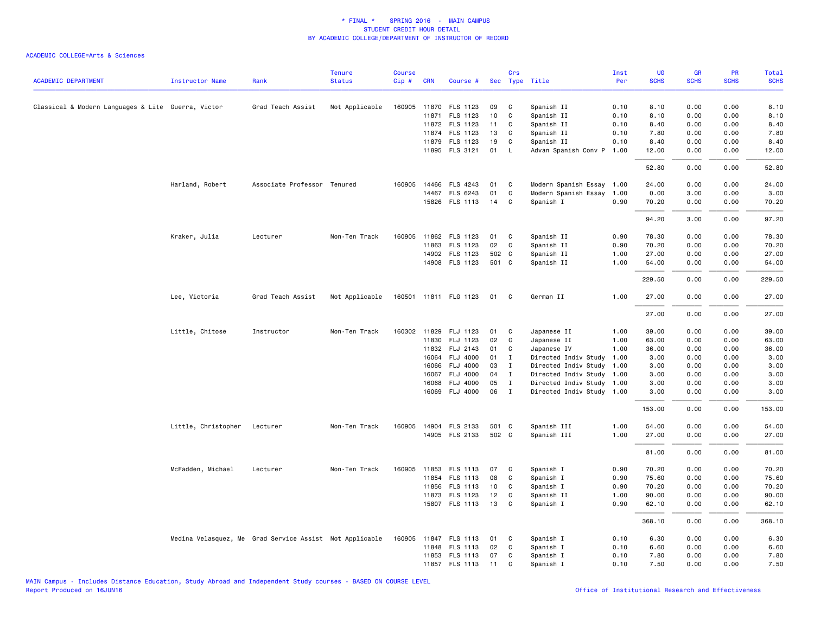|                                                    |                        |                                                         | <b>Tenure</b>  | <b>Course</b> |            |                            |          | Crs          |                           | Inst         | UG           | <b>GR</b>   | PR           | Total        |
|----------------------------------------------------|------------------------|---------------------------------------------------------|----------------|---------------|------------|----------------------------|----------|--------------|---------------------------|--------------|--------------|-------------|--------------|--------------|
| <b>ACADEMIC DEPARTMENT</b>                         | <b>Instructor Name</b> | Rank                                                    | <b>Status</b>  | Cip#          | <b>CRN</b> | Course #                   |          |              | Sec Type Title            | Per          | <b>SCHS</b>  | <b>SCHS</b> | <b>SCHS</b>  | <b>SCHS</b>  |
|                                                    |                        |                                                         |                |               |            |                            |          |              |                           |              |              |             |              |              |
| Classical & Modern Languages & Lite Guerra, Victor |                        | Grad Teach Assist                                       | Not Applicable |               |            | 160905 11870 FLS 1123      | 09       | C            | Spanish II                | 0.10         | 8.10         | 0.00        | 0.00         | 8.10         |
|                                                    |                        |                                                         |                |               |            | 11871 FLS 1123             | 10       | $\mathtt{C}$ | Spanish II                | 0.10         | 8.10         | 0.00        | 0.00         | 8.10         |
|                                                    |                        |                                                         |                |               |            | 11872 FLS 1123<br>FLS 1123 | 11<br>13 | C<br>C       | Spanish II<br>Spanish II  | 0.10<br>0.10 | 8.40<br>7.80 | 0.00        | 0.00<br>0.00 | 8.40<br>7.80 |
|                                                    |                        |                                                         |                |               | 11874      |                            |          |              |                           |              |              | 0.00        |              |              |
|                                                    |                        |                                                         |                |               | 11879      | FLS 1123                   | 19       | C            | Spanish II                | 0.10         | 8.40         | 0.00        | 0.00         | 8.40         |
|                                                    |                        |                                                         |                |               |            | 11895 FLS 3121             | 01       | L            | Advan Spanish Conv P      | 1.00         | 12.00        | 0.00        | 0.00         | 12.00        |
|                                                    |                        |                                                         |                |               |            |                            |          |              |                           |              | 52.80        | 0.00        | 0.00         | 52.80        |
|                                                    | Harland, Robert        | Associate Professor Tenured                             |                |               |            | 160905 14466 FLS 4243      | 01       | C            | Modern Spanish Essay 1.00 |              | 24.00        | 0.00        | 0.00         | 24.00        |
|                                                    |                        |                                                         |                |               |            | 14467 FLS 6243             | 01       | C            | Modern Spanish Essay      | 1.00         | 0.00         | 3.00        | 0.00         | 3.00         |
|                                                    |                        |                                                         |                |               |            | 15826 FLS 1113             | 14       | C            | Spanish I                 | 0.90         | 70.20        | 0.00        | 0.00         | 70.20        |
|                                                    |                        |                                                         |                |               |            |                            |          |              |                           |              | 94.20        | 3.00        | 0.00         | 97.20        |
|                                                    | Kraker, Julia          | Lecturer                                                | Non-Ten Track  |               |            | 160905 11862 FLS 1123      | 01       | C            | Spanish II                | 0.90         | 78.30        | 0.00        | 0.00         | 78.30        |
|                                                    |                        |                                                         |                |               |            | 11863 FLS 1123             | 02       | C            | Spanish II                | 0.90         | 70.20        | 0.00        | 0.00         | 70.20        |
|                                                    |                        |                                                         |                |               |            | 14902 FLS 1123             | 502 C    |              | Spanish II                | 1.00         | 27.00        | 0.00        | 0.00         | 27.00        |
|                                                    |                        |                                                         |                |               |            | 14908 FLS 1123             | 501 C    |              | Spanish II                | 1.00         | 54.00        | 0.00        | 0.00         | 54.00        |
|                                                    |                        |                                                         |                |               |            |                            |          |              |                           |              | 229.50       | 0.00        | 0.00         | 229.50       |
|                                                    | Lee, Victoria          | Grad Teach Assist                                       | Not Applicable |               |            | 160501 11811 FLG 1123      | 01       | C            | German II                 | 1.00         | 27.00        | 0.00        | 0.00         | 27.00        |
|                                                    |                        |                                                         |                |               |            |                            |          |              |                           |              | 27.00        | 0.00        | 0.00         | 27.00        |
|                                                    | Little, Chitose        | Instructor                                              | Non-Ten Track  |               |            | 160302 11829 FLJ 1123      | 01       | C            | Japanese II               | 1.00         | 39.00        | 0.00        | 0.00         | 39.00        |
|                                                    |                        |                                                         |                |               |            | 11830 FLJ 1123             | 02       | C            | Japanese II               | 1.00         | 63.00        | 0.00        | 0.00         | 63.00        |
|                                                    |                        |                                                         |                |               |            | 11832 FLJ 2143             | 01       | C            | Japanese IV               | 1.00         | 36.00        | 0.00        | 0.00         | 36.00        |
|                                                    |                        |                                                         |                |               | 16064      | <b>FLJ 4000</b>            | 01       | $\mathbf{I}$ | Directed Indiv Study      | 1.00         | 3.00         | 0.00        | 0.00         | 3.00         |
|                                                    |                        |                                                         |                |               | 16066      | FLJ 4000                   | 03       | $\mathbf{I}$ | Directed Indiv Study 1.00 |              | 3.00         | 0.00        | 0.00         | 3.00         |
|                                                    |                        |                                                         |                |               | 16067      | FLJ 4000                   | 04       | $\mathbf{I}$ | Directed Indiv Study 1.00 |              | 3.00         | 0.00        | 0.00         | 3.00         |
|                                                    |                        |                                                         |                |               | 16068      | <b>FLJ 4000</b>            | 05       | $\mathbf{I}$ | Directed Indiv Study 1.00 |              | 3.00         | 0.00        | 0.00         | 3.00         |
|                                                    |                        |                                                         |                |               |            | 16069 FLJ 4000             | 06       | $\mathbf I$  | Directed Indiv Study 1.00 |              | 3.00         | 0.00        | 0.00         | 3.00         |
|                                                    |                        |                                                         |                |               |            |                            |          |              |                           |              | 153.00       | 0.00        | 0.00         | 153.00       |
|                                                    | Little, Christopher    | Lecturer                                                | Non-Ten Track  |               |            | 160905 14904 FLS 2133      | 501 C    |              | Spanish III               | 1.00         | 54.00        | 0.00        | 0.00         | 54.00        |
|                                                    |                        |                                                         |                |               |            | 14905 FLS 2133             | 502 C    |              | Spanish III               | 1.00         | 27.00        | 0.00        | 0.00         | 27.00        |
|                                                    |                        |                                                         |                |               |            |                            |          |              |                           |              | 81.00        | 0.00        | 0.00         | 81.00        |
|                                                    | McFadden, Michael      | Lecturer                                                | Non-Ten Track  |               |            | 160905 11853 FLS 1113      | 07       | C            | Spanish I                 | 0.90         | 70.20        | 0.00        | 0.00         | 70.20        |
|                                                    |                        |                                                         |                |               |            | 11854 FLS 1113             | 08       | $\mathtt{C}$ | Spanish I                 | 0.90         | 75.60        | 0.00        | 0.00         | 75.60        |
|                                                    |                        |                                                         |                |               | 11856      | FLS 1113                   | 10       | C            | Spanish I                 | 0.90         | 70.20        | 0.00        | 0.00         | 70.20        |
|                                                    |                        |                                                         |                |               | 11873      | FLS 1123                   | 12       | C            | Spanish II                | 1.00         | 90.00        | 0.00        | 0.00         | 90.00        |
|                                                    |                        |                                                         |                |               |            | 15807 FLS 1113             | 13       | C            | Spanish I                 | 0.90         | 62.10        | 0.00        | 0.00         | 62.10        |
|                                                    |                        |                                                         |                |               |            |                            |          |              |                           |              | 368.10       | 0.00        | 0.00         | 368.10       |
|                                                    |                        | Medina Velasquez, Me Grad Service Assist Not Applicable |                |               |            | 160905 11847 FLS 1113      | 01       | C            | Spanish I                 | 0.10         | 6.30         | 0.00        | 0.00         | 6.30         |
|                                                    |                        |                                                         |                |               |            | 11848 FLS 1113             | 02       | C            | Spanish I                 | 0.10         | 6.60         | 0.00        | 0.00         | 6.60         |
|                                                    |                        |                                                         |                |               |            | 11853 FLS 1113             | 07       | C            | Spanish I                 | 0.10         | 7.80         | 0.00        | 0.00         | 7.80         |
|                                                    |                        |                                                         |                |               |            | 11857 FLS 1113             | 11       | C            | Spanish I                 | 0.10         | 7.50         | 0.00        | 0.00         | 7.50         |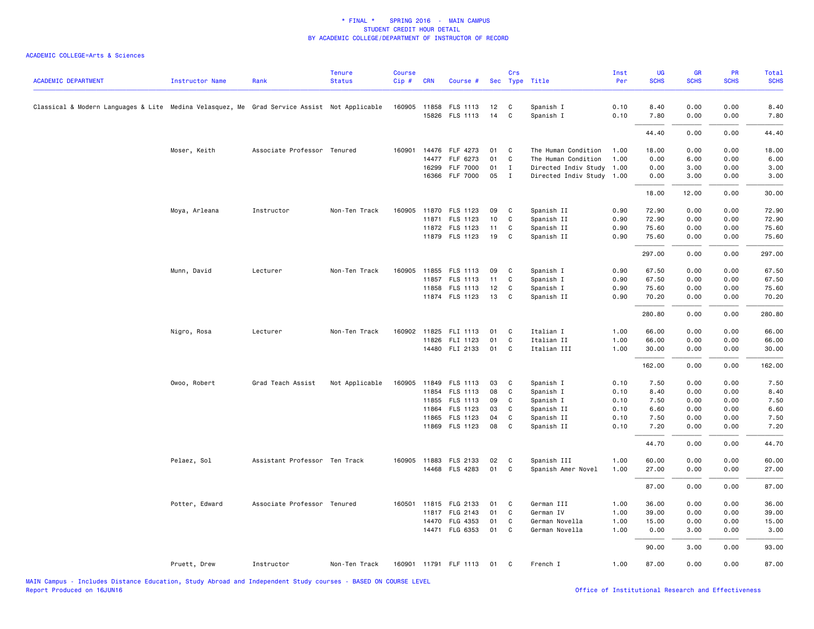|                                                                                             |                        |                               | <b>Tenure</b>  | <b>Course</b> |            |                       |    | Crs          |                           | Inst | <b>UG</b>   | GR          | <b>PR</b>   | Total       |
|---------------------------------------------------------------------------------------------|------------------------|-------------------------------|----------------|---------------|------------|-----------------------|----|--------------|---------------------------|------|-------------|-------------|-------------|-------------|
| <b>ACADEMIC DEPARTMENT</b>                                                                  | <b>Instructor Name</b> | Rank                          | <b>Status</b>  | Cip#          | <b>CRN</b> | Course #              |    |              | Sec Type Title            | Per  | <b>SCHS</b> | <b>SCHS</b> | <b>SCHS</b> | <b>SCHS</b> |
| Classical & Modern Languages & Lite Medina Velasquez, Me Grad Service Assist Not Applicable |                        |                               |                |               |            | 160905 11858 FLS 1113 | 12 | C            | Spanish I                 | 0.10 | 8.40        | 0.00        | 0.00        | 8.40        |
|                                                                                             |                        |                               |                |               |            | 15826 FLS 1113        | 14 | C            | Spanish I                 | 0.10 | 7.80        | 0.00        | 0.00        | 7.80        |
|                                                                                             |                        |                               |                |               |            |                       |    |              |                           |      | 44.40       | 0.00        | 0.00        | 44.40       |
|                                                                                             | Moser, Keith           | Associate Professor Tenured   |                |               |            | 160901 14476 FLF 4273 | 01 | C            | The Human Condition       | 1.00 | 18.00       | 0.00        | 0.00        | 18.00       |
|                                                                                             |                        |                               |                |               |            | 14477 FLF 6273        | 01 | C            | The Human Condition       | 1.00 | 0.00        | 6.00        | 0.00        | 6.00        |
|                                                                                             |                        |                               |                |               | 16299      | <b>FLF 7000</b>       | 01 | $\mathbf{I}$ | Directed Indiv Study      | 1.00 | 0.00        | 3.00        | 0.00        | 3.00        |
|                                                                                             |                        |                               |                |               |            | 16366 FLF 7000        | 05 | $\mathbf{I}$ | Directed Indiv Study 1.00 |      | 0.00        | 3.00        | 0.00        | 3.00        |
|                                                                                             |                        |                               |                |               |            |                       |    |              |                           |      | 18.00       | 12.00       | 0.00        | 30.00       |
|                                                                                             | Moya, Arleana          | Instructor                    | Non-Ten Track  |               |            | 160905 11870 FLS 1123 | 09 | C            | Spanish II                | 0.90 | 72.90       | 0.00        | 0.00        | 72.90       |
|                                                                                             |                        |                               |                |               |            | 11871 FLS 1123        | 10 | C            | Spanish II                | 0.90 | 72.90       | 0.00        | 0.00        | 72.90       |
|                                                                                             |                        |                               |                |               |            | 11872 FLS 1123        | 11 | C            | Spanish II                | 0.90 | 75.60       | 0.00        | 0.00        | 75.60       |
|                                                                                             |                        |                               |                |               |            | 11879 FLS 1123        | 19 | C            | Spanish II                | 0.90 | 75.60       | 0.00        | 0.00        | 75.60       |
|                                                                                             |                        |                               |                |               |            |                       |    |              |                           |      | 297.00      | 0.00        | 0.00        | 297.00      |
|                                                                                             | Munn, David            | Lecturer                      | Non-Ten Track  | 160905        |            | 11855 FLS 1113        | 09 | C            | Spanish I                 | 0.90 | 67.50       | 0.00        | 0.00        | 67.50       |
|                                                                                             |                        |                               |                |               |            | 11857 FLS 1113        | 11 | C            | Spanish I                 | 0.90 | 67.50       | 0.00        | 0.00        | 67.50       |
|                                                                                             |                        |                               |                |               |            | 11858 FLS 1113        | 12 | C            | Spanish I                 | 0.90 | 75.60       | 0.00        | 0.00        | 75.60       |
|                                                                                             |                        |                               |                |               |            | 11874 FLS 1123        | 13 | C            | Spanish II                | 0.90 | 70.20       | 0.00        | 0.00        | 70.20       |
|                                                                                             |                        |                               |                |               |            |                       |    |              |                           |      | 280.80      | 0.00        | 0.00        | 280.80      |
|                                                                                             | Nigro, Rosa            | Lecturer                      | Non-Ten Track  |               |            | 160902 11825 FLI 1113 | 01 | C            | Italian I                 | 1.00 | 66.00       | 0.00        | 0.00        | 66.00       |
|                                                                                             |                        |                               |                |               |            | 11826 FLI 1123        | 01 | $\mathsf{C}$ | Italian II                | 1.00 | 66.00       | 0.00        | 0.00        | 66.00       |
|                                                                                             |                        |                               |                |               |            | 14480 FLI 2133        | 01 | C            | Italian III               | 1.00 | 30.00       | 0.00        | 0.00        | 30.00       |
|                                                                                             |                        |                               |                |               |            |                       |    |              |                           |      | 162.00      | 0.00        | 0.00        | 162.00      |
|                                                                                             | Owoo, Robert           | Grad Teach Assist             | Not Applicable | 160905        |            | 11849 FLS 1113        | 03 | C            | Spanish I                 | 0.10 | 7.50        | 0.00        | 0.00        | 7.50        |
|                                                                                             |                        |                               |                |               |            | 11854 FLS 1113        | 08 | C            | Spanish I                 | 0.10 | 8.40        | 0.00        | 0.00        | 8.40        |
|                                                                                             |                        |                               |                |               | 11855      | FLS 1113              | 09 | C            | Spanish I                 | 0.10 | 7.50        | 0.00        | 0.00        | 7.50        |
|                                                                                             |                        |                               |                |               | 11864      | FLS 1123              | 03 | C            | Spanish II                | 0.10 | 6.60        | 0.00        | 0.00        | 6.60        |
|                                                                                             |                        |                               |                |               | 11865      | FLS 1123              | 04 | C            | Spanish II                | 0.10 | 7.50        | 0.00        | 0.00        | 7.50        |
|                                                                                             |                        |                               |                |               |            | 11869 FLS 1123        | 08 | C            | Spanish II                | 0.10 | 7.20        | 0.00        | 0.00        | 7.20        |
|                                                                                             |                        |                               |                |               |            |                       |    |              |                           |      | 44.70       | 0.00        | 0.00        | 44.70       |
|                                                                                             | Pelaez, Sol            | Assistant Professor Ten Track |                |               |            | 160905 11883 FLS 2133 | 02 | C            | Spanish III               | 1.00 | 60.00       | 0.00        | 0.00        | 60.00       |
|                                                                                             |                        |                               |                |               |            | 14468 FLS 4283        | 01 | $\mathsf{C}$ | Spanish Amer Novel        | 1.00 | 27.00       | 0.00        | 0.00        | 27.00       |
|                                                                                             |                        |                               |                |               |            |                       |    |              |                           |      | 87.00       | 0.00        | 0.00        | 87.00       |
|                                                                                             | Potter, Edward         | Associate Professor Tenured   |                | 160501        |            | 11815 FLG 2133        | 01 | C            | German III                | 1.00 | 36.00       | 0.00        | 0.00        | 36.00       |
|                                                                                             |                        |                               |                |               |            | 11817 FLG 2143        | 01 | C            | German IV                 | 1.00 | 39.00       | 0.00        | 0.00        | 39.00       |
|                                                                                             |                        |                               |                |               |            | 14470 FLG 4353        | 01 | C            | German Novella            | 1.00 | 15.00       | 0.00        | 0.00        | 15.00       |
|                                                                                             |                        |                               |                |               |            | 14471 FLG 6353        | 01 | C            | German Novella            | 1.00 | 0.00        | 3.00        | 0.00        | 3.00        |
|                                                                                             |                        |                               |                |               |            |                       |    |              |                           |      | 90.00       | 3.00        | 0.00        | 93.00       |
|                                                                                             | Pruett, Drew           | Instructor                    | Non-Ten Track  |               |            | 160901 11791 FLF 1113 | 01 | C            | French I                  | 1.00 | 87.00       | 0.00        | 0.00        | 87.00       |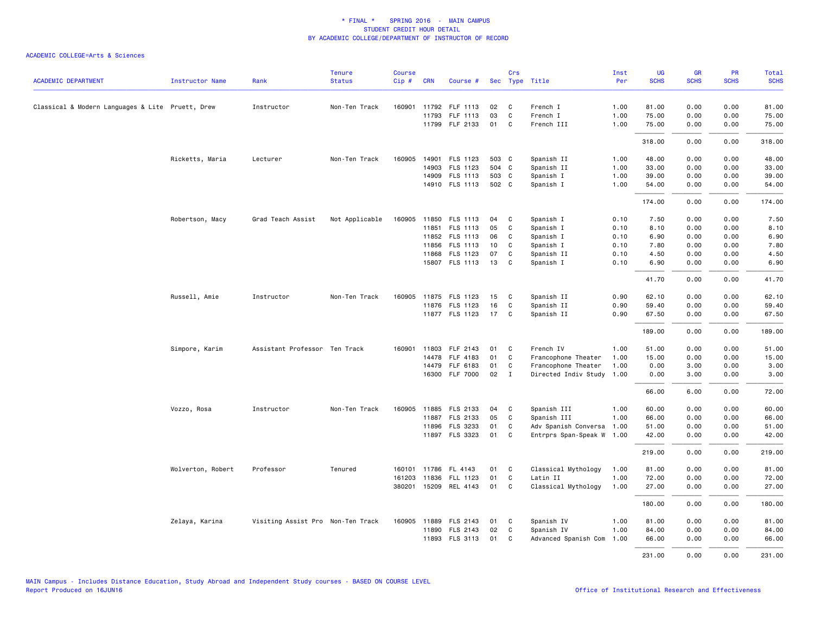|                                                  |                   |                                   | <b>Tenure</b>  | <b>Course</b> |            |                       |       | Crs          |                           | Inst | UG          | GR          | PR          | Total       |
|--------------------------------------------------|-------------------|-----------------------------------|----------------|---------------|------------|-----------------------|-------|--------------|---------------------------|------|-------------|-------------|-------------|-------------|
| <b>ACADEMIC DEPARTMENT</b>                       | Instructor Name   | Rank                              | <b>Status</b>  | Cip#          | <b>CRN</b> | Course #              |       |              | Sec Type Title            | Per  | <b>SCHS</b> | <b>SCHS</b> | <b>SCHS</b> | <b>SCHS</b> |
| Classical & Modern Languages & Lite Pruett, Drew |                   | Instructor                        | Non-Ten Track  | 160901        |            | 11792 FLF 1113        | 02    | C.           | French I                  | 1.00 | 81.00       | 0.00        | 0.00        | 81.00       |
|                                                  |                   |                                   |                |               | 11793      | FLF 1113              | 03    | C            | French I                  | 1.00 | 75.00       | 0.00        | 0.00        | 75.00       |
|                                                  |                   |                                   |                |               |            | 11799 FLF 2133        | 01    | C.           | French III                | 1.00 | 75.00       | 0.00        | 0.00        | 75.00       |
|                                                  |                   |                                   |                |               |            |                       |       |              |                           |      | 318.00      | 0.00        | 0.00        | 318.00      |
|                                                  | Ricketts, Maria   | Lecturer                          | Non-Ten Track  | 160905        |            | 14901 FLS 1123        | 503 C |              | Spanish II                | 1.00 | 48.00       | 0.00        | 0.00        | 48.00       |
|                                                  |                   |                                   |                |               | 14903      | FLS 1123              | 504 C |              | Spanish II                | 1.00 | 33.00       | 0.00        | 0.00        | 33.00       |
|                                                  |                   |                                   |                |               | 14909      | <b>FLS 1113</b>       | 503 C |              | Spanish I                 | 1.00 | 39.00       | 0.00        | 0.00        | 39.00       |
|                                                  |                   |                                   |                |               |            | 14910 FLS 1113        | 502 C |              | Spanish I                 | 1.00 | 54.00       | 0.00        | 0.00        | 54.00       |
|                                                  |                   |                                   |                |               |            |                       |       |              |                           |      | 174.00      | 0.00        | 0.00        | 174.00      |
|                                                  | Robertson, Macy   | Grad Teach Assist                 | Not Applicable | 160905        |            | 11850 FLS 1113        | 04    | C            | Spanish I                 | 0.10 | 7.50        | 0.00        | 0.00        | 7.50        |
|                                                  |                   |                                   |                |               |            | 11851 FLS 1113        | 05    | C            | Spanish I                 | 0.10 | 8.10        | 0.00        | 0.00        | 8.10        |
|                                                  |                   |                                   |                |               |            | 11852 FLS 1113        | 06    | C            | Spanish I                 | 0.10 | 6.90        | 0.00        | 0.00        | 6.90        |
|                                                  |                   |                                   |                |               | 11856      | <b>FLS 1113</b>       | 10    | C            | Spanish I                 | 0.10 | 7.80        | 0.00        | 0.00        | 7.80        |
|                                                  |                   |                                   |                |               |            | 11868 FLS 1123        | 07    | C            | Spanish II                | 0.10 | 4.50        | 0.00        | 0.00        | 4.50        |
|                                                  |                   |                                   |                |               |            | 15807 FLS 1113        | 13    | C            | Spanish I                 | 0.10 | 6.90        | 0.00        | 0.00        | 6.90        |
|                                                  |                   |                                   |                |               |            |                       |       |              |                           |      | 41.70       | 0.00        | 0.00        | 41.70       |
|                                                  | Russell, Amie     | Instructor                        | Non-Ten Track  |               |            | 160905 11875 FLS 1123 | 15    | C            | Spanish II                | 0.90 | 62.10       | 0.00        | 0.00        | 62.10       |
|                                                  |                   |                                   |                |               |            | 11876 FLS 1123        | 16    | $\mathtt{C}$ | Spanish II                | 0.90 | 59.40       | 0.00        | 0.00        | 59.40       |
|                                                  |                   |                                   |                |               |            | 11877 FLS 1123        | 17    | C            | Spanish II                | 0.90 | 67.50       | 0.00        | 0.00        | 67.50       |
|                                                  |                   |                                   |                |               |            |                       |       |              |                           |      | 189.00      | 0.00        | 0.00        | 189.00      |
|                                                  | Simpore, Karim    | Assistant Professor Ten Track     |                | 160901        |            | 11803 FLF 2143        | 01    | $\mathbf{C}$ | French IV                 | 1.00 | 51.00       | 0.00        | 0.00        | 51.00       |
|                                                  |                   |                                   |                |               | 14478      | FLF 4183              | 01    | C            | Francophone Theater       | 1.00 | 15.00       | 0.00        | 0.00        | 15.00       |
|                                                  |                   |                                   |                |               |            | 14479 FLF 6183        | 01    | C            | Francophone Theater       | 1.00 | 0.00        | 3.00        | 0.00        | 3.00        |
|                                                  |                   |                                   |                |               |            | 16300 FLF 7000        | 02    | $\mathbf{I}$ | Directed Indiv Study 1.00 |      | 0.00        | 3.00        | 0.00        | 3.00        |
|                                                  |                   |                                   |                |               |            |                       |       |              |                           |      | 66.00       | 6.00        | 0.00        | 72.00       |
|                                                  | Vozzo, Rosa       | Instructor                        | Non-Ten Track  | 160905        |            | 11885 FLS 2133        | 04    | C            | Spanish III               | 1.00 | 60.00       | 0.00        | 0.00        | 60.00       |
|                                                  |                   |                                   |                |               |            | 11887 FLS 2133        | 05    | C            | Spanish III               | 1.00 | 66.00       | 0.00        | 0.00        | 66.00       |
|                                                  |                   |                                   |                |               |            | 11896 FLS 3233        | 01    | C            | Adv Spanish Conversa 1.00 |      | 51.00       | 0.00        | 0.00        | 51.00       |
|                                                  |                   |                                   |                |               |            | 11897 FLS 3323        | 01    | C.           | Entrprs Span-Speak W 1.00 |      | 42.00       | 0.00        | 0.00        | 42.00       |
|                                                  |                   |                                   |                |               |            |                       |       |              |                           |      | 219.00      | 0.00        | 0.00        | 219.00      |
|                                                  | Wolverton, Robert | Professor                         | Tenured        |               |            | 160101 11786 FL 4143  | 01    | C.           | Classical Mythology       | 1.00 | 81.00       | 0.00        | 0.00        | 81.00       |
|                                                  |                   |                                   |                | 161203        |            | 11836 FLL 1123        | 01    | C            | Latin II                  | 1.00 | 72.00       | 0.00        | 0.00        | 72.00       |
|                                                  |                   |                                   |                | 380201        |            | 15209 REL 4143        | 01    | C            | Classical Mythology       | 1.00 | 27.00       | 0.00        | 0.00        | 27.00       |
|                                                  |                   |                                   |                |               |            |                       |       |              |                           |      | 180.00      | 0.00        | 0.00        | 180.00      |
|                                                  | Zelaya, Karina    | Visiting Assist Pro Non-Ten Track |                |               |            | 160905 11889 FLS 2143 | 01    | $\mathbf{C}$ | Spanish IV                | 1.00 | 81.00       | 0.00        | 0.00        | 81.00       |
|                                                  |                   |                                   |                |               |            | 11890 FLS 2143        | 02    | C            | Spanish IV                | 1.00 | 84.00       | 0.00        | 0.00        | 84.00       |
|                                                  |                   |                                   |                |               | 11893      | FLS 3113              | 01    | C.           | Advanced Spanish Com      | 1.00 | 66.00       | 0.00        | 0.00        | 66.00       |
|                                                  |                   |                                   |                |               |            |                       |       |              |                           |      | 231.00      | 0.00        | 0.00        | 231.00      |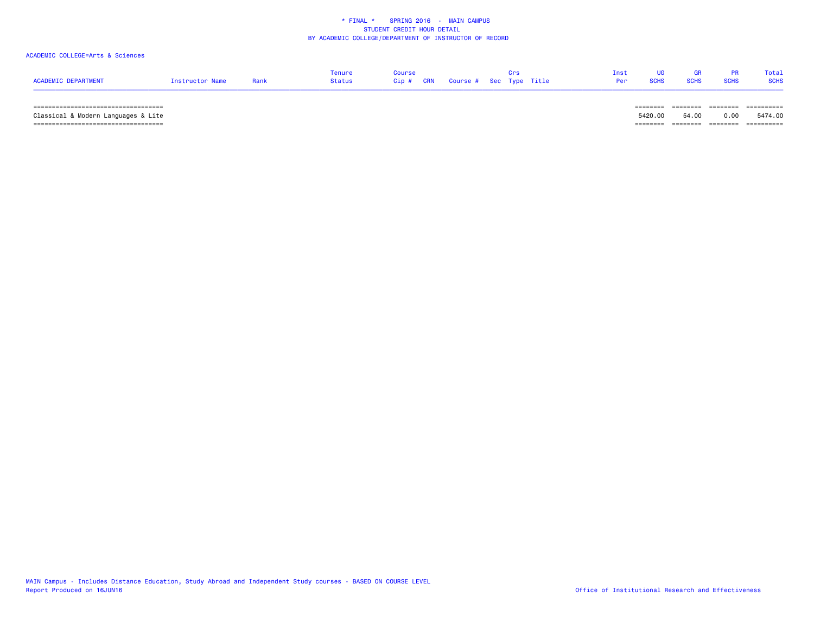# ACADEMIC COLLEGE=Arts & Sciences

| ACADEMIC DEPARTMENT                          | Instructor Name | Rank | Tenure<br><b>Status</b> | Course<br>Cip#<br>CRN | Course # Sec Type Title |  | Inst<br>Per | <b>SCHS</b> |                       | Total<br><b>SCHS</b> |
|----------------------------------------------|-----------------|------|-------------------------|-----------------------|-------------------------|--|-------------|-------------|-----------------------|----------------------|
| _____<br>----------------------------------- |                 |      |                         |                       |                         |  |             | -----       | ---------<br>-------- | ==========           |

 Classical & Modern Languages & Lite 5420.00 54.00 0.00 5474.00 =================================== ======== ======== ======== ==========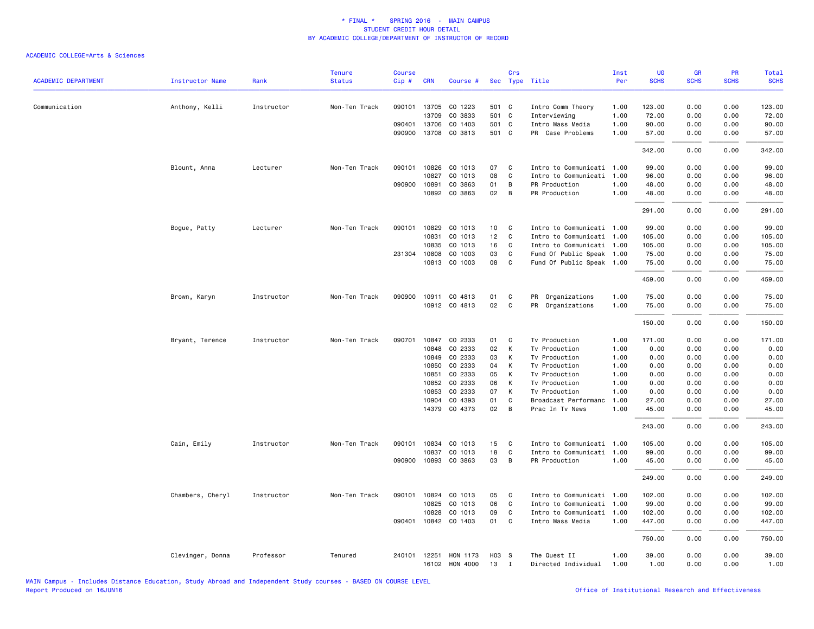| <b>ACADEMIC DEPARTMENT</b> | <b>Instructor Name</b> | Rank       | <b>Tenure</b><br><b>Status</b> | <b>Course</b> | <b>CRN</b>   |                      |       | Crs            |                           | Inst<br>Per | UG<br><b>SCHS</b> | <b>GR</b><br><b>SCHS</b> | PR<br><b>SCHS</b> | Total<br><b>SCHS</b> |
|----------------------------|------------------------|------------|--------------------------------|---------------|--------------|----------------------|-------|----------------|---------------------------|-------------|-------------------|--------------------------|-------------------|----------------------|
|                            |                        |            |                                | Cip#          |              | Course #             |       |                | Sec Type Title            |             |                   |                          |                   |                      |
| Communication              | Anthony, Kelli         | Instructor | Non-Ten Track                  |               |              | 090101 13705 CO 1223 | 501 C |                | Intro Comm Theory         | 1.00        | 123.00            | 0.00                     | 0.00              | 123.00               |
|                            |                        |            |                                |               | 13709        | CO 3833              | 501 C |                | Interviewing              | 1.00        | 72.00             | 0.00                     | 0.00              | 72.00                |
|                            |                        |            |                                |               | 090401 13706 | CO 1403              | 501 C |                | Intro Mass Media          | 1.00        | 90.00             | 0.00                     | 0.00              | 90.00                |
|                            |                        |            |                                | 090900        | 13708        | CO 3813              | 501 C |                | PR Case Problems          | 1.00        | 57.00             | 0.00                     | 0.00              | 57.00                |
|                            |                        |            |                                |               |              |                      |       |                |                           |             | 342.00            | 0.00                     | 0.00              | 342.00               |
|                            | Blount, Anna           | Lecturer   | Non-Ten Track                  | 090101        | 10826        | CO 1013              | 07    | $\mathbf{C}$   | Intro to Communicati 1.00 |             | 99.00             | 0.00                     | 0.00              | 99.00                |
|                            |                        |            |                                |               | 10827        | CO 1013              | 08    | C              | Intro to Communicati 1.00 |             | 96.00             | 0.00                     | 0.00              | 96.00                |
|                            |                        |            |                                |               | 090900 10891 | CO 3863              | 01    | B              | PR Production             | 1.00        | 48.00             | 0.00                     | 0.00              | 48.00                |
|                            |                        |            |                                |               | 10892        | CO 3863              | 02    | B              | PR Production             | 1.00        | 48.00             | 0.00                     | 0.00              | 48.00                |
|                            |                        |            |                                |               |              |                      |       |                |                           |             | 291.00            | 0.00                     | 0.00              | 291.00               |
|                            | Bogue, Patty           | Lecturer   | Non-Ten Track                  | 090101        | 10829        | CO 1013              | 10    | $\mathbf{C}$   | Intro to Communicati 1.00 |             | 99.00             | 0.00                     | 0.00              | 99.00                |
|                            |                        |            |                                |               | 10831        | CO 1013              | 12    | C              | Intro to Communicati 1.00 |             | 105.00            | 0.00                     | 0.00              | 105.00               |
|                            |                        |            |                                |               | 10835        | CO 1013              | 16    | C              | Intro to Communicati 1.00 |             | 105.00            | 0.00                     | 0.00              | 105.00               |
|                            |                        |            |                                |               | 231304 10808 | CO 1003              | 03    | C              | Fund Of Public Speak 1.00 |             | 75.00             | 0.00                     | 0.00              | 75.00                |
|                            |                        |            |                                |               |              | 10813 CO 1003        | 08    | C.             | Fund Of Public Speak 1.00 |             | 75.00             | 0.00                     | 0.00              | 75.00                |
|                            |                        |            |                                |               |              |                      |       |                |                           |             | 459.00            | 0.00                     | 0.00              | 459.00               |
|                            | Brown, Karyn           | Instructor | Non-Ten Track                  | 090900        |              | 10911 CO 4813        | 01    | C              | PR Organizations          | 1.00        | 75.00             | 0.00                     | 0.00              | 75.00                |
|                            |                        |            |                                |               |              | 10912 CO 4813        | 02    | C              | PR Organizations          | 1.00        | 75.00             | 0.00                     | 0.00              | 75.00                |
|                            |                        |            |                                |               |              |                      |       |                |                           |             | 150.00            | 0.00                     | 0.00              | 150.00               |
|                            | Bryant, Terence        | Instructor | Non-Ten Track                  | 090701        | 10847        | CO 2333              | 01    | C              | Tv Production             | 1.00        | 171.00            | 0.00                     | 0.00              | 171.00               |
|                            |                        |            |                                |               | 10848        | CO 2333              | 02    | K              | Tv Production             | 1.00        | 0.00              | 0.00                     | 0.00              | 0.00                 |
|                            |                        |            |                                |               | 10849        | CO 2333              | 03    | К              | Tv Production             | 1.00        | 0.00              | 0.00                     | 0.00              | 0.00                 |
|                            |                        |            |                                |               | 10850        | CO 2333              | 04    | K              | Tv Production             | 1.00        | 0.00              | 0.00                     | 0.00              | 0.00                 |
|                            |                        |            |                                |               | 10851        | CO 2333              | 05    | K              | Tv Production             | 1.00        | 0.00              | 0.00                     | 0.00              | 0.00                 |
|                            |                        |            |                                |               | 10852        | CO 2333              | 06    | K              | Tv Production             | 1.00        | 0.00              | 0.00                     | 0.00              | 0.00                 |
|                            |                        |            |                                |               | 10853        | CO 2333              | 07    | K              | Tv Production             | 1.00        | 0.00              | 0.00                     | 0.00              | 0.00                 |
|                            |                        |            |                                |               | 10904        | CO 4393              | 01    | C              | Broadcast Performanc      | 1.00        | 27,00             | 0.00                     | 0.00              | 27.00                |
|                            |                        |            |                                |               |              | 14379 CO 4373        | 02    | $\overline{B}$ | Prac In Tv News           | 1.00        | 45.00             | 0.00                     | 0.00              | 45.00                |
|                            |                        |            |                                |               |              |                      |       |                |                           |             | 243.00            | 0.00                     | 0.00              | 243.00               |
|                            | Cain, Emily            | Instructor | Non-Ten Track                  | 090101        | 10834        | CO 1013              | 15    | C              | Intro to Communicati 1.00 |             | 105.00            | 0.00                     | 0.00              | 105.00               |
|                            |                        |            |                                |               | 10837        | CO 1013              | 18    | $\mathtt{C}$   | Intro to Communicati 1.00 |             | 99.00             | 0.00                     | 0.00              | 99.00                |
|                            |                        |            |                                |               |              | 090900 10893 CO 3863 | 03    | B              | PR Production             | 1.00        | 45.00             | 0.00                     | 0.00              | 45.00                |
|                            |                        |            |                                |               |              |                      |       |                |                           |             | 249.00            | 0.00                     | 0.00              | 249.00               |
|                            | Chambers, Cheryl       | Instructor | Non-Ten Track                  | 090101        | 10824        | CO 1013              | 05    | C              | Intro to Communicati 1.00 |             | 102.00            | 0.00                     | 0.00              | 102.00               |
|                            |                        |            |                                |               | 10825        | CO 1013              | 06    | C              | Intro to Communicati 1.00 |             | 99.00             | 0.00                     | 0.00              | 99.00                |
|                            |                        |            |                                |               | 10828        | CO 1013              | 09    | C              | Intro to Communicati 1.00 |             | 102.00            | 0.00                     | 0.00              | 102.00               |
|                            |                        |            |                                | 090401        |              | 10842 CO 1403        | 01    | C.             | Intro Mass Media          | 1.00        | 447.00            | 0.00                     | 0.00              | 447.00               |
|                            |                        |            |                                |               |              |                      |       |                |                           |             | 750.00            | 0.00                     | 0.00              | 750.00               |
|                            | Clevinger, Donna       | Professor  | Tenured                        | 240101        |              | 12251 HON 1173       | H03 S |                | The Quest II              | 1.00        | 39.00             | 0.00                     | 0.00              | 39.00                |
|                            |                        |            |                                |               |              | 16102 HON 4000       | 13    | $\mathbf{I}$   | Directed Individual       | 1.00        | 1.00              | 0.00                     | 0.00              | 1.00                 |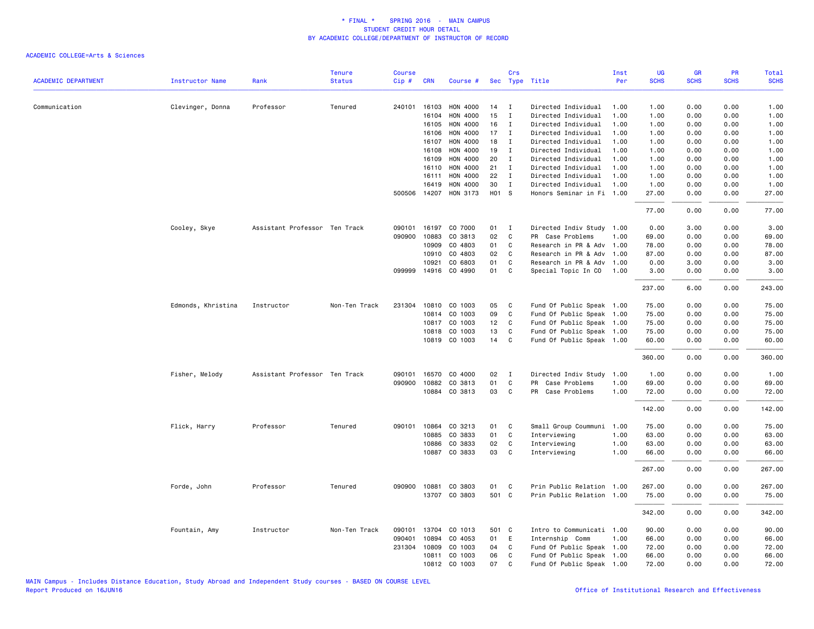| <b>ACADEMIC DEPARTMENT</b> | <b>Instructor Name</b> | Rank                          | <b>Tenure</b><br><b>Status</b> | <b>Course</b><br>Cip# | <b>CRN</b>   | Course #             |       | Crs          | Sec Type Title            | Inst<br>Per | <b>UG</b><br><b>SCHS</b> | <b>GR</b><br><b>SCHS</b> | PR<br><b>SCHS</b> | <b>Total</b><br><b>SCHS</b> |
|----------------------------|------------------------|-------------------------------|--------------------------------|-----------------------|--------------|----------------------|-------|--------------|---------------------------|-------------|--------------------------|--------------------------|-------------------|-----------------------------|
|                            |                        |                               |                                |                       |              |                      |       |              |                           |             |                          |                          |                   |                             |
| Communication              | Clevinger, Donna       | Professor                     | Tenured                        |                       | 240101 16103 | HON 4000             | 14    | I            | Directed Individual       | 1.00        | 1.00                     | 0.00                     | 0.00              | 1.00                        |
|                            |                        |                               |                                |                       | 16104        | HON 4000             | 15    | $\mathbf I$  | Directed Individual       | 1.00        | 1.00                     | 0.00                     | 0.00              | 1.00                        |
|                            |                        |                               |                                |                       | 16105        | HON 4000             | 16    | $\mathbf{I}$ | Directed Individual       | 1.00        | 1.00                     | 0.00                     | 0.00              | 1.00                        |
|                            |                        |                               |                                |                       | 16106        | HON 4000             | 17    | $\mathbf{I}$ | Directed Individual       | 1.00        | 1.00                     | 0.00                     | 0.00              | 1.00                        |
|                            |                        |                               |                                |                       | 16107        | HON 4000             | 18    | $\mathbf I$  | Directed Individual       | 1.00        | 1.00                     | 0.00                     | 0.00              | 1.00                        |
|                            |                        |                               |                                |                       | 16108        | HON 4000             | 19    | I            | Directed Individual       | 1.00        | 1.00                     | 0.00                     | 0.00              | 1.00                        |
|                            |                        |                               |                                |                       | 16109        | HON 4000             | 20    | $\mathbf{I}$ | Directed Individual       | 1.00        | 1.00                     | 0.00                     | 0.00              | 1.00                        |
|                            |                        |                               |                                |                       | 16110        | HON 4000             | 21    | $\mathbf{I}$ | Directed Individual       | 1.00        | 1.00                     | 0.00                     | 0.00              | 1.00                        |
|                            |                        |                               |                                |                       | 16111        | HON 4000             | 22    | $\mathbf{I}$ | Directed Individual       | 1.00        | 1.00                     | 0.00                     | 0.00              | 1.00                        |
|                            |                        |                               |                                |                       | 16419        | HON 4000             | 30    | $\mathbf{I}$ | Directed Individual       | 1.00        | 1.00                     | 0.00                     | 0.00              | 1.00                        |
|                            |                        |                               |                                |                       | 500506 14207 | HON 3173             | H01 S |              | Honors Seminar in Fi      | 1.00        | 27.00                    | 0.00                     | 0.00              | 27.00                       |
|                            |                        |                               |                                |                       |              |                      |       |              |                           |             | 77.00                    | 0.00                     | 0.00              | 77.00                       |
|                            | Cooley, Skye           | Assistant Professor Ten Track |                                | 090101                | 16197        | CO 7000              | 01    | $\mathbf{I}$ | Directed Indiv Study 1.00 |             | 0.00                     | 3.00                     | 0.00              | 3.00                        |
|                            |                        |                               |                                | 090900                | 10883        | CO 3813              | 02    | C            | PR Case Problems          | 1.00        | 69.00                    | 0.00                     | 0.00              | 69.00                       |
|                            |                        |                               |                                |                       | 10909        | CO 4803              | 01    | C            | Research in PR & Adv 1.00 |             | 78.00                    | 0.00                     | 0.00              | 78.00                       |
|                            |                        |                               |                                |                       | 10910        | CO 4803              | 02    | C            | Research in PR & Adv      | 1.00        | 87.00                    | 0.00                     | 0.00              | 87.00                       |
|                            |                        |                               |                                |                       | 10921        | CO 6803              | 01    | C            | Research in PR & Adv 1.00 |             | 0.00                     | 3.00                     | 0.00              | 3.00                        |
|                            |                        |                               |                                |                       |              | 099999 14916 CO 4990 | 01    | C            | Special Topic In CO       | 1.00        | 3.00                     | 0.00                     | 0.00              | 3.00                        |
|                            |                        |                               |                                |                       |              |                      |       |              |                           |             | 237.00                   | 6.00                     | 0.00              | 243.00                      |
|                            | Edmonds, Khristina     | Instructor                    | Non-Ten Track                  |                       |              | 231304 10810 CO 1003 | 05    | C            | Fund Of Public Speak 1.00 |             | 75.00                    | 0.00                     | 0.00              | 75.00                       |
|                            |                        |                               |                                |                       | 10814        | CO 1003              | 09    | $\mathsf{C}$ | Fund Of Public Speak 1.00 |             | 75.00                    | 0.00                     | 0.00              | 75.00                       |
|                            |                        |                               |                                |                       |              | 10817 CO 1003        | 12    | C            | Fund Of Public Speak 1.00 |             | 75.00                    | 0.00                     | 0.00              | 75.00                       |
|                            |                        |                               |                                |                       | 10818        | CO 1003              | 13    | C            | Fund Of Public Speak 1.00 |             | 75.00                    | 0.00                     | 0.00              | 75.00                       |
|                            |                        |                               |                                |                       |              | 10819 CO 1003        | 14    | C            | Fund Of Public Speak 1.00 |             | 60.00                    | 0.00                     | 0.00              | 60.00                       |
|                            |                        |                               |                                |                       |              |                      |       |              |                           |             | 360.00                   | 0.00                     | 0.00              | 360.00                      |
|                            | Fisher, Melody         | Assistant Professor Ten Track |                                | 090101                | 16570        | CO 4000              | 02    | I            | Directed Indiv Study      | 1.00        | 1.00                     | 0.00                     | 0.00              | 1.00                        |
|                            |                        |                               |                                |                       | 090900 10882 | CO 3813              | 01    | $\mathsf{C}$ | PR Case Problems          | 1.00        | 69.00                    | 0.00                     | 0.00              | 69.00                       |
|                            |                        |                               |                                |                       |              | 10884 CO 3813        | 03    | C            | PR Case Problems          | 1.00        | 72.00                    | 0.00                     | 0.00              | 72.00                       |
|                            |                        |                               |                                |                       |              |                      |       |              |                           |             | 142.00                   | 0.00                     | 0.00              | 142.00                      |
|                            | Flick, Harry           | Professor                     | Tenured                        |                       | 090101 10864 | CO 3213              | 01    | C            | Small Group Coummuni      | 1.00        | 75.00                    | 0.00                     | 0.00              | 75.00                       |
|                            |                        |                               |                                |                       | 10885        | CO 3833              | 01    | C            | Interviewing              | 1.00        | 63.00                    | 0.00                     | 0.00              | 63.00                       |
|                            |                        |                               |                                |                       | 10886        | CO 3833              | 02    | C            | Interviewing              | 1.00        | 63.00                    | 0.00                     | 0.00              | 63.00                       |
|                            |                        |                               |                                |                       | 10887        | CO 3833              | 03    | C            | Interviewing              | 1.00        | 66.00                    | 0.00                     | 0.00              | 66.00                       |
|                            |                        |                               |                                |                       |              |                      |       |              |                           |             | 267.00                   | 0.00                     | 0.00              | 267.00                      |
|                            | Forde, John            | Professor                     | Tenured                        | 090900                | 10881        | CO 3803              | 01    | C            | Prin Public Relation      | 1.00        | 267.00                   | 0.00                     | 0.00              | 267.00                      |
|                            |                        |                               |                                |                       |              | 13707 CO 3803        | 501 C |              | Prin Public Relation 1.00 |             | 75.00                    | 0.00                     | 0.00              | 75.00                       |
|                            |                        |                               |                                |                       |              |                      |       |              |                           |             | 342.00                   | 0.00                     | 0.00              | 342.00                      |
|                            | Fountain, Amy          | Instructor                    | Non-Ten Track                  | 090101                | 13704        | CO 1013              | 501   | $\mathbf{C}$ | Intro to Communicati 1.00 |             | 90.00                    | 0.00                     | 0.00              | 90.00                       |
|                            |                        |                               |                                | 090401                | 10894        | CO 4053              | 01    | E            | Internship Comm           | 1.00        | 66.00                    | 0.00                     | 0.00              | 66.00                       |
|                            |                        |                               |                                | 231304                | 10809        | CO 1003              | 04    | C            | Fund Of Public Speak 1.00 |             | 72.00                    | 0.00                     | 0.00              | 72.00                       |
|                            |                        |                               |                                |                       | 10811        | CO 1003              | 06    | C            | Fund Of Public Speak 1.00 |             | 66.00                    | 0.00                     | 0.00              | 66.00                       |
|                            |                        |                               |                                |                       |              | 10812 CO 1003        | 07    | C            | Fund Of Public Speak 1.00 |             | 72.00                    | 0.00                     | 0.00              | 72.00                       |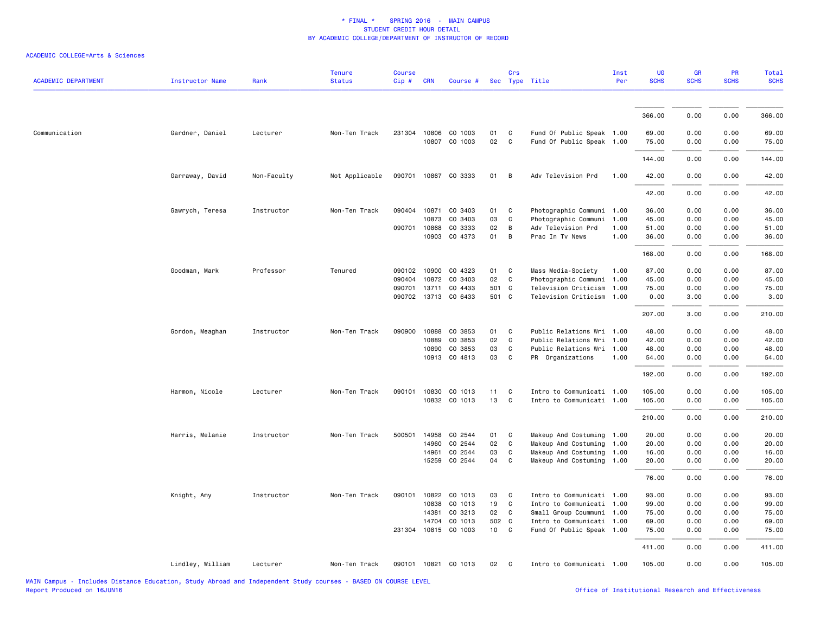| <b>ACADEMIC DEPARTMENT</b> | <b>Instructor Name</b> | Rank        | <b>Tenure</b><br><b>Status</b> | <b>Course</b><br>Cip# | <b>CRN</b> | Course #                        |               | Crs            | Sec Type Title                                         | Inst<br>Per | UG<br><b>SCHS</b> | <b>GR</b><br><b>SCHS</b> | PR<br><b>SCHS</b> | Total<br><b>SCHS</b> |
|----------------------------|------------------------|-------------|--------------------------------|-----------------------|------------|---------------------------------|---------------|----------------|--------------------------------------------------------|-------------|-------------------|--------------------------|-------------------|----------------------|
|                            |                        |             |                                |                       |            |                                 |               |                |                                                        |             |                   |                          |                   |                      |
|                            |                        |             |                                |                       |            |                                 |               |                |                                                        |             | 366.00            | 0.00                     | 0.00              | 366.00               |
| Communication              | Gardner, Daniel        | Lecturer    | Non-Ten Track                  |                       |            | 231304 10806 CO 1003            | 01            | $\mathbf{C}$   | Fund Of Public Speak 1.00                              |             | 69.00             | 0.00                     | 0.00              | 69.00                |
|                            |                        |             |                                |                       |            | 10807 CO 1003                   | 02            | $\mathbf{C}$   | Fund Of Public Speak 1.00                              |             | 75.00             | 0.00                     | 0.00              | 75.00                |
|                            |                        |             |                                |                       |            |                                 |               |                |                                                        |             | 144.00            | 0.00                     | 0.00              | 144.00               |
|                            | Garraway, David        | Non-Faculty | Not Applicable                 |                       |            | 090701 10867 CO 3333            | 01            | $\overline{B}$ | Adv Television Prd                                     | 1.00        | 42.00             | 0.00                     | 0.00              | 42.00                |
|                            |                        |             |                                |                       |            |                                 |               |                |                                                        |             | 42.00             | 0.00                     | 0.00              | 42.00                |
|                            | Gawrych, Teresa        | Instructor  | Non-Ten Track                  | 090404 10871          |            | CO 3403                         | 01            | $\mathbf{C}$   | Photographic Communi 1.00                              |             | 36.00             | 0.00                     | 0.00              | 36.00                |
|                            |                        |             |                                |                       | 10873      | CO 3403                         | 03            | C              | Photographic Communi                                   | 1.00        | 45.00             | 0.00                     | 0.00              | 45.00                |
|                            |                        |             |                                | 090701 10868          |            | CO 3333                         | 02            | $\overline{B}$ | Adv Television Prd                                     | 1.00        | 51.00             | 0.00                     | 0.00              | 51.00                |
|                            |                        |             |                                |                       | 10903      | CO 4373                         | 01 B          |                | Prac In Tv News                                        | 1.00        | 36.00             | 0.00                     | 0.00              | 36.00                |
|                            |                        |             |                                |                       |            |                                 |               |                |                                                        |             | 168.00            | 0.00                     | 0.00              | 168.00               |
|                            | Goodman, Mark          | Professor   | Tenured                        | 090102 10900          |            | CO 4323                         | 01            | $\mathbf{C}$   | Mass Media-Society                                     | 1.00        | 87.00             | 0.00                     | 0.00              | 87.00                |
|                            |                        |             |                                | 090404                | 10872      | CO 3403                         | 02            | C              | Photographic Communi                                   | 1.00        | 45.00             | 0.00                     | 0.00              | 45.00                |
|                            |                        |             |                                |                       |            | 090701 13711 CO 4433            | 501 C         |                | Television Criticism 1.00                              |             | 75.00             | 0.00                     | 0.00              | 75.00                |
|                            |                        |             |                                |                       |            | 090702 13713 CO 6433            | 501 C         |                | Television Criticism 1.00                              |             | 0.00              | 3.00                     | 0.00              | 3.00                 |
|                            |                        |             |                                |                       |            |                                 |               |                |                                                        |             | 207.00            | 3.00                     | 0.00              | 210.00               |
|                            | Gordon, Meaghan        | Instructor  | Non-Ten Track                  | 090900                | 10888      | CO 3853                         | 01            | $\mathbf{C}$   | Public Relations Wri 1.00                              |             | 48.00             | 0.00                     | 0.00              | 48.00                |
|                            |                        |             |                                |                       | 10889      | CO 3853                         | 02            | C              | Public Relations Wri 1.00                              |             | 42.00             | 0.00                     | 0.00              | 42.00                |
|                            |                        |             |                                |                       | 10890      | CO 3853                         | 03            | C              | Public Relations Wri 1.00                              |             | 48.00             | 0.00                     | 0.00              | 48.00                |
|                            |                        |             |                                |                       |            | 10913 CO 4813                   | 03 C          |                | PR Organizations                                       | 1.00        | 54.00             | 0.00                     | 0.00              | 54.00                |
|                            |                        |             |                                |                       |            |                                 |               |                |                                                        |             | 192.00            | 0.00                     | 0.00              | 192.00               |
|                            | Harmon, Nicole         | Lecturer    | Non-Ten Track                  | 090101                | 10830      | CO 1013                         | 11            | $\mathbf{C}$   | Intro to Communicati 1.00                              |             | 105.00            | 0.00                     | 0.00              | 105.00               |
|                            |                        |             |                                |                       |            | 10832 CO 1013                   | 13            | $\mathbf{C}$   | Intro to Communicati 1.00                              |             | 105.00            | 0.00                     | 0.00              | 105.00               |
|                            |                        |             |                                |                       |            |                                 |               |                |                                                        |             | 210.00            | 0.00                     | 0.00              | 210.00               |
|                            | Harris, Melanie        | Instructor  | Non-Ten Track                  | 500501                | 14958      | CO 2544                         | 01            | $\mathbf{C}$   | Makeup And Costuming 1.00                              |             | 20.00             | 0.00                     | 0.00              | 20.00                |
|                            |                        |             |                                |                       | 14960      | CO 2544                         | 02            | C              | Makeup And Costuming 1.00                              |             | 20.00             | 0.00                     | 0.00              | 20.00                |
|                            |                        |             |                                |                       | 14961      | CO 2544                         | 03            | C              | Makeup And Costuming 1.00                              |             | 16.00             | 0.00                     | 0.00              | 16.00                |
|                            |                        |             |                                |                       | 15259      | CO 2544                         | 04 C          |                | Makeup And Costuming 1.00                              |             | 20.00             | 0.00                     | 0.00              | 20.00                |
|                            |                        |             |                                |                       |            |                                 |               |                |                                                        |             | 76.00             | 0.00                     | 0.00              | 76.00                |
|                            | Knight, Amy            | Instructor  | Non-Ten Track                  | 090101 10822          |            | CO 1013                         | 03            | $\overline{c}$ | Intro to Communicati 1.00                              |             | 93.00             | 0.00                     | 0.00              | 93.00                |
|                            |                        |             |                                |                       | 10838      | CO 1013                         | 19            | $\mathbf{C}$   | Intro to Communicati 1.00                              |             | 99.00             | 0.00                     | 0.00              | 99.00                |
|                            |                        |             |                                |                       | 14381      | CO 3213                         | 02 C          |                | Small Group Coummuni 1.00                              |             | 75.00             | 0.00                     | 0.00              | 75.00                |
|                            |                        |             |                                |                       | 14704      | CO 1013<br>231304 10815 CO 1003 | 502 C<br>10 C |                | Intro to Communicati 1.00<br>Fund Of Public Speak 1.00 |             | 69.00<br>75.00    | 0.00<br>0.00             | 0.00<br>0.00      | 69.00<br>75.00       |
|                            |                        |             |                                |                       |            |                                 |               |                |                                                        |             | 411.00            | 0.00                     | 0.00              | 411.00               |
|                            | Lindley, William       | Lecturer    | Non-Ten Track                  |                       |            | 090101 10821 CO 1013            | 02            | $\mathbf{C}$   | Intro to Communicati 1.00                              |             | 105.00            | 0.00                     | 0.00              | 105.00               |
|                            |                        |             |                                |                       |            |                                 |               |                |                                                        |             |                   |                          |                   |                      |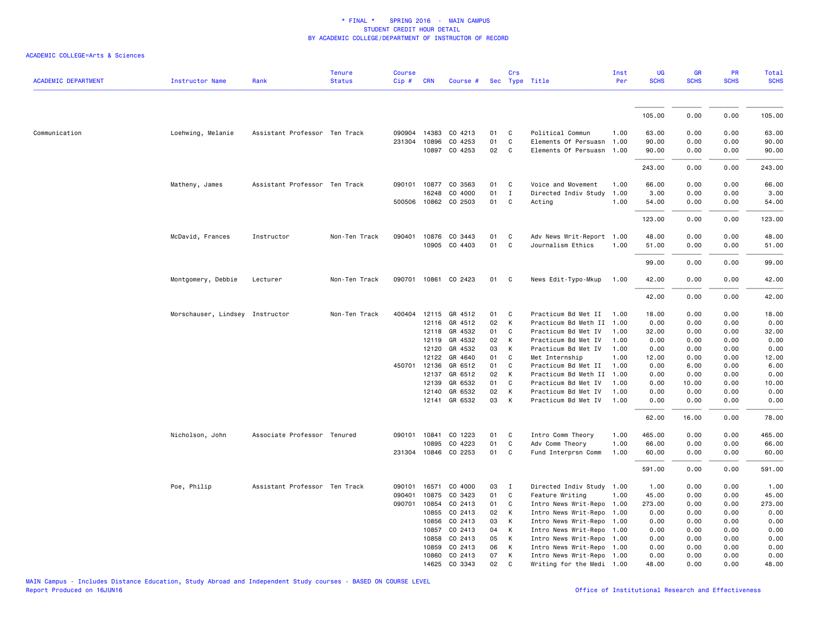| <b>ACADEMIC DEPARTMENT</b> | <b>Instructor Name</b>          | Rank                          | <b>Tenure</b><br><b>Status</b> | <b>Course</b><br>Cip# | <b>CRN</b>   | Course #             |    | Crs          | Sec Type Title            | Inst<br>Per | <b>UG</b><br><b>SCHS</b> | <b>GR</b><br><b>SCHS</b> | PR<br><b>SCHS</b> | Total<br><b>SCHS</b> |
|----------------------------|---------------------------------|-------------------------------|--------------------------------|-----------------------|--------------|----------------------|----|--------------|---------------------------|-------------|--------------------------|--------------------------|-------------------|----------------------|
|                            |                                 |                               |                                |                       |              |                      |    |              |                           |             |                          |                          |                   |                      |
|                            |                                 |                               |                                |                       |              |                      |    |              |                           |             | 105.00                   | 0.00                     | 0.00              | 105.00               |
| Communication              | Loehwing, Melanie               | Assistant Professor Ten Track |                                |                       | 090904 14383 | CO 4213              | 01 | C            | Political Commun          | 1.00        | 63.00                    | 0.00                     | 0.00              | 63.00                |
|                            |                                 |                               |                                |                       | 231304 10896 | CO 4253              | 01 | $\mathsf{C}$ | Elements Of Persuasn      | 1.00        | 90.00                    | 0.00                     | 0.00              | 90.00                |
|                            |                                 |                               |                                |                       |              | 10897 CO 4253        | 02 | C            | Elements Of Persuasn 1.00 |             | 90.00                    | 0.00                     | 0.00              | 90.00                |
|                            |                                 |                               |                                |                       |              |                      |    |              |                           |             | 243.00                   | 0.00                     | 0.00              | 243.00               |
|                            | Matheny, James                  | Assistant Professor Ten Track |                                |                       |              | 090101 10877 CO 3563 | 01 | C            | Voice and Movement        | 1.00        | 66.00                    | 0.00                     | 0.00              | 66.00                |
|                            |                                 |                               |                                |                       | 16248        | CO 4000              | 01 | $\mathbf{I}$ | Directed Indiv Study      | 1.00        | 3.00                     | 0.00                     | 0.00              | 3.00                 |
|                            |                                 |                               |                                |                       |              | 500506 10862 CO 2503 | 01 | C            | Acting                    | 1.00        | 54.00                    | 0.00                     | 0.00              | 54.00                |
|                            |                                 |                               |                                |                       |              |                      |    |              |                           |             | 123.00                   | 0.00                     | 0.00              | 123.00               |
|                            |                                 |                               |                                |                       |              |                      |    |              |                           |             |                          |                          |                   |                      |
|                            | McDavid, Frances                | Instructor                    | Non-Ten Track                  |                       |              | 090401 10876 CO 3443 | 01 | C            | Adv News Writ-Report      | 1.00        | 48.00                    | 0.00                     | 0.00              | 48.00                |
|                            |                                 |                               |                                |                       |              | 10905 CO 4403        | 01 | $\mathsf{C}$ | Journalism Ethics         | 1.00        | 51.00                    | 0.00                     | 0.00              | 51.00                |
|                            |                                 |                               |                                |                       |              |                      |    |              |                           |             | 99.00                    | 0.00                     | 0.00              | 99.00                |
|                            | Montgomery, Debbie              | Lecturer                      | Non-Ten Track                  |                       |              | 090701 10861 CO 2423 | 01 | C            | News Edit-Typo-Mkup       | 1.00        | 42.00                    | 0.00                     | 0.00              | 42.00                |
|                            |                                 |                               |                                |                       |              |                      |    |              |                           |             | 42.00                    | 0.00                     | 0.00              | 42.00                |
|                            | Morschauser, Lindsey Instructor |                               | Non-Ten Track                  | 400404                |              | 12115 GR 4512        | 01 | C            | Practicum Bd Met II       | 1.00        | 18.00                    | 0.00                     | 0.00              | 18.00                |
|                            |                                 |                               |                                |                       |              | 12116 GR 4512        | 02 | К            | Practicum Bd Meth II      | 1.00        | 0.00                     | 0.00                     | 0.00              | 0.00                 |
|                            |                                 |                               |                                |                       |              | 12118 GR 4532        | 01 | C            | Practicum Bd Met IV       | 1.00        | 32.00                    | 0.00                     | 0.00              | 32.00                |
|                            |                                 |                               |                                |                       | 12119        | GR 4532              | 02 | К            | Practicum Bd Met IV       | 1.00        | 0.00                     | 0.00                     | 0.00              | 0.00                 |
|                            |                                 |                               |                                |                       | 12120        | GR 4532              | 03 | K            | Practicum Bd Met IV       | 1.00        | 0.00                     | 0.00                     | 0.00              | 0.00                 |
|                            |                                 |                               |                                |                       | 12122        | GR 4640              | 01 | C            | Met Internship            | 1.00        | 12.00                    | 0.00                     | 0.00              | 12.00                |
|                            |                                 |                               |                                |                       | 450701 12136 | GR 6512              | 01 | C            | Practicum Bd Met II       | 1.00        | 0.00                     | 6.00                     | 0.00              | 6.00                 |
|                            |                                 |                               |                                |                       | 12137        | GR 6512              | 02 | К            | Practicum Bd Meth II      | 1.00        | 0.00                     | 0.00                     | 0.00              | 0.00                 |
|                            |                                 |                               |                                |                       | 12139        | GR 6532              | 01 | $\mathsf{C}$ | Practicum Bd Met IV       | 1.00        | 0.00                     | 10.00                    | 0.00              | 10.00                |
|                            |                                 |                               |                                |                       | 12140        | GR 6532              | 02 | К            | Practicum Bd Met IV       | 1.00        | 0.00                     | 0.00                     | 0.00              | 0.00                 |
|                            |                                 |                               |                                |                       |              | 12141 GR 6532        | 03 | К            | Practicum Bd Met IV       | 1.00        | 0.00                     | 0.00                     | 0.00              | 0.00                 |
|                            |                                 |                               |                                |                       |              |                      |    |              |                           |             | 62.00                    | 16.00                    | 0.00              | 78.00                |
|                            | Nicholson, John                 | Associate Professor Tenured   |                                |                       | 090101 10841 | CO 1223              | 01 | C            | Intro Comm Theory         | 1.00        | 465.00                   | 0.00                     | 0.00              | 465.00               |
|                            |                                 |                               |                                |                       | 10895        | CO 4223              | 01 | C            | Adv Comm Theory           | 1.00        | 66.00                    | 0.00                     | 0.00              | 66.00                |
|                            |                                 |                               |                                |                       | 231304 10846 | CO 2253              | 01 | C            | Fund Interprsn Comm       | 1.00        | 60.00                    | 0.00                     | 0.00              | 60.00                |
|                            |                                 |                               |                                |                       |              |                      |    |              |                           |             | 591.00                   | 0.00                     | 0.00              | 591.00               |
|                            | Poe, Philip                     | Assistant Professor Ten Track |                                | 090101                | 16571        | CO 4000              | 03 | $\mathbf{I}$ | Directed Indiv Study 1.00 |             | 1.00                     | 0.00                     | 0.00              | 1.00                 |
|                            |                                 |                               |                                | 090401                | 10875        | CO 3423              | 01 | C            | Feature Writing           | 1.00        | 45.00                    | 0.00                     | 0.00              | 45.00                |
|                            |                                 |                               |                                |                       | 090701 10854 | CO 2413              | 01 | C            | Intro News Writ-Repo 1.00 |             | 273.00                   | 0.00                     | 0.00              | 273.00               |
|                            |                                 |                               |                                |                       | 10855        | CO 2413              | 02 | K            | Intro News Writ-Repo 1.00 |             | 0.00                     | 0.00                     | 0.00              | 0.00                 |
|                            |                                 |                               |                                |                       | 10856        | CO 2413              | 03 | К            | Intro News Writ-Repo 1.00 |             | 0.00                     | 0.00                     | 0.00              | 0.00                 |
|                            |                                 |                               |                                |                       | 10857        | CO 2413              | 04 | К            | Intro News Writ-Repo 1.00 |             | 0.00                     | 0.00                     | 0.00              | 0.00                 |
|                            |                                 |                               |                                |                       | 10858        | CO 2413              | 05 | К            | Intro News Writ-Repo 1.00 |             | 0.00                     | 0.00                     | 0.00              | 0.00                 |
|                            |                                 |                               |                                |                       | 10859        | CO 2413              | 06 | К            | Intro News Writ-Repo 1.00 |             | 0.00                     | 0.00                     | 0.00              | 0.00                 |
|                            |                                 |                               |                                |                       | 10860        | CO 2413              | 07 | К            | Intro News Writ-Repo 1.00 |             | 0.00                     | 0.00                     | 0.00              | 0.00                 |
|                            |                                 |                               |                                |                       |              | 14625 CO 3343        | 02 | C            | Writing for the Medi 1.00 |             | 48.00                    | 0.00                     | 0.00              | 48.00                |
|                            |                                 |                               |                                |                       |              |                      |    |              |                           |             |                          |                          |                   |                      |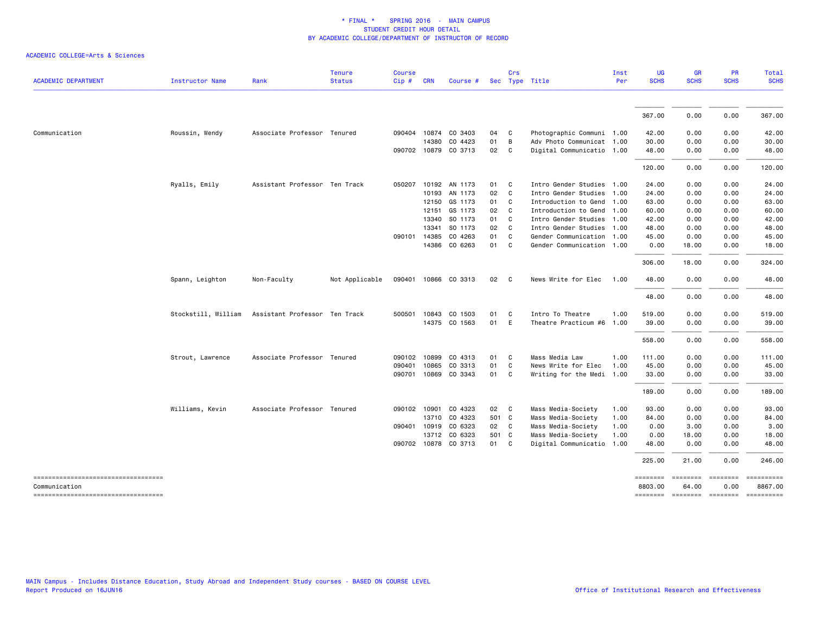|                                    |                        |                               | <b>Tenure</b>  | <b>Course</b> |                       |                      |          | Crs                                          |                                                        | Inst | <b>UG</b>      | <b>GR</b>    | <b>PR</b>          | Total          |
|------------------------------------|------------------------|-------------------------------|----------------|---------------|-----------------------|----------------------|----------|----------------------------------------------|--------------------------------------------------------|------|----------------|--------------|--------------------|----------------|
| <b>ACADEMIC DEPARTMENT</b>         | <b>Instructor Name</b> | Rank                          | <b>Status</b>  | Cip#          | <b>CRN</b>            | Course #             |          |                                              | Sec Type Title                                         | Per  | <b>SCHS</b>    | <b>SCHS</b>  | <b>SCHS</b>        | <b>SCHS</b>    |
|                                    |                        |                               |                |               |                       |                      |          |                                              |                                                        |      | 367.00         | 0.00         | 0.00               | 367.00         |
|                                    |                        |                               |                |               |                       |                      |          |                                              |                                                        |      |                |              |                    |                |
| Communication                      | Roussin, Wendy         | Associate Professor Tenured   |                |               | 090404 10874<br>14380 | CO 3403<br>CO 4423   | 04<br>01 | $\overline{\phantom{a}}$ C<br>$\overline{B}$ | Photographic Communi 1.00<br>Adv Photo Communicat 1.00 |      | 42.00<br>30.00 | 0.00<br>0.00 | 0.00<br>0.00       | 42.00<br>30.00 |
|                                    |                        |                               |                |               |                       | 090702 10879 CO 3713 | 02       | C                                            | Digital Communicatio 1.00                              |      | 48.00          | 0.00         | 0.00               | 48.00          |
|                                    |                        |                               |                |               |                       |                      |          |                                              |                                                        |      |                |              |                    |                |
|                                    |                        |                               |                |               |                       |                      |          |                                              |                                                        |      | 120.00         | 0.00         | 0.00               | 120.00         |
|                                    | Ryalls, Emily          | Assistant Professor Ten Track |                | 050207        |                       | 10192 AN 1173        | 01       | $\overline{\phantom{a}}$ C                   | Intro Gender Studies 1.00                              |      | 24.00          | 0.00         | 0.00               | 24.00          |
|                                    |                        |                               |                |               | 10193                 | AN 1173              | 02       | $\mathbf{C}$                                 | Intro Gender Studies 1.00                              |      | 24.00          | 0.00         | 0.00               | 24.00          |
|                                    |                        |                               |                |               | 12150                 | GS 1173              | 01 C     |                                              | Introduction to Gend 1.00                              |      | 63.00          | 0.00         | 0.00               | 63.00          |
|                                    |                        |                               |                |               | 12151                 | GS 1173              | 02 C     |                                              | Introduction to Gend 1.00                              |      | 60.00          | 0.00         | 0.00               | 60.00          |
|                                    |                        |                               |                |               | 13340                 | SO 1173              | 01       | $\overline{\phantom{a}}$ C                   | Intro Gender Studies 1.00                              |      | 42.00          | 0.00         | 0.00               | 42.00          |
|                                    |                        |                               |                |               | 13341                 | SO 1173              | 02       | $\overline{\mathbf{C}}$                      | Intro Gender Studies 1.00                              |      | 48.00          | 0.00         | 0.00               | 48.00          |
|                                    |                        |                               |                |               | 090101 14385          | CO 4263              | 01       | $\mathbf{C}$                                 | Gender Communication 1.00                              |      | 45.00          | 0.00         | 0.00               | 45.00          |
|                                    |                        |                               |                |               |                       | 14386 CO 6263        | 01 C     |                                              | Gender Communication 1.00                              |      | 0.00           | 18.00        | 0.00               | 18.00          |
|                                    |                        |                               |                |               |                       |                      |          |                                              |                                                        |      | 306.00         | 18.00        | 0.00               | 324.00         |
|                                    | Spann, Leighton        | Non-Faculty                   | Not Applicable |               |                       | 090401 10866 CO 3313 | 02       | $\overline{c}$                               | News Write for Elec                                    | 1.00 | 48.00          | 0.00         | 0.00               | 48.00          |
|                                    |                        |                               |                |               |                       |                      |          |                                              |                                                        |      | 48.00          | 0.00         | 0.00               | 48.00          |
|                                    | Stockstill, William    | Assistant Professor Ten Track |                |               | 500501 10843          | CO 1503              | 01       | $\mathbf{C}$                                 | Intro To Theatre                                       | 1.00 | 519.00         | 0.00         | 0.00               | 519.00         |
|                                    |                        |                               |                |               |                       | 14375 CO 1563        | 01       | E                                            | Theatre Practicum #6 1.00                              |      | 39.00          | 0.00         | 0.00               | 39.00          |
|                                    |                        |                               |                |               |                       |                      |          |                                              |                                                        |      | 558.00         | 0.00         | 0.00               | 558.00         |
|                                    | Strout, Lawrence       | Associate Professor Tenured   |                | 090102        | 10899                 | CO 4313              | 01       | C.                                           | Mass Media Law                                         | 1.00 | 111.00         | 0.00         | 0.00               | 111.00         |
|                                    |                        |                               |                | 090401        | 10865                 | CO 3313              | 01       | C                                            | News Write for Elec                                    | 1.00 | 45.00          | 0.00         | 0.00               | 45.00          |
|                                    |                        |                               |                |               |                       | 090701 10869 CO 3343 | 01 C     |                                              | Writing for the Medi 1.00                              |      | 33.00          | 0.00         | 0.00               | 33.00          |
|                                    |                        |                               |                |               |                       |                      |          |                                              |                                                        |      | 189.00         | 0.00         | 0.00               | 189.00         |
|                                    | Williams, Kevin        | Associate Professor Tenured   |                |               | 090102 10901          | CO 4323              | 02 C     |                                              | Mass Media-Society                                     | 1.00 | 93.00          | 0.00         | 0.00               | 93.00          |
|                                    |                        |                               |                |               |                       | 13710 CO 4323        | 501 C    |                                              | Mass Media-Society                                     | 1.00 | 84.00          | 0.00         | 0.00               | 84.00          |
|                                    |                        |                               |                |               | 090401 10919          | CO 6323              | 02 C     |                                              | Mass Media-Society                                     | 1.00 | 0.00           | 3.00         | 0.00               | 3.00           |
|                                    |                        |                               |                |               | 13712                 | CO 6323              | 501 C    |                                              | Mass Media-Society                                     | 1.00 | 0.00           | 18.00        | 0.00               | 18.00          |
|                                    |                        |                               |                |               |                       | 090702 10878 CO 3713 | 01 C     |                                              | Digital Communicatio 1.00                              |      | 48.00          | 0.00         | 0.00               | 48.00          |
|                                    |                        |                               |                |               |                       |                      |          |                                              |                                                        |      | 225.00         | 21.00        | 0.00               | 246.00         |
| ---------------------------------- |                        |                               |                |               |                       |                      |          |                                              |                                                        |      | ========       | ========     | <b>ESSESSE</b>     |                |
| Communication                      |                        |                               |                |               |                       |                      |          |                                              |                                                        |      | 8803.00        | 64.00        | 0.00               | 8867.00        |
| ---------------------------------- |                        |                               |                |               |                       |                      |          |                                              |                                                        |      | ========       |              | --------- -------- |                |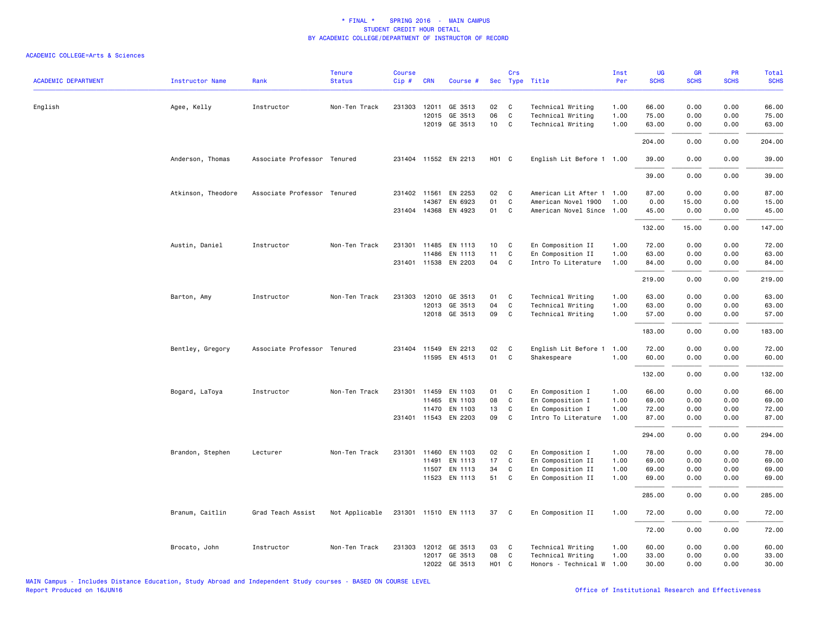| <b>ACADEMIC DEPARTMENT</b> | <b>Instructor Name</b> | Rank                        | <b>Tenure</b><br><b>Status</b> | Course<br>Cip# | <b>CRN</b>   | Course #             |                   | Crs          | Sec Type Title            | Inst<br>Per | UG<br><b>SCHS</b> | GR<br><b>SCHS</b> | PR<br><b>SCHS</b> | Total<br><b>SCHS</b> |
|----------------------------|------------------------|-----------------------------|--------------------------------|----------------|--------------|----------------------|-------------------|--------------|---------------------------|-------------|-------------------|-------------------|-------------------|----------------------|
|                            |                        |                             |                                |                |              |                      |                   |              |                           |             |                   |                   |                   |                      |
| English                    | Agee, Kelly            | Instructor                  | Non-Ten Track                  | 231303         | 12011        | GE 3513              | 02                | C            | Technical Writing         | 1.00        | 66.00             | 0.00              | 0.00              | 66.00                |
|                            |                        |                             |                                |                | 12015        | GE 3513              | 06                | C            | Technical Writing         | 1.00        | 75.00             | 0.00              | 0.00              | 75.00                |
|                            |                        |                             |                                |                |              | 12019 GE 3513        | 10                | C            | Technical Writing         | 1.00        | 63.00             | 0.00              | 0.00              | 63.00                |
|                            |                        |                             |                                |                |              |                      |                   |              |                           |             | 204.00            | 0.00              | 0.00              | 204.00               |
|                            | Anderson, Thomas       | Associate Professor Tenured |                                |                |              | 231404 11552 EN 2213 | H <sub>01</sub> C |              | English Lit Before 1 1.00 |             | 39.00             | 0.00              | 0.00              | 39.00                |
|                            |                        |                             |                                |                |              |                      |                   |              |                           |             | 39.00             | 0.00              | 0.00              | 39.00                |
|                            | Atkinson, Theodore     | Associate Professor Tenured |                                |                | 231402 11561 | EN 2253              | 02                | $\mathbf{C}$ | American Lit After 1 1.00 |             | 87.00             | 0.00              | 0.00              | 87.00                |
|                            |                        |                             |                                |                | 14367        | EN 6923              | 01                | C            | American Novel 1900       | 1.00        | 0.00              | 15.00             | 0.00              | 15.00                |
|                            |                        |                             |                                |                |              | 231404 14368 EN 4923 | 01                | C            | American Novel Since      | 1.00        | 45.00             | 0.00              | 0.00              | 45.00                |
|                            |                        |                             |                                |                |              |                      |                   |              |                           |             | 132.00            | 15.00             | 0.00              | 147.00               |
|                            | Austin, Daniel         | Instructor                  | Non-Ten Track                  | 231301         | 11485        | EN 1113              | 10                | C            | En Composition II         | 1.00        | 72.00             | 0.00              | 0.00              | 72.00                |
|                            |                        |                             |                                |                | 11486        | EN 1113              | 11                | C            | En Composition II         | 1.00        | 63.00             | 0.00              | 0.00              | 63.00                |
|                            |                        |                             |                                |                |              | 231401 11538 EN 2203 | 04                | C            | Intro To Literature       | 1.00        | 84.00             | 0.00              | 0.00              | 84.00                |
|                            |                        |                             |                                |                |              |                      |                   |              |                           |             | 219.00            | 0.00              | 0.00              | 219.00               |
|                            | Barton, Amy            | Instructor                  | Non-Ten Track                  | 231303         | 12010        | GE 3513              | 01                | C            | Technical Writing         | 1.00        | 63.00             | 0.00              | 0.00              | 63.00                |
|                            |                        |                             |                                |                | 12013        | GE 3513              | 04                | C            | Technical Writing         | 1.00        | 63.00             | 0.00              | 0.00              | 63.00                |
|                            |                        |                             |                                |                |              | 12018 GE 3513        | 09                | C            | Technical Writing         | 1.00        | 57.00             | 0.00              | 0.00              | 57.00                |
|                            |                        |                             |                                |                |              |                      |                   |              |                           |             | 183.00            | 0.00              | 0.00              | 183.00               |
|                            | Bentley, Gregory       | Associate Professor Tenured |                                |                | 231404 11549 | EN 2213              | 02                | C            | English Lit Before 1      | 1.00        | 72.00             | 0.00              | 0.00              | 72.00                |
|                            |                        |                             |                                |                |              | 11595 EN 4513        | 01                | C            | Shakespeare               | 1.00        | 60.00             | 0.00              | 0.00              | 60.00                |
|                            |                        |                             |                                |                |              |                      |                   |              |                           |             | 132.00            | 0.00              | 0.00              | 132.00               |
|                            |                        |                             |                                |                |              |                      |                   |              |                           |             |                   |                   |                   |                      |
|                            | Bogard, LaToya         | Instructor                  | Non-Ten Track                  | 231301         | 11459        | EN 1103              | 01                | C            | En Composition I          | 1.00        | 66.00             | 0.00              | 0.00              | 66.00                |
|                            |                        |                             |                                |                | 11465        | EN 1103              | 08                | C            | En Composition I          | 1.00        | 69.00             | 0.00              | 0.00              | 69.00                |
|                            |                        |                             |                                |                | 11470        | EN 1103              | 13                | C            | En Composition I          | 1.00        | 72.00             | 0.00              | 0.00              | 72.00                |
|                            |                        |                             |                                |                |              | 231401 11543 EN 2203 | 09                | C            | Intro To Literature       | 1.00        | 87.00             | 0.00              | 0.00              | 87.00                |
|                            |                        |                             |                                |                |              |                      |                   |              |                           |             | 294.00            | 0.00              | 0.00              | 294.00               |
|                            | Brandon, Stephen       | Lecturer                    | Non-Ten Track                  |                |              | 231301 11460 EN 1103 | 02                | C            | En Composition I          | 1.00        | 78.00             | 0.00              | 0.00              | 78.00                |
|                            |                        |                             |                                |                | 11491        | EN 1113              | 17                | C            | En Composition II         | 1.00        | 69.00             | 0.00              | 0.00              | 69.00                |
|                            |                        |                             |                                |                | 11507        | EN 1113              | 34                | C            | En Composition II         | 1.00        | 69.00             | 0.00              | 0.00              | 69.00                |
|                            |                        |                             |                                |                |              | 11523 EN 1113        | 51                | C            | En Composition II         | 1.00        | 69.00             | 0.00              | 0.00              | 69.00                |
|                            |                        |                             |                                |                |              |                      |                   |              |                           |             | 285.00            | 0.00              | 0.00              | 285.00               |
|                            | Branum, Caitlin        | Grad Teach Assist           | Not Applicable                 |                |              | 231301 11510 EN 1113 | 37                | $\mathbf{C}$ | En Composition II         | 1.00        | 72.00             | 0.00              | 0.00              | 72.00                |
|                            |                        |                             |                                |                |              |                      |                   |              |                           |             | 72.00             | 0.00              | 0.00              | 72.00                |
|                            | Brocato, John          | Instructor                  | Non-Ten Track                  | 231303         |              | 12012 GE 3513        | 03                | C            | Technical Writing         | 1.00        | 60.00             | 0.00              | 0.00              | 60.00                |
|                            |                        |                             |                                |                |              | 12017 GE 3513        | 08                | C            | Technical Writing         | 1.00        | 33.00             | 0.00              | 0.00              | 33.00                |
|                            |                        |                             |                                |                |              | 12022 GE 3513        | H <sub>01</sub> C |              | Honors - Technical W      | 1.00        | 30.00             | 0.00              | 0.00              | 30.00                |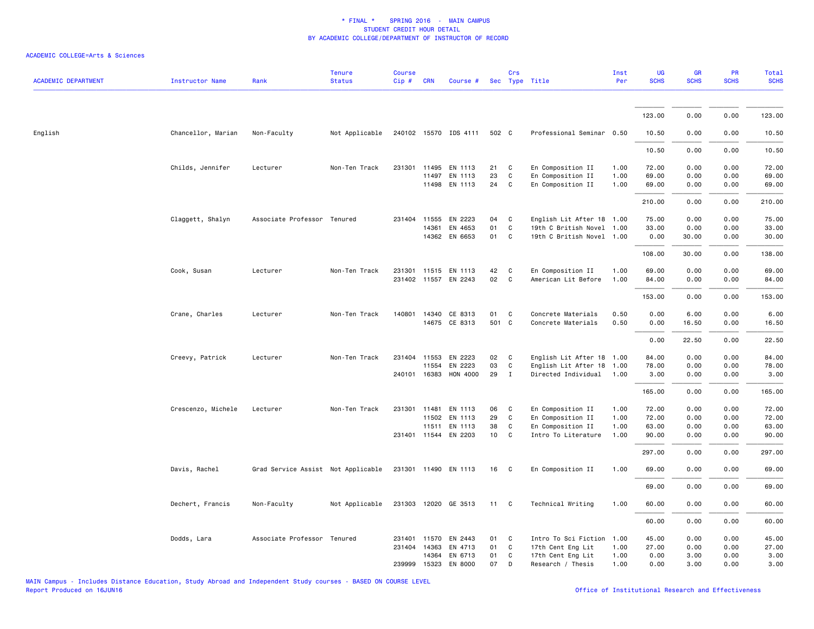| <b>ACADEMIC DEPARTMENT</b> | <b>Instructor Name</b> | Rank                               | <b>Tenure</b><br><b>Status</b> | <b>Course</b><br>Cip# | <b>CRN</b>   | Course #                 |                 | Crs          | Sec Type Title                           | Inst<br>Per  | UG<br><b>SCHS</b> | <b>GR</b><br><b>SCHS</b> | <b>PR</b><br><b>SCHS</b> | <b>Total</b><br><b>SCHS</b> |
|----------------------------|------------------------|------------------------------------|--------------------------------|-----------------------|--------------|--------------------------|-----------------|--------------|------------------------------------------|--------------|-------------------|--------------------------|--------------------------|-----------------------------|
|                            |                        |                                    |                                |                       |              |                          |                 |              |                                          |              |                   |                          |                          |                             |
|                            |                        |                                    |                                |                       |              |                          |                 |              |                                          |              | 123.00            | 0.00                     | 0.00                     | 123.00                      |
| English                    | Chancellor, Marian     | Non-Faculty                        | Not Applicable                 |                       |              | 240102 15570 IDS 4111    | 502 C           |              | Professional Seminar 0.50                |              | 10.50             | 0.00                     | 0.00                     | 10.50                       |
|                            |                        |                                    |                                |                       |              |                          |                 |              |                                          |              | 10.50             | 0.00                     | 0.00                     | 10.50                       |
|                            | Childs, Jennifer       | Lecturer                           | Non-Ten Track                  | 231301                | 11495        | EN 1113<br>EN 1113       | 21              | C<br>C       | En Composition II                        | 1.00<br>1.00 | 72.00<br>69.00    | 0.00                     | 0.00<br>0.00             | 72.00                       |
|                            |                        |                                    |                                |                       | 11497        | 11498 EN 1113            | 23<br>24        | C            | En Composition II<br>En Composition II   | 1.00         | 69.00             | 0.00<br>0.00             | 0.00                     | 69.00<br>69.00              |
|                            |                        |                                    |                                |                       |              |                          |                 |              |                                          |              | 210.00            | 0.00                     | 0.00                     | 210.00                      |
|                            | Claggett, Shalyn       | Associate Professor Tenured        |                                | 231404                | 11555        | EN 2223                  | 04              | C            | English Lit After 18 1.00                |              | 75.00             | 0.00                     | 0.00                     | 75.00                       |
|                            |                        |                                    |                                |                       | 14361        | EN 4653                  | 01              | C            | 19th C British Novel 1.00                |              | 33.00             | 0.00                     | 0.00                     | 33.00                       |
|                            |                        |                                    |                                |                       |              | 14362 EN 6653            | 01              | C            | 19th C British Novel 1.00                |              | 0.00              | 30.00                    | 0.00                     | 30.00                       |
|                            |                        |                                    |                                |                       |              |                          |                 |              |                                          |              | 108.00            | 30.00                    | 0.00                     | 138.00                      |
|                            | Cook, Susan            | Lecturer                           | Non-Ten Track                  | 231301                |              | 11515 EN 1113            | 42              | C            | En Composition II                        | 1.00         | 69.00             | 0.00                     | 0.00                     | 69.00                       |
|                            |                        |                                    |                                |                       |              | 231402 11557 EN 2243     | $02\,$          | C            | American Lit Before                      | 1.00         | 84.00             | 0.00                     | 0.00                     | 84.00                       |
|                            |                        |                                    |                                |                       |              |                          |                 |              |                                          |              | 153.00            | 0.00                     | 0.00                     | 153.00                      |
|                            | Crane, Charles         | Lecturer                           | Non-Ten Track                  | 140801                | 14340        | CE 8313<br>14675 CE 8313 | 01<br>501 C     | C            | Concrete Materials<br>Concrete Materials | 0.50<br>0.50 | 0.00<br>0.00      | 6.00<br>16.50            | 0.00<br>0.00             | 6.00<br>16.50               |
|                            |                        |                                    |                                |                       |              |                          |                 |              |                                          |              |                   |                          |                          |                             |
|                            |                        |                                    |                                |                       |              |                          |                 |              |                                          |              | 0.00              | 22.50                    | 0.00                     | 22.50                       |
|                            | Creevy, Patrick        | Lecturer                           | Non-Ten Track                  |                       | 231404 11553 | EN 2223                  | 02              | C            | English Lit After 18 1.00                |              | 84.00             | 0.00                     | 0.00                     | 84.00                       |
|                            |                        |                                    |                                |                       | 11554        | EN 2223                  | 03              | $\mathbf c$  | English Lit After 18                     | 1.00         | 78.00             | 0.00                     | 0.00                     | 78.00                       |
|                            |                        |                                    |                                | 240101                | 16383        | HON 4000                 | 29              | $\mathbf{I}$ | Directed Individual                      | 1.00         | 3.00              | 0.00                     | 0.00                     | 3.00                        |
|                            |                        |                                    |                                |                       |              |                          |                 |              |                                          |              | 165.00            | 0.00                     | 0.00                     | 165.00                      |
|                            | Crescenzo, Michele     | Lecturer                           | Non-Ten Track                  | 231301                | 11481        | EN 1113                  | 06              | C            | En Composition II                        | 1.00         | 72.00             | 0.00                     | 0.00                     | 72.00                       |
|                            |                        |                                    |                                |                       |              | 11502 EN 1113            | 29              | C            | En Composition II                        | 1.00         | 72.00             | 0.00                     | 0.00                     | 72.00                       |
|                            |                        |                                    |                                |                       |              | 11511 EN 1113            | 38              | C            | En Composition II                        | 1.00         | 63.00             | 0.00                     | 0.00                     | 63.00                       |
|                            |                        |                                    |                                |                       |              | 231401 11544 EN 2203     | 10 <sup>1</sup> | C            | Intro To Literature                      | 1.00         | 90.00             | 0.00                     | 0.00                     | 90.00                       |
|                            |                        |                                    |                                |                       |              |                          |                 |              |                                          |              | 297.00            | 0.00                     | 0.00                     | 297.00                      |
|                            | Davis, Rachel          | Grad Service Assist Not Applicable |                                |                       |              | 231301 11490 EN 1113     | 16              | $\mathbf{C}$ | En Composition II                        | 1.00         | 69.00             | 0.00                     | 0.00                     | 69.00                       |
|                            |                        |                                    |                                |                       |              |                          |                 |              |                                          |              | 69.00             | 0.00                     | 0.00                     | 69.00                       |
|                            | Dechert, Francis       | Non-Faculty                        | Not Applicable                 |                       |              | 231303 12020 GE 3513     | 11              | $\mathbf{C}$ | Technical Writing                        | 1.00         | 60.00             | 0.00                     | 0.00                     | 60.00                       |
|                            |                        |                                    |                                |                       |              |                          |                 |              |                                          |              | 60.00             | 0.00                     | 0.00                     | 60.00                       |
|                            | Dodds, Lara            | Associate Professor Tenured        |                                | 231401                | 11570        | EN 2443                  | 01              | C            | Intro To Sci Fiction                     | 1.00         | 45.00             | 0.00                     | 0.00                     | 45.00                       |
|                            |                        |                                    |                                |                       | 231404 14363 | EN 4713                  | 01              | C            | 17th Cent Eng Lit                        | 1.00         | 27.00             | 0.00                     | 0.00                     | 27.00                       |
|                            |                        |                                    |                                |                       | 14364        | EN 6713                  | 01              | C            | 17th Cent Eng Lit                        | 1.00         | 0.00              | 3.00                     | 0.00                     | 3.00                        |
|                            |                        |                                    |                                |                       | 239999 15323 | EN 8000                  | 07              | D            | Research / Thesis                        | 1.00         | 0.00              | 3.00                     | 0.00                     | 3.00                        |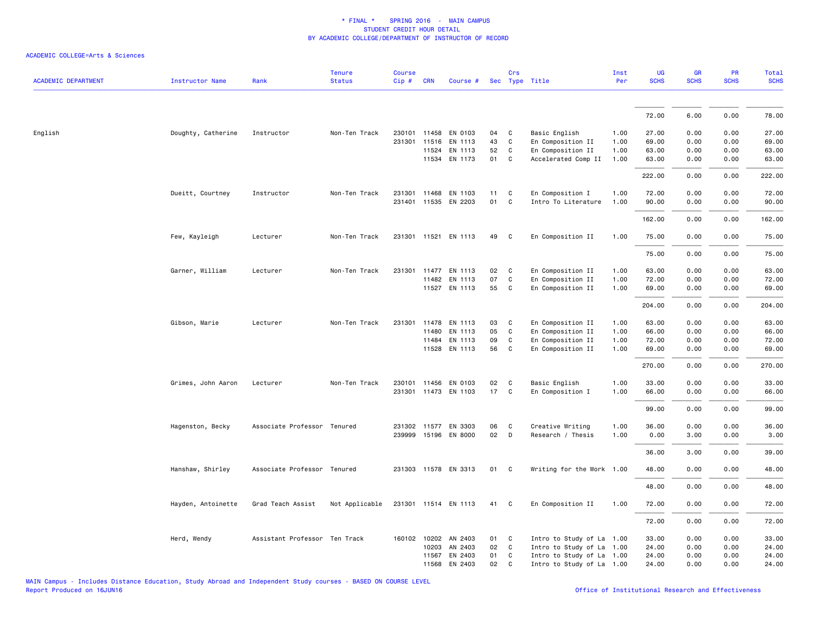| <b>ACADEMIC DEPARTMENT</b> | <b>Instructor Name</b> | Rank                          | <b>Tenure</b><br><b>Status</b> | <b>Course</b><br>Cip# | <b>CRN</b>   | Course #             |        | Crs | Sec Type Title            | Inst<br>Per | UG<br><b>SCHS</b> | GR<br><b>SCHS</b> | PR<br><b>SCHS</b> | <b>Total</b><br><b>SCHS</b> |
|----------------------------|------------------------|-------------------------------|--------------------------------|-----------------------|--------------|----------------------|--------|-----|---------------------------|-------------|-------------------|-------------------|-------------------|-----------------------------|
|                            |                        |                               |                                |                       |              |                      |        |     |                           |             |                   |                   |                   |                             |
|                            |                        |                               |                                |                       |              |                      |        |     |                           |             | 72.00             | 6.00              | 0.00              | 78.00                       |
| English                    | Doughty, Catherine     | Instructor                    | Non-Ten Track                  |                       |              | 230101 11458 EN 0103 | 04     | C   | Basic English             | 1.00        | 27.00             | 0.00              | 0.00              | 27.00                       |
|                            |                        |                               |                                |                       | 231301 11516 | EN 1113              | 43     | C   | En Composition II         | 1.00        | 69.00             | 0.00              | 0.00              | 69.00                       |
|                            |                        |                               |                                |                       | 11524        | EN 1113              | 52     | C   | En Composition II         | 1.00        | 63.00             | 0.00              | 0.00              | 63.00                       |
|                            |                        |                               |                                |                       |              | 11534 EN 1173        | 01     | C   | Accelerated Comp II       | 1.00        | 63.00             | 0.00              | 0.00              | 63.00                       |
|                            |                        |                               |                                |                       |              |                      |        |     |                           |             | 222.00            | 0.00              | 0.00              | 222.00                      |
|                            | Dueitt, Courtney       | Instructor                    | Non-Ten Track                  | 231301                |              | 11468 EN 1103        | 11     | C   | En Composition I          | 1.00        | 72.00             | 0.00              | 0.00              | 72.00                       |
|                            |                        |                               |                                |                       |              | 231401 11535 EN 2203 | 01     | C   | Intro To Literature       | 1.00        | 90.00             | 0.00              | 0.00              | 90.00                       |
|                            |                        |                               |                                |                       |              |                      |        |     |                           |             | 162.00            | 0.00              | 0.00              | 162.00                      |
|                            | Few, Kayleigh          | Lecturer                      | Non-Ten Track                  |                       |              | 231301 11521 EN 1113 | 49     | C   | En Composition II         | 1.00        | 75.00             | 0.00              | 0.00              | 75.00                       |
|                            |                        |                               |                                |                       |              |                      |        |     |                           |             | 75.00             | 0.00              | 0.00              | 75.00                       |
|                            | Garner, William        | Lecturer                      | Non-Ten Track                  | 231301                |              | 11477 EN 1113        | 02     | C   | En Composition II         | 1.00        | 63.00             | 0.00              | 0.00              | 63.00                       |
|                            |                        |                               |                                |                       | 11482        | EN 1113              | 07     | C   | En Composition II         | 1.00        | 72.00             | 0.00              | 0.00              | 72.00                       |
|                            |                        |                               |                                |                       |              | 11527 EN 1113        | 55     | C   | En Composition II         | 1.00        | 69.00             | 0.00              | 0.00              | 69.00                       |
|                            |                        |                               |                                |                       |              |                      |        |     |                           |             | 204.00            | 0.00              | 0.00              | 204.00                      |
|                            | Gibson, Marie          | Lecturer                      | Non-Ten Track                  | 231301                | 11478        | EN 1113              | 03     | C   | En Composition II         | 1.00        | 63.00             | 0.00              | 0.00              | 63.00                       |
|                            |                        |                               |                                |                       | 11480        | EN 1113              | 05     | C   | En Composition II         | 1.00        | 66.00             | 0.00              | 0.00              | 66.00                       |
|                            |                        |                               |                                |                       | 11484        | EN 1113              | 09     | C   | En Composition II         | 1.00        | 72.00             | 0.00              | 0.00              | 72.00                       |
|                            |                        |                               |                                |                       |              | 11528 EN 1113        | 56     | C   | En Composition II         | 1.00        | 69.00             | 0.00              | 0.00              | 69.00                       |
|                            |                        |                               |                                |                       |              |                      |        |     |                           |             | 270.00            | 0.00              | 0.00              | 270.00                      |
|                            | Grimes, John Aaron     | Lecturer                      | Non-Ten Track                  |                       |              | 230101 11456 EN 0103 | 02     | C   | Basic English             | 1.00        | 33.00             | 0.00              | 0.00              | 33.00                       |
|                            |                        |                               |                                | 231301                |              | 11473 EN 1103        | 17     | C   | En Composition I          | 1.00        | 66.00             | 0.00              | 0.00              | 66.00                       |
|                            |                        |                               |                                |                       |              |                      |        |     |                           |             | 99.00             | 0.00              | 0.00              | 99.00                       |
|                            | Hagenston, Becky       | Associate Professor Tenured   |                                |                       |              | 231302 11577 EN 3303 | 06     | C   | Creative Writing          | 1.00        | 36.00             | 0.00              | 0.00              | 36.00                       |
|                            |                        |                               |                                |                       |              | 239999 15196 EN 8000 | $02\,$ | D   | Research / Thesis         | 1.00        | 0.00              | 3.00              | 0.00              | 3.00                        |
|                            |                        |                               |                                |                       |              |                      |        |     |                           |             | 36.00             | 3.00              | 0.00              | 39.00                       |
|                            | Hanshaw, Shirley       | Associate Professor Tenured   |                                |                       |              | 231303 11578 EN 3313 | 01     | C   | Writing for the Work 1.00 |             | 48.00             | 0.00              | 0.00              | 48.00                       |
|                            |                        |                               |                                |                       |              |                      |        |     |                           |             | 48.00             | 0.00              | 0.00              | 48.00                       |
|                            | Hayden, Antoinette     | Grad Teach Assist             | Not Applicable                 |                       |              | 231301 11514 EN 1113 | 41     | C   | En Composition II         | 1.00        | 72.00             | 0.00              | 0.00              | 72.00                       |
|                            |                        |                               |                                |                       |              |                      |        |     |                           |             | 72.00             | 0.00              | 0.00              | 72.00                       |
|                            | Herd, Wendy            | Assistant Professor Ten Track |                                |                       |              | 160102 10202 AN 2403 | 01     | C   | Intro to Study of La 1.00 |             | 33.00             | 0.00              | 0.00              | 33.00                       |
|                            |                        |                               |                                |                       | 10203        | AN 2403              | 02     | C   | Intro to Study of La 1.00 |             | 24.00             | 0.00              | 0.00              | 24.00                       |
|                            |                        |                               |                                |                       |              | 11567 EN 2403        | 01     | C   | Intro to Study of La 1.00 |             | 24.00             | 0.00              | 0.00              | 24.00                       |
|                            |                        |                               |                                |                       |              | 11568 EN 2403        | 02     | C   | Intro to Study of La 1.00 |             | 24.00             | 0.00              | 0.00              | 24.00                       |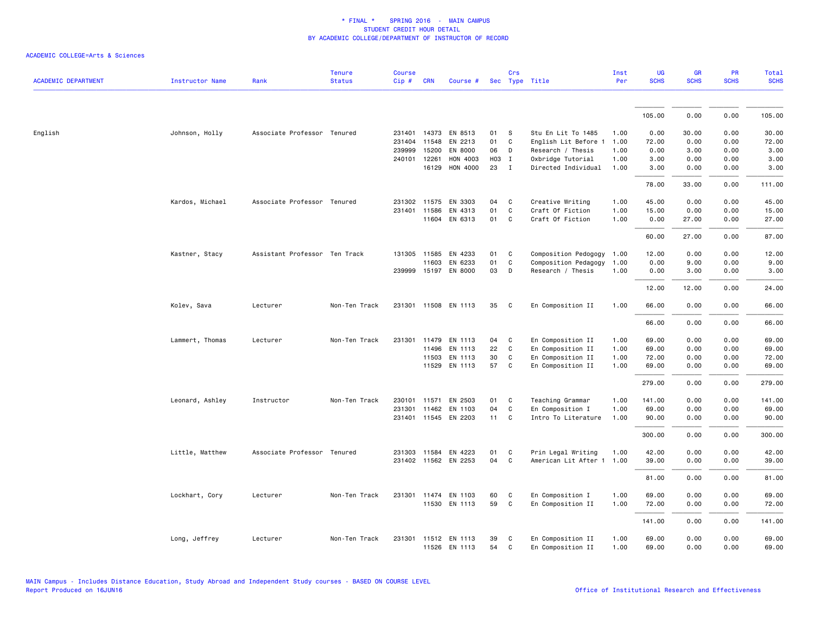|                            |                        |                               | <b>Tenure</b> | <b>Course</b> |              |                      |       | Crs          |                           | Inst | <b>UG</b>   | GR          | PR          | <b>Total</b> |
|----------------------------|------------------------|-------------------------------|---------------|---------------|--------------|----------------------|-------|--------------|---------------------------|------|-------------|-------------|-------------|--------------|
| <b>ACADEMIC DEPARTMENT</b> | <b>Instructor Name</b> | Rank                          | <b>Status</b> | Cip#          | <b>CRN</b>   | Course #             |       |              | Sec Type Title            | Per  | <b>SCHS</b> | <b>SCHS</b> | <b>SCHS</b> | <b>SCHS</b>  |
|                            |                        |                               |               |               |              |                      |       |              |                           |      |             |             |             |              |
|                            |                        |                               |               |               |              |                      |       |              |                           |      | 105.00      | 0.00        | 0.00        | 105.00       |
| English                    | Johnson, Holly         | Associate Professor Tenured   |               |               |              | 231401 14373 EN 8513 | 01    | S            | Stu En Lit To 1485        | 1.00 | 0.00        | 30.00       | 0.00        | 30.00        |
|                            |                        |                               |               | 231404        | 11548        | EN 2213              | 01    | C            | English Lit Before 1      | 1.00 | 72.00       | 0.00        | 0.00        | 72.00        |
|                            |                        |                               |               | 239999        | 15200        | EN 8000              | 06    | D            | Research / Thesis         | 1.00 | 0.00        | 3.00        | 0.00        | 3.00         |
|                            |                        |                               |               | 240101        | 12261        | HON 4003             | H03 I |              | Oxbridge Tutorial         | 1.00 | 3.00        | 0.00        | 0.00        | 3.00         |
|                            |                        |                               |               |               | 16129        | HON 4000             | 23    | $\mathbf{I}$ | Directed Individual       | 1.00 | 3.00        | 0.00        | 0.00        | 3.00         |
|                            |                        |                               |               |               |              |                      |       |              |                           |      | 78.00       | 33.00       | 0.00        | 111.00       |
|                            | Kardos, Michael        | Associate Professor Tenured   |               | 231302        | 11575        | EN 3303              | 04    | C            | Creative Writing          | 1.00 | 45.00       | 0.00        | 0.00        | 45.00        |
|                            |                        |                               |               |               | 231401 11586 | EN 4313              | 01    | C            | Craft Of Fiction          | 1.00 | 15.00       | 0.00        | 0.00        | 15.00        |
|                            |                        |                               |               |               |              | 11604 EN 6313        | 01    | C            | Craft Of Fiction          | 1.00 | 0.00        | 27.00       | 0.00        | 27.00        |
|                            |                        |                               |               |               |              |                      |       |              |                           |      | 60.00       | 27.00       | 0.00        | 87.00        |
|                            | Kastner, Stacy         | Assistant Professor Ten Track |               | 131305        | 11585        | EN 4233              | 01    | C            | Composition Pedogogy      | 1.00 | 12.00       | 0.00        | 0.00        | 12.00        |
|                            |                        |                               |               |               | 11603        | EN 6233              | 01    | C            | Composition Pedagogy      | 1.00 | 0.00        | 9.00        | 0.00        | 9.00         |
|                            |                        |                               |               |               |              | 239999 15197 EN 8000 | 03    | D            | Research / Thesis         | 1.00 | 0.00        | 3.00        | 0.00        | 3.00         |
|                            |                        |                               |               |               |              |                      |       |              |                           |      | 12.00       | 12.00       | 0.00        | 24.00        |
|                            | Kolev, Sava            | Lecturer                      | Non-Ten Track | 231301        |              | 11508 EN 1113        | 35    | C            | En Composition II         | 1.00 | 66.00       | 0.00        | 0.00        | 66.00        |
|                            |                        |                               |               |               |              |                      |       |              |                           |      | 66.00       | 0.00        | 0.00        | 66.00        |
|                            | Lammert, Thomas        | Lecturer                      | Non-Ten Track | 231301        | 11479        | EN 1113              | 04    | C            | En Composition II         | 1.00 | 69.00       | 0.00        | 0.00        | 69.00        |
|                            |                        |                               |               |               | 11496        | EN 1113              | 22    | C            | En Composition II         | 1.00 | 69.00       | 0.00        | 0.00        | 69.00        |
|                            |                        |                               |               |               | 11503        | EN 1113              | 30    | C            | En Composition II         | 1.00 | 72.00       | 0.00        | 0.00        | 72.00        |
|                            |                        |                               |               |               |              | 11529 EN 1113        | 57    | C            | En Composition II         | 1.00 | 69.00       | 0.00        | 0.00        | 69.00        |
|                            |                        |                               |               |               |              |                      |       |              |                           |      | 279.00      | 0.00        | 0.00        | 279.00       |
|                            | Leonard, Ashley        | Instructor                    | Non-Ten Track |               |              | 230101 11571 EN 2503 | 01    | C            | Teaching Grammar          | 1.00 | 141.00      | 0.00        | 0.00        | 141.00       |
|                            |                        |                               |               | 231301        | 11462        | EN 1103              | 04    | C            | En Composition I          | 1.00 | 69.00       | 0.00        | 0.00        | 69.00        |
|                            |                        |                               |               |               |              | 231401 11545 EN 2203 | 11    | C            | Intro To Literature       | 1.00 | 90.00       | 0.00        | 0.00        | 90.00        |
|                            |                        |                               |               |               |              |                      |       |              |                           |      | 300.00      | 0.00        | 0.00        | 300.00       |
|                            | Little, Matthew        | Associate Professor Tenured   |               |               |              | 231303 11584 EN 4223 | 01    | C            | Prin Legal Writing        | 1.00 | 42.00       | 0.00        | 0.00        | 42.00        |
|                            |                        |                               |               |               |              | 231402 11562 EN 2253 | 04    | C            | American Lit After 1 1.00 |      | 39.00       | 0.00        | 0.00        | 39.00        |
|                            |                        |                               |               |               |              |                      |       |              |                           |      | 81.00       | 0.00        | 0.00        | 81.00        |
|                            | Lockhart, Cory         | Lecturer                      | Non-Ten Track | 231301        |              | 11474 EN 1103        | 60    | C            | En Composition I          | 1.00 | 69.00       | 0.00        | 0.00        | 69.00        |
|                            |                        |                               |               |               |              | 11530 EN 1113        | 59    | C            | En Composition II         | 1.00 | 72.00       | 0.00        | 0.00        | 72.00        |
|                            |                        |                               |               |               |              |                      |       |              |                           |      | 141.00      | 0.00        | 0.00        | 141.00       |
|                            | Long, Jeffrey          | Lecturer                      | Non-Ten Track | 231301        |              | 11512 EN 1113        | 39    | C            | En Composition II         | 1.00 | 69.00       | 0.00        | 0.00        | 69.00        |
|                            |                        |                               |               |               |              | 11526 EN 1113        | 54    | $\mathbf{C}$ | En Composition II         | 1.00 | 69.00       | 0.00        | 0.00        | 69.00        |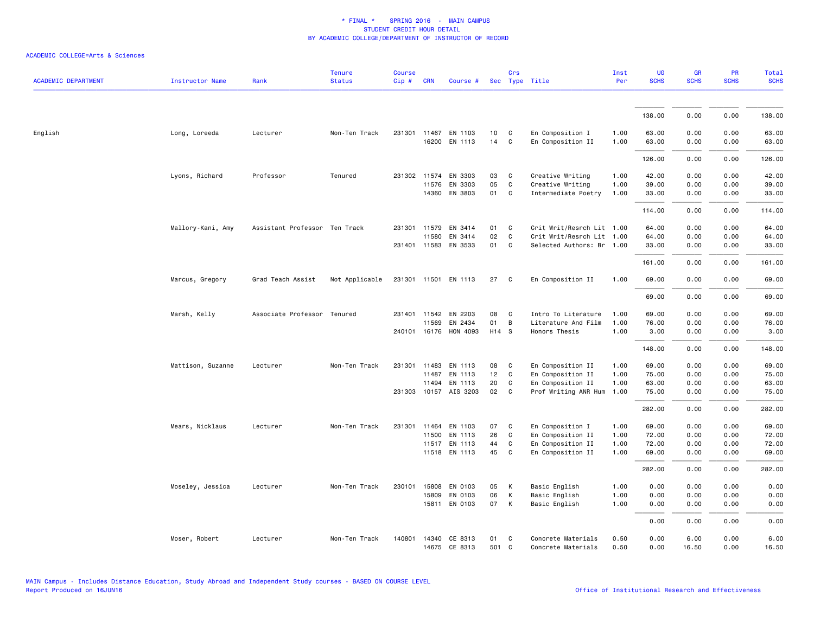| <b>ACADEMIC DEPARTMENT</b> | <b>Instructor Name</b> | Rank                          | <b>Tenure</b><br><b>Status</b> | <b>Course</b><br>Cip# | <b>CRN</b> | Course #              |       | Crs | Sec Type Title            | Inst<br>Per | UG<br><b>SCHS</b> | GR<br><b>SCHS</b> | PR<br><b>SCHS</b> | <b>Total</b><br><b>SCHS</b> |
|----------------------------|------------------------|-------------------------------|--------------------------------|-----------------------|------------|-----------------------|-------|-----|---------------------------|-------------|-------------------|-------------------|-------------------|-----------------------------|
|                            |                        |                               |                                |                       |            |                       |       |     |                           |             |                   |                   |                   |                             |
|                            |                        |                               |                                |                       |            |                       |       |     |                           |             | 138.00            | 0.00              | 0.00              | 138.00                      |
| English                    | Long, Loreeda          | Lecturer                      | Non-Ten Track                  |                       |            | 231301 11467 EN 1103  | 10    | C   | En Composition I          | 1.00        | 63.00             | 0.00              | 0.00              | 63.00                       |
|                            |                        |                               |                                |                       |            | 16200 EN 1113         | 14    | C   | En Composition II         | 1.00        | 63.00             | 0.00              | 0.00              | 63.00                       |
|                            |                        |                               |                                |                       |            |                       |       |     |                           |             | 126.00            | 0.00              | 0.00              | 126.00                      |
|                            | Lyons, Richard         | Professor                     | Tenured                        | 231302                | 11574      | EN 3303               | 03    | C   | Creative Writing          | 1.00        | 42.00             | 0.00              | 0.00              | 42.00                       |
|                            |                        |                               |                                |                       | 11576      | EN 3303               | 05    | C   | Creative Writing          | 1.00        | 39.00             | 0.00              | 0.00              | 39.00                       |
|                            |                        |                               |                                |                       |            | 14360 EN 3803         | 01    | C   | Intermediate Poetry       | 1.00        | 33.00             | 0.00              | 0.00              | 33.00                       |
|                            |                        |                               |                                |                       |            |                       |       |     |                           |             | 114.00            | 0.00              | 0.00              | 114.00                      |
|                            | Mallory-Kani, Amy      | Assistant Professor Ten Track |                                | 231301                | 11579      | EN 3414               | 01    | C   | Crit Writ/Resrch Lit 1.00 |             | 64.00             | 0.00              | 0.00              | 64.00                       |
|                            |                        |                               |                                |                       | 11580      | EN 3414               | 02    | C   | Crit Writ/Resrch Lit 1.00 |             | 64.00             | 0.00              | 0.00              | 64.00                       |
|                            |                        |                               |                                |                       |            | 231401 11583 EN 3533  | 01    | C   | Selected Authors: Br 1.00 |             | 33.00             | 0.00              | 0.00              | 33.00                       |
|                            |                        |                               |                                |                       |            |                       |       |     |                           |             | 161.00            | 0.00              | 0.00              | 161.00                      |
|                            | Marcus, Gregory        | Grad Teach Assist             | Not Applicable                 |                       |            | 231301 11501 EN 1113  | 27    | C   | En Composition II         | 1.00        | 69.00             | 0.00              | 0.00              | 69.00                       |
|                            |                        |                               |                                |                       |            |                       |       |     |                           |             | 69.00             | 0.00              | 0.00              | 69.00                       |
|                            | Marsh, Kelly           | Associate Professor Tenured   |                                | 231401                | 11542      | EN 2203               | 08    | C   | Intro To Literature       | 1.00        | 69.00             | 0.00              | 0.00              | 69.00                       |
|                            |                        |                               |                                |                       | 11569      | EN 2434               | 01    | B   | Literature And Film       | 1.00        | 76.00             | 0.00              | 0.00              | 76.00                       |
|                            |                        |                               |                                |                       |            | 240101 16176 HON 4093 | H14 S |     | Honors Thesis             | 1.00        | 3.00              | 0.00              | 0.00              | 3.00                        |
|                            |                        |                               |                                |                       |            |                       |       |     |                           |             | 148.00            | 0.00              | 0.00              | 148.00                      |
|                            | Mattison, Suzanne      | Lecturer                      | Non-Ten Track                  | 231301                | 11483      | EN 1113               | 08    | C   | En Composition II         | 1.00        | 69.00             | 0.00              | 0.00              | 69.00                       |
|                            |                        |                               |                                |                       | 11487      | EN 1113               | 12    | C   | En Composition II         | 1.00        | 75.00             | 0.00              | 0.00              | 75.00                       |
|                            |                        |                               |                                |                       | 11494      | EN 1113               | 20    | C   | En Composition II         | 1.00        | 63.00             | 0.00              | 0.00              | 63.00                       |
|                            |                        |                               |                                | 231303                |            | 10157 AIS 3203        | 02    | C   | Prof Writing ANR Hum      | 1.00        | 75.00             | 0.00              | 0.00              | 75.00                       |
|                            |                        |                               |                                |                       |            |                       |       |     |                           |             | 282.00            | 0.00              | 0.00              | 282.00                      |
|                            | Mears, Nicklaus        | Lecturer                      | Non-Ten Track                  |                       |            | 231301 11464 EN 1103  | 07    | C   | En Composition I          | 1.00        | 69.00             | 0.00              | 0.00              | 69.00                       |
|                            |                        |                               |                                |                       | 11500      | EN 1113               | 26    | C   | En Composition II         | 1.00        | 72.00             | 0.00              | 0.00              | 72.00                       |
|                            |                        |                               |                                |                       |            | 11517 EN 1113         | 44    | C   | En Composition II         | 1.00        | 72.00             | 0.00              | 0.00              | 72.00                       |
|                            |                        |                               |                                |                       |            | 11518 EN 1113         | 45    | C   | En Composition II         | 1.00        | 69.00             | 0.00              | 0.00              | 69.00                       |
|                            |                        |                               |                                |                       |            |                       |       |     |                           |             | 282.00            | 0.00              | 0.00              | 282.00                      |
|                            | Moseley, Jessica       | Lecturer                      | Non-Ten Track                  | 230101                | 15808      | EN 0103               | 05    | К   | Basic English             | 1.00        | 0.00              | 0.00              | 0.00              | 0.00                        |
|                            |                        |                               |                                |                       | 15809      | EN 0103               | 06    | K   | Basic English             | 1.00        | 0.00              | 0.00              | 0.00              | 0.00                        |
|                            |                        |                               |                                |                       |            | 15811 EN 0103         | 07    | K   | Basic English             | 1.00        | 0.00              | 0.00              | 0.00              | 0.00                        |
|                            |                        |                               |                                |                       |            |                       |       |     |                           |             | 0.00              | 0.00              | 0.00              | 0.00                        |
|                            | Moser, Robert          | Lecturer                      | Non-Ten Track                  | 140801                |            | 14340 CE 8313         | 01    | C   | Concrete Materials        | 0.50        | 0.00              | 6.00              | 0.00              | 6.00                        |
|                            |                        |                               |                                |                       |            | 14675 CE 8313         | 501 C |     | Concrete Materials        | 0.50        | 0.00              | 16.50             | 0.00              | 16.50                       |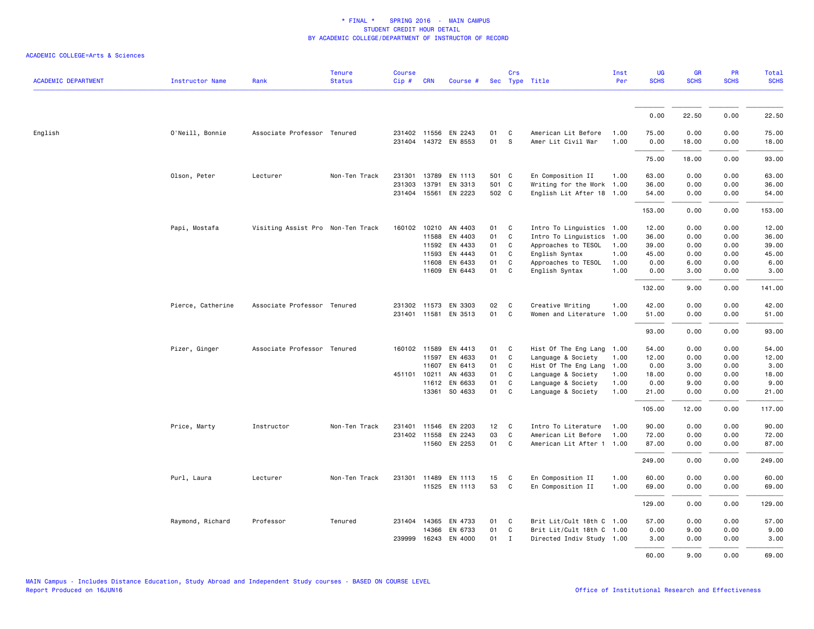| <b>ACADEMIC DEPARTMENT</b> | Instructor Name   | Rank                              | <b>Tenure</b><br><b>Status</b> | <b>Course</b><br>Cip# | <b>CRN</b>   | Course #             |       | Crs          | Sec Type Title            | Inst<br>Per | <b>UG</b><br><b>SCHS</b> | <b>GR</b><br><b>SCHS</b> | PR<br><b>SCHS</b> | Total<br><b>SCHS</b> |
|----------------------------|-------------------|-----------------------------------|--------------------------------|-----------------------|--------------|----------------------|-------|--------------|---------------------------|-------------|--------------------------|--------------------------|-------------------|----------------------|
|                            |                   |                                   |                                |                       |              |                      |       |              |                           |             |                          |                          |                   |                      |
|                            |                   |                                   |                                |                       |              |                      |       |              |                           |             | 0.00                     | 22.50                    | 0.00              | 22.50                |
| English                    | O'Neill, Bonnie   | Associate Professor Tenured       |                                |                       |              | 231402 11556 EN 2243 | 01    | C            | American Lit Before       | 1.00        | 75.00                    | 0.00                     | 0.00              | 75.00                |
|                            |                   |                                   |                                |                       |              | 231404 14372 EN 8553 | 01    | S            | Amer Lit Civil War        | 1.00        | 0.00                     | 18.00                    | 0.00              | 18.00                |
|                            |                   |                                   |                                |                       |              |                      |       |              |                           |             | 75.00                    | 18.00                    | 0.00              | 93.00                |
|                            | Olson, Peter      | Lecturer                          | Non-Ten Track                  | 231301                | 13789        | EN 1113              | 501 C |              | En Composition II         | 1.00        | 63.00                    | 0.00                     | 0.00              | 63.00                |
|                            |                   |                                   |                                | 231303                | 13791        | EN 3313              | 501 C |              | Writing for the Work 1.00 |             | 36.00                    | 0.00                     | 0.00              | 36.00                |
|                            |                   |                                   |                                |                       |              | 231404 15561 EN 2223 | 502 C |              | English Lit After 18 1.00 |             | 54.00                    | 0.00                     | 0.00              | 54.00                |
|                            |                   |                                   |                                |                       |              |                      |       |              |                           |             | 153.00                   | 0.00                     | 0.00              | 153.00               |
|                            | Papi, Mostafa     | Visiting Assist Pro Non-Ten Track |                                | 160102                | 10210        | AN 4403              | 01    | C            | Intro To Linguistics      | 1.00        | 12.00                    | 0.00                     | 0.00              | 12.00                |
|                            |                   |                                   |                                |                       | 11588        | EN 4403              | 01    | C            | Intro To Linguistics      | 1.00        | 36.00                    | 0.00                     | 0.00              | 36.00                |
|                            |                   |                                   |                                |                       | 11592        | EN 4433              | 01    | C            | Approaches to TESOL       | 1.00        | 39.00                    | 0.00                     | 0.00              | 39.00                |
|                            |                   |                                   |                                |                       | 11593        | EN 4443              | 01    | C            | English Syntax            | 1.00        | 45.00                    | 0.00                     | 0.00              | 45.00                |
|                            |                   |                                   |                                |                       | 11608        | EN 6433              | 01    | C            | Approaches to TESOL       | 1.00        | 0.00                     | 6.00                     | 0.00              | 6.00                 |
|                            |                   |                                   |                                |                       |              | 11609 EN 6443        | 01    | C            | English Syntax            | 1.00        | 0.00                     | 3.00                     | 0.00              | 3.00                 |
|                            |                   |                                   |                                |                       |              |                      |       |              |                           |             | 132.00                   | 9.00                     | 0.00              | 141.00               |
|                            | Pierce, Catherine | Associate Professor Tenured       |                                |                       | 231302 11573 | EN 3303              | 02    | C            | Creative Writing          | 1.00        | 42.00                    | 0.00                     | 0.00              | 42.00                |
|                            |                   |                                   |                                |                       | 231401 11581 | EN 3513              | 01    | $\mathsf{C}$ | Women and Literature      | 1.00        | 51.00                    | 0.00                     | 0.00              | 51.00                |
|                            |                   |                                   |                                |                       |              |                      |       |              |                           |             | 93.00                    | 0.00                     | 0.00              | 93.00                |
|                            | Pizer, Ginger     | Associate Professor Tenured       |                                |                       |              | 160102 11589 EN 4413 | 01    | C            | Hist Of The Eng Lang 1.00 |             | 54.00                    | 0.00                     | 0.00              | 54.00                |
|                            |                   |                                   |                                |                       | 11597        | EN 4633              | 01    | $\mathsf{C}$ | Language & Society        | 1.00        | 12.00                    | 0.00                     | 0.00              | 12.00                |
|                            |                   |                                   |                                |                       | 11607        | EN 6413              | 01    | C            | Hist Of The Eng Lang      | 1.00        | 0.00                     | 3.00                     | 0.00              | 3.00                 |
|                            |                   |                                   |                                |                       | 451101 10211 | AN 4633              | 01    | C            | Language & Society        | 1.00        | 18.00                    | 0.00                     | 0.00              | 18.00                |
|                            |                   |                                   |                                |                       | 11612        | EN 6633              | 01    | $\mathsf{C}$ | Language & Society        | 1.00        | 0.00                     | 9.00                     | 0.00              | 9.00                 |
|                            |                   |                                   |                                |                       | 13361        | SO 4633              | 01    | C            | Language & Society        | 1.00        | 21.00                    | 0.00                     | 0.00              | 21.00                |
|                            |                   |                                   |                                |                       |              |                      |       |              |                           |             | 105.00                   | 12.00                    | 0.00              | 117.00               |
|                            | Price, Marty      | Instructor                        | Non-Ten Track                  | 231401                | 11546        | EN 2203              | 12    | C            | Intro To Literature       | 1.00        | 90.00                    | 0.00                     | 0.00              | 90.00                |
|                            |                   |                                   |                                |                       | 231402 11558 | EN 2243              | 03    | C            | American Lit Before       | 1.00        | 72.00                    | 0.00                     | 0.00              | 72.00                |
|                            |                   |                                   |                                |                       |              | 11560 EN 2253        | 01    | C            | American Lit After 1 1.00 |             | 87.00                    | 0.00                     | 0.00              | 87.00                |
|                            |                   |                                   |                                |                       |              |                      |       |              |                           |             | 249.00                   | 0.00                     | 0.00              | 249.00               |
|                            | Purl, Laura       | Lecturer                          | Non-Ten Track                  |                       | 231301 11489 | EN 1113              | 15    | C            | En Composition II         | 1.00        | 60.00                    | 0.00                     | 0.00              | 60.00                |
|                            |                   |                                   |                                |                       |              | 11525 EN 1113        | 53    | C            | En Composition II         | 1.00        | 69.00                    | 0.00                     | 0.00              | 69.00                |
|                            |                   |                                   |                                |                       |              |                      |       |              |                           |             | 129.00                   | 0.00                     | 0.00              | 129.00               |
|                            | Raymond, Richard  | Professor                         | Tenured                        |                       |              | 231404 14365 EN 4733 | 01    | C            | Brit Lit/Cult 18th C 1.00 |             | 57.00                    | 0.00                     | 0.00              | 57.00                |
|                            |                   |                                   |                                |                       | 14366        | EN 6733              | 01    | C            | Brit Lit/Cult 18th C 1.00 |             | 0.00                     | 9.00                     | 0.00              | 9.00                 |
|                            |                   |                                   |                                | 239999                | 16243        | EN 4000              | 01    | $\mathbf{I}$ | Directed Indiv Study 1.00 |             | 3.00                     | 0.00                     | 0.00              | 3.00                 |
|                            |                   |                                   |                                |                       |              |                      |       |              |                           |             | 60.00                    | 9.00                     | 0.00              | 69.00                |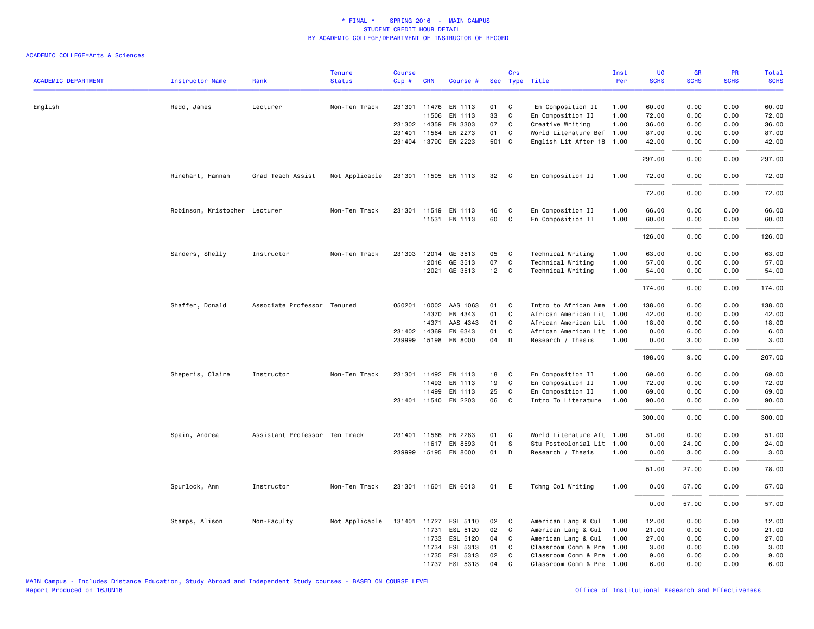| <b>ACADEMIC DEPARTMENT</b> | <b>Instructor Name</b>        | Rank                          | <b>Tenure</b><br><b>Status</b> | <b>Course</b><br>Cip# | <b>CRN</b>   | Course #             |       | Crs            | Sec Type Title            | Inst<br>Per | UG<br><b>SCHS</b> | <b>GR</b><br><b>SCHS</b> | PR<br><b>SCHS</b> | Total<br><b>SCHS</b> |
|----------------------------|-------------------------------|-------------------------------|--------------------------------|-----------------------|--------------|----------------------|-------|----------------|---------------------------|-------------|-------------------|--------------------------|-------------------|----------------------|
|                            |                               |                               |                                |                       |              |                      |       |                |                           |             |                   |                          |                   |                      |
| English                    | Redd, James                   | Lecturer                      | Non-Ten Track                  |                       | 231301 11476 | EN 1113              | 01    | C              | En Composition II         | 1.00        | 60.00             | 0.00                     | 0.00              | 60.00                |
|                            |                               |                               |                                |                       | 11506        | EN 1113              | 33    | C              | En Composition II         | 1.00        | 72.00             | 0.00                     | 0.00              | 72.00                |
|                            |                               |                               |                                |                       | 231302 14359 | EN 3303              | 07    | C              | Creative Writing          | 1.00        | 36.00             | 0.00                     | 0.00              | 36.00                |
|                            |                               |                               |                                |                       | 231401 11564 | EN 2273              | 01    | C              | World Literature Bef 1.00 |             | 87.00             | 0.00                     | 0.00              | 87.00                |
|                            |                               |                               |                                |                       |              | 231404 13790 EN 2223 | 501 C |                | English Lit After 18 1.00 |             | 42.00             | 0.00                     | 0.00              | 42.00                |
|                            |                               |                               |                                |                       |              |                      |       |                |                           |             | 297.00            | 0.00                     | 0.00              | 297.00               |
|                            | Rinehart, Hannah              | Grad Teach Assist             | Not Applicable                 |                       |              | 231301 11505 EN 1113 | 32    | $\mathbf{C}$   | En Composition II         | 1.00        | 72.00             | 0.00                     | 0.00              | 72.00                |
|                            |                               |                               |                                |                       |              |                      |       |                |                           |             | 72.00             | 0.00                     | 0.00              | 72.00                |
|                            | Robinson, Kristopher Lecturer |                               | Non-Ten Track                  |                       |              | 231301 11519 EN 1113 | 46    | C              | En Composition II         | 1.00        | 66.00             | 0.00                     | 0.00              | 66.00                |
|                            |                               |                               |                                |                       |              | 11531 EN 1113        | 60    | C              | En Composition II         | 1.00        | 60.00             | 0.00                     | 0.00              | 60.00                |
|                            |                               |                               |                                |                       |              |                      |       |                |                           |             | 126.00            | 0.00                     | 0.00              | 126.00               |
|                            | Sanders, Shelly               | Instructor                    | Non-Ten Track                  | 231303                | 12014        | GE 3513              | 05    | C              | Technical Writing         | 1.00        | 63.00             | 0.00                     | 0.00              | 63.00                |
|                            |                               |                               |                                |                       | 12016        | GE 3513              | 07    | C              | Technical Writing         | 1.00        | 57.00             | 0.00                     | 0.00              | 57.00                |
|                            |                               |                               |                                |                       |              | 12021 GE 3513        | 12 C  |                | Technical Writing         | 1.00        | 54.00             | 0.00                     | 0.00              | 54.00                |
|                            |                               |                               |                                |                       |              |                      |       |                |                           |             | 174.00            | 0.00                     | 0.00              | 174.00               |
|                            | Shaffer, Donald               | Associate Professor Tenured   |                                |                       | 050201 10002 | AAS 1063             | 01    | C <sub>c</sub> | Intro to African Ame 1.00 |             | 138.00            | 0.00                     | 0.00              | 138.00               |
|                            |                               |                               |                                |                       | 14370        | EN 4343              | 01    | C              | African American Lit 1.00 |             | 42.00             | 0.00                     | 0.00              | 42.00                |
|                            |                               |                               |                                |                       | 14371        | AAS 4343             | 01    | C              | African American Lit 1.00 |             | 18.00             | 0.00                     | 0.00              | 18.00                |
|                            |                               |                               |                                |                       | 231402 14369 | EN 6343              | 01    | C              | African American Lit 1.00 |             | 0.00              | 6.00                     | 0.00              | 6.00                 |
|                            |                               |                               |                                |                       | 239999 15198 | EN 8000              | 04    | D              | Research / Thesis         | 1.00        | 0.00              | 3.00                     | 0.00              | 3.00                 |
|                            |                               |                               |                                |                       |              |                      |       |                |                           |             | 198.00            | 9.00                     | 0.00              | 207.00               |
|                            | Sheperis, Claire              | Instructor                    | Non-Ten Track                  | 231301                | 11492        | EN 1113              | 18    | C              | En Composition II         | 1.00        | 69.00             | 0.00                     | 0.00              | 69.00                |
|                            |                               |                               |                                |                       | 11493        | EN 1113              | 19    | C              | En Composition II         | 1.00        | 72.00             | 0.00                     | 0.00              | 72.00                |
|                            |                               |                               |                                |                       | 11499        | EN 1113              | 25    | C              | En Composition II         | 1.00        | 69.00             | 0.00                     | 0.00              | 69.00                |
|                            |                               |                               |                                |                       | 231401 11540 | EN 2203              | 06    | C              | Intro To Literature       | 1.00        | 90.00             | 0.00                     | 0.00              | 90.00                |
|                            |                               |                               |                                |                       |              |                      |       |                |                           |             | 300.00            | 0.00                     | 0.00              | 300.00               |
|                            | Spain, Andrea                 | Assistant Professor Ten Track |                                | 231401                | 11566        | EN 2283              | 01    | C              | World Literature Aft 1.00 |             | 51.00             | 0.00                     | 0.00              | 51.00                |
|                            |                               |                               |                                |                       |              | 11617 EN 8593        | 01    | s              | Stu Postcolonial Lit 1.00 |             | 0.00              | 24.00                    | 0.00              | 24.00                |
|                            |                               |                               |                                |                       |              | 239999 15195 EN 8000 | 01    | D              | Research / Thesis         | 1.00        | 0.00              | 3.00                     | 0.00              | 3.00                 |
|                            |                               |                               |                                |                       |              |                      |       |                |                           |             | 51.00             | 27.00                    | 0.00              | 78.00                |
|                            | Spurlock, Ann                 | Instructor                    | Non-Ten Track                  |                       |              | 231301 11601 EN 6013 | 01 E  |                | Tchng Col Writing         | 1.00        | 0.00              | 57.00                    | 0.00              | 57.00                |
|                            |                               |                               |                                |                       |              |                      |       |                |                           |             | 0.00              | 57.00                    | 0.00              | 57.00                |
|                            | Stamps, Alison                | Non-Faculty                   | Not Applicable                 | 131401                | 11727        | ESL 5110             | 02    | $\mathbf{C}$   | American Lang & Cul       | 1.00        | 12.00             | 0.00                     | 0.00              | 12.00                |
|                            |                               |                               |                                |                       | 11731        | ESL 5120             | 02    | C              | American Lang & Cul       | 1.00        | 21.00             | 0.00                     | 0.00              | 21.00                |
|                            |                               |                               |                                |                       | 11733        | ESL 5120             | 04    | C              | American Lang & Cul       | 1.00        | 27.00             | 0.00                     | 0.00              | 27.00                |
|                            |                               |                               |                                |                       | 11734        | ESL 5313             | 01    | C              | Classroom Comm & Pre      | 1.00        | 3.00              | 0.00                     | 0.00              | 3.00                 |
|                            |                               |                               |                                |                       | 11735        | ESL 5313             | 02    | C              | Classroom Comm & Pre 1.00 |             | 9.00              | 0.00                     | 0.00              | 9.00                 |
|                            |                               |                               |                                |                       |              | 11737 ESL 5313       | 04    | C              | Classroom Comm & Pre 1.00 |             | 6.00              | 0.00                     | 0.00              | 6.00                 |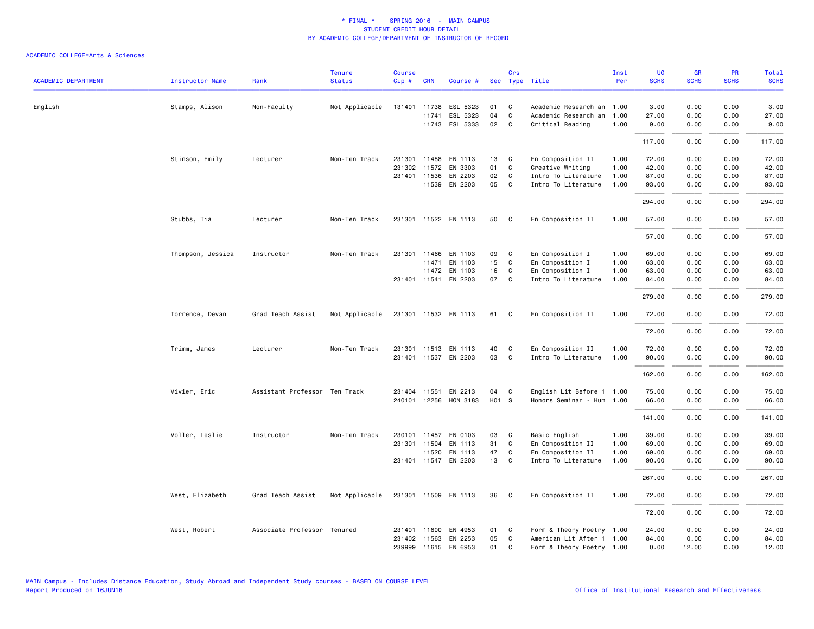| <b>ACADEMIC DEPARTMENT</b> | Instructor Name   | Rank                          | <b>Tenure</b><br><b>Status</b> | <b>Course</b><br>Cip# | <b>CRN</b>   | Course #             |       | Crs            | Sec Type Title            | Inst<br>Per | <b>UG</b><br><b>SCHS</b> | <b>GR</b><br><b>SCHS</b> | <b>PR</b><br><b>SCHS</b> | Total<br><b>SCHS</b> |
|----------------------------|-------------------|-------------------------------|--------------------------------|-----------------------|--------------|----------------------|-------|----------------|---------------------------|-------------|--------------------------|--------------------------|--------------------------|----------------------|
|                            |                   |                               |                                |                       |              |                      |       |                |                           |             |                          |                          |                          |                      |
| English                    | Stamps, Alison    | Non-Faculty                   | Not Applicable                 |                       | 131401 11738 | ESL 5323             | 01    | $\mathbf{C}$   | Academic Research an 1.00 |             | 3.00                     | 0.00                     | 0.00                     | 3.00                 |
|                            |                   |                               |                                |                       | 11741        | ESL 5323             | 04    | C              | Academic Research an      | 1.00        | 27.00                    | 0.00                     | 0.00                     | 27.00                |
|                            |                   |                               |                                |                       |              | 11743 ESL 5333       | 02 C  |                | Critical Reading          | 1.00        | 9.00                     | 0.00                     | 0.00                     | 9.00                 |
|                            |                   |                               |                                |                       |              |                      |       |                |                           |             | 117.00                   | 0.00                     | 0.00                     | 117.00               |
|                            | Stinson, Emily    | Lecturer                      | Non-Ten Track                  |                       | 231301 11488 | EN 1113              | 13    | $\mathbf{C}$   | En Composition II         | 1.00        | 72.00                    | 0.00                     | 0.00                     | 72.00                |
|                            |                   |                               |                                | 231302                | 11572        | EN 3303              | 01    | C              | Creative Writing          | 1.00        | 42.00                    | 0.00                     | 0.00                     | 42.00                |
|                            |                   |                               |                                |                       | 231401 11536 | EN 2203              | 02    | $\overline{c}$ | Intro To Literature       | 1.00        | 87.00                    | 0.00                     | 0.00                     | 87.00                |
|                            |                   |                               |                                |                       |              | 11539 EN 2203        | 05 C  |                | Intro To Literature       | 1.00        | 93.00                    | 0.00                     | 0.00                     | 93.00                |
|                            |                   |                               |                                |                       |              |                      |       |                |                           |             | 294.00                   | 0.00                     | 0.00                     | 294.00               |
|                            | Stubbs, Tia       | Lecturer                      | Non-Ten Track                  |                       |              | 231301 11522 EN 1113 | 50    | C.             | En Composition II         | 1.00        | 57.00                    | 0.00                     | 0.00                     | 57.00                |
|                            |                   |                               |                                |                       |              |                      |       |                |                           |             | 57.00                    | 0.00                     | 0.00                     | 57.00                |
|                            | Thompson, Jessica | Instructor                    | Non-Ten Track                  |                       | 231301 11466 | EN 1103              | 09    | $\mathbf{C}$   | En Composition I          | 1.00        | 69.00                    | 0.00                     | 0.00                     | 69.00                |
|                            |                   |                               |                                |                       | 11471        | EN 1103              | 15    | C              | En Composition I          | 1.00        | 63.00                    | 0.00                     | 0.00                     | 63.00                |
|                            |                   |                               |                                |                       | 11472        | EN 1103              | 16    | $\mathbf{C}$   | En Composition I          | 1.00        | 63.00                    | 0.00                     | 0.00                     | 63.00                |
|                            |                   |                               |                                |                       |              | 231401 11541 EN 2203 | 07 C  |                | Intro To Literature       | 1.00        | 84.00                    | 0.00                     | 0.00                     | 84.00                |
|                            |                   |                               |                                |                       |              |                      |       |                |                           |             | 279.00                   | 0.00                     | 0.00                     | 279.00               |
|                            | Torrence, Devan   | Grad Teach Assist             | Not Applicable                 |                       |              | 231301 11532 EN 1113 | 61 C  |                | En Composition II         | 1.00        | 72.00                    | 0.00                     | 0.00                     | 72.00                |
|                            |                   |                               |                                |                       |              |                      |       |                |                           |             | 72.00                    | 0.00                     | 0.00                     | 72.00                |
|                            | Trimm, James      | Lecturer                      | Non-Ten Track                  |                       |              | 231301 11513 EN 1113 | 40    | $\mathbf{C}$   | En Composition II         | 1.00        | 72.00                    | 0.00                     | 0.00                     | 72.00                |
|                            |                   |                               |                                |                       |              | 231401 11537 EN 2203 | 03    | $\overline{c}$ | Intro To Literature       | 1.00        | 90.00                    | 0.00                     | 0.00                     | 90.00                |
|                            |                   |                               |                                |                       |              |                      |       |                |                           |             | 162.00                   | 0.00                     | 0.00                     | 162.00               |
|                            | Vivier, Eric      | Assistant Professor Ten Track |                                | 231404                | 11551        | EN 2213              | 04    | $\mathbf{C}$   | English Lit Before 1 1.00 |             | 75.00                    | 0.00                     | 0.00                     | 75.00                |
|                            |                   |                               |                                |                       | 240101 12256 | HON 3183             | H01 S |                | Honors Seminar - Hum 1.00 |             | 66.00                    | 0.00                     | 0.00                     | 66.00                |
|                            |                   |                               |                                |                       |              |                      |       |                |                           |             | 141.00                   | 0.00                     | 0.00                     | 141.00               |
|                            | Voller, Leslie    | Instructor                    | Non-Ten Track                  |                       | 230101 11457 | EN 0103              | 03    | $\overline{C}$ | Basic English             | 1.00        | 39.00                    | 0.00                     | 0.00                     | 39.00                |
|                            |                   |                               |                                |                       | 231301 11504 | EN 1113              | 31    | C              | En Composition II         | 1.00        | 69.00                    | 0.00                     | 0.00                     | 69.00                |
|                            |                   |                               |                                |                       | 11520        | EN 1113              | 47    | $\mathbf{C}$   | En Composition II         | 1.00        | 69.00                    | 0.00                     | 0.00                     | 69.00                |
|                            |                   |                               |                                |                       |              | 231401 11547 EN 2203 | 13 C  |                | Intro To Literature       | 1.00        | 90.00                    | 0.00                     | 0.00                     | 90.00                |
|                            |                   |                               |                                |                       |              |                      |       |                |                           |             | 267.00                   | 0.00                     | 0.00                     | 267.00               |
|                            | West, Elizabeth   | Grad Teach Assist             | Not Applicable                 |                       |              | 231301 11509 EN 1113 | 36    | $\overline{c}$ | En Composition II         | 1.00        | 72.00                    | 0.00                     | 0.00                     | 72.00                |
|                            |                   |                               |                                |                       |              |                      |       |                |                           |             | 72.00                    | 0.00                     | 0.00                     | 72.00                |
|                            | West, Robert      | Associate Professor Tenured   |                                |                       | 231401 11600 | EN 4953              | 01    | $\mathbf{C}$   | Form & Theory Poetry 1.00 |             | 24.00                    | 0.00                     | 0.00                     | 24.00                |
|                            |                   |                               |                                |                       |              | 231402 11563 EN 2253 | 05    | C              | American Lit After 1 1.00 |             | 84.00                    | 0.00                     | 0.00                     | 84.00                |
|                            |                   |                               |                                |                       |              | 239999 11615 EN 6953 | 01    | C              | Form & Theory Poetry 1.00 |             | 0.00                     | 12.00                    | 0.00                     | 12.00                |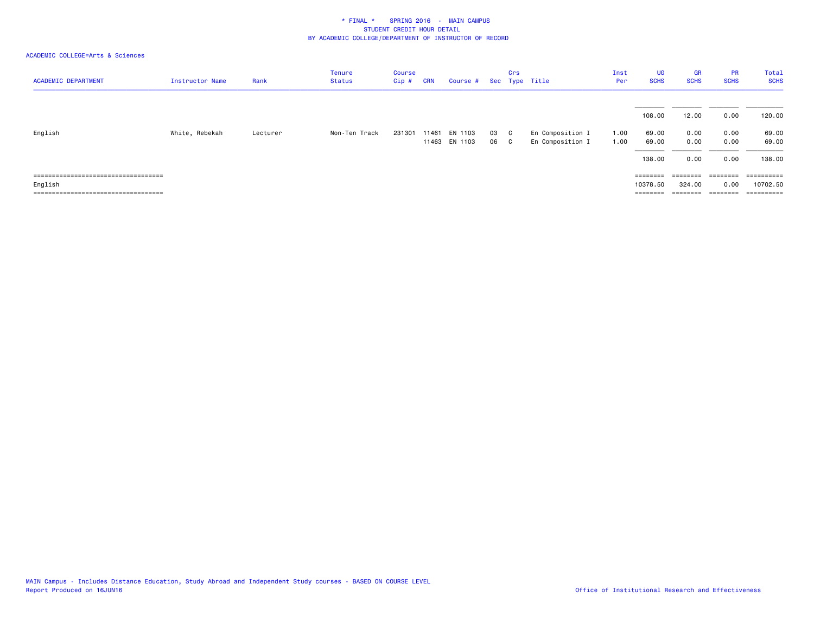| <b>ACADEMIC DEPARTMENT</b>             | Instructor Name | Rank     | <b>Tenure</b><br><b>Status</b> | <b>Course</b><br>Cip# | <b>CRN</b> | Course #      |    | Crs | Sec Type Title   | Inst<br>Per | <b>UG</b><br><b>SCHS</b> | <b>GR</b><br><b>SCHS</b> | <b>PR</b><br><b>SCHS</b> | Total<br><b>SCHS</b> |
|----------------------------------------|-----------------|----------|--------------------------------|-----------------------|------------|---------------|----|-----|------------------|-------------|--------------------------|--------------------------|--------------------------|----------------------|
|                                        |                 |          |                                |                       |            |               |    |     |                  |             | 108.00                   | 12.00                    | 0.00                     | 120.00               |
| English                                | White, Rebekah  | Lecturer | Non-Ten Track                  | 231301                | 11461      | EN 1103       | 03 | C.  | En Composition I | 1.00        | 69.00                    | 0.00                     | 0.00                     | 69.00                |
|                                        |                 |          |                                |                       |            | 11463 EN 1103 | 06 | C.  | En Composition I | 1.00        | 69.00                    | 0.00                     | 0.00                     | 69.00                |
|                                        |                 |          |                                |                       |            |               |    |     |                  |             | 138.00                   | 0.00                     | 0.00                     | 138.00               |
| =====================================  |                 |          |                                |                       |            |               |    |     |                  |             | $=$ = = = = = = =        | ========                 | ========                 | ==========           |
| English                                |                 |          |                                |                       |            |               |    |     |                  |             | 10378.50                 | 324.00                   | 0.00                     | 10702.50             |
| ====================================== |                 |          |                                |                       |            |               |    |     |                  |             | ========                 | ========                 | ========                 | ==========           |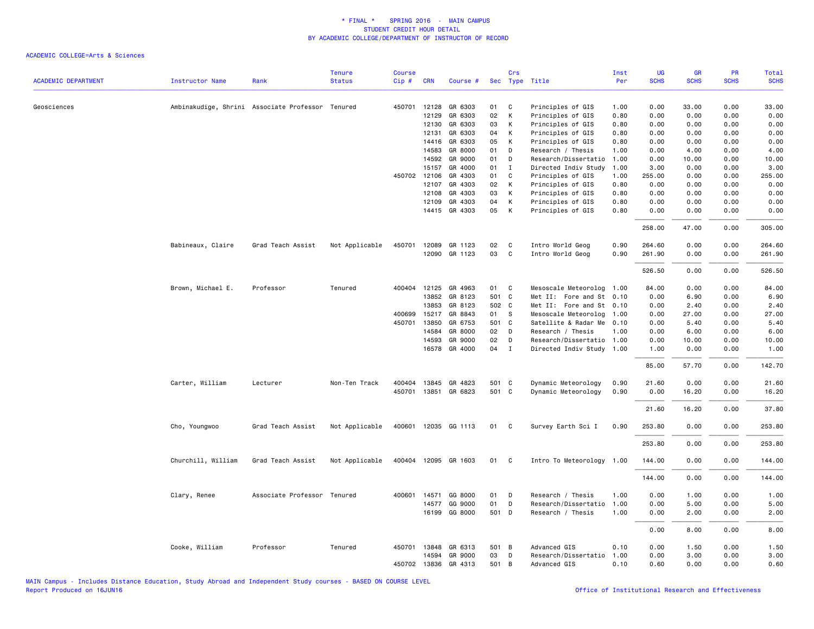|                            |                    |                                                  | <b>Tenure</b>  | Course |              |                      |       | Crs          |                           | Inst | UG          | GR          | PR          | Total       |
|----------------------------|--------------------|--------------------------------------------------|----------------|--------|--------------|----------------------|-------|--------------|---------------------------|------|-------------|-------------|-------------|-------------|
| <b>ACADEMIC DEPARTMENT</b> | Instructor Name    | Rank                                             | <b>Status</b>  | Cip#   | <b>CRN</b>   | Course #             |       |              | Sec Type Title            | Per  | <b>SCHS</b> | <b>SCHS</b> | <b>SCHS</b> | <b>SCHS</b> |
| Geosciences                |                    | Ambinakudige, Shrini Associate Professor Tenured |                |        | 450701 12128 | GR 6303              | 01    | C            | Principles of GIS         | 1.00 | 0.00        | 33.00       | 0.00        | 33.00       |
|                            |                    |                                                  |                |        | 12129        | GR 6303              | 02    | К            | Principles of GIS         | 0.80 | 0.00        | 0.00        | 0.00        | 0.00        |
|                            |                    |                                                  |                |        | 12130        | GR 6303              | 03    | K            | Principles of GIS         | 0.80 | 0.00        | 0.00        | 0.00        | 0.00        |
|                            |                    |                                                  |                |        | 12131        | GR 6303              | 04    | K            | Principles of GIS         | 0.80 | 0.00        | 0.00        | 0.00        | 0.00        |
|                            |                    |                                                  |                |        | 14416        | GR 6303              | 05    | K            | Principles of GIS         | 0.80 | 0.00        | 0.00        | 0.00        | 0.00        |
|                            |                    |                                                  |                |        | 14583        | GR 8000              | 01    | D            | Research / Thesis         | 1.00 | 0.00        | 4.00        | 0.00        | 4.00        |
|                            |                    |                                                  |                |        | 14592        | GR 9000              | 01    | D            | Research/Dissertatio      | 1.00 | 0.00        | 10.00       | 0.00        | 10.00       |
|                            |                    |                                                  |                |        | 15157        | GR 4000              | 01    | I            | Directed Indiv Study      | 1.00 | 3.00        | 0.00        | 0.00        | 3.00        |
|                            |                    |                                                  |                |        | 450702 12106 | GR 4303              | 01    | C            | Principles of GIS         | 1.00 | 255.00      | 0.00        | 0.00        | 255.00      |
|                            |                    |                                                  |                |        | 12107        | GR 4303              | 02    | $\mathsf{K}$ | Principles of GIS         | 0.80 | 0.00        | 0.00        | 0.00        | 0.00        |
|                            |                    |                                                  |                |        | 12108        | GR 4303              | 03    | K            | Principles of GIS         | 0.80 | 0.00        | 0.00        | 0.00        | 0.00        |
|                            |                    |                                                  |                |        | 12109        | GR 4303              | 04    | К            | Principles of GIS         | 0.80 | 0.00        | 0.00        | 0.00        | 0.00        |
|                            |                    |                                                  |                |        |              | 14415 GR 4303        | 05    | K            | Principles of GIS         | 0.80 | 0.00        | 0.00        | 0.00        | 0.00        |
|                            |                    |                                                  |                |        |              |                      |       |              |                           |      |             |             |             |             |
|                            |                    |                                                  |                |        |              |                      |       |              |                           |      | 258.00      | 47.00       | 0.00        | 305.00      |
|                            | Babineaux, Claire  | Grad Teach Assist                                | Not Applicable | 450701 | 12089        | GR 1123              | 02    | C            | Intro World Geog          | 0.90 | 264.60      | 0.00        | 0.00        | 264.60      |
|                            |                    |                                                  |                |        |              | 12090 GR 1123        | 03    | $\mathbf{C}$ | Intro World Geog          | 0.90 | 261.90      | 0.00        | 0.00        | 261.90      |
|                            |                    |                                                  |                |        |              |                      |       |              |                           |      |             |             |             |             |
|                            |                    |                                                  |                |        |              |                      |       |              |                           |      | 526.50      | 0.00        | 0.00        | 526.50      |
|                            | Brown, Michael E.  | Professor                                        | Tenured        |        | 400404 12125 | GR 4963              | 01 C  |              | Mesoscale Meteorolog 1.00 |      | 84.00       | 0.00        | 0.00        | 84.00       |
|                            |                    |                                                  |                |        | 13852        | GR 8123              | 501 C |              | Met II: Fore and St 0.10  |      | 0.00        | 6.90        | 0.00        | 6.90        |
|                            |                    |                                                  |                |        | 13853        | GR 8123              | 502 C |              | Met II: Fore and St 0.10  |      | 0.00        | 2.40        | 0.00        | 2.40        |
|                            |                    |                                                  |                | 400699 | 15217        | GR 8843              | 01 S  |              | Mesoscale Meteorolog 1.00 |      | 0.00        | 27.00       | 0.00        | 27.00       |
|                            |                    |                                                  |                | 450701 | 13850        | GR 6753              | 501 C |              | Satellite & Radar Me 0.10 |      | 0.00        | 5.40        | 0.00        | 5.40        |
|                            |                    |                                                  |                |        | 14584        | GR 8000              | 02 D  |              | Research / Thesis         | 1.00 | 0.00        | 6.00        | 0.00        | 6.00        |
|                            |                    |                                                  |                |        | 14593        | GR 9000              | 02    | $\mathsf{D}$ | Research/Dissertatio 1.00 |      | 0.00        | 10.00       | 0.00        | 10.00       |
|                            |                    |                                                  |                |        | 16578        | GR 4000              | 04    | $\mathbf{I}$ | Directed Indiv Study 1.00 |      | 1.00        | 0.00        | 0.00        | 1.00        |
|                            |                    |                                                  |                |        |              |                      |       |              |                           |      | 85.00       | 57.70       | 0.00        | 142.70      |
|                            | Carter, William    | Lecturer                                         | Non-Ten Track  |        | 400404 13845 | GR 4823              | 501 C |              | Dynamic Meteorology       | 0.90 | 21.60       | 0.00        | 0.00        | 21.60       |
|                            |                    |                                                  |                |        |              | 450701 13851 GR 6823 | 501 C |              | Dynamic Meteorology       | 0.90 | 0.00        | 16.20       | 0.00        | 16.20       |
|                            |                    |                                                  |                |        |              |                      |       |              |                           |      | 21.60       | 16.20       | 0.00        | 37.80       |
|                            | Cho, Youngwoo      | Grad Teach Assist                                | Not Applicable |        |              | 400601 12035 GG 1113 | 01    | $\mathbf{C}$ | Survey Earth Sci I        | 0.90 | 253.80      | 0.00        | 0.00        | 253.80      |
|                            |                    |                                                  |                |        |              |                      |       |              |                           |      | 253.80      | 0.00        | 0.00        | 253.80      |
|                            | Churchill, William | Grad Teach Assist                                | Not Applicable |        |              | 400404 12095 GR 1603 | 01 C  |              | Intro To Meteorology 1.00 |      | 144.00      | 0.00        | 0.00        | 144.00      |
|                            |                    |                                                  |                |        |              |                      |       |              |                           |      | 144.00      | 0.00        | 0.00        | 144.00      |
|                            | Clary, Renee       | Associate Professor Tenured                      |                | 400601 | 14571        | GG 8000              | 01    | D            | Research / Thesis         | 1.00 | 0.00        | 1.00        | 0.00        | 1.00        |
|                            |                    |                                                  |                |        | 14577        | GG 9000              | 01    | D            | Research/Dissertatio      | 1.00 | 0.00        | 5.00        | 0.00        | 5.00        |
|                            |                    |                                                  |                |        |              | 16199 GG 8000        | 501 D |              | Research / Thesis         | 1.00 | 0.00        | 2.00        | 0.00        | 2.00        |
|                            |                    |                                                  |                |        |              |                      |       |              |                           |      |             |             |             |             |
|                            |                    |                                                  |                |        |              |                      |       |              |                           |      | 0.00        | 8.00        | 0.00        | 8.00        |
|                            | Cooke, William     | Professor                                        | Tenured        |        | 450701 13848 | GR 6313              | 501 B |              | Advanced GIS              | 0.10 | 0.00        | 1.50        | 0.00        | 1.50        |
|                            |                    |                                                  |                |        | 14594        | GR 9000              | 03    | D            | Research/Dissertatio      | 1.00 | 0.00        | 3.00        | 0.00        | 3.00        |
|                            |                    |                                                  |                |        | 450702 13836 | GR 4313              | 501 B |              | Advanced GIS              | 0.10 | 0.60        | 0.00        | 0.00        | 0.60        |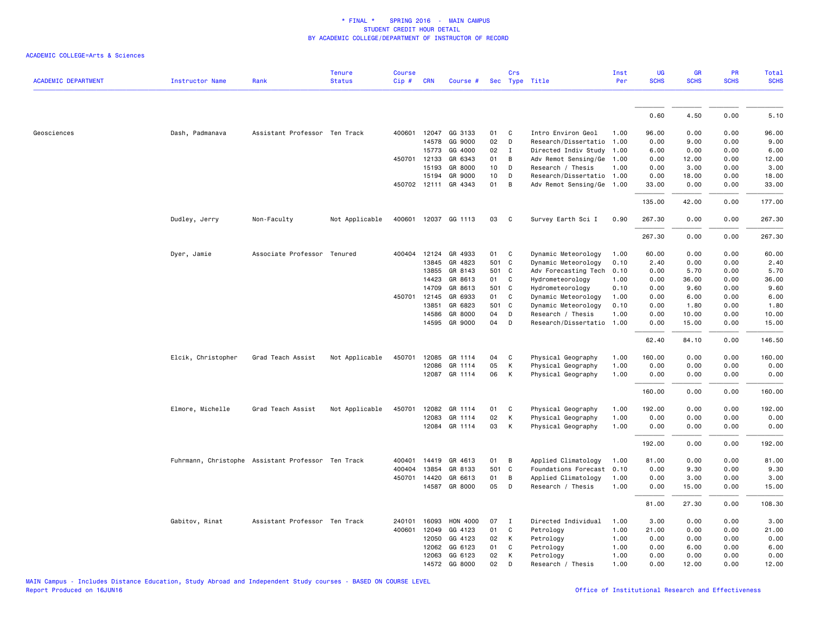| <b>ACADEMIC DEPARTMENT</b> | <b>Instructor Name</b>                             | Rank                          | <b>Tenure</b><br><b>Status</b> | <b>Course</b><br>Cip# | <b>CRN</b>   | Course #             |       | Crs          | Sec Type Title            | Inst<br>Per | <b>UG</b><br><b>SCHS</b> | <b>GR</b><br><b>SCHS</b> | PR<br><b>SCHS</b> | Total<br><b>SCHS</b> |
|----------------------------|----------------------------------------------------|-------------------------------|--------------------------------|-----------------------|--------------|----------------------|-------|--------------|---------------------------|-------------|--------------------------|--------------------------|-------------------|----------------------|
|                            |                                                    |                               |                                |                       |              |                      |       |              |                           |             |                          |                          |                   |                      |
|                            |                                                    |                               |                                |                       |              |                      |       |              |                           |             | 0.60                     | 4.50                     | 0.00              | 5.10                 |
| Geosciences                | Dash, Padmanava                                    | Assistant Professor Ten Track |                                |                       |              | 400601 12047 GG 3133 | 01    | C            | Intro Environ Geol        | 1.00        | 96.00                    | 0.00                     | 0.00              | 96.00                |
|                            |                                                    |                               |                                |                       | 14578        | GG 9000              | 02    | D            | Research/Dissertatio      | 1.00        | 0.00                     | 9.00                     | 0.00              | 9.00                 |
|                            |                                                    |                               |                                |                       | 15773        | GG 4000              | 02    | $\mathbf{I}$ | Directed Indiv Study      | 1.00        | 6.00                     | 0.00                     | 0.00              | 6.00                 |
|                            |                                                    |                               |                                |                       | 450701 12133 | GR 6343              | 01    | B            | Adv Remot Sensing/Ge      | 1.00        | 0.00                     | 12.00                    | 0.00              | 12.00                |
|                            |                                                    |                               |                                |                       | 15193        | GR 8000              | 10    | D            | Research / Thesis         | 1.00        | 0.00                     | 3.00                     | 0.00              | 3.00                 |
|                            |                                                    |                               |                                |                       | 15194        | GR 9000              | 10    | D            | Research/Dissertatio      | 1.00        | 0.00                     | 18.00                    | 0.00              | 18.00                |
|                            |                                                    |                               |                                |                       |              | 450702 12111 GR 4343 | 01    | B            | Adv Remot Sensing/Ge 1.00 |             | 33.00                    | 0.00                     | 0.00              | 33.00                |
|                            |                                                    |                               |                                |                       |              |                      |       |              |                           |             | 135.00                   | 42.00                    | 0.00              | 177.00               |
|                            | Dudley, Jerry                                      | Non-Faculty                   | Not Applicable                 | 400601                |              | 12037 GG 1113        | 03    | C            | Survey Earth Sci I        | 0.90        | 267.30                   | 0.00                     | 0.00              | 267.30               |
|                            |                                                    |                               |                                |                       |              |                      |       |              |                           |             | 267.30                   | 0.00                     | 0.00              | 267.30               |
|                            | Dyer, Jamie                                        | Associate Professor Tenured   |                                |                       | 400404 12124 | GR 4933              | 01    | C            | Dynamic Meteorology       | 1.00        | 60.00                    | 0.00                     | 0.00              | 60.00                |
|                            |                                                    |                               |                                |                       | 13845        | GR 4823              | 501   | $\mathbf c$  | Dynamic Meteorology       | 0.10        | 2.40                     | 0.00                     | 0.00              | 2.40                 |
|                            |                                                    |                               |                                |                       | 13855        | GR 8143              | 501 C |              | Adv Forecasting Tech      | 0.10        | 0.00                     | 5.70                     | 0.00              | 5.70                 |
|                            |                                                    |                               |                                |                       | 14423        | GR 8613              | 01    | C            | Hydrometeorology          | 1.00        | 0.00                     | 36.00                    | 0.00              | 36.00                |
|                            |                                                    |                               |                                |                       | 14709        | GR 8613              | 501 C |              | Hydrometeorology          | 0.10        | 0.00                     | 9.60                     | 0.00              | 9.60                 |
|                            |                                                    |                               |                                |                       | 450701 12145 | GR 6933              | 01    | C            | Dynamic Meteorology       | 1.00        | 0.00                     | 6.00                     | 0.00              | 6.00                 |
|                            |                                                    |                               |                                |                       | 13851        | GR 6823              | 501 C |              | Dynamic Meteorology       | 0.10        | 0.00                     | 1.80                     | 0.00              | 1.80                 |
|                            |                                                    |                               |                                |                       | 14586        | GR 8000              | 04    | D            | Research / Thesis         | 1.00        | 0.00                     | 10.00                    | 0.00              | 10.00                |
|                            |                                                    |                               |                                |                       | 14595        | GR 9000              | 04    | D            | Research/Dissertatio      | 1.00        | 0.00                     | 15.00                    | 0.00              | 15.00                |
|                            |                                                    |                               |                                |                       |              |                      |       |              |                           |             | 62.40                    | 84.10                    | 0.00              | 146.50               |
|                            | Elcik, Christopher                                 | Grad Teach Assist             | Not Applicable                 |                       |              | 450701 12085 GR 1114 | 04    | C            | Physical Geography        | 1.00        | 160.00                   | 0.00                     | 0.00              | 160.00               |
|                            |                                                    |                               |                                |                       | 12086        | GR 1114              | 05    | К            | Physical Geography        | 1.00        | 0.00                     | 0.00                     | 0.00              | 0.00                 |
|                            |                                                    |                               |                                |                       |              | 12087 GR 1114        | 06    | К            | Physical Geography        | 1.00        | 0.00                     | 0.00                     | 0.00              | 0.00                 |
|                            |                                                    |                               |                                |                       |              |                      |       |              |                           |             | 160.00                   | 0.00                     | 0.00              | 160.00               |
|                            | Elmore, Michelle                                   | Grad Teach Assist             | Not Applicable                 | 450701                | 12082        | GR 1114              | 01    | C            | Physical Geography        | 1.00        | 192.00                   | 0.00                     | 0.00              | 192.00               |
|                            |                                                    |                               |                                |                       | 12083        | GR 1114              | 02    | К            | Physical Geography        | 1.00        | 0.00                     | 0.00                     | 0.00              | 0.00                 |
|                            |                                                    |                               |                                |                       | 12084        | GR 1114              | 03    | К            | Physical Geography        | 1.00        | 0.00                     | 0.00                     | 0.00              | 0.00                 |
|                            |                                                    |                               |                                |                       |              |                      |       |              |                           |             | 192.00                   | 0.00                     | 0.00              | 192.00               |
|                            | Fuhrmann, Christophe Assistant Professor Ten Track |                               |                                | 400401                | 14419        | GR 4613              | 01    | В            | Applied Climatology       | 1.00        | 81.00                    | 0.00                     | 0.00              | 81.00                |
|                            |                                                    |                               |                                | 400404                | 13854        | GR 8133              | 501   | <b>C</b>     | Foundations Forecast      | 0.10        | 0.00                     | 9.30                     | 0.00              | 9.30                 |
|                            |                                                    |                               |                                | 450701                | 14420        | GR 6613              | 01    | B            | Applied Climatology       | 1.00        | 0.00                     | 3.00                     | 0.00              | 3.00                 |
|                            |                                                    |                               |                                |                       |              | 14587 GR 8000        | 05    | D            | Research / Thesis         | 1.00        | 0.00                     | 15.00                    | 0.00              | 15.00                |
|                            |                                                    |                               |                                |                       |              |                      |       |              |                           |             | 81.00                    | 27.30                    | 0.00              | 108.30               |
|                            | Gabitov, Rinat                                     | Assistant Professor Ten Track |                                | 240101                | 16093        | <b>HON 4000</b>      | 07    | $\mathbf I$  | Directed Individual       | 1.00        | 3.00                     | 0.00                     | 0.00              | 3.00                 |
|                            |                                                    |                               |                                | 400601                | 12049        | GG 4123              | 01    | $\mathsf{C}$ | Petrology                 | 1.00        | 21.00                    | 0.00                     | 0.00              | 21.00                |
|                            |                                                    |                               |                                |                       | 12050        | GG 4123              | 02    | К            | Petrology                 | 1.00        | 0.00                     | 0.00                     | 0.00              | 0.00                 |
|                            |                                                    |                               |                                |                       | 12062        | GG 6123              | 01    | C            | Petrology                 | 1.00        | 0.00                     | 6.00                     | 0.00              | 6.00                 |
|                            |                                                    |                               |                                |                       | 12063        | GG 6123              | 02    | К            | Petrology                 | 1.00        | 0.00                     | 0.00                     | 0.00              | 0.00                 |
|                            |                                                    |                               |                                |                       |              | 14572 GG 8000        | 02    | D            | Research / Thesis         | 1.00        | 0.00                     | 12.00                    | 0.00              | 12.00                |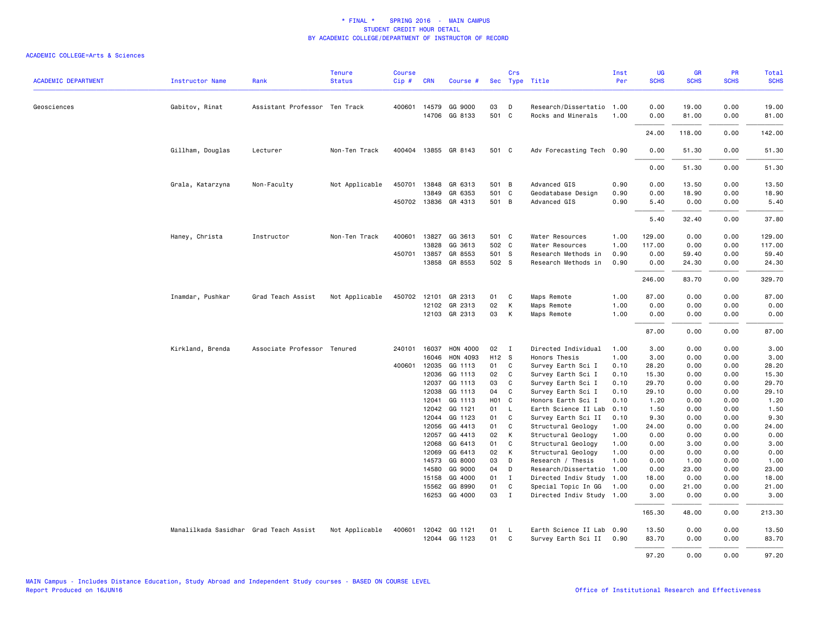| <b>ACADEMIC DEPARTMENT</b> | Instructor Name                        | Rank                          | <b>Tenure</b><br><b>Status</b> | <b>Course</b><br>Cip# | <b>CRN</b>     | Course #             |                   | Crs          | Sec Type Title                            | Inst<br>Per  | UG<br><b>SCHS</b> | GR<br><b>SCHS</b> | PR<br><b>SCHS</b> | <b>Total</b><br><b>SCHS</b> |
|----------------------------|----------------------------------------|-------------------------------|--------------------------------|-----------------------|----------------|----------------------|-------------------|--------------|-------------------------------------------|--------------|-------------------|-------------------|-------------------|-----------------------------|
| Geosciences                | Gabitov, Rinat                         | Assistant Professor Ten Track |                                | 400601                | 14579          | GG 9000              | 03                | D            | Research/Dissertatio                      | 1.00         | 0.00              | 19.00             | 0.00              | 19.00                       |
|                            |                                        |                               |                                |                       | 14706          | GG 8133              | 501 C             |              | Rocks and Minerals                        | 1.00         | 0.00              | 81.00             | 0.00              | 81.00                       |
|                            |                                        |                               |                                |                       |                |                      |                   |              |                                           |              | 24.00             | 118.00            | 0.00              | 142.00                      |
|                            | Gillham, Douglas                       | Lecturer                      | Non-Ten Track                  | 400404                |                | 13855 GR 8143        | 501 C             |              | Adv Forecasting Tech 0.90                 |              | 0.00              | 51.30             | 0.00              | 51.30                       |
|                            |                                        |                               |                                |                       |                |                      |                   |              |                                           |              | 0.00              | 51.30             | 0.00              | 51.30                       |
|                            | Grala, Katarzyna                       | Non-Faculty                   | Not Applicable                 | 450701                | 13848          | GR 6313              | 501 B             |              | Advanced GIS                              | 0.90         | 0.00              | 13.50             | 0.00              | 13.50                       |
|                            |                                        |                               |                                |                       | 13849          | GR 6353              | 501 C             |              | Geodatabase Design                        | 0.90         | 0.00              | 18.90             | 0.00              | 18.90                       |
|                            |                                        |                               |                                |                       |                | 450702 13836 GR 4313 | 501 B             |              | Advanced GIS                              | 0.90         | 5.40              | 0.00              | 0.00              | 5.40                        |
|                            |                                        |                               |                                |                       |                |                      |                   |              |                                           |              | 5.40              | 32.40             | 0.00              | 37.80                       |
|                            | Haney, Christa                         | Instructor                    | Non-Ten Track                  | 400601                | 13827          | GG 3613              | 501 C             |              | Water Resources                           | 1.00         | 129.00            | 0.00              | 0.00              | 129.00                      |
|                            |                                        |                               |                                |                       | 13828          | GG 3613              | 502 C             |              | Water Resources                           | 1.00         | 117.00            | 0.00              | 0.00              | 117.00                      |
|                            |                                        |                               |                                | 450701                | 13857          | GR 8553              | 501 S             |              | Research Methods in                       | 0.90         | 0.00              | 59.40             | 0.00              | 59.40                       |
|                            |                                        |                               |                                |                       | 13858          | GR 8553              | 502 S             |              | Research Methods in                       | 0.90         | 0.00              | 24.30             | 0.00              | 24.30                       |
|                            |                                        |                               |                                |                       |                |                      |                   |              |                                           |              | 246.00            | 83.70             | 0.00              | 329.70                      |
|                            | Inamdar, Pushkar                       | Grad Teach Assist             | Not Applicable                 | 450702                | 12101          | GR 2313              | 01                | C            | Maps Remote                               | 1.00         | 87.00             | 0.00              | 0.00              | 87.00                       |
|                            |                                        |                               |                                |                       | 12102          | GR 2313              | 02                | К            | Maps Remote                               | 1.00         | 0.00              | 0.00              | 0.00              | 0.00                        |
|                            |                                        |                               |                                |                       |                | 12103 GR 2313        | 03                | K            | Maps Remote                               | 1.00         | 0.00              | 0.00              | 0.00              | 0.00                        |
|                            |                                        |                               |                                |                       |                |                      |                   |              |                                           |              | 87.00             | 0.00              | 0.00              | 87.00                       |
|                            | Kirkland, Brenda                       | Associate Professor Tenured   |                                | 240101                | 16037          | HON 4000             | 02                | $\mathbf{I}$ | Directed Individual                       | 1.00         | 3.00              | 0.00              | 0.00              | 3.00                        |
|                            |                                        |                               |                                |                       | 16046          | HON 4093             | H <sub>12</sub> S |              | Honors Thesis                             | 1.00         | 3.00              | 0.00              | 0.00              | 3.00                        |
|                            |                                        |                               |                                |                       | 400601 12035   | GG 1113              | 01                | C            | Survey Earth Sci I                        | 0.10         | 28.20             | 0.00              | 0.00              | 28.20                       |
|                            |                                        |                               |                                |                       | 12036<br>12037 | GG 1113<br>GG 1113   | 02<br>03          | C<br>C       | Survey Earth Sci I<br>Survey Earth Sci I  | 0.10<br>0.10 | 15.30<br>29.70    | 0.00<br>0.00      | 0.00<br>0.00      | 15.30<br>29.70              |
|                            |                                        |                               |                                |                       | 12038          | GG 1113              | 04                | C            | Survey Earth Sci I                        | 0.10         | 29.10             | 0.00              | 0.00              | 29.10                       |
|                            |                                        |                               |                                |                       | 12041          | GG 1113              | H <sub>01</sub> C |              | Honors Earth Sci I                        | 0.10         | 1.20              | 0.00              | 0.00              | 1.20                        |
|                            |                                        |                               |                                |                       | 12042          | GG 1121              | 01                | L            | Earth Science II Lab                      | 0.10         | 1.50              | 0.00              | 0.00              | 1.50                        |
|                            |                                        |                               |                                |                       | 12044          | GG 1123              | 01                | C            | Survey Earth Sci II                       | 0.10         | 9.30              | 0.00              | 0.00              | 9.30                        |
|                            |                                        |                               |                                |                       | 12056          | GG 4413              | 01                | C            | Structural Geology                        | 1.00         | 24.00             | 0.00              | 0.00              | 24.00                       |
|                            |                                        |                               |                                |                       | 12057          | GG 4413              | 02                | К            | Structural Geology                        | 1.00         | 0.00              | 0.00              | 0.00              | 0.00                        |
|                            |                                        |                               |                                |                       | 12068          | GG 6413              | 01                | C            | Structural Geology                        | 1.00         | 0.00              | 3.00              | 0.00              | 3.00                        |
|                            |                                        |                               |                                |                       | 12069          | GG 6413              | 02                | К            | Structural Geology                        | 1.00         | 0.00              | 0.00              | 0.00              | 0.00                        |
|                            |                                        |                               |                                |                       | 14573          | GG 8000<br>GG 9000   | 03<br>04          | D            | Research / Thesis<br>Research/Dissertatio | 1.00         | 0.00<br>0.00      | 1.00              | 0.00<br>0.00      | 1.00<br>23.00               |
|                            |                                        |                               |                                |                       | 14580<br>15158 | GG 4000              | 01                | D<br>I       | Directed Indiv Study                      | 1.00<br>1.00 | 18.00             | 23.00<br>0.00     | 0.00              | 18.00                       |
|                            |                                        |                               |                                |                       | 15562          | GG 8990              | 01                | C            | Special Topic In GG                       | 1.00         | 0.00              | 21.00             | 0.00              | 21.00                       |
|                            |                                        |                               |                                |                       | 16253          | GG 4000              | 03                | $\mathbf{I}$ | Directed Indiv Study 1.00                 |              | 3.00              | 0.00              | 0.00              | 3.00                        |
|                            |                                        |                               |                                |                       |                |                      |                   |              |                                           |              | 165.30            | 48.00             | 0.00              | 213.30                      |
|                            | Manalilkada Sasidhar Grad Teach Assist |                               | Not Applicable                 | 400601                |                | 12042 GG 1121        | 01                | L            | Earth Science II Lab 0.90                 |              | 13.50             | 0.00              | 0.00              | 13.50                       |
|                            |                                        |                               |                                |                       |                | 12044 GG 1123        | 01                | C            | Survey Earth Sci II                       | 0.90         | 83.70             | 0.00              | 0.00              | 83.70                       |
|                            |                                        |                               |                                |                       |                |                      |                   |              |                                           |              | 97.20             | 0.00              | 0.00              | 97.20                       |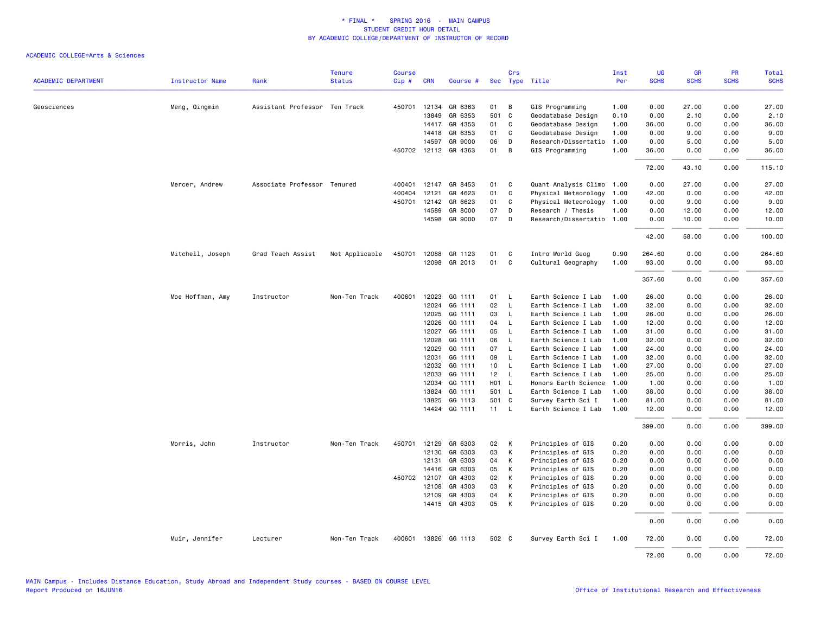|                            |                        |                               | <b>Tenure</b>  | <b>Course</b> |              |                                 |          | Crs                 |                                         | Inst         | UG            | <b>GR</b>    | PR           | Total         |
|----------------------------|------------------------|-------------------------------|----------------|---------------|--------------|---------------------------------|----------|---------------------|-----------------------------------------|--------------|---------------|--------------|--------------|---------------|
| <b>ACADEMIC DEPARTMENT</b> | <b>Instructor Name</b> | Rank                          | <b>Status</b>  | Cip#          | <b>CRN</b>   | Course #                        |          |                     | Sec Type Title                          | Per          | <b>SCHS</b>   | <b>SCHS</b>  | <b>SCHS</b>  | <b>SCHS</b>   |
|                            |                        |                               |                |               |              |                                 |          |                     |                                         |              |               |              |              |               |
| Geosciences                | Meng, Qingmin          | Assistant Professor Ten Track |                |               | 450701 12134 | GR 6363                         | 01       | B                   | GIS Programming                         | 1.00         | 0.00          | 27.00        | 0.00         | 27.00         |
|                            |                        |                               |                |               | 13849        | GR 6353                         | 501 C    |                     | Geodatabase Design                      | 0.10         | 0.00          | 2.10         | 0.00         | 2.10          |
|                            |                        |                               |                |               | 14417        | GR 4353                         | 01       | $\mathbf{C}$        | Geodatabase Design                      | 1.00         | 36.00         | 0.00         | 0.00         | 36.00         |
|                            |                        |                               |                |               | 14418        | GR 6353                         | 01       | C.                  | Geodatabase Design                      | 1.00         | 0.00          | 9.00         | 0.00         | 9.00          |
|                            |                        |                               |                |               | 14597        | GR 9000<br>450702 12112 GR 4363 | 06<br>01 | D<br>$\overline{B}$ | Research/Dissertatio<br>GIS Programming | 1.00<br>1.00 | 0.00<br>36.00 | 5.00<br>0.00 | 0.00<br>0.00 | 5.00<br>36.00 |
|                            |                        |                               |                |               |              |                                 |          |                     |                                         |              | 72.00         | 43.10        | 0.00         | 115.10        |
|                            |                        |                               |                |               |              |                                 |          |                     |                                         |              |               |              |              |               |
|                            | Mercer, Andrew         | Associate Professor Tenured   |                |               | 400401 12147 | GR 8453                         | 01       | $\mathbf{C}$        | Quant Analysis Climo 1.00               |              | 0.00          | 27.00        | 0.00         | 27.00         |
|                            |                        |                               |                | 400404        | 12121        | GR 4623                         | 01       | C                   | Physical Meteorology 1.00               |              | 42.00         | 0.00         | 0.00         | 42.00         |
|                            |                        |                               |                | 450701        | 12142        | GR 6623                         | 01       | C                   | Physical Meteorology 1.00               |              | 0.00          | 9.00         | 0.00         | 9.00          |
|                            |                        |                               |                |               | 14589        | GR 8000                         | 07       | D                   | Research / Thesis                       | 1.00         | 0.00          | 12.00        | 0.00         | 12.00         |
|                            |                        |                               |                |               |              | 14598 GR 9000                   | 07       | D                   | Research/Dissertatio 1.00               |              | 0.00          | 10.00        | 0.00         | 10.00         |
|                            |                        |                               |                |               |              |                                 |          |                     |                                         |              | 42.00         | 58.00        | 0.00         | 100.00        |
|                            | Mitchell, Joseph       | Grad Teach Assist             | Not Applicable | 450701        | 12088        | GR 1123                         | 01       | C                   | Intro World Geog                        | 0.90         | 264.60        | 0.00         | 0.00         | 264.60        |
|                            |                        |                               |                |               | 12098        | GR 2013                         | 01       | C                   | Cultural Geography                      | 1.00         | 93.00         | 0.00         | 0.00         | 93.00         |
|                            |                        |                               |                |               |              |                                 |          |                     |                                         |              | 357.60        | 0.00         | 0.00         | 357.60        |
|                            | Moe Hoffman, Amy       | Instructor                    | Non-Ten Track  | 400601        | 12023        | GG 1111                         | 01       | - L                 | Earth Science I Lab                     | 1.00         | 26.00         | 0.00         | 0.00         | 26.00         |
|                            |                        |                               |                |               | 12024        | GG 1111                         | 02       | L.                  | Earth Science I Lab                     | 1.00         | 32.00         | 0.00         | 0.00         | 32.00         |
|                            |                        |                               |                |               | 12025        | GG 1111                         | 03       | $\mathsf{L}$        | Earth Science I Lab                     | 1.00         | 26.00         | 0.00         | 0.00         | 26.00         |
|                            |                        |                               |                |               | 12026        | GG 1111                         | 04       | L.                  | Earth Science I Lab                     | 1.00         | 12.00         | 0.00         | 0.00         | 12.00         |
|                            |                        |                               |                |               | 12027        | GG 1111                         | 05       | L.                  | Earth Science I Lab                     | 1.00         | 31.00         | 0.00         | 0.00         | 31.00         |
|                            |                        |                               |                |               | 12028        | GG 1111                         | 06       | <b>L</b>            | Earth Science I Lab                     | 1.00         | 32.00         | 0.00         | 0.00         | 32.00         |
|                            |                        |                               |                |               | 12029        | GG 1111                         | 07       | L.                  | Earth Science I Lab                     | 1.00         | 24.00         | 0.00         | 0.00         | 24.00         |
|                            |                        |                               |                |               | 12031        | GG 1111                         | 09       | L.                  | Earth Science I Lab                     | 1.00         | 32.00         | 0.00         | 0.00         | 32.00         |
|                            |                        |                               |                |               | 12032        | GG 1111                         | 10       | - L                 | Earth Science I Lab                     | 1.00         | 27.00         | 0.00         | 0.00         | 27.00         |
|                            |                        |                               |                |               | 12033        | GG 1111                         | 12       | L                   | Earth Science I Lab                     | 1.00         | 25.00         | 0.00         | 0.00         | 25.00         |
|                            |                        |                               |                |               | 12034        | GG 1111                         | H01 L    |                     | Honors Earth Science                    | 1.00         | 1.00          | 0.00         | 0.00         | 1.00          |
|                            |                        |                               |                |               | 13824        | GG 1111                         | 501 L    |                     | Earth Science I Lab                     | 1.00         | 38.00         | 0.00         | 0.00         | 38.00         |
|                            |                        |                               |                |               | 13825        | GG 1113                         | 501 C    |                     | Survey Earth Sci I                      | 1.00         | 81.00         | 0.00         | 0.00         | 81.00         |
|                            |                        |                               |                |               |              | 14424 GG 1111                   | 11 L     |                     | Earth Science I Lab                     | 1.00         | 12.00         | 0.00         | 0.00         | 12.00         |
|                            |                        |                               |                |               |              |                                 |          |                     |                                         |              | 399.00        | 0.00         | 0.00         | 399.00        |
|                            | Morris, John           | Instructor                    | Non-Ten Track  |               | 450701 12129 | GR 6303                         | 02 K     |                     | Principles of GIS                       | 0.20         | 0.00          | 0.00         | 0.00         | 0.00          |
|                            |                        |                               |                |               | 12130        | GR 6303                         | 03       | K                   | Principles of GIS                       | 0.20         | 0.00          | 0.00         | 0.00         | 0.00          |
|                            |                        |                               |                |               | 12131        | GR 6303                         | 04       | K                   | Principles of GIS                       | 0.20         | 0.00          | 0.00         | 0.00         | 0.00          |
|                            |                        |                               |                |               | 14416        | GR 6303                         | 05       | К                   | Principles of GIS                       | 0.20         | 0.00          | 0.00         | 0.00         | 0.00          |
|                            |                        |                               |                |               | 450702 12107 | GR 4303                         | 02       | K                   | Principles of GIS                       | 0.20         | 0.00          | 0.00         | 0.00         | 0.00          |
|                            |                        |                               |                |               | 12108        | GR 4303                         | 03       | К                   | Principles of GIS                       | 0.20         | 0.00          | 0.00         | 0.00         | 0.00          |
|                            |                        |                               |                |               | 12109        | GR 4303                         | 04       | К                   | Principles of GIS                       | 0.20         | 0.00          | 0.00         | 0.00         | 0.00          |
|                            |                        |                               |                |               |              | 14415 GR 4303                   | 05       | K                   | Principles of GIS                       | 0.20         | 0.00          | 0.00         | 0.00         | 0.00          |
|                            |                        |                               |                |               |              |                                 |          |                     |                                         |              | 0.00          | 0.00         | 0.00         | 0.00          |
|                            | Muir, Jennifer         | Lecturer                      | Non-Ten Track  | 400601        |              | 13826 GG 1113                   | 502 C    |                     | Survey Earth Sci I                      | 1.00         | 72.00         | 0.00         | 0.00         | 72.00         |
|                            |                        |                               |                |               |              |                                 |          |                     |                                         |              | 72.00         | 0.00         | 0.00         | 72.00         |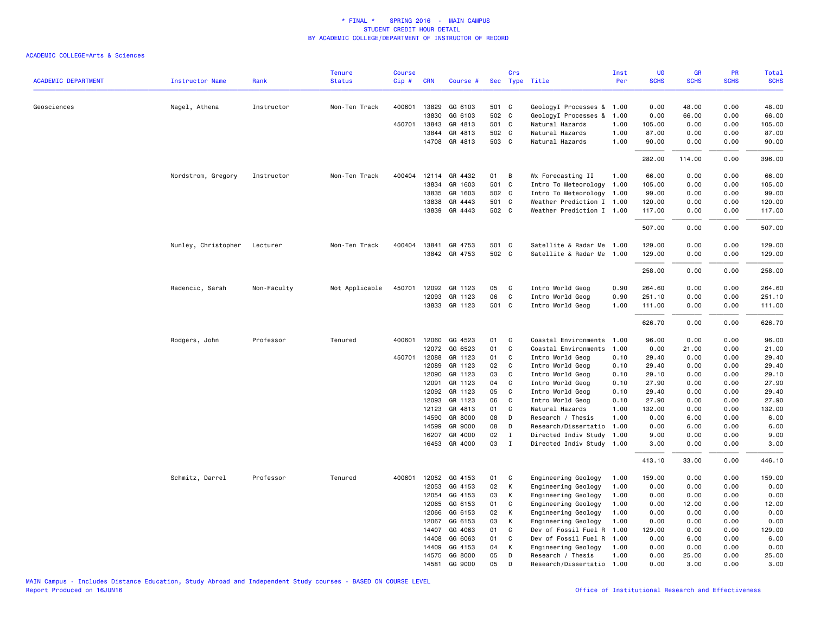| <b>ACADEMIC DEPARTMENT</b> | <b>Instructor Name</b> | Rank        | <b>Tenure</b><br><b>Status</b> | <b>Course</b><br>Cip# | <b>CRN</b>   | Course #      |       | Crs            | Sec Type Title            | Inst<br>Per | UG<br><b>SCHS</b> | <b>GR</b><br><b>SCHS</b> | PR<br><b>SCHS</b> | <b>Total</b><br><b>SCHS</b> |
|----------------------------|------------------------|-------------|--------------------------------|-----------------------|--------------|---------------|-------|----------------|---------------------------|-------------|-------------------|--------------------------|-------------------|-----------------------------|
|                            |                        |             |                                |                       |              |               |       |                |                           |             |                   |                          |                   |                             |
| Geosciences                | Nagel, Athena          | Instructor  | Non-Ten Track                  | 400601                | 13829        | GG 6103       | 501 C |                | GeologyI Processes & 1.00 |             | 0.00              | 48.00                    | 0.00              | 48.00                       |
|                            |                        |             |                                |                       | 13830        | GG 6103       | 502 C |                |                           | 1.00        | 0.00              | 66.00                    | 0.00              | 66.00                       |
|                            |                        |             |                                |                       |              |               |       |                | GeologyI Processes &      |             |                   |                          |                   |                             |
|                            |                        |             |                                | 450701                | 13843        | GR 4813       | 501 C |                | Natural Hazards           | 1.00        | 105.00            | 0.00                     | 0.00              | 105.00                      |
|                            |                        |             |                                |                       | 13844        | GR 4813       | 502 C |                | Natural Hazards           | 1.00        | 87.00             | 0.00                     | 0.00              | 87.00                       |
|                            |                        |             |                                |                       |              | 14708 GR 4813 | 503 C |                | Natural Hazards           | 1.00        | 90.00             | 0.00                     | 0.00              | 90.00                       |
|                            |                        |             |                                |                       |              |               |       |                |                           |             | 282.00            | 114.00                   | 0.00              | 396.00                      |
|                            | Nordstrom, Gregory     | Instructor  | Non-Ten Track                  | 400404                |              | 12114 GR 4432 | 01    | $\overline{B}$ | Wx Forecasting II         | 1.00        | 66.00             | 0.00                     | 0.00              | 66.00                       |
|                            |                        |             |                                |                       | 13834        | GR 1603       | 501 C |                | Intro To Meteorology 1.00 |             | 105.00            | 0.00                     | 0.00              | 105.00                      |
|                            |                        |             |                                |                       | 13835        | GR 1603       | 502 C |                | Intro To Meteorology 1.00 |             | 99.00             | 0.00                     | 0.00              | 99.00                       |
|                            |                        |             |                                |                       | 13838        | GR 4443       | 501 C |                | Weather Prediction I 1.00 |             | 120.00            | 0.00                     | 0.00              | 120.00                      |
|                            |                        |             |                                |                       | 13839        | GR 4443       | 502 C |                | Weather Prediction I 1.00 |             | 117.00            | 0.00                     | 0.00              | 117.00                      |
|                            |                        |             |                                |                       |              |               |       |                |                           |             | 507.00            | 0.00                     | 0.00              | 507.00                      |
|                            | Nunley, Christopher    | Lecturer    | Non-Ten Track                  | 400404                | 13841        | GR 4753       | 501 C |                | Satellite & Radar Me 1.00 |             | 129.00            | 0.00                     | 0.00              | 129.00                      |
|                            |                        |             |                                |                       |              | 13842 GR 4753 | 502 C |                | Satellite & Radar Me 1.00 |             | 129.00            | 0.00                     | 0.00              | 129.00                      |
|                            |                        |             |                                |                       |              |               |       |                |                           |             |                   |                          |                   |                             |
|                            |                        |             |                                |                       |              |               |       |                |                           |             | 258.00            | 0.00                     | 0.00              | 258.00                      |
|                            | Radencic, Sarah        | Non-Faculty | Not Applicable                 | 450701                | 12092        | GR 1123       | 05    | C              | Intro World Geog          | 0.90        | 264.60            | 0.00                     | 0.00              | 264.60                      |
|                            |                        |             |                                |                       | 12093        | GR 1123       | 06    | C              | Intro World Geog          | 0.90        | 251.10            | 0.00                     | 0.00              | 251.10                      |
|                            |                        |             |                                |                       | 13833        | GR 1123       | 501 C |                | Intro World Geog          | 1.00        | 111.00            | 0.00                     | 0.00              | 111.00                      |
|                            |                        |             |                                |                       |              |               |       |                |                           |             | 626.70            | 0.00                     | 0.00              | 626.70                      |
|                            | Rodgers, John          | Professor   | Tenured                        | 400601                | 12060        | GG 4523       | 01    | C              | Coastal Environments      | 1.00        | 96.00             | 0.00                     | 0.00              | 96.00                       |
|                            |                        |             |                                |                       | 12072        | GG 6523       | 01    | C              | Coastal Environments      | 1.00        | 0.00              | 21.00                    | 0.00              | 21.00                       |
|                            |                        |             |                                |                       | 450701 12088 | GR 1123       | 01    | C              | Intro World Geog          | 0.10        | 29.40             | 0.00                     | 0.00              | 29.40                       |
|                            |                        |             |                                |                       | 12089        | GR 1123       | 02    | C              | Intro World Geog          | 0.10        | 29.40             | 0.00                     | 0.00              | 29.40                       |
|                            |                        |             |                                |                       | 12090        | GR 1123       | 03    | C              | Intro World Geog          | 0.10        | 29.10             | 0.00                     | 0.00              | 29.10                       |
|                            |                        |             |                                |                       | 12091        | GR 1123       | 04    | C              | Intro World Geog          | 0.10        | 27.90             | 0.00                     | 0.00              | 27.90                       |
|                            |                        |             |                                |                       | 12092        | GR 1123       | 05    | <b>C</b>       | Intro World Geog          | 0.10        | 29.40             | 0.00                     | 0.00              | 29.40                       |
|                            |                        |             |                                |                       | 12093        | GR 1123       | 06    | C              | Intro World Geog          | 0.10        | 27.90             | 0.00                     | 0.00              | 27.90                       |
|                            |                        |             |                                |                       | 12123        | GR 4813       | 01    | C              | Natural Hazards           | 1.00        | 132.00            | 0.00                     | 0.00              | 132.00                      |
|                            |                        |             |                                |                       | 14590        | GR 8000       | 08    | D              | Research / Thesis         | 1.00        | 0.00              | 6.00                     | 0.00              | 6.00                        |
|                            |                        |             |                                |                       | 14599        | GR 9000       | 08    | D              | Research/Dissertatio      | 1.00        | 0.00              | 6.00                     | 0.00              | 6.00                        |
|                            |                        |             |                                |                       | 16207        | GR 4000       | 02    | $\mathbf I$    | Directed Indiv Study      | 1.00        | 9.00              | 0.00                     | 0.00              | 9.00                        |
|                            |                        |             |                                |                       |              | 16453 GR 4000 | 03    | $\mathbf I$    | Directed Indiv Study 1.00 |             | 3.00              | 0.00                     | 0.00              | 3.00                        |
|                            |                        |             |                                |                       |              |               |       |                |                           |             | 413.10            | 33.00                    | 0.00              | 446.10                      |
|                            | Schmitz, Darrel        | Professor   | Tenured                        | 400601                |              | 12052 GG 4153 | 01 C  |                | Engineering Geology       | 1.00        | 159.00            | 0.00                     | 0.00              | 159.00                      |
|                            |                        |             |                                |                       | 12053        | GG 4153       | 02    | K              | Engineering Geology       | 1.00        | 0.00              | 0.00                     | 0.00              | 0.00                        |
|                            |                        |             |                                |                       | 12054        | GG 4153       | 03    | K              | Engineering Geology       | 1.00        | 0.00              | 0.00                     | 0.00              | 0.00                        |
|                            |                        |             |                                |                       | 12065        | GG 6153       | 01    | C              | Engineering Geology       | 1.00        | 0.00              | 12.00                    | 0.00              | 12.00                       |
|                            |                        |             |                                |                       | 12066        | GG 6153       | 02    | $\mathsf{K}$   | Engineering Geology       | 1.00        | 0.00              | 0.00                     | 0.00              | 0.00                        |
|                            |                        |             |                                |                       | 12067        | GG 6153       | 03    | K              | Engineering Geology       | 1.00        | 0.00              | 0.00                     | 0.00              | 0.00                        |
|                            |                        |             |                                |                       | 14407        | GG 4063       | 01    | C              | Dev of Fossil Fuel R      | 1.00        | 129.00            | 0.00                     | 0.00              | 129.00                      |
|                            |                        |             |                                |                       | 14408        | GG 6063       | 01    | C              | Dev of Fossil Fuel R      | 1.00        | 0.00              | 6.00                     | 0.00              | 6.00                        |
|                            |                        |             |                                |                       | 14409        | GG 4153       | 04    | K              | Engineering Geology       | 1.00        | 0.00              | 0.00                     | 0.00              | 0.00                        |
|                            |                        |             |                                |                       |              | 14575 GG 8000 | 05    | D              | Research / Thesis         | 1.00        | 0.00              | 25.00                    | 0.00              | 25.00                       |
|                            |                        |             |                                |                       | 14581        | GG 9000       | 05    | D              | Research/Dissertatio      | 1.00        | 0.00              | 3.00                     | 0.00              | 3,00                        |
|                            |                        |             |                                |                       |              |               |       |                |                           |             |                   |                          |                   |                             |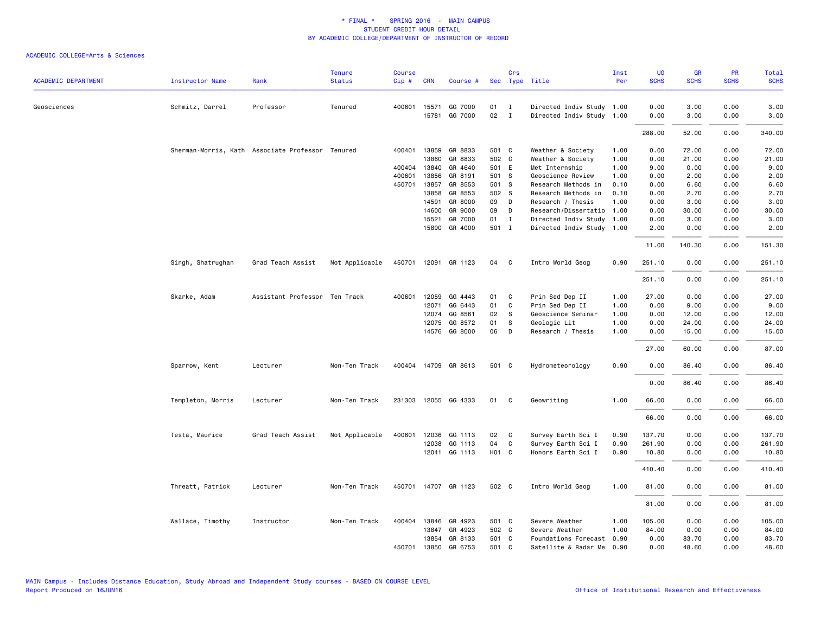| <b>ACADEMIC DEPARTMENT</b> | Instructor Name   | Rank                                             | <b>Tenure</b><br><b>Status</b> | <b>Course</b><br>Cip# | <b>CRN</b>   | Course #             |                   | Crs                        | Sec Type Title            | Inst<br>Per | UG<br><b>SCHS</b> | <b>GR</b><br><b>SCHS</b> | PR<br><b>SCHS</b> | Total<br><b>SCHS</b> |
|----------------------------|-------------------|--------------------------------------------------|--------------------------------|-----------------------|--------------|----------------------|-------------------|----------------------------|---------------------------|-------------|-------------------|--------------------------|-------------------|----------------------|
|                            |                   |                                                  |                                |                       |              |                      |                   |                            |                           |             |                   |                          |                   |                      |
| Geosciences                | Schmitz, Darrel   | Professor                                        | Tenured                        |                       | 400601 15571 | GG 7000              | 01                | $\blacksquare$             | Directed Indiv Study 1.00 |             | 0.00              | 3.00                     | 0.00              | 3.00                 |
|                            |                   |                                                  |                                |                       |              | 15781 GG 7000        | 02                | $\mathbf{I}$               | Directed Indiv Study 1.00 |             | 0.00              | 3.00                     | 0.00              | 3.00                 |
|                            |                   |                                                  |                                |                       |              |                      |                   |                            |                           |             | 288.00            | 52.00                    | 0.00              | 340.00               |
|                            |                   | Sherman-Morris, Kath Associate Professor Tenured |                                |                       | 400401 13859 | GR 8833              | 501 C             |                            | Weather & Society         | 1.00        | 0.00              | 72.00                    | 0.00              | 72.00                |
|                            |                   |                                                  |                                |                       | 13860        | GR 8833              | 502 C             |                            | Weather & Society         | 1.00        | 0.00              | 21.00                    | 0.00              | 21.00                |
|                            |                   |                                                  |                                |                       | 400404 13840 | GR 4640              | 501 E             |                            | Met Internship            | 1.00        | 9.00              | 0.00                     | 0.00              | 9.00                 |
|                            |                   |                                                  |                                | 400601                | 13856        | GR 8191              | 501 S             |                            | Geoscience Review         | 1.00        | 0.00              | 2.00                     | 0.00              | 2.00                 |
|                            |                   |                                                  |                                |                       | 450701 13857 | GR 8553              | 501 S             |                            | Research Methods in       | 0.10        | 0.00              | 6.60                     | 0.00              | 6.60                 |
|                            |                   |                                                  |                                |                       | 13858        | GR 8553              | 502 S             |                            | Research Methods in       | 0.10        | 0.00              | 2.70                     | 0.00              | 2.70                 |
|                            |                   |                                                  |                                |                       | 14591        | GR 8000              | 09 D              |                            | Research / Thesis         | 1.00        | 0.00              | 3.00                     | 0.00              | 3.00                 |
|                            |                   |                                                  |                                |                       | 14600        | GR 9000              | 09 D              |                            | Research/Dissertatio 1.00 |             | 0.00              | 30.00                    | 0.00              | 30.00                |
|                            |                   |                                                  |                                |                       | 15521        | GR 7000              | 01 I              |                            | Directed Indiv Study 1.00 |             | 0.00              | 3.00                     | 0.00              | 3.00                 |
|                            |                   |                                                  |                                |                       |              | 15890 GR 4000        | 501 I             |                            | Directed Indiv Study 1.00 |             | 2.00              | 0.00                     | 0.00              | 2.00                 |
|                            |                   |                                                  |                                |                       |              |                      |                   |                            |                           |             | 11.00             | 140.30                   | 0.00              | 151.30               |
|                            | Singh, Shatrughan | Grad Teach Assist                                | Not Applicable                 |                       |              | 450701 12091 GR 1123 | 04 C              |                            | Intro World Geog          | 0.90        | 251.10            | 0.00                     | 0.00              | 251.10               |
|                            |                   |                                                  |                                |                       |              |                      |                   |                            |                           |             | 251.10            | 0.00                     | 0.00              | 251.10               |
|                            | Skarke, Adam      | Assistant Professor Ten Track                    |                                |                       | 400601 12059 | GG 4443              | 01                | $\mathbf{C}$               | Prin Sed Dep II           | 1.00        | 27.00             | 0.00                     | 0.00              | 27.00                |
|                            |                   |                                                  |                                |                       | 12071        | GG 6443              | 01                | C                          | Prin Sed Dep II           | 1.00        | 0.00              | 9.00                     | 0.00              | 9.00                 |
|                            |                   |                                                  |                                |                       | 12074        | GG 8561              | 02                | $\mathbf{s}$               | Geoscience Seminar        | 1.00        | 0.00              | 12.00                    | 0.00              | 12.00                |
|                            |                   |                                                  |                                |                       | 12075        | GG 8572              | 01                | - S                        | Geologic Lit              | 1.00        | 0.00              | 24.00                    | 0.00              | 24.00                |
|                            |                   |                                                  |                                |                       |              | 14576 GG 8000        | 06                | $\Box$                     | Research / Thesis         | 1.00        | 0.00              | 15.00                    | 0.00              | 15.00                |
|                            |                   |                                                  |                                |                       |              |                      |                   |                            |                           |             | 27.00             | 60.00                    | 0.00              | 87.00                |
|                            | Sparrow, Kent     | Lecturer                                         | Non-Ten Track                  |                       |              | 400404 14709 GR 8613 | 501 C             |                            | Hydrometeorology          | 0.90        | 0.00              | 86.40                    | 0.00              | 86.40                |
|                            |                   |                                                  |                                |                       |              |                      |                   |                            |                           |             | 0.00              | 86.40                    | 0.00              | 86.40                |
|                            | Templeton, Morris | Lecturer                                         | Non-Ten Track                  |                       |              | 231303 12055 GG 4333 | 01                | $\overline{\phantom{a}}$ C | Geowriting                | 1.00        | 66.00             | 0.00                     | 0.00              | 66.00                |
|                            |                   |                                                  |                                |                       |              |                      |                   |                            |                           |             | 66.00             | 0.00                     | 0.00              | 66.00                |
|                            | Testa, Maurice    | Grad Teach Assist                                | Not Applicable                 |                       | 400601 12036 | GG 1113              | 02                | $\mathbf{C}$               | Survey Earth Sci I        | 0.90        | 137.70            | 0.00                     | 0.00              | 137.70               |
|                            |                   |                                                  |                                |                       | 12038        | GG 1113              | 04                | C                          | Survey Earth Sci I        | 0.90        | 261.90            | 0.00                     | 0.00              | 261.90               |
|                            |                   |                                                  |                                |                       | 12041        | GG 1113              | H <sub>01</sub> C |                            | Honors Earth Sci I        | 0.90        | 10.80             | 0.00                     | 0.00              | 10.80                |
|                            |                   |                                                  |                                |                       |              |                      |                   |                            |                           |             |                   |                          |                   |                      |
|                            |                   |                                                  |                                |                       |              |                      |                   |                            |                           |             | 410.40            | 0.00                     | 0.00              | 410.40               |
|                            | Threatt, Patrick  | Lecturer                                         | Non-Ten Track                  |                       |              | 450701 14707 GR 1123 | 502 C             |                            | Intro World Geog          | 1.00        | 81.00             | 0.00                     | 0.00              | 81.00                |
|                            |                   |                                                  |                                |                       |              |                      |                   |                            |                           |             | 81.00             | 0.00                     | 0.00              | 81.00                |
|                            | Wallace, Timothy  | Instructor                                       | Non-Ten Track                  |                       |              | 400404 13846 GR 4923 | 501 C             |                            | Severe Weather            | 1.00        | 105.00            | 0.00                     | 0.00              | 105.00               |
|                            |                   |                                                  |                                |                       | 13847        | GR 4923              | 502 C             |                            | Severe Weather            | 1.00        | 84.00             | 0.00                     | 0.00              | 84.00                |
|                            |                   |                                                  |                                |                       |              | 13854 GR 8133        | 501 C             |                            | Foundations Forecast 0.90 |             | 0.00              | 83.70                    | 0.00              | 83.70                |
|                            |                   |                                                  |                                |                       |              | 450701 13850 GR 6753 | 501 C             |                            | Satellite & Radar Me 0.90 |             | 0.00              | 48.60                    | 0.00              | 48.60                |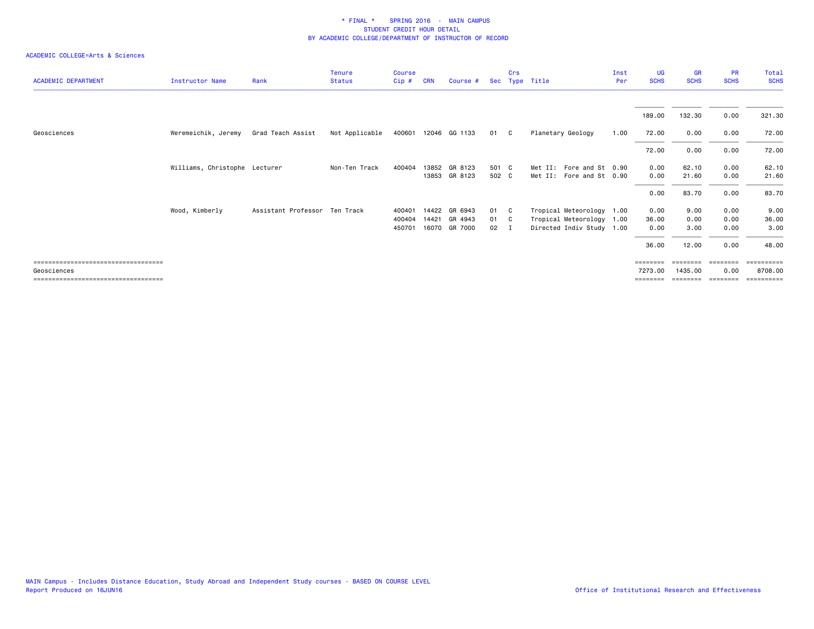| <b>ACADEMIC DEPARTMENT</b>                                                                    | Instructor Name               | Rank                          | <b>Tenure</b><br><b>Status</b> | <b>Course</b><br>Cip#      | <b>CRN</b>     | Course #                            | Sec            | Crs       | Type Title                                                                          | Inst<br>Per | UG<br><b>SCHS</b>              | <b>GR</b><br><b>SCHS</b>      | <b>PR</b><br><b>SCHS</b>              | Total<br><b>SCHS</b>              |
|-----------------------------------------------------------------------------------------------|-------------------------------|-------------------------------|--------------------------------|----------------------------|----------------|-------------------------------------|----------------|-----------|-------------------------------------------------------------------------------------|-------------|--------------------------------|-------------------------------|---------------------------------------|-----------------------------------|
|                                                                                               |                               |                               |                                |                            |                |                                     |                |           |                                                                                     |             | 189.00                         | 132.30                        | 0.00                                  | 321.30                            |
| Geosciences                                                                                   | Weremeichik, Jeremy           | Grad Teach Assist             | Not Applicable                 |                            |                | 400601 12046 GG 1133                | 01 C           |           | Planetary Geology                                                                   | 1.00        | 72.00                          | 0.00                          | 0.00                                  | 72.00                             |
|                                                                                               |                               |                               |                                |                            |                |                                     |                |           |                                                                                     |             | 72.00                          | 0.00                          | 0.00                                  | 72.00                             |
|                                                                                               | Williams, Christophe Lecturer |                               | Non-Ten Track                  | 400404                     |                | 13852 GR 8123<br>13853 GR 8123      | 501 C<br>502 C |           | Met II: Fore and St 0.90<br>Met II: Fore and St 0.90                                |             | 0.00<br>0.00                   | 62.10<br>21.60                | 0.00<br>0.00                          | 62.10<br>21.60                    |
|                                                                                               |                               |                               |                                |                            |                |                                     |                |           |                                                                                     |             | 0.00                           | 83.70                         | 0.00                                  | 83.70                             |
|                                                                                               | Wood, Kimberly                | Assistant Professor Ten Track |                                | 400401<br>400404<br>450701 | 14422<br>14421 | GR 6943<br>GR 4943<br>16070 GR 7000 | 01<br>01<br>02 | C.<br>- C | Tropical Meteorology 1.00<br>Tropical Meteorology 1.00<br>Directed Indiv Study 1.00 |             | 0.00<br>36.00<br>0.00<br>36.00 | 9.00<br>0.00<br>3.00<br>12.00 | 0.00<br>0.00<br>0.00<br>0.00          | 9.00<br>36.00<br>3.00<br>48.00    |
| ======================================<br>Geosciences<br>==================================== |                               |                               |                                |                            |                |                                     |                |           |                                                                                     |             | =======<br>7273.00<br>======== | 1435,00<br>========           | $=$ = = = = = = =<br>0.00<br>======== | ========<br>8708.00<br>========== |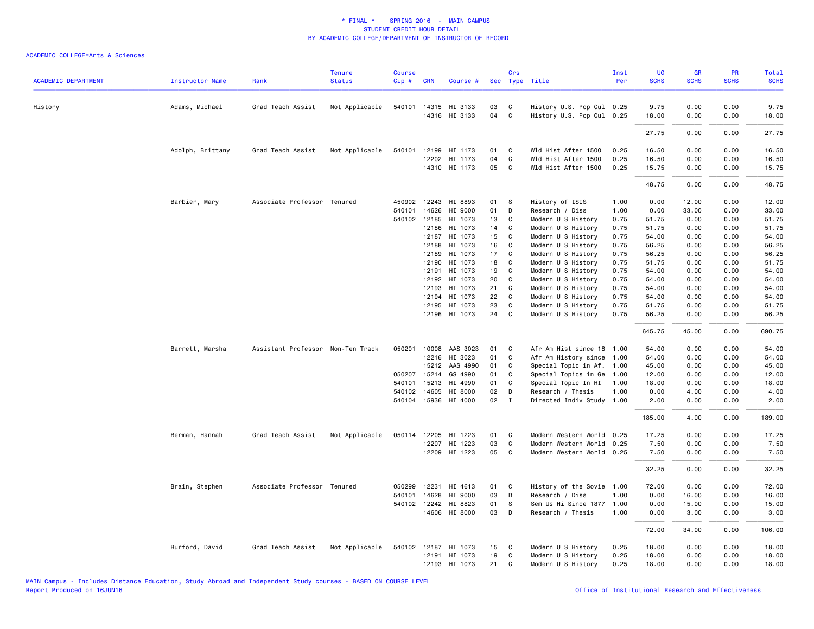| <b>ACADEMIC DEPARTMENT</b> | <b>Instructor Name</b> | Rank                              | <b>Tenure</b><br><b>Status</b> | Course<br>Cip# | <b>CRN</b>     | Course #             |          | Crs          | Sec Type Title                           | Inst<br>Per  | UG<br><b>SCHS</b> | GR<br><b>SCHS</b> | PR<br><b>SCHS</b> | Total<br><b>SCHS</b> |
|----------------------------|------------------------|-----------------------------------|--------------------------------|----------------|----------------|----------------------|----------|--------------|------------------------------------------|--------------|-------------------|-------------------|-------------------|----------------------|
| History                    | Adams, Michael         | Grad Teach Assist                 | Not Applicable                 |                |                | 540101 14315 HI 3133 | 03       | C            | History U.S. Pop Cul 0.25                |              | 9.75              | 0.00              | 0.00              | 9.75                 |
|                            |                        |                                   |                                |                |                | 14316 HI 3133        | 04       | C            | History U.S. Pop Cul 0.25                |              | 18.00             | 0.00              | 0.00              | 18.00                |
|                            |                        |                                   |                                |                |                |                      |          |              |                                          |              | 27.75             | 0.00              | 0.00              | 27.75                |
|                            | Adolph, Brittany       | Grad Teach Assist                 | Not Applicable                 | 540101         |                | 12199 HI 1173        | 01       | C            | Wld Hist After 1500                      | 0.25         | 16.50             | 0.00              | 0.00              | 16.50                |
|                            |                        |                                   |                                |                | 12202          | HI 1173              | 04       | C            | Wld Hist After 1500                      | 0.25         | 16.50             | 0.00              | 0.00              | 16.50                |
|                            |                        |                                   |                                |                |                | 14310 HI 1173        | 05       | C            | Wld Hist After 1500                      | 0.25         | 15.75             | 0.00              | 0.00              | 15.75                |
|                            |                        |                                   |                                |                |                |                      |          |              |                                          |              | 48.75             | 0.00              | 0.00              | 48.75                |
|                            | Barbier, Mary          | Associate Professor Tenured       |                                |                |                | 450902 12243 HI 8893 | 01       | S            | History of ISIS                          | 1.00         | 0.00              | 12.00             | 0.00              | 12.00                |
|                            |                        |                                   |                                | 540101         | 14626          | HI 9000              | 01       | D            | Research / Diss                          | 1.00         | 0.00              | 33.00             | 0.00              | 33.00                |
|                            |                        |                                   |                                | 540102         | 12185          | HI 1073              | 13       | C            | Modern U S History                       | 0.75         | 51.75             | 0.00              | 0.00              | 51.75                |
|                            |                        |                                   |                                |                | 12186          | HI 1073              | 14       | C            | Modern U S History                       | 0.75         | 51.75             | 0.00              | 0.00              | 51.75                |
|                            |                        |                                   |                                |                | 12187          | HI 1073              | 15       | C            | Modern U S History                       | 0.75         | 54.00             | 0.00              | 0.00              | 54.00                |
|                            |                        |                                   |                                |                | 12188          | HI 1073              | 16       | C            | Modern U S History                       | 0.75         | 56.25             | 0.00              | 0.00              | 56.25                |
|                            |                        |                                   |                                |                | 12189          | HI 1073              | 17       | C            | Modern U S History                       | 0.75         | 56.25             | 0.00              | 0.00              | 56.25                |
|                            |                        |                                   |                                |                | 12190          | HI 1073              | 18       | C            | Modern U S History                       | 0.75         | 51.75             | 0.00              | 0.00              | 51.75                |
|                            |                        |                                   |                                |                | 12191          | HI 1073              | 19       | $\mathsf{C}$ | Modern U S History                       | 0.75         | 54.00             | 0.00              | 0.00              | 54.00                |
|                            |                        |                                   |                                |                | 12192          | HI 1073              | 20       | C            | Modern U S History                       | 0.75         | 54.00             | 0.00              | 0.00              | 54.00                |
|                            |                        |                                   |                                |                | 12193          | HI 1073              | 21       | C            | Modern U S History                       | 0.75         | 54.00             | 0.00              | 0.00              | 54.00                |
|                            |                        |                                   |                                |                | 12194<br>12195 | HI 1073<br>HI 1073   | 22<br>23 | C<br>C       | Modern U S History<br>Modern U S History | 0.75<br>0.75 | 54.00<br>51.75    | 0.00<br>0.00      | 0.00<br>0.00      | 54.00<br>51.75       |
|                            |                        |                                   |                                |                |                | 12196 HI 1073        | 24       | C.           | Modern U S History                       | 0.75         | 56.25             | 0.00              | 0.00              | 56.25                |
|                            |                        |                                   |                                |                |                |                      |          |              |                                          |              | 645.75            | 45.00             | 0.00              | 690.75               |
|                            | Barrett, Marsha        | Assistant Professor Non-Ten Track |                                | 050201         |                | 10008 AAS 3023       | 01       | C            | Afr Am Hist since 18                     | 1.00         | 54.00             | 0.00              | 0.00              | 54.00                |
|                            |                        |                                   |                                |                | 12216          | HI 3023              | 01       | C            | Afr Am History since                     | 1.00         | 54.00             | 0.00              | 0.00              | 54.00                |
|                            |                        |                                   |                                |                | 15212          | AAS 4990             | 01       | C            | Special Topic in Af.                     | 1.00         | 45.00             | 0.00              | 0.00              | 45.00                |
|                            |                        |                                   |                                | 050207         | 15214          | GS 4990              | 01       | C            | Special Topics in Ge                     | 1.00         | 12.00             | 0.00              | 0.00              | 12.00                |
|                            |                        |                                   |                                | 540101         | 15213          | HI 4990              | 01       | C            | Special Topic In HI                      | 1.00         | 18.00             | 0.00              | 0.00              | 18.00                |
|                            |                        |                                   |                                |                | 540102 14605   | HI 8000              | 02       | D            | Research / Thesis                        | 1.00         | 0.00              | 4.00              | 0.00              | 4.00                 |
|                            |                        |                                   |                                |                | 540104 15936   | HI 4000              | 02       | $\mathbf{I}$ | Directed Indiv Study 1.00                |              | 2.00              | 0.00              | 0.00              | 2.00                 |
|                            |                        |                                   |                                |                |                |                      |          |              |                                          |              | 185.00            | 4.00              | 0.00              | 189.00               |
|                            | Berman, Hannah         | Grad Teach Assist                 | Not Applicable                 | 050114         | 12205          | HI 1223              | 01       | C            | Modern Western World                     | 0.25         | 17.25             | 0.00              | 0.00              | 17.25                |
|                            |                        |                                   |                                |                | 12207          | HI 1223              | 03       | $\mathsf{C}$ | Modern Western World 0.25                |              | 7.50              | 0.00              | 0.00              | 7.50                 |
|                            |                        |                                   |                                |                |                | 12209 HI 1223        | 05       | C            | Modern Western World 0.25                |              | 7.50              | 0.00              | 0.00              | 7.50                 |
|                            |                        |                                   |                                |                |                |                      |          |              |                                          |              | 32.25             | 0.00              | 0.00              | 32.25                |
|                            | Brain, Stephen         | Associate Professor Tenured       |                                | 050299         | 12231          | HI 4613              | 01       | C            | History of the Sovie                     | 1.00         | 72.00             | 0.00              | 0.00              | 72.00                |
|                            |                        |                                   |                                | 540101         | 14628          | HI 9000              | 03       | D            | Research / Diss                          | 1.00         | 0.00              | 16.00             | 0.00              | 16.00                |
|                            |                        |                                   |                                |                |                | 540102 12242 HI 8823 | 01       | S            | Sem Us Hi Since 1877                     | 1.00         | 0.00              | 15.00             | 0.00              | 15.00                |
|                            |                        |                                   |                                |                |                | 14606 HI 8000        | 03       | D            | Research / Thesis                        | 1.00         | 0.00              | 3.00              | 0.00              | 3.00                 |
|                            |                        |                                   |                                |                |                |                      |          |              |                                          |              | 72.00             | 34.00             | 0.00              | 106.00               |
|                            | Burford, David         | Grad Teach Assist                 | Not Applicable                 |                |                | 540102 12187 HI 1073 | 15       | C            | Modern U S History                       | 0.25         | 18.00             | 0.00              | 0.00              | 18.00                |
|                            |                        |                                   |                                |                |                | 12191 HI 1073        | 19       | C            | Modern U S History                       | 0.25         | 18.00             | 0.00              | 0.00              | 18.00                |
|                            |                        |                                   |                                |                |                | 12193 HI 1073        | 21       | C            | Modern U S History                       | 0.25         | 18.00             | 0.00              | 0.00              | 18.00                |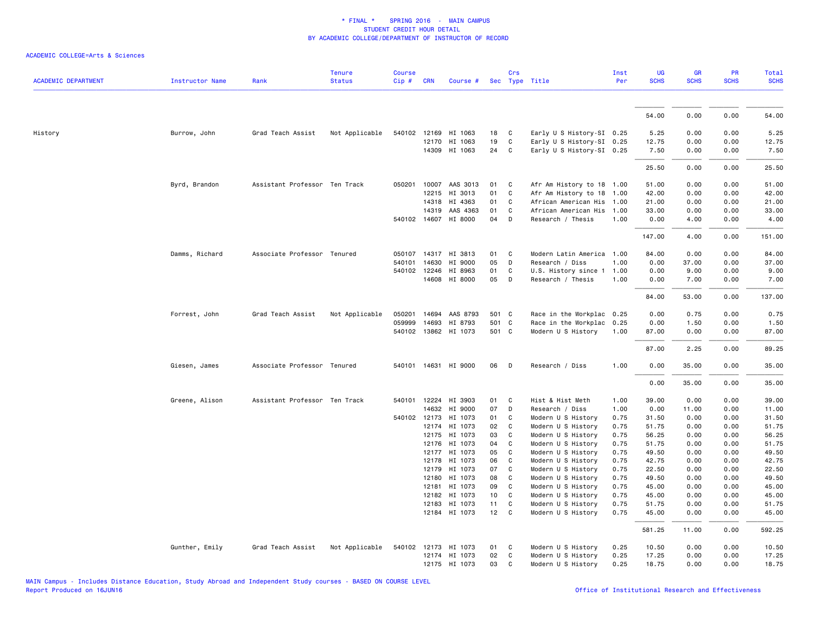| <b>ACADEMIC DEPARTMENT</b> | <b>Instructor Name</b> | Rank                          | <b>Tenure</b><br><b>Status</b> | <b>Course</b><br>Cip# | <b>CRN</b>   | Course #              |        | Crs                        | Sec Type Title            | Inst<br>Per | UG<br><b>SCHS</b> | <b>GR</b><br><b>SCHS</b> | PR<br><b>SCHS</b> | Total<br><b>SCHS</b> |
|----------------------------|------------------------|-------------------------------|--------------------------------|-----------------------|--------------|-----------------------|--------|----------------------------|---------------------------|-------------|-------------------|--------------------------|-------------------|----------------------|
|                            |                        |                               |                                |                       |              |                       |        |                            |                           |             |                   |                          |                   |                      |
|                            |                        |                               |                                |                       |              |                       |        |                            |                           |             | 54.00             | 0.00                     | 0.00              | 54.00                |
| History                    | Burrow, John           | Grad Teach Assist             | Not Applicable                 |                       |              | 540102 12169 HI 1063  | 18     | $\overline{C}$             | Early U S History-SI 0.25 |             | 5.25              | 0.00                     | 0.00              | 5.25                 |
|                            |                        |                               |                                |                       | 12170        | HI 1063               | 19     | C                          | Early U S History-SI 0.25 |             | 12.75             | 0.00                     | 0.00              | 12.75                |
|                            |                        |                               |                                |                       |              | 14309 HI 1063         | 24 C   |                            | Early U S History-SI 0.25 |             | 7.50              | 0.00                     | 0.00              | 7.50                 |
|                            |                        |                               |                                |                       |              |                       |        |                            |                           |             | 25.50             | 0.00                     | 0.00              | 25.50                |
|                            | Byrd, Brandon          | Assistant Professor Ten Track |                                |                       |              | 050201 10007 AAS 3013 | 01     | $\mathbf{C}$               | Afr Am History to 18 1.00 |             | 51.00             | 0.00                     | 0.00              | 51.00                |
|                            |                        |                               |                                |                       | 12215        | HI 3013               | 01     | C                          | Afr Am History to 18 1.00 |             | 42.00             | 0.00                     | 0.00              | 42.00                |
|                            |                        |                               |                                |                       | 14318        | HI 4363               | 01     | C                          | African American His 1.00 |             | 21.00             | 0.00                     | 0.00              | 21.00                |
|                            |                        |                               |                                |                       | 14319        | AAS 4363              | 01     | C                          | African American His 1.00 |             | 33.00             | 0.00                     | 0.00              | 33.00                |
|                            |                        |                               |                                |                       | 540102 14607 | HI 8000               | 04     | D                          | Research / Thesis         | 1.00        | 0.00              | 4.00                     | 0.00              | 4.00                 |
|                            |                        |                               |                                |                       |              |                       |        |                            |                           |             | 147.00            | 4.00                     | 0.00              | 151.00               |
|                            | Damms, Richard         | Associate Professor Tenured   |                                |                       | 050107 14317 | HI 3813               | 01     | $\overline{\phantom{a}}$ C | Modern Latin America 1.00 |             | 84.00             | 0.00                     | 0.00              | 84.00                |
|                            |                        |                               |                                |                       | 540101 14630 | HI 9000               | 05     | D                          | Research / Diss           | 1.00        | 0.00              | 37.00                    | 0.00              | 37.00                |
|                            |                        |                               |                                |                       | 540102 12246 | HI 8963               | 01     | C                          | U.S. History since 1      | 1.00        | 0.00              | 9.00                     | 0.00              | 9.00                 |
|                            |                        |                               |                                |                       | 14608        | HI 8000               | 05     | D                          | Research / Thesis         | 1.00        | 0.00              | 7.00                     | 0.00              | 7.00                 |
|                            |                        |                               |                                |                       |              |                       |        |                            |                           |             | 84.00             | 53.00                    | 0.00              | 137.00               |
|                            | Forrest, John          | Grad Teach Assist             | Not Applicable                 |                       | 050201 14694 | AAS 8793              | 501 C  |                            | Race in the Workplac 0.25 |             | 0.00              | 0.75                     | 0.00              | 0.75                 |
|                            |                        |                               |                                | 059999                | 14693        | HI 8793               | 501 C  |                            | Race in the Workplac 0.25 |             | 0.00              | 1.50                     | 0.00              | 1.50                 |
|                            |                        |                               |                                |                       |              | 540102 13862 HI 1073  | 501 C  |                            | Modern U S History        | 1.00        | 87.00             | 0.00                     | 0.00              | 87.00                |
|                            |                        |                               |                                |                       |              |                       |        |                            |                           |             | 87.00             | 2.25                     | 0.00              | 89.25                |
|                            | Giesen, James          | Associate Professor Tenured   |                                |                       |              | 540101 14631 HI 9000  | 06     | $\Box$                     | Research / Diss           | 1.00        | 0.00              | 35.00                    | 0.00              | 35.00                |
|                            |                        |                               |                                |                       |              |                       |        |                            |                           |             | 0.00              | 35.00                    | 0.00              | 35.00                |
|                            | Greene, Alison         | Assistant Professor Ten Track |                                |                       | 540101 12224 | HI 3903               | 01     | $\mathbf{C}$               | Hist & Hist Meth          | 1.00        | 39.00             | 0.00                     | 0.00              | 39.00                |
|                            |                        |                               |                                |                       | 14632        | HI 9000               | 07     | D                          | Research / Diss           | 1.00        | 0.00              | 11.00                    | 0.00              | 11.00                |
|                            |                        |                               |                                |                       | 540102 12173 | HI 1073               | 01     | C                          | Modern U S History        | 0.75        | 31.50             | 0.00                     | 0.00              | 31.50                |
|                            |                        |                               |                                |                       | 12174        | HI 1073               | 02     | $\mathbf{C}$               | Modern U S History        | 0.75        | 51.75             | 0.00                     | 0.00              | 51.75                |
|                            |                        |                               |                                |                       | 12175        | HI 1073               | 03     | C                          | Modern U S History        | 0.75        | 56.25             | 0.00                     | 0.00              | 56.25                |
|                            |                        |                               |                                |                       | 12176        | HI 1073               | 04     | C                          | Modern U S History        | 0.75        | 51.75             | 0.00                     | 0.00              | 51.75                |
|                            |                        |                               |                                |                       |              | 12177 HI 1073         | 05     | C                          | Modern U S History        | 0.75        | 49.50             | 0.00                     | 0.00              | 49.50                |
|                            |                        |                               |                                |                       | 12178        | HI 1073               | 06     | $\overline{\mathbf{C}}$    | Modern U S History        | 0.75        | 42.75             | 0.00                     | 0.00              | 42.75                |
|                            |                        |                               |                                |                       | 12179        | HI 1073               | 07     | C                          | Modern U S History        | 0.75        | 22.50             | 0.00                     | 0.00              | 22.50                |
|                            |                        |                               |                                |                       | 12180        | HI 1073               | 08     | C                          | Modern U S History        | 0.75        | 49.50             | 0.00                     | 0.00              | 49.50                |
|                            |                        |                               |                                |                       | 12181        | HI 1073               | 09     | C                          | Modern U S History        | 0.75        | 45.00             | 0.00                     | 0.00              | 45.00                |
|                            |                        |                               |                                |                       | 12182        | HI 1073               | 10     | C                          | Modern U S History        | 0.75        | 45.00             | 0.00                     | 0.00              | 45.00                |
|                            |                        |                               |                                |                       |              | 12183 HI 1073         | 11     | C                          | Modern U S History        | 0.75        | 51.75             | 0.00                     | 0.00              | 51.75                |
|                            |                        |                               |                                |                       |              | 12184 HI 1073         | $12$ C |                            | Modern U S History        | 0.75        | 45.00             | 0.00                     | 0.00              | 45.00                |
|                            |                        |                               |                                |                       |              |                       |        |                            |                           |             | 581.25            | 11.00                    | 0.00              | 592.25               |
|                            | Gunther, Emily         | Grad Teach Assist             | Not Applicable                 |                       |              | 540102 12173 HI 1073  | 01 C   |                            | Modern U S History        | 0.25        | 10.50             | 0.00                     | 0.00              | 10.50                |
|                            |                        |                               |                                |                       |              | 12174 HI 1073         | 02     | C                          | Modern U S History        | 0.25        | 17.25             | 0.00                     | 0.00              | 17.25                |
|                            |                        |                               |                                |                       |              | 12175 HI 1073         | 03     | C                          | Modern U S History        | 0.25        | 18.75             | 0.00                     | 0.00              | 18.75                |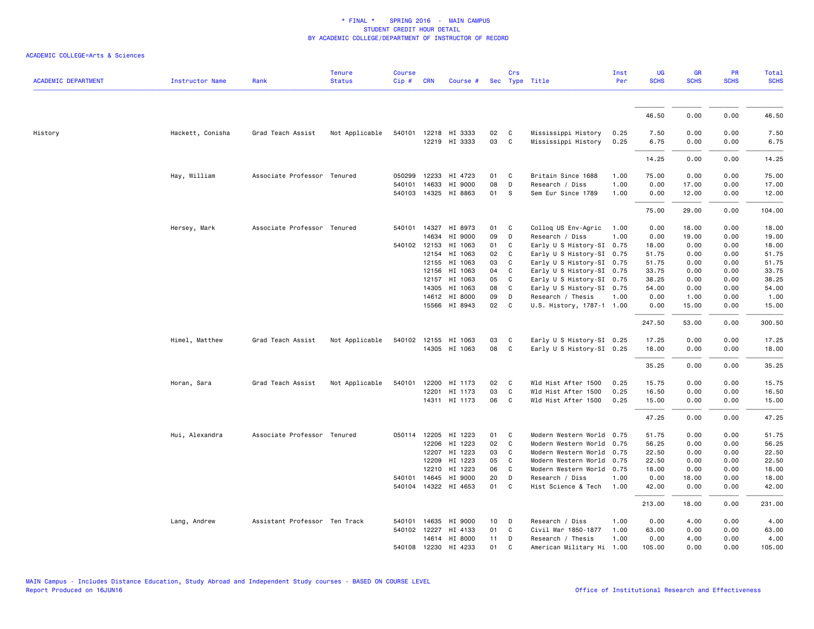|                            |                        |                               | <b>Tenure</b>  | <b>Course</b> |                |                                 |          | Crs               |                                                        | Inst         | UG            | <b>GR</b>     | PR           | Total          |
|----------------------------|------------------------|-------------------------------|----------------|---------------|----------------|---------------------------------|----------|-------------------|--------------------------------------------------------|--------------|---------------|---------------|--------------|----------------|
| <b>ACADEMIC DEPARTMENT</b> | <b>Instructor Name</b> | Rank                          | <b>Status</b>  | Cip#          | <b>CRN</b>     | Course #                        |          |                   | Sec Type Title                                         | Per          | <b>SCHS</b>   | <b>SCHS</b>   | <b>SCHS</b>  | <b>SCHS</b>    |
|                            |                        |                               |                |               |                |                                 |          |                   |                                                        |              |               |               |              |                |
|                            |                        |                               |                |               |                |                                 |          |                   |                                                        |              | 46.50         | 0.00          | 0.00         | 46.50          |
| History                    | Hackett, Conisha       | Grad Teach Assist             | Not Applicable |               |                | 540101 12218 HI 3333            | 02       | C                 | Mississippi History                                    | 0.25         | 7.50          | 0.00          | 0.00         | 7.50           |
|                            |                        |                               |                |               |                | 12219 HI 3333                   | 03       | $\mathbf{C}$      | Mississippi History                                    | 0.25         | 6.75          | 0.00          | 0.00         | 6.75           |
|                            |                        |                               |                |               |                |                                 |          |                   |                                                        |              | 14.25         | 0.00          | 0.00         | 14.25          |
|                            | Hay, William           | Associate Professor Tenured   |                | 050299        | 12233          | HI 4723                         | 01       | $\mathbf{C}$      | Britain Since 1688                                     | 1.00         | 75.00         | 0.00          | 0.00         | 75.00          |
|                            |                        |                               |                | 540101        | 14633          | HI 9000                         | 08       | D                 | Research / Diss                                        | 1.00         | 0.00          | 17.00         | 0.00         | 17.00          |
|                            |                        |                               |                | 540103        |                | 14325 HI 8863                   | 01       | -S                | Sem Eur Since 1789                                     | 1.00         | 0.00          | 12.00         | 0.00         | 12.00          |
|                            |                        |                               |                |               |                |                                 |          |                   |                                                        |              | 75.00         | 29.00         | 0.00         | 104.00         |
|                            | Hersey, Mark           | Associate Professor Tenured   |                |               | 540101 14327   | HI 8973                         | 01 C     |                   | Colloq US Env-Agric                                    | 1.00         | 0.00          | 18.00         | 0.00         | 18.00          |
|                            |                        |                               |                |               | 14634          | HI 9000                         | 09       | D                 | Research / Diss                                        | 1.00         | 0.00          | 19.00         | 0.00         | 19.00          |
|                            |                        |                               |                |               | 540102 12153   | HI 1063                         | 01       | $\mathbf{C}$      | Early U S History-SI 0.75                              |              | 18.00         | 0.00          | 0.00         | 18.00          |
|                            |                        |                               |                |               | 12154          | HI 1063                         | 02       | $\mathbf{C}$      | Early U S History-SI 0.75                              |              | 51.75         | 0.00          | 0.00         | 51.75          |
|                            |                        |                               |                |               | 12155          | HI 1063                         | 03       | C                 | Early U S History-SI 0.75                              |              | 51.75         | 0.00          | 0.00         | 51.75          |
|                            |                        |                               |                |               | 12156          | HI 1063                         | 04       | C                 | Early U S History-SI 0.75                              |              | 33.75         | 0.00          | 0.00         | 33.75          |
|                            |                        |                               |                |               | 12157          | HI 1063                         | 05       | $\mathbf{C}$      | Early U S History-SI 0.75                              |              | 38.25         | 0.00          | 0.00         | 38.25          |
|                            |                        |                               |                |               | 14305          | HI 1063                         | 08       | C                 | Early U S History-SI 0.75                              |              | 54.00         | 0.00          | 0.00         | 54.00          |
|                            |                        |                               |                |               |                | 14612 HI 8000                   | 09       | D                 | Research / Thesis                                      | 1.00         | 0.00          | 1.00          | 0.00         | 1.00           |
|                            |                        |                               |                |               |                | 15566 HI 8943                   | 02       | $\mathbf{C}$      | U.S. History, 1787-1 1.00                              |              | 0.00          | 15.00         | 0.00         | 15.00          |
|                            |                        |                               |                |               |                |                                 |          |                   |                                                        |              | 247.50        | 53.00         | 0.00         | 300.50         |
|                            | Himel, Matthew         | Grad Teach Assist             | Not Applicable |               |                | 540102 12155 HI 1063            | 03       | C                 | Early U S History-SI 0.25                              |              | 17.25         | 0.00          | 0.00         | 17.25          |
|                            |                        |                               |                |               |                | 14305 HI 1063                   | 08       | C                 | Early U S History-SI 0.25                              |              | 18.00         | 0.00          | 0.00         | 18.00          |
|                            |                        |                               |                |               |                |                                 |          |                   |                                                        |              | 35.25         | 0.00          | 0.00         | 35.25          |
|                            | Horan, Sara            | Grad Teach Assist             | Not Applicable |               |                | 540101 12200 HI 1173            | 02       | $\mathbf{C}$      | Wld Hist After 1500                                    | 0.25         | 15.75         | 0.00          | 0.00         | 15.75          |
|                            |                        |                               |                |               | 12201          | HI 1173                         | 03       | C                 | Wld Hist After 1500                                    | 0.25         | 16.50         | 0.00          | 0.00         | 16.50          |
|                            |                        |                               |                |               |                | 14311 HI 1173                   | 06       | $\mathbf{C}$      | Wld Hist After 1500                                    | 0.25         | 15.00         | 0.00          | 0.00         | 15.00          |
|                            |                        |                               |                |               |                |                                 |          |                   |                                                        |              | 47.25         | 0.00          | 0.00         | 47.25          |
|                            |                        | Associate Professor Tenured   |                |               |                | 050114 12205 HI 1223            | 01       | $\mathbf{C}$      |                                                        |              | 51.75         | 0.00          | 0.00         |                |
|                            | Hui, Alexandra         |                               |                |               |                |                                 | 02       | C                 | Modern Western World 0.75                              |              | 56.25         |               |              | 51.75<br>56.25 |
|                            |                        |                               |                |               | 12206<br>12207 | HI 1223<br>HI 1223              | 03       | C.                | Modern Western World 0.75<br>Modern Western World 0.75 |              | 22.50         | 0.00<br>0.00  | 0.00<br>0.00 | 22.50          |
|                            |                        |                               |                |               | 12209          | HI 1223                         | 05       | C.                |                                                        |              |               | 0.00          | 0.00         | 22.50          |
|                            |                        |                               |                |               |                |                                 |          | C                 | Modern Western World 0.75                              |              | 22.50         |               |              |                |
|                            |                        |                               |                |               | 12210          | HI 1223                         | 06       |                   | Modern Western World 0.75                              |              | 18.00         | 0.00          | 0.00         | 18.00          |
|                            |                        |                               |                | 540101        | 14645          | HI 9000<br>540104 14322 HI 4653 | 20<br>01 | D<br>$\mathbf{C}$ | Research / Diss<br>Hist Science & Tech                 | 1.00<br>1.00 | 0.00<br>42.00 | 18.00<br>0.00 | 0.00<br>0.00 | 18.00<br>42.00 |
|                            |                        |                               |                |               |                |                                 |          |                   |                                                        |              | 213.00        | 18.00         | 0.00         | 231.00         |
|                            |                        |                               |                |               |                |                                 |          |                   |                                                        |              |               |               |              |                |
|                            | Lang, Andrew           | Assistant Professor Ten Track |                | 540101        | 14635          | HI 9000                         | 10       | D                 | Research / Diss                                        | 1.00         | 0.00          | 4.00          | 0.00         | 4.00           |
|                            |                        |                               |                | 540102        |                | 12227 HI 4133                   | 01       | C.                | Civil War 1850-1877                                    | 1.00         | 63.00         | 0.00          | 0.00         | 63.00          |
|                            |                        |                               |                |               |                | 14614 HI 8000                   | 11       | D                 | Research / Thesis                                      | 1.00         | 0.00          | 4.00          | 0.00         | 4.00           |
|                            |                        |                               |                |               |                | 540108 12230 HI 4233            | 01       | C                 | American Military Hi 1.00                              |              | 105.00        | 0.00          | 0.00         | 105.00         |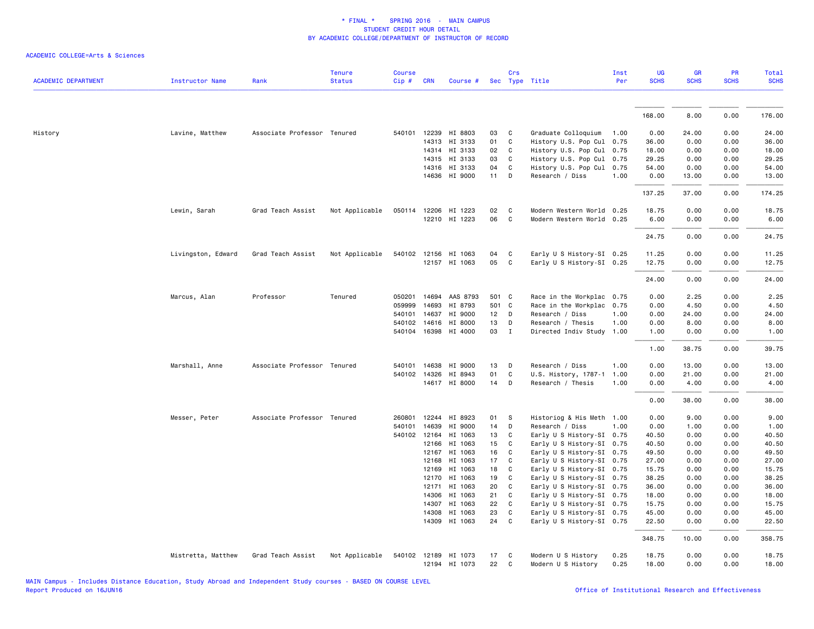| <b>ACADEMIC DEPARTMENT</b> | Instructor Name    | Rank                        | <b>Tenure</b><br><b>Status</b> | <b>Course</b><br>Cip# | <b>CRN</b>   | Course #                              |          | Crs               | Sec Type Title                           | Inst<br>Per  | UG<br><b>SCHS</b> | <b>GR</b><br><b>SCHS</b> | <b>PR</b><br><b>SCHS</b> | Total<br><b>SCHS</b> |
|----------------------------|--------------------|-----------------------------|--------------------------------|-----------------------|--------------|---------------------------------------|----------|-------------------|------------------------------------------|--------------|-------------------|--------------------------|--------------------------|----------------------|
|                            |                    |                             |                                |                       |              |                                       |          |                   |                                          |              |                   |                          |                          |                      |
|                            |                    |                             |                                |                       |              |                                       |          |                   |                                          |              | 168.00            | 8.00                     | 0.00                     | 176.00               |
| History                    | Lavine, Matthew    | Associate Professor Tenured |                                |                       | 540101 12239 | HI 8803                               | 03       | C                 | Graduate Colloquium                      | 1.00         | 0.00              | 24.00                    | 0.00                     | 24.00                |
|                            |                    |                             |                                |                       | 14313        | HI 3133                               | 01       | C                 | History U.S. Pop Cul 0.75                |              | 36.00             | 0.00                     | 0.00                     | 36.00                |
|                            |                    |                             |                                |                       |              | 14314 HI 3133                         | 02       | $\mathbf{C}$      | History U.S. Pop Cul 0.75                |              | 18.00             | 0.00                     | 0.00                     | 18.00                |
|                            |                    |                             |                                |                       |              | 14315 HI 3133                         | 03       | C                 | History U.S. Pop Cul 0.75                |              | 29.25             | 0.00                     | 0.00                     | 29.25                |
|                            |                    |                             |                                |                       |              | 14316 HI 3133                         | 04       | $\mathbf c$       | History U.S. Pop Cul 0.75                |              | 54.00             | 0.00                     | 0.00                     | 54.00                |
|                            |                    |                             |                                |                       |              | 14636 HI 9000                         | $11$ D   |                   | Research / Diss                          | 1.00         | 0.00              | 13.00                    | 0.00                     | 13.00                |
|                            |                    |                             |                                |                       |              |                                       |          |                   |                                          |              | 137.25            | 37.00                    | 0.00                     | 174.25               |
|                            | Lewin, Sarah       | Grad Teach Assist           | Not Applicable                 |                       |              | 050114 12206 HI 1223                  | 02       | C                 | Modern Western World 0.25                |              | 18.75             | 0.00                     | 0.00                     | 18.75                |
|                            |                    |                             |                                |                       |              | 12210 HI 1223                         | 06       | $\mathbf{C}$      | Modern Western World 0.25                |              | 6.00              | 0.00                     | 0.00                     | 6.00                 |
|                            |                    |                             |                                |                       |              |                                       |          |                   |                                          |              | 24.75             | 0.00                     | 0.00                     | 24.75                |
|                            | Livingston, Edward | Grad Teach Assist           | Not Applicable                 |                       |              | 540102 12156 HI 1063                  | 04       | C                 | Early U S History-SI 0.25                |              | 11.25             | 0.00                     | 0.00                     | 11.25                |
|                            |                    |                             |                                |                       |              | 12157 HI 1063                         | 05       | C                 | Early U S History-SI 0.25                |              | 12.75             | 0.00                     | 0.00                     | 12.75                |
|                            |                    |                             |                                |                       |              |                                       |          |                   |                                          |              | 24.00             | 0.00                     | 0.00                     | 24.00                |
|                            | Marcus, Alan       | Professor                   | Tenured                        |                       |              | 050201 14694 AAS 8793                 | 501 C    |                   | Race in the Workplac 0.75                |              | 0.00              | 2.25                     | 0.00                     | 2.25                 |
|                            |                    |                             |                                | 059999                | 14693        | HI 8793                               | 501 C    |                   | Race in the Workplac 0.75                |              | 0.00              | 4.50                     | 0.00                     | 4.50                 |
|                            |                    |                             |                                | 540101                | 14637        | HI 9000                               | 12       | D                 | Research / Diss                          | 1.00         | 0.00              | 24.00                    | 0.00                     | 24.00                |
|                            |                    |                             |                                |                       | 540102 14616 | HI 8000                               | 13       | D                 | Research / Thesis                        | 1.00         | 0.00              | 8.00                     | 0.00                     | 8.00                 |
|                            |                    |                             |                                |                       |              | 540104 16398 HI 4000                  | 03       | $\mathbf{I}$      | Directed Indiv Study 1.00                |              | 1.00              | 0.00                     | 0.00                     | 1.00                 |
|                            |                    |                             |                                |                       |              |                                       |          |                   |                                          |              | 1.00              | 38.75                    | 0.00                     | 39.75                |
|                            | Marshall, Anne     | Associate Professor Tenured |                                |                       | 540101 14638 | HI 9000                               | 13       | D                 | Research / Diss                          | 1.00         | 0.00              | 13.00                    | 0.00                     | 13.00                |
|                            |                    |                             |                                |                       | 540102 14326 | HI 8943                               | 01       | $\mathtt{C}$      | U.S. History, 1787-1 1.00                |              | 0.00              | 21.00                    | 0.00                     | 21.00                |
|                            |                    |                             |                                |                       |              | 14617 HI 8000                         | 14       | D                 | Research / Thesis                        | 1.00         | 0.00              | 4.00                     | 0.00                     | 4.00                 |
|                            |                    |                             |                                |                       |              |                                       |          |                   |                                          |              | 0.00              | 38.00                    | 0.00                     | 38.00                |
|                            | Messer, Peter      | Associate Professor Tenured |                                | 260801                | 12244        | HI 8923                               | 01       | -S                | Historiog & His Meth 1.00                |              | 0.00              | 9.00                     | 0.00                     | 9.00                 |
|                            |                    |                             |                                | 540101                | 14639        | HI 9000                               | 14       | D                 | Research / Diss                          | 1.00         | 0.00              | 1.00                     | 0.00                     | 1.00                 |
|                            |                    |                             |                                |                       | 540102 12164 | HI 1063                               | 13       | C                 | Early U S History-SI 0.75                |              | 40.50             | 0.00                     | 0.00                     | 40.50                |
|                            |                    |                             |                                |                       | 12166        | HI 1063                               | 15       | C                 | Early U S History-SI 0.75                |              | 40.50             | 0.00                     | 0.00                     | 40.50                |
|                            |                    |                             |                                |                       | 12167        | HI 1063                               | 16       | C                 | Early U S History-SI 0.75                |              | 49.50             | 0.00                     | 0.00                     | 49.50                |
|                            |                    |                             |                                |                       | 12168        | HI 1063                               | 17       | C                 | Early U S History-SI 0.75                |              | 27.00             | 0.00                     | 0.00                     | 27.00                |
|                            |                    |                             |                                |                       | 12169        | HI 1063                               | 18       | C                 | Early U S History-SI 0.75                |              | 15.75             | 0.00                     | 0.00                     | 15.75                |
|                            |                    |                             |                                |                       | 12170        | HI 1063                               | 19       | C                 | Early U S History-SI 0.75                |              | 38.25             | 0.00                     | 0.00                     | 38.25                |
|                            |                    |                             |                                |                       |              | 12171 HI 1063                         | 20       | C                 | Early U S History-SI 0.75                |              | 36.00             | 0.00                     | 0.00                     | 36.00                |
|                            |                    |                             |                                |                       | 14306        | HI 1063                               | 21       | C                 | Early U S History-SI 0.75                |              | 18.00             | 0.00                     | 0.00                     | 18.00                |
|                            |                    |                             |                                |                       | 14307        | HI 1063                               | 22       | $\mathbf{C}$      | Early U S History-SI 0.75                |              | 15.75             | 0.00                     | 0.00                     | 15.75                |
|                            |                    |                             |                                |                       | 14308        | HI 1063                               | 23       | C                 | Early U S History-SI 0.75                |              | 45.00             | 0.00                     | 0.00                     | 45.00                |
|                            |                    |                             |                                |                       |              | 14309 HI 1063                         | 24       | C                 | Early U S History-SI 0.75                |              | 22.50             | 0.00                     | 0.00                     | 22.50                |
|                            |                    |                             |                                |                       |              |                                       |          |                   |                                          |              | 348.75            | 10.00                    | 0.00                     | 358.75               |
|                            | Mistretta, Matthew | Grad Teach Assist           | Not Applicable                 |                       |              | 540102 12189 HI 1073<br>12194 HI 1073 | 17<br>22 | $\mathbf{C}$<br>C | Modern U S History<br>Modern U S History | 0.25<br>0.25 | 18.75<br>18.00    | 0.00<br>0.00             | 0.00<br>0.00             | 18.75<br>18.00       |
|                            |                    |                             |                                |                       |              |                                       |          |                   |                                          |              |                   |                          |                          |                      |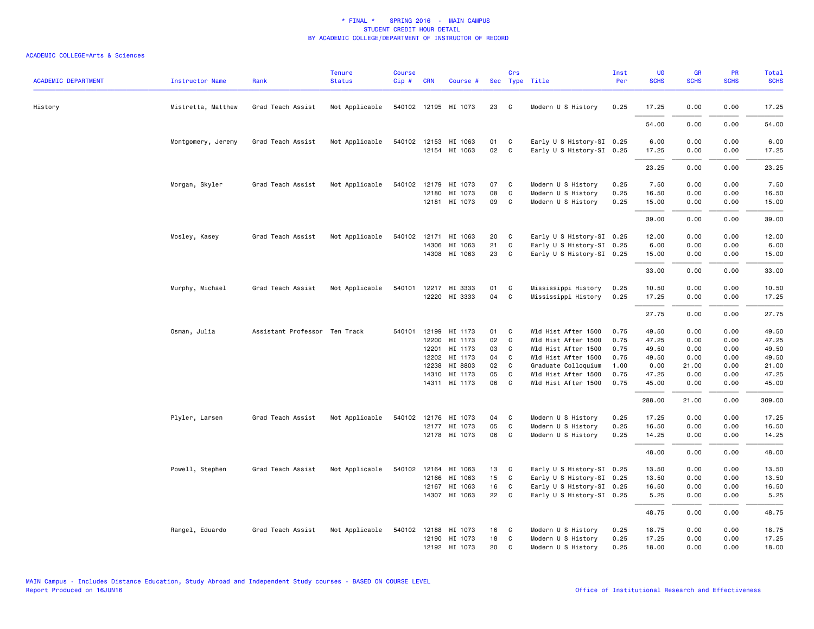| <b>ACADEMIC DEPARTMENT</b> | <b>Instructor Name</b> | Rank                          | <b>Tenure</b><br><b>Status</b> | <b>Course</b><br>$Cip$ # | <b>CRN</b>     | Course #                 |          | Crs                                     | Sec Type Title                             | Inst<br>Per  | <b>UG</b><br><b>SCHS</b> | GR<br><b>SCHS</b> | PR<br><b>SCHS</b> | Total<br><b>SCHS</b> |
|----------------------------|------------------------|-------------------------------|--------------------------------|--------------------------|----------------|--------------------------|----------|-----------------------------------------|--------------------------------------------|--------------|--------------------------|-------------------|-------------------|----------------------|
| History                    | Mistretta, Matthew     | Grad Teach Assist             | Not Applicable                 |                          |                | 540102 12195 HI 1073     | 23       | $\overline{\phantom{a}}$ C              | Modern U S History                         | 0.25         | 17.25                    | 0.00              | 0.00              | 17.25                |
|                            |                        |                               |                                |                          |                |                          |          |                                         |                                            |              | 54.00                    | 0.00              | 0.00              | 54.00                |
|                            | Montgomery, Jeremy     | Grad Teach Assist             | Not Applicable                 |                          |                | 540102 12153 HI 1063     | 01       | $\overline{\mathbf{C}}$                 | Early U S History-SI 0.25                  |              | 6.00                     | 0.00              | 0.00              | 6.00                 |
|                            |                        |                               |                                |                          |                | 12154 HI 1063            | 02       | $\mathbf{C}$                            | Early U S History-SI 0.25                  |              | 17.25                    | 0.00              | 0.00              | 17.25                |
|                            |                        |                               |                                |                          |                |                          |          |                                         |                                            |              | 23.25                    | 0.00              | 0.00              | 23.25                |
|                            | Morgan, Skyler         | Grad Teach Assist             | Not Applicable                 |                          |                | 540102 12179 HI 1073     | 07       | $\mathbf{C}$                            | Modern U S History                         | 0.25         | 7.50                     | 0.00              | 0.00              | 7.50                 |
|                            |                        |                               |                                |                          | 12180          | HI 1073<br>12181 HI 1073 | 08<br>09 | $\mathbf{C}$<br>$\overline{\mathbf{C}}$ | Modern U S History<br>Modern U S History   | 0.25<br>0.25 | 16.50<br>15.00           | 0.00<br>0.00      | 0.00<br>0.00      | 16.50<br>15.00       |
|                            |                        |                               |                                |                          |                |                          |          |                                         |                                            |              | 39.00                    | 0.00              | 0.00              | 39.00                |
|                            | Mosley, Kasey          | Grad Teach Assist             | Not Applicable                 |                          |                | 540102 12171 HI 1063     | 20       | C                                       | Early U S History-SI 0.25                  |              | 12.00                    | 0.00              | 0.00              | 12.00                |
|                            |                        |                               |                                |                          | 14306          | HI 1063                  | 21       | C                                       | Early U S History-SI 0.25                  |              | 6.00                     | 0.00              | 0.00              | 6.00                 |
|                            |                        |                               |                                |                          |                | 14308 HI 1063            | 23 C     |                                         | Early U S History-SI 0.25                  |              | 15.00                    | 0.00              | 0.00              | 15.00                |
|                            |                        |                               |                                |                          |                |                          |          |                                         |                                            |              | 33.00                    | 0.00              | 0.00              | 33.00                |
|                            | Murphy, Michael        | Grad Teach Assist             | Not Applicable                 | 540101                   | 12217          | HI 3333                  | 01       | $\mathbf{C}$                            | Mississippi History                        | 0.25         | 10.50                    | 0.00              | 0.00              | 10.50                |
|                            |                        |                               |                                |                          |                | 12220 HI 3333            | 04       | $\mathbf{C}$                            | Mississippi History                        | 0.25         | 17.25                    | 0.00              | 0.00              | 17.25                |
|                            |                        |                               |                                |                          |                |                          |          |                                         |                                            |              | 27.75                    | 0.00              | 0.00              | 27.75                |
|                            | Osman, Julia           | Assistant Professor Ten Track |                                | 540101 12199             |                | HI 1173                  | 01 C     |                                         | Wld Hist After 1500                        | 0.75         | 49.50                    | 0.00              | 0.00              | 49.50                |
|                            |                        |                               |                                |                          | 12200          | HI 1173                  | 02       | $\mathbf{C}$                            | Wld Hist After 1500                        | 0.75         | 47.25                    | 0.00              | 0.00              | 47.25                |
|                            |                        |                               |                                |                          | 12201          | HI 1173                  | 03       | $\mathbf{C}$                            | Wld Hist After 1500                        | 0.75         | 49.50                    | 0.00              | 0.00              | 49.50                |
|                            |                        |                               |                                |                          | 12202          | HI 1173                  | 04       | $\mathbf{C}$                            | Wld Hist After 1500                        | 0.75         | 49.50                    | 0.00              | 0.00              | 49.50                |
|                            |                        |                               |                                |                          | 12238<br>14310 | HI 8803<br>HI 1173       | 02<br>05 | C.<br>$\mathbf{C}$                      | Graduate Colloquium<br>Wld Hist After 1500 | 1.00<br>0.75 | 0.00<br>47.25            | 21.00<br>0.00     | 0.00<br>0.00      | 21.00<br>47.25       |
|                            |                        |                               |                                |                          |                | 14311 HI 1173            | 06 C     |                                         | Wld Hist After 1500                        | 0.75         | 45.00                    | 0.00              | 0.00              | 45.00                |
|                            |                        |                               |                                |                          |                |                          |          |                                         |                                            |              | 288.00                   | 21.00             | 0.00              | 309.00               |
|                            | Plyler, Larsen         | Grad Teach Assist             | Not Applicable                 | 540102 12176             |                | HI 1073                  | 04       | $\mathbf{C}$                            | Modern U S History                         | 0.25         | 17.25                    | 0.00              | 0.00              | 17.25                |
|                            |                        |                               |                                |                          |                | 12177 HI 1073            | 05       | $\mathbf{C}$                            | Modern U S History                         | 0.25         | 16.50                    | 0.00              | 0.00              | 16.50                |
|                            |                        |                               |                                |                          |                | 12178 HI 1073            | 06 C     |                                         | Modern U S History                         | 0.25         | 14.25                    | 0.00              | 0.00              | 14.25                |
|                            |                        |                               |                                |                          |                |                          |          |                                         |                                            |              | 48.00                    | 0.00              | 0.00              | 48.00                |
|                            | Powell, Stephen        | Grad Teach Assist             | Not Applicable                 |                          |                | 540102 12164 HI 1063     | 13       | $\mathbf{C}$                            | Early U S History-SI 0.25                  |              | 13.50                    | 0.00              | 0.00              | 13.50                |
|                            |                        |                               |                                |                          | 12166          | HI 1063                  | 15       | $\overline{\mathbf{C}}$                 | Early U S History-SI 0.25                  |              | 13.50                    | 0.00              | 0.00              | 13.50                |
|                            |                        |                               |                                |                          |                | 12167 HI 1063            | 16       | $\overline{c}$                          | Early U S History-SI 0.25                  |              | 16.50                    | 0.00              | 0.00              | 16.50                |
|                            |                        |                               |                                |                          |                | 14307 HI 1063            | 22       | $\mathbf{C}$                            | Early U S History-SI 0.25                  |              | 5.25                     | 0.00              | 0.00              | 5.25                 |
|                            |                        |                               |                                |                          |                |                          |          |                                         |                                            |              | 48.75                    | 0.00              | 0.00              | 48.75                |
|                            | Rangel, Eduardo        | Grad Teach Assist             | Not Applicable                 | 540102 12188             |                | HI 1073                  | 16       | $\mathbf{C}$                            | Modern U S History                         | 0.25         | 18.75                    | 0.00              | 0.00              | 18.75                |
|                            |                        |                               |                                |                          |                | 12190 HI 1073            | 18       | C                                       | Modern U S History                         | 0.25         | 17.25                    | 0.00              | 0.00              | 17.25                |
|                            |                        |                               |                                |                          |                | 12192 HI 1073            | 20       | C                                       | Modern U S History                         | 0.25         | 18.00                    | 0.00              | 0.00              | 18.00                |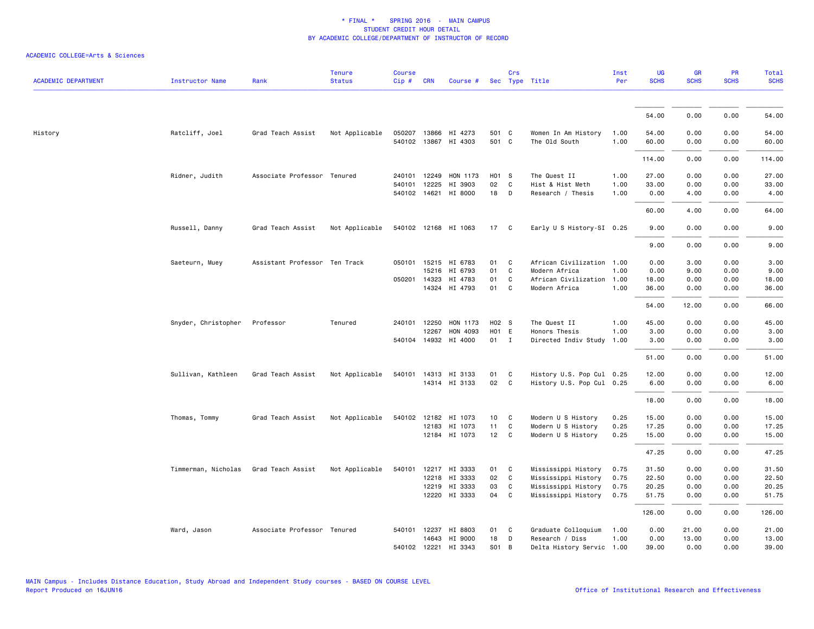| <b>ACADEMIC DEPARTMENT</b> | <b>Instructor Name</b> | Rank                          | <b>Tenure</b><br><b>Status</b> | <b>Course</b><br>$Cip \#$ | <b>CRN</b>   | Course #             |       | Crs          | Sec Type Title            | Inst<br>Per | UG<br><b>SCHS</b> | <b>GR</b><br><b>SCHS</b> | <b>PR</b><br><b>SCHS</b> | Total<br><b>SCHS</b> |
|----------------------------|------------------------|-------------------------------|--------------------------------|---------------------------|--------------|----------------------|-------|--------------|---------------------------|-------------|-------------------|--------------------------|--------------------------|----------------------|
|                            |                        |                               |                                |                           |              |                      |       |              |                           |             |                   |                          |                          |                      |
|                            |                        |                               |                                |                           |              |                      |       |              |                           |             | 54.00             | 0.00                     | 0.00                     | 54.00                |
| History                    | Ratcliff, Joel         | Grad Teach Assist             | Not Applicable                 |                           | 050207 13866 | HI 4273              | 501 C |              | Women In Am History       | 1.00        | 54.00             | 0.00                     | 0.00                     | 54.00                |
|                            |                        |                               |                                |                           |              | 540102 13867 HI 4303 | 501 C |              | The Old South             | 1.00        | 60.00             | 0.00                     | 0.00                     | 60.00                |
|                            |                        |                               |                                |                           |              |                      |       |              |                           |             | 114.00            | 0.00                     | 0.00                     | 114.00               |
|                            | Ridner, Judith         | Associate Professor Tenured   |                                | 240101                    | 12249        | HON 1173             | H01 S |              | The Quest II              | 1.00        | 27.00             | 0.00                     | 0.00                     | 27.00                |
|                            |                        |                               |                                | 540101                    | 12225        | HI 3903              | 02    | C            | Hist & Hist Meth          | 1.00        | 33.00             | 0.00                     | 0.00                     | 33.00                |
|                            |                        |                               |                                |                           | 540102 14621 | HI 8000              | 18    | D            | Research / Thesis         | 1.00        | 0.00              | 4.00                     | 0.00                     | 4.00                 |
|                            |                        |                               |                                |                           |              |                      |       |              |                           |             | 60.00             | 4.00                     | 0.00                     | 64.00                |
|                            | Russell, Danny         | Grad Teach Assist             | Not Applicable                 |                           |              | 540102 12168 HI 1063 | 17 C  |              | Early U S History-SI 0.25 |             | 9.00              | 0.00                     | 0.00                     | 9.00                 |
|                            |                        |                               |                                |                           |              |                      |       |              |                           |             | 9.00              | 0.00                     | 0.00                     | 9.00                 |
|                            | Saeteurn, Muey         | Assistant Professor Ten Track |                                |                           |              | 050101 15215 HI 6783 | 01    | C            | African Civilization 1.00 |             | 0.00              | 3.00                     | 0.00                     | 3.00                 |
|                            |                        |                               |                                |                           | 15216        | HI 6793              | 01    | C            | Modern Africa             | 1.00        | 0.00              | 9.00                     | 0.00                     | 9.00                 |
|                            |                        |                               |                                | 050201                    | 14323        | HI 4783              | 01    | C            | African Civilization      | 1.00        | 18.00             | 0.00                     | 0.00                     | 18.00                |
|                            |                        |                               |                                |                           |              | 14324 HI 4793        | 01    | C            | Modern Africa             | 1.00        | 36.00             | 0.00                     | 0.00                     | 36.00                |
|                            |                        |                               |                                |                           |              |                      |       |              |                           |             | 54.00             | 12.00                    | 0.00                     | 66.00                |
|                            | Snyder, Christopher    | Professor                     | Tenured                        |                           | 240101 12250 | HON 1173             | H02 S |              | The Quest II              | 1.00        | 45.00             | 0.00                     | 0.00                     | 45.00                |
|                            |                        |                               |                                |                           | 12267        | HON 4093             | H01 E |              | Honors Thesis             | 1.00        | 3.00              | 0.00                     | 0.00                     | 3.00                 |
|                            |                        |                               |                                |                           |              | 540104 14932 HI 4000 | 01    | $\mathbf{I}$ | Directed Indiv Study      | 1.00        | 3.00              | 0.00                     | 0.00                     | 3.00                 |
|                            |                        |                               |                                |                           |              |                      |       |              |                           |             | 51.00             | 0.00                     | 0.00                     | 51.00                |
|                            | Sullivan, Kathleen     | Grad Teach Assist             | Not Applicable                 |                           |              | 540101 14313 HI 3133 | 01    | <b>C</b>     | History U.S. Pop Cul 0.25 |             | 12.00             | 0.00                     | 0.00                     | 12.00                |
|                            |                        |                               |                                |                           |              | 14314 HI 3133        | 02    | $\mathbf{C}$ | History U.S. Pop Cul 0.25 |             | 6.00              | 0.00                     | 0.00                     | 6.00                 |
|                            |                        |                               |                                |                           |              |                      |       |              |                           |             | 18.00             | 0.00                     | 0.00                     | 18.00                |
|                            | Thomas, Tommy          | Grad Teach Assist             | Not Applicable                 | 540102 12182              |              | HI 1073              | 10    | C            | Modern U S History        | 0.25        | 15.00             | 0.00                     | 0.00                     | 15.00                |
|                            |                        |                               |                                |                           | 12183        | HI 1073              | 11    | C            | Modern U S History        | 0.25        | 17.25             | 0.00                     | 0.00                     | 17.25                |
|                            |                        |                               |                                |                           |              | 12184 HI 1073        | 12    | $\mathbf{C}$ | Modern U S History        | 0.25        | 15.00             | 0.00                     | 0.00                     | 15.00                |
|                            |                        |                               |                                |                           |              |                      |       |              |                           |             | 47.25             | 0.00                     | 0.00                     | 47.25                |
|                            | Timmerman, Nicholas    | Grad Teach Assist             | Not Applicable                 | 540101                    |              | 12217 HI 3333        | 01    | C            | Mississippi History       | 0.75        | 31.50             | 0.00                     | 0.00                     | 31.50                |
|                            |                        |                               |                                |                           |              | 12218 HI 3333        | 02    | C            | Mississippi History       | 0.75        | 22.50             | 0.00                     | 0.00                     | 22.50                |
|                            |                        |                               |                                |                           | 12219        | HI 3333              | 03    | C            | Mississippi History       | 0.75        | 20.25             | 0.00                     | 0.00                     | 20.25                |
|                            |                        |                               |                                |                           |              | 12220 HI 3333        | 04    | C            | Mississippi History       | 0.75        | 51.75             | 0.00                     | 0.00                     | 51.75                |
|                            |                        |                               |                                |                           |              |                      |       |              |                           |             | 126.00            | 0.00                     | 0.00                     | 126.00               |
|                            | Ward, Jason            | Associate Professor Tenured   |                                |                           |              | 540101 12237 HI 8803 | 01    | C            | Graduate Colloquium       | 1.00        | 0.00              | 21.00                    | 0.00                     | 21.00                |
|                            |                        |                               |                                |                           | 14643        | HI 9000              | 18    | D            | Research / Diss           | 1.00        | 0.00              | 13.00                    | 0.00                     | 13.00                |
|                            |                        |                               |                                |                           |              | 540102 12221 HI 3343 | S01   | B            | Delta History Servic 1.00 |             | 39.00             | 0.00                     | 0.00                     | 39.00                |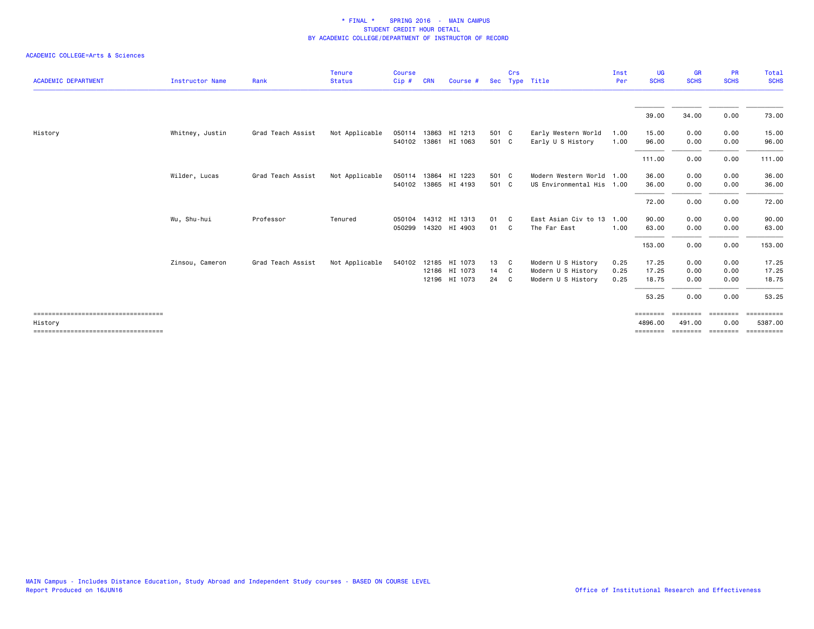|                                                 |                        |                   | <b>Tenure</b>  | <b>Course</b> |            |                      |       | Crs            |                           | Inst | UG                  | <b>GR</b>          | <b>PR</b>        | Total                                                                                                                                                                                                                                                                                                                                                                                                                                          |
|-------------------------------------------------|------------------------|-------------------|----------------|---------------|------------|----------------------|-------|----------------|---------------------------|------|---------------------|--------------------|------------------|------------------------------------------------------------------------------------------------------------------------------------------------------------------------------------------------------------------------------------------------------------------------------------------------------------------------------------------------------------------------------------------------------------------------------------------------|
| <b>ACADEMIC DEPARTMENT</b>                      | <b>Instructor Name</b> | Rank              | <b>Status</b>  | Cip#          | <b>CRN</b> | Course #             |       |                | Sec Type Title            | Per  | <b>SCHS</b>         | <b>SCHS</b>        | <b>SCHS</b>      | <b>SCHS</b>                                                                                                                                                                                                                                                                                                                                                                                                                                    |
|                                                 |                        |                   |                |               |            |                      |       |                |                           |      | 39.00               | 34.00              | 0.00             | 73.00                                                                                                                                                                                                                                                                                                                                                                                                                                          |
| History                                         | Whitney, Justin        | Grad Teach Assist | Not Applicable | 050114 13863  |            | HI 1213              | 501 C |                | Early Western World       | 1.00 | 15.00               | 0.00               | 0.00             | 15.00                                                                                                                                                                                                                                                                                                                                                                                                                                          |
|                                                 |                        |                   |                |               |            | 540102 13861 HI 1063 | 501 C |                | Early U S History         | 1.00 | 96.00               | 0.00               | 0.00             | 96.00                                                                                                                                                                                                                                                                                                                                                                                                                                          |
|                                                 |                        |                   |                |               |            |                      |       |                |                           |      | 111.00              | 0.00               | 0.00             | 111.00                                                                                                                                                                                                                                                                                                                                                                                                                                         |
|                                                 | Wilder, Lucas          | Grad Teach Assist | Not Applicable |               |            | 050114 13864 HI 1223 | 501 C |                | Modern Western World 1.00 |      | 36.00               | 0.00               | 0.00             | 36.00                                                                                                                                                                                                                                                                                                                                                                                                                                          |
|                                                 |                        |                   |                |               |            | 540102 13865 HI 4193 | 501 C |                | US Environmental His 1.00 |      | 36.00               | 0.00               | 0.00             | 36.00                                                                                                                                                                                                                                                                                                                                                                                                                                          |
|                                                 |                        |                   |                |               |            |                      |       |                |                           |      | 72.00               | 0.00               | 0.00             | 72.00                                                                                                                                                                                                                                                                                                                                                                                                                                          |
|                                                 | Wu, Shu-hui            | Professor         | Tenured        | 050104        |            | 14312 HI 1313        | 01    | C <sub>c</sub> | East Asian Civ to 13      | 1.00 | 90.00               | 0.00               | 0.00             | 90.00                                                                                                                                                                                                                                                                                                                                                                                                                                          |
|                                                 |                        |                   |                | 050299        |            | 14320 HI 4903        | 01    | C.             | The Far East              | 1.00 | 63.00               | 0.00               | 0.00             | 63.00                                                                                                                                                                                                                                                                                                                                                                                                                                          |
|                                                 |                        |                   |                |               |            |                      |       |                |                           |      | 153.00              | 0.00               | 0.00             | 153.00                                                                                                                                                                                                                                                                                                                                                                                                                                         |
|                                                 | Zinsou, Cameron        | Grad Teach Assist | Not Applicable | 540102        | 12185      | HI 1073              | 13    | C.             | Modern U S History        | 0.25 | 17.25               | 0.00               | 0.00             | 17.25                                                                                                                                                                                                                                                                                                                                                                                                                                          |
|                                                 |                        |                   |                |               |            | 12186 HI 1073        | 14    | - C            | Modern U S History        | 0.25 | 17.25               | 0.00               | 0.00             | 17.25                                                                                                                                                                                                                                                                                                                                                                                                                                          |
|                                                 |                        |                   |                |               |            | 12196 HI 1073        | 24    | - C            | Modern U S History        | 0.25 | 18.75               | 0.00               | 0.00             | 18.75                                                                                                                                                                                                                                                                                                                                                                                                                                          |
|                                                 |                        |                   |                |               |            |                      |       |                |                           |      | 53.25               | 0.00               | 0.00             | 53.25                                                                                                                                                                                                                                                                                                                                                                                                                                          |
| ====================================<br>History |                        |                   |                |               |            |                      |       |                |                           |      | ========<br>4896.00 | ========<br>491.00 | ========<br>0.00 | $\begin{minipage}{0.03\linewidth} \hspace*{-0.2cm} \textbf{1} & \textbf{2} & \textbf{3} & \textbf{5} & \textbf{6} \\ \textbf{5} & \textbf{6} & \textbf{7} & \textbf{8} & \textbf{8} & \textbf{9} \\ \textbf{1} & \textbf{1} & \textbf{1} & \textbf{1} & \textbf{1} & \textbf{1} \\ \textbf{2} & \textbf{1} & \textbf{1} & \textbf{1} & \textbf{1} & \textbf{1} \\ \textbf{3} & \textbf{1} & \textbf{1} & \textbf{1} & \textbf{1} &$<br>5387.00 |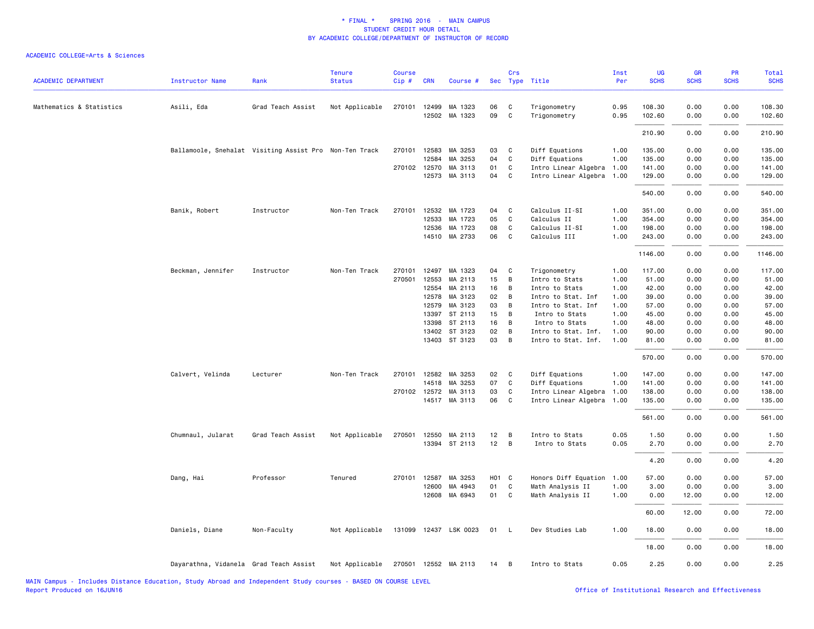| <b>ACADEMIC DEPARTMENT</b> | <b>Instructor Name</b>                                 | Rank              | <b>Tenure</b><br><b>Status</b> | Course<br>Cip# | <b>CRN</b>     | Course #              |                   | Crs          | Sec Type Title               | Inst<br>Per  | UG<br><b>SCHS</b> | GR<br><b>SCHS</b> | <b>PR</b><br><b>SCHS</b> | <b>Total</b><br><b>SCHS</b> |
|----------------------------|--------------------------------------------------------|-------------------|--------------------------------|----------------|----------------|-----------------------|-------------------|--------------|------------------------------|--------------|-------------------|-------------------|--------------------------|-----------------------------|
|                            |                                                        |                   |                                |                |                |                       | 06                |              |                              |              | 108.30            |                   |                          |                             |
| Mathematics & Statistics   | Asili, Eda                                             | Grad Teach Assist | Not Applicable                 | 270101         | 12499<br>12502 | MA 1323<br>MA 1323    | 09                | C<br>C       | Trigonometry<br>Trigonometry | 0.95<br>0.95 | 102.60            | 0.00<br>0.00      | 0.00<br>0.00             | 108.30<br>102.60            |
|                            |                                                        |                   |                                |                |                |                       |                   |              |                              |              | 210.90            | 0.00              | 0.00                     | 210.90                      |
|                            | Ballamoole, Snehalat Visiting Assist Pro Non-Ten Track |                   |                                |                | 270101 12583   | MA 3253               | 03                | C            | Diff Equations               | 1.00         | 135.00            | 0.00              | 0.00                     | 135.00                      |
|                            |                                                        |                   |                                |                | 12584          | MA 3253               | 04                | C            | Diff Equations               | 1.00         | 135.00            | 0.00              | 0.00                     | 135.00                      |
|                            |                                                        |                   |                                |                | 270102 12570   | MA 3113               | 01                | C            | Intro Linear Algebra         | 1.00         | 141.00            | 0.00              | 0.00                     | 141.00                      |
|                            |                                                        |                   |                                |                |                | 12573 MA 3113         | 04                | C            | Intro Linear Algebra         | 1.00         | 129.00            | 0.00              | 0.00                     | 129.00                      |
|                            |                                                        |                   |                                |                |                |                       |                   |              |                              |              | 540.00            | 0.00              | 0.00                     | 540.00                      |
|                            | Banik, Robert                                          | Instructor        | Non-Ten Track                  | 270101         | 12532          | MA 1723               | 04                | C            | Calculus II-SI               | 1.00         | 351.00            | 0.00              | 0.00                     | 351.00                      |
|                            |                                                        |                   |                                |                | 12533          | MA 1723               | 05                | C            | Calculus II                  | 1.00         | 354.00            | 0.00              | 0.00                     | 354.00                      |
|                            |                                                        |                   |                                |                | 12536          | MA 1723               | 08                | C            | Calculus II-SI               | 1.00         | 198.00            | 0.00              | 0.00                     | 198.00                      |
|                            |                                                        |                   |                                |                |                | 14510 MA 2733         | 06                | C            | Calculus III                 | 1.00         | 243.00            | 0.00              | 0.00                     | 243.00                      |
|                            |                                                        |                   |                                |                |                |                       |                   |              |                              |              | 1146.00           | 0.00              | 0.00                     | 1146.00                     |
|                            | Beckman, Jennifer                                      | Instructor        | Non-Ten Track                  | 270101         | 12497          | MA 1323               | 04                | C            | Trigonometry                 | 1.00         | 117.00            | 0.00              | 0.00                     | 117.00                      |
|                            |                                                        |                   |                                | 270501         | 12553          | MA 2113               | 15                | B            | Intro to Stats               | 1.00         | 51.00             | 0.00              | 0.00                     | 51.00                       |
|                            |                                                        |                   |                                |                | 12554          | MA 2113               | 16                | B            | Intro to Stats               | 1.00         | 42.00             | 0.00              | 0.00                     | 42.00                       |
|                            |                                                        |                   |                                |                | 12578          | MA 3123               | 02                | B            | Intro to Stat. Inf           | 1.00         | 39.00             | 0.00              | 0.00                     | 39.00                       |
|                            |                                                        |                   |                                |                | 12579          | MA 3123               | 03                | B            | Intro to Stat. Inf           | 1.00         | 57.00             | 0.00              | 0.00                     | 57.00                       |
|                            |                                                        |                   |                                |                | 13397          | ST 2113               | 15                | B            | Intro to Stats               | 1.00         | 45.00             | 0.00              | 0.00                     | 45.00                       |
|                            |                                                        |                   |                                |                | 13398          | ST 2113               | 16                | B            | Intro to Stats               | 1.00         | 48.00             | 0.00              | 0.00                     | 48.00                       |
|                            |                                                        |                   |                                |                | 13402          | ST 3123               | 02                | B            | Intro to Stat. Inf.          | 1.00         | 90.00             | 0.00              | 0.00                     | 90.00                       |
|                            |                                                        |                   |                                |                |                | 13403 ST 3123         | 03                | B            | Intro to Stat. Inf.          | 1.00         | 81.00             | 0.00              | 0.00                     | 81.00                       |
|                            |                                                        |                   |                                |                |                |                       |                   |              |                              |              | 570.00            | 0.00              | 0.00                     | 570.00                      |
|                            | Calvert, Velinda                                       | Lecturer          | Non-Ten Track                  | 270101         |                | 12582 MA 3253         | 02                | C            | Diff Equations               | 1.00         | 147.00            | 0.00              | 0.00                     | 147.00                      |
|                            |                                                        |                   |                                |                | 14518          | MA 3253               | 07                | C            | Diff Equations               | 1.00         | 141.00            | 0.00              | 0.00                     | 141.00                      |
|                            |                                                        |                   |                                |                | 270102 12572   | MA 3113               | 03                | C            | Intro Linear Algebra         | 1.00         | 138.00            | 0.00              | 0.00                     | 138.00                      |
|                            |                                                        |                   |                                |                |                | 14517 MA 3113         | 06                | C            | Intro Linear Algebra         | 1.00         | 135.00            | 0.00              | 0.00                     | 135.00                      |
|                            |                                                        |                   |                                |                |                |                       |                   |              |                              |              | 561.00            | 0.00              | 0.00                     | 561.00                      |
|                            | Chumnaul, Jularat                                      | Grad Teach Assist | Not Applicable                 | 270501         | 12550          | MA 2113               | 12                | B            | Intro to Stats               | 0.05         | 1.50              | 0.00              | 0.00                     | 1.50                        |
|                            |                                                        |                   |                                |                |                | 13394 ST 2113         | 12                | B            | Intro to Stats               | 0.05         | 2.70              | 0.00              | 0.00                     | 2.70                        |
|                            |                                                        |                   |                                |                |                |                       |                   |              |                              |              | 4.20              | 0.00              | 0.00                     | 4.20                        |
|                            | Dang, Hai                                              | Professor         | Tenured                        | 270101         | 12587          | MA 3253               | H <sub>01</sub> C |              | Honors Diff Equation         | 1.00         | 57.00             | 0.00              | 0.00                     | 57.00                       |
|                            |                                                        |                   |                                |                | 12600          | MA 4943               | 01                | C            | Math Analysis II             | 1.00         | 3.00              | 0.00              | 0.00                     | 3.00                        |
|                            |                                                        |                   |                                |                | 12608          | MA 6943               | 01                | C            | Math Analysis II             | 1.00         | 0.00              | 12.00             | 0.00                     | 12.00                       |
|                            |                                                        |                   |                                |                |                |                       |                   |              |                              |              | 60.00             | 12.00             | 0.00                     | 72.00                       |
|                            | Daniels, Diane                                         | Non-Faculty       | Not Applicable                 |                |                | 131099 12437 LSK 0023 | 01                | $\mathsf{L}$ | Dev Studies Lab              | 1.00         | 18.00             | 0.00              | 0.00                     | 18.00                       |
|                            |                                                        |                   |                                |                |                |                       |                   |              |                              |              | 18.00             | 0.00              | 0.00                     | 18.00                       |
|                            | Dayarathna, Vidanela Grad Teach Assist                 |                   | Not Applicable                 |                |                | 270501 12552 MA 2113  | 14                | В            | Intro to Stats               | 0.05         | 2.25              | 0.00              | 0.00                     | 2.25                        |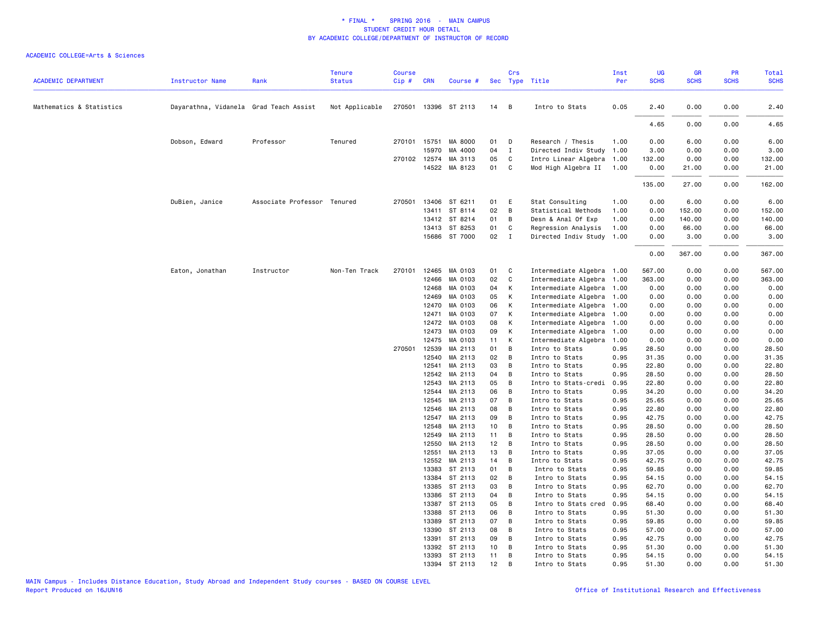|                            |                                        |                             | <b>Tenure</b>  | <b>Course</b> |              |                      |      | Crs            |                           | Inst | <b>UG</b>   | <b>GR</b>   | PR          | Total       |
|----------------------------|----------------------------------------|-----------------------------|----------------|---------------|--------------|----------------------|------|----------------|---------------------------|------|-------------|-------------|-------------|-------------|
| <b>ACADEMIC DEPARTMENT</b> | <b>Instructor Name</b>                 | Rank                        | <b>Status</b>  | Cip#          | <b>CRN</b>   | Course #             |      |                | Sec Type Title            | Per  | <b>SCHS</b> | <b>SCHS</b> | <b>SCHS</b> | <b>SCHS</b> |
| Mathematics & Statistics   | Dayarathna, Vidanela Grad Teach Assist |                             | Not Applicable |               |              | 270501 13396 ST 2113 | 14   | $\overline{B}$ | Intro to Stats            | 0.05 | 2.40        | 0.00        | 0.00        | 2.40        |
|                            |                                        |                             |                |               |              |                      |      |                |                           |      |             |             |             |             |
|                            |                                        |                             |                |               |              |                      |      |                |                           |      | 4.65        | 0.00        | 0.00        | 4.65        |
|                            | Dobson, Edward                         | Professor                   | Tenured        |               | 270101 15751 | MA 8000              | 01   | $\mathsf{D}$   | Research / Thesis         | 1.00 | 0.00        | 6.00        | 0.00        | 6.00        |
|                            |                                        |                             |                |               | 15970        | MA 4000              | 04   | $\blacksquare$ | Directed Indiv Study 1.00 |      | 3.00        | 0.00        | 0.00        | 3.00        |
|                            |                                        |                             |                |               | 270102 12574 | MA 3113              | 05   | C              | Intro Linear Algebra 1.00 |      | 132.00      | 0.00        | 0.00        | 132.00      |
|                            |                                        |                             |                |               |              | 14522 MA 8123        | 01 C |                | Mod High Algebra II 1.00  |      | 0.00        | 21.00       | 0.00        | 21.00       |
|                            |                                        |                             |                |               |              |                      |      |                |                           |      | 135.00      | 27.00       | 0.00        | 162.00      |
|                            | DuBien, Janice                         | Associate Professor Tenured |                | 270501        | 13406        | ST 6211              | 01   | E              | Stat Consulting           | 1.00 | 0.00        | 6.00        | 0.00        | 6.00        |
|                            |                                        |                             |                |               |              | 13411 ST 8114        | 02   | $\overline{B}$ | Statistical Methods       | 1.00 | 0.00        | 152.00      | 0.00        | 152.00      |
|                            |                                        |                             |                |               |              | 13412 ST 8214        | 01   | B              | Desn & Anal Of Exp        | 1.00 | 0.00        | 140.00      | 0.00        | 140.00      |
|                            |                                        |                             |                |               |              | 13413 ST 8253        | 01   | C              | Regression Analysis       | 1.00 | 0.00        | 66.00       | 0.00        | 66.00       |
|                            |                                        |                             |                |               |              | 15686 ST 7000        | 02   | $\mathbf{I}$   | Directed Indiv Study 1.00 |      | 0.00        | 3.00        | 0.00        | 3.00        |
|                            |                                        |                             |                |               |              |                      |      |                |                           |      | 0.00        | 367.00      | 0.00        | 367.00      |
|                            | Eaton, Jonathan                        | Instructor                  | Non-Ten Track  | 270101        | 12465        | MA 0103              | 01   | C              | Intermediate Algebra 1.00 |      | 567.00      | 0.00        | 0.00        | 567.00      |
|                            |                                        |                             |                |               | 12466        | MA 0103              | 02   | C              | Intermediate Algebra 1.00 |      | 363.00      | 0.00        | 0.00        | 363.00      |
|                            |                                        |                             |                |               | 12468        | MA 0103              | 04   | К              | Intermediate Algebra 1.00 |      | 0.00        | 0.00        | 0.00        | 0.00        |
|                            |                                        |                             |                |               | 12469        | MA 0103              | 05   | K              | Intermediate Algebra 1.00 |      | 0.00        | 0.00        | 0.00        | 0.00        |
|                            |                                        |                             |                |               | 12470        | MA 0103              | 06   | K              | Intermediate Algebra 1.00 |      | 0.00        | 0.00        | 0.00        | 0.00        |
|                            |                                        |                             |                |               | 12471        | MA 0103              | 07   | K              | Intermediate Algebra 1.00 |      | 0.00        | 0.00        | 0.00        | 0.00        |
|                            |                                        |                             |                |               | 12472        | MA 0103              | 08   | К              | Intermediate Algebra 1.00 |      | 0.00        | 0.00        | 0.00        | 0.00        |
|                            |                                        |                             |                |               | 12473        | MA 0103              | 09   | K              | Intermediate Algebra      | 1.00 | 0.00        | 0.00        | 0.00        | 0.00        |
|                            |                                        |                             |                |               | 12475        | MA 0103              | 11   | K              | Intermediate Algebra      | 1.00 | 0.00        | 0.00        | 0.00        | 0.00        |
|                            |                                        |                             |                | 270501        | 12539        | MA 2113              | 01   | B              | Intro to Stats            | 0.95 | 28.50       | 0.00        | 0.00        | 28.50       |
|                            |                                        |                             |                |               | 12540        | MA 2113              | 02   | $\overline{B}$ | Intro to Stats            | 0.95 | 31.35       | 0.00        | 0.00        | 31.35       |
|                            |                                        |                             |                |               | 12541        | MA 2113              | 03   | $\overline{B}$ | Intro to Stats            | 0.95 | 22.80       | 0.00        | 0.00        | 22.80       |
|                            |                                        |                             |                |               | 12542        | MA 2113              | 04   | $\overline{B}$ | Intro to Stats            | 0.95 | 28.50       | 0.00        | 0.00        | 28.50       |
|                            |                                        |                             |                |               | 12543        | MA 2113              | 05   | B              | Intro to Stats-credi      | 0.95 | 22.80       | 0.00        | 0.00        | 22.80       |
|                            |                                        |                             |                |               | 12544        | MA 2113              | 06   | B              | Intro to Stats            | 0.95 | 34.20       | 0.00        | 0.00        | 34.20       |
|                            |                                        |                             |                |               | 12545        | MA 2113              | 07   | B              | Intro to Stats            | 0.95 | 25.65       | 0.00        | 0.00        | 25.65       |
|                            |                                        |                             |                |               | 12546        | MA 2113              | 08   | B              | Intro to Stats            | 0.95 | 22.80       | 0.00        | 0.00        | 22.80       |
|                            |                                        |                             |                |               | 12547        | MA 2113              | 09   | B              | Intro to Stats            | 0.95 | 42.75       | 0.00        | 0.00        | 42.75       |
|                            |                                        |                             |                |               | 12548        | MA 2113              | 10   | B              | Intro to Stats            | 0.95 | 28.50       | 0.00        | 0.00        | 28.50       |
|                            |                                        |                             |                |               | 12549        | MA 2113              | 11   | B              | Intro to Stats            | 0.95 | 28.50       | 0.00        | 0.00        | 28.50       |
|                            |                                        |                             |                |               | 12550        | MA 2113              | 12   | B              | Intro to Stats            | 0.95 | 28.50       | 0.00        | 0.00        | 28.50       |
|                            |                                        |                             |                |               | 12551        | MA 2113              | 13   | B              | Intro to Stats            | 0.95 | 37.05       | 0.00        | 0.00        | 37.05       |
|                            |                                        |                             |                |               | 12552        | MA 2113              | 14   | B              | Intro to Stats            | 0.95 | 42.75       | 0.00        | 0.00        | 42.75       |
|                            |                                        |                             |                |               | 13383        | ST 2113              | 01   | B              | Intro to Stats            | 0.95 | 59.85       | 0.00        | 0.00        | 59.85       |
|                            |                                        |                             |                |               |              | 13384 ST 2113        | 02   | $\overline{B}$ | Intro to Stats            | 0.95 | 54.15       | 0.00        | 0.00        | 54.15       |
|                            |                                        |                             |                |               | 13385        | ST 2113              | 03   | $\overline{B}$ | Intro to Stats            | 0.95 | 62.70       | 0.00        | 0.00        | 62.70       |
|                            |                                        |                             |                |               | 13386        | ST 2113              | 04   | B              | Intro to Stats            | 0.95 | 54.15       | 0.00        | 0.00        | 54.15       |
|                            |                                        |                             |                |               | 13387        | ST 2113              | 05   | B              | Intro to Stats cred       | 0.95 | 68.40       | 0.00        | 0.00        | 68.40       |
|                            |                                        |                             |                |               | 13388        | ST 2113              | 06   | B              | Intro to Stats            | 0.95 | 51.30       | 0.00        | 0.00        | 51.30       |
|                            |                                        |                             |                |               | 13389        | ST 2113              | 07   | B              | Intro to Stats            | 0.95 | 59.85       | 0.00        | 0.00        | 59.85       |
|                            |                                        |                             |                |               | 13390        | ST 2113              | 08   | B              | Intro to Stats            | 0.95 | 57.00       | 0.00        | 0.00        | 57.00       |
|                            |                                        |                             |                |               | 13391        | ST 2113              | 09   | B              | Intro to Stats            | 0.95 | 42.75       | 0.00        | 0.00        | 42.75       |
|                            |                                        |                             |                |               | 13392        | ST 2113              | 10   | B              | Intro to Stats            | 0.95 | 51.30       | 0.00        | 0.00        | 51.30       |
|                            |                                        |                             |                |               |              | 13393 ST 2113        | 11   | B              | Intro to Stats            | 0.95 | 54.15       | 0.00        | 0.00        | 54.15       |
|                            |                                        |                             |                |               |              | 13394 ST 2113        | 12   | В              | Intro to Stats            | 0.95 | 51.30       | 0.00        | 0.00        | 51.30       |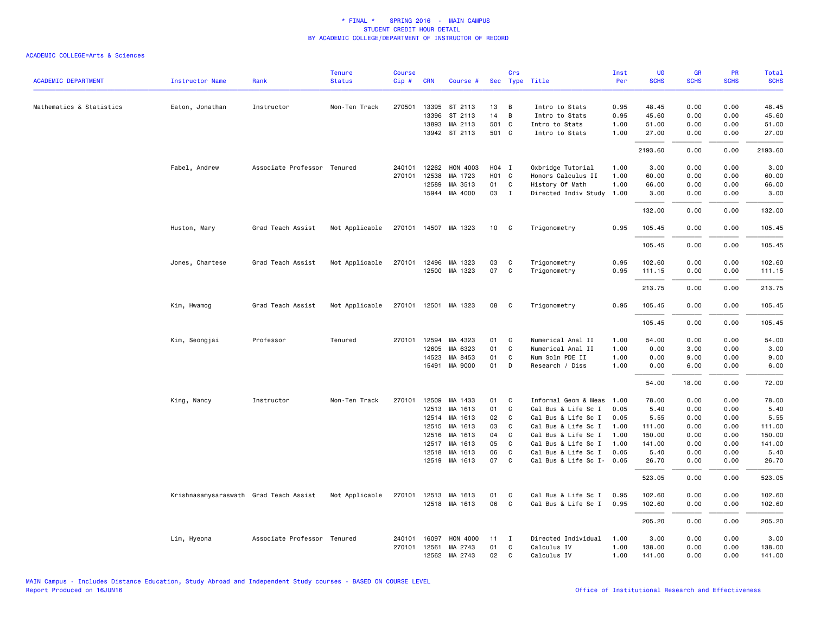|                            |                                        |                             | <b>Tenure</b>  | <b>Course</b> |              |                      |                   | Crs          |                      | Inst | <b>UG</b>   | <b>GR</b>   | <b>PR</b>   | <b>Total</b> |
|----------------------------|----------------------------------------|-----------------------------|----------------|---------------|--------------|----------------------|-------------------|--------------|----------------------|------|-------------|-------------|-------------|--------------|
| <b>ACADEMIC DEPARTMENT</b> | <b>Instructor Name</b>                 | Rank                        | <b>Status</b>  | Cip#          | <b>CRN</b>   | Course #             |                   |              | Sec Type Title       | Per  | <b>SCHS</b> | <b>SCHS</b> | <b>SCHS</b> | <b>SCHS</b>  |
| Mathematics & Statistics   | Eaton, Jonathan                        | Instructor                  | Non-Ten Track  | 270501        | 13395        | ST 2113              | 13                | B            | Intro to Stats       | 0.95 | 48.45       | 0.00        | 0.00        | 48.45        |
|                            |                                        |                             |                |               | 13396        | ST 2113              | 14                | B            | Intro to Stats       | 0.95 | 45.60       | 0.00        | 0.00        | 45.60        |
|                            |                                        |                             |                |               | 13893        | MA 2113              | 501 C             |              | Intro to Stats       | 1.00 | 51.00       | 0.00        | 0.00        | 51.00        |
|                            |                                        |                             |                |               |              | 13942 ST 2113        | 501 C             |              | Intro to Stats       | 1.00 | 27.00       | 0.00        | 0.00        | 27.00        |
|                            |                                        |                             |                |               |              |                      |                   |              |                      |      | 2193.60     | 0.00        | 0.00        | 2193.60      |
|                            | Fabel, Andrew                          | Associate Professor Tenured |                | 240101        | 12262        | <b>HON 4003</b>      | H04 I             |              | Oxbridge Tutorial    | 1.00 | 3.00        | 0.00        | 0.00        | 3.00         |
|                            |                                        |                             |                | 270101        | 12538        | MA 1723              | H <sub>01</sub> C |              | Honors Calculus II   | 1.00 | 60.00       | 0.00        | 0.00        | 60.00        |
|                            |                                        |                             |                |               | 12589        | MA 3513              | 01                | C            | History Of Math      | 1.00 | 66.00       | 0.00        | 0.00        | 66.00        |
|                            |                                        |                             |                |               |              | 15944 MA 4000        | 03                | $\mathbf{I}$ | Directed Indiv Study | 1.00 | 3.00        | 0.00        | 0.00        | 3.00         |
|                            |                                        |                             |                |               |              |                      |                   |              |                      |      | 132.00      | 0.00        | 0.00        | 132.00       |
|                            | Huston, Mary                           | Grad Teach Assist           | Not Applicable |               |              | 270101 14507 MA 1323 | 10 <sup>1</sup>   | $\mathbf{C}$ | Trigonometry         | 0.95 | 105.45      | 0.00        | 0.00        | 105.45       |
|                            |                                        |                             |                |               |              |                      |                   |              |                      |      | 105.45      | 0.00        | 0.00        | 105.45       |
|                            | Jones, Chartese                        | Grad Teach Assist           | Not Applicable | 270101        |              | 12496 MA 1323        | 03                | C            | Trigonometry         | 0.95 | 102.60      | 0.00        | 0.00        | 102.60       |
|                            |                                        |                             |                |               |              | 12500 MA 1323        | 07                | C            | Trigonometry         | 0.95 | 111.15      | 0.00        | 0.00        | 111.15       |
|                            |                                        |                             |                |               |              |                      |                   |              |                      |      |             |             |             |              |
|                            |                                        |                             |                |               |              |                      |                   |              |                      |      | 213.75      | 0.00        | 0.00        | 213.75       |
|                            | Kim, Hwamog                            | Grad Teach Assist           | Not Applicable |               |              | 270101 12501 MA 1323 | 08                | C            | Trigonometry         | 0.95 | 105.45      | 0.00        | 0.00        | 105.45       |
|                            |                                        |                             |                |               |              |                      |                   |              |                      |      | 105.45      | 0.00        | 0.00        | 105.45       |
|                            | Kim, Seongjai                          | Professor                   | Tenured        |               | 270101 12594 | MA 4323              | 01                | C            | Numerical Anal II    | 1.00 | 54.00       | 0.00        | 0.00        | 54.00        |
|                            |                                        |                             |                |               | 12605        | MA 6323              | 01                | C            | Numerical Anal II    | 1.00 | 0.00        | 3.00        | 0.00        | 3.00         |
|                            |                                        |                             |                |               | 14523        | MA 8453              | 01                | C            | Num Soln PDE II      | 1.00 | 0.00        | 9.00        | 0.00        | 9.00         |
|                            |                                        |                             |                |               | 15491        | MA 9000              | 01                | D            | Research / Diss      | 1.00 | 0.00        | 6.00        | 0.00        | 6.00         |
|                            |                                        |                             |                |               |              |                      |                   |              |                      |      | 54.00       | 18.00       | 0.00        | 72.00        |
|                            | King, Nancy                            | Instructor                  | Non-Ten Track  | 270101        | 12509        | MA 1433              | 01                | C            | Informal Geom & Meas | 1.00 | 78.00       | 0.00        | 0.00        | 78.00        |
|                            |                                        |                             |                |               | 12513        | MA 1613              | 01                | C            | Cal Bus & Life Sc I  | 0.05 | 5.40        | 0.00        | 0.00        | 5.40         |
|                            |                                        |                             |                |               |              | 12514 MA 1613        | 02                | C            | Cal Bus & Life Sc I  | 0.05 | 5.55        | 0.00        | 0.00        | 5.55         |
|                            |                                        |                             |                |               | 12515        | MA 1613              | 03                | C            | Cal Bus & Life Sc I  | 1.00 | 111.00      | 0.00        | 0.00        | 111.00       |
|                            |                                        |                             |                |               | 12516        | MA 1613              | 04                | C            | Cal Bus & Life Sc I  | 1.00 | 150.00      | 0.00        | 0.00        | 150.00       |
|                            |                                        |                             |                |               | 12517        | MA 1613              | 05                | $\mathbf{C}$ | Cal Bus & Life Sc I  | 1.00 | 141.00      | 0.00        | 0.00        | 141.00       |
|                            |                                        |                             |                |               | 12518        | MA 1613              | 06                | C            | Cal Bus & Life Sc I  | 0.05 | 5.40        | 0.00        | 0.00        | 5.40         |
|                            |                                        |                             |                |               | 12519        | MA 1613              | 07                | C            | Cal Bus & Life Sc I- | 0.05 | 26.70       | 0.00        | 0.00        | 26.70        |
|                            |                                        |                             |                |               |              |                      |                   |              |                      |      | 523.05      | 0.00        | 0.00        | 523.05       |
|                            | Krishnasamysaraswath Grad Teach Assist |                             | Not Applicable |               |              | 270101 12513 MA 1613 | 01                | C            | Cal Bus & Life Sc I  | 0.95 | 102.60      | 0.00        | 0.00        | 102.60       |
|                            |                                        |                             |                |               |              | 12518 MA 1613        | 06                | C            | Cal Bus & Life Sc I  | 0.95 | 102.60      | 0.00        | 0.00        | 102.60       |
|                            |                                        |                             |                |               |              |                      |                   |              |                      |      | 205.20      | 0.00        | 0.00        | 205.20       |
|                            | Lim, Hyeona                            | Associate Professor Tenured |                | 240101        | 16097        | <b>HON 4000</b>      | 11                | I            | Directed Individual  | 1.00 | 3.00        | 0.00        | 0.00        | 3.00         |
|                            |                                        |                             |                | 270101        | 12561        | MA 2743              | 01                | C            | Calculus IV          | 1.00 | 138.00      | 0.00        | 0.00        | 138.00       |
|                            |                                        |                             |                |               |              | 12562 MA 2743        | 02                | $\mathbf{C}$ | Calculus IV          | 1.00 | 141.00      | 0.00        | 0.00        | 141.00       |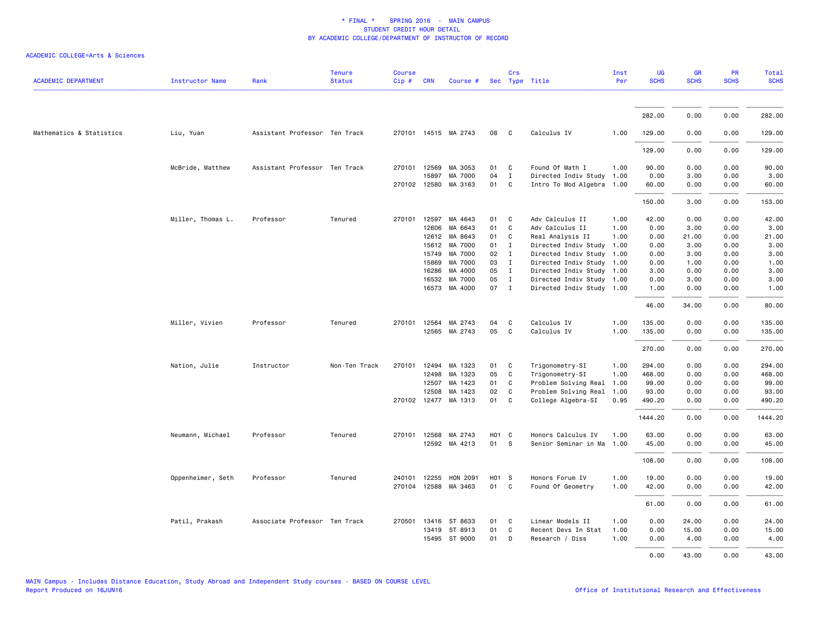|                            |                        |                               | <b>Tenure</b> | <b>Course</b> |                       |                          |            | Crs               |                                                        | Inst         | UG            | <b>GR</b>    | PR           | <b>Total</b>  |
|----------------------------|------------------------|-------------------------------|---------------|---------------|-----------------------|--------------------------|------------|-------------------|--------------------------------------------------------|--------------|---------------|--------------|--------------|---------------|
| <b>ACADEMIC DEPARTMENT</b> | <b>Instructor Name</b> | Rank                          | <b>Status</b> | Cip#          | <b>CRN</b>            | Course #                 |            |                   | Sec Type Title                                         | Per          | <b>SCHS</b>   | <b>SCHS</b>  | <b>SCHS</b>  | <b>SCHS</b>   |
|                            |                        |                               |               |               |                       |                          |            |                   |                                                        |              | 282.00        | 0.00         | 0.00         | 282.00        |
|                            |                        |                               |               |               |                       |                          |            |                   |                                                        |              |               |              |              |               |
| Mathematics & Statistics   | Liu, Yuan              | Assistant Professor Ten Track |               |               |                       | 270101 14515 MA 2743     | 08         | C                 | Calculus IV                                            | 1.00         | 129.00        | 0.00         | 0.00         | 129.00        |
|                            |                        |                               |               |               |                       |                          |            |                   |                                                        |              | 129.00        | 0.00         | 0.00         | 129.00        |
|                            | McBride, Matthew       | Assistant Professor Ten Track |               |               | 270101 12569<br>15897 | MA 3053<br>MA 7000       | 01<br>04   | C<br>$\mathbf{I}$ | Found Of Math I<br>Directed Indiv Study                | 1.00<br>1.00 | 90.00<br>0.00 | 0.00<br>3.00 | 0.00<br>0.00 | 90.00<br>3.00 |
|                            |                        |                               |               |               |                       | 270102 12580 MA 3163     | 01         | C                 | Intro To Mod Algebra 1.00                              |              | 60.00         | 0.00         | 0.00         | 60.00         |
|                            |                        |                               |               |               |                       |                          |            |                   |                                                        |              | 150.00        | 3.00         | 0.00         | 153.00        |
|                            | Miller, Thomas L.      | Professor                     | Tenured       | 270101        | 12597                 | MA 4643                  | 01         | C                 | Adv Calculus II                                        | 1.00         | 42.00         | 0.00         | 0.00         | 42.00         |
|                            |                        |                               |               |               | 12606                 | MA 6643                  | 01         | C                 | Adv Calculus II                                        | 1.00         | 0.00          | 3.00         | 0.00         | 3.00          |
|                            |                        |                               |               |               | 12612                 | MA 8643                  | 01         | C                 | Real Analysis II                                       | 1.00         | 0.00          | 21.00        | 0.00         | 21.00         |
|                            |                        |                               |               |               | 15612                 | MA 7000                  | 01         | $\mathbf{I}$      | Directed Indiv Study                                   | 1.00         | 0.00          | 3.00         | 0.00         | 3.00          |
|                            |                        |                               |               |               | 15749                 | MA 7000                  | 02         | $\mathbf{I}$      | Directed Indiv Study                                   | 1.00         | 0.00          | 3.00         | 0.00         | 3.00          |
|                            |                        |                               |               |               | 15869                 | MA 7000                  | 03         | $\mathbf{I}$      | Directed Indiv Study 1.00                              |              | 0.00          | 1.00         | 0.00         | 1.00          |
|                            |                        |                               |               |               | 16286                 | MA 4000                  | 05         | $\mathbf{I}$      | Directed Indiv Study 1.00                              |              | 3.00          | 0.00         | 0.00         | 3.00          |
|                            |                        |                               |               |               | 16532                 | MA 7000<br>16573 MA 4000 | 05<br>07 I | $\mathbf{I}$      | Directed Indiv Study 1.00<br>Directed Indiv Study 1.00 |              | 0.00<br>1.00  | 3.00<br>0.00 | 0.00<br>0.00 | 3.00<br>1.00  |
|                            |                        |                               |               |               |                       |                          |            |                   |                                                        |              | 46.00         | 34.00        | 0.00         | 80.00         |
|                            | Miller, Vivien         | Professor                     | Tenured       | 270101        | 12564                 | MA 2743                  | 04         | C                 | Calculus IV                                            | 1.00         | 135.00        | 0.00         | 0.00         | 135.00        |
|                            |                        |                               |               |               |                       | 12565 MA 2743            | 05         | C                 | Calculus IV                                            | 1.00         | 135.00        | 0.00         | 0.00         | 135.00        |
|                            |                        |                               |               |               |                       |                          |            |                   |                                                        |              | 270.00        | 0.00         | 0.00         | 270.00        |
|                            | Nation, Julie          | Instructor                    | Non-Ten Track |               |                       | 270101 12494 MA 1323     | 01         | C                 | Trigonometry-SI                                        | 1.00         | 294.00        | 0.00         | 0.00         | 294.00        |
|                            |                        |                               |               |               | 12498                 | MA 1323                  | 05         | C                 | Trigonometry-SI                                        | 1.00         | 468.00        | 0.00         | 0.00         | 468.00        |
|                            |                        |                               |               |               | 12507                 | MA 1423                  | 01         | C                 | Problem Solving Real                                   | 1.00         | 99.00         | 0.00         | 0.00         | 99.00         |
|                            |                        |                               |               |               | 12508                 | MA 1423                  | 02         | C                 | Problem Solving Real                                   | 1.00         | 93.00         | 0.00         | 0.00         | 93.00         |
|                            |                        |                               |               |               |                       | 270102 12477 MA 1313     | 01         | C                 | College Algebra-SI                                     | 0.95         | 490.20        | 0.00         | 0.00         | 490.20        |
|                            |                        |                               |               |               |                       |                          |            |                   |                                                        |              | 1444.20       | 0.00         | 0.00         | 1444.20       |
|                            | Neumann, Michael       | Professor                     | Tenured       |               | 270101 12568          | MA 2743                  | H01 C      |                   | Honors Calculus IV                                     | 1.00         | 63.00         | 0.00         | 0.00         | 63.00         |
|                            |                        |                               |               |               |                       | 12592 MA 4213            | 01 S       |                   | Senior Seminar in Ma                                   | 1.00         | 45.00         | 0.00         | 0.00         | 45.00         |
|                            |                        |                               |               |               |                       |                          |            |                   |                                                        |              | 108.00        | 0.00         | 0.00         | 108.00        |
|                            | Oppenheimer, Seth      | Professor                     | Tenured       | 240101        |                       | 12255 HON 2091           | H01 S      |                   | Honors Forum IV                                        | 1.00         | 19.00         | 0.00         | 0.00         | 19.00         |
|                            |                        |                               |               | 270104        | 12588                 | MA 3463                  | 01         | C                 | Found Of Geometry                                      | 1.00         | 42.00         | 0.00         | 0.00         | 42.00         |
|                            |                        |                               |               |               |                       |                          |            |                   |                                                        |              | 61.00         | 0.00         | 0.00         | 61.00         |
|                            | Patil, Prakash         | Associate Professor Ten Track |               | 270501        |                       | 13416 ST 8633            | 01         | C                 | Linear Models II                                       | 1.00         | 0.00          | 24.00        | 0.00         | 24.00         |
|                            |                        |                               |               |               |                       | 13419 ST 8913            | 01         | $\mathsf{C}$      | Recent Devs In Stat                                    | 1.00         | 0.00          | 15.00        | 0.00         | 15.00         |
|                            |                        |                               |               |               |                       | 15495 ST 9000            | 01         | D                 | Research / Diss                                        | 1.00         | 0.00          | 4.00         | 0.00         | 4.00          |
|                            |                        |                               |               |               |                       |                          |            |                   |                                                        |              | 0.00          | 43.00        | 0.00         | 43.00         |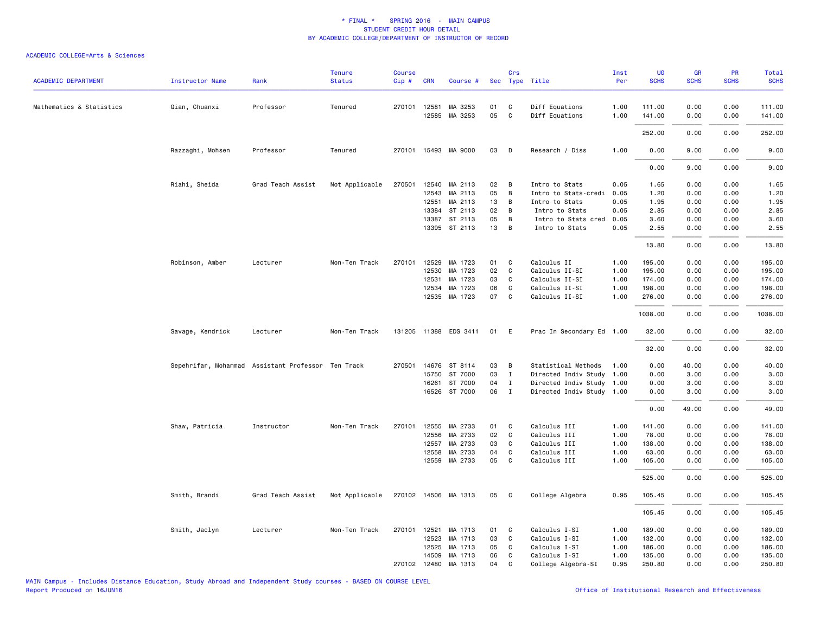| <b>ACADEMIC DEPARTMENT</b> | <b>Instructor Name</b>                             | Rank              | <b>Tenure</b><br><b>Status</b> | <b>Course</b><br>Cip# | <b>CRN</b>   | Course #              |    | Crs          | Sec Type Title            | Inst<br>Per | UG<br><b>SCHS</b> | <b>GR</b><br><b>SCHS</b> | <b>PR</b><br><b>SCHS</b> | <b>Total</b><br><b>SCHS</b> |
|----------------------------|----------------------------------------------------|-------------------|--------------------------------|-----------------------|--------------|-----------------------|----|--------------|---------------------------|-------------|-------------------|--------------------------|--------------------------|-----------------------------|
|                            |                                                    |                   |                                |                       |              |                       |    |              |                           |             |                   |                          |                          |                             |
| Mathematics & Statistics   | Qian, Chuanxi                                      | Professor         | Tenured                        |                       | 270101 12581 | MA 3253               | 01 | C            | Diff Equations            | 1.00        | 111.00            | 0.00                     | 0.00                     | 111.00                      |
|                            |                                                    |                   |                                |                       | 12585        | MA 3253               | 05 | C            | Diff Equations            | 1.00        | 141.00            | 0.00                     | 0.00                     | 141.00                      |
|                            |                                                    |                   |                                |                       |              |                       |    |              |                           |             | 252.00            | 0.00                     | 0.00                     | 252.00                      |
|                            | Razzaghi, Mohsen                                   | Professor         | Tenured                        |                       |              | 270101 15493 MA 9000  | 03 | D            | Research / Diss           | 1.00        | 0.00              | 9.00                     | 0.00                     | 9.00                        |
|                            |                                                    |                   |                                |                       |              |                       |    |              |                           |             | 0.00              | 9.00                     | 0.00                     | 9.00                        |
|                            | Riahi, Sheida                                      | Grad Teach Assist | Not Applicable                 | 270501                |              | 12540 MA 2113         | 02 | B            | Intro to Stats            | 0.05        | 1.65              | 0.00                     | 0.00                     | 1.65                        |
|                            |                                                    |                   |                                |                       | 12543        | MA 2113               | 05 | B            | Intro to Stats-credi      | 0.05        | 1.20              | 0.00                     | 0.00                     | 1.20                        |
|                            |                                                    |                   |                                |                       | 12551        | MA 2113               | 13 | B            | Intro to Stats            | 0.05        | 1.95              | 0.00                     | 0.00                     | 1.95                        |
|                            |                                                    |                   |                                |                       |              | 13384 ST 2113         | 02 | B            | Intro to Stats            | 0.05        | 2.85              | 0.00                     | 0.00                     | 2.85                        |
|                            |                                                    |                   |                                |                       | 13387        | ST 2113               | 05 | B            | Intro to Stats cred       | 0.05        | 3.60              | 0.00                     | 0.00                     | 3.60                        |
|                            |                                                    |                   |                                |                       |              | 13395 ST 2113         | 13 | B            | Intro to Stats            | 0.05        | 2.55              | 0.00                     | 0.00                     | 2.55                        |
|                            |                                                    |                   |                                |                       |              |                       |    |              |                           |             | 13.80             | 0.00                     | 0.00                     | 13.80                       |
|                            | Robinson, Amber                                    | Lecturer          | Non-Ten Track                  | 270101                | 12529        | MA 1723               | 01 | C            | Calculus II               | 1.00        | 195.00            | 0.00                     | 0.00                     | 195.00                      |
|                            |                                                    |                   |                                |                       | 12530        | MA 1723               | 02 | C            | Calculus II-SI            | 1.00        | 195.00            | 0.00                     | 0.00                     | 195.00                      |
|                            |                                                    |                   |                                |                       | 12531        | MA 1723               | 03 | C            | Calculus II-SI            | 1.00        | 174.00            | 0.00                     | 0.00                     | 174.00                      |
|                            |                                                    |                   |                                |                       | 12534        | MA 1723               | 06 | C            | Calculus II-SI            | 1.00        | 198.00            | 0.00                     | 0.00                     | 198.00                      |
|                            |                                                    |                   |                                |                       | 12535        | MA 1723               | 07 | C            | Calculus II-SI            | 1.00        | 276.00            | 0.00                     | 0.00                     | 276.00                      |
|                            |                                                    |                   |                                |                       |              |                       |    |              |                           |             | 1038.00           | 0.00                     | 0.00                     | 1038.00                     |
|                            | Savage, Kendrick                                   | Lecturer          | Non-Ten Track                  |                       |              | 131205 11388 EDS 3411 | 01 | E            | Prac In Secondary Ed 1.00 |             | 32.00             | 0.00                     | 0.00                     | 32.00                       |
|                            |                                                    |                   |                                |                       |              |                       |    |              |                           |             | 32.00             | 0.00                     | 0.00                     | 32.00                       |
|                            | Sepehrifar, Mohammad Assistant Professor Ten Track |                   |                                | 270501                |              | 14676 ST 8114         | 03 | B            | Statistical Methods       | 1.00        | 0.00              | 40.00                    | 0.00                     | 40.00                       |
|                            |                                                    |                   |                                |                       | 15750        | ST 7000               | 03 | $\mathbf{I}$ | Directed Indiv Study      | 1.00        | 0.00              | 3.00                     | 0.00                     | 3.00                        |
|                            |                                                    |                   |                                |                       | 16261        | ST 7000               | 04 | $\mathbf{I}$ | Directed Indiv Study 1.00 |             | 0.00              | 3.00                     | 0.00                     | 3.00                        |
|                            |                                                    |                   |                                |                       |              | 16526 ST 7000         | 06 | $\mathbf{I}$ | Directed Indiv Study 1.00 |             | 0.00              | 3.00                     | 0.00                     | 3.00                        |
|                            |                                                    |                   |                                |                       |              |                       |    |              |                           |             | 0.00              | 49.00                    | 0.00                     | 49.00                       |
|                            | Shaw, Patricia                                     | Instructor        | Non-Ten Track                  | 270101                | 12555        | MA 2733               | 01 | C            | Calculus III              | 1.00        | 141.00            | 0.00                     | 0.00                     | 141.00                      |
|                            |                                                    |                   |                                |                       | 12556        | MA 2733               | 02 | C            | Calculus III              | 1.00        | 78.00             | 0.00                     | 0.00                     | 78.00                       |
|                            |                                                    |                   |                                |                       | 12557        | MA 2733               | 03 | C            | Calculus III              | 1.00        | 138.00            | 0.00                     | 0.00                     | 138.00                      |
|                            |                                                    |                   |                                |                       | 12558        | MA 2733               | 04 | C            | Calculus III              | 1.00        | 63.00             | 0.00                     | 0.00                     | 63.00                       |
|                            |                                                    |                   |                                |                       | 12559        | MA 2733               | 05 | C            | Calculus III              | 1.00        | 105.00            | 0.00                     | 0.00                     | 105.00                      |
|                            |                                                    |                   |                                |                       |              |                       |    |              |                           |             | 525.00            | 0.00                     | 0.00                     | 525.00                      |
|                            | Smith, Brandi                                      | Grad Teach Assist | Not Applicable                 |                       |              | 270102 14506 MA 1313  | 05 | C.           | College Algebra           | 0.95        | 105.45            | 0.00                     | 0.00                     | 105.45                      |
|                            |                                                    |                   |                                |                       |              |                       |    |              |                           |             | 105.45            | 0.00                     | 0.00                     | 105.45                      |
|                            | Smith, Jaclyn                                      | Lecturer          | Non-Ten Track                  | 270101 12521          |              | MA 1713               | 01 | C            | Calculus I-SI             | 1.00        | 189.00            | 0.00                     | 0.00                     | 189.00                      |
|                            |                                                    |                   |                                |                       | 12523        | MA 1713               | 03 | C            | Calculus I-SI             | 1.00        | 132.00            | 0.00                     | 0.00                     | 132.00                      |
|                            |                                                    |                   |                                |                       | 12525        | MA 1713               | 05 | C            | Calculus I-SI             | 1.00        | 186.00            | 0.00                     | 0.00                     | 186.00                      |
|                            |                                                    |                   |                                |                       | 14509        | MA 1713               | 06 | C            | Calculus I-SI             | 1.00        | 135.00            | 0.00                     | 0.00                     | 135.00                      |
|                            |                                                    |                   |                                |                       | 270102 12480 | MA 1313               | 04 | C            | College Algebra-SI        | 0.95        | 250.80            | 0.00                     | 0.00                     | 250.80                      |
|                            |                                                    |                   |                                |                       |              |                       |    |              |                           |             |                   |                          |                          |                             |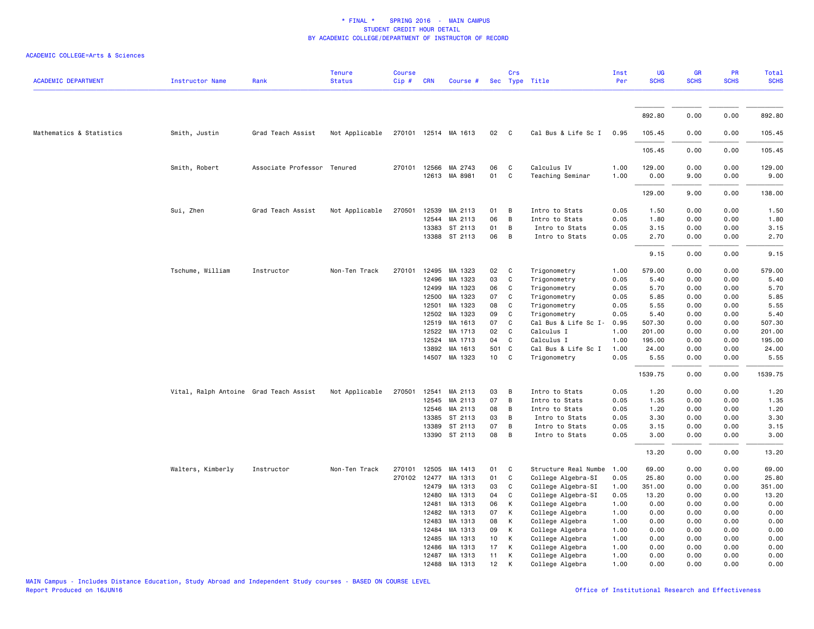| <b>ACADEMIC DEPARTMENT</b> | <b>Instructor Name</b>                 | Rank                        | <b>Tenure</b><br><b>Status</b> | Course<br>Cip# | <b>CRN</b>   | Course #             |                 | Crs          | Sec Type Title       | Inst<br>Per | <b>UG</b><br><b>SCHS</b> | GR<br><b>SCHS</b> | PR<br><b>SCHS</b> | <b>Total</b><br><b>SCHS</b> |
|----------------------------|----------------------------------------|-----------------------------|--------------------------------|----------------|--------------|----------------------|-----------------|--------------|----------------------|-------------|--------------------------|-------------------|-------------------|-----------------------------|
|                            |                                        |                             |                                |                |              |                      |                 |              |                      |             |                          |                   |                   |                             |
|                            |                                        |                             |                                |                |              |                      |                 |              |                      |             | 892.80                   | 0.00              | 0.00              | 892.80                      |
| Mathematics & Statistics   | Smith, Justin                          | Grad Teach Assist           | Not Applicable                 |                |              | 270101 12514 MA 1613 | 02              | $\mathbf{C}$ | Cal Bus & Life Sc I  | 0.95        | 105.45                   | 0.00              | 0.00              | 105.45                      |
|                            |                                        |                             |                                |                |              |                      |                 |              |                      |             | 105.45                   | 0.00              | 0.00              | 105.45                      |
|                            | Smith, Robert                          | Associate Professor Tenured |                                |                | 270101 12566 | MA 2743              | 06              | C            | Calculus IV          | 1.00        | 129.00                   | 0.00              | 0.00              | 129.00                      |
|                            |                                        |                             |                                |                |              | 12613 MA 8981        | 01              | C            | Teaching Seminar     | 1.00        | 0.00                     | 9.00              | 0.00              | 9.00                        |
|                            |                                        |                             |                                |                |              |                      |                 |              |                      |             | 129.00                   | 9.00              | 0.00              | 138.00                      |
|                            | Sui, Zhen                              | Grad Teach Assist           | Not Applicable                 | 270501         |              | 12539 MA 2113        | 01              | B            | Intro to Stats       | 0.05        | 1.50                     | 0.00              | 0.00              | 1.50                        |
|                            |                                        |                             |                                |                | 12544        | MA 2113              | 06              | В            | Intro to Stats       | 0.05        | 1.80                     | 0.00              | 0.00              | 1.80                        |
|                            |                                        |                             |                                |                | 13383        | ST 2113              | 01              | В            | Intro to Stats       | 0.05        | 3.15                     | 0.00              | 0.00              | 3.15                        |
|                            |                                        |                             |                                |                |              | 13388 ST 2113        | 06              | В            | Intro to Stats       | 0.05        | 2.70                     | 0.00              | 0.00              | 2.70                        |
|                            |                                        |                             |                                |                |              |                      |                 |              |                      |             | 9.15                     | 0.00              | 0.00              | 9.15                        |
|                            | Tschume, William                       | Instructor                  | Non-Ten Track                  | 270101         | 12495        | MA 1323              | 02              | C            | Trigonometry         | 1.00        | 579.00                   | 0.00              | 0.00              | 579.00                      |
|                            |                                        |                             |                                |                | 12496        | MA 1323              | 03              | C            | Trigonometry         | 0.05        | 5.40                     | 0.00              | 0.00              | 5.40                        |
|                            |                                        |                             |                                |                | 12499        | MA 1323              | 06              | C            | Trigonometry         | 0.05        | 5.70                     | 0.00              | 0.00              | 5.70                        |
|                            |                                        |                             |                                |                | 12500        | MA 1323              | 07              | C            | Trigonometry         | 0.05        | 5.85                     | 0.00              | 0.00              | 5.85                        |
|                            |                                        |                             |                                |                | 12501        | MA 1323              | 08              | C            | Trigonometry         | 0.05        | 5.55                     | 0.00              | 0.00              | 5.55                        |
|                            |                                        |                             |                                |                | 12502        | MA 1323              | 09              | C            | Trigonometry         | 0.05        | 5.40                     | 0.00              | 0.00              | 5.40                        |
|                            |                                        |                             |                                |                | 12519        | MA 1613              | 07              | C            | Cal Bus & Life Sc I- | 0.95        | 507.30                   | 0.00              | 0.00              | 507.30                      |
|                            |                                        |                             |                                |                | 12522        | MA 1713              | 02              | $\mathsf{C}$ | Calculus I           | 1.00        | 201.00                   | 0.00              | 0.00              | 201.00                      |
|                            |                                        |                             |                                |                | 12524        | MA 1713              | 04              | C            | Calculus I           | 1.00        | 195.00                   | 0.00              | 0.00              | 195.00                      |
|                            |                                        |                             |                                |                | 13892        | MA 1613              | 501             | C            | Cal Bus & Life Sc I  | 1.00        | 24.00                    | 0.00              | 0.00              | 24.00                       |
|                            |                                        |                             |                                |                |              | 14507 MA 1323        | 10 <sub>1</sub> | C            | Trigonometry         | 0.05        | 5.55                     | 0.00              | 0.00              | 5.55                        |
|                            |                                        |                             |                                |                |              |                      |                 |              |                      |             | 1539.75                  | 0.00              | 0.00              | 1539.75                     |
|                            | Vital, Ralph Antoine Grad Teach Assist |                             | Not Applicable                 | 270501         | 12541        | MA 2113              | 03              | B            | Intro to Stats       | 0.05        | 1.20                     | 0.00              | 0.00              | 1.20                        |
|                            |                                        |                             |                                |                | 12545        | MA 2113              | 07              | В            | Intro to Stats       | 0.05        | 1.35                     | 0.00              | 0.00              | 1.35                        |
|                            |                                        |                             |                                |                | 12546        | MA 2113              | 08              | В            | Intro to Stats       | 0.05        | 1.20                     | 0.00              | 0.00              | 1.20                        |
|                            |                                        |                             |                                |                | 13385        | ST 2113              | 03              | В            | Intro to Stats       | 0.05        | 3.30                     | 0.00              | 0.00              | 3.30                        |
|                            |                                        |                             |                                |                | 13389        | ST 2113              | 07              | B            | Intro to Stats       | 0.05        | 3.15                     | 0.00              | 0.00              | 3.15                        |
|                            |                                        |                             |                                |                |              | 13390 ST 2113        | 08              | B            | Intro to Stats       | 0.05        | 3.00                     | 0.00              | 0.00              | 3.00                        |
|                            |                                        |                             |                                |                |              |                      |                 |              |                      |             | 13.20                    | 0.00              | 0.00              | 13.20                       |
|                            | Walters, Kimberly                      | Instructor                  | Non-Ten Track                  | 270101         | 12505        | MA 1413              | 01              | С            | Structure Real Numbe | 1.00        | 69.00                    | 0.00              | 0.00              | 69.00                       |
|                            |                                        |                             |                                |                | 270102 12477 | MA 1313              | 01              | C            | College Algebra-SI   | 0.05        | 25.80                    | 0.00              | 0.00              | 25.80                       |
|                            |                                        |                             |                                |                | 12479        | MA 1313              | 03              | C            | College Algebra-SI   | 1.00        | 351.00                   | 0.00              | 0.00              | 351.00                      |
|                            |                                        |                             |                                |                | 12480        | MA 1313              | 04              | C            | College Algebra-SI   | 0.05        | 13.20                    | 0.00              | 0.00              | 13.20                       |
|                            |                                        |                             |                                |                | 12481        | MA 1313              | 06              | К            | College Algebra      | 1.00        | 0.00                     | 0.00              | 0.00              | 0.00                        |
|                            |                                        |                             |                                |                | 12482        | MA 1313              | 07              | К            | College Algebra      | 1.00        | 0.00                     | 0.00              | 0.00              | 0.00                        |
|                            |                                        |                             |                                |                | 12483        | MA 1313              | 08              | К            | College Algebra      | 1.00        | 0.00                     | 0.00              | 0.00              | 0.00                        |
|                            |                                        |                             |                                |                | 12484        | MA 1313              | 09              | К            | College Algebra      | 1.00        | 0.00                     | 0.00              | 0.00              | 0.00                        |
|                            |                                        |                             |                                |                | 12485        | MA 1313              | 10              | Κ            | College Algebra      | 1.00        | 0.00                     | 0.00              | 0.00              | 0.00                        |
|                            |                                        |                             |                                |                | 12486        | MA 1313              | 17              | К            | College Algebra      | 1.00        | 0.00                     | 0.00              | 0.00              | 0.00                        |
|                            |                                        |                             |                                |                | 12487        | MA 1313              | 11              | К            | College Algebra      | 1.00        | 0.00                     | 0.00              | 0.00              | 0.00                        |
|                            |                                        |                             |                                |                | 12488        | MA 1313              | 12              | К            | College Algebra      | 1.00        | 0.00                     | 0.00              | 0.00              | 0.00                        |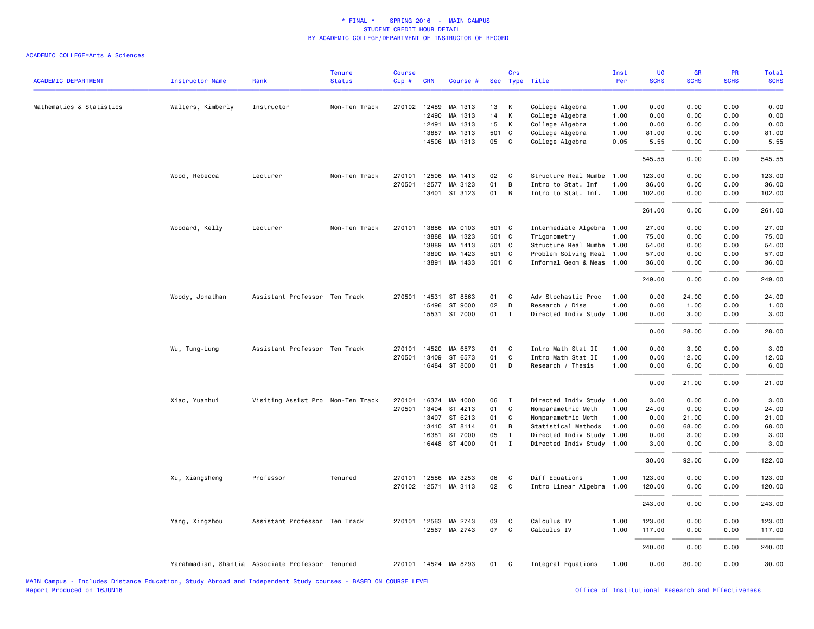| <b>ACADEMIC DEPARTMENT</b> | <b>Instructor Name</b> | Rank                                             | <b>Tenure</b><br><b>Status</b> | <b>Course</b><br>Cip# | <b>CRN</b>            | Course #             |          | Crs          | Sec Type Title            | Inst<br>Per | <b>UG</b><br><b>SCHS</b> | <b>GR</b><br><b>SCHS</b> | <b>PR</b><br><b>SCHS</b> | Total<br><b>SCHS</b> |
|----------------------------|------------------------|--------------------------------------------------|--------------------------------|-----------------------|-----------------------|----------------------|----------|--------------|---------------------------|-------------|--------------------------|--------------------------|--------------------------|----------------------|
| Mathematics & Statistics   | Walters, Kimberly      | Instructor                                       | Non-Ten Track                  |                       | 270102 12489          | MA 1313              | 13       | К            | College Algebra           | 1.00        | 0.00                     | 0.00                     | 0.00                     | 0.00                 |
|                            |                        |                                                  |                                |                       | 12490                 | MA 1313              | 14       | К            | College Algebra           | 1.00        | 0.00                     | 0.00                     | 0.00                     | 0.00                 |
|                            |                        |                                                  |                                |                       | 12491                 | MA 1313              | 15       | К            | College Algebra           | 1.00        | 0.00                     | 0.00                     | 0.00                     | 0.00                 |
|                            |                        |                                                  |                                |                       | 13887                 | MA 1313              | 501 C    |              | College Algebra           | 1.00        | 81.00                    | 0.00                     | 0.00                     | 81.00                |
|                            |                        |                                                  |                                |                       |                       | 14506 MA 1313        | 05       | C            | College Algebra           | 0.05        | 5.55                     | 0.00                     | 0.00                     | 5.55                 |
|                            |                        |                                                  |                                |                       |                       |                      |          |              |                           |             | 545.55                   | 0.00                     | 0.00                     | 545.55               |
|                            | Wood, Rebecca          | Lecturer                                         | Non-Ten Track                  | 270101                | 12506                 | MA 1413              | 02       | C            | Structure Real Numbe      | 1.00        | 123.00                   | 0.00                     | 0.00                     | 123.00               |
|                            |                        |                                                  |                                | 270501                | 12577                 | MA 3123              | 01       | B            | Intro to Stat. Inf        | 1.00        | 36.00                    | 0.00                     | 0.00                     | 36.00                |
|                            |                        |                                                  |                                |                       |                       | 13401 ST 3123        | 01       | B            | Intro to Stat. Inf.       | 1.00        | 102.00                   | 0.00                     | 0.00                     | 102.00               |
|                            |                        |                                                  |                                |                       |                       |                      |          |              |                           |             | 261.00                   | 0.00                     | 0.00                     | 261.00               |
|                            | Woodard, Kelly         | Lecturer                                         | Non-Ten Track                  | 270101                | 13886                 | MA 0103              | 501 C    |              | Intermediate Algebra 1.00 |             | 27.00                    | 0.00                     | 0.00                     | 27.00                |
|                            |                        |                                                  |                                |                       | 13888                 | MA 1323              | 501 C    |              | Trigonometry              | 1.00        | 75.00                    | 0.00                     | 0.00                     | 75.00                |
|                            |                        |                                                  |                                |                       | 13889                 | MA 1413              | 501 C    |              | Structure Real Numbe      | 1.00        | 54.00                    | 0.00                     | 0.00                     | 54.00                |
|                            |                        |                                                  |                                |                       | 13890                 | MA 1423              | 501 C    |              | Problem Solving Real      | 1.00        | 57.00                    | 0.00                     | 0.00                     | 57.00                |
|                            |                        |                                                  |                                |                       | 13891                 | MA 1433              | 501 C    |              | Informal Geom & Meas      | 1.00        | 36.00                    | 0.00                     | 0.00                     | 36.00                |
|                            |                        |                                                  |                                |                       |                       |                      |          |              |                           |             | 249.00                   | 0.00                     | 0.00                     | 249.00               |
|                            | Woody, Jonathan        | Assistant Professor Ten Track                    |                                | 270501                | 14531                 | ST 8563              | 01       | C            | Adv Stochastic Proc       | 1.00        | 0.00                     | 24.00                    | 0.00                     | 24.00                |
|                            |                        |                                                  |                                |                       | 15496                 | ST 9000              | 02       | D            | Research / Diss           | 1.00        | 0.00                     | 1.00                     | 0.00                     | 1.00                 |
|                            |                        |                                                  |                                |                       |                       | 15531 ST 7000        | 01 I     |              | Directed Indiv Study 1.00 |             | 0.00                     | 3.00                     | 0.00                     | 3.00                 |
|                            |                        |                                                  |                                |                       |                       |                      |          |              |                           |             | 0.00                     | 28.00                    | 0.00                     | 28.00                |
|                            | Wu, Tung-Lung          | Assistant Professor Ten Track                    |                                | 270101                | 14520                 | MA 6573              | 01       | C            | Intro Math Stat II        | 1.00        | 0.00                     | 3.00                     | 0.00                     | 3.00                 |
|                            |                        |                                                  |                                | 270501                | 13409                 | ST 6573              | 01       | C            | Intro Math Stat II        | 1.00        | 0.00                     | 12.00                    | 0.00                     | 12.00                |
|                            |                        |                                                  |                                |                       |                       | 16484 ST 8000        | 01       | D            | Research / Thesis         | 1.00        | 0.00                     | 6.00                     | 0.00                     | 6.00                 |
|                            |                        |                                                  |                                |                       |                       |                      |          |              |                           |             | 0.00                     | 21.00                    | 0.00                     | 21.00                |
|                            | Xiao, Yuanhui          | Visiting Assist Pro Non-Ten Track                |                                | 270101                | 16374                 | MA 4000              | 06       | $\mathbf{I}$ | Directed Indiv Study      | 1.00        | 3.00                     | 0.00                     | 0.00                     | 3.00                 |
|                            |                        |                                                  |                                | 270501                | 13404                 | ST 4213              | 01       | C            | Nonparametric Meth        | 1.00        | 24.00                    | 0.00                     | 0.00                     | 24.00                |
|                            |                        |                                                  |                                |                       | 13407                 | ST 6213              | 01       | C            | Nonparametric Meth        | 1.00        | 0.00                     | 21.00                    | 0.00                     | 21.00                |
|                            |                        |                                                  |                                |                       | 13410                 | ST 8114              | 01       | B            | Statistical Methods       | 1.00        | 0.00                     | 68.00                    | 0.00                     | 68.00                |
|                            |                        |                                                  |                                |                       | 16381                 | ST 7000              | 05       | $\mathbf{I}$ | Directed Indiv Study      | 1.00        | 0.00                     | 3.00                     | 0.00                     | 3.00                 |
|                            |                        |                                                  |                                |                       |                       | 16448 ST 4000        | 01       | $\mathbf{I}$ | Directed Indiv Study 1.00 |             | 3.00                     | 0.00                     | 0.00                     | 3.00                 |
|                            |                        |                                                  |                                |                       |                       |                      |          |              |                           |             | 30.00                    | 92.00                    | 0.00                     | 122.00               |
|                            | Xu, Xiangsheng         | Professor                                        | Tenured                        | 270101                | 12586                 | MA 3253              | 06       | C            | Diff Equations            | 1.00        | 123.00                   | 0.00                     | 0.00                     | 123.00               |
|                            |                        |                                                  |                                | 270102                | 12571                 | MA 3113              | 02       | C            | Intro Linear Algebra      | 1.00        | 120.00                   | 0.00                     | 0.00                     | 120.00               |
|                            |                        |                                                  |                                |                       |                       |                      |          |              |                           |             | 243.00                   | 0.00                     | 0.00                     | 243.00               |
|                            |                        |                                                  |                                |                       |                       |                      |          |              |                           |             |                          |                          |                          |                      |
|                            | Yang, Xingzhou         | Assistant Professor Ten Track                    |                                |                       | 270101 12563<br>12567 | MA 2743              | 03<br>07 | C<br>C       | Calculus IV               | 1.00        | 123.00                   | 0.00                     | 0.00                     | 123.00               |
|                            |                        |                                                  |                                |                       |                       | MA 2743              |          |              | Calculus IV               | 1.00        | 117.00                   | 0.00                     | 0.00                     | 117.00               |
|                            |                        |                                                  |                                |                       |                       |                      |          |              |                           |             | 240.00                   | 0.00                     | 0.00                     | 240.00               |
|                            |                        | Yarahmadian, Shantia Associate Professor Tenured |                                |                       |                       | 270101 14524 MA 8293 | 01       | C.           | Integral Equations        | 1.00        | 0.00                     | 30.00                    | 0.00                     | 30.00                |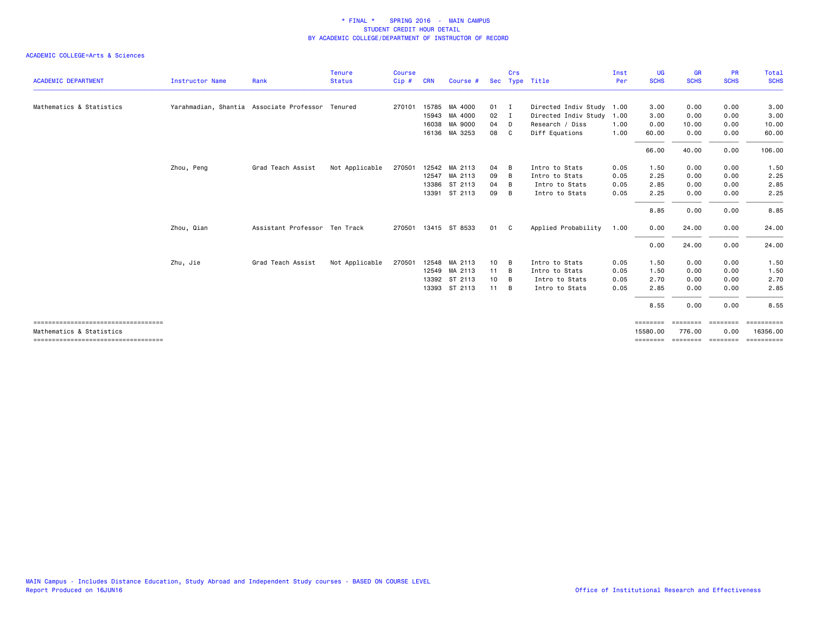| <b>ACADEMIC DEPARTMENT</b>                                       | <b>Instructor Name</b> | Rank                                             | <b>Tenure</b><br><b>Status</b> | <b>Course</b><br>Cip# | <b>CRN</b> | Course #             |              | Crs | Sec Type Title       | Inst<br>Per | <b>UG</b><br><b>SCHS</b> | <b>GR</b><br><b>SCHS</b> | <b>PR</b><br><b>SCHS</b> | Total<br><b>SCHS</b>                                                                                                                                                                                                                                                                                                                                                                                                                                                                   |
|------------------------------------------------------------------|------------------------|--------------------------------------------------|--------------------------------|-----------------------|------------|----------------------|--------------|-----|----------------------|-------------|--------------------------|--------------------------|--------------------------|----------------------------------------------------------------------------------------------------------------------------------------------------------------------------------------------------------------------------------------------------------------------------------------------------------------------------------------------------------------------------------------------------------------------------------------------------------------------------------------|
|                                                                  |                        |                                                  |                                |                       |            |                      |              |     |                      |             |                          |                          |                          |                                                                                                                                                                                                                                                                                                                                                                                                                                                                                        |
| Mathematics & Statistics                                         |                        | Yarahmadian, Shantia Associate Professor Tenured |                                | 270101                | 15785      | MA 4000              | 01           | - 1 | Directed Indiv Study | 1.00        | 3.00                     | 0.00                     | 0.00                     | 3.00                                                                                                                                                                                                                                                                                                                                                                                                                                                                                   |
|                                                                  |                        |                                                  |                                |                       |            | 15943 MA 4000        | 02           | I   | Directed Indiv Study | 1.00        | 3.00                     | 0.00                     | 0.00                     | 3.00                                                                                                                                                                                                                                                                                                                                                                                                                                                                                   |
|                                                                  |                        |                                                  |                                |                       |            | 16038 MA 9000        | 04           | D   | Research / Diss      | 1.00        | 0.00                     | 10.00                    | 0.00                     | 10.00                                                                                                                                                                                                                                                                                                                                                                                                                                                                                  |
|                                                                  |                        |                                                  |                                |                       |            | 16136 MA 3253        | 08           | C   | Diff Equations       | 1.00        | 60.00                    | 0.00                     | 0.00                     | 60.00                                                                                                                                                                                                                                                                                                                                                                                                                                                                                  |
|                                                                  |                        |                                                  |                                |                       |            |                      |              |     |                      |             | 66.00                    | 40.00                    | 0.00                     | 106.00                                                                                                                                                                                                                                                                                                                                                                                                                                                                                 |
|                                                                  | Zhou, Peng             | Grad Teach Assist                                | Not Applicable                 | 270501                |            | 12542 MA 2113        | 04           | B   | Intro to Stats       | 0.05        | 1.50                     | 0.00                     | 0.00                     | 1.50                                                                                                                                                                                                                                                                                                                                                                                                                                                                                   |
|                                                                  |                        |                                                  |                                |                       | 12547      | MA 2113              | 09           | B   | Intro to Stats       | 0.05        | 2.25                     | 0.00                     | 0.00                     | 2.25                                                                                                                                                                                                                                                                                                                                                                                                                                                                                   |
|                                                                  |                        |                                                  |                                |                       | 13386      | ST 2113              | 04           | B   | Intro to Stats       | 0.05        | 2.85                     | 0.00                     | 0.00                     | 2.85                                                                                                                                                                                                                                                                                                                                                                                                                                                                                   |
|                                                                  |                        |                                                  |                                |                       | 13391      | ST 2113              | 09           | B   | Intro to Stats       | 0.05        | 2.25                     | 0.00                     | 0.00                     | 2.25                                                                                                                                                                                                                                                                                                                                                                                                                                                                                   |
|                                                                  |                        |                                                  |                                |                       |            |                      |              |     |                      |             | 8.85                     | 0.00                     | 0.00                     | 8.85                                                                                                                                                                                                                                                                                                                                                                                                                                                                                   |
|                                                                  | Zhou, Qian             | Assistant Professor Ten Track                    |                                |                       |            | 270501 13415 ST 8533 | 01           | C.  | Applied Probability  | 1.00        | 0.00                     | 24.00                    | 0.00                     | 24.00                                                                                                                                                                                                                                                                                                                                                                                                                                                                                  |
|                                                                  |                        |                                                  |                                |                       |            |                      |              |     |                      |             | 0.00                     | 24.00                    | 0.00                     | 24.00                                                                                                                                                                                                                                                                                                                                                                                                                                                                                  |
|                                                                  | Zhu, Jie               | Grad Teach Assist                                | Not Applicable                 | 270501                |            | 12548 MA 2113        | 10           | B   | Intro to Stats       | 0.05        | 1.50                     | 0.00                     | 0.00                     | 1.50                                                                                                                                                                                                                                                                                                                                                                                                                                                                                   |
|                                                                  |                        |                                                  |                                |                       |            | 12549 MA 2113        | 11           | - B | Intro to Stats       | 0.05        | 1.50                     | 0.00                     | 0.00                     | 1.50                                                                                                                                                                                                                                                                                                                                                                                                                                                                                   |
|                                                                  |                        |                                                  |                                |                       | 13392      | ST 2113              | 10           | B   | Intro to Stats       | 0.05        | 2.70                     | 0.00                     | 0.00                     | 2.70                                                                                                                                                                                                                                                                                                                                                                                                                                                                                   |
|                                                                  |                        |                                                  |                                |                       |            | 13393 ST 2113        | $11 \quad B$ |     | Intro to Stats       | 0.05        | 2.85                     | 0.00                     | 0.00                     | 2.85                                                                                                                                                                                                                                                                                                                                                                                                                                                                                   |
|                                                                  |                        |                                                  |                                |                       |            |                      |              |     |                      |             | 8.55                     | 0.00                     | 0.00                     | 8.55                                                                                                                                                                                                                                                                                                                                                                                                                                                                                   |
| ------------------------------------                             |                        |                                                  |                                |                       |            |                      |              |     |                      |             | <b>EEEEEEE</b>           | ========                 | $=$ ========             | $\begin{array}{cccccccccc} \multicolumn{2}{c}{} & \multicolumn{2}{c}{} & \multicolumn{2}{c}{} & \multicolumn{2}{c}{} & \multicolumn{2}{c}{} & \multicolumn{2}{c}{} & \multicolumn{2}{c}{} & \multicolumn{2}{c}{} & \multicolumn{2}{c}{} & \multicolumn{2}{c}{} & \multicolumn{2}{c}{} & \multicolumn{2}{c}{} & \multicolumn{2}{c}{} & \multicolumn{2}{c}{} & \multicolumn{2}{c}{} & \multicolumn{2}{c}{} & \multicolumn{2}{c}{} & \multicolumn{2}{c}{} & \multicolumn{2}{c}{} & \mult$ |
| Mathematics & Statistics<br>==================================== |                        |                                                  |                                |                       |            |                      |              |     |                      |             | 15580.00<br>========     | 776.00<br>========       | 0.00<br>========         | 16356.00<br>==========                                                                                                                                                                                                                                                                                                                                                                                                                                                                 |
|                                                                  |                        |                                                  |                                |                       |            |                      |              |     |                      |             |                          |                          |                          |                                                                                                                                                                                                                                                                                                                                                                                                                                                                                        |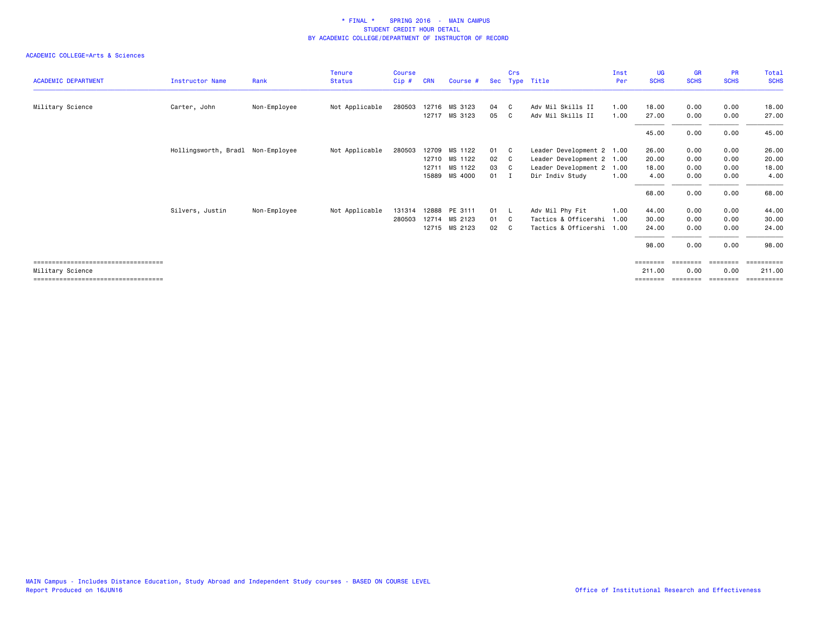|                                       |                                   |              | <b>Tenure</b>  | Course |            |               |            | Crs |                           | Inst | UG          | <b>GR</b>   | <b>PR</b>   | Total                 |
|---------------------------------------|-----------------------------------|--------------|----------------|--------|------------|---------------|------------|-----|---------------------------|------|-------------|-------------|-------------|-----------------------|
| <b>ACADEMIC DEPARTMENT</b>            | <b>Instructor Name</b>            | Rank         | <b>Status</b>  | Cip#   | <b>CRN</b> | Course #      | <b>Sec</b> |     | Type Title                | Per  | <b>SCHS</b> | <b>SCHS</b> | <b>SCHS</b> | <b>SCHS</b>           |
| Military Science                      | Carter, John                      | Non-Employee | Not Applicable | 280503 |            | 12716 MS 3123 | 04         | C.  | Adv Mil Skills II         | 1.00 | 18.00       | 0.00        | 0.00        | 18.00                 |
|                                       |                                   |              |                |        |            | 12717 MS 3123 | 05         | C.  | Adv Mil Skills II         | 1.00 | 27.00       | 0.00        | 0.00        | 27.00                 |
|                                       |                                   |              |                |        |            |               |            |     |                           |      | 45.00       | 0.00        | 0.00        | 45.00                 |
|                                       | Hollingsworth, Bradl Non-Employee |              | Not Applicable | 280503 |            | 12709 MS 1122 | 01         | C.  | Leader Development 2 1.00 |      | 26.00       | 0.00        | 0.00        | 26.00                 |
|                                       |                                   |              |                |        |            | 12710 MS 1122 | 02         | - C | Leader Development 2 1.00 |      | 20.00       | 0.00        | 0.00        | 20.00                 |
|                                       |                                   |              |                |        | 12711      | MS 1122       | 03         | - C | Leader Development 2 1.00 |      | 18.00       | 0.00        | 0.00        | 18.00                 |
|                                       |                                   |              |                |        | 15889      | MS 4000       | 01         |     | Dir Indiv Study           | 1.00 | 4.00        | 0.00        | 0.00        | 4.00                  |
|                                       |                                   |              |                |        |            |               |            |     |                           |      | 68.00       | 0.00        | 0.00        | 68.00                 |
|                                       | Silvers, Justin                   | Non-Employee | Not Applicable | 131314 |            | 12888 PE 3111 | 01 L       |     | Adv Mil Phy Fit           | 1.00 | 44.00       | 0.00        | 0.00        | 44.00                 |
|                                       |                                   |              |                | 280503 |            | 12714 MS 2123 | 01         | - C | Tactics & Officershi      | 1.00 | 30.00       | 0.00        | 0.00        | 30.00                 |
|                                       |                                   |              |                |        |            | 12715 MS 2123 | 02         | - C | Tactics & Officershi 1.00 |      | 24.00       | 0.00        | 0.00        | 24.00                 |
|                                       |                                   |              |                |        |            |               |            |     |                           |      | 98.00       | 0.00        | 0.00        | 98.00                 |
| ====================================  |                                   |              |                |        |            |               |            |     |                           |      |             |             |             | $=$ = = = = = = = = = |
| Military Science                      |                                   |              |                |        |            |               |            |     |                           |      | 211.00      | 0.00        | 0.00        | 211.00                |
| ===================================== |                                   |              |                |        |            |               |            |     |                           |      | ========    | ========    | ========    | ==========            |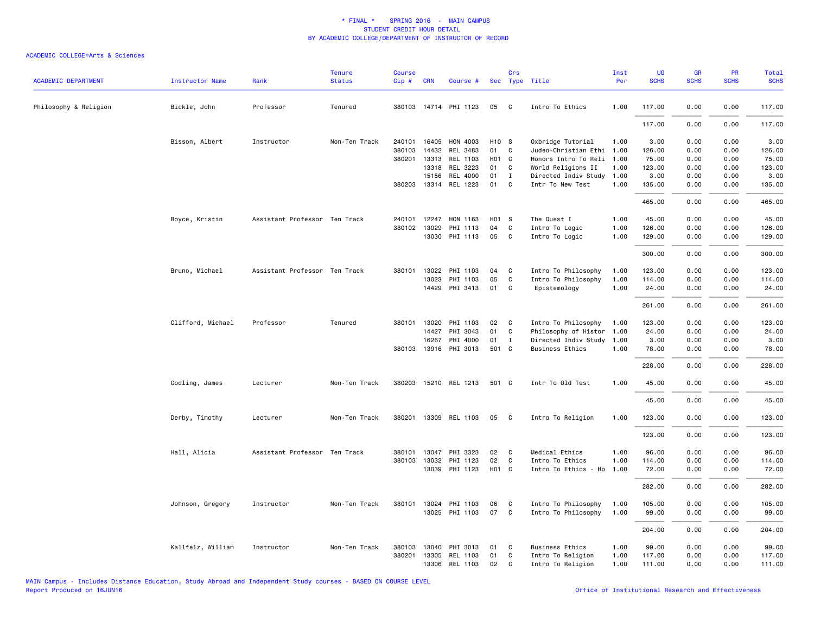| <b>ACADEMIC DEPARTMENT</b> | <b>Instructor Name</b> | Rank                          | <b>Tenure</b><br><b>Status</b> | <b>Course</b><br>Cip# | <b>CRN</b>   | Course #              |                   | Crs            | Sec Type Title            | Inst<br>Per | UG<br><b>SCHS</b> | <b>GR</b><br><b>SCHS</b> | PR<br><b>SCHS</b> | Total<br><b>SCHS</b> |
|----------------------------|------------------------|-------------------------------|--------------------------------|-----------------------|--------------|-----------------------|-------------------|----------------|---------------------------|-------------|-------------------|--------------------------|-------------------|----------------------|
| Philosophy & Religion      | Bickle, John           | Professor                     | Tenured                        |                       |              | 380103 14714 PHI 1123 | 05                | $\mathbf{C}$   | Intro To Ethics           | 1.00        | 117.00            | 0.00                     | 0.00              | 117.00               |
|                            |                        |                               |                                |                       |              |                       |                   |                |                           |             | 117.00            | 0.00                     | 0.00              | 117.00               |
|                            | Bisson, Albert         | Instructor                    | Non-Ten Track                  |                       | 240101 16405 | HON 4003              | H <sub>10</sub> S |                | Oxbridge Tutorial         | 1.00        | 3.00              | 0.00                     | 0.00              | 3.00                 |
|                            |                        |                               |                                | 380103                | 14432        | REL 3483              | 01                | $\mathbf{C}$   | Judeo-Christian Ethi 1.00 |             | 126.00            | 0.00                     | 0.00              | 126.00               |
|                            |                        |                               |                                | 380201                | 13313        | REL 1103              |                   | HO1 C          | Honors Intro To Reli      | 1.00        | 75.00             | 0.00                     | 0.00              | 75.00                |
|                            |                        |                               |                                |                       | 13318        | REL 3223              | 01                | C.             | World Religions II        | 1.00        | 123.00            | 0.00                     | 0.00              | 123.00               |
|                            |                        |                               |                                |                       | 15156        | <b>REL 4000</b>       | 01                | $\mathbf{I}$   | Directed Indiv Study      | 1.00        | 3.00              | 0.00                     | 0.00              | 3.00                 |
|                            |                        |                               |                                |                       | 380203 13314 | REL 1223              | 01                | $\mathbf{C}$   | Intr To New Test          | 1.00        | 135.00            | 0.00                     | 0.00              | 135.00               |
|                            |                        |                               |                                |                       |              |                       |                   |                |                           |             | 465.00            | 0.00                     | 0.00              | 465.00               |
|                            | Boyce, Kristin         | Assistant Professor Ten Track |                                | 240101                | 12247        | HON 1163              | H01 S             |                | The Quest I               | 1.00        | 45.00             | 0.00                     | 0.00              | 45.00                |
|                            |                        |                               |                                | 380102                | 13029        | PHI 1113              | 04                | C              | Intro To Logic            | 1.00        | 126.00            | 0.00                     | 0.00              | 126.00               |
|                            |                        |                               |                                |                       | 13030        | PHI 1113              | 05 C              |                | Intro To Logic            | 1.00        | 129.00            | 0.00                     | 0.00              | 129.00               |
|                            |                        |                               |                                |                       |              |                       |                   |                |                           |             | 300.00            | 0.00                     | 0.00              | 300.00               |
|                            | Bruno, Michael         | Assistant Professor Ten Track |                                | 380101                | 13022        | PHI 1103              | 04                | C              | Intro To Philosophy       | 1.00        | 123.00            | 0.00                     | 0.00              | 123.00               |
|                            |                        |                               |                                |                       | 13023        | PHI 1103              | 05                | C              | Intro To Philosophy       | 1.00        | 114.00            | 0.00                     | 0.00              | 114.00               |
|                            |                        |                               |                                |                       | 14429        | PHI 3413              | 01                | C              | Epistemology              | 1.00        | 24.00             | 0.00                     | 0.00              | 24.00                |
|                            |                        |                               |                                |                       |              |                       |                   |                |                           |             | 261.00            | 0.00                     | 0.00              | 261.00               |
|                            | Clifford, Michael      | Professor                     | Tenured                        |                       | 380101 13020 | PHI 1103              | 02                | $\mathbf{C}$   | Intro To Philosophy       | 1.00        | 123.00            | 0.00                     | 0.00              | 123.00               |
|                            |                        |                               |                                |                       | 14427        | PHI 3043              | 01                | $\mathbf{C}$   | Philosophy of Histor 1.00 |             | 24.00             | 0.00                     | 0.00              | 24.00                |
|                            |                        |                               |                                |                       | 16267        | PHI 4000              | 01                | $\mathbf{I}$   | Directed Indiv Study 1.00 |             | 3.00              | 0.00                     | 0.00              | 3.00                 |
|                            |                        |                               |                                |                       | 380103 13916 | PHI 3013              | 501 C             |                | Business Ethics           | 1.00        | 78.00             | 0.00                     | 0.00              | 78.00                |
|                            |                        |                               |                                |                       |              |                       |                   |                |                           |             | 228.00            | 0.00                     | 0.00              | 228.00               |
|                            | Codling, James         | Lecturer                      | Non-Ten Track                  |                       |              | 380203 15210 REL 1213 | 501 C             |                | Intr To Old Test          | 1.00        | 45.00             | 0.00                     | 0.00              | 45.00                |
|                            |                        |                               |                                |                       |              |                       |                   |                |                           |             | 45.00             | 0.00                     | 0.00              | 45.00                |
|                            | Derby, Timothy         | Lecturer                      | Non-Ten Track                  |                       |              | 380201 13309 REL 1103 | 05                | $\mathbf{C}$   | Intro To Religion         | 1.00        | 123.00            | 0.00                     | 0.00              | 123.00               |
|                            |                        |                               |                                |                       |              |                       |                   |                |                           |             | 123.00            | 0.00                     | 0.00              | 123.00               |
|                            | Hall, Alicia           | Assistant Professor Ten Track |                                |                       | 380101 13047 | PHI 3323              | 02                | $\overline{c}$ | Medical Ethics            | 1.00        | 96.00             | 0.00                     | 0.00              | 96.00                |
|                            |                        |                               |                                |                       | 380103 13032 | PHI 1123              | 02                | $\mathbf{C}$   | Intro To Ethics           | 1.00        | 114.00            | 0.00                     | 0.00              | 114.00               |
|                            |                        |                               |                                |                       | 13039        | PHI 1123              | HO1 C             |                | Intro To Ethics - Ho      | 1.00        | 72.00             | 0.00                     | 0.00              | 72.00                |
|                            |                        |                               |                                |                       |              |                       |                   |                |                           |             |                   |                          |                   |                      |
|                            |                        |                               |                                |                       |              |                       |                   |                |                           |             | 282.00            | 0.00                     | 0.00              | 282.00               |
|                            | Johnson, Gregory       | Instructor                    | Non-Ten Track                  |                       |              | 380101 13024 PHI 1103 | 06                | $\mathbf{C}$   | Intro To Philosophy       | 1.00        | 105.00            | 0.00                     | 0.00              | 105.00               |
|                            |                        |                               |                                |                       |              | 13025 PHI 1103        | 07                | $\overline{c}$ | Intro To Philosophy       | 1.00        | 99.00             | 0.00                     | 0.00              | 99.00                |
|                            |                        |                               |                                |                       |              |                       |                   |                |                           |             | 204.00            | 0.00                     | 0.00              | 204.00               |
|                            | Kallfelz, William      | Instructor                    | Non-Ten Track                  | 380103                | 13040        | PHI 3013              | 01                | $\mathbf{C}$   | <b>Business Ethics</b>    | 1.00        | 99.00             | 0.00                     | 0.00              | 99.00                |
|                            |                        |                               |                                | 380201                | 13305        | REL 1103              | 01                | C              | Intro To Religion         | 1.00        | 117.00            | 0.00                     | 0.00              | 117.00               |
|                            |                        |                               |                                |                       |              | 13306 REL 1103        | 02                | C              | Intro To Religion         | 1.00        | 111.00            | 0.00                     | 0.00              | 111.00               |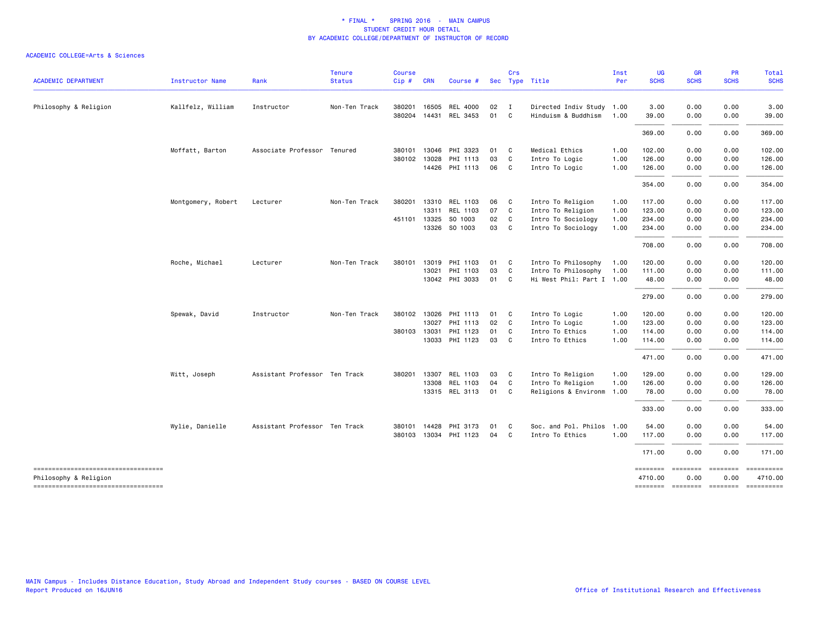| <b>ACADEMIC DEPARTMENT</b>                                  | <b>Instructor Name</b> | Rank                          | <b>Tenure</b><br><b>Status</b> | <b>Course</b><br>Cip# | <b>CRN</b> | Course #                          |          | Crs                            | Sec Type Title                                   | Inst<br>Per  | <b>UG</b><br><b>SCHS</b> | <b>GR</b><br><b>SCHS</b> | <b>PR</b><br><b>SCHS</b> | Total<br><b>SCHS</b>                                                                                         |
|-------------------------------------------------------------|------------------------|-------------------------------|--------------------------------|-----------------------|------------|-----------------------------------|----------|--------------------------------|--------------------------------------------------|--------------|--------------------------|--------------------------|--------------------------|--------------------------------------------------------------------------------------------------------------|
|                                                             |                        |                               |                                |                       |            |                                   |          |                                |                                                  |              |                          |                          |                          |                                                                                                              |
| Philosophy & Religion                                       | Kallfelz, William      | Instructor                    | Non-Ten Track                  | 380201 16505          |            | REL 4000<br>380204 14431 REL 3453 | 02<br>01 | $\blacksquare$<br>$\mathbf{C}$ | Directed Indiv Study 1.00<br>Hinduism & Buddhism | 1.00         | 3.00<br>39.00            | 0.00<br>0.00             | 0.00<br>0.00             | 3.00<br>39.00                                                                                                |
|                                                             |                        |                               |                                |                       |            |                                   |          |                                |                                                  |              | 369.00                   | 0.00                     | 0.00                     | 369.00                                                                                                       |
|                                                             | Moffatt, Barton        | Associate Professor Tenured   |                                | 380101                | 13046      | PHI 3323                          | 01       | $\mathbf{C}$                   | Medical Ethics                                   | 1.00         | 102.00                   | 0.00                     | 0.00                     | 102.00                                                                                                       |
|                                                             |                        |                               |                                | 380102 13028          | 14426      | PHI 1113<br>PHI 1113              | 03<br>06 | C<br>$\mathbf{C}$              | Intro To Logic<br>Intro To Logic                 | 1.00<br>1.00 | 126.00<br>126.00         | 0.00<br>0.00             | 0.00<br>0.00             | 126.00<br>126.00                                                                                             |
|                                                             |                        |                               |                                |                       |            |                                   |          |                                |                                                  |              | 354.00                   | 0.00                     | 0.00                     | 354.00                                                                                                       |
|                                                             | Montgomery, Robert     | Lecturer                      | Non-Ten Track                  |                       |            | 380201 13310 REL 1103             | 06       | $\mathbf{C}$                   | Intro To Religion                                | 1.00         | 117.00                   | 0.00                     | 0.00                     | 117.00                                                                                                       |
|                                                             |                        |                               |                                |                       | 13311      | REL 1103                          | 07       | $\mathbf{C}$                   | Intro To Religion                                | 1.00         | 123.00                   | 0.00                     | 0.00                     | 123.00                                                                                                       |
|                                                             |                        |                               |                                | 451101 13325          |            | SO 1003                           | 02 C     |                                | Intro To Sociology                               | 1.00         | 234.00                   | 0.00                     | 0.00                     | 234.00                                                                                                       |
|                                                             |                        |                               |                                |                       |            | 13326 SO 1003                     | 03 C     |                                | Intro To Sociology                               | 1.00         | 234.00                   | 0.00                     | 0.00                     | 234.00                                                                                                       |
|                                                             |                        |                               |                                |                       |            |                                   |          |                                |                                                  |              | 708.00                   | 0.00                     | 0.00                     | 708.00                                                                                                       |
|                                                             | Roche, Michael         | Lecturer                      | Non-Ten Track                  | 380101                | 13019      | PHI 1103                          | 01       | $\mathbf{C}$                   | Intro To Philosophy                              | 1.00         | 120.00                   | 0.00                     | 0.00                     | 120.00                                                                                                       |
|                                                             |                        |                               |                                |                       | 13021      | PHI 1103                          | 03       | $\mathbf{C}$                   | Intro To Philosophy                              | 1.00         | 111.00                   | 0.00                     | 0.00                     | 111.00                                                                                                       |
|                                                             |                        |                               |                                |                       |            | 13042 PHI 3033                    | 01 C     |                                | Hi West Phil: Part I 1.00                        |              | 48.00                    | 0.00                     | 0.00                     | 48.00                                                                                                        |
|                                                             |                        |                               |                                |                       |            |                                   |          |                                |                                                  |              | 279.00                   | 0.00                     | 0.00                     | 279.00                                                                                                       |
|                                                             | Spewak, David          | Instructor                    | Non-Ten Track                  | 380102 13026          |            | PHI 1113                          | 01       | $\mathbf{C}$                   | Intro To Logic                                   | 1.00         | 120.00                   | 0.00                     | 0.00                     | 120.00                                                                                                       |
|                                                             |                        |                               |                                |                       | 13027      | PHI 1113                          | 02       | $\mathbf{C}$                   | Intro To Logic                                   | 1.00         | 123.00                   | 0.00                     | 0.00                     | 123.00                                                                                                       |
|                                                             |                        |                               |                                | 380103 13031          |            | PHI 1123                          | 01       | $\mathbf{C}$                   | Intro To Ethics                                  | 1.00         | 114.00                   | 0.00                     | 0.00                     | 114.00                                                                                                       |
|                                                             |                        |                               |                                |                       | 13033      | PHI 1123                          | 03 C     |                                | Intro To Ethics                                  | 1.00         | 114.00                   | 0.00                     | 0.00                     | 114.00                                                                                                       |
|                                                             |                        |                               |                                |                       |            |                                   |          |                                |                                                  |              | 471.00                   | 0.00                     | 0.00                     | 471.00                                                                                                       |
|                                                             | Witt, Joseph           | Assistant Professor Ten Track |                                | 380201                | 13307      | REL 1103                          | 03       | $\mathbf{C}$                   | Intro To Religion                                | 1.00         | 129.00                   | 0.00                     | 0.00                     | 129.00                                                                                                       |
|                                                             |                        |                               |                                |                       | 13308      | REL 1103                          | 04 C     |                                | Intro To Religion                                | 1.00         | 126.00                   | 0.00                     | 0.00                     | 126.00                                                                                                       |
|                                                             |                        |                               |                                |                       |            | 13315 REL 3113                    | 01 C     |                                | Religions & Environm                             | 1.00         | 78.00                    | 0.00                     | 0.00                     | 78.00                                                                                                        |
|                                                             |                        |                               |                                |                       |            |                                   |          |                                |                                                  |              | 333.00                   | 0.00                     | 0.00                     | 333.00                                                                                                       |
|                                                             | Wylie, Danielle        | Assistant Professor Ten Track |                                | 380101 14428          |            | PHI 3173                          | 01       | $\mathbf{C}$                   | Soc. and Pol. Philos 1.00                        |              | 54.00                    | 0.00                     | 0.00                     | 54.00                                                                                                        |
|                                                             |                        |                               |                                |                       |            | 380103 13034 PHI 1123             | 04       | C                              | Intro To Ethics                                  | 1.00         | 117.00                   | 0.00                     | 0.00                     | 117.00                                                                                                       |
|                                                             |                        |                               |                                |                       |            |                                   |          |                                |                                                  |              | 171.00                   | 0.00                     | 0.00                     | 171.00                                                                                                       |
| ----------------------------------<br>Philosophy & Religion |                        |                               |                                |                       |            |                                   |          |                                |                                                  |              | ========<br>4710.00      | <b>EDEDEED</b><br>0.00   | ========<br>0.00         | 4710.00                                                                                                      |
| -----------------------------------                         |                        |                               |                                |                       |            |                                   |          |                                |                                                  |              | ========                 | --------- --------       |                          | $\qquad \qquad \blacksquare \qquad \blacksquare \qquad \blacksquare \qquad \blacksquare \qquad \blacksquare$ |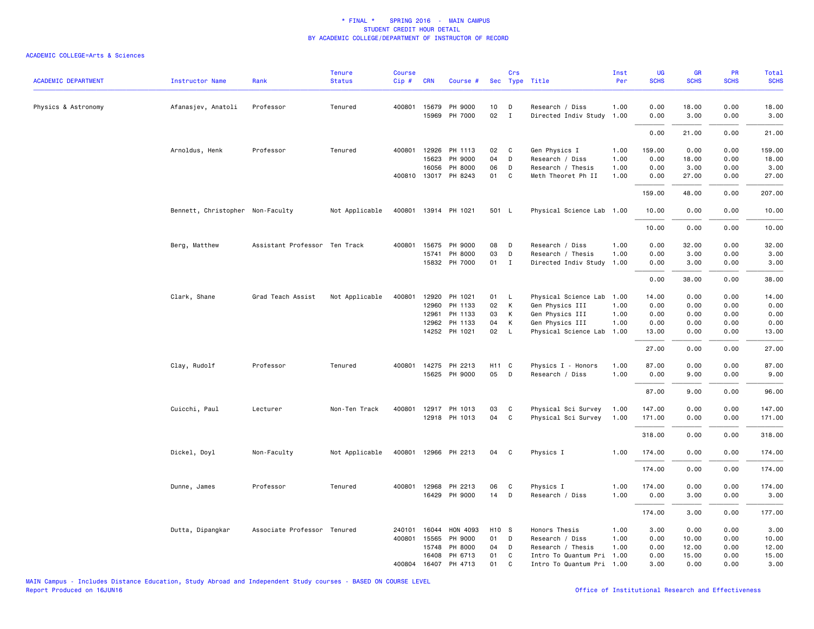| <b>ACADEMIC DEPARTMENT</b> | <b>Instructor Name</b>           | Rank                          | <b>Tenure</b><br><b>Status</b> | <b>Course</b><br>Cip# | <b>CRN</b>   | Course #             |                   | Crs          | Sec Type Title            | Inst<br>Per | UG<br><b>SCHS</b> | GR<br><b>SCHS</b> | PR<br><b>SCHS</b> | Total<br><b>SCHS</b> |
|----------------------------|----------------------------------|-------------------------------|--------------------------------|-----------------------|--------------|----------------------|-------------------|--------------|---------------------------|-------------|-------------------|-------------------|-------------------|----------------------|
|                            |                                  |                               |                                |                       |              |                      |                   |              |                           |             |                   |                   |                   |                      |
| Physics & Astronomy        | Afanasjev, Anatoli               | Professor                     | Tenured                        |                       | 400801 15679 | PH 9000              | 10                | D            | Research / Diss           | 1.00        | 0.00              | 18.00             | 0.00              | 18.00                |
|                            |                                  |                               |                                |                       | 15969        | PH 7000              | $02\,$            | $\mathbf{I}$ | Directed Indiv Study 1.00 |             | 0.00              | 3.00              | 0.00              | 3.00                 |
|                            |                                  |                               |                                |                       |              |                      |                   |              |                           |             | 0.00              | 21.00             | 0.00              | 21.00                |
|                            | Arnoldus, Henk                   | Professor                     | Tenured                        |                       | 400801 12926 | PH 1113              | 02                | C            | Gen Physics I             | 1.00        | 159.00            | 0.00              | 0.00              | 159.00               |
|                            |                                  |                               |                                |                       | 15623        | PH 9000              | 04                | D            | Research / Diss           | 1.00        | 0.00              | 18.00             | 0.00              | 18.00                |
|                            |                                  |                               |                                |                       | 16056        | PH 8000              | 06                | D            | Research / Thesis         | 1.00        | 0.00              | 3.00              | 0.00              | 3.00                 |
|                            |                                  |                               |                                |                       |              | 400810 13017 PH 8243 | 01                | C            | Meth Theoret Ph II        | 1.00        | 0.00              | 27.00             | 0.00              | 27.00                |
|                            |                                  |                               |                                |                       |              |                      |                   |              |                           |             | 159.00            | 48.00             | 0.00              | 207.00               |
|                            | Bennett, Christopher Non-Faculty |                               | Not Applicable                 |                       |              | 400801 13914 PH 1021 | 501 L             |              | Physical Science Lab 1.00 |             | 10.00             | 0.00              | 0.00              | 10.00                |
|                            |                                  |                               |                                |                       |              |                      |                   |              |                           |             | 10.00             | 0.00              | 0.00              | 10.00                |
|                            | Berg, Matthew                    | Assistant Professor Ten Track |                                | 400801                | 15675        | PH 9000              | 08                | D            | Research / Diss           | 1.00        | 0.00              | 32.00             | 0.00              | 32.00                |
|                            |                                  |                               |                                |                       | 15741        | PH 8000              | 03                | D            | Research / Thesis         | 1.00        | 0.00              | 3.00              | 0.00              | 3.00                 |
|                            |                                  |                               |                                |                       |              | 15832 PH 7000        | 01                | $\mathbf{I}$ | Directed Indiv Study      | 1.00        | 0.00              | 3.00              | 0.00              | 3.00                 |
|                            |                                  |                               |                                |                       |              |                      |                   |              |                           |             | 0.00              | 38.00             | 0.00              | 38.00                |
|                            | Clark, Shane                     | Grad Teach Assist             | Not Applicable                 | 400801                | 12920        | PH 1021              | 01                | <b>L</b>     | Physical Science Lab      | 1.00        | 14.00             | 0.00              | 0.00              | 14.00                |
|                            |                                  |                               |                                |                       | 12960        | PH 1133              | 02                | К            | Gen Physics III           | 1.00        | 0.00              | 0.00              | 0.00              | 0.00                 |
|                            |                                  |                               |                                |                       | 12961        | PH 1133              | 03                | К            | Gen Physics III           | 1.00        | 0.00              | 0.00              | 0.00              | 0.00                 |
|                            |                                  |                               |                                |                       | 12962        | PH 1133              | 04                | К            | Gen Physics III           | 1.00        | 0.00              | 0.00              | 0.00              | 0.00                 |
|                            |                                  |                               |                                |                       |              | 14252 PH 1021        | 02                | $\mathsf{L}$ | Physical Science Lab      | 1.00        | 13.00             | 0.00              | 0.00              | 13.00                |
|                            |                                  |                               |                                |                       |              |                      |                   |              |                           |             | 27.00             | 0.00              | 0.00              | 27.00                |
|                            | Clay, Rudolf                     | Professor                     | Tenured                        | 400801                |              | 14275 PH 2213        | H11 C             |              | Physics I - Honors        | 1.00        | 87.00             | 0.00              | 0.00              | 87.00                |
|                            |                                  |                               |                                |                       |              | 15625 PH 9000        | 05                | D            | Research / Diss           | 1.00        | 0.00              | 9.00              | 0.00              | 9.00                 |
|                            |                                  |                               |                                |                       |              |                      |                   |              |                           |             | 87.00             | 9.00              | 0.00              | 96.00                |
|                            | Cuicchi, Paul                    | Lecturer                      | Non-Ten Track                  |                       |              | 400801 12917 PH 1013 | 03                | C            | Physical Sci Survey       | 1.00        | 147.00            | 0.00              | 0.00              | 147.00               |
|                            |                                  |                               |                                |                       |              | 12918 PH 1013        | 04                | C            | Physical Sci Survey       | 1.00        | 171.00            | 0.00              | 0.00              | 171.00               |
|                            |                                  |                               |                                |                       |              |                      |                   |              |                           |             | 318.00            | 0.00              | 0.00              | 318.00               |
|                            | Dickel, Doyl                     | Non-Faculty                   | Not Applicable                 |                       |              | 400801 12966 PH 2213 | 04                | C            | Physics I                 | 1.00        | 174.00            | 0.00              | 0.00              | 174.00               |
|                            |                                  |                               |                                |                       |              |                      |                   |              |                           |             | 174.00            | 0.00              | 0.00              | 174.00               |
|                            | Dunne, James                     | Professor                     | Tenured                        | 400801                |              | 12968 PH 2213        | 06                | C            | Physics I                 | 1.00        | 174.00            | 0.00              | 0.00              | 174.00               |
|                            |                                  |                               |                                |                       |              | 16429 PH 9000        | 14                | D            | Research / Diss           | 1.00        | 0.00              | 3.00              | 0.00              | 3.00                 |
|                            |                                  |                               |                                |                       |              |                      |                   |              |                           |             |                   |                   |                   |                      |
|                            |                                  |                               |                                |                       |              |                      |                   |              |                           |             | 174.00            | 3.00              | 0.00              | 177.00               |
|                            | Dutta, Dipangkar                 | Associate Professor Tenured   |                                | 240101                | 16044        | HON 4093             | H <sub>10</sub> S |              | Honors Thesis             | 1.00        | 3.00              | 0.00              | 0.00              | 3.00                 |
|                            |                                  |                               |                                |                       | 400801 15565 | PH 9000              | 01                | D            | Research / Diss           | 1.00        | 0.00              | 10.00             | 0.00              | 10.00                |
|                            |                                  |                               |                                |                       | 15748        | PH 8000              | 04                | D            | Research / Thesis         | 1.00        | 0.00              | 12.00             | 0.00              | 12.00                |
|                            |                                  |                               |                                |                       | 16408        | PH 6713              | 01                | C            | Intro To Quantum Pri      | 1.00        | 0.00              | 15.00             | 0.00              | 15.00                |
|                            |                                  |                               |                                | 400804                |              | 16407 PH 4713        | 01                | C            | Intro To Quantum Pri 1.00 |             | 3.00              | 0.00              | 0.00              | 3.00                 |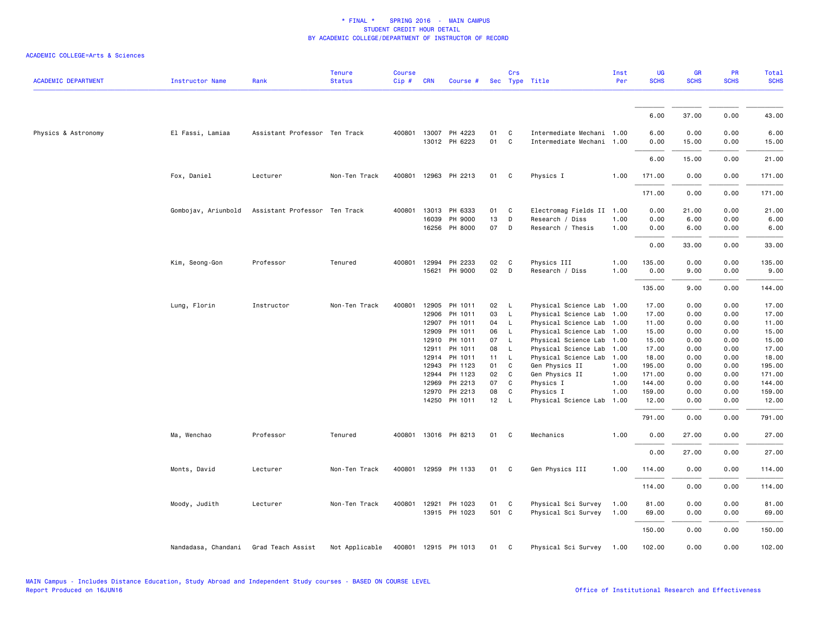| <b>ACADEMIC DEPARTMENT</b> | <b>Instructor Name</b>                | Rank                          | <b>Tenure</b><br><b>Status</b> | <b>Course</b><br>Cip# | <b>CRN</b>     | Course #             |                 | Crs                          | Sec Type Title                               | Inst<br>Per  | <b>UG</b><br><b>SCHS</b> | GR<br><b>SCHS</b> | PR<br><b>SCHS</b> | Total<br><b>SCHS</b> |
|----------------------------|---------------------------------------|-------------------------------|--------------------------------|-----------------------|----------------|----------------------|-----------------|------------------------------|----------------------------------------------|--------------|--------------------------|-------------------|-------------------|----------------------|
|                            |                                       |                               |                                |                       |                |                      |                 |                              |                                              |              |                          |                   |                   |                      |
|                            |                                       |                               |                                |                       |                |                      |                 |                              |                                              |              | 6.00                     | 37.00             | 0.00              | 43.00                |
| Physics & Astronomy        | El Fassi, Lamiaa                      | Assistant Professor Ten Track |                                |                       |                | 400801 13007 PH 4223 | 01              | C                            | Intermediate Mechani 1.00                    |              | 6.00                     | 0.00              | 0.00              | 6.00                 |
|                            |                                       |                               |                                |                       |                | 13012 PH 6223        | 01              | C                            | Intermediate Mechani 1.00                    |              | 0.00                     | 15.00             | 0.00              | 15.00                |
|                            |                                       |                               |                                |                       |                |                      |                 |                              |                                              |              | 6.00                     | 15.00             | 0.00              | 21.00                |
|                            | Fox, Daniel                           | Lecturer                      | Non-Ten Track                  | 400801                |                | 12963 PH 2213        | 01              | C                            | Physics I                                    | 1.00         | 171.00                   | 0.00              | 0.00              | 171.00               |
|                            |                                       |                               |                                |                       |                |                      |                 |                              |                                              |              | 171.00                   | 0.00              | 0.00              | 171.00               |
|                            | Gombojav, Ariunbold                   | Assistant Professor Ten Track |                                | 400801                |                | 13013 PH 6333        | 01              | C                            | Electromag Fields II 1.00                    |              | 0.00                     | 21.00             | 0.00              | 21.00                |
|                            |                                       |                               |                                |                       | 16039          | PH 9000              | 13              | D                            | Research / Diss                              | 1.00         | 0.00                     | 6.00              | 0.00              | 6.00                 |
|                            |                                       |                               |                                |                       | 16256          | PH 8000              | 07              | D                            | Research / Thesis                            | 1.00         | 0.00                     | 6.00              | 0.00              | 6.00                 |
|                            |                                       |                               |                                |                       |                |                      |                 |                              |                                              |              | 0.00                     | 33.00             | 0.00              | 33.00                |
|                            | Kim, Seong-Gon                        | Professor                     | Tenured                        | 400801                | 12994          | PH 2233              | 02              | C                            | Physics III                                  | 1.00         | 135.00                   | 0.00              | 0.00              | 135.00               |
|                            |                                       |                               |                                |                       | 15621          | PH 9000              | 02              | D                            | Research / Diss                              | 1.00         | 0.00                     | 9.00              | 0.00              | 9.00                 |
|                            |                                       |                               |                                |                       |                |                      |                 |                              |                                              |              | 135.00                   | 9.00              | 0.00              | 144.00               |
|                            | Lung, Florin                          | Instructor                    | Non-Ten Track                  | 400801                | 12905          | PH 1011              | 02 <sub>2</sub> | $\mathsf{L}$                 | Physical Science Lab                         | 1.00         | 17.00                    | 0.00              | 0.00              | 17.00                |
|                            |                                       |                               |                                |                       | 12906          | PH 1011              | 03              | $\mathsf{L}$                 | Physical Science Lab                         | 1.00         | 17.00                    | 0.00              | 0.00              | 17.00                |
|                            |                                       |                               |                                |                       | 12907          | PH 1011              | 04              | $\mathsf{L}$                 | Physical Science Lab                         | 1.00         | 11.00                    | 0.00              | 0.00              | 11.00                |
|                            |                                       |                               |                                |                       | 12909<br>12910 | PH 1011<br>PH 1011   | 06<br>07        | $\mathsf{L}$<br>$\mathsf{L}$ | Physical Science Lab<br>Physical Science Lab | 1.00<br>1.00 | 15.00<br>15.00           | 0.00<br>0.00      | 0.00<br>0.00      | 15.00<br>15.00       |
|                            |                                       |                               |                                |                       | 12911          | PH 1011              | 08              | $\mathsf{L}$                 | Physical Science Lab                         | 1.00         | 17.00                    | 0.00              | 0.00              | 17.00                |
|                            |                                       |                               |                                |                       | 12914          | PH 1011              | 11              | $\mathsf{L}$                 | Physical Science Lab                         | 1.00         | 18.00                    | 0.00              | 0.00              | 18.00                |
|                            |                                       |                               |                                |                       | 12943          | PH 1123              | 01              | C                            | Gen Physics II                               | 1.00         | 195.00                   | 0.00              | 0.00              | 195.00               |
|                            |                                       |                               |                                |                       | 12944          | PH 1123              | 02              | C                            | Gen Physics II                               | 1.00         | 171.00                   | 0.00              | 0.00              | 171.00               |
|                            |                                       |                               |                                |                       | 12969          | PH 2213              | 07              | C                            | Physics I                                    | 1.00         | 144.00                   | 0.00              | 0.00              | 144.00               |
|                            |                                       |                               |                                |                       | 12970          | PH 2213              | 08              | C                            | Physics I                                    | 1.00         | 159.00                   | 0.00              | 0.00              | 159.00               |
|                            |                                       |                               |                                |                       |                | 14250 PH 1011        | 12              | $\mathsf{L}$                 | Physical Science Lab                         | 1.00         | 12.00                    | 0.00              | 0.00              | 12.00                |
|                            |                                       |                               |                                |                       |                |                      |                 |                              |                                              |              | 791.00                   | 0.00              | 0.00              | 791.00               |
|                            | Ma, Wenchao                           | Professor                     | Tenured                        |                       |                | 400801 13016 PH 8213 | 01              | C                            | Mechanics                                    | 1.00         | 0.00                     | 27.00             | 0.00              | 27.00                |
|                            |                                       |                               |                                |                       |                |                      |                 |                              |                                              |              | 0.00                     | 27.00             | 0.00              | 27.00                |
|                            | Monts, David                          | Lecturer                      | Non-Ten Track                  | 400801                |                | 12959 PH 1133        | 01              | C                            | Gen Physics III                              | 1.00         | 114.00                   | 0.00              | 0.00              | 114.00               |
|                            |                                       |                               |                                |                       |                |                      |                 |                              |                                              |              | 114.00                   | 0.00              | 0.00              | 114.00               |
|                            | Moody, Judith                         | Lecturer                      | Non-Ten Track                  |                       | 400801 12921   | PH 1023              | 01              | C                            | Physical Sci Survey                          | 1.00         | 81.00                    | 0.00              | 0.00              | 81.00                |
|                            |                                       |                               |                                |                       |                | 13915 PH 1023        | 501 C           |                              | Physical Sci Survey                          | 1.00         | 69.00                    | 0.00              | 0.00              | 69.00                |
|                            |                                       |                               |                                |                       |                |                      |                 |                              |                                              |              | 150.00                   | 0.00              | 0.00              | 150.00               |
|                            | Nandadasa, Chandani Grad Teach Assist |                               | Not Applicable                 |                       |                | 400801 12915 PH 1013 | 01              | C                            | Physical Sci Survey                          | 1.00         | 102.00                   | 0.00              | 0.00              | 102.00               |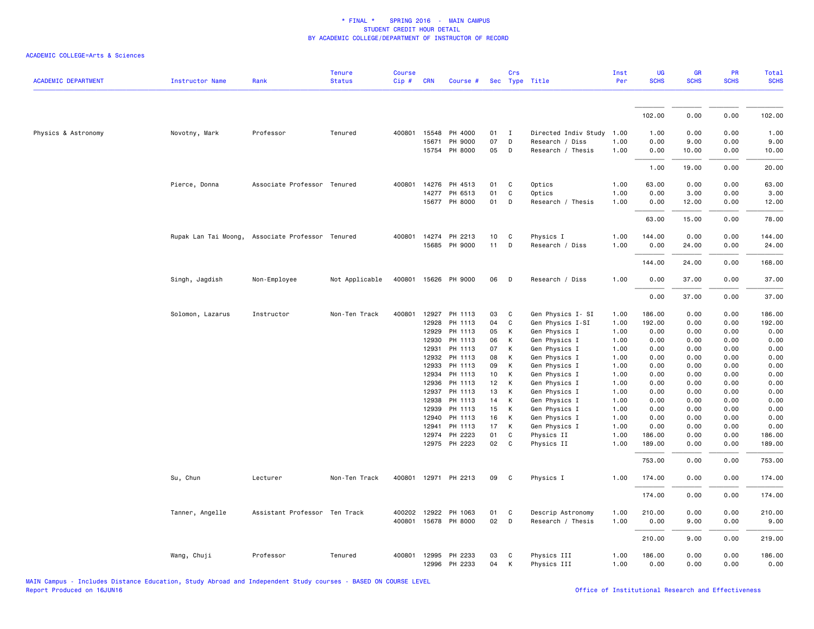| <b>ACADEMIC DEPARTMENT</b> | <b>Instructor Name</b> | Rank                                             | <b>Tenure</b><br><b>Status</b> | <b>Course</b><br>Cip# | <b>CRN</b>            | Course #             |          | Crs          | Sec Type Title                 | Inst<br>Per  | UG<br><b>SCHS</b> | GR<br><b>SCHS</b> | PR<br><b>SCHS</b> | Total<br><b>SCHS</b> |
|----------------------------|------------------------|--------------------------------------------------|--------------------------------|-----------------------|-----------------------|----------------------|----------|--------------|--------------------------------|--------------|-------------------|-------------------|-------------------|----------------------|
|                            |                        |                                                  |                                |                       |                       |                      |          |              |                                |              |                   |                   |                   |                      |
|                            |                        |                                                  |                                |                       |                       |                      |          |              |                                |              | 102.00            | 0.00              | 0.00              | 102.00               |
| Physics & Astronomy        | Novotny, Mark          | Professor                                        | Tenured                        |                       | 400801 15548          | PH 4000              | 01       | $\mathbf{I}$ | Directed Indiv Study           | 1.00         | 1.00              | 0.00              | 0.00              | 1.00                 |
|                            |                        |                                                  |                                |                       | 15671                 | PH 9000              | 07       | D            | Research / Diss                | 1.00         | 0.00              | 9.00              | 0.00              | 9.00                 |
|                            |                        |                                                  |                                |                       |                       | 15754 PH 8000        | 05       | $\mathsf{D}$ | Research / Thesis              | 1.00         | 0.00              | 10.00             | 0.00              | 10.00                |
|                            |                        |                                                  |                                |                       |                       |                      |          |              |                                |              | 1.00              | 19.00             | 0.00              | 20.00                |
|                            | Pierce, Donna          | Associate Professor Tenured                      |                                |                       |                       | 400801 14276 PH 4513 | 01       | C            | Optics                         | 1.00         | 63.00             | 0.00              | 0.00              | 63.00                |
|                            |                        |                                                  |                                |                       | 14277                 | PH 6513              | 01       | C            | Optics                         | 1.00         | 0.00              | 3.00              | 0.00              | 3.00                 |
|                            |                        |                                                  |                                |                       |                       | 15677 PH 8000        | 01       | D            | Research / Thesis              | 1.00         | 0.00              | 12.00             | 0.00              | 12.00                |
|                            |                        |                                                  |                                |                       |                       |                      |          |              |                                |              | 63.00             | 15.00             | 0.00              | 78.00                |
|                            |                        | Rupak Lan Tai Moong, Associate Professor Tenured |                                |                       |                       | 400801 14274 PH 2213 | 10       | C            | Physics I                      | 1.00         | 144.00            | 0.00              | 0.00              | 144.00               |
|                            |                        |                                                  |                                |                       |                       | 15685 PH 9000        | 11       | D            | Research / Diss                | 1.00         | 0.00              | 24.00             | 0.00              | 24.00                |
|                            |                        |                                                  |                                |                       |                       |                      |          |              |                                |              | 144.00            | 24.00             | 0.00              | 168.00               |
|                            | Singh, Jagdish         | Non-Employee                                     | Not Applicable                 |                       |                       | 400801 15626 PH 9000 | 06       | D            | Research / Diss                | 1.00         | 0.00              | 37.00             | 0.00              | 37.00                |
|                            |                        |                                                  |                                |                       |                       |                      |          |              |                                |              | 0.00              | 37.00             | 0.00              | 37.00                |
|                            | Solomon, Lazarus       | Instructor                                       | Non-Ten Track                  | 400801                | 12927                 | PH 1113              | 03       | C            | Gen Physics I- SI              | 1.00         | 186.00            | 0.00              | 0.00              | 186.00               |
|                            |                        |                                                  |                                |                       | 12928                 | PH 1113              | 04       | C            | Gen Physics I-SI               | 1.00         | 192.00            | 0.00              | 0.00              | 192.00               |
|                            |                        |                                                  |                                |                       | 12929                 | PH 1113              | 05       | К            | Gen Physics I                  | 1.00         | 0.00              | 0.00              | 0.00              | 0.00                 |
|                            |                        |                                                  |                                |                       | 12930                 | PH 1113              | 06       | К            | Gen Physics I                  | 1.00         | 0.00              | 0.00              | 0.00              | 0.00                 |
|                            |                        |                                                  |                                |                       | 12931                 | PH 1113              | 07       | К            | Gen Physics I                  | 1.00         | 0.00              | 0.00              | 0.00              | 0.00                 |
|                            |                        |                                                  |                                |                       | 12932                 | PH 1113              | 08       | К            | Gen Physics I                  | 1.00         | 0.00              | 0.00              | 0.00              | 0.00                 |
|                            |                        |                                                  |                                |                       | 12933                 | PH 1113              | 09       | К            | Gen Physics I                  | 1.00         | 0.00              | 0.00              | 0.00              | 0.00                 |
|                            |                        |                                                  |                                |                       | 12934                 | PH 1113              | 10       | К            | Gen Physics I                  | 1.00         | 0.00              | 0.00              | 0.00              | 0.00                 |
|                            |                        |                                                  |                                |                       | 12936                 | PH 1113              | 12       | K            | Gen Physics I                  | 1.00         | 0.00              | 0.00              | 0.00              | 0.00                 |
|                            |                        |                                                  |                                |                       | 12937<br>12938        | PH 1113<br>PH 1113   | 13       | К            | Gen Physics I                  | 1.00         | 0.00              | 0.00<br>0.00      | 0.00<br>0.00      | 0.00                 |
|                            |                        |                                                  |                                |                       | 12939                 | PH 1113              | 14<br>15 | К<br>K       | Gen Physics I<br>Gen Physics I | 1.00<br>1.00 | 0.00<br>0.00      | 0.00              | 0.00              | 0.00<br>0.00         |
|                            |                        |                                                  |                                |                       | 12940                 | PH 1113              | 16       | К            | Gen Physics I                  | 1.00         | 0.00              | 0.00              | 0.00              | 0.00                 |
|                            |                        |                                                  |                                |                       | 12941                 | PH 1113              | 17       | К            | Gen Physics I                  | 1.00         | 0.00              | 0.00              | 0.00              | 0.00                 |
|                            |                        |                                                  |                                |                       | 12974                 | PH 2223              | 01       | C            | Physics II                     | 1.00         | 186.00            | 0.00              | 0.00              | 186.00               |
|                            |                        |                                                  |                                |                       |                       | 12975 PH 2223        | 02       | $\mathbf{C}$ | Physics II                     | 1.00         | 189.00            | 0.00              | 0.00              | 189.00               |
|                            |                        |                                                  |                                |                       |                       |                      |          |              |                                |              | 753.00            | 0.00              | 0.00              | 753.00               |
|                            | Su, Chun               | Lecturer                                         | Non-Ten Track                  |                       |                       | 400801 12971 PH 2213 | 09       | $\mathbf{C}$ | Physics I                      | 1.00         | 174.00            | 0.00              | 0.00              | 174.00               |
|                            |                        |                                                  |                                |                       |                       |                      |          |              |                                |              | 174.00            | 0.00              | 0.00              | 174.00               |
|                            | Tanner, Angelle        | Assistant Professor Ten Track                    |                                |                       | 400202 12922          | PH 1063              | 01       | C            | Descrip Astronomy              | 1.00         | 210.00            | 0.00              | 0.00              | 210.00               |
|                            |                        |                                                  |                                |                       |                       | 400801 15678 PH 8000 | 02       | D            | Research / Thesis              | 1.00         | 0.00              | 9.00              | 0.00              | 9.00                 |
|                            |                        |                                                  |                                |                       |                       |                      |          |              |                                |              | 210.00            | 9.00              | 0.00              | 219.00               |
|                            | Wang, Chuji            | Professor                                        | Tenured                        |                       | 400801 12995<br>12996 | PH 2233<br>PH 2233   | 03<br>04 | C<br>К       | Physics III<br>Physics III     | 1.00<br>1.00 | 186.00<br>0.00    | 0.00<br>0.00      | 0.00<br>0.00      | 186.00<br>0.00       |
|                            |                        |                                                  |                                |                       |                       |                      |          |              |                                |              |                   |                   |                   |                      |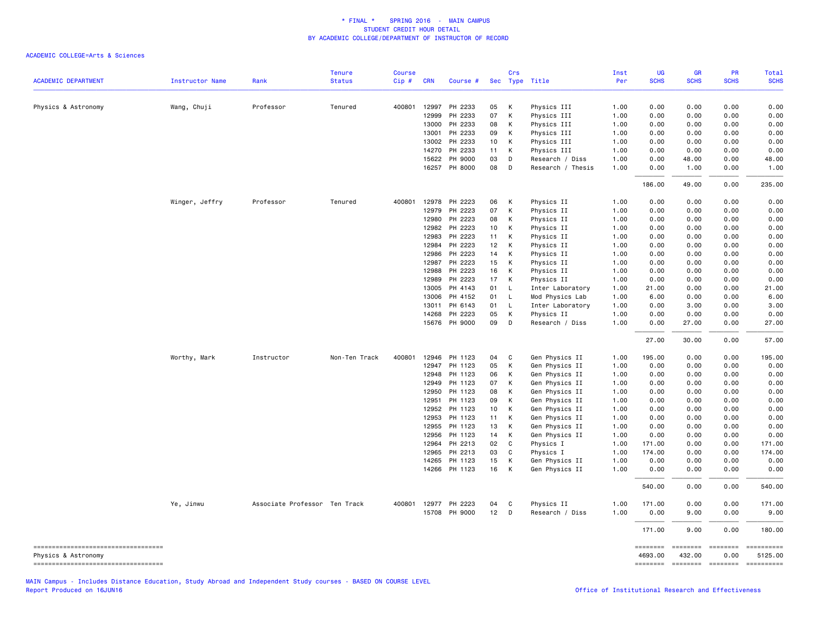### ACADEMIC COLLEGE=Arts & Sciences

|                                                              |                        |                               | <b>Tenure</b> | <b>Course</b> |              |                      |      | Crs                     |                   | Inst | UG                  | <b>GR</b>   | PR               | Total       |
|--------------------------------------------------------------|------------------------|-------------------------------|---------------|---------------|--------------|----------------------|------|-------------------------|-------------------|------|---------------------|-------------|------------------|-------------|
| <b>ACADEMIC DEPARTMENT</b>                                   | <b>Instructor Name</b> | Rank                          | <b>Status</b> | Cip#          | <b>CRN</b>   | Course #             |      |                         | Sec Type Title    | Per  | <b>SCHS</b>         | <b>SCHS</b> | <b>SCHS</b>      | <b>SCHS</b> |
| Physics & Astronomy                                          | Wang, Chuji            | Professor                     | Tenured       | 400801        | 12997        | PH 2233              | 05   | K                       | Physics III       | 1.00 | 0.00                | 0.00        | 0.00             | 0.00        |
|                                                              |                        |                               |               |               | 12999        | PH 2233              | 07   | К                       | Physics III       | 1.00 | 0.00                | 0.00        | 0.00             | 0.00        |
|                                                              |                        |                               |               |               | 13000        | PH 2233              | 08   | K                       | Physics III       | 1.00 | 0.00                | 0.00        | 0.00             | 0.00        |
|                                                              |                        |                               |               |               | 13001        | PH 2233              | 09   | K                       | Physics III       | 1.00 | 0.00                | 0.00        | 0.00             | 0.00        |
|                                                              |                        |                               |               |               | 13002        | PH 2233              | 10   | К                       | Physics III       | 1.00 | 0.00                | 0.00        | 0.00             | 0.00        |
|                                                              |                        |                               |               |               | 14270        | PH 2233              | 11   | K                       | Physics III       | 1.00 | 0.00                | 0.00        | 0.00             | 0.00        |
|                                                              |                        |                               |               |               | 15622        | PH 9000              | 03   | D                       | Research / Diss   | 1.00 | 0.00                | 48.00       | 0.00             | 48.00       |
|                                                              |                        |                               |               |               | 16257        | PH 8000              | 08 D |                         | Research / Thesis | 1.00 | 0.00                | 1.00        | 0.00             | 1.00        |
|                                                              |                        |                               |               |               |              |                      |      |                         |                   |      | 186.00              | 49.00       | 0.00             | 235.00      |
|                                                              | Winger, Jeffry         | Professor                     | Tenured       |               | 400801 12978 | PH 2223              | 06   | K                       | Physics II        | 1.00 | 0.00                | 0.00        | 0.00             | 0.00        |
|                                                              |                        |                               |               |               | 12979        | PH 2223              | 07   | К                       | Physics II        | 1.00 | 0.00                | 0.00        | 0.00             | 0.00        |
|                                                              |                        |                               |               |               | 12980        | PH 2223              | 08   | K                       | Physics II        | 1.00 | 0.00                | 0.00        | 0.00             | 0.00        |
|                                                              |                        |                               |               |               | 12982        | PH 2223              | 10   | K                       | Physics II        | 1.00 | 0.00                | 0.00        | 0.00             | 0.00        |
|                                                              |                        |                               |               |               | 12983        | PH 2223              | 11   | K                       | Physics II        | 1.00 | 0.00                | 0.00        | 0.00             | 0.00        |
|                                                              |                        |                               |               |               | 12984        | PH 2223              | 12 K |                         | Physics II        | 1.00 | 0.00                | 0.00        | 0.00             | 0.00        |
|                                                              |                        |                               |               |               | 12986        | PH 2223              | 14   | K                       | Physics II        | 1.00 | 0.00                | 0.00        | 0.00             | 0.00        |
|                                                              |                        |                               |               |               | 12987        | PH 2223              | 15   | K                       | Physics II        | 1.00 | 0.00                | 0.00        | 0.00             | 0.00        |
|                                                              |                        |                               |               |               | 12988        | PH 2223              | 16   | K                       | Physics II        | 1.00 | 0.00                | 0.00        | 0.00             | 0.00        |
|                                                              |                        |                               |               |               | 12989        | PH 2223              | 17   | K                       | Physics II        | 1.00 | 0.00                | 0.00        | 0.00             | 0.00        |
|                                                              |                        |                               |               |               | 13005        | PH 4143              | 01   | L.                      | Inter Laboratory  | 1.00 | 21.00               | 0.00        | 0.00             | 21.00       |
|                                                              |                        |                               |               |               | 13006        | PH 4152              | 01   | $\mathsf{L}$            | Mod Physics Lab   | 1.00 | 6.00                | 0.00        | 0.00             | 6.00        |
|                                                              |                        |                               |               |               | 13011        | PH 6143              | 01   | - L                     | Inter Laboratory  | 1.00 | 0.00                | 3.00        | 0.00             | 3.00        |
|                                                              |                        |                               |               |               | 14268        | PH 2223              | 05   | $\mathsf{K}$            | Physics II        | 1.00 | 0.00                | 0.00        | 0.00             | 0.00        |
|                                                              |                        |                               |               |               | 15676        | PH 9000              | 09   | D                       | Research / Diss   | 1.00 | 0.00                | 27.00       | 0.00             | 27.00       |
|                                                              |                        |                               |               |               |              |                      |      |                         |                   |      | 27.00               | 30.00       | 0.00             | 57.00       |
|                                                              | Worthy, Mark           | Instructor                    | Non-Ten Track | 400801        | 12946        | PH 1123              | 04   | C                       | Gen Physics II    | 1.00 | 195.00              | 0.00        | 0.00             | 195.00      |
|                                                              |                        |                               |               |               | 12947        | PH 1123              | 05   | K                       | Gen Physics II    | 1.00 | 0.00                | 0.00        | 0.00             | 0.00        |
|                                                              |                        |                               |               |               | 12948        | PH 1123              | 06   | K                       | Gen Physics II    | 1.00 | 0.00                | 0.00        | 0.00             | 0.00        |
|                                                              |                        |                               |               |               | 12949        | PH 1123              | 07   | К                       | Gen Physics II    | 1.00 | 0.00                | 0.00        | 0.00             | 0.00        |
|                                                              |                        |                               |               |               | 12950        | PH 1123              | 08   | К                       | Gen Physics II    | 1.00 | 0.00                | 0.00        | 0.00             | 0.00        |
|                                                              |                        |                               |               |               | 12951        | PH 1123              | 09   | K                       | Gen Physics II    | 1.00 | 0.00                | 0.00        | 0.00             | 0.00        |
|                                                              |                        |                               |               |               | 12952        | PH 1123              | 10   | K                       | Gen Physics II    | 1.00 | 0.00                | 0.00        | 0.00             | 0.00        |
|                                                              |                        |                               |               |               | 12953        | PH 1123              | 11   | К                       | Gen Physics II    | 1.00 | 0.00                | 0.00        | 0.00             | 0.00        |
|                                                              |                        |                               |               |               | 12955        | PH 1123              | 13   | K                       | Gen Physics II    | 1.00 | 0.00                | 0.00        | 0.00             | 0.00        |
|                                                              |                        |                               |               |               | 12956        | PH 1123              | 14   | K                       | Gen Physics II    | 1.00 | 0.00                | 0.00        | 0.00             | 0.00        |
|                                                              |                        |                               |               |               | 12964        | PH 2213              | 02   | C                       | Physics I         | 1.00 | 171.00              | 0.00        | 0.00             | 171.00      |
|                                                              |                        |                               |               |               | 12965        | PH 2213              | 03   | C                       | Physics I         | 1.00 | 174.00              | 0.00        | 0.00             | 174.00      |
|                                                              |                        |                               |               |               | 14265        | PH 1123              | 15   | K                       | Gen Physics II    | 1.00 | 0.00                | 0.00        | 0.00             | 0.00        |
|                                                              |                        |                               |               |               | 14266        | PH 1123              | 16   | K                       | Gen Physics II    | 1.00 | 0.00                | 0.00        | 0.00             | 0.00        |
|                                                              |                        |                               |               |               |              |                      |      |                         |                   |      | 540.00              | 0.00        | 0.00             | 540.00      |
|                                                              | Ye, Jinwu              | Associate Professor Ten Track |               |               |              | 400801 12977 PH 2223 | 04   | $\overline{\mathbf{C}}$ | Physics II        | 1.00 | 171.00              | 0.00        | 0.00             | 171.00      |
|                                                              |                        |                               |               |               |              | 15708 PH 9000        | 12   | $\mathsf{D}$            | Research / Diss   | 1.00 | 0.00                | 9.00        | 0.00             | 9.00        |
|                                                              |                        |                               |               |               |              |                      |      |                         |                   |      | 171.00              | 9.00        | 0.00             | 180.00      |
| =====================================<br>Physics & Astronomy |                        |                               |               |               |              |                      |      |                         |                   |      | ========<br>4693.00 | 432.00      | 0.00             | 5125.00     |
| ----------------------------------                           |                        |                               |               |               |              |                      |      |                         |                   |      | ========            |             | -------- ------- |             |

MAIN Campus - Includes Distance Education, Study Abroad and Independent Study courses - BASED ON COURSE LEVEL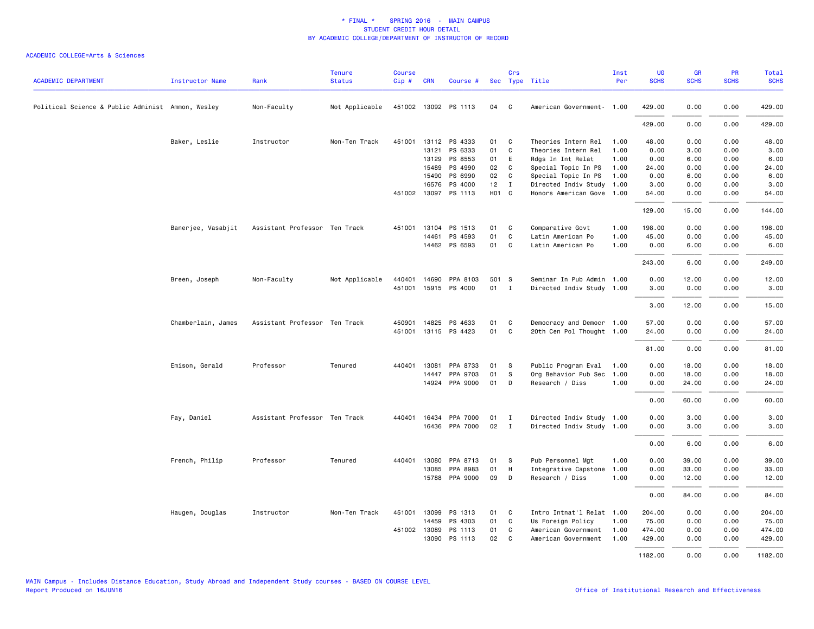| <b>ACADEMIC DEPARTMENT</b>                        | <b>Instructor Name</b> | Rank                          | <b>Tenure</b><br><b>Status</b> | <b>Course</b><br>Cip# | <b>CRN</b>   | Course #              |                   | Crs            | Sec Type Title            | Inst<br>Per | UG<br><b>SCHS</b> | <b>GR</b><br><b>SCHS</b> | <b>PR</b><br><b>SCHS</b> | <b>Total</b><br><b>SCHS</b> |
|---------------------------------------------------|------------------------|-------------------------------|--------------------------------|-----------------------|--------------|-----------------------|-------------------|----------------|---------------------------|-------------|-------------------|--------------------------|--------------------------|-----------------------------|
| Political Science & Public Administ Ammon, Wesley |                        | Non-Faculty                   | Not Applicable                 |                       |              | 451002 13092 PS 1113  | 04                | C              | American Government- 1.00 |             | 429.00            | 0.00                     | 0.00                     | 429.00                      |
|                                                   |                        |                               |                                |                       |              |                       |                   |                |                           |             | 429.00            | 0.00                     | 0.00                     | 429.00                      |
|                                                   | Baker, Leslie          | Instructor                    | Non-Ten Track                  |                       |              | 451001 13112 PS 4333  | 01                | C              | Theories Intern Rel       | 1.00        | 48.00             | 0.00                     | 0.00                     | 48.00                       |
|                                                   |                        |                               |                                |                       | 13121        | PS 6333               | 01                | C              | Theories Intern Rel       | 1.00        | 0.00              | 3.00                     | 0.00                     | 3.00                        |
|                                                   |                        |                               |                                |                       | 13129        | PS 8553               | 01                | E              | Rdgs In Int Relat         | 1.00        | 0.00              | 6.00                     | 0.00                     | 6.00                        |
|                                                   |                        |                               |                                |                       | 15489        | PS 4990               | 02                | C              | Special Topic In PS       | 1.00        | 24.00             | 0.00                     | 0.00                     | 24.00                       |
|                                                   |                        |                               |                                |                       | 15490        | PS 6990               | 02                | C              | Special Topic In PS       | 1.00        | 0.00              | 6.00                     | 0.00                     | 6.00                        |
|                                                   |                        |                               |                                |                       | 16576        | PS 4000               | 12                | $\blacksquare$ | Directed Indiv Study      | 1.00        | 3.00              | 0.00                     | 0.00                     | 3.00                        |
|                                                   |                        |                               |                                |                       |              | 451002 13097 PS 1113  | H <sub>01</sub> C |                | Honors American Gove 1.00 |             | 54.00             | 0.00                     | 0.00                     | 54.00                       |
|                                                   |                        |                               |                                |                       |              |                       |                   |                |                           |             | 129.00            | 15.00                    | 0.00                     | 144.00                      |
|                                                   | Banerjee, Vasabjit     | Assistant Professor Ten Track |                                | 451001                | 13104        | PS 1513               | 01                | C              | Comparative Govt          | 1.00        | 198.00            | 0.00                     | 0.00                     | 198.00                      |
|                                                   |                        |                               |                                |                       | 14461        | PS 4593               | 01                | C              | Latin American Po         | 1.00        | 45.00             | 0.00                     | 0.00                     | 45.00                       |
|                                                   |                        |                               |                                |                       |              | 14462 PS 6593         | 01                | C              | Latin American Po         | 1.00        | 0.00              | 6.00                     | 0.00                     | 6.00                        |
|                                                   |                        |                               |                                |                       |              |                       |                   |                |                           |             | 243.00            | 6.00                     | 0.00                     | 249.00                      |
|                                                   | Breen, Joseph          | Non-Faculty                   | Not Applicable                 | 440401                | 14690        | PPA 8103              | 501 S             |                | Seminar In Pub Admin 1.00 |             | 0.00              | 12.00                    | 0.00                     | 12.00                       |
|                                                   |                        |                               |                                | 451001                |              | 15915 PS 4000         | 01                | $\mathbf{I}$   | Directed Indiv Study 1.00 |             | 3.00              | 0.00                     | 0.00                     | 3.00                        |
|                                                   |                        |                               |                                |                       |              |                       |                   |                |                           |             | 3.00              | 12.00                    | 0.00                     | 15.00                       |
|                                                   | Chamberlain, James     | Assistant Professor Ten Track |                                | 450901                |              | 14825 PS 4633         | 01                | C.             | Democracy and Democr 1.00 |             | 57.00             | 0.00                     | 0.00                     | 57.00                       |
|                                                   |                        |                               |                                |                       |              | 451001 13115 PS 4423  | 01                | C              | 20th Cen Pol Thought 1.00 |             | 24.00             | 0.00                     | 0.00                     | 24.00                       |
|                                                   |                        |                               |                                |                       |              |                       |                   |                |                           |             | 81.00             | 0.00                     | 0.00                     | 81.00                       |
|                                                   | Emison, Gerald         | Professor                     | Tenured                        |                       |              | 440401 13081 PPA 8733 | 01                | S              | Public Program Eval       | 1.00        | 0.00              | 18.00                    | 0.00                     | 18.00                       |
|                                                   |                        |                               |                                |                       | 14447        | PPA 9703              | 01                | S              | Org Behavior Pub Sec      | 1.00        | 0.00              | 18.00                    | 0.00                     | 18.00                       |
|                                                   |                        |                               |                                |                       |              | 14924 PPA 9000        | 01                | D              | Research / Diss           | 1.00        | 0.00              | 24.00                    | 0.00                     | 24.00                       |
|                                                   |                        |                               |                                |                       |              |                       |                   |                |                           |             | 0.00              | 60.00                    | 0.00                     | 60.00                       |
|                                                   | Fay, Daniel            | Assistant Professor Ten Track |                                |                       |              | 440401 16434 PPA 7000 | 01                | $\mathbf{I}$   | Directed Indiv Study 1.00 |             | 0.00              | 3.00                     | 0.00                     | 3.00                        |
|                                                   |                        |                               |                                |                       |              | 16436 PPA 7000        | 02                | $\mathbf{I}$   | Directed Indiv Study 1.00 |             | 0.00              | 3.00                     | 0.00                     | 3.00                        |
|                                                   |                        |                               |                                |                       |              |                       |                   |                |                           |             | 0.00              | 6.00                     | 0.00                     | 6.00                        |
|                                                   | French, Philip         | Professor                     | Tenured                        | 440401                | 13080        | PPA 8713              | 01                | S              | Pub Personnel Mgt         | 1.00        | 0.00              | 39.00                    | 0.00                     | 39.00                       |
|                                                   |                        |                               |                                |                       | 13085        | PPA 8983              | 01                | H              | Integrative Capstone      | 1.00        | 0.00              | 33.00                    | 0.00                     | 33.00                       |
|                                                   |                        |                               |                                |                       |              | 15788 PPA 9000        | 09                | D              | Research / Diss           | 1.00        | 0.00              | 12.00                    | 0.00                     | 12.00                       |
|                                                   |                        |                               |                                |                       |              |                       |                   |                |                           |             | 0.00              | 84.00                    | 0.00                     | 84.00                       |
|                                                   | Haugen, Douglas        | Instructor                    | Non-Ten Track                  | 451001                | 13099        | PS 1313               | 01                | C              | Intro Intnat'l Relat 1.00 |             | 204.00            | 0.00                     | 0.00                     | 204.00                      |
|                                                   |                        |                               |                                |                       | 14459        | PS 4303               | 01                | C              | Us Foreign Policy         | 1.00        | 75.00             | 0.00                     | 0.00                     | 75.00                       |
|                                                   |                        |                               |                                |                       | 451002 13089 | PS 1113               | 01                | C              | American Government       | 1.00        | 474.00            | 0.00                     | 0.00                     | 474.00                      |
|                                                   |                        |                               |                                |                       | 13090        | PS 1113               | 02                | C              | American Government       | 1.00        | 429.00            | 0.00                     | 0.00                     | 429.00                      |
|                                                   |                        |                               |                                |                       |              |                       |                   |                |                           |             | 1182.00           | 0.00                     | 0.00                     | 1182.00                     |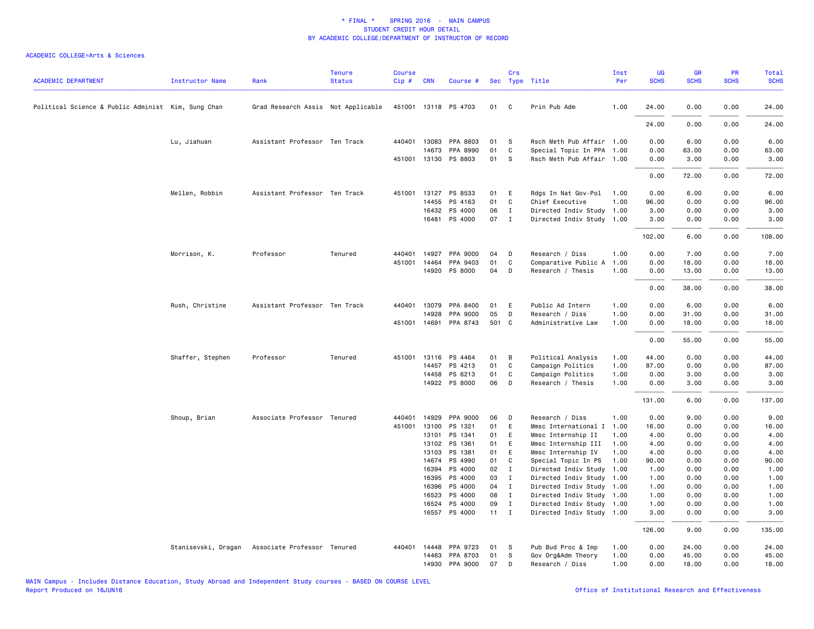| <b>ACADEMIC DEPARTMENT</b>                         | <b>Instructor Name</b> | Rank                               | <b>Tenure</b><br><b>Status</b> | Course<br>$Cip \#$ | <b>CRN</b>     | Course #              |              | Crs               | Sec Type Title                                    | Inst<br>Per  | UG<br><b>SCHS</b> | GR<br><b>SCHS</b> | PR<br><b>SCHS</b> | Total<br><b>SCHS</b> |
|----------------------------------------------------|------------------------|------------------------------------|--------------------------------|--------------------|----------------|-----------------------|--------------|-------------------|---------------------------------------------------|--------------|-------------------|-------------------|-------------------|----------------------|
| Political Science & Public Administ Kim, Sung Chan |                        | Grad Research Assis Not Applicable |                                |                    |                | 451001 13118 PS 4703  | 01           | C                 | Prin Pub Adm                                      | 1.00         | 24.00             | 0.00              | 0.00              | 24.00                |
|                                                    |                        |                                    |                                |                    |                |                       |              |                   |                                                   |              | 24.00             | 0.00              | 0.00              | 24.00                |
|                                                    | Lu, Jiahuan            | Assistant Professor Ten Track      |                                |                    | 440401 13083   | PPA 8803              | 01           | S                 | Rsch Meth Pub Affair 1.00                         |              | 0.00              | 6.00              | 0.00              | 6.00                 |
|                                                    |                        |                                    |                                |                    | 14673          | PPA 8990              | 01           | C                 | Special Topic In PPA 1.00                         |              | 0.00              | 63.00             | 0.00              | 63.00                |
|                                                    |                        |                                    |                                |                    |                | 451001 13130 PS 8803  | 01           | s                 | Rsch Meth Pub Affair 1.00                         |              | 0.00              | 3.00              | 0.00              | 3.00                 |
|                                                    |                        |                                    |                                |                    |                |                       |              |                   |                                                   |              | 0.00              | 72.00             | 0.00              | 72.00                |
|                                                    | Mellen, Robbin         | Assistant Professor Ten Track      |                                | 451001             |                | 13127 PS 8533         | 01           | E                 | Rdgs In Nat Gov-Pol                               | 1.00         | 0.00              | 6.00              | 0.00              | 6.00                 |
|                                                    |                        |                                    |                                |                    | 14455          | PS 4163               | 01           | C                 | Chief Executive                                   | 1.00         | 96.00             | 0.00              | 0.00              | 96.00                |
|                                                    |                        |                                    |                                |                    | 16432          | PS 4000               | 06           | $\mathbf{I}$      | Directed Indiv Study 1.00                         |              | 3.00              | 0.00              | 0.00              | 3.00                 |
|                                                    |                        |                                    |                                |                    |                | 16481 PS 4000         | 07           | $\mathbf{I}$      | Directed Indiv Study 1.00                         |              | 3.00              | 0.00              | 0.00              | 3.00                 |
|                                                    |                        |                                    |                                |                    |                |                       |              |                   |                                                   |              | 102.00            | 6.00              | 0.00              | 108.00               |
|                                                    | Morrison, K.           | Professor                          | Tenured                        | 440401             |                | 14927 PPA 9000        | 04           | D                 | Research / Diss                                   | 1.00         | 0.00              | 7.00              | 0.00              | 7.00                 |
|                                                    |                        |                                    |                                |                    | 451001 14464   | PPA 9403              | 01           | C                 | Comparative Public A                              | 1.00         | 0.00              | 18.00             | 0.00              | 18.00                |
|                                                    |                        |                                    |                                |                    |                | 14920 PS 8000         | 04           | D                 | Research / Thesis                                 | 1.00         | 0.00              | 13.00             | 0.00              | 13.00                |
|                                                    |                        |                                    |                                |                    |                |                       |              |                   |                                                   |              | 0.00              | 38.00             | 0.00              | 38.00                |
|                                                    | Rush, Christine        | Assistant Professor Ten Track      |                                |                    |                | 440401 13079 PPA 8400 | 01           | E                 | Public Ad Intern                                  | 1.00         | 0.00              | 6.00              | 0.00              | 6.00                 |
|                                                    |                        |                                    |                                |                    | 14928          | PPA 9000              | 05           | D                 | Research / Diss                                   | 1.00         | 0.00              | 31.00             | 0.00              | 31.00                |
|                                                    |                        |                                    |                                |                    |                | 451001 14691 PPA 8743 | 501 C        |                   | Administrative Law                                | 1.00         | 0.00              | 18.00             | 0.00              | 18.00                |
|                                                    |                        |                                    |                                |                    |                |                       |              |                   |                                                   |              | 0.00              | 55.00             | 0.00              | 55.00                |
|                                                    | Shaffer, Stephen       | Professor                          | Tenured                        |                    |                | 451001 13116 PS 4464  | 01           | B                 | Political Analysis                                | 1.00         | 44.00             | 0.00              | 0.00              | 44.00                |
|                                                    |                        |                                    |                                |                    |                | 14457 PS 4213         | 01           | C                 | Campaign Politics                                 | 1.00         | 87.00             | 0.00              | 0.00              | 87.00                |
|                                                    |                        |                                    |                                |                    |                | 14458 PS 6213         | 01           | C                 | Campaign Politics                                 | 1.00         | 0.00              | 3.00              | 0.00              | 3.00                 |
|                                                    |                        |                                    |                                |                    |                | 14922 PS 8000         | 06           | D                 | Research / Thesis                                 | 1.00         | 0.00              | 3.00              | 0.00              | 3.00                 |
|                                                    |                        |                                    |                                |                    |                |                       |              |                   |                                                   |              | 131.00            | 6.00              | 0.00              | 137.00               |
|                                                    | Shoup, Brian           | Associate Professor Tenured        |                                | 440401             | 14929          | PPA 9000              | 06           | D                 | Research / Diss                                   | 1.00         | 0.00              | 9.00              | 0.00              | 9.00                 |
|                                                    |                        |                                    |                                | 451001             | 13100          | PS 1321               | 01           | E                 | Mmsc International I                              | 1.00         | 16.00             | 0.00              | 0.00              | 16.00                |
|                                                    |                        |                                    |                                |                    | 13101          | PS 1341               | 01           | E                 | Mmsc Internship II                                | 1.00         | 4.00              | 0.00              | 0.00              | 4.00                 |
|                                                    |                        |                                    |                                |                    | 13102          | PS 1361               | 01           | E                 | Mmsc Internship III                               | 1.00         | 4.00              | 0.00              | 0.00              | 4.00                 |
|                                                    |                        |                                    |                                |                    | 13103          | PS 1381               | 01           | E                 | Mmsc Internship IV                                | 1.00         | 4.00              | 0.00              | 0.00              | 4.00                 |
|                                                    |                        |                                    |                                |                    | 14674<br>16394 | PS 4990<br>PS 4000    | 01           | C<br>$\mathbf{I}$ | Special Topic In PS                               | 1.00<br>1.00 | 90.00             | 0.00              | 0.00              | 90.00                |
|                                                    |                        |                                    |                                |                    |                | 16395 PS 4000         | 02<br>03     | I                 | Directed Indiv Study<br>Directed Indiv Study 1.00 |              | 1.00<br>1.00      | 0.00<br>0.00      | 0.00<br>0.00      | 1.00<br>1.00         |
|                                                    |                        |                                    |                                |                    | 16396          | PS 4000               | 04           | $\mathbf{I}$      | Directed Indiv Study 1.00                         |              | 1.00              | 0.00              | 0.00              | 1.00                 |
|                                                    |                        |                                    |                                |                    | 16523          | PS 4000               | 08           | $\mathbf{I}$      | Directed Indiv Study 1.00                         |              | 1.00              | 0.00              | 0.00              | 1.00                 |
|                                                    |                        |                                    |                                |                    | 16524          | PS 4000               | 09           | $\mathbf{I}$      | Directed Indiv Study 1.00                         |              | 1.00              | 0.00              | 0.00              | 1.00                 |
|                                                    |                        |                                    |                                |                    |                | 16557 PS 4000         | $11 \quad I$ |                   | Directed Indiv Study 1.00                         |              | 3.00              | 0.00              | 0.00              | 3.00                 |
|                                                    |                        |                                    |                                |                    |                |                       |              |                   |                                                   |              | 126.00            | 9.00              | 0.00              | 135.00               |
|                                                    | Stanisevski, Dragan    | Associate Professor Tenured        |                                | 440401             | 14448          | PPA 9723              | 01           | S                 | Pub Bud Proc & Imp                                | 1.00         | 0.00              | 24.00             | 0.00              | 24.00                |
|                                                    |                        |                                    |                                |                    | 14463          | PPA 8703              | 01           | S                 | Gov Org&Adm Theory                                | 1.00         | 0.00              | 45.00             | 0.00              | 45.00                |
|                                                    |                        |                                    |                                |                    |                | 14930 PPA 9000        | 07           | D                 | Research / Diss                                   | 1.00         | 0.00              | 18.00             | 0.00              | 18.00                |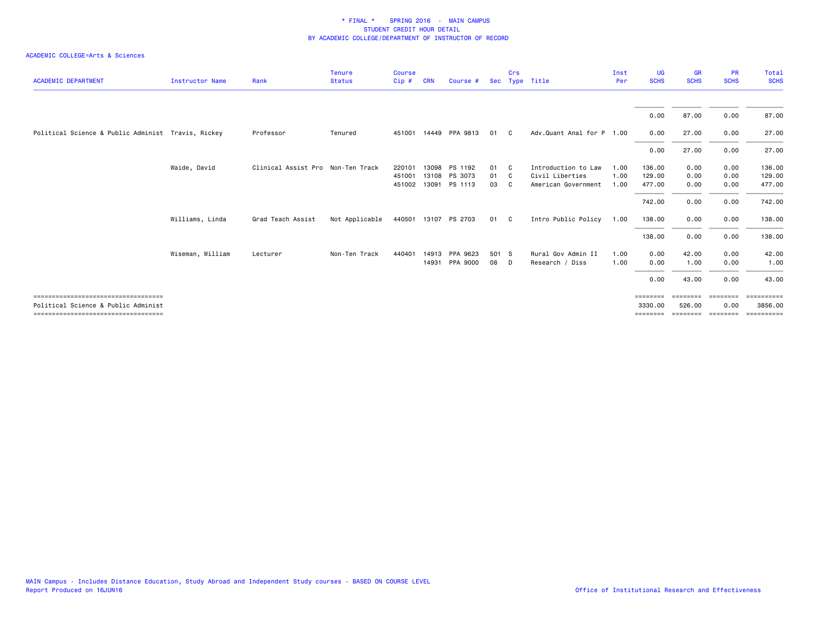| <b>ACADEMIC DEPARTMENT</b>                                                  | <b>Instructor Name</b> | Rank                              | <b>Tenure</b><br><b>Status</b> | <b>Course</b><br>Cip# | <b>CRN</b> | Course #       | <b>Sec</b> | Crs | Type Title                | Inst<br>Per | UG<br><b>SCHS</b>   | <b>GR</b><br><b>SCHS</b> | <b>PR</b><br><b>SCHS</b> | Total<br><b>SCHS</b>  |
|-----------------------------------------------------------------------------|------------------------|-----------------------------------|--------------------------------|-----------------------|------------|----------------|------------|-----|---------------------------|-------------|---------------------|--------------------------|--------------------------|-----------------------|
|                                                                             |                        |                                   |                                |                       |            |                |            |     |                           |             |                     |                          |                          |                       |
|                                                                             |                        |                                   |                                |                       |            |                |            |     |                           |             | 0.00                | 87.00                    | 0.00                     | 87.00                 |
| Political Science & Public Administ Travis, Rickey                          |                        | Professor                         | Tenured                        | 451001                |            | 14449 PPA 9813 | 01         | C.  | Adv.Quant Anal for P 1.00 |             | 0.00                | 27.00                    | 0.00                     | 27.00                 |
|                                                                             |                        |                                   |                                |                       |            |                |            |     |                           |             | 0.00                | 27.00                    | 0.00                     | 27.00                 |
|                                                                             | Waide, David           | Clinical Assist Pro Non-Ten Track |                                | 220101                | 13098      | PS 1192        | 01         | C.  | Introduction to Law       | 1.00        | 136.00              | 0.00                     | 0.00                     | 136.00                |
|                                                                             |                        |                                   |                                | 451001                | 13108      | PS 3073        | 01         | - C | Civil Liberties           | 1.00        | 129.00              | 0.00                     | 0.00                     | 129.00                |
|                                                                             |                        |                                   |                                | 451002                |            | 13091 PS 1113  | 03         | C.  | American Government       | 1.00        | 477.00              | 0.00                     | 0.00                     | 477.00                |
|                                                                             |                        |                                   |                                |                       |            |                |            |     |                           |             | 742.00              | 0.00                     | 0.00                     | 742.00                |
|                                                                             | Williams, Linda        | Grad Teach Assist                 | Not Applicable                 | 440501                |            | 13107 PS 2703  | 01 C       |     | Intro Public Policy       | 1.00        | 138.00              | 0.00                     | 0.00                     | 138.00                |
|                                                                             |                        |                                   |                                |                       |            |                |            |     |                           |             | 138.00              | 0.00                     | 0.00                     | 138.00                |
|                                                                             | Wiseman, William       | Lecturer                          | Non-Ten Track                  | 440401                |            | 14913 PPA 9623 | 501 S      |     | Rural Gov Admin II        | 1.00        | 0.00                | 42.00                    | 0.00                     | 42.00                 |
|                                                                             |                        |                                   |                                |                       | 14931      | PPA 9000       | 08         | D.  | Research / Diss           | 1.00        | 0.00                | 1.00                     | 0.00                     | 1.00                  |
|                                                                             |                        |                                   |                                |                       |            |                |            |     |                           |             | 0.00                | 43.00                    | 0.00                     | 43.00                 |
| ====================================<br>Political Science & Public Administ |                        |                                   |                                |                       |            |                |            |     |                           |             | ========<br>3330,00 | ========<br>526.00       | <b>EEEEEEE</b><br>0.00   | ESSESSESSE<br>3856.00 |
| ===================================                                         |                        |                                   |                                |                       |            |                |            |     |                           |             | $=$ = = = = = = =   | ========                 |                          | ========              |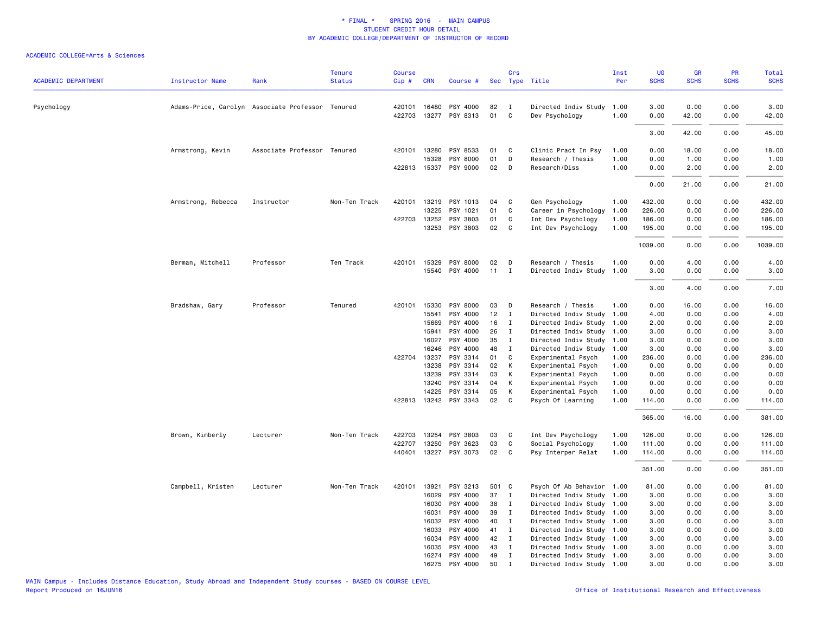| <b>ACADEMIC DEPARTMENT</b> | <b>Instructor Name</b>                           | Rank                        | <b>Tenure</b><br><b>Status</b> | <b>Course</b><br>Cip# | <b>CRN</b>   | Course #                   |          | Crs          | Sec Type Title                         | Inst<br>Per  | <b>UG</b><br><b>SCHS</b> | <b>GR</b><br><b>SCHS</b> | <b>PR</b><br><b>SCHS</b> | Total<br><b>SCHS</b> |
|----------------------------|--------------------------------------------------|-----------------------------|--------------------------------|-----------------------|--------------|----------------------------|----------|--------------|----------------------------------------|--------------|--------------------------|--------------------------|--------------------------|----------------------|
|                            |                                                  |                             |                                |                       |              |                            |          |              |                                        |              |                          |                          |                          |                      |
| Psychology                 | Adams-Price, Carolyn Associate Professor Tenured |                             |                                | 420101<br>422703      | 16480        | PSY 4000<br>13277 PSY 8313 | 82<br>01 | I<br>C       | Directed Indiv Study<br>Dev Psychology | 1.00<br>1.00 | 3.00<br>0.00             | 0.00<br>42.00            | 0.00<br>0.00             | 3.00<br>42.00        |
|                            |                                                  |                             |                                |                       |              |                            |          |              |                                        |              | 3.00                     | 42.00                    | 0.00                     | 45.00                |
|                            | Armstrong, Kevin                                 | Associate Professor Tenured |                                | 420101                | 13280        | PSY 8533                   | 01       | C            | Clinic Pract In Psy                    | 1.00         | 0.00                     | 18.00                    | 0.00                     | 18.00                |
|                            |                                                  |                             |                                |                       | 15328        | PSY 8000                   | 01       | D            | Research / Thesis                      | 1.00         | 0.00                     | 1.00                     | 0.00                     | 1.00                 |
|                            |                                                  |                             |                                |                       |              | 422813 15337 PSY 9000      | 02       | D            | Research/Diss                          | 1.00         | 0.00                     | 2.00                     | 0.00                     | 2.00                 |
|                            |                                                  |                             |                                |                       |              |                            |          |              |                                        |              | 0.00                     | 21.00                    | 0.00                     | 21.00                |
|                            | Armstrong, Rebecca                               | Instructor                  | Non-Ten Track                  | 420101                | 13219        | PSY 1013                   | 04       | C            | Gen Psychology                         | 1.00         | 432.00                   | 0.00                     | 0.00                     | 432.00               |
|                            |                                                  |                             |                                |                       | 13225        | PSY 1021                   | 01       | C            | Career in Psychology                   | 1.00         | 226.00                   | 0.00                     | 0.00                     | 226.00               |
|                            |                                                  |                             |                                |                       | 422703 13252 | PSY 3803                   | 01       | C            | Int Dev Psychology                     | 1.00         | 186.00                   | 0.00                     | 0.00                     | 186.00               |
|                            |                                                  |                             |                                |                       |              | 13253 PSY 3803             | 02       | C            | Int Dev Psychology                     | 1.00         | 195.00                   | 0.00                     | 0.00                     | 195.00               |
|                            |                                                  |                             |                                |                       |              |                            |          |              |                                        |              | 1039.00                  | 0.00                     | 0.00                     | 1039.00              |
|                            | Berman, Mitchell                                 | Professor                   | Ten Track                      | 420101                | 15329        | PSY 8000                   | 02       | D            | Research / Thesis                      | 1.00         | 0.00                     | 4.00                     | 0.00                     | 4.00                 |
|                            |                                                  |                             |                                |                       |              | 15540 PSY 4000             | 11       | $\mathbf{I}$ | Directed Indiv Study                   | 1.00         | 3.00                     | 0.00                     | 0.00                     | 3.00                 |
|                            |                                                  |                             |                                |                       |              |                            |          |              |                                        |              | 3.00                     | 4.00                     | 0.00                     | 7.00                 |
|                            | Bradshaw, Gary                                   | Professor                   | Tenured                        | 420101                | 15330        | PSY 8000                   | 03       | D            | Research / Thesis                      | 1.00         | 0.00                     | 16.00                    | 0.00                     | 16.00                |
|                            |                                                  |                             |                                |                       | 15541        | PSY 4000                   | 12       | $\mathbf I$  | Directed Indiv Study                   | 1.00         | 4.00                     | 0.00                     | 0.00                     | 4.00                 |
|                            |                                                  |                             |                                |                       | 15669        | PSY 4000                   | 16       | Ι            | Directed Indiv Study                   | 1.00         | 2.00                     | 0.00                     | 0.00                     | 2.00                 |
|                            |                                                  |                             |                                |                       | 15941        | PSY 4000                   | 26       | $\mathbf{I}$ | Directed Indiv Study                   | 1.00         | 3.00                     | 0.00                     | 0.00                     | 3.00                 |
|                            |                                                  |                             |                                |                       | 16027        | PSY 4000                   | 35       | $\mathbf{I}$ | Directed Indiv Study                   | 1.00         | 3.00                     | 0.00                     | 0.00                     | 3.00                 |
|                            |                                                  |                             |                                |                       | 16246        | PSY 4000                   | 48       | $\mathbf I$  | Directed Indiv Study                   | 1.00         | 3.00                     | 0.00                     | 0.00                     | 3.00                 |
|                            |                                                  |                             |                                |                       | 422704 13237 | PSY 3314                   | 01       | C            | Experimental Psych                     | 1.00         | 236.00                   | 0.00                     | 0.00                     | 236.00               |
|                            |                                                  |                             |                                |                       | 13238        | PSY 3314                   | 02       | K            | Experimental Psych                     | 1.00         | 0.00                     | 0.00                     | 0.00                     | 0.00                 |
|                            |                                                  |                             |                                |                       | 13239        | PSY 3314                   | 03       | K            | Experimental Psych                     | 1.00         | 0.00                     | 0.00                     | 0.00                     | 0.00                 |
|                            |                                                  |                             |                                |                       | 13240        | PSY 3314                   | 04       | К            | Experimental Psych                     | 1.00         | 0.00                     | 0.00                     | 0.00                     | 0.00                 |
|                            |                                                  |                             |                                |                       | 14225        | PSY 3314                   | 05       | К            | Experimental Psych                     | 1.00         | 0.00                     | 0.00                     | 0.00                     | 0.00                 |
|                            |                                                  |                             |                                |                       |              | 422813 13242 PSY 3343      | 02       | C            | Psych Of Learning                      | 1.00         | 114.00                   | 0.00                     | 0.00                     | 114.00               |
|                            |                                                  |                             |                                |                       |              |                            |          |              |                                        |              | 365.00                   | 16.00                    | 0.00                     | 381.00               |
|                            | Brown, Kimberly                                  | Lecturer                    | Non-Ten Track                  | 422703                | 13254        | PSY 3803                   | 03       | C            | Int Dev Psychology                     | 1.00         | 126.00                   | 0.00                     | 0.00                     | 126.00               |
|                            |                                                  |                             |                                | 422707                | 13250        | PSY 3623                   | 03       | C            | Social Psychology                      | 1.00         | 111.00                   | 0.00                     | 0.00                     | 111.00               |
|                            |                                                  |                             |                                | 440401                | 13227        | PSY 3073                   | 02       | C            | Psy Interper Relat                     | 1.00         | 114.00                   | 0.00                     | 0.00                     | 114.00               |
|                            |                                                  |                             |                                |                       |              |                            |          |              |                                        |              | 351.00                   | 0.00                     | 0.00                     | 351.00               |
|                            | Campbell, Kristen                                | Lecturer                    | Non-Ten Track                  | 420101                | 13921        | PSY 3213                   | 501 C    |              | Psych Of Ab Behavior 1.00              |              | 81.00                    | 0.00                     | 0.00                     | 81.00                |
|                            |                                                  |                             |                                |                       | 16029        | PSY 4000                   | 37       | $\mathbf{I}$ | Directed Indiv Study                   | 1.00         | 3.00                     | 0.00                     | 0.00                     | 3.00                 |
|                            |                                                  |                             |                                |                       | 16030        | PSY 4000                   | 38       | I            | Directed Indiv Study                   | 1.00         | 3.00                     | 0.00                     | 0.00                     | 3.00                 |
|                            |                                                  |                             |                                |                       | 16031        | PSY 4000                   | 39       | $\mathbf{I}$ | Directed Indiv Study 1.00              |              | 3.00                     | 0.00                     | 0.00                     | 3.00                 |
|                            |                                                  |                             |                                |                       | 16032        | PSY 4000                   | 40       | I            | Directed Indiv Study                   | 1.00         | 3.00                     | 0.00                     | 0.00                     | 3.00                 |
|                            |                                                  |                             |                                |                       | 16033        | PSY 4000                   | 41       | I            | Directed Indiv Study 1.00              |              | 3.00                     | 0.00                     | 0.00                     | 3.00                 |
|                            |                                                  |                             |                                |                       | 16034        | PSY 4000                   | 42       | $\mathbf{I}$ | Directed Indiv Study 1.00              |              | 3.00                     | 0.00                     | 0.00                     | 3.00                 |
|                            |                                                  |                             |                                |                       | 16035        | PSY 4000                   | 43       | $\mathbf{I}$ | Directed Indiv Study 1.00              |              | 3.00                     | 0.00                     | 0.00                     | 3.00                 |
|                            |                                                  |                             |                                |                       | 16274        | PSY 4000                   | 49       | $\mathbf I$  | Directed Indiv Study 1.00              |              | 3.00                     | 0.00                     | 0.00                     | 3.00                 |
|                            |                                                  |                             |                                |                       | 16275        | PSY 4000                   | 50       | $\mathbf I$  | Directed Indiv Study 1.00              |              | 3.00                     | 0.00                     | 0.00                     | 3.00                 |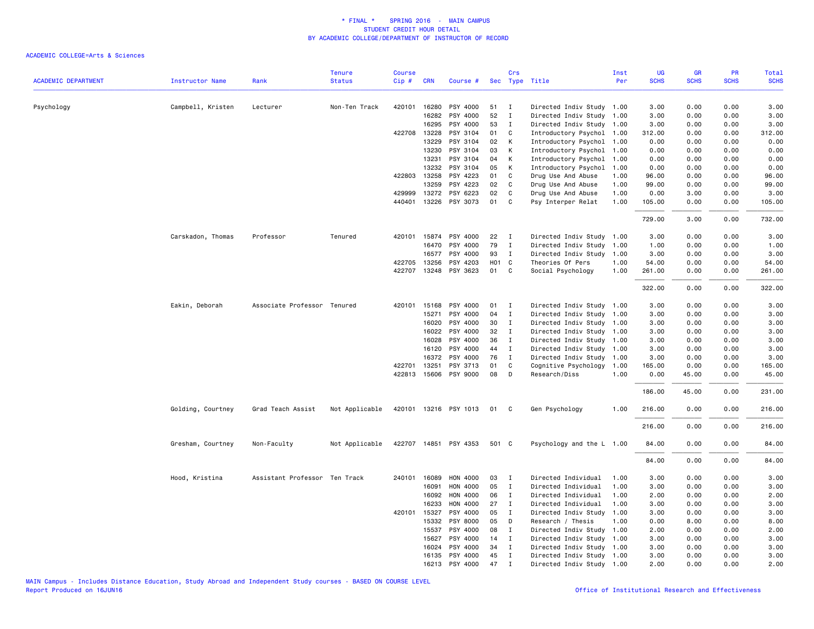|                            |                        |                               | <b>Tenure</b>  | <b>Course</b>    |                |                       |          | Crs          |                                       | Inst         | <b>UG</b>      | GR            | PR           | Total           |
|----------------------------|------------------------|-------------------------------|----------------|------------------|----------------|-----------------------|----------|--------------|---------------------------------------|--------------|----------------|---------------|--------------|-----------------|
| <b>ACADEMIC DEPARTMENT</b> | <b>Instructor Name</b> | Rank                          | <b>Status</b>  | Cip#             | <b>CRN</b>     | Course #              |          |              | Sec Type Title                        | Per          | <b>SCHS</b>    | <b>SCHS</b>   | <b>SCHS</b>  | <b>SCHS</b>     |
| Psychology                 | Campbell, Kristen      | Lecturer                      | Non-Ten Track  | 420101           | 16280          | PSY 4000              | 51       | Ι.           | Directed Indiv Study                  | 1.00         | 3.00           | 0.00          | 0.00         | 3.00            |
|                            |                        |                               |                |                  | 16282          | PSY 4000              | 52       | $\mathbf I$  | Directed Indiv Study                  | 1.00         | 3.00           | 0.00          | 0.00         | 3.00            |
|                            |                        |                               |                |                  | 16295          | PSY 4000              | 53       | $\mathbf{I}$ | Directed Indiv Study 1.00             |              | 3.00           | 0.00          | 0.00         | 3.00            |
|                            |                        |                               |                | 422708           | 13228          | PSY 3104              | 01       | C            | Introductory Psychol                  | 1.00         | 312.00         | 0.00          | 0.00         | 312.00          |
|                            |                        |                               |                |                  | 13229          | PSY 3104              | 02       | К            | Introductory Psychol                  | 1.00         | 0.00           | 0.00          | 0.00         | 0.00            |
|                            |                        |                               |                |                  | 13230          | PSY 3104              | 03       | К            | Introductory Psychol                  | 1.00         | 0.00           | 0.00          | 0.00         | 0.00            |
|                            |                        |                               |                |                  | 13231          | PSY 3104              | 04       | К            | Introductory Psychol                  | 1.00         | 0.00           | 0.00          | 0.00         | 0.00            |
|                            |                        |                               |                |                  | 13232          | PSY 3104              | 05       | К            | Introductory Psychol                  | 1.00         | 0.00           | 0.00          | 0.00         | 0.00            |
|                            |                        |                               |                | 422803           | 13258          | PSY 4223              | 01       | C            | Drug Use And Abuse                    | 1.00         | 96.00          | 0.00          | 0.00         | 96.00           |
|                            |                        |                               |                |                  | 13259          | PSY 4223              | 02       | C            | Drug Use And Abuse                    | 1.00         | 99.00          | 0.00          | 0.00         | 99.00           |
|                            |                        |                               |                | 429999           | 13272          | PSY 6223              | 02       | C.           | Drug Use And Abuse                    | 1.00         | 0.00           | 3.00          | 0.00         | 3.00            |
|                            |                        |                               |                |                  |                | 440401 13226 PSY 3073 | 01       | C            | Psy Interper Relat                    | 1.00         | 105.00         | 0.00          | 0.00         | 105.00          |
|                            |                        |                               |                |                  |                |                       |          |              |                                       |              | 729.00         | 3.00          | 0.00         | 732.00          |
|                            | Carskadon, Thomas      | Professor                     | Tenured        |                  |                | 420101 15874 PSY 4000 | 22       | I            | Directed Indiv Study                  | 1.00         | 3.00           | 0.00          | 0.00         | 3.00            |
|                            |                        |                               |                |                  | 16470          | PSY 4000              | 79       | $\mathbf{I}$ | Directed Indiv Study                  | 1.00         | 1.00           | 0.00          | 0.00         | 1.00            |
|                            |                        |                               |                |                  | 16577          | PSY 4000              | 93       | $\mathbf{I}$ | Directed Indiv Study                  | 1.00         | 3.00           | 0.00          | 0.00         | 3.00            |
|                            |                        |                               |                | 422705           | 13256          | PSY 4203              | HO1 C    |              | Theories Of Pers                      | 1.00         | 54.00          | 0.00          | 0.00         | 54.00           |
|                            |                        |                               |                | 422707           |                | 13248 PSY 3623        | 01       | $\mathbf{C}$ | Social Psychology                     | 1.00         | 261.00         | 0.00          | 0.00         | 261.00          |
|                            |                        |                               |                |                  |                |                       |          |              |                                       |              | 322.00         | 0.00          | 0.00         | 322.00          |
|                            |                        |                               |                |                  |                |                       |          |              |                                       |              |                |               |              |                 |
|                            | Eakin, Deborah         | Associate Professor Tenured   |                | 420101           | 15168          | PSY 4000              | 01       | $\mathbf{I}$ | Directed Indiv Study 1.00             |              | 3.00           | 0.00          | 0.00         | 3.00            |
|                            |                        |                               |                |                  | 15271          | PSY 4000              | 04       | $\mathbf I$  | Directed Indiv Study                  | 1.00         | 3.00           | 0.00          | 0.00         | 3.00            |
|                            |                        |                               |                |                  | 16020          | PSY 4000              | 30       | Ι.           | Directed Indiv Study                  | 1.00         | 3.00           | 0.00          | 0.00         | 3.00            |
|                            |                        |                               |                |                  | 16022          | PSY 4000              | 32       | $\mathbf I$  | Directed Indiv Study                  | 1.00         | 3.00           | 0.00          | 0.00         | 3.00            |
|                            |                        |                               |                |                  | 16028          | PSY 4000              | 36       | Ι.           | Directed Indiv Study                  | 1.00         | 3.00           | 0.00          | 0.00         | 3.00            |
|                            |                        |                               |                |                  | 16120          | PSY 4000              | 44       | I            | Directed Indiv Study 1.00             |              | 3.00           | 0.00          | 0.00         | 3.00            |
|                            |                        |                               |                |                  | 16372          | PSY 4000              | 76       | $\mathbf I$  | Directed Indiv Study 1.00             |              | 3.00           | 0.00          | 0.00         | 3.00            |
|                            |                        |                               |                | 422701<br>422813 | 13251<br>15606 | PSY 3713<br>PSY 9000  | 01<br>08 | C<br>D       | Cognitive Psychology<br>Research/Diss | 1.00<br>1.00 | 165.00<br>0.00 | 0.00<br>45.00 | 0.00<br>0.00 | 165.00<br>45.00 |
|                            |                        |                               |                |                  |                |                       |          |              |                                       |              | 186.00         | 45.00         | 0.00         | 231.00          |
|                            | Golding, Courtney      | Grad Teach Assist             | Not Applicable |                  |                | 420101 13216 PSY 1013 | 01       | C.           | Gen Psychology                        | 1.00         | 216.00         | 0.00          | 0.00         | 216.00          |
|                            |                        |                               |                |                  |                |                       |          |              |                                       |              |                |               |              |                 |
|                            |                        |                               |                |                  |                |                       |          |              |                                       |              | 216.00         | 0.00          | 0.00         | 216.00          |
|                            | Gresham, Courtney      | Non-Faculty                   | Not Applicable |                  |                | 422707 14851 PSY 4353 | 501 C    |              | Psychology and the L 1.00             |              | 84.00          | 0.00          | 0.00         | 84.00           |
|                            |                        |                               |                |                  |                |                       |          |              |                                       |              | 84.00          | 0.00          | 0.00         | 84.00           |
|                            | Hood, Kristina         | Assistant Professor Ten Track |                |                  | 240101 16089   | HON 4000              | 03       | I            | Directed Individual                   | 1.00         | 3.00           | 0.00          | 0.00         | 3.00            |
|                            |                        |                               |                |                  | 16091          | HON 4000              | 05       | $\mathbf{I}$ | Directed Individual                   | 1.00         | 3.00           | 0.00          | 0.00         | 3.00            |
|                            |                        |                               |                |                  | 16092          | HON 4000              | 06       | I            | Directed Individual                   | 1.00         | 2.00           | 0.00          | 0.00         | 2.00            |
|                            |                        |                               |                |                  | 16233          | HON 4000              | 27       | Ι.           | Directed Individual                   | 1.00         | 3.00           | 0.00          | 0.00         | 3.00            |
|                            |                        |                               |                | 420101           | 15327          | PSY 4000              | 05       | $\mathbf I$  | Directed Indiv Study                  | 1.00         | 3.00           | 0.00          | 0.00         | 3.00            |
|                            |                        |                               |                |                  | 15332          | PSY 8000              | 05       | D            | Research / Thesis                     | 1.00         | 0.00           | 8.00          | 0.00         | 8.00            |
|                            |                        |                               |                |                  | 15537          | PSY 4000              | 08       | $\mathbf I$  | Directed Indiv Study 1.00             |              | 2.00           | 0.00          | 0.00         | 2.00            |
|                            |                        |                               |                |                  | 15627          | PSY 4000              | 14       | $\mathbf{I}$ | Directed Indiv Study 1.00             |              | 3.00           | 0.00          | 0.00         | 3.00            |
|                            |                        |                               |                |                  | 16024          | PSY 4000              | 34       | I            | Directed Indiv Study 1.00             |              | 3.00           | 0.00          | 0.00         | 3.00            |
|                            |                        |                               |                |                  | 16135          | PSY 4000              | 45       | $\;$ I       | Directed Indiv Study 1.00             |              | 3.00           | 0.00          | 0.00         | 3.00            |
|                            |                        |                               |                |                  | 16213          | PSY 4000              | 47       | $\mathbf I$  | Directed Indiv Study 1.00             |              | 2.00           | 0.00          | 0.00         | 2.00            |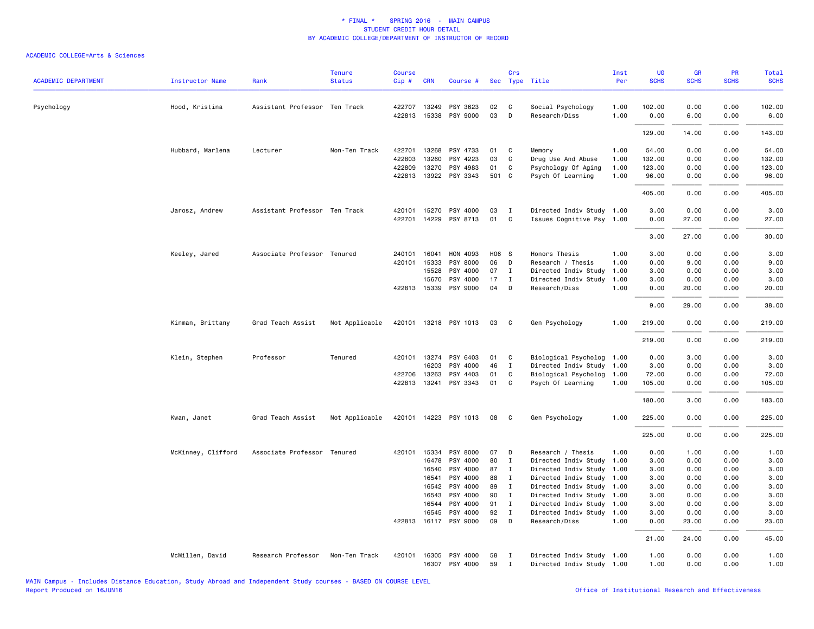| <b>ACADEMIC DEPARTMENT</b> | <b>Instructor Name</b> | Rank                          | <b>Tenure</b><br><b>Status</b> | <b>Course</b><br>Cip# | <b>CRN</b>                   | Course #              |             | Crs            | Sec Type Title                     | Inst<br>Per  | UG<br><b>SCHS</b> | <b>GR</b><br><b>SCHS</b> | <b>PR</b><br><b>SCHS</b> | Total<br><b>SCHS</b> |
|----------------------------|------------------------|-------------------------------|--------------------------------|-----------------------|------------------------------|-----------------------|-------------|----------------|------------------------------------|--------------|-------------------|--------------------------|--------------------------|----------------------|
|                            |                        |                               |                                |                       |                              |                       |             |                |                                    |              |                   |                          |                          |                      |
| Psychology                 | Hood, Kristina         | Assistant Professor Ten Track |                                |                       | 422707 13249                 | PSY 3623              | 02          | C              | Social Psychology                  | 1.00         | 102.00            | 0.00                     | 0.00                     | 102.00               |
|                            |                        |                               |                                |                       | 422813 15338                 | PSY 9000              | 03          | D              | Research/Diss                      | 1.00         | 0.00              | 6.00                     | 0.00                     | 6.00                 |
|                            |                        |                               |                                |                       |                              |                       |             |                |                                    |              | 129.00            | 14.00                    | 0.00                     | 143.00               |
|                            | Hubbard, Marlena       | Lecturer                      | Non-Ten Track                  |                       | 422701 13268                 | PSY 4733              | 01          | C              | Memory                             | 1.00         | 54.00             | 0.00                     | 0.00                     | 54.00                |
|                            |                        |                               |                                | 422803                | 13260                        | PSY 4223              | 03          | C              | Drug Use And Abuse                 | 1.00         | 132.00            | 0.00                     | 0.00                     | 132.00               |
|                            |                        |                               |                                | 422809                | 13270                        | PSY 4983              | 01          | C.             | Psychology Of Aging                | 1.00         | 123.00            | 0.00                     | 0.00                     | 123.00               |
|                            |                        |                               |                                |                       |                              | 422813 13922 PSY 3343 | 501 C       |                | Psych Of Learning                  | 1.00         | 96.00             | 0.00                     | 0.00                     | 96.00                |
|                            |                        |                               |                                |                       |                              |                       |             |                |                                    |              | 405.00            | 0.00                     | 0.00                     | 405.00               |
|                            | Jarosz, Andrew         | Assistant Professor Ten Track |                                |                       | 420101 15270                 | PSY 4000              | 03          | $\blacksquare$ | Directed Indiv Study 1.00          |              | 3.00              | 0.00                     | 0.00                     | 3.00                 |
|                            |                        |                               |                                |                       | 422701 14229                 | PSY 8713              | 01          | C              | Issues Cognitive Psy 1.00          |              | 0.00              | 27.00                    | 0.00                     | 27.00                |
|                            |                        |                               |                                |                       |                              |                       |             |                |                                    |              | 3.00              | 27.00                    | 0.00                     | 30.00                |
|                            |                        |                               |                                |                       |                              |                       |             |                |                                    |              |                   |                          |                          |                      |
|                            | Keeley, Jared          | Associate Professor Tenured   |                                |                       | 240101 16041<br>420101 15333 | HON 4093<br>PSY 8000  | H06 S<br>06 | D              | Honors Thesis<br>Research / Thesis | 1.00<br>1.00 | 3.00<br>0.00      | 0.00<br>9.00             | 0.00<br>0.00             | 3.00<br>9.00         |
|                            |                        |                               |                                |                       | 15528                        | PSY 4000              | 07          | $\mathbf I$    | Directed Indiv Study               | 1.00         | 3.00              | 0.00                     | 0.00                     | 3.00                 |
|                            |                        |                               |                                |                       | 15670                        | PSY 4000              | 17          | $\mathbf{I}$   | Directed Indiv Study               | 1.00         | 3.00              | 0.00                     | 0.00                     | 3.00                 |
|                            |                        |                               |                                |                       | 422813 15339                 | PSY 9000              | 04          | D              | Research/Diss                      | 1.00         | 0.00              | 20.00                    | 0.00                     | 20.00                |
|                            |                        |                               |                                |                       |                              |                       |             |                |                                    |              | 9.00              | 29.00                    | 0.00                     | 38.00                |
|                            | Kinman, Brittany       | Grad Teach Assist             | Not Applicable                 |                       |                              | 420101 13218 PSY 1013 | 03          | $\mathbf{C}$   | Gen Psychology                     | 1.00         | 219.00            | 0.00                     | 0.00                     | 219.00               |
|                            |                        |                               |                                |                       |                              |                       |             |                |                                    |              | 219.00            | 0.00                     | 0.00                     | 219.00               |
|                            |                        |                               |                                |                       |                              |                       |             |                |                                    |              |                   |                          |                          |                      |
|                            | Klein, Stephen         | Professor                     | Tenured                        |                       | 420101 13274                 | PSY 6403              | 01          | $\mathbf{C}$   | Biological Psycholog 1.00          |              | 0.00              | 3.00                     | 0.00                     | 3.00                 |
|                            |                        |                               |                                |                       | 16203                        | PSY 4000              | 46          | $\mathbf{I}$   | Directed Indiv Study 1.00          |              | 3.00              | 0.00                     | 0.00                     | 3.00                 |
|                            |                        |                               |                                | 422706                | 13263                        | PSY 4403              | 01          | C              | Biological Psycholog 1.00          |              | 72.00             | 0.00                     | 0.00                     | 72.00                |
|                            |                        |                               |                                |                       | 422813 13241                 | PSY 3343              | 01          | $\overline{c}$ | Psych Of Learning                  | 1.00         | 105.00            | 0.00                     | 0.00                     | 105.00               |
|                            |                        |                               |                                |                       |                              |                       |             |                |                                    |              | 180.00            | 3.00                     | 0.00                     | 183.00               |
|                            | Kwan, Janet            | Grad Teach Assist             | Not Applicable                 |                       |                              | 420101 14223 PSY 1013 | 08          | $\mathbf{C}$   | Gen Psychology                     | 1.00         | 225.00            | 0.00                     | 0.00                     | 225.00               |
|                            |                        |                               |                                |                       |                              |                       |             |                |                                    |              | 225.00            | 0.00                     | 0.00                     | 225.00               |
|                            | McKinney, Clifford     | Associate Professor Tenured   |                                |                       | 420101 15334                 | PSY 8000              | 07          | $\mathsf{D}$   | Research / Thesis                  | 1.00         | 0.00              | 1.00                     | 0.00                     | 1.00                 |
|                            |                        |                               |                                |                       | 16478                        | PSY 4000              | 80          | $\mathbf{I}$   | Directed Indiv Study 1.00          |              | 3.00              | 0.00                     | 0.00                     | 3.00                 |
|                            |                        |                               |                                |                       | 16540                        | PSY 4000              | 87          | $\mathbf I$    | Directed Indiv Study 1.00          |              | 3.00              | 0.00                     | 0.00                     | 3.00                 |
|                            |                        |                               |                                |                       | 16541                        | PSY 4000              | 88          | $\mathbf{I}$   | Directed Indiv Study 1.00          |              | 3.00              | 0.00                     | 0.00                     | 3.00                 |
|                            |                        |                               |                                |                       | 16542                        | PSY 4000              | 89          | $\mathbf{I}$   | Directed Indiv Study 1.00          |              | 3.00              | 0.00                     | 0.00                     | 3.00                 |
|                            |                        |                               |                                |                       | 16543                        | PSY 4000              | 90          | $\mathbf{I}$   | Directed Indiv Study 1.00          |              | 3.00              | 0.00                     | 0.00                     | 3.00                 |
|                            |                        |                               |                                |                       | 16544                        | PSY 4000              | 91          | $\mathbf{I}$   | Directed Indiv Study 1.00          |              | 3.00              | 0.00                     | 0.00                     | 3.00                 |
|                            |                        |                               |                                |                       | 16545                        | PSY 4000              | 92          | $\mathbf I$    | Directed Indiv Study 1.00          |              | 3.00              | 0.00                     | 0.00                     | 3.00                 |
|                            |                        |                               |                                | 422813                | 16117                        | PSY 9000              | 09          | D              | Research/Diss                      | 1.00         | 0.00              | 23.00                    | 0.00                     | 23.00                |
|                            |                        |                               |                                |                       |                              |                       |             |                |                                    |              | 21.00             | 24.00                    | 0.00                     | 45.00                |
|                            | McMillen, David        | Research Professor            | Non-Ten Track                  | 420101                | 16305                        | PSY 4000              | 58          | $\mathbf{I}$   | Directed Indiv Study 1.00          |              | 1.00              | 0.00                     | 0.00                     | 1.00                 |
|                            |                        |                               |                                |                       |                              | 16307 PSY 4000        | 59          | $\mathbf I$    | Directed Indiv Study 1.00          |              | 1.00              | 0.00                     | 0.00                     | 1.00                 |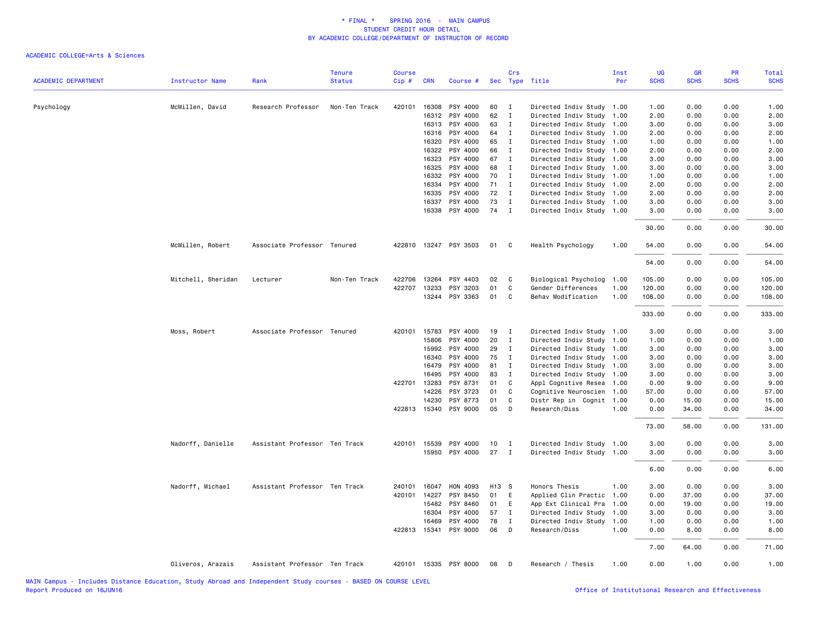|                            |                        |                               | <b>Tenure</b> | <b>Course</b> |              |                       |       | Crs          |                           | Inst | UG          | GR          | PR          | Total       |
|----------------------------|------------------------|-------------------------------|---------------|---------------|--------------|-----------------------|-------|--------------|---------------------------|------|-------------|-------------|-------------|-------------|
| <b>ACADEMIC DEPARTMENT</b> | <b>Instructor Name</b> | Rank                          | <b>Status</b> | Cip#          | <b>CRN</b>   | Course #              |       |              | Sec Type Title            | Per  | <b>SCHS</b> | <b>SCHS</b> | <b>SCHS</b> | <b>SCHS</b> |
| Psychology                 | McMillen, David        | Research Professor            | Non-Ten Track | 420101        | 16308        | PSY 4000              | 60    | $\mathbf{I}$ | Directed Indiv Study 1.00 |      | 1.00        | 0.00        | 0.00        | 1.00        |
|                            |                        |                               |               |               | 16312        | PSY 4000              | 62    | $\mathbf{I}$ | Directed Indiv Study      | 1.00 | 2.00        | 0.00        | 0.00        | 2.00        |
|                            |                        |                               |               |               | 16313        | PSY 4000              | 63    | $\mathbf I$  | Directed Indiv Study 1.00 |      | 3.00        | 0.00        | 0.00        | 3.00        |
|                            |                        |                               |               |               | 16316        | PSY 4000              | 64    | $\mathbf{I}$ | Directed Indiv Study 1.00 |      | 2.00        | 0.00        | 0.00        | 2.00        |
|                            |                        |                               |               |               | 16320        | PSY 4000              | 65    | I            | Directed Indiv Study 1.00 |      | 1.00        | 0.00        | 0.00        | 1.00        |
|                            |                        |                               |               |               | 16322        | PSY 4000              | 66    | $\mathbf{I}$ | Directed Indiv Study 1.00 |      | 2.00        | 0.00        | 0.00        | 2.00        |
|                            |                        |                               |               |               | 16323        | PSY 4000              | 67    | $\mathbf{I}$ | Directed Indiv Study 1.00 |      | 3.00        | 0.00        | 0.00        | 3.00        |
|                            |                        |                               |               |               | 16325        | PSY 4000              | 68    | $\mathbf{I}$ | Directed Indiv Study      | 1.00 | 3.00        | 0.00        | 0.00        | 3.00        |
|                            |                        |                               |               |               | 16332        | PSY 4000              | 70    | I            | Directed Indiv Study 1.00 |      | 1.00        | 0.00        | 0.00        | 1.00        |
|                            |                        |                               |               |               | 16334        | PSY 4000              | 71    | $\mathbf{I}$ | Directed Indiv Study 1.00 |      | 2.00        | 0.00        | 0.00        | 2.00        |
|                            |                        |                               |               |               | 16335        | PSY 4000              | 72    | $\mathbf{I}$ | Directed Indiv Study 1.00 |      | 2.00        | 0.00        | 0.00        | 2.00        |
|                            |                        |                               |               |               | 16337        | PSY 4000              | 73    | I            | Directed Indiv Study 1.00 |      | 3.00        | 0.00        | 0.00        | 3.00        |
|                            |                        |                               |               |               | 16338        | PSY 4000              | 74    | $\mathbf{I}$ | Directed Indiv Study 1.00 |      | 3.00        | 0.00        | 0.00        | 3.00        |
|                            |                        |                               |               |               |              |                       |       |              |                           |      | 30.00       | 0.00        | 0.00        | 30.00       |
|                            | McMillen, Robert       | Associate Professor Tenured   |               |               |              | 422810 13247 PSY 3503 | 01    | C            | Health Psychology         | 1.00 | 54.00       | 0.00        | 0.00        | 54.00       |
|                            |                        |                               |               |               |              |                       |       |              |                           |      | 54.00       | 0.00        | 0.00        | 54.00       |
|                            | Mitchell, Sheridan     | Lecturer                      | Non-Ten Track |               | 422706 13264 | PSY 4403              | 02    | C            | Biological Psycholog      | 1.00 | 105.00      | 0.00        | 0.00        | 105.00      |
|                            |                        |                               |               | 422707        | 13233        | PSY 3203              | 01    | C            | Gender Differences        | 1.00 | 120.00      | 0.00        | 0.00        | 120.00      |
|                            |                        |                               |               |               |              | 13244 PSY 3363        | 01    | C            | Behav Modification        | 1.00 | 108.00      | 0.00        | 0.00        | 108.00      |
|                            |                        |                               |               |               |              |                       |       |              |                           |      | 333.00      | 0.00        | 0.00        | 333.00      |
|                            | Moss, Robert           | Associate Professor Tenured   |               |               | 420101 15783 | PSY 4000              | 19    | $\mathbf{I}$ | Directed Indiv Study 1.00 |      | 3.00        | 0.00        | 0.00        | 3.00        |
|                            |                        |                               |               |               | 15806        | PSY 4000              | 20    | Ι.           | Directed Indiv Study 1.00 |      | 1.00        | 0.00        | 0.00        | 1.00        |
|                            |                        |                               |               |               | 15992        | PSY 4000              | 29    | $\mathbf{I}$ | Directed Indiv Study 1.00 |      | 3.00        | 0.00        | 0.00        | 3.00        |
|                            |                        |                               |               |               | 16340        | PSY 4000              | 75    | $\mathbf{I}$ | Directed Indiv Study 1.00 |      | 3.00        | 0.00        | 0.00        | 3.00        |
|                            |                        |                               |               |               | 16479        | PSY 4000              | 81    | $\mathbf{I}$ | Directed Indiv Study 1.00 |      | 3.00        | 0.00        | 0.00        | 3.00        |
|                            |                        |                               |               |               | 16495        | PSY 4000              | 83    | $\mathbf{I}$ | Directed Indiv Study 1.00 |      | 3.00        | 0.00        | 0.00        | 3.00        |
|                            |                        |                               |               |               | 422701 13283 | PSY 8731              | 01    | C            | Appl Cognitive Resea 1.00 |      | 0.00        | 9.00        | 0.00        | 9.00        |
|                            |                        |                               |               |               | 14226        | PSY 3723              | 01    | C            | Cognitive Neuroscien      | 1.00 | 57.00       | 0.00        | 0.00        | 57.00       |
|                            |                        |                               |               |               | 14230        | PSY 8773              | 01    | C            | Distr Rep in Cognit 1.00  |      | 0.00        | 15.00       | 0.00        | 15.00       |
|                            |                        |                               |               |               | 422813 15340 | PSY 9000              | 05    | D            | Research/Diss             | 1.00 | 0.00        | 34.00       | 0.00        | 34.00       |
|                            |                        |                               |               |               |              |                       |       |              |                           |      | 73.00       | 58.00       | 0.00        | 131.00      |
|                            | Nadorff, Danielle      | Assistant Professor Ten Track |               |               | 420101 15539 | PSY 4000              | 10    | $\mathbf{I}$ | Directed Indiv Study 1.00 |      | 3.00        | 0.00        | 0.00        | 3.00        |
|                            |                        |                               |               |               |              | 15950 PSY 4000        | 27    | $\mathbf{I}$ | Directed Indiv Study 1.00 |      | 3,00        | 0.00        | 0.00        | 3.00        |
|                            |                        |                               |               |               |              |                       |       |              |                           |      | 6.00        | 0.00        | 0.00        | 6.00        |
|                            | Nadorff, Michael       | Assistant Professor Ten Track |               | 240101        | 16047        | HON 4093              | H13 S |              | Honors Thesis             | 1.00 | 3.00        | 0.00        | 0.00        | 3.00        |
|                            |                        |                               |               |               | 420101 14227 | PSY 8450              | 01    | E            | Applied Clin Practic      | 1.00 | 0.00        | 37.00       | 0.00        | 37.00       |
|                            |                        |                               |               |               | 15482        | PSY 8460              | 01    | E            | App Ext Clinical Pra      | 1.00 | 0.00        | 19.00       | 0.00        | 19.00       |
|                            |                        |                               |               |               | 16304        | PSY 4000              | 57    | $\mathbf{I}$ | Directed Indiv Study      | 1.00 | 3.00        | 0.00        | 0.00        | 3.00        |
|                            |                        |                               |               |               | 16469        | PSY 4000              | 78    | $\mathbf{I}$ | Directed Indiv Study      | 1.00 | 1.00        | 0.00        | 0.00        | 1.00        |
|                            |                        |                               |               |               |              | 422813 15341 PSY 9000 | 06    | D            | Research/Diss             | 1.00 | 0.00        | 8.00        | 0.00        | 8.00        |
|                            |                        |                               |               |               |              |                       |       |              |                           |      | 7.00        | 64.00       | 0.00        | 71.00       |
|                            | Oliveros, Arazais      | Assistant Professor Ten Track |               |               |              | 420101 15335 PSY 8000 | 08    | D            | Research / Thesis         | 1.00 | 0.00        | 1.00        | 0.00        | 1.00        |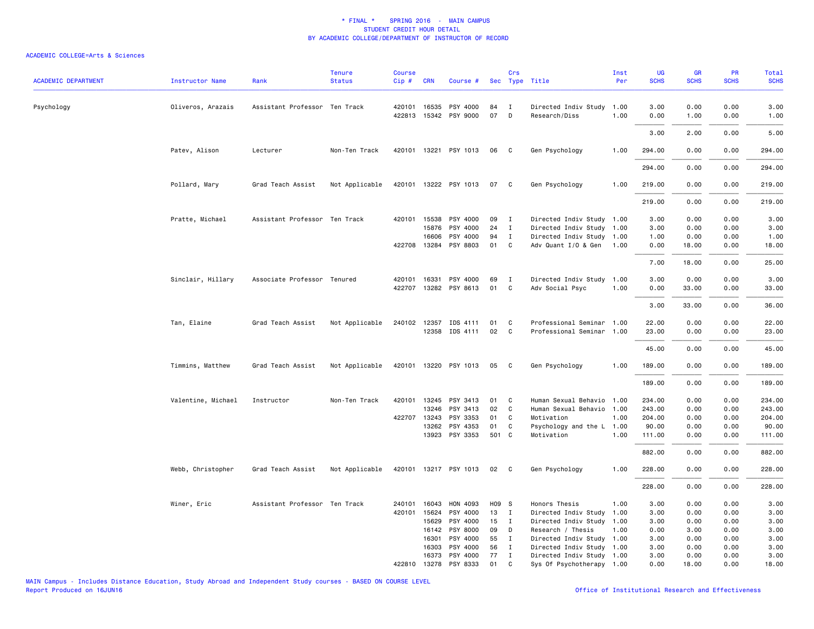| <b>ACADEMIC DEPARTMENT</b> | <b>Instructor Name</b> | Rank                          | <b>Tenure</b><br><b>Status</b> | <b>Course</b><br>Cip# | <b>CRN</b>   | Course #                          |          | Crs          | Sec Type Title                             | Inst<br>Per  | <b>UG</b><br><b>SCHS</b> | <b>GR</b><br><b>SCHS</b> | <b>PR</b><br><b>SCHS</b> | Total<br><b>SCHS</b> |
|----------------------------|------------------------|-------------------------------|--------------------------------|-----------------------|--------------|-----------------------------------|----------|--------------|--------------------------------------------|--------------|--------------------------|--------------------------|--------------------------|----------------------|
|                            |                        |                               |                                |                       |              |                                   |          |              |                                            |              |                          |                          |                          |                      |
| Psychology                 | Oliveros, Arazais      | Assistant Professor Ten Track |                                |                       | 420101 16535 | PSY 4000<br>422813 15342 PSY 9000 | 84<br>07 | I<br>D       | Directed Indiv Study 1.00<br>Research/Diss | 1.00         | 3.00<br>0.00             | 0.00<br>1.00             | 0.00<br>0.00             | 3.00<br>1.00         |
|                            |                        |                               |                                |                       |              |                                   |          |              |                                            |              | 3.00                     | 2.00                     | 0.00                     | 5.00                 |
|                            | Patev, Alison          | Lecturer                      | Non-Ten Track                  |                       |              | 420101 13221 PSY 1013             | 06       | C            | Gen Psychology                             | 1.00         | 294.00                   | 0.00                     | 0.00                     | 294.00               |
|                            |                        |                               |                                |                       |              |                                   |          |              |                                            |              | 294.00                   | 0.00                     | 0.00                     | 294.00               |
|                            | Pollard, Mary          | Grad Teach Assist             | Not Applicable                 |                       |              | 420101 13222 PSY 1013             | 07       | C            | Gen Psychology                             | 1.00         | 219.00                   | 0.00                     | 0.00                     | 219.00               |
|                            |                        |                               |                                |                       |              |                                   |          |              |                                            |              | 219.00                   | 0.00                     | 0.00                     | 219.00               |
|                            | Pratte, Michael        | Assistant Professor Ten Track |                                |                       | 420101 15538 | PSY 4000                          | 09       | $\mathbf{I}$ | Directed Indiv Study 1.00                  |              | 3.00                     | 0.00                     | 0.00                     | 3.00                 |
|                            |                        |                               |                                |                       | 15876        | PSY 4000                          | 24       | $\mathbf{I}$ | Directed Indiv Study 1.00                  |              | 3.00                     | 0.00                     | 0.00                     | 3.00                 |
|                            |                        |                               |                                |                       | 16606        | PSY 4000                          | 94       | I            | Directed Indiv Study 1.00                  |              | 1.00                     | 0.00                     | 0.00                     | 1.00                 |
|                            |                        |                               |                                |                       | 422708 13284 | PSY 8803                          | 01       | C            | Adv Quant I/O & Gen                        | 1.00         | 0.00                     | 18.00                    | 0.00                     | 18.00                |
|                            |                        |                               |                                |                       |              |                                   |          |              |                                            |              | 7.00                     | 18.00                    | 0.00                     | 25.00                |
|                            | Sinclair, Hillary      | Associate Professor Tenured   |                                |                       | 420101 16331 | PSY 4000<br>422707 13282 PSY 8613 | 69<br>01 | I<br>C       | Directed Indiv Study<br>Adv Social Psyc    | 1.00<br>1.00 | 3.00<br>0.00             | 0.00<br>33.00            | 0.00<br>0.00             | 3.00<br>33.00        |
|                            |                        |                               |                                |                       |              |                                   |          |              |                                            |              | 3.00                     | 33.00                    | 0.00                     | 36.00                |
|                            |                        |                               |                                |                       |              |                                   |          |              |                                            |              |                          |                          |                          |                      |
|                            | Tan, Elaine            | Grad Teach Assist             | Not Applicable                 |                       | 240102 12357 | IDS 4111                          | 01       | C            | Professional Seminar 1.00                  |              | 22.00                    | 0.00                     | 0.00                     | 22.00                |
|                            |                        |                               |                                |                       | 12358        | IDS 4111                          | 02       | C            | Professional Seminar                       | 1.00         | 23.00                    | 0.00                     | 0.00                     | 23.00                |
|                            |                        |                               |                                |                       |              |                                   |          |              |                                            |              | 45.00                    | 0.00                     | 0.00                     | 45.00                |
|                            | Timmins, Matthew       | Grad Teach Assist             | Not Applicable                 |                       |              | 420101 13220 PSY 1013             | 05       | C            | Gen Psychology                             | 1.00         | 189.00                   | 0.00                     | 0.00                     | 189.00               |
|                            |                        |                               |                                |                       |              |                                   |          |              |                                            |              | 189.00                   | 0.00                     | 0.00                     | 189.00               |
|                            | Valentine, Michael     | Instructor                    | Non-Ten Track                  | 420101                | 13245        | PSY 3413                          | 01       | C            | Human Sexual Behavio                       | 1.00         | 234.00                   | 0.00                     | 0.00                     | 234.00               |
|                            |                        |                               |                                |                       | 13246        | PSY 3413                          | 02       | C            | Human Sexual Behavio 1.00                  |              | 243.00                   | 0.00                     | 0.00                     | 243.00               |
|                            |                        |                               |                                |                       | 422707 13243 | PSY 3353                          | 01       | C            | Motivation                                 | 1.00         | 204.00                   | 0.00                     | 0.00                     | 204.00               |
|                            |                        |                               |                                |                       | 13262        | PSY 4353                          | 01       | C            | Psychology and the L 1.00                  |              | 90.00                    | 0.00                     | 0.00                     | 90.00                |
|                            |                        |                               |                                |                       |              | 13923 PSY 3353                    | 501 C    |              | Motivation                                 | 1.00         | 111.00                   | 0.00                     | 0.00                     | 111.00               |
|                            |                        |                               |                                |                       |              |                                   |          |              |                                            |              | 882.00                   | 0.00                     | 0.00                     | 882.00               |
|                            | Webb, Christopher      | Grad Teach Assist             | Not Applicable                 |                       |              | 420101 13217 PSY 1013             | 02       | <b>C</b>     | Gen Psychology                             | 1.00         | 228.00                   | 0.00                     | 0.00                     | 228.00               |
|                            |                        |                               |                                |                       |              |                                   |          |              |                                            |              | 228.00                   | 0.00                     | 0.00                     | 228.00               |
|                            | Winer, Eric            | Assistant Professor Ten Track |                                |                       | 240101 16043 | HON 4093                          | H09 S    |              | Honors Thesis                              | 1.00         | 3.00                     | 0.00                     | 0.00                     | 3.00                 |
|                            |                        |                               |                                | 420101                | 15624        | PSY 4000                          | 13       | $\mathbf{I}$ | Directed Indiv Study                       | 1.00         | 3.00                     | 0.00                     | 0.00                     | 3.00                 |
|                            |                        |                               |                                |                       | 15629        | PSY 4000                          | 15       | $\mathbf{I}$ | Directed Indiv Study                       | 1.00         | 3.00                     | 0.00                     | 0.00                     | 3.00                 |
|                            |                        |                               |                                |                       | 16142        | <b>PSY 8000</b>                   | 09       | D            | Research / Thesis                          | 1.00         | 0.00                     | 3.00                     | 0.00                     | 3.00                 |
|                            |                        |                               |                                |                       | 16301        | PSY 4000                          | 55       | I            | Directed Indiv Study 1.00                  |              | 3.00                     | 0.00                     | 0.00                     | 3.00                 |
|                            |                        |                               |                                |                       | 16303        | PSY 4000                          | 56       | $\mathbf{I}$ | Directed Indiv Study 1.00                  |              | 3.00                     | 0.00                     | 0.00                     | 3.00                 |
|                            |                        |                               |                                |                       | 16373        | PSY 4000                          | 77       | $\mathbf I$  | Directed Indiv Study 1.00                  |              | 3.00                     | 0.00                     | 0.00                     | 3.00                 |
|                            |                        |                               |                                |                       |              | 422810 13278 PSY 8333             | 01       | $\mathbf{C}$ | Sys Of Psychotherapy 1.00                  |              | 0.00                     | 18,00                    | 0.00                     | 18.00                |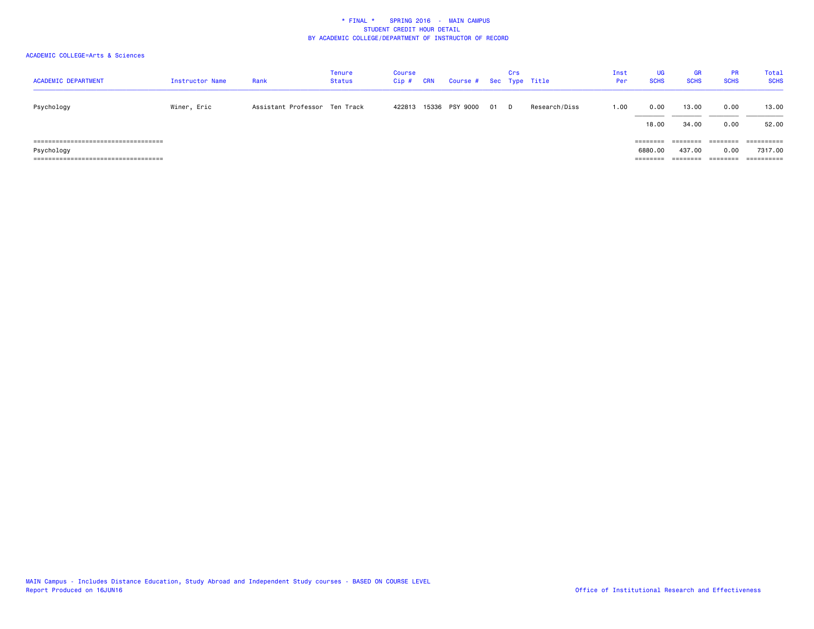| <b>ACADEMIC DEPARTMENT</b>                                                                    | Instructor Name | Rank                          | <b>Tenure</b><br><b>Status</b> | Course<br>$Cip$ # | CRN | Course # Sec Type Title |      | Crs |               | Inst<br>Per | <b>UG</b><br><b>SCHS</b> | <b>GR</b><br><b>SCHS</b>       | <b>PR</b><br><b>SCHS</b>     | Total<br><b>SCHS</b>                 |
|-----------------------------------------------------------------------------------------------|-----------------|-------------------------------|--------------------------------|-------------------|-----|-------------------------|------|-----|---------------|-------------|--------------------------|--------------------------------|------------------------------|--------------------------------------|
| Psychology                                                                                    | Winer, Eric     | Assistant Professor Ten Track |                                | 422813            |     | 15336 PSY 9000          | 01 D |     | Research/Diss | 1.00        | 0.00<br>18.00            | 13,00<br>34,00                 | 0.00<br>0.00                 | 13.00<br>52.00                       |
| -------------------------------------<br>Psychology<br>====================================== |                 |                               |                                |                   |     |                         |      |     |               |             | 6880,00<br>========      | ========<br>437,00<br>======== | ========<br>0.00<br>======== | ==========<br>7317.00<br>----------- |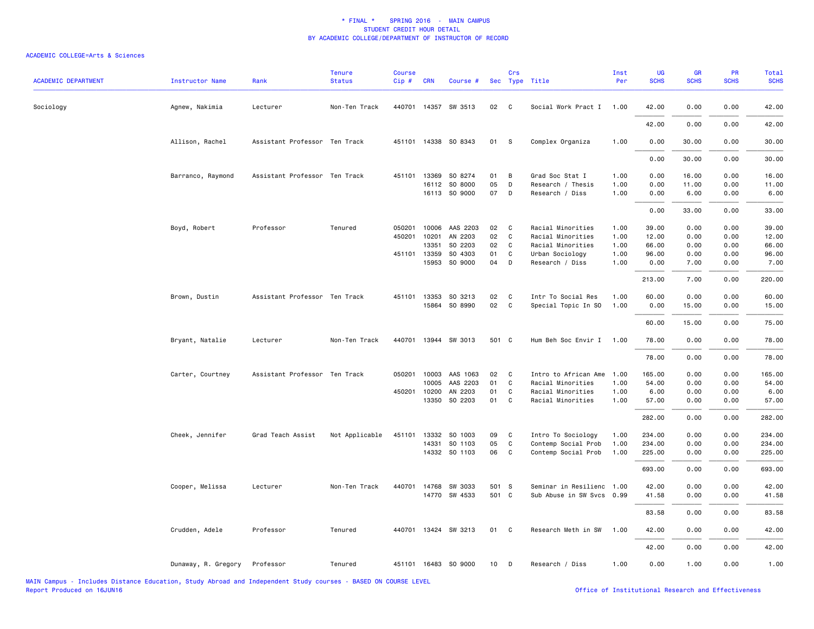| <b>ACADEMIC DEPARTMENT</b> | <b>Instructor Name</b> | Rank                          | <b>Tenure</b><br><b>Status</b> | <b>Course</b><br>Cip# | <b>CRN</b>            | Course #             |          | Crs                        | Sec Type Title                     | Inst<br>Per  | UG<br><b>SCHS</b> | <b>GR</b><br><b>SCHS</b> | PR<br><b>SCHS</b> | Total<br><b>SCHS</b> |
|----------------------------|------------------------|-------------------------------|--------------------------------|-----------------------|-----------------------|----------------------|----------|----------------------------|------------------------------------|--------------|-------------------|--------------------------|-------------------|----------------------|
| Sociology                  | Agnew, Nakimia         | Lecturer                      | Non-Ten Track                  |                       |                       | 440701 14357 SW 3513 | 02       | $\mathbf{C}$               | Social Work Pract I                | 1.00         | 42.00             | 0.00                     | 0.00              | 42.00                |
|                            |                        |                               |                                |                       |                       |                      |          |                            |                                    |              | 42.00             | 0.00                     | 0.00              | 42.00                |
|                            | Allison, Rachel        | Assistant Professor Ten Track |                                |                       |                       | 451101 14338 SO 8343 | 01       | <b>S</b>                   | Complex Organiza                   | 1.00         | 0.00              | 30.00                    | 0.00              | 30.00                |
|                            |                        |                               |                                |                       |                       |                      |          |                            |                                    |              | 0.00              | 30.00                    | 0.00              | 30.00                |
|                            | Barranco, Raymond      | Assistant Professor Ten Track |                                |                       | 451101 13369          | SO 8274              | 01       | B                          | Grad Soc Stat I                    | 1.00         | 0.00              | 16.00                    | 0.00              | 16.00                |
|                            |                        |                               |                                |                       | 16112                 | SO 8000              | 05       | D                          | Research / Thesis                  | 1.00         | 0.00              | 11.00                    | 0.00              | 11.00                |
|                            |                        |                               |                                |                       |                       | 16113 SO 9000        | 07       | $\Box$                     | Research / Diss                    | 1.00         | 0.00              | 6.00                     | 0.00              | 6.00                 |
|                            |                        |                               |                                |                       |                       |                      |          |                            |                                    |              | 0.00              | 33.00                    | 0.00              | 33.00                |
|                            | Boyd, Robert           | Professor                     | Tenured                        |                       | 050201 10006          | AAS 2203             | 02       | $\mathbf{C}$               | Racial Minorities                  | 1.00         | 39.00             | 0.00                     | 0.00              | 39.00                |
|                            |                        |                               |                                | 450201                | 10201                 | AN 2203              | 02       | C                          | Racial Minorities                  | 1.00         | 12.00             | 0.00                     | 0.00              | 12.00                |
|                            |                        |                               |                                |                       | 13351<br>451101 13359 | SO 2203<br>SO 4303   | 02<br>01 | $\mathbf{C}$<br>C          | Racial Minorities                  | 1.00<br>1.00 | 66.00<br>96.00    | 0.00                     | 0.00<br>0.00      | 66.00<br>96.00       |
|                            |                        |                               |                                |                       | 15953                 | SO 9000              | 04       | D                          | Urban Sociology<br>Research / Diss | 1.00         | 0.00              | 0.00<br>7.00             | 0.00              | 7.00                 |
|                            |                        |                               |                                |                       |                       |                      |          |                            |                                    |              | 213.00            | 7.00                     | 0.00              | 220.00               |
|                            | Brown, Dustin          | Assistant Professor Ten Track |                                |                       | 451101 13353          | SO 3213              | 02       | C                          | Intr To Social Res                 | 1.00         | 60.00             | 0.00                     | 0.00              | 60.00                |
|                            |                        |                               |                                |                       |                       | 15864 SO 8990        | 02 C     |                            | Special Topic In SO                | 1.00         | 0.00              | 15.00                    | 0.00              | 15.00                |
|                            |                        |                               |                                |                       |                       |                      |          |                            |                                    |              | 60.00             | 15.00                    | 0.00              | 75.00                |
|                            | Bryant, Natalie        | Lecturer                      | Non-Ten Track                  |                       |                       | 440701 13944 SW 3013 | 501 C    |                            | Hum Beh Soc Envir I                | 1.00         | 78.00             | 0.00                     | 0.00              | 78.00                |
|                            |                        |                               |                                |                       |                       |                      |          |                            |                                    |              | 78.00             | 0.00                     | 0.00              | 78.00                |
|                            | Carter, Courtney       | Assistant Professor Ten Track |                                |                       | 050201 10003          | AAS 1063             | 02       | $\overline{\phantom{a}}$ C | Intro to African Ame               | 1.00         | 165.00            | 0.00                     | 0.00              | 165.00               |
|                            |                        |                               |                                |                       | 10005                 | AAS 2203             | 01       | C                          | Racial Minorities                  | 1.00         | 54.00             | 0.00                     | 0.00              | 54.00                |
|                            |                        |                               |                                |                       | 450201 10200          | AN 2203              | 01       | C                          | Racial Minorities                  | 1.00         | 6.00              | 0.00                     | 0.00              | 6.00                 |
|                            |                        |                               |                                |                       | 13350                 | SO 2203              | 01       | $\mathbf{C}$               | Racial Minorities                  | 1.00         | 57.00             | 0.00                     | 0.00              | 57.00                |
|                            |                        |                               |                                |                       |                       |                      |          |                            |                                    |              | 282.00            | 0.00                     | 0.00              | 282.00               |
|                            | Cheek, Jennifer        | Grad Teach Assist             | Not Applicable                 | 451101                | 13332                 | SO 1003              | 09       | C                          | Intro To Sociology                 | 1.00         | 234.00            | 0.00                     | 0.00              | 234.00               |
|                            |                        |                               |                                |                       | 14331                 | SO 1103              | 05       | C                          | Contemp Social Prob                | 1.00         | 234.00            | 0.00                     | 0.00              | 234.00               |
|                            |                        |                               |                                |                       |                       | 14332 SO 1103        | 06       | C                          | Contemp Social Prob                | 1.00         | 225.00            | 0.00                     | 0.00              | 225.00               |
|                            |                        |                               |                                |                       |                       |                      |          |                            |                                    |              | 693.00            | 0.00                     | 0.00              | 693.00               |
|                            | Cooper, Melissa        | Lecturer                      | Non-Ten Track                  |                       | 440701 14768          | SW 3033              | 501 S    |                            | Seminar in Resilienc 1.00          |              | 42.00             | 0.00                     | 0.00              | 42.00                |
|                            |                        |                               |                                |                       |                       | 14770 SW 4533        | 501 C    |                            | Sub Abuse in SW Svcs 0.99          |              | 41.58             | 0.00                     | 0.00              | 41.58                |
|                            |                        |                               |                                |                       |                       |                      |          |                            |                                    |              | 83.58             | 0.00                     | 0.00              | 83.58                |
|                            | Crudden, Adele         | Professor                     | Tenured                        |                       |                       | 440701 13424 SW 3213 | 01 C     |                            | Research Meth in SW                | 1.00         | 42.00             | 0.00                     | 0.00              | 42.00                |
|                            |                        |                               |                                |                       |                       |                      |          |                            |                                    |              | 42.00             | 0.00                     | 0.00              | 42.00                |
|                            | Dunaway, R. Gregory    | Professor                     | Tenured                        |                       |                       | 451101 16483 SO 9000 | 10       | D                          | Research / Diss                    | 1.00         | 0.00              | 1.00                     | 0.00              | 1.00                 |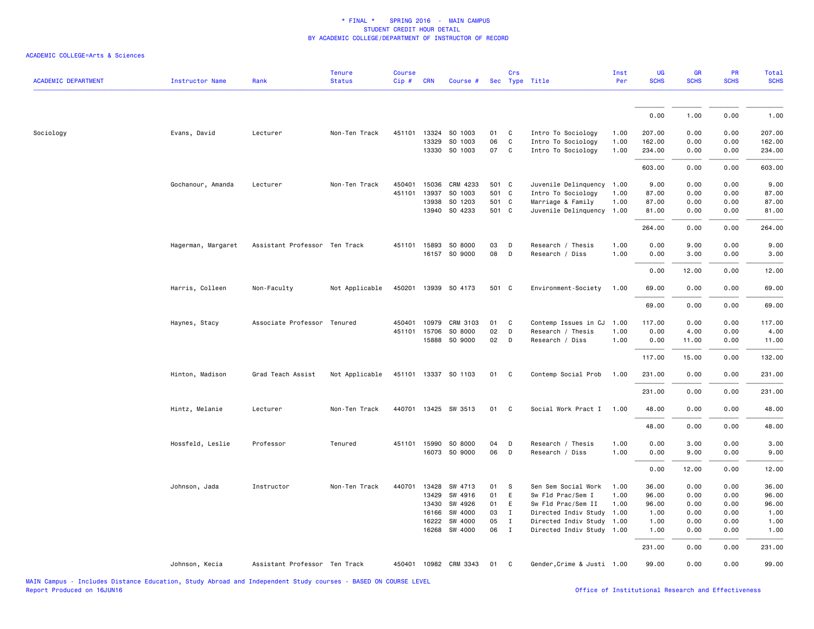| 0.00<br>1.00<br>0.00<br>Sociology<br>Evans, David<br>451101<br>13324 SO 1003<br>01<br>Intro To Sociology<br>207.00<br>0.00<br>0.00<br>Lecturer<br>Non-Ten Track<br>C<br>1.00<br>06<br>C<br>13329<br>SO 1003<br>Intro To Sociology<br>1.00<br>162.00<br>0.00<br>0.00<br>13330<br>SO 1003<br>07<br>C<br>Intro To Sociology<br>1.00<br>234.00<br>0.00<br>0.00<br>603.00<br>0.00<br>0.00<br>Gochanour, Amanda<br>501 C<br>Juvenile Delinquency<br>9.00<br>0.00<br>0.00<br>Lecturer<br>Non-Ten Track<br>450401<br>15036<br>CRM 4233<br>1.00<br>501 C<br>451101<br>13937<br>SO 1003<br>Intro To Sociology<br>87.00<br>0.00<br>0.00<br>1.00<br>13938<br>SO 1203<br>501 C<br>Marriage & Family<br>0.00<br>1.00<br>87.00<br>0.00<br>13940 SO 4233<br>501 C<br>Juvenile Delinquency<br>1.00<br>81.00<br>0.00<br>0.00<br>264.00<br>0.00<br>0.00<br>Hagerman, Margaret<br>Assistant Professor Ten Track<br>451101<br>15893<br>SO 8000<br>03<br>D<br>Research / Thesis<br>1.00<br>0.00<br>9.00<br>0.00<br>16157 SO 9000<br>08<br>D<br>1.00<br>Research / Diss<br>0.00<br>3.00<br>0.00<br>0.00<br>12.00<br>0.00<br>Harris, Colleen<br>Non-Faculty<br>Not Applicable<br>450201 13939 SO 4173<br>501 C<br>Environment-Society<br>1.00<br>69.00<br>0.00<br>0.00<br>69.00<br>0.00<br>0.00<br>CRM 3103<br>Contemp Issues in CJ<br>0.00<br>Haynes, Stacy<br>Associate Professor Tenured<br>450401<br>10979<br>01<br>C<br>1.00<br>117.00<br>0.00<br>02<br>451101<br>15706<br>SO 8000<br>D<br>Research / Thesis<br>1.00<br>0.00<br>0.00<br>4.00<br>02<br>15888 SO 9000<br>D<br>Research / Diss<br>1.00<br>0.00<br>0.00<br>11.00<br>117.00<br>15.00<br>0.00<br>451101 13337 SO 1103<br>Contemp Social Prob<br>Hinton, Madison<br>Grad Teach Assist<br>Not Applicable<br>01<br>C<br>1.00<br>231.00<br>0.00<br>0.00<br>231.00<br>0.00<br>0.00 | 1.00<br>207.00<br>162.00<br>234.00<br>603.00 |
|----------------------------------------------------------------------------------------------------------------------------------------------------------------------------------------------------------------------------------------------------------------------------------------------------------------------------------------------------------------------------------------------------------------------------------------------------------------------------------------------------------------------------------------------------------------------------------------------------------------------------------------------------------------------------------------------------------------------------------------------------------------------------------------------------------------------------------------------------------------------------------------------------------------------------------------------------------------------------------------------------------------------------------------------------------------------------------------------------------------------------------------------------------------------------------------------------------------------------------------------------------------------------------------------------------------------------------------------------------------------------------------------------------------------------------------------------------------------------------------------------------------------------------------------------------------------------------------------------------------------------------------------------------------------------------------------------------------------------------------------------------------------------------------------------------------------|----------------------------------------------|
|                                                                                                                                                                                                                                                                                                                                                                                                                                                                                                                                                                                                                                                                                                                                                                                                                                                                                                                                                                                                                                                                                                                                                                                                                                                                                                                                                                                                                                                                                                                                                                                                                                                                                                                                                                                                                      |                                              |
|                                                                                                                                                                                                                                                                                                                                                                                                                                                                                                                                                                                                                                                                                                                                                                                                                                                                                                                                                                                                                                                                                                                                                                                                                                                                                                                                                                                                                                                                                                                                                                                                                                                                                                                                                                                                                      |                                              |
|                                                                                                                                                                                                                                                                                                                                                                                                                                                                                                                                                                                                                                                                                                                                                                                                                                                                                                                                                                                                                                                                                                                                                                                                                                                                                                                                                                                                                                                                                                                                                                                                                                                                                                                                                                                                                      |                                              |
|                                                                                                                                                                                                                                                                                                                                                                                                                                                                                                                                                                                                                                                                                                                                                                                                                                                                                                                                                                                                                                                                                                                                                                                                                                                                                                                                                                                                                                                                                                                                                                                                                                                                                                                                                                                                                      |                                              |
|                                                                                                                                                                                                                                                                                                                                                                                                                                                                                                                                                                                                                                                                                                                                                                                                                                                                                                                                                                                                                                                                                                                                                                                                                                                                                                                                                                                                                                                                                                                                                                                                                                                                                                                                                                                                                      |                                              |
|                                                                                                                                                                                                                                                                                                                                                                                                                                                                                                                                                                                                                                                                                                                                                                                                                                                                                                                                                                                                                                                                                                                                                                                                                                                                                                                                                                                                                                                                                                                                                                                                                                                                                                                                                                                                                      |                                              |
|                                                                                                                                                                                                                                                                                                                                                                                                                                                                                                                                                                                                                                                                                                                                                                                                                                                                                                                                                                                                                                                                                                                                                                                                                                                                                                                                                                                                                                                                                                                                                                                                                                                                                                                                                                                                                      | 9.00                                         |
|                                                                                                                                                                                                                                                                                                                                                                                                                                                                                                                                                                                                                                                                                                                                                                                                                                                                                                                                                                                                                                                                                                                                                                                                                                                                                                                                                                                                                                                                                                                                                                                                                                                                                                                                                                                                                      | 87.00                                        |
|                                                                                                                                                                                                                                                                                                                                                                                                                                                                                                                                                                                                                                                                                                                                                                                                                                                                                                                                                                                                                                                                                                                                                                                                                                                                                                                                                                                                                                                                                                                                                                                                                                                                                                                                                                                                                      | 87.00                                        |
|                                                                                                                                                                                                                                                                                                                                                                                                                                                                                                                                                                                                                                                                                                                                                                                                                                                                                                                                                                                                                                                                                                                                                                                                                                                                                                                                                                                                                                                                                                                                                                                                                                                                                                                                                                                                                      | 81.00                                        |
|                                                                                                                                                                                                                                                                                                                                                                                                                                                                                                                                                                                                                                                                                                                                                                                                                                                                                                                                                                                                                                                                                                                                                                                                                                                                                                                                                                                                                                                                                                                                                                                                                                                                                                                                                                                                                      | 264.00                                       |
|                                                                                                                                                                                                                                                                                                                                                                                                                                                                                                                                                                                                                                                                                                                                                                                                                                                                                                                                                                                                                                                                                                                                                                                                                                                                                                                                                                                                                                                                                                                                                                                                                                                                                                                                                                                                                      | 9.00                                         |
|                                                                                                                                                                                                                                                                                                                                                                                                                                                                                                                                                                                                                                                                                                                                                                                                                                                                                                                                                                                                                                                                                                                                                                                                                                                                                                                                                                                                                                                                                                                                                                                                                                                                                                                                                                                                                      | 3.00                                         |
|                                                                                                                                                                                                                                                                                                                                                                                                                                                                                                                                                                                                                                                                                                                                                                                                                                                                                                                                                                                                                                                                                                                                                                                                                                                                                                                                                                                                                                                                                                                                                                                                                                                                                                                                                                                                                      | 12.00                                        |
|                                                                                                                                                                                                                                                                                                                                                                                                                                                                                                                                                                                                                                                                                                                                                                                                                                                                                                                                                                                                                                                                                                                                                                                                                                                                                                                                                                                                                                                                                                                                                                                                                                                                                                                                                                                                                      | 69.00                                        |
|                                                                                                                                                                                                                                                                                                                                                                                                                                                                                                                                                                                                                                                                                                                                                                                                                                                                                                                                                                                                                                                                                                                                                                                                                                                                                                                                                                                                                                                                                                                                                                                                                                                                                                                                                                                                                      | 69.00                                        |
|                                                                                                                                                                                                                                                                                                                                                                                                                                                                                                                                                                                                                                                                                                                                                                                                                                                                                                                                                                                                                                                                                                                                                                                                                                                                                                                                                                                                                                                                                                                                                                                                                                                                                                                                                                                                                      | 117.00                                       |
|                                                                                                                                                                                                                                                                                                                                                                                                                                                                                                                                                                                                                                                                                                                                                                                                                                                                                                                                                                                                                                                                                                                                                                                                                                                                                                                                                                                                                                                                                                                                                                                                                                                                                                                                                                                                                      | 4.00                                         |
|                                                                                                                                                                                                                                                                                                                                                                                                                                                                                                                                                                                                                                                                                                                                                                                                                                                                                                                                                                                                                                                                                                                                                                                                                                                                                                                                                                                                                                                                                                                                                                                                                                                                                                                                                                                                                      | 11.00                                        |
|                                                                                                                                                                                                                                                                                                                                                                                                                                                                                                                                                                                                                                                                                                                                                                                                                                                                                                                                                                                                                                                                                                                                                                                                                                                                                                                                                                                                                                                                                                                                                                                                                                                                                                                                                                                                                      | 132.00                                       |
|                                                                                                                                                                                                                                                                                                                                                                                                                                                                                                                                                                                                                                                                                                                                                                                                                                                                                                                                                                                                                                                                                                                                                                                                                                                                                                                                                                                                                                                                                                                                                                                                                                                                                                                                                                                                                      | 231.00                                       |
|                                                                                                                                                                                                                                                                                                                                                                                                                                                                                                                                                                                                                                                                                                                                                                                                                                                                                                                                                                                                                                                                                                                                                                                                                                                                                                                                                                                                                                                                                                                                                                                                                                                                                                                                                                                                                      | 231.00                                       |
| Non-Ten Track<br>440701 13425 SW 3513<br>01<br>Social Work Pract I<br>0.00<br>Hintz, Melanie<br>Lecturer<br>C<br>1.00<br>48.00                                                                                                                                                                                                                                                                                                                                                                                                                                                                                                                                                                                                                                                                                                                                                                                                                                                                                                                                                                                                                                                                                                                                                                                                                                                                                                                                                                                                                                                                                                                                                                                                                                                                                       | 0.00<br>48.00                                |
| 48.00<br>0.00<br>0.00                                                                                                                                                                                                                                                                                                                                                                                                                                                                                                                                                                                                                                                                                                                                                                                                                                                                                                                                                                                                                                                                                                                                                                                                                                                                                                                                                                                                                                                                                                                                                                                                                                                                                                                                                                                                | 48.00                                        |
| 1.00<br>0.00<br>Hossfeld, Leslie<br>Professor<br>Tenured<br>451101 15990<br>SO 8000<br>04<br>D<br>Research / Thesis<br>0.00<br>3.00                                                                                                                                                                                                                                                                                                                                                                                                                                                                                                                                                                                                                                                                                                                                                                                                                                                                                                                                                                                                                                                                                                                                                                                                                                                                                                                                                                                                                                                                                                                                                                                                                                                                                  | 3.00                                         |
| 16073 SO 9000<br>06<br>D<br>1.00<br>9.00<br>0.00<br>Research / Diss<br>0.00                                                                                                                                                                                                                                                                                                                                                                                                                                                                                                                                                                                                                                                                                                                                                                                                                                                                                                                                                                                                                                                                                                                                                                                                                                                                                                                                                                                                                                                                                                                                                                                                                                                                                                                                          | 9.00                                         |
| 0.00<br>12.00<br>0.00                                                                                                                                                                                                                                                                                                                                                                                                                                                                                                                                                                                                                                                                                                                                                                                                                                                                                                                                                                                                                                                                                                                                                                                                                                                                                                                                                                                                                                                                                                                                                                                                                                                                                                                                                                                                | 12.00                                        |
| 13428<br>Sen Sem Social Work<br>36.00<br>0.00<br>0.00<br>Johnson, Jada<br>Instructor<br>Non-Ten Track<br>440701<br>SW 4713<br>01<br>S<br>1.00                                                                                                                                                                                                                                                                                                                                                                                                                                                                                                                                                                                                                                                                                                                                                                                                                                                                                                                                                                                                                                                                                                                                                                                                                                                                                                                                                                                                                                                                                                                                                                                                                                                                        | 36.00                                        |
| 13429<br>SW 4916<br>01<br>E<br>Sw Fld Prac/Sem I<br>1.00<br>96.00<br>0.00<br>0.00                                                                                                                                                                                                                                                                                                                                                                                                                                                                                                                                                                                                                                                                                                                                                                                                                                                                                                                                                                                                                                                                                                                                                                                                                                                                                                                                                                                                                                                                                                                                                                                                                                                                                                                                    | 96.00                                        |
| 13430<br>SW 4926<br>01<br>E<br>Sw Fld Prac/Sem II<br>1.00<br>96.00<br>0.00<br>0.00                                                                                                                                                                                                                                                                                                                                                                                                                                                                                                                                                                                                                                                                                                                                                                                                                                                                                                                                                                                                                                                                                                                                                                                                                                                                                                                                                                                                                                                                                                                                                                                                                                                                                                                                   | 96.00                                        |
| 03<br>16166<br>SW 4000<br>Ι<br>Directed Indiv Study<br>1.00<br>1.00<br>0.00<br>0.00<br>05<br>16222<br>SW 4000<br>I<br>1.00<br>1.00<br>0.00<br>0.00                                                                                                                                                                                                                                                                                                                                                                                                                                                                                                                                                                                                                                                                                                                                                                                                                                                                                                                                                                                                                                                                                                                                                                                                                                                                                                                                                                                                                                                                                                                                                                                                                                                                   | 1.00<br>1.00                                 |
| Directed Indiv Study<br>16268<br>SW 4000<br>06<br>$\mathbf{I}$<br>Directed Indiv Study 1.00<br>1.00<br>0.00<br>0.00                                                                                                                                                                                                                                                                                                                                                                                                                                                                                                                                                                                                                                                                                                                                                                                                                                                                                                                                                                                                                                                                                                                                                                                                                                                                                                                                                                                                                                                                                                                                                                                                                                                                                                  | 1.00                                         |
| 231.00<br>0.00<br>0.00                                                                                                                                                                                                                                                                                                                                                                                                                                                                                                                                                                                                                                                                                                                                                                                                                                                                                                                                                                                                                                                                                                                                                                                                                                                                                                                                                                                                                                                                                                                                                                                                                                                                                                                                                                                               | 231.00                                       |
| Assistant Professor Ten Track<br>450401 10982 CRM 3343<br>Gender, Crime & Justi 1.00<br>99.00<br>0.00<br>0.00<br>Johnson, Kecia<br>01<br>C.                                                                                                                                                                                                                                                                                                                                                                                                                                                                                                                                                                                                                                                                                                                                                                                                                                                                                                                                                                                                                                                                                                                                                                                                                                                                                                                                                                                                                                                                                                                                                                                                                                                                          | 99.00                                        |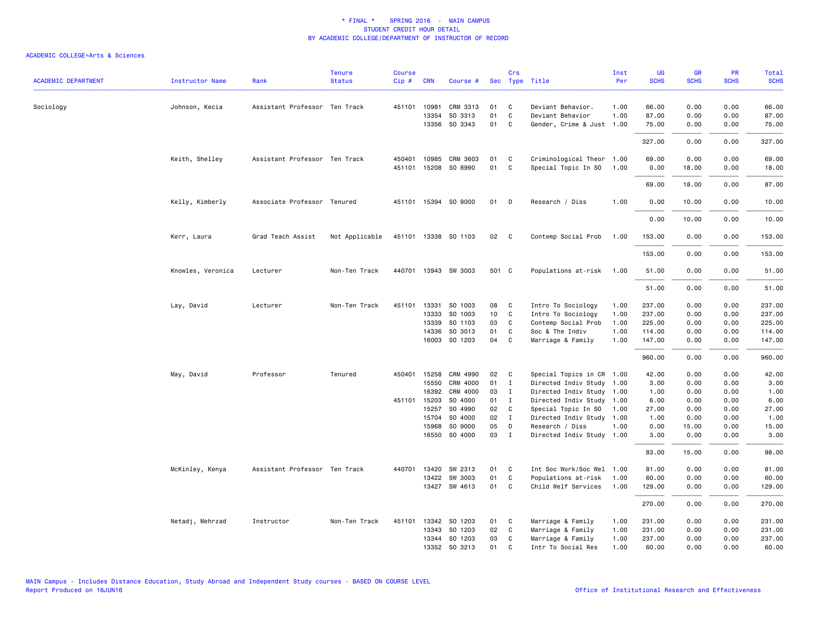| <b>ACADEMIC DEPARTMENT</b> | <b>Instructor Name</b> | Rank                          | <b>Tenure</b><br><b>Status</b> | <b>Course</b><br>Cip# | <b>CRN</b>            | Course #                             |                  | Crs                             | Sec Type Title                                                     | Inst<br>Per  | UG<br><b>SCHS</b>       | <b>GR</b><br><b>SCHS</b> | <b>PR</b><br><b>SCHS</b> | Total<br><b>SCHS</b>    |
|----------------------------|------------------------|-------------------------------|--------------------------------|-----------------------|-----------------------|--------------------------------------|------------------|---------------------------------|--------------------------------------------------------------------|--------------|-------------------------|--------------------------|--------------------------|-------------------------|
| Sociology                  | Johnson, Kecia         | Assistant Professor Ten Track |                                |                       | 451101 10981<br>13354 | CRM 3313<br>SO 3313<br>13356 SO 3343 | 01<br>01<br>01 C | $\mathbf{C}$<br>$\mathbf{C}$    | Deviant Behavior.<br>Deviant Behavior<br>Gender, Crime & Just 1.00 | 1.00<br>1.00 | 66.00<br>87.00<br>75.00 | 0.00<br>0.00<br>0.00     | 0.00<br>0.00<br>0.00     | 66.00<br>87.00<br>75.00 |
|                            |                        |                               |                                |                       |                       |                                      |                  |                                 |                                                                    |              | 327.00                  | 0.00                     | 0.00                     | 327.00                  |
|                            | Keith, Shelley         | Assistant Professor Ten Track |                                | 450401                | 10985<br>451101 15208 | CRM 3603<br>SO 8990                  | 01<br>01         | $\mathbf{C}$<br>$\mathbf{C}$    | Criminological Theor 1.00<br>Special Topic In SO                   | 1.00         | 69.00<br>0.00           | 0.00<br>18.00            | 0.00<br>0.00             | 69.00<br>18.00          |
|                            |                        |                               |                                |                       |                       |                                      |                  |                                 |                                                                    |              | 69.00                   | 18.00                    | 0.00                     | 87.00                   |
|                            | Kelly, Kimberly        | Associate Professor Tenured   |                                |                       |                       | 451101 15394 SO 9000                 | 01               | $\mathsf{D}$                    | Research / Diss                                                    | 1.00         | 0.00                    | 10.00                    | 0.00                     | 10.00                   |
|                            |                        |                               |                                |                       |                       |                                      |                  |                                 |                                                                    |              | 0.00                    | 10.00                    | 0.00                     | 10.00                   |
|                            | Kerr, Laura            | Grad Teach Assist             | Not Applicable                 |                       |                       | 451101 13338 SO 1103                 | 02               | $\mathbf{C}$                    | Contemp Social Prob                                                | 1.00         | 153.00                  | 0.00                     | 0.00                     | 153.00                  |
|                            |                        |                               |                                |                       |                       |                                      |                  |                                 |                                                                    |              | 153.00                  | 0.00                     | 0.00                     | 153.00                  |
|                            | Knowles, Veronica      | Lecturer                      | Non-Ten Track                  |                       |                       | 440701 13943 SW 3003                 | 501 C            |                                 | Populations at-risk                                                | 1.00         | 51.00                   | 0.00                     | 0.00                     | 51.00                   |
|                            |                        |                               |                                |                       |                       |                                      |                  |                                 |                                                                    |              | 51.00                   | 0.00                     | 0.00                     | 51.00                   |
|                            | Lay, David             | Lecturer                      | Non-Ten Track                  |                       | 451101 13331<br>13333 | SO 1003<br>SO 1003                   | 08               | $\overline{\mathbf{C}}$<br>10 C | Intro To Sociology<br>Intro To Sociology                           | 1.00<br>1.00 | 237.00<br>237.00        | 0.00<br>0.00             | 0.00<br>0.00             | 237.00<br>237.00        |
|                            |                        |                               |                                |                       | 13339                 | SO 1103                              | 03               | $\mathbf{C}$                    | Contemp Social Prob                                                | 1.00         | 225.00                  | 0.00                     | 0.00                     | 225.00                  |
|                            |                        |                               |                                |                       | 14336                 | SO 3013                              | 01               | $\mathbf{C}$                    | Soc & The Indiv                                                    | 1.00         | 114.00                  | 0.00                     | 0.00                     | 114.00                  |
|                            |                        |                               |                                |                       |                       | 16003 SO 1203                        |                  | 04 C                            | Marriage & Family                                                  | 1.00         | 147.00                  | 0.00                     | 0.00                     | 147.00                  |
|                            |                        |                               |                                |                       |                       |                                      |                  |                                 |                                                                    |              | 960.00                  | 0.00                     | 0.00                     | 960.00                  |
|                            | May, David             | Professor                     | Tenured                        |                       | 450401 15258          | CRM 4990                             | 02               | $\mathbf{C}$                    | Special Topics in CR 1.00                                          |              | 42.00                   | 0.00                     | 0.00                     | 42.00                   |
|                            |                        |                               |                                |                       | 15550                 | CRM 4000                             | 01               | $\blacksquare$                  | Directed Indiv Study 1.00                                          |              | 3.00                    | 0.00                     | 0.00                     | 3.00                    |
|                            |                        |                               |                                |                       | 16392                 | CRM 4000                             | 03               | $\blacksquare$                  | Directed Indiv Study 1.00                                          |              | 1.00                    | 0.00                     | 0.00                     | 1.00                    |
|                            |                        |                               |                                |                       | 451101 15203          | SO 4000                              | 01 I             |                                 | Directed Indiv Study 1.00                                          |              | 6.00                    | 0.00                     | 0.00                     | 6.00                    |
|                            |                        |                               |                                |                       | 15257                 | SO 4990                              | 02               | $\overline{c}$                  | Special Topic In SO                                                | 1.00         | 27.00                   | 0.00                     | 0.00                     | 27.00                   |
|                            |                        |                               |                                |                       | 15704                 | SO 4000                              | 02               | $\blacksquare$                  | Directed Indiv Study 1.00                                          |              | 1.00                    | 0.00                     | 0.00                     | 1.00                    |
|                            |                        |                               |                                |                       | 15968                 | SO 9000                              | 05               | $\Box$                          | Research / Diss                                                    | 1.00         | 0.00                    | 15.00                    | 0.00                     | 15.00                   |
|                            |                        |                               |                                |                       |                       | 16550 SO 4000                        | 03 I             |                                 | Directed Indiv Study 1.00                                          |              | 3.00                    | 0.00                     | 0.00                     | 3.00                    |
|                            |                        |                               |                                |                       |                       |                                      |                  |                                 |                                                                    |              | 83.00                   | 15.00                    | 0.00                     | 98.00                   |
|                            | McKinley, Kenya        | Assistant Professor Ten Track |                                |                       | 440701 13420          | SW 2313                              | 01 C             |                                 | Int Soc Work/Soc Wel 1.00                                          |              | 81.00                   | 0.00                     | 0.00                     | 81.00                   |
|                            |                        |                               |                                |                       | 13422                 | SW 3003                              | 01               | $\mathbf{C}$                    | Populations at-risk                                                | 1.00         | 60.00                   | 0.00                     | 0.00                     | 60.00                   |
|                            |                        |                               |                                |                       |                       | 13427 SW 4613                        | 01 C             |                                 | Child Welf Services                                                | 1.00         | 129.00                  | 0.00                     | 0.00                     | 129.00                  |
|                            |                        |                               |                                |                       |                       |                                      |                  |                                 |                                                                    |              | 270.00                  | 0.00                     | 0.00                     | 270.00                  |
|                            | Netadj, Mehrzad        | Instructor                    | Non-Ten Track                  |                       | 451101 13342          | SO 1203                              | 01 C             |                                 | Marriage & Family                                                  | 1.00         | 231.00                  | 0.00                     | 0.00                     | 231.00                  |
|                            |                        |                               |                                |                       | 13343                 | SO 1203                              | 02               | $\mathbf{C}$                    | Marriage & Family                                                  | 1.00         | 231.00                  | 0.00                     | 0.00                     | 231.00                  |
|                            |                        |                               |                                |                       |                       | 13344 SO 1203                        | 03               | C                               | Marriage & Family                                                  | 1.00         | 237.00                  | 0.00                     | 0.00                     | 237.00                  |
|                            |                        |                               |                                |                       | 13352                 | SO 3213                              | 01               | C                               | Intr To Social Res                                                 | 1.00         | 60.00                   | 0.00                     | 0.00                     | 60.00                   |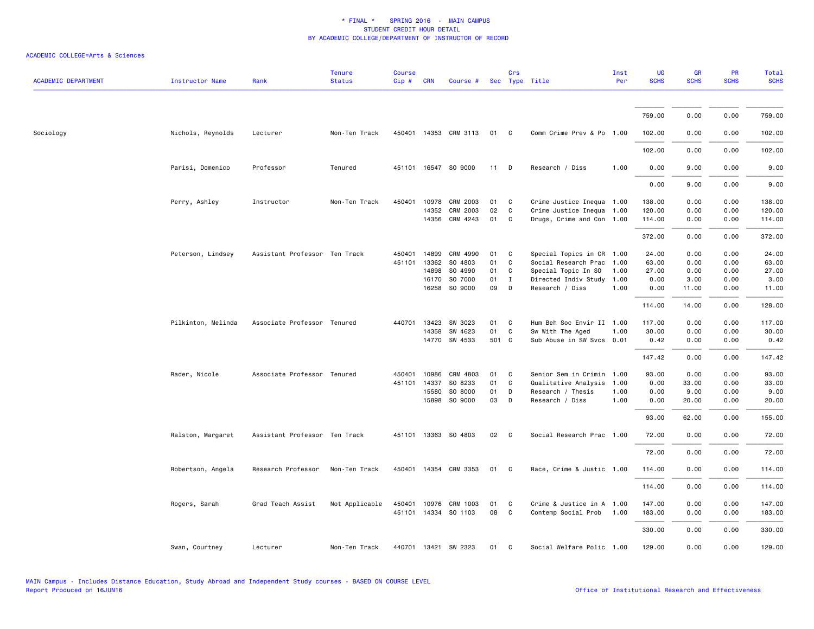| <b>ACADEMIC DEPARTMENT</b> | <b>Instructor Name</b> | Rank                          | <b>Tenure</b><br><b>Status</b> | <b>Course</b><br>Cip# | <b>CRN</b>   | Course #              |       | Crs          | Sec Type Title            | Inst<br>Per | UG<br><b>SCHS</b> | <b>GR</b><br><b>SCHS</b> | <b>PR</b><br><b>SCHS</b> | <b>Total</b><br><b>SCHS</b> |
|----------------------------|------------------------|-------------------------------|--------------------------------|-----------------------|--------------|-----------------------|-------|--------------|---------------------------|-------------|-------------------|--------------------------|--------------------------|-----------------------------|
|                            |                        |                               |                                |                       |              |                       |       |              |                           |             |                   |                          |                          |                             |
|                            |                        |                               |                                |                       |              |                       |       |              |                           |             | 759.00            | 0.00                     | 0.00                     | 759.00                      |
| Sociology                  | Nichols, Reynolds      | Lecturer                      | Non-Ten Track                  |                       |              | 450401 14353 CRM 3113 | 01    | C            | Comm Crime Prev & Po 1.00 |             | 102.00            | 0.00                     | 0.00                     | 102.00                      |
|                            |                        |                               |                                |                       |              |                       |       |              |                           |             | 102.00            | 0.00                     | 0.00                     | 102.00                      |
|                            | Parisi, Domenico       | Professor                     | Tenured                        |                       |              | 451101 16547 SO 9000  | 11    | D            | Research / Diss           | 1.00        | 0.00              | 9.00                     | 0.00                     | 9.00                        |
|                            |                        |                               |                                |                       |              |                       |       |              |                           |             | 0.00              | 9.00                     | 0.00                     | 9.00                        |
|                            | Perry, Ashley          | Instructor                    | Non-Ten Track                  | 450401                | 10978        | CRM 2003              | 01    | C            | Crime Justice Inequa 1.00 |             | 138.00            | 0.00                     | 0.00                     | 138.00                      |
|                            |                        |                               |                                |                       | 14352        | CRM 2003              | 02    | C            | Crime Justice Inequa 1.00 |             | 120.00            | 0.00                     | 0.00                     | 120.00                      |
|                            |                        |                               |                                |                       | 14356        | CRM 4243              | 01    | C            | Drugs, Crime and Con 1.00 |             | 114.00            | 0.00                     | 0.00                     | 114.00                      |
|                            |                        |                               |                                |                       |              |                       |       |              |                           |             | 372.00            | 0.00                     | 0.00                     | 372.00                      |
|                            | Peterson, Lindsey      | Assistant Professor Ten Track |                                | 450401                | 14899        | CRM 4990              | 01    | C            | Special Topics in CR 1.00 |             | 24.00             | 0.00                     | 0.00                     | 24.00                       |
|                            |                        |                               |                                | 451101                | 13362        | SO 4803               | 01    | C            | Social Research Prac 1.00 |             | 63.00             | 0.00                     | 0.00                     | 63.00                       |
|                            |                        |                               |                                |                       | 14898        | SO 4990               | 01    | C            | Special Topic In SO       | 1.00        | 27.00             | 0.00                     | 0.00                     | 27.00                       |
|                            |                        |                               |                                |                       | 16170        | SO 7000               | 01    | $\mathbf{I}$ | Directed Indiv Study      | 1.00        | 0.00              | 3.00                     | 0.00                     | 3.00                        |
|                            |                        |                               |                                |                       | 16258        | SO 9000               | 09    | D            | Research / Diss           | 1.00        | 0.00              | 11.00                    | 0.00                     | 11.00                       |
|                            |                        |                               |                                |                       |              |                       |       |              |                           |             | 114.00            | 14.00                    | 0.00                     | 128.00                      |
|                            | Pilkinton, Melinda     | Associate Professor Tenured   |                                |                       | 440701 13423 | SW 3023               | 01    | C            | Hum Beh Soc Envir II 1.00 |             | 117.00            | 0.00                     | 0.00                     | 117.00                      |
|                            |                        |                               |                                |                       | 14358        | SW 4623               | 01    | C            | Sw With The Aged          | 1.00        | 30.00             | 0.00                     | 0.00                     | 30.00                       |
|                            |                        |                               |                                |                       |              | 14770 SW 4533         | 501 C |              | Sub Abuse in SW Svcs 0.01 |             | 0.42              | 0.00                     | 0.00                     | 0.42                        |
|                            |                        |                               |                                |                       |              |                       |       |              |                           |             | 147.42            | 0.00                     | 0.00                     | 147.42                      |
|                            | Rader, Nicole          | Associate Professor Tenured   |                                | 450401                | 10986        | CRM 4803              | 01    | C            | Senior Sem in Crimin 1.00 |             | 93.00             | 0.00                     | 0.00                     | 93.00                       |
|                            |                        |                               |                                | 451101                | 14337        | SO 8233               | 01    | C            | Qualitative Analysis      | 1.00        | 0.00              | 33.00                    | 0.00                     | 33.00                       |
|                            |                        |                               |                                |                       | 15580        | SO 8000               | 01    | D            | Research / Thesis         | 1.00        | 0.00              | 9.00                     | 0.00                     | 9.00                        |
|                            |                        |                               |                                |                       |              | 15898 SO 9000         | 03    | D            | Research / Diss           | 1.00        | 0.00              | 20.00                    | 0.00                     | 20.00                       |
|                            |                        |                               |                                |                       |              |                       |       |              |                           |             | 93.00             | 62.00                    | 0.00                     | 155.00                      |
|                            | Ralston, Margaret      | Assistant Professor Ten Track |                                |                       |              | 451101 13363 SO 4803  | 02    | $\mathbf{C}$ | Social Research Prac 1.00 |             | 72.00             | 0.00                     | 0.00                     | 72.00                       |
|                            |                        |                               |                                |                       |              |                       |       |              |                           |             | 72.00             | 0.00                     | 0.00                     | 72.00                       |
|                            | Robertson, Angela      | Research Professor            | Non-Ten Track                  |                       |              | 450401 14354 CRM 3353 | 01    | C.           | Race, Crime & Justic 1.00 |             | 114.00            | 0.00                     | 0.00                     | 114.00                      |
|                            |                        |                               |                                |                       |              |                       |       |              |                           |             | 114.00            | 0.00                     | 0.00                     | 114.00                      |
|                            | Rogers, Sarah          | Grad Teach Assist             | Not Applicable                 | 450401                | 10976        | CRM 1003              | 01    | C            | Crime & Justice in A 1.00 |             | 147.00            | 0.00                     | 0.00                     | 147.00                      |
|                            |                        |                               |                                |                       |              | 451101 14334 SO 1103  | 08    | C            | Contemp Social Prob       | 1.00        | 183.00            | 0.00                     | 0.00                     | 183.00                      |
|                            |                        |                               |                                |                       |              |                       |       |              |                           |             |                   |                          |                          |                             |
|                            |                        |                               |                                |                       |              |                       |       |              |                           |             | 330.00            | 0.00                     | 0.00                     | 330.00                      |
|                            | Swan, Courtney         | Lecturer                      | Non-Ten Track                  |                       |              | 440701 13421 SW 2323  | 01    | C            | Social Welfare Polic 1.00 |             | 129.00            | 0.00                     | 0.00                     | 129.00                      |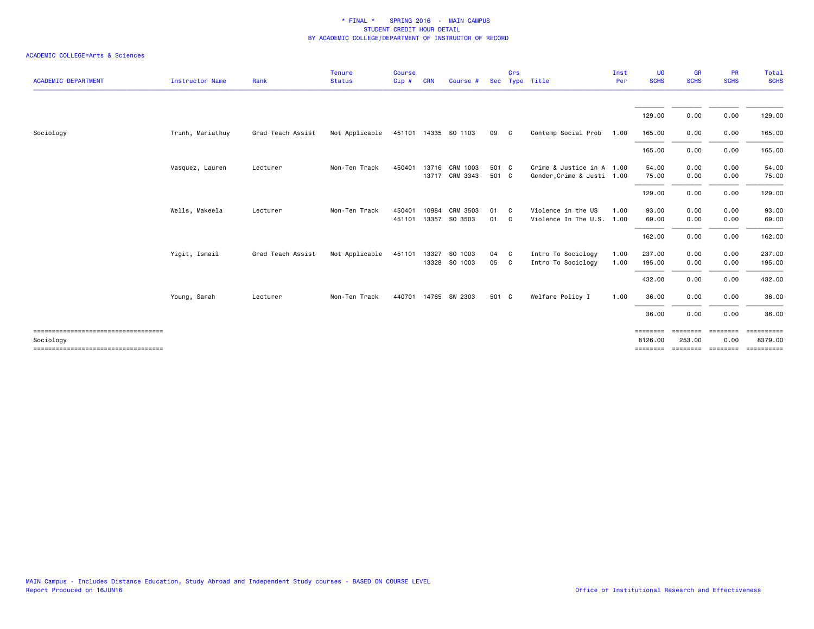| <b>ACADEMIC DEPARTMENT</b>                                                                 | <b>Instructor Name</b> | Rank              | <b>Tenure</b><br><b>Status</b> | <b>Course</b><br>Cip# | <b>CRN</b>     | Course #                         |                | Crs      | Sec Type Title                                          | Inst<br>Per  | UG<br><b>SCHS</b>            | <b>GR</b><br><b>SCHS</b> | PR<br><b>SCHS</b>      | <b>Total</b><br><b>SCHS</b>                                   |
|--------------------------------------------------------------------------------------------|------------------------|-------------------|--------------------------------|-----------------------|----------------|----------------------------------|----------------|----------|---------------------------------------------------------|--------------|------------------------------|--------------------------|------------------------|---------------------------------------------------------------|
|                                                                                            |                        |                   |                                |                       |                |                                  |                |          |                                                         |              |                              |                          |                        |                                                               |
|                                                                                            |                        |                   |                                |                       |                |                                  |                |          |                                                         |              | 129.00                       | 0.00                     | 0.00                   | 129.00                                                        |
| Sociology                                                                                  | Trinh, Mariathuy       | Grad Teach Assist | Not Applicable                 |                       |                | 451101 14335 SO 1103             | 09 C           |          | Contemp Social Prob                                     | 1.00         | 165.00                       | 0.00                     | 0.00                   | 165.00                                                        |
|                                                                                            |                        |                   |                                |                       |                |                                  |                |          |                                                         |              | 165.00                       | 0.00                     | 0.00                   | 165.00                                                        |
|                                                                                            | Vasquez, Lauren        | Lecturer          | Non-Ten Track                  | 450401                |                | 13716 CRM 1003<br>13717 CRM 3343 | 501 C<br>501 C |          | Crime & Justice in A 1.00<br>Gender, Crime & Justi 1.00 |              | 54.00<br>75.00               | 0.00<br>0.00             | 0.00<br>0.00           | 54.00<br>75.00                                                |
|                                                                                            |                        |                   |                                |                       |                |                                  |                |          |                                                         |              | 129.00                       | 0.00                     | 0.00                   | 129.00                                                        |
|                                                                                            | Wells, Makeela         | Lecturer          | Non-Ten Track                  | 450401<br>451101      | 10984<br>13357 | CRM 3503<br>SO 3503              | 01<br>01       | C.<br>C. | Violence in the US<br>Violence In The U.S. 1.00         | 1.00         | 93.00<br>69.00               | 0.00<br>0.00             | 0.00<br>0.00           | 93.00<br>69.00                                                |
|                                                                                            |                        |                   |                                |                       |                |                                  |                |          |                                                         |              | 162.00                       | 0.00                     | 0.00                   | 162.00                                                        |
|                                                                                            | Yigit, Ismail          | Grad Teach Assist | Not Applicable                 | 451101                | 13327          | SO 1003<br>13328 SO 1003         | 04 C<br>05 C   |          | Intro To Sociology<br>Intro To Sociology                | 1.00<br>1.00 | 237.00<br>195.00             | 0.00<br>0.00             | 0.00<br>0.00           | 237.00<br>195.00                                              |
|                                                                                            |                        |                   |                                |                       |                |                                  |                |          |                                                         |              | 432.00                       | 0.00                     | 0.00                   | 432.00                                                        |
|                                                                                            | Young, Sarah           | Lecturer          | Non-Ten Track                  |                       |                | 440701 14765 SW 2303             | 501 C          |          | Welfare Policy I                                        | 1.00         | 36.00                        | 0.00                     | 0.00                   | 36.00                                                         |
|                                                                                            |                        |                   |                                |                       |                |                                  |                |          |                                                         |              | 36.00                        | 0.00                     | 0.00                   | 36.00                                                         |
| ====================================<br>Sociology<br>===================================== |                        |                   |                                |                       |                |                                  |                |          |                                                         |              | $=$ = = = = = = =<br>8126.00 | --------<br>253,00       | <b>EBBEERE</b><br>0.00 | ==========<br>8379.00<br>======== ======== ======== ========= |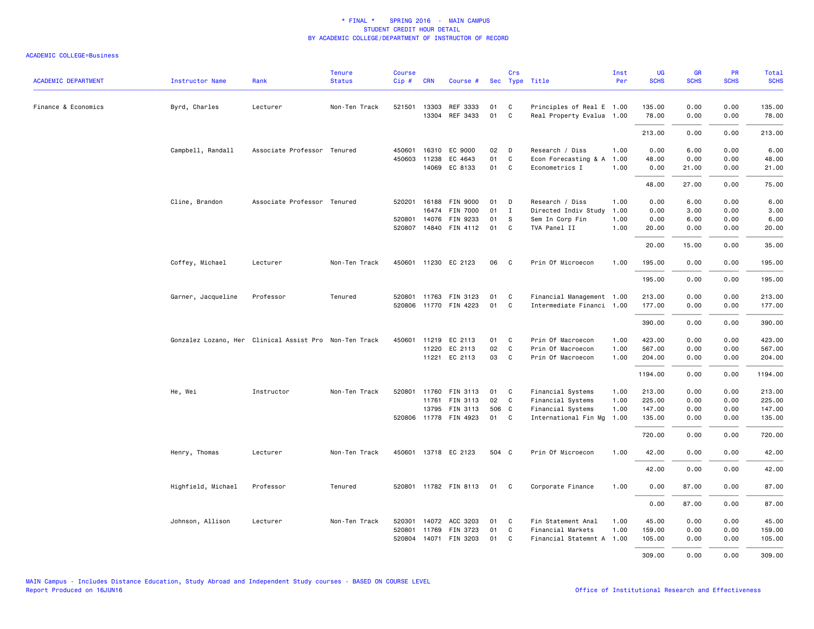| <b>ACADEMIC DEPARTMENT</b> | <b>Instructor Name</b>                                 | Rank                        | <b>Tenure</b><br><b>Status</b> | <b>Course</b><br>Cip# | <b>CRN</b>   | Course #                 |          | Crs          | Sec Type Title                         | Inst<br>Per  | <b>UG</b><br><b>SCHS</b> | <b>GR</b><br><b>SCHS</b> | PR<br><b>SCHS</b> | Total<br><b>SCHS</b> |
|----------------------------|--------------------------------------------------------|-----------------------------|--------------------------------|-----------------------|--------------|--------------------------|----------|--------------|----------------------------------------|--------------|--------------------------|--------------------------|-------------------|----------------------|
| Finance & Economics        | Byrd, Charles                                          | Lecturer                    | Non-Ten Track                  |                       | 521501 13303 | REF 3333                 | 01       | C            | Principles of Real E 1.00              |              | 135.00                   | 0.00                     | 0.00              | 135.00               |
|                            |                                                        |                             |                                |                       |              | 13304 REF 3433           | 01       | $\mathsf{C}$ | Real Property Evalua 1.00              |              | 78.00                    | 0.00                     | 0.00              | 78.00                |
|                            |                                                        |                             |                                |                       |              |                          |          |              |                                        |              | 213.00                   | 0.00                     | 0.00              | 213.00               |
|                            | Campbell, Randall                                      | Associate Professor Tenured |                                | 450601                | 16310        | EC 9000                  | 02       | D            | Research / Diss                        | 1.00         | 0.00                     | 6.00                     | 0.00              | 6.00                 |
|                            |                                                        |                             |                                |                       | 450603 11238 | EC 4643<br>14069 EC 8133 | 01<br>01 | C<br>C       | Econ Forecasting & A<br>Econometrics I | 1.00<br>1.00 | 48.00<br>0.00            | 0.00<br>21.00            | 0.00<br>0.00      | 48.00<br>21.00       |
|                            |                                                        |                             |                                |                       |              |                          |          |              |                                        |              | 48.00                    | 27.00                    | 0.00              | 75.00                |
|                            | Cline, Brandon                                         | Associate Professor Tenured |                                | 520201                |              | 16188 FIN 9000           | 01       | D            | Research / Diss                        | 1.00         | 0.00                     | 6.00                     | 0.00              | 6.00                 |
|                            |                                                        |                             |                                |                       | 16474        | <b>FIN 7000</b>          | 01       | I            | Directed Indiv Study                   | 1.00         | 0.00                     | 3.00                     | 0.00              | 3.00                 |
|                            |                                                        |                             |                                |                       | 520801 14076 | FIN 9233                 | 01       | S            | Sem In Corp Fin                        | 1.00         | 0.00                     | 6.00                     | 0.00              | 6.00                 |
|                            |                                                        |                             |                                |                       |              | 520807 14840 FIN 4112    | 01       | $\mathsf{C}$ | TVA Panel II                           | 1.00         | 20.00                    | 0.00                     | 0.00              | 20.00                |
|                            |                                                        |                             |                                |                       |              |                          |          |              |                                        |              | 20.00                    | 15.00                    | 0.00              | 35.00                |
|                            | Coffey, Michael                                        | Lecturer                    | Non-Ten Track                  |                       |              | 450601 11230 EC 2123     | 06       | C            | Prin Of Microecon                      | 1.00         | 195.00                   | 0.00                     | 0.00              | 195.00               |
|                            |                                                        |                             |                                |                       |              |                          |          |              |                                        |              | 195.00                   | 0.00                     | 0.00              | 195.00               |
|                            | Garner, Jacqueline                                     | Professor                   | Tenured                        |                       |              | 520801 11763 FIN 3123    | 01       | C            | Financial Management 1.00              |              | 213.00                   | 0.00                     | 0.00              | 213.00               |
|                            |                                                        |                             |                                |                       |              | 520806 11770 FIN 4223    | 01       | $\mathsf{C}$ | Intermediate Financi 1.00              |              | 177.00                   | 0.00                     | 0.00              | 177.00               |
|                            |                                                        |                             |                                |                       |              |                          |          |              |                                        |              | 390.00                   | 0.00                     | 0.00              | 390.00               |
|                            | Gonzalez Lozano, Her Clinical Assist Pro Non-Ten Track |                             |                                |                       |              | 450601 11219 EC 2113     | 01       | C            | Prin Of Macroecon                      | 1.00         | 423.00                   | 0.00                     | 0.00              | 423.00               |
|                            |                                                        |                             |                                |                       | 11220        | EC 2113                  | 02       | C            | Prin Of Macroecon                      | 1.00         | 567.00                   | 0.00                     | 0.00              | 567.00               |
|                            |                                                        |                             |                                |                       |              | 11221 EC 2113            | 03       | C            | Prin Of Macroecon                      | 1.00         | 204.00                   | 0.00                     | 0.00              | 204.00               |
|                            |                                                        |                             |                                |                       |              |                          |          |              |                                        |              | 1194.00                  | 0.00                     | 0.00              | 1194.00              |
|                            | He, Wei                                                | Instructor                  | Non-Ten Track                  |                       |              | 520801 11760 FIN 3113    | 01       | C            | Financial Systems                      | 1.00         | 213.00                   | 0.00                     | 0.00              | 213.00               |
|                            |                                                        |                             |                                |                       | 11761        | FIN 3113                 | 02       | $\mathsf{C}$ | Financial Systems                      | 1.00         | 225.00                   | 0.00                     | 0.00              | 225.00               |
|                            |                                                        |                             |                                |                       | 13795        | <b>FIN 3113</b>          | 506 C    |              | Financial Systems                      | 1.00         | 147.00                   | 0.00                     | 0.00              | 147.00               |
|                            |                                                        |                             |                                |                       |              | 520806 11778 FIN 4923    | 01       | C            | International Fin Mg                   | 1.00         | 135.00                   | 0.00                     | 0.00              | 135.00               |
|                            |                                                        |                             |                                |                       |              |                          |          |              |                                        |              | 720.00                   | 0.00                     | 0.00              | 720.00               |
|                            | Henry, Thomas                                          | Lecturer                    | Non-Ten Track                  |                       |              | 450601 13718 EC 2123     | 504 C    |              | Prin Of Microecon                      | 1.00         | 42.00                    | 0.00                     | 0.00              | 42.00                |
|                            |                                                        |                             |                                |                       |              |                          |          |              |                                        |              | 42.00                    | 0.00                     | 0.00              | 42.00                |
|                            | Highfield, Michael                                     | Professor                   | Tenured                        |                       |              | 520801 11782 FIN 8113    | 01       | C            | Corporate Finance                      | 1.00         | 0.00                     | 87.00                    | 0.00              | 87.00                |
|                            |                                                        |                             |                                |                       |              |                          |          |              |                                        |              | 0.00                     | 87.00                    | 0.00              | 87.00                |
|                            | Johnson, Allison                                       | Lecturer                    | Non-Ten Track                  | 520301                |              | 14072 ACC 3203           | 01       | C            | Fin Statement Anal                     | 1.00         | 45.00                    | 0.00                     | 0.00              | 45.00                |
|                            |                                                        |                             |                                | 520801                |              | 11769 FIN 3723           | 01       | C            | Financial Markets                      | 1.00         | 159.00                   | 0.00                     | 0.00              | 159.00               |
|                            |                                                        |                             |                                | 520804                |              | 14071 FIN 3203           | 01       | C            | Financial Statemnt A 1.00              |              | 105.00                   | 0.00                     | 0.00              | 105.00               |
|                            |                                                        |                             |                                |                       |              |                          |          |              |                                        |              | 309,00                   | 0.00                     | 0.00              | 309.00               |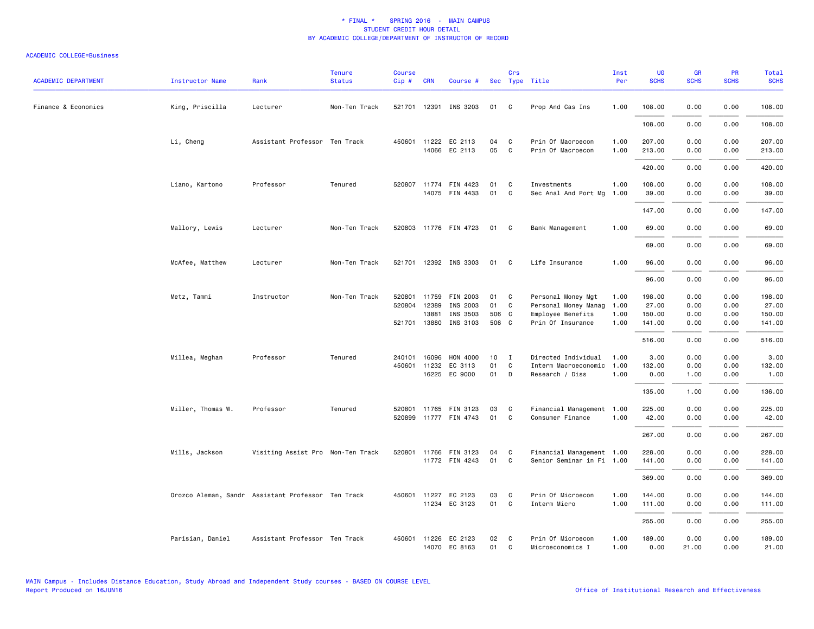| <b>ACADEMIC DEPARTMENT</b> | Instructor Name                                    | Rank                              | <b>Tenure</b><br><b>Status</b> | <b>Course</b><br>Cip# | <b>CRN</b>   | Course #                                |          | Crs               | Sec Type Title                         | Inst<br>Per  | UG<br><b>SCHS</b> | <b>GR</b><br><b>SCHS</b> | <b>PR</b><br><b>SCHS</b> | Total<br><b>SCHS</b> |
|----------------------------|----------------------------------------------------|-----------------------------------|--------------------------------|-----------------------|--------------|-----------------------------------------|----------|-------------------|----------------------------------------|--------------|-------------------|--------------------------|--------------------------|----------------------|
| Finance & Economics        | King, Priscilla                                    | Lecturer                          | Non-Ten Track                  |                       |              | 521701 12391 INS 3203                   | 01       | $\mathbf{C}$      | Prop And Cas Ins                       | 1.00         | 108.00            | 0.00                     | 0.00                     | 108.00               |
|                            |                                                    |                                   |                                |                       |              |                                         |          |                   |                                        |              | 108.00            | 0.00                     | 0.00                     | 108.00               |
|                            | Li, Cheng                                          | Assistant Professor Ten Track     |                                |                       |              | 450601 11222 EC 2113<br>14066 EC 2113   | 04<br>05 | C<br>$\mathbf{C}$ | Prin Of Macroecon<br>Prin Of Macroecon | 1.00<br>1.00 | 207.00<br>213.00  | 0.00<br>0.00             | 0.00<br>0.00             | 207.00<br>213.00     |
|                            |                                                    |                                   |                                |                       |              |                                         |          |                   |                                        |              | 420.00            | 0.00                     | 0.00                     | 420.00               |
|                            | Liano, Kartono                                     | Professor                         | Tenured                        |                       |              | 520807 11774 FIN 4423<br>14075 FIN 4433 | 01<br>01 | C<br>$\mathbf C$  | Investments<br>Sec Anal And Port Mg    | 1.00<br>1.00 | 108.00<br>39.00   | 0.00<br>0.00             | 0.00<br>0.00             | 108.00<br>39.00      |
|                            |                                                    |                                   |                                |                       |              |                                         |          |                   |                                        |              | 147.00            | 0.00                     | 0.00                     | 147.00               |
|                            | Mallory, Lewis                                     | Lecturer                          | Non-Ten Track                  |                       |              | 520803 11776 FIN 4723                   | 01       | $\mathbf{C}$      | Bank Management                        | 1.00         | 69.00             | 0.00                     | 0.00                     | 69.00                |
|                            |                                                    |                                   |                                |                       |              |                                         |          |                   |                                        |              | 69.00             | 0.00                     | 0.00                     | 69.00                |
|                            | McAfee, Matthew                                    | Lecturer                          | Non-Ten Track                  |                       |              | 521701 12392 INS 3303                   | 01       | $\mathbf{C}$      | Life Insurance                         | 1.00         | 96.00             | 0.00                     | 0.00                     | 96.00                |
|                            |                                                    |                                   |                                |                       |              |                                         |          |                   |                                        |              | 96.00             | 0.00                     | 0.00                     | 96.00                |
|                            | Metz, Tammi                                        | Instructor                        | Non-Ten Track                  | 520801                | 11759        | FIN 2003                                | 01       | C.                | Personal Money Mgt                     | 1.00         | 198,00            | 0.00                     | 0.00                     | 198.00               |
|                            |                                                    |                                   |                                | 520804                | 12389        | INS 2003                                | 01       | C                 | Personal Money Manag                   | 1.00         | 27.00             | 0.00                     | 0.00                     | 27.00                |
|                            |                                                    |                                   |                                |                       | 13881        | INS 3503                                | 506 C    |                   | Employee Benefits                      | 1.00         | 150.00            | 0.00                     | 0.00                     | 150.00               |
|                            |                                                    |                                   |                                | 521701                | 13880        | INS 3103                                | 506 C    |                   | Prin Of Insurance                      | 1.00         | 141.00            | 0.00                     | 0.00                     | 141.00               |
|                            |                                                    |                                   |                                |                       |              |                                         |          |                   |                                        |              | 516.00            | 0.00                     | 0.00                     | 516.00               |
|                            | Millea, Meghan                                     | Professor                         | Tenured                        | 240101                | 16096        | HON 4000                                | 10       | $\mathbf{I}$      | Directed Individual                    | 1.00         | 3.00              | 0.00                     | 0.00                     | 3.00                 |
|                            |                                                    |                                   |                                | 450601                | 11232        | EC 3113                                 | 01       | $\mathtt{C}$      | Interm Macroeconomic                   | 1.00         | 132.00            | 0.00                     | 0.00                     | 132.00               |
|                            |                                                    |                                   |                                |                       |              | 16225 EC 9000                           | 01       | D                 | Research / Diss                        | 1.00         | 0.00              | 1.00                     | 0.00                     | 1.00                 |
|                            |                                                    |                                   |                                |                       |              |                                         |          |                   |                                        |              | 135.00            | 1.00                     | 0.00                     | 136.00               |
|                            | Miller, Thomas W.                                  | Professor                         | Tenured                        | 520801                |              | 11765 FIN 3123                          | 03       | C                 | Financial Management 1.00              |              | 225.00            | 0.00                     | 0.00                     | 225.00               |
|                            |                                                    |                                   |                                |                       |              | 520899 11777 FIN 4743                   | 01       | C                 | Consumer Finance                       | 1.00         | 42.00             | 0.00                     | 0.00                     | 42.00                |
|                            |                                                    |                                   |                                |                       |              |                                         |          |                   |                                        |              | 267.00            | 0.00                     | 0.00                     | 267.00               |
|                            | Mills, Jackson                                     | Visiting Assist Pro Non-Ten Track |                                |                       |              | 520801 11766 FIN 3123                   | 04       | C                 | Financial Management 1.00              |              | 228.00            | 0.00                     | 0.00                     | 228.00               |
|                            |                                                    |                                   |                                |                       |              | 11772 FIN 4243                          | 01       | C.                | Senior Seminar in Fi 1.00              |              | 141.00            | 0.00                     | 0.00                     | 141.00               |
|                            |                                                    |                                   |                                |                       |              |                                         |          |                   |                                        |              | 369.00            | 0.00                     | 0.00                     | 369.00               |
|                            | Orozco Aleman, Sandr Assistant Professor Ten Track |                                   |                                |                       | 450601 11227 | EC 2123                                 | 03       | C                 | Prin Of Microecon                      | 1.00         | 144.00            | 0.00                     | 0.00                     | 144.00               |
|                            |                                                    |                                   |                                |                       |              | 11234 EC 3123                           | 01       | C                 | Interm Micro                           | 1.00         | 111.00            | 0.00                     | 0.00                     | 111.00               |
|                            |                                                    |                                   |                                |                       |              |                                         |          |                   |                                        |              | 255.00            | 0.00                     | 0.00                     | 255.00               |
|                            | Parisian, Daniel                                   | Assistant Professor Ten Track     |                                | 450601                |              | 11226 EC 2123<br>14070 EC 8163          | 02<br>01 | $\mathbf{C}$<br>C | Prin Of Microecon<br>Microeconomics I  | 1.00<br>1.00 | 189.00<br>0.00    | 0.00<br>21.00            | 0.00<br>0.00             | 189.00<br>21.00      |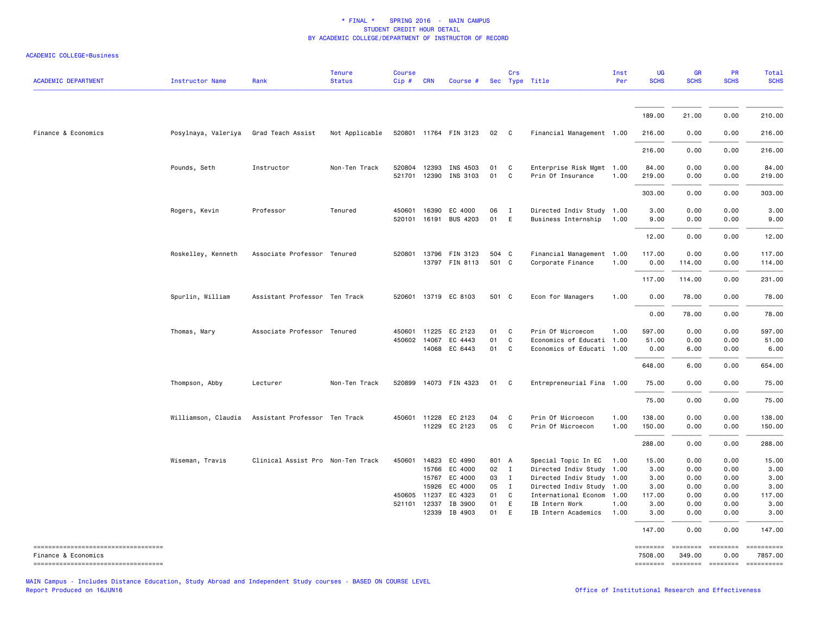| <b>ACADEMIC DEPARTMENT</b>                                  | <b>Instructor Name</b> | Rank                              | <b>Tenure</b><br><b>Status</b> | <b>Course</b><br>Cip# | <b>CRN</b>   | Course #              |       | Crs          | Sec Type Title            | Inst<br>Per | <b>UG</b><br><b>SCHS</b> | <b>GR</b><br><b>SCHS</b> | <b>PR</b><br><b>SCHS</b> | Total<br><b>SCHS</b>  |
|-------------------------------------------------------------|------------------------|-----------------------------------|--------------------------------|-----------------------|--------------|-----------------------|-------|--------------|---------------------------|-------------|--------------------------|--------------------------|--------------------------|-----------------------|
|                                                             |                        |                                   |                                |                       |              |                       |       |              |                           |             |                          |                          |                          |                       |
|                                                             |                        |                                   |                                |                       |              |                       |       |              |                           |             | 189.00                   | 21.00                    | 0.00                     | 210.00                |
| Finance & Economics                                         | Posylnaya, Valeriya    | Grad Teach Assist                 | Not Applicable                 |                       |              | 520801 11764 FIN 3123 | - 02  | $\mathbf{C}$ | Financial Management 1.00 |             | 216.00                   | 0.00                     | 0.00                     | 216.00                |
|                                                             |                        |                                   |                                |                       |              |                       |       |              |                           |             | 216.00                   | 0.00                     | 0.00                     | 216.00                |
|                                                             | Pounds, Seth           | Instructor                        | Non-Ten Track                  |                       | 520804 12393 | INS 4503              | 01    | C            | Enterprise Risk Mgmt 1.00 |             | 84.00                    | 0.00                     | 0.00                     | 84.00                 |
|                                                             |                        |                                   |                                |                       | 521701 12390 | INS 3103              | 01    | C            | Prin Of Insurance         | 1.00        | 219.00                   | 0.00                     | 0.00                     | 219.00                |
|                                                             |                        |                                   |                                |                       |              |                       |       |              |                           |             | 303.00                   | 0.00                     | 0.00                     | 303.00                |
|                                                             | Rogers, Kevin          | Professor                         | Tenured                        | 450601                | 16390        | EC 4000               | 06    | $\mathbf{I}$ | Directed Indiv Study 1.00 |             | 3.00                     | 0.00                     | 0.00                     | 3.00                  |
|                                                             |                        |                                   |                                | 520101                |              | 16191 BUS 4203        | 01    | E            | Business Internship       | 1.00        | 9.00                     | 0.00                     | 0.00                     | 9.00                  |
|                                                             |                        |                                   |                                |                       |              |                       |       |              |                           |             | 12.00                    | 0.00                     | 0.00                     | 12.00                 |
|                                                             | Roskelley, Kenneth     | Associate Professor Tenured       |                                | 520801                |              | 13796 FIN 3123        | 504 C |              | Financial Management 1.00 |             | 117.00                   | 0.00                     | 0.00                     | 117.00                |
|                                                             |                        |                                   |                                |                       |              | 13797 FIN 8113        | 501 C |              | Corporate Finance         | 1.00        | 0.00                     | 114.00                   | 0.00                     | 114.00                |
|                                                             |                        |                                   |                                |                       |              |                       |       |              |                           |             | 117.00                   | 114.00                   | 0.00                     | 231.00                |
|                                                             | Spurlin, William       | Assistant Professor Ten Track     |                                | 520601                |              | 13719 EC 8103         | 501 C |              | Econ for Managers         | 1.00        | 0.00                     | 78.00                    | 0.00                     | 78.00                 |
|                                                             |                        |                                   |                                |                       |              |                       |       |              |                           |             | 0.00                     | 78.00                    | 0.00                     | 78.00                 |
|                                                             | Thomas, Mary           | Associate Professor Tenured       |                                | 450601                |              | 11225 EC 2123         | 01    | C            | Prin Of Microecon         | 1.00        | 597.00                   | 0.00                     | 0.00                     | 597.00                |
|                                                             |                        |                                   |                                |                       | 450602 14067 | EC 4443               | 01    | C            | Economics of Educati 1.00 |             | 51.00                    | 0.00                     | 0.00                     | 51.00                 |
|                                                             |                        |                                   |                                |                       |              | 14068 EC 6443         | 01    | C            | Economics of Educati 1.00 |             | 0.00                     | 6.00                     | 0.00                     | 6.00                  |
|                                                             |                        |                                   |                                |                       |              |                       |       |              |                           |             | 648.00                   | 6.00                     | 0.00                     | 654.00                |
|                                                             | Thompson, Abby         | Lecturer                          | Non-Ten Track                  |                       |              | 520899 14073 FIN 4323 | 01    | $\mathbf{C}$ | Entrepreneurial Fina 1.00 |             | 75.00                    | 0.00                     | 0.00                     | 75.00                 |
|                                                             |                        |                                   |                                |                       |              |                       |       |              |                           |             | 75.00                    | 0.00                     | 0.00                     | 75.00                 |
|                                                             | Williamson, Claudia    | Assistant Professor Ten Track     |                                |                       |              | 450601 11228 EC 2123  | 04    | C            | Prin Of Microecon         | 1.00        | 138.00                   | 0.00                     | 0.00                     | 138.00                |
|                                                             |                        |                                   |                                |                       |              | 11229 EC 2123         | 05    | C            | Prin Of Microecon         | 1.00        | 150.00                   | 0.00                     | 0.00                     | 150.00                |
|                                                             |                        |                                   |                                |                       |              |                       |       |              |                           |             | 288.00                   | 0.00                     | 0.00                     | 288.00                |
|                                                             | Wiseman, Travis        | Clinical Assist Pro Non-Ten Track |                                | 450601                |              | 14823 EC 4990         | 801 A |              | Special Topic In EC       | 1.00        | 15.00                    | 0.00                     | 0.00                     | 15.00                 |
|                                                             |                        |                                   |                                |                       | 15766        | EC 4000               | 02    | $\mathbf{I}$ | Directed Indiv Study      | 1.00        | 3.00                     | 0.00                     | 0.00                     | 3.00                  |
|                                                             |                        |                                   |                                |                       | 15767        | EC 4000               | 03    | $\mathbf{I}$ | Directed Indiv Study 1.00 |             | 3.00                     | 0.00                     | 0.00                     | 3.00                  |
|                                                             |                        |                                   |                                |                       | 15926        | EC 4000               | 05    | $\mathbf{I}$ | Directed Indiv Study      | 1.00        | 3.00                     | 0.00                     | 0.00                     | 3.00                  |
|                                                             |                        |                                   |                                |                       | 450605 11237 | EC 4323               | 01    | C            | International Econom      | 1.00        | 117.00                   | 0.00                     | 0.00                     | 117.00                |
|                                                             |                        |                                   |                                |                       | 521101 12337 | IB 3900               | 01    | E            | IB Intern Work            | 1.00        | 3.00                     | 0.00                     | 0.00                     | 3.00                  |
|                                                             |                        |                                   |                                |                       |              | 12339 IB 4903         | 01    | E            | IB Intern Academics       | 1.00        | 3.00                     | 0.00                     | 0.00                     | 3.00                  |
|                                                             |                        |                                   |                                |                       |              |                       |       |              |                           |             | 147.00                   | 0.00                     | 0.00                     | 147.00                |
| ====================================<br>Finance & Economics |                        |                                   |                                |                       |              |                       |       |              |                           |             | ========<br>7508.00      | <b>EBBEDEE</b><br>349.00 | <b>ESSESSES</b><br>0.00  | ==========<br>7857.00 |
| ----------------------------------                          |                        |                                   |                                |                       |              |                       |       |              |                           |             | ========                 |                          | ========                 |                       |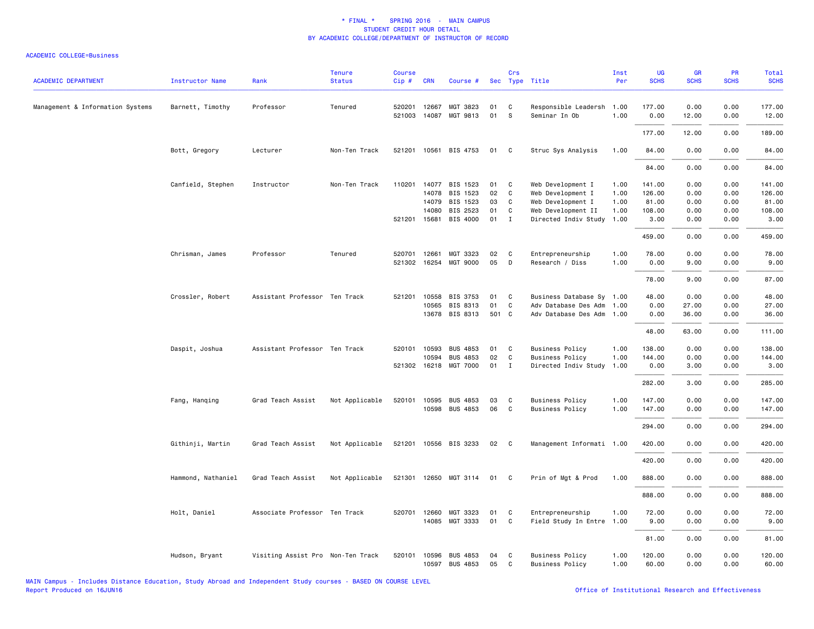| <b>ACADEMIC DEPARTMENT</b>       | <b>Instructor Name</b> | Rank                              | <b>Tenure</b><br><b>Status</b> | Course<br>Cip# | <b>CRN</b>   | Course #                          |          | Crs               | Sec Type Title                                   | Inst<br>Per  | UG<br><b>SCHS</b> | GR<br><b>SCHS</b> | PR<br><b>SCHS</b> | <b>Total</b><br><b>SCHS</b> |
|----------------------------------|------------------------|-----------------------------------|--------------------------------|----------------|--------------|-----------------------------------|----------|-------------------|--------------------------------------------------|--------------|-------------------|-------------------|-------------------|-----------------------------|
| Management & Information Systems | Barnett, Timothy       | Professor                         | Tenured                        | 520201         | 12667        | MGT 3823                          | 01       | C                 | Responsible Leadersh                             | 1.00         | 177.00            | 0.00              | 0.00              | 177.00                      |
|                                  |                        |                                   |                                |                |              | 521003 14087 MGT 9813             | 01       | S                 | Seminar In Ob                                    | 1.00         | 0.00              | 12.00             | 0.00              | 12.00                       |
|                                  |                        |                                   |                                |                |              |                                   |          |                   |                                                  |              | 177.00            | 12.00             | 0.00              | 189.00                      |
|                                  | Bott, Gregory          | Lecturer                          | Non-Ten Track                  |                |              | 521201 10561 BIS 4753             | 01       | C                 | Struc Sys Analysis                               | 1.00         | 84.00             | 0.00              | 0.00              | 84.00                       |
|                                  |                        |                                   |                                |                |              |                                   |          |                   |                                                  |              | 84.00             | 0.00              | 0.00              | 84.00                       |
|                                  | Canfield, Stephen      | Instructor                        | Non-Ten Track                  | 110201         |              | 14077 BIS 1523                    | 01       | C                 | Web Development I                                | 1.00         | 141.00            | 0.00              | 0.00              | 141.00                      |
|                                  |                        |                                   |                                |                | 14078        | BIS 1523                          | 02       | C                 | Web Development I                                | 1.00         | 126.00            | 0.00              | 0.00              | 126.00                      |
|                                  |                        |                                   |                                |                | 14079        | BIS 1523                          | 03       | $\mathtt{C}$      | Web Development I                                | 1.00         | 81.00             | 0.00              | 0.00              | 81.00                       |
|                                  |                        |                                   |                                |                | 14080        | BIS 2523                          | 01       | $\mathsf{C}$      | Web Development II                               | 1.00         | 108.00            | 0.00              | 0.00              | 108.00                      |
|                                  |                        |                                   |                                |                | 521201 15681 | BIS 4000                          | 01       | $\mathbf{I}$      | Directed Indiv Study                             | 1.00         | 3.00              | 0.00              | 0.00              | 3.00                        |
|                                  |                        |                                   |                                |                |              |                                   |          |                   |                                                  |              | 459.00            | 0.00              | 0.00              | 459.00                      |
|                                  | Chrisman, James        | Professor                         | Tenured                        |                | 520701 12661 | MGT 3323                          | 02       | C                 | Entrepreneurship                                 | 1.00         | 78.00             | 0.00              | 0.00              | 78.00                       |
|                                  |                        |                                   |                                |                |              | 521302 16254 MGT 9000             | 05       | D                 | Research / Diss                                  | 1.00         | 0.00              | 9.00              | 0.00              | 9.00                        |
|                                  |                        |                                   |                                |                |              |                                   |          |                   |                                                  |              | 78.00             | 9.00              | 0.00              | 87.00                       |
|                                  | Crossler, Robert       | Assistant Professor Ten Track     |                                | 521201         | 10558        | BIS 3753                          | 01       | C                 | Business Database Sy                             | 1.00         | 48.00             | 0.00              | 0.00              | 48.00                       |
|                                  |                        |                                   |                                |                | 10565        | BIS 8313                          | 01       | $\mathsf{C}$      | Adv Database Des Adm                             | 1.00         | 0.00              | 27.00             | 0.00              | 27.00                       |
|                                  |                        |                                   |                                |                |              | 13678 BIS 8313                    | 501 C    |                   | Adv Database Des Adm                             | 1.00         | 0.00              | 36.00             | 0.00              | 36.00                       |
|                                  |                        |                                   |                                |                |              |                                   |          |                   |                                                  |              | 48.00             | 63.00             | 0.00              | 111.00                      |
|                                  | Daspit, Joshua         | Assistant Professor Ten Track     |                                | 520101         | 10593        | <b>BUS 4853</b>                   | 01       | C                 | <b>Business Policy</b>                           | 1.00         | 138.00            | 0.00              | 0.00              | 138.00                      |
|                                  |                        |                                   |                                |                | 10594        | <b>BUS 4853</b>                   | 02       | $\mathsf{C}$      | <b>Business Policy</b>                           | 1.00         | 144.00            | 0.00              | 0.00              | 144.00                      |
|                                  |                        |                                   |                                |                |              | 521302 16218 MGT 7000             | 01       | Ι.                | Directed Indiv Study                             | 1.00         | 0.00              | 3.00              | 0.00              | 3.00                        |
|                                  |                        |                                   |                                |                |              |                                   |          |                   |                                                  |              | 282.00            | 3.00              | 0.00              | 285.00                      |
|                                  | Fang, Hanqing          | Grad Teach Assist                 | Not Applicable                 | 520101         | 10595        | <b>BUS 4853</b>                   | 03       | C                 | <b>Business Policy</b>                           | 1.00         | 147.00            | 0.00              | 0.00              | 147.00                      |
|                                  |                        |                                   |                                |                |              | 10598 BUS 4853                    | 06       | $\mathsf{C}$      | <b>Business Policy</b>                           | 1.00         | 147.00            | 0.00              | 0.00              | 147.00                      |
|                                  |                        |                                   |                                |                |              |                                   |          |                   |                                                  |              | 294.00            | 0.00              | 0.00              | 294.00                      |
|                                  | Githinji, Martin       | Grad Teach Assist                 | Not Applicable                 |                |              | 521201 10556 BIS 3233             | 02       | C                 | Management Informati 1.00                        |              | 420.00            | 0.00              | 0.00              | 420.00                      |
|                                  |                        |                                   |                                |                |              |                                   |          |                   |                                                  |              | 420.00            | 0.00              | 0.00              | 420.00                      |
|                                  | Hammond, Nathaniel     | Grad Teach Assist                 | Not Applicable                 |                |              | 521301 12650 MGT 3114             | 01       | C                 | Prin of Mgt & Prod                               | 1.00         | 888.00            | 0.00              | 0.00              | 888.00                      |
|                                  |                        |                                   |                                |                |              |                                   |          |                   |                                                  |              | 888.00            | 0.00              | 0.00              | 888.00                      |
|                                  | Holt, Daniel           | Associate Professor Ten Track     |                                |                | 520701 12660 | MGT 3323                          | 01       | C                 | Entrepreneurship                                 | 1.00         | 72.00             | 0.00              | 0.00              | 72.00                       |
|                                  |                        |                                   |                                |                | 14085        | MGT 3333                          | 01       | C                 | Field Study In Entre                             | 1.00         | 9.00              | 0.00              | 0.00              | 9.00                        |
|                                  |                        |                                   |                                |                |              |                                   |          |                   |                                                  |              | 81.00             | 0.00              | 0.00              | 81.00                       |
|                                  | Hudson, Bryant         | Visiting Assist Pro Non-Ten Track |                                | 520101         | 10596        | <b>BUS 4853</b><br>10597 BUS 4853 | 04<br>05 | C<br>$\mathbf{C}$ | <b>Business Policy</b><br><b>Business Policy</b> | 1.00<br>1.00 | 120.00<br>60.00   | 0.00<br>0.00      | 0.00<br>0.00      | 120.00<br>60.00             |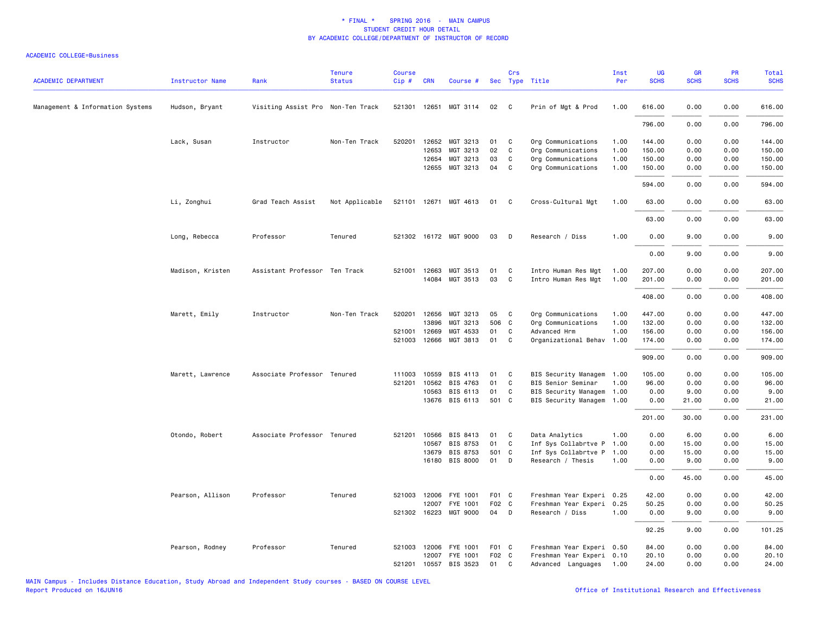| <b>ACADEMIC DEPARTMENT</b>       | <b>Instructor Name</b> | Rank                              | <b>Tenure</b><br><b>Status</b> | <b>Course</b><br>Cip# | <b>CRN</b>   | Course #              |       | Crs          | Sec Type Title            | Inst<br>Per | <b>UG</b><br><b>SCHS</b> | <b>GR</b><br><b>SCHS</b> | <b>PR</b><br><b>SCHS</b> | Total<br><b>SCHS</b> |
|----------------------------------|------------------------|-----------------------------------|--------------------------------|-----------------------|--------------|-----------------------|-------|--------------|---------------------------|-------------|--------------------------|--------------------------|--------------------------|----------------------|
|                                  |                        |                                   |                                |                       |              |                       |       |              |                           |             |                          |                          |                          |                      |
| Management & Information Systems | Hudson, Bryant         | Visiting Assist Pro Non-Ten Track |                                |                       |              | 521301 12651 MGT 3114 | 02    | $\mathbf{C}$ | Prin of Mgt & Prod        | 1.00        | 616.00                   | 0.00                     | 0.00                     | 616.00               |
|                                  |                        |                                   |                                |                       |              |                       |       |              |                           |             | 796.00                   | 0.00                     | 0.00                     | 796.00               |
|                                  | Lack, Susan            | Instructor                        | Non-Ten Track                  |                       | 520201 12652 | MGT 3213              | 01    | $\mathbf{C}$ | Org Communications        | 1.00        | 144.00                   | 0.00                     | 0.00                     | 144.00               |
|                                  |                        |                                   |                                |                       | 12653        | MGT 3213              | 02    | $\mathbf{C}$ | Org Communications        | 1.00        | 150.00                   | 0.00                     | 0.00                     | 150.00               |
|                                  |                        |                                   |                                |                       |              | 12654 MGT 3213        | 03    | C            | Org Communications        | 1.00        | 150.00                   | 0.00                     | 0.00                     | 150.00               |
|                                  |                        |                                   |                                |                       |              | 12655 MGT 3213        | 04    | $\mathbf{C}$ | Org Communications        | 1.00        | 150.00                   | 0.00                     | 0.00                     | 150.00               |
|                                  |                        |                                   |                                |                       |              |                       |       |              |                           |             | 594.00                   | 0.00                     | 0.00                     | 594.00               |
|                                  | Li, Zonghui            | Grad Teach Assist                 | Not Applicable                 |                       |              | 521101 12671 MGT 4613 | 01    | $\mathbf{C}$ | Cross-Cultural Mgt        | 1.00        | 63.00                    | 0.00                     | 0.00                     | 63.00                |
|                                  |                        |                                   |                                |                       |              |                       |       |              |                           |             | 63.00                    | 0.00                     | 0.00                     | 63.00                |
|                                  | Long, Rebecca          | Professor                         | Tenured                        |                       |              | 521302 16172 MGT 9000 | 03    | $\Box$       | Research / Diss           | 1.00        | 0.00                     | 9.00                     | 0.00                     | 9.00                 |
|                                  |                        |                                   |                                |                       |              |                       |       |              |                           |             | 0.00                     | 9.00                     | 0.00                     | 9.00                 |
|                                  | Madison, Kristen       | Assistant Professor Ten Track     |                                |                       | 521001 12663 | MGT 3513              | 01    | C            | Intro Human Res Mgt       | 1.00        | 207.00                   | 0.00                     | 0.00                     | 207.00               |
|                                  |                        |                                   |                                |                       |              | 14084 MGT 3513        | 03    | $\mathbf{C}$ | Intro Human Res Mgt       | 1.00        | 201.00                   | 0.00                     | 0.00                     | 201.00               |
|                                  |                        |                                   |                                |                       |              |                       |       |              |                           |             | 408.00                   | 0.00                     | 0.00                     | 408.00               |
|                                  | Marett, Emily          | Instructor                        | Non-Ten Track                  | 520201                | 12656        | MGT 3213              | 05    | $\mathbf{C}$ | Org Communications        | 1.00        | 447.00                   | 0.00                     | 0.00                     | 447.00               |
|                                  |                        |                                   |                                |                       | 13896        | MGT 3213              | 506 C |              | Org Communications        | 1.00        | 132.00                   | 0.00                     | 0.00                     | 132.00               |
|                                  |                        |                                   |                                |                       | 521001 12669 | MGT 4533              | 01    | C            | Advanced Hrm              | 1.00        | 156.00                   | 0.00                     | 0.00                     | 156.00               |
|                                  |                        |                                   |                                |                       | 521003 12666 | MGT 3813              | 01    | $\mathbf{C}$ | Organizational Behav 1.00 |             | 174.00                   | 0.00                     | 0.00                     | 174.00               |
|                                  |                        |                                   |                                |                       |              |                       |       |              |                           |             | 909.00                   | 0.00                     | 0.00                     | 909.00               |
|                                  | Marett, Lawrence       | Associate Professor Tenured       |                                | 111003                | 10559        | BIS 4113              | 01    | $\mathbf{C}$ | BIS Security Managem 1.00 |             | 105.00                   | 0.00                     | 0.00                     | 105.00               |
|                                  |                        |                                   |                                | 521201                | 10562        | BIS 4763              | 01    | C.           | BIS Senior Seminar        | 1.00        | 96.00                    | 0.00                     | 0.00                     | 96.00                |
|                                  |                        |                                   |                                |                       | 10563        | BIS 6113              | 01    | C            | BIS Security Managem 1.00 |             | 0.00                     | 9.00                     | 0.00                     | 9.00                 |
|                                  |                        |                                   |                                |                       | 13676        | BIS 6113              | 501 C |              | BIS Security Managem 1.00 |             | 0.00                     | 21.00                    | 0.00                     | 21.00                |
|                                  |                        |                                   |                                |                       |              |                       |       |              |                           |             | 201.00                   | 30.00                    | 0.00                     | 231.00               |
|                                  | Otondo, Robert         | Associate Professor Tenured       |                                |                       | 521201 10566 | BIS 8413              | 01    | $\mathbf{C}$ | Data Analytics            | 1.00        | 0.00                     | 6.00                     | 0.00                     | 6.00                 |
|                                  |                        |                                   |                                |                       | 10567        | BIS 8753              | 01    | $\mathbf{C}$ | Inf Sys Collabrtve P      | 1.00        | 0.00                     | 15.00                    | 0.00                     | 15.00                |
|                                  |                        |                                   |                                |                       | 13679        | BIS 8753              | 501 C |              | Inf Sys Collabrtve P      | 1.00        | 0.00                     | 15.00                    | 0.00                     | 15.00                |
|                                  |                        |                                   |                                |                       |              | 16180 BIS 8000        | 01 D  |              | Research / Thesis         | 1.00        | 0.00                     | 9.00                     | 0.00                     | 9.00                 |
|                                  |                        |                                   |                                |                       |              |                       |       |              |                           |             | 0.00                     | 45.00                    | 0.00                     | 45.00                |
|                                  | Pearson, Allison       | Professor                         | Tenured                        |                       | 521003 12006 | FYE 1001              | F01 C |              | Freshman Year Experi 0.25 |             | 42.00                    | 0.00                     | 0.00                     | 42.00                |
|                                  |                        |                                   |                                |                       | 12007        | FYE 1001              | F02 C |              | Freshman Year Experi 0.25 |             | 50.25                    | 0.00                     | 0.00                     | 50.25                |
|                                  |                        |                                   |                                |                       |              | 521302 16223 MGT 9000 | 04 D  |              | Research / Diss           | 1.00        | 0.00                     | 9.00                     | 0.00                     | 9.00                 |
|                                  |                        |                                   |                                |                       |              |                       |       |              |                           |             | 92.25                    | 9.00                     | 0.00                     | 101.25               |
|                                  | Pearson, Rodney        | Professor                         | Tenured                        |                       |              | 521003 12006 FYE 1001 | F01 C |              | Freshman Year Experi 0.50 |             | 84.00                    | 0.00                     | 0.00                     | 84.00                |
|                                  |                        |                                   |                                |                       | 12007        | FYE 1001              | F02 C |              | Freshman Year Experi 0.10 |             | 20.10                    | 0.00                     | 0.00                     | 20.10                |
|                                  |                        |                                   |                                |                       | 521201 10557 | BIS 3523              | 01 C  |              | Advanced Languages 1.00   |             | 24.00                    | 0.00                     | 0.00                     | 24.00                |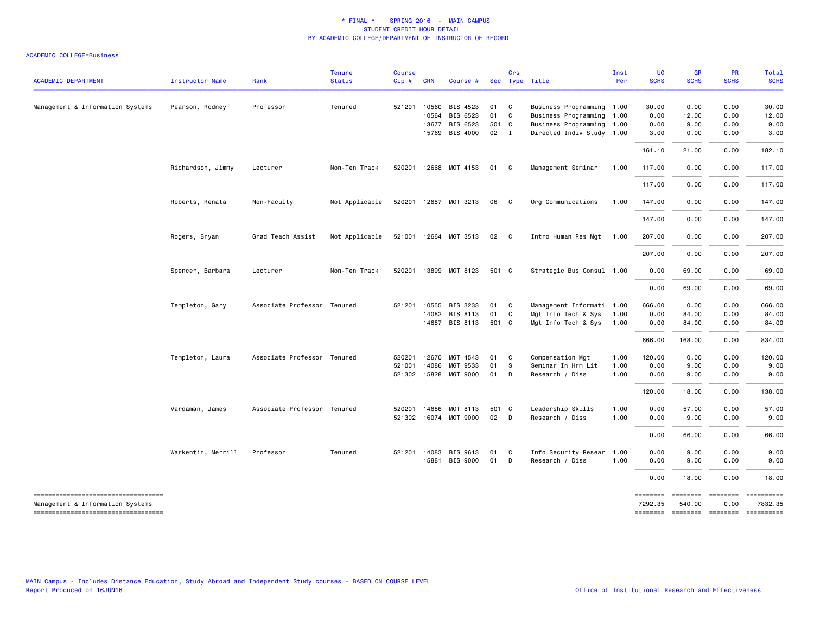| <b>ACADEMIC DEPARTMENT</b>                                             | <b>Instructor Name</b> | Rank                        | <b>Tenure</b><br><b>Status</b> | <b>Course</b><br>Cip# | <b>CRN</b>   | Course #              |       | Crs            | Sec Type Title            | Inst<br>Per | UG<br><b>SCHS</b>   | GR<br><b>SCHS</b> | <b>PR</b><br><b>SCHS</b>              | Total<br><b>SCHS</b>                                                                                                                                                                                                                                                                                                                                                                                                                           |
|------------------------------------------------------------------------|------------------------|-----------------------------|--------------------------------|-----------------------|--------------|-----------------------|-------|----------------|---------------------------|-------------|---------------------|-------------------|---------------------------------------|------------------------------------------------------------------------------------------------------------------------------------------------------------------------------------------------------------------------------------------------------------------------------------------------------------------------------------------------------------------------------------------------------------------------------------------------|
|                                                                        |                        |                             |                                |                       |              |                       |       |                |                           |             |                     |                   |                                       |                                                                                                                                                                                                                                                                                                                                                                                                                                                |
| Management & Information Systems                                       | Pearson, Rodney        | Professor                   | Tenured                        | 521201                | 10560        | BIS 4523              | 01    | $\mathbf{C}$   | Business Programming 1.00 |             | 30.00               | 0.00              | 0.00                                  | 30.00                                                                                                                                                                                                                                                                                                                                                                                                                                          |
|                                                                        |                        |                             |                                |                       | 10564        | BIS 6523              | 01    | C              | Business Programming 1.00 |             | 0.00                | 12.00             | 0.00                                  | 12.00                                                                                                                                                                                                                                                                                                                                                                                                                                          |
|                                                                        |                        |                             |                                |                       | 13677        | BIS 6523              | 501 C |                | Business Programming 1.00 |             | 0.00                | 9.00              | 0.00                                  | 9.00                                                                                                                                                                                                                                                                                                                                                                                                                                           |
|                                                                        |                        |                             |                                |                       | 15769        | BIS 4000              | 02 I  |                | Directed Indiv Study 1.00 |             | 3.00                | 0.00              | 0.00                                  | 3.00                                                                                                                                                                                                                                                                                                                                                                                                                                           |
|                                                                        |                        |                             |                                |                       |              |                       |       |                |                           |             | 161.10              | 21.00             | 0.00                                  | 182.10                                                                                                                                                                                                                                                                                                                                                                                                                                         |
|                                                                        | Richardson, Jimmy      | Lecturer                    | Non-Ten Track                  |                       |              | 520201 12668 MGT 4153 | 01    | $\mathbf{C}$   | Management Seminar        | 1.00        | 117.00              | 0.00              | 0.00                                  | 117.00                                                                                                                                                                                                                                                                                                                                                                                                                                         |
|                                                                        |                        |                             |                                |                       |              |                       |       |                |                           |             | 117.00              | 0.00              | 0.00                                  | 117.00                                                                                                                                                                                                                                                                                                                                                                                                                                         |
|                                                                        | Roberts, Renata        | Non-Faculty                 | Not Applicable                 |                       |              | 520201 12657 MGT 3213 | 06    | $\mathbf{C}$   | Org Communications        | 1.00        | 147.00              | 0.00              | 0.00                                  | 147.00                                                                                                                                                                                                                                                                                                                                                                                                                                         |
|                                                                        |                        |                             |                                |                       |              |                       |       |                |                           |             | 147.00              | 0.00              | 0.00                                  | 147.00                                                                                                                                                                                                                                                                                                                                                                                                                                         |
|                                                                        | Rogers, Bryan          | Grad Teach Assist           | Not Applicable                 |                       |              | 521001 12664 MGT 3513 | 02 C  |                | Intro Human Res Mgt 1.00  |             | 207.00              | 0.00              | 0.00                                  | 207.00                                                                                                                                                                                                                                                                                                                                                                                                                                         |
|                                                                        |                        |                             |                                |                       |              |                       |       |                |                           |             | 207.00              | 0.00              | 0.00                                  | 207.00                                                                                                                                                                                                                                                                                                                                                                                                                                         |
|                                                                        | Spencer, Barbara       | Lecturer                    | Non-Ten Track                  |                       |              | 520201 13899 MGT 8123 | 501 C |                | Strategic Bus Consul 1.00 |             | 0.00                | 69.00             | 0.00                                  | 69.00                                                                                                                                                                                                                                                                                                                                                                                                                                          |
|                                                                        |                        |                             |                                |                       |              |                       |       |                |                           |             | 0.00                | 69.00             | 0.00                                  | 69.00                                                                                                                                                                                                                                                                                                                                                                                                                                          |
|                                                                        | Templeton, Gary        | Associate Professor Tenured |                                |                       | 521201 10555 | BIS 3233              | 01    | $\overline{c}$ | Management Informati 1.00 |             | 666.00              | 0.00              | 0.00                                  | 666.00                                                                                                                                                                                                                                                                                                                                                                                                                                         |
|                                                                        |                        |                             |                                |                       | 14082        | BIS 8113              | 01    | $\mathbf{C}$   | Mgt Info Tech & Sys       | 1.00        | 0.00                | 84.00             | 0.00                                  | 84.00                                                                                                                                                                                                                                                                                                                                                                                                                                          |
|                                                                        |                        |                             |                                |                       |              | 14687 BIS 8113        | 501 C |                | Mgt Info Tech & Sys 1.00  |             | 0.00                | 84.00             | 0.00                                  | 84.00                                                                                                                                                                                                                                                                                                                                                                                                                                          |
|                                                                        |                        |                             |                                |                       |              |                       |       |                |                           |             | 666.00              | 168.00            | 0.00                                  | 834.00                                                                                                                                                                                                                                                                                                                                                                                                                                         |
|                                                                        | Templeton, Laura       | Associate Professor Tenured |                                | 520201                | 12670        | MGT 4543              | 01    | $\mathbf{C}$   | Compensation Mgt          | 1.00        | 120.00              | 0.00              | 0.00                                  | 120.00                                                                                                                                                                                                                                                                                                                                                                                                                                         |
|                                                                        |                        |                             |                                | 521001                | 14086        | MGT 9533              | 01    | - S            | Seminar In Hrm Lit        | 1.00        | 0.00                | 9.00              | 0.00                                  | 9.00                                                                                                                                                                                                                                                                                                                                                                                                                                           |
|                                                                        |                        |                             |                                |                       |              | 521302 15828 MGT 9000 | 01    | $\mathsf{D}$   | Research / Diss           | 1.00        | 0.00                | 9.00              | 0.00                                  | 9.00                                                                                                                                                                                                                                                                                                                                                                                                                                           |
|                                                                        |                        |                             |                                |                       |              |                       |       |                |                           |             | 120.00              | 18.00             | 0.00                                  | 138.00                                                                                                                                                                                                                                                                                                                                                                                                                                         |
|                                                                        | Vardaman, James        | Associate Professor Tenured |                                |                       | 520201 14686 | MGT 8113              | 501 C |                | Leadership Skills         | 1.00        | 0.00                | 57.00             | 0.00                                  | 57.00                                                                                                                                                                                                                                                                                                                                                                                                                                          |
|                                                                        |                        |                             |                                |                       |              | 521302 16074 MGT 9000 | 02 D  |                | Research / Diss           | 1.00        | 0.00                | 9.00              | 0.00                                  | 9.00                                                                                                                                                                                                                                                                                                                                                                                                                                           |
|                                                                        |                        |                             |                                |                       |              |                       |       |                |                           |             | 0.00                | 66.00             | 0.00                                  | 66.00                                                                                                                                                                                                                                                                                                                                                                                                                                          |
|                                                                        | Warkentin, Merrill     | Professor                   | Tenured                        |                       | 521201 14083 | BIS 9613              | 01    | C              | Info Security Resear      | 1.00        | 0.00                | 9.00              | 0.00                                  | 9.00                                                                                                                                                                                                                                                                                                                                                                                                                                           |
|                                                                        |                        |                             |                                |                       | 15881        | BIS 9000              | 01    | D              | Research / Diss           | 1.00        | 0.00                | 9.00              | 0.00                                  | 9.00                                                                                                                                                                                                                                                                                                                                                                                                                                           |
|                                                                        |                        |                             |                                |                       |              |                       |       |                |                           |             | 0.00                | 18.00             | 0.00                                  | 18.00                                                                                                                                                                                                                                                                                                                                                                                                                                          |
| ----------------------------------<br>Management & Information Systems |                        |                             |                                |                       |              |                       |       |                |                           |             | ========<br>7292.35 | 540.00            | ======== =======<br>0.00              | $\begin{minipage}{0.9\linewidth} \hspace*{-0.2cm} \textbf{1} & \textbf{2} & \textbf{3} & \textbf{5} & \textbf{6} & \textbf{7} & \textbf{8} \\ \textbf{1} & \textbf{2} & \textbf{3} & \textbf{5} & \textbf{6} & \textbf{7} & \textbf{8} & \textbf{8} \\ \textbf{3} & \textbf{4} & \textbf{5} & \textbf{5} & \textbf{6} & \textbf{7} & \textbf{8} & \textbf{9} & \textbf{1} \\ \textbf{5} & \textbf{5} & \textbf{5} & \textbf{5} & \$<br>7832.35 |
| ----------------------------------                                     |                        |                             |                                |                       |              |                       |       |                |                           |             |                     |                   | ======== ======== ======== ========== |                                                                                                                                                                                                                                                                                                                                                                                                                                                |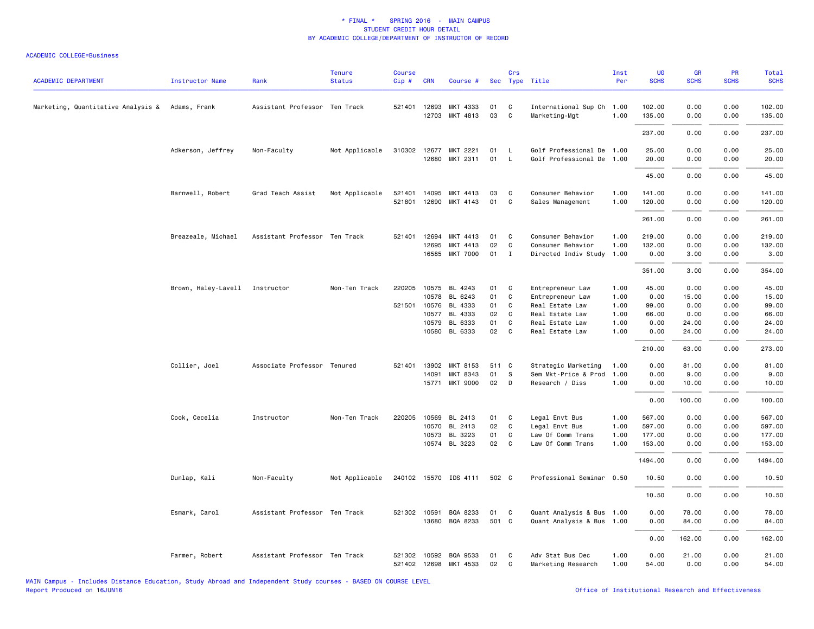| <b>ACADEMIC DEPARTMENT</b>         | <b>Instructor Name</b>         | Rank                          | <b>Tenure</b><br><b>Status</b> | <b>Course</b><br>Cip# | <b>CRN</b>            | Course #                        |          | Crs                          | Sec Type Title                            | Inst<br>Per  | UG<br><b>SCHS</b> | GR<br><b>SCHS</b> | PR<br><b>SCHS</b> | <b>Total</b><br><b>SCHS</b> |
|------------------------------------|--------------------------------|-------------------------------|--------------------------------|-----------------------|-----------------------|---------------------------------|----------|------------------------------|-------------------------------------------|--------------|-------------------|-------------------|-------------------|-----------------------------|
| Marketing, Quantitative Analysis & | Adams, Frank                   | Assistant Professor Ten Track |                                |                       | 521401 12693<br>12703 | MKT 4333<br>MKT 4813            | 01<br>03 | C<br>$\mathsf{C}$            | International Sup Ch<br>Marketing-Mgt     | 1.00<br>1.00 | 102.00<br>135.00  | 0.00<br>0.00      | 0.00<br>0.00      | 102.00<br>135.00            |
|                                    |                                |                               |                                |                       |                       |                                 |          |                              |                                           |              | 237.00            | 0.00              | 0.00              | 237.00                      |
|                                    | Adkerson, Jeffrey              | Non-Faculty                   | Not Applicable                 |                       | 310302 12677          | MKT 2221                        | 01       | <b>L</b>                     | Golf Professional De 1.00                 |              | 25.00             | 0.00              | 0.00              | 25.00                       |
|                                    |                                |                               |                                |                       | 12680                 | MKT 2311                        | 01       | $\mathsf{L}$                 | Golf Professional De 1.00                 |              | 20.00             | 0.00              | 0.00              | 20.00                       |
|                                    |                                |                               |                                |                       |                       |                                 |          |                              |                                           |              | 45.00             | 0.00              | 0.00              | 45.00                       |
|                                    | Barnwell, Robert               | Grad Teach Assist             | Not Applicable                 | 521401                | 14095                 | MKT 4413                        | 03       | C                            | Consumer Behavior                         | 1.00         | 141.00            | 0.00              | 0.00              | 141.00                      |
|                                    |                                |                               |                                | 521801                |                       | 12690 MKT 4143                  | 01       | C                            | Sales Management                          | 1.00         | 120.00            | 0.00              | 0.00              | 120.00                      |
|                                    |                                |                               |                                |                       |                       |                                 |          |                              |                                           |              | 261.00            | 0.00              | 0.00              | 261.00                      |
|                                    | Breazeale, Michael             | Assistant Professor Ten Track |                                |                       | 521401 12694          | MKT 4413                        | 01       | C                            | Consumer Behavior                         | 1.00         | 219.00            | 0.00              | 0.00              | 219.00                      |
|                                    |                                |                               |                                |                       | 12695<br>16585        | MKT 4413<br><b>MKT 7000</b>     | 02<br>01 | $\mathsf{C}$<br>$\mathbf{I}$ | Consumer Behavior<br>Directed Indiv Study | 1.00<br>1.00 | 132.00<br>0.00    | 0.00<br>3.00      | 0.00<br>0.00      | 132.00<br>3.00              |
|                                    |                                |                               |                                |                       |                       |                                 |          |                              |                                           |              |                   |                   |                   |                             |
|                                    |                                |                               |                                |                       |                       |                                 |          |                              |                                           |              | 351.00            | 3.00              | 0.00              | 354.00                      |
|                                    | Brown, Haley-Lavell Instructor |                               | Non-Ten Track                  | 220205                |                       | 10575 BL 4243                   | 01       | C                            | Entrepreneur Law                          | 1.00         | 45.00             | 0.00              | 0.00              | 45.00                       |
|                                    |                                |                               |                                |                       | 10578                 | BL 6243<br>521501 10576 BL 4333 | 01<br>01 | $\mathsf{C}$<br>C            | Entrepreneur Law<br>Real Estate Law       | 1.00<br>1.00 | 0.00<br>99.00     | 15.00<br>0.00     | 0.00<br>0.00      | 15.00<br>99.00              |
|                                    |                                |                               |                                |                       | 10577                 | BL 4333                         | 02       | C                            | Real Estate Law                           | 1.00         | 66.00             | 0.00              | 0.00              | 66.00                       |
|                                    |                                |                               |                                |                       | 10579                 | BL 6333                         | 01       | C                            | Real Estate Law                           | 1.00         | 0.00              | 24.00             | 0.00              | 24.00                       |
|                                    |                                |                               |                                |                       |                       | 10580 BL 6333                   | 02       | C                            | Real Estate Law                           | 1.00         | 0.00              | 24.00             | 0.00              | 24.00                       |
|                                    |                                |                               |                                |                       |                       |                                 |          |                              |                                           |              | 210.00            | 63.00             | 0.00              | 273.00                      |
|                                    | Collier, Joel                  | Associate Professor Tenured   |                                | 521401                | 13902                 | MKT 8153                        | 511 C    |                              | Strategic Marketing                       | 1.00         | 0.00              | 81.00             | 0.00              | 81.00                       |
|                                    |                                |                               |                                |                       | 14091                 | MKT 8343                        | 01       | $\mathsf S$                  | Sem Mkt-Price & Prod                      | 1.00         | 0.00              | 9.00              | 0.00              | 9.00                        |
|                                    |                                |                               |                                |                       |                       | 15771 MKT 9000                  | 02       | D                            | Research / Diss                           | 1.00         | 0.00              | 10.00             | 0.00              | 10.00                       |
|                                    |                                |                               |                                |                       |                       |                                 |          |                              |                                           |              | 0.00              | 100.00            | 0.00              | 100.00                      |
|                                    | Cook, Cecelia                  | Instructor                    | Non-Ten Track                  | 220205                | 10569                 | BL 2413                         | 01       | C                            | Legal Envt Bus                            | 1.00         | 567.00            | 0.00              | 0.00              | 567.00                      |
|                                    |                                |                               |                                |                       | 10570                 | BL 2413                         | 02       | $\mathsf{C}$                 | Legal Envt Bus                            | 1.00         | 597.00            | 0.00              | 0.00              | 597.00                      |
|                                    |                                |                               |                                |                       | 10573                 | BL 3223                         | 01       | C                            | Law Of Comm Trans                         | 1.00         | 177.00            | 0.00              | 0.00              | 177.00                      |
|                                    |                                |                               |                                |                       |                       | 10574 BL 3223                   | 02       | $\mathbf{C}$                 | Law Of Comm Trans                         | 1.00         | 153.00            | 0.00              | 0.00              | 153.00                      |
|                                    |                                |                               |                                |                       |                       |                                 |          |                              |                                           |              | 1494.00           | 0.00              | 0.00              | 1494.00                     |
|                                    | Dunlap, Kali                   | Non-Faculty                   | Not Applicable                 |                       |                       | 240102 15570 IDS 4111           | 502 C    |                              | Professional Seminar 0.50                 |              | 10.50             | 0.00              | 0.00              | 10.50                       |
|                                    |                                |                               |                                |                       |                       |                                 |          |                              |                                           |              | 10.50             | 0.00              | 0.00              | 10.50                       |
|                                    | Esmark, Carol                  | Assistant Professor Ten Track |                                |                       | 521302 10591          | BQA 8233                        | 01       | C                            | Quant Analysis & Bus 1.00                 |              | 0.00              | 78.00             | 0.00              | 78.00                       |
|                                    |                                |                               |                                |                       |                       | 13680 BQA 8233                  | 501 C    |                              | Quant Analysis & Bus 1.00                 |              | 0.00              | 84.00             | 0.00              | 84.00                       |
|                                    |                                |                               |                                |                       |                       |                                 |          |                              |                                           |              | 0.00              | 162.00            | 0.00              | 162.00                      |
|                                    | Farmer, Robert                 | Assistant Professor Ten Track |                                | 521302                | 521402 12698          | 10592 BQA 9533<br>MKT 4533      | 01<br>02 | C<br>C                       | Adv Stat Bus Dec<br>Marketing Research    | 1.00<br>1.00 | 0.00<br>54.00     | 21.00<br>0.00     | 0.00<br>0.00      | 21.00<br>54.00              |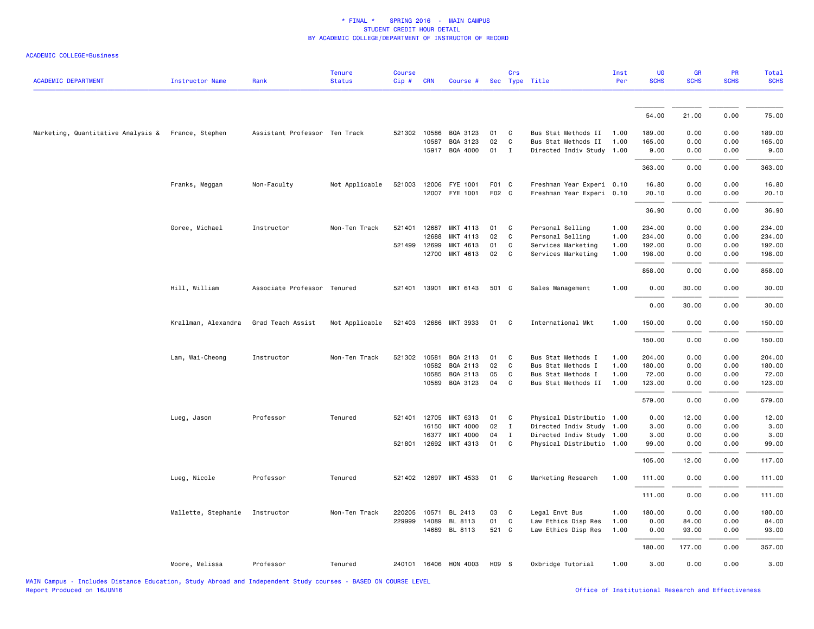| <b>ACADEMIC DEPARTMENT</b>                         | <b>Instructor Name</b> | Rank                          | <b>Tenure</b><br><b>Status</b> | Course<br>Cip# | <b>CRN</b>   | Course #              |       | Crs          | Sec Type Title            | Inst<br>Per | UG<br><b>SCHS</b> | <b>GR</b><br><b>SCHS</b> | PR<br><b>SCHS</b> | Total<br><b>SCHS</b> |
|----------------------------------------------------|------------------------|-------------------------------|--------------------------------|----------------|--------------|-----------------------|-------|--------------|---------------------------|-------------|-------------------|--------------------------|-------------------|----------------------|
|                                                    |                        |                               |                                |                |              |                       |       |              |                           |             |                   |                          |                   |                      |
|                                                    |                        |                               |                                |                |              |                       |       |              |                           |             | 54.00             | 21.00                    | 0.00              | 75.00                |
| Marketing, Quantitative Analysis & France, Stephen |                        | Assistant Professor Ten Track |                                |                | 521302 10586 | BQA 3123              | 01    | C            | Bus Stat Methods II       | 1.00        | 189.00            | 0.00                     | 0.00              | 189.00               |
|                                                    |                        |                               |                                |                | 10587        | BQA 3123              | 02    | C            | Bus Stat Methods II       | 1.00        | 165.00            | 0.00                     | 0.00              | 165.00               |
|                                                    |                        |                               |                                |                |              | 15917 BQA 4000        | 01 I  |              | Directed Indiv Study 1.00 |             | 9.00              | 0.00                     | 0.00              | 9.00                 |
|                                                    |                        |                               |                                |                |              |                       |       |              |                           |             | 363.00            | 0.00                     | 0.00              | 363.00               |
|                                                    | Franks, Meggan         | Non-Faculty                   | Not Applicable                 |                |              | 521003 12006 FYE 1001 | F01 C |              | Freshman Year Experi 0.10 |             | 16.80             | 0.00                     | 0.00              | 16.80                |
|                                                    |                        |                               |                                |                |              | 12007 FYE 1001        | F02 C |              | Freshman Year Experi 0.10 |             | 20.10             | 0.00                     | 0.00              | 20.10                |
|                                                    |                        |                               |                                |                |              |                       |       |              |                           |             | 36.90             | 0.00                     | 0.00              | 36.90                |
|                                                    | Goree, Michael         | Instructor                    | Non-Ten Track                  | 521401         | 12687        | MKT 4113              | 01    | C            | Personal Selling          | 1.00        | 234.00            | 0.00                     | 0.00              | 234.00               |
|                                                    |                        |                               |                                |                | 12688        | MKT 4113              | 02    | C            | Personal Selling          | 1.00        | 234.00            | 0.00                     | 0.00              | 234.00               |
|                                                    |                        |                               |                                | 521499         | 12699        | MKT 4613              | 01    | C            | Services Marketing        | 1.00        | 192.00            | 0.00                     | 0.00              | 192.00               |
|                                                    |                        |                               |                                |                | 12700        | MKT 4613              | 02    | C            | Services Marketing        | 1.00        | 198.00            | 0.00                     | 0.00              | 198.00               |
|                                                    |                        |                               |                                |                |              |                       |       |              |                           |             | 858.00            | 0.00                     | 0.00              | 858.00               |
|                                                    | Hill, William          | Associate Professor Tenured   |                                |                |              | 521401 13901 MKT 6143 | 501 C |              | Sales Management          | 1.00        | 0.00              | 30.00                    | 0.00              | 30.00                |
|                                                    |                        |                               |                                |                |              |                       |       |              |                           |             | 0.00              | 30.00                    | 0.00              | 30.00                |
|                                                    | Krallman, Alexandra    | Grad Teach Assist             | Not Applicable                 | 521403         |              | 12686 MKT 3933        | 01    | $\mathbf{C}$ | International Mkt         | 1.00        | 150.00            | 0.00                     | 0.00              | 150.00               |
|                                                    |                        |                               |                                |                |              |                       |       |              |                           |             | 150.00            | 0.00                     | 0.00              | 150.00               |
|                                                    | Lam, Wai-Cheong        | Instructor                    | Non-Ten Track                  | 521302         | 10581        | BQA 2113              | 01    | C            | Bus Stat Methods I        | 1.00        | 204.00            | 0.00                     | 0.00              | 204.00               |
|                                                    |                        |                               |                                |                | 10582        | BQA 2113              | 02    | C            | Bus Stat Methods I        | 1.00        | 180.00            | 0.00                     | 0.00              | 180.00               |
|                                                    |                        |                               |                                |                | 10585        | BQA 2113              | 05    | C            | Bus Stat Methods I        | 1.00        | 72.00             | 0.00                     | 0.00              | 72.00                |
|                                                    |                        |                               |                                |                | 10589        | BQA 3123              | 04    | C            | Bus Stat Methods II       | 1.00        | 123.00            | 0.00                     | 0.00              | 123.00               |
|                                                    |                        |                               |                                |                |              |                       |       |              |                           |             | 579.00            | 0.00                     | 0.00              | 579.00               |
|                                                    | Lueg, Jason            | Professor                     | Tenured                        |                | 521401 12705 | MKT 6313              | 01    | C            | Physical Distributio 1.00 |             | 0.00              | 12.00                    | 0.00              | 12.00                |
|                                                    |                        |                               |                                |                | 16150        | MKT 4000              | 02    | $\mathbf{I}$ | Directed Indiv Study 1.00 |             | 3.00              | 0.00                     | 0.00              | 3.00                 |
|                                                    |                        |                               |                                |                | 16377        | MKT 4000              | 04    | $\mathbf I$  | Directed Indiv Study 1.00 |             | 3.00              | 0.00                     | 0.00              | 3.00                 |
|                                                    |                        |                               |                                |                |              | 521801 12692 MKT 4313 | 01    | $\mathbf C$  | Physical Distributio 1.00 |             | 99.00             | 0.00                     | 0.00              | 99.00                |
|                                                    |                        |                               |                                |                |              |                       |       |              |                           |             | 105.00            | 12.00                    | 0.00              | 117.00               |
|                                                    | Lueg, Nicole           | Professor                     | Tenured                        |                |              | 521402 12697 MKT 4533 | 01    | C            | Marketing Research        | 1.00        | 111.00            | 0.00                     | 0.00              | 111.00               |
|                                                    |                        |                               |                                |                |              |                       |       |              |                           |             | 111.00            | 0.00                     | 0.00              | 111.00               |
|                                                    | Mallette, Stephanie    | Instructor                    | Non-Ten Track                  | 220205         | 10571        | BL 2413               | 03    | $\mathbf{C}$ | Legal Envt Bus            | 1.00        | 180.00            | 0.00                     | 0.00              | 180.00               |
|                                                    |                        |                               |                                |                | 229999 14089 | BL 8113               | 01    | $\mathbf{C}$ | Law Ethics Disp Res       | 1.00        | 0.00              | 84.00                    | 0.00              | 84.00                |
|                                                    |                        |                               |                                |                |              | 14689 BL 8113         | 521 C |              | Law Ethics Disp Res       | 1.00        | 0.00              | 93.00                    | 0.00              | 93.00                |
|                                                    |                        |                               |                                |                |              |                       |       |              |                           |             | 180.00            | 177.00                   | 0.00              | 357.00               |
|                                                    | Moore, Melissa         | Professor                     | Tenured                        |                |              | 240101 16406 HON 4003 | H09 S |              | Oxbridge Tutorial         | 1.00        | 3.00              | 0.00                     | 0.00              | 3.00                 |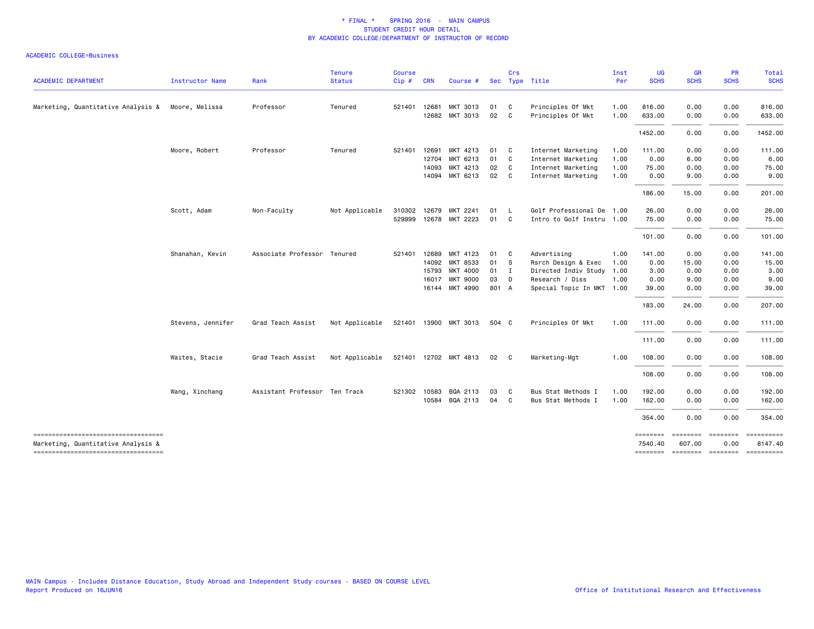|                                                                          |                   |                               | <b>Tenure</b>  | <b>Course</b> |              |                       |              | Crs          |                           | Inst | UG          | <b>GR</b>   | PR             | Total                                         |
|--------------------------------------------------------------------------|-------------------|-------------------------------|----------------|---------------|--------------|-----------------------|--------------|--------------|---------------------------|------|-------------|-------------|----------------|-----------------------------------------------|
| <b>ACADEMIC DEPARTMENT</b>                                               | Instructor Name   | Rank                          | <b>Status</b>  | Cip#          | <b>CRN</b>   | Course #              |              |              | Sec Type Title            | Per  | <b>SCHS</b> | <b>SCHS</b> | <b>SCHS</b>    | <b>SCHS</b>                                   |
| Marketing, Quantitative Analysis & Moore, Melissa                        |                   | Professor                     | Tenured        | 521401        | 12681        | MKT 3013              | 01           | $\mathbf{C}$ | Principles Of Mkt         | 1.00 | 816.00      | 0.00        | 0.00           | 816.00                                        |
|                                                                          |                   |                               |                |               |              | 12682 MKT 3013        | 02           | C.           | Principles Of Mkt         | 1.00 | 633.00      | 0.00        | 0.00           | 633.00                                        |
|                                                                          |                   |                               |                |               |              |                       |              |              |                           |      | 1452.00     | 0.00        | 0.00           | 1452.00                                       |
|                                                                          | Moore, Robert     | Professor                     | Tenured        | 521401        | 12691        | MKT 4213              | 01           | $\mathbf{C}$ | Internet Marketing        | 1.00 | 111.00      | 0.00        | 0.00           | 111.00                                        |
|                                                                          |                   |                               |                |               | 12704        | MKT 6213              | 01 C         |              | Internet Marketing        | 1.00 | 0.00        | 6.00        | 0.00           | 6.00                                          |
|                                                                          |                   |                               |                |               | 14093        | MKT 4213              | 02           | $\mathbf{C}$ | Internet Marketing        | 1.00 | 75.00       | 0.00        | 0.00           | 75.00                                         |
|                                                                          |                   |                               |                |               | 14094        | MKT 6213              | 02           | $\mathbf{C}$ | Internet Marketing        | 1.00 | 0.00        | 9.00        | 0.00           | 9.00                                          |
|                                                                          |                   |                               |                |               |              |                       |              |              |                           |      | 186.00      | 15.00       | 0.00           | 201.00                                        |
|                                                                          | Scott, Adam       | Non-Faculty                   | Not Applicable | 310302        | 12679        | MKT 2241              | 01           | $\mathsf{L}$ | Golf Professional De 1.00 |      | 26.00       | 0.00        | 0.00           | 26.00                                         |
|                                                                          |                   |                               |                |               |              | 529999 12678 MKT 2223 | 01           | $\mathbf{C}$ | Intro to Golf Instru 1.00 |      | 75.00       | 0.00        | 0.00           | 75.00                                         |
|                                                                          |                   |                               |                |               |              |                       |              |              |                           |      | 101.00      | 0.00        | 0.00           | 101.00                                        |
|                                                                          | Shanahan, Kevin   | Associate Professor Tenured   |                | 521401        | 12689        | MKT 4123              | 01           | $\mathbf{C}$ | Advertising               | 1.00 | 141.00      | 0.00        | 0.00           | 141.00                                        |
|                                                                          |                   |                               |                |               | 14092        | <b>MKT 8533</b>       | 01           | <b>S</b>     | Rsrch Design & Exec       | 1.00 | 0.00        | 15.00       | 0.00           | 15.00                                         |
|                                                                          |                   |                               |                |               | 15793        | <b>MKT 4000</b>       | $01 \quad I$ |              | Directed Indiv Study 1.00 |      | 3.00        | 0.00        | 0.00           | 3.00                                          |
|                                                                          |                   |                               |                |               | 16017        | <b>MKT 9000</b>       | 03           | D            | Research / Diss           | 1.00 | 0.00        | 9.00        | 0.00           | 9.00                                          |
|                                                                          |                   |                               |                |               |              | 16144 MKT 4990        | 801 A        |              | Special Topic In MKT 1.00 |      | 39.00       | 0.00        | 0.00           | 39.00                                         |
|                                                                          |                   |                               |                |               |              |                       |              |              |                           |      | 183.00      | 24.00       | 0.00           | 207.00                                        |
|                                                                          | Stevens, Jennifer | Grad Teach Assist             | Not Applicable |               |              | 521401 13900 MKT 3013 | 504 C        |              | Principles Of Mkt         | 1.00 | 111.00      | 0.00        | 0.00           | 111.00                                        |
|                                                                          |                   |                               |                |               |              |                       |              |              |                           |      | 111.00      | 0.00        | 0.00           | 111.00                                        |
|                                                                          | Waites, Stacie    | Grad Teach Assist             | Not Applicable |               |              | 521401 12702 MKT 4813 | 02           | $\mathbf{C}$ | Marketing-Mgt             | 1.00 | 108.00      | 0.00        | 0.00           | 108.00                                        |
|                                                                          |                   |                               |                |               |              |                       |              |              |                           |      | 108.00      | 0.00        | 0.00           | 108.00                                        |
|                                                                          | Wang, Xinchang    | Assistant Professor Ten Track |                |               | 521302 10583 | BQA 2113              | 03           | C            | Bus Stat Methods I        | 1.00 | 192.00      | 0.00        | 0.00           | 192.00                                        |
|                                                                          |                   |                               |                |               | 10584        | BQA 2113              | 04           | C.           | Bus Stat Methods I        | 1.00 | 162.00      | 0.00        | 0.00           | 162.00                                        |
|                                                                          |                   |                               |                |               |              |                       |              |              |                           |      | 354.00      | 0.00        | 0.00           | 354.00                                        |
| -------------------------------------                                    |                   |                               |                |               |              |                       |              |              |                           |      | ========    | ========    | <b>EEEEEEE</b> |                                               |
| Marketing, Quantitative Analysis &<br>---------------------------------- |                   |                               |                |               |              |                       |              |              |                           |      | 7540.40     | 607.00      | 0.00           | 8147.40<br>-------- ------- ------- --------- |
|                                                                          |                   |                               |                |               |              |                       |              |              |                           |      |             |             |                |                                               |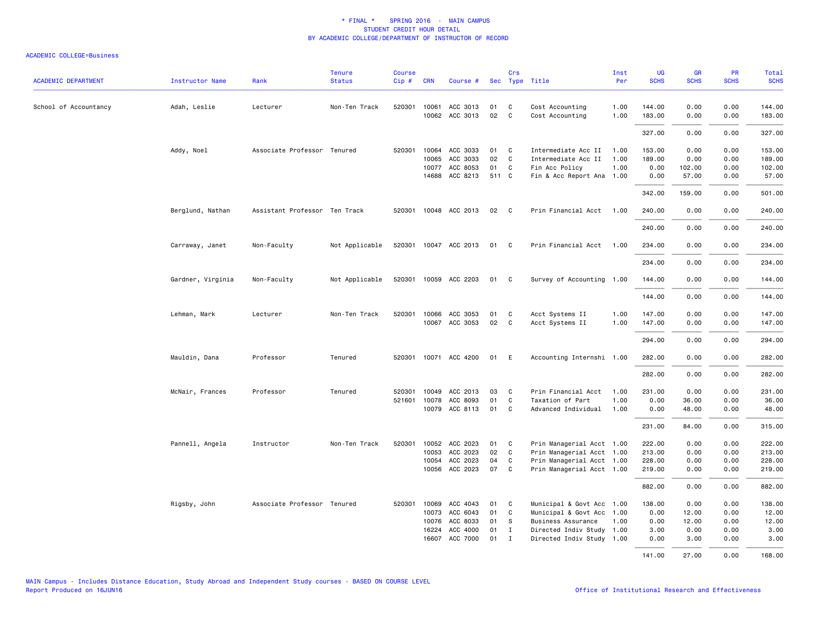| <b>ACADEMIC DEPARTMENT</b> | Instructor Name   | Rank                          | <b>Tenure</b><br><b>Status</b> | <b>Course</b><br>Cip# | <b>CRN</b> | Course #              |       | Crs            | Sec Type Title            | Inst<br>Per | <b>UG</b><br><b>SCHS</b> | GR<br><b>SCHS</b> | PR<br><b>SCHS</b> | Total<br><b>SCHS</b> |
|----------------------------|-------------------|-------------------------------|--------------------------------|-----------------------|------------|-----------------------|-------|----------------|---------------------------|-------------|--------------------------|-------------------|-------------------|----------------------|
| School of Accountancy      | Adah, Leslie      | Lecturer                      | Non-Ten Track                  |                       |            | 520301 10061 ACC 3013 | 01    | C              | Cost Accounting           | 1.00        | 144.00                   | 0.00              | 0.00              | 144.00               |
|                            |                   |                               |                                |                       |            | 10062 ACC 3013        | 02    | C              | Cost Accounting           | 1.00        | 183.00                   | 0.00              | 0.00              | 183.00               |
|                            |                   |                               |                                |                       |            |                       |       |                |                           |             | 327.00                   | 0.00              | 0.00              | 327.00               |
|                            | Addy, Noel        | Associate Professor Tenured   |                                | 520301                | 10064      | ACC 3033              | 01    | C              | Intermediate Acc II       | 1.00        | 153.00                   | 0.00              | 0.00              | 153.00               |
|                            |                   |                               |                                |                       | 10065      | ACC 3033              | 02    | $\mathbf{C}$   | Intermediate Acc II       | 1.00        | 189.00                   | 0.00              | 0.00              | 189.00               |
|                            |                   |                               |                                |                       | 10077      | ACC 8053              | 01    | C              | Fin Acc Policy            | 1.00        | 0.00                     | 102.00            | 0.00              | 102.00               |
|                            |                   |                               |                                |                       | 14688      | ACC 8213              | 511 C |                | Fin & Acc Report Ana 1.00 |             | 0.00                     | 57.00             | 0.00              | 57.00                |
|                            |                   |                               |                                |                       |            |                       |       |                |                           |             | 342.00                   | 159.00            | 0.00              | 501.00               |
|                            | Berglund, Nathan  | Assistant Professor Ten Track |                                |                       |            | 520301 10048 ACC 2013 | 02 C  |                | Prin Financial Acct 1.00  |             | 240.00                   | 0.00              | 0.00              | 240.00               |
|                            |                   |                               |                                |                       |            |                       |       |                |                           |             | 240.00                   | 0.00              | 0.00              | 240.00               |
|                            | Carraway, Janet   | Non-Faculty                   | Not Applicable                 |                       |            | 520301 10047 ACC 2013 | 01    | $\mathbf{C}$   | Prin Financial Acct 1.00  |             | 234.00                   | 0.00              | 0.00              | 234.00               |
|                            |                   |                               |                                |                       |            |                       |       |                |                           |             | 234.00                   | 0.00              | 0.00              | 234.00               |
|                            | Gardner, Virginia | Non-Faculty                   | Not Applicable                 |                       |            | 520301 10059 ACC 2203 | 01 C  |                | Survey of Accounting 1.00 |             | 144.00                   | 0.00              | 0.00              | 144.00               |
|                            |                   |                               |                                |                       |            |                       |       |                |                           |             | 144.00                   | 0.00              | 0.00              | 144.00               |
|                            | Lehman, Mark      | Lecturer                      | Non-Ten Track                  | 520301                |            | 10066 ACC 3053        | 01    | C              | Acct Systems II           | 1.00        | 147.00                   | 0.00              | 0.00              | 147.00               |
|                            |                   |                               |                                |                       |            | 10067 ACC 3053        | 02    | C <sub>1</sub> | Acct Systems II           | 1.00        | 147.00                   | 0.00              | 0.00              | 147.00               |
|                            |                   |                               |                                |                       |            |                       |       |                |                           |             | 294.00                   | 0.00              | 0.00              | 294.00               |
|                            | Mauldin, Dana     | Professor                     | Tenured                        |                       |            | 520301 10071 ACC 4200 | 01 E  |                | Accounting Internshi 1.00 |             | 282.00                   | 0.00              | 0.00              | 282.00               |
|                            |                   |                               |                                |                       |            |                       |       |                |                           |             | 282.00                   | 0.00              | 0.00              | 282.00               |
|                            | McNair, Frances   | Professor                     | Tenured                        | 520301                |            | 10049 ACC 2013        | 03    | $\mathbf{C}$   | Prin Financial Acct       | 1.00        | 231.00                   | 0.00              | 0.00              | 231.00               |
|                            |                   |                               |                                | 521601                | 10078      | ACC 8093              | 01    | C              | Taxation of Part          | 1.00        | 0.00                     | 36.00             | 0.00              | 36.00                |
|                            |                   |                               |                                |                       |            | 10079 ACC 8113        | 01    | $\mathbf{C}$   | Advanced Individual       | 1.00        | 0.00                     | 48.00             | 0.00              | 48.00                |
|                            |                   |                               |                                |                       |            |                       |       |                |                           |             | 231.00                   | 84.00             | 0.00              | 315.00               |
|                            | Pannell, Angela   | Instructor                    | Non-Ten Track                  |                       |            | 520301 10052 ACC 2023 | 01 C  |                | Prin Managerial Acct 1.00 |             | 222.00                   | 0.00              | 0.00              | 222.00               |
|                            |                   |                               |                                |                       | 10053      | ACC 2023              | 02    | $\mathbf{C}$   | Prin Managerial Acct 1.00 |             | 213.00                   | 0.00              | 0.00              | 213.00               |
|                            |                   |                               |                                |                       | 10054      | ACC 2023              | 04    | C              | Prin Managerial Acct 1.00 |             | 228.00                   | 0.00              | 0.00              | 228.00               |
|                            |                   |                               |                                |                       |            | 10056 ACC 2023        | 07    | $\mathbf{C}$   | Prin Managerial Acct 1.00 |             | 219.00                   | 0.00              | 0.00              | 219.00               |
|                            |                   |                               |                                |                       |            |                       |       |                |                           |             | 882.00                   | 0.00              | 0.00              | 882.00               |
|                            | Rigsby, John      | Associate Professor Tenured   |                                | 520301                | 10069      | ACC 4043              | 01    | $\mathbf{C}$   | Municipal & Govt Acc 1.00 |             | 138.00                   | 0.00              | 0.00              | 138.00               |
|                            |                   |                               |                                |                       | 10073      | ACC 6043              | 01    | C              | Municipal & Govt Acc 1.00 |             | 0.00                     | 12.00             | 0.00              | 12.00                |
|                            |                   |                               |                                |                       | 10076      | ACC 8033              | 01    | -S             | Business Assurance        | 1.00        | 0.00                     | 12.00             | 0.00              | 12.00                |
|                            |                   |                               |                                |                       | 16224      | ACC 4000              | 01    | $\mathbf{I}$   | Directed Indiv Study 1.00 |             | 3.00                     | 0.00              | 0.00              | 3.00                 |
|                            |                   |                               |                                |                       | 16607      | ACC 7000              | 01    | I              | Directed Indiv Study 1.00 |             | 0.00                     | 3.00              | 0.00              | 3.00                 |
|                            |                   |                               |                                |                       |            |                       |       |                |                           |             | 141.00                   | 27.00             | 0.00              | 168.00               |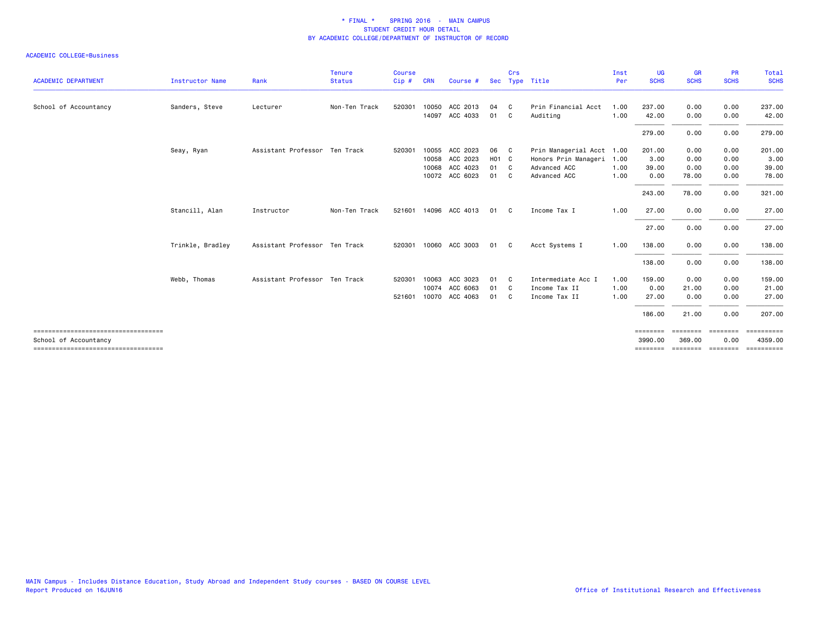|                                                                |                  |                               | Tenure        | <b>Course</b> |            |                       |                   | Crs            |                           | Inst | <b>UG</b>           | <b>GR</b>          | <b>PR</b>        | Total                            |
|----------------------------------------------------------------|------------------|-------------------------------|---------------|---------------|------------|-----------------------|-------------------|----------------|---------------------------|------|---------------------|--------------------|------------------|----------------------------------|
| <b>ACADEMIC DEPARTMENT</b>                                     | Instructor Name  | Rank                          | <b>Status</b> | Cip#          | <b>CRN</b> | Course #              |                   |                | Sec Type Title            | Per  | <b>SCHS</b>         | <b>SCHS</b>        | <b>SCHS</b>      | <b>SCHS</b>                      |
| School of Accountancy                                          | Sanders, Steve   | Lecturer                      | Non-Ten Track | 520301        |            | 10050 ACC 2013        | 04                | - C            | Prin Financial Acct       | 1.00 | 237.00              | 0.00               | 0.00             | 237.00                           |
|                                                                |                  |                               |               |               |            | 14097 ACC 4033        | 01 C              |                | Auditing                  | 1.00 | 42.00               | 0.00               | 0.00             | 42.00                            |
|                                                                |                  |                               |               |               |            |                       |                   |                |                           |      | 279.00              | 0.00               | 0.00             | 279.00                           |
|                                                                | Seay, Ryan       | Assistant Professor Ten Track |               | 520301        |            | 10055 ACC 2023        | 06                | C <sub>c</sub> | Prin Managerial Acct 1.00 |      | 201.00              | 0.00               | 0.00             | 201.00                           |
|                                                                |                  |                               |               |               |            | 10058 ACC 2023        | H <sub>01</sub> C |                | Honors Prin Manageri      | 1.00 | 3.00                | 0.00               | 0.00             | 3.00                             |
|                                                                |                  |                               |               |               | 10068      | ACC 4023              | 01                | $\mathbf{C}$   | Advanced ACC              | 1.00 | 39,00               | 0.00               | 0.00             | 39.00                            |
|                                                                |                  |                               |               |               |            | 10072 ACC 6023        | 01                | C.             | Advanced ACC              | 1.00 | 0.00                | 78.00              | 0.00             | 78.00                            |
|                                                                |                  |                               |               |               |            |                       |                   |                |                           |      | 243.00              | 78.00              | 0.00             | 321.00                           |
|                                                                | Stancill, Alan   | Instructor                    | Non-Ten Track |               |            | 521601 14096 ACC 4013 | 01                | C <sub>c</sub> | Income Tax I              | 1.00 | 27.00               | 0.00               | 0.00             | 27.00                            |
|                                                                |                  |                               |               |               |            |                       |                   |                |                           |      | 27.00               | 0.00               | 0.00             | 27.00                            |
|                                                                | Trinkle, Bradley | Assistant Professor Ten Track |               |               |            | 520301 10060 ACC 3003 | 01                | C.             | Acct Systems I            | 1.00 | 138.00              | 0.00               | 0.00             | 138.00                           |
|                                                                |                  |                               |               |               |            |                       |                   |                |                           |      | 138.00              | 0.00               | 0.00             | 138.00                           |
|                                                                | Webb, Thomas     | Assistant Professor Ten Track |               | 520301        |            | 10063 ACC 3023        | 01                | C.             | Intermediate Acc I        | 1.00 | 159.00              | 0.00               | 0.00             | 159.00                           |
|                                                                |                  |                               |               |               |            | 10074 ACC 6063        | 01                | C.             | Income Tax II             | 1.00 | 0.00                | 21.00              | 0.00             | 21.00                            |
|                                                                |                  |                               |               | 521601        |            | 10070 ACC 4063        | 01                | C.             | Income Tax II             | 1.00 | 27.00               | 0.00               | 0.00             | 27.00                            |
|                                                                |                  |                               |               |               |            |                       |                   |                |                           |      | 186.00              | 21.00              | 0.00             | 207.00                           |
| -------------------------------------                          |                  |                               |               |               |            |                       |                   |                |                           |      | ========            | ========           | ========         |                                  |
| School of Accountancy<br>===================================== |                  |                               |               |               |            |                       |                   |                |                           |      | 3990.00<br>======== | 369,00<br>======== | 0.00<br>======== | 4359.00<br>$=$ = = = = = = = = = |
|                                                                |                  |                               |               |               |            |                       |                   |                |                           |      |                     |                    |                  |                                  |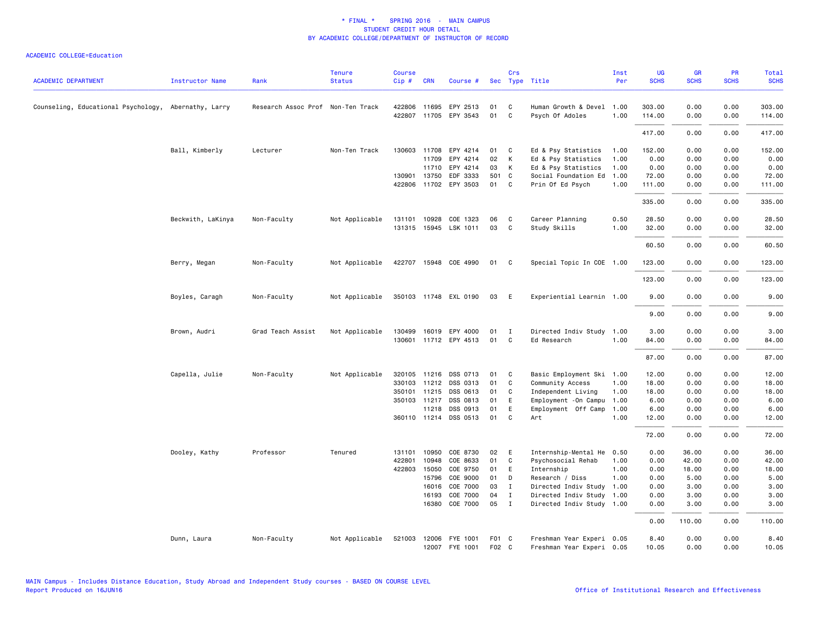| <b>ACADEMIC DEPARTMENT</b>                           |                        | Rank                              | <b>Tenure</b>  | <b>Course</b> | <b>CRN</b>   | Course #              |       | Crs          | Sec Type Title            | Inst<br>Per | <b>UG</b><br><b>SCHS</b> | <b>GR</b><br><b>SCHS</b> | <b>PR</b><br><b>SCHS</b> | <b>Total</b><br><b>SCHS</b> |
|------------------------------------------------------|------------------------|-----------------------------------|----------------|---------------|--------------|-----------------------|-------|--------------|---------------------------|-------------|--------------------------|--------------------------|--------------------------|-----------------------------|
|                                                      | <b>Instructor Name</b> |                                   | <b>Status</b>  | Cip#          |              |                       |       |              |                           |             |                          |                          |                          |                             |
| Counseling, Educational Psychology, Abernathy, Larry |                        | Research Assoc Prof Non-Ten Track |                |               | 422806 11695 | EPY 2513              | 01    | C            | Human Growth & Devel      | 1.00        | 303.00                   | 0.00                     | 0.00                     | 303.00                      |
|                                                      |                        |                                   |                |               |              | 422807 11705 EPY 3543 | 01    | C            | Psych Of Adoles           | 1.00        | 114.00                   | 0.00                     | 0.00                     | 114.00                      |
|                                                      |                        |                                   |                |               |              |                       |       |              |                           |             | 417.00                   | 0.00                     | 0.00                     | 417.00                      |
|                                                      | Ball, Kimberly         | Lecturer                          | Non-Ten Track  | 130603        | 11708        | EPY 4214              | 01    | C            | Ed & Psy Statistics       | 1.00        | 152.00                   | 0.00                     | 0.00                     | 152.00                      |
|                                                      |                        |                                   |                |               | 11709        | EPY 4214              | 02    | К            | Ed & Psy Statistics       | 1.00        | 0.00                     | 0.00                     | 0.00                     | 0.00                        |
|                                                      |                        |                                   |                |               |              | 11710 EPY 4214        | 03    | K            | Ed & Psy Statistics       | 1.00        | 0.00                     | 0.00                     | 0.00                     | 0.00                        |
|                                                      |                        |                                   |                |               | 130901 13750 | EDF 3333              | 501 C |              | Social Foundation Ed      | 1.00        | 72.00                    | 0.00                     | 0.00                     | 72.00                       |
|                                                      |                        |                                   |                |               |              | 422806 11702 EPY 3503 | 01    | C            | Prin Of Ed Psych          | 1.00        | 111.00                   | 0.00                     | 0.00                     | 111.00                      |
|                                                      |                        |                                   |                |               |              |                       |       |              |                           |             | 335.00                   | 0.00                     | 0.00                     | 335.00                      |
|                                                      | Beckwith, LaKinya      | Non-Faculty                       | Not Applicable |               | 131101 10928 | COE 1323              | 06    | C            | Career Planning           | 0.50        | 28.50                    | 0.00                     | 0.00                     | 28.50                       |
|                                                      |                        |                                   |                | 131315        |              | 15945 LSK 1011        | 03    | C            | Study Skills              | 1.00        | 32.00                    | 0.00                     | 0.00                     | 32.00                       |
|                                                      |                        |                                   |                |               |              |                       |       |              |                           |             | 60.50                    | 0.00                     | 0.00                     | 60.50                       |
|                                                      | Berry, Megan           | Non-Faculty                       | Not Applicable |               |              | 422707 15948 COE 4990 | 01    | C            | Special Topic In COE 1.00 |             | 123.00                   | 0.00                     | 0.00                     | 123.00                      |
|                                                      |                        |                                   |                |               |              |                       |       |              |                           |             | 123.00                   | 0.00                     | 0.00                     | 123.00                      |
|                                                      | Boyles, Caragh         | Non-Faculty                       | Not Applicable |               |              | 350103 11748 EXL 0190 | 03    | E            | Experiential Learnin 1.00 |             | 9.00                     | 0.00                     | 0.00                     | 9.00                        |
|                                                      |                        |                                   |                |               |              |                       |       |              |                           |             | 9.00                     | 0.00                     | 0.00                     | 9.00                        |
|                                                      | Brown, Audri           | Grad Teach Assist                 | Not Applicable | 130499        |              | 16019 EPY 4000        | 01    | $\mathbf{I}$ | Directed Indiv Study      | 1.00        | 3.00                     | 0.00                     | 0.00                     | 3.00                        |
|                                                      |                        |                                   |                |               |              | 130601 11712 EPY 4513 | 01    | C            | Ed Research               | 1.00        | 84.00                    | 0.00                     | 0.00                     | 84.00                       |
|                                                      |                        |                                   |                |               |              |                       |       |              |                           |             | 87.00                    | 0.00                     | 0.00                     | 87.00                       |
|                                                      | Capella, Julie         | Non-Faculty                       | Not Applicable |               |              | 320105 11216 DSS 0713 | 01    | C            | Basic Employment Ski 1.00 |             | 12.00                    | 0.00                     | 0.00                     | 12.00                       |
|                                                      |                        |                                   |                | 330103        | 11212        | DSS 0313              | 01    | C            | Community Access          | 1.00        | 18.00                    | 0.00                     | 0.00                     | 18.00                       |
|                                                      |                        |                                   |                |               | 350101 11215 | DSS 0613              | 01    | C            | Independent Living        | 1.00        | 18.00                    | 0.00                     | 0.00                     | 18.00                       |
|                                                      |                        |                                   |                |               |              | 350103 11217 DSS 0813 | 01    | E            | Employment - On Campu     | 1.00        | 6.00                     | 0.00                     | 0.00                     | 6.00                        |
|                                                      |                        |                                   |                |               | 11218        | DSS 0913              | 01    | E            | Employment Off Camp       | 1.00        | 6.00                     | 0.00                     | 0.00                     | 6.00                        |
|                                                      |                        |                                   |                |               |              | 360110 11214 DSS 0513 | 01    | C            | Art                       | 1.00        | 12.00                    | 0.00                     | 0.00                     | 12.00                       |
|                                                      |                        |                                   |                |               |              |                       |       |              |                           |             | 72.00                    | 0.00                     | 0.00                     | 72.00                       |
|                                                      | Dooley, Kathy          | Professor                         | Tenured        | 131101        |              | 10950 COE 8730        | 02    | E            | Internship-Mental He      | 0.50        | 0.00                     | 36.00                    | 0.00                     | 36.00                       |
|                                                      |                        |                                   |                | 422801        | 10948        | COE 8633              | 01    | C            | Psychosocial Rehab        | 1.00        | 0.00                     | 42.00                    | 0.00                     | 42.00                       |
|                                                      |                        |                                   |                | 422803        | 15050        | COE 9750              | 01    | E            | Internship                | 1.00        | 0.00                     | 18.00                    | 0.00                     | 18.00                       |
|                                                      |                        |                                   |                |               | 15796        | COE 9000              | 01    | D            | Research / Diss           | 1.00        | 0.00                     | 5.00                     | 0.00                     | 5.00                        |
|                                                      |                        |                                   |                |               | 16016        | COE 7000              | 03    | $\mathbf I$  | Directed Indiv Study      | 1.00        | 0.00                     | 3.00                     | 0.00                     | 3.00                        |
|                                                      |                        |                                   |                |               | 16193        | COE 7000              | 04    | $\mathbf{I}$ | Directed Indiv Study 1.00 |             | 0.00                     | 3.00                     | 0.00                     | 3.00                        |
|                                                      |                        |                                   |                |               | 16380        | COE 7000              | 05    | $\mathbf{I}$ | Directed Indiv Study 1.00 |             | 0.00                     | 3.00                     | 0.00                     | 3.00                        |
|                                                      |                        |                                   |                |               |              |                       |       |              |                           |             | 0.00                     | 110.00                   | 0.00                     | 110.00                      |
|                                                      | Dunn, Laura            | Non-Faculty                       | Not Applicable | 521003        |              | 12006 FYE 1001        | F01 C |              | Freshman Year Experi 0.05 |             | 8.40                     | 0.00                     | 0.00                     | 8.40                        |
|                                                      |                        |                                   |                |               |              | 12007 FYE 1001        | F02 C |              | Freshman Year Experi 0.05 |             | 10.05                    | 0.00                     | 0.00                     | 10.05                       |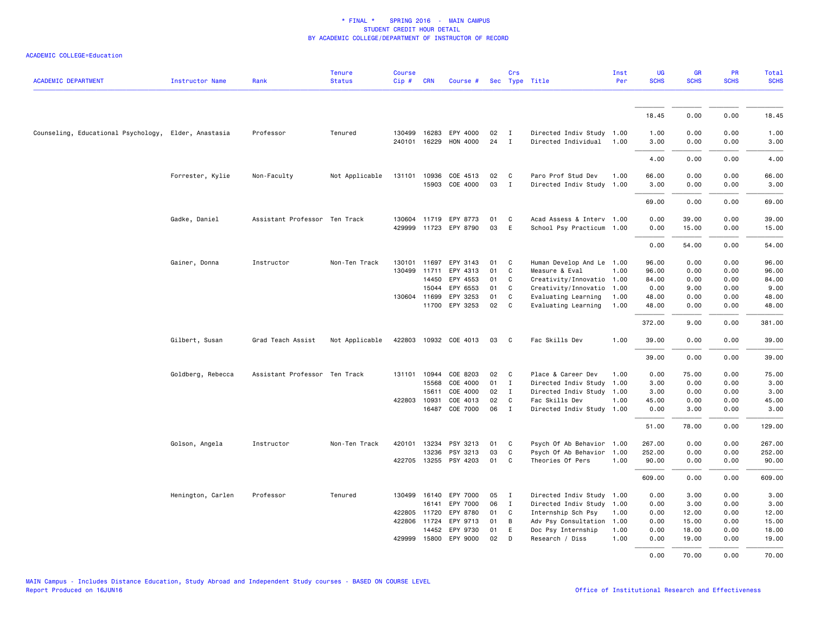|                                                      |                   | Rank                          | <b>Tenure</b>  | <b>Course</b> |              |                       |    | Crs            |                           | Inst<br>Per | UG<br><b>SCHS</b> | <b>GR</b><br><b>SCHS</b> | PR<br><b>SCHS</b> | Total<br><b>SCHS</b> |
|------------------------------------------------------|-------------------|-------------------------------|----------------|---------------|--------------|-----------------------|----|----------------|---------------------------|-------------|-------------------|--------------------------|-------------------|----------------------|
| <b>ACADEMIC DEPARTMENT</b>                           | Instructor Name   |                               | <b>Status</b>  | Cip#          | <b>CRN</b>   | Course #              |    |                | Sec Type Title            |             |                   |                          |                   |                      |
|                                                      |                   |                               |                |               |              |                       |    |                |                           |             | 18.45             | 0.00                     | 0.00              | 18.45                |
| Counseling, Educational Psychology, Elder, Anastasia |                   | Professor                     | Tenured        |               |              | 130499 16283 EPY 4000 | 02 | $\mathbf{I}$   | Directed Indiv Study 1.00 |             | 1.00              | 0.00                     | 0.00              | 1.00                 |
|                                                      |                   |                               |                |               | 240101 16229 | HON 4000              | 24 | $\mathbf{I}$   | Directed Individual       | 1.00        | 3.00              | 0.00                     | 0.00              | 3.00                 |
|                                                      |                   |                               |                |               |              |                       |    |                |                           |             | 4.00              | 0.00                     | 0.00              | 4.00                 |
|                                                      | Forrester, Kylie  | Non-Faculty                   | Not Applicable | 131101        | 10936        | COE 4513              | 02 | C              | Paro Prof Stud Dev        | 1.00        | 66.00             | 0.00                     | 0.00              | 66.00                |
|                                                      |                   |                               |                |               | 15903        | COE 4000              | 03 | $\mathbf{I}$   | Directed Indiv Study      | 1.00        | 3.00              | 0.00                     | 0.00              | 3.00                 |
|                                                      |                   |                               |                |               |              |                       |    |                |                           |             | 69.00             | 0.00                     | 0.00              | 69.00                |
|                                                      | Gadke, Daniel     | Assistant Professor Ten Track |                |               |              | 130604 11719 EPY 8773 | 01 | C              | Acad Assess & Interv 1.00 |             | 0.00              | 39.00                    | 0.00              | 39.00                |
|                                                      |                   |                               |                |               |              | 429999 11723 EPY 8790 | 03 | E              | School Psy Practicum 1.00 |             | 0.00              | 15.00                    | 0.00              | 15.00                |
|                                                      |                   |                               |                |               |              |                       |    |                |                           |             | 0.00              | 54.00                    | 0.00              | 54.00                |
|                                                      | Gainer, Donna     | Instructor                    | Non-Ten Track  |               | 130101 11697 | EPY 3143              | 01 | C              | Human Develop And Le 1.00 |             | 96.00             | 0.00                     | 0.00              | 96.00                |
|                                                      |                   |                               |                | 130499        | 11711        | EPY 4313              | 01 | C              | Measure & Eval            | 1.00        | 96.00             | 0.00                     | 0.00              | 96.00                |
|                                                      |                   |                               |                |               | 14450        | EPY 4553              | 01 | C              | Creativity/Innovatio 1.00 |             | 84.00             | 0.00                     | 0.00              | 84.00                |
|                                                      |                   |                               |                |               | 15044        | EPY 6553              | 01 | C              | Creativity/Innovatio 1.00 |             | 0.00              | 9.00                     | 0.00              | 9.00                 |
|                                                      |                   |                               |                |               | 130604 11699 | EPY 3253              | 01 | C.             | Evaluating Learning       | 1.00        | 48.00             | 0.00                     | 0.00              | 48.00                |
|                                                      |                   |                               |                |               |              | 11700 EPY 3253        | 02 | C              | Evaluating Learning       | 1.00        | 48.00             | 0.00                     | 0.00              | 48.00                |
|                                                      |                   |                               |                |               |              |                       |    |                |                           |             | 372.00            | 9.00                     | 0.00              | 381.00               |
|                                                      | Gilbert, Susan    | Grad Teach Assist             | Not Applicable |               |              | 422803 10932 COE 4013 | 03 | C <sub>c</sub> | Fac Skills Dev            | 1.00        | 39.00             | 0.00                     | 0.00              | 39.00                |
|                                                      |                   |                               |                |               |              |                       |    |                |                           |             | 39.00             | 0.00                     | 0.00              | 39.00                |
|                                                      | Goldberg, Rebecca | Assistant Professor Ten Track |                |               | 131101 10944 | COE 8203              | 02 | $\mathbf{C}$   | Place & Career Dev        | 1.00        | 0.00              | 75.00                    | 0.00              | 75.00                |
|                                                      |                   |                               |                |               | 15568        | COE 4000              | 01 | I              | Directed Indiv Study      | 1.00        | 3.00              | 0.00                     | 0.00              | 3.00                 |
|                                                      |                   |                               |                |               | 15611        | COE 4000              | 02 | $\mathbf I$    | Directed Indiv Study      | 1.00        | 3.00              | 0.00                     | 0.00              | 3.00                 |
|                                                      |                   |                               |                |               | 422803 10931 | COE 4013              | 02 | C              | Fac Skills Dev            | 1.00        | 45.00             | 0.00                     | 0.00              | 45.00                |
|                                                      |                   |                               |                |               | 16487        | COE 7000              | 06 | $\mathbf{I}$   | Directed Indiv Study      | 1.00        | 0.00              | 3.00                     | 0.00              | 3.00                 |
|                                                      |                   |                               |                |               |              |                       |    |                |                           |             | 51.00             | 78.00                    | 0.00              | 129.00               |
|                                                      | Golson, Angela    | Instructor                    | Non-Ten Track  |               | 420101 13234 | PSY 3213              | 01 | C              | Psych Of Ab Behavior 1.00 |             | 267.00            | 0.00                     | 0.00              | 267.00               |
|                                                      |                   |                               |                |               | 13236        | PSY 3213              | 03 | C              | Psych Of Ab Behavior      | 1.00        | 252.00            | 0.00                     | 0.00              | 252.00               |
|                                                      |                   |                               |                | 422705        |              | 13255 PSY 4203        | 01 | C              | Theories Of Pers          | 1.00        | 90.00             | 0.00                     | 0.00              | 90.00                |
|                                                      |                   |                               |                |               |              |                       |    |                |                           |             | 609.00            | 0.00                     | 0.00              | 609.00               |
|                                                      | Henington, Carlen | Professor                     | Tenured        |               | 130499 16140 | EPY 7000              | 05 | I              | Directed Indiv Study 1.00 |             | 0.00              | 3.00                     | 0.00              | 3.00                 |
|                                                      |                   |                               |                |               | 16141        | EPY 7000              | 06 | $\mathbf{I}$   | Directed Indiv Study 1.00 |             | 0.00              | 3.00                     | 0.00              | 3.00                 |
|                                                      |                   |                               |                |               | 422805 11720 | EPY 8780              | 01 | C              | Internship Sch Psy        | 1.00        | 0.00              | 12.00                    | 0.00              | 12.00                |
|                                                      |                   |                               |                |               | 422806 11724 | EPY 9713              | 01 | B              | Adv Psy Consultation      | 1.00        | 0.00              | 15.00                    | 0.00              | 15.00                |
|                                                      |                   |                               |                |               | 14452        | EPY 9730              | 01 | E              | Doc Psy Internship        | 1.00        | 0.00              | 18.00                    | 0.00              | 18.00                |
|                                                      |                   |                               |                |               | 429999 15800 | EPY 9000              | 02 | D              | Research / Diss           | 1.00        | 0.00              | 19.00                    | 0.00              | 19.00                |
|                                                      |                   |                               |                |               |              |                       |    |                |                           |             | 0.00              | 70.00                    | 0.00              | 70.00                |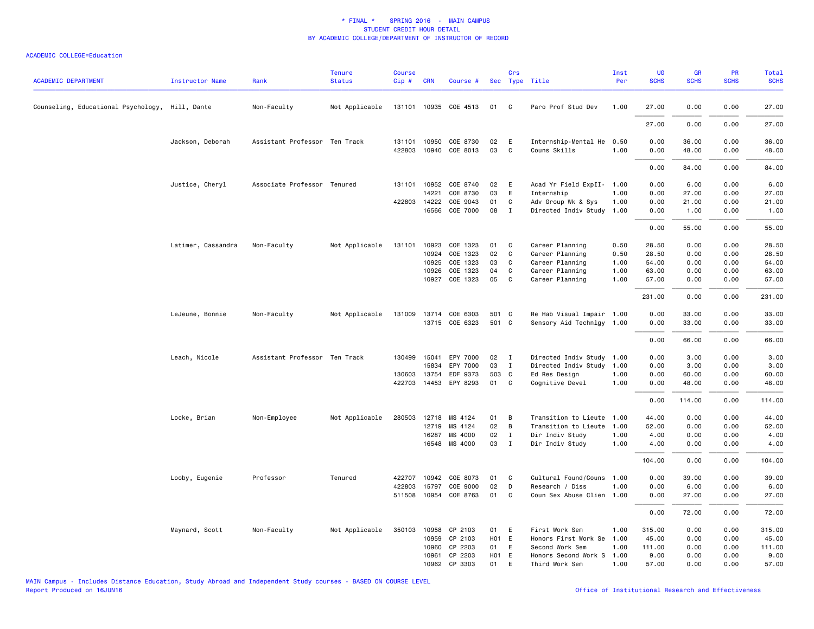| <b>ACADEMIC DEPARTMENT</b>                      | <b>Instructor Name</b> | Rank                          | <b>Tenure</b><br><b>Status</b> | <b>Course</b><br>Cip# | <b>CRN</b>   | Course #              |       | Crs          | Sec Type Title            | Inst<br>Per | UG<br><b>SCHS</b> | <b>GR</b><br><b>SCHS</b> | <b>PR</b><br><b>SCHS</b> | <b>Total</b><br><b>SCHS</b> |
|-------------------------------------------------|------------------------|-------------------------------|--------------------------------|-----------------------|--------------|-----------------------|-------|--------------|---------------------------|-------------|-------------------|--------------------------|--------------------------|-----------------------------|
| Counseling, Educational Psychology, Hill, Dante |                        | Non-Faculty                   | Not Applicable                 |                       |              | 131101 10935 COE 4513 | 01    | C            | Paro Prof Stud Dev        | 1.00        | 27.00             | 0.00                     | 0.00                     | 27.00                       |
|                                                 |                        |                               |                                |                       |              |                       |       |              |                           |             | 27.00             | 0.00                     | 0.00                     | 27.00                       |
|                                                 | Jackson, Deborah       | Assistant Professor Ten Track |                                | 131101                | 10950        | COE 8730              | 02    | E            | Internship-Mental He      | 0.50        | 0.00              | 36.00                    | 0.00                     | 36.00                       |
|                                                 |                        |                               |                                |                       | 422803 10940 | COE 8013              | 03    | C            | Couns Skills              | 1.00        | 0.00              | 48.00                    | 0.00                     | 48.00                       |
|                                                 |                        |                               |                                |                       |              |                       |       |              |                           |             | 0.00              | 84.00                    | 0.00                     | 84.00                       |
|                                                 | Justice, Cheryl        | Associate Professor Tenured   |                                |                       | 131101 10952 | COE 8740              | 02    | E            | Acad Yr Field ExpII- 1.00 |             | 0.00              | 6.00                     | 0.00                     | 6.00                        |
|                                                 |                        |                               |                                |                       | 14221        | COE 8730              | 03    | E            | Internship                | 1.00        | 0.00              | 27.00                    | 0.00                     | 27.00                       |
|                                                 |                        |                               |                                |                       | 422803 14222 | COE 9043              | 01    | C            | Adv Group Wk & Sys        | 1.00        | 0.00              | 21.00                    | 0.00                     | 21.00                       |
|                                                 |                        |                               |                                |                       | 16566        | COE 7000              | 08    | $\mathbf I$  | Directed Indiv Study      | 1.00        | 0.00              | 1.00                     | 0.00                     | 1.00                        |
|                                                 |                        |                               |                                |                       |              |                       |       |              |                           |             | 0.00              | 55.00                    | 0.00                     | 55.00                       |
|                                                 | Latimer, Cassandra     | Non-Faculty                   | Not Applicable                 | 131101                | 10923        | COE 1323              | 01    | C            | Career Planning           | 0.50        | 28.50             | 0.00                     | 0.00                     | 28.50                       |
|                                                 |                        |                               |                                |                       | 10924        | COE 1323              | 02    | C            | Career Planning           | 0.50        | 28.50             | 0.00                     | 0.00                     | 28.50                       |
|                                                 |                        |                               |                                |                       | 10925        | COE 1323              | 03    | C            | Career Planning           | 1.00        | 54.00             | 0.00                     | 0.00                     | 54.00                       |
|                                                 |                        |                               |                                |                       | 10926        | COE 1323              | 04    | $\mathbf c$  | Career Planning           | 1.00        | 63.00             | 0.00                     | 0.00                     | 63.00                       |
|                                                 |                        |                               |                                |                       | 10927        | COE 1323              | 05    | C            | Career Planning           | 1.00        | 57.00             | 0.00                     | 0.00                     | 57.00                       |
|                                                 |                        |                               |                                |                       |              |                       |       |              |                           |             | 231.00            | 0.00                     | 0.00                     | 231.00                      |
|                                                 | LeJeune, Bonnie        | Non-Faculty                   | Not Applicable                 |                       |              | 131009 13714 COE 6303 | 501 C |              | Re Hab Visual Impair 1.00 |             | 0.00              | 33.00                    | 0.00                     | 33.00                       |
|                                                 |                        |                               |                                |                       |              | 13715 COE 6323        | 501 C |              | Sensory Aid Technlgy 1.00 |             | 0.00              | 33.00                    | 0.00                     | 33.00                       |
|                                                 |                        |                               |                                |                       |              |                       |       |              |                           |             | 0.00              | 66.00                    | 0.00                     | 66.00                       |
|                                                 | Leach, Nicole          | Assistant Professor Ten Track |                                |                       | 130499 15041 | EPY 7000              | 02    | $\mathbf{I}$ | Directed Indiv Study      | 1.00        | 0.00              | 3.00                     | 0.00                     | 3.00                        |
|                                                 |                        |                               |                                |                       | 15834        | EPY 7000              | 03    | I            | Directed Indiv Study      | 1.00        | 0.00              | 3.00                     | 0.00                     | 3.00                        |
|                                                 |                        |                               |                                | 130603                | 13754        | EDF 9373              | 503 C |              | Ed Res Design             | 1.00        | 0.00              | 60.00                    | 0.00                     | 60.00                       |
|                                                 |                        |                               |                                |                       |              | 422703 14453 EPY 8293 | 01    | C            | Cognitive Devel           | 1.00        | 0.00              | 48.00                    | 0.00                     | 48.00                       |
|                                                 |                        |                               |                                |                       |              |                       |       |              |                           |             | 0.00              | 114.00                   | 0.00                     | 114.00                      |
|                                                 | Locke, Brian           | Non-Employee                  | Not Applicable                 | 280503 12718          |              | MS 4124               | 01    | В            | Transition to Lieute      | 1.00        | 44.00             | 0.00                     | 0.00                     | 44.00                       |
|                                                 |                        |                               |                                |                       | 12719        | MS 4124               | 02    | B            | Transition to Lieute      | 1.00        | 52.00             | 0.00                     | 0.00                     | 52.00                       |
|                                                 |                        |                               |                                |                       | 16287        | MS 4000               | 02    | $\mathbf{I}$ | Dir Indiv Study           | 1.00        | 4.00              | 0.00                     | 0.00                     | 4.00                        |
|                                                 |                        |                               |                                |                       | 16548        | MS 4000               | 03    | $\mathbf{I}$ | Dir Indiv Study           | 1.00        | 4.00              | 0.00                     | 0.00                     | 4.00                        |
|                                                 |                        |                               |                                |                       |              |                       |       |              |                           |             | 104.00            | 0.00                     | 0.00                     | 104.00                      |
|                                                 | Looby, Eugenie         | Professor                     | Tenured                        | 422707                | 10942        | COE 8073              | 01    | C            | Cultural Found/Couns      | 1.00        | 0.00              | 39.00                    | 0.00                     | 39.00                       |
|                                                 |                        |                               |                                | 422803                | 15797        | COE 9000              | 02    | D            | Research / Diss           | 1.00        | 0.00              | 6.00                     | 0.00                     | 6.00                        |
|                                                 |                        |                               |                                | 511508                | 10954        | COE 8763              | 01    | C            | Coun Sex Abuse Clien 1.00 |             | 0.00              | 27.00                    | 0.00                     | 27.00                       |
|                                                 |                        |                               |                                |                       |              |                       |       |              |                           |             | 0.00              | 72.00                    | 0.00                     | 72.00                       |
|                                                 | Maynard, Scott         | Non-Faculty                   | Not Applicable                 | 350103 10958          |              | CP 2103               | 01    | E            | First Work Sem            | 1.00        | 315.00            | 0.00                     | 0.00                     | 315.00                      |
|                                                 |                        |                               |                                |                       | 10959        | CP 2103               | H01 E |              | Honors First Work Se      | 1.00        | 45.00             | 0.00                     | 0.00                     | 45.00                       |
|                                                 |                        |                               |                                |                       | 10960        | CP 2203               | 01    | E            | Second Work Sem           | 1.00        | 111.00            | 0.00                     | 0.00                     | 111.00                      |
|                                                 |                        |                               |                                |                       | 10961        | CP 2203               | H01 E |              | Honors Second Work S      | 1.00        | 9.00              | 0.00                     | 0.00                     | 9.00                        |
|                                                 |                        |                               |                                |                       | 10962        | CP 3303               | 01    | E            | Third Work Sem            | 1.00        | 57.00             | 0.00                     | 0.00                     | 57.00                       |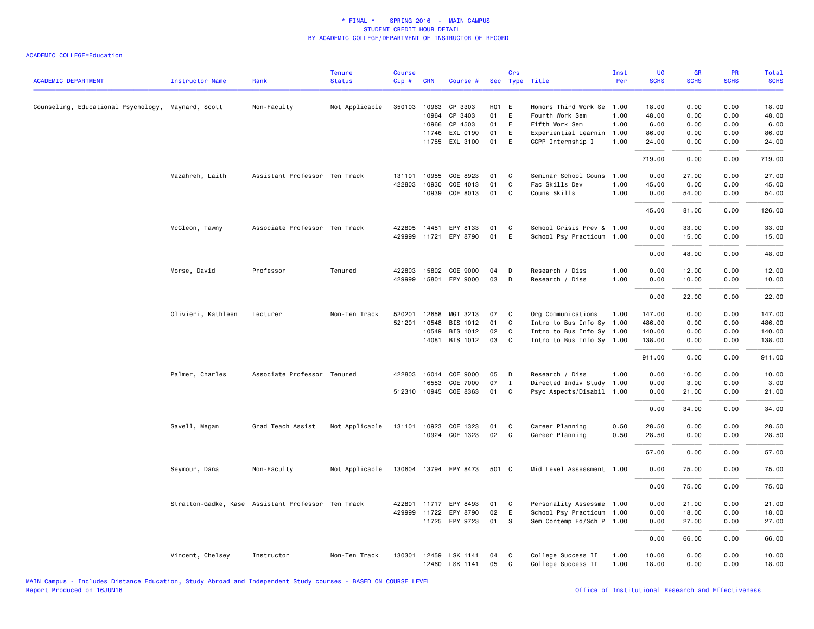| <b>ACADEMIC DEPARTMENT</b>                         | <b>Instructor Name</b> | Rank                                               | <b>Tenure</b><br><b>Status</b> | <b>Course</b><br>Cip# | <b>CRN</b>   | Course #              |       | Crs          | Sec Type Title            | Inst<br>Per | UG<br><b>SCHS</b> | GR<br><b>SCHS</b> | <b>PR</b><br><b>SCHS</b> | Total<br><b>SCHS</b> |
|----------------------------------------------------|------------------------|----------------------------------------------------|--------------------------------|-----------------------|--------------|-----------------------|-------|--------------|---------------------------|-------------|-------------------|-------------------|--------------------------|----------------------|
| Counseling, Educational Psychology, Maynard, Scott |                        | Non-Faculty                                        | Not Applicable                 | 350103                | 10963        | CP 3303               | H01 E |              | Honors Third Work Se      | 1.00        | 18.00             | 0.00              | 0.00                     | 18.00                |
|                                                    |                        |                                                    |                                |                       | 10964        | CP 3403               | 01    | E            | Fourth Work Sem           | 1.00        | 48.00             | 0.00              | 0.00                     | 48.00                |
|                                                    |                        |                                                    |                                |                       | 10966        | CP 4503               | 01    | E            | Fifth Work Sem            | 1.00        | 6.00              | 0.00              | 0.00                     | 6.00                 |
|                                                    |                        |                                                    |                                |                       | 11746        | EXL 0190              | 01    | E            | Experiential Learnin      | 1.00        | 86.00             | 0.00              | 0.00                     | 86.00                |
|                                                    |                        |                                                    |                                |                       |              | 11755 EXL 3100        | 01    | E            | CCPP Internship I         | 1.00        | 24.00             | 0.00              | 0.00                     | 24.00                |
|                                                    |                        |                                                    |                                |                       |              |                       |       |              |                           |             | 719.00            | 0.00              | 0.00                     | 719.00               |
|                                                    | Mazahreh, Laith        | Assistant Professor Ten Track                      |                                | 131101                | 10955        | COE 8923              | 01    | C            | Seminar School Couns      | 1.00        | 0.00              | 27.00             | 0.00                     | 27.00                |
|                                                    |                        |                                                    |                                | 422803                | 10930        | COE 4013              | 01    | C            | Fac Skills Dev            | 1.00        | 45.00             | 0.00              | 0.00                     | 45.00                |
|                                                    |                        |                                                    |                                |                       | 10939        | COE 8013              | 01    | C            | Couns Skills              | 1.00        | 0.00              | 54.00             | 0.00                     | 54.00                |
|                                                    |                        |                                                    |                                |                       |              |                       |       |              |                           |             | 45.00             | 81.00             | 0.00                     | 126.00               |
|                                                    | McCleon, Tawny         | Associate Professor Ten Track                      |                                |                       | 422805 14451 | EPY 8133              | 01    | C            | School Crisis Prev & 1.00 |             | 0.00              | 33,00             | 0.00                     | 33.00                |
|                                                    |                        |                                                    |                                |                       |              | 429999 11721 EPY 8790 | 01    | E            | School Psy Practicum 1.00 |             | 0.00              | 15.00             | 0.00                     | 15.00                |
|                                                    |                        |                                                    |                                |                       |              |                       |       |              |                           |             | 0.00              | 48.00             | 0.00                     | 48.00                |
|                                                    | Morse, David           | Professor                                          | Tenured                        | 422803                | 15802        | COE 9000              | 04    | D            | Research / Diss           | 1.00        | 0.00              | 12.00             | 0.00                     | 12.00                |
|                                                    |                        |                                                    |                                | 429999                |              | 15801 EPY 9000        | 03    | D            | Research / Diss           | 1.00        | 0.00              | 10.00             | 0.00                     | 10.00                |
|                                                    |                        |                                                    |                                |                       |              |                       |       |              |                           |             | 0.00              | 22.00             | 0.00                     | 22.00                |
|                                                    | Olivieri, Kathleen     | Lecturer                                           | Non-Ten Track                  | 520201                | 12658        | MGT 3213              | 07    | C            | Org Communications        | 1.00        | 147.00            | 0.00              | 0.00                     | 147.00               |
|                                                    |                        |                                                    |                                | 521201                | 10548        | BIS 1012              | 01    | C            | Intro to Bus Info Sy 1.00 |             | 486.00            | 0.00              | 0.00                     | 486.00               |
|                                                    |                        |                                                    |                                |                       | 10549        | BIS 1012              | 02    | C            | Intro to Bus Info Sy 1.00 |             | 140.00            | 0.00              | 0.00                     | 140.00               |
|                                                    |                        |                                                    |                                |                       |              | 14081 BIS 1012        | 03    | C            | Intro to Bus Info Sy 1.00 |             | 138.00            | 0.00              | 0.00                     | 138.00               |
|                                                    |                        |                                                    |                                |                       |              |                       |       |              |                           |             | 911.00            | 0.00              | 0.00                     | 911.00               |
|                                                    | Palmer, Charles        | Associate Professor Tenured                        |                                |                       | 422803 16014 | COE 9000              | 05    | D            | Research / Diss           | 1.00        | 0.00              | 10.00             | 0.00                     | 10.00                |
|                                                    |                        |                                                    |                                |                       | 16553        | COE 7000              | 07    | $\mathbf{I}$ | Directed Indiv Study      | 1.00        | 0.00              | 3.00              | 0.00                     | 3.00                 |
|                                                    |                        |                                                    |                                |                       |              | 512310 10945 COE 8363 | 01    | C            | Psyc Aspects/Disabil 1.00 |             | 0.00              | 21.00             | 0.00                     | 21.00                |
|                                                    |                        |                                                    |                                |                       |              |                       |       |              |                           |             | 0.00              | 34.00             | 0.00                     | 34.00                |
|                                                    | Savell, Megan          | Grad Teach Assist                                  | Not Applicable                 |                       | 131101 10923 | COE 1323              | 01    | C            | Career Planning           | 0.50        | 28.50             | 0.00              | 0.00                     | 28.50                |
|                                                    |                        |                                                    |                                |                       |              | 10924 COE 1323        | 02    | C            | Career Planning           | 0.50        | 28.50             | 0.00              | 0.00                     | 28.50                |
|                                                    |                        |                                                    |                                |                       |              |                       |       |              |                           |             | 57.00             | 0.00              | 0.00                     | 57.00                |
|                                                    | Seymour, Dana          | Non-Faculty                                        | Not Applicable                 |                       |              | 130604 13794 EPY 8473 | 501 C |              | Mid Level Assessment 1.00 |             | 0.00              | 75.00             | 0.00                     | 75.00                |
|                                                    |                        |                                                    |                                |                       |              |                       |       |              |                           |             | 0.00              | 75.00             | 0.00                     | 75.00                |
|                                                    |                        | Stratton-Gadke, Kase Assistant Professor Ten Track |                                | 422801                |              | 11717 EPY 8493        | 01    | C            | Personality Assessme 1.00 |             | 0.00              | 21.00             | 0.00                     | 21.00                |
|                                                    |                        |                                                    |                                | 429999                |              | 11722 EPY 8790        | 02    | E            | School Psy Practicum 1.00 |             | 0.00              | 18.00             | 0.00                     | 18.00                |
|                                                    |                        |                                                    |                                |                       |              | 11725 EPY 9723        | 01    | s            | Sem Contemp Ed/Sch P 1.00 |             | 0.00              | 27.00             | 0.00                     | 27.00                |
|                                                    |                        |                                                    |                                |                       |              |                       |       |              |                           |             | 0.00              | 66.00             | 0.00                     | 66.00                |
|                                                    | Vincent, Chelsey       | Instructor                                         | Non-Ten Track                  | 130301                |              | 12459 LSK 1141        | 04    | C            | College Success II        | 1.00        | 10.00             | 0.00              | 0.00                     | 10.00                |
|                                                    |                        |                                                    |                                |                       |              | 12460 LSK 1141        | 05    | C            | College Success II        | 1.00        | 18.00             | 0.00              | 0.00                     | 18.00                |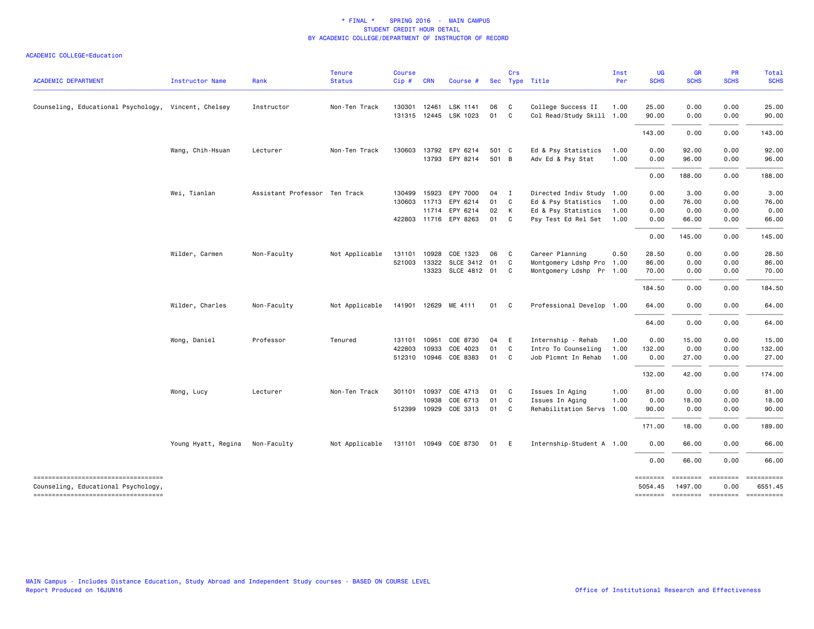| <b>ACADEMIC DEPARTMENT</b>                                                | Instructor Name     | Rank                          | <b>Tenure</b><br><b>Status</b> | <b>Course</b><br>Cip# | <b>CRN</b> | Course #                   |                | Crs          | Sec Type Title                           | Inst<br>Per  | UG<br><b>SCHS</b>   | GR<br><b>SCHS</b>   | PR<br><b>SCHS</b> | Total<br><b>SCHS</b>                |
|---------------------------------------------------------------------------|---------------------|-------------------------------|--------------------------------|-----------------------|------------|----------------------------|----------------|--------------|------------------------------------------|--------------|---------------------|---------------------|-------------------|-------------------------------------|
| Counseling, Educational Psychology, Vincent, Chelsey                      |                     | Instructor                    | Non-Ten Track                  | 130301                | 12461      | LSK 1141                   | 06             | $\mathbf{C}$ | College Success II                       | 1.00         | 25.00               | 0.00                | 0.00              | 25.00                               |
|                                                                           |                     |                               |                                |                       |            | 131315 12445 LSK 1023      | 01 C           |              | Col Read/Study Skill 1.00                |              | 90.00               | 0.00                | 0.00              | 90.00                               |
|                                                                           |                     |                               |                                |                       |            |                            |                |              |                                          |              | 143.00              | 0.00                | 0.00              | 143.00                              |
|                                                                           | Wang, Chih-Hsuan    | Lecturer                      | Non-Ten Track                  | 130603                | 13792      | EPY 6214<br>13793 EPY 8214 | 501 C<br>501 B |              | Ed & Psy Statistics<br>Adv Ed & Psy Stat | 1.00<br>1.00 | 0.00<br>0.00        | 92.00<br>96.00      | 0.00<br>0.00      | 92.00<br>96.00                      |
|                                                                           |                     |                               |                                |                       |            |                            |                |              |                                          |              | 0.00                | 188.00              | 0.00              | 188.00                              |
|                                                                           | Wei, Tianlan        | Assistant Professor Ten Track |                                | 130499 15923          |            | EPY 7000                   | 04             | $\mathbf{I}$ | Directed Indiv Study 1.00                |              | 0.00                | 3.00                | 0.00              | 3.00                                |
|                                                                           |                     |                               |                                | 130603 11713          |            | EPY 6214                   | 01 C           |              | Ed & Psy Statistics                      | 1.00         | 0.00                | 76.00               | 0.00              | 76.00                               |
|                                                                           |                     |                               |                                |                       |            | 11714 EPY 6214             | 02 K           |              | Ed & Psy Statistics                      | 1.00         | 0.00                | 0.00                | 0.00              | 0.00                                |
|                                                                           |                     |                               |                                |                       |            | 422803 11716 EPY 8263      | 01 C           |              | Psy Test Ed Rel Set                      | 1.00         | 0.00                | 66.00               | 0.00              | 66.00                               |
|                                                                           |                     |                               |                                |                       |            |                            |                |              |                                          |              | 0.00                | 145.00              | 0.00              | 145.00                              |
|                                                                           | Wilder, Carmen      | Non-Faculty                   | Not Applicable                 | 131101                | 10928      | COE 1323                   | 06             | $\mathbf{C}$ | Career Planning                          | 0.50         | 28.50               | 0.00                | 0.00              | 28.50                               |
|                                                                           |                     |                               |                                | 521003                | 13322      | SLCE 3412 01               |                | $\mathbf{C}$ | Montgomery Ldshp Pro 1.00                |              | 86.00               | 0.00                | 0.00              | 86.00                               |
|                                                                           |                     |                               |                                |                       | 13323      | SLCE 4812 01 C             |                |              | Montgomery Ldshp Pr 1.00                 |              | 70.00               | 0.00                | 0.00              | 70.00                               |
|                                                                           |                     |                               |                                |                       |            |                            |                |              |                                          |              |                     |                     |                   |                                     |
|                                                                           |                     |                               |                                |                       |            |                            |                |              |                                          |              | 184.50              | 0.00                | 0.00              | 184.50                              |
|                                                                           | Wilder, Charles     | Non-Faculty                   | Not Applicable                 |                       |            | 141901 12629 ME 4111       | 01 C           |              | Professional Develop 1.00                |              | 64.00               | 0.00                | 0.00              | 64.00                               |
|                                                                           |                     |                               |                                |                       |            |                            |                |              |                                          |              | 64.00               | 0.00                | 0.00              | 64.00                               |
|                                                                           | Wong, Daniel        | Professor                     | Tenured                        | 131101 10951          |            | COE 8730                   | 04             | E            | Internship - Rehab                       | 1.00         | 0.00                | 15.00               | 0.00              | 15.00                               |
|                                                                           |                     |                               |                                | 422803                | 10933      | COE 4023                   | 01             | $\mathbf{C}$ | Intro To Counseling                      | 1.00         | 132.00              | 0.00                | 0.00              | 132.00                              |
|                                                                           |                     |                               |                                | 512310 10946          |            | COE 8383                   | 01 C           |              | Job Plcmnt In Rehab                      | 1.00         | 0.00                | 27.00               | 0.00              | 27.00                               |
|                                                                           |                     |                               |                                |                       |            |                            |                |              |                                          |              | 132.00              | 42.00               | 0.00              | 174.00                              |
|                                                                           | Wong, Lucy          | Lecturer                      | Non-Ten Track                  | 301101 10937          |            | COE 4713                   | 01             | $\mathbf{C}$ | Issues In Aging                          | 1.00         | 81.00               | 0.00                | 0.00              | 81.00                               |
|                                                                           |                     |                               |                                |                       | 10938      | COE 6713                   | 01             | C            | Issues In Aging                          | 1.00         | 0.00                | 18.00               | 0.00              | 18.00                               |
|                                                                           |                     |                               |                                | 512399 10929          |            | COE 3313                   | 01 C           |              | Rehabilitation Servs                     | 1.00         | 90.00               | 0.00                | 0.00              | 90.00                               |
|                                                                           |                     |                               |                                |                       |            |                            |                |              |                                          |              | 171.00              | 18.00               | 0.00              | 189.00                              |
|                                                                           | Young Hyatt, Regina | Non-Faculty                   | Not Applicable                 |                       |            | 131101 10949 COE 8730      | 01             | E            | Internship-Student A 1.00                |              | 0.00                | 66.00               | 0.00              | 66.00                               |
|                                                                           |                     |                               |                                |                       |            |                            |                |              |                                          |              | 0.00                | 66.00               | 0.00              | 66.00                               |
| ----------------------------------                                        |                     |                               |                                |                       |            |                            |                |              |                                          |              | ========<br>5054.45 | ========<br>1497.00 | ========<br>0.00  | ==========<br>6551.45               |
| Counseling, Educational Psychology,<br>---------------------------------- |                     |                               |                                |                       |            |                            |                |              |                                          |              |                     |                     |                   | -------- ------- -------- --------- |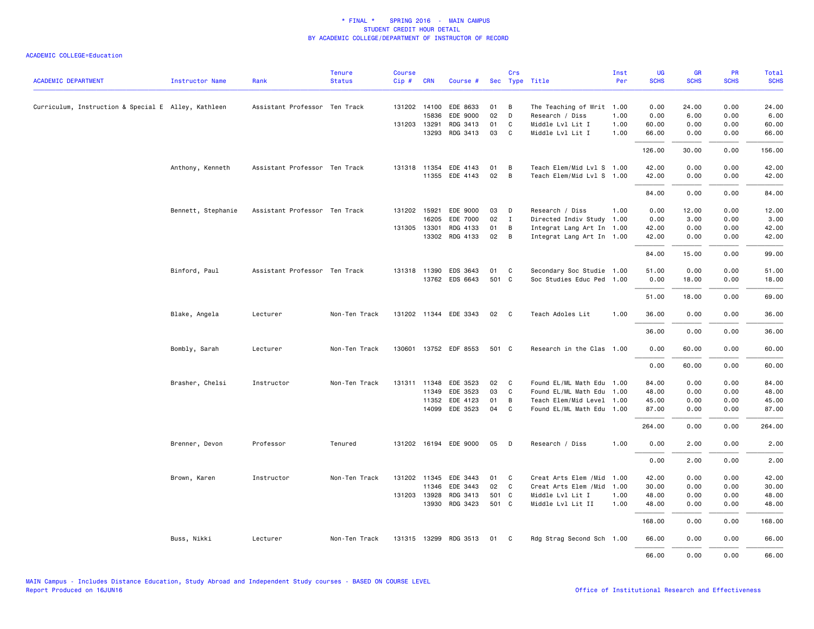|                                                     |                        |                               | <b>Tenure</b> | <b>Course</b> |              |                       |       | Crs            |                            | Inst | UG          | GR          | PR          | Total       |
|-----------------------------------------------------|------------------------|-------------------------------|---------------|---------------|--------------|-----------------------|-------|----------------|----------------------------|------|-------------|-------------|-------------|-------------|
| <b>ACADEMIC DEPARTMENT</b>                          | <b>Instructor Name</b> | Rank                          | <b>Status</b> | Cip#          | <b>CRN</b>   | Course #              |       |                | Sec Type Title             | Per  | <b>SCHS</b> | <b>SCHS</b> | <b>SCHS</b> | <b>SCHS</b> |
| Curriculum, Instruction & Special E Alley, Kathleen |                        | Assistant Professor Ten Track |               |               | 131202 14100 | EDE 8633              | 01    | B              | The Teaching of Writ 1.00  |      | 0.00        | 24.00       | 0.00        | 24.00       |
|                                                     |                        |                               |               |               | 15836        | EDE 9000              | 02    | D              | Research / Diss            | 1.00 | 0.00        | 6.00        | 0.00        | 6.00        |
|                                                     |                        |                               |               |               | 131203 13291 | RDG 3413              | 01    | C              | Middle Lvl Lit I           | 1.00 | 60.00       | 0.00        | 0.00        | 60.00       |
|                                                     |                        |                               |               |               | 13293        | RDG 3413              | 03    | C              | Middle Lvl Lit I           | 1.00 | 66.00       | 0.00        | 0.00        | 66.00       |
|                                                     |                        |                               |               |               |              |                       |       |                |                            |      | 126.00      | 30.00       | 0.00        | 156.00      |
|                                                     | Anthony, Kenneth       | Assistant Professor Ten Track |               |               | 131318 11354 | EDE 4143              | 01    | B              | Teach Elem/Mid Lvl S 1.00  |      | 42.00       | 0.00        | 0.00        | 42.00       |
|                                                     |                        |                               |               |               | 11355        | EDE 4143              | 02    | B              | Teach Elem/Mid Lvl S 1.00  |      | 42.00       | 0.00        | 0.00        | 42.00       |
|                                                     |                        |                               |               |               |              |                       |       |                |                            |      | 84.00       | 0.00        | 0.00        | 84.00       |
|                                                     | Bennett, Stephanie     | Assistant Professor Ten Track |               |               | 131202 15921 | EDE 9000              | 03    | D              | Research / Diss            | 1.00 | 0.00        | 12.00       | 0.00        | 12.00       |
|                                                     |                        |                               |               |               | 16205        | EDE 7000              | 02    | $\mathbf{I}$   | Directed Indiv Study 1.00  |      | 0.00        | 3.00        | 0.00        | 3.00        |
|                                                     |                        |                               |               |               | 131305 13301 | RDG 4133              | 01    | B              | Integrat Lang Art In 1.00  |      | 42.00       | 0.00        | 0.00        | 42.00       |
|                                                     |                        |                               |               |               | 13302        | RDG 4133              | 02    | $\overline{B}$ | Integrat Lang Art In 1.00  |      | 42.00       | 0.00        | 0.00        | 42.00       |
|                                                     |                        |                               |               |               |              |                       |       |                |                            |      | 84.00       | 15.00       | 0.00        | 99.00       |
|                                                     | Binford, Paul          | Assistant Professor Ten Track |               |               | 131318 11390 | EDS 3643              | 01    | C              | Secondary Soc Studie 1.00  |      | 51.00       | 0.00        | 0.00        | 51.00       |
|                                                     |                        |                               |               |               |              | 13762 EDS 6643        | 501 C |                | Soc Studies Educ Ped 1.00  |      | 0.00        | 18.00       | 0.00        | 18.00       |
|                                                     |                        |                               |               |               |              |                       |       |                |                            |      | 51.00       | 18.00       | 0.00        | 69.00       |
|                                                     |                        |                               |               |               |              |                       |       |                |                            |      |             |             |             |             |
|                                                     | Blake, Angela          | Lecturer                      | Non-Ten Track |               |              | 131202 11344 EDE 3343 | 02    | $\mathbf{C}$   | Teach Adoles Lit           | 1.00 | 36.00       | 0.00        | 0.00        | 36.00       |
|                                                     |                        |                               |               |               |              |                       |       |                |                            |      | 36.00       | 0.00        | 0.00        | 36.00       |
|                                                     | Bombly, Sarah          | Lecturer                      | Non-Ten Track |               |              | 130601 13752 EDF 8553 | 501 C |                | Research in the Clas 1.00  |      | 0.00        | 60.00       | 0.00        | 60.00       |
|                                                     |                        |                               |               |               |              |                       |       |                |                            |      | 0.00        | 60.00       | 0.00        | 60.00       |
|                                                     | Brasher, Chelsi        | Instructor                    | Non-Ten Track |               | 131311 11348 | EDE 3523              | 02    | C              | Found EL/ML Math Edu 1.00  |      | 84.00       | 0.00        | 0.00        | 84.00       |
|                                                     |                        |                               |               |               | 11349        | EDE 3523              | 03    | C              | Found EL/ML Math Edu 1.00  |      | 48.00       | 0.00        | 0.00        | 48.00       |
|                                                     |                        |                               |               |               | 11352        | EDE 4123              | 01    | B              | Teach Elem/Mid Level 1.00  |      | 45.00       | 0.00        | 0.00        | 45.00       |
|                                                     |                        |                               |               |               | 14099        | EDE 3523              | 04    | C              | Found EL/ML Math Edu 1.00  |      | 87.00       | 0.00        | 0.00        | 87.00       |
|                                                     |                        |                               |               |               |              |                       |       |                |                            |      | 264.00      | 0.00        | 0.00        | 264.00      |
|                                                     | Brenner, Devon         | Professor                     | Tenured       |               |              | 131202 16194 EDE 9000 | 05    | D              | Research / Diss            | 1.00 | 0.00        | 2.00        | 0.00        | 2.00        |
|                                                     |                        |                               |               |               |              |                       |       |                |                            |      | 0.00        | 2.00        | 0.00        | 2.00        |
|                                                     | Brown, Karen           | Instructor                    | Non-Ten Track |               | 131202 11345 | EDE 3443              | 01    | C              | Creat Arts Elem /Mid       | 1.00 | 42.00       | 0.00        | 0.00        | 42.00       |
|                                                     |                        |                               |               |               | 11346        | EDE 3443              | 02    | $\mathbf{C}$   | Creat Arts Elem / Mid 1.00 |      | 30.00       | 0.00        | 0.00        | 30.00       |
|                                                     |                        |                               |               |               | 131203 13928 | RDG 3413              | 501 C |                | Middle Lvl Lit I           | 1.00 | 48.00       | 0.00        | 0.00        | 48.00       |
|                                                     |                        |                               |               |               | 13930        | RDG 3423              | 501 C |                | Middle Lvl Lit II          | 1.00 | 48.00       | 0.00        | 0.00        | 48.00       |
|                                                     |                        |                               |               |               |              |                       |       |                |                            |      | 168.00      | 0.00        | 0.00        | 168.00      |
|                                                     | Buss, Nikki            | Lecturer                      | Non-Ten Track |               |              | 131315 13299 RDG 3513 | 01    | C <sub>c</sub> | Rdg Strag Second Sch 1.00  |      | 66.00       | 0.00        | 0.00        | 66.00       |
|                                                     |                        |                               |               |               |              |                       |       |                |                            |      | 66.00       | 0.00        | 0.00        | 66.00       |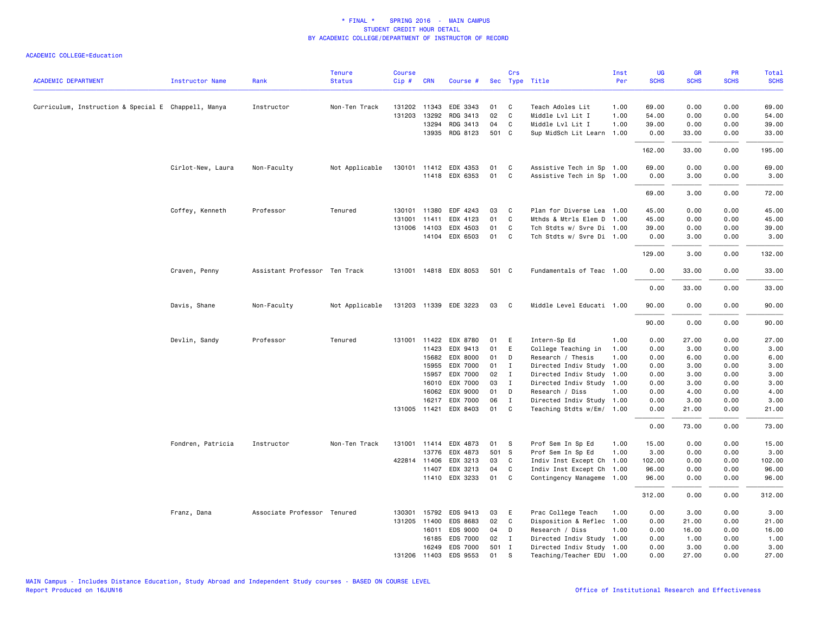|                                                     |                        |                               | <b>Tenure</b>  | <b>Course</b> |                       |                             |             | Crs               |                                                        | Inst | UG             | <b>GR</b>     | <b>PR</b>    | <b>Total</b>   |
|-----------------------------------------------------|------------------------|-------------------------------|----------------|---------------|-----------------------|-----------------------------|-------------|-------------------|--------------------------------------------------------|------|----------------|---------------|--------------|----------------|
| <b>ACADEMIC DEPARTMENT</b>                          | <b>Instructor Name</b> | Rank                          | <b>Status</b>  | Cip#          | <b>CRN</b>            | Course #                    |             |                   | Sec Type Title                                         | Per  | <b>SCHS</b>    | <b>SCHS</b>   | <b>SCHS</b>  | <b>SCHS</b>    |
| Curriculum, Instruction & Special E Chappell, Manya |                        | Instructor                    | Non-Ten Track  |               | 131202 11343          | EDE 3343                    | 01          | C                 | Teach Adoles Lit                                       | 1.00 | 69.00          | 0.00          | 0.00         | 69.00          |
|                                                     |                        |                               |                | 131203        | 13292                 | RDG 3413                    | 02          | C                 | Middle Lvl Lit I                                       | 1.00 | 54.00          | 0.00          | 0.00         | 54.00          |
|                                                     |                        |                               |                |               | 13294                 | RDG 3413                    | 04          | C                 | Middle Lvl Lit I                                       | 1.00 | 39.00          | 0.00          | 0.00         | 39.00          |
|                                                     |                        |                               |                |               | 13935                 | RDG 8123                    | 501 C       |                   | Sup MidSch Lit Learn 1.00                              |      | 0.00           | 33.00         | 0.00         | 33.00          |
|                                                     |                        |                               |                |               |                       |                             |             |                   |                                                        |      | 162.00         | 33.00         | 0.00         | 195.00         |
|                                                     | Cirlot-New, Laura      | Non-Faculty                   | Not Applicable |               |                       | 130101 11412 EDX 4353       | 01          | C                 | Assistive Tech in Sp 1.00                              |      | 69.00          | 0.00          | 0.00         | 69.00          |
|                                                     |                        |                               |                |               |                       | 11418 EDX 6353              | 01          | C                 | Assistive Tech in Sp 1.00                              |      | 0.00           | 3.00          | 0.00         | 3.00           |
|                                                     |                        |                               |                |               |                       |                             |             |                   |                                                        |      | 69.00          | 3.00          | 0.00         | 72.00          |
|                                                     | Coffey, Kenneth        | Professor                     | Tenured        | 130101        | 11380                 | EDF 4243                    | 03          | C                 | Plan for Diverse Lea 1.00                              |      | 45.00          | 0.00          | 0.00         | 45.00          |
|                                                     |                        |                               |                | 131001        | 11411                 | EDX 4123                    | 01          | C                 | Mthds & Mtrls Elem D                                   | 1.00 | 45.00          | 0.00          | 0.00         | 45.00          |
|                                                     |                        |                               |                |               | 131006 14103          | EDX 4503                    | 01          | C                 | Tch Stdts w/ Svre Di 1.00                              |      | 39.00          | 0.00          | 0.00         | 39.00          |
|                                                     |                        |                               |                |               | 14104                 | EDX 6503                    | 01          | C                 | Tch Stdts w/ Svre Di 1.00                              |      | 0.00           | 3.00          | 0.00         | 3.00           |
|                                                     |                        |                               |                |               |                       |                             |             |                   |                                                        |      | 129.00         | 3.00          | 0.00         | 132.00         |
|                                                     | Craven, Penny          | Assistant Professor Ten Track |                |               |                       | 131001 14818 EDX 8053       | 501 C       |                   | Fundamentals of Teac 1.00                              |      | 0.00           | 33.00         | 0.00         | 33.00          |
|                                                     |                        |                               |                |               |                       |                             |             |                   |                                                        |      | 0.00           | 33.00         | 0.00         | 33.00          |
|                                                     | Davis, Shane           | Non-Faculty                   | Not Applicable |               |                       | 131203 11339 EDE 3223       | 03          | <b>C</b>          | Middle Level Educati 1.00                              |      | 90.00          | 0.00          | 0.00         | 90.00          |
|                                                     |                        |                               |                |               |                       |                             |             |                   |                                                        |      | 90.00          | 0.00          | 0.00         | 90.00          |
|                                                     | Devlin, Sandy          | Professor                     | Tenured        |               |                       | 131001 11422 EDX 8780       | 01          | E                 | Intern-Sp Ed                                           | 1.00 | 0.00           | 27.00         | 0.00         | 27.00          |
|                                                     |                        |                               |                |               | 11423                 | EDX 9413                    | 01          | E                 | College Teaching in                                    | 1.00 | 0.00           | 3.00          | 0.00         | 3.00           |
|                                                     |                        |                               |                |               | 15682                 | EDX 8000                    | 01          | D                 | Research / Thesis                                      | 1.00 | 0.00           | 6.00          | 0.00         | 6.00           |
|                                                     |                        |                               |                |               | 15955                 | EDX 7000                    | 01          | $\mathbf I$       | Directed Indiv Study 1.00                              |      | 0.00           | 3.00          | 0.00         | 3.00           |
|                                                     |                        |                               |                |               | 15957                 | EDX 7000                    | 02          | $\mathbf{I}$      | Directed Indiv Study 1.00                              |      | 0.00           | 3.00          | 0.00         | 3.00           |
|                                                     |                        |                               |                |               | 16010                 | EDX 7000                    | 03          | I                 | Directed Indiv Study 1.00                              |      | 0.00           | 3.00          | 0.00         | 3.00           |
|                                                     |                        |                               |                |               | 16062                 | EDX 9000                    | 01          | D                 | Research / Diss                                        | 1.00 | 0.00           | 4.00          | 0.00         | 4.00           |
|                                                     |                        |                               |                |               | 16217<br>131005 11421 | EDX 7000<br>EDX 8403        | 06<br>01    | $\mathbf{I}$<br>C | Directed Indiv Study 1.00<br>Teaching Stdts w/Em/ 1.00 |      | 0.00<br>0.00   | 3.00<br>21.00 | 0.00<br>0.00 | 3.00<br>21.00  |
|                                                     |                        |                               |                |               |                       |                             |             |                   |                                                        |      | 0.00           | 73.00         | 0.00         | 73.00          |
|                                                     |                        |                               |                |               |                       |                             |             |                   |                                                        |      |                |               |              |                |
|                                                     | Fondren, Patricia      | Instructor                    | Non-Ten Track  |               |                       | 131001 11414 EDX 4873       | 01          | -S                | Prof Sem In Sp Ed                                      | 1.00 | 15.00          | 0.00          | 0.00         | 15.00          |
|                                                     |                        |                               |                |               | 13776                 | EDX 4873                    | 501 S       |                   | Prof Sem In Sp Ed                                      | 1.00 | 3.00           | 0.00          | 0.00         | 3.00           |
|                                                     |                        |                               |                |               | 422814 11406          | EDX 3213                    | 03          | C                 | Indiv Inst Except Ch                                   | 1.00 | 102.00         | 0.00          | 0.00         | 102.00         |
|                                                     |                        |                               |                |               | 11407                 | EDX 3213<br>11410 EDX 3233  | 04<br>01    | C<br>C            | Indiv Inst Except Ch 1.00<br>Contingency Manageme 1.00 |      | 96.00<br>96.00 | 0.00<br>0.00  | 0.00<br>0.00 | 96.00<br>96.00 |
|                                                     |                        |                               |                |               |                       |                             |             |                   |                                                        |      |                |               |              |                |
|                                                     |                        |                               |                |               |                       |                             |             |                   |                                                        |      | 312.00         | 0.00          | 0.00         | 312.00         |
|                                                     | Franz, Dana            | Associate Professor Tenured   |                | 130301        | 15792                 | EDS 9413                    | 03          | E                 | Prac College Teach                                     | 1.00 | 0.00           | 3.00          | 0.00         | 3.00           |
|                                                     |                        |                               |                |               | 131205 11400          | EDS 8683                    | 02          | C                 | Disposition & Reflec 1.00                              |      | 0.00           | 21.00         | 0.00         | 21.00          |
|                                                     |                        |                               |                |               | 16011                 | EDS 9000                    | 04          | D                 | Research / Diss                                        | 1.00 | 0.00           | 16.00         | 0.00         | 16.00          |
|                                                     |                        |                               |                |               | 16185                 | EDS 7000                    | 02<br>501 I | $\mathbf{I}$      | Directed Indiv Study 1.00                              |      | 0.00           | 1.00          | 0.00<br>0.00 | 1.00           |
|                                                     |                        |                               |                |               | 16249                 | <b>EDS 7000</b><br>EDS 9553 | 01          | s                 | Directed Indiv Study 1.00<br>Teaching/Teacher EDU 1.00 |      | 0.00<br>0.00   | 3.00<br>27.00 | 0.00         | 3.00<br>27.00  |
|                                                     |                        |                               |                |               | 131206 11403          |                             |             |                   |                                                        |      |                |               |              |                |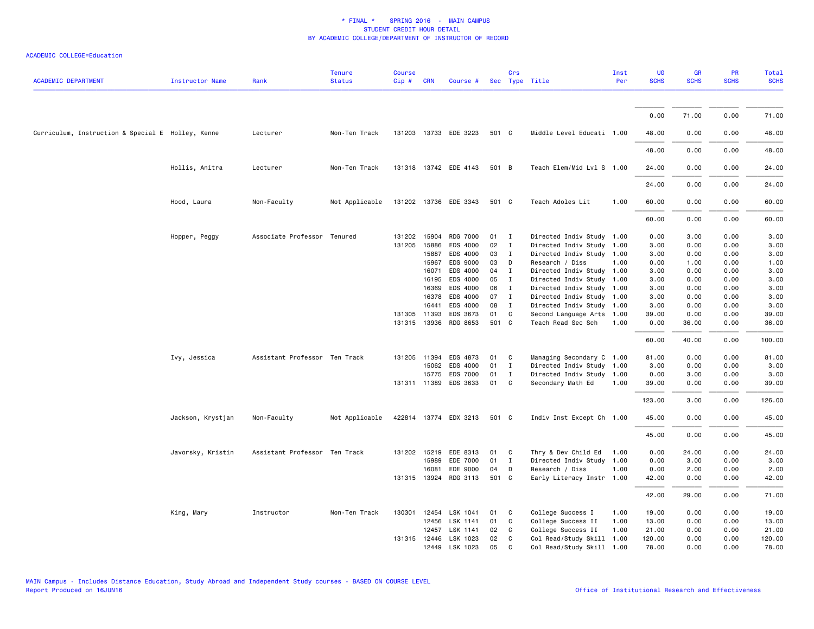| <b>ACADEMIC DEPARTMENT</b>                        | <b>Instructor Name</b> | Rank                          | <b>Tenure</b><br><b>Status</b> | <b>Course</b><br>Cip# | <b>CRN</b>   | Course #              |       | Crs          | Sec Type Title            | Inst<br>Per | UG<br><b>SCHS</b> | <b>GR</b><br><b>SCHS</b> | PR<br><b>SCHS</b> | Total<br><b>SCHS</b> |
|---------------------------------------------------|------------------------|-------------------------------|--------------------------------|-----------------------|--------------|-----------------------|-------|--------------|---------------------------|-------------|-------------------|--------------------------|-------------------|----------------------|
|                                                   |                        |                               |                                |                       |              |                       |       |              |                           |             |                   |                          |                   |                      |
|                                                   |                        |                               |                                |                       |              |                       |       |              |                           |             | 0.00              | 71.00                    | 0.00              | 71.00                |
| Curriculum, Instruction & Special E Holley, Kenne |                        | Lecturer                      | Non-Ten Track                  |                       |              | 131203 13733 EDE 3223 | 501 C |              | Middle Level Educati 1.00 |             | 48.00             | 0.00                     | 0.00              | 48.00                |
|                                                   |                        |                               |                                |                       |              |                       |       |              |                           |             | 48.00             | 0.00                     | 0.00              | 48.00                |
|                                                   | Hollis, Anitra         | Lecturer                      | Non-Ten Track                  |                       |              | 131318 13742 EDE 4143 | 501 B |              | Teach Elem/Mid Lvl S 1.00 |             | 24.00             | 0.00                     | 0.00              | 24.00                |
|                                                   |                        |                               |                                |                       |              |                       |       |              |                           |             | 24.00             | 0.00                     | 0.00              | 24.00                |
|                                                   | Hood, Laura            | Non-Faculty                   | Not Applicable                 |                       |              | 131202 13736 EDE 3343 | 501 C |              | Teach Adoles Lit          | 1.00        | 60.00             | 0.00                     | 0.00              | 60.00                |
|                                                   |                        |                               |                                |                       |              |                       |       |              |                           |             | 60.00             | 0.00                     | 0.00              | 60.00                |
|                                                   | Hopper, Peggy          | Associate Professor Tenured   |                                |                       | 131202 15904 | <b>RDG 7000</b>       | 01    | $\mathbf I$  | Directed Indiv Study 1.00 |             | 0.00              | 3.00                     | 0.00              | 3.00                 |
|                                                   |                        |                               |                                |                       | 131205 15886 | EDS 4000              | 02    | $\mathbf{I}$ | Directed Indiv Study 1.00 |             | 3.00              | 0.00                     | 0.00              | 3.00                 |
|                                                   |                        |                               |                                |                       | 15887        | EDS 4000              | 03    | $\mathbf{I}$ | Directed Indiv Study 1.00 |             | 3.00              | 0.00                     | 0.00              | 3.00                 |
|                                                   |                        |                               |                                |                       | 15967        | EDS 9000              | 03    | D            | Research / Diss           | 1.00        | 0.00              | 1.00                     | 0.00              | 1.00                 |
|                                                   |                        |                               |                                |                       | 16071        | EDS 4000              | 04    | $\mathbf{I}$ | Directed Indiv Study 1.00 |             | 3.00              | 0.00                     | 0.00              | 3.00                 |
|                                                   |                        |                               |                                |                       | 16195        | EDS 4000              | 05    | $\mathbf{I}$ | Directed Indiv Study 1.00 |             | 3.00              | 0.00                     | 0.00              | 3.00                 |
|                                                   |                        |                               |                                |                       | 16369        | EDS 4000              | 06    | $\mathbf{I}$ | Directed Indiv Study 1.00 |             | 3.00              | 0.00                     | 0.00              | 3.00                 |
|                                                   |                        |                               |                                |                       | 16378        | EDS 4000              | 07    | $\mathbf{I}$ | Directed Indiv Study 1.00 |             | 3.00              | 0.00                     | 0.00              | 3.00                 |
|                                                   |                        |                               |                                |                       | 16441        | EDS 4000              | 08    | $\mathbf{I}$ | Directed Indiv Study 1.00 |             | 3.00              | 0.00                     | 0.00              | 3.00                 |
|                                                   |                        |                               |                                |                       | 131305 11393 | EDS 3673              | 01    | $\mathsf{C}$ | Second Language Arts      | 1.00        | 39.00             | 0.00                     | 0.00              | 39.00                |
|                                                   |                        |                               |                                |                       | 131315 13936 | RDG 8653              | 501 C |              | Teach Read Sec Sch        | 1.00        | 0.00              | 36.00                    | 0.00              | 36.00                |
|                                                   |                        |                               |                                |                       |              |                       |       |              |                           |             | 60.00             | 40.00                    | 0.00              | 100.00               |
|                                                   | Ivy, Jessica           | Assistant Professor Ten Track |                                |                       | 131205 11394 | EDS 4873              | 01    | C            | Managing Secondary C 1.00 |             | 81.00             | 0.00                     | 0.00              | 81.00                |
|                                                   |                        |                               |                                |                       | 15062        | EDS 4000              | 01    | $\mathbf{I}$ | Directed Indiv Study 1.00 |             | 3.00              | 0.00                     | 0.00              | 3.00                 |
|                                                   |                        |                               |                                |                       | 15775        | <b>EDS 7000</b>       | 01    | $\mathbf{I}$ | Directed Indiv Study 1.00 |             | 0.00              | 3.00                     | 0.00              | 3.00                 |
|                                                   |                        |                               |                                |                       |              | 131311 11389 EDS 3633 | 01    | C            | Secondary Math Ed         | 1.00        | 39.00             | 0.00                     | 0.00              | 39.00                |
|                                                   |                        |                               |                                |                       |              |                       |       |              |                           |             | 123.00            | 3.00                     | 0.00              | 126.00               |
|                                                   | Jackson, Krystjan      | Non-Faculty                   | Not Applicable                 |                       |              | 422814 13774 EDX 3213 | 501 C |              | Indiv Inst Except Ch 1.00 |             | 45.00             | 0.00                     | 0.00              | 45.00                |
|                                                   |                        |                               |                                |                       |              |                       |       |              |                           |             | 45.00             | 0.00                     | 0.00              | 45.00                |
|                                                   | Javorsky, Kristin      | Assistant Professor Ten Track |                                |                       |              | 131202 15219 EDE 8313 | 01    | C            | Thry & Dev Child Ed       | 1.00        | 0.00              | 24.00                    | 0.00              | 24.00                |
|                                                   |                        |                               |                                |                       | 15989        | EDE 7000              | 01    | $\mathbf{I}$ | Directed Indiv Study      | 1.00        | 0.00              | 3.00                     | 0.00              | 3.00                 |
|                                                   |                        |                               |                                |                       | 16081        | EDE 9000              | 04    | D            | Research / Diss           | 1.00        | 0.00              | 2.00                     | 0.00              | 2.00                 |
|                                                   |                        |                               |                                |                       | 131315 13924 | RDG 3113              | 501 C |              | Early Literacy Instr 1.00 |             | 42.00             | 0.00                     | 0.00              | 42.00                |
|                                                   |                        |                               |                                |                       |              |                       |       |              |                           |             | 42.00             | 29.00                    | 0.00              | 71.00                |
|                                                   | King, Mary             | Instructor                    | Non-Ten Track                  |                       |              | 130301 12454 LSK 1041 | 01    | C            | College Success I         | 1.00        | 19.00             | 0.00                     | 0.00              | 19.00                |
|                                                   |                        |                               |                                |                       | 12456        | LSK 1141              | 01    | C            | College Success II        | 1.00        | 13.00             | 0.00                     | 0.00              | 13.00                |
|                                                   |                        |                               |                                |                       | 12457        | LSK 1141              | 02    | C            | College Success II        | 1.00        | 21.00             | 0.00                     | 0.00              | 21.00                |
|                                                   |                        |                               |                                |                       |              | 131315 12446 LSK 1023 | 02    | C            | Col Read/Study Skill      | 1.00        | 120.00            | 0.00                     | 0.00              | 120.00               |
|                                                   |                        |                               |                                |                       |              | 12449 LSK 1023        | 05    | C            | Col Read/Study Skill 1.00 |             | 78.00             | 0.00                     | 0.00              | 78.00                |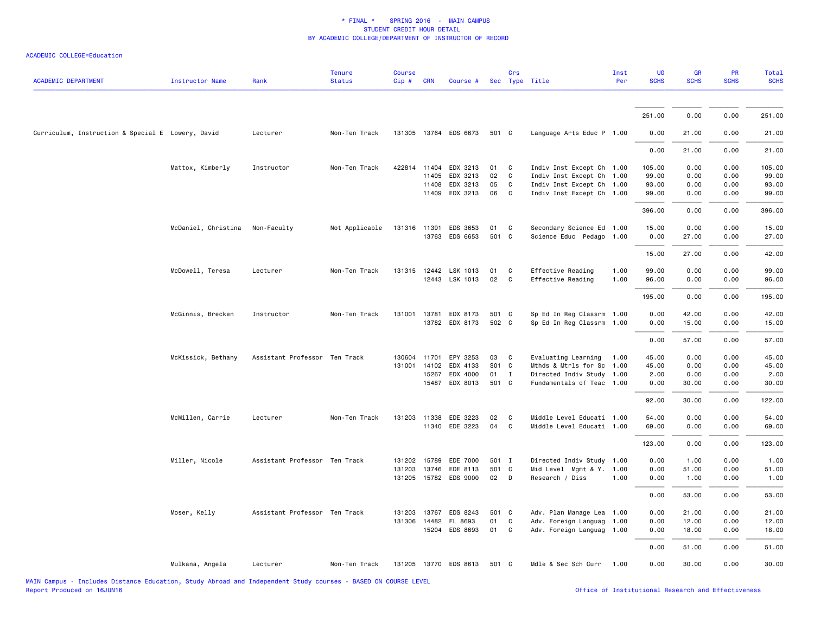| <b>ACADEMIC DEPARTMENT</b>                        | <b>Instructor Name</b>          | Rank                          | <b>Tenure</b><br><b>Status</b> | <b>Course</b><br>Cip# | <b>CRN</b>   | Course #              |          | Crs               | Sec Type Title            | Inst<br>Per | UG<br><b>SCHS</b> | GR<br><b>SCHS</b> | PR<br><b>SCHS</b> | <b>Total</b><br><b>SCHS</b> |
|---------------------------------------------------|---------------------------------|-------------------------------|--------------------------------|-----------------------|--------------|-----------------------|----------|-------------------|---------------------------|-------------|-------------------|-------------------|-------------------|-----------------------------|
|                                                   |                                 |                               |                                |                       |              |                       |          |                   |                           |             |                   |                   |                   |                             |
|                                                   |                                 |                               |                                |                       |              |                       |          |                   |                           |             | 251.00            | 0.00              | 0.00              | 251.00                      |
| Curriculum, Instruction & Special E Lowery, David |                                 | Lecturer                      | Non-Ten Track                  |                       |              | 131305 13764 EDS 6673 | 501 C    |                   | Language Arts Educ P 1.00 |             | 0.00              | 21.00             | 0.00              | 21.00                       |
|                                                   |                                 |                               |                                |                       |              |                       |          |                   |                           |             | 0.00              | 21.00             | 0.00              | 21.00                       |
|                                                   | Mattox, Kimberly                | Instructor                    | Non-Ten Track                  | 422814                | 11404        | EDX 3213              | 01       | C                 | Indiv Inst Except Ch 1.00 |             | 105.00            | 0.00              | 0.00              | 105.00                      |
|                                                   |                                 |                               |                                |                       | 11405        | EDX 3213              | 02       | C                 | Indiv Inst Except Ch 1.00 |             | 99.00             | 0.00              | 0.00              | 99.00                       |
|                                                   |                                 |                               |                                |                       | 11408        | EDX 3213              | 05<br>06 | $\mathsf{C}$<br>C | Indiv Inst Except Ch 1.00 |             | 93.00             | 0.00              | 0.00<br>0.00      | 93.00                       |
|                                                   |                                 |                               |                                |                       |              | 11409 EDX 3213        |          |                   | Indiv Inst Except Ch 1.00 |             | 99.00             | 0.00              |                   | 99.00                       |
|                                                   |                                 |                               |                                |                       |              |                       |          |                   |                           |             | 396.00            | 0.00              | 0.00              | 396.00                      |
|                                                   | McDaniel, Christina Non-Faculty |                               | Not Applicable                 | 131316 11391          |              | EDS 3653              | 01       | C                 | Secondary Science Ed 1.00 |             | 15.00             | 0.00              | 0.00              | 15.00                       |
|                                                   |                                 |                               |                                |                       |              | 13763 EDS 6653        | 501      | C                 | Science Educ Pedago 1.00  |             | 0.00              | 27.00             | 0.00              | 27.00                       |
|                                                   |                                 |                               |                                |                       |              |                       |          |                   |                           |             | 15.00             | 27.00             | 0.00              | 42.00                       |
|                                                   | McDowell, Teresa                | Lecturer                      | Non-Ten Track                  |                       |              | 131315 12442 LSK 1013 | 01       | C                 | Effective Reading         | 1.00        | 99.00             | 0.00              | 0.00              | 99.00                       |
|                                                   |                                 |                               |                                |                       |              | 12443 LSK 1013        | 02       | $\mathbf{C}$      | Effective Reading         | 1.00        | 96.00             | 0.00              | 0.00              | 96.00                       |
|                                                   |                                 |                               |                                |                       |              |                       |          |                   |                           |             | 195.00            | 0.00              | 0.00              | 195.00                      |
|                                                   | McGinnis, Brecken               | Instructor                    | Non-Ten Track                  |                       | 131001 13781 | EDX 8173              | 501 C    |                   | Sp Ed In Reg Classrm 1.00 |             | 0.00              | 42.00             | 0.00              | 42.00                       |
|                                                   |                                 |                               |                                |                       |              | 13782 EDX 8173        | 502 C    |                   | Sp Ed In Reg Classrm 1.00 |             | 0.00              | 15.00             | 0.00              | 15.00                       |
|                                                   |                                 |                               |                                |                       |              |                       |          |                   |                           |             | 0.00              | 57.00             | 0.00              | 57.00                       |
|                                                   | McKissick, Bethany              | Assistant Professor Ten Track |                                | 130604                | 11701        | EPY 3253              | 03       | C                 | Evaluating Learning       | 1.00        | 45.00             | 0.00              | 0.00              | 45.00                       |
|                                                   |                                 |                               |                                |                       | 131001 14102 | EDX 4133              | S01 C    |                   | Mthds & Mtrls for Sc      | 1.00        | 45.00             | 0.00              | 0.00              | 45.00                       |
|                                                   |                                 |                               |                                |                       | 15267        | EDX 4000              | 01       | $\mathbf{I}$      | Directed Indiv Study 1.00 |             | 2.00              | 0.00              | 0.00              | 2.00                        |
|                                                   |                                 |                               |                                |                       |              | 15487 EDX 8013        | 501 C    |                   | Fundamentals of Teac 1.00 |             | 0.00              | 30.00             | 0.00              | 30.00                       |
|                                                   |                                 |                               |                                |                       |              |                       |          |                   |                           |             | 92.00             | 30.00             | 0.00              | 122.00                      |
|                                                   | McMillen, Carrie                | Lecturer                      | Non-Ten Track                  |                       |              | 131203 11338 EDE 3223 | 02       | C                 | Middle Level Educati 1.00 |             | 54.00             | 0.00              | 0.00              | 54.00                       |
|                                                   |                                 |                               |                                |                       |              | 11340 EDE 3223        | 04       | C                 | Middle Level Educati 1.00 |             | 69.00             | 0.00              | 0.00              | 69.00                       |
|                                                   |                                 |                               |                                |                       |              |                       |          |                   |                           |             | 123.00            | 0.00              | 0.00              | 123.00                      |
|                                                   | Miller, Nicole                  | Assistant Professor Ten Track |                                |                       | 131202 15789 | EDE 7000              | 501 I    |                   | Directed Indiv Study 1.00 |             | 0.00              | 1.00              | 0.00              | 1.00                        |
|                                                   |                                 |                               |                                |                       | 131203 13746 | EDE 8113              | 501 C    |                   | Mid Level Mgmt & Y. 1.00  |             | 0.00              | 51.00             | 0.00              | 51.00                       |
|                                                   |                                 |                               |                                |                       |              | 131205 15782 EDS 9000 | 02       | D                 | Research / Diss           | 1.00        | 0.00              | 1.00              | 0.00              | 1.00                        |
|                                                   |                                 |                               |                                |                       |              |                       |          |                   |                           |             | 0.00              | 53.00             | 0.00              | 53.00                       |
|                                                   | Moser, Kelly                    | Assistant Professor Ten Track |                                |                       | 131203 13767 | EDS 8243              | 501 C    |                   | Adv. Plan Manage Lea 1.00 |             | 0.00              | 21.00             | 0.00              | 21.00                       |
|                                                   |                                 |                               |                                |                       | 131306 14482 | FL 8693               | 01       | $\mathtt{C}$      | Adv. Foreign Languag 1.00 |             | 0.00              | 12.00             | 0.00              | 12.00                       |
|                                                   |                                 |                               |                                |                       | 15204        | EDS 8693              | 01       | C                 | Adv. Foreign Languag 1.00 |             | 0.00              | 18.00             | 0.00              | 18.00                       |
|                                                   |                                 |                               |                                |                       |              |                       |          |                   |                           |             | 0.00              | 51.00             | 0.00              | 51.00                       |
|                                                   | Mulkana, Angela                 | Lecturer                      | Non-Ten Track                  |                       |              | 131205 13770 EDS 8613 | 501 C    |                   | Mdle & Sec Sch Curr       | 1.00        | 0.00              | 30.00             | 0.00              | 30.00                       |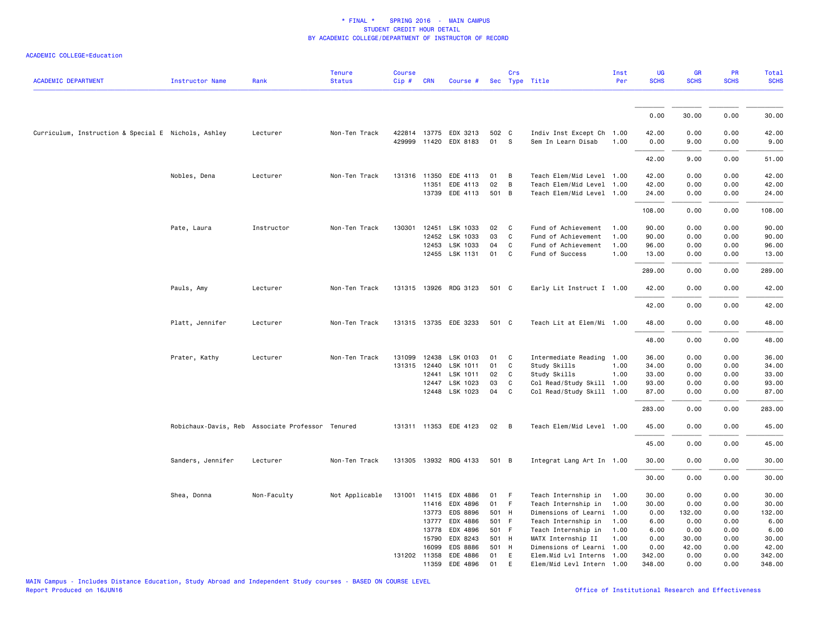|                                                     |                                                  |             | <b>Tenure</b>  | <b>Course</b> |              |                       |       | Crs          |                           | Inst | <b>UG</b>   | <b>GR</b>   | PR          | Total       |
|-----------------------------------------------------|--------------------------------------------------|-------------|----------------|---------------|--------------|-----------------------|-------|--------------|---------------------------|------|-------------|-------------|-------------|-------------|
| <b>ACADEMIC DEPARTMENT</b>                          | Instructor Name                                  | Rank        | <b>Status</b>  | Cip#          | <b>CRN</b>   | Course #              |       |              | Sec Type Title            | Per  | <b>SCHS</b> | <b>SCHS</b> | <b>SCHS</b> | <b>SCHS</b> |
|                                                     |                                                  |             |                |               |              |                       |       |              |                           |      |             |             |             |             |
|                                                     |                                                  |             |                |               |              |                       |       |              |                           |      | 0.00        | 30.00       | 0.00        | 30.00       |
| Curriculum, Instruction & Special E Nichols, Ashley |                                                  | Lecturer    | Non-Ten Track  |               |              | 422814 13775 EDX 3213 | 502 C |              | Indiv Inst Except Ch 1.00 |      | 42.00       | 0.00        | 0.00        | 42.00       |
|                                                     |                                                  |             |                |               |              | 429999 11420 EDX 8183 | 01    | $\mathbf{s}$ | Sem In Learn Disab        | 1.00 | 0.00        | 9.00        | 0.00        | 9.00        |
|                                                     |                                                  |             |                |               |              |                       |       |              |                           |      | 42.00       | 9.00        | 0.00        | 51.00       |
|                                                     | Nobles, Dena                                     | Lecturer    | Non-Ten Track  |               | 131316 11350 | EDE 4113              | 01    | B            | Teach Elem/Mid Level 1.00 |      | 42.00       | 0.00        | 0.00        | 42.00       |
|                                                     |                                                  |             |                |               | 11351        | EDE 4113              | 02    | B            | Teach Elem/Mid Level 1.00 |      | 42.00       | 0.00        | 0.00        | 42.00       |
|                                                     |                                                  |             |                |               |              | 13739 EDE 4113        | 501 B |              | Teach Elem/Mid Level 1.00 |      | 24.00       | 0.00        | 0.00        | 24.00       |
|                                                     |                                                  |             |                |               |              |                       |       |              |                           |      | 108.00      | 0.00        | 0.00        | 108.00      |
|                                                     | Pate, Laura                                      | Instructor  | Non-Ten Track  | 130301        | 12451        | LSK 1033              | 02    | C.           | Fund of Achievement       | 1.00 | 90.00       | 0.00        | 0.00        | 90.00       |
|                                                     |                                                  |             |                |               | 12452        | LSK 1033              | 03    | C            | Fund of Achievement       | 1.00 | 90.00       | 0.00        | 0.00        | 90.00       |
|                                                     |                                                  |             |                |               | 12453        | LSK 1033              | 04    | C            | Fund of Achievement       | 1.00 | 96.00       | 0.00        | 0.00        | 96.00       |
|                                                     |                                                  |             |                |               |              | 12455 LSK 1131        | 01    | $\mathbf{C}$ | Fund of Success           | 1.00 | 13.00       | 0.00        | 0.00        | 13.00       |
|                                                     |                                                  |             |                |               |              |                       |       |              |                           |      | 289.00      | 0.00        | 0.00        | 289.00      |
|                                                     | Pauls, Amy                                       | Lecturer    | Non-Ten Track  |               |              | 131315 13926 RDG 3123 | 501 C |              | Early Lit Instruct I 1.00 |      | 42.00       | 0.00        | 0.00        | 42.00       |
|                                                     |                                                  |             |                |               |              |                       |       |              |                           |      | 42.00       | 0.00        | 0.00        | 42.00       |
|                                                     | Platt, Jennifer                                  | Lecturer    | Non-Ten Track  |               |              | 131315 13735 EDE 3233 | 501 C |              | Teach Lit at Elem/Mi 1.00 |      | 48.00       | 0.00        | 0.00        | 48.00       |
|                                                     |                                                  |             |                |               |              |                       |       |              |                           |      | 48.00       | 0.00        | 0.00        | 48.00       |
|                                                     | Prater, Kathy                                    | Lecturer    | Non-Ten Track  | 131099        | 12438        | LSK 0103              | 01    | C            | Intermediate Reading 1.00 |      | 36.00       | 0.00        | 0.00        | 36.00       |
|                                                     |                                                  |             |                | 131315        | 12440        | LSK 1011              | 01    | C            | Study Skills              | 1.00 | 34.00       | 0.00        | 0.00        | 34.00       |
|                                                     |                                                  |             |                |               | 12441        | LSK 1011              | 02    | C            | Study Skills              | 1.00 | 33.00       | 0.00        | 0.00        | 33.00       |
|                                                     |                                                  |             |                |               | 12447        | LSK 1023              | 03    | C            | Col Read/Study Skill 1.00 |      | 93.00       | 0.00        | 0.00        | 93.00       |
|                                                     |                                                  |             |                |               |              | 12448 LSK 1023        | 04    | C            | Col Read/Study Skill 1.00 |      | 87.00       | 0.00        | 0.00        | 87.00       |
|                                                     |                                                  |             |                |               |              |                       |       |              |                           |      | 283.00      | 0.00        | 0.00        | 283.00      |
|                                                     | Robichaux-Davis, Reb Associate Professor Tenured |             |                |               |              | 131311 11353 EDE 4123 | 02    | B            | Teach Elem/Mid Level 1.00 |      | 45.00       | 0.00        | 0.00        | 45.00       |
|                                                     |                                                  |             |                |               |              |                       |       |              |                           |      | 45.00       | 0.00        | 0.00        | 45.00       |
|                                                     | Sanders, Jennifer                                | Lecturer    | Non-Ten Track  | 131305        |              | 13932 RDG 4133        | 501 B |              | Integrat Lang Art In 1.00 |      | 30.00       | 0.00        | 0.00        | 30.00       |
|                                                     |                                                  |             |                |               |              |                       |       |              |                           |      | 30.00       | 0.00        | 0.00        | 30.00       |
|                                                     | Shea, Donna                                      | Non-Faculty | Not Applicable | 131001 11415  |              | EDX 4886              | 01    | - F          | Teach Internship in       | 1.00 | 30.00       | 0.00        | 0.00        | 30.00       |
|                                                     |                                                  |             |                |               | 11416        | EDX 4896              | 01    | - F          | Teach Internship in       | 1.00 | 30.00       | 0.00        | 0.00        | 30.00       |
|                                                     |                                                  |             |                |               | 13773        | EDS 8896              | 501 H |              | Dimensions of Learni      | 1.00 | 0.00        | 132.00      | 0.00        | 132.00      |
|                                                     |                                                  |             |                |               | 13777        | EDX 4886              | 501 F |              | Teach Internship in       | 1.00 | 6.00        | 0.00        | 0.00        | 6.00        |
|                                                     |                                                  |             |                |               | 13778        | EDX 4896              | 501 F |              | Teach Internship in       | 1.00 | 6.00        | 0.00        | 0.00        | 6.00        |
|                                                     |                                                  |             |                |               | 15790        | EDX 8243              | 501 H |              | MATX Internship II        | 1.00 | 0.00        | 30.00       | 0.00        | 30.00       |
|                                                     |                                                  |             |                |               | 16099        | <b>EDS 8886</b>       | 501 H |              | Dimensions of Learni 1.00 |      | 0.00        | 42.00       | 0.00        | 42.00       |
|                                                     |                                                  |             |                |               | 131202 11358 | EDE 4886              | 01    | E            | Elem.Mid Lvl Interns 1.00 |      | 342.00      | 0.00        | 0.00        | 342.00      |
|                                                     |                                                  |             |                |               | 11359        | EDE 4896              | 01    | E            | Elem/Mid Levl Intern 1.00 |      | 348.00      | 0.00        | 0.00        | 348.00      |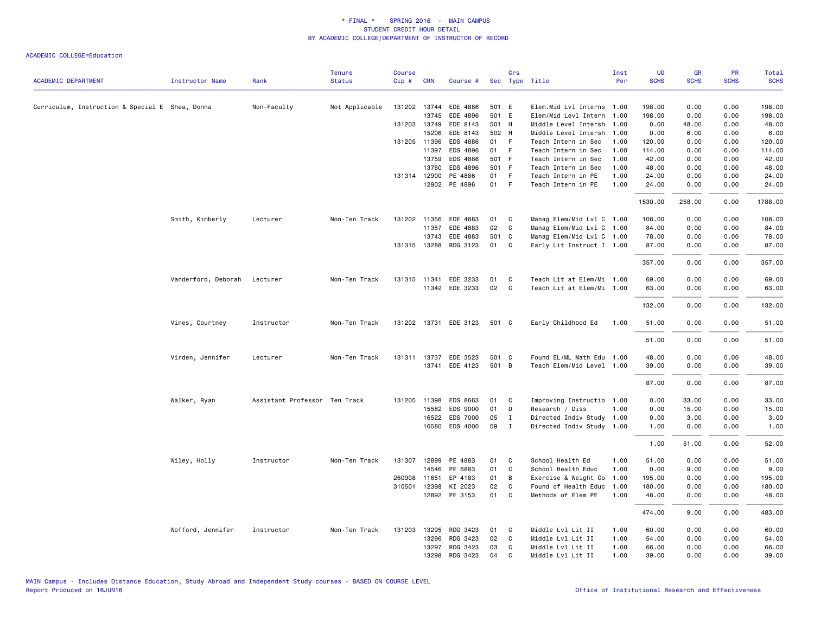|                                                 |                        |                               | <b>Tenure</b>  | <b>Course</b> |              |                       |       | Crs         |                           | Inst | UG          | <b>GR</b>   | <b>PR</b>   | <b>Total</b> |
|-------------------------------------------------|------------------------|-------------------------------|----------------|---------------|--------------|-----------------------|-------|-------------|---------------------------|------|-------------|-------------|-------------|--------------|
| <b>ACADEMIC DEPARTMENT</b>                      | <b>Instructor Name</b> | Rank                          | <b>Status</b>  | Cip#          | <b>CRN</b>   | Course #              |       |             | Sec Type Title            | Per  | <b>SCHS</b> | <b>SCHS</b> | <b>SCHS</b> | <b>SCHS</b>  |
| Curriculum, Instruction & Special E Shea, Donna |                        | Non-Faculty                   | Not Applicable |               |              | 131202 13744 EDE 4886 | 501 E |             | Elem.Mid Lvl Interns 1.00 |      | 198.00      | 0.00        | 0.00        | 198.00       |
|                                                 |                        |                               |                |               | 13745        | EDE 4896              | 501 E |             | Elem/Mid Levl Intern      | 1.00 | 198.00      | 0.00        | 0.00        | 198.00       |
|                                                 |                        |                               |                | 131203        | 13749        | EDE 8143              | 501 H |             | Middle Level Intersh      | 1.00 | 0.00        | 48.00       | 0.00        | 48.00        |
|                                                 |                        |                               |                |               | 15206        | EDE 8143              | 502 H |             | Middle Level Intersh      | 1.00 | 0.00        | 6.00        | 0.00        | 6.00         |
|                                                 |                        |                               |                |               | 131205 11396 | EDS 4886              | 01    | F           | Teach Intern in Sec       | 1.00 | 120.00      | 0.00        | 0.00        | 120.00       |
|                                                 |                        |                               |                |               | 11397        | EDS 4896              | 01    | -F          | Teach Intern in Sec       | 1.00 | 114.00      | 0.00        | 0.00        | 114.00       |
|                                                 |                        |                               |                |               | 13759        | EDS 4886              | 501 F |             | Teach Intern in Sec       | 1.00 | 42.00       | 0.00        | 0.00        | 42.00        |
|                                                 |                        |                               |                |               | 13760        | EDS 4896              | 501 F |             | Teach Intern in Sec       | 1.00 | 48.00       | 0.00        | 0.00        | 48.00        |
|                                                 |                        |                               |                |               | 131314 12900 | PE 4886               | 01    | F           | Teach Intern in PE        | 1.00 | 24.00       | 0.00        | 0.00        | 24.00        |
|                                                 |                        |                               |                |               |              | 12902 PE 4896         | 01    | $-F$        | Teach Intern in PE        | 1.00 | 24.00       | 0.00        | 0.00        | 24.00        |
|                                                 |                        |                               |                |               |              |                       |       |             |                           |      | 1530.00     | 258.00      | 0.00        | 1788.00      |
|                                                 | Smith, Kimberly        | Lecturer                      | Non-Ten Track  |               | 131202 11356 | EDE 4883              | 01    | C           | Manag Elem/Mid Lvl C 1.00 |      | 108.00      | 0.00        | 0.00        | 108.00       |
|                                                 |                        |                               |                |               | 11357        | EDE 4883              | 02    | C           | Manag Elem/Mid Lvl C 1.00 |      | 84.00       | 0.00        | 0.00        | 84.00        |
|                                                 |                        |                               |                |               | 13743        | EDE 4883              | 501 C |             | Manag Elem/Mid Lvl C 1.00 |      | 78.00       | 0.00        | 0.00        | 78.00        |
|                                                 |                        |                               |                |               | 131315 13288 | RDG 3123              | 01    | C           | Early Lit Instruct I 1.00 |      | 87.00       | 0.00        | 0.00        | 87.00        |
|                                                 |                        |                               |                |               |              |                       |       |             |                           |      | 357.00      | 0.00        | 0.00        | 357.00       |
|                                                 | Vanderford, Deborah    | Lecturer                      | Non-Ten Track  | 131315 11341  |              | EDE 3233              | 01    | C           | Teach Lit at Elem/Mi 1.00 |      | 69.00       | 0.00        | 0.00        | 69.00        |
|                                                 |                        |                               |                |               |              | 11342 EDE 3233        | 02    | C           | Teach Lit at Elem/Mi 1.00 |      | 63.00       | 0.00        | 0.00        | 63.00        |
|                                                 |                        |                               |                |               |              |                       |       |             |                           |      |             |             |             |              |
|                                                 |                        |                               |                |               |              |                       |       |             |                           |      | 132.00      | 0.00        | 0.00        | 132.00       |
|                                                 | Vines, Courtney        | Instructor                    | Non-Ten Track  |               |              | 131202 13731 EDE 3123 | 501 C |             | Early Childhood Ed        | 1.00 | 51.00       | 0.00        | 0.00        | 51.00        |
|                                                 |                        |                               |                |               |              |                       |       |             |                           |      | 51.00       | 0.00        | 0.00        | 51.00        |
|                                                 | Virden, Jennifer       | Lecturer                      | Non-Ten Track  | 131311        | 13737        | EDE 3523              | 501 C |             | Found EL/ML Math Edu 1.00 |      | 48.00       | 0.00        | 0.00        | 48.00        |
|                                                 |                        |                               |                |               |              | 13741 EDE 4123        | 501 B |             | Teach Elem/Mid Level 1.00 |      | 39.00       | 0.00        | 0.00        | 39.00        |
|                                                 |                        |                               |                |               |              |                       |       |             |                           |      | 87.00       | 0.00        | 0.00        | 87.00        |
|                                                 | Walker, Ryan           | Assistant Professor Ten Track |                |               | 131205 11398 | EDS 8663              | 01    | C           | Improving Instructio 1.00 |      | 0.00        | 33.00       | 0.00        | 33.00        |
|                                                 |                        |                               |                |               | 15582        | EDS 9000              | 01    | D           | Research / Diss           | 1.00 | 0.00        | 15.00       | 0.00        | 15.00        |
|                                                 |                        |                               |                |               | 16522        | EDS 7000              | 05    | $\mathbf I$ | Directed Indiv Study 1.00 |      | 0.00        | 3.00        | 0.00        | 3.00         |
|                                                 |                        |                               |                |               |              | 16580 EDS 4000        | 09    | $\mathbf I$ | Directed Indiv Study 1.00 |      | 1.00        | 0.00        | 0.00        | 1.00         |
|                                                 |                        |                               |                |               |              |                       |       |             |                           |      | 1.00        | 51.00       | 0.00        | 52.00        |
|                                                 | Wiley, Holly           | Instructor                    | Non-Ten Track  | 131307        | 12899        | PE 4883               | 01    | C           | School Health Ed          | 1.00 | 51.00       | 0.00        | 0.00        | 51.00        |
|                                                 |                        |                               |                |               | 14546        | PE 6883               | 01    | C           | School Health Educ        | 1.00 | 0.00        | 9.00        | 0.00        | 9.00         |
|                                                 |                        |                               |                | 260908 11651  |              | EP 4183               | 01    | В           | Exercise & Weight Co      | 1.00 | 195.00      | 0.00        | 0.00        | 195.00       |
|                                                 |                        |                               |                | 310501        | 12398        | KI 2023               | 02    | C           | Found of Health Educ      | 1.00 | 180.00      | 0.00        | 0.00        | 180.00       |
|                                                 |                        |                               |                |               |              | 12892 PE 3153         | 01    | C           | Methods of Elem PE        | 1.00 | 48.00       | 0.00        | 0.00        | 48.00        |
|                                                 |                        |                               |                |               |              |                       |       |             |                           |      | 474.00      | 9.00        | 0.00        | 483.00       |
|                                                 | Wofford, Jennifer      | Instructor                    | Non-Ten Track  | 131203        | 13295        | RDG 3423              | 01    | C           | Middle Lvl Lit II         | 1.00 | 60.00       | 0.00        | 0.00        | 60.00        |
|                                                 |                        |                               |                |               | 13296        | RDG 3423              | 02    | C           | Middle Lvl Lit II         | 1.00 | 54.00       | 0.00        | 0.00        | 54.00        |
|                                                 |                        |                               |                |               | 13297        | RDG 3423              | 03    | C           | Middle Lvl Lit II         | 1.00 | 66.00       | 0.00        | 0.00        | 66.00        |
|                                                 |                        |                               |                |               | 13298        | RDG 3423              | 04    | C           | Middle Lvl Lit II         | 1.00 | 39.00       | 0.00        | 0.00        | 39.00        |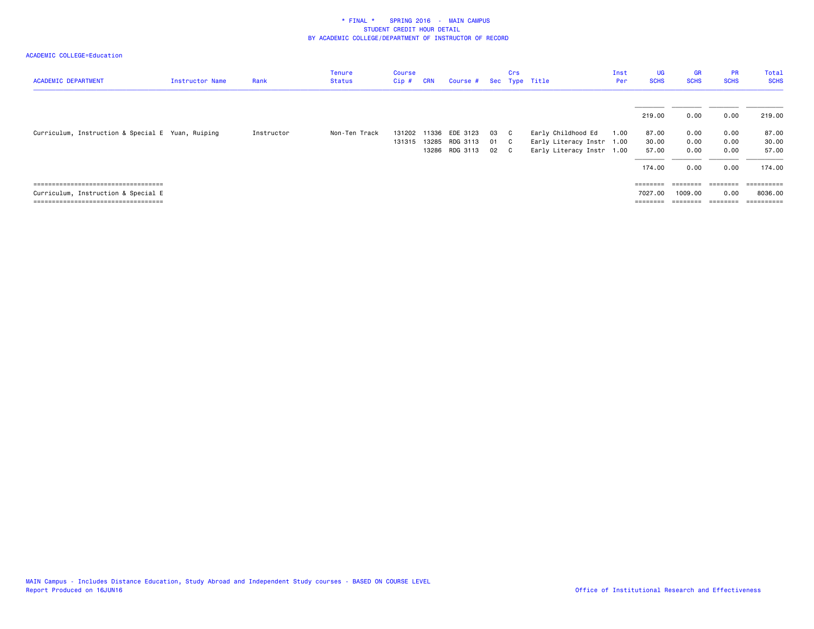| <b>ACADEMIC DEPARTMENT</b>                                                                                           | Instructor Name | Rank       | <b>Tenure</b><br>Status | <b>Course</b><br>Cip# | <b>CRN</b>     | Course #                               |                | Crs                                          | Sec Type Title                                                               | Inst<br>Per | <b>UG</b><br><b>SCHS</b>          | <b>GR</b><br><b>SCHS</b>     | <b>PR</b><br><b>SCHS</b>     | Total<br><b>SCHS</b>                |
|----------------------------------------------------------------------------------------------------------------------|-----------------|------------|-------------------------|-----------------------|----------------|----------------------------------------|----------------|----------------------------------------------|------------------------------------------------------------------------------|-------------|-----------------------------------|------------------------------|------------------------------|-------------------------------------|
|                                                                                                                      |                 |            |                         |                       |                |                                        |                |                                              |                                                                              |             | 219.00                            | 0.00                         | 0.00                         | 219.00                              |
| Curriculum, Instruction & Special E Yuan, Ruiping                                                                    |                 | Instructor | Non-Ten Track           | 131202<br>131315      | 11336<br>13285 | EDE 3123<br>RDG 3113<br>13286 RDG 3113 | 03<br>01<br>02 | $\mathbf{C}$<br>$\mathbf{C}$<br>$\mathbf{C}$ | Early Childhood Ed<br>Early Literacy Instr 1.00<br>Early Literacy Instr 1.00 | 1.00        | 87.00<br>30.00<br>57.00<br>174.00 | 0.00<br>0.00<br>0.00<br>0.00 | 0.00<br>0.00<br>0.00<br>0.00 | 87.00<br>30.00<br>57.00<br>174.00   |
| ====================================<br>Curriculum, Instruction & Special E<br>------------------------------------- |                 |            |                         |                       |                |                                        |                |                                              |                                                                              |             | ========<br>7027.00<br>========   | 1009.00<br>========          | --------<br>0.00<br>======== | ==========<br>8036.00<br>========== |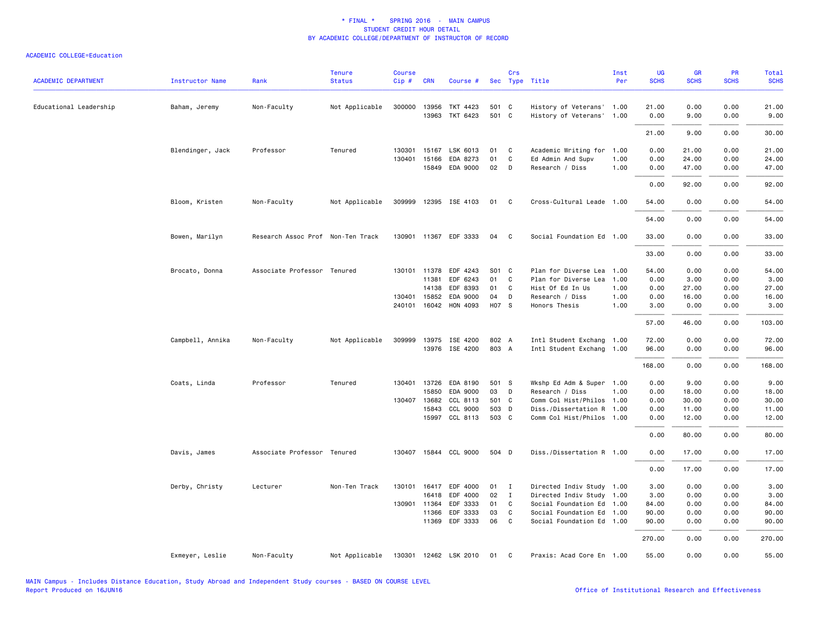|                            |                  |                                   | <b>Tenure</b>  | <b>Course</b> |              |                       |       | Crs          |                           | Inst | <b>UG</b>   | <b>GR</b>   | PR          | <b>Total</b> |
|----------------------------|------------------|-----------------------------------|----------------|---------------|--------------|-----------------------|-------|--------------|---------------------------|------|-------------|-------------|-------------|--------------|
| <b>ACADEMIC DEPARTMENT</b> | Instructor Name  | Rank                              | <b>Status</b>  | Cip#          | <b>CRN</b>   | Course #              |       |              | Sec Type Title            | Per  | <b>SCHS</b> | <b>SCHS</b> | <b>SCHS</b> | <b>SCHS</b>  |
| Educational Leadership     | Baham, Jeremy    | Non-Faculty                       | Not Applicable |               | 300000 13956 | TKT 4423              | 501 C |              | History of Veterans' 1.00 |      | 21.00       | 0.00        | 0.00        | 21.00        |
|                            |                  |                                   |                |               | 13963        | TKT 6423              | 501 C |              | History of Veterans' 1.00 |      | 0.00        | 9.00        | 0.00        | 9.00         |
|                            |                  |                                   |                |               |              |                       |       |              |                           |      | 21.00       | 9.00        | 0.00        | 30.00        |
|                            | Blendinger, Jack | Professor                         | Tenured        | 130301        |              | 15167 LSK 6013        | 01    | C            | Academic Writing for      | 1.00 | 0.00        | 21.00       | 0.00        | 21.00        |
|                            |                  |                                   |                | 130401        | 15166        | EDA 8273              | 01    | C            | Ed Admin And Supv         | 1.00 | 0.00        | 24.00       | 0.00        | 24.00        |
|                            |                  |                                   |                |               |              | 15849 EDA 9000        | 02    | D            | Research / Diss           | 1.00 | 0.00        | 47.00       | 0.00        | 47.00        |
|                            |                  |                                   |                |               |              |                       |       |              |                           |      | 0.00        | 92.00       | 0.00        | 92.00        |
|                            | Bloom, Kristen   | Non-Faculty                       | Not Applicable |               |              | 309999 12395 ISE 4103 | 01    | C            | Cross-Cultural Leade 1.00 |      | 54.00       | 0.00        | 0.00        | 54.00        |
|                            |                  |                                   |                |               |              |                       |       |              |                           |      | 54.00       | 0.00        | 0.00        | 54.00        |
|                            | Bowen, Marilyn   | Research Assoc Prof Non-Ten Track |                |               |              | 130901 11367 EDF 3333 | 04    | C            | Social Foundation Ed 1.00 |      | 33.00       | 0.00        | 0.00        | 33.00        |
|                            |                  |                                   |                |               |              |                       |       |              |                           |      | 33.00       | 0.00        | 0.00        | 33.00        |
|                            | Brocato, Donna   | Associate Professor Tenured       |                |               | 130101 11378 | EDF 4243              | S01 C |              | Plan for Diverse Lea      | 1.00 | 54.00       | 0.00        | 0.00        | 54.00        |
|                            |                  |                                   |                |               | 11381        | EDF 6243              | 01    | C            | Plan for Diverse Lea      | 1.00 | 0.00        | 3.00        | 0.00        | 3.00         |
|                            |                  |                                   |                |               | 14138        | EDF 8393              | 01    | C            | Hist Of Ed In Us          | 1.00 | 0.00        | 27.00       | 0.00        | 27.00        |
|                            |                  |                                   |                |               | 130401 15852 | EDA 9000              | 04    | D            | Research / Diss           | 1.00 | 0.00        | 16.00       | 0.00        | 16.00        |
|                            |                  |                                   |                |               |              | 240101 16042 HON 4093 | H07 S |              | Honors Thesis             | 1.00 | 3.00        | 0.00        | 0.00        | 3.00         |
|                            |                  |                                   |                |               |              |                       |       |              |                           |      | 57.00       | 46.00       | 0.00        | 103.00       |
|                            | Campbell, Annika | Non-Faculty                       | Not Applicable |               |              | 309999 13975 ISE 4200 | 802 A |              | Intl Student Exchang 1.00 |      | 72.00       | 0.00        | 0.00        | 72.00        |
|                            |                  |                                   |                |               |              | 13976 ISE 4200        | 803 A |              | Intl Student Exchang 1.00 |      | 96.00       | 0.00        | 0.00        | 96.00        |
|                            |                  |                                   |                |               |              |                       |       |              |                           |      | 168.00      | 0.00        | 0.00        | 168.00       |
|                            | Coats, Linda     | Professor                         | Tenured        |               | 130401 13726 | EDA 8190              | 501 S |              | Wkshp Ed Adm & Super 1.00 |      | 0.00        | 9.00        | 0.00        | 9.00         |
|                            |                  |                                   |                |               | 15850        | EDA 9000              | 03    | D            | Research / Diss           | 1.00 | 0.00        | 18.00       | 0.00        | 18.00        |
|                            |                  |                                   |                |               | 130407 13682 | CCL 8113              | 501 C |              | Comm Col Hist/Philos 1.00 |      | 0.00        | 30.00       | 0.00        | 30.00        |
|                            |                  |                                   |                |               | 15843        | CCL 9000              | 503 D |              | Diss./Dissertation R 1.00 |      | 0.00        | 11.00       | 0.00        | 11.00        |
|                            |                  |                                   |                |               |              | 15997 CCL 8113        | 503 C |              | Comm Col Hist/Philos 1.00 |      | 0.00        | 12.00       | 0.00        | 12.00        |
|                            |                  |                                   |                |               |              |                       |       |              |                           |      | 0.00        | 80.00       | 0.00        | 80.00        |
|                            | Davis, James     | Associate Professor Tenured       |                |               |              | 130407 15844 CCL 9000 | 504 D |              | Diss./Dissertation R 1.00 |      | 0.00        | 17.00       | 0.00        | 17.00        |
|                            |                  |                                   |                |               |              |                       |       |              |                           |      | 0.00        | 17.00       | 0.00        | 17.00        |
|                            | Derby, Christy   | Lecturer                          | Non-Ten Track  |               |              | 130101 16417 EDF 4000 | 01 I  |              | Directed Indiv Study 1.00 |      | 3.00        | 0.00        | 0.00        | 3.00         |
|                            |                  |                                   |                |               | 16418        | EDF 4000              | 02    | $\mathbf{I}$ | Directed Indiv Study 1.00 |      | 3.00        | 0.00        | 0.00        | 3.00         |
|                            |                  |                                   |                | 130901        | 11364        | EDF 3333              | 01    | C            | Social Foundation Ed 1.00 |      | 84.00       | 0.00        | 0.00        | 84.00        |
|                            |                  |                                   |                |               | 11366        | EDF 3333              | 03    | C            | Social Foundation Ed 1.00 |      | 90.00       | 0.00        | 0.00        | 90.00        |
|                            |                  |                                   |                |               | 11369        | EDF 3333              | 06    | C            | Social Foundation Ed 1.00 |      | 90.00       | 0.00        | 0.00        | 90.00        |
|                            |                  |                                   |                |               |              |                       |       |              |                           |      | 270.00      | 0.00        | 0.00        | 270.00       |
|                            | Exmeyer, Leslie  | Non-Faculty                       | Not Applicable |               |              | 130301 12462 LSK 2010 | 01    | C            | Praxis: Acad Core En 1.00 |      | 55.00       | 0.00        | 0.00        | 55.00        |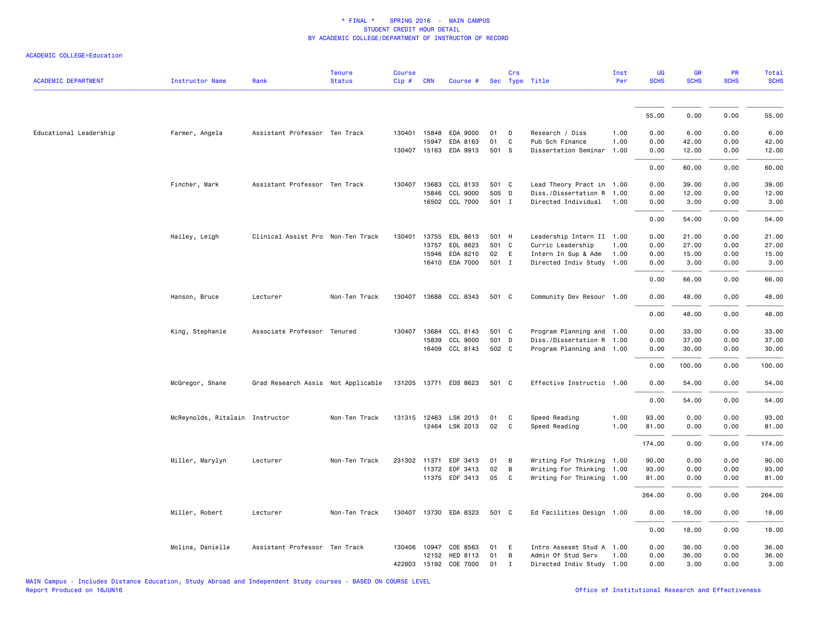| <b>ACADEMIC DEPARTMENT</b> | <b>Instructor Name</b>          | Rank                               | <b>Tenure</b><br><b>Status</b> | <b>Course</b><br>Cip# | <b>CRN</b>   | Course #              |       | Crs          | Sec Type Title            | Inst<br>Per | <b>UG</b><br><b>SCHS</b> | <b>GR</b><br><b>SCHS</b> | PR<br><b>SCHS</b> | Total<br><b>SCHS</b> |
|----------------------------|---------------------------------|------------------------------------|--------------------------------|-----------------------|--------------|-----------------------|-------|--------------|---------------------------|-------------|--------------------------|--------------------------|-------------------|----------------------|
|                            |                                 |                                    |                                |                       |              |                       |       |              |                           |             |                          |                          |                   |                      |
|                            |                                 |                                    |                                |                       |              |                       |       |              |                           |             | 55.00                    | 0.00                     | 0.00              | 55.00                |
| Educational Leadership     | Farmer, Angela                  | Assistant Professor Ten Track      |                                |                       | 130401 15848 | EDA 9000              | 01    | D            | Research / Diss           | 1.00        | 0.00                     | 6.00                     | 0.00              | 6.00                 |
|                            |                                 |                                    |                                |                       | 15947        | EDA 8163              | 01    | $\mathsf{C}$ | Pub Sch Finance           | 1.00        | 0.00                     | 42.00                    | 0.00              | 42.00                |
|                            |                                 |                                    |                                |                       |              | 130407 15163 EDA 9913 | 501 S |              | Dissertation Seminar      | 1.00        | 0.00                     | 12.00                    | 0.00              | 12.00                |
|                            |                                 |                                    |                                |                       |              |                       |       |              |                           |             | 0.00                     | 60.00                    | 0.00              | 60.00                |
|                            | Fincher, Mark                   | Assistant Professor Ten Track      |                                |                       |              | 130407 13683 CCL 8133 | 501 C |              | Lead Theory Pract in 1.00 |             | 0.00                     | 39.00                    | 0.00              | 39.00                |
|                            |                                 |                                    |                                |                       | 15846        | CCL 9000              | 505 D |              | Diss./Dissertation R 1.00 |             | 0.00                     | 12.00                    | 0.00              | 12.00                |
|                            |                                 |                                    |                                |                       |              | 16502 CCL 7000        | 501 I |              | Directed Individual       | 1.00        | 0.00                     | 3.00                     | 0.00              | 3.00                 |
|                            |                                 |                                    |                                |                       |              |                       |       |              |                           |             | 0.00                     | 54.00                    | 0.00              | 54.00                |
|                            | Hailey, Leigh                   | Clinical Assist Pro Non-Ten Track  |                                | 130401                |              | 13755 EDL 8613        | 501 H |              | Leadership Intern II 1.00 |             | 0.00                     | 21.00                    | 0.00              | 21.00                |
|                            |                                 |                                    |                                |                       | 13757        | EDL 8623              | 501 C |              | Curric Leadership         | 1.00        | 0.00                     | 27.00                    | 0.00              | 27.00                |
|                            |                                 |                                    |                                |                       | 15946        | EDA 8210              | 02    | E            | Intern In Sup & Adm       | 1.00        | 0.00                     | 15.00                    | 0.00              | 15.00                |
|                            |                                 |                                    |                                |                       |              | 16410 EDA 7000        | 501 I |              | Directed Indiv Study 1.00 |             | 0.00                     | 3.00                     | 0.00              | 3.00                 |
|                            |                                 |                                    |                                |                       |              |                       |       |              |                           |             | 0.00                     | 66.00                    | 0.00              | 66.00                |
|                            | Hanson, Bruce                   | Lecturer                           | Non-Ten Track                  |                       |              | 130407 13688 CCL 8343 | 501 C |              | Community Dev Resour 1.00 |             | 0.00                     | 48.00                    | 0.00              | 48.00                |
|                            |                                 |                                    |                                |                       |              |                       |       |              |                           |             | 0.00                     | 48.00                    | 0.00              | 48.00                |
|                            | King, Stephanie                 | Associate Professor Tenured        |                                |                       | 130407 13684 | CCL 8143              | 501 C |              | Program Planning and 1.00 |             | 0.00                     | 33.00                    | 0.00              | 33.00                |
|                            |                                 |                                    |                                |                       | 15839        | CCL 9000              | 501 D |              | Diss./Dissertation R 1.00 |             | 0.00                     | 37.00                    | 0.00              | 37.00                |
|                            |                                 |                                    |                                |                       | 16409        | CCL 8143              | 502 C |              | Program Planning and 1.00 |             | 0.00                     | 30.00                    | 0.00              | 30.00                |
|                            |                                 |                                    |                                |                       |              |                       |       |              |                           |             | 0.00                     | 100.00                   | 0.00              | 100.00               |
|                            | McGregor, Shane                 | Grad Research Assis Not Applicable |                                |                       |              | 131205 13771 EDS 8623 | 501 C |              | Effective Instructio 1.00 |             | 0.00                     | 54.00                    | 0.00              | 54.00                |
|                            |                                 |                                    |                                |                       |              |                       |       |              |                           |             | 0.00                     | 54.00                    | 0.00              | 54.00                |
|                            | McReynolds, Ritalain Instructor |                                    | Non-Ten Track                  |                       | 131315 12463 | LSK 2013              | 01    | C            | Speed Reading             | 1.00        | 93.00                    | 0.00                     | 0.00              | 93.00                |
|                            |                                 |                                    |                                |                       |              | 12464 LSK 2013        | 02    | C            | Speed Reading             | 1.00        | 81.00                    | 0.00                     | 0.00              | 81.00                |
|                            |                                 |                                    |                                |                       |              |                       |       |              |                           |             | 174.00                   | 0.00                     | 0.00              | 174.00               |
|                            | Miller, Marylyn                 | Lecturer                           | Non-Ten Track                  |                       | 231302 11371 | EDF 3413              | 01    | В            | Writing For Thinking 1.00 |             | 90.00                    | 0.00                     | 0.00              | 90.00                |
|                            |                                 |                                    |                                |                       |              | 11372 EDF 3413        | 02    | B            | Writing For Thinking 1.00 |             | 93.00                    | 0.00                     | 0.00              | 93.00                |
|                            |                                 |                                    |                                |                       |              | 11375 EDF 3413        | 05    | C            | Writing For Thinking 1.00 |             | 81.00                    | 0.00                     | 0.00              | 81.00                |
|                            |                                 |                                    |                                |                       |              |                       |       |              |                           |             | 264.00                   | 0.00                     | 0.00              | 264.00               |
|                            | Miller, Robert                  | Lecturer                           | Non-Ten Track                  |                       |              | 130407 13730 EDA 8323 | 501 C |              | Ed Facilities Design 1.00 |             | 0.00                     | 18.00                    | 0.00              | 18.00                |
|                            |                                 |                                    |                                |                       |              |                       |       |              |                           |             | 0.00                     | 18.00                    | 0.00              | 18.00                |
|                            | Molina, Danielle                | Assistant Professor Ten Track      |                                |                       |              | 130406 10947 COE 8563 | 01    | E            | Intro Assesmt Stud A 1.00 |             | 0.00                     | 36.00                    | 0.00              | 36.00                |
|                            |                                 |                                    |                                |                       |              | 12152 HED 8113        | 01    | B            | Admin Of Stud Serv        | 1.00        | 0.00                     | 36.00                    | 0.00              | 36.00                |
|                            |                                 |                                    |                                |                       |              | 422803 15192 COE 7000 | 01    | $\mathbf{I}$ | Directed Indiv Study 1.00 |             | 0.00                     | 3.00                     | 0.00              | 3.00                 |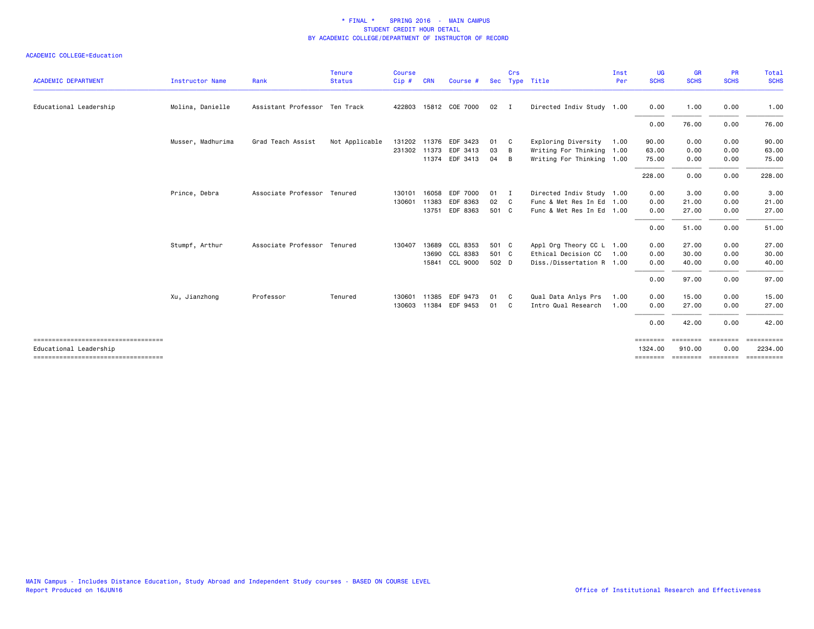| <b>ACADEMIC DEPARTMENT</b>           | <b>Instructor Name</b> | Rank                          | <b>Tenure</b><br><b>Status</b> | Course<br>Cip# | <b>CRN</b> | Course #              |              | Crs            | Sec Type Title            | Inst<br>Per | <b>UG</b><br><b>SCHS</b>                                                           | <b>GR</b><br><b>SCHS</b> | <b>PR</b><br><b>SCHS</b> | Total<br><b>SCHS</b>    |
|--------------------------------------|------------------------|-------------------------------|--------------------------------|----------------|------------|-----------------------|--------------|----------------|---------------------------|-------------|------------------------------------------------------------------------------------|--------------------------|--------------------------|-------------------------|
| Educational Leadership               | Molina, Danielle       | Assistant Professor Ten Track |                                |                |            | 422803 15812 COE 7000 | $02 \quad I$ |                | Directed Indiv Study 1.00 |             | 0.00                                                                               | 1.00                     | 0.00                     | 1.00                    |
|                                      |                        |                               |                                |                |            |                       |              |                |                           |             | 0.00                                                                               | 76.00                    | 0.00                     | 76.00                   |
|                                      | Musser, Madhurima      | Grad Teach Assist             | Not Applicable                 | 131202         |            | 11376 EDF 3423        | 01           | C.             | Exploring Diversity       | 1.00        | 90.00                                                                              | 0.00                     | 0.00                     | 90.00                   |
|                                      |                        |                               |                                | 231302 11373   |            | EDF 3413              | 03           | B              | Writing For Thinking 1.00 |             | 63.00                                                                              | 0.00                     | 0.00                     | 63.00                   |
|                                      |                        |                               |                                |                |            | 11374 EDF 3413        | 04           | - B            | Writing For Thinking 1.00 |             | 75.00                                                                              | 0.00                     | 0.00                     | 75.00                   |
|                                      |                        |                               |                                |                |            |                       |              |                |                           |             | 228.00                                                                             | 0.00                     | 0.00                     | 228.00                  |
|                                      | Prince, Debra          | Associate Professor Tenured   |                                | 130101         | 16058      | EDF 7000              | 01           | $\blacksquare$ | Directed Indiv Study 1.00 |             | 0.00                                                                               | 3.00                     | 0.00                     | 3.00                    |
|                                      |                        |                               |                                | 130601         | 11383      | EDF 8363              | 02           | C.             | Func & Met Res In Ed 1.00 |             | 0.00                                                                               | 21.00                    | 0.00                     | 21.00                   |
|                                      |                        |                               |                                |                | 13751      | EDF 8363              | 501 C        |                | Func & Met Res In Ed 1.00 |             | 0.00                                                                               | 27.00                    | 0.00                     | 27.00                   |
|                                      |                        |                               |                                |                |            |                       |              |                |                           |             | 0.00                                                                               | 51.00                    | 0.00                     | 51.00                   |
|                                      | Stumpf, Arthur         | Associate Professor Tenured   |                                | 130407         | 13689      | CCL 8353              | 501 C        |                | Appl Org Theory CC L 1.00 |             | 0.00                                                                               | 27.00                    | 0.00                     | 27.00                   |
|                                      |                        |                               |                                |                | 13690      | CCL 8383              | 501 C        |                | Ethical Decision CC       | 1.00        | 0.00                                                                               | 30.00                    | 0.00                     | 30.00                   |
|                                      |                        |                               |                                |                | 15841      | CCL 9000              | 502 D        |                | Diss./Dissertation R 1.00 |             | 0.00                                                                               | 40.00                    | 0.00                     | 40.00                   |
|                                      |                        |                               |                                |                |            |                       |              |                |                           |             | 0.00                                                                               | 97.00                    | 0.00                     | 97.00                   |
|                                      | Xu, Jianzhong          | Professor                     | Tenured                        | 130601         | 11385      | EDF 9473              | 01           | - C            | Qual Data Anlys Prs       | 1.00        | 0.00                                                                               | 15.00                    | 0.00                     | 15.00                   |
|                                      |                        |                               |                                |                |            | 130603 11384 EDF 9453 | 01           | C.             | Intro Qual Research       | 1.00        | 0.00                                                                               | 27.00                    | 0.00                     | 27.00                   |
|                                      |                        |                               |                                |                |            |                       |              |                |                           |             | 0.00                                                                               | 42.00                    | 0.00                     | 42.00                   |
| Educational Leadership               |                        |                               |                                |                |            |                       |              |                |                           |             | $\qquad \qquad \equiv \equiv \equiv \equiv \equiv \equiv \equiv \equiv$<br>1324,00 | ========<br>910.00       | <b>EEEEEEE</b><br>0.00   | ==========<br>2234.00   |
| ==================================== |                        |                               |                                |                |            |                       |              |                |                           |             | ========                                                                           | ========                 | $=$ = = = = = = =        | $=$ = = = = = = = = = = |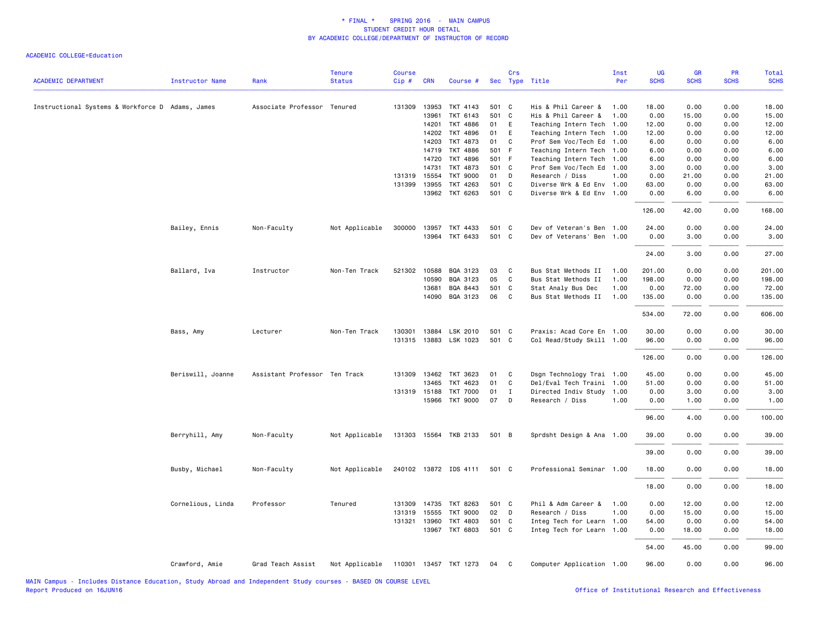| <b>ACADEMIC DEPARTMENT</b>                       | <b>Instructor Name</b> | Rank                          | <b>Tenure</b><br><b>Status</b> | Course<br>Cip# | <b>CRN</b> | Course #              |       | Crs          | Sec Type Title            | Inst<br>Per | UG<br><b>SCHS</b> | GR<br><b>SCHS</b> | PR<br><b>SCHS</b> | Total<br><b>SCHS</b> |
|--------------------------------------------------|------------------------|-------------------------------|--------------------------------|----------------|------------|-----------------------|-------|--------------|---------------------------|-------------|-------------------|-------------------|-------------------|----------------------|
| Instructional Systems & Workforce D Adams, James |                        | Associate Professor Tenured   |                                | 131309         | 13953      | TKT 4143              | 501 C |              | His & Phil Career &       | 1.00        | 18.00             | 0.00              | 0.00              | 18.00                |
|                                                  |                        |                               |                                |                | 13961      | TKT 6143              | 501 C |              | His & Phil Career &       | 1.00        | 0.00              | 15.00             | 0.00              | 15.00                |
|                                                  |                        |                               |                                |                | 14201      | TKT 4886              | 01    | E            | Teaching Intern Tech      | 1.00        | 12.00             | 0.00              | 0.00              | 12.00                |
|                                                  |                        |                               |                                |                | 14202      | TKT 4896              | 01    | E            | Teaching Intern Tech      | 1.00        | 12.00             | 0.00              | 0.00              | 12.00                |
|                                                  |                        |                               |                                |                | 14203      | TKT 4873              | 01    | C            | Prof Sem Voc/Tech Ed      | 1.00        | 6.00              | 0.00              | 0.00              | 6.00                 |
|                                                  |                        |                               |                                |                | 14719      | <b>TKT 4886</b>       | 501 F |              | Teaching Intern Tech      | 1.00        | 6.00              | 0.00              | 0.00              | 6.00                 |
|                                                  |                        |                               |                                |                | 14720      | TKT 4896              | 501 F |              | Teaching Intern Tech 1.00 |             | 6.00              | 0.00              | 0.00              | 6.00                 |
|                                                  |                        |                               |                                |                | 14731      | TKT 4873              | 501 C |              | Prof Sem Voc/Tech Ed 1.00 |             | 3.00              | 0.00              | 0.00              | 3.00                 |
|                                                  |                        |                               |                                | 131319 15554   |            | <b>TKT 9000</b>       | 01    | D            | Research / Diss           | 1.00        | 0.00              | 21.00             | 0.00              | 21.00                |
|                                                  |                        |                               |                                | 131399 13955   |            | TKT 4263              | 501 C |              | Diverse Wrk & Ed Env 1.00 |             | 63.00             | 0.00              | 0.00              | 63.00                |
|                                                  |                        |                               |                                |                |            | 13962 TKT 6263        | 501 C |              | Diverse Wrk & Ed Env 1.00 |             | 0.00              | 6.00              | 0.00              | 6.00                 |
|                                                  |                        |                               |                                |                |            |                       |       |              |                           |             | 126.00            | 42.00             | 0.00              | 168.00               |
|                                                  | Bailey, Ennis          | Non-Faculty                   | Not Applicable                 | 300000 13957   |            | TKT 4433              | 501 C |              | Dev of Veteran's Ben 1.00 |             | 24.00             | 0.00              | 0.00              | 24.00                |
|                                                  |                        |                               |                                |                | 13964      | TKT 6433              | 501 C |              | Dev of Veterans' Ben 1.00 |             | 0.00              | 3.00              | 0.00              | 3.00                 |
|                                                  |                        |                               |                                |                |            |                       |       |              |                           |             | 24.00             | 3.00              | 0.00              | 27.00                |
|                                                  | Ballard, Iva           | Instructor                    | Non-Ten Track                  | 521302         | 10588      | BQA 3123              | 03    | C            | Bus Stat Methods II       | 1.00        | 201.00            | 0.00              | 0.00              | 201.00               |
|                                                  |                        |                               |                                |                | 10590      | BQA 3123              | 05    | C            | Bus Stat Methods II       | 1.00        | 198,00            | 0.00              | 0.00              | 198,00               |
|                                                  |                        |                               |                                |                | 13681      | BQA 8443              | 501 C |              | Stat Analy Bus Dec        | 1.00        | 0.00              | 72.00             | 0.00              | 72.00                |
|                                                  |                        |                               |                                |                | 14090      | BQA 3123              | 06    | C            | Bus Stat Methods II       | 1.00        | 135.00            | 0.00              | 0.00              | 135.00               |
|                                                  |                        |                               |                                |                |            |                       |       |              |                           |             | 534.00            | 72.00             | 0.00              | 606.00               |
|                                                  | Bass, Amy              | Lecturer                      | Non-Ten Track                  | 130301         | 13884      | LSK 2010              | 501 C |              | Praxis: Acad Core En 1.00 |             | 30.00             | 0.00              | 0.00              | 30.00                |
|                                                  |                        |                               |                                | 131315 13883   |            | LSK 1023              | 501 C |              | Col Read/Study Skill 1.00 |             | 96.00             | 0.00              | 0.00              | 96.00                |
|                                                  |                        |                               |                                |                |            |                       |       |              |                           |             | 126.00            | 0.00              | 0.00              | 126.00               |
|                                                  | Beriswill, Joanne      | Assistant Professor Ten Track |                                | 131309 13462   |            | TKT 3623              | 01    | C.           | Dsgn Technology Trai 1.00 |             | 45.00             | 0.00              | 0.00              | 45.00                |
|                                                  |                        |                               |                                |                | 13465      | TKT 4623              | 01    | C            | Del/Eval Tech Traini 1.00 |             | 51.00             | 0.00              | 0.00              | 51.00                |
|                                                  |                        |                               |                                | 131319 15188   |            | <b>TKT 7000</b>       | 01    | $\bf{I}$     | Directed Indiv Study 1.00 |             | 0.00              | 3.00              | 0.00              | 3.00                 |
|                                                  |                        |                               |                                |                | 15966      | <b>TKT 9000</b>       | 07    | D            | Research / Diss           | 1.00        | 0.00              | 1.00              | 0.00              | 1.00                 |
|                                                  |                        |                               |                                |                |            |                       |       |              |                           |             | 96.00             | 4.00              | 0.00              | 100.00               |
|                                                  | Berryhill, Amy         | Non-Faculty                   | Not Applicable                 |                |            | 131303 15564 TKB 2133 | 501 B |              | Sprdsht Design & Ana 1.00 |             | 39.00             | 0.00              | 0.00              | 39.00                |
|                                                  |                        |                               |                                |                |            |                       |       |              |                           |             | 39.00             | 0.00              | 0.00              | 39.00                |
|                                                  | Busby, Michael         | Non-Faculty                   | Not Applicable                 |                |            | 240102 13872 IDS 4111 | 501 C |              | Professional Seminar 1.00 |             | 18.00             | 0.00              | 0.00              | 18.00                |
|                                                  |                        |                               |                                |                |            |                       |       |              |                           |             | 18.00             | 0.00              | 0.00              | 18.00                |
|                                                  | Cornelious, Linda      | Professor                     | Tenured                        | 131309 14735   |            | TKT 8263              | 501 C |              | Phil & Adm Career &       | 1.00        | 0.00              | 12.00             | 0.00              | 12.00                |
|                                                  |                        |                               |                                | 131319         | 15555      | <b>TKT 9000</b>       | 02    | D            | Research / Diss           | 1.00        | 0.00              | 15.00             | 0.00              | 15.00                |
|                                                  |                        |                               |                                | 131321 13960   |            | TKT 4803              | 501 C |              | Integ Tech for Learn 1.00 |             | 54.00             | 0.00              | 0.00              | 54.00                |
|                                                  |                        |                               |                                |                | 13967      | TKT 6803              | 501 C |              | Integ Tech for Learn 1.00 |             | 0.00              | 18.00             | 0.00              | 18.00                |
|                                                  |                        |                               |                                |                |            |                       |       |              |                           |             | 54.00             | 45.00             | 0.00              | 99.00                |
|                                                  | Crawford, Amie         | Grad Teach Assist             | Not Applicable                 |                |            | 110301 13457 TKT 1273 | 04    | $\mathbf{C}$ | Computer Application 1.00 |             | 96.00             | 0.00              | 0.00              | 96.00                |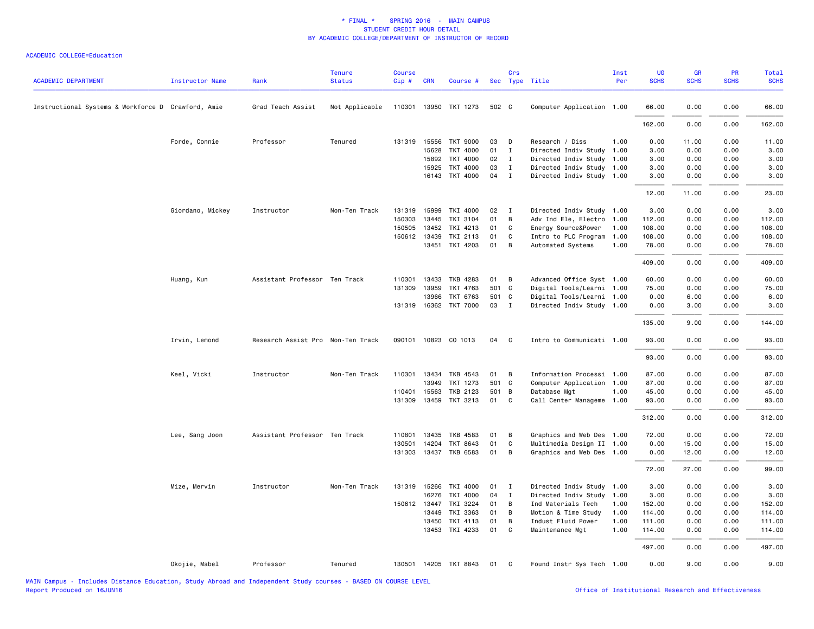| <b>ACADEMIC DEPARTMENT</b>                         | <b>Instructor Name</b> | Rank                              | <b>Tenure</b><br><b>Status</b> | <b>Course</b><br>Cip# | <b>CRN</b>     | Course #              |          | Crs            | Sec Type Title                        | Inst<br>Per  | UG<br><b>SCHS</b> | GR<br><b>SCHS</b> | PR<br><b>SCHS</b> | <b>Total</b><br><b>SCHS</b> |
|----------------------------------------------------|------------------------|-----------------------------------|--------------------------------|-----------------------|----------------|-----------------------|----------|----------------|---------------------------------------|--------------|-------------------|-------------------|-------------------|-----------------------------|
| Instructional Systems & Workforce D Crawford, Amie |                        | Grad Teach Assist                 | Not Applicable                 |                       |                | 110301 13950 TKT 1273 | 502 C    |                | Computer Application 1.00             |              | 66.00             | 0.00              | 0.00              | 66.00                       |
|                                                    |                        |                                   |                                |                       |                |                       |          |                |                                       |              | 162.00            | 0.00              | 0.00              | 162.00                      |
|                                                    | Forde, Connie          | Professor                         | Tenured                        |                       | 131319 15556   | <b>TKT 9000</b>       | 03       | D              | Research / Diss                       | 1.00         | 0.00              | 11.00             | 0.00              | 11.00                       |
|                                                    |                        |                                   |                                |                       | 15628          | <b>TKT 4000</b>       | 01       | $\mathbf I$    | Directed Indiv Study                  | 1.00         | 3.00              | 0.00              | 0.00              | 3.00                        |
|                                                    |                        |                                   |                                |                       | 15892          | <b>TKT 4000</b>       | 02       | $\mathbf{I}$   | Directed Indiv Study 1.00             |              | 3.00              | 0.00              | 0.00              | 3.00                        |
|                                                    |                        |                                   |                                |                       | 15925          | <b>TKT 4000</b>       | 03       | $\mathbf{I}$   | Directed Indiv Study 1.00             |              | 3.00              | 0.00              | 0.00              | 3.00                        |
|                                                    |                        |                                   |                                |                       | 16143          | TKT 4000              | 04       | $\mathbf{I}$   | Directed Indiv Study 1.00             |              | 3.00              | 0.00              | 0.00              | 3.00                        |
|                                                    |                        |                                   |                                |                       |                |                       |          |                |                                       |              | 12.00             | 11.00             | 0.00              | 23.00                       |
|                                                    | Giordano, Mickey       | Instructor                        | Non-Ten Track                  | 131319                | 15999          | TKI 4000              | 02       | $\mathbf I$    | Directed Indiv Study 1.00             |              | 3.00              | 0.00              | 0.00              | 3.00                        |
|                                                    |                        |                                   |                                | 150303                | 13445          | TKI 3104              | 01       | B              | Adv Ind Ele, Electro                  | 1.00         | 112.00            | 0.00              | 0.00              | 112.00                      |
|                                                    |                        |                                   |                                | 150505                | 13452          | TKI 4213              | 01       | C              | Energy Source&Power                   | 1.00         | 108.00            | 0.00              | 0.00              | 108.00                      |
|                                                    |                        |                                   |                                |                       | 150612 13439   | TKI 2113              | 01       | C              | Intro to PLC Program                  | 1.00         | 108.00            | 0.00              | 0.00              | 108.00                      |
|                                                    |                        |                                   |                                |                       |                | 13451 TKI 4203        | 01       | В              | Automated Systems                     | 1.00         | 78.00             | 0.00              | 0.00              | 78.00                       |
|                                                    |                        |                                   |                                |                       |                |                       |          |                |                                       |              | 409.00            | 0.00              | 0.00              | 409.00                      |
|                                                    | Huang, Kun             | Assistant Professor Ten Track     |                                | 110301                | 13433          | TKB 4283              | 01       | В              | Advanced Office Syst 1.00             |              | 60.00             | 0.00              | 0.00              | 60.00                       |
|                                                    |                        |                                   |                                |                       | 131309 13959   | TKT 4763              | 501 C    |                | Digital Tools/Learni 1.00             |              | 75.00             | 0.00              | 0.00              | 75.00                       |
|                                                    |                        |                                   |                                |                       | 13966          | TKT 6763              | 501 C    |                | Digital Tools/Learni 1.00             |              | 0.00              | 6.00              | 0.00              | 6.00                        |
|                                                    |                        |                                   |                                |                       | 131319 16362   | <b>TKT 7000</b>       | 03       | $\blacksquare$ | Directed Indiv Study 1.00             |              | 0.00              | 3.00              | 0.00              | 3.00                        |
|                                                    |                        |                                   |                                |                       |                |                       |          |                |                                       |              | 135.00            | 9.00              | 0.00              | 144.00                      |
|                                                    | Irvin, Lemond          | Research Assist Pro Non-Ten Track |                                |                       |                | 090101 10823 CO 1013  | 04       | <b>C</b>       | Intro to Communicati 1.00             |              | 93.00             | 0.00              | 0.00              | 93.00                       |
|                                                    |                        |                                   |                                |                       |                |                       |          |                |                                       |              | 93.00             | 0.00              | 0.00              | 93.00                       |
|                                                    | Keel, Vicki            | Instructor                        | Non-Ten Track                  |                       | 110301 13434   | TKB 4543              | 01       | В              | Information Processi 1.00             |              | 87.00             | 0.00              | 0.00              | 87.00                       |
|                                                    |                        |                                   |                                |                       | 13949          | TKT 1273              | 501 C    |                | Computer Application 1.00             |              | 87.00             | 0.00              | 0.00              | 87.00                       |
|                                                    |                        |                                   |                                | 110401                | 15563          | <b>TKB 2123</b>       | 501      | B              | Database Mgt                          | 1.00         | 45.00             | 0.00              | 0.00              | 45.00                       |
|                                                    |                        |                                   |                                | 131309                | 13459          | TKT 3213              | 01       | C              | Call Center Manageme 1.00             |              | 93.00             | 0.00              | 0.00              | 93.00                       |
|                                                    |                        |                                   |                                |                       |                |                       |          |                |                                       |              | 312.00            | 0.00              | 0.00              | 312.00                      |
|                                                    | Lee, Sang Joon         | Assistant Professor Ten Track     |                                | 110801                | 13435          | TKB 4583              | 01       | B              | Graphics and Web Des 1.00             |              | 72.00             | 0.00              | 0.00              | 72.00                       |
|                                                    |                        |                                   |                                | 130501                | 14204          | TKT 8643              | 01       | $\mathbf{C}$   | Multimedia Design II 1.00             |              | 0.00              | 15.00             | 0.00              | 15.00                       |
|                                                    |                        |                                   |                                |                       |                | 131303 13437 TKB 6583 | 01       | B              | Graphics and Web Des 1.00             |              | 0.00              | 12.00             | 0.00              | 12.00                       |
|                                                    |                        |                                   |                                |                       |                |                       |          |                |                                       |              | 72.00             | 27.00             | 0.00              | 99.00                       |
|                                                    | Mize, Mervin           | Instructor                        | Non-Ten Track                  |                       | 131319 15266   | TKI 4000              | 01       | I              | Directed Indiv Study 1.00             |              | 3.00              | 0.00              | 0.00              | 3.00                        |
|                                                    |                        |                                   |                                |                       | 16276          | TKI 4000              | 04       | I              | Directed Indiv Study                  | 1.00         | 3.00              | 0.00              | 0.00              | 3.00                        |
|                                                    |                        |                                   |                                |                       | 150612 13447   | TKI 3224              | 01       | B              | Ind Materials Tech                    | 1.00         | 152.00            | 0.00              | 0.00              | 152.00                      |
|                                                    |                        |                                   |                                |                       | 13449          | TKI 3363              | 01       | B              | Motion & Time Study                   | 1.00         | 114.00            | 0.00              | 0.00              | 114.00                      |
|                                                    |                        |                                   |                                |                       | 13450<br>13453 | TKI 4113<br>TKI 4233  | 01<br>01 | В<br>C         | Indust Fluid Power<br>Maintenance Mgt | 1.00<br>1.00 | 111.00<br>114.00  | 0.00<br>0.00      | 0.00<br>0.00      | 111.00<br>114.00            |
|                                                    |                        |                                   |                                |                       |                |                       |          |                |                                       |              | 497.00            | 0.00              | 0.00              | 497.00                      |
|                                                    | Okojie, Mabel          | Professor                         | Tenured                        |                       |                | 130501 14205 TKT 8843 | 01       | C.             | Found Instr Sys Tech 1.00             |              | 0.00              | 9.00              | 0.00              | 9.00                        |
|                                                    |                        |                                   |                                |                       |                |                       |          |                |                                       |              |                   |                   |                   |                             |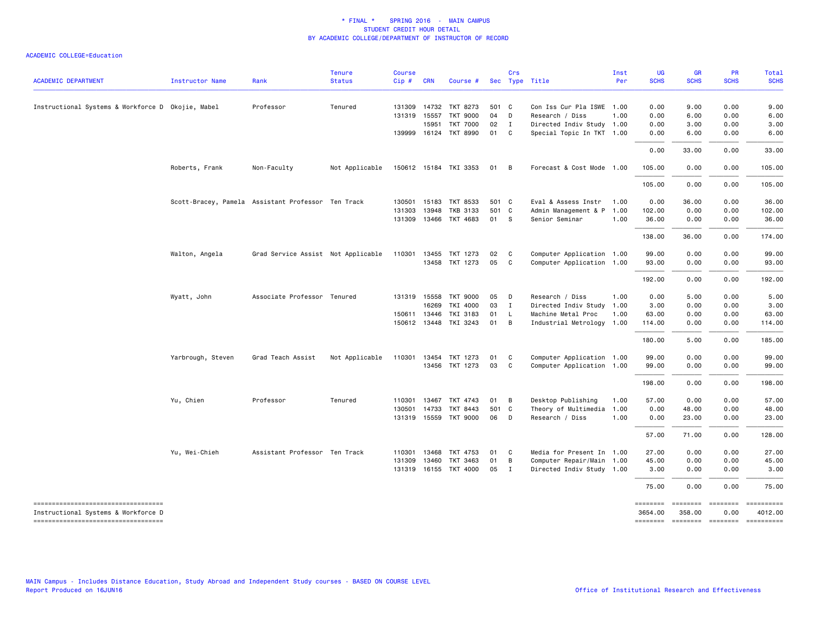| <b>ACADEMIC DEPARTMENT</b>                                                | Instructor Name   | Rank                                               | <b>Tenure</b><br><b>Status</b> | <b>Course</b><br>Cip# | <b>CRN</b> | Course #              |       | Crs            | Sec Type Title            | Inst<br>Per | <b>UG</b><br><b>SCHS</b> | <b>GR</b><br><b>SCHS</b> | PR<br><b>SCHS</b>                  | Total<br><b>SCHS</b>                                                                                                                                                                                                                                                                                                                                                                                                                                                                              |
|---------------------------------------------------------------------------|-------------------|----------------------------------------------------|--------------------------------|-----------------------|------------|-----------------------|-------|----------------|---------------------------|-------------|--------------------------|--------------------------|------------------------------------|---------------------------------------------------------------------------------------------------------------------------------------------------------------------------------------------------------------------------------------------------------------------------------------------------------------------------------------------------------------------------------------------------------------------------------------------------------------------------------------------------|
|                                                                           |                   |                                                    |                                |                       |            |                       |       |                |                           |             |                          |                          |                                    |                                                                                                                                                                                                                                                                                                                                                                                                                                                                                                   |
| Instructional Systems & Workforce D Okojie, Mabel                         |                   | Professor                                          | Tenured                        | 131309                | 14732      | TKT 8273              | 501 C |                | Con Iss Cur Pla ISWE 1.00 |             | 0.00                     | 9.00                     | 0.00                               | 9.00                                                                                                                                                                                                                                                                                                                                                                                                                                                                                              |
|                                                                           |                   |                                                    |                                | 131319 15557          |            | TKT 9000              | 04    | $\Box$         | Research / Diss           | 1.00        | 0.00                     | 6.00                     | 0.00                               | 6.00                                                                                                                                                                                                                                                                                                                                                                                                                                                                                              |
|                                                                           |                   |                                                    |                                |                       | 15951      | <b>TKT 7000</b>       | 02    | $\mathbf{I}$   | Directed Indiv Study 1.00 |             | 0.00                     | 3.00                     | 0.00                               | 3.00                                                                                                                                                                                                                                                                                                                                                                                                                                                                                              |
|                                                                           |                   |                                                    |                                |                       |            | 139999 16124 TKT 8990 | 01 C  |                | Special Topic In TKT 1.00 |             | 0.00                     | 6.00                     | 0.00                               | 6.00                                                                                                                                                                                                                                                                                                                                                                                                                                                                                              |
|                                                                           |                   |                                                    |                                |                       |            |                       |       |                |                           |             | 0.00                     | 33.00                    | 0.00                               | 33.00                                                                                                                                                                                                                                                                                                                                                                                                                                                                                             |
|                                                                           | Roberts, Frank    | Non-Faculty                                        | Not Applicable                 |                       |            | 150612 15184 TKI 3353 | 01 B  |                | Forecast & Cost Mode 1.00 |             | 105.00                   | 0.00                     | 0.00                               | 105.00                                                                                                                                                                                                                                                                                                                                                                                                                                                                                            |
|                                                                           |                   |                                                    |                                |                       |            |                       |       |                |                           |             | 105.00                   | 0.00                     | 0.00                               | 105.00                                                                                                                                                                                                                                                                                                                                                                                                                                                                                            |
|                                                                           |                   | Scott-Bracey, Pamela Assistant Professor Ten Track |                                | 130501 15183          |            | TKT 8533              | 501 C |                | Eval & Assess Instr       | 1.00        | 0.00                     | 36.00                    | 0.00                               | 36.00                                                                                                                                                                                                                                                                                                                                                                                                                                                                                             |
|                                                                           |                   |                                                    |                                | 131303                | 13948      | <b>TKB 3133</b>       | 501 C |                | Admin Management & P      | 1.00        | 102.00                   | 0.00                     | 0.00                               | 102.00                                                                                                                                                                                                                                                                                                                                                                                                                                                                                            |
|                                                                           |                   |                                                    |                                | 131309 13466          |            | TKT 4683              | 01 S  |                | Senior Seminar            | 1.00        | 36.00                    | 0.00                     | 0.00                               | 36.00                                                                                                                                                                                                                                                                                                                                                                                                                                                                                             |
|                                                                           |                   |                                                    |                                |                       |            |                       |       |                |                           |             | 138.00                   | 36.00                    | 0.00                               | 174.00                                                                                                                                                                                                                                                                                                                                                                                                                                                                                            |
|                                                                           | Walton, Angela    | Grad Service Assist Not Applicable                 |                                | 110301 13455          |            | TKT 1273              | 02    | $\mathbf{C}$   | Computer Application 1.00 |             | 99.00                    | 0.00                     | 0.00                               | 99.00                                                                                                                                                                                                                                                                                                                                                                                                                                                                                             |
|                                                                           |                   |                                                    |                                |                       |            | 13458 TKT 1273        | 05    | $\mathbf{C}$   | Computer Application 1.00 |             | 93.00                    | 0.00                     | 0.00                               | 93.00                                                                                                                                                                                                                                                                                                                                                                                                                                                                                             |
|                                                                           |                   |                                                    |                                |                       |            |                       |       |                |                           |             | 192.00                   | 0.00                     | 0.00                               | 192.00                                                                                                                                                                                                                                                                                                                                                                                                                                                                                            |
|                                                                           | Wyatt, John       | Associate Professor Tenured                        |                                | 131319 15558          |            | TKT 9000              | 05    | $\Box$         | Research / Diss           | 1.00        | 0.00                     | 5.00                     | 0.00                               | 5.00                                                                                                                                                                                                                                                                                                                                                                                                                                                                                              |
|                                                                           |                   |                                                    |                                |                       | 16269      | TKI 4000              | 03    | $\mathbf{I}$   | Directed Indiv Study      | 1.00        | 3.00                     | 0.00                     | 0.00                               | 3.00                                                                                                                                                                                                                                                                                                                                                                                                                                                                                              |
|                                                                           |                   |                                                    |                                | 150611 13446          |            | TKI 3183              | 01    | <b>L</b>       | Machine Metal Proc        | 1.00        | 63.00                    | 0.00                     | 0.00                               | 63.00                                                                                                                                                                                                                                                                                                                                                                                                                                                                                             |
|                                                                           |                   |                                                    |                                | 150612 13448          |            | TKI 3243              | 01    | $\overline{B}$ | Industrial Metrology 1.00 |             | 114.00                   | 0.00                     | 0.00                               | 114.00                                                                                                                                                                                                                                                                                                                                                                                                                                                                                            |
|                                                                           |                   |                                                    |                                |                       |            |                       |       |                |                           |             | 180.00                   | 5.00                     | 0.00                               | 185.00                                                                                                                                                                                                                                                                                                                                                                                                                                                                                            |
|                                                                           | Yarbrough, Steven | Grad Teach Assist                                  | Not Applicable                 |                       |            | 110301 13454 TKT 1273 | 01    | C              | Computer Application 1.00 |             | 99.00                    | 0.00                     | 0.00                               | 99.00                                                                                                                                                                                                                                                                                                                                                                                                                                                                                             |
|                                                                           |                   |                                                    |                                |                       |            | 13456 TKT 1273        | 03    | $\mathbf{C}$   | Computer Application 1.00 |             | 99.00                    | 0.00                     | 0.00                               | 99.00                                                                                                                                                                                                                                                                                                                                                                                                                                                                                             |
|                                                                           |                   |                                                    |                                |                       |            |                       |       |                |                           |             | 198.00                   | 0.00                     | 0.00                               | 198.00                                                                                                                                                                                                                                                                                                                                                                                                                                                                                            |
|                                                                           | Yu, Chien         | Professor                                          | Tenured                        | 110301                |            | 13467 TKT 4743        | 01 B  |                | Desktop Publishing        | 1.00        | 57.00                    | 0.00                     | 0.00                               | 57.00                                                                                                                                                                                                                                                                                                                                                                                                                                                                                             |
|                                                                           |                   |                                                    |                                | 130501                | 14733      | TKT 8443              | 501 C |                | Theory of Multimedia 1.00 |             | 0.00                     | 48.00                    | 0.00                               | 48.00                                                                                                                                                                                                                                                                                                                                                                                                                                                                                             |
|                                                                           |                   |                                                    |                                |                       |            | 131319 15559 TKT 9000 | 06    | $\Box$         | Research / Diss           | 1.00        | 0.00                     | 23.00                    | 0.00                               | 23.00                                                                                                                                                                                                                                                                                                                                                                                                                                                                                             |
|                                                                           |                   |                                                    |                                |                       |            |                       |       |                |                           |             | 57.00                    | 71.00                    | 0.00                               | 128.00                                                                                                                                                                                                                                                                                                                                                                                                                                                                                            |
|                                                                           | Yu, Wei-Chieh     | Assistant Professor Ten Track                      |                                | 110301                | 13468      | TKT 4753              | 01    | $\mathbf{C}$   | Media for Present In 1.00 |             | 27.00                    | 0.00                     | 0.00                               | 27.00                                                                                                                                                                                                                                                                                                                                                                                                                                                                                             |
|                                                                           |                   |                                                    |                                | 131309                | 13460      | TKT 3463              | 01    | B              | Computer Repair/Main 1.00 |             | 45.00                    | 0.00                     | 0.00                               | 45.00                                                                                                                                                                                                                                                                                                                                                                                                                                                                                             |
|                                                                           |                   |                                                    |                                |                       |            | 131319 16155 TKT 4000 | 05    | $\mathbf{I}$   | Directed Indiv Study 1.00 |             | 3.00                     | 0.00                     | 0.00                               | 3.00                                                                                                                                                                                                                                                                                                                                                                                                                                                                                              |
|                                                                           |                   |                                                    |                                |                       |            |                       |       |                |                           |             | 75.00                    | 0.00                     | 0.00                               | 75.00                                                                                                                                                                                                                                                                                                                                                                                                                                                                                             |
| ----------------------------------                                        |                   |                                                    |                                |                       |            |                       |       |                |                           |             | <b>EDESSEDE</b>          |                          | ======== =======                   | $\begin{minipage}{0.03\linewidth} \hspace*{-0.2cm} \textbf{m} = \textbf{m} = \textbf{m} = \textbf{m} = \textbf{m} \end{minipage}$                                                                                                                                                                                                                                                                                                                                                                 |
| Instructional Systems & Workforce D<br>---------------------------------- |                   |                                                    |                                |                       |            |                       |       |                |                           |             | 3654.00                  | 358.00                   | 0.00<br>======== ======== ======== | 4012.00<br>$\begin{array}{cccccccccc} \multicolumn{2}{c}{} & \multicolumn{2}{c}{} & \multicolumn{2}{c}{} & \multicolumn{2}{c}{} & \multicolumn{2}{c}{} & \multicolumn{2}{c}{} & \multicolumn{2}{c}{} & \multicolumn{2}{c}{} & \multicolumn{2}{c}{} & \multicolumn{2}{c}{} & \multicolumn{2}{c}{} & \multicolumn{2}{c}{} & \multicolumn{2}{c}{} & \multicolumn{2}{c}{} & \multicolumn{2}{c}{} & \multicolumn{2}{c}{} & \multicolumn{2}{c}{} & \multicolumn{2}{c}{} & \multicolumn{2}{c}{} & \mult$ |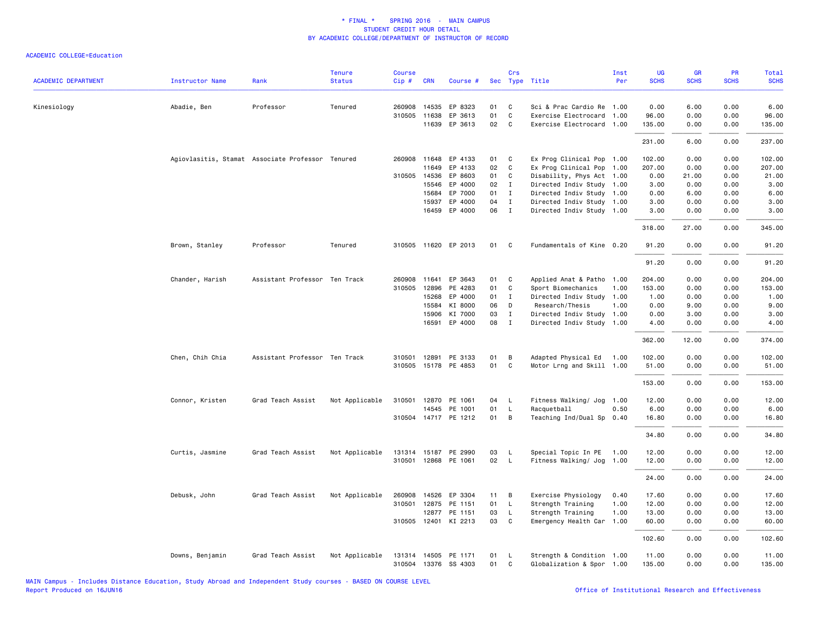| <b>ACADEMIC DEPARTMENT</b> | <b>Instructor Name</b> | Rank                                             | <b>Tenure</b><br><b>Status</b> | <b>Course</b><br>$Cip \#$ | <b>CRN</b>            | Course #                                     |          | Crs          | Sec Type Title                                         | Inst<br>Per | UG<br><b>SCHS</b> | GR<br><b>SCHS</b> | PR<br><b>SCHS</b> | Total<br><b>SCHS</b> |
|----------------------------|------------------------|--------------------------------------------------|--------------------------------|---------------------------|-----------------------|----------------------------------------------|----------|--------------|--------------------------------------------------------|-------------|-------------------|-------------------|-------------------|----------------------|
|                            |                        |                                                  |                                |                           |                       |                                              |          |              |                                                        |             |                   |                   |                   |                      |
| Kinesiology                | Abadie, Ben            | Professor                                        | Tenured                        |                           | 260908 14535          | EP 8323                                      | 01<br>01 | C<br>C       | Sci & Prac Cardio Re 1.00                              |             | 0.00              | 6.00              | 0.00              | 6.00                 |
|                            |                        |                                                  |                                |                           | 310505 11638<br>11639 | EP 3613<br>EP 3613                           | 02       | C            | Exercise Electrocard 1.00<br>Exercise Electrocard 1.00 |             | 96.00<br>135.00   | 0.00<br>0.00      | 0.00<br>0.00      | 96.00<br>135.00      |
|                            |                        |                                                  |                                |                           |                       |                                              |          |              |                                                        |             |                   |                   |                   |                      |
|                            |                        |                                                  |                                |                           |                       |                                              |          |              |                                                        |             | 231.00            | 6.00              | 0.00              | 237.00               |
|                            |                        | Agiovlasitis, Stamat Associate Professor Tenured |                                |                           | 260908 11648          | EP 4133                                      | 01       | C            | Ex Prog Clinical Pop 1.00                              |             | 102.00            | 0.00              | 0.00              | 102.00               |
|                            |                        |                                                  |                                |                           | 11649                 | EP 4133                                      | 02       | C            | Ex Prog Clinical Pop 1.00                              |             | 207.00            | 0.00              | 0.00              | 207.00               |
|                            |                        |                                                  |                                |                           | 310505 14536          | EP 8603                                      | 01       | C            | Disability, Phys Act 1.00                              |             | 0.00              | 21.00             | 0.00              | 21.00                |
|                            |                        |                                                  |                                |                           | 15546                 | EP 4000                                      | 02       | $\mathbf{I}$ | Directed Indiv Study 1.00                              |             | 3.00              | 0.00              | 0.00              | 3.00                 |
|                            |                        |                                                  |                                |                           | 15684                 | EP 7000                                      | 01       | $\mathbf{I}$ | Directed Indiv Study                                   | 1.00        | 0.00              | 6.00              | 0.00              | 6.00                 |
|                            |                        |                                                  |                                |                           | 15937                 | EP 4000                                      | 04       | $\mathbf{I}$ | Directed Indiv Study 1.00                              |             | 3.00              | 0.00              | 0.00              | 3.00                 |
|                            |                        |                                                  |                                |                           |                       | 16459 EP 4000                                | 06       | $\mathbf{I}$ | Directed Indiv Study 1.00                              |             | 3.00              | 0.00              | 0.00              | 3.00                 |
|                            |                        |                                                  |                                |                           |                       |                                              |          |              |                                                        |             | 318.00            | 27.00             | 0.00              | 345.00               |
|                            | Brown, Stanley         | Professor                                        | Tenured                        |                           |                       | 310505 11620 EP 2013                         | 01       | C            | Fundamentals of Kine 0.20                              |             | 91.20             | 0.00              | 0.00              | 91.20                |
|                            |                        |                                                  |                                |                           |                       |                                              |          |              |                                                        |             | 91.20             | 0.00              | 0.00              | 91.20                |
|                            | Chander, Harish        | Assistant Professor Ten Track                    |                                |                           | 260908 11641          | EP 3643                                      | 01       | C            | Applied Anat & Patho 1.00                              |             | 204.00            | 0.00              | 0.00              | 204.00               |
|                            |                        |                                                  |                                | 310505                    | 12896                 | PE 4283                                      | 01       | C            | Sport Biomechanics                                     | 1.00        | 153.00            | 0.00              | 0.00              | 153.00               |
|                            |                        |                                                  |                                |                           | 15268                 | EP 4000                                      | 01       | I            | Directed Indiv Study 1.00                              |             | 1.00              | 0.00              | 0.00              | 1.00                 |
|                            |                        |                                                  |                                |                           | 15584                 | KI 8000                                      | 06       | D            | Research/Thesis                                        | 1.00        | 0.00              | 9.00              | 0.00              | 9.00                 |
|                            |                        |                                                  |                                |                           | 15906                 | KI 7000                                      | 03       | $\mathbf{I}$ | Directed Indiv Study 1.00                              |             | 0.00              | 3.00              | 0.00              | 3.00                 |
|                            |                        |                                                  |                                |                           | 16591                 | EP 4000                                      | 08       | $\mathbf{I}$ | Directed Indiv Study 1.00                              |             | 4.00              | 0.00              | 0.00              | 4.00                 |
|                            |                        |                                                  |                                |                           |                       |                                              |          |              |                                                        |             | 362.00            | 12.00             | 0.00              | 374.00               |
|                            | Chen, Chih Chia        | Assistant Professor Ten Track                    |                                |                           |                       | 310501 12891 PE 3133                         | 01       | B            | Adapted Physical Ed 1.00                               |             | 102.00            | 0.00              | 0.00              | 102.00               |
|                            |                        |                                                  |                                |                           |                       | 310505 15178 PE 4853                         | 01       | C            | Motor Lrng and Skill 1.00                              |             | 51.00             | 0.00              | 0.00              | 51.00                |
|                            |                        |                                                  |                                |                           |                       |                                              |          |              |                                                        |             | 153.00            | 0.00              | 0.00              | 153.00               |
|                            | Connor, Kristen        | Grad Teach Assist                                | Not Applicable                 |                           |                       | 310501 12870 PE 1061                         | 04       | L            | Fitness Walking/ Jog 1.00                              |             | 12.00             | 0.00              | 0.00              | 12.00                |
|                            |                        |                                                  |                                |                           |                       | 14545 PE 1001                                | 01       | L            | Racquetball                                            | 0.50        | 6.00              | 0.00              | 0.00              | 6.00                 |
|                            |                        |                                                  |                                |                           |                       | 310504 14717 PE 1212                         | 01       | B            | Teaching Ind/Dual Sp 0.40                              |             | 16.80             | 0.00              | 0.00              | 16.80                |
|                            |                        |                                                  |                                |                           |                       |                                              |          |              |                                                        |             | 34.80             | 0.00              | 0.00              | 34.80                |
|                            | Curtis, Jasmine        | Grad Teach Assist                                | Not Applicable                 |                           |                       | 131314 15187 PE 2990                         | 03       | L            | Special Topic In PE 1.00                               |             | 12.00             | 0.00              | 0.00              | 12.00                |
|                            |                        |                                                  |                                |                           |                       | 310501 12868 PE 1061                         | 02       | L            | Fitness Walking/ Jog 1.00                              |             | 12.00             | 0.00              | 0.00              | 12.00                |
|                            |                        |                                                  |                                |                           |                       |                                              |          |              |                                                        |             | 24.00             | 0.00              | 0.00              | 24.00                |
|                            | Debusk, John           | Grad Teach Assist                                | Not Applicable                 | 260908                    | 14526                 | EP 3304                                      | 11       | в            | Exercise Physiology                                    | 0.40        | 17.60             | 0.00              | 0.00              | 17.60                |
|                            |                        |                                                  |                                | 310501                    | 12875                 | PE 1151                                      | 01       | L            | Strength Training                                      | 1.00        | 12.00             | 0.00              | 0.00              | 12.00                |
|                            |                        |                                                  |                                |                           |                       | 12877 PE 1151                                | 03       | L            | Strength Training                                      | 1.00        | 13.00             | 0.00              | 0.00              | 13.00                |
|                            |                        |                                                  |                                |                           |                       | 310505 12401 KI 2213                         | 03       | C            | Emergency Health Car 1.00                              |             | 60.00             | 0.00              | 0.00              | 60.00                |
|                            |                        |                                                  |                                |                           |                       |                                              |          |              |                                                        |             | 102.60            | 0.00              | 0.00              | 102.60               |
|                            | Downs, Benjamin        | Grad Teach Assist                                | Not Applicable                 |                           |                       | 131314 14505 PE 1171<br>310504 13376 SS 4303 | 01<br>01 | L<br>C       | Strength & Condition 1.00<br>Globalization & Spor 1.00 |             | 11.00<br>135.00   | 0.00<br>0.00      | 0.00<br>0.00      | 11.00<br>135.00      |
|                            |                        |                                                  |                                |                           |                       |                                              |          |              |                                                        |             |                   |                   |                   |                      |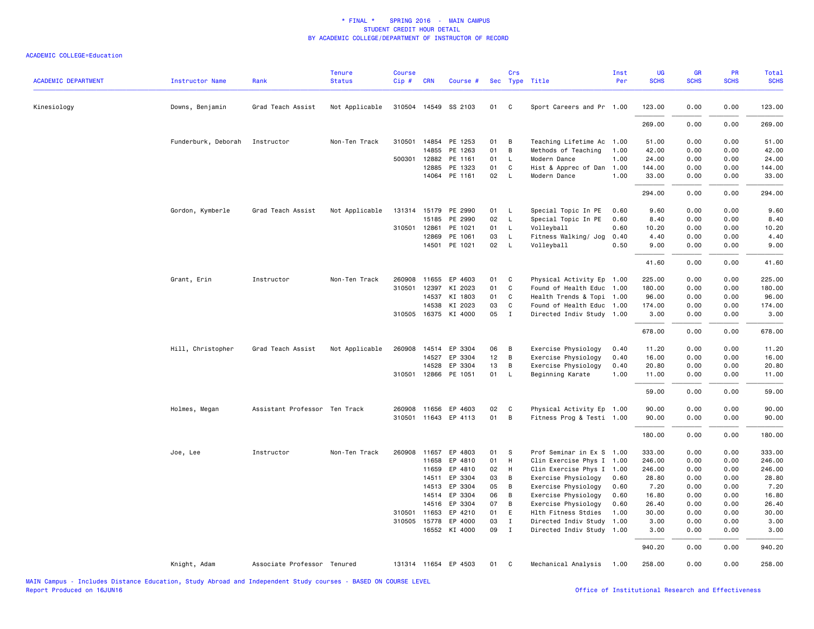| <b>ACADEMIC DEPARTMENT</b> | <b>Instructor Name</b> | Rank                          | <b>Tenure</b><br><b>Status</b> | <b>Course</b><br>Cip# | <b>CRN</b>            | Course #             |            | Crs            | Sec Type Title                                         | Inst<br>Per  | UG<br><b>SCHS</b> | <b>GR</b><br><b>SCHS</b> | PR<br><b>SCHS</b> | Total<br><b>SCHS</b> |
|----------------------------|------------------------|-------------------------------|--------------------------------|-----------------------|-----------------------|----------------------|------------|----------------|--------------------------------------------------------|--------------|-------------------|--------------------------|-------------------|----------------------|
| Kinesiology                | Downs, Benjamin        | Grad Teach Assist             | Not Applicable                 |                       |                       | 310504 14549 SS 2103 | 01 C       |                | Sport Careers and Pr 1.00                              |              | 123.00            | 0.00                     | 0.00              | 123.00               |
|                            |                        |                               |                                |                       |                       |                      |            |                |                                                        |              |                   |                          |                   |                      |
|                            |                        |                               |                                |                       |                       |                      |            |                |                                                        |              | 269.00            | 0.00                     | 0.00              | 269.00               |
|                            | Funderburk, Deborah    | Instructor                    | Non-Ten Track                  |                       | 310501 14854          | PE 1253              | 01         | B              | Teaching Lifetime Ac 1.00                              |              | 51.00             | 0.00                     | 0.00              | 51.00                |
|                            |                        |                               |                                |                       | 14855                 | PE 1263              | 01         | B              | Methods of Teaching                                    | 1.00         | 42.00             | 0.00                     | 0.00              | 42.00                |
|                            |                        |                               |                                |                       | 500301 12882<br>12885 | PE 1161<br>PE 1323   | 01<br>01 C | $\mathsf{L}$   | Modern Dance<br>Hist & Apprec of Dan                   | 1.00<br>1.00 | 24.00<br>144.00   | 0.00<br>0.00             | 0.00<br>0.00      | 24.00<br>144.00      |
|                            |                        |                               |                                |                       |                       | 14064 PE 1161        | 02         | $\mathsf{L}$   | Modern Dance                                           | 1.00         | 33.00             | 0.00                     | 0.00              | 33.00                |
|                            |                        |                               |                                |                       |                       |                      |            |                |                                                        |              | 294.00            | 0.00                     | 0.00              | 294.00               |
|                            |                        |                               |                                |                       |                       |                      |            |                |                                                        |              |                   |                          |                   |                      |
|                            | Gordon, Kymberle       | Grad Teach Assist             | Not Applicable                 |                       | 131314 15179<br>15185 | PE 2990<br>PE 2990   | 01<br>02 L | $\mathsf{L}$   | Special Topic In PE<br>Special Topic In PE             | 0.60<br>0.60 | 9.60<br>8.40      | 0.00<br>0.00             | 0.00<br>0.00      | 9.60<br>8.40         |
|                            |                        |                               |                                | 310501                | 12861                 | PE 1021              | 01         | L.             | Volleyball                                             | 0.60         | 10.20             | 0.00                     | 0.00              | 10.20                |
|                            |                        |                               |                                |                       | 12869                 | PE 1061              | 03         | $\mathsf{L}$   | Fitness Walking/ Jog                                   | 0.40         | 4.40              | 0.00                     | 0.00              | 4.40                 |
|                            |                        |                               |                                |                       |                       | 14501 PE 1021        | 02         | <b>L</b>       | Volleyball                                             | 0.50         | 9.00              | 0.00                     | 0.00              | 9.00                 |
|                            |                        |                               |                                |                       |                       |                      |            |                |                                                        |              | 41.60             | 0.00                     | 0.00              | 41.60                |
|                            |                        | Instructor                    | Non-Ten Track                  |                       | 260908 11655          | EP 4603              | 01 C       |                |                                                        |              | 225.00            | 0.00                     | 0.00              | 225.00               |
|                            | Grant, Erin            |                               |                                | 310501                | 12397                 | KI 2023              | 01         | $\mathbf{C}$   | Physical Activity Ep 1.00<br>Found of Health Educ 1.00 |              | 180.00            | 0.00                     | 0.00              | 180.00               |
|                            |                        |                               |                                |                       | 14537                 | KI 1803              | 01         | C              | Health Trends & Topi 1.00                              |              | 96.00             | 0.00                     | 0.00              | 96.00                |
|                            |                        |                               |                                |                       | 14538                 | KI 2023              | 03         | C              | Found of Health Educ 1.00                              |              | 174.00            | 0.00                     | 0.00              | 174.00               |
|                            |                        |                               |                                |                       |                       | 310505 16375 KI 4000 | 05         | $\mathbf{I}$   | Directed Indiv Study 1.00                              |              | 3.00              | 0.00                     | 0.00              | 3.00                 |
|                            |                        |                               |                                |                       |                       |                      |            |                |                                                        |              | 678.00            | 0.00                     | 0.00              | 678.00               |
|                            | Hill, Christopher      | Grad Teach Assist             | Not Applicable                 | 260908                | 14514                 | EP 3304              | 06         | $\overline{B}$ | Exercise Physiology                                    | 0.40         | 11.20             | 0.00                     | 0.00              | 11.20                |
|                            |                        |                               |                                |                       | 14527                 | EP 3304              | 12         | $\overline{B}$ | Exercise Physiology                                    | 0.40         | 16.00             | 0.00                     | 0.00              | 16.00                |
|                            |                        |                               |                                |                       | 14528                 | EP 3304              | 13         | B              | Exercise Physiology                                    | 0.40         | 20.80             | 0.00                     | 0.00              | 20.80                |
|                            |                        |                               |                                |                       |                       | 310501 12866 PE 1051 | 01         | $\mathsf{L}$   | Beginning Karate                                       | 1.00         | 11.00             | 0.00                     | 0.00              | 11.00                |
|                            |                        |                               |                                |                       |                       |                      |            |                |                                                        |              | 59.00             | 0.00                     | 0.00              | 59.00                |
|                            | Holmes, Megan          | Assistant Professor Ten Track |                                | 260908                | 11656                 | EP 4603              | 02         | $\mathbf{C}$   | Physical Activity Ep 1.00                              |              | 90.00             | 0.00                     | 0.00              | 90.00                |
|                            |                        |                               |                                |                       |                       | 310501 11643 EP 4113 | 01         | B              | Fitness Prog & Testi 1.00                              |              | 90.00             | 0.00                     | 0.00              | 90.00                |
|                            |                        |                               |                                |                       |                       |                      |            |                |                                                        |              | 180.00            | 0.00                     | 0.00              | 180.00               |
|                            | Joe, Lee               | Instructor                    | Non-Ten Track                  | 260908                | 11657                 | EP 4803              | 01         | <b>S</b>       | Prof Seminar in Ex S 1.00                              |              | 333.00            | 0.00                     | 0.00              | 333.00               |
|                            |                        |                               |                                |                       | 11658                 | EP 4810              | 01         | H              | Clin Exercise Phys I 1.00                              |              | 246.00            | 0.00                     | 0.00              | 246.00               |
|                            |                        |                               |                                |                       | 11659                 | EP 4810              | 02         | H              | Clin Exercise Phys I                                   | 1.00         | 246.00            | 0.00                     | 0.00              | 246.00               |
|                            |                        |                               |                                |                       | 14511                 | EP 3304              | 03         | B              | Exercise Physiology                                    | 0.60         | 28.80             | 0.00                     | 0.00              | 28.80                |
|                            |                        |                               |                                |                       | 14513                 | EP 3304              | 05         | B              | Exercise Physiology                                    | 0.60         | 7.20              | 0.00                     | 0.00              | 7.20                 |
|                            |                        |                               |                                |                       | 14514                 | EP 3304              | 06         | B              | Exercise Physiology                                    | 0.60         | 16.80             | 0.00                     | 0.00              | 16.80                |
|                            |                        |                               |                                |                       | 14516                 | EP 3304              | 07         | B              | Exercise Physiology                                    | 0.60         | 26.40             | 0.00                     | 0.00              | 26.40                |
|                            |                        |                               |                                |                       | 310501 11653          | EP 4210              | 01 E       |                | Hlth Fitness Stdies                                    | 1.00         | 30.00             | 0.00                     | 0.00              | 30.00                |
|                            |                        |                               |                                |                       | 310505 15778          | EP 4000              | 03         | $\mathbf{I}$   | Directed Indiv Study                                   | 1.00         | 3.00              | 0.00                     | 0.00              | 3.00                 |
|                            |                        |                               |                                |                       |                       | 16552 KI 4000        | 09         | $\mathbf{I}$   | Directed Indiv Study 1.00                              |              | 3.00              | 0.00                     | 0.00              | 3.00                 |
|                            |                        |                               |                                |                       |                       |                      |            |                |                                                        |              | 940.20            | 0.00                     | 0.00              | 940.20               |
|                            | Knight, Adam           | Associate Professor Tenured   |                                |                       |                       | 131314 11654 EP 4503 | 01         | $\mathbf{C}$   | Mechanical Analysis 1.00                               |              | 258.00            | 0.00                     | 0.00              | 258.00               |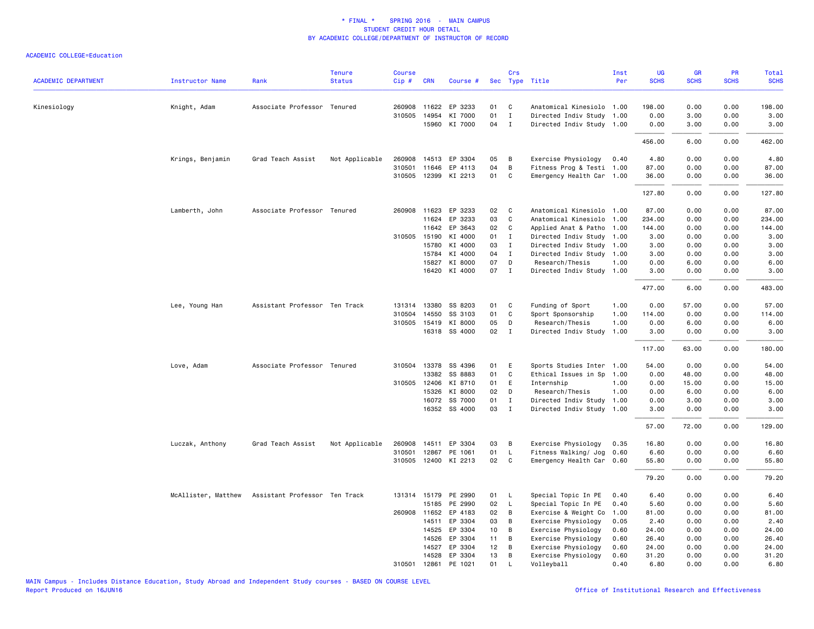|                            |                        |                               | <b>Tenure</b>  | <b>Course</b> |              |                      |                 | Crs            |                           | Inst | UG          | GR          | PR          | Total       |
|----------------------------|------------------------|-------------------------------|----------------|---------------|--------------|----------------------|-----------------|----------------|---------------------------|------|-------------|-------------|-------------|-------------|
| <b>ACADEMIC DEPARTMENT</b> | <b>Instructor Name</b> | Rank                          | <b>Status</b>  | Cip#          | <b>CRN</b>   | Course #             |                 |                | Sec Type Title            | Per  | <b>SCHS</b> | <b>SCHS</b> | <b>SCHS</b> | <b>SCHS</b> |
| Kinesiology                | Knight, Adam           | Associate Professor Tenured   |                |               |              | 260908 11622 EP 3233 | 01              | C <sub>c</sub> | Anatomical Kinesiolo 1.00 |      | 198,00      | 0.00        | 0.00        | 198.00      |
|                            |                        |                               |                |               | 310505 14954 | KI 7000              | 01              | $\mathbf{I}$   | Directed Indiv Study 1.00 |      | 0.00        | 3.00        | 0.00        | 3.00        |
|                            |                        |                               |                |               |              | 15960 KI 7000        | 04              | $\mathbf{I}$   | Directed Indiv Study 1.00 |      | 0.00        | 3.00        | 0.00        | 3.00        |
|                            |                        |                               |                |               |              |                      |                 |                |                           |      | 456.00      | 6.00        | 0.00        | 462.00      |
|                            | Krings, Benjamin       | Grad Teach Assist             | Not Applicable |               |              | 260908 14513 EP 3304 | 05              | B              | Exercise Physiology       | 0.40 | 4.80        | 0.00        | 0.00        | 4.80        |
|                            |                        |                               |                | 310501        | 11646        | EP 4113              | 04              | B              | Fitness Prog & Testi 1.00 |      | 87.00       | 0.00        | 0.00        | 87.00       |
|                            |                        |                               |                |               |              | 310505 12399 KI 2213 | 01              | C              | Emergency Health Car 1.00 |      | 36.00       | 0.00        | 0.00        | 36.00       |
|                            |                        |                               |                |               |              |                      |                 |                |                           |      | 127.80      | 0.00        | 0.00        | 127.80      |
|                            | Lamberth, John         | Associate Professor Tenured   |                |               |              | 260908 11623 EP 3233 | 02              | $\mathbf{C}$   | Anatomical Kinesiolo 1.00 |      | 87.00       | 0.00        | 0.00        | 87.00       |
|                            |                        |                               |                |               | 11624        | EP 3233              | 03              | C              | Anatomical Kinesiolo      | 1.00 | 234.00      | 0.00        | 0.00        | 234.00      |
|                            |                        |                               |                |               | 11642        | EP 3643              | 02              | C              | Applied Anat & Patho 1.00 |      | 144.00      | 0.00        | 0.00        | 144.00      |
|                            |                        |                               |                |               | 310505 15190 | KI 4000              | 01              | Ι.             | Directed Indiv Study 1.00 |      | 3.00        | 0.00        | 0.00        | 3.00        |
|                            |                        |                               |                |               | 15780        | KI 4000              | 03              | $\mathbf{I}$   | Directed Indiv Study 1.00 |      | 3.00        | 0.00        | 0.00        | 3.00        |
|                            |                        |                               |                |               | 15784        | KI 4000              | 04              | $\mathbf{I}$   | Directed Indiv Study 1.00 |      | 3.00        | 0.00        | 0.00        | 3.00        |
|                            |                        |                               |                |               | 15827        | KI 8000              | 07              | D              | Research/Thesis           | 1.00 | 0.00        | 6.00        | 0.00        | 6.00        |
|                            |                        |                               |                |               |              | 16420 KI 4000        | 07 I            |                | Directed Indiv Study 1.00 |      | 3.00        | 0.00        | 0.00        | 3.00        |
|                            |                        |                               |                |               |              |                      |                 |                |                           |      | 477.00      | 6.00        | 0.00        | 483.00      |
|                            | Lee, Young Han         | Assistant Professor Ten Track |                |               | 131314 13380 | SS 8203              | 01              | C              | Funding of Sport          | 1.00 | 0.00        | 57.00       | 0.00        | 57.00       |
|                            |                        |                               |                | 310504        | 14550        | SS 3103              | 01              | C              | Sport Sponsorship         | 1.00 | 114.00      | 0.00        | 0.00        | 114.00      |
|                            |                        |                               |                |               | 310505 15419 | KI 8000              | 05              | D              | Research/Thesis           | 1.00 | 0.00        | 6.00        | 0.00        | 6.00        |
|                            |                        |                               |                |               |              | 16318 SS 4000        | 02              | $\mathbf{I}$   | Directed Indiv Study 1.00 |      | 3.00        | 0.00        | 0.00        | 3.00        |
|                            |                        |                               |                |               |              |                      |                 |                |                           |      | 117.00      | 63.00       | 0.00        | 180.00      |
|                            | Love, Adam             | Associate Professor Tenured   |                | 310504        | 13378        | SS 4396              | 01              | E              | Sports Studies Inter 1.00 |      | 54.00       | 0.00        | 0.00        | 54.00       |
|                            |                        |                               |                |               | 13382        | SS 8883              | 01              | C              | Ethical Issues in Sp      | 1.00 | 0.00        | 48.00       | 0.00        | 48.00       |
|                            |                        |                               |                |               | 310505 12406 | KI 8710              | 01              | E              | Internship                | 1.00 | 0.00        | 15.00       | 0.00        | 15.00       |
|                            |                        |                               |                |               | 15326        | KI 8000              | 02              | D              | Research/Thesis           | 1.00 | 0.00        | 6.00        | 0.00        | 6.00        |
|                            |                        |                               |                |               | 16072        | SS 7000              | 01              | $\mathbf{I}$   | Directed Indiv Study 1.00 |      | 0.00        | 3.00        | 0.00        | 3.00        |
|                            |                        |                               |                |               |              | 16352 SS 4000        | 03              | $\mathbf{I}$   | Directed Indiv Study 1.00 |      | 3.00        | 0.00        | 0.00        | 3.00        |
|                            |                        |                               |                |               |              |                      |                 |                |                           |      | 57.00       | 72.00       | 0.00        | 129.00      |
|                            | Luczak, Anthony        | Grad Teach Assist             | Not Applicable | 260908        | 14511        | EP 3304              | 03              | в              | Exercise Physiology       | 0.35 | 16.80       | 0.00        | 0.00        | 16.80       |
|                            |                        |                               |                | 310501        |              | 12867 PE 1061        | 01              | L.             | Fitness Walking/ Jog      | 0.60 | 6.60        | 0.00        | 0.00        | 6.60        |
|                            |                        |                               |                |               |              | 310505 12400 KI 2213 | 02              | $\mathbf{C}$   | Emergency Health Car 0.60 |      | 55.80       | 0.00        | 0.00        | 55.80       |
|                            |                        |                               |                |               |              |                      |                 |                |                           |      | 79.20       | 0.00        | 0.00        | 79.20       |
|                            | McAllister, Matthew    | Assistant Professor Ten Track |                |               |              | 131314 15179 PE 2990 | 01              | L.             | Special Topic In PE       | 0.40 | 6.40        | 0.00        | 0.00        | 6.40        |
|                            |                        |                               |                |               | 15185        | PE 2990              | 02              | L              | Special Topic In PE       | 0.40 | 5.60        | 0.00        | 0.00        | 5.60        |
|                            |                        |                               |                |               | 260908 11652 | EP 4183              | 02              | B              | Exercise & Weight Co      | 1.00 | 81.00       | 0.00        | 0.00        | 81.00       |
|                            |                        |                               |                |               | 14511        | EP 3304              | 03              | B              | Exercise Physiology       | 0.05 | 2.40        | 0.00        | 0.00        | 2.40        |
|                            |                        |                               |                |               | 14525        | EP 3304              | 10 <sub>1</sub> | B              | Exercise Physiology       | 0.60 | 24.00       | 0.00        | 0.00        | 24.00       |
|                            |                        |                               |                |               | 14526        | EP 3304              | 11              | $\overline{B}$ | Exercise Physiology       | 0.60 | 26.40       | 0.00        | 0.00        | 26.40       |
|                            |                        |                               |                |               | 14527        | EP 3304              | 12              | В              | Exercise Physiology       | 0.60 | 24.00       | 0.00        | 0.00        | 24.00       |
|                            |                        |                               |                |               | 14528        | EP 3304              | 13              | B              | Exercise Physiology       | 0.60 | 31.20       | 0.00        | 0.00        | 31.20       |
|                            |                        |                               |                | 310501        | 12861        | PE 1021              | 01              | L              | Volleyball                | 0.40 | 6.80        | 0.00        | 0.00        | 6.80        |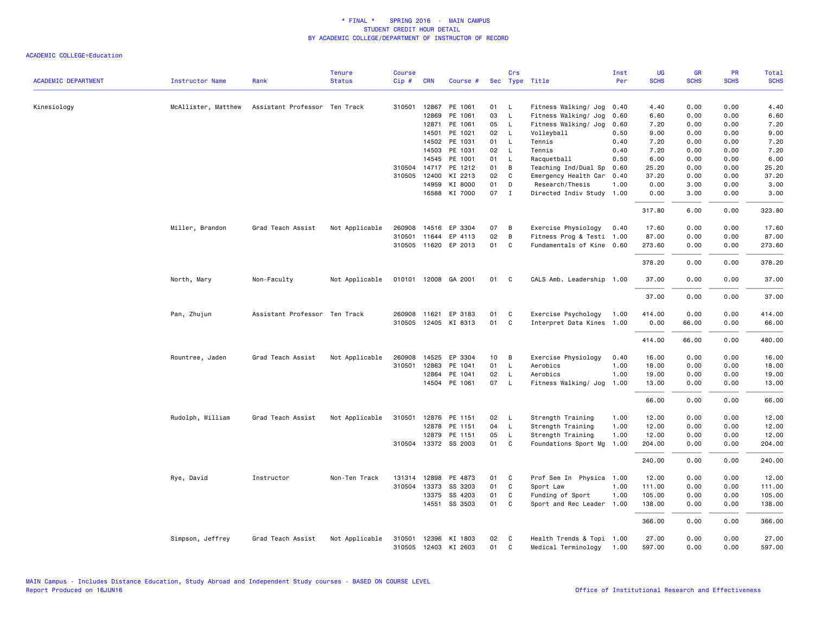| <b>ACADEMIC DEPARTMENT</b> | <b>Instructor Name</b> | Rank                          | <b>Tenure</b><br><b>Status</b> | <b>Course</b><br>Cip# | <b>CRN</b>   | Course #             |    | Crs          | Sec Type Title            | Inst<br>Per | UG<br><b>SCHS</b> | <b>GR</b><br><b>SCHS</b> | PR<br><b>SCHS</b> | <b>Total</b><br><b>SCHS</b> |
|----------------------------|------------------------|-------------------------------|--------------------------------|-----------------------|--------------|----------------------|----|--------------|---------------------------|-------------|-------------------|--------------------------|-------------------|-----------------------------|
|                            |                        |                               |                                |                       |              |                      |    |              |                           |             |                   |                          |                   |                             |
| Kinesiology                | McAllister, Matthew    | Assistant Professor Ten Track |                                | 310501                | 12867        | PE 1061              | 01 | L            | Fitness Walking/ Jog      | 0.40        | 4.40              | 0.00                     | 0.00              | 4.40                        |
|                            |                        |                               |                                |                       | 12869        | PE 1061              | 03 | L            | Fitness Walking/ Jog      | 0.60        | 6.60              | 0.00                     | 0.00              | 6.60                        |
|                            |                        |                               |                                |                       | 12871        | PE 1061              | 05 | $\mathsf{L}$ | Fitness Walking/ Jog      | 0.60        | 7.20              | 0.00                     | 0.00              | 7.20                        |
|                            |                        |                               |                                |                       | 14501        | PE 1021              | 02 | L            | Volleyball                | 0.50        | 9.00              | 0.00                     | 0.00              | 9.00                        |
|                            |                        |                               |                                |                       | 14502        | PE 1031              | 01 | L            | Tennis                    | 0.40        | 7.20              | 0.00                     | 0.00              | 7.20                        |
|                            |                        |                               |                                |                       | 14503        | PE 1031              | 02 | $\mathsf{L}$ | Tennis                    | 0.40        | 7.20              | 0.00                     | 0.00              | 7.20                        |
|                            |                        |                               |                                |                       | 14545        | PE 1001              | 01 | L            | Racquetball               | 0.50        | 6.00              | 0.00                     | 0.00              | 6.00                        |
|                            |                        |                               |                                |                       | 310504 14717 | PE 1212              | 01 | B            | Teaching Ind/Dual Sp      | 0.60        | 25.20             | 0.00                     | 0.00              | 25.20                       |
|                            |                        |                               |                                | 310505                | 12400        | KI 2213              | 02 | C            | Emergency Health Car      | 0.40        | 37.20             | 0.00                     | 0.00              | 37.20                       |
|                            |                        |                               |                                |                       | 14959        | KI 8000              | 01 | D            | Research/Thesis           | 1.00        | 0.00              | 3.00                     | 0.00              | 3.00                        |
|                            |                        |                               |                                |                       |              | 16588 KI 7000        | 07 | $\mathbf{I}$ | Directed Indiv Study 1.00 |             | 0.00              | 3.00                     | 0.00              | 3.00                        |
|                            |                        |                               |                                |                       |              |                      |    |              |                           |             | 317.80            | 6.00                     | 0.00              | 323.80                      |
|                            | Miller, Brandon        | Grad Teach Assist             | Not Applicable                 | 260908                | 14516        | EP 3304              | 07 | B            | Exercise Physiology       | 0.40        | 17.60             | 0.00                     | 0.00              | 17.60                       |
|                            |                        |                               |                                | 310501                | 11644        | EP 4113              | 02 | B            | Fitness Prog & Testi 1.00 |             | 87.00             | 0.00                     | 0.00              | 87.00                       |
|                            |                        |                               |                                |                       |              | 310505 11620 EP 2013 | 01 | C            | Fundamentals of Kine 0.60 |             | 273.60            | 0.00                     | 0.00              | 273.60                      |
|                            |                        |                               |                                |                       |              |                      |    |              |                           |             | 378.20            | 0.00                     | 0.00              | 378.20                      |
|                            | North, Mary            | Non-Faculty                   | Not Applicable                 |                       |              | 010101 12008 GA 2001 | 01 | C            | CALS Amb. Leadership 1.00 |             | 37.00             | 0.00                     | 0.00              | 37.00                       |
|                            |                        |                               |                                |                       |              |                      |    |              |                           |             | 37.00             | 0.00                     | 0.00              | 37.00                       |
|                            | Pan, Zhujun            | Assistant Professor Ten Track |                                | 260908                | 11621        | EP 3183              | 01 | C            | Exercise Psychology       | 1.00        | 414.00            | 0.00                     | 0.00              | 414.00                      |
|                            |                        |                               |                                |                       |              | 310505 12405 KI 8313 | 01 | C            | Interpret Data Kines      | 1.00        | 0.00              | 66.00                    | 0.00              | 66.00                       |
|                            |                        |                               |                                |                       |              |                      |    |              |                           |             | 414.00            | 66.00                    | 0.00              | 480.00                      |
|                            | Rountree, Jaden        | Grad Teach Assist             | Not Applicable                 | 260908                | 14525        | EP 3304              | 10 | B            | Exercise Physiology       | 0.40        | 16.00             | 0.00                     | 0.00              | 16.00                       |
|                            |                        |                               |                                | 310501                | 12863        | PE 1041              | 01 | L            | Aerobics                  | 1.00        | 18.00             | 0.00                     | 0.00              | 18.00                       |
|                            |                        |                               |                                |                       | 12864        | PE 1041              | 02 | L            | Aerobics                  | 1.00        | 19.00             | 0.00                     | 0.00              | 19.00                       |
|                            |                        |                               |                                |                       |              | 14504 PE 1061        | 07 | $\mathsf{L}$ | Fitness Walking/ Jog      | 1.00        | 13.00             | 0.00                     | 0.00              | 13.00                       |
|                            |                        |                               |                                |                       |              |                      |    |              |                           |             | 66.00             | 0.00                     | 0.00              | 66.00                       |
|                            | Rudolph, William       | Grad Teach Assist             | Not Applicable                 | 310501                | 12876        | PE 1151              | 02 | $\mathsf{L}$ | Strength Training         | 1.00        | 12.00             | 0.00                     | 0.00              | 12.00                       |
|                            |                        |                               |                                |                       | 12878        | PE 1151              | 04 | $\mathsf L$  | Strength Training         | 1.00        | 12.00             | 0.00                     | 0.00              | 12.00                       |
|                            |                        |                               |                                |                       | 12879        | PE 1151              | 05 | L            | Strength Training         | 1.00        | 12.00             | 0.00                     | 0.00              | 12.00                       |
|                            |                        |                               |                                |                       |              | 310504 13372 SS 2003 | 01 | C            | Foundations Sport Mg      | 1.00        | 204.00            | 0.00                     | 0.00              | 204.00                      |
|                            |                        |                               |                                |                       |              |                      |    |              |                           |             | 240.00            | 0.00                     | 0.00              | 240.00                      |
|                            | Rye, David             | Instructor                    | Non-Ten Track                  | 131314                |              | 12898 PE 4873        | 01 | C            | Prof Sem In Physica 1.00  |             | 12.00             | 0.00                     | 0.00              | 12.00                       |
|                            |                        |                               |                                | 310504                | 13373        | SS 3203              | 01 | C            | Sport Law                 | 1.00        | 111.00            | 0.00                     | 0.00              | 111.00                      |
|                            |                        |                               |                                |                       | 13375        | SS 4203              | 01 | C            | Funding of Sport          | 1.00        | 105.00            | 0.00                     | 0.00              | 105.00                      |
|                            |                        |                               |                                |                       |              | 14551 SS 3503        | 01 | C            | Sport and Rec Leader 1.00 |             | 138.00            | 0.00                     | 0.00              | 138.00                      |
|                            |                        |                               |                                |                       |              |                      |    |              |                           |             | 366.00            | 0.00                     | 0.00              | 366.00                      |
|                            | Simpson, Jeffrey       | Grad Teach Assist             | Not Applicable                 | 310501                | 12396        | KI 1803              | 02 | C            | Health Trends & Topi 1.00 |             | 27.00             | 0.00                     | 0.00              | 27.00                       |
|                            |                        |                               |                                |                       |              | 310505 12403 KI 2603 | 01 | C            | Medical Terminology       | 1.00        | 597.00            | 0.00                     | 0.00              | 597.00                      |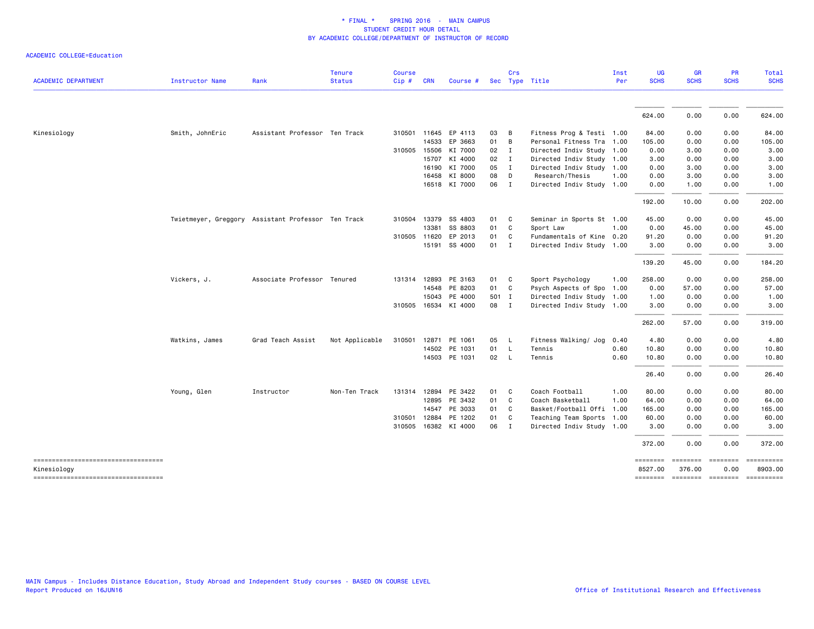| <b>ACADEMIC DEPARTMENT</b>                        | Instructor Name | Rank                                               | <b>Tenure</b><br><b>Status</b> | <b>Course</b><br>Cip# | <b>CRN</b>   | Course #             |       | Crs            | Sec Type Title            | Inst<br>Per | UG<br><b>SCHS</b>   | GR<br><b>SCHS</b>   | PR<br><b>SCHS</b>       | Total<br><b>SCHS</b>  |
|---------------------------------------------------|-----------------|----------------------------------------------------|--------------------------------|-----------------------|--------------|----------------------|-------|----------------|---------------------------|-------------|---------------------|---------------------|-------------------------|-----------------------|
|                                                   |                 |                                                    |                                |                       |              |                      |       |                |                           |             | 624.00              | 0.00                | 0.00                    | 624.00                |
| Kinesiology                                       | Smith, JohnEric | Assistant Professor Ten Track                      |                                |                       |              | 310501 11645 EP 4113 | 03    | $\overline{B}$ | Fitness Prog & Testi 1.00 |             | 84.00               | 0.00                | 0.00                    | 84.00                 |
|                                                   |                 |                                                    |                                |                       | 14533        | EP 3663              | 01    | $\overline{B}$ | Personal Fitness Tra 1.00 |             | 105.00              | 0.00                | 0.00                    | 105.00                |
|                                                   |                 |                                                    |                                |                       | 310505 15506 | KI 7000              | 02    | $\blacksquare$ | Directed Indiv Study 1.00 |             | 0.00                | 3.00                | 0.00                    | 3.00                  |
|                                                   |                 |                                                    |                                |                       | 15707        | KI 4000              | 02    | $\mathbf{I}$   | Directed Indiv Study 1.00 |             | 3.00                | 0.00                | 0.00                    | 3.00                  |
|                                                   |                 |                                                    |                                |                       | 16190        | KI 7000              | 05    | $\mathbf{I}$   |                           |             | 0.00                | 3.00                | 0.00                    | 3.00                  |
|                                                   |                 |                                                    |                                |                       |              |                      |       |                | Directed Indiv Study 1.00 |             |                     |                     |                         |                       |
|                                                   |                 |                                                    |                                |                       | 16458        | KI 8000              | 08    | $\Box$         | Research/Thesis           | 1.00        | 0.00                | 3.00                | 0.00                    | 3.00                  |
|                                                   |                 |                                                    |                                |                       |              | 16518 KI 7000        | 06 I  |                | Directed Indiv Study 1.00 |             | 0.00                | 1.00                | 0.00                    | 1.00                  |
|                                                   |                 |                                                    |                                |                       |              |                      |       |                |                           |             | 192.00              | 10.00               | 0.00                    | 202.00                |
|                                                   |                 | Twietmeyer, Greggory Assistant Professor Ten Track |                                |                       | 310504 13379 | SS 4803              | 01 C  |                | Seminar in Sports St 1.00 |             | 45.00               | 0.00                | 0.00                    | 45.00                 |
|                                                   |                 |                                                    |                                |                       | 13381        | SS 8803              | 01    | $\mathbf{C}$   | Sport Law                 | 1.00        | 0.00                | 45.00               | 0.00                    | 45.00                 |
|                                                   |                 |                                                    |                                |                       | 310505 11620 | EP 2013              | 01    | $\mathbf{C}$   | Fundamentals of Kine 0.20 |             | 91.20               | 0.00                | 0.00                    | 91.20                 |
|                                                   |                 |                                                    |                                |                       |              | 15191 SS 4000        | 01 I  |                | Directed Indiv Study 1.00 |             | 3.00                | 0.00                | 0.00                    | 3.00                  |
|                                                   |                 |                                                    |                                |                       |              |                      |       |                |                           |             | 139.20              | 45.00               | 0.00                    | 184.20                |
|                                                   | Vickers, J.     | Associate Professor Tenured                        |                                |                       | 131314 12893 | PE 3163              | 01    | $\overline{c}$ | Sport Psychology          | 1.00        | 258.00              | 0.00                | 0.00                    | 258.00                |
|                                                   |                 |                                                    |                                |                       | 14548        | PE 8203              | 01 C  |                | Psych Aspects of Spo 1.00 |             | 0.00                | 57.00               | 0.00                    | 57.00                 |
|                                                   |                 |                                                    |                                |                       | 15043        | PE 4000              | 501 I |                | Directed Indiv Study 1.00 |             | 1.00                | 0.00                | 0.00                    | 1.00                  |
|                                                   |                 |                                                    |                                |                       |              | 310505 16534 KI 4000 | 08 I  |                | Directed Indiv Study 1.00 |             | 3.00                | 0.00                | 0.00                    | 3.00                  |
|                                                   |                 |                                                    |                                |                       |              |                      |       |                |                           |             | 262.00              | 57.00               | 0.00                    | 319.00                |
|                                                   | Watkins, James  | Grad Teach Assist                                  | Not Applicable                 |                       |              | 310501 12871 PE 1061 | 05    | $\mathsf{L}$   | Fitness Walking/ Jog      | 0.40        | 4.80                | 0.00                | 0.00                    | 4.80                  |
|                                                   |                 |                                                    |                                |                       |              | 14502 PE 1031        | 01 L  |                | Tennis                    | 0.60        | 10.80               | 0.00                | 0.00                    | 10.80                 |
|                                                   |                 |                                                    |                                |                       |              | 14503 PE 1031        | 02 L  |                | Tennis                    | 0.60        | 10.80               | 0.00                | 0.00                    | 10.80                 |
|                                                   |                 |                                                    |                                |                       |              |                      |       |                |                           |             | 26.40               | 0.00                | 0.00                    | 26.40                 |
|                                                   | Young, Glen     | Instructor                                         | Non-Ten Track                  |                       | 131314 12894 | PE 3422              | 01 C  |                | Coach Football            | 1.00        | 80.00               | 0.00                | 0.00                    | 80.00                 |
|                                                   |                 |                                                    |                                |                       | 12895        | PE 3432              | 01    | $\mathbf{C}$   | Coach Basketball          | 1.00        | 64.00               | 0.00                | 0.00                    | 64.00                 |
|                                                   |                 |                                                    |                                |                       | 14547        | PE 3033              | 01    | $\mathbf{C}$   | Basket/Football Offi 1.00 |             | 165.00              | 0.00                | 0.00                    | 165.00                |
|                                                   |                 |                                                    |                                |                       | 310501 12884 | PE 1202              | 01    | C              | Teaching Team Sports 1.00 |             | 60.00               | 0.00                | 0.00                    | 60.00                 |
|                                                   |                 |                                                    |                                |                       |              | 310505 16382 KI 4000 | 06    | $\mathbf{I}$   | Directed Indiv Study 1.00 |             | 3.00                | 0.00                | 0.00                    | 3.00                  |
|                                                   |                 |                                                    |                                |                       |              |                      |       |                |                           |             | 372.00              | 0.00                | 0.00                    | 372.00                |
| -----------------------------------               |                 |                                                    |                                |                       |              |                      |       |                |                           |             | ========            | ========            |                         | -------------------   |
| Kinesiology<br>---------------------------------- |                 |                                                    |                                |                       |              |                      |       |                |                           |             | 8527.00<br>======== | 376.00<br>--------- | 0.00<br><b>ESSESSES</b> | 8903.00<br>========== |
|                                                   |                 |                                                    |                                |                       |              |                      |       |                |                           |             |                     |                     |                         |                       |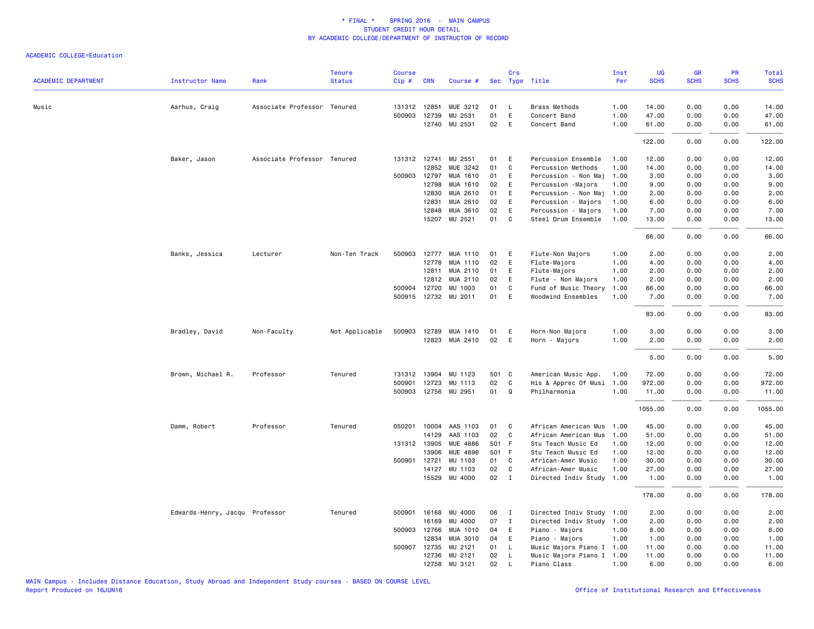|                            |                                |                             | <b>Tenure</b>  | <b>Course</b> |              |                       |       | Crs          |                           | Inst | UG          | <b>GR</b>   | <b>PR</b>   | Total       |
|----------------------------|--------------------------------|-----------------------------|----------------|---------------|--------------|-----------------------|-------|--------------|---------------------------|------|-------------|-------------|-------------|-------------|
| <b>ACADEMIC DEPARTMENT</b> | <b>Instructor Name</b>         | Rank                        | <b>Status</b>  | Cip#          | <b>CRN</b>   | Course #              |       |              | Sec Type Title            | Per  | <b>SCHS</b> | <b>SCHS</b> | <b>SCHS</b> | <b>SCHS</b> |
| Music                      | Aarhus, Craig                  | Associate Professor Tenured |                |               | 131312 12851 | MUE 3212              | 01    | $\perp$      | Brass Methods             | 1.00 | 14.00       | 0.00        | 0.00        | 14.00       |
|                            |                                |                             |                |               | 500903 12739 | MU 2531               | 01    | E            | Concert Band              | 1.00 | 47.00       | 0.00        | 0.00        | 47.00       |
|                            |                                |                             |                |               | 12740        | MU 2531               | 02    | E            | Concert Band              | 1.00 | 61.00       | 0.00        | 0.00        | 61.00       |
|                            |                                |                             |                |               |              |                       |       |              |                           |      | 122.00      | 0.00        | 0.00        | 122.00      |
|                            | Baker, Jason                   | Associate Professor Tenured |                |               | 131312 12741 | MU 2551               | 01    | E            | Percussion Ensemble       | 1.00 | 12.00       | 0.00        | 0.00        | 12.00       |
|                            |                                |                             |                |               | 12852        | MUE 3242              | 01    | C            | Percussion Methods        | 1.00 | 14.00       | 0.00        | 0.00        | 14.00       |
|                            |                                |                             |                |               | 500903 12797 | MUA 1610              | 01    | E            | Percussion - Non Maj      | 1.00 | 3.00        | 0.00        | 0.00        | 3.00        |
|                            |                                |                             |                |               | 12798        | MUA 1610              | 02    | E            | Percussion - Majors       | 1.00 | 9.00        | 0.00        | 0.00        | 9.00        |
|                            |                                |                             |                |               | 12830        | MUA 2610              | 01    | E            | Percussion - Non Maj      | 1.00 | 2.00        | 0.00        | 0.00        | 2.00        |
|                            |                                |                             |                |               | 12831        | MUA 2610              | 02    | E            | Percussion - Majors       | 1.00 | 6.00        | 0.00        | 0.00        | 6.00        |
|                            |                                |                             |                |               | 12848        | MUA 3610              | 02    | E            | Percussion - Majors       | 1.00 | 7.00        | 0.00        | 0.00        | 7.00        |
|                            |                                |                             |                |               | 15207        | MU 2521               | 01    | C            | Steel Drum Ensemble       | 1.00 | 13.00       | 0.00        | 0.00        | 13.00       |
|                            |                                |                             |                |               |              |                       |       |              |                           |      | 66.00       | 0.00        | 0.00        | 66.00       |
|                            | Banks, Jessica                 | Lecturer                    | Non-Ten Track  |               |              | 500903 12777 MUA 1110 | 01    | E            | Flute-Non Majors          | 1.00 | 2.00        | 0.00        | 0.00        | 2.00        |
|                            |                                |                             |                |               | 12778        | MUA 1110              | 02    | E            | Flute-Majors              | 1.00 | 4.00        | 0.00        | 0.00        | 4.00        |
|                            |                                |                             |                |               | 12811        | MUA 2110              | 01    | E            | Flute-Majors              | 1.00 | 2.00        | 0.00        | 0.00        | 2.00        |
|                            |                                |                             |                |               | 12812        | MUA 2110              | 02    | E            | Flute - Non Majors        | 1.00 | 2.00        | 0.00        | 0.00        | 2.00        |
|                            |                                |                             |                |               | 500904 12720 | MU 1003               | 01    | C            | Fund of Music Theory      | 1.00 | 66.00       | 0.00        | 0.00        | 66.00       |
|                            |                                |                             |                |               |              | 500915 12732 MU 2011  | 01    | E            | Woodwind Ensembles        | 1.00 | 7.00        | 0.00        | 0.00        | 7.00        |
|                            |                                |                             |                |               |              |                       |       |              |                           |      | 83.00       | 0.00        | 0.00        | 83.00       |
|                            | Bradley, David                 | Non-Faculty                 | Not Applicable |               |              | 500903 12789 MUA 1410 | 01    | E            | Horn-Non Majors           | 1.00 | 3.00        | 0.00        | 0.00        | 3.00        |
|                            |                                |                             |                |               | 12823        | MUA 2410              | 02    | E            | Horn - Majors             | 1.00 | 2.00        | 0.00        | 0.00        | 2.00        |
|                            |                                |                             |                |               |              |                       |       |              |                           |      | 5.00        | 0.00        | 0.00        | 5.00        |
|                            | Brown, Michael R.              | Professor                   | Tenured        | 131312        | 13904        | MU 1123               | 501 C |              | American Music App.       | 1.00 | 72.00       | 0.00        | 0.00        | 72.00       |
|                            |                                |                             |                | 500901        | 12723        | MU 1113               | 02    | C            | His & Apprec Of Musi      | 1.00 | 972.00      | 0.00        | 0.00        | 972.00      |
|                            |                                |                             |                |               |              | 500903 12756 MU 2951  | 01    | Q            | Philharmonia              | 1.00 | 11.00       | 0.00        | 0.00        | 11.00       |
|                            |                                |                             |                |               |              |                       |       |              |                           |      | 1055.00     | 0.00        | 0.00        | 1055.00     |
|                            | Damm, Robert                   | Professor                   | Tenured        |               |              | 050201 10004 AAS 1103 | 01    | C            | African American Mus      | 1.00 | 45.00       | 0.00        | 0.00        | 45.00       |
|                            |                                |                             |                |               | 14129        | AAS 1103              | 02    | C            | African American Mus      | 1.00 | 51.00       | 0.00        | 0.00        | 51.00       |
|                            |                                |                             |                |               | 131312 13905 | MUE 4886              | 501 F |              | Stu Teach Music Ed        | 1.00 | 12.00       | 0.00        | 0.00        | 12.00       |
|                            |                                |                             |                |               | 13906        | MUE 4896              | 501 F |              | Stu Teach Music Ed        | 1.00 | 12.00       | 0.00        | 0.00        | 12.00       |
|                            |                                |                             |                | 500901        | 12721        | MU 1103               | 01    | C            | African-Amer Music        | 1.00 | 30.00       | 0.00        | 0.00        | 30.00       |
|                            |                                |                             |                |               | 14127        | MU 1103               | 02    | C            | African-Amer Music        | 1.00 | 27.00       | 0.00        | 0.00        | 27.00       |
|                            |                                |                             |                |               | 15529        | MU 4000               | 02    | $\mathbf{I}$ | Directed Indiv Study      | 1.00 | 1.00        | 0.00        | 0.00        | 1.00        |
|                            |                                |                             |                |               |              |                       |       |              |                           |      | 178.00      | 0.00        | 0.00        | 178.00      |
|                            | Edwards-Henry, Jacqu Professor |                             | Tenured        | 500901        | 16168        | MU 4000               | 06    | $\mathbf{I}$ | Directed Indiv Study      | 1.00 | 2.00        | 0.00        | 0.00        | 2.00        |
|                            |                                |                             |                |               | 16169        | MU 4000               | 07    | $\mathbf{I}$ | Directed Indiv Study      | 1.00 | 2.00        | 0.00        | 0.00        | 2.00        |
|                            |                                |                             |                |               | 500903 12766 | MUA 1010              | 04    | E            | Piano - Majors            | 1.00 | 8.00        | 0.00        | 0.00        | 8.00        |
|                            |                                |                             |                |               | 12834        | MUA 3010              | 04    | E            | Piano - Majors            | 1.00 | 1.00        | 0.00        | 0.00        | 1.00        |
|                            |                                |                             |                |               | 500907 12735 | MU 2121               | 01    | L            | Music Majors Piano I 1.00 |      | 11.00       | 0.00        | 0.00        | 11.00       |
|                            |                                |                             |                |               | 12736        | MU 2121               | 02    | L            | Music Majors Piano I      | 1.00 | 11.00       | 0.00        | 0.00        | 11.00       |
|                            |                                |                             |                |               | 12758        | MU 3121               | 02    | $\mathsf{L}$ | Piano Class               | 1.00 | 6.00        | 0.00        | 0.00        | 6.00        |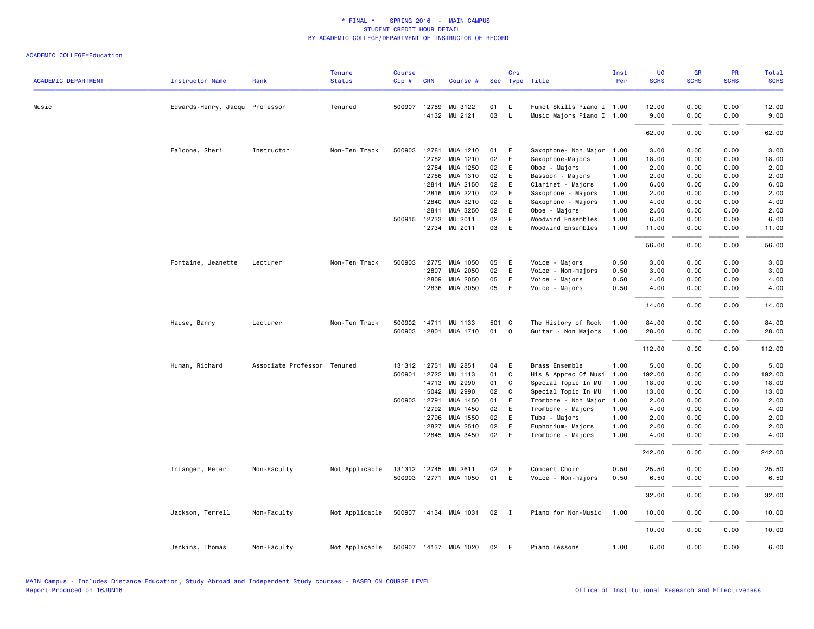|                            |                                |                             | <b>Tenure</b>  | <b>Course</b> |              |                            |          | Crs          |                                        | Inst         | UG           | <b>GR</b>    | PR           | Total        |
|----------------------------|--------------------------------|-----------------------------|----------------|---------------|--------------|----------------------------|----------|--------------|----------------------------------------|--------------|--------------|--------------|--------------|--------------|
| <b>ACADEMIC DEPARTMENT</b> | <b>Instructor Name</b>         | Rank                        | <b>Status</b>  | Cip#          | <b>CRN</b>   | Course #                   |          |              | Sec Type Title                         | Per          | <b>SCHS</b>  | <b>SCHS</b>  | <b>SCHS</b>  | <b>SCHS</b>  |
| Music                      | Edwards-Henry, Jacqu Professor |                             | Tenured        |               |              | 500907 12759 MU 3122       | 01       | L            | Funct Skills Piano I 1.00              |              | 12.00        | 0.00         | 0.00         | 12.00        |
|                            |                                |                             |                |               |              | 14132 MU 2121              | 03       | $\mathsf{L}$ | Music Majors Piano I 1.00              |              | 9.00         | 0.00         | 0.00         | 9.00         |
|                            |                                |                             |                |               |              |                            |          |              |                                        |              | 62.00        | 0.00         | 0.00         | 62.00        |
|                            | Falcone, Sheri                 | Instructor                  | Non-Ten Track  | 500903        | 12781        | MUA 1210                   | 01       | E            | Saxophone- Non Major                   | 1.00         | 3.00         | 0.00         | 0.00         | 3.00         |
|                            |                                |                             |                |               | 12782        | MUA 1210                   | 02       | E            | Saxophone-Majors                       | 1.00         | 18.00        | 0.00         | 0.00         | 18.00        |
|                            |                                |                             |                |               |              | 12784 MUA 1250             | 02       | E            | Oboe - Majors                          | 1.00         | 2.00         | 0.00         | 0.00         | 2.00         |
|                            |                                |                             |                |               | 12786        | MUA 1310                   | 02       | E            | Bassoon - Majors                       | 1.00         | 2.00         | 0.00         | 0.00         | 2.00         |
|                            |                                |                             |                |               | 12814        | MUA 2150                   | 02       | E            | Clarinet - Majors                      | 1.00         | 6.00         | 0.00         | 0.00         | 6.00         |
|                            |                                |                             |                |               | 12816        | MUA 2210                   | 02       | E            | Saxophone - Majors                     | 1.00         | 2.00         | 0.00         | 0.00         | 2.00         |
|                            |                                |                             |                |               | 12840        | MUA 3210                   | 02       | E            | Saxophone - Majors                     | 1.00         | 4.00         | 0.00         | 0.00         | 4.00         |
|                            |                                |                             |                |               | 12841        | MUA 3250                   | 02       | E            | Oboe - Majors                          | 1.00         | 2.00         | 0.00         | 0.00         | 2.00         |
|                            |                                |                             |                |               | 500915 12733 | MU 2011                    | 02       | E            | Woodwind Ensembles                     | 1.00         | 6.00         | 0.00         | 0.00         | 6.00         |
|                            |                                |                             |                |               | 12734        | MU 2011                    | 03       | E            | Woodwind Ensembles                     | 1.00         | 11.00        | 0.00         | 0.00         | 11.00        |
|                            |                                |                             |                |               |              |                            |          |              |                                        |              | 56.00        | 0.00         | 0.00         | 56.00        |
|                            | Fontaine, Jeanette             | Lecturer                    | Non-Ten Track  | 500903        | 12775        | MUA 1050                   | 05       | E            | Voice - Majors                         | 0.50         | 3.00         | 0.00         | 0.00         | 3.00         |
|                            |                                |                             |                |               | 12807        | MUA 2050                   | 02       | E            | Voice - Non-majors                     | 0.50         | 3.00         | 0.00         | 0.00         | 3.00         |
|                            |                                |                             |                |               | 12809        | MUA 2050                   | 05       | E            | Voice - Majors                         | 0.50         | 4.00         | 0.00         | 0.00         | 4.00         |
|                            |                                |                             |                |               |              | 12836 MUA 3050             | 05       | E            | Voice - Majors                         | 0.50         | 4.00         | 0.00         | 0.00         | 4.00         |
|                            |                                |                             |                |               |              |                            |          |              |                                        |              | 14.00        | 0.00         | 0.00         | 14.00        |
|                            | Hause, Barry                   | Lecturer                    | Non-Ten Track  |               |              | 500902 14711 MU 1133       | 501 C    |              | The History of Rock                    | 1.00         | 84.00        | 0.00         | 0.00         | 84.00        |
|                            |                                |                             |                |               |              | 500903 12801 MUA 1710      | 01 Q     |              | Guitar - Non Majors                    | 1.00         | 28.00        | 0.00         | 0.00         | 28.00        |
|                            |                                |                             |                |               |              |                            |          |              |                                        |              | 112.00       | 0.00         | 0.00         | 112.00       |
|                            | Human, Richard                 | Associate Professor Tenured |                |               | 131312 12751 | MU 2851                    | 04       | E            | Brass Ensemble                         | 1.00         | 5.00         | 0.00         | 0.00         | 5.00         |
|                            |                                |                             |                |               | 500901 12722 | MU 1113                    | 01       | C            | His & Apprec Of Musi                   | 1.00         | 192.00       | 0.00         | 0.00         | 192.00       |
|                            |                                |                             |                |               | 14713        | MU 2990                    | 01       | $\mathbf{C}$ | Special Topic In MU                    | 1.00         | 18.00        | 0.00         | 0.00         | 18.00        |
|                            |                                |                             |                |               | 15042        | MU 2990                    | 02       | C            | Special Topic In MU                    | 1.00         | 13.00        | 0.00         | 0.00         | 13.00        |
|                            |                                |                             |                |               | 500903 12791 | MUA 1450                   | 01       | E            | Trombone - Non Major                   | 1.00         | 2.00         | 0.00         | 0.00         | 2.00         |
|                            |                                |                             |                |               | 12792        | MUA 1450                   | 02       | E            | Trombone - Majors                      | 1.00         | 4.00         | 0.00         | 0.00         | 4.00         |
|                            |                                |                             |                |               | 12796        | MUA 1550                   | 02       | E            | Tuba - Majors                          | 1.00         | 2.00         | 0.00         | 0.00         | 2.00         |
|                            |                                |                             |                |               | 12827        | MUA 2510<br>12845 MUA 3450 | 02<br>02 | E<br>E       | Euphonium- Majors<br>Trombone - Majors | 1.00<br>1.00 | 2.00<br>4.00 | 0.00<br>0.00 | 0.00<br>0.00 | 2.00<br>4.00 |
|                            |                                |                             |                |               |              |                            |          |              |                                        |              | 242.00       | 0.00         | 0.00         | 242.00       |
|                            |                                |                             |                |               |              |                            |          |              |                                        |              |              |              |              |              |
|                            | Infanger, Peter                | Non-Faculty                 | Not Applicable |               |              | 131312 12745 MU 2611       | 02       | E            | Concert Choir                          | 0.50         | 25.50        | 0.00         | 0.00         | 25.50        |
|                            |                                |                             |                |               |              | 500903 12771 MUA 1050      | 01       | E            | Voice - Non-majors                     | 0.50         | 6.50         | 0.00         | 0.00         | 6.50         |
|                            |                                |                             |                |               |              |                            |          |              |                                        |              | 32.00        | 0.00         | 0.00         | 32.00        |
|                            | Jackson, Terrell               | Non-Faculty                 | Not Applicable |               |              | 500907 14134 MUA 1031      | 02       | $\mathbf{I}$ | Piano for Non-Music                    | 1.00         | 10.00        | 0.00         | 0.00         | 10.00        |
|                            |                                |                             |                |               |              |                            |          |              |                                        |              | 10.00        | 0.00         | 0.00         | 10.00        |
|                            | Jenkins, Thomas                | Non-Faculty                 | Not Applicable |               |              | 500907 14137 MUA 1020      | 02       | E            | Piano Lessons                          | 1.00         | 6.00         | 0.00         | 0.00         | 6.00         |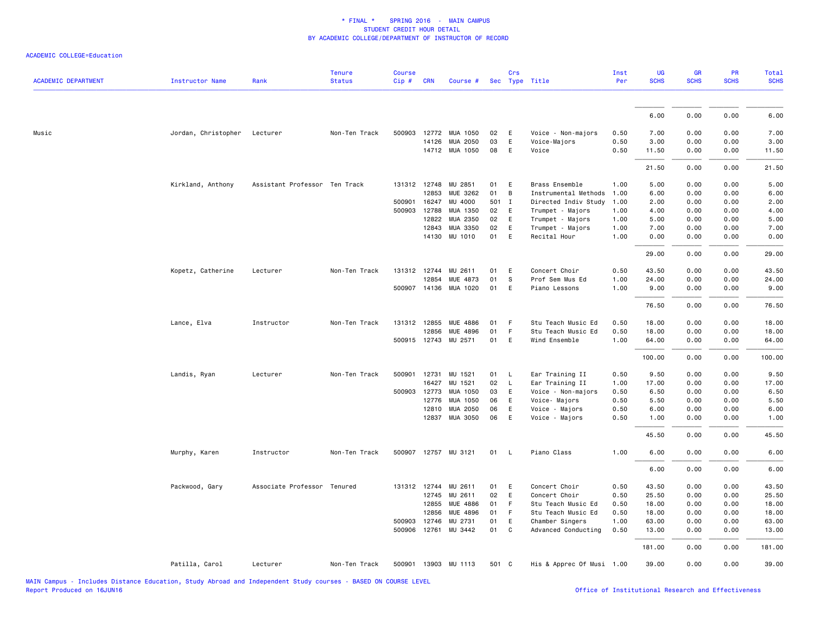| <b>ACADEMIC DEPARTMENT</b> | <b>Instructor Name</b> | Rank                          | <b>Tenure</b><br><b>Status</b> | <b>Course</b><br>Cip# | <b>CRN</b>   | Course #              |       | Crs          | Sec Type Title            | Inst<br>Per | UG<br><b>SCHS</b> | <b>GR</b><br><b>SCHS</b> | PR<br><b>SCHS</b> | <b>Total</b><br><b>SCHS</b> |
|----------------------------|------------------------|-------------------------------|--------------------------------|-----------------------|--------------|-----------------------|-------|--------------|---------------------------|-------------|-------------------|--------------------------|-------------------|-----------------------------|
|                            |                        |                               |                                |                       |              |                       |       |              |                           |             |                   |                          |                   |                             |
|                            |                        |                               |                                |                       |              |                       |       |              |                           |             | 6.00              | 0.00                     | 0.00              | 6.00                        |
| Music                      | Jordan, Christopher    | Lecturer                      | Non-Ten Track                  |                       |              | 500903 12772 MUA 1050 | 02    | E            | Voice - Non-majors        | 0.50        | 7.00              | 0.00                     | 0.00              | 7.00                        |
|                            |                        |                               |                                |                       | 14126        | MUA 2050              | 03    | E            | Voice-Majors              | 0.50        | 3.00              | 0.00                     | 0.00              | 3.00                        |
|                            |                        |                               |                                |                       |              | 14712 MUA 1050        | 08    | E            | Voice                     | 0.50        | 11.50             | 0.00                     | 0.00              | 11.50                       |
|                            |                        |                               |                                |                       |              |                       |       |              |                           |             | 21.50             | 0.00                     | 0.00              | 21.50                       |
|                            | Kirkland, Anthony      | Assistant Professor Ten Track |                                |                       | 131312 12748 | MU 2851               | 01    | E            | Brass Ensemble            | 1.00        | 5.00              | 0.00                     | 0.00              | 5.00                        |
|                            |                        |                               |                                |                       | 12853        | MUE 3262              | 01    | B            | Instrumental Methods      | 1.00        | 6.00              | 0.00                     | 0.00              | 6.00                        |
|                            |                        |                               |                                | 500901                | 16247        | MU 4000               | 501 I |              | Directed Indiv Study      | 1.00        | 2.00              | 0.00                     | 0.00              | 2.00                        |
|                            |                        |                               |                                | 500903                | 12788        | MUA 1350              | 02    | E            | Trumpet - Majors          | 1.00        | 4.00              | 0.00                     | 0.00              | 4.00                        |
|                            |                        |                               |                                |                       | 12822        | MUA 2350              | 02    | E            | Trumpet - Majors          | 1.00        | 5.00              | 0.00                     | 0.00              | 5.00                        |
|                            |                        |                               |                                |                       | 12843        | MUA 3350              | 02    | E            | Trumpet - Majors          | 1.00        | 7.00              | 0.00                     | 0.00              | 7.00                        |
|                            |                        |                               |                                |                       |              | 14130 MU 1010         | 01    | E            | Recital Hour              | 1.00        | 0.00              | 0.00                     | 0.00              | 0.00                        |
|                            |                        |                               |                                |                       |              |                       |       |              |                           |             | 29.00             | 0.00                     | 0.00              | 29.00                       |
|                            | Kopetz, Catherine      | Lecturer                      | Non-Ten Track                  |                       | 131312 12744 | MU 2611               | 01    | E            | Concert Choir             | 0.50        | 43.50             | 0.00                     | 0.00              | 43.50                       |
|                            |                        |                               |                                |                       | 12854        | MUE 4873              | 01    | s            | Prof Sem Mus Ed           | 1.00        | 24.00             | 0.00                     | 0.00              | 24.00                       |
|                            |                        |                               |                                |                       |              | 500907 14136 MUA 1020 | 01    | E            | Piano Lessons             | 1.00        | 9.00              | 0.00                     | 0.00              | 9.00                        |
|                            |                        |                               |                                |                       |              |                       |       |              |                           |             | 76.50             | 0.00                     | 0.00              | 76.50                       |
|                            | Lance, Elva            | Instructor                    | Non-Ten Track                  |                       | 131312 12855 | MUE 4886              | 01    | F            | Stu Teach Music Ed        | 0.50        | 18.00             | 0.00                     | 0.00              | 18.00                       |
|                            |                        |                               |                                |                       | 12856        | <b>MUE 4896</b>       | 01    | F            | Stu Teach Music Ed        | 0.50        | 18.00             | 0.00                     | 0.00              | 18.00                       |
|                            |                        |                               |                                |                       |              | 500915 12743 MU 2571  | 01    | E            | Wind Ensemble             | 1.00        | 64.00             | 0.00                     | 0.00              | 64.00                       |
|                            |                        |                               |                                |                       |              |                       |       |              |                           |             | 100.00            | 0.00                     | 0.00              | 100.00                      |
|                            | Landis, Ryan           | Lecturer                      | Non-Ten Track                  | 500901                |              | 12731 MU 1521         | 01    | L            | Ear Training II           | 0.50        | 9.50              | 0.00                     | 0.00              | 9.50                        |
|                            |                        |                               |                                |                       | 16427        | MU 1521               | 02    | $\mathsf{L}$ | Ear Training II           | 1.00        | 17.00             | 0.00                     | 0.00              | 17.00                       |
|                            |                        |                               |                                | 500903                | 12773        | MUA 1050              | 03    | E            | Voice - Non-majors        | 0.50        | 6.50              | 0.00                     | 0.00              | 6.50                        |
|                            |                        |                               |                                |                       | 12776        | MUA 1050              | 06    | E            | Voice- Majors             | 0.50        | 5.50              | 0.00                     | 0.00              | 5.50                        |
|                            |                        |                               |                                |                       | 12810        | MUA 2050              | 06    | E            | Voice - Majors            | 0.50        | 6.00              | 0.00                     | 0.00              | 6.00                        |
|                            |                        |                               |                                |                       | 12837        | MUA 3050              | 06    | E            | Voice - Majors            | 0.50        | 1.00              | 0.00                     | 0.00              | 1.00                        |
|                            |                        |                               |                                |                       |              |                       |       |              |                           |             | 45.50             | 0.00                     | 0.00              | 45.50                       |
|                            | Murphy, Karen          | Instructor                    | Non-Ten Track                  |                       |              | 500907 12757 MU 3121  | 01    | $\mathsf{L}$ | Piano Class               | 1.00        | 6.00              | 0.00                     | 0.00              | 6.00                        |
|                            |                        |                               |                                |                       |              |                       |       |              |                           |             | 6.00              | 0.00                     | 0.00              | 6.00                        |
|                            | Packwood, Gary         | Associate Professor Tenured   |                                |                       | 131312 12744 | MU 2611               | 01    | E            | Concert Choir             | 0.50        | 43.50             | 0.00                     | 0.00              | 43.50                       |
|                            |                        |                               |                                |                       | 12745        | MU 2611               | 02    | E            | Concert Choir             | 0.50        | 25.50             | 0.00                     | 0.00              | 25.50                       |
|                            |                        |                               |                                |                       | 12855        | MUE 4886              | 01    | F            | Stu Teach Music Ed        | 0.50        | 18.00             | 0.00                     | 0.00              | 18.00                       |
|                            |                        |                               |                                |                       | 12856        | MUE 4896              | 01    | $\mathsf F$  | Stu Teach Music Ed        | 0.50        | 18.00             | 0.00                     | 0.00              | 18.00                       |
|                            |                        |                               |                                |                       | 500903 12746 | MU 2731               | 01    | E            | Chamber Singers           | 1.00        | 63.00             | 0.00                     | 0.00              | 63.00                       |
|                            |                        |                               |                                | 500906                | 12761        | MU 3442               | 01    | C            | Advanced Conducting       | 0.50        | 13.00             | 0.00                     | 0.00              | 13.00                       |
|                            |                        |                               |                                |                       |              |                       |       |              |                           |             | 181.00            | 0.00                     | 0.00              | 181.00                      |
|                            | Patilla, Carol         | Lecturer                      | Non-Ten Track                  | 500901                |              | 13903 MU 1113         | 501 C |              | His & Apprec Of Musi 1.00 |             | 39.00             | 0.00                     | 0.00              | 39.00                       |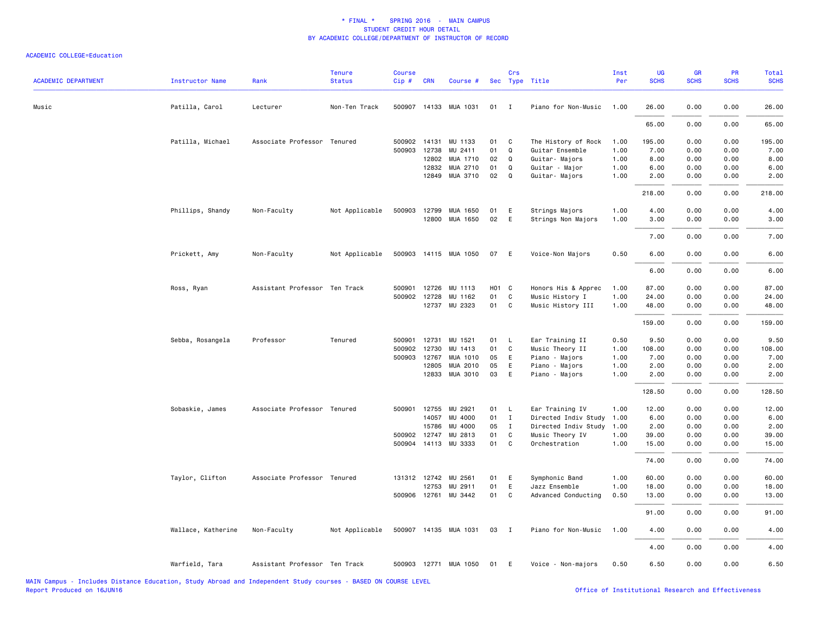| <b>ACADEMIC DEPARTMENT</b> | <b>Instructor Name</b> | Rank                          | <b>Tenure</b><br><b>Status</b> | <b>Course</b><br>Cip# | <b>CRN</b> | Course #              |                   | Crs          | Sec Type Title       | Inst<br>Per | <b>UG</b><br><b>SCHS</b> | <b>GR</b><br><b>SCHS</b> | PR<br><b>SCHS</b> | Total<br><b>SCHS</b> |
|----------------------------|------------------------|-------------------------------|--------------------------------|-----------------------|------------|-----------------------|-------------------|--------------|----------------------|-------------|--------------------------|--------------------------|-------------------|----------------------|
| Music                      | Patilla, Carol         | Lecturer                      | Non-Ten Track                  |                       |            | 500907 14133 MUA 1031 | 01                | $\mathbf{I}$ | Piano for Non-Music  | 1.00        | 26.00                    | 0.00                     | 0.00              | 26.00                |
|                            |                        |                               |                                |                       |            |                       |                   |              |                      |             | 65.00                    | 0.00                     | 0.00              | 65.00                |
|                            | Patilla, Michael       | Associate Professor Tenured   |                                | 500902 14131          |            | MU 1133               | 01                | C            | The History of Rock  | 1.00        | 195.00                   | 0.00                     | 0.00              | 195.00               |
|                            |                        |                               |                                | 500903                | 12738      | MU 2411               | 01                | Q            | Guitar Ensemble      | 1.00        | 7.00                     | 0.00                     | 0.00              | 7.00                 |
|                            |                        |                               |                                |                       | 12802      | MUA 1710              | 02                | Q            | Guitar- Majors       | 1.00        | 8.00                     | 0.00                     | 0.00              | 8.00                 |
|                            |                        |                               |                                |                       | 12832      | MUA 2710              | 01                | Q            | Guitar - Major       | 1.00        | 6.00                     | 0.00                     | 0.00              | 6.00                 |
|                            |                        |                               |                                |                       | 12849      | MUA 3710              | 02                | Q            | Guitar- Majors       | 1.00        | 2.00                     | 0.00                     | 0.00              | 2.00                 |
|                            |                        |                               |                                |                       |            |                       |                   |              |                      |             | 218.00                   | 0.00                     | 0.00              | 218.00               |
|                            | Phillips, Shandy       | Non-Faculty                   | Not Applicable                 | 500903 12799          |            | MUA 1650              | 01                | Ε            | Strings Majors       | 1.00        | 4.00                     | 0.00                     | 0.00              | 4.00                 |
|                            |                        |                               |                                |                       |            | 12800 MUA 1650        | 02                | E            | Strings Non Majors   | 1.00        | 3.00                     | 0.00                     | 0.00              | 3.00                 |
|                            |                        |                               |                                |                       |            |                       |                   |              |                      |             | 7.00                     | 0.00                     | 0.00              | 7.00                 |
|                            | Prickett, Amy          | Non-Faculty                   | Not Applicable                 |                       |            | 500903 14115 MUA 1050 | 07                | E            | Voice-Non Majors     | 0.50        | 6.00                     | 0.00                     | 0.00              | 6.00                 |
|                            |                        |                               |                                |                       |            |                       |                   |              |                      |             | 6.00                     | 0.00                     | 0.00              | 6.00                 |
|                            | Ross, Ryan             | Assistant Professor Ten Track |                                | 500901                | 12726      | MU 1113               | H <sub>01</sub> C |              | Honors His & Apprec  | 1.00        | 87.00                    | 0.00                     | 0.00              | 87.00                |
|                            |                        |                               |                                | 500902 12728          |            | MU 1162               | 01                | C            | Music History I      | 1.00        | 24.00                    | 0.00                     | 0.00              | 24.00                |
|                            |                        |                               |                                |                       |            | 12737 MU 2323         | 01                | C            | Music History III    | 1.00        | 48.00                    | 0.00                     | 0.00              | 48.00                |
|                            |                        |                               |                                |                       |            |                       |                   |              |                      |             |                          |                          |                   |                      |
|                            |                        |                               |                                |                       |            |                       |                   |              |                      |             | 159.00                   | 0.00                     | 0.00              | 159.00               |
|                            | Sebba, Rosangela       | Professor                     | Tenured                        | 500901                | 12731      | MU 1521               | 01                | L            | Ear Training II      | 0.50        | 9.50                     | 0.00                     | 0.00              | 9.50                 |
|                            |                        |                               |                                | 500902                | 12730      | MU 1413               | 01                | C            | Music Theory II      | 1.00        | 108.00                   | 0.00                     | 0.00              | 108.00               |
|                            |                        |                               |                                | 500903                | 12767      | MUA 1010              | 05                | E            | Piano - Majors       | 1.00        | 7.00                     | 0.00                     | 0.00              | 7.00                 |
|                            |                        |                               |                                |                       | 12805      | MUA 2010              | 05                | E            | Piano - Majors       | 1.00        | 2.00                     | 0.00                     | 0.00              | 2.00                 |
|                            |                        |                               |                                |                       |            | 12833 MUA 3010        | 03                | E            | Piano - Majors       | 1.00        | 2.00                     | 0.00                     | 0.00              | 2.00                 |
|                            |                        |                               |                                |                       |            |                       |                   |              |                      |             | 128.50                   | 0.00                     | 0.00              | 128.50               |
|                            | Sobaskie, James        | Associate Professor Tenured   |                                | 500901                | 12755      | MU 2921               | 01                | L            | Ear Training IV      | 1.00        | 12.00                    | 0.00                     | 0.00              | 12.00                |
|                            |                        |                               |                                |                       | 14057      | MU 4000               | 01                | $\mathbf{I}$ | Directed Indiv Study | 1.00        | 6.00                     | 0.00                     | 0.00              | 6.00                 |
|                            |                        |                               |                                |                       | 15786      | MU 4000               | 05                | $\mathbf{I}$ | Directed Indiv Study | 1.00        | 2.00                     | 0.00                     | 0.00              | 2.00                 |
|                            |                        |                               |                                | 500902 12747          |            | MU 2813               | 01                | C            | Music Theory IV      | 1.00        | 39.00                    | 0.00                     | 0.00              | 39.00                |
|                            |                        |                               |                                |                       |            | 500904 14113 MU 3333  | 01                | C            | Orchestration        | 1.00        | 15.00                    | 0.00                     | 0.00              | 15.00                |
|                            |                        |                               |                                |                       |            |                       |                   |              |                      |             | 74.00                    | 0.00                     | 0.00              | 74.00                |
|                            | Taylor, Clifton        | Associate Professor Tenured   |                                | 131312 12742          |            | MU 2561               | 01                | E            | Symphonic Band       | 1.00        | 60.00                    | 0.00                     | 0.00              | 60.00                |
|                            |                        |                               |                                |                       | 12753      | MU 2911               | 01                | E            | Jazz Ensemble        | 1.00        | 18.00                    | 0.00                     | 0.00              | 18.00                |
|                            |                        |                               |                                |                       |            | 500906 12761 MU 3442  | 01                | C            | Advanced Conducting  | 0.50        | 13.00                    | 0.00                     | 0.00              | 13.00                |
|                            |                        |                               |                                |                       |            |                       |                   |              |                      |             | 91.00                    | 0.00                     | 0.00              | 91.00                |
|                            | Wallace, Katherine     | Non-Faculty                   | Not Applicable                 |                       |            | 500907 14135 MUA 1031 | 03                | $\mathbf{I}$ | Piano for Non-Music  | 1.00        | 4.00                     | 0.00                     | 0.00              | 4.00                 |
|                            |                        |                               |                                |                       |            |                       |                   |              |                      |             | 4.00                     | 0.00                     | 0.00              | 4.00                 |
|                            | Warfield, Tara         | Assistant Professor Ten Track |                                |                       |            | 500903 12771 MUA 1050 | 01                | E            | Voice - Non-majors   | 0.50        | 6.50                     | 0.00                     | 0.00              | 6.50                 |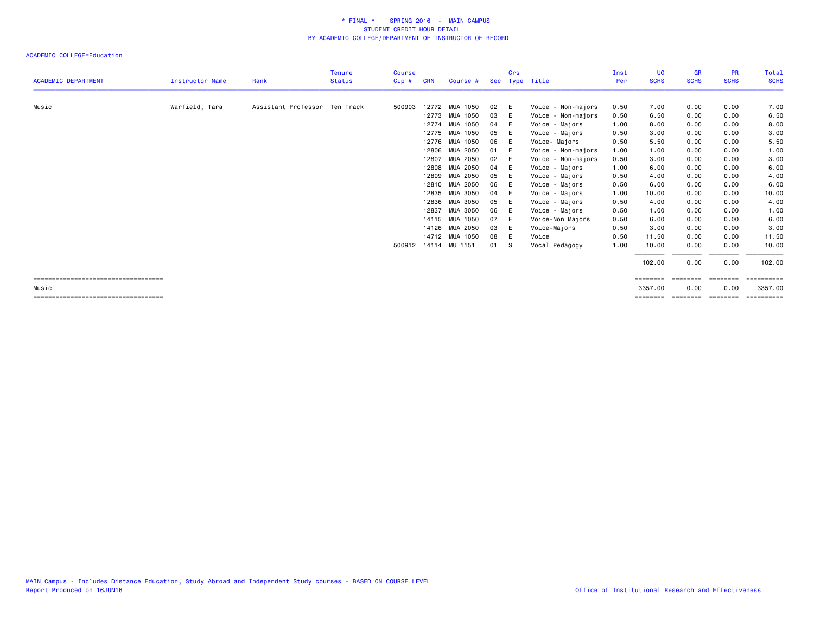|                                                |                        |                               | <b>Tenure</b> | <b>Course</b> |            |                      |      | Crs |                    | Inst | <b>UG</b>   | <b>GR</b>      | <b>PR</b>      | Total                 |
|------------------------------------------------|------------------------|-------------------------------|---------------|---------------|------------|----------------------|------|-----|--------------------|------|-------------|----------------|----------------|-----------------------|
| <b>ACADEMIC DEPARTMENT</b>                     | <b>Instructor Name</b> | Rank                          | <b>Status</b> | $Cip$ #       | <b>CRN</b> | Course #             |      |     | Sec Type Title     | Per  | <b>SCHS</b> | <b>SCHS</b>    | <b>SCHS</b>    | <b>SCHS</b>           |
| Music                                          | Warfield, Tara         | Assistant Professor Ten Track |               | 500903        |            | 12772 MUA 1050       | 02   | E   | Voice - Non-majors | 0.50 | 7.00        | 0.00           | 0.00           | 7.00                  |
|                                                |                        |                               |               |               |            | 12773 MUA 1050       | 03   | E   | Voice - Non-majors | 0.50 | 6.50        | 0.00           | 0.00           | 6.50                  |
|                                                |                        |                               |               |               |            | 12774 MUA 1050       | 04   | - E | Voice - Majors     | 1.00 | 8.00        | 0.00           | 0.00           | 8.00                  |
|                                                |                        |                               |               |               |            | 12775 MUA 1050       | 05   | E   | Voice - Majors     | 0.50 | 3.00        | 0.00           | 0.00           | 3.00                  |
|                                                |                        |                               |               |               |            | 12776 MUA 1050       | 06   | E   | Voice-Majors       | 0.50 | 5.50        | 0.00           | 0.00           | 5.50                  |
|                                                |                        |                               |               |               |            | 12806 MUA 2050       | 01   | E   | Voice - Non-majors | 1.00 | 1.00        | 0.00           | 0.00           | 1.00                  |
|                                                |                        |                               |               |               | 12807      | MUA 2050             | 02   | E   | Voice - Non-majors | 0.50 | 3.00        | 0.00           | 0.00           | 3.00                  |
|                                                |                        |                               |               |               |            | 12808 MUA 2050       | 04   | - E | Voice - Majors     | 1.00 | 6.00        | 0.00           | 0.00           | 6.00                  |
|                                                |                        |                               |               |               |            | 12809 MUA 2050       | 05   | E   | Voice - Majors     | 0.50 | 4.00        | 0.00           | 0.00           | 4.00                  |
|                                                |                        |                               |               |               |            | 12810 MUA 2050       | 06   | E   | Voice - Majors     | 0.50 | 6.00        | 0.00           | 0.00           | 6.00                  |
|                                                |                        |                               |               |               |            | 12835 MUA 3050       | 04   | E   | Voice - Majors     | 1.00 | 10.00       | 0.00           | 0.00           | 10.00                 |
|                                                |                        |                               |               |               |            | 12836 MUA 3050       | 05   | E   | Voice - Majors     | 0.50 | 4.00        | 0.00           | 0.00           | 4.00                  |
|                                                |                        |                               |               |               |            | 12837 MUA 3050       | 06   | E   | Voice - Majors     | 0.50 | 1.00        | 0.00           | 0.00           | 1.00                  |
|                                                |                        |                               |               |               |            | 14115 MUA 1050       | 07   | E   | Voice-Non Majors   | 0.50 | 6.00        | 0.00           | 0.00           | 6.00                  |
|                                                |                        |                               |               |               |            | 14126 MUA 2050       | 03   | E   | Voice-Majors       | 0.50 | 3.00        | 0.00           | 0.00           | 3.00                  |
|                                                |                        |                               |               |               |            | 14712 MUA 1050       | 08   | - E | Voice              | 0.50 | 11.50       | 0.00           | 0.00           | 11.50                 |
|                                                |                        |                               |               |               |            | 500912 14114 MU 1151 | 01 S |     | Vocal Pedagogy     | 1.00 | 10.00       | 0.00           | 0.00           | 10.00                 |
|                                                |                        |                               |               |               |            |                      |      |     |                    |      | 102.00      | 0.00           | 0.00           | 102.00                |
| -----------------------------------            |                        |                               |               |               |            |                      |      |     |                    |      | ========    | <b>EEEEEEE</b> | <b>ESSESSE</b> | ==========            |
| Music<br>===================================== |                        |                               |               |               |            |                      |      |     |                    |      | 3357.00     | 0.00           | 0.00           | 3357.00<br>========== |
|                                                |                        |                               |               |               |            |                      |      |     |                    |      |             |                |                |                       |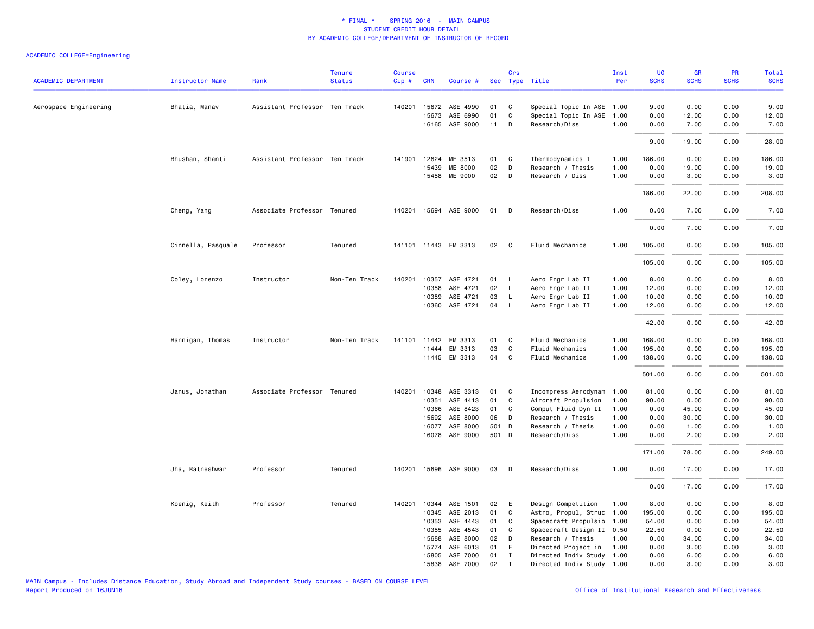| <b>ACADEMIC DEPARTMENT</b> | <b>Instructor Name</b> | Rank                          | <b>Tenure</b><br><b>Status</b> | <b>Course</b><br>Cip# | <b>CRN</b> | Course #                   |                | Crs          | Sec Type Title            | Inst<br>Per  | UG<br><b>SCHS</b> | GR<br><b>SCHS</b> | PR<br><b>SCHS</b> | <b>Total</b><br><b>SCHS</b> |
|----------------------------|------------------------|-------------------------------|--------------------------------|-----------------------|------------|----------------------------|----------------|--------------|---------------------------|--------------|-------------------|-------------------|-------------------|-----------------------------|
|                            |                        |                               |                                |                       |            |                            |                |              |                           |              |                   |                   |                   |                             |
| Aerospace Engineering      | Bhatia, Manav          | Assistant Professor Ten Track |                                |                       |            | 140201 15672 ASE 4990      | 01             | C            | Special Topic In ASE 1.00 |              | 9.00              | 0.00              | 0.00              | 9.00                        |
|                            |                        |                               |                                |                       | 15673      | ASE 6990                   | 01             | C            | Special Topic In ASE      | 1.00         | 0.00              | 12.00             | 0.00              | 12.00                       |
|                            |                        |                               |                                |                       |            | 16165 ASE 9000             | 11             | D            | Research/Diss             | 1.00         | 0.00              | 7.00              | 0.00              | 7.00                        |
|                            |                        |                               |                                |                       |            |                            |                |              |                           |              | 9.00              | 19.00             | 0.00              | 28.00                       |
|                            | Bhushan, Shanti        | Assistant Professor Ten Track |                                | 141901                | 12624      | ME 3513                    | 01             | C            | Thermodynamics I          | 1.00         | 186.00            | 0.00              | 0.00              | 186.00                      |
|                            |                        |                               |                                |                       | 15439      | <b>ME 8000</b>             | 02             | D            | Research / Thesis         | 1.00         | 0.00              | 19.00             | 0.00              | 19.00                       |
|                            |                        |                               |                                |                       |            | 15458 ME 9000              | 02             | D            | Research / Diss           | 1.00         | 0.00              | 3.00              | 0.00              | 3.00                        |
|                            |                        |                               |                                |                       |            |                            |                |              |                           |              | 186.00            | 22.00             | 0.00              | 208.00                      |
|                            | Cheng, Yang            | Associate Professor Tenured   |                                |                       |            | 140201 15694 ASE 9000      | 01             | D            | Research/Diss             | 1.00         | 0.00              | 7.00              | 0.00              | 7.00                        |
|                            |                        |                               |                                |                       |            |                            |                |              |                           |              | 0.00              | 7.00              | 0.00              | 7.00                        |
|                            | Cinnella, Pasquale     | Professor                     | Tenured                        |                       |            | 141101 11443 EM 3313       | 02             | $\mathbf{C}$ | Fluid Mechanics           | 1.00         | 105.00            | 0.00              | 0.00              | 105.00                      |
|                            |                        |                               |                                |                       |            |                            |                |              |                           |              | 105.00            | 0.00              | 0.00              | 105.00                      |
|                            | Coley, Lorenzo         | Instructor                    | Non-Ten Track                  | 140201                | 10357      | ASE 4721                   | 01             | L            | Aero Engr Lab II          | 1.00         | 8.00              | 0.00              | 0.00              | 8.00                        |
|                            |                        |                               |                                |                       | 10358      | ASE 4721                   | 02             | L            | Aero Engr Lab II          | 1.00         | 12.00             | 0.00              | 0.00              | 12.00                       |
|                            |                        |                               |                                |                       | 10359      | ASE 4721                   | 03             | L            | Aero Engr Lab II          | 1.00         | 10.00             | 0.00              | 0.00              | 10.00                       |
|                            |                        |                               |                                |                       | 10360      | ASE 4721                   | 04             | $\mathsf{L}$ | Aero Engr Lab II          | 1.00         | 12.00             | 0.00              | 0.00              | 12.00                       |
|                            |                        |                               |                                |                       |            |                            |                |              |                           |              | 42.00             | 0.00              | 0.00              | 42.00                       |
|                            | Hannigan, Thomas       | Instructor                    | Non-Ten Track                  | 141101                | 11442      | EM 3313                    | 01             | C            | Fluid Mechanics           | 1.00         | 168.00            | 0.00              | 0.00              | 168.00                      |
|                            |                        |                               |                                |                       | 11444      | EM 3313                    | 03             | C            | Fluid Mechanics           | 1.00         | 195.00            | 0.00              | 0.00              | 195.00                      |
|                            |                        |                               |                                |                       |            | 11445 EM 3313              | 04             | $\mathbf{C}$ | Fluid Mechanics           | 1.00         | 138.00            | 0.00              | 0.00              | 138.00                      |
|                            |                        |                               |                                |                       |            |                            |                |              |                           |              | 501.00            | 0.00              | 0.00              | 501.00                      |
|                            | Janus, Jonathan        | Associate Professor Tenured   |                                | 140201                |            | 10348 ASE 3313             | 01             | $\mathbf{C}$ | Incompress Aerodynam      | 1.00         | 81.00             | 0.00              | 0.00              | 81.00                       |
|                            |                        |                               |                                |                       | 10351      | ASE 4413                   | 01             | C            | Aircraft Propulsion       | 1.00         | 90.00             | 0.00              | 0.00              | 90.00                       |
|                            |                        |                               |                                |                       | 10366      | ASE 8423                   | 01             | C            | Comput Fluid Dyn II       | 1.00         | 0.00              | 45.00             | 0.00              | 45.00                       |
|                            |                        |                               |                                |                       | 15692      | ASE 8000                   | 06             | D            | Research / Thesis         | 1.00         | 0.00              | 30.00             | 0.00              | 30.00                       |
|                            |                        |                               |                                |                       | 16077      | ASE 8000<br>16078 ASE 9000 | 501 D<br>501 D |              | Research / Thesis         | 1.00<br>1.00 | 0.00<br>0.00      | 1.00<br>2.00      | 0.00<br>0.00      | 1.00                        |
|                            |                        |                               |                                |                       |            |                            |                |              | Research/Diss             |              | 171.00            | 78.00             | 0.00              | 2.00                        |
|                            |                        |                               |                                |                       |            |                            |                |              |                           |              |                   |                   |                   | 249.00                      |
|                            | Jha, Ratneshwar        | Professor                     | Tenured                        | 140201                |            | 15696 ASE 9000             | 03             | D            | Research/Diss             | 1.00         | 0.00              | 17.00             | 0.00              | 17.00                       |
|                            |                        |                               |                                |                       |            |                            |                |              |                           |              | 0.00              | 17.00             | 0.00              | 17.00                       |
|                            | Koenig, Keith          | Professor                     | Tenured                        |                       |            | 140201 10344 ASE 1501      | 02             | E            | Design Competition        | 1.00         | 8.00              | 0.00              | 0.00              | 8.00                        |
|                            |                        |                               |                                |                       | 10345      | ASE 2013                   | 01             | C            | Astro, Propul, Struc      | 1.00         | 195.00            | 0.00              | 0.00              | 195.00                      |
|                            |                        |                               |                                |                       | 10353      | ASE 4443                   | 01             | C            | Spacecraft Propulsio      | 1.00         | 54.00             | 0.00              | 0.00              | 54.00                       |
|                            |                        |                               |                                |                       | 10355      | ASE 4543                   | 01             | C            | Spacecraft Design II 0.50 |              | 22.50             | 0.00              | 0.00              | 22.50                       |
|                            |                        |                               |                                |                       | 15688      | ASE 8000                   | 02             | D            | Research / Thesis         | 1.00         | 0.00              | 34.00             | 0.00              | 34.00                       |
|                            |                        |                               |                                |                       | 15774      | ASE 6013                   | 01             | E            | Directed Project in       | 1.00         | 0.00              | 3.00              | 0.00              | 3.00                        |
|                            |                        |                               |                                |                       | 15805      | ASE 7000                   | 01             | $\mathbf{I}$ | Directed Indiv Study 1.00 |              | 0.00              | 6.00              | 0.00              | 6.00                        |
|                            |                        |                               |                                |                       | 15838      | ASE 7000                   | 02             | $\mathbf{I}$ | Directed Indiv Study 1.00 |              | 0.00              | 3.00              | 0.00              | 3.00                        |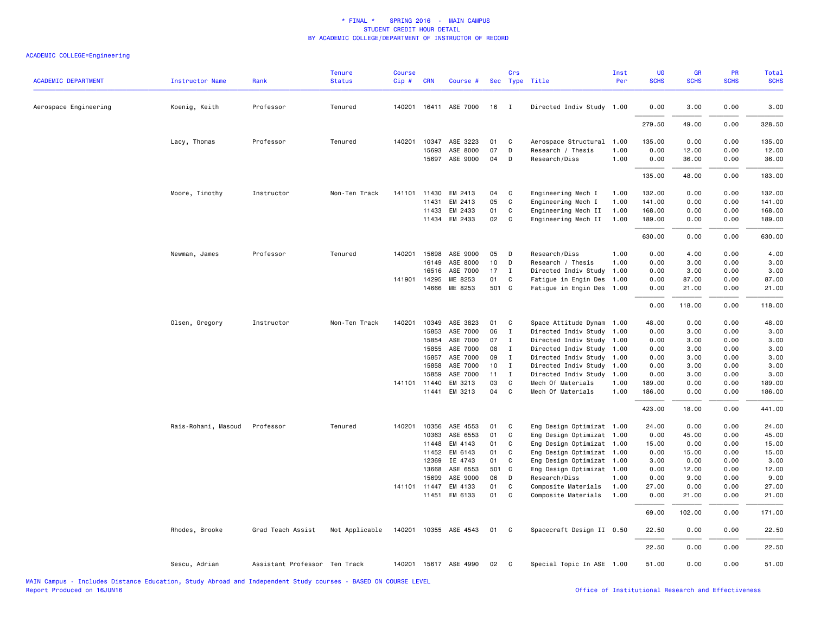| <b>ACADEMIC DEPARTMENT</b> | <b>Instructor Name</b> | Rank                          | <b>Tenure</b><br><b>Status</b> | <b>Course</b><br>Cip# | <b>CRN</b>     | Course #              |          | Crs                            | Sec Type Title                                         | Inst<br>Per | UG<br><b>SCHS</b> | <b>GR</b><br><b>SCHS</b> | PR<br><b>SCHS</b> | Total<br><b>SCHS</b> |
|----------------------------|------------------------|-------------------------------|--------------------------------|-----------------------|----------------|-----------------------|----------|--------------------------------|--------------------------------------------------------|-------------|-------------------|--------------------------|-------------------|----------------------|
| Aerospace Engineering      | Koenig, Keith          | Professor                     | Tenured                        |                       |                | 140201 16411 ASE 7000 | 16       | $\mathbf{I}$                   | Directed Indiv Study 1.00                              |             | 0.00              | 3.00                     | 0.00              | 3.00                 |
|                            |                        |                               |                                |                       |                |                       |          |                                |                                                        |             | 279.50            | 49.00                    | 0.00              | 328.50               |
|                            | Lacy, Thomas           | Professor                     | Tenured                        |                       | 140201 10347   | ASE 3223              | 01       | C                              | Aerospace Structural 1.00                              |             | 135.00            | 0.00                     | 0.00              | 135.00               |
|                            |                        |                               |                                |                       | 15693          | ASE 8000              | 07       | D                              | Research / Thesis                                      | 1.00        | 0.00              | 12.00                    | 0.00              | 12.00                |
|                            |                        |                               |                                |                       |                | 15697 ASE 9000        | 04       | D                              | Research/Diss                                          | 1.00        | 0.00              | 36.00                    | 0.00              | 36.00                |
|                            |                        |                               |                                |                       |                |                       |          |                                |                                                        |             | 135.00            | 48.00                    | 0.00              | 183.00               |
|                            | Moore, Timothy         | Instructor                    | Non-Ten Track                  | 141101                | 11430          | EM 2413               | 04       | C                              | Engineering Mech I                                     | 1.00        | 132.00            | 0.00                     | 0.00              | 132.00               |
|                            |                        |                               |                                |                       | 11431          | EM 2413               | 05       | C                              | Engineering Mech I                                     | 1.00        | 141.00            | 0.00                     | 0.00              | 141.00               |
|                            |                        |                               |                                |                       | 11433          | EM 2433               | 01       | C                              | Engineering Mech II                                    | 1.00        | 168,00            | 0.00                     | 0.00              | 168.00               |
|                            |                        |                               |                                |                       |                | 11434 EM 2433         | 02       | $\overline{\mathbf{C}}$        | Engineering Mech II                                    | 1.00        | 189.00            | 0.00                     | 0.00              | 189.00               |
|                            |                        |                               |                                |                       |                |                       |          |                                |                                                        |             | 630.00            | 0.00                     | 0.00              | 630.00               |
|                            | Newman, James          | Professor                     | Tenured                        |                       | 140201 15698   | ASE 9000              | 05       | D                              | Research/Diss                                          | 1.00        | 0.00              | 4.00                     | 0.00              | 4.00                 |
|                            |                        |                               |                                |                       | 16149          | ASE 8000              | 10       | D                              | Research / Thesis                                      | 1.00        | 0.00              | 3.00                     | 0.00              | 3.00                 |
|                            |                        |                               |                                |                       | 16516          | ASE 7000              | 17       | I                              | Directed Indiv Study                                   | 1.00        | 0.00              | 3.00                     | 0.00              | 3.00                 |
|                            |                        |                               |                                |                       | 141901 14295   | ME 8253               | 01       | C                              | Fatigue in Engin Des 1.00                              |             | 0.00              | 87.00                    | 0.00              | 87.00                |
|                            |                        |                               |                                |                       | 14666          | ME 8253               | 501 C    |                                | Fatigue in Engin Des 1.00                              |             | 0.00              | 21.00                    | 0.00              | 21.00                |
|                            |                        |                               |                                |                       |                |                       |          |                                |                                                        |             | 0.00              | 118.00                   | 0.00              | 118.00               |
|                            | Olsen, Gregory         | Instructor                    | Non-Ten Track                  | 140201                | 10349          | ASE 3823              | 01       | $\mathbf{C}$                   | Space Attitude Dynam 1.00                              |             | 48.00             | 0.00                     | 0.00              | 48.00                |
|                            |                        |                               |                                |                       | 15853          | ASE 7000              | 06       | $\mathbf{I}$                   | Directed Indiv Study 1.00                              |             | 0.00              | 3.00                     | 0.00              | 3.00                 |
|                            |                        |                               |                                |                       | 15854          | ASE 7000              | 07       | $\mathbf{I}$                   | Directed Indiv Study 1.00                              |             | 0.00              | 3.00                     | 0.00              | 3.00                 |
|                            |                        |                               |                                |                       | 15855          | ASE 7000              | 08       | $\mathbf I$                    | Directed Indiv Study 1.00                              |             | 0.00              | 3.00                     | 0.00              | 3.00                 |
|                            |                        |                               |                                |                       | 15857          | ASE 7000<br>ASE 7000  | 09       | $\mathbf{I}$                   | Directed Indiv Study 1.00                              |             | 0.00              | 3.00                     | 0.00              | 3.00                 |
|                            |                        |                               |                                |                       | 15858<br>15859 | ASE 7000              | 10<br>11 | $\mathbf{I}$<br>$\blacksquare$ | Directed Indiv Study 1.00<br>Directed Indiv Study 1.00 |             | 0.00<br>0.00      | 3.00<br>3.00             | 0.00<br>0.00      | 3.00<br>3.00         |
|                            |                        |                               |                                |                       | 141101 11440   | EM 3213               | 03       | $\mathbf{C}$                   | Mech Of Materials                                      | 1.00        | 189.00            | 0.00                     | 0.00              | 189.00               |
|                            |                        |                               |                                |                       | 11441          | EM 3213               | 04 C     |                                | Mech Of Materials                                      | 1.00        | 186.00            | 0.00                     | 0.00              | 186.00               |
|                            |                        |                               |                                |                       |                |                       |          |                                |                                                        |             | 423.00            | 18.00                    | 0.00              | 441.00               |
|                            | Rais-Rohani, Masoud    | Professor                     | Tenured                        |                       | 140201 10356   | ASE 4553              | 01       | $\mathbf{C}$                   | Eng Design Optimizat 1.00                              |             | 24.00             | 0.00                     | 0.00              | 24.00                |
|                            |                        |                               |                                |                       | 10363          | ASE 6553              | 01       | C                              | Eng Design Optimizat 1.00                              |             | 0.00              | 45.00                    | 0.00              | 45.00                |
|                            |                        |                               |                                |                       | 11448          | EM 4143               | 01       | C                              | Eng Design Optimizat 1.00                              |             | 15.00             | 0.00                     | 0.00              | 15.00                |
|                            |                        |                               |                                |                       | 11452          | EM 6143               | 01       | C                              | Eng Design Optimizat 1.00                              |             | 0.00              | 15.00                    | 0.00              | 15.00                |
|                            |                        |                               |                                |                       | 12369          | IE 4743               | 01       | C                              | Eng Design Optimizat 1.00                              |             | 3.00              | 0.00                     | 0.00              | 3.00                 |
|                            |                        |                               |                                |                       | 13668          | ASE 6553              | 501 C    |                                | Eng Design Optimizat 1.00                              |             | 0.00              | 12.00                    | 0.00              | 12.00                |
|                            |                        |                               |                                |                       | 15699          | ASE 9000              | 06       | $\Box$                         | Research/Diss                                          | 1.00        | 0.00              | 9.00                     | 0.00              | 9.00                 |
|                            |                        |                               |                                |                       | 141101 11447   | EM 4133               | 01       | C                              | Composite Materials                                    | 1.00        | 27.00             | 0.00                     | 0.00              | 27.00                |
|                            |                        |                               |                                |                       | 11451          | EM 6133               | 01       | $\mathbf{C}$                   | Composite Materials                                    | 1.00        | 0.00              | 21.00                    | 0.00              | 21.00                |
|                            |                        |                               |                                |                       |                |                       |          |                                |                                                        |             | 69.00             | 102.00                   | 0.00              | 171.00               |
|                            | Rhodes, Brooke         | Grad Teach Assist             | Not Applicable                 |                       |                | 140201 10355 ASE 4543 | 01       | $\overline{\mathbf{C}}$        | Spacecraft Design II 0.50                              |             | 22.50             | 0.00                     | 0.00              | 22.50                |
|                            |                        |                               |                                |                       |                |                       |          |                                |                                                        |             | 22.50             | 0.00                     | 0.00              | 22.50                |
|                            | Sescu, Adrian          | Assistant Professor Ten Track |                                |                       |                | 140201 15617 ASE 4990 | 02       | $\mathbf{C}$                   | Special Topic In ASE 1.00                              |             | 51.00             | 0.00                     | 0.00              | 51.00                |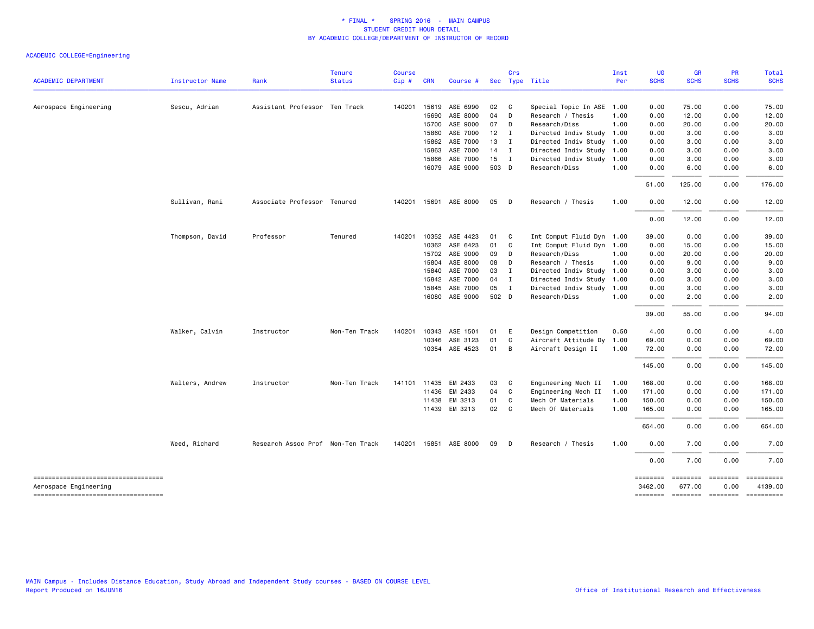|                                                                                                   |                 |                                   | <b>Tenure</b> | <b>Course</b> |              |                       |        | Crs            |                           | Inst | <b>UG</b>                       | <b>GR</b>                                              | PR                      | Total       |
|---------------------------------------------------------------------------------------------------|-----------------|-----------------------------------|---------------|---------------|--------------|-----------------------|--------|----------------|---------------------------|------|---------------------------------|--------------------------------------------------------|-------------------------|-------------|
| <b>ACADEMIC DEPARTMENT</b>                                                                        | Instructor Name | Rank                              | <b>Status</b> | Cip#          | <b>CRN</b>   | Course #              |        |                | Sec Type Title            | Per  | <b>SCHS</b>                     | <b>SCHS</b>                                            | <b>SCHS</b>             | <b>SCHS</b> |
| Aerospace Engineering                                                                             | Sescu, Adrian   | Assistant Professor Ten Track     |               | 140201        | 15619        | ASE 6990              | 02     | $\mathbf{C}$   | Special Topic In ASE      | 1.00 | 0.00                            | 75.00                                                  | 0.00                    | 75.00       |
|                                                                                                   |                 |                                   |               |               | 15690        | ASE 8000              | 04     | D              | Research / Thesis         | 1.00 | 0.00                            | 12.00                                                  | 0.00                    | 12.00       |
|                                                                                                   |                 |                                   |               |               | 15700        | ASE 9000              | 07     | D              | Research/Diss             | 1.00 | 0.00                            | 20.00                                                  | 0.00                    | 20.00       |
|                                                                                                   |                 |                                   |               |               | 15860        | ASE 7000              | $12$ I |                | Directed Indiv Study 1.00 |      | 0.00                            | 3.00                                                   | 0.00                    | 3.00        |
|                                                                                                   |                 |                                   |               |               | 15862        | ASE 7000              | 13     | $\mathbf{I}$   | Directed Indiv Study 1.00 |      | 0.00                            | 3.00                                                   | 0.00                    | 3.00        |
|                                                                                                   |                 |                                   |               |               | 15863        | ASE 7000              | $14$ I |                | Directed Indiv Study 1.00 |      | 0.00                            | 3.00                                                   | 0.00                    | 3.00        |
|                                                                                                   |                 |                                   |               |               | 15866        | ASE 7000              | 15     | $\mathbf{I}$   | Directed Indiv Study 1.00 |      | 0.00                            | 3.00                                                   | 0.00                    | 3.00        |
|                                                                                                   |                 |                                   |               |               | 16079        | ASE 9000              | 503 D  |                | Research/Diss             | 1.00 | 0.00                            | 6.00                                                   | 0.00                    | 6.00        |
|                                                                                                   |                 |                                   |               |               |              |                       |        |                |                           |      | 51.00                           | 125.00                                                 | 0.00                    | 176.00      |
|                                                                                                   | Sullivan, Rani  | Associate Professor Tenured       |               |               |              | 140201 15691 ASE 8000 | 05     | $\Box$         | Research / Thesis         | 1.00 | 0.00                            | 12.00                                                  | 0.00                    | 12.00       |
|                                                                                                   |                 |                                   |               |               |              |                       |        |                |                           |      | 0.00                            | 12.00                                                  | 0.00                    | 12.00       |
|                                                                                                   | Thompson, David | Professor                         | Tenured       |               |              | 140201 10352 ASE 4423 | 01     | $\mathbf{C}$   | Int Comput Fluid Dyn 1.00 |      | 39.00                           | 0.00                                                   | 0.00                    | 39.00       |
|                                                                                                   |                 |                                   |               |               | 10362        | ASE 6423              | 01     | $\mathbf{C}$   | Int Comput Fluid Dyn 1.00 |      | 0.00                            | 15.00                                                  | 0.00                    | 15.00       |
|                                                                                                   |                 |                                   |               |               | 15702        | ASE 9000              | 09     | $\Box$         | Research/Diss             | 1.00 | 0.00                            | 20.00                                                  | 0.00                    | 20.00       |
|                                                                                                   |                 |                                   |               |               | 15804        | ASE 8000              | 08     | D              | Research / Thesis         | 1.00 | 0.00                            | 9.00                                                   | 0.00                    | 9.00        |
|                                                                                                   |                 |                                   |               |               | 15840        | ASE 7000              | 03     | $\mathbf{I}$   | Directed Indiv Study 1.00 |      | 0.00                            | 3.00                                                   | 0.00                    | 3.00        |
|                                                                                                   |                 |                                   |               |               | 15842        | ASE 7000              | 04 I   |                | Directed Indiv Study 1.00 |      | 0.00                            | 3.00                                                   | 0.00                    | 3.00        |
|                                                                                                   |                 |                                   |               |               | 15845        | ASE 7000              | 05     | $\blacksquare$ | Directed Indiv Study 1.00 |      | 0.00                            | 3.00                                                   | 0.00                    | 3.00        |
|                                                                                                   |                 |                                   |               |               | 16080        | ASE 9000              | 502 D  |                | Research/Diss             | 1.00 | 0.00                            | 2.00                                                   | 0.00                    | 2.00        |
|                                                                                                   |                 |                                   |               |               |              |                       |        |                |                           |      | 39.00                           | 55.00                                                  | 0.00                    | 94.00       |
|                                                                                                   | Walker, Calvin  | Instructor                        | Non-Ten Track |               | 140201 10343 | ASE 1501              | 01     | E              | Design Competition        | 0.50 | 4.00                            | 0.00                                                   | 0.00                    | 4.00        |
|                                                                                                   |                 |                                   |               |               | 10346        | ASE 3123              | 01     | $\mathbf{C}$   | Aircraft Attitude Dy      | 1.00 | 69.00                           | 0.00                                                   | 0.00                    | 69.00       |
|                                                                                                   |                 |                                   |               |               | 10354        | ASE 4523              | 01 B   |                | Aircraft Design II        | 1.00 | 72.00                           | 0.00                                                   | 0.00                    | 72.00       |
|                                                                                                   |                 |                                   |               |               |              |                       |        |                |                           |      | 145.00                          | 0.00                                                   | 0.00                    | 145.00      |
|                                                                                                   | Walters, Andrew | Instructor                        | Non-Ten Track |               | 141101 11435 | EM 2433               | 03     | $\overline{c}$ | Engineering Mech II       | 1.00 | 168.00                          | 0.00                                                   | 0.00                    | 168.00      |
|                                                                                                   |                 |                                   |               |               | 11436        | EM 2433               | 04     | $\mathbf{C}$   | Engineering Mech II       | 1.00 | 171.00                          | 0.00                                                   | 0.00                    | 171.00      |
|                                                                                                   |                 |                                   |               |               | 11438        | EM 3213               | 01     | C              | Mech Of Materials         | 1.00 | 150.00                          | 0.00                                                   | 0.00                    | 150.00      |
|                                                                                                   |                 |                                   |               |               |              | 11439 EM 3213         | 02 C   |                | Mech Of Materials         | 1.00 | 165.00                          | 0.00                                                   | 0.00                    | 165.00      |
|                                                                                                   |                 |                                   |               |               |              |                       |        |                |                           |      | 654.00                          | 0.00                                                   | 0.00                    | 654.00      |
|                                                                                                   | Weed, Richard   | Research Assoc Prof Non-Ten Track |               |               |              | 140201 15851 ASE 8000 | 09     | $\Box$         | Research / Thesis         | 1.00 | 0.00                            | 7.00                                                   | 0.00                    | 7.00        |
|                                                                                                   |                 |                                   |               |               |              |                       |        |                |                           |      | 0.00                            | 7.00                                                   | 0.00                    | 7.00        |
| ----------------------------------<br>Aerospace Engineering<br>---------------------------------- |                 |                                   |               |               |              |                       |        |                |                           |      | ========<br>3462.00<br>======== | $= 1000000000$<br>677.00<br>-------- ------- --------- | <b>EEEEEEEE</b><br>0.00 | 4139.00     |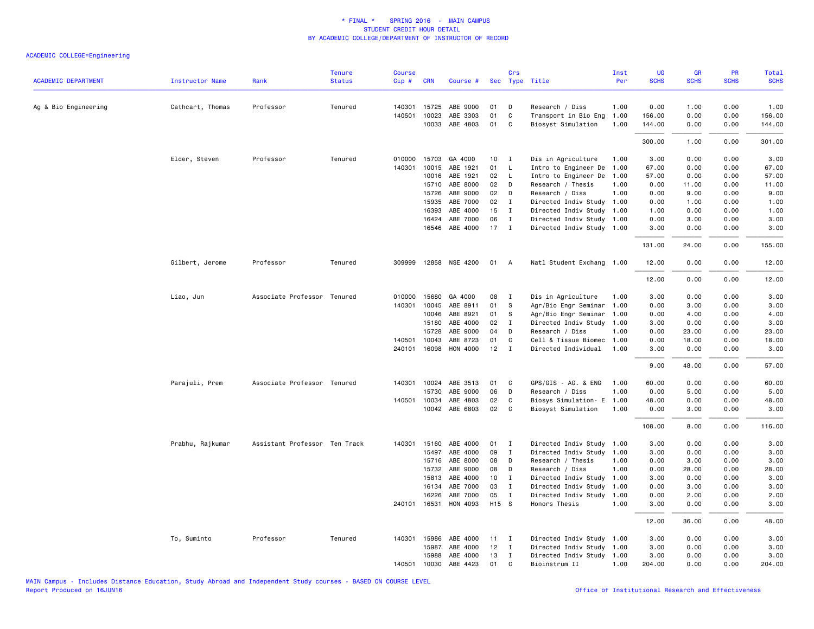| <b>ACADEMIC DEPARTMENT</b> | <b>Instructor Name</b> | Rank                          | <b>Tenure</b><br><b>Status</b> | <b>Course</b><br>Cip# | <b>CRN</b>   | Course #              |        | Crs          | Sec Type Title            | Inst<br>Per | UG<br><b>SCHS</b> | <b>GR</b><br><b>SCHS</b> | <b>PR</b><br><b>SCHS</b> | Total<br><b>SCHS</b> |
|----------------------------|------------------------|-------------------------------|--------------------------------|-----------------------|--------------|-----------------------|--------|--------------|---------------------------|-------------|-------------------|--------------------------|--------------------------|----------------------|
|                            |                        |                               |                                |                       |              |                       |        |              |                           |             |                   |                          |                          |                      |
| Ag & Bio Engineering       | Cathcart, Thomas       | Professor                     | Tenured                        | 140301                | 15725        | ABE 9000              | 01     | D            | Research / Diss           | 1.00        | 0.00              | 1.00                     | 0.00                     | 1.00                 |
|                            |                        |                               |                                | 140501                | 10023        | ABE 3303              | 01     | C            | Transport in Bio Eng      | 1.00        | 156.00            | 0.00                     | 0.00                     | 156.00               |
|                            |                        |                               |                                |                       | 10033        | ABE 4803              | 01     | C            | Biosyst Simulation        | 1.00        | 144.00            | 0.00                     | 0.00                     | 144.00               |
|                            |                        |                               |                                |                       |              |                       |        |              |                           |             | 300.00            | 1.00                     | 0.00                     | 301.00               |
|                            | Elder, Steven          | Professor                     | Tenured                        | 010000                | 15703        | GA 4000               | 10     | $\mathbf{I}$ | Dis in Agriculture        | 1.00        | 3.00              | 0.00                     | 0.00                     | 3.00                 |
|                            |                        |                               |                                | 140301                | 10015        | ABE 1921              | 01     | L            | Intro to Engineer De      | 1.00        | 67.00             | 0.00                     | 0.00                     | 67.00                |
|                            |                        |                               |                                |                       | 10016        | ABE 1921              | 02     | $\mathsf{L}$ | Intro to Engineer De      | 1.00        | 57.00             | 0.00                     | 0.00                     | 57.00                |
|                            |                        |                               |                                |                       | 15710        | ABE 8000              | 02     | D            | Research / Thesis         | 1.00        | 0.00              | 11.00                    | 0.00                     | 11.00                |
|                            |                        |                               |                                |                       | 15726        | ABE 9000              | 02     | D            | Research / Diss           | 1.00        | 0.00              | 9.00                     | 0.00                     | 9.00                 |
|                            |                        |                               |                                |                       | 15935        | ABE 7000              | 02     | I            | Directed Indiv Study      | 1.00        | 0.00              | 1.00                     | 0.00                     | 1.00                 |
|                            |                        |                               |                                |                       | 16393        | ABE 4000              | 15     | $\mathbf{I}$ | Directed Indiv Study 1.00 |             | 1.00              | 0.00                     | 0.00                     | 1.00                 |
|                            |                        |                               |                                |                       | 16424        | ABE 7000              | 06     | $\mathbf{I}$ | Directed Indiv Study 1.00 |             | 0.00              | 3.00                     | 0.00                     | 3.00                 |
|                            |                        |                               |                                |                       | 16546        | ABE 4000              | $17$ I |              | Directed Indiv Study 1.00 |             | 3.00              | 0.00                     | 0.00                     | 3.00                 |
|                            |                        |                               |                                |                       |              |                       |        |              |                           |             | 131.00            | 24.00                    | 0.00                     | 155.00               |
|                            | Gilbert, Jerome        | Professor                     | Tenured                        |                       |              | 309999 12858 NSE 4200 | 01     | A            | Natl Student Exchang 1.00 |             | 12.00             | 0.00                     | 0.00                     | 12.00                |
|                            |                        |                               |                                |                       |              |                       |        |              |                           |             | 12.00             | 0.00                     | 0.00                     | 12.00                |
|                            | Liao, Jun              | Associate Professor Tenured   |                                | 010000                | 15680        | GA 4000               | 08     | I            | Dis in Agriculture        | 1.00        | 3.00              | 0.00                     | 0.00                     | 3.00                 |
|                            |                        |                               |                                | 140301                | 10045        | ABE 8911              | 01     | s            | Agr/Bio Engr Seminar      | 1.00        | 0.00              | 3.00                     | 0.00                     | 3.00                 |
|                            |                        |                               |                                |                       | 10046        | ABE 8921              | 01     | S            | Agr/Bio Engr Seminar      | 1.00        | 0.00              | 4.00                     | 0.00                     | 4.00                 |
|                            |                        |                               |                                |                       | 15180        | ABE 4000              | 02     | $\mathbf I$  | Directed Indiv Study 1.00 |             | 3.00              | 0.00                     | 0.00                     | 3.00                 |
|                            |                        |                               |                                |                       | 15728        | ABE 9000              | 04     | D            | Research / Diss           | 1.00        | 0.00              | 23.00                    | 0.00                     | 23.00                |
|                            |                        |                               |                                | 140501                | 10043        | ABE 8723              | 01     | C            | Cell & Tissue Biomec      | 1.00        | 0.00              | 18.00                    | 0.00                     | 18.00                |
|                            |                        |                               |                                | 240101                | 16098        | HON 4000              | 12     | $\mathbf{I}$ | Directed Individual       | 1.00        | 3.00              | 0.00                     | 0.00                     | 3.00                 |
|                            |                        |                               |                                |                       |              |                       |        |              |                           |             | 9.00              | 48.00                    | 0.00                     | 57.00                |
|                            | Parajuli, Prem         | Associate Professor Tenured   |                                |                       | 140301 10024 | ABE 3513              | 01     | C            | GPS/GIS - AG. & ENG       | 1.00        | 60.00             | 0.00                     | 0.00                     | 60.00                |
|                            |                        |                               |                                |                       | 15730        | ABE 9000              | 06     | D            | Research / Diss           | 1.00        | 0.00              | 5.00                     | 0.00                     | 5.00                 |
|                            |                        |                               |                                | 140501                | 10034        | ABE 4803              | 02     | C            | Biosys Simulation- E      | 1.00        | 48.00             | 0.00                     | 0.00                     | 48.00                |
|                            |                        |                               |                                |                       |              | 10042 ABE 6803        | 02     | C            | Biosyst Simulation        | 1.00        | 0.00              | 3.00                     | 0.00                     | 3.00                 |
|                            |                        |                               |                                |                       |              |                       |        |              |                           |             | 108.00            | 8.00                     | 0.00                     | 116.00               |
|                            | Prabhu, Rajkumar       | Assistant Professor Ten Track |                                | 140301                | 15160        | ABE 4000              | 01     | $\mathbf{I}$ | Directed Indiv Study 1.00 |             | 3.00              | 0.00                     | 0.00                     | 3.00                 |
|                            |                        |                               |                                |                       | 15497        | ABE 4000              | 09     | $\mathbf{I}$ | Directed Indiv Study      | 1.00        | 3.00              | 0.00                     | 0.00                     | 3.00                 |
|                            |                        |                               |                                |                       | 15716        | ABE 8000              | 08     | D            | Research / Thesis         | 1.00        | 0.00              | 3.00                     | 0.00                     | 3.00                 |
|                            |                        |                               |                                |                       | 15732        | ABE 9000              | 08     | D            | Research / Diss           | 1.00        | 0.00              | 28.00                    | 0.00                     | 28.00                |
|                            |                        |                               |                                |                       | 15813        | ABE 4000              | 10     | I            | Directed Indiv Study      | 1.00        | 3.00              | 0.00                     | 0.00                     | 3.00                 |
|                            |                        |                               |                                |                       | 16134        | ABE 7000              | 03     | $\mathbf{I}$ | Directed Indiv Study      | 1.00        | 0.00              | 3.00                     | 0.00                     | 3.00                 |
|                            |                        |                               |                                |                       | 16226        | ABE 7000              | 05     | I            | Directed Indiv Study      | 1.00        | 0.00              | 2.00                     | 0.00                     | 2.00                 |
|                            |                        |                               |                                |                       | 240101 16531 | HON 4093              | H15 S  |              | Honors Thesis             | 1.00        | 3.00              | 0.00                     | 0.00                     | 3.00                 |
|                            |                        |                               |                                |                       |              |                       |        |              |                           |             | 12.00             | 36.00                    | 0.00                     | 48.00                |
|                            | To, Suminto            | Professor                     | Tenured                        | 140301                | 15986        | ABE 4000              | 11     | $\mathbf{I}$ | Directed Indiv Study 1.00 |             | 3.00              | 0.00                     | 0.00                     | 3.00                 |
|                            |                        |                               |                                |                       | 15987        | ABE 4000              | 12     | $\mathbf{I}$ | Directed Indiv Study 1.00 |             | 3.00              | 0.00                     | 0.00                     | 3.00                 |
|                            |                        |                               |                                |                       | 15988        | ABE 4000              | 13     | I            | Directed Indiv Study      | 1.00        | 3.00              | 0.00                     | 0.00                     | 3.00                 |
|                            |                        |                               |                                | 140501                | 10030        | ABE 4423              | 01     | C            | Bioinstrum II             | 1.00        | 204.00            | 0.00                     | 0.00                     | 204.00               |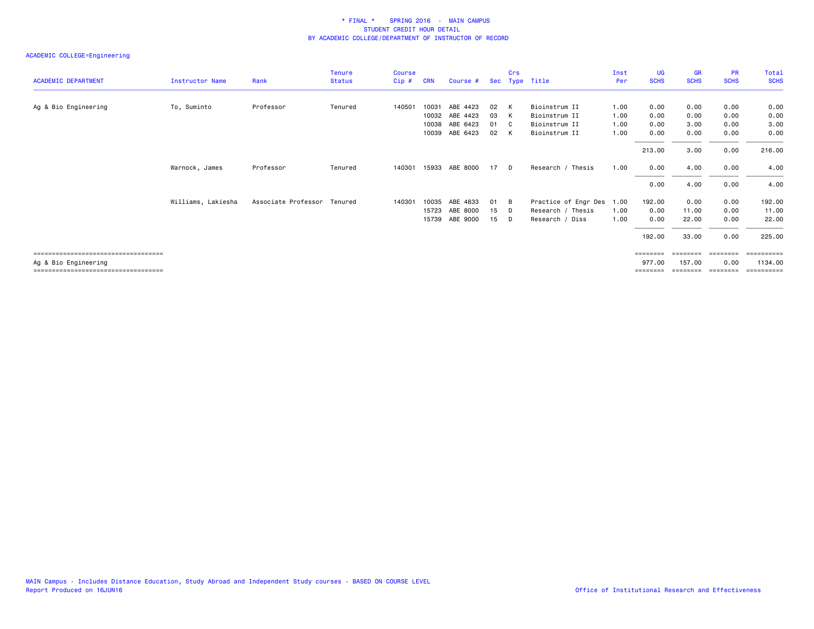|                                        |                        |                     | <b>Tenure</b> | <b>Course</b> |            |                |    | Crs            |                      | Inst | UG          | <b>GR</b>   | <b>PR</b>         | Total       |
|----------------------------------------|------------------------|---------------------|---------------|---------------|------------|----------------|----|----------------|----------------------|------|-------------|-------------|-------------------|-------------|
| <b>ACADEMIC DEPARTMENT</b>             | <b>Instructor Name</b> | Rank                | <b>Status</b> | $Cip$ #       | <b>CRN</b> | Course #       |    |                | Sec Type Title       | Per  | <b>SCHS</b> | <b>SCHS</b> | <b>SCHS</b>       | <b>SCHS</b> |
|                                        |                        |                     |               |               |            |                |    |                |                      |      |             |             |                   |             |
| Ag & Bio Engineering                   | To, Suminto            | Professor           | Tenured       | 140501        | 10031      | ABE 4423       | 02 | K              | Bioinstrum II        | 1.00 | 0.00        | 0.00        | 0.00              | 0.00        |
|                                        |                        |                     |               |               | 10032      | ABE 4423       | 03 | K              | Bioinstrum II        | 1.00 | 0.00        | 0.00        | 0.00              | 0.00        |
|                                        |                        |                     |               |               | 10038      | ABE 6423       | 01 | C <sub>c</sub> | Bioinstrum II        | 1.00 | 0.00        | 3.00        | 0.00              | 3.00        |
|                                        |                        |                     |               |               | 10039      | ABE 6423       | 02 | K              | Bioinstrum II        | 1.00 | 0.00        | 0.00        | 0.00              | 0.00        |
|                                        |                        |                     |               |               |            |                |    |                |                      |      | 213.00      | 3.00        | 0.00              | 216.00      |
|                                        | Warnock, James         | Professor           | Tenured       | 140301        |            | 15933 ABE 8000 | 17 | D              | Research / Thesis    | 1.00 | 0.00        | 4.00        | 0.00              | 4.00        |
|                                        |                        |                     |               |               |            |                |    |                |                      |      | 0.00        | 4.00        | 0.00              | 4.00        |
|                                        | Williams, Lakiesha     | Associate Professor | Tenured       | 140301        | 10035      | ABE 4833       | 01 | B              | Practice of Engr Des | 1.00 | 192.00      | 0.00        | 0.00              | 192.00      |
|                                        |                        |                     |               |               | 15723      | ABE 8000       | 15 | D              | Research / Thesis    | 1.00 | 0.00        | 11.00       | 0.00              | 11.00       |
|                                        |                        |                     |               |               | 15739      | ABE 9000       | 15 | D              | Research / Diss      | 1.00 | 0.00        | 22.00       | 0.00              | 22.00       |
|                                        |                        |                     |               |               |            |                |    |                |                      |      | 192.00      | 33.00       | 0.00              | 225.00      |
| ====================================   |                        |                     |               |               |            |                |    |                |                      |      | ========    | ========    | $=$ = = = = = = = | ==========  |
| Ag & Bio Engineering                   |                        |                     |               |               |            |                |    |                |                      |      | 977.00      | 157.00      | 0.00              | 1134.00     |
| ====================================== |                        |                     |               |               |            |                |    |                |                      |      |             |             |                   | =======     |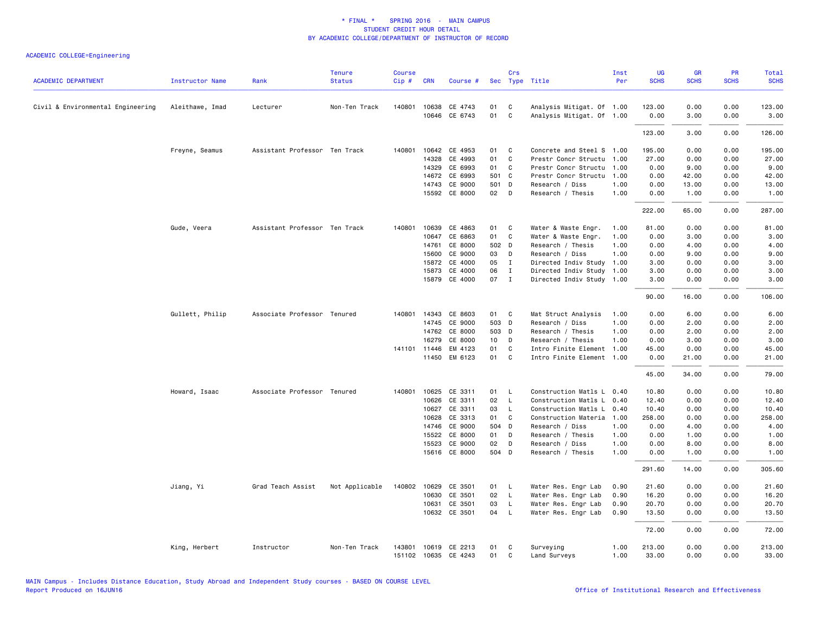| <b>ACADEMIC DEPARTMENT</b>        | <b>Instructor Name</b> | Rank                          | <b>Tenure</b><br><b>Status</b> | <b>Course</b><br>Cip# | <b>CRN</b>   | Course #             |                 | Crs          | Sec Type Title            | Inst<br>Per | <b>UG</b><br><b>SCHS</b> | <b>GR</b><br><b>SCHS</b> | PR<br><b>SCHS</b> | Total<br><b>SCHS</b> |
|-----------------------------------|------------------------|-------------------------------|--------------------------------|-----------------------|--------------|----------------------|-----------------|--------------|---------------------------|-------------|--------------------------|--------------------------|-------------------|----------------------|
| Civil & Environmental Engineering | Aleithawe, Imad        | Lecturer                      | Non-Ten Track                  |                       | 140801 10638 | CE 4743              | 01              | C            | Analysis Mitigat. Of 1.00 |             | 123.00                   | 0.00                     | 0.00              | 123.00               |
|                                   |                        |                               |                                |                       |              | 10646 CE 6743        | 01              | $\mathsf{C}$ | Analysis Mitigat. Of 1.00 |             | 0.00                     | 3.00                     | 0.00              | 3.00                 |
|                                   |                        |                               |                                |                       |              |                      |                 |              |                           |             | 123.00                   | 3.00                     | 0.00              | 126.00               |
|                                   | Freyne, Seamus         | Assistant Professor Ten Track |                                | 140801                | 10642        | CE 4953              | 01              | C            | Concrete and Steel S 1.00 |             | 195.00                   | 0.00                     | 0.00              | 195.00               |
|                                   |                        |                               |                                |                       | 14328        | CE 4993              | 01              | C            | Prestr Concr Structu 1.00 |             | 27.00                    | 0.00                     | 0.00              | 27.00                |
|                                   |                        |                               |                                |                       | 14329        | CE 6993              | 01              | C            | Prestr Concr Structu      | 1.00        | 0.00                     | 9.00                     | 0.00              | 9.00                 |
|                                   |                        |                               |                                |                       | 14672        | CE 6993              | 501 C           |              | Prestr Concr Structu      | 1.00        | 0.00                     | 42.00                    | 0.00              | 42.00                |
|                                   |                        |                               |                                |                       | 14743        | CE 9000              | 501 D           |              | Research / Diss           | 1.00        | 0.00                     | 13.00                    | 0.00              | 13.00                |
|                                   |                        |                               |                                |                       |              | 15592 CE 8000        | 02 <sub>2</sub> | D            | Research / Thesis         | 1.00        | 0.00                     | 1.00                     | 0.00              | 1.00                 |
|                                   |                        |                               |                                |                       |              |                      |                 |              |                           |             | 222.00                   | 65.00                    | 0.00              | 287.00               |
|                                   | Gude, Veera            | Assistant Professor Ten Track |                                | 140801                | 10639        | CE 4863              | 01              | C            | Water & Waste Engr.       | 1.00        | 81.00                    | 0.00                     | 0.00              | 81.00                |
|                                   |                        |                               |                                |                       | 10647        | CE 6863              | 01              | $\mathsf{C}$ | Water & Waste Engr.       | 1.00        | 0.00                     | 3.00                     | 0.00              | 3.00                 |
|                                   |                        |                               |                                |                       | 14761        | CE 8000              | 502 D           |              | Research / Thesis         | 1.00        | 0.00                     | 4.00                     | 0.00              | 4.00                 |
|                                   |                        |                               |                                |                       | 15600        | CE 9000              | 03              | D            | Research / Diss           | 1.00        | 0.00                     | 9.00                     | 0.00              | 9.00                 |
|                                   |                        |                               |                                |                       | 15872        | CE 4000              | 05              | $\mathbf{I}$ | Directed Indiv Study 1.00 |             | 3.00                     | 0.00                     | 0.00              | 3.00                 |
|                                   |                        |                               |                                |                       | 15873        | CE 4000              | 06              | $\mathbf{I}$ | Directed Indiv Study 1.00 |             | 3.00                     | 0.00                     | 0.00              | 3.00                 |
|                                   |                        |                               |                                |                       |              | 15879 CE 4000        | 07 I            |              | Directed Indiv Study 1.00 |             | 3.00                     | 0.00                     | 0.00              | 3.00                 |
|                                   |                        |                               |                                |                       |              |                      |                 |              |                           |             | 90.00                    | 16.00                    | 0.00              | 106.00               |
|                                   | Gullett, Philip        | Associate Professor Tenured   |                                |                       |              | 140801 14343 CE 8603 | 01              | <b>C</b>     | Mat Struct Analysis       | 1.00        | 0.00                     | 6.00                     | 0.00              | 6.00                 |
|                                   |                        |                               |                                |                       | 14745        | CE 9000              | 503 D           |              | Research / Diss           | 1.00        | 0.00                     | 2.00                     | 0.00              | 2.00                 |
|                                   |                        |                               |                                |                       |              | 14762 CE 8000        | 503 D           |              | Research / Thesis         | 1.00        | 0.00                     | 2.00                     | 0.00              | 2.00                 |
|                                   |                        |                               |                                |                       | 16279        | CE 8000              | 10 <sup>1</sup> | D            | Research / Thesis         | 1.00        | 0.00                     | 3.00                     | 0.00              | 3.00                 |
|                                   |                        |                               |                                |                       | 141101 11446 | EM 4123              | 01              | C            | Intro Finite Element 1.00 |             | 45.00                    | 0.00                     | 0.00              | 45.00                |
|                                   |                        |                               |                                |                       |              | 11450 EM 6123        | 01              | C            | Intro Finite Element 1.00 |             | 0.00                     | 21.00                    | 0.00              | 21.00                |
|                                   |                        |                               |                                |                       |              |                      |                 |              |                           |             | 45.00                    | 34.00                    | 0.00              | 79.00                |
|                                   | Howard, Isaac          | Associate Professor Tenured   |                                |                       | 140801 10625 | CE 3311              | 01              | <b>L</b>     | Construction Matls L 0.40 |             | 10.80                    | 0.00                     | 0.00              | 10.80                |
|                                   |                        |                               |                                |                       | 10626        | CE 3311              | 02              | $\mathsf{L}$ | Construction Matls L      | 0.40        | 12.40                    | 0.00                     | 0.00              | 12.40                |
|                                   |                        |                               |                                |                       | 10627        | CE 3311              | 03              | $\mathsf{L}$ | Construction Matls L      | 0.40        | 10.40                    | 0.00                     | 0.00              | 10.40                |
|                                   |                        |                               |                                |                       | 10628        | CE 3313              | 01              | C            | Construction Materia      | 1.00        | 258.00                   | 0.00                     | 0.00              | 258.00               |
|                                   |                        |                               |                                |                       | 14746        | CE 9000              | 504 D           |              | Research / Diss           | 1.00        | 0.00                     | 4.00                     | 0.00              | 4.00                 |
|                                   |                        |                               |                                |                       | 15522        | CE 8000              | 01              | D            | Research / Thesis         | 1.00        | 0.00                     | 1.00                     | 0.00              | 1.00                 |
|                                   |                        |                               |                                |                       | 15523        | CE 9000              | 02              | D            | Research / Diss           | 1.00        | 0.00                     | 8.00                     | 0.00              | 8.00                 |
|                                   |                        |                               |                                |                       |              | 15616 CE 8000        | 504 D           |              | Research / Thesis         | 1.00        | 0.00                     | 1.00                     | 0.00              | 1.00                 |
|                                   |                        |                               |                                |                       |              |                      |                 |              |                           |             | 291.60                   | 14.00                    | 0.00              | 305.60               |
|                                   | Jiang, Yi              | Grad Teach Assist             | Not Applicable                 | 140802                | 10629        | CE 3501              | 01              | <b>L</b>     | Water Res. Engr Lab       | 0.90        | 21.60                    | 0.00                     | 0.00              | 21.60                |
|                                   |                        |                               |                                |                       | 10630        | CE 3501              | 02              | $\mathsf{L}$ | Water Res. Engr Lab       | 0.90        | 16.20                    | 0.00                     | 0.00              | 16.20                |
|                                   |                        |                               |                                |                       | 10631        | CE 3501              | 03              | $\mathsf{L}$ | Water Res. Engr Lab       | 0.90        | 20.70                    | 0.00                     | 0.00              | 20.70                |
|                                   |                        |                               |                                |                       |              | 10632 CE 3501        | 04              | $\mathsf{L}$ | Water Res. Engr Lab       | 0.90        | 13.50                    | 0.00                     | 0.00              | 13.50                |
|                                   |                        |                               |                                |                       |              |                      |                 |              |                           |             | 72.00                    | 0.00                     | 0.00              | 72.00                |
|                                   | King, Herbert          | Instructor                    | Non-Ten Track                  | 143801                |              | 10619 CE 2213        | 01              | C            | Surveying                 | 1.00        | 213.00                   | 0.00                     | 0.00              | 213.00               |
|                                   |                        |                               |                                |                       |              | 151102 10635 CE 4243 | 01              | C            | Land Surveys              | 1.00        | 33.00                    | 0.00                     | 0.00              | 33.00                |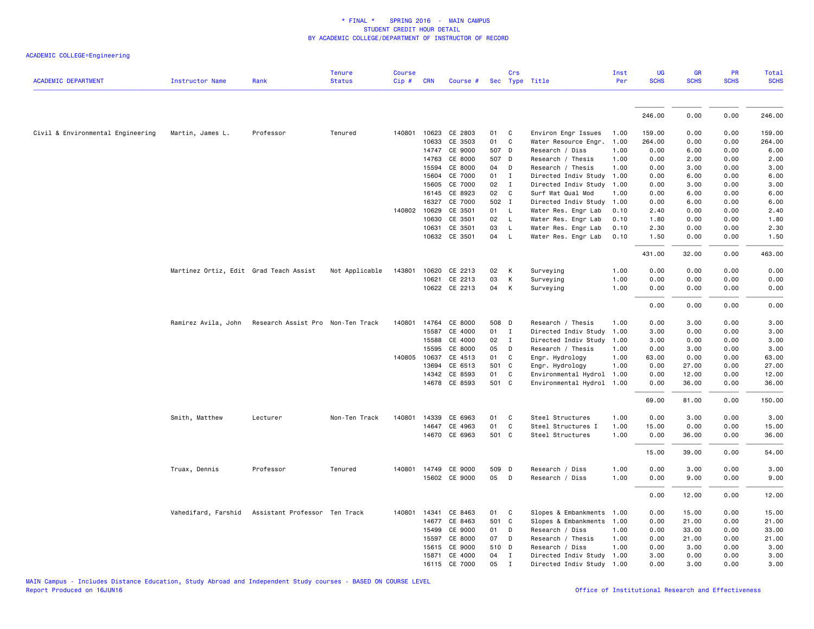|                                   |                                        |                                   | <b>Tenure</b>  | <b>Course</b> |              |               |       | Crs            |                           | Inst | <b>UG</b>   | <b>GR</b>   | PR          | Total       |
|-----------------------------------|----------------------------------------|-----------------------------------|----------------|---------------|--------------|---------------|-------|----------------|---------------------------|------|-------------|-------------|-------------|-------------|
| <b>ACADEMIC DEPARTMENT</b>        | <b>Instructor Name</b>                 | Rank                              | <b>Status</b>  | Cip#          | <b>CRN</b>   | Course #      |       |                | Sec Type Title            | Per  | <b>SCHS</b> | <b>SCHS</b> | <b>SCHS</b> | <b>SCHS</b> |
|                                   |                                        |                                   |                |               |              |               |       |                |                           |      |             |             |             |             |
|                                   |                                        |                                   |                |               |              |               |       |                |                           |      | 246.00      | 0.00        | 0.00        | 246.00      |
| Civil & Environmental Engineering | Martin, James L.                       | Professor                         | Tenured        | 140801        | 10623        | CE 2803       | 01    | C <sub>1</sub> | Environ Engr Issues       | 1.00 | 159.00      | 0.00        | 0.00        | 159.00      |
|                                   |                                        |                                   |                |               | 10633        | CE 3503       | 01    | C              | Water Resource Engr.      | 1.00 | 264.00      | 0.00        | 0.00        | 264.00      |
|                                   |                                        |                                   |                |               | 14747        | CE 9000       | 507 D |                | Research / Diss           | 1.00 | 0.00        | 6.00        | 0.00        | 6.00        |
|                                   |                                        |                                   |                |               | 14763        | CE 8000       | 507 D |                | Research / Thesis         | 1.00 | 0.00        | 2.00        | 0.00        | 2.00        |
|                                   |                                        |                                   |                |               | 15594        | CE 8000       | 04    | D              | Research / Thesis         | 1.00 | 0.00        | 3.00        | 0.00        | 3.00        |
|                                   |                                        |                                   |                |               | 15604        | CE 7000       | 01    | $\mathbf{I}$   | Directed Indiv Study      | 1.00 | 0.00        | 6.00        | 0.00        | 6.00        |
|                                   |                                        |                                   |                |               | 15605        | CE 7000       | 02    | $\mathbf{I}$   | Directed Indiv Study 1.00 |      | 0.00        | 3.00        | 0.00        | 3.00        |
|                                   |                                        |                                   |                |               | 16145        | CE 8923       | 02    | $\mathbf{C}$   | Surf Wat Qual Mod         | 1.00 | 0.00        | 6.00        | 0.00        | 6.00        |
|                                   |                                        |                                   |                |               | 16327        | CE 7000       | 502 I |                | Directed Indiv Study      | 1.00 | 0.00        | 6.00        | 0.00        | 6.00        |
|                                   |                                        |                                   |                |               | 140802 10629 | CE 3501       | 01 L  |                | Water Res. Engr Lab       | 0.10 | 2.40        | 0.00        | 0.00        | 2.40        |
|                                   |                                        |                                   |                |               | 10630        | CE 3501       | 02    | $\mathsf{L}$   | Water Res. Engr Lab       | 0.10 | 1.80        | 0.00        | 0.00        | 1.80        |
|                                   |                                        |                                   |                |               | 10631        | CE 3501       | 03    | L.             | Water Res. Engr Lab       | 0.10 | 2.30        | 0.00        | 0.00        | 2.30        |
|                                   |                                        |                                   |                |               |              | 10632 CE 3501 | 04    | $\mathsf{L}$   | Water Res. Engr Lab       | 0.10 | 1.50        | 0.00        | 0.00        | 1.50        |
|                                   |                                        |                                   |                |               |              |               |       |                |                           |      | 431.00      | 32.00       | 0.00        | 463.00      |
|                                   | Martinez Ortiz, Edit Grad Teach Assist |                                   | Not Applicable | 143801        | 10620        | CE 2213       | 02    | К              | Surveying                 | 1.00 | 0.00        | 0.00        | 0.00        | 0.00        |
|                                   |                                        |                                   |                |               | 10621        | CE 2213       | 03    | К              | Surveying                 | 1.00 | 0.00        | 0.00        | 0.00        | 0.00        |
|                                   |                                        |                                   |                |               |              | 10622 CE 2213 | 04    | K              | Surveying                 | 1.00 | 0.00        | 0.00        | 0.00        | 0.00        |
|                                   |                                        |                                   |                |               |              |               |       |                |                           |      | 0.00        | 0.00        | 0.00        | 0.00        |
|                                   | Ramirez Avila, John                    | Research Assist Pro Non-Ten Track |                | 140801        | 14764        | CE 8000       | 508 D |                | Research / Thesis         | 1.00 | 0.00        | 3.00        | 0.00        | 3.00        |
|                                   |                                        |                                   |                |               | 15587        | CE 4000       | 01 I  |                | Directed Indiv Study 1.00 |      | 3.00        | 0.00        | 0.00        | 3.00        |
|                                   |                                        |                                   |                |               | 15588        | CE 4000       | 02    | $\mathbf{I}$   | Directed Indiv Study      | 1.00 | 3.00        | 0.00        | 0.00        | 3.00        |
|                                   |                                        |                                   |                |               | 15595        | CE 8000       | 05    | D              | Research / Thesis         | 1.00 | 0.00        | 3.00        | 0.00        | 3.00        |
|                                   |                                        |                                   |                |               | 140805 10637 | CE 4513       | 01    | C              | Engr. Hydrology           | 1.00 | 63.00       | 0.00        | 0.00        | 63.00       |
|                                   |                                        |                                   |                |               | 13694        | CE 6513       | 501 C |                | Engr. Hydrology           | 1.00 | 0.00        | 27.00       | 0.00        | 27.00       |
|                                   |                                        |                                   |                |               | 14342        | CE 8593       | 01    | $\mathbf{C}$   | Environmental Hydrol      | 1.00 | 0.00        | 12.00       | 0.00        | 12.00       |
|                                   |                                        |                                   |                |               |              | 14678 CE 8593 | 501 C |                | Environmental Hydrol 1.00 |      | 0.00        | 36.00       | 0.00        | 36.00       |
|                                   |                                        |                                   |                |               |              |               |       |                |                           |      | 69.00       | 81.00       | 0.00        | 150.00      |
|                                   | Smith, Matthew                         | Lecturer                          | Non-Ten Track  | 140801        | 14339        | CE 6963       | 01    | C              | Steel Structures          | 1.00 | 0.00        | 3.00        | 0.00        | 3.00        |
|                                   |                                        |                                   |                |               |              | 14647 CE 4963 | 01    | C              | Steel Structures I        | 1.00 | 15.00       | 0.00        | 0.00        | 15.00       |
|                                   |                                        |                                   |                |               |              | 14670 CE 6963 | 501 C |                | Steel Structures          | 1.00 | 0.00        | 36.00       | 0.00        | 36.00       |
|                                   |                                        |                                   |                |               |              |               |       |                |                           |      | 15.00       | 39.00       | 0.00        | 54.00       |
|                                   | Truax, Dennis                          | Professor                         | Tenured        | 140801        | 14749        | CE 9000       | 509 D |                | Research / Diss           | 1.00 | 0.00        | 3.00        | 0.00        | 3.00        |
|                                   |                                        |                                   |                |               |              | 15602 CE 9000 | 05 D  |                | Research / Diss           | 1.00 | 0.00        | 9.00        | 0.00        | 9.00        |
|                                   |                                        |                                   |                |               |              |               |       |                |                           |      | 0.00        | 12.00       | 0.00        | 12.00       |
|                                   | Vahedifard, Farshid                    | Assistant Professor Ten Track     |                | 140801        | 14341        | CE 8463       | 01    | $\mathbf{C}$   | Slopes & Embankments      | 1.00 | 0.00        | 15.00       | 0.00        | 15.00       |
|                                   |                                        |                                   |                |               | 14677        | CE 8463       | 501 C |                | Slopes & Embankments      | 1.00 | 0.00        | 21.00       | 0.00        | 21.00       |
|                                   |                                        |                                   |                |               | 15499        | CE 9000       | 01    | D              | Research / Diss           | 1.00 | 0.00        | 33.00       | 0.00        | 33.00       |
|                                   |                                        |                                   |                |               | 15597        | CE 8000       | 07    | D              | Research / Thesis         | 1.00 | 0.00        | 21.00       | 0.00        | 21.00       |
|                                   |                                        |                                   |                |               | 15615        | CE 9000       | 510 D |                | Research / Diss           | 1.00 | 0.00        | 3.00        | 0.00        | 3.00        |
|                                   |                                        |                                   |                |               | 15871        | CE 4000       | 04    | $\mathbf{I}$   | Directed Indiv Study 1.00 |      | 3.00        | 0.00        | 0.00        | 3.00        |
|                                   |                                        |                                   |                |               |              | 16115 CE 7000 | 05    | $\mathbf I$    | Directed Indiv Study 1.00 |      | 0.00        | 3.00        | 0.00        | 3.00        |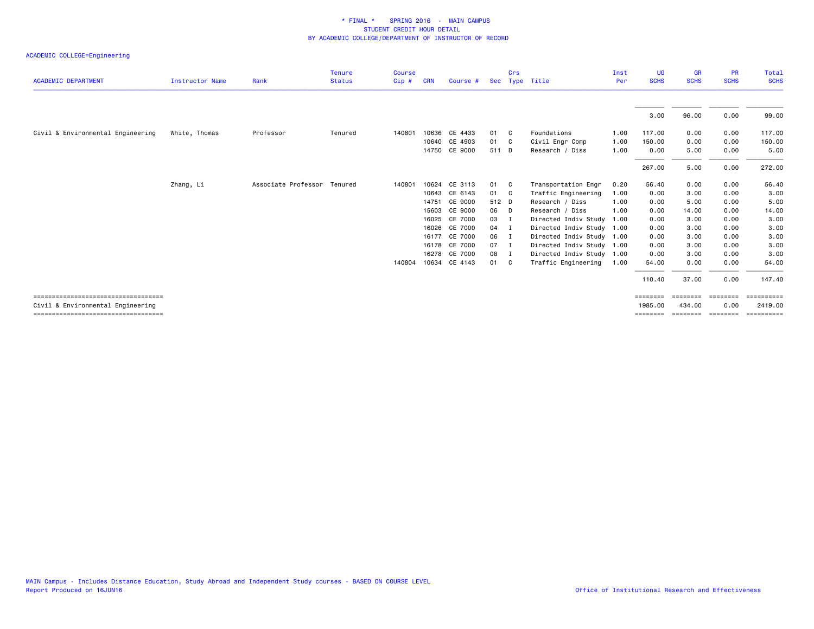|                                       |                        |                     | <b>Tenure</b> | <b>Course</b> |            |               |       | Crs            |                           | Inst | UG          | <b>GR</b>   | <b>PR</b>   | Total       |
|---------------------------------------|------------------------|---------------------|---------------|---------------|------------|---------------|-------|----------------|---------------------------|------|-------------|-------------|-------------|-------------|
| <b>ACADEMIC DEPARTMENT</b>            | <b>Instructor Name</b> | Rank                | <b>Status</b> | Cip#          | <b>CRN</b> | Course #      |       |                | Sec Type Title            | Per  | <b>SCHS</b> | <b>SCHS</b> | <b>SCHS</b> | <b>SCHS</b> |
|                                       |                        |                     |               |               |            |               |       |                |                           |      | 3.00        | 96.00       | 0.00        | 99.00       |
| Civil & Environmental Engineering     | White, Thomas          | Professor           | Tenured       | 140801        |            | 10636 CE 4433 | 01 C  |                | Foundations               | 1.00 | 117.00      | 0.00        | 0.00        | 117.00      |
|                                       |                        |                     |               |               |            | 10640 CE 4903 | 01 C  |                | Civil Engr Comp           | 1.00 | 150.00      | 0.00        | 0.00        | 150.00      |
|                                       |                        |                     |               |               |            | 14750 CE 9000 | 511 D |                | Research / Diss           | 1.00 | 0.00        | 5.00        | 0.00        | 5.00        |
|                                       |                        |                     |               |               |            |               |       |                |                           |      | 267.00      | 5.00        | 0.00        | 272.00      |
|                                       | Zhang, Li              | Associate Professor | Tenured       | 140801        |            | 10624 CE 3113 | 01 C  |                | Transportation Engr       | 0.20 | 56.40       | 0.00        | 0.00        | 56.40       |
|                                       |                        |                     |               |               |            | 10643 CE 6143 | 01 C  |                | Traffic Engineering       | 1.00 | 0.00        | 3.00        | 0.00        | 3.00        |
|                                       |                        |                     |               |               | 14751      | CE 9000       | 512 D |                | Research / Diss           | 1.00 | 0.00        | 5.00        | 0.00        | 5.00        |
|                                       |                        |                     |               |               | 15603      | CE 9000       | 06    | $\Box$         | Research / Diss           | 1.00 | 0.00        | 14.00       | 0.00        | 14.00       |
|                                       |                        |                     |               |               |            | 16025 CE 7000 | 03    | I              | Directed Indiv Study      | 1.00 | 0.00        | 3.00        | 0.00        | 3.00        |
|                                       |                        |                     |               |               | 16026      | CE 7000       | 04    | $\blacksquare$ | Directed Indiv Study 1.00 |      | 0.00        | 3.00        | 0.00        | 3.00        |
|                                       |                        |                     |               |               |            | 16177 CE 7000 | 06    | $\blacksquare$ | Directed Indiv Study 1.00 |      | 0.00        | 3.00        | 0.00        | 3.00        |
|                                       |                        |                     |               |               | 16178      | CE 7000       | 07    | - 1            | Directed Indiv Study 1.00 |      | 0.00        | 3.00        | 0.00        | 3.00        |
|                                       |                        |                     |               |               |            | 16278 CE 7000 | 08    | $\blacksquare$ | Directed Indiv Study 1.00 |      | 0.00        | 3.00        | 0.00        | 3.00        |
|                                       |                        |                     |               | 140804        |            | 10634 CE 4143 | 01 C  |                | Traffic Engineering       | 1.00 | 54.00       | 0.00        | 0.00        | 54.00       |
|                                       |                        |                     |               |               |            |               |       |                |                           |      | 110.40      | 37.00       | 0.00        | 147.40      |
| ===================================== |                        |                     |               |               |            |               |       |                |                           |      | ========    |             |             | ESSESSESSE  |
| Civil & Environmental Engineering     |                        |                     |               |               |            |               |       |                |                           |      | 1985,00     | 434,00      | 0.00        | 2419.00     |
| ===================================== |                        |                     |               |               |            |               |       |                |                           |      | ========    | ========    | ========    | ==========  |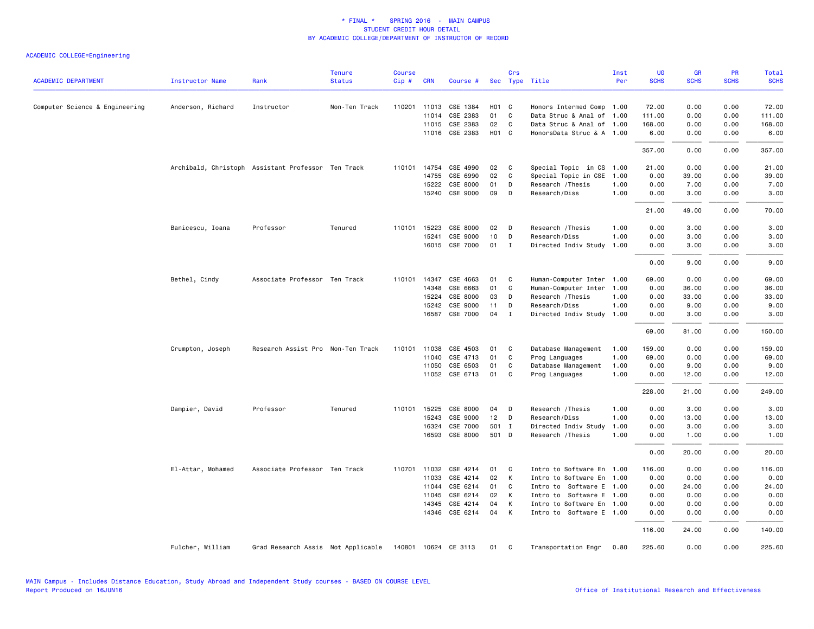| <b>ACADEMIC DEPARTMENT</b>     | <b>Instructor Name</b> | Rank                                               | <b>Tenure</b><br><b>Status</b> | <b>Course</b><br>Cip# | <b>CRN</b>   | Course #              |                   | Crs          | Sec Type Title            | Inst<br>Per | UG<br><b>SCHS</b> | GR<br><b>SCHS</b> | PR<br><b>SCHS</b> | Total<br><b>SCHS</b> |
|--------------------------------|------------------------|----------------------------------------------------|--------------------------------|-----------------------|--------------|-----------------------|-------------------|--------------|---------------------------|-------------|-------------------|-------------------|-------------------|----------------------|
|                                |                        |                                                    |                                |                       |              |                       |                   |              |                           |             |                   |                   |                   |                      |
| Computer Science & Engineering | Anderson, Richard      | Instructor                                         | Non-Ten Track                  |                       | 110201 11013 | CSE 1384              | H <sub>01</sub> C |              | Honors Intermed Comp      | 1.00        | 72.00             | 0.00              | 0.00              | 72.00                |
|                                |                        |                                                    |                                |                       | 11014        | CSE 2383              | 01                | C            | Data Struc & Anal of 1.00 |             | 111.00            | 0.00              | 0.00              | 111.00               |
|                                |                        |                                                    |                                |                       | 11015        | CSE 2383              | 02                | C            | Data Struc & Anal of 1.00 |             | 168.00            | 0.00              | 0.00              | 168.00               |
|                                |                        |                                                    |                                |                       |              | 11016 CSE 2383        | H <sub>01</sub> C |              | HonorsData Struc & A 1.00 |             | 6.00              | 0.00              | 0.00              | 6.00                 |
|                                |                        |                                                    |                                |                       |              |                       |                   |              |                           |             | 357.00            | 0.00              | 0.00              | 357.00               |
|                                |                        | Archibald, Christoph Assistant Professor Ten Track |                                |                       | 110101 14754 | CSE 4990              | 02                | C            | Special Topic in CS       | 1.00        | 21.00             | 0.00              | 0.00              | 21.00                |
|                                |                        |                                                    |                                |                       | 14755        | CSE 6990              | 02                | C            | Special Topic in CSE      | 1.00        | 0.00              | 39.00             | 0.00              | 39.00                |
|                                |                        |                                                    |                                |                       | 15222        | CSE 8000              | 01                | D            | Research / Thesis         | 1.00        | 0.00              | 7.00              | 0.00              | 7.00                 |
|                                |                        |                                                    |                                |                       | 15240        | CSE 9000              | 09                | D            | Research/Diss             | 1.00        | 0.00              | 3.00              | 0.00              | 3.00                 |
|                                |                        |                                                    |                                |                       |              |                       |                   |              |                           |             | 21.00             | 49.00             | 0.00              | 70.00                |
|                                | Banicescu, Ioana       | Professor                                          | Tenured                        | 110101                | 15223        | CSE 8000              | 02                | D            | Research / Thesis         | 1.00        | 0.00              | 3.00              | 0.00              | 3.00                 |
|                                |                        |                                                    |                                |                       | 15241        | CSE 9000              | 10                | D            | Research/Diss             | 1.00        | 0.00              | 3.00              | 0.00              | 3.00                 |
|                                |                        |                                                    |                                |                       |              | 16015 CSE 7000        | 01                | $\mathbf{I}$ | Directed Indiv Study      | 1.00        | 0.00              | 3.00              | 0.00              | 3.00                 |
|                                |                        |                                                    |                                |                       |              |                       |                   |              |                           |             | 0.00              | 9.00              | 0.00              | 9.00                 |
|                                | Bethel, Cindy          | Associate Professor Ten Track                      |                                | 110101                | 14347        | CSE 4663              | 01                | C            | Human-Computer Inter 1.00 |             | 69.00             | 0.00              | 0.00              | 69.00                |
|                                |                        |                                                    |                                |                       | 14348        | CSE 6663              | 01                | C            | Human-Computer Inter      | 1.00        | 0.00              | 36.00             | 0.00              | 36.00                |
|                                |                        |                                                    |                                |                       | 15224        | CSE 8000              | 03                | D            | Research / Thesis         | 1.00        | 0.00              | 33.00             | 0.00              | 33.00                |
|                                |                        |                                                    |                                |                       | 15242        | CSE 9000              | 11                | D            | Research/Diss             | 1.00        | 0.00              | 9.00              | 0.00              | 9.00                 |
|                                |                        |                                                    |                                |                       | 16587        | CSE 7000              | 04                | $\mathbf I$  | Directed Indiv Study      | 1.00        | 0.00              | 3.00              | 0.00              | 3.00                 |
|                                |                        |                                                    |                                |                       |              |                       |                   |              |                           |             | 69.00             | 81.00             | 0.00              | 150.00               |
|                                | Crumpton, Joseph       | Research Assist Pro Non-Ten Track                  |                                |                       |              | 110101 11038 CSE 4503 | 01                | C            | Database Management       | 1.00        | 159.00            | 0.00              | 0.00              | 159.00               |
|                                |                        |                                                    |                                |                       | 11040        | CSE 4713              | 01                | C            | Prog Languages            | 1.00        | 69.00             | 0.00              | 0.00              | 69.00                |
|                                |                        |                                                    |                                |                       | 11050        | CSE 6503              | 01                | C            | Database Management       | 1.00        | 0.00              | 9.00              | 0.00              | 9.00                 |
|                                |                        |                                                    |                                |                       |              | 11052 CSE 6713        | 01                | $\mathbf{C}$ | Prog Languages            | 1.00        | 0.00              | 12.00             | 0.00              | 12.00                |
|                                |                        |                                                    |                                |                       |              |                       |                   |              |                           |             | 228.00            | 21.00             | 0.00              | 249.00               |
|                                | Dampier, David         | Professor                                          | Tenured                        | 110101                | 15225        | CSE 8000              | 04                | D            | Research / Thesis         | 1.00        | 0.00              | 3.00              | 0.00              | 3.00                 |
|                                |                        |                                                    |                                |                       | 15243        | CSE 9000              | 12                | D            | Research/Diss             | 1.00        | 0.00              | 13.00             | 0.00              | 13.00                |
|                                |                        |                                                    |                                |                       | 16324        | CSE 7000              | 501 I             |              | Directed Indiv Study      | 1.00        | 0.00              | 3.00              | 0.00              | 3.00                 |
|                                |                        |                                                    |                                |                       | 16593        | CSE 8000              | 501 D             |              | Research / Thesis         | 1.00        | 0.00              | 1.00              | 0.00              | 1.00                 |
|                                |                        |                                                    |                                |                       |              |                       |                   |              |                           |             | 0.00              | 20.00             | 0.00              | 20.00                |
|                                | El-Attar, Mohamed      | Associate Professor Ten Track                      |                                | 110701                | 11032        | CSE 4214              | 01                | C            | Intro to Software En      | 1.00        | 116.00            | 0.00              | 0.00              | 116.00               |
|                                |                        |                                                    |                                |                       | 11033        | CSE 4214              | 02                | К            | Intro to Software En 1.00 |             | 0.00              | 0.00              | 0.00              | 0.00                 |
|                                |                        |                                                    |                                |                       | 11044        | CSE 6214              | 01                | C            | Intro to Software E 1.00  |             | 0.00              | 24.00             | 0.00              | 24.00                |
|                                |                        |                                                    |                                |                       | 11045        | CSE 6214              | 02                | K            | Intro to Software E 1.00  |             | 0.00              | 0.00              | 0.00              | 0.00                 |
|                                |                        |                                                    |                                |                       | 14345        | CSE 4214              | 04                | К            | Intro to Software En 1.00 |             | 0.00              | 0.00              | 0.00              | 0.00                 |
|                                |                        |                                                    |                                |                       |              | 14346 CSE 6214        | 04                | К            | Intro to Software E 1.00  |             | 0.00              | 0.00              | 0.00              | 0.00                 |
|                                |                        |                                                    |                                |                       |              |                       |                   |              |                           |             | 116.00            | 24.00             | 0.00              | 140.00               |
|                                | Fulcher, William       | Grad Research Assis Not Applicable                 |                                |                       |              | 140801 10624 CE 3113  | 01                | C            | Transportation Engr       | 0.80        | 225.60            | 0.00              | 0.00              | 225.60               |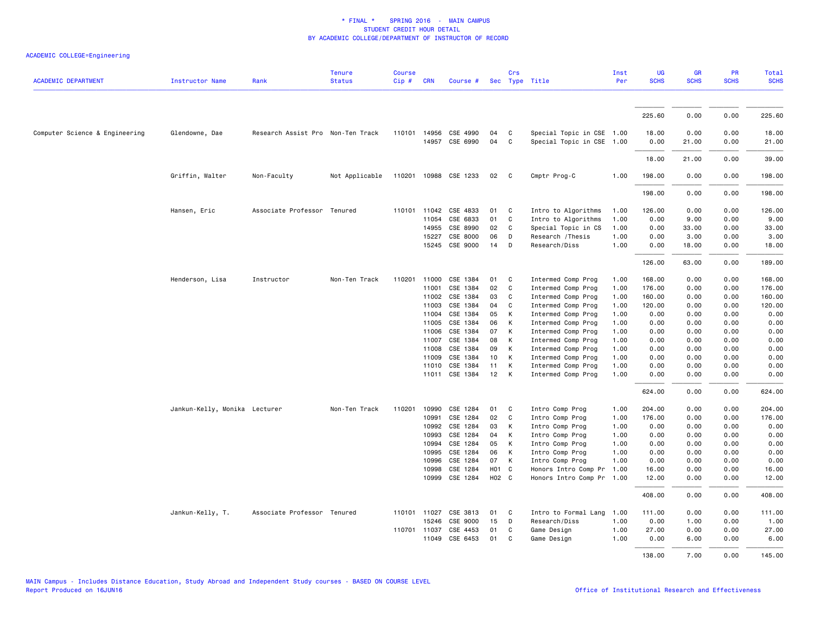| <b>ACADEMIC DEPARTMENT</b>     | <b>Instructor Name</b>        | Rank                              | <b>Tenure</b><br><b>Status</b> | <b>Course</b><br>Cip# | <b>CRN</b>   | Course #              |                 | Crs          | Sec Type Title            | Inst<br>Per | UG<br><b>SCHS</b> | <b>GR</b><br><b>SCHS</b> | PR<br><b>SCHS</b> | Total<br><b>SCHS</b> |
|--------------------------------|-------------------------------|-----------------------------------|--------------------------------|-----------------------|--------------|-----------------------|-----------------|--------------|---------------------------|-------------|-------------------|--------------------------|-------------------|----------------------|
|                                |                               |                                   |                                |                       |              |                       |                 |              |                           |             |                   |                          |                   |                      |
|                                |                               |                                   |                                |                       |              |                       |                 |              |                           |             | 225.60            | 0.00                     | 0.00              | 225.60               |
| Computer Science & Engineering | Glendowne, Dae                | Research Assist Pro Non-Ten Track |                                |                       | 110101 14956 | CSE 4990              | 04              | C            | Special Topic in CSE 1.00 |             | 18.00             | 0.00                     | 0.00              | 18.00                |
|                                |                               |                                   |                                |                       |              | 14957 CSE 6990        | 04              | C            | Special Topic in CSE 1.00 |             | 0.00              | 21.00                    | 0.00              | 21.00                |
|                                |                               |                                   |                                |                       |              |                       |                 |              |                           |             | 18.00             | 21.00                    | 0.00              | 39.00                |
|                                | Griffin, Walter               | Non-Faculty                       | Not Applicable                 |                       |              | 110201 10988 CSE 1233 | 02              | $\mathbf{C}$ | Cmptr Prog-C              | 1.00        | 198.00            | 0.00                     | 0.00              | 198.00               |
|                                |                               |                                   |                                |                       |              |                       |                 |              |                           |             | 198.00            | 0.00                     | 0.00              | 198.00               |
|                                | Hansen, Eric                  | Associate Professor Tenured       |                                |                       | 110101 11042 | CSE 4833              | 01              | C            | Intro to Algorithms       | 1.00        | 126.00            | 0.00                     | 0.00              | 126.00               |
|                                |                               |                                   |                                |                       | 11054        | CSE 6833              | 01              | $\mathbf C$  | Intro to Algorithms       | 1.00        | 0.00              | 9.00                     | 0.00              | 9.00                 |
|                                |                               |                                   |                                |                       | 14955        | CSE 8990              | 02              | C            | Special Topic in CS       | 1.00        | 0.00              | 33.00                    | 0.00              | 33.00                |
|                                |                               |                                   |                                |                       | 15227        | CSE 8000              | 06              | D            | Research / Thesis         | 1.00        | 0.00              | 3.00                     | 0.00              | 3.00                 |
|                                |                               |                                   |                                |                       |              | 15245 CSE 9000        | 14              | D            | Research/Diss             | 1.00        | 0.00              | 18.00                    | 0.00              | 18.00                |
|                                |                               |                                   |                                |                       |              |                       |                 |              |                           |             | 126.00            | 63.00                    | 0.00              | 189.00               |
|                                | Henderson, Lisa               | Instructor                        | Non-Ten Track                  | 110201                | 11000        | CSE 1384              | 01              | C            | Intermed Comp Prog        | 1.00        | 168.00            | 0.00                     | 0.00              | 168.00               |
|                                |                               |                                   |                                |                       | 11001        | CSE 1384              | 02              | C            |                           | 1.00        | 176.00            | 0.00                     | 0.00              | 176.00               |
|                                |                               |                                   |                                |                       |              |                       |                 |              | Intermed Comp Prog        |             |                   |                          |                   |                      |
|                                |                               |                                   |                                |                       | 11002        | CSE 1384              | 03              | C            | Intermed Comp Prog        | 1.00        | 160.00            | 0.00                     | 0.00              | 160.00               |
|                                |                               |                                   |                                |                       | 11003        | CSE 1384              | 04              | C            | Intermed Comp Prog        | 1.00        | 120.00            | 0.00                     | 0.00              | 120.00               |
|                                |                               |                                   |                                |                       | 11004        | CSE 1384              | 05              | К            | Intermed Comp Prog        | 1.00        | 0.00              | 0.00                     | 0.00              | 0.00                 |
|                                |                               |                                   |                                |                       | 11005        | CSE 1384              | 06              | К            | Intermed Comp Prog        | 1.00        | 0.00              | 0.00                     | 0.00              | 0.00                 |
|                                |                               |                                   |                                |                       | 11006        | CSE 1384              | 07              | К            | Intermed Comp Prog        | 1.00        | 0.00              | 0.00                     | 0.00              | 0.00                 |
|                                |                               |                                   |                                |                       | 11007        | CSE 1384              | 08              | K            | Intermed Comp Prog        | 1.00        | 0.00              | 0.00                     | 0.00              | 0.00                 |
|                                |                               |                                   |                                |                       | 11008        | CSE 1384              | 09              | K            | Intermed Comp Prog        | 1.00        | 0.00              | 0.00                     | 0.00              | 0.00                 |
|                                |                               |                                   |                                |                       | 11009        | CSE 1384              | 10 <sub>1</sub> | К            | Intermed Comp Prog        | 1.00        | 0.00              | 0.00                     | 0.00              | 0.00                 |
|                                |                               |                                   |                                |                       | 11010        | CSE 1384              | 11              | К            | Intermed Comp Prog        | 1.00        | 0.00              | 0.00                     | 0.00              | 0.00                 |
|                                |                               |                                   |                                |                       |              | 11011 CSE 1384        | 12              | K            | Intermed Comp Prog        | 1.00        | 0.00              | 0.00                     | 0.00              | 0.00                 |
|                                |                               |                                   |                                |                       |              |                       |                 |              |                           |             | 624.00            | 0.00                     | 0.00              | 624.00               |
|                                | Jankun-Kelly, Monika Lecturer |                                   | Non-Ten Track                  | 110201                | 10990        | CSE 1284              | 01              | C            | Intro Comp Prog           | 1.00        | 204.00            | 0.00                     | 0.00              | 204.00               |
|                                |                               |                                   |                                |                       | 10991        | CSE 1284              | 02              | C            | Intro Comp Prog           | 1.00        | 176.00            | 0.00                     | 0.00              | 176.00               |
|                                |                               |                                   |                                |                       | 10992        | CSE 1284              | 03              | К            | Intro Comp Prog           | 1.00        | 0.00              | 0.00                     | 0.00              | 0.00                 |
|                                |                               |                                   |                                |                       | 10993        | CSE 1284              | 04              | К            | Intro Comp Prog           | 1.00        | 0.00              | 0.00                     | 0.00              | 0.00                 |
|                                |                               |                                   |                                |                       | 10994        | CSE 1284              | 05              | К            | Intro Comp Prog           | 1.00        | 0.00              | 0.00                     | 0.00              | 0.00                 |
|                                |                               |                                   |                                |                       | 10995        | CSE 1284              | 06              | K            | Intro Comp Prog           | 1.00        | 0.00              | 0.00                     | 0.00              | 0.00                 |
|                                |                               |                                   |                                |                       | 10996        | CSE 1284              | 07              | K            | Intro Comp Prog           | 1.00        | 0.00              | 0.00                     | 0.00              | 0.00                 |
|                                |                               |                                   |                                |                       | 10998        | CSE 1284              | HO1 C           |              | Honors Intro Comp Pr      | 1.00        | 16.00             | 0.00                     | 0.00              | 16.00                |
|                                |                               |                                   |                                |                       | 10999        | CSE 1284              | H02 C           |              | Honors Intro Comp Pr 1.00 |             | 12.00             | 0.00                     | 0.00              | 12.00                |
|                                |                               |                                   |                                |                       |              |                       |                 |              |                           |             | 408.00            | 0.00                     | 0.00              | 408.00               |
|                                | Jankun-Kelly, T.              | Associate Professor Tenured       |                                |                       | 110101 11027 | CSE 3813              | 01              | C            | Intro to Formal Lang      | 1.00        | 111.00            | 0.00                     | 0.00              | 111.00               |
|                                |                               |                                   |                                |                       | 15246        | CSE 9000              | 15              | D            | Research/Diss             | 1.00        | 0.00              | 1.00                     | 0.00              | 1.00                 |
|                                |                               |                                   |                                | 110701 11037          |              | CSE 4453              | 01              | C            | Game Design               | 1.00        | 27.00             | 0.00                     | 0.00              | 27.00                |
|                                |                               |                                   |                                |                       | 11049        | CSE 6453              | 01              | C            | Game Design               | 1.00        | 0.00              | 6.00                     | 0.00              | 6.00                 |
|                                |                               |                                   |                                |                       |              |                       |                 |              |                           |             | 138.00            | 7.00                     | 0.00              | 145.00               |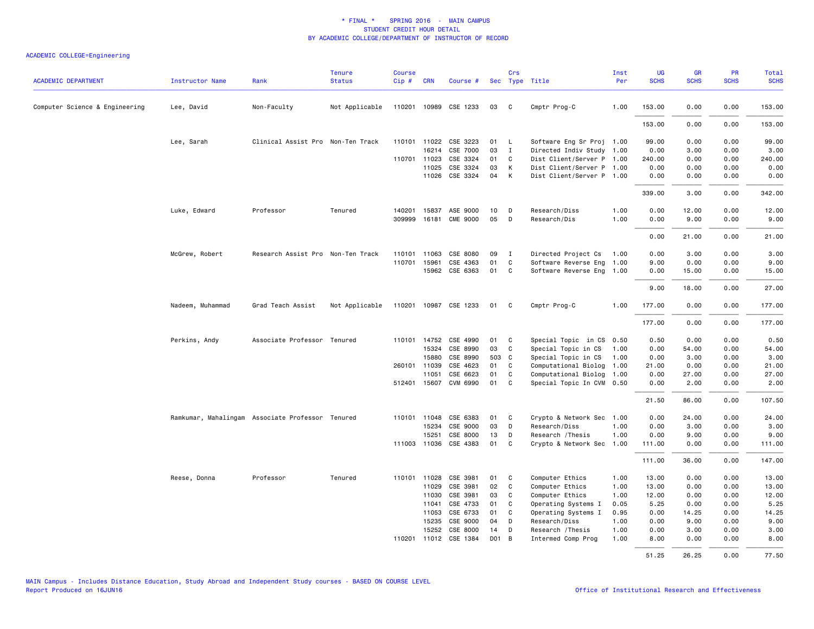| <b>ACADEMIC DEPARTMENT</b>     | <b>Instructor Name</b>                           | Rank                              | <b>Tenure</b><br><b>Status</b> | <b>Course</b><br>Cip# | <b>CRN</b>     | Course #                          |          | Crs               | Sec Type Title                         | Inst<br>Per  | UG<br><b>SCHS</b> | <b>GR</b><br><b>SCHS</b> | PR<br><b>SCHS</b> | <b>Total</b><br><b>SCHS</b> |
|--------------------------------|--------------------------------------------------|-----------------------------------|--------------------------------|-----------------------|----------------|-----------------------------------|----------|-------------------|----------------------------------------|--------------|-------------------|--------------------------|-------------------|-----------------------------|
|                                |                                                  |                                   |                                |                       |                |                                   |          |                   |                                        |              |                   |                          |                   |                             |
| Computer Science & Engineering | Lee, David                                       | Non-Faculty                       | Not Applicable                 |                       |                | 110201 10989 CSE 1233             | 03       | C                 | Cmptr Prog-C                           | 1.00         | 153.00            | 0.00                     | 0.00              | 153.00                      |
|                                |                                                  |                                   |                                |                       |                |                                   |          |                   |                                        |              | 153.00            | 0.00                     | 0.00              | 153.00                      |
|                                | Lee, Sarah                                       | Clinical Assist Pro Non-Ten Track |                                |                       |                | 110101 11022 CSE 3223             | 01       | $\mathsf{L}$      | Software Eng Sr Proj 1.00              |              | 99.00             | 0.00                     | 0.00              | 99.00                       |
|                                |                                                  |                                   |                                |                       | 16214          | CSE 7000                          | 03       | $\mathbf{I}$      | Directed Indiv Study 1.00              |              | 0.00              | 3.00                     | 0.00              | 3.00                        |
|                                |                                                  |                                   |                                | 110701                | 11023          | CSE 3324                          | 01       | C                 | Dist Client/Server P 1.00              |              | 240.00            | 0.00                     | 0.00              | 240.00                      |
|                                |                                                  |                                   |                                |                       | 11025          | CSE 3324                          | 03       | Κ                 | Dist Client/Server P 1.00              |              | 0.00              | 0.00                     | 0.00              | 0.00                        |
|                                |                                                  |                                   |                                |                       | 11026          | CSE 3324                          | 04       | К                 | Dist Client/Server P 1.00              |              | 0.00              | 0.00                     | 0.00              | 0.00                        |
|                                |                                                  |                                   |                                |                       |                |                                   |          |                   |                                        |              | 339.00            | 3.00                     | 0.00              | 342.00                      |
|                                | Luke, Edward                                     | Professor                         | Tenured                        | 140201                | 15837          | ASE 9000                          | 10       | D                 | Research/Diss                          | 1.00         | 0.00              | 12.00                    | 0.00              | 12.00                       |
|                                |                                                  |                                   |                                | 309999                |                | 16181 CME 9000                    | 05       | D                 | Research/Dis                           | 1.00         | 0.00              | 9.00                     | 0.00              | 9.00                        |
|                                |                                                  |                                   |                                |                       |                |                                   |          |                   |                                        |              | 0.00              | 21.00                    | 0.00              | 21.00                       |
|                                | McGrew, Robert                                   | Research Assist Pro Non-Ten Track |                                | 110101                | 11063          | CSE 8080                          | 09       | $\mathbf{I}$      | Directed Project Cs                    | 1.00         | 0.00              | 3.00                     | 0.00              | 3.00                        |
|                                |                                                  |                                   |                                | 110701                | 15961          | CSE 4363                          | 01       | C                 | Software Reverse Eng                   | 1.00         | 9.00              | 0.00                     | 0.00              | 9.00                        |
|                                |                                                  |                                   |                                |                       |                | 15962 CSE 6363                    | 01       | C                 | Software Reverse Eng 1.00              |              | 0.00              | 15.00                    | 0.00              | 15.00                       |
|                                |                                                  |                                   |                                |                       |                |                                   |          |                   |                                        |              | 9.00              | 18.00                    | 0.00              | 27.00                       |
|                                | Nadeem, Muhammad                                 | Grad Teach Assist                 | Not Applicable                 |                       |                | 110201 10987 CSE 1233             | 01 C     |                   | Cmptr Prog-C                           | 1.00         | 177.00            | 0.00                     | 0.00              | 177.00                      |
|                                |                                                  |                                   |                                |                       |                |                                   |          |                   |                                        |              | 177.00            | 0.00                     | 0.00              | 177.00                      |
|                                | Perkins, Andy                                    | Associate Professor Tenured       |                                |                       | 110101 14752   | CSE 4990                          | 01       | C                 | Special Topic in CS 0.50               |              | 0.50              | 0.00                     | 0.00              | 0.50                        |
|                                |                                                  |                                   |                                |                       | 15324          | CSE 8990                          | 03       | C                 | Special Topic in CS                    | 1.00         | 0.00              | 54.00                    | 0.00              | 54.00                       |
|                                |                                                  |                                   |                                |                       | 15880          | CSE 8990                          | 503      | C                 | Special Topic in CS                    | 1.00         | 0.00              | 3.00                     | 0.00              | 3.00                        |
|                                |                                                  |                                   |                                |                       | 260101 11039   | CSE 4623                          | 01       | C                 | Computational Biolog                   | 1.00         | 21.00             | 0.00                     | 0.00              | 21.00                       |
|                                |                                                  |                                   |                                |                       | 11051          | CSE 6623                          | 01       | C                 | Computational Biolog                   | 1.00         | 0.00              | 27.00                    | 0.00              | 27.00                       |
|                                |                                                  |                                   |                                |                       | 512401 15607   | CVM 6990                          | 01       | C                 | Special Topic In CVM 0.50              |              | 0.00              | 2.00                     | 0.00              | 2.00                        |
|                                |                                                  |                                   |                                |                       |                |                                   |          |                   |                                        |              | 21.50             | 86.00                    | 0.00              | 107.50                      |
|                                | Ramkumar, Mahalingam Associate Professor Tenured |                                   |                                |                       |                | 110101 11048 CSE 6383             | 01       | C                 | Crypto & Network Sec 1.00              |              | 0.00              | 24.00                    | 0.00              | 24.00                       |
|                                |                                                  |                                   |                                |                       | 15234          | CSE 9000                          | 03       | D                 | Research/Diss                          | 1.00         | 0.00              | 3.00                     | 0.00              | 3.00                        |
|                                |                                                  |                                   |                                |                       | 15251          | CSE 8000<br>111003 11036 CSE 4383 | 13<br>01 | D<br>$\mathsf{C}$ | Research / Thesis                      | 1.00         | 0.00              | 9.00                     | 0.00              | 9.00                        |
|                                |                                                  |                                   |                                |                       |                |                                   |          |                   | Crypto & Network Sec 1.00              |              | 111.00            | 0.00                     | 0.00              | 111.00                      |
|                                |                                                  |                                   |                                |                       |                |                                   |          |                   |                                        |              | 111.00            | 36.00                    | 0.00              | 147.00                      |
|                                | Reese, Donna                                     | Professor                         | Tenured                        | 110101                | 11028          | CSE 3981                          | 01       | C                 | Computer Ethics                        | 1.00         | 13.00             | 0.00                     | 0.00              | 13.00                       |
|                                |                                                  |                                   |                                |                       | 11029          | CSE 3981                          | 02       | $\mathsf{C}$      | Computer Ethics                        | 1.00         | 13.00             | 0.00                     | 0.00              | 13.00                       |
|                                |                                                  |                                   |                                |                       | 11030<br>11041 | CSE 3981<br>CSE 4733              | 03<br>01 | C<br>C            | Computer Ethics<br>Operating Systems I | 1.00<br>0.05 | 12.00<br>5.25     | 0.00<br>0.00             | 0.00<br>0.00      | 12.00<br>5.25               |
|                                |                                                  |                                   |                                |                       | 11053          | CSE 6733                          | 01       | C                 | Operating Systems I                    | 0.95         | 0.00              | 14.25                    | 0.00              | 14.25                       |
|                                |                                                  |                                   |                                |                       | 15235          | CSE 9000                          | 04       | D                 | Research/Diss                          | 1.00         | 0.00              | 9.00                     | 0.00              | 9.00                        |
|                                |                                                  |                                   |                                |                       | 15252          | CSE 8000                          | 14       | D                 | Research / Thesis                      | 1.00         | 0.00              | 3.00                     | 0.00              | 3.00                        |
|                                |                                                  |                                   |                                | 110201                |                | 11012 CSE 1384                    | DO1      | B                 | Intermed Comp Prog                     | 1.00         | 8.00              | 0.00                     | 0.00              | 8.00                        |
|                                |                                                  |                                   |                                |                       |                |                                   |          |                   |                                        |              | 51.25             | 26.25                    | 0.00              | 77.50                       |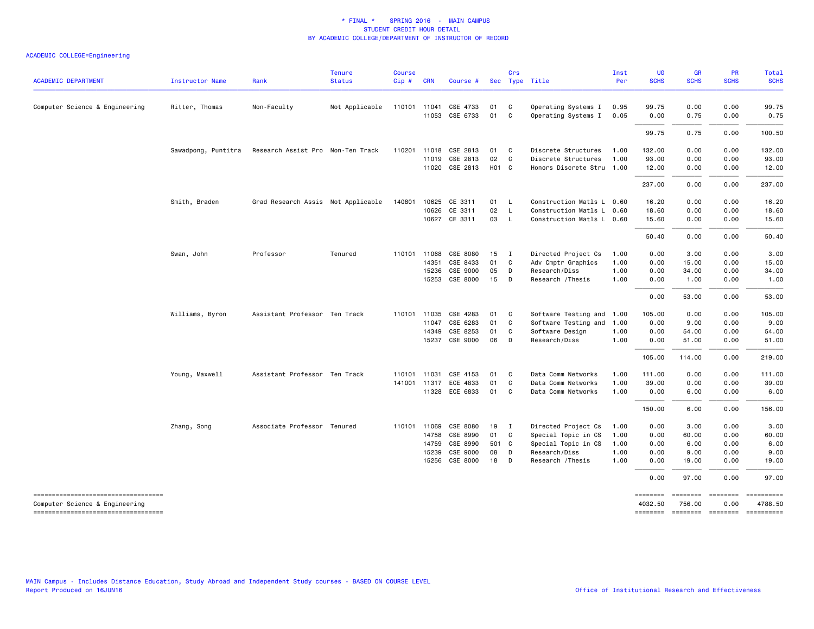| <b>ACADEMIC DEPARTMENT</b>                                           | <b>Instructor Name</b> | Rank                               | <b>Tenure</b><br><b>Status</b> | <b>Course</b><br>Cip# | <b>CRN</b>   | Course #                   |                   | Crs          | Sec Type Title                             | Inst<br>Per  | UG<br><b>SCHS</b> | GR<br><b>SCHS</b> | <b>PR</b><br><b>SCHS</b> | Total<br><b>SCHS</b>                          |
|----------------------------------------------------------------------|------------------------|------------------------------------|--------------------------------|-----------------------|--------------|----------------------------|-------------------|--------------|--------------------------------------------|--------------|-------------------|-------------------|--------------------------|-----------------------------------------------|
|                                                                      |                        |                                    |                                |                       |              |                            |                   |              |                                            |              |                   |                   |                          |                                               |
| Computer Science & Engineering                                       | Ritter, Thomas         | Non-Faculty                        | Not Applicable                 | 110101                | 11041        | CSE 4733<br>11053 CSE 6733 | 01<br>01          | C<br>C       | Operating Systems I<br>Operating Systems I | 0.95<br>0.05 | 99.75<br>0.00     | 0.00<br>0.75      | 0.00<br>0.00             | 99.75<br>0.75                                 |
|                                                                      |                        |                                    |                                |                       |              |                            |                   |              |                                            |              | 99.75             | 0.75              | 0.00                     | 100.50                                        |
|                                                                      | Sawadpong, Puntitra    | Research Assist Pro Non-Ten Track  |                                |                       |              | 110201 11018 CSE 2813      | 01                | $\mathbf{C}$ | Discrete Structures                        | 1.00         | 132.00            | 0.00              | 0.00                     | 132.00                                        |
|                                                                      |                        |                                    |                                |                       | 11019        | CSE 2813                   | 02                | C            | Discrete Structures                        | 1.00         | 93.00             | 0.00              | 0.00                     | 93.00                                         |
|                                                                      |                        |                                    |                                |                       |              | 11020 CSE 2813             | H <sub>01</sub> C |              | Honors Discrete Stru 1.00                  |              | 12.00             | 0.00              | 0.00                     | 12.00                                         |
|                                                                      |                        |                                    |                                |                       |              |                            |                   |              |                                            |              | 237.00            | 0.00              | 0.00                     | 237.00                                        |
|                                                                      | Smith, Braden          | Grad Research Assis Not Applicable |                                | 140801                | 10625        | CE 3311                    | 01 L              |              | Construction Matls L 0.60                  |              | 16.20             | 0.00              | 0.00                     | 16.20                                         |
|                                                                      |                        |                                    |                                |                       | 10626        | CE 3311                    | 02                | $\mathsf{L}$ | Construction Matls L 0.60                  |              | 18.60             | 0.00              | 0.00                     | 18.60                                         |
|                                                                      |                        |                                    |                                |                       |              | 10627 CE 3311              | 03 L              |              | Construction Matls L 0.60                  |              | 15.60             | 0.00              | 0.00                     | 15.60                                         |
|                                                                      |                        |                                    |                                |                       |              |                            |                   |              |                                            |              | 50.40             | 0.00              | 0.00                     | 50.40                                         |
|                                                                      | Swan, John             | Professor                          | Tenured                        |                       | 110101 11068 | CSE 8080                   | 15                | $\mathbf{I}$ | Directed Project Cs                        | 1.00         | 0.00              | 3.00              | 0.00                     | 3.00                                          |
|                                                                      |                        |                                    |                                |                       | 14351        | CSE 8433                   | 01                | <b>C</b>     | Adv Cmptr Graphics                         | 1.00         | 0.00              | 15.00             | 0.00                     | 15.00                                         |
|                                                                      |                        |                                    |                                |                       | 15236        | CSE 9000                   | 05                | D            | Research/Diss                              | 1.00         | 0.00              | 34.00             | 0.00                     | 34.00                                         |
|                                                                      |                        |                                    |                                |                       | 15253        | CSE 8000                   | 15                | D            | Research / Thesis                          | 1.00         | 0.00              | 1.00              | 0.00                     | 1.00                                          |
|                                                                      |                        |                                    |                                |                       |              |                            |                   |              |                                            |              | 0.00              | 53.00             | 0.00                     | 53.00                                         |
|                                                                      | Williams, Byron        | Assistant Professor Ten Track      |                                |                       |              | 110101 11035 CSE 4283      | 01                | C            | Software Testing and 1.00                  |              | 105.00            | 0.00              | 0.00                     | 105.00                                        |
|                                                                      |                        |                                    |                                |                       | 11047        | CSE 6283                   | 01                | C            | Software Testing and                       | 1.00         | 0.00              | 9.00              | 0.00                     | 9.00                                          |
|                                                                      |                        |                                    |                                |                       | 14349        | CSE 8253                   | 01                | C            | Software Design                            | 1.00         | 0.00              | 54.00             | 0.00                     | 54.00                                         |
|                                                                      |                        |                                    |                                |                       |              | 15237 CSE 9000             | 06                | D            | Research/Diss                              | 1.00         | 0.00              | 51.00             | 0.00                     | 51.00                                         |
|                                                                      |                        |                                    |                                |                       |              |                            |                   |              |                                            |              | 105.00            | 114.00            | 0.00                     | 219.00                                        |
|                                                                      | Young, Maxwell         | Assistant Professor Ten Track      |                                |                       | 110101 11031 | CSE 4153                   | 01                | $\mathbf{C}$ | Data Comm Networks                         | 1.00         | 111.00            | 0.00              | 0.00                     | 111.00                                        |
|                                                                      |                        |                                    |                                |                       | 141001 11317 | ECE 4833                   | 01                | C            | Data Comm Networks                         | 1.00         | 39.00             | 0.00              | 0.00                     | 39.00                                         |
|                                                                      |                        |                                    |                                |                       |              | 11328 ECE 6833             | 01 C              |              | Data Comm Networks                         | 1.00         | 0.00              | 6.00              | 0.00                     | 6.00                                          |
|                                                                      |                        |                                    |                                |                       |              |                            |                   |              |                                            |              | 150.00            | 6.00              | 0.00                     | 156.00                                        |
|                                                                      | Zhang, Song            | Associate Professor Tenured        |                                | 110101                | 11069        | CSE 8080                   | 19                | $\mathbf{I}$ | Directed Project Cs                        | 1.00         | 0.00              | 3.00              | 0.00                     | 3.00                                          |
|                                                                      |                        |                                    |                                |                       | 14758        | CSE 8990                   | 01 C              |              | Special Topic in CS                        | 1.00         | 0.00              | 60.00             | 0.00                     | 60.00                                         |
|                                                                      |                        |                                    |                                |                       | 14759        | CSE 8990                   | 501 C             |              | Special Topic in CS                        | 1.00         | 0.00              | 6.00              | 0.00                     | 6.00                                          |
|                                                                      |                        |                                    |                                |                       | 15239        | CSE 9000                   | 08                | D            | Research/Diss                              | 1.00         | 0.00              | 9.00              | 0.00                     | 9.00                                          |
|                                                                      |                        |                                    |                                |                       | 15256        | CSE 8000                   | 18                | $\Box$       | Research / Thesis                          | 1.00         | 0.00              | 19.00             | 0.00                     | 19.00                                         |
|                                                                      |                        |                                    |                                |                       |              |                            |                   |              |                                            |              | 0.00              | 97.00             | 0.00                     | 97.00                                         |
| ----------------------------------                                   |                        |                                    |                                |                       |              |                            |                   |              |                                            |              | ========          |                   |                          | $= 1.12222222222$                             |
| Computer Science & Engineering<br>---------------------------------- |                        |                                    |                                |                       |              |                            |                   |              |                                            |              | 4032.50           | 756.00            | 0.00                     | 4788.50<br>-------- ------- ------- --------- |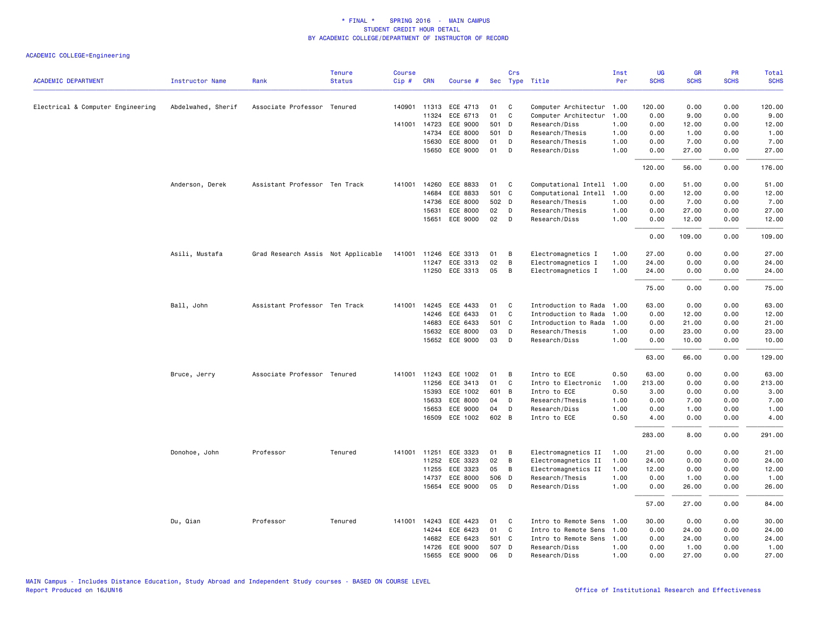| <b>ACADEMIC DEPARTMENT</b>        | <b>Instructor Name</b> | Rank                               | <b>Tenure</b><br><b>Status</b> | <b>Course</b><br>Cip# | <b>CRN</b>   | Course #              |       | Crs          | Sec Type Title            | Inst<br>Per | UG<br><b>SCHS</b> | GR<br><b>SCHS</b> | PR<br><b>SCHS</b> | Total<br><b>SCHS</b> |
|-----------------------------------|------------------------|------------------------------------|--------------------------------|-----------------------|--------------|-----------------------|-------|--------------|---------------------------|-------------|-------------------|-------------------|-------------------|----------------------|
| Electrical & Computer Engineering | Abdelwahed, Sherif     | Associate Professor Tenured        |                                |                       | 140901 11313 | ECE 4713              | 01    | C            | Computer Architectur      | 1.00        | 120.00            | 0.00              | 0.00              | 120.00               |
|                                   |                        |                                    |                                |                       | 11324        | ECE 6713              | 01    | C            | Computer Architectur      | 1.00        | 0.00              | 9.00              | 0.00              | 9.00                 |
|                                   |                        |                                    |                                |                       | 141001 14723 | ECE 9000              | 501 D |              | Research/Diss             | 1.00        | 0.00              | 12.00             | 0.00              | 12.00                |
|                                   |                        |                                    |                                |                       | 14734        | ECE 8000              | 501 D |              | Research/Thesis           | 1.00        | 0.00              | 1.00              | 0.00              | 1.00                 |
|                                   |                        |                                    |                                |                       | 15630        | ECE 8000              | 01    | D            | Research/Thesis           | 1.00        | 0.00              | 7.00              | 0.00              | 7.00                 |
|                                   |                        |                                    |                                |                       | 15650        | ECE 9000              | 01    | D            | Research/Diss             | 1.00        | 0.00              | 27.00             | 0.00              | 27.00                |
|                                   |                        |                                    |                                |                       |              |                       |       |              |                           |             | 120.00            | 56.00             | 0.00              | 176.00               |
|                                   | Anderson, Derek        | Assistant Professor Ten Track      |                                | 141001                | 14260        | ECE 8833              | 01    | C            | Computational Intell 1.00 |             | 0.00              | 51.00             | 0.00              | 51.00                |
|                                   |                        |                                    |                                |                       | 14684        | ECE 8833              | 501 C |              | Computational Intell      | 1.00        | 0.00              | 12.00             | 0.00              | 12.00                |
|                                   |                        |                                    |                                |                       | 14736        | ECE 8000              | 502 D |              | Research/Thesis           | 1.00        | 0.00              | 7.00              | 0.00              | 7.00                 |
|                                   |                        |                                    |                                |                       | 15631        | ECE 8000              | 02    | D            | Research/Thesis           | 1.00        | 0.00              | 27.00             | 0.00              | 27.00                |
|                                   |                        |                                    |                                |                       | 15651        | ECE 9000              | 02    | D            | Research/Diss             | 1.00        | 0.00              | 12.00             | 0.00              | 12.00                |
|                                   |                        |                                    |                                |                       |              |                       |       |              |                           |             | 0.00              | 109.00            | 0.00              | 109.00               |
|                                   | Asili, Mustafa         | Grad Research Assis Not Applicable |                                | 141001                | 11246        | ECE 3313              | 01    | В            | Electromagnetics I        | 1.00        | 27.00             | 0.00              | 0.00              | 27.00                |
|                                   |                        |                                    |                                |                       | 11247        | ECE 3313              | 02    | B            | Electromagnetics I        | 1.00        | 24.00             | 0.00              | 0.00              | 24.00                |
|                                   |                        |                                    |                                |                       |              | 11250 ECE 3313        | 05    | В            | Electromagnetics I        | 1.00        | 24.00             | 0.00              | 0.00              | 24.00                |
|                                   |                        |                                    |                                |                       |              |                       |       |              |                           |             | 75.00             | 0.00              | 0.00              | 75.00                |
|                                   | Ball, John             | Assistant Professor Ten Track      |                                | 141001                | 14245        | ECE 4433              | 01    | C            | Introduction to Rada      | 1.00        | 63.00             | 0.00              | 0.00              | 63.00                |
|                                   |                        |                                    |                                |                       | 14246        | ECE 6433              | 01    | C            | Introduction to Rada      | 1.00        | 0.00              | 12.00             | 0.00              | 12.00                |
|                                   |                        |                                    |                                |                       | 14683        | ECE 6433              | 501 C |              | Introduction to Rada      | 1.00        | 0.00              | 21.00             | 0.00              | 21.00                |
|                                   |                        |                                    |                                |                       | 15632        | ECE 8000              | 03    | D            | Research/Thesis           | 1.00        | 0.00              | 23.00             | 0.00              | 23.00                |
|                                   |                        |                                    |                                |                       | 15652        | ECE 9000              | 03    | D            | Research/Diss             | 1.00        | 0.00              | 10.00             | 0.00              | 10.00                |
|                                   |                        |                                    |                                |                       |              |                       |       |              |                           |             | 63.00             | 66.00             | 0.00              | 129.00               |
|                                   | Bruce, Jerry           | Associate Professor Tenured        |                                | 141001                | 11243        | ECE 1002              | 01    | B            | Intro to ECE              | 0.50        | 63.00             | 0.00              | 0.00              | 63.00                |
|                                   |                        |                                    |                                |                       | 11256        | ECE 3413              | 01    | $\mathbf{C}$ | Intro to Electronic       | 1.00        | 213.00            | 0.00              | 0.00              | 213.00               |
|                                   |                        |                                    |                                |                       | 15393        | ECE 1002              | 601 B |              | Intro to ECE              | 0.50        | 3.00              | 0.00              | 0.00              | 3.00                 |
|                                   |                        |                                    |                                |                       | 15633        | ECE 8000              | 04    | D            | Research/Thesis           | 1.00        | 0.00              | 7.00              | 0.00              | 7.00                 |
|                                   |                        |                                    |                                |                       | 15653        | ECE 9000              | 04    | D            | Research/Diss             | 1.00        | 0.00              | 1.00              | 0.00              | 1.00                 |
|                                   |                        |                                    |                                |                       |              | 16509 ECE 1002        | 602 B |              | Intro to ECE              | 0.50        | 4.00              | 0.00              | 0.00              | 4.00                 |
|                                   |                        |                                    |                                |                       |              |                       |       |              |                           |             | 283.00            | 8.00              | 0.00              | 291.00               |
|                                   | Donohoe, John          | Professor                          | Tenured                        | 141001                | 11251        | ECE 3323              | 01    | В            | Electromagnetics II       | 1.00        | 21.00             | 0.00              | 0.00              | 21.00                |
|                                   |                        |                                    |                                |                       | 11252        | ECE 3323              | 02    | В            | Electromagnetics II       | 1.00        | 24.00             | 0.00              | 0.00              | 24.00                |
|                                   |                        |                                    |                                |                       | 11255        | ECE 3323              | 05    | B            | Electromagnetics II       | 1.00        | 12.00             | 0.00              | 0.00              | 12.00                |
|                                   |                        |                                    |                                |                       | 14737        | ECE 8000              | 506 D |              | Research/Thesis           | 1.00        | 0.00              | 1.00              | 0.00              | 1.00                 |
|                                   |                        |                                    |                                |                       | 15654        | ECE 9000              | 05    | D            | Research/Diss             | 1.00        | 0.00              | 26.00             | 0.00              | 26.00                |
|                                   |                        |                                    |                                |                       |              |                       |       |              |                           |             | 57.00             | 27.00             | 0.00              | 84.00                |
|                                   | Du, Qian               | Professor                          | Tenured                        |                       |              | 141001 14243 ECE 4423 | 01    | C            | Intro to Remote Sens      | 1.00        | 30.00             | 0.00              | 0.00              | 30.00                |
|                                   |                        |                                    |                                |                       | 14244        | ECE 6423              | 01    | C            | Intro to Remote Sens      | 1.00        | 0.00              | 24.00             | 0.00              | 24.00                |
|                                   |                        |                                    |                                |                       | 14682        | ECE 6423              | 501 C |              | Intro to Remote Sens      | 1.00        | 0.00              | 24.00             | 0.00              | 24.00                |
|                                   |                        |                                    |                                |                       | 14726        | ECE 9000              | 507 D |              | Research/Diss             | 1.00        | 0.00              | 1.00              | 0.00              | 1.00                 |
|                                   |                        |                                    |                                |                       | 15655        | ECE 9000              | 06    | D            | Research/Diss             | 1.00        | 0.00              | 27.00             | 0.00              | 27.00                |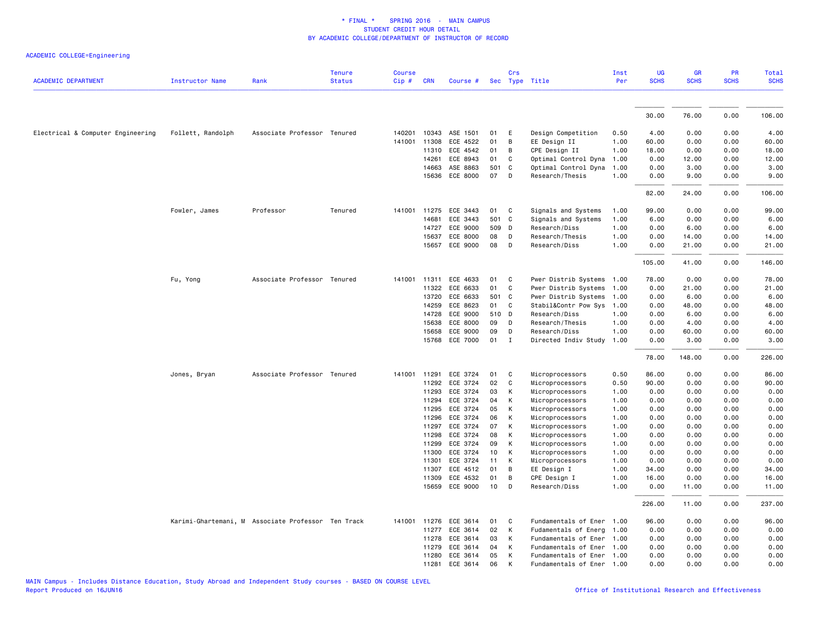| <b>ACADEMIC DEPARTMENT</b>        | <b>Instructor Name</b> | Rank                                               | <b>Tenure</b><br><b>Status</b> | <b>Course</b><br>Cip# | <b>CRN</b>     | Course #              |          | Crs          | Sec Type Title                     | Inst<br>Per  | <b>UG</b><br><b>SCHS</b> | <b>GR</b><br><b>SCHS</b> | PR<br><b>SCHS</b> | Total<br><b>SCHS</b> |
|-----------------------------------|------------------------|----------------------------------------------------|--------------------------------|-----------------------|----------------|-----------------------|----------|--------------|------------------------------------|--------------|--------------------------|--------------------------|-------------------|----------------------|
|                                   |                        |                                                    |                                |                       |                |                       |          |              |                                    |              |                          |                          |                   |                      |
|                                   |                        |                                                    |                                |                       |                |                       |          |              |                                    |              | 30.00                    | 76.00                    | 0.00              | 106.00               |
| Electrical & Computer Engineering | Follett, Randolph      | Associate Professor Tenured                        |                                | 140201                |                | 10343 ASE 1501        | 01       | E            | Design Competition                 | 0.50         | 4.00                     | 0.00                     | 0.00              | 4.00                 |
|                                   |                        |                                                    |                                | 141001                | 11308          | ECE 4522              | 01       | B            | EE Design II                       | 1.00         | 60.00                    | 0.00                     | 0.00              | 60.00                |
|                                   |                        |                                                    |                                |                       | 11310          | ECE 4542              | 01       | B            | CPE Design II                      | 1.00         | 18.00                    | 0.00                     | 0.00              | 18.00                |
|                                   |                        |                                                    |                                |                       | 14261          | ECE 8943              | 01       | C            | Optimal Control Dyna               | 1.00         | 0.00                     | 12.00                    | 0.00              | 12.00                |
|                                   |                        |                                                    |                                |                       | 14663          | ASE 8863              | 501      | C            | Optimal Control Dyna               | 1.00         | 0.00                     | 3.00                     | 0.00              | 3.00                 |
|                                   |                        |                                                    |                                |                       | 15636          | ECE 8000              | 07       | D            | Research/Thesis                    | 1.00         | 0.00                     | 9.00                     | 0.00              | 9.00                 |
|                                   |                        |                                                    |                                |                       |                |                       |          |              |                                    |              | 82.00                    | 24.00                    | 0.00              | 106.00               |
|                                   | Fowler, James          | Professor                                          | Tenured                        |                       |                | 141001 11275 ECE 3443 | 01       | C            | Signals and Systems                | 1.00         | 99.00                    | 0.00                     | 0.00              | 99.00                |
|                                   |                        |                                                    |                                |                       | 14681          | ECE 3443              | 501 C    |              | Signals and Systems                | 1.00         | 6.00                     | 0.00                     | 0.00              | 6.00                 |
|                                   |                        |                                                    |                                |                       | 14727          | ECE 9000              | 509 D    |              | Research/Diss                      | 1.00         | 0.00                     | 6.00                     | 0.00              | 6.00                 |
|                                   |                        |                                                    |                                |                       | 15637          | ECE 8000              | 08       | D            | Research/Thesis                    | 1.00         | 0.00                     | 14.00                    | 0.00              | 14.00                |
|                                   |                        |                                                    |                                |                       | 15657          | ECE 9000              | 08       | D            | Research/Diss                      | 1.00         | 0.00                     | 21.00                    | 0.00              | 21.00                |
|                                   |                        |                                                    |                                |                       |                |                       |          |              |                                    |              | 105.00                   | 41.00                    | 0.00              | 146.00               |
|                                   | Fu, Yong               | Associate Professor Tenured                        |                                |                       | 141001 11311   | ECE 4633              | 01       | C            | Pwer Distrib Systems               | 1.00         | 78.00                    | 0.00                     | 0.00              | 78.00                |
|                                   |                        |                                                    |                                |                       | 11322          | ECE 6633              | 01       | C            | Pwer Distrib Systems               | 1.00         | 0.00                     | 21.00                    | 0.00              | 21.00                |
|                                   |                        |                                                    |                                |                       | 13720          | ECE 6633              | 501      | C            | Pwer Distrib Systems               | 1.00         | 0.00                     | 6.00                     | 0.00              | 6.00                 |
|                                   |                        |                                                    |                                |                       | 14259          | ECE 8623              | 01       | C            | Stabil&Contr Pow Sys               | 1.00         | 0.00                     | 48.00                    | 0.00              | 48.00                |
|                                   |                        |                                                    |                                |                       | 14728          | ECE 9000              | 510 D    |              | Research/Diss                      | 1.00         | 0.00                     | 6.00                     | 0.00              | 6.00                 |
|                                   |                        |                                                    |                                |                       | 15638          | ECE 8000              | 09       | D            | Research/Thesis                    | 1.00         | 0.00                     | 4.00                     | 0.00              | 4.00                 |
|                                   |                        |                                                    |                                |                       | 15658          | ECE 9000              | 09       | D            | Research/Diss                      | 1.00         | 0.00                     | 60.00                    | 0.00              | 60.00                |
|                                   |                        |                                                    |                                |                       | 15768          | ECE 7000              | 01       | $\mathbf{I}$ | Directed Indiv Study               | 1.00         | 0.00                     | 3.00                     | 0.00              | 3.00                 |
|                                   |                        |                                                    |                                |                       |                |                       |          |              |                                    |              | 78.00                    | 148.00                   | 0.00              | 226.00               |
|                                   | Jones, Bryan           | Associate Professor Tenured                        |                                | 141001                | 11291          | ECE 3724              | 01       | C            | Microprocessors                    | 0.50         | 86.00                    | 0.00                     | 0.00              | 86.00                |
|                                   |                        |                                                    |                                |                       | 11292          | ECE 3724              | 02       | $\mathbf c$  | Microprocessors                    | 0.50         | 90.00                    | 0.00                     | 0.00              | 90.00                |
|                                   |                        |                                                    |                                |                       | 11293          | ECE 3724              | 03       | К            | Microprocessors                    | 1.00         | 0.00                     | 0.00                     | 0.00              | 0.00                 |
|                                   |                        |                                                    |                                |                       | 11294          | ECE 3724              | 04       | К            | Microprocessors                    | 1.00         | 0.00                     | 0.00                     | 0.00              | 0.00                 |
|                                   |                        |                                                    |                                |                       | 11295          | ECE 3724              | 05       | К            | Microprocessors                    | 1.00         | 0.00                     | 0.00                     | 0.00              | 0.00                 |
|                                   |                        |                                                    |                                |                       | 11296          | ECE 3724              | 06       | К            | Microprocessors                    | 1.00         | 0.00                     | 0.00                     | 0.00              | 0.00                 |
|                                   |                        |                                                    |                                |                       | 11297          | ECE 3724              | 07       | К            | Microprocessors                    | 1.00         | 0.00                     | 0.00                     | 0.00              | 0.00                 |
|                                   |                        |                                                    |                                |                       | 11298          | ECE 3724              | 08       | К            | Microprocessors                    | 1.00         | 0.00                     | 0.00                     | 0.00              | 0.00                 |
|                                   |                        |                                                    |                                |                       | 11299<br>11300 | ECE 3724<br>ECE 3724  | 09<br>10 | К<br>К       | Microprocessors                    | 1.00<br>1.00 | 0.00<br>0.00             | 0.00<br>0.00             | 0.00<br>0.00      | 0.00<br>0.00         |
|                                   |                        |                                                    |                                |                       | 11301          | ECE 3724              | 11       | К            | Microprocessors<br>Microprocessors | 1.00         | 0.00                     | 0.00                     | 0.00              | 0.00                 |
|                                   |                        |                                                    |                                |                       | 11307          | ECE 4512              | 01       | B            | EE Design I                        | 1.00         | 34.00                    | 0.00                     | 0.00              | 34.00                |
|                                   |                        |                                                    |                                |                       | 11309          | ECE 4532              | 01       | B            | CPE Design I                       | 1.00         | 16.00                    | 0.00                     | 0.00              | 16.00                |
|                                   |                        |                                                    |                                |                       | 15659          | ECE 9000              | 10       | D            | Research/Diss                      | 1.00         | 0.00                     | 11.00                    | 0.00              | 11.00                |
|                                   |                        |                                                    |                                |                       |                |                       |          |              |                                    |              | 226.00                   | 11.00                    | 0.00              | 237.00               |
|                                   |                        | Karimi-Ghartemani, M Associate Professor Ten Track |                                |                       | 141001 11276   | ECE 3614              | 01       | C            | Fundamentals of Ener               | 1.00         | 96.00                    | 0.00                     | 0.00              | 96.00                |
|                                   |                        |                                                    |                                |                       | 11277          | ECE 3614              | 02       | К            | Fudamentals of Energ               | 1.00         | 0.00                     | 0.00                     | 0.00              | 0.00                 |
|                                   |                        |                                                    |                                |                       | 11278          | ECE 3614              | 03       | К            | Fundamentals of Ener 1.00          |              | 0.00                     | 0.00                     | 0.00              | 0.00                 |
|                                   |                        |                                                    |                                |                       | 11279          | ECE 3614              | 04       | К            | Fundamentals of Ener 1.00          |              | 0.00                     | 0.00                     | 0.00              | 0.00                 |
|                                   |                        |                                                    |                                |                       | 11280          | ECE 3614              | 05       | К            | Fundamentals of Ener 1.00          |              | 0.00                     | 0.00                     | 0.00              | 0.00                 |
|                                   |                        |                                                    |                                |                       | 11281          | ECE 3614              | 06       | K            | Fundamentals of Ener 1.00          |              | 0.00                     | 0.00                     | 0.00              | 0.00                 |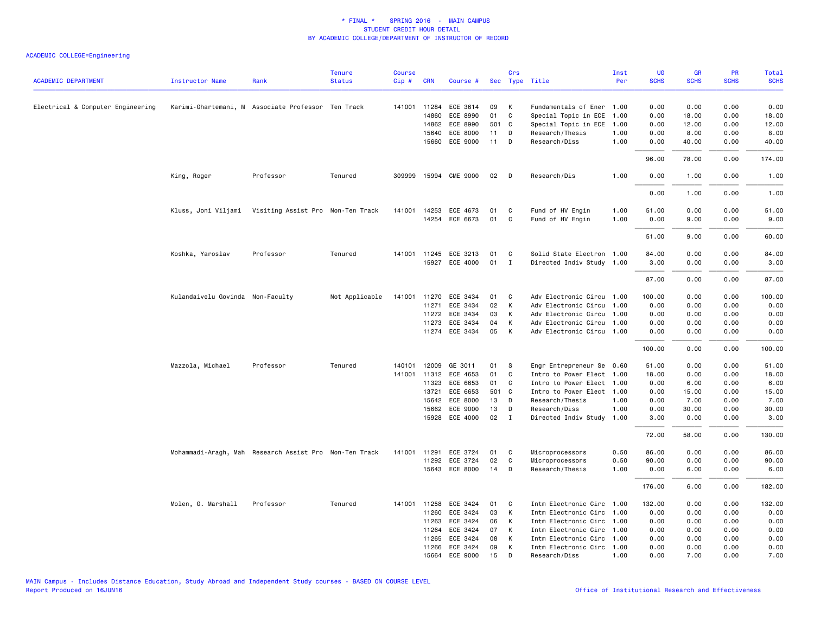| <b>ACADEMIC DEPARTMENT</b>        | <b>Instructor Name</b>           | Rank                                                   | <b>Tenure</b><br><b>Status</b> | <b>Course</b><br>$Cip \#$ | <b>CRN</b>   | Course #              |       | Crs          | Sec Type Title            | Inst<br>Per | UG<br><b>SCHS</b> | <b>GR</b><br><b>SCHS</b> | PR<br><b>SCHS</b> | Total<br><b>SCHS</b> |
|-----------------------------------|----------------------------------|--------------------------------------------------------|--------------------------------|---------------------------|--------------|-----------------------|-------|--------------|---------------------------|-------------|-------------------|--------------------------|-------------------|----------------------|
|                                   |                                  |                                                        |                                |                           |              |                       |       |              |                           |             |                   |                          |                   |                      |
| Electrical & Computer Engineering |                                  | Karimi-Ghartemani, M Associate Professor Ten Track     |                                |                           | 141001 11284 | ECE 3614              | 09    | К            | Fundamentals of Ener 1.00 |             | 0.00              | 0.00                     | 0.00              | 0.00                 |
|                                   |                                  |                                                        |                                |                           | 14860        | ECE 8990              | 01    | $\mathsf{C}$ | Special Topic in ECE      | 1.00        | 0.00              | 18.00                    | 0.00              | 18.00                |
|                                   |                                  |                                                        |                                |                           | 14862        | ECE 8990              | 501 C |              | Special Topic in ECE      | 1.00        | 0.00              | 12.00                    | 0.00              | 12.00                |
|                                   |                                  |                                                        |                                |                           | 15640        | ECE 8000              | 11    | D            | Research/Thesis           | 1.00        | 0.00              | 8.00                     | 0.00              | 8.00                 |
|                                   |                                  |                                                        |                                |                           | 15660        | ECE 9000              | 11    | D            | Research/Diss             | 1.00        | 0.00              | 40.00                    | 0.00              | 40.00                |
|                                   |                                  |                                                        |                                |                           |              |                       |       |              |                           |             | 96.00             | 78.00                    | 0.00              | 174.00               |
|                                   | King, Roger                      | Professor                                              | Tenured                        | 309999                    | 15994        | <b>CME 9000</b>       | 02    | D            | Research/Dis              | 1.00        | 0.00              | 1.00                     | 0.00              | 1.00                 |
|                                   |                                  |                                                        |                                |                           |              |                       |       |              |                           |             | 0.00              | 1.00                     | 0.00              | 1.00                 |
|                                   |                                  | Kluss, Joni Viljami Visiting Assist Pro Non-Ten Track  |                                |                           | 141001 14253 | ECE 4673              | 01    | C            | Fund of HV Engin          | 1.00        | 51.00             | 0.00                     | 0.00              | 51.00                |
|                                   |                                  |                                                        |                                |                           |              | 14254 ECE 6673        | 01    | C            | Fund of HV Engin          | 1.00        | 0.00              | 9.00                     | 0.00              | 9.00                 |
|                                   |                                  |                                                        |                                |                           |              |                       |       |              |                           |             |                   |                          |                   |                      |
|                                   |                                  |                                                        |                                |                           |              |                       |       |              |                           |             | 51.00             | 9.00                     | 0.00              | 60.00                |
|                                   | Koshka, Yaroslav                 | Professor                                              | Tenured                        | 141001                    |              | 11245 ECE 3213        | 01    | C            | Solid State Electron 1.00 |             | 84.00             | 0.00                     | 0.00              | 84.00                |
|                                   |                                  |                                                        |                                |                           |              | 15927 ECE 4000        | 01    | $\mathbf{I}$ | Directed Indiv Study 1.00 |             | 3.00              | 0.00                     | 0.00              | 3.00                 |
|                                   |                                  |                                                        |                                |                           |              |                       |       |              |                           |             | 87.00             | 0.00                     | 0.00              | 87.00                |
|                                   | Kulandaivelu Govinda Non-Faculty |                                                        | Not Applicable                 |                           |              | 141001 11270 ECE 3434 | 01    | C            | Adv Electronic Circu 1.00 |             | 100.00            | 0.00                     | 0.00              | 100.00               |
|                                   |                                  |                                                        |                                |                           | 11271        | ECE 3434              | 02    | К            | Adv Electronic Circu 1.00 |             | 0.00              | 0.00                     | 0.00              | 0.00                 |
|                                   |                                  |                                                        |                                |                           | 11272        | ECE 3434              | 03    | К            | Adv Electronic Circu 1.00 |             | 0.00              | 0.00                     | 0.00              | 0.00                 |
|                                   |                                  |                                                        |                                |                           | 11273        | ECE 3434              | 04    | К            | Adv Electronic Circu 1.00 |             | 0.00              | 0.00                     | 0.00              | 0.00                 |
|                                   |                                  |                                                        |                                |                           |              | 11274 ECE 3434        | 05    | К            | Adv Electronic Circu 1.00 |             | 0.00              | 0.00                     | 0.00              | 0.00                 |
|                                   |                                  |                                                        |                                |                           |              |                       |       |              |                           |             | 100.00            | 0.00                     | 0.00              | 100.00               |
|                                   | Mazzola, Michael                 | Professor                                              | Tenured                        | 140101                    | 12009        | GE 3011               | 01    | s            | Engr Entrepreneur Se 0.60 |             | 51.00             | 0.00                     | 0.00              | 51.00                |
|                                   |                                  |                                                        |                                |                           | 141001 11312 | ECE 4653              | 01    | C            | Intro to Power Elect 1.00 |             | 18.00             | 0.00                     | 0.00              | 18.00                |
|                                   |                                  |                                                        |                                |                           | 11323        | ECE 6653              | 01    | C            | Intro to Power Elect 1.00 |             | 0.00              | 6.00                     | 0.00              | 6.00                 |
|                                   |                                  |                                                        |                                |                           | 13721        | ECE 6653              | 501 C |              | Intro to Power Elect 1.00 |             | 0.00              | 15.00                    | 0.00              | 15.00                |
|                                   |                                  |                                                        |                                |                           | 15642        | ECE 8000              | 13    | D            | Research/Thesis           | 1.00        | 0.00              | 7.00                     | 0.00              | 7.00                 |
|                                   |                                  |                                                        |                                |                           | 15662        | ECE 9000              | 13    | D            | Research/Diss             | 1.00        | 0.00              | 30.00                    | 0.00              | 30.00                |
|                                   |                                  |                                                        |                                |                           |              | 15928 ECE 4000        | 02    | $\mathbf{I}$ | Directed Indiv Study 1.00 |             | 3.00              | 0.00                     | 0.00              | 3.00                 |
|                                   |                                  |                                                        |                                |                           |              |                       |       |              |                           |             | 72.00             | 58.00                    | 0.00              | 130.00               |
|                                   |                                  | Mohammadi-Aragh, Mah Research Assist Pro Non-Ten Track |                                | 141001                    | 11291        | ECE 3724              | 01    | C            | Microprocessors           | 0.50        | 86.00             | 0.00                     | 0.00              | 86.00                |
|                                   |                                  |                                                        |                                |                           |              | 11292 ECE 3724        | 02    | C            | Microprocessors           | 0.50        | 90.00             | 0.00                     | 0.00              | 90.00                |
|                                   |                                  |                                                        |                                |                           |              | 15643 ECE 8000        | 14    | D            | Research/Thesis           | 1.00        | 0.00              | 6.00                     | 0.00              | 6.00                 |
|                                   |                                  |                                                        |                                |                           |              |                       |       |              |                           |             | 176.00            | 6.00                     | 0.00              | 182.00               |
|                                   | Molen, G. Marshall               | Professor                                              | Tenured                        |                           | 141001 11258 | ECE 3424              | 01    | C            | Intm Electronic Circ 1.00 |             | 132.00            | 0.00                     | 0.00              | 132.00               |
|                                   |                                  |                                                        |                                |                           | 11260        | ECE 3424              | 03    | К            | Intm Electronic Circ      | 1.00        | 0.00              | 0.00                     | 0.00              | 0.00                 |
|                                   |                                  |                                                        |                                |                           | 11263        | ECE 3424              | 06    | К            | Intm Electronic Circ 1.00 |             | 0.00              | 0.00                     | 0.00              | 0.00                 |
|                                   |                                  |                                                        |                                |                           | 11264        | ECE 3424              | 07    | К            | Intm Electronic Circ 1.00 |             | 0.00              | 0.00                     | 0.00              | 0.00                 |
|                                   |                                  |                                                        |                                |                           | 11265        | ECE 3424              | 08    | К            | Intm Electronic Circ      | 1.00        | 0.00              | 0.00                     | 0.00              | 0.00                 |
|                                   |                                  |                                                        |                                |                           |              | 11266 ECE 3424        | 09    | К            | Intm Electronic Circ 1.00 |             | 0.00              | 0.00                     | 0.00              | 0.00                 |
|                                   |                                  |                                                        |                                |                           |              | 15664 ECE 9000        | 15    | D.           | Research/Diss             | 1.00        | 0.00              | 7.00                     | 0.00              | 7.00                 |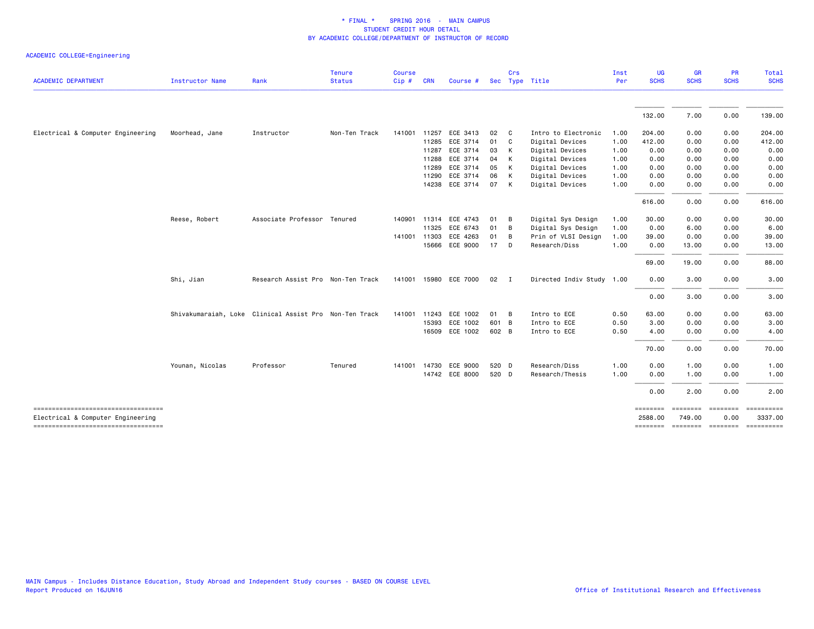| <b>ACADEMIC DEPARTMENT</b>                                               | Instructor Name | Rank                                                   | <b>Tenure</b><br><b>Status</b> | <b>Course</b><br>Cip# | <b>CRN</b> | Course #              |       | Crs            | Sec Type Title            | Inst<br>Per | UG<br><b>SCHS</b> | <b>GR</b><br><b>SCHS</b>           | <b>PR</b><br><b>SCHS</b> | Total<br><b>SCHS</b>  |
|--------------------------------------------------------------------------|-----------------|--------------------------------------------------------|--------------------------------|-----------------------|------------|-----------------------|-------|----------------|---------------------------|-------------|-------------------|------------------------------------|--------------------------|-----------------------|
|                                                                          |                 |                                                        |                                |                       |            |                       |       |                |                           |             |                   |                                    |                          |                       |
|                                                                          |                 |                                                        |                                |                       |            |                       |       |                |                           |             | 132.00            | 7.00                               | 0.00                     | 139.00                |
| Electrical & Computer Engineering                                        | Moorhead, Jane  | Instructor                                             | Non-Ten Track                  | 141001                | 11257      | ECE 3413              | 02    | $\mathbf{C}$   | Intro to Electronic       | 1.00        | 204.00            | 0.00                               | 0.00                     | 204.00                |
|                                                                          |                 |                                                        |                                |                       | 11285      | ECE 3714              | 01    | $\mathbf{C}$   | Digital Devices           | 1.00        | 412.00            | 0.00                               | 0.00                     | 412.00                |
|                                                                          |                 |                                                        |                                |                       | 11287      | ECE 3714              | 03    | K              | Digital Devices           | 1.00        | 0.00              | 0.00                               | 0.00                     | 0.00                  |
|                                                                          |                 |                                                        |                                |                       | 11288      | ECE 3714              | 04    | $\mathsf{K}$   | Digital Devices           | 1.00        | 0.00              | 0.00                               | 0.00                     | 0.00                  |
|                                                                          |                 |                                                        |                                |                       | 11289      | ECE 3714              | 05    | $\mathsf{K}$   | Digital Devices           | 1.00        | 0.00              | 0.00                               | 0.00                     | 0.00                  |
|                                                                          |                 |                                                        |                                |                       | 11290      | ECE 3714              | 06    | K              | Digital Devices           | 1.00        | 0.00              | 0.00                               | 0.00                     | 0.00                  |
|                                                                          |                 |                                                        |                                |                       |            | 14238 ECE 3714        | 07 K  |                | Digital Devices           | 1.00        | 0.00              | 0.00                               | 0.00                     | 0.00                  |
|                                                                          |                 |                                                        |                                |                       |            |                       |       |                |                           |             | 616.00            | 0.00                               | 0.00                     | 616.00                |
|                                                                          | Reese, Robert   | Associate Professor Tenured                            |                                | 140901                | 11314      | ECE 4743              | 01    | B              | Digital Sys Design        | 1.00        | 30.00             | 0.00                               | 0.00                     | 30.00                 |
|                                                                          |                 |                                                        |                                |                       | 11325      | ECE 6743              | 01    | B              | Digital Sys Design        | 1.00        | 0.00              | 6.00                               | 0.00                     | 6.00                  |
|                                                                          |                 |                                                        |                                | 141001                | 11303      | ECE 4263              | 01    | B              | Prin of VLSI Design       | 1.00        | 39.00             | 0.00                               | 0.00                     | 39.00                 |
|                                                                          |                 |                                                        |                                |                       |            | 15666 ECE 9000        | 17 D  |                | Research/Diss             | 1.00        | 0.00              | 13.00                              | 0.00                     | 13.00                 |
|                                                                          |                 |                                                        |                                |                       |            |                       |       |                |                           |             | 69.00             | 19.00                              | 0.00                     | 88.00                 |
|                                                                          | Shi, Jian       | Research Assist Pro Non-Ten Track                      |                                |                       |            | 141001 15980 ECE 7000 | 02    | $\blacksquare$ | Directed Indiv Study 1.00 |             | 0.00              | 3.00                               | 0.00                     | 3.00                  |
|                                                                          |                 |                                                        |                                |                       |            |                       |       |                |                           |             | 0.00              | 3.00                               | 0.00                     | 3.00                  |
|                                                                          |                 | Shivakumaraiah, Loke Clinical Assist Pro Non-Ten Track |                                | 141001                | 11243      | ECE 1002              | 01 B  |                | Intro to ECE              | 0.50        | 63.00             | 0.00                               | 0.00                     | 63.00                 |
|                                                                          |                 |                                                        |                                |                       |            | 15393 ECE 1002        | 601 B |                | Intro to ECE              | 0.50        | 3.00              | 0.00                               | 0.00                     | 3.00                  |
|                                                                          |                 |                                                        |                                |                       |            | 16509 ECE 1002        | 602 B |                | Intro to ECE              | 0.50        | 4.00              | 0.00                               | 0.00                     | 4.00                  |
|                                                                          |                 |                                                        |                                |                       |            |                       |       |                |                           |             | 70.00             | 0.00                               | 0.00                     | 70.00                 |
|                                                                          | Younan, Nicolas | Professor                                              | Tenured                        |                       |            | 141001 14730 ECE 9000 | 520 D |                | Research/Diss             | 1.00        | 0.00              | 1.00                               | 0.00                     | 1.00                  |
|                                                                          |                 |                                                        |                                |                       |            | 14742 ECE 8000        | 520 D |                | Research/Thesis           | 1.00        | 0.00              | 1.00                               | 0.00                     | 1.00                  |
|                                                                          |                 |                                                        |                                |                       |            |                       |       |                |                           |             | 0.00              | 2.00                               | 0.00                     | 2.00                  |
| ======================================                                   |                 |                                                        |                                |                       |            |                       |       |                |                           |             | ========          |                                    | <b>Concocco</b>          | $=$ ==========        |
| Electrical & Computer Engineering<br>----------------------------------- |                 |                                                        |                                |                       |            |                       |       |                |                           |             | 2588.00           | 749.00<br>-------- ------- ------- | 0.00                     | 3337.00<br>========== |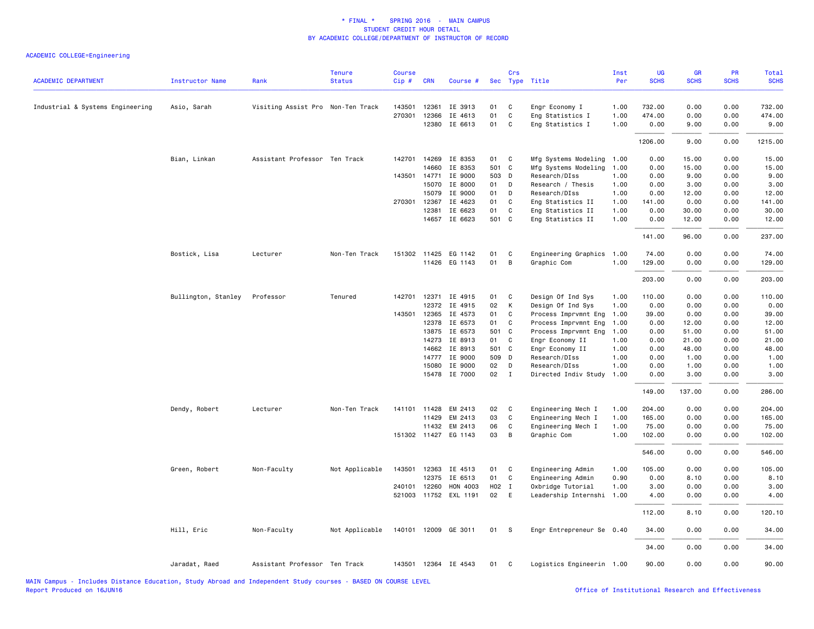| <b>ACADEMIC DEPARTMENT</b>       | Instructor Name     | Rank                              | <b>Tenure</b><br><b>Status</b> | <b>Course</b><br>Cip# | <b>CRN</b>   | Course #              |       | Crs          | Sec Type Title            | Inst<br>Per | UG<br><b>SCHS</b> | <b>GR</b><br><b>SCHS</b> | PR<br><b>SCHS</b> | Total<br><b>SCHS</b> |
|----------------------------------|---------------------|-----------------------------------|--------------------------------|-----------------------|--------------|-----------------------|-------|--------------|---------------------------|-------------|-------------------|--------------------------|-------------------|----------------------|
|                                  |                     |                                   |                                |                       |              |                       |       |              |                           |             |                   |                          |                   |                      |
| Industrial & Systems Engineering | Asio, Sarah         | Visiting Assist Pro Non-Ten Track |                                | 143501                | 12361        | IE 3913               | 01    | C            | Engr Economy I            | 1.00        | 732.00            | 0.00                     | 0.00              | 732.00               |
|                                  |                     |                                   |                                | 270301                | 12366        | IE 4613               | 01    | $\mathbf C$  | Eng Statistics I          | 1.00        | 474.00            | 0.00                     | 0.00              | 474.00               |
|                                  |                     |                                   |                                |                       | 12380        | IE 6613               | 01    | C            | Eng Statistics I          | 1.00        | 0.00              | 9.00                     | 0.00              | 9.00                 |
|                                  |                     |                                   |                                |                       |              |                       |       |              |                           |             | 1206.00           | 9.00                     | 0.00              | 1215.00              |
|                                  | Bian, Linkan        | Assistant Professor Ten Track     |                                |                       | 142701 14269 | IE 8353               | 01    | <b>C</b>     | Mfg Systems Modeling      | 1.00        | 0.00              | 15.00                    | 0.00              | 15.00                |
|                                  |                     |                                   |                                |                       | 14660        | IE 8353               | 501 C |              | Mfg Systems Modeling      | 1.00        | 0.00              | 15.00                    | 0.00              | 15.00                |
|                                  |                     |                                   |                                | 143501                | 14771        | IE 9000               | 503 D |              | Research/DIss             | 1.00        | 0.00              | 9.00                     | 0.00              | 9.00                 |
|                                  |                     |                                   |                                |                       | 15070        | IE 8000               | 01    | D            | Research / Thesis         | 1.00        | 0.00              | 3.00                     | 0.00              | 3.00                 |
|                                  |                     |                                   |                                |                       | 15079        | IE 9000               | 01    | D            | Research/DIss             | 1.00        | 0.00              | 12.00                    | 0.00              | 12.00                |
|                                  |                     |                                   |                                | 270301                | 12367        | IE 4623               | 01    | C            | Eng Statistics II         | 1.00        | 141.00            | 0.00                     | 0.00              | 141.00               |
|                                  |                     |                                   |                                |                       | 12381        | IE 6623               | 01    | C            | Eng Statistics II         | 1.00        | 0.00              | 30.00                    | 0.00              | 30.00                |
|                                  |                     |                                   |                                |                       | 14657        | IE 6623               | 501 C |              | Eng Statistics II         | 1.00        | 0.00              | 12.00                    | 0.00              | 12.00                |
|                                  |                     |                                   |                                |                       |              |                       |       |              |                           |             | 141.00            | 96.00                    | 0.00              | 237.00               |
|                                  | Bostick, Lisa       | Lecturer                          | Non-Ten Track                  |                       |              | 151302 11425 EG 1142  | 01    | C            | Engineering Graphics      | 1.00        | 74.00             | 0.00                     | 0.00              | 74.00                |
|                                  |                     |                                   |                                |                       |              | 11426 EG 1143         | 01    | B            | Graphic Com               | 1.00        | 129.00            | 0.00                     | 0.00              | 129.00               |
|                                  |                     |                                   |                                |                       |              |                       |       |              |                           |             | 203.00            | 0.00                     | 0.00              | 203.00               |
|                                  | Bullington, Stanley | Professor                         | Tenured                        | 142701                | 12371        | IE 4915               | 01    | C            | Design Of Ind Sys         | 1.00        | 110.00            | 0.00                     | 0.00              | 110.00               |
|                                  |                     |                                   |                                |                       | 12372        | IE 4915               | 02    | K            | Design Of Ind Sys         | 1.00        | 0.00              | 0.00                     | 0.00              | 0.00                 |
|                                  |                     |                                   |                                | 143501                | 12365        | IE 4573               | 01    | C            | Process Imprvmnt Eng      | 1.00        | 39.00             | 0.00                     | 0.00              | 39.00                |
|                                  |                     |                                   |                                |                       | 12378        | IE 6573               | 01    | C            | Process Imprvmnt Eng      | 1.00        | 0.00              | 12.00                    | 0.00              | 12.00                |
|                                  |                     |                                   |                                |                       | 13875        | IE 6573               | 501 C |              | Process Imprvmnt Eng      | 1.00        | 0.00              | 51.00                    | 0.00              | 51.00                |
|                                  |                     |                                   |                                |                       | 14273        | IE 8913               | 01    | C            | Engr Economy II           | 1.00        | 0.00              | 21.00                    | 0.00              | 21.00                |
|                                  |                     |                                   |                                |                       | 14662        | IE 8913               | 501 C |              | Engr Economy II           | 1.00        | 0.00              | 48.00                    | 0.00              | 48.00                |
|                                  |                     |                                   |                                |                       | 14777        | IE 9000               | 509 D |              | Research/DIss             | 1.00        | 0.00              | 1.00                     | 0.00              | 1.00                 |
|                                  |                     |                                   |                                |                       | 15080        | IE 9000               | 02    | D            | Research/DIss             | 1.00        | 0.00              | 1.00                     | 0.00              | 1.00                 |
|                                  |                     |                                   |                                |                       |              | 15478 IE 7000         | 02    | $\mathbf{I}$ | Directed Indiv Study      | 1.00        | 0.00              | 3.00                     | 0.00              | 3.00                 |
|                                  |                     |                                   |                                |                       |              |                       |       |              |                           |             | 149.00            | 137.00                   | 0.00              | 286.00               |
|                                  | Dendy, Robert       | Lecturer                          | Non-Ten Track                  |                       | 141101 11428 | EM 2413               | 02    | C            | Engineering Mech I        | 1.00        | 204.00            | 0.00                     | 0.00              | 204.00               |
|                                  |                     |                                   |                                |                       | 11429        | EM 2413               | 03    | C            | Engineering Mech I        | 1.00        | 165.00            | 0.00                     | 0.00              | 165.00               |
|                                  |                     |                                   |                                |                       | 11432        | EM 2413               | 06    | C            | Engineering Mech I        | 1.00        | 75.00             | 0.00                     | 0.00              | 75.00                |
|                                  |                     |                                   |                                |                       |              | 151302 11427 EG 1143  | 03    | B            | Graphic Com               | 1.00        | 102.00            | 0.00                     | 0.00              | 102.00               |
|                                  |                     |                                   |                                |                       |              |                       |       |              |                           |             | 546.00            | 0.00                     | 0.00              | 546.00               |
|                                  | Green, Robert       | Non-Faculty                       | Not Applicable                 | 143501                | 12363        | IE 4513               | 01    | C            | Engineering Admin         | 1.00        | 105.00            | 0.00                     | 0.00              | 105.00               |
|                                  |                     |                                   |                                |                       | 12375        | IE 6513               | 01    | C            | Engineering Admin         | 0.90        | 0.00              | 8.10                     | 0.00              | 8.10                 |
|                                  |                     |                                   |                                | 240101                | 12260        | HON 4003              | H02 I |              | Oxbridge Tutorial         | 1.00        | 3.00              | 0.00                     | 0.00              | 3.00                 |
|                                  |                     |                                   |                                |                       |              | 521003 11752 EXL 1191 | 02 E  |              | Leadership Internshi 1.00 |             | 4.00              | 0.00                     | 0.00              | 4.00                 |
|                                  |                     |                                   |                                |                       |              |                       |       |              |                           |             | 112.00            | 8.10                     | 0.00              | 120.10               |
|                                  | Hill, Eric          | Non-Faculty                       | Not Applicable                 |                       |              | 140101 12009 GE 3011  | 01    | - S          | Engr Entrepreneur Se 0.40 |             | 34.00             | 0.00                     | 0.00              | 34.00                |
|                                  |                     |                                   |                                |                       |              |                       |       |              |                           |             | 34.00             | 0.00                     | 0.00              | 34.00                |
|                                  | Jaradat, Raed       | Assistant Professor Ten Track     |                                |                       |              | 143501 12364 IE 4543  | 01    | $\mathbf{C}$ | Logistics Engineerin 1.00 |             | 90.00             | 0.00                     | 0.00              | 90.00                |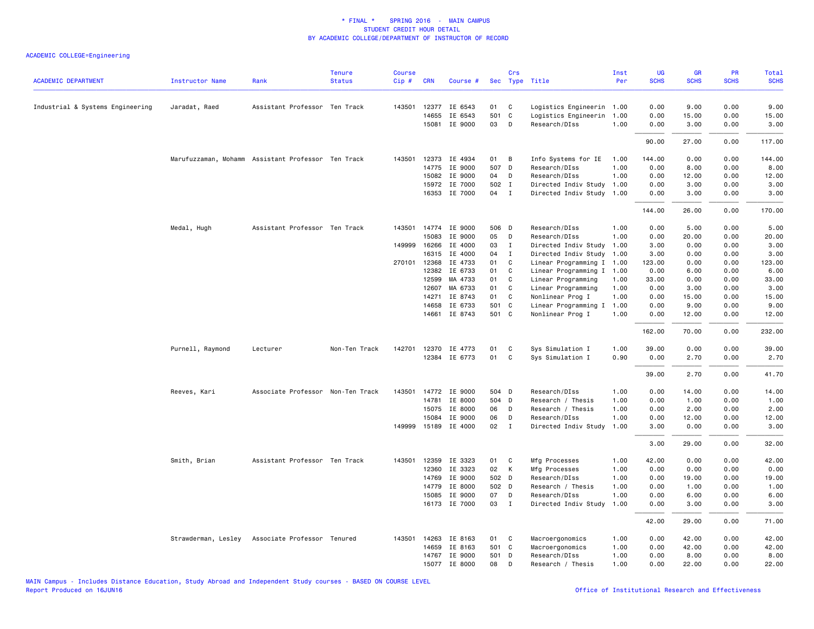| <b>ACADEMIC DEPARTMENT</b>       | <b>Instructor Name</b> | Rank                                               | <b>Tenure</b><br><b>Status</b> | <b>Course</b><br>Cip# | <b>CRN</b>   | Course #             |       | Crs          | Sec Type Title            | Inst<br>Per | <b>UG</b><br><b>SCHS</b> | <b>GR</b><br><b>SCHS</b> | <b>PR</b><br><b>SCHS</b> | Total<br><b>SCHS</b> |
|----------------------------------|------------------------|----------------------------------------------------|--------------------------------|-----------------------|--------------|----------------------|-------|--------------|---------------------------|-------------|--------------------------|--------------------------|--------------------------|----------------------|
|                                  |                        |                                                    |                                |                       |              |                      |       |              |                           |             |                          |                          |                          |                      |
| Industrial & Systems Engineering | Jaradat, Raed          | Assistant Professor Ten Track                      |                                |                       |              | 143501 12377 IE 6543 | 01    | C            | Logistics Engineerin 1.00 |             | 0.00                     | 9.00                     | 0.00                     | 9.00                 |
|                                  |                        |                                                    |                                |                       | 14655        | IE 6543              | 501 C |              | Logistics Engineerin 1.00 |             | 0.00                     | 15.00                    | 0.00                     | 15.00                |
|                                  |                        |                                                    |                                |                       | 15081        | IE 9000              | 03    | D            | Research/DIss             | 1.00        | 0.00                     | 3.00                     | 0.00                     | 3.00                 |
|                                  |                        |                                                    |                                |                       |              |                      |       |              |                           |             | 90.00                    | 27.00                    | 0.00                     | 117.00               |
|                                  |                        | Marufuzzaman, Mohamm Assistant Professor Ten Track |                                | 143501                | 12373        | IE 4934              | 01    | B            | Info Systems for IE       | 1.00        | 144.00                   | 0.00                     | 0.00                     | 144.00               |
|                                  |                        |                                                    |                                |                       | 14775        | IE 9000              | 507 D |              | Research/DIss             | 1.00        | 0.00                     | 8.00                     | 0.00                     | 8.00                 |
|                                  |                        |                                                    |                                |                       | 15082        | IE 9000              | 04    | D            | Research/DIss             | 1.00        | 0.00                     | 12.00                    | 0.00                     | 12.00                |
|                                  |                        |                                                    |                                |                       | 15972        | IE 7000              | 502 I |              | Directed Indiv Study      | 1.00        | 0.00                     | 3.00                     | 0.00                     | 3.00                 |
|                                  |                        |                                                    |                                |                       |              | 16353 IE 7000        | 04    | $\mathbf{I}$ | Directed Indiv Study 1.00 |             | 0.00                     | 3.00                     | 0.00                     | 3.00                 |
|                                  |                        |                                                    |                                |                       |              |                      |       |              |                           |             | 144.00                   | 26.00                    | 0.00                     | 170.00               |
|                                  | Medal, Hugh            | Assistant Professor Ten Track                      |                                |                       |              | 143501 14774 IE 9000 | 506 D |              | Research/DIss             | 1.00        | 0.00                     | 5.00                     | 0.00                     | 5.00                 |
|                                  |                        |                                                    |                                |                       | 15083        | IE 9000              | 05    | D            | Research/DIss             | 1.00        | 0.00                     | 20.00                    | 0.00                     | 20.00                |
|                                  |                        |                                                    |                                |                       | 149999 16266 | IE 4000              | 03    | $\mathbf{I}$ | Directed Indiv Study      | 1.00        | 3.00                     | 0.00                     | 0.00                     | 3.00                 |
|                                  |                        |                                                    |                                |                       | 16315        | IE 4000              | 04    | $\mathbf{I}$ | Directed Indiv Study      | 1.00        | 3.00                     | 0.00                     | 0.00                     | 3.00                 |
|                                  |                        |                                                    |                                |                       | 270101 12368 | IE 4733              | 01    | C            | Linear Programming I 1.00 |             | 123.00                   | 0.00                     | 0.00                     | 123.00               |
|                                  |                        |                                                    |                                |                       | 12382        | IE 6733              | 01    | C            | Linear Programming I      | 1.00        | 0.00                     | 6.00                     | 0.00                     | 6.00                 |
|                                  |                        |                                                    |                                |                       | 12599        | MA 4733              | 01    | C            | Linear Programming        | 1.00        | 33.00                    | 0.00                     | 0.00                     | 33.00                |
|                                  |                        |                                                    |                                |                       | 12607        | MA 6733              | 01    | C            | Linear Programming        | 1.00        | 0.00                     | 3.00                     | 0.00                     | 3.00                 |
|                                  |                        |                                                    |                                |                       | 14271        | IE 8743              | 01    | C            | Nonlinear Prog I          | 1.00        | 0.00                     | 15.00                    | 0.00                     | 15.00                |
|                                  |                        |                                                    |                                |                       | 14658        | IE 6733              | 501 C |              | Linear Programming I      | 1.00        | 0.00                     | 9.00                     | 0.00                     | 9.00                 |
|                                  |                        |                                                    |                                |                       | 14661        | IE 8743              | 501 C |              | Nonlinear Prog I          | 1.00        | 0.00                     | 12.00                    | 0.00                     | 12.00                |
|                                  |                        |                                                    |                                |                       |              |                      |       |              |                           |             | 162.00                   | 70.00                    | 0.00                     | 232.00               |
|                                  | Purnell, Raymond       | Lecturer                                           | Non-Ten Track                  | 142701                | 12370        | IE 4773              | 01    | C            | Sys Simulation I          | 1.00        | 39.00                    | 0.00                     | 0.00                     | 39.00                |
|                                  |                        |                                                    |                                |                       |              | 12384 IE 6773        | 01    | $\mathbf{C}$ | Sys Simulation I          | 0.90        | 0.00                     | 2.70                     | 0.00                     | 2.70                 |
|                                  |                        |                                                    |                                |                       |              |                      |       |              |                           |             |                          |                          |                          |                      |
|                                  |                        |                                                    |                                |                       |              |                      |       |              |                           |             | 39.00                    | 2.70                     | 0.00                     | 41.70                |
|                                  | Reeves, Kari           | Associate Professor Non-Ten Track                  |                                | 143501                |              | 14772 IE 9000        | 504 D |              | Research/DIss             | 1.00        | 0.00                     | 14.00                    | 0.00                     | 14.00                |
|                                  |                        |                                                    |                                |                       | 14781        | IE 8000              | 504 D |              | Research / Thesis         | 1.00        | 0.00                     | 1.00                     | 0.00                     | 1.00                 |
|                                  |                        |                                                    |                                |                       | 15075        | IE 8000              | 06    | D            | Research / Thesis         | 1.00        | 0.00                     | 2.00                     | 0.00                     | 2.00                 |
|                                  |                        |                                                    |                                |                       | 15084        | IE 9000              | 06    | D            | Research/DIss             | 1.00        | 0.00                     | 12.00                    | 0.00                     | 12.00                |
|                                  |                        |                                                    |                                | 149999                | 15189        | IE 4000              | 02    | $\mathbf{I}$ | Directed Indiv Study      | 1.00        | 3.00                     | 0.00                     | 0.00                     | 3.00                 |
|                                  |                        |                                                    |                                |                       |              |                      |       |              |                           |             | 3.00                     | 29.00                    | 0.00                     | 32.00                |
|                                  | Smith, Brian           | Assistant Professor Ten Track                      |                                | 143501                | 12359        | IE 3323              | 01    | C            | Mfg Processes             | 1.00        | 42.00                    | 0.00                     | 0.00                     | 42.00                |
|                                  |                        |                                                    |                                |                       | 12360        | IE 3323              | 02    | К            | Mfg Processes             | 1.00        | 0.00                     | 0.00                     | 0.00                     | 0.00                 |
|                                  |                        |                                                    |                                |                       | 14769        | IE 9000              | 502 D |              | Research/DIss             | 1.00        | 0.00                     | 19.00                    | 0.00                     | 19.00                |
|                                  |                        |                                                    |                                |                       | 14779        | IE 8000              | 502 D |              | Research / Thesis         | 1.00        | 0.00                     | 1.00                     | 0.00                     | 1.00                 |
|                                  |                        |                                                    |                                |                       | 15085        | IE 9000              | 07    | D            | Research/DIss             | 1.00        | 0.00                     | 6.00                     | 0.00                     | 6.00                 |
|                                  |                        |                                                    |                                |                       |              | 16173 IE 7000        | 03    | $\mathbf{I}$ | Directed Indiv Study      | 1.00        | 0.00                     | 3.00                     | 0.00                     | 3.00                 |
|                                  |                        |                                                    |                                |                       |              |                      |       |              |                           |             | 42.00                    | 29.00                    | 0.00                     | 71.00                |
|                                  | Strawderman, Lesley    | Associate Professor Tenured                        |                                | 143501                | 14263        | IE 8163              | 01    | C            | Macroergonomics           | 1.00        | 0.00                     | 42.00                    | 0.00                     | 42.00                |
|                                  |                        |                                                    |                                |                       | 14659        | IE 8163              | 501 C |              | Macroergonomics           | 1.00        | 0.00                     | 42.00                    | 0.00                     | 42.00                |
|                                  |                        |                                                    |                                |                       |              | 14767 IE 9000        | 501 D |              | Research/DIss             | 1.00        | 0.00                     | 8.00                     | 0.00                     | 8.00                 |
|                                  |                        |                                                    |                                |                       |              | 15077 IE 8000        | 08    | D            | Research / Thesis         | 1.00        | 0.00                     | 22.00                    | 0.00                     | 22.00                |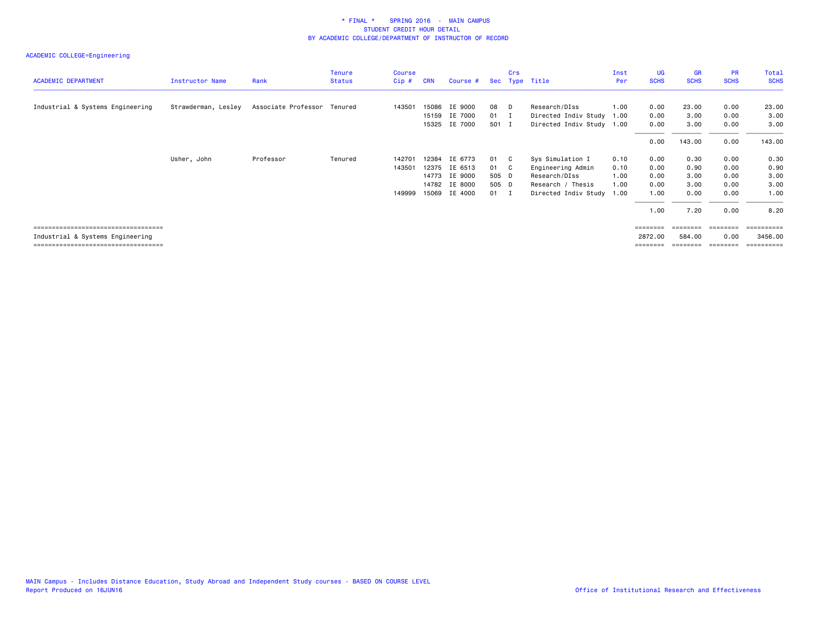# ACADEMIC COLLEGE=Engineering

| <b>ACADEMIC DEPARTMENT</b>            | Instructor Name     | Rank                        | <b>Tenure</b><br><b>Status</b> | Course<br>$Cip$ # | <b>CRN</b> | Course #      |              | Crs | Sec Type Title            | Inst<br>Per | UG<br><b>SCHS</b> | GR<br><b>SCHS</b> | <b>PR</b><br><b>SCHS</b> | <b>Total</b><br><b>SCHS</b> |
|---------------------------------------|---------------------|-----------------------------|--------------------------------|-------------------|------------|---------------|--------------|-----|---------------------------|-------------|-------------------|-------------------|--------------------------|-----------------------------|
|                                       |                     |                             |                                |                   |            |               |              |     |                           |             |                   |                   |                          |                             |
| Industrial & Systems Engineering      | Strawderman, Lesley | Associate Professor Tenured |                                | 143501            | 15086      | IE 9000       | 08 D         |     | Research/DIss             | 1.00        | 0.00              | 23.00             | 0.00                     | 23.00                       |
|                                       |                     |                             |                                |                   | 15159      | IE 7000       | $01$ I       |     | Directed Indiv Study 1.00 |             | 0.00              | 3.00              | 0.00                     | 3.00                        |
|                                       |                     |                             |                                |                   | 15325      | IE 7000       | 501 I        |     | Directed Indiv Study 1.00 |             | 0.00              | 3.00              | 0.00                     | 3.00                        |
|                                       |                     |                             |                                |                   |            |               |              |     |                           |             | 0.00              | 143.00            | 0.00                     | 143.00                      |
|                                       | Usher, John         | Professor                   | Tenured                        | 142701            | 12384      | IE 6773       | 01 C         |     | Sys Simulation I          | 0.10        | 0.00              | 0.30              | 0.00                     | 0.30                        |
|                                       |                     |                             |                                | 143501            |            | 12375 IE 6513 | 01 C         |     | Engineering Admin         | 0.10        | 0.00              | 0.90              | 0.00                     | 0.90                        |
|                                       |                     |                             |                                |                   |            | 14773 IE 9000 | 505 D        |     | Research/DIss             | 1.00        | 0.00              | 3.00              | 0.00                     | 3.00                        |
|                                       |                     |                             |                                |                   |            | 14782 IE 8000 | 505 D        |     | Research / Thesis         | 1.00        | 0.00              | 3.00              | 0.00                     | 3.00                        |
|                                       |                     |                             |                                | 149999            |            | 15069 IE 4000 | $01 \quad I$ |     | Directed Indiv Study 1.00 |             | 1.00              | 0.00              | 0.00                     | 1.00                        |
|                                       |                     |                             |                                |                   |            |               |              |     |                           |             | 1.00              | 7.20              | 0.00                     | 8.20                        |
| ===================================== |                     |                             |                                |                   |            |               |              |     |                           |             | ========          | ========          | ========                 | -----------                 |

 Industrial & Systems Engineering 2872.00 584.00 0.00 3456.00 =================================== ======== ======== ======== ==========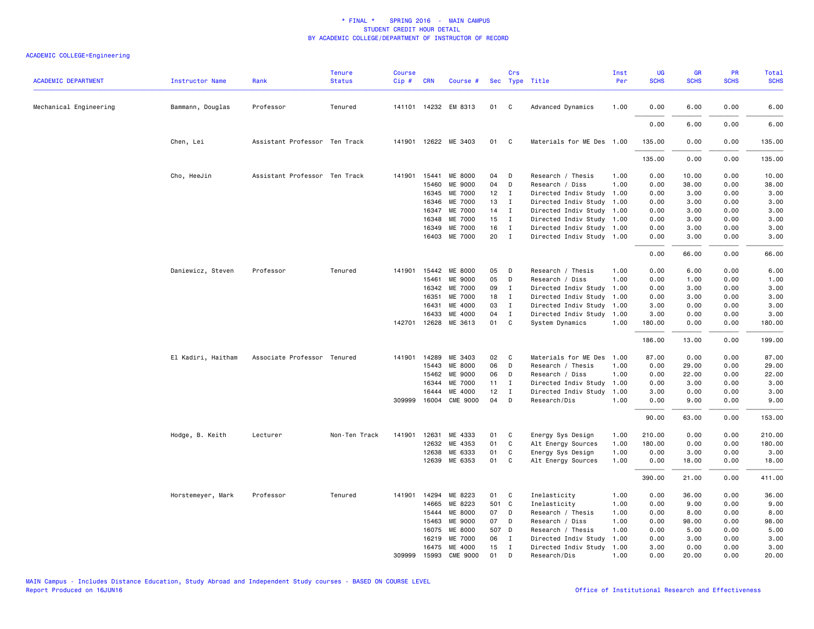|                            |                        |                               | <b>Tenure</b> | <b>Course</b> |              |                       |       | Crs          |                           | Inst | UG          | <b>GR</b>   | PR          | Total       |
|----------------------------|------------------------|-------------------------------|---------------|---------------|--------------|-----------------------|-------|--------------|---------------------------|------|-------------|-------------|-------------|-------------|
| <b>ACADEMIC DEPARTMENT</b> | <b>Instructor Name</b> | Rank                          | <b>Status</b> | $Cip \#$      | <b>CRN</b>   | Course #              |       |              | Sec Type Title            | Per  | <b>SCHS</b> | <b>SCHS</b> | <b>SCHS</b> | <b>SCHS</b> |
| Mechanical Engineering     | Bammann, Douglas       | Professor                     | Tenured       |               |              | 141101 14232 EM 8313  | 01    | C            | Advanced Dynamics         | 1.00 | 0.00        | 6.00        | 0.00        | 6.00        |
|                            |                        |                               |               |               |              |                       |       |              |                           |      | 0.00        | 6.00        | 0.00        | 6.00        |
|                            | Chen, Lei              | Assistant Professor Ten Track |               |               |              | 141901 12622 ME 3403  | 01    | C            | Materials for ME Des 1.00 |      | 135.00      | 0.00        | 0.00        | 135.00      |
|                            |                        |                               |               |               |              |                       |       |              |                           |      | 135.00      | 0.00        | 0.00        | 135.00      |
|                            | Cho, HeeJin            | Assistant Professor Ten Track |               | 141901        | 15441        | ME 8000               | 04    | D            | Research / Thesis         | 1.00 | 0.00        | 10.00       | 0.00        | 10.00       |
|                            |                        |                               |               |               | 15460        | ME 9000               | 04    | D            | Research / Diss           | 1.00 | 0.00        | 38.00       | 0.00        | 38.00       |
|                            |                        |                               |               |               | 16345        | ME 7000               | 12    | $\mathbf{I}$ | Directed Indiv Study      | 1.00 | 0.00        | 3.00        | 0.00        | 3.00        |
|                            |                        |                               |               |               | 16346        | ME 7000               | 13    | $\mathbf{I}$ | Directed Indiv Study      | 1.00 | 0.00        | 3.00        | 0.00        | 3.00        |
|                            |                        |                               |               |               | 16347        | ME 7000               | 14    | $\mathbf{I}$ | Directed Indiv Study 1.00 |      | 0.00        | 3.00        | 0.00        | 3.00        |
|                            |                        |                               |               |               | 16348        | ME 7000               | 15    | $\mathbf{I}$ | Directed Indiv Study 1.00 |      | 0.00        | 3.00        | 0.00        | 3.00        |
|                            |                        |                               |               |               | 16349        | ME 7000               | 16    | $\mathbf{I}$ | Directed Indiv Study 1.00 |      | 0.00        | 3.00        | 0.00        | 3.00        |
|                            |                        |                               |               |               |              | 16403 ME 7000         | 20    | $\mathbf{I}$ | Directed Indiv Study 1.00 |      | 0.00        | 3.00        | 0.00        | 3.00        |
|                            |                        |                               |               |               |              |                       |       |              |                           |      | 0.00        | 66.00       | 0.00        | 66.00       |
|                            | Daniewicz, Steven      | Professor                     | Tenured       |               | 141901 15442 | ME 8000               | 05    | D            | Research / Thesis         | 1.00 | 0.00        | 6.00        | 0.00        | 6.00        |
|                            |                        |                               |               |               | 15461        | ME 9000               | 05    | D            | Research / Diss           | 1.00 | 0.00        | 1.00        | 0.00        | 1.00        |
|                            |                        |                               |               |               | 16342        | ME 7000               | 09    | $\mathbf{I}$ | Directed Indiv Study      | 1.00 | 0.00        | 3.00        | 0.00        | 3.00        |
|                            |                        |                               |               |               | 16351        | ME 7000               | 18    | $\mathbf{I}$ | Directed Indiv Study      | 1.00 | 0.00        | 3.00        | 0.00        | 3.00        |
|                            |                        |                               |               |               | 16431        | ME 4000               | 03    | $\mathbf{I}$ | Directed Indiv Study      | 1.00 | 3.00        | 0.00        | 0.00        | 3.00        |
|                            |                        |                               |               |               | 16433        | ME 4000               | 04    | I            | Directed Indiv Study      | 1.00 | 3.00        | 0.00        | 0.00        | 3.00        |
|                            |                        |                               |               |               |              | 142701 12628 ME 3613  | 01    | C            | System Dynamics           | 1.00 | 180.00      | 0.00        | 0.00        | 180.00      |
|                            |                        |                               |               |               |              |                       |       |              |                           |      | 186.00      | 13.00       | 0.00        | 199.00      |
|                            | El Kadiri, Haitham     | Associate Professor Tenured   |               | 141901        | 14289        | ME 3403               | 02    | C            | Materials for ME Des      | 1.00 | 87.00       | 0.00        | 0.00        | 87.00       |
|                            |                        |                               |               |               | 15443        | ME 8000               | 06    | D            | Research / Thesis         | 1.00 | 0.00        | 29.00       | 0.00        | 29.00       |
|                            |                        |                               |               |               | 15462        | ME 9000               | 06    | D            | Research / Diss           | 1.00 | 0.00        | 22.00       | 0.00        | 22.00       |
|                            |                        |                               |               |               | 16344        | ME 7000               | 11    | $\mathbf{I}$ | Directed Indiv Study      | 1.00 | 0.00        | 3.00        | 0.00        | 3.00        |
|                            |                        |                               |               |               | 16444        | ME 4000               | 12    | $\mathbf{I}$ | Directed Indiv Study      | 1.00 | 3.00        | 0.00        | 0.00        | 3.00        |
|                            |                        |                               |               |               | 309999 16004 | <b>CME 9000</b>       | 04    | D            | Research/Dis              | 1.00 | 0.00        | 9.00        | 0.00        | 9.00        |
|                            |                        |                               |               |               |              |                       |       |              |                           |      | 90.00       | 63.00       | 0.00        | 153.00      |
|                            | Hodge, B. Keith        | Lecturer                      | Non-Ten Track | 141901        | 12631        | ME 4333               | 01    | C            | Energy Sys Design         | 1.00 | 210.00      | 0.00        | 0.00        | 210.00      |
|                            |                        |                               |               |               | 12632        | ME 4353               | 01    | $\mathsf{C}$ | Alt Energy Sources        | 1.00 | 180.00      | 0.00        | 0.00        | 180.00      |
|                            |                        |                               |               |               | 12638        | ME 6333               | 01    | C            | Energy Sys Design         | 1.00 | 0.00        | 3.00        | 0.00        | 3.00        |
|                            |                        |                               |               |               | 12639        | ME 6353               | 01    | C            | Alt Energy Sources        | 1.00 | 0.00        | 18.00       | 0.00        | 18.00       |
|                            |                        |                               |               |               |              |                       |       |              |                           |      | 390.00      | 21.00       | 0.00        | 411.00      |
|                            | Horstemeyer, Mark      | Professor                     | Tenured       |               | 141901 14294 | ME 8223               | 01    | C            | Inelasticity              | 1.00 | 0.00        | 36.00       | 0.00        | 36.00       |
|                            |                        |                               |               |               | 14665        | ME 8223               | 501 C |              | Inelasticity              | 1.00 | 0.00        | 9.00        | 0.00        | 9.00        |
|                            |                        |                               |               |               | 15444        | <b>ME 8000</b>        | 07    | D            | Research / Thesis         | 1.00 | 0.00        | 8.00        | 0.00        | 8.00        |
|                            |                        |                               |               |               | 15463        | ME 9000               | 07    | D            | Research / Diss           | 1.00 | 0.00        | 98.00       | 0.00        | 98.00       |
|                            |                        |                               |               |               | 16075        | ME 8000               | 507 D |              | Research / Thesis         | 1.00 | 0.00        | 5.00        | 0.00        | 5.00        |
|                            |                        |                               |               |               | 16219        | ME 7000               | 06    | $\mathbf{I}$ | Directed Indiv Study      | 1.00 | 0.00        | 3.00        | 0.00        | 3.00        |
|                            |                        |                               |               |               |              | 16475 ME 4000         | 15    | $\mathbf{I}$ | Directed Indiv Study 1.00 |      | 3.00        | 0.00        | 0.00        | 3.00        |
|                            |                        |                               |               |               |              | 309999 15993 CME 9000 | 01    | D            | Research/Dis              | 1.00 | 0.00        | 20.00       | 0.00        | 20.00       |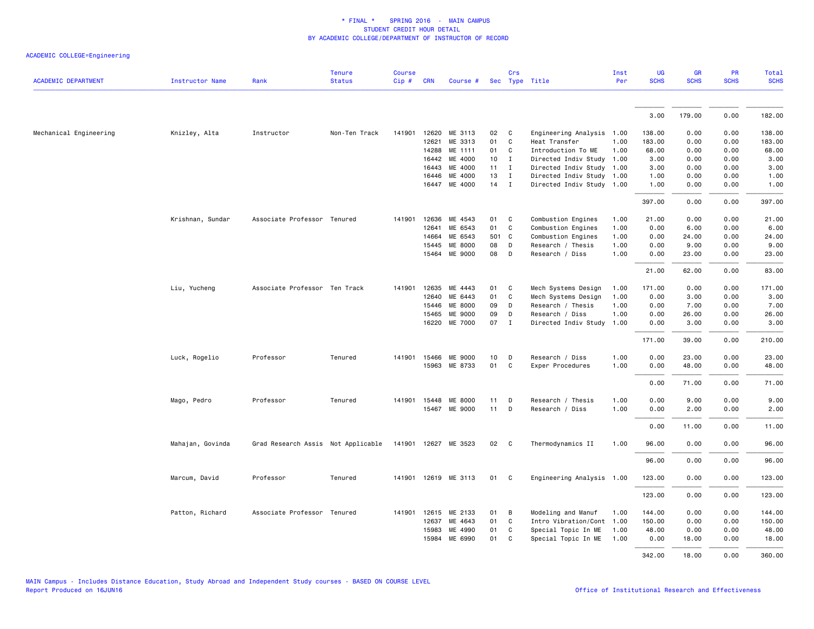| <b>ACADEMIC DEPARTMENT</b> | <b>Instructor Name</b> | Rank                               | <b>Tenure</b><br><b>Status</b> | <b>Course</b><br>Cip# | <b>CRN</b> | Course #             |      | Crs          | Sec Type Title            | Inst<br>Per | <b>UG</b><br><b>SCHS</b> | <b>GR</b><br><b>SCHS</b> | PR<br><b>SCHS</b> | Total<br><b>SCHS</b> |
|----------------------------|------------------------|------------------------------------|--------------------------------|-----------------------|------------|----------------------|------|--------------|---------------------------|-------------|--------------------------|--------------------------|-------------------|----------------------|
|                            |                        |                                    |                                |                       |            |                      |      |              |                           |             |                          |                          |                   |                      |
|                            |                        |                                    |                                |                       |            |                      |      |              |                           |             | 3.00                     | 179.00                   | 0.00              | 182.00               |
| Mechanical Engineering     | Knizley, Alta          | Instructor                         | Non-Ten Track                  | 141901                | 12620      | ME 3113              | 02   | C            | Engineering Analysis 1.00 |             | 138.00                   | 0.00                     | 0.00              | 138.00               |
|                            |                        |                                    |                                |                       | 12621      | ME 3313              | 01   | C            | Heat Transfer             | 1.00        | 183.00                   | 0.00                     | 0.00              | 183.00               |
|                            |                        |                                    |                                |                       | 14288      | ME 1111              | 01   | C            | Introduction To ME        | 1.00        | 68.00                    | 0.00                     | 0.00              | 68.00                |
|                            |                        |                                    |                                |                       | 16442      | ME 4000              | 10   | $\mathbf{I}$ | Directed Indiv Study 1.00 |             | 3.00                     | 0.00                     | 0.00              | 3.00                 |
|                            |                        |                                    |                                |                       | 16443      | ME 4000              | 11   | $\mathbf{I}$ | Directed Indiv Study 1.00 |             | 3.00                     | 0.00                     | 0.00              | 3.00                 |
|                            |                        |                                    |                                |                       | 16446      | ME 4000              | 13   | $\mathbf{I}$ | Directed Indiv Study 1.00 |             | 1.00                     | 0.00                     | 0.00              | 1.00                 |
|                            |                        |                                    |                                |                       | 16447      | ME 4000              | 14   | $\mathbf{I}$ | Directed Indiv Study 1.00 |             | 1.00                     | 0.00                     | 0.00              | 1.00                 |
|                            |                        |                                    |                                |                       |            |                      |      |              |                           |             | 397.00                   | 0.00                     | 0.00              | 397.00               |
|                            | Krishnan, Sundar       | Associate Professor Tenured        |                                | 141901                | 12636      | ME 4543              | 01   | C            | Combustion Engines        | 1.00        | 21.00                    | 0.00                     | 0.00              | 21.00                |
|                            |                        |                                    |                                |                       | 12641      | ME 6543              | 01   | C            | Combustion Engines        | 1.00        | 0.00                     | 6.00                     | 0.00              | 6.00                 |
|                            |                        |                                    |                                |                       | 14664      | ME 6543              | 501  | $\mathbf{C}$ | Combustion Engines        | 1.00        | 0.00                     | 24.00                    | 0.00              | 24.00                |
|                            |                        |                                    |                                |                       | 15445      | ME 8000              | 08   | D            | Research / Thesis         | 1.00        | 0.00                     | 9.00                     | 0.00              | 9.00                 |
|                            |                        |                                    |                                |                       |            | 15464 ME 9000        | 08   | D            | Research / Diss           | 1.00        | 0.00                     | 23.00                    | 0.00              | 23.00                |
|                            |                        |                                    |                                |                       |            |                      |      |              |                           |             | 21.00                    | 62.00                    | 0.00              | 83.00                |
|                            | Liu, Yucheng           | Associate Professor Ten Track      |                                | 141901                | 12635      | ME 4443              | 01   | C            | Mech Systems Design       | 1.00        | 171.00                   | 0.00                     | 0.00              | 171.00               |
|                            |                        |                                    |                                |                       | 12640      | ME 6443              | 01   | C            | Mech Systems Design       | 1.00        | 0.00                     | 3.00                     | 0.00              | 3.00                 |
|                            |                        |                                    |                                |                       | 15446      | ME 8000              | 09   | D            | Research / Thesis         | 1.00        | 0.00                     | 7.00                     | 0.00              | 7.00                 |
|                            |                        |                                    |                                |                       | 15465      | ME 9000              | 09   | D            | Research / Diss           | 1.00        | 0.00                     | 26.00                    | 0.00              | 26.00                |
|                            |                        |                                    |                                |                       |            | 16220 ME 7000        | 07   | $\mathbf{I}$ | Directed Indiv Study      | 1.00        | 0.00                     | 3.00                     | 0.00              | 3.00                 |
|                            |                        |                                    |                                |                       |            |                      |      |              |                           |             | 171.00                   | 39.00                    | 0.00              | 210.00               |
|                            |                        |                                    |                                |                       |            |                      |      |              |                           |             |                          |                          |                   |                      |
|                            | Luck, Rogelio          | Professor                          | Tenured                        | 141901                | 15466      | ME 9000              | 10   | D            | Research / Diss           | 1.00        | 0.00                     | 23.00                    | 0.00              | 23.00                |
|                            |                        |                                    |                                |                       |            | 15963 ME 8733        | 01   | C            | Exper Procedures          | 1.00        | 0.00                     | 48.00                    | 0.00              | 48.00                |
|                            |                        |                                    |                                |                       |            |                      |      |              |                           |             | 0.00                     | 71.00                    | 0.00              | 71.00                |
|                            | Mago, Pedro            | Professor                          | Tenured                        | 141901                | 15448      | ME 8000              | 11   | D            | Research / Thesis         | 1.00        | 0.00                     | 9.00                     | 0.00              | 9.00                 |
|                            |                        |                                    |                                |                       | 15467      | ME 9000              | 11   | D            | Research / Diss           | 1.00        | 0.00                     | 2.00                     | 0.00              | 2.00                 |
|                            |                        |                                    |                                |                       |            |                      |      |              |                           |             | 0.00                     | 11.00                    | 0.00              | 11.00                |
|                            | Mahajan, Govinda       | Grad Research Assis Not Applicable |                                |                       |            | 141901 12627 ME 3523 | 02 C |              | Thermodynamics II         | 1.00        | 96.00                    | 0.00                     | 0.00              | 96.00                |
|                            |                        |                                    |                                |                       |            |                      |      |              |                           |             | 96.00                    | 0.00                     | 0.00              | 96.00                |
|                            |                        |                                    |                                |                       |            |                      |      |              |                           |             |                          |                          |                   |                      |
|                            | Marcum, David          | Professor                          | Tenured                        | 141901                |            | 12619 ME 3113        | 01 C |              | Engineering Analysis 1.00 |             | 123.00                   | 0.00                     | 0.00              | 123.00               |
|                            |                        |                                    |                                |                       |            |                      |      |              |                           |             | 123.00                   | 0.00                     | 0.00              | 123.00               |
|                            | Patton, Richard        | Associate Professor Tenured        |                                | 141901                | 12615      | ME 2133              | 01   | B            | Modeling and Manuf        | 1.00        | 144.00                   | 0.00                     | 0.00              | 144.00               |
|                            |                        |                                    |                                |                       | 12637      | ME 4643              | 01   | C            | Intro Vibration/Cont      | 1.00        | 150.00                   | 0.00                     | 0.00              | 150.00               |
|                            |                        |                                    |                                |                       | 15983      | ME 4990              | 01   | C            | Special Topic In ME       | 1.00        | 48.00                    | 0.00                     | 0.00              | 48.00                |
|                            |                        |                                    |                                |                       | 15984      | ME 6990              | 01   | C            | Special Topic In ME       | 1.00        | 0.00                     | 18.00                    | 0.00              | 18.00                |
|                            |                        |                                    |                                |                       |            |                      |      |              |                           |             | 342.00                   | 18.00                    | 0.00              | 360.00               |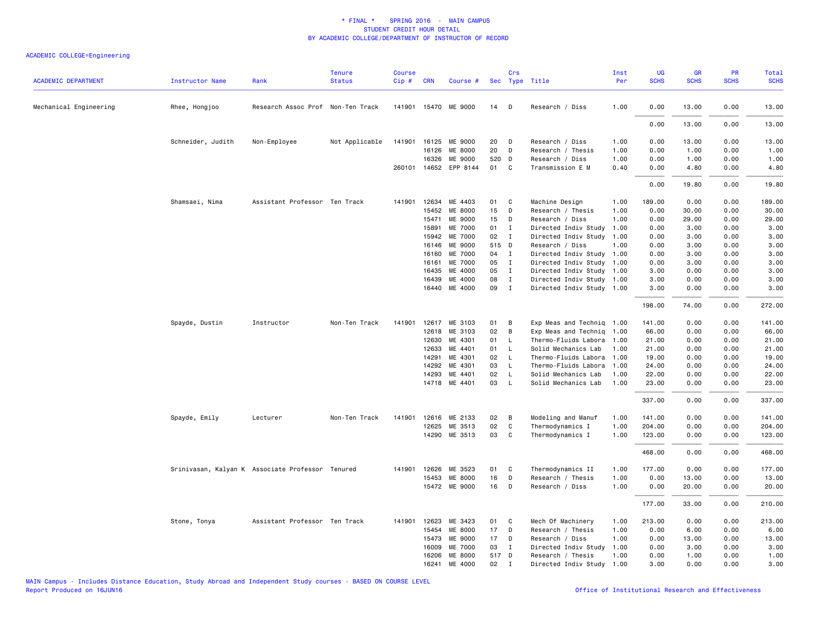| <b>ACADEMIC DEPARTMENT</b> | <b>Instructor Name</b> | Rank                                             | <b>Tenure</b><br><b>Status</b> | <b>Course</b><br>Cip# | <b>CRN</b> | Course #                        |                 | Crs          | Sec Type Title                       | Inst<br>Per  | <b>UG</b><br><b>SCHS</b> | <b>GR</b><br><b>SCHS</b> | PR<br><b>SCHS</b> | Total<br><b>SCHS</b> |
|----------------------------|------------------------|--------------------------------------------------|--------------------------------|-----------------------|------------|---------------------------------|-----------------|--------------|--------------------------------------|--------------|--------------------------|--------------------------|-------------------|----------------------|
| Mechanical Engineering     |                        | Research Assoc Prof Non-Ten Track                |                                |                       |            | 141901 15470 ME 9000            | 14              | D            | Research / Diss                      | 1.00         | 0.00                     | 13.00                    | 0.00              | 13.00                |
|                            | Rhee, Hongjoo          |                                                  |                                |                       |            |                                 |                 |              |                                      |              |                          |                          |                   |                      |
|                            |                        |                                                  |                                |                       |            |                                 |                 |              |                                      |              | 0.00                     | 13.00                    | 0.00              | 13.00                |
|                            | Schneider, Judith      | Non-Employee                                     | Not Applicable                 |                       | 16126      | 141901 16125 ME 9000<br>ME 8000 | 20<br>20        | D<br>D       | Research / Diss<br>Research / Thesis | 1.00<br>1.00 | 0.00<br>0.00             | 13.00<br>1.00            | 0.00<br>0.00      | 13.00<br>1.00        |
|                            |                        |                                                  |                                |                       | 16326      | ME 9000                         | 520 D           |              |                                      | 1.00         | 0.00                     | 1.00                     | 0.00              | 1.00                 |
|                            |                        |                                                  |                                |                       |            | 260101 14652 EPP 8144           | 01              | C            | Research / Diss<br>Transmission E M  | 0.40         | 0.00                     | 4.80                     | 0.00              | 4.80                 |
|                            |                        |                                                  |                                |                       |            |                                 |                 |              |                                      |              | 0.00                     | 19.80                    | 0.00              | 19.80                |
|                            | Shamsaei, Nima         | Assistant Professor Ten Track                    |                                | 141901                | 12634      | ME 4403                         | 01              | C            | Machine Design                       | 1.00         | 189.00                   | 0.00                     | 0.00              | 189.00               |
|                            |                        |                                                  |                                |                       | 15452      | ME 8000                         | 15              | D            | Research / Thesis                    | 1.00         | 0.00                     | 30.00                    | 0.00              | 30.00                |
|                            |                        |                                                  |                                |                       | 15471      | ME 9000                         | 15              | D            | Research / Diss                      | 1.00         | 0.00                     | 29.00                    | 0.00              | 29.00                |
|                            |                        |                                                  |                                |                       | 15891      | ME 7000                         | 01              | $\mathbf{I}$ | Directed Indiv Study                 | 1.00         | 0.00                     | 3.00                     | 0.00              | 3.00                 |
|                            |                        |                                                  |                                |                       | 15942      | ME 7000                         | 02              | $\mathbf{I}$ | Directed Indiv Study                 | 1.00         | 0.00                     | 3.00                     | 0.00              | 3.00                 |
|                            |                        |                                                  |                                |                       | 16146      | ME 9000                         | 515 D           |              | Research / Diss                      | 1.00         | 0.00                     | 3.00                     | 0.00              | 3.00                 |
|                            |                        |                                                  |                                |                       | 16160      | ME 7000                         | 04              | I            | Directed Indiv Study                 | 1.00         | 0.00                     | 3.00                     | 0.00              | 3.00                 |
|                            |                        |                                                  |                                |                       | 16161      | ME 7000                         | 05              | $\mathbf{I}$ | Directed Indiv Study                 | 1.00         | 0.00                     | 3.00                     | 0.00              | 3.00                 |
|                            |                        |                                                  |                                |                       | 16435      | ME 4000                         | 05              | $\mathbf{I}$ | Directed Indiv Study 1.00            |              | 3.00                     | 0.00                     | 0.00              | 3.00                 |
|                            |                        |                                                  |                                |                       | 16439      | ME 4000                         | 08              | $\mathbf{I}$ | Directed Indiv Study 1.00            |              | 3.00                     | 0.00                     | 0.00              | 3.00                 |
|                            |                        |                                                  |                                |                       |            | 16440 ME 4000                   | 09              | $\mathbf{I}$ | Directed Indiv Study 1.00            |              | 3.00                     | 0.00                     | 0.00              | 3.00                 |
|                            |                        |                                                  |                                |                       |            |                                 |                 |              |                                      |              | 198.00                   | 74.00                    | 0.00              | 272.00               |
|                            | Spayde, Dustin         | Instructor                                       | Non-Ten Track                  | 141901                | 12617      | ME 3103                         | 01              | B            | Exp Meas and Techniq                 | 1.00         | 141.00                   | 0.00                     | 0.00              | 141.00               |
|                            |                        |                                                  |                                |                       | 12618      | ME 3103                         | 02              | B            | Exp Meas and Techniq                 | 1.00         | 66.00                    | 0.00                     | 0.00              | 66.00                |
|                            |                        |                                                  |                                |                       | 12630      | ME 4301                         | 01              | L.           | Thermo-Fluids Labora                 | 1.00         | 21.00                    | 0.00                     | 0.00              | 21.00                |
|                            |                        |                                                  |                                |                       | 12633      | ME 4401                         | 01              | $\mathsf{L}$ | Solid Mechanics Lab                  | 1.00         | 21.00                    | 0.00                     | 0.00              | 21.00                |
|                            |                        |                                                  |                                |                       | 14291      | ME 4301                         | 02              | $\mathsf{L}$ | Thermo-Fluids Labora                 | 1.00         | 19.00                    | 0.00                     | 0.00              | 19.00                |
|                            |                        |                                                  |                                |                       | 14292      | ME 4301                         | 03              | $\mathsf{L}$ | Thermo-Fluids Labora                 | 1.00         | 24.00                    | 0.00                     | 0.00              | 24.00                |
|                            |                        |                                                  |                                |                       | 14293      | ME 4401                         | 02              | $\mathsf{L}$ | Solid Mechanics Lab                  | 1.00         | 22.00                    | 0.00                     | 0.00              | 22.00                |
|                            |                        |                                                  |                                |                       |            | 14718 ME 4401                   | 03              | $\mathsf{L}$ | Solid Mechanics Lab                  | 1.00         | 23.00                    | 0.00                     | 0.00              | 23.00                |
|                            |                        |                                                  |                                |                       |            |                                 |                 |              |                                      |              | 337.00                   | 0.00                     | 0.00              | 337.00               |
|                            | Spayde, Emily          | Lecturer                                         | Non-Ten Track                  | 141901                |            | 12616 ME 2133                   | 02 <sub>2</sub> | B            | Modeling and Manuf                   | 1.00         | 141.00                   | 0.00                     | 0.00              | 141.00               |
|                            |                        |                                                  |                                |                       | 12625      | ME 3513                         | 02              | C            | Thermodynamics I                     | 1.00         | 204.00                   | 0.00                     | 0.00              | 204.00               |
|                            |                        |                                                  |                                |                       |            | 14290 ME 3513                   | 03              | C            | Thermodynamics I                     | 1.00         | 123.00                   | 0.00                     | 0.00              | 123.00               |
|                            |                        |                                                  |                                |                       |            |                                 |                 |              |                                      |              | 468.00                   | 0.00                     | 0.00              | 468.00               |
|                            |                        | Srinivasan, Kalyan K Associate Professor Tenured |                                | 141901                | 12626      | ME 3523                         | 01              | C            | Thermodynamics II                    | 1.00         | 177.00                   | 0.00                     | 0.00              | 177.00               |
|                            |                        |                                                  |                                |                       | 15453      | ME 8000                         | 16              | D            | Research / Thesis                    | 1.00         | 0.00                     | 13.00                    | 0.00              | 13.00                |
|                            |                        |                                                  |                                |                       |            | 15472 ME 9000                   | 16              | D            | Research / Diss                      | 1.00         | 0.00                     | 20.00                    | 0.00              | 20.00                |
|                            |                        |                                                  |                                |                       |            |                                 |                 |              |                                      |              | 177.00                   | 33.00                    | 0.00              | 210.00               |
|                            | Stone, Tonya           | Assistant Professor Ten Track                    |                                | 141901                | 12623      | ME 3423                         | 01              | C            | Mech Of Machinery                    | 1.00         | 213.00                   | 0.00                     | 0.00              | 213.00               |
|                            |                        |                                                  |                                |                       | 15454      | ME 8000                         | 17              | D            | Research / Thesis                    | 1.00         | 0.00                     | 6.00                     | 0.00              | 6.00                 |
|                            |                        |                                                  |                                |                       | 15473      | ME 9000                         | 17              | D            | Research / Diss                      | 1.00         | 0.00                     | 13.00                    | 0.00              | 13.00                |
|                            |                        |                                                  |                                |                       | 16009      | ME 7000                         | 03              | Ι.           | Directed Indiv Study                 | 1.00         | 0.00                     | 3.00                     | 0.00              | 3.00                 |
|                            |                        |                                                  |                                |                       | 16206      | <b>ME 8000</b>                  | 517 D           |              | Research / Thesis                    | 1.00         | 0.00                     | 1.00                     | 0.00              | 1.00                 |
|                            |                        |                                                  |                                |                       | 16241      | ME 4000                         | 02              | $\mathbf I$  | Directed Indiv Study                 | 1.00         | 3.00                     | 0.00                     | 0.00              | 3.00                 |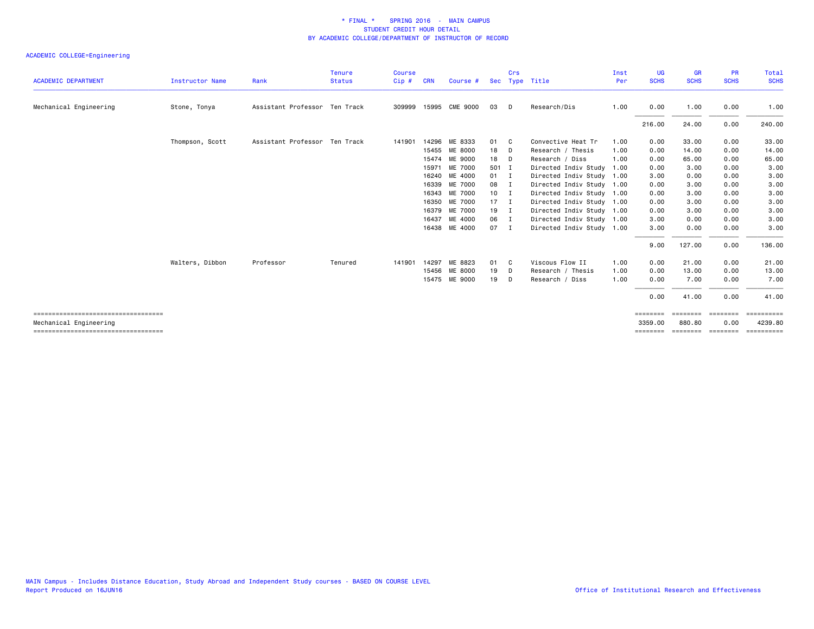|                                                                |                        |                               | <b>Tenure</b> | <b>Course</b> |            |                |               | Crs            |                           | Inst | UG                  | <b>GR</b>          | <b>PR</b>        | Total                 |
|----------------------------------------------------------------|------------------------|-------------------------------|---------------|---------------|------------|----------------|---------------|----------------|---------------------------|------|---------------------|--------------------|------------------|-----------------------|
| <b>ACADEMIC DEPARTMENT</b>                                     | <b>Instructor Name</b> | Rank                          | <b>Status</b> | Cip#          | <b>CRN</b> | Course #       | Sec           |                | Type Title                | Per  | <b>SCHS</b>         | <b>SCHS</b>        | <b>SCHS</b>      | <b>SCHS</b>           |
| Mechanical Engineering                                         | Stone, Tonya           | Assistant Professor Ten Track |               | 309999        |            | 15995 CME 9000 | 03            | D              | Research/Dis              | 1.00 | 0.00                | 1.00               | 0.00             | 1.00                  |
|                                                                |                        |                               |               |               |            |                |               |                |                           |      | 216.00              | 24.00              | 0.00             | 240.00                |
|                                                                | Thompson, Scott        | Assistant Professor Ten Track |               | 141901        |            | 14296 ME 8333  | 01            | - C            | Convective Heat Tr        | 1.00 | 0.00                | 33,00              | 0.00             | 33.00                 |
|                                                                |                        |                               |               |               | 15455      | ME 8000        | 18            | D              | Research / Thesis         | 1.00 | 0.00                | 14.00              | 0.00             | 14.00                 |
|                                                                |                        |                               |               |               |            | 15474 ME 9000  | 18            | - D            | Research / Diss           | 1.00 | 0.00                | 65.00              | 0.00             | 65.00                 |
|                                                                |                        |                               |               |               | 15971      | ME 7000        | 501 I         |                | Directed Indiv Study      | 1.00 | 0.00                | 3.00               | 0.00             | 3.00                  |
|                                                                |                        |                               |               |               | 16240      | ME 4000        | $01 \qquad I$ |                | Directed Indiv Study 1.00 |      | 3.00                | 0.00               | 0.00             | 3.00                  |
|                                                                |                        |                               |               |               |            | 16339 ME 7000  | 08 I          |                | Directed Indiv Study 1.00 |      | 0.00                | 3.00               | 0.00             | 3.00                  |
|                                                                |                        |                               |               |               |            | 16343 ME 7000  | $10$ I        |                | Directed Indiv Study 1.00 |      | 0.00                | 3.00               | 0.00             | 3.00                  |
|                                                                |                        |                               |               |               | 16350      | ME 7000        | $17 \quad I$  |                | Directed Indiv Study 1.00 |      | 0.00                | 3.00               | 0.00             | 3.00                  |
|                                                                |                        |                               |               |               |            | 16379 ME 7000  | $19$ I        |                | Directed Indiv Study 1.00 |      | 0.00                | 3.00               | 0.00             | 3.00                  |
|                                                                |                        |                               |               |               | 16437      | ME 4000        | 06            | $\blacksquare$ | Directed Indiv Study 1.00 |      | 3.00                | 0.00               | 0.00             | 3.00                  |
|                                                                |                        |                               |               |               | 16438      | ME 4000        | 07            | - I            | Directed Indiv Study 1.00 |      | 3.00                | 0.00               | 0.00             | 3.00                  |
|                                                                |                        |                               |               |               |            |                |               |                |                           |      | 9.00                | 127.00             | 0.00             | 136.00                |
|                                                                | Walters, Dibbon        | Professor                     | Tenured       | 141901        | 14297      | ME 8823        | 01            | - C            | Viscous Flow II           | 1.00 | 0.00                | 21.00              | 0.00             | 21.00                 |
|                                                                |                        |                               |               |               |            | 15456 ME 8000  | 19            | D              | Research / Thesis         | 1.00 | 0.00                | 13.00              | 0.00             | 13.00                 |
|                                                                |                        |                               |               |               |            | 15475 ME 9000  | 19            | D              | Research / Diss           | 1.00 | 0.00                | 7.00               | 0.00             | 7.00                  |
|                                                                |                        |                               |               |               |            |                |               |                |                           |      | 0.00                | 41.00              | 0.00             | 41.00                 |
| ====================================                           |                        |                               |               |               |            |                |               |                |                           |      | ========            | ========           | ========         | ==========            |
| Mechanical Engineering<br>==================================== |                        |                               |               |               |            |                |               |                |                           |      | 3359,00<br>======== | 880.80<br>======== | 0.00<br>======== | 4239.80<br>========== |
|                                                                |                        |                               |               |               |            |                |               |                |                           |      |                     |                    |                  |                       |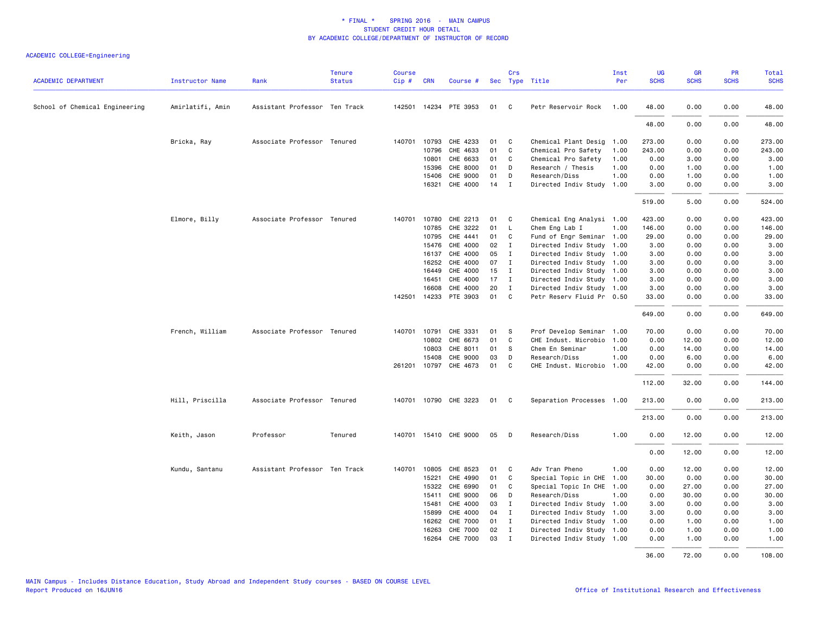| <b>ACADEMIC DEPARTMENT</b>     | <b>Instructor Name</b> | Rank                          | <b>Tenure</b><br><b>Status</b> | <b>Course</b><br>$Cip \#$ | <b>CRN</b>   | Course #              |      | Crs          | Sec Type Title            | Inst<br>Per | UG<br><b>SCHS</b> | GR<br><b>SCHS</b> | PR<br><b>SCHS</b> | Total<br><b>SCHS</b> |
|--------------------------------|------------------------|-------------------------------|--------------------------------|---------------------------|--------------|-----------------------|------|--------------|---------------------------|-------------|-------------------|-------------------|-------------------|----------------------|
| School of Chemical Engineering | Amirlatifi, Amin       | Assistant Professor Ten Track |                                |                           |              | 142501 14234 PTE 3953 | 01   | $\mathbf{C}$ | Petr Reservoir Rock       | 1.00        | 48.00             | 0.00              | 0.00              | 48.00                |
|                                |                        |                               |                                |                           |              |                       |      |              |                           |             | 48.00             | 0.00              | 0.00              | 48.00                |
|                                | Bricka, Ray            | Associate Professor Tenured   |                                |                           | 140701 10793 | CHE 4233              | 01   | C            | Chemical Plant Desig      | 1.00        | 273.00            | 0.00              | 0.00              | 273.00               |
|                                |                        |                               |                                |                           | 10796        | CHE 4633              | 01   | C            | Chemical Pro Safety       | 1.00        | 243.00            | 0.00              | 0.00              | 243.00               |
|                                |                        |                               |                                |                           | 10801        | CHE 6633              | 01   | C            | Chemical Pro Safety       | 1.00        | 0.00              | 3.00              | 0.00              | 3.00                 |
|                                |                        |                               |                                |                           | 15396        | CHE 8000              | 01   | D            | Research / Thesis         | 1.00        | 0.00              | 1.00              | 0.00              | 1.00                 |
|                                |                        |                               |                                |                           | 15406        | CHE 9000              | 01   | D            | Research/Diss             | 1.00        | 0.00              | 1.00              | 0.00              | 1.00                 |
|                                |                        |                               |                                |                           | 16321        | CHE 4000              | 14   | $\mathbf I$  | Directed Indiv Study 1.00 |             | 3.00              | 0.00              | 0.00              | 3.00                 |
|                                |                        |                               |                                |                           |              |                       |      |              |                           |             | 519.00            | 5.00              | 0.00              | 524.00               |
|                                | Elmore, Billy          | Associate Professor Tenured   |                                |                           | 140701 10780 | CHE 2213              | 01   | C            | Chemical Eng Analysi 1.00 |             | 423.00            | 0.00              | 0.00              | 423.00               |
|                                |                        |                               |                                |                           | 10785        | CHE 3222              | 01   | L            | Chem Eng Lab I            | 1.00        | 146.00            | 0.00              | 0.00              | 146.00               |
|                                |                        |                               |                                |                           | 10795        | CHE 4441              | 01   | C            | Fund of Engr Seminar 1.00 |             | 29.00             | 0.00              | 0.00              | 29.00                |
|                                |                        |                               |                                |                           | 15476        | CHE 4000              | 02   | Ι.           | Directed Indiv Study 1.00 |             | 3.00              | 0.00              | 0.00              | 3.00                 |
|                                |                        |                               |                                |                           | 16137        | CHE 4000              | 05   | $\mathbf{I}$ | Directed Indiv Study 1.00 |             | 3.00              | 0.00              | 0.00              | 3.00                 |
|                                |                        |                               |                                |                           | 16252        | CHE 4000              | 07   | $\mathbf{I}$ | Directed Indiv Study 1.00 |             | 3.00              | 0.00              | 0.00              | 3.00                 |
|                                |                        |                               |                                |                           | 16449        | CHE 4000              | 15   | $\mathbf{I}$ | Directed Indiv Study 1.00 |             | 3.00              | 0.00              | 0.00              | 3.00                 |
|                                |                        |                               |                                |                           | 16451        | CHE 4000              | 17   | $\mathbf{I}$ | Directed Indiv Study 1.00 |             | 3.00              | 0.00              | 0.00              | 3.00                 |
|                                |                        |                               |                                |                           | 16608        | CHE 4000              | 20   | $\mathbf I$  | Directed Indiv Study 1.00 |             | 3.00              | 0.00              | 0.00              | 3.00                 |
|                                |                        |                               |                                |                           |              | 142501 14233 PTE 3903 | 01   | $\mathbf{C}$ | Petr Reserv Fluid Pr 0.50 |             | 33.00             | 0.00              | 0.00              | 33.00                |
|                                |                        |                               |                                |                           |              |                       |      |              |                           |             | 649.00            | 0.00              | 0.00              | 649.00               |
|                                | French, William        | Associate Professor Tenured   |                                | 140701                    | 10791        | CHE 3331              | 01   | - S          | Prof Develop Seminar      | 1.00        | 70.00             | 0.00              | 0.00              | 70.00                |
|                                |                        |                               |                                |                           | 10802        | CHE 6673              | 01   | C            | CHE Indust. Microbio      | 1.00        | 0.00              | 12.00             | 0.00              | 12.00                |
|                                |                        |                               |                                |                           | 10803        | CHE 8011              | 01   | -S           | Chem En Seminar           | 1.00        | 0.00              | 14.00             | 0.00              | 14.00                |
|                                |                        |                               |                                |                           | 15408        | CHE 9000              | 03   | D            | Research/Diss             | 1.00        | 0.00              | 6.00              | 0.00              | 6.00                 |
|                                |                        |                               |                                |                           | 261201 10797 | CHE 4673              | 01   | C            | CHE Indust. Microbio 1.00 |             | 42.00             | 0.00              | 0.00              | 42.00                |
|                                |                        |                               |                                |                           |              |                       |      |              |                           |             | 112.00            | 32.00             | 0.00              | 144.00               |
|                                | Hill, Priscilla        | Associate Professor Tenured   |                                |                           |              | 140701 10790 CHE 3223 | 01 C |              | Separation Processes 1.00 |             | 213.00            | 0.00              | 0.00              | 213.00               |
|                                |                        |                               |                                |                           |              |                       |      |              |                           |             | 213.00            | 0.00              | 0.00              | 213.00               |
|                                | Keith, Jason           | Professor                     | Tenured                        |                           |              | 140701 15410 CHE 9000 | 05   | D            | Research/Diss             | 1.00        | 0.00              | 12.00             | 0.00              | 12.00                |
|                                |                        |                               |                                |                           |              |                       |      |              |                           |             | 0.00              | 12.00             | 0.00              | 12.00                |
|                                | Kundu, Santanu         | Assistant Professor Ten Track |                                |                           | 140701 10805 | CHE 8523              | 01   | C.           | Adv Tran Pheno            | 1.00        | 0.00              | 12.00             | 0.00              | 12.00                |
|                                |                        |                               |                                |                           | 15221        | CHE 4990              | 01   | C            | Special Topic in CHE      | 1.00        | 30.00             | 0.00              | 0.00              | 30.00                |
|                                |                        |                               |                                |                           | 15322        | CHE 6990              | 01   | C            | Special Topic In CHE 1.00 |             | 0.00              | 27.00             | 0.00              | 27.00                |
|                                |                        |                               |                                |                           | 15411        | CHE 9000              | 06   | D            | Research/Diss             | 1.00        | 0.00              | 30.00             | 0.00              | 30.00                |
|                                |                        |                               |                                |                           | 15481        | CHE 4000              | 03   | $\mathbf I$  | Directed Indiv Study 1.00 |             | 3.00              | 0.00              | 0.00              | 3.00                 |
|                                |                        |                               |                                |                           | 15899        | CHE 4000              | 04   | I            | Directed Indiv Study 1.00 |             | 3.00              | 0.00              | 0.00              | 3.00                 |
|                                |                        |                               |                                |                           | 16262        | CHE 7000              | 01   | $\mathbf{I}$ | Directed Indiv Study 1.00 |             | 0.00              | 1.00              | 0.00              | 1.00                 |
|                                |                        |                               |                                |                           | 16263        | <b>CHE 7000</b>       | 02   | $\mathbf I$  | Directed Indiv Study 1.00 |             | 0.00              | 1.00              | 0.00              | 1.00                 |
|                                |                        |                               |                                |                           | 16264        | <b>CHE 7000</b>       | 03   | Ι.           | Directed Indiv Study 1.00 |             | 0.00              | 1.00              | 0.00              | 1.00                 |
|                                |                        |                               |                                |                           |              |                       |      |              |                           |             | 36.00             | 72.00             | 0.00              | 108.00               |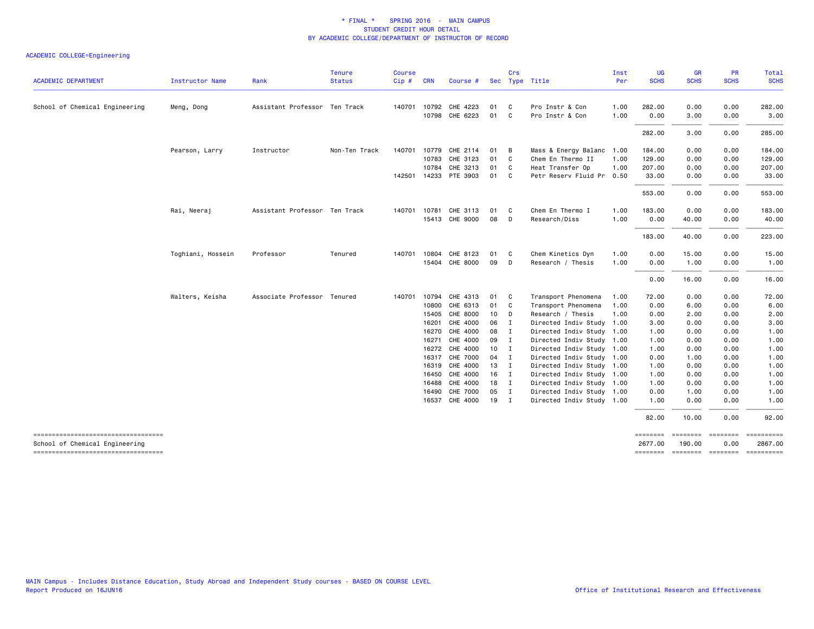|                                                                       |                   |                               | <b>Tenure</b> | <b>Course</b> |            |                            |                 | <b>Crs</b>   |                                                        | Inst | UG           | <b>GR</b>                           | <b>PR</b>       | Total        |
|-----------------------------------------------------------------------|-------------------|-------------------------------|---------------|---------------|------------|----------------------------|-----------------|--------------|--------------------------------------------------------|------|--------------|-------------------------------------|-----------------|--------------|
| <b>ACADEMIC DEPARTMENT</b>                                            | Instructor Name   | Rank                          | <b>Status</b> | Cip#          | <b>CRN</b> | Course #                   |                 |              | Sec Type Title                                         | Per  | <b>SCHS</b>  | <b>SCHS</b>                         | <b>SCHS</b>     | <b>SCHS</b>  |
| School of Chemical Engineering                                        | Meng, Dong        | Assistant Professor Ten Track |               | 140701        |            | 10792 CHE 4223             | 01              | C            | Pro Instr & Con                                        | 1.00 | 282.00       | 0.00                                | 0.00            | 282.00       |
|                                                                       |                   |                               |               |               |            | 10798 CHE 6223             | 01              | C.           | Pro Instr & Con                                        | 1.00 | 0.00         | 3.00                                | 0.00            | 3.00         |
|                                                                       |                   |                               |               |               |            |                            |                 |              |                                                        |      | 282.00       | 3.00                                | 0.00            | 285.00       |
|                                                                       | Pearson, Larry    | Instructor                    | Non-Ten Track |               |            | 140701 10779 CHE 2114      | 01              | В            | Mass & Energy Balanc 1.00                              |      | 184.00       | 0.00                                | 0.00            | 184.00       |
|                                                                       |                   |                               |               |               |            | 10783 CHE 3123             | 01              | C            | Chem En Thermo II                                      | 1.00 | 129.00       | 0.00                                | 0.00            | 129.00       |
|                                                                       |                   |                               |               |               |            | 10784 CHE 3213             | 01              | C            | Heat Transfer Op                                       | 1.00 | 207.00       | 0.00                                | 0.00            | 207.00       |
|                                                                       |                   |                               |               |               |            | 142501 14233 PTE 3903      | 01              | C.           | Petr Reserv Fluid Pr 0.50                              |      | 33.00        | 0.00                                | 0.00            | 33.00        |
|                                                                       |                   |                               |               |               |            |                            |                 |              |                                                        |      | 553.00       | 0.00                                | 0.00            | 553.00       |
|                                                                       | Rai, Neeraj       | Assistant Professor Ten Track |               | 140701        |            | 10781 CHE 3113             | 01              | C            | Chem En Thermo I                                       | 1.00 | 183.00       | 0.00                                | 0.00            | 183.00       |
|                                                                       |                   |                               |               |               |            | 15413 CHE 9000             | 08              | D            | Research/Diss                                          | 1.00 | 0.00         | 40.00                               | 0.00            | 40.00        |
|                                                                       |                   |                               |               |               |            |                            |                 |              |                                                        |      | 183.00       | 40.00                               | 0.00            | 223.00       |
|                                                                       | Toghiani, Hossein | Professor                     | Tenured       | 140701        | 10804      | CHE 8123                   | 01              | C.           | Chem Kinetics Dyn                                      | 1.00 | 0.00         | 15.00                               | 0.00            | 15.00        |
|                                                                       |                   |                               |               |               |            | 15404 CHE 8000             | 09              | D            | Research / Thesis                                      | 1.00 | 0.00         | 1.00                                | 0.00            | 1.00         |
|                                                                       |                   |                               |               |               |            |                            |                 |              |                                                        |      | 0.00         | 16.00                               | 0.00            | 16.00        |
|                                                                       | Walters, Keisha   | Associate Professor Tenured   |               | 140701        | 10794      | CHE 4313                   | 01              | C            | Transport Phenomena                                    | 1.00 | 72.00        | 0.00                                | 0.00            | 72.00        |
|                                                                       |                   |                               |               |               | 10800      | CHE 6313                   | 01              | C.           | Transport Phenomena                                    | 1.00 | 0.00         | 6.00                                | 0.00            | 6.00         |
|                                                                       |                   |                               |               |               |            | 15405 CHE 8000             | 10 <sub>1</sub> | D            | Research / Thesis                                      | 1.00 | 0.00         | 2.00                                | 0.00            | 2.00         |
|                                                                       |                   |                               |               |               | 16201      | CHE 4000                   | 06              | I            | Directed Indiv Study 1.00                              |      | 3.00         | 0.00                                | 0.00            | 3.00         |
|                                                                       |                   |                               |               |               |            | 16270 CHE 4000             | 08              | $\mathbf{I}$ | Directed Indiv Study 1.00                              |      | 1.00         | 0.00                                | 0.00            | 1.00         |
|                                                                       |                   |                               |               |               | 16271      | CHE 4000                   | 09 I            |              | Directed Indiv Study 1.00                              |      | 1.00         | 0.00                                | 0.00            | 1.00         |
|                                                                       |                   |                               |               |               |            | 16272 CHE 4000             | 10              | $\mathbf{I}$ | Directed Indiv Study 1.00                              |      | 1.00         | 0.00                                | 0.00            | 1.00         |
|                                                                       |                   |                               |               |               | 16317      | CHE 7000<br>16319 CHE 4000 | 04<br>$13$ I    | $\mathbf{I}$ | Directed Indiv Study 1.00<br>Directed Indiv Study 1.00 |      | 0.00         | 1.00<br>0.00                        | 0.00<br>0.00    | 1.00<br>1.00 |
|                                                                       |                   |                               |               |               |            | 16450 CHE 4000             | 16              | $\mathbf{I}$ | Directed Indiv Study 1.00                              |      | 1.00<br>1.00 | 0.00                                | 0.00            | 1.00         |
|                                                                       |                   |                               |               |               | 16488      | CHE 4000                   | 18              | $\mathbf{I}$ | Directed Indiv Study 1.00                              |      | 1.00         | 0.00                                | 0.00            | 1.00         |
|                                                                       |                   |                               |               |               |            | 16490 CHE 7000             | 05 I            |              | Directed Indiv Study 1.00                              |      | 0.00         | 1.00                                | 0.00            | 1.00         |
|                                                                       |                   |                               |               |               |            | 16537 CHE 4000             | 19 I            |              | Directed Indiv Study 1.00                              |      | 1.00         | 0.00                                | 0.00            | 1.00         |
|                                                                       |                   |                               |               |               |            |                            |                 |              |                                                        |      | 82.00        | 10.00                               | 0.00            | 92.00        |
| ----------------------------------                                    |                   |                               |               |               |            |                            |                 |              |                                                        |      | ========     | ========                            | <b>Eccesses</b> | ==========   |
| School of Chemical Engineering<br>----------------------------------- |                   |                               |               |               |            |                            |                 |              |                                                        |      | 2677.00      | 190,00<br>-------- -------- ------- | 0.00            | 2867.00      |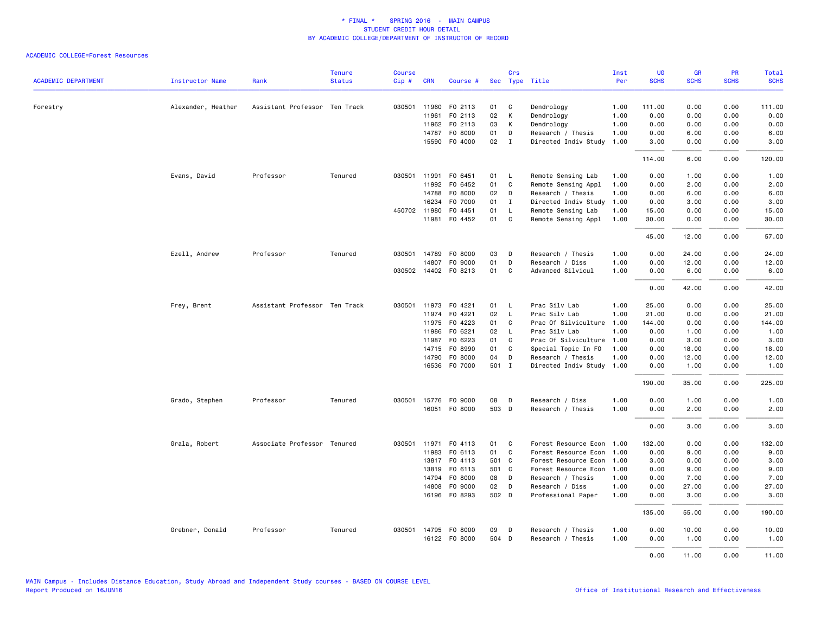|                            |                        |                               | <b>Tenure</b> | <b>Course</b> |              |                      |       | Crs          |                      | Inst | <b>UG</b>   | <b>GR</b>   | PR          | <b>Total</b> |
|----------------------------|------------------------|-------------------------------|---------------|---------------|--------------|----------------------|-------|--------------|----------------------|------|-------------|-------------|-------------|--------------|
| <b>ACADEMIC DEPARTMENT</b> | <b>Instructor Name</b> | Rank                          | <b>Status</b> | Cip#          | <b>CRN</b>   | Course #             |       |              | Sec Type Title       | Per  | <b>SCHS</b> | <b>SCHS</b> | <b>SCHS</b> | <b>SCHS</b>  |
| Forestry                   | Alexander, Heather     | Assistant Professor Ten Track |               | 030501        | 11960        | F0 2113              | 01    | C            | Dendrology           | 1.00 | 111.00      | 0.00        | 0.00        | 111.00       |
|                            |                        |                               |               |               | 11961        | F0 2113              | 02    | К            | Dendrology           | 1.00 | 0.00        | 0.00        | 0.00        | 0.00         |
|                            |                        |                               |               |               | 11962        | F0 2113              | 03    | К            | Dendrology           | 1.00 | 0.00        | 0.00        | 0.00        | 0.00         |
|                            |                        |                               |               |               | 14787        | F0 8000              | 01    | D            | Research / Thesis    | 1.00 | 0.00        | 6.00        | 0.00        | 6.00         |
|                            |                        |                               |               |               |              | 15590 F0 4000        | 02    | $\mathbf{I}$ | Directed Indiv Study | 1.00 | 3.00        | 0.00        | 0.00        | 3.00         |
|                            |                        |                               |               |               |              |                      |       |              |                      |      | 114.00      | 6.00        | 0.00        | 120.00       |
|                            | Evans, David           | Professor                     | Tenured       | 030501        | 11991        | F0 6451              | 01    | $\mathsf{L}$ | Remote Sensing Lab   | 1.00 | 0.00        | 1.00        | 0.00        | 1.00         |
|                            |                        |                               |               |               | 11992        | F0 6452              | 01    | C            | Remote Sensing Appl  | 1.00 | 0.00        | 2.00        | 0.00        | 2.00         |
|                            |                        |                               |               |               | 14788        | F0 8000              | 02    | D            | Research / Thesis    | 1.00 | 0.00        | 6.00        | 0.00        | 6.00         |
|                            |                        |                               |               |               | 16234        | F0 7000              | 01    | $\mathbf{I}$ | Directed Indiv Study | 1.00 | 0.00        | 3.00        | 0.00        | 3.00         |
|                            |                        |                               |               |               | 450702 11980 | F0 4451              | 01    | $\mathsf{L}$ | Remote Sensing Lab   | 1.00 | 15.00       | 0.00        | 0.00        | 15.00        |
|                            |                        |                               |               |               |              | 11981 F0 4452        | 01    | C            | Remote Sensing Appl  | 1.00 | 30.00       | 0.00        | 0.00        | 30.00        |
|                            |                        |                               |               |               |              |                      |       |              |                      |      | 45.00       | 12.00       | 0.00        | 57.00        |
|                            | Ezell, Andrew          | Professor                     | Tenured       |               | 030501 14789 | F0 8000              | 03    | D            | Research / Thesis    | 1.00 | 0.00        | 24.00       | 0.00        | 24.00        |
|                            |                        |                               |               |               | 14807        | F0 9000              | 01    | D            | Research / Diss      | 1.00 | 0.00        | 12.00       | 0.00        | 12.00        |
|                            |                        |                               |               |               |              | 030502 14402 FO 8213 | 01    | C            | Advanced Silvicul    | 1.00 | 0.00        | 6.00        | 0.00        | 6.00         |
|                            |                        |                               |               |               |              |                      |       |              |                      |      | 0.00        | 42.00       | 0.00        | 42.00        |
|                            | Frey, Brent            | Assistant Professor Ten Track |               |               | 030501 11973 | F0 4221              | 01    | $\mathsf{L}$ | Prac Silv Lab        | 1.00 | 25.00       | 0.00        | 0.00        | 25.00        |
|                            |                        |                               |               |               | 11974        | F0 4221              | 02    | $\mathsf{L}$ | Prac Silv Lab        | 1.00 | 21.00       | 0.00        | 0.00        | 21.00        |
|                            |                        |                               |               |               | 11975        | F0 4223              | 01    | C            | Prac Of Silviculture | 1.00 | 144.00      | 0.00        | 0.00        | 144.00       |
|                            |                        |                               |               |               | 11986        | F0 6221              | 02    | $\mathsf{L}$ | Prac Silv Lab        | 1.00 | 0.00        | 1.00        | 0.00        | 1.00         |
|                            |                        |                               |               |               | 11987        | FO 6223              | 01    | $\mathsf{C}$ | Prac Of Silviculture | 1.00 | 0.00        | 3.00        | 0.00        | 3.00         |
|                            |                        |                               |               |               |              | 14715 FO 8990        | 01    | C            | Special Topic In FO  | 1.00 | 0.00        | 18.00       | 0.00        | 18.00        |
|                            |                        |                               |               |               | 14790        | F0 8000              | 04    | D            | Research / Thesis    | 1.00 | 0.00        | 12.00       | 0.00        | 12.00        |
|                            |                        |                               |               |               |              | 16536 F0 7000        | 501 I |              | Directed Indiv Study | 1.00 | 0.00        | 1.00        | 0.00        | 1.00         |
|                            |                        |                               |               |               |              |                      |       |              |                      |      | 190.00      | 35.00       | 0.00        | 225.00       |
|                            | Grado, Stephen         | Professor                     | Tenured       | 030501        | 15776        | F0 9000              | 08    | D            | Research / Diss      | 1.00 | 0.00        | 1.00        | 0.00        | 1.00         |
|                            |                        |                               |               |               |              | 16051 FO 8000        | 503 D |              | Research / Thesis    | 1.00 | 0.00        | 2.00        | 0.00        | 2.00         |
|                            |                        |                               |               |               |              |                      |       |              |                      |      | 0.00        | 3.00        | 0.00        | 3.00         |
|                            | Grala, Robert          | Associate Professor Tenured   |               |               |              | 030501 11971 F0 4113 | 01    | C            | Forest Resource Econ | 1.00 | 132.00      | 0.00        | 0.00        | 132.00       |
|                            |                        |                               |               |               | 11983        | F0 6113              | 01    | $\mathsf{C}$ | Forest Resource Econ | 1.00 | 0.00        | 9.00        | 0.00        | 9.00         |
|                            |                        |                               |               |               |              | 13817 FO 4113        | 501 C |              | Forest Resource Econ | 1.00 | 3.00        | 0.00        | 0.00        | 3.00         |
|                            |                        |                               |               |               | 13819        | FO 6113              | 501 C |              | Forest Resource Econ | 1.00 | 0.00        | 9.00        | 0.00        | 9.00         |
|                            |                        |                               |               |               | 14794        | F0 8000              | 08    | D            | Research / Thesis    | 1.00 | 0.00        | 7.00        | 0.00        | 7.00         |
|                            |                        |                               |               |               | 14808        | F0 9000              | 02    | D            | Research / Diss      | 1.00 | 0.00        | 27.00       | 0.00        | 27.00        |
|                            |                        |                               |               |               |              | 16196 F0 8293        | 502 D |              | Professional Paper   | 1.00 | 0.00        | 3.00        | 0.00        | 3.00         |
|                            |                        |                               |               |               |              |                      |       |              |                      |      | 135.00      | 55.00       | 0.00        | 190.00       |
|                            | Grebner, Donald        | Professor                     | Tenured       |               |              | 030501 14795 F0 8000 | 09    | D            | Research / Thesis    | 1.00 | 0.00        | 10.00       | 0.00        | 10.00        |
|                            |                        |                               |               |               |              | 16122 FO 8000        | 504 D |              | Research / Thesis    | 1.00 | 0.00        | 1.00        | 0.00        | 1.00         |
|                            |                        |                               |               |               |              |                      |       |              |                      |      | 0.00        | 11.00       | 0.00        | 11.00        |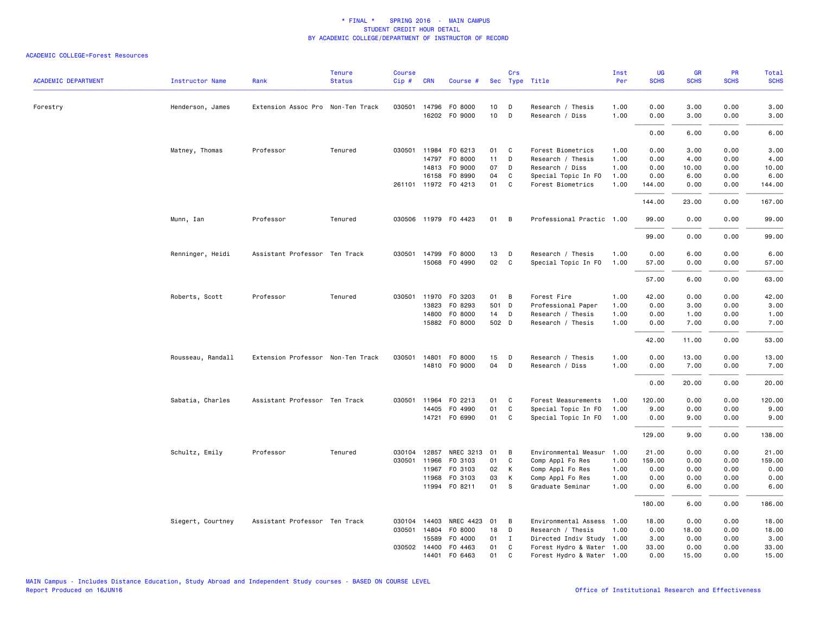| <b>ACADEMIC DEPARTMENT</b> | <b>Instructor Name</b> | Rank                              | <b>Tenure</b><br><b>Status</b> | <b>Course</b><br>$Cip \#$ | <b>CRN</b>   | Course #                              |          | Crs    | Sec Type Title                                         | Inst<br>Per | UG<br><b>SCHS</b> | <b>GR</b><br><b>SCHS</b> | <b>PR</b><br><b>SCHS</b> | <b>Total</b><br><b>SCHS</b> |
|----------------------------|------------------------|-----------------------------------|--------------------------------|---------------------------|--------------|---------------------------------------|----------|--------|--------------------------------------------------------|-------------|-------------------|--------------------------|--------------------------|-----------------------------|
|                            |                        |                                   |                                |                           |              |                                       |          |        |                                                        |             |                   |                          |                          |                             |
| Forestry                   | Henderson, James       | Extension Assoc Pro Non-Ten Track |                                |                           |              | 030501 14796 F0 8000                  | 10       | D      | Research / Thesis                                      | 1.00        | 0.00              | 3.00                     | 0.00                     | 3.00                        |
|                            |                        |                                   |                                |                           |              | 16202 F0 9000                         | 10       | D      | Research / Diss                                        | 1.00        | 0.00              | 3.00                     | 0.00                     | 3.00                        |
|                            |                        |                                   |                                |                           |              |                                       |          |        |                                                        |             | 0.00              | 6.00                     | 0.00                     | 6.00                        |
|                            | Matney, Thomas         | Professor                         | Tenured                        | 030501                    | 11984        | F0 6213                               | 01       | C      | Forest Biometrics                                      | 1.00        | 0.00              | 3.00                     | 0.00                     | 3.00                        |
|                            |                        |                                   |                                |                           |              | 14797 F0 8000                         | 11       | D      | Research / Thesis                                      | 1.00        | 0.00              | 4.00                     | 0.00                     | 4.00                        |
|                            |                        |                                   |                                |                           |              | 14813 FO 9000                         | 07       | D      | Research / Diss                                        | 1.00        | 0.00              | 10.00                    | 0.00                     | 10.00                       |
|                            |                        |                                   |                                |                           | 16158        | F0 8990                               | 04       | C      | Special Topic In FO                                    | 1.00        | 0.00              | 6.00                     | 0.00                     | 6.00                        |
|                            |                        |                                   |                                |                           |              | 261101 11972 F0 4213                  | 01       | C      | Forest Biometrics                                      | 1.00        | 144.00            | 0.00                     | 0.00                     | 144.00                      |
|                            |                        |                                   |                                |                           |              |                                       |          |        |                                                        |             | 144.00            | 23.00                    | 0.00                     | 167.00                      |
|                            | Munn, Ian              | Professor                         | Tenured                        |                           |              | 030506 11979 F0 4423                  | 01       | B      | Professional Practic 1.00                              |             | 99.00             | 0.00                     | 0.00                     | 99.00                       |
|                            |                        |                                   |                                |                           |              |                                       |          |        |                                                        |             | 99.00             | 0.00                     | 0.00                     | 99.00                       |
|                            | Renninger, Heidi       | Assistant Professor Ten Track     |                                | 030501                    |              | 14799 F0 8000                         | 13       | D      | Research / Thesis                                      | 1.00        | 0.00              | 6.00                     | 0.00                     | 6.00                        |
|                            |                        |                                   |                                |                           |              | 15068 F0 4990                         | 02       | C      | Special Topic In FO                                    | 1.00        | 57.00             | 0.00                     | 0.00                     | 57.00                       |
|                            |                        |                                   |                                |                           |              |                                       |          |        |                                                        |             | 57.00             | 6.00                     | 0.00                     | 63.00                       |
|                            | Roberts, Scott         | Professor                         | Tenured                        |                           |              | 030501 11970 F0 3203                  | 01       | B      | Forest Fire                                            | 1.00        | 42.00             | 0.00                     | 0.00                     | 42.00                       |
|                            |                        |                                   |                                |                           | 13823        | F0 8293                               | 501 D    |        | Professional Paper                                     | 1.00        | 0.00              | 3.00                     | 0.00                     | 3.00                        |
|                            |                        |                                   |                                |                           | 14800        | F0 8000                               | 14       | D      | Research / Thesis                                      | 1.00        | 0.00              | 1.00                     | 0.00                     | 1.00                        |
|                            |                        |                                   |                                |                           |              | 15882 F0 8000                         | 502 D    |        | Research / Thesis                                      | 1.00        | 0.00              | 7.00                     | 0.00                     | 7.00                        |
|                            |                        |                                   |                                |                           |              |                                       |          |        |                                                        |             | 42.00             | 11.00                    | 0.00                     | 53.00                       |
|                            | Rousseau, Randall      | Extension Professor Non-Ten Track |                                | 030501                    |              | 14801 F0 8000                         | 15       | D      | Research / Thesis                                      | 1.00        | 0.00              | 13.00                    | 0.00                     | 13.00                       |
|                            |                        |                                   |                                |                           |              | 14810 FO 9000                         | 04       | D      | Research / Diss                                        | 1.00        | 0.00              | 7.00                     | 0.00                     | 7.00                        |
|                            |                        |                                   |                                |                           |              |                                       |          |        |                                                        |             | 0.00              | 20.00                    | 0.00                     | 20.00                       |
|                            | Sabatia, Charles       | Assistant Professor Ten Track     |                                | 030501                    | 11964        | F0 2213                               | 01       | C      | Forest Measurements                                    | 1.00        | 120.00            | 0.00                     | 0.00                     | 120.00                      |
|                            |                        |                                   |                                |                           |              | 14405 FO 4990                         | 01       | C      | Special Topic In FO                                    | 1.00        | 9.00              | 0.00                     | 0.00                     | 9.00                        |
|                            |                        |                                   |                                |                           |              | 14721 F0 6990                         | 01       | C      | Special Topic In FO                                    | 1.00        | 0.00              | 9.00                     | 0.00                     | 9.00                        |
|                            |                        |                                   |                                |                           |              |                                       |          |        |                                                        |             | 129.00            | 9.00                     | 0.00                     | 138.00                      |
|                            | Schultz, Emily         | Professor                         | Tenured                        | 030104                    | 12857        | NREC 3213 01                          |          | В      | Environmental Measur                                   | 1.00        | 21.00             | 0.00                     | 0.00                     | 21.00                       |
|                            |                        |                                   |                                | 030501                    | 11966        | F0 3103                               | 01       | C      | Comp Appl Fo Res                                       | 1.00        | 159.00            | 0.00                     | 0.00                     | 159.00                      |
|                            |                        |                                   |                                |                           | 11967        | F0 3103                               | 02       | K      | Comp Appl Fo Res                                       | 1.00        | 0.00              | 0.00                     | 0.00                     | 0.00                        |
|                            |                        |                                   |                                |                           |              | 11968 FO 3103                         | 03       | К      | Comp Appl Fo Res                                       | 1.00        | 0.00              | 0.00                     | 0.00                     | 0.00                        |
|                            |                        |                                   |                                |                           |              | 11994 FO 8211                         | 01       | S      | Graduate Seminar                                       | 1.00        | 0.00              | 6.00                     | 0.00                     | 6.00                        |
|                            |                        |                                   |                                |                           |              |                                       |          |        |                                                        |             | 180.00            | 6.00                     | 0.00                     | 186.00                      |
|                            | Siegert, Courtney      | Assistant Professor Ten Track     |                                |                           | 030104 14403 | NREC 4423                             | 01       | В      | Environmental Assess 1.00                              |             | 18.00             | 0.00                     | 0.00                     | 18.00                       |
|                            |                        |                                   |                                |                           | 030501 14804 | F0 8000                               | 18       | D      | Research / Thesis                                      | 1.00        | 0.00              | 18.00                    | 0.00                     | 18.00                       |
|                            |                        |                                   |                                |                           | 15589        | F0 4000                               | 01       | I      | Directed Indiv Study 1.00                              |             | 3.00              | 0.00                     | 0.00                     | 3.00                        |
|                            |                        |                                   |                                |                           |              | 030502 14400 F0 4463<br>14401 FO 6463 | 01<br>01 | C<br>C | Forest Hydro & Water 1.00<br>Forest Hydro & Water 1.00 |             | 33.00<br>0.00     | 0.00<br>15.00            | 0.00<br>0.00             | 33.00<br>15.00              |
|                            |                        |                                   |                                |                           |              |                                       |          |        |                                                        |             |                   |                          |                          |                             |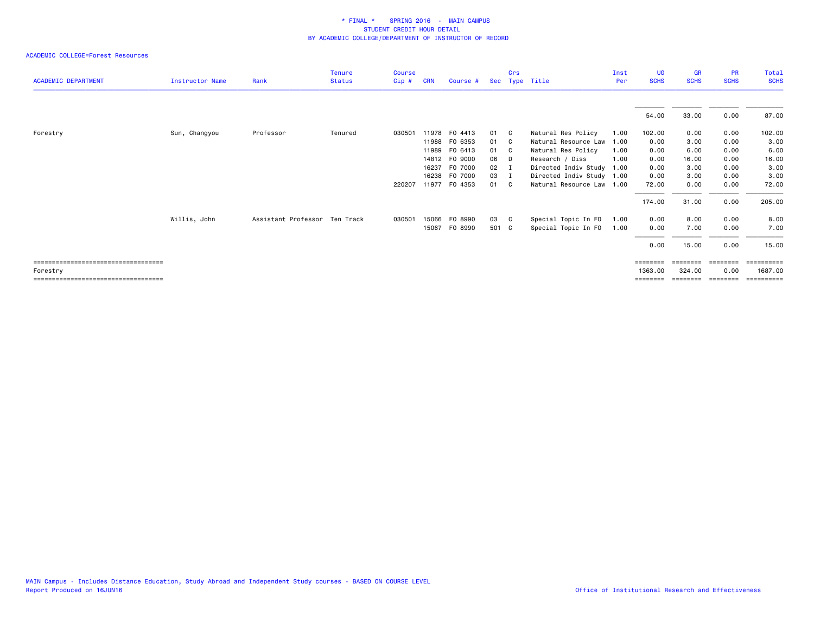| <b>ACADEMIC DEPARTMENT</b>            | <b>Instructor Name</b> | Rank                          | <b>Tenure</b><br><b>Status</b> | <b>Course</b><br>Cip# | <b>CRN</b> | Course #      |       | Crs | Sec Type Title            | Inst<br>Per | UG<br><b>SCHS</b> | <b>GR</b><br><b>SCHS</b> | <b>PR</b><br><b>SCHS</b> | Total<br><b>SCHS</b> |
|---------------------------------------|------------------------|-------------------------------|--------------------------------|-----------------------|------------|---------------|-------|-----|---------------------------|-------------|-------------------|--------------------------|--------------------------|----------------------|
|                                       |                        |                               |                                |                       |            |               |       |     |                           |             |                   |                          |                          |                      |
|                                       |                        |                               |                                |                       |            |               |       |     |                           |             | 54.00             | 33.00                    | 0.00                     | 87.00                |
| Forestry                              | Sun, Changyou          | Professor                     | Tenured                        | 030501                |            | 11978 FO 4413 | 01 C  |     | Natural Res Policy        | 1.00        | 102.00            | 0.00                     | 0.00                     | 102.00               |
|                                       |                        |                               |                                |                       |            | 11988 FO 6353 | 01 C  |     | Natural Resource Law      | 1.00        | 0.00              | 3.00                     | 0.00                     | 3.00                 |
|                                       |                        |                               |                                |                       |            | 11989 FO 6413 | 01 C  |     | Natural Res Policy        | 1.00        | 0.00              | 6.00                     | 0.00                     | 6.00                 |
|                                       |                        |                               |                                |                       |            | 14812 FO 9000 | 06    | - D | Research / Diss           | 1.00        | 0.00              | 16.00                    | 0.00                     | 16.00                |
|                                       |                        |                               |                                |                       | 16237      | F0 7000       | 02 I  |     | Directed Indiv Study      | 1.00        | 0.00              | 3.00                     | 0.00                     | 3.00                 |
|                                       |                        |                               |                                |                       |            | 16238 F0 7000 | 03 I  |     | Directed Indiv Study 1.00 |             | 0.00              | 3.00                     | 0.00                     | 3.00                 |
|                                       |                        |                               |                                | 220207                |            | 11977 F0 4353 | 01 C  |     | Natural Resource Law 1.00 |             | 72.00             | 0.00                     | 0.00                     | 72.00                |
|                                       |                        |                               |                                |                       |            |               |       |     |                           |             | 174.00            | 31.00                    | 0.00                     | 205.00               |
|                                       | Willis, John           | Assistant Professor Ten Track |                                | 030501                | 15066      | F0 8990       | 03 C  |     | Special Topic In FO       | 1.00        | 0.00              | 8.00                     | 0.00                     | 8.00                 |
|                                       |                        |                               |                                |                       |            | 15067 FO 8990 | 501 C |     | Special Topic In FO       | 1.00        | 0.00              | 7.00                     | 0.00                     | 7.00                 |
|                                       |                        |                               |                                |                       |            |               |       |     |                           |             | 0.00              | 15.00                    | 0.00                     | 15.00                |
| ===================================== |                        |                               |                                |                       |            |               |       |     |                           |             | ========          |                          | eeeeeee                  | ==========           |
| Forestry                              |                        |                               |                                |                       |            |               |       |     |                           |             | 1363,00           | 324,00                   | 0.00                     | 1687.00              |
| ====================================  |                        |                               |                                |                       |            |               |       |     |                           |             |                   |                          | eeeeeee                  | ==========           |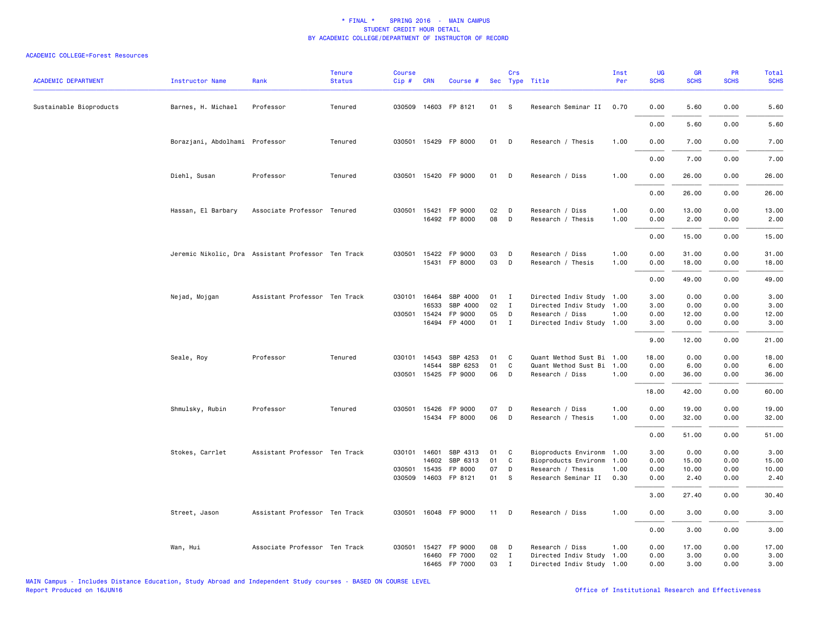| <b>ACADEMIC DEPARTMENT</b> | <b>Instructor Name</b>         | Rank                                               | <b>Tenure</b><br><b>Status</b> | Course<br>Cip# | <b>CRN</b> | Course #              |      | Crs          | Sec Type Title            | Inst<br>Per | UG<br><b>SCHS</b> | GR<br><b>SCHS</b> | PR<br><b>SCHS</b> | <b>Total</b><br><b>SCHS</b> |
|----------------------------|--------------------------------|----------------------------------------------------|--------------------------------|----------------|------------|-----------------------|------|--------------|---------------------------|-------------|-------------------|-------------------|-------------------|-----------------------------|
| Sustainable Bioproducts    | Barnes, H. Michael             | Professor                                          | Tenured                        |                |            | 030509 14603 FP 8121  | 01   | -S           | Research Seminar II       | 0.70        | 0.00              | 5.60              | 0.00              | 5.60                        |
|                            |                                |                                                    |                                |                |            |                       |      |              |                           |             | 0.00              | 5.60              | 0.00              | 5.60                        |
|                            | Borazjani, Abdolhami Professor |                                                    | Tenured                        |                |            | 030501 15429 FP 8000  | 01   | D            | Research / Thesis         | 1.00        | 0.00              | 7.00              | 0.00              | 7.00                        |
|                            |                                |                                                    |                                |                |            |                       |      |              |                           |             | 0.00              | 7.00              | 0.00              | 7.00                        |
|                            | Diehl, Susan                   | Professor                                          | Tenured                        |                |            | 030501 15420 FP 9000  | 01   | D            | Research / Diss           | 1.00        | 0.00              | 26.00             | 0.00              | 26.00                       |
|                            |                                |                                                    |                                |                |            |                       |      |              |                           |             | 0.00              | 26.00             | 0.00              | 26.00                       |
|                            | Hassan, El Barbary             | Associate Professor Tenured                        |                                |                |            | 030501 15421 FP 9000  | 02   | D            | Research / Diss           | 1.00        | 0.00              | 13.00             | 0.00              | 13.00                       |
|                            |                                |                                                    |                                |                |            | 16492 FP 8000         | 08   | D            | Research / Thesis         | 1.00        | 0.00              | 2.00              | 0.00              | 2.00                        |
|                            |                                |                                                    |                                |                |            |                       |      |              |                           |             | 0.00              | 15.00             | 0.00              | 15.00                       |
|                            |                                | Jeremic Nikolic, Dra Assistant Professor Ten Track |                                |                |            | 030501 15422 FP 9000  | 03   | D            | Research / Diss           | 1.00        | 0.00              | 31.00             | 0.00              | 31.00                       |
|                            |                                |                                                    |                                |                |            | 15431 FP 8000         | 03   | D            | Research / Thesis         | 1.00        | 0.00              | 18.00             | 0.00              | 18.00                       |
|                            |                                |                                                    |                                |                |            |                       |      |              |                           |             | 0.00              | 49.00             | 0.00              | 49.00                       |
|                            | Nejad, Mojgan                  | Assistant Professor Ten Track                      |                                | 030101 16464   |            | SBP 4000              | 01 I |              | Directed Indiv Study 1.00 |             | 3.00              | 0.00              | 0.00              | 3.00                        |
|                            |                                |                                                    |                                |                | 16533      | SBP 4000              | 02   | $\mathbf{I}$ | Directed Indiv Study 1.00 |             | 3.00              | 0.00              | 0.00              | 3.00                        |
|                            |                                |                                                    |                                | 030501 15424   |            | FP 9000               | 05   | D            | Research / Diss           | 1.00        | 0.00              | 12.00             | 0.00              | 12.00                       |
|                            |                                |                                                    |                                |                |            | 16494 FP 4000         | 01 I |              | Directed Indiv Study 1.00 |             | 3.00              | 0.00              | 0.00              | 3.00                        |
|                            |                                |                                                    |                                |                |            |                       |      |              |                           |             | 9.00              | 12.00             | 0.00              | 21.00                       |
|                            | Seale, Roy                     | Professor                                          | Tenured                        |                |            | 030101 14543 SBP 4253 | 01   | C            | Quant Method Sust Bi 1.00 |             | 18.00             | 0.00              | 0.00              | 18.00                       |
|                            |                                |                                                    |                                |                | 14544      | SBP 6253              | 01   | $\mathsf{C}$ | Quant Method Sust Bi 1.00 |             | 0.00              | 6.00              | 0.00              | 6.00                        |
|                            |                                |                                                    |                                |                |            | 030501 15425 FP 9000  | 06   | D            | Research / Diss           | 1.00        | 0.00              | 36.00             | 0.00              | 36.00                       |
|                            |                                |                                                    |                                |                |            |                       |      |              |                           |             | 18.00             | 42.00             | 0.00              | 60.00                       |
|                            | Shmulsky, Rubin                | Professor                                          | Tenured                        |                |            | 030501 15426 FP 9000  | 07   | D            | Research / Diss           | 1.00        | 0.00              | 19.00             | 0.00              | 19.00                       |
|                            |                                |                                                    |                                |                |            | 15434 FP 8000         | 06   | D            | Research / Thesis         | 1.00        | 0.00              | 32.00             | 0.00              | 32.00                       |
|                            |                                |                                                    |                                |                |            |                       |      |              |                           |             | 0.00              | 51.00             | 0.00              | 51.00                       |
|                            | Stokes, Carrlet                | Assistant Professor Ten Track                      |                                | 030101 14601   |            | SBP 4313              | 01   | C            | Bioproducts Environm      | 1.00        | 3.00              | 0.00              | 0.00              | 3.00                        |
|                            |                                |                                                    |                                |                | 14602      | SBP 6313              | 01   | C            | Bioproducts Environm      | 1.00        | 0.00              | 15.00             | 0.00              | 15.00                       |
|                            |                                |                                                    |                                | 030501 15435   |            | FP 8000               | 07   | D            | Research / Thesis         | 1.00        | 0.00              | 10.00             | 0.00              | 10.00                       |
|                            |                                |                                                    |                                |                |            | 030509 14603 FP 8121  | 01   | S            | Research Seminar II       | 0.30        | 0.00              | 2.40              | 0.00              | 2.40                        |
|                            |                                |                                                    |                                |                |            |                       |      |              |                           |             | 3.00              | 27.40             | 0.00              | 30.40                       |
|                            | Street, Jason                  | Assistant Professor Ten Track                      |                                |                |            | 030501 16048 FP 9000  | 11   | D            | Research / Diss           | 1.00        | 0.00              | 3.00              | 0.00              | 3.00                        |
|                            |                                |                                                    |                                |                |            |                       |      |              |                           |             | 0.00              | 3.00              | 0.00              | 3.00                        |
|                            | Wan, Hui                       | Associate Professor Ten Track                      |                                | 030501         |            | 15427 FP 9000         | 08   | D            | Research / Diss           | 1.00        | 0.00              | 17.00             | 0.00              | 17.00                       |
|                            |                                |                                                    |                                |                |            | 16460 FP 7000         | 02   | $\mathbf{I}$ | Directed Indiv Study 1.00 |             | 0.00              | 3.00              | 0.00              | 3.00                        |
|                            |                                |                                                    |                                |                |            | 16465 FP 7000         | 03   | $\mathbf{I}$ | Directed Indiv Study 1.00 |             | 0.00              | 3.00              | 0.00              | 3.00                        |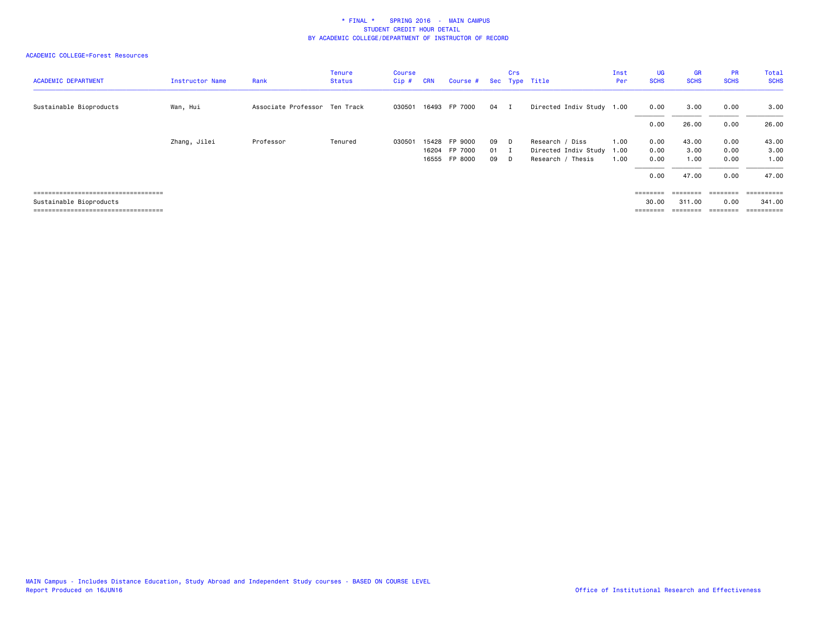| <b>ACADEMIC DEPARTMENT</b>            | <b>Instructor Name</b> | Rank                          | <b>Tenure</b><br><b>Status</b> | Course<br>Cip# | <b>CRN</b> | Course #      |      | Crs      | Sec Type Title            | Inst<br>Per | <b>UG</b><br><b>SCHS</b>                                                | <b>GR</b><br><b>SCHS</b>                                                | <b>PR</b><br><b>SCHS</b> | Total<br><b>SCHS</b> |
|---------------------------------------|------------------------|-------------------------------|--------------------------------|----------------|------------|---------------|------|----------|---------------------------|-------------|-------------------------------------------------------------------------|-------------------------------------------------------------------------|--------------------------|----------------------|
| Sustainable Bioproducts               | Wan, Hui               | Associate Professor Ten Track |                                | 030501         |            | 16493 FP 7000 | 04 I |          | Directed Indiv Study 1.00 |             | 0.00                                                                    | 3.00                                                                    | 0.00                     | 3.00                 |
|                                       |                        |                               |                                |                |            |               |      |          |                           |             | 0.00                                                                    | 26.00                                                                   | 0.00                     | 26.00                |
|                                       | Zhang, Jilei           | Professor                     | Tenured                        | 030501         |            | 15428 FP 9000 | 09   | D.       | Research / Diss           | 1.00        | 0.00                                                                    | 43.00                                                                   | 0.00                     | 43.00                |
|                                       |                        |                               |                                |                |            | 16204 FP 7000 | 01   | п        | Directed Indiv Study      | 1.00        | 0.00                                                                    | 3.00                                                                    | 0.00                     | 3.00                 |
|                                       |                        |                               |                                |                |            | 16555 FP 8000 | 09   | <b>D</b> | Research / Thesis         | 1.00        | 0.00                                                                    | 1.00                                                                    | 0.00                     | 1.00                 |
|                                       |                        |                               |                                |                |            |               |      |          |                           |             | 0.00                                                                    | 47.00                                                                   | 0.00                     | 47.00                |
| ===================================== |                        |                               |                                |                |            |               |      |          |                           |             | $\qquad \qquad \equiv \equiv \equiv \equiv \equiv \equiv \equiv \equiv$ | $\begin{array}{cccccccccc} = & = & = & = & = & = & = & = & \end{array}$ | $= 222222222$            | ==========           |
| Sustainable Bioproducts               |                        |                               |                                |                |            |               |      |          |                           |             | 30.00                                                                   | 311.00                                                                  | 0.00                     | 341.00               |
| ===================================== |                        |                               |                                |                |            |               |      |          |                           |             | ========                                                                | ========                                                                | ========                 | ==========           |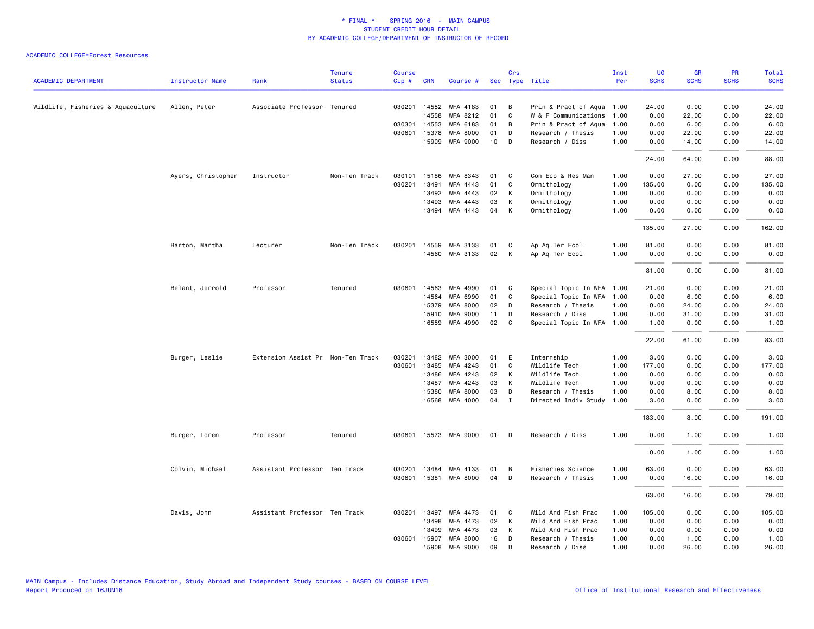|                                   |                        |                                   | <b>Tenure</b> | <b>Course</b> |              |                       |    | Crs            |                           | Inst | <b>UG</b>   | <b>GR</b>   | PR          | Total       |
|-----------------------------------|------------------------|-----------------------------------|---------------|---------------|--------------|-----------------------|----|----------------|---------------------------|------|-------------|-------------|-------------|-------------|
| <b>ACADEMIC DEPARTMENT</b>        | <b>Instructor Name</b> | Rank                              | <b>Status</b> | Cip#          | <b>CRN</b>   | Course #              |    |                | Sec Type Title            | Per  | <b>SCHS</b> | <b>SCHS</b> | <b>SCHS</b> | <b>SCHS</b> |
| Wildlife, Fisheries & Aquaculture | Allen, Peter           | Associate Professor Tenured       |               |               |              | 030201 14552 WFA 4183 | 01 | В              | Prin & Pract of Aqua 1.00 |      | 24.00       | 0.00        | 0.00        | 24.00       |
|                                   |                        |                                   |               |               | 14558        | WFA 8212              | 01 | C              | W & F Communications      | 1.00 | 0.00        | 22.00       | 0.00        | 22.00       |
|                                   |                        |                                   |               |               | 030301 14553 | WFA 6183              | 01 | В              | Prin & Pract of Aqua      | 1.00 | 0.00        | 6.00        | 0.00        | 6.00        |
|                                   |                        |                                   |               |               | 030601 15378 | <b>WFA 8000</b>       | 01 | D              | Research / Thesis         | 1.00 | 0.00        | 22.00       | 0.00        | 22.00       |
|                                   |                        |                                   |               |               | 15909        | <b>WFA 9000</b>       | 10 | D              | Research / Diss           | 1.00 | 0.00        | 14.00       | 0.00        | 14.00       |
|                                   |                        |                                   |               |               |              |                       |    |                |                           |      | 24.00       | 64.00       | 0.00        | 88.00       |
|                                   | Ayers, Christopher     | Instructor                        | Non-Ten Track | 030101        | 15186        | WFA 8343              | 01 | C              | Con Eco & Res Man         | 1.00 | 0.00        | 27.00       | 0.00        | 27.00       |
|                                   |                        |                                   |               | 030201        | 13491        | WFA 4443              | 01 | C              | Ornithology               | 1.00 | 135.00      | 0.00        | 0.00        | 135.00      |
|                                   |                        |                                   |               |               | 13492        | <b>WFA 4443</b>       | 02 | К              | Ornithology               | 1.00 | 0.00        | 0.00        | 0.00        | 0.00        |
|                                   |                        |                                   |               |               | 13493        | WFA 4443              | 03 | К              | Ornithology               | 1.00 | 0.00        | 0.00        | 0.00        | 0.00        |
|                                   |                        |                                   |               |               | 13494        | WFA 4443              | 04 | К              | Ornithology               | 1.00 | 0.00        | 0.00        | 0.00        | 0.00        |
|                                   |                        |                                   |               |               |              |                       |    |                |                           |      | 135.00      | 27.00       | 0.00        | 162.00      |
|                                   | Barton, Martha         | Lecturer                          | Non-Ten Track | 030201        |              | 14559 WFA 3133        | 01 | C              | Ap Aq Ter Ecol            | 1.00 | 81.00       | 0.00        | 0.00        | 81.00       |
|                                   |                        |                                   |               |               |              | 14560 WFA 3133        | 02 | К              | Ap Aq Ter Ecol            | 1.00 | 0.00        | 0.00        | 0.00        | 0.00        |
|                                   |                        |                                   |               |               |              |                       |    |                |                           |      | 81.00       | 0.00        | 0.00        | 81.00       |
|                                   | Belant, Jerrold        | Professor                         | Tenured       | 030601        | 14563        | WFA 4990              | 01 | C              | Special Topic In WFA      | 1.00 | 21.00       | 0.00        | 0.00        | 21.00       |
|                                   |                        |                                   |               |               | 14564        | <b>WFA 6990</b>       | 01 | $\mathsf{C}$   | Special Topic In WFA      | 1.00 | 0.00        | 6.00        | 0.00        | 6.00        |
|                                   |                        |                                   |               |               | 15379        | <b>WFA 8000</b>       | 02 | D              | Research / Thesis         | 1.00 | 0.00        | 24.00       | 0.00        | 24.00       |
|                                   |                        |                                   |               |               | 15910        | <b>WFA 9000</b>       | 11 | D              | Research / Diss           | 1.00 | 0.00        | 31.00       | 0.00        | 31.00       |
|                                   |                        |                                   |               |               | 16559        | WFA 4990              | 02 | C              | Special Topic In WFA 1.00 |      | 1.00        | 0.00        | 0.00        | 1.00        |
|                                   |                        |                                   |               |               |              |                       |    |                |                           |      | 22.00       | 61.00       | 0.00        | 83.00       |
|                                   | Burger, Leslie         | Extension Assist Pr Non-Ten Track |               | 030201        |              | 13482 WFA 3000        | 01 | E              | Internship                | 1.00 | 3.00        | 0.00        | 0.00        | 3.00        |
|                                   |                        |                                   |               | 030601        | 13485        | WFA 4243              | 01 | C              | Wildlife Tech             | 1.00 | 177.00      | 0.00        | 0.00        | 177.00      |
|                                   |                        |                                   |               |               | 13486        | WFA 4243              | 02 | K              | Wildlife Tech             | 1.00 | 0.00        | 0.00        | 0.00        | 0.00        |
|                                   |                        |                                   |               |               | 13487        | WFA 4243              | 03 | К              | Wildlife Tech             | 1.00 | 0.00        | 0.00        | 0.00        | 0.00        |
|                                   |                        |                                   |               |               | 15380        | <b>WFA 8000</b>       | 03 | D              | Research / Thesis         | 1.00 | 0.00        | 8.00        | 0.00        | 8.00        |
|                                   |                        |                                   |               |               | 16568        | <b>WFA 4000</b>       | 04 | $\mathbf{I}$   | Directed Indiv Study      | 1.00 | 3.00        | 0.00        | 0.00        | 3.00        |
|                                   |                        |                                   |               |               |              |                       |    |                |                           |      | 183.00      | 8.00        | 0.00        | 191.00      |
|                                   | Burger, Loren          | Professor                         | Tenured       |               |              | 030601 15573 WFA 9000 | 01 | D              | Research / Diss           | 1.00 | 0.00        | 1.00        | 0.00        | 1.00        |
|                                   |                        |                                   |               |               |              |                       |    |                |                           |      | 0.00        | 1.00        | 0.00        | 1.00        |
|                                   | Colvin, Michael        | Assistant Professor Ten Track     |               | 030201        | 13484        | WFA 4133              | 01 | B              | Fisheries Science         | 1.00 | 63.00       | 0.00        | 0.00        | 63.00       |
|                                   |                        |                                   |               | 030601        |              | 15381 WFA 8000        | 04 | D              | Research / Thesis         | 1.00 | 0.00        | 16.00       | 0.00        | 16.00       |
|                                   |                        |                                   |               |               |              |                       |    |                |                           |      | 63.00       | 16.00       | 0.00        | 79.00       |
|                                   | Davis, John            | Assistant Professor Ten Track     |               |               | 030201 13497 | WFA 4473              | 01 | C              | Wild And Fish Prac        | 1.00 | 105.00      | 0.00        | 0.00        | 105.00      |
|                                   |                        |                                   |               |               | 13498        | WFA 4473              | 02 | К              | Wild And Fish Prac        | 1.00 | 0.00        | 0.00        | 0.00        | 0.00        |
|                                   |                        |                                   |               |               | 13499        | <b>WFA 4473</b>       | 03 | К              | Wild And Fish Prac        | 1.00 | 0.00        | 0.00        | 0.00        | 0.00        |
|                                   |                        |                                   |               |               | 030601 15907 | <b>WFA 8000</b>       | 16 | D              | Research / Thesis         | 1.00 | 0.00        | 1.00        | 0.00        | 1.00        |
|                                   |                        |                                   |               |               | 15908        | <b>WFA 9000</b>       | 09 | $\overline{D}$ | Research / Diss           | 1.00 | 0.00        | 26.00       | 0.00        | 26.00       |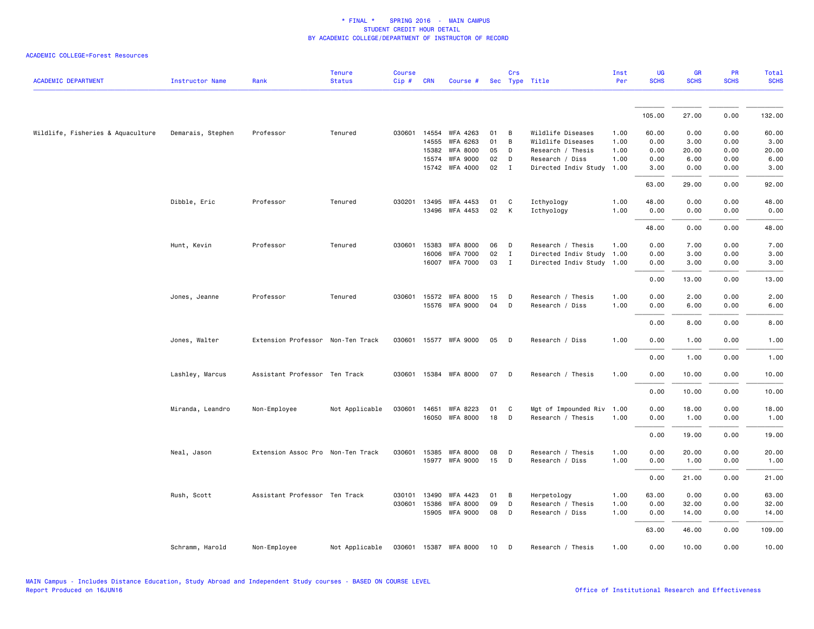|                                   |                   |                                   | <b>Tenure</b>  | <b>Course</b> |              |                       |    | Crs          |                           | Inst | UG          | <b>GR</b>   | PR          | Total       |
|-----------------------------------|-------------------|-----------------------------------|----------------|---------------|--------------|-----------------------|----|--------------|---------------------------|------|-------------|-------------|-------------|-------------|
| <b>ACADEMIC DEPARTMENT</b>        | Instructor Name   | Rank                              | <b>Status</b>  | Cip#          | <b>CRN</b>   | Course #              |    |              | Sec Type Title            | Per  | <b>SCHS</b> | <b>SCHS</b> | <b>SCHS</b> | <b>SCHS</b> |
|                                   |                   |                                   |                |               |              |                       |    |              |                           |      | 105.00      | 27.00       | 0.00        | 132.00      |
| Wildlife, Fisheries & Aquaculture | Demarais, Stephen | Professor                         | Tenured        |               |              | 030601 14554 WFA 4263 | 01 | В            | Wildlife Diseases         | 1.00 | 60.00       | 0.00        | 0.00        | 60.00       |
|                                   |                   |                                   |                |               | 14555        | WFA 6263              | 01 | B            | Wildlife Diseases         | 1.00 | 0.00        | 3.00        | 0.00        | 3.00        |
|                                   |                   |                                   |                |               | 15382        | <b>WFA 8000</b>       | 05 | D            | Research / Thesis         | 1.00 | 0.00        | 20.00       | 0.00        | 20.00       |
|                                   |                   |                                   |                |               | 15574        | <b>WFA 9000</b>       | 02 | D            | Research / Diss           | 1.00 | 0.00        | 6.00        | 0.00        | 6.00        |
|                                   |                   |                                   |                |               |              | 15742 WFA 4000        | 02 | I            | Directed Indiv Study      | 1.00 | 3.00        | 0.00        | 0.00        | 3.00        |
|                                   |                   |                                   |                |               |              |                       |    |              |                           |      | 63.00       | 29.00       | 0.00        | 92.00       |
|                                   | Dibble, Eric      | Professor                         | Tenured        | 030201        | 13495        | WFA 4453              | 01 | C            | Icthyology                | 1.00 | 48.00       | 0.00        | 0.00        | 48.00       |
|                                   |                   |                                   |                |               | 13496        | WFA 4453              | 02 | К            | Icthyology                | 1.00 | 0.00        | 0.00        | 0.00        | 0.00        |
|                                   |                   |                                   |                |               |              |                       |    |              |                           |      | 48.00       | 0.00        | 0.00        | 48.00       |
|                                   | Hunt, Kevin       | Professor                         | Tenured        |               | 030601 15383 | <b>WFA 8000</b>       | 06 | D            | Research / Thesis         | 1.00 | 0.00        | 7.00        | 0.00        | 7.00        |
|                                   |                   |                                   |                |               | 16006        | <b>WFA 7000</b>       | 02 | $\mathbf{I}$ | Directed Indiv Study      | 1.00 | 0.00        | 3.00        | 0.00        | 3.00        |
|                                   |                   |                                   |                |               | 16007        | <b>WFA 7000</b>       | 03 | $\mathbf{I}$ | Directed Indiv Study 1.00 |      | 0.00        | 3.00        | 0.00        | 3.00        |
|                                   |                   |                                   |                |               |              |                       |    |              |                           |      | 0.00        | 13.00       | 0.00        | 13.00       |
|                                   | Jones, Jeanne     | Professor                         | Tenured        |               |              | 030601 15572 WFA 8000 | 15 | D            | Research / Thesis         | 1.00 | 0.00        | 2.00        | 0.00        | 2.00        |
|                                   |                   |                                   |                |               |              | 15576 WFA 9000        | 04 | D            | Research / Diss           | 1.00 | 0.00        | 6.00        | 0.00        | 6.00        |
|                                   |                   |                                   |                |               |              |                       |    |              |                           |      | 0.00        | 8.00        | 0.00        | 8.00        |
|                                   | Jones, Walter     | Extension Professor Non-Ten Track |                |               |              | 030601 15577 WFA 9000 | 05 | D            | Research / Diss           | 1.00 | 0.00        | 1.00        | 0.00        | 1.00        |
|                                   |                   |                                   |                |               |              |                       |    |              |                           |      | 0.00        | 1.00        | 0.00        | 1.00        |
|                                   | Lashley, Marcus   | Assistant Professor Ten Track     |                |               |              | 030601 15384 WFA 8000 | 07 | D            | Research / Thesis         | 1.00 | 0.00        | 10.00       | 0.00        | 10.00       |
|                                   |                   |                                   |                |               |              |                       |    |              |                           |      | 0.00        | 10.00       | 0.00        | 10.00       |
|                                   | Miranda, Leandro  | Non-Employee                      | Not Applicable |               | 030601 14651 | WFA 8223              | 01 | C            | Mgt of Impounded Riv      | 1.00 | 0.00        | 18.00       | 0.00        | 18.00       |
|                                   |                   |                                   |                |               |              | 16050 WFA 8000        | 18 | D            | Research / Thesis         | 1.00 | 0.00        | 1.00        | 0.00        | 1.00        |
|                                   |                   |                                   |                |               |              |                       |    |              |                           |      | 0.00        | 19.00       | 0.00        | 19.00       |
|                                   | Neal, Jason       | Extension Assoc Pro Non-Ten Track |                |               |              | 030601 15385 WFA 8000 | 08 | D            | Research / Thesis         | 1.00 | 0.00        | 20.00       | 0.00        | 20.00       |
|                                   |                   |                                   |                |               |              | 15977 WFA 9000        | 15 | D            | Research / Diss           | 1.00 | 0.00        | 1.00        | 0.00        | 1.00        |
|                                   |                   |                                   |                |               |              |                       |    |              |                           |      | 0.00        | 21.00       | 0.00        | 21.00       |
|                                   | Rush, Scott       | Assistant Professor Ten Track     |                | 030101        | 13490        | WFA 4423              | 01 | В            | Herpetology               | 1.00 | 63.00       | 0.00        | 0.00        | 63.00       |
|                                   |                   |                                   |                |               | 030601 15386 | <b>WFA 8000</b>       | 09 | D            | Research / Thesis         | 1.00 | 0.00        | 32.00       | 0.00        | 32.00       |
|                                   |                   |                                   |                |               |              | 15905 WFA 9000        | 08 | D            | Research / Diss           | 1.00 | 0.00        | 14.00       | 0.00        | 14.00       |
|                                   |                   |                                   |                |               |              |                       |    |              |                           |      | 63.00       | 46.00       | 0.00        | 109.00      |
|                                   | Schramm, Harold   | Non-Employee                      | Not Applicable |               |              | 030601 15387 WFA 8000 | 10 | D            | Research / Thesis         | 1.00 | 0.00        | 10.00       | 0.00        | 10.00       |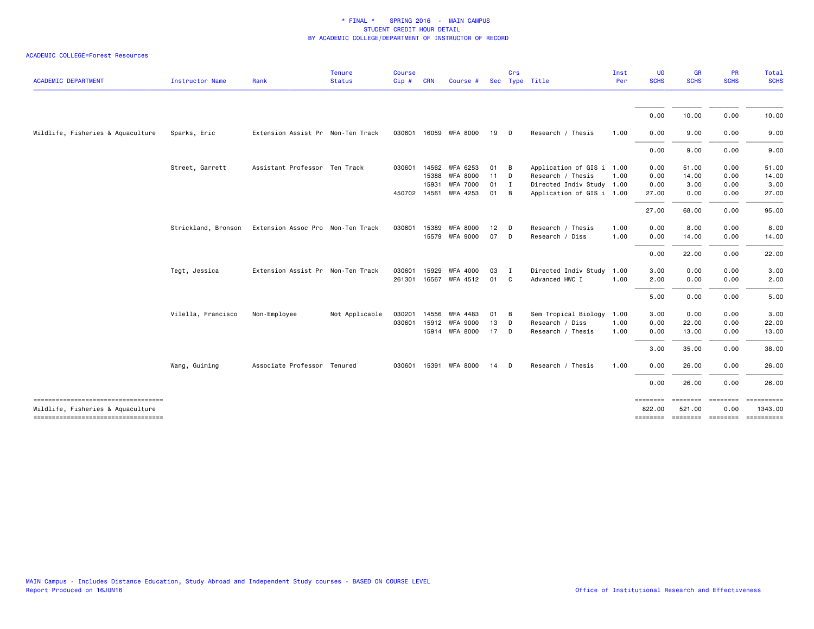| <b>ACADEMIC DEPARTMENT</b>                                               | <b>Instructor Name</b> | Rank                              | <b>Tenure</b><br><b>Status</b> | <b>Course</b><br>Cip # CRN |              | Course #              |        | Crs            | Sec Type Title            | Inst<br>Per | UG<br><b>SCHS</b>  | <b>GR</b><br><b>SCHS</b> | <b>PR</b><br><b>SCHS</b> | Total<br><b>SCHS</b>        |
|--------------------------------------------------------------------------|------------------------|-----------------------------------|--------------------------------|----------------------------|--------------|-----------------------|--------|----------------|---------------------------|-------------|--------------------|--------------------------|--------------------------|-----------------------------|
|                                                                          |                        |                                   |                                |                            |              |                       |        |                |                           |             | 0.00               | 10.00                    | 0.00                     | 10.00                       |
| Wildlife, Fisheries & Aquaculture                                        | Sparks, Eric           | Extension Assist Pr Non-Ten Track |                                |                            |              | 030601 16059 WFA 8000 | 19     | $\Box$         | Research / Thesis         | 1.00        | 0.00               | 9.00                     | 0.00                     | 9.00                        |
|                                                                          |                        |                                   |                                |                            |              |                       |        |                |                           |             |                    |                          |                          |                             |
|                                                                          |                        |                                   |                                |                            |              |                       |        |                |                           |             | 0.00               | 9.00                     | 0.00                     | 9.00                        |
|                                                                          | Street, Garrett        | Assistant Professor Ten Track     |                                |                            | 030601 14562 | WFA 6253              | 01     | $\overline{B}$ | Application of GIS i 1.00 |             | 0.00               | 51.00                    | 0.00                     | 51.00                       |
|                                                                          |                        |                                   |                                |                            | 15388        | <b>WFA 8000</b>       | $11$ D |                | Research / Thesis         | 1.00        | 0.00               | 14.00                    | 0.00                     | 14.00                       |
|                                                                          |                        |                                   |                                |                            | 15931        | <b>WFA 7000</b>       | 01     | $\blacksquare$ | Directed Indiv Study 1.00 |             | 0.00               | 3.00                     | 0.00                     | 3.00                        |
|                                                                          |                        |                                   |                                |                            |              | 450702 14561 WFA 4253 | 01     | B              | Application of GIS i 1.00 |             | 27.00              | 0.00                     | 0.00                     | 27.00                       |
|                                                                          |                        |                                   |                                |                            |              |                       |        |                |                           |             | 27.00              | 68.00                    | 0.00                     | 95.00                       |
|                                                                          | Strickland, Bronson    | Extension Assoc Pro Non-Ten Track |                                |                            | 030601 15389 | <b>WFA 8000</b>       | 12     | $\mathsf{D}$   | Research / Thesis         | 1.00        | 0.00               | 8.00                     | 0.00                     | 8.00                        |
|                                                                          |                        |                                   |                                |                            |              | 15579 WFA 9000        | 07     | $\Box$         | Research / Diss           | 1.00        | 0.00               | 14.00                    | 0.00                     | 14.00                       |
|                                                                          |                        |                                   |                                |                            |              |                       |        |                |                           |             | 0.00               | 22.00                    | 0.00                     | 22.00                       |
|                                                                          | Tegt, Jessica          | Extension Assist Pr Non-Ten Track |                                | 030601                     | 15929        | <b>WFA 4000</b>       | 03     | $\blacksquare$ | Directed Indiv Study      | 1.00        | 3.00               | 0.00                     | 0.00                     | 3.00                        |
|                                                                          |                        |                                   |                                |                            |              | 261301 16567 WFA 4512 | 01 C   |                | Advanced HWC I            | 1.00        | 2.00               | 0.00                     | 0.00                     | 2.00                        |
|                                                                          |                        |                                   |                                |                            |              |                       |        |                |                           |             | 5.00               | 0.00                     | 0.00                     | 5.00                        |
|                                                                          | Vilella, Francisco     | Non-Employee                      | Not Applicable                 | 030201                     |              | 14556 WFA 4483        | 01     | - в            | Sem Tropical Biology      | 1.00        | 3.00               | 0.00                     | 0.00                     | 3.00                        |
|                                                                          |                        |                                   |                                |                            |              | 030601 15912 WFA 9000 | 13     | $\mathsf{D}$   | Research / Diss           | 1.00        | 0.00               | 22.00                    | 0.00                     | 22.00                       |
|                                                                          |                        |                                   |                                |                            |              | 15914 WFA 8000        | 17 D   |                | Research / Thesis         | 1.00        | 0.00               | 13.00                    | 0.00                     | 13.00                       |
|                                                                          |                        |                                   |                                |                            |              |                       |        |                |                           |             | 3.00               | 35.00                    | 0.00                     | 38.00                       |
|                                                                          | Wang, Guiming          | Associate Professor Tenured       |                                |                            |              | 030601 15391 WFA 8000 | 14     | <b>D</b>       | Research / Thesis         | 1.00        | 0.00               | 26.00                    | 0.00                     | 26.00                       |
|                                                                          |                        |                                   |                                |                            |              |                       |        |                |                           |             | 0.00               | 26.00                    | 0.00                     | 26.00                       |
| -----------------------------------<br>Wildlife, Fisheries & Aquaculture |                        |                                   |                                |                            |              |                       |        |                |                           |             | ========<br>822.00 | ========<br>521.00       | ========<br>0.00         | ==========<br>1343.00       |
| ----------------------------------                                       |                        |                                   |                                |                            |              |                       |        |                |                           |             | ========           |                          |                          | ======== ======== ========= |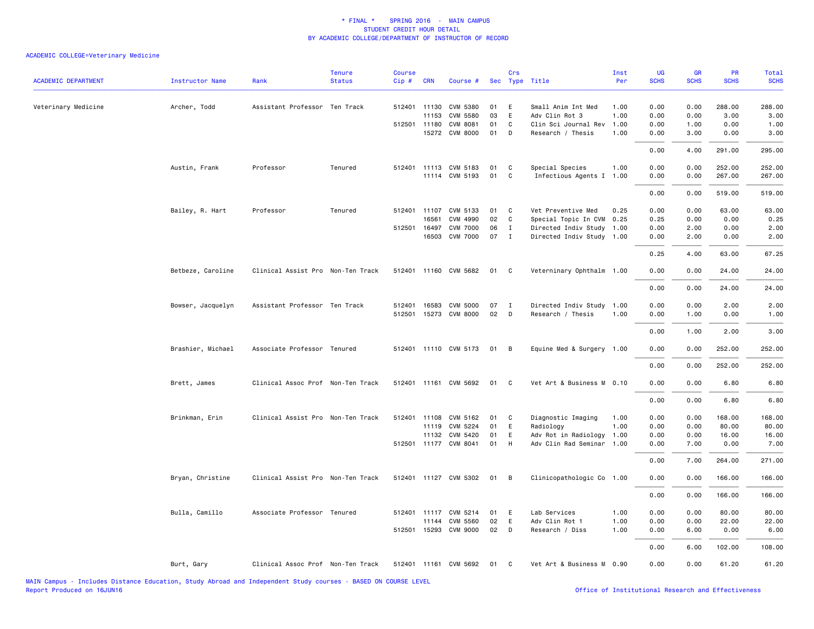| <b>ACADEMIC DEPARTMENT</b> | <b>Instructor Name</b> | Rank                              | <b>Tenure</b><br><b>Status</b> | Course<br>Cip# | <b>CRN</b>   | Course #              |      | Crs          | Sec Type Title            | Inst<br>Per | UG<br><b>SCHS</b> | GR<br><b>SCHS</b> | PR<br><b>SCHS</b> | Total<br><b>SCHS</b> |
|----------------------------|------------------------|-----------------------------------|--------------------------------|----------------|--------------|-----------------------|------|--------------|---------------------------|-------------|-------------------|-------------------|-------------------|----------------------|
| Veterinary Medicine        | Archer, Todd           | Assistant Professor Ten Track     |                                |                | 512401 11130 | CVM 5380              | 01   | E            | Small Anim Int Med        | 1.00        | 0.00              | 0.00              | 288.00            | 288.00               |
|                            |                        |                                   |                                |                | 11153        | CVM 5580              | 03   | E            | Adv Clin Rot 3            | 1.00        | 0.00              | 0.00              | 3.00              | 3.00                 |
|                            |                        |                                   |                                |                | 512501 11180 | <b>CVM 8081</b>       | 01   | C            | Clin Sci Journal Rev      | 1.00        | 0.00              | 1.00              | 0.00              | 1.00                 |
|                            |                        |                                   |                                |                |              | 15272 CVM 8000        | 01   | D            | Research / Thesis         | 1.00        | 0.00              | 3.00              | 0.00              | 3.00                 |
|                            |                        |                                   |                                |                |              |                       |      |              |                           |             | 0.00              | 4.00              | 291.00            | 295.00               |
|                            | Austin, Frank          | Professor                         | Tenured                        |                |              | 512401 11113 CVM 5183 | 01   | C            | Special Species           | 1.00        | 0.00              | 0.00              | 252.00            | 252.00               |
|                            |                        |                                   |                                |                |              | 11114 CVM 5193        | 01   | C            | Infectious Agents I 1.00  |             | 0.00              | 0.00              | 267.00            | 267.00               |
|                            |                        |                                   |                                |                |              |                       |      |              |                           |             | 0.00              | 0.00              | 519.00            | 519.00               |
|                            | Bailey, R. Hart        | Professor                         | Tenured                        |                | 512401 11107 | CVM 5133              | 01   | C            | Vet Preventive Med        | 0.25        | 0.00              | 0.00              | 63.00             | 63.00                |
|                            |                        |                                   |                                |                | 16561        | CVM 4990              | 02   | C            | Special Topic In CVM 0.25 |             | 0.25              | 0.00              | 0.00              | 0.25                 |
|                            |                        |                                   |                                |                | 512501 16497 | <b>CVM 7000</b>       | 06   | $\mathbf{I}$ | Directed Indiv Study 1.00 |             | 0.00              | 2.00              | 0.00              | 2.00                 |
|                            |                        |                                   |                                |                | 16503        | <b>CVM 7000</b>       | 07   | $\mathbf{I}$ | Directed Indiv Study 1.00 |             | 0.00              | 2.00              | 0.00              | 2.00                 |
|                            |                        |                                   |                                |                |              |                       |      |              |                           |             | 0.25              | 4.00              | 63.00             | 67.25                |
|                            | Betbeze, Caroline      | Clinical Assist Pro Non-Ten Track |                                |                |              | 512401 11160 CVM 5682 | 01   | <b>C</b>     | Veterninary Ophthalm 1.00 |             | 0.00              | 0.00              | 24.00             | 24.00                |
|                            |                        |                                   |                                |                |              |                       |      |              |                           |             | 0.00              | 0.00              | 24.00             | 24.00                |
|                            | Bowser, Jacquelyn      | Assistant Professor Ten Track     |                                | 512401         |              | 16583 CVM 5000        | 07   | $\mathbf{I}$ | Directed Indiv Study 1.00 |             | 0.00              | 0.00              | 2.00              | 2.00                 |
|                            |                        |                                   |                                |                |              | 512501 15273 CVM 8000 | 02   | $\Box$       | Research / Thesis         | 1.00        | 0.00              | 1.00              | 0.00              | 1.00                 |
|                            |                        |                                   |                                |                |              |                       |      |              |                           |             | 0.00              | 1.00              | 2.00              | 3.00                 |
|                            | Brashier, Michael      | Associate Professor Tenured       |                                |                |              | 512401 11110 CVM 5173 | 01 B |              | Equine Med & Surgery 1.00 |             | 0.00              | 0.00              | 252.00            | 252.00               |
|                            |                        |                                   |                                |                |              |                       |      |              |                           |             | 0.00              | 0.00              | 252.00            | 252.00               |
|                            | Brett, James           | Clinical Assoc Prof Non-Ten Track |                                |                |              | 512401 11161 CVM 5692 | 01   | $\mathbf{C}$ | Vet Art & Business M 0.10 |             | 0.00              | 0.00              | 6.80              | 6.80                 |
|                            |                        |                                   |                                |                |              |                       |      |              |                           |             | 0.00              | 0.00              | 6.80              | 6.80                 |
|                            | Brinkman, Erin         | Clinical Assist Pro Non-Ten Track |                                |                |              | 512401 11108 CVM 5162 | 01   | $\mathbf{C}$ | Diagnostic Imaging        | 1.00        | 0.00              | 0.00              | 168.00            | 168.00               |
|                            |                        |                                   |                                |                | 11119        | CVM 5224              | 01   | E            | Radiology                 | 1.00        | 0.00              | 0.00              | 80.00             | 80.00                |
|                            |                        |                                   |                                |                |              | 11132 CVM 5420        | 01   | E            | Adv Rot in Radiology 1.00 |             | 0.00              | 0.00              | 16.00             | 16.00                |
|                            |                        |                                   |                                |                |              | 512501 11177 CVM 8041 | 01   | H            | Adv Clin Rad Seminar 1.00 |             | 0.00              | 7.00              | 0.00              | 7.00                 |
|                            |                        |                                   |                                |                |              |                       |      |              |                           |             | 0.00              | 7.00              | 264.00            | 271.00               |
|                            | Bryan, Christine       | Clinical Assist Pro Non-Ten Track |                                |                |              | 512401 11127 CVM 5302 | 01 B |              | Clinicopathologic Co 1.00 |             | 0.00              | 0.00              | 166.00            | 166.00               |
|                            |                        |                                   |                                |                |              |                       |      |              |                           |             | 0.00              | 0.00              | 166.00            | 166.00               |
|                            | Bulla, Camillo         | Associate Professor Tenured       |                                |                |              | 512401 11117 CVM 5214 | 01 E |              | Lab Services              | 1.00        | 0.00              | 0.00              | 80.00             | 80.00                |
|                            |                        |                                   |                                |                | 11144        | CVM 5560              | 02   | E            | Adv Clin Rot 1            | 1.00        | 0.00              | 0.00              | 22.00             | 22.00                |
|                            |                        |                                   |                                | 512501         |              | 15293 CVM 9000        | 02   | D            | Research / Diss           | 1.00        | 0.00              | 6.00              | 0.00              | 6.00                 |
|                            |                        |                                   |                                |                |              |                       |      |              |                           |             | 0.00              | 6.00              | 102.00            | 108.00               |
|                            | Burt, Gary             | Clinical Assoc Prof Non-Ten Track |                                |                |              | 512401 11161 CVM 5692 | 01   | C            | Vet Art & Business M 0.90 |             | 0.00              | 0.00              | 61.20             | 61.20                |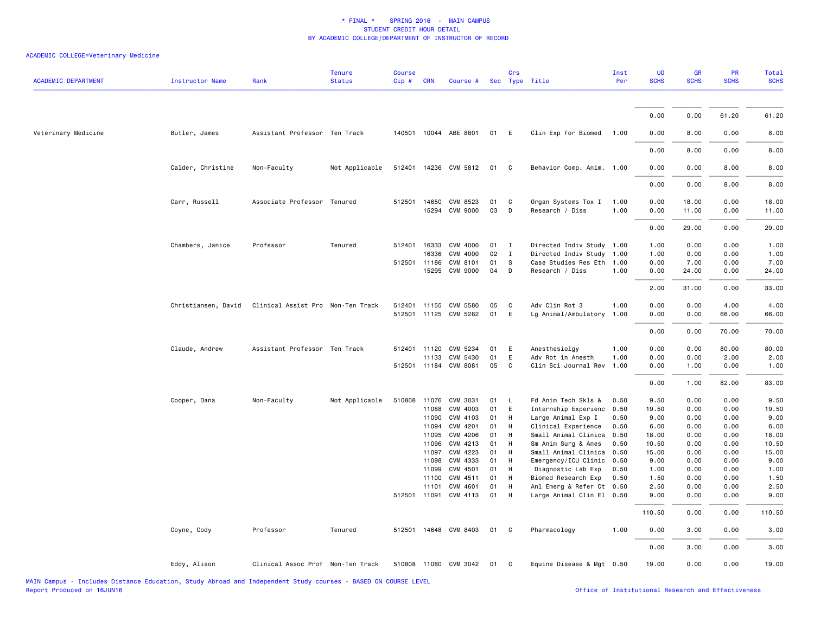| <b>ACADEMIC DEPARTMENT</b> | <b>Instructor Name</b> | Rank                              | <b>Tenure</b><br><b>Status</b> | <b>Course</b><br>Cip# | <b>CRN</b>   | Course #              |          | Crs          | Sec Type Title                                         | Inst<br>Per | UG<br><b>SCHS</b> | <b>GR</b><br><b>SCHS</b> | <b>PR</b><br><b>SCHS</b> | Total<br><b>SCHS</b> |
|----------------------------|------------------------|-----------------------------------|--------------------------------|-----------------------|--------------|-----------------------|----------|--------------|--------------------------------------------------------|-------------|-------------------|--------------------------|--------------------------|----------------------|
|                            |                        |                                   |                                |                       |              |                       |          |              |                                                        |             |                   |                          |                          |                      |
|                            |                        |                                   |                                |                       |              |                       |          |              |                                                        |             | 0.00              | 0.00                     | 61.20                    | 61.20                |
| Veterinary Medicine        | Butler, James          | Assistant Professor Ten Track     |                                |                       |              | 140501 10044 ABE 8801 | 01       | E            | Clin Exp for Biomed                                    | 1.00        | 0.00              | 8.00                     | 0.00                     | 8.00                 |
|                            |                        |                                   |                                |                       |              |                       |          |              |                                                        |             | 0.00              | 8.00                     | 0.00                     | 8.00                 |
|                            | Calder, Christine      | Non-Faculty                       | Not Applicable                 |                       |              | 512401 14236 CVM 5812 | 01       | $\mathbf{C}$ | Behavior Comp. Anim. 1.00                              |             | 0.00              | 0.00                     | 8.00                     | 8.00                 |
|                            |                        |                                   |                                |                       |              |                       |          |              |                                                        |             | 0.00              | 0.00                     | 8.00                     | 8.00                 |
|                            | Carr, Russell          | Associate Professor Tenured       |                                |                       | 512501 14650 | CVM 8523              | 01       | C            | Organ Systems Tox I                                    | 1.00        | 0.00              | 18.00                    | 0.00                     | 18.00                |
|                            |                        |                                   |                                |                       |              | 15294 CVM 9000        | 03       | D            | Research / Diss                                        | 1.00        | 0.00              | 11.00                    | 0.00                     | 11.00                |
|                            |                        |                                   |                                |                       |              |                       |          |              |                                                        |             | 0.00              | 29.00                    | 0.00                     | 29.00                |
|                            | Chambers, Janice       | Professor                         | Tenured                        | 512401                | 16333        | CVM 4000              | 01       | $\mathbf{I}$ | Directed Indiv Study 1.00                              |             | 1.00              | 0.00                     | 0.00                     | 1.00                 |
|                            |                        |                                   |                                |                       | 16336        | CVM 4000              | 02       | $\mathbf{I}$ | Directed Indiv Study 1.00                              |             | 1.00              | 0.00                     | 0.00                     | 1.00                 |
|                            |                        |                                   |                                |                       | 512501 11186 | CVM 8101              | 01       | -S           | Case Studies Res Eth 1.00                              |             | 0.00              | 7.00                     | 0.00                     | 7.00                 |
|                            |                        |                                   |                                |                       |              | 15295 CVM 9000        | 04       | D            | Research / Diss                                        | 1.00        | 0.00              | 24.00                    | 0.00                     | 24.00                |
|                            |                        |                                   |                                |                       |              |                       |          |              |                                                        |             | 2.00              | 31.00                    | 0.00                     | 33.00                |
|                            | Christiansen, David    | Clinical Assist Pro Non-Ten Track |                                |                       |              | 512401 11155 CVM 5580 | 05       | C            | Adv Clin Rot 3                                         | 1.00        | 0.00              | 0.00                     | 4.00                     | 4.00                 |
|                            |                        |                                   |                                |                       |              | 512501 11125 CVM 5282 | 01       | E            | Lg Animal/Ambulatory                                   | 1.00        | 0.00              | 0.00                     | 66.00                    | 66.00                |
|                            |                        |                                   |                                |                       |              |                       |          |              |                                                        |             | 0.00              | 0.00                     | 70.00                    | 70.00                |
|                            | Claude, Andrew         | Assistant Professor Ten Track     |                                |                       |              | 512401 11120 CVM 5234 | 01       | E            | Anesthesiolgy                                          | 1.00        | 0.00              | 0.00                     | 80.00                    | 80.00                |
|                            |                        |                                   |                                |                       | 11133        | CVM 5430              | 01       | E            | Adv Rot in Anesth                                      | 1.00        | 0.00              | 0.00                     | 2.00                     | 2.00                 |
|                            |                        |                                   |                                |                       |              | 512501 11184 CVM 8081 | 05       | C            | Clin Sci Journal Rev                                   | 1.00        | 0.00              | 1.00                     | 0.00                     | 1.00                 |
|                            |                        |                                   |                                |                       |              |                       |          |              |                                                        |             | 0.00              | 1.00                     | 82.00                    | 83.00                |
|                            | Cooper, Dana           | Non-Faculty                       | Not Applicable                 | 510808 11076          |              | CVM 3031              | 01       | $\mathsf{L}$ | Fd Anim Tech Skls &                                    | 0.50        | 9.50              | 0.00                     | 0.00                     | 9.50                 |
|                            |                        |                                   |                                |                       | 11088        | CVM 4003              | 01       | E            | Internship Experienc                                   | 0.50        | 19.50             | 0.00                     | 0.00                     | 19.50                |
|                            |                        |                                   |                                |                       | 11090        | CVM 4103              | 01       | H            | Large Animal Exp I                                     | 0.50        | 9.00              | 0.00                     | 0.00                     | 9.00                 |
|                            |                        |                                   |                                |                       | 11094        | CVM 4201              | 01       | H            | Clinical Experience                                    | 0.50        | 6.00              | 0.00                     | 0.00                     | 6.00                 |
|                            |                        |                                   |                                |                       | 11095        | CVM 4206              | 01       | H            | Small Animal Clinica                                   | 0.50        | 18.00             | 0.00                     | 0.00                     | 18.00                |
|                            |                        |                                   |                                |                       | 11096        | CVM 4213              | 01       | H            | Sm Anim Surg & Anes                                    | 0.50        | 10.50             | 0.00                     | 0.00                     | 10.50                |
|                            |                        |                                   |                                |                       | 11097        | CVM 4223              | 01       | H            | Small Animal Clinica                                   | 0.50        | 15.00             | 0.00                     | 0.00                     | 15.00                |
|                            |                        |                                   |                                |                       | 11098        | CVM 4333              | 01       | H            | Emergency/ICU Clinic                                   | 0.50        | 9.00              | 0.00                     | 0.00                     | 9.00                 |
|                            |                        |                                   |                                |                       | 11099        | CVM 4501              | 01<br>01 | H            | Diagnostic Lab Exp                                     | 0.50        | 1.00              | 0.00                     | 0.00<br>0.00             | 1.00                 |
|                            |                        |                                   |                                |                       | 11100        | CVM 4511<br>CVM 4601  | 01       | H<br>H       | Biomed Research Exp                                    | 0.50        | 1.50              | 0.00                     |                          | 1.50                 |
|                            |                        |                                   |                                |                       | 11101        | 512501 11091 CVM 4113 | 01       | H            | Anl Emerg & Refer Ct 0.50<br>Large Animal Clin El 0.50 |             | 2.50<br>9.00      | 0.00<br>0.00             | 0.00<br>0.00             | 2.50<br>9.00         |
|                            |                        |                                   |                                |                       |              |                       |          |              |                                                        |             | 110.50            | 0.00                     | 0.00                     | 110.50               |
|                            | Coyne, Cody            | Professor                         | Tenured                        |                       |              | 512501 14648 CVM 8403 | 01       | $\mathbf{C}$ | Pharmacology                                           | 1.00        | 0.00              | 3.00                     | 0.00                     | 3.00                 |
|                            |                        |                                   |                                |                       |              |                       |          |              |                                                        |             | 0.00              | 3.00                     | 0.00                     | 3.00                 |
|                            | Eddy, Alison           | Clinical Assoc Prof Non-Ten Track |                                |                       |              | 510808 11080 CVM 3042 | 01       | $\mathbf{C}$ | Equine Disease & Mgt 0.50                              |             | 19.00             | 0.00                     | 0.00                     | 19.00                |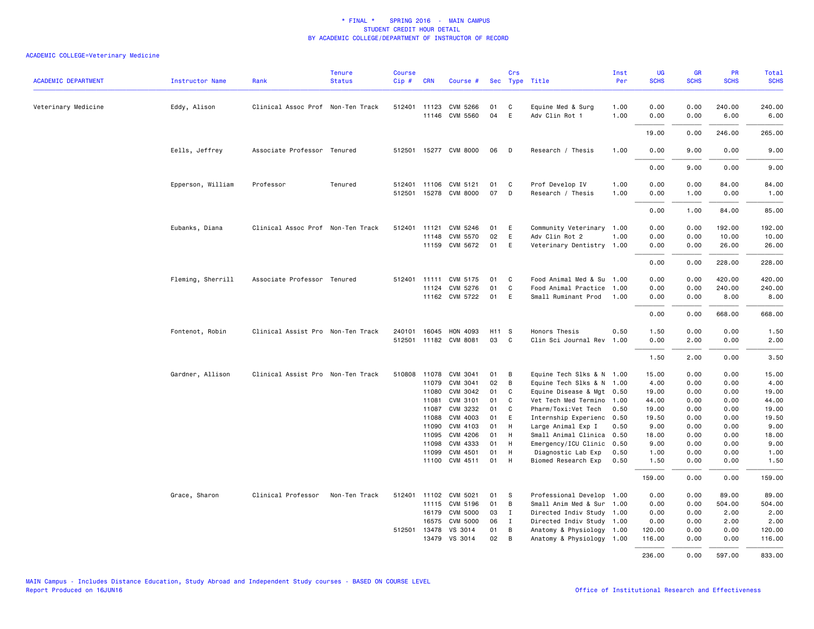| <b>ACADEMIC DEPARTMENT</b> | <b>Instructor Name</b> | Rank                              | <b>Tenure</b><br><b>Status</b> | Course<br>Cip# | <b>CRN</b>     | Course #                   |          | Crs          | Sec Type Title                              | Inst<br>Per  | UG<br><b>SCHS</b> | <b>GR</b><br><b>SCHS</b> | PR<br><b>SCHS</b> | Total<br><b>SCHS</b> |
|----------------------------|------------------------|-----------------------------------|--------------------------------|----------------|----------------|----------------------------|----------|--------------|---------------------------------------------|--------------|-------------------|--------------------------|-------------------|----------------------|
| Veterinary Medicine        | Eddy, Alison           | Clinical Assoc Prof Non-Ten Track |                                |                | 512401 11123   | CVM 5266<br>11146 CVM 5560 | 01<br>04 | C<br>E       | Equine Med & Surg<br>Adv Clin Rot 1         | 1.00<br>1.00 | 0.00<br>0.00      | 0.00<br>0.00             | 240.00<br>6.00    | 240.00<br>6.00       |
|                            |                        |                                   |                                |                |                |                            |          |              |                                             |              | 19.00             | 0.00                     | 246.00            | 265.00               |
|                            | Eells, Jeffrey         | Associate Professor Tenured       |                                |                |                | 512501 15277 CVM 8000      | 06       | D            | Research / Thesis                           | 1.00         | 0.00              | 9.00                     | 0.00              | 9.00                 |
|                            |                        |                                   |                                |                |                |                            |          |              |                                             |              | 0.00              | 9.00                     | 0.00              | 9.00                 |
|                            | Epperson, William      | Professor                         | Tenured                        |                |                | 512401 11106 CVM 5121      | 01       | C            | Prof Develop IV                             | 1.00         | 0.00              | 0.00                     | 84.00             | 84.00                |
|                            |                        |                                   |                                |                |                | 512501 15278 CVM 8000      | 07       | D            | Research / Thesis                           | 1.00         | 0.00              | 1.00                     | 0.00              | 1.00                 |
|                            |                        |                                   |                                |                |                |                            |          |              |                                             |              | 0.00              | 1.00                     | 84.00             | 85.00                |
|                            | Eubanks, Diana         | Clinical Assoc Prof Non-Ten Track |                                | 512401         | 11121          | CVM 5246                   | 01       | E            | Community Veterinary 1.00                   |              | 0.00              | 0.00                     | 192.00            | 192.00               |
|                            |                        |                                   |                                |                | 11148          | CVM 5570<br>11159 CVM 5672 | 02<br>01 | E<br>E       | Adv Clin Rot 2<br>Veterinary Dentistry 1.00 | 1.00         | 0.00<br>0.00      | 0.00<br>0.00             | 10.00<br>26.00    | 10.00<br>26.00       |
|                            |                        |                                   |                                |                |                |                            |          |              |                                             |              | 0.00              | 0.00                     | 228.00            | 228.00               |
|                            | Fleming, Sherrill      | Associate Professor Tenured       |                                |                |                | 512401 11111 CVM 5175      | 01       | C            | Food Animal Med & Su                        | 1.00         | 0.00              | 0.00                     | 420.00            | 420.00               |
|                            |                        |                                   |                                |                |                | 11124 CVM 5276             | 01       | $\mathsf{C}$ | Food Animal Practice 1.00                   |              | 0.00              | 0.00                     | 240.00            | 240.00               |
|                            |                        |                                   |                                |                |                | 11162 CVM 5722             | 01       | E            | Small Ruminant Prod                         | 1.00         | 0.00              | 0.00                     | 8.00              | 8.00                 |
|                            |                        |                                   |                                |                |                |                            |          |              |                                             |              | 0.00              | 0.00                     | 668.00            | 668.00               |
|                            | Fontenot, Robin        | Clinical Assist Pro Non-Ten Track |                                | 240101         | 16045          | HON 4093                   | H11 S    |              | Honors Thesis                               | 0.50         | 1.50              | 0.00                     | 0.00              | 1.50                 |
|                            |                        |                                   |                                | 512501         |                | 11182 CVM 8081             | 03       | $\mathbf{C}$ | Clin Sci Journal Rev                        | 1.00         | 0.00              | 2.00                     | 0.00              | 2.00                 |
|                            |                        |                                   |                                |                |                |                            |          |              |                                             |              | 1.50              | 2.00                     | 0.00              | 3.50                 |
|                            | Gardner, Allison       | Clinical Assist Pro Non-Ten Track |                                | 510808         | 11078          | CVM 3041                   | 01       | B            | Equine Tech Slks & N 1.00                   |              | 15.00             | 0.00                     | 0.00              | 15.00                |
|                            |                        |                                   |                                |                | 11079          | CVM 3041                   | 02       | B            | Equine Tech Slks & N 1.00                   |              | 4.00              | 0.00                     | 0.00              | 4.00                 |
|                            |                        |                                   |                                |                | 11080          | CVM 3042                   | 01       | C            | Equine Disease & Mgt 0.50                   |              | 19.00             | 0.00                     | 0.00              | 19.00                |
|                            |                        |                                   |                                |                | 11081          | CVM 3101                   | 01       | $\mathsf{C}$ | Vet Tech Med Termino                        | 1.00         | 44.00             | 0.00                     | 0.00              | 44.00                |
|                            |                        |                                   |                                |                | 11087          | CVM 3232                   | 01       | C            | Pharm/Toxi:Vet Tech                         | 0.50         | 19.00             | 0.00                     | 0.00              | 19.00                |
|                            |                        |                                   |                                |                | 11088          | CVM 4003                   | 01<br>01 | E<br>H       | Internship Experienc                        | 0.50         | 19.50             | 0.00                     | 0.00              | 19.50                |
|                            |                        |                                   |                                |                | 11090<br>11095 | CVM 4103<br>CVM 4206       | 01       | H            | Large Animal Exp I<br>Small Animal Clinica  | 0.50<br>0.50 | 9.00<br>18.00     | 0.00<br>0.00             | 0.00<br>0.00      | 9.00<br>18.00        |
|                            |                        |                                   |                                |                | 11098          | CVM 4333                   | 01       | H            | Emergency/ICU Clinic                        | 0.50         | 9.00              | 0.00                     | 0.00              | 9.00                 |
|                            |                        |                                   |                                |                | 11099          | CVM 4501                   | 01       | H            | Diagnostic Lab Exp                          | 0.50         | 1.00              | 0.00                     | 0.00              | 1.00                 |
|                            |                        |                                   |                                |                | 11100          | CVM 4511                   | 01       | H            | Biomed Research Exp                         | 0.50         | 1.50              | 0.00                     | 0.00              | 1.50                 |
|                            |                        |                                   |                                |                |                |                            |          |              |                                             |              | 159.00            | 0.00                     | 0.00              | 159.00               |
|                            | Grace, Sharon          | Clinical Professor                | Non-Ten Track                  |                |                | 512401 11102 CVM 5021      | 01       | S            | Professional Develop 1.00                   |              | 0.00              | 0.00                     | 89.00             | 89.00                |
|                            |                        |                                   |                                |                |                | 11115 CVM 5196             | 01       | B            | Small Anim Med & Sur 1.00                   |              | 0.00              | 0.00                     | 504.00            | 504.00               |
|                            |                        |                                   |                                |                | 16179          | <b>CVM 5000</b>            | 03       | $\mathbf{I}$ | Directed Indiv Study 1.00                   |              | 0.00              | 0.00                     | 2.00              | 2.00                 |
|                            |                        |                                   |                                |                | 16575          | CVM 5000                   | 06       | I            | Directed Indiv Study 1.00                   |              | 0.00              | 0.00                     | 2.00              | 2.00                 |
|                            |                        |                                   |                                |                | 512501 13478   | VS 3014                    | 01       | B            | Anatomy & Physiology 1.00                   |              | 120.00            | 0.00                     | 0.00              | 120.00               |
|                            |                        |                                   |                                |                | 13479          | VS 3014                    | 02       | B            | Anatomy & Physiology 1.00                   |              | 116.00            | 0.00                     | 0.00              | 116.00               |
|                            |                        |                                   |                                |                |                |                            |          |              |                                             |              | 236.00            | 0.00                     | 597.00            | 833.00               |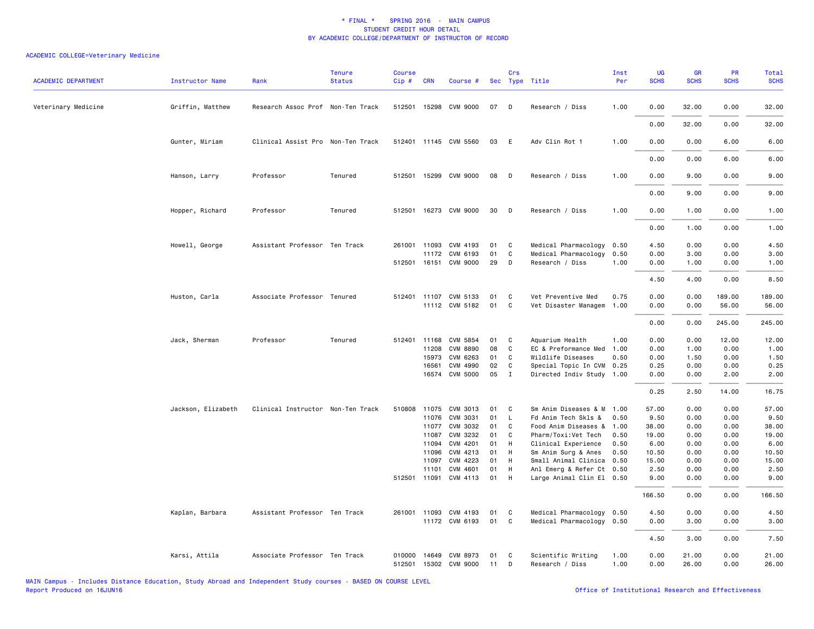| <b>ACADEMIC DEPARTMENT</b> | <b>Instructor Name</b> | Rank                              | <b>Tenure</b><br><b>Status</b> | <b>Course</b><br>Cip# | <b>CRN</b>   | Course #                                |          | Crs         | Sec Type Title                        | Inst<br>Per  | UG<br><b>SCHS</b> | <b>GR</b><br><b>SCHS</b> | PR<br><b>SCHS</b> | Total<br><b>SCHS</b> |
|----------------------------|------------------------|-----------------------------------|--------------------------------|-----------------------|--------------|-----------------------------------------|----------|-------------|---------------------------------------|--------------|-------------------|--------------------------|-------------------|----------------------|
| Veterinary Medicine        | Griffin, Matthew       | Research Assoc Prof Non-Ten Track |                                |                       |              | 512501 15298 CVM 9000                   | 07       | D           | Research / Diss                       | 1.00         | 0.00              | 32.00                    | 0.00              | 32.00                |
|                            |                        |                                   |                                |                       |              |                                         |          |             |                                       |              | 0.00              | 32.00                    | 0.00              | 32.00                |
|                            | Gunter, Miriam         | Clinical Assist Pro Non-Ten Track |                                |                       |              | 512401 11145 CVM 5560                   | 03       | E           | Adv Clin Rot 1                        | 1.00         | 0.00              | 0.00                     | 6.00              | 6.00                 |
|                            |                        |                                   |                                |                       |              |                                         |          |             |                                       |              | 0.00              | 0.00                     | 6.00              | 6.00                 |
|                            | Hanson, Larry          | Professor                         | Tenured                        |                       |              | 512501 15299 CVM 9000                   | 08       | D           | Research / Diss                       | 1.00         | 0.00              | 9.00                     | 0.00              | 9.00                 |
|                            |                        |                                   |                                |                       |              |                                         |          |             |                                       |              | 0.00              | 9.00                     | 0.00              | 9.00                 |
|                            | Hopper, Richard        | Professor                         | Tenured                        |                       |              | 512501 16273 CVM 9000                   | 30       | D           | Research / Diss                       | 1.00         | 0.00              | 1.00                     | 0.00              | 1.00                 |
|                            |                        |                                   |                                |                       |              |                                         |          |             |                                       |              | 0.00              | 1.00                     | 0.00              | 1.00                 |
|                            | Howell, George         | Assistant Professor Ten Track     |                                |                       | 261001 11093 | CVM 4193                                | 01       | C           | Medical Pharmacology                  | 0.50         | 4.50              | 0.00                     | 0.00              | 4.50                 |
|                            |                        |                                   |                                |                       | 11172        | CVM 6193                                | 01       | C           | Medical Pharmacology                  | 0.50         | 0.00              | 3.00                     | 0.00              | 3.00                 |
|                            |                        |                                   |                                |                       |              | 512501 16151 CVM 9000                   | 29       | D           | Research / Diss                       | 1.00         | 0.00              | 1.00                     | 0.00              | 1.00                 |
|                            |                        |                                   |                                |                       |              |                                         |          |             |                                       |              | 4.50              | 4.00                     | 0.00              | 8.50                 |
|                            | Huston, Carla          | Associate Professor Tenured       |                                |                       | 512401 11107 | CVM 5133                                | 01       | C           | Vet Preventive Med                    | 0.75         | 0.00              | 0.00                     | 189.00            | 189.00               |
|                            |                        |                                   |                                |                       |              | 11112 CVM 5182                          | 01       | C           | Vet Disaster Managem                  | 1.00         | 0.00              | 0.00                     | 56.00             | 56.00                |
|                            |                        |                                   |                                |                       |              |                                         |          |             |                                       |              | 0.00              | 0.00                     | 245.00            | 245.00               |
|                            | Jack, Sherman          | Professor                         | Tenured                        |                       | 512401 11168 | CVM 5854                                | 01       | C           | Aquarium Health                       | 1.00         | 0.00              | 0.00                     | 12.00             | 12.00                |
|                            |                        |                                   |                                |                       | 11208        | <b>CVM 8890</b>                         | 08       | C           | EC & Preformance Med                  | 1.00         | 0.00              | 1.00                     | 0.00              | 1.00                 |
|                            |                        |                                   |                                |                       | 15973        | CVM 6263                                | 01       | C           | Wildlife Diseases                     | 0.50         | 0.00              | 1.50                     | 0.00              | 1.50                 |
|                            |                        |                                   |                                |                       | 16561        | CVM 4990                                | 02       | $\mathbf C$ | Special Topic In CVM 0.25             |              | 0.25              | 0.00                     | 0.00              | 0.25                 |
|                            |                        |                                   |                                |                       | 16574        | <b>CVM 5000</b>                         | 05       | $\mathbf I$ | Directed Indiv Study 1.00             |              | 0.00              | 0.00                     | 2.00              | 2.00                 |
|                            |                        |                                   |                                |                       |              |                                         |          |             |                                       |              | 0.25              | 2.50                     | 14.00             | 16.75                |
|                            | Jackson, Elizabeth     | Clinical Instructor Non-Ten Track |                                |                       | 510808 11075 | CVM 3013                                | 01       | C           | Sm Anim Diseases & M 1.00             |              | 57.00             | 0.00                     | 0.00              | 57.00                |
|                            |                        |                                   |                                |                       | 11076        | CVM 3031                                | 01       | L.          | Fd Anim Tech Skls &                   | 0.50         | 9.50              | 0.00                     | 0.00              | 9.50                 |
|                            |                        |                                   |                                |                       |              | 11077 CVM 3032                          | 01       | C           | Food Anim Diseases &                  | 1.00         | 38.00             | 0.00                     | 0.00              | 38.00                |
|                            |                        |                                   |                                |                       | 11087        | CVM 3232                                | 01       | C           | Pharm/Toxi:Vet Tech                   | 0.50         | 19.00             | 0.00                     | 0.00              | 19.00                |
|                            |                        |                                   |                                |                       | 11094        | CVM 4201                                | 01       | H           | Clinical Experience                   | 0.50         | 6.00              | 0.00                     | 0.00              | 6.00                 |
|                            |                        |                                   |                                |                       | 11096        | CVM 4213                                | 01       | H           | Sm Anim Surg & Anes                   | 0.50         | 10.50             | 0.00                     | 0.00              | 10.50                |
|                            |                        |                                   |                                |                       | 11097        | CVM 4223                                | 01       | H           | Small Animal Clinica                  | 0.50         | 15.00             | 0.00                     | 0.00              | 15.00                |
|                            |                        |                                   |                                |                       | 11101        | CVM 4601                                | 01       | H           | Anl Emerg & Refer Ct 0.50             |              | 2.50              | 0.00                     | 0.00              | 2.50                 |
|                            |                        |                                   |                                |                       |              | 512501 11091 CVM 4113                   | 01       | H           | Large Animal Clin El 0.50             |              | 9.00              | 0.00                     | 0.00              | 9.00                 |
|                            |                        |                                   |                                |                       |              |                                         |          |             |                                       |              | 166.50            | 0.00                     | 0.00              | 166.50               |
|                            | Kaplan, Barbara        | Assistant Professor Ten Track     |                                |                       | 261001 11093 | CVM 4193                                | 01       | C           | Medical Pharmacology 0.50             |              | 4.50              | 0.00                     | 0.00              | 4.50                 |
|                            |                        |                                   |                                |                       |              | 11172 CVM 6193                          | 01       | C           | Medical Pharmacology 0.50             |              | 0.00              | 3.00                     | 0.00              | 3.00                 |
|                            |                        |                                   |                                |                       |              |                                         |          |             |                                       |              | 4.50              | 3.00                     | 0.00              | 7.50                 |
|                            | Karsi, Attila          | Associate Professor Ten Track     |                                | 010000                |              | 14649 CVM 8973<br>512501 15302 CVM 9000 | 01<br>11 | C<br>D      | Scientific Writing<br>Research / Diss | 1.00<br>1.00 | 0.00<br>0.00      | 21.00<br>26.00           | 0.00<br>0.00      | 21.00<br>26.00       |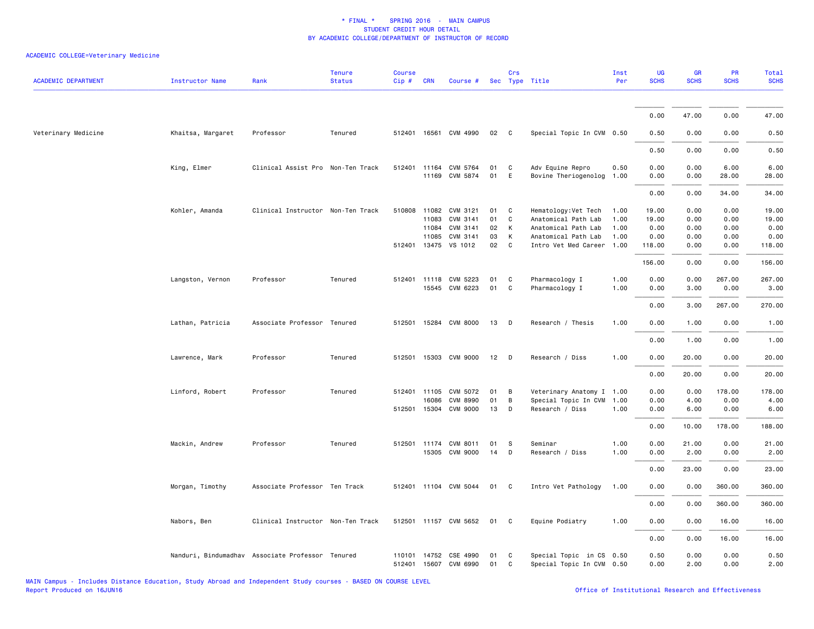| <b>ACADEMIC DEPARTMENT</b> | Instructor Name   | Rank                                             | <b>Tenure</b><br><b>Status</b> | Course<br>Cip#   | <b>CRN</b>   | Course #                                |          | Crs               | Sec Type Title                                        | Inst<br>Per  | UG<br><b>SCHS</b> | GR<br><b>SCHS</b> | PR<br><b>SCHS</b> | Total<br><b>SCHS</b> |
|----------------------------|-------------------|--------------------------------------------------|--------------------------------|------------------|--------------|-----------------------------------------|----------|-------------------|-------------------------------------------------------|--------------|-------------------|-------------------|-------------------|----------------------|
|                            |                   |                                                  |                                |                  |              |                                         |          |                   |                                                       |              | 0.00              | 47.00             | 0.00              | 47.00                |
| Veterinary Medicine        | Khaitsa, Margaret | Professor                                        | Tenured                        |                  |              | 512401 16561 CVM 4990                   | 02       | $\mathbf{C}$      | Special Topic In CVM 0.50                             |              | 0.50              | 0.00              | 0.00              | 0.50                 |
|                            |                   |                                                  |                                |                  |              |                                         |          |                   |                                                       |              | 0.50              | 0.00              | 0.00              | 0.50                 |
|                            | King, Elmer       | Clinical Assist Pro Non-Ten Track                |                                |                  |              | 512401 11164 CVM 5764                   | 01       | C                 | Adv Equine Repro                                      | 0.50         | 0.00              | 0.00              | 6.00              | 6.00                 |
|                            |                   |                                                  |                                |                  |              | 11169 CVM 5874                          | 01       | E                 | Bovine Theriogenolog                                  | 1.00         | 0.00              | 0.00              | 28.00             | 28.00                |
|                            |                   |                                                  |                                |                  |              |                                         |          |                   |                                                       |              | 0.00              | 0.00              | 34.00             | 34.00                |
|                            | Kohler, Amanda    | Clinical Instructor Non-Ten Track                |                                |                  | 11083        | 510808 11082 CVM 3121<br>CVM 3141       | 01<br>01 | $\mathbf{C}$<br>C | Hematology: Vet Tech<br>Anatomical Path Lab           | 1.00<br>1.00 | 19.00<br>19.00    | 0.00<br>0.00      | 0.00<br>0.00      | 19.00<br>19.00       |
|                            |                   |                                                  |                                |                  | 11084        | CVM 3141                                | 02       | $\mathsf{K}$      | Anatomical Path Lab                                   | 1.00         | 0.00              | 0.00              | 0.00              | 0.00                 |
|                            |                   |                                                  |                                |                  | 11085        | CVM 3141                                | 03       | K                 | Anatomical Path Lab                                   | 1.00         | 0.00              | 0.00              | 0.00              | 0.00                 |
|                            |                   |                                                  |                                |                  |              | 512401 13475 VS 1012                    | 02       | $\mathbf{C}$      | Intro Vet Med Career 1.00                             |              | 118.00            | 0.00              | 0.00              | 118.00               |
|                            |                   |                                                  |                                |                  |              |                                         |          |                   |                                                       |              | 156.00            | 0.00              | 0.00              | 156.00               |
|                            |                   |                                                  |                                |                  |              |                                         |          |                   |                                                       | 1.00         |                   |                   | 267.00            |                      |
|                            | Langston, Vernon  | Professor                                        | Tenured                        |                  |              | 512401 11118 CVM 5223<br>15545 CVM 6223 | 01<br>01 | C<br>C            | Pharmacology I<br>Pharmacology I                      | 1.00         | 0.00<br>0.00      | 0.00<br>3.00      | 0.00              | 267.00<br>3.00       |
|                            |                   |                                                  |                                |                  |              |                                         |          |                   |                                                       |              | 0.00              | 3.00              | 267.00            | 270.00               |
|                            | Lathan, Patricia  | Associate Professor Tenured                      |                                |                  |              | 512501 15284 CVM 8000                   | 13       | $\mathsf{D}$      | Research / Thesis                                     | 1.00         | 0.00              | 1.00              | 0.00              | 1.00                 |
|                            |                   |                                                  |                                |                  |              |                                         |          |                   |                                                       |              | 0.00              | 1.00              | 0.00              | 1.00                 |
|                            | Lawrence, Mark    | Professor                                        | Tenured                        |                  |              | 512501 15303 CVM 9000                   | 12       | $\mathsf{D}$      | Research / Diss                                       | 1.00         | 0.00              | 20.00             | 0.00              | 20.00                |
|                            |                   |                                                  |                                |                  |              |                                         |          |                   |                                                       |              | 0.00              | 20.00             | 0.00              | 20.00                |
|                            | Linford, Robert   | Professor                                        | Tenured                        |                  | 512401 11105 | CVM 5072                                | 01       | B                 | Veterinary Anatomy I 1.00                             |              | 0.00              | 0.00              | 178.00            | 178.00               |
|                            |                   |                                                  |                                |                  | 16086        | CVM 8990                                | 01       | B                 | Special Topic In CVM                                  | 1.00         | 0.00              | 4.00              | 0.00              | 4.00                 |
|                            |                   |                                                  |                                |                  |              | 512501 15304 CVM 9000                   | 13       | D                 | Research / Diss                                       | 1.00         | 0.00              | 6.00              | 0.00              | 6.00                 |
|                            |                   |                                                  |                                |                  |              |                                         |          |                   |                                                       |              | 0.00              | 10.00             | 178.00            | 188.00               |
|                            | Mackin, Andrew    | Professor                                        | Tenured                        |                  |              | 512501 11174 CVM 8011                   | 01       | S                 | Seminar                                               | 1.00         | 0.00              | 21.00             | 0.00              | 21.00                |
|                            |                   |                                                  |                                |                  |              | 15305 CVM 9000                          | 14       | D                 | Research / Diss                                       | 1.00         | 0.00              | 2.00              | 0.00              | 2.00                 |
|                            |                   |                                                  |                                |                  |              |                                         |          |                   |                                                       |              | 0.00              | 23.00             | 0.00              | 23.00                |
|                            | Morgan, Timothy   | Associate Professor Ten Track                    |                                |                  |              | 512401 11104 CVM 5044                   | 01       | $\mathbf{C}$      | Intro Vet Pathology                                   | 1.00         | 0.00              | 0.00              | 360.00            | 360.00               |
|                            |                   |                                                  |                                |                  |              |                                         |          |                   |                                                       |              | 0.00              | 0.00              | 360.00            | 360.00               |
|                            | Nabors, Ben       | Clinical Instructor Non-Ten Track                |                                |                  |              | 512501 11157 CVM 5652                   | 01 C     |                   | Equine Podiatry                                       | 1.00         | 0.00              | 0.00              | 16.00             | 16.00                |
|                            |                   |                                                  |                                |                  |              |                                         |          |                   |                                                       |              | 0.00              | 0.00              | 16.00             | 16.00                |
|                            |                   | Nanduri, Bindumadhav Associate Professor Tenured |                                | 110101<br>512401 | 14752        | CSE 4990<br>15607 CVM 6990              | 01<br>01 | C<br>C            | Special Topic in CS 0.50<br>Special Topic In CVM 0.50 |              | 0.50<br>0.00      | 0.00<br>2.00      | 0.00<br>0.00      | 0.50<br>2.00         |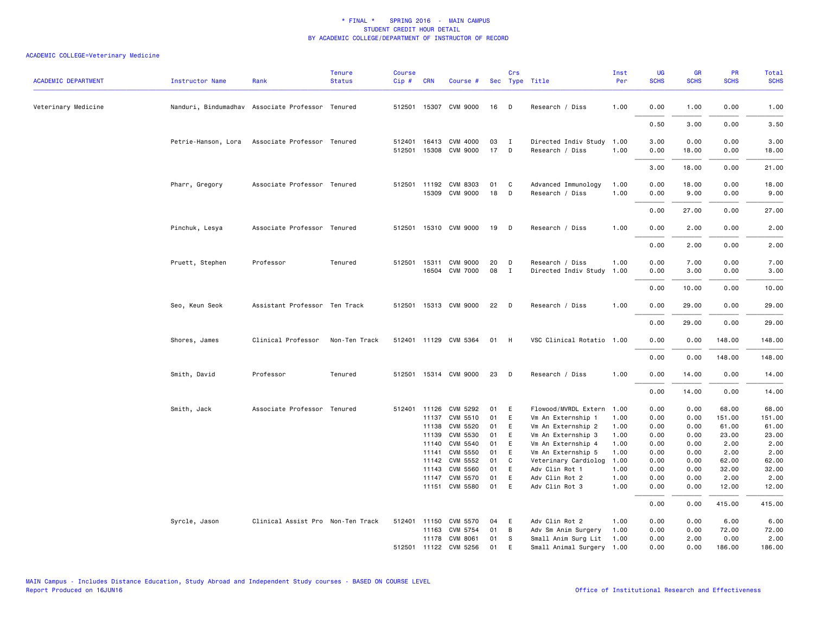| <b>ACADEMIC DEPARTMENT</b> | <b>Instructor Name</b> | Rank                                             | <b>Tenure</b><br><b>Status</b> | <b>Course</b><br>Cip# | <b>CRN</b>            | Course #                          |          | Crs               | Sec Type Title                           | Inst<br>Per  | <b>UG</b><br><b>SCHS</b> | GR<br><b>SCHS</b> | PR<br><b>SCHS</b> | <b>Total</b><br><b>SCHS</b> |
|----------------------------|------------------------|--------------------------------------------------|--------------------------------|-----------------------|-----------------------|-----------------------------------|----------|-------------------|------------------------------------------|--------------|--------------------------|-------------------|-------------------|-----------------------------|
| Veterinary Medicine        |                        | Nanduri, Bindumadhav Associate Professor Tenured |                                |                       |                       | 512501 15307 CVM 9000             | 16       | D                 | Research / Diss                          | 1.00         | 0.00                     | 1.00              | 0.00              | 1.00                        |
|                            |                        |                                                  |                                |                       |                       |                                   |          |                   |                                          |              | 0.50                     | 3.00              | 0.00              | 3.50                        |
|                            | Petrie-Hanson, Lora    | Associate Professor Tenured                      |                                | 512401<br>512501      |                       | 16413 CVM 4000<br>15308 CVM 9000  | 03<br>17 | $\mathbf{I}$<br>D | Directed Indiv Study<br>Research / Diss  | 1.00<br>1.00 | 3.00<br>0.00             | 0.00<br>18.00     | 0.00<br>0.00      | 3.00<br>18.00               |
|                            |                        |                                                  |                                |                       |                       |                                   |          |                   |                                          |              | 3.00                     | 18.00             | 0.00              | 21.00                       |
|                            | Pharr, Gregory         | Associate Professor Tenured                      |                                |                       | 512501 11192<br>15309 | CVM 8303<br>CVM 9000              | 01<br>18 | C<br>D            | Advanced Immunology<br>Research / Diss   | 1.00<br>1.00 | 0.00<br>0.00             | 18.00<br>9.00     | 0.00<br>0.00      | 18.00<br>9.00               |
|                            |                        |                                                  |                                |                       |                       |                                   |          |                   |                                          |              | 0.00                     | 27.00             | 0.00              | 27.00                       |
|                            | Pinchuk, Lesya         | Associate Professor Tenured                      |                                | 512501                |                       | 15310 CVM 9000                    | 19       | D                 | Research / Diss                          | 1.00         | 0.00                     | 2.00              | 0.00              | 2.00                        |
|                            |                        |                                                  |                                |                       |                       |                                   |          |                   |                                          |              | 0.00                     | 2.00              | 0.00              | 2.00                        |
|                            | Pruett, Stephen        | Professor                                        | Tenured                        | 512501                | 15311                 | <b>CVM 9000</b><br>16504 CVM 7000 | 20<br>08 | D<br>$\mathbf{I}$ | Research / Diss<br>Directed Indiv Study  | 1.00<br>1.00 | 0.00<br>0.00             | 7.00<br>3.00      | 0.00<br>0.00      | 7.00<br>3.00                |
|                            |                        |                                                  |                                |                       |                       |                                   |          |                   |                                          |              | 0.00                     | 10.00             | 0.00              | 10.00                       |
|                            | Seo, Keun Seok         | Assistant Professor Ten Track                    |                                |                       |                       | 512501 15313 CVM 9000             | 22       | D                 | Research / Diss                          | 1.00         | 0.00                     | 29.00             | 0.00              | 29.00                       |
|                            |                        |                                                  |                                |                       |                       |                                   |          |                   |                                          |              | 0.00                     | 29.00             | 0.00              | 29.00                       |
|                            | Shores, James          | Clinical Professor                               | Non-Ten Track                  |                       |                       | 512401 11129 CVM 5364             | 01       | H                 | VSC Clinical Rotatio 1.00                |              | 0.00                     | 0.00              | 148.00            | 148.00                      |
|                            |                        |                                                  |                                |                       |                       |                                   |          |                   |                                          |              | 0.00                     | 0.00              | 148.00            | 148.00                      |
|                            | Smith, David           | Professor                                        | Tenured                        | 512501                |                       | 15314 CVM 9000                    | 23       | D                 | Research / Diss                          | 1.00         | 0.00                     | 14.00             | 0.00              | 14.00                       |
|                            |                        |                                                  |                                |                       |                       |                                   |          |                   |                                          |              | 0.00                     | 14.00             | 0.00              | 14.00                       |
|                            | Smith, Jack            | Associate Professor Tenured                      |                                |                       |                       | 512401 11126 CVM 5292             | 01       | E                 | Flowood/MVRDL Extern                     | 1.00         | 0.00                     | 0.00              | 68.00             | 68.00                       |
|                            |                        |                                                  |                                |                       | 11137                 | CVM 5510                          | 01       | E                 | Vm An Externship 1                       | 1.00         | 0.00                     | 0.00              | 151.00            | 151.00                      |
|                            |                        |                                                  |                                |                       | 11138                 | CVM 5520<br>CVM 5530              | 01       | E                 | Vm An Externship 2                       | 1.00         | 0.00                     | 0.00              | 61.00             | 61.00                       |
|                            |                        |                                                  |                                |                       | 11139<br>11140        | CVM 5540                          | 01<br>01 | E<br>E            | Vm An Externship 3                       | 1.00<br>1.00 | 0.00<br>0.00             | 0.00<br>0.00      | 23.00<br>2.00     | 23.00<br>2.00               |
|                            |                        |                                                  |                                |                       | 11141                 | CVM 5550                          | 01       | E                 | Vm An Externship 4<br>Vm An Externship 5 | 1.00         | 0.00                     | 0.00              | 2.00              | 2.00                        |
|                            |                        |                                                  |                                |                       | 11142                 | CVM 5552                          | 01       | C                 | Veterinary Cardiolog                     | 1.00         | 0.00                     | 0.00              | 62.00             | 62.00                       |
|                            |                        |                                                  |                                |                       | 11143                 | <b>CVM 5560</b>                   | 01       | E                 | Adv Clin Rot 1                           | 1.00         | 0.00                     | 0.00              | 32.00             | 32.00                       |
|                            |                        |                                                  |                                |                       | 11147                 | CVM 5570                          | 01       | E                 | Adv Clin Rot 2                           | 1.00         | 0.00                     | 0.00              | 2.00              | 2.00                        |
|                            |                        |                                                  |                                |                       |                       | 11151 CVM 5580                    | 01       | E                 | Adv Clin Rot 3                           | 1.00         | 0.00                     | 0.00              | 12.00             | 12.00                       |
|                            |                        |                                                  |                                |                       |                       |                                   |          |                   |                                          |              | 0.00                     | 0.00              | 415.00            | 415.00                      |
|                            | Syrcle, Jason          | Clinical Assist Pro Non-Ten Track                |                                |                       | 512401 11150          | CVM 5570                          | 04       | E                 | Adv Clin Rot 2                           | 1.00         | 0.00                     | 0.00              | 6.00              | 6.00                        |
|                            |                        |                                                  |                                |                       | 11163                 | CVM 5754                          | 01       | В                 | Adv Sm Anim Surgery                      | 1.00         | 0.00                     | 0.00              | 72.00             | 72.00                       |
|                            |                        |                                                  |                                |                       |                       | 11178 CVM 8061                    | 01       | S                 | Small Anim Surg Lit                      | 1.00         | 0.00                     | 2.00              | 0.00              | 2.00                        |
|                            |                        |                                                  |                                |                       |                       | 512501 11122 CVM 5256             | 01       | E                 | Small Animal Surgery 1.00                |              | 0.00                     | 0.00              | 186.00            | 186.00                      |